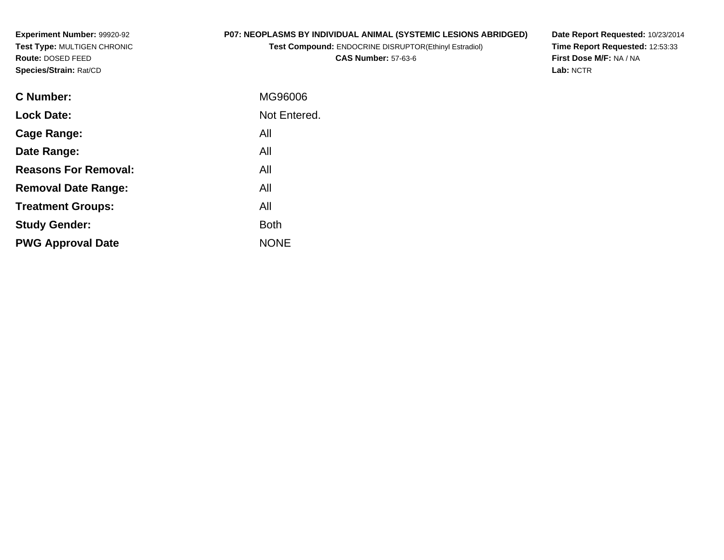**Experiment Number:** 99920-92 **Test Type:** MULTIGEN CHRONIC**Route:** DOSED FEED**Species/Strain:** Rat/CD

# **P07: NEOPLASMS BY INDIVIDUAL ANIMAL (SYSTEMIC LESIONS ABRIDGED)**

**Test Compound:** ENDOCRINE DISRUPTOR(Ethinyl Estradiol)**CAS Number:** 57-63-6

**Date Report Requested:** 10/23/2014 **Time Report Requested:** 12:53:33**First Dose M/F:** NA / NA**Lab:** NCTR

| C Number:                   | MG96006      |
|-----------------------------|--------------|
| <b>Lock Date:</b>           | Not Entered. |
| Cage Range:                 | All          |
| Date Range:                 | All          |
| <b>Reasons For Removal:</b> | All          |
| <b>Removal Date Range:</b>  | All          |
| <b>Treatment Groups:</b>    | All          |
| <b>Study Gender:</b>        | <b>Both</b>  |
| <b>PWG Approval Date</b>    | <b>NONE</b>  |
|                             |              |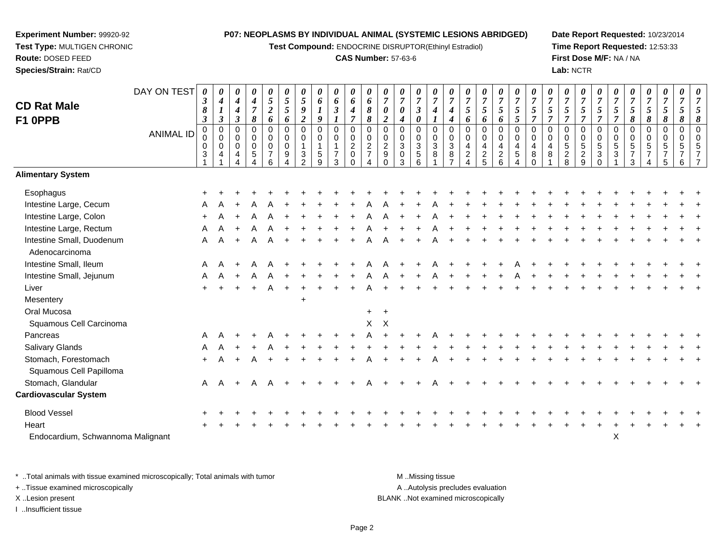**Test Compound:** ENDOCRINE DISRUPTOR(Ethinyl Estradiol)

## **CAS Number:** 57-63-6

**Date Report Requested:** 10/23/2014**Time Report Requested:** 12:53:33**First Dose M/F:** NA / NA**Lab:** NCTR

|                                             | DAY ON TEST      | $\boldsymbol{\theta}$<br>$\boldsymbol{\beta}$ | 0<br>$\boldsymbol{4}$             | 0<br>$\boldsymbol{4}$     | 0<br>$\boldsymbol{4}$        | 0<br>$5\overline{)}$          | 0<br>$\sqrt{5}$  | 0<br>$\sqrt{5}$               | $\boldsymbol{\theta}$<br>6   | 0<br>6                          | 0<br>6                        | 0<br>6                           | 0<br>$\overline{7}$           | 0<br>$\boldsymbol{7}$       | 0<br>$\overline{7}$                  | 0<br>$\overline{7}$ | 0<br>$\overline{7}$   | 0<br>$\overline{7}$              | 0<br>$\boldsymbol{7}$ | 0<br>$\overline{7}$             | 0<br>$\overline{7}$          | $\overline{7}$                  | 0<br>$\overline{7}$ | 0<br>$\boldsymbol{7}$ | 0<br>$\boldsymbol{7}$        | 0<br>$\overline{7}$           | 0<br>$\overline{7}$           | 0<br>$\overline{7}$ | 0<br>$\boldsymbol{7}$ | 0<br>$\overline{7}$            | 0<br>$\overline{7}$ | 0<br>$\overline{7}$ |
|---------------------------------------------|------------------|-----------------------------------------------|-----------------------------------|---------------------------|------------------------------|-------------------------------|------------------|-------------------------------|------------------------------|---------------------------------|-------------------------------|----------------------------------|-------------------------------|-----------------------------|--------------------------------------|---------------------|-----------------------|----------------------------------|-----------------------|---------------------------------|------------------------------|---------------------------------|---------------------|-----------------------|------------------------------|-------------------------------|-------------------------------|---------------------|-----------------------|--------------------------------|---------------------|---------------------|
| <b>CD Rat Male</b>                          |                  | 8                                             | $\bm{l}$                          | $\boldsymbol{4}$          | $\boldsymbol{7}$             | $\boldsymbol{2}$              | 5                | 9                             | $\boldsymbol{l}$             | $\boldsymbol{\beta}$            | 4                             | 8                                | 0                             | $\boldsymbol{\theta}$       | $\boldsymbol{\beta}$                 | $\boldsymbol{4}$    | 4                     | 5                                | $\mathfrak{s}$        | $\mathfrak{s}$                  | $\sqrt{5}$                   | 5                               | 5<br>$\overline{7}$ | 5<br>$\overline{7}$   | 5<br>$\overline{7}$          | $\mathfrak{s}$                | $\mathfrak{s}$                | 5                   | $\mathfrak{s}$        | $\mathfrak{s}$                 | $\mathfrak{s}$      | 5                   |
| F1 OPPB                                     |                  | $\boldsymbol{\beta}$<br>0                     | $\boldsymbol{\beta}$<br>$\pmb{0}$ | $\boldsymbol{\beta}$<br>0 | 8<br>$\mathbf 0$             | 6<br>0                        | 6<br>$\mathbf 0$ | $\overline{c}$<br>$\mathbf 0$ | 9<br>$\mathsf{O}\xspace$     | $\boldsymbol{l}$<br>$\mathbf 0$ | $\overline{7}$<br>$\mathbf 0$ | $\boldsymbol{\delta}$<br>0       | $\overline{2}$<br>$\mathbf 0$ | 4<br>$\mathbf 0$            | $\boldsymbol{\theta}$<br>$\mathbf 0$ | $\mathbf 0$         | $\boldsymbol{4}$<br>0 | 6<br>$\mathbf 0$                 | 6<br>0                | 6<br>$\mathbf 0$                | 5<br>$\mathbf 0$             | $\boldsymbol{7}$<br>$\mathbf 0$ | $\Omega$            | $\pmb{0}$             | $\mathbf 0$                  | $\overline{7}$<br>$\mathbf 0$ | $\overline{7}$<br>$\mathbf 0$ | 8<br>0              | 8<br>0                | 8<br>$\mathbf 0$               | 8<br>$\mathbf 0$    | 8<br>$\Omega$       |
|                                             | <b>ANIMAL ID</b> |                                               | $\pmb{0}$                         | 0                         | $\pmb{0}$                    | 0                             | $\mathbf 0$      | $\mathbf 0$                   | $\mathbf 0$                  | $\pmb{0}$                       | 0                             | $\pmb{0}$                        | 0                             | 0                           |                                      | $\pmb{0}$           | 0                     | 0                                | 0                     | $\mathbf 0$                     | 0                            | $\mathbf 0$                     | 0                   | $\pmb{0}$             | $\pmb{0}$                    | $\mathbf 0$                   | $\mathbf 0$                   | 0                   | 0                     | $\mathbf 0$                    | $\mathbf 0$         | $\Omega$            |
|                                             |                  | $\mathbf 0$<br>3                              | $\mathsf{O}\xspace$<br>4          | $\mathbf 0$<br>4          | $\overline{0}$<br>$\sqrt{5}$ | $\mathbf 0$<br>$\overline{7}$ | $\mathbf 0$<br>9 | 3                             | $\overline{1}$<br>$\sqrt{5}$ | $\mathbf{1}$<br>$\overline{7}$  | $\overline{2}$<br>$\mathbf 0$ | $\overline{2}$<br>$\overline{7}$ | $\frac{2}{9}$                 | $\mathbf{3}$<br>$\mathbf 0$ | 0<br>3<br>5<br>6                     | $\mathbf{3}$<br>8   | $\sqrt{3}$<br>8       | $\overline{4}$<br>$\overline{c}$ | 4<br>$\frac{2}{5}$    | $\overline{4}$<br>$\frac{2}{6}$ | $\overline{4}$<br>$\sqrt{5}$ | $\overline{4}$<br>8             | 4<br>8              | $\frac{5}{2}$         | $\,$ 5 $\,$<br>$\frac{2}{9}$ | $\sqrt{5}$<br>$\mathbf{3}$    | 5<br>$\mathbf{3}$             | 5<br>$\overline{7}$ | 5<br>$\overline{7}$   | $\sqrt{5}$<br>$\boldsymbol{7}$ | 5<br>7              | 5<br>$\overline{7}$ |
|                                             |                  |                                               |                                   |                           |                              | 6                             |                  | $\mathcal{D}$                 | 9                            | 3                               | $\Omega$                      |                                  | $\Omega$                      | 3                           |                                      |                     |                       |                                  |                       |                                 | 4                            | $\Omega$                        |                     |                       |                              | $\Omega$                      |                               | 3                   |                       | 5                              | 6                   | $\overline{7}$      |
| <b>Alimentary System</b>                    |                  |                                               |                                   |                           |                              |                               |                  |                               |                              |                                 |                               |                                  |                               |                             |                                      |                     |                       |                                  |                       |                                 |                              |                                 |                     |                       |                              |                               |                               |                     |                       |                                |                     |                     |
| Esophagus                                   |                  |                                               |                                   |                           |                              |                               |                  |                               |                              |                                 |                               |                                  |                               |                             |                                      |                     |                       |                                  |                       |                                 |                              |                                 |                     |                       |                              |                               |                               |                     |                       |                                |                     |                     |
| Intestine Large, Cecum                      |                  |                                               |                                   |                           |                              |                               |                  |                               |                              |                                 |                               |                                  |                               |                             |                                      |                     |                       |                                  |                       |                                 |                              |                                 |                     |                       |                              |                               |                               |                     |                       |                                |                     |                     |
| Intestine Large, Colon                      |                  |                                               |                                   |                           |                              |                               |                  |                               |                              |                                 |                               |                                  |                               |                             |                                      |                     |                       |                                  |                       |                                 |                              |                                 |                     |                       |                              |                               |                               |                     |                       |                                |                     |                     |
| Intestine Large, Rectum                     |                  | A                                             | A                                 | $+$                       | A                            | A                             |                  |                               |                              |                                 |                               |                                  |                               |                             |                                      |                     |                       |                                  |                       |                                 |                              |                                 |                     |                       |                              |                               |                               |                     |                       |                                |                     |                     |
| Intestine Small, Duodenum<br>Adenocarcinoma |                  | A                                             | A                                 | $\ddot{}$                 |                              | Α                             |                  |                               |                              |                                 |                               |                                  |                               |                             |                                      |                     |                       |                                  |                       |                                 |                              |                                 |                     |                       |                              |                               |                               |                     |                       |                                |                     |                     |
| Intestine Small, Ileum                      |                  | A                                             |                                   |                           |                              |                               |                  |                               |                              |                                 |                               |                                  |                               |                             |                                      |                     |                       |                                  |                       |                                 |                              |                                 |                     |                       |                              |                               |                               |                     |                       |                                |                     |                     |
| Intestine Small, Jejunum                    |                  | A                                             | A                                 | $\ddot{}$                 | A                            | A                             |                  |                               |                              |                                 |                               |                                  |                               |                             |                                      |                     |                       |                                  |                       |                                 |                              |                                 |                     |                       |                              |                               |                               |                     |                       |                                |                     |                     |
| Liver                                       |                  |                                               |                                   |                           |                              | A                             |                  |                               |                              |                                 |                               |                                  |                               |                             |                                      |                     |                       |                                  |                       |                                 |                              |                                 |                     |                       |                              |                               |                               |                     |                       |                                |                     |                     |
| Mesentery                                   |                  |                                               |                                   |                           |                              |                               |                  | $\ddot{}$                     |                              |                                 |                               |                                  |                               |                             |                                      |                     |                       |                                  |                       |                                 |                              |                                 |                     |                       |                              |                               |                               |                     |                       |                                |                     |                     |
| Oral Mucosa                                 |                  |                                               |                                   |                           |                              |                               |                  |                               |                              |                                 |                               | $+$                              | $+$                           |                             |                                      |                     |                       |                                  |                       |                                 |                              |                                 |                     |                       |                              |                               |                               |                     |                       |                                |                     |                     |
| Squamous Cell Carcinoma                     |                  |                                               |                                   |                           |                              |                               |                  |                               |                              |                                 |                               | X                                | $\mathsf{X}$                  |                             |                                      |                     |                       |                                  |                       |                                 |                              |                                 |                     |                       |                              |                               |                               |                     |                       |                                |                     |                     |
| Pancreas                                    |                  | A                                             |                                   |                           |                              |                               |                  |                               |                              |                                 |                               |                                  |                               |                             |                                      |                     |                       |                                  |                       |                                 |                              |                                 |                     |                       |                              |                               |                               |                     |                       |                                |                     |                     |
| Salivary Glands                             |                  |                                               |                                   |                           |                              |                               |                  |                               |                              |                                 |                               |                                  |                               |                             |                                      |                     |                       |                                  |                       |                                 |                              |                                 |                     |                       |                              |                               |                               |                     |                       |                                |                     |                     |
| Stomach, Forestomach                        |                  | $+$                                           |                                   | $\ddot{+}$                | A                            |                               |                  |                               |                              |                                 |                               |                                  |                               |                             |                                      |                     |                       |                                  |                       |                                 |                              |                                 |                     |                       |                              |                               |                               |                     |                       |                                |                     |                     |
| Squamous Cell Papilloma                     |                  |                                               |                                   |                           |                              |                               |                  |                               |                              |                                 |                               |                                  |                               |                             |                                      |                     |                       |                                  |                       |                                 |                              |                                 |                     |                       |                              |                               |                               |                     |                       |                                |                     |                     |
| Stomach, Glandular                          |                  | A                                             | $\overline{A}$                    | $\ddot{}$                 | A                            | A                             |                  |                               |                              |                                 |                               |                                  |                               |                             |                                      |                     |                       |                                  |                       |                                 |                              |                                 |                     |                       |                              |                               |                               |                     |                       |                                |                     |                     |
| <b>Cardiovascular System</b>                |                  |                                               |                                   |                           |                              |                               |                  |                               |                              |                                 |                               |                                  |                               |                             |                                      |                     |                       |                                  |                       |                                 |                              |                                 |                     |                       |                              |                               |                               |                     |                       |                                |                     |                     |
| <b>Blood Vessel</b>                         |                  |                                               |                                   |                           |                              |                               |                  |                               |                              |                                 |                               |                                  |                               |                             |                                      |                     |                       |                                  |                       |                                 |                              |                                 |                     |                       |                              |                               |                               |                     |                       |                                |                     |                     |
| Heart                                       |                  |                                               |                                   |                           |                              |                               |                  |                               |                              |                                 |                               |                                  |                               |                             |                                      |                     |                       |                                  |                       |                                 |                              |                                 |                     |                       |                              |                               |                               |                     |                       |                                |                     |                     |
| Endocardium, Schwannoma Malignant           |                  |                                               |                                   |                           |                              |                               |                  |                               |                              |                                 |                               |                                  |                               |                             |                                      |                     |                       |                                  |                       |                                 |                              |                                 |                     |                       |                              |                               | X                             |                     |                       |                                |                     |                     |

\* ..Total animals with tissue examined microscopically; Total animals with tumor **M** . Missing tissue M ..Missing tissue A ..Autolysis precludes evaluation + ..Tissue examined microscopically X ..Lesion present BLANK ..Not examined microscopicallyI ..Insufficient tissue

**Experiment Number:** 99920-92**Test Type:** MULTIGEN CHRONIC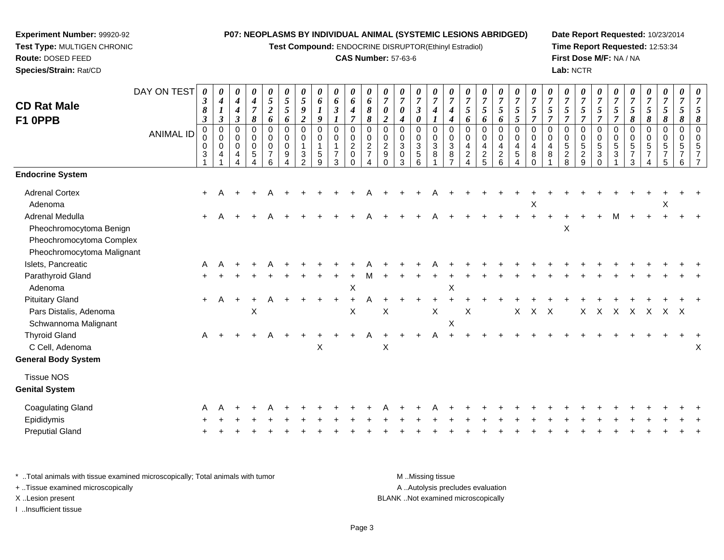**Test Compound:** ENDOCRINE DISRUPTOR(Ethinyl Estradiol)

#### **CAS Number:** 57-63-6

**Date Report Requested:** 10/23/2014**Time Report Requested:** 12:53:34**First Dose M/F:** NA / NA**Lab:** NCTR

| <b>CD Rat Male</b><br>F1 0PPB                                                                               | DAY ON TEST<br><b>ANIMAL ID</b> | 0<br>$\boldsymbol{\beta}$<br>8<br>$\boldsymbol{\beta}$<br>$\pmb{0}$<br>0<br>$\mathbf 0$<br>3 | $\boldsymbol{\theta}$<br>$\boldsymbol{4}$<br>$\boldsymbol{l}$<br>$\mathfrak{z}$<br>$\pmb{0}$<br>$\pmb{0}$<br>$\mathbf 0$<br>4 | 0<br>4<br>4<br>3<br>0<br>0<br>$\mathbf 0$<br>4 | $\pmb{\theta}$<br>$\boldsymbol{4}$<br>$\overline{7}$<br>8<br>$\mathbf 0$<br>0<br>$\mathbf 0$<br>5 | $\pmb{\theta}$<br>5<br>$\boldsymbol{2}$<br>6<br>$\pmb{0}$<br>$\mathbf 0$<br>$\mathbf 0$<br>$\overline{7}$<br>6 | 0<br>$\mathfrak{s}$<br>5<br>6<br>0<br>0<br>$\mathbf 0$<br>9 | $\boldsymbol{\theta}$<br>5<br>$\boldsymbol{g}$<br>$\boldsymbol{2}$<br>$\mathbf 0$<br>$\mathbf 0$<br>$\mathbf{1}$<br>3<br>$\mathcal{P}$ | $\pmb{\theta}$<br>6<br>9<br>$\mathbf 0$<br>$\mathbf 0$<br>5<br>9 | $\pmb{\theta}$<br>6<br>$\boldsymbol{\beta}$<br>$\pmb{0}$<br>0<br>$\mathbf{1}$<br>$\overline{7}$<br>3 | 0<br>6<br>$\boldsymbol{4}$<br>$\overline{7}$<br>$\pmb{0}$<br>$\pmb{0}$<br>$\boldsymbol{2}$<br>0<br>$\Omega$ | 0<br>6<br>8<br>$\pmb{8}$<br>0<br>$\mathbf 0$<br>$\overline{c}$<br>$\overline{7}$<br>Δ | $\boldsymbol{\theta}$<br>$\overline{7}$<br>$\boldsymbol{\theta}$<br>$\boldsymbol{2}$<br>$\mathbf 0$<br>$\mathbf 0$<br>$\overline{2}$<br>9<br>$\Omega$ | 0<br>$\overline{7}$<br>0<br>4<br>$\mathbf 0$<br>$\Omega$<br>$\mathbf{3}$<br>$\mathbf 0$<br>3 | $\pmb{\theta}$<br>$\overline{7}$<br>$\boldsymbol{\beta}$<br>$\boldsymbol{\theta}$<br>0<br>$\pmb{0}$<br>$\sqrt{3}$<br>$\sqrt{5}$<br>6 | $\pmb{\theta}$<br>$\overline{7}$<br>$\boldsymbol{4}$<br>$\pmb{0}$<br>$\pmb{0}$<br>$\sqrt{3}$<br>8 | 0<br>$\overline{7}$<br>$\boldsymbol{4}$<br>4<br>$\mathbf 0$<br>$\mathbf 0$<br>$\mathbf{3}$<br>8 | 0<br>$\overline{7}$<br>$\mathfrak{s}$<br>6<br>$\mathbf 0$<br>$\mathbf 0$<br>$\overline{4}$<br>$\overline{c}$ | 0<br>$\overline{7}$<br>$5\overline{)}$<br>6<br>0<br>$\mathbf 0$<br>4<br>$\frac{2}{5}$ | $\pmb{\theta}$<br>$\boldsymbol{7}$<br>$\sqrt{5}$<br>6<br>$\mathbf 0$<br>$\pmb{0}$<br>$\overline{4}$<br>$\overline{a}$<br>6 | $\pmb{\theta}$<br>$\overline{7}$<br>$\sqrt{5}$<br>$\mathfrak{s}$<br>$\pmb{0}$<br>$\pmb{0}$<br>$\overline{4}$<br>$\sqrt{5}$<br>Δ | $\pmb{\theta}$<br>$\overline{7}$<br>$\sqrt{5}$<br>$\overline{7}$<br>$\mathbf 0$<br>$\mathbf 0$<br>$\overline{4}$<br>8<br>0 | $\boldsymbol{\theta}$<br>$\boldsymbol{7}$<br>$\mathfrak{s}$<br>$\overline{7}$<br>$\mathbf 0$<br>$\mathbf 0$<br>4<br>8 | 0<br>$\overline{7}$<br>5<br>$\overline{7}$<br>0<br>0<br>5<br>$\overline{a}$<br>8 | $\pmb{\theta}$<br>$\overline{7}$<br>$\mathfrak{H}$<br>$\overline{7}$<br>0<br>$\pmb{0}$<br>$\sqrt{5}$<br>$\overline{c}$<br>9 | $\boldsymbol{\theta}$<br>$\overline{7}$<br>5<br>$\overline{7}$<br>$\mathbf 0$<br>$\pmb{0}$<br>$\sqrt{5}$<br>$\mathbf{3}$<br>$\Omega$ | 0<br>$\overline{7}$<br>$\sqrt{5}$<br>$\overline{7}$<br>0<br>0<br>5<br>3 | 0<br>$\overline{7}$<br>5<br>8<br>$\mathbf 0$<br>$\Omega$<br>5<br>7<br>3 | 0<br>$\overline{7}$<br>5<br>8<br>0<br>$\mathbf 0$<br>5 | $\pmb{\theta}$<br>$\overline{7}$<br>$\sqrt{5}$<br>8<br>$\,0\,$<br>$\pmb{0}$<br>5<br>5 | 0<br>$\overline{7}$<br>5<br>8<br>$\pmb{0}$<br>$\mathbf 0$<br>5<br>6 |   |
|-------------------------------------------------------------------------------------------------------------|---------------------------------|----------------------------------------------------------------------------------------------|-------------------------------------------------------------------------------------------------------------------------------|------------------------------------------------|---------------------------------------------------------------------------------------------------|----------------------------------------------------------------------------------------------------------------|-------------------------------------------------------------|----------------------------------------------------------------------------------------------------------------------------------------|------------------------------------------------------------------|------------------------------------------------------------------------------------------------------|-------------------------------------------------------------------------------------------------------------|---------------------------------------------------------------------------------------|-------------------------------------------------------------------------------------------------------------------------------------------------------|----------------------------------------------------------------------------------------------|--------------------------------------------------------------------------------------------------------------------------------------|---------------------------------------------------------------------------------------------------|-------------------------------------------------------------------------------------------------|--------------------------------------------------------------------------------------------------------------|---------------------------------------------------------------------------------------|----------------------------------------------------------------------------------------------------------------------------|---------------------------------------------------------------------------------------------------------------------------------|----------------------------------------------------------------------------------------------------------------------------|-----------------------------------------------------------------------------------------------------------------------|----------------------------------------------------------------------------------|-----------------------------------------------------------------------------------------------------------------------------|--------------------------------------------------------------------------------------------------------------------------------------|-------------------------------------------------------------------------|-------------------------------------------------------------------------|--------------------------------------------------------|---------------------------------------------------------------------------------------|---------------------------------------------------------------------|---|
| <b>Endocrine System</b>                                                                                     |                                 |                                                                                              |                                                                                                                               |                                                |                                                                                                   |                                                                                                                |                                                             |                                                                                                                                        |                                                                  |                                                                                                      |                                                                                                             |                                                                                       |                                                                                                                                                       |                                                                                              |                                                                                                                                      |                                                                                                   |                                                                                                 |                                                                                                              |                                                                                       |                                                                                                                            |                                                                                                                                 |                                                                                                                            |                                                                                                                       |                                                                                  |                                                                                                                             |                                                                                                                                      |                                                                         |                                                                         |                                                        |                                                                                       |                                                                     |   |
| <b>Adrenal Cortex</b><br>Adenoma                                                                            |                                 | $\ddot{}$                                                                                    |                                                                                                                               |                                                |                                                                                                   |                                                                                                                |                                                             |                                                                                                                                        |                                                                  |                                                                                                      |                                                                                                             |                                                                                       |                                                                                                                                                       |                                                                                              |                                                                                                                                      |                                                                                                   |                                                                                                 |                                                                                                              |                                                                                       |                                                                                                                            |                                                                                                                                 | X                                                                                                                          |                                                                                                                       |                                                                                  |                                                                                                                             |                                                                                                                                      |                                                                         |                                                                         |                                                        | X                                                                                     |                                                                     |   |
| <b>Adrenal Medulla</b><br>Pheochromocytoma Benign<br>Pheochromocytoma Complex<br>Pheochromocytoma Malignant |                                 | $+$                                                                                          |                                                                                                                               |                                                |                                                                                                   |                                                                                                                |                                                             |                                                                                                                                        |                                                                  |                                                                                                      |                                                                                                             |                                                                                       |                                                                                                                                                       |                                                                                              |                                                                                                                                      |                                                                                                   |                                                                                                 |                                                                                                              |                                                                                       |                                                                                                                            |                                                                                                                                 |                                                                                                                            |                                                                                                                       | $\mathsf X$                                                                      |                                                                                                                             |                                                                                                                                      | м                                                                       |                                                                         |                                                        |                                                                                       |                                                                     |   |
| Islets, Pancreatic                                                                                          |                                 | A                                                                                            |                                                                                                                               |                                                |                                                                                                   |                                                                                                                |                                                             |                                                                                                                                        |                                                                  |                                                                                                      |                                                                                                             |                                                                                       |                                                                                                                                                       |                                                                                              |                                                                                                                                      |                                                                                                   |                                                                                                 |                                                                                                              |                                                                                       |                                                                                                                            |                                                                                                                                 |                                                                                                                            |                                                                                                                       |                                                                                  |                                                                                                                             |                                                                                                                                      |                                                                         |                                                                         |                                                        |                                                                                       |                                                                     |   |
| Parathyroid Gland<br>Adenoma                                                                                |                                 |                                                                                              |                                                                                                                               |                                                |                                                                                                   |                                                                                                                |                                                             |                                                                                                                                        |                                                                  |                                                                                                      | $\mathsf X$                                                                                                 |                                                                                       |                                                                                                                                                       |                                                                                              |                                                                                                                                      |                                                                                                   | Χ                                                                                               |                                                                                                              |                                                                                       |                                                                                                                            |                                                                                                                                 |                                                                                                                            |                                                                                                                       |                                                                                  |                                                                                                                             |                                                                                                                                      |                                                                         |                                                                         |                                                        |                                                                                       |                                                                     |   |
| <b>Pituitary Gland</b>                                                                                      |                                 | $+$                                                                                          | A                                                                                                                             | $\ddot{}$                                      |                                                                                                   |                                                                                                                |                                                             |                                                                                                                                        |                                                                  |                                                                                                      | $\ddot{}$                                                                                                   |                                                                                       |                                                                                                                                                       |                                                                                              |                                                                                                                                      |                                                                                                   |                                                                                                 |                                                                                                              |                                                                                       |                                                                                                                            |                                                                                                                                 |                                                                                                                            |                                                                                                                       |                                                                                  |                                                                                                                             |                                                                                                                                      |                                                                         |                                                                         |                                                        |                                                                                       |                                                                     |   |
| Pars Distalis, Adenoma<br>Schwannoma Malignant                                                              |                                 |                                                                                              |                                                                                                                               |                                                | Χ                                                                                                 |                                                                                                                |                                                             |                                                                                                                                        |                                                                  |                                                                                                      | X                                                                                                           |                                                                                       | X                                                                                                                                                     |                                                                                              |                                                                                                                                      | X                                                                                                 | $\mathsf X$                                                                                     | X                                                                                                            |                                                                                       |                                                                                                                            | X                                                                                                                               | X                                                                                                                          | X                                                                                                                     |                                                                                  | Χ                                                                                                                           | $\times$                                                                                                                             | X                                                                       | X                                                                       | $\mathsf{X}$                                           | X X                                                                                   |                                                                     |   |
| <b>Thyroid Gland</b><br>C Cell, Adenoma<br><b>General Body System</b>                                       |                                 | A                                                                                            |                                                                                                                               |                                                | $\ddot{}$                                                                                         | A                                                                                                              |                                                             |                                                                                                                                        | Χ                                                                |                                                                                                      |                                                                                                             | A                                                                                     | X                                                                                                                                                     |                                                                                              | $\ddot{}$                                                                                                                            | A                                                                                                 |                                                                                                 |                                                                                                              |                                                                                       |                                                                                                                            |                                                                                                                                 |                                                                                                                            |                                                                                                                       |                                                                                  |                                                                                                                             |                                                                                                                                      |                                                                         |                                                                         |                                                        |                                                                                       |                                                                     | Х |
| <b>Tissue NOS</b><br><b>Genital System</b>                                                                  |                                 |                                                                                              |                                                                                                                               |                                                |                                                                                                   |                                                                                                                |                                                             |                                                                                                                                        |                                                                  |                                                                                                      |                                                                                                             |                                                                                       |                                                                                                                                                       |                                                                                              |                                                                                                                                      |                                                                                                   |                                                                                                 |                                                                                                              |                                                                                       |                                                                                                                            |                                                                                                                                 |                                                                                                                            |                                                                                                                       |                                                                                  |                                                                                                                             |                                                                                                                                      |                                                                         |                                                                         |                                                        |                                                                                       |                                                                     |   |
| <b>Coagulating Gland</b>                                                                                    |                                 |                                                                                              |                                                                                                                               |                                                |                                                                                                   |                                                                                                                |                                                             |                                                                                                                                        |                                                                  |                                                                                                      |                                                                                                             |                                                                                       |                                                                                                                                                       |                                                                                              |                                                                                                                                      |                                                                                                   |                                                                                                 |                                                                                                              |                                                                                       |                                                                                                                            |                                                                                                                                 |                                                                                                                            |                                                                                                                       |                                                                                  |                                                                                                                             |                                                                                                                                      |                                                                         |                                                                         |                                                        |                                                                                       |                                                                     |   |
| Epididymis                                                                                                  |                                 |                                                                                              |                                                                                                                               |                                                |                                                                                                   |                                                                                                                |                                                             |                                                                                                                                        |                                                                  |                                                                                                      |                                                                                                             |                                                                                       |                                                                                                                                                       |                                                                                              |                                                                                                                                      |                                                                                                   |                                                                                                 |                                                                                                              |                                                                                       |                                                                                                                            |                                                                                                                                 |                                                                                                                            |                                                                                                                       |                                                                                  |                                                                                                                             |                                                                                                                                      |                                                                         |                                                                         |                                                        |                                                                                       |                                                                     |   |
| <b>Preputial Gland</b>                                                                                      |                                 |                                                                                              |                                                                                                                               |                                                |                                                                                                   |                                                                                                                |                                                             |                                                                                                                                        |                                                                  |                                                                                                      |                                                                                                             |                                                                                       |                                                                                                                                                       |                                                                                              |                                                                                                                                      |                                                                                                   |                                                                                                 |                                                                                                              |                                                                                       |                                                                                                                            |                                                                                                                                 |                                                                                                                            |                                                                                                                       |                                                                                  |                                                                                                                             |                                                                                                                                      |                                                                         |                                                                         |                                                        |                                                                                       |                                                                     |   |
|                                                                                                             |                                 |                                                                                              |                                                                                                                               |                                                |                                                                                                   |                                                                                                                |                                                             |                                                                                                                                        |                                                                  |                                                                                                      |                                                                                                             |                                                                                       |                                                                                                                                                       |                                                                                              |                                                                                                                                      |                                                                                                   |                                                                                                 |                                                                                                              |                                                                                       |                                                                                                                            |                                                                                                                                 |                                                                                                                            |                                                                                                                       |                                                                                  |                                                                                                                             |                                                                                                                                      |                                                                         |                                                                         |                                                        |                                                                                       |                                                                     |   |

\* ..Total animals with tissue examined microscopically; Total animals with tumor **M** . Missing tissue M ..Missing tissue A ..Autolysis precludes evaluation + ..Tissue examined microscopically X ..Lesion present BLANK ..Not examined microscopicallyI ..Insufficient tissue

**Experiment Number:** 99920-92**Test Type:** MULTIGEN CHRONIC

**Route:** DOSED FEED**Species/Strain:** Rat/CD

Page 3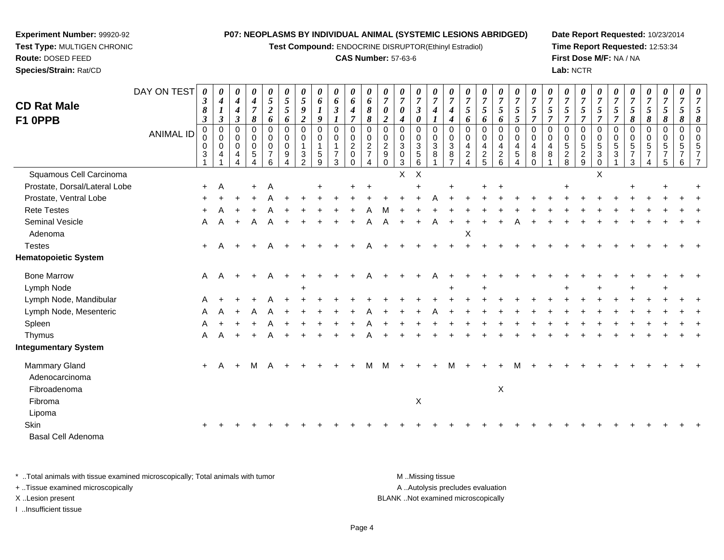**Test Compound:** ENDOCRINE DISRUPTOR(Ethinyl Estradiol)

## **CAS Number:** 57-63-6

**Date Report Requested:** 10/23/2014**Time Report Requested:** 12:53:34**First Dose M/F:** NA / NA**Lab:** NCTR

| <b>CD Rat Male</b>              | DAY ON TEST      | 0<br>$\boldsymbol{\beta}$<br>8 | 0<br>$\boldsymbol{4}$<br>$\boldsymbol{l}$                       | 0<br>$\boldsymbol{4}$<br>$\boldsymbol{4}$ | 0<br>$\boldsymbol{4}$<br>$\boldsymbol{7}$                        | 0<br>$\mathfrak{H}$<br>$\boldsymbol{2}$                | 0<br>$\mathfrak{H}$<br>$\mathfrak{s}$ | 0<br>5<br>9                                                                    | 0<br>6<br>$\boldsymbol{l}$                          | 0<br>6<br>$\mathfrak{z}$                                                     | 0<br>6<br>4                                                 | 0<br>6<br>8                                                  | $\boldsymbol{\theta}$<br>$\overline{7}$<br>0                         | 0<br>$\overline{7}$<br>$\boldsymbol{\theta}$                    | 0<br>$\overline{7}$<br>$\boldsymbol{\beta}$                 | 0<br>$\overline{7}$<br>4   | $\boldsymbol{\theta}$<br>$\boldsymbol{7}$<br>4        | $\boldsymbol{\theta}$<br>$\overline{7}$<br>5                                      | 0<br>$\boldsymbol{7}$<br>$\mathfrak{s}$             | 0<br>$\overline{7}$<br>$\sqrt{5}$                      | 0<br>$\overline{7}$<br>5                 | 0<br>$\overline{7}$<br>5                                   | 0<br>$\overline{7}$<br>5             | 0<br>$\boldsymbol{7}$<br>5                 | 0<br>$\overline{7}$<br>5                                            | $\boldsymbol{\theta}$<br>$\overline{7}$<br>$\mathfrak{s}$         | $\boldsymbol{\theta}$<br>$\overline{7}$<br>$\sqrt{5}$ | 0<br>$\overline{7}$<br>5                            | 0<br>$\boldsymbol{7}$<br>5              | 0<br>$\overline{7}$<br>$\sqrt{5}$                               | $\boldsymbol{\theta}$<br>$\overline{7}$<br>5 |                      |
|---------------------------------|------------------|--------------------------------|-----------------------------------------------------------------|-------------------------------------------|------------------------------------------------------------------|--------------------------------------------------------|---------------------------------------|--------------------------------------------------------------------------------|-----------------------------------------------------|------------------------------------------------------------------------------|-------------------------------------------------------------|--------------------------------------------------------------|----------------------------------------------------------------------|-----------------------------------------------------------------|-------------------------------------------------------------|----------------------------|-------------------------------------------------------|-----------------------------------------------------------------------------------|-----------------------------------------------------|--------------------------------------------------------|------------------------------------------|------------------------------------------------------------|--------------------------------------|--------------------------------------------|---------------------------------------------------------------------|-------------------------------------------------------------------|-------------------------------------------------------|-----------------------------------------------------|-----------------------------------------|-----------------------------------------------------------------|----------------------------------------------|----------------------|
| F1 0PPB                         |                  | $\boldsymbol{\beta}$           | $\mathfrak{z}$                                                  | $\boldsymbol{\beta}$                      | 8                                                                | 6                                                      | 6                                     | $\boldsymbol{2}$                                                               | $\boldsymbol{g}$                                    | $\boldsymbol{l}$                                                             | $\overline{7}$                                              | 8                                                            | $\overline{\mathbf{c}}$                                              | $\boldsymbol{4}$                                                | $\boldsymbol{\theta}$                                       |                            | 4                                                     | 6                                                                                 | 6                                                   | 6                                                      | 5                                        | $\overline{7}$                                             | $\overline{7}$                       | $\overline{7}$                             | $\overline{7}$                                                      | $\overline{7}$                                                    | $\overline{7}$                                        | 8                                                   | $\pmb{8}$                               | 8                                                               | 8                                            | 8                    |
|                                 | <b>ANIMAL ID</b> | 0<br>0<br>$\pmb{0}$<br>3       | $\pmb{0}$<br>$\pmb{0}$<br>$\mathsf{O}\xspace$<br>$\overline{4}$ | $\mathbf 0$<br>0<br>$\mathbf 0$<br>4      | $\overline{0}$<br>$\pmb{0}$<br>$\overline{0}$<br>$\sqrt{5}$<br>4 | $\mathbf 0$<br>0<br>$\mathbf 0$<br>$\overline{7}$<br>6 | $\mathbf 0$<br>0<br>0<br>9            | $\mathbf 0$<br>$\mathbf 0$<br>1<br>$\ensuremath{\mathsf{3}}$<br>$\overline{2}$ | $\mathbf 0$<br>0<br>$\mathbf{1}$<br>$\sqrt{5}$<br>9 | $\pmb{0}$<br>$\pmb{0}$<br>$\overline{1}$<br>$\boldsymbol{7}$<br>$\mathbf{3}$ | $\mathbf 0$<br>0<br>$\overline{c}$<br>$\pmb{0}$<br>$\Omega$ | $\mathbf 0$<br>$\pmb{0}$<br>$\overline{2}$<br>$\overline{7}$ | $\mathbf 0$<br>0<br>$\boldsymbol{2}$<br>$\boldsymbol{9}$<br>$\Omega$ | $\mathbf 0$<br>0<br>$\overline{3}$<br>$\pmb{0}$<br>$\mathbf{3}$ | $\mathbf 0$<br>$\mathbf 0$<br>$\sqrt{3}$<br>$\sqrt{5}$<br>6 | $\mathbf 0$<br>0<br>3<br>8 | $\mathbf 0$<br>0<br>$\sqrt{3}$<br>8<br>$\overline{7}$ | $\mathbf 0$<br>0<br>$\overline{\mathbf{4}}$<br>$\boldsymbol{2}$<br>$\overline{4}$ | $\mathbf 0$<br>0<br>$\overline{4}$<br>$\frac{2}{5}$ | $\pmb{0}$<br>$\mathbf 0$<br>4<br>$\boldsymbol{2}$<br>6 | $\mathbf 0$<br>0<br>4<br>$\sqrt{5}$<br>4 | $\Omega$<br>$\mathbf 0$<br>$\overline{4}$<br>8<br>$\Omega$ | $\mathbf 0$<br>$\mathbf 0$<br>4<br>8 | $\mathbf 0$<br>0<br>$5\,$<br>$\frac{2}{8}$ | $\mathbf 0$<br>$\mathbf 0$<br>$\overline{5}$<br>$\overline{c}$<br>9 | $\mathbf 0$<br>0<br>$\overline{5}$<br>$\mathbf{3}$<br>$\mathbf 0$ | $\Omega$<br>$\pmb{0}$<br>$\sqrt{5}$<br>$\mathbf{3}$   | $\pmb{0}$<br>0<br>$\sqrt{5}$<br>$\overline{7}$<br>3 | $\mathbf 0$<br>0<br>5<br>$\overline{7}$ | $\mathbf 0$<br>$\mathbf 0$<br>$\sqrt{5}$<br>$\overline{7}$<br>5 | $\mathbf 0$<br>0<br>5<br>7<br>6              | $\Omega$<br>$\Omega$ |
| Squamous Cell Carcinoma         |                  |                                |                                                                 |                                           |                                                                  |                                                        |                                       |                                                                                |                                                     |                                                                              |                                                             |                                                              |                                                                      | $\mathsf{X}$                                                    | $\boldsymbol{\mathsf{X}}$                                   |                            |                                                       |                                                                                   |                                                     |                                                        |                                          |                                                            |                                      |                                            |                                                                     | X                                                                 |                                                       |                                                     |                                         |                                                                 |                                              |                      |
| Prostate, Dorsal/Lateral Lobe   |                  | $+$                            | Α                                                               |                                           | $\pm$                                                            | Α                                                      |                                       |                                                                                |                                                     |                                                                              |                                                             |                                                              |                                                                      |                                                                 |                                                             |                            |                                                       |                                                                                   | $\ddot{}$                                           | $\ddot{}$                                              |                                          |                                                            |                                      |                                            |                                                                     |                                                                   |                                                       | $\ddot{}$                                           |                                         |                                                                 |                                              |                      |
| Prostate, Ventral Lobe          |                  |                                |                                                                 |                                           |                                                                  |                                                        |                                       |                                                                                |                                                     |                                                                              |                                                             |                                                              |                                                                      |                                                                 |                                                             |                            |                                                       |                                                                                   |                                                     |                                                        |                                          |                                                            |                                      |                                            |                                                                     |                                                                   |                                                       |                                                     |                                         |                                                                 |                                              |                      |
| <b>Rete Testes</b>              |                  | $\pm$                          |                                                                 |                                           |                                                                  |                                                        |                                       |                                                                                |                                                     |                                                                              |                                                             |                                                              |                                                                      |                                                                 |                                                             |                            |                                                       |                                                                                   |                                                     |                                                        |                                          |                                                            |                                      |                                            |                                                                     |                                                                   |                                                       |                                                     |                                         |                                                                 |                                              |                      |
| <b>Seminal Vesicle</b>          |                  | Α                              | A                                                               | $\ddot{}$                                 |                                                                  |                                                        |                                       |                                                                                |                                                     |                                                                              |                                                             |                                                              |                                                                      |                                                                 |                                                             |                            |                                                       |                                                                                   |                                                     |                                                        |                                          |                                                            |                                      |                                            |                                                                     |                                                                   |                                                       |                                                     |                                         |                                                                 |                                              |                      |
| Adenoma                         |                  |                                |                                                                 |                                           |                                                                  |                                                        |                                       |                                                                                |                                                     |                                                                              |                                                             |                                                              |                                                                      |                                                                 |                                                             |                            |                                                       | X                                                                                 |                                                     |                                                        |                                          |                                                            |                                      |                                            |                                                                     |                                                                   |                                                       |                                                     |                                         |                                                                 |                                              |                      |
| <b>Testes</b>                   |                  | $+$                            | А                                                               |                                           |                                                                  |                                                        |                                       |                                                                                |                                                     |                                                                              |                                                             |                                                              |                                                                      |                                                                 |                                                             |                            |                                                       |                                                                                   |                                                     |                                                        |                                          |                                                            |                                      |                                            |                                                                     |                                                                   |                                                       |                                                     |                                         |                                                                 |                                              |                      |
| <b>Hematopoietic System</b>     |                  |                                |                                                                 |                                           |                                                                  |                                                        |                                       |                                                                                |                                                     |                                                                              |                                                             |                                                              |                                                                      |                                                                 |                                                             |                            |                                                       |                                                                                   |                                                     |                                                        |                                          |                                                            |                                      |                                            |                                                                     |                                                                   |                                                       |                                                     |                                         |                                                                 |                                              |                      |
| <b>Bone Marrow</b>              |                  | A                              | Α                                                               | $\ddot{}$                                 |                                                                  |                                                        |                                       |                                                                                |                                                     |                                                                              |                                                             |                                                              |                                                                      |                                                                 |                                                             |                            |                                                       |                                                                                   |                                                     |                                                        |                                          |                                                            |                                      |                                            |                                                                     |                                                                   |                                                       |                                                     |                                         |                                                                 |                                              |                      |
| Lymph Node                      |                  |                                |                                                                 |                                           |                                                                  |                                                        |                                       |                                                                                |                                                     |                                                                              |                                                             |                                                              |                                                                      |                                                                 |                                                             |                            |                                                       |                                                                                   |                                                     |                                                        |                                          |                                                            |                                      |                                            |                                                                     |                                                                   |                                                       |                                                     |                                         |                                                                 |                                              |                      |
| Lymph Node, Mandibular          |                  |                                |                                                                 |                                           |                                                                  |                                                        |                                       |                                                                                |                                                     |                                                                              |                                                             |                                                              |                                                                      |                                                                 |                                                             |                            |                                                       |                                                                                   |                                                     |                                                        |                                          |                                                            |                                      |                                            |                                                                     |                                                                   |                                                       |                                                     |                                         |                                                                 |                                              |                      |
| Lymph Node, Mesenteric          |                  | A                              |                                                                 |                                           |                                                                  |                                                        |                                       |                                                                                |                                                     |                                                                              |                                                             |                                                              |                                                                      |                                                                 |                                                             |                            |                                                       |                                                                                   |                                                     |                                                        |                                          |                                                            |                                      |                                            |                                                                     |                                                                   |                                                       |                                                     |                                         |                                                                 |                                              |                      |
| Spleen                          |                  |                                |                                                                 |                                           |                                                                  |                                                        |                                       |                                                                                |                                                     |                                                                              |                                                             |                                                              |                                                                      |                                                                 |                                                             |                            |                                                       |                                                                                   |                                                     |                                                        |                                          |                                                            |                                      |                                            |                                                                     |                                                                   |                                                       |                                                     |                                         |                                                                 |                                              |                      |
| Thymus                          |                  | A                              | A                                                               | $+$                                       |                                                                  | Α                                                      |                                       |                                                                                |                                                     |                                                                              |                                                             |                                                              |                                                                      |                                                                 |                                                             |                            |                                                       |                                                                                   |                                                     |                                                        |                                          |                                                            |                                      |                                            |                                                                     |                                                                   |                                                       |                                                     |                                         |                                                                 |                                              |                      |
| <b>Integumentary System</b>     |                  |                                |                                                                 |                                           |                                                                  |                                                        |                                       |                                                                                |                                                     |                                                                              |                                                             |                                                              |                                                                      |                                                                 |                                                             |                            |                                                       |                                                                                   |                                                     |                                                        |                                          |                                                            |                                      |                                            |                                                                     |                                                                   |                                                       |                                                     |                                         |                                                                 |                                              |                      |
| Mammary Gland<br>Adenocarcinoma |                  | $+$                            | A                                                               | $+$                                       | M                                                                | A                                                      |                                       |                                                                                |                                                     |                                                                              |                                                             | м                                                            | м                                                                    |                                                                 |                                                             |                            | M                                                     | $\ddot{}$                                                                         | $\ddot{}$                                           |                                                        | м                                        |                                                            |                                      |                                            |                                                                     |                                                                   |                                                       |                                                     |                                         |                                                                 |                                              |                      |
| Fibroadenoma                    |                  |                                |                                                                 |                                           |                                                                  |                                                        |                                       |                                                                                |                                                     |                                                                              |                                                             |                                                              |                                                                      |                                                                 |                                                             |                            |                                                       |                                                                                   |                                                     | X                                                      |                                          |                                                            |                                      |                                            |                                                                     |                                                                   |                                                       |                                                     |                                         |                                                                 |                                              |                      |
| Fibroma                         |                  |                                |                                                                 |                                           |                                                                  |                                                        |                                       |                                                                                |                                                     |                                                                              |                                                             |                                                              |                                                                      |                                                                 | X                                                           |                            |                                                       |                                                                                   |                                                     |                                                        |                                          |                                                            |                                      |                                            |                                                                     |                                                                   |                                                       |                                                     |                                         |                                                                 |                                              |                      |
| Lipoma                          |                  |                                |                                                                 |                                           |                                                                  |                                                        |                                       |                                                                                |                                                     |                                                                              |                                                             |                                                              |                                                                      |                                                                 |                                                             |                            |                                                       |                                                                                   |                                                     |                                                        |                                          |                                                            |                                      |                                            |                                                                     |                                                                   |                                                       |                                                     |                                         |                                                                 |                                              |                      |
| Skin                            |                  |                                |                                                                 |                                           |                                                                  |                                                        |                                       |                                                                                |                                                     |                                                                              |                                                             |                                                              |                                                                      |                                                                 |                                                             |                            |                                                       |                                                                                   |                                                     |                                                        |                                          |                                                            |                                      |                                            |                                                                     |                                                                   |                                                       |                                                     |                                         |                                                                 |                                              |                      |
| <b>Basal Cell Adenoma</b>       |                  |                                |                                                                 |                                           |                                                                  |                                                        |                                       |                                                                                |                                                     |                                                                              |                                                             |                                                              |                                                                      |                                                                 |                                                             |                            |                                                       |                                                                                   |                                                     |                                                        |                                          |                                                            |                                      |                                            |                                                                     |                                                                   |                                                       |                                                     |                                         |                                                                 |                                              |                      |
|                                 |                  |                                |                                                                 |                                           |                                                                  |                                                        |                                       |                                                                                |                                                     |                                                                              |                                                             |                                                              |                                                                      |                                                                 |                                                             |                            |                                                       |                                                                                   |                                                     |                                                        |                                          |                                                            |                                      |                                            |                                                                     |                                                                   |                                                       |                                                     |                                         |                                                                 |                                              |                      |

\* ..Total animals with tissue examined microscopically; Total animals with tumor **M** . Missing tissue M ..Missing tissue A ..Autolysis precludes evaluation + ..Tissue examined microscopically X ..Lesion present BLANK ..Not examined microscopicallyI ..Insufficient tissue

**Experiment Number:** 99920-92**Test Type:** MULTIGEN CHRONIC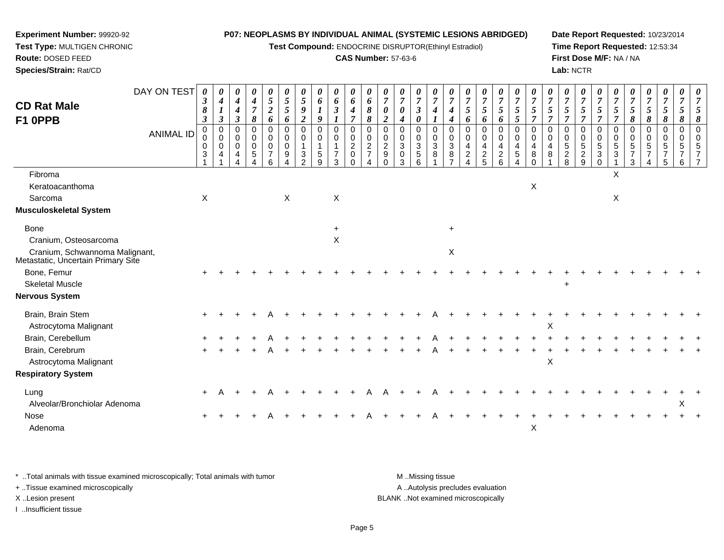**Test Compound:** ENDOCRINE DISRUPTOR(Ethinyl Estradiol)

# **CAS Number:** 57-63-6

**Date Report Requested:** 10/23/2014**Time Report Requested:** 12:53:34**First Dose M/F:** NA / NA**Lab:** NCTR

| <b>CD Rat Male</b><br>F1 0PPB                                        | DAY ON TEST<br><b>ANIMAL ID</b> | $\boldsymbol{\theta}$<br>$\boldsymbol{\beta}$<br>8<br>$\mathfrak{z}$<br>$\pmb{0}$<br>0<br>0<br>3 | 0<br>$\boldsymbol{4}$<br>$\boldsymbol{l}$<br>$\boldsymbol{\beta}$<br>$\pmb{0}$<br>$\mathbf 0$<br>0<br>4 | 0<br>4<br>4<br>$\boldsymbol{\mathfrak{z}}$<br>0<br>0<br>$\mathbf 0$<br>4 | 0<br>$\boldsymbol{4}$<br>$\overline{7}$<br>$\pmb{8}$<br>0<br>0<br>$\mathbf 0$<br>5 | 0<br>$\mathfrak{s}$<br>$\overline{\mathbf{c}}$<br>6<br>0<br>$\pmb{0}$<br>$\pmb{0}$<br>$\overline{7}$<br>6 | 0<br>$\mathfrak{s}$<br>5<br>6<br>$\mathbf 0$<br>0<br>$\mathbf 0$<br>9 | 0<br>$\sqrt{5}$<br>$\boldsymbol{g}$<br>$\boldsymbol{2}$<br>$\mathbf 0$<br>0<br>$\mathbf{1}$<br>3<br>$\mathfrak{p}$ | 0<br>6<br>9<br>$\Omega$<br>$\mathbf 0$<br>5<br>9 | 0<br>6<br>$\mathfrak{z}$<br>0<br>0<br>$\mathbf{1}$<br>$\overline{7}$<br>3 | 0<br>6<br>$\boldsymbol{4}$<br>$\mathbf 0$<br>$\pmb{0}$<br>$\boldsymbol{2}$<br>$\mathbf 0$<br>$\Omega$ | 0<br>6<br>8<br>8<br>$\pmb{0}$<br>$\pmb{0}$<br>$\sqrt{2}$<br>$\overline{7}$ | 0<br>$\overline{7}$<br>$\boldsymbol{\theta}$<br>$\overline{2}$<br>$\mathbf 0$<br>$\pmb{0}$<br>$\overline{2}$<br>$\boldsymbol{9}$ | 0<br>$\overline{7}$<br>0<br>4<br>0<br>0<br>3<br>$\mathbf 0$<br>3 | 0<br>$\overline{7}$<br>$\boldsymbol{\beta}$<br>0<br>0<br>0<br>$\sqrt{3}$<br>5<br>6 | 0<br>$\overline{7}$<br>4<br>$\mathbf 0$<br>$\mathbf 0$<br>$\sqrt{3}$<br>$\,8\,$ | $\theta$<br>$\overline{7}$<br>4<br>4<br>$\mathbf 0$<br>$\mathbf 0$<br>$\ensuremath{\mathsf{3}}$<br>8 | $\overline{7}$<br>5<br>6<br>$\Omega$<br>$\Omega$<br>4<br>$\overline{c}$<br>$\boldsymbol{\Lambda}$ | 0<br>$\overline{7}$<br>5<br>6<br>0<br>0<br>4<br>$\overline{a}$<br>5 | 0<br>$\overline{7}$<br>5<br>6<br>0<br>0<br>$\overline{4}$<br>$\overline{c}$<br>$6\phantom{a}$ | 0<br>$\overline{7}$<br>5<br>5<br>$\mathbf 0$<br>$\mathbf 0$<br>4<br>$5\,$<br>$\overline{4}$ | 0<br>$\overline{7}$<br>5<br>$\overline{7}$<br>0<br>$\mathbf 0$<br>4<br>8<br>$\Omega$ | $\overline{7}$<br>5<br>$\overline{7}$<br>$\Omega$<br>$\Omega$<br>4<br>8 | 0<br>$\overline{7}$<br>5<br>$\Omega$<br>$\Omega$<br>5<br>$\overline{c}$<br>8 | 0<br>$\boldsymbol{7}$<br>5<br>$\overline{7}$<br>0<br>0<br>$\sqrt{5}$<br>$\overline{c}$<br>$\boldsymbol{9}$ | 0<br>$\overline{7}$<br>5<br>$\overline{7}$<br>$\mathbf 0$<br>$\mathbf 0$<br>5<br>$\sqrt{3}$<br>$\mathbf 0$ | $\theta$<br>$\overline{7}$<br>5<br>7<br>$\Omega$<br>0<br>5<br>$\sqrt{3}$ | 5<br>8<br>0<br>$\Omega$<br>5<br>3 | 0<br>$\overline{7}$<br>5<br>8<br>0<br>$\Omega$<br>5 | 0<br>$\boldsymbol{7}$<br>5<br>8<br>0<br>$\mathbf 0$<br>5<br>5 | 0<br>$\overline{7}$<br>5<br>8<br>0<br>$\Omega$<br>5<br>6 | $\boldsymbol{\mathit{U}}$ |
|----------------------------------------------------------------------|---------------------------------|--------------------------------------------------------------------------------------------------|---------------------------------------------------------------------------------------------------------|--------------------------------------------------------------------------|------------------------------------------------------------------------------------|-----------------------------------------------------------------------------------------------------------|-----------------------------------------------------------------------|--------------------------------------------------------------------------------------------------------------------|--------------------------------------------------|---------------------------------------------------------------------------|-------------------------------------------------------------------------------------------------------|----------------------------------------------------------------------------|----------------------------------------------------------------------------------------------------------------------------------|------------------------------------------------------------------|------------------------------------------------------------------------------------|---------------------------------------------------------------------------------|------------------------------------------------------------------------------------------------------|---------------------------------------------------------------------------------------------------|---------------------------------------------------------------------|-----------------------------------------------------------------------------------------------|---------------------------------------------------------------------------------------------|--------------------------------------------------------------------------------------|-------------------------------------------------------------------------|------------------------------------------------------------------------------|------------------------------------------------------------------------------------------------------------|------------------------------------------------------------------------------------------------------------|--------------------------------------------------------------------------|-----------------------------------|-----------------------------------------------------|---------------------------------------------------------------|----------------------------------------------------------|---------------------------|
| Fibroma<br>Keratoacanthoma                                           |                                 |                                                                                                  |                                                                                                         |                                                                          |                                                                                    |                                                                                                           |                                                                       |                                                                                                                    |                                                  |                                                                           |                                                                                                       |                                                                            |                                                                                                                                  |                                                                  |                                                                                    |                                                                                 |                                                                                                      |                                                                                                   |                                                                     |                                                                                               |                                                                                             | $\boldsymbol{\mathsf{X}}$                                                            |                                                                         |                                                                              |                                                                                                            |                                                                                                            | X                                                                        |                                   |                                                     |                                                               |                                                          |                           |
|                                                                      |                                 | $\mathsf X$                                                                                      |                                                                                                         |                                                                          |                                                                                    |                                                                                                           | $\sf X$                                                               |                                                                                                                    |                                                  |                                                                           |                                                                                                       |                                                                            |                                                                                                                                  |                                                                  |                                                                                    |                                                                                 |                                                                                                      |                                                                                                   |                                                                     |                                                                                               |                                                                                             |                                                                                      |                                                                         |                                                                              |                                                                                                            |                                                                                                            | $\pmb{\times}$                                                           |                                   |                                                     |                                                               |                                                          |                           |
| Sarcoma<br>Musculoskeletal System                                    |                                 |                                                                                                  |                                                                                                         |                                                                          |                                                                                    |                                                                                                           |                                                                       |                                                                                                                    |                                                  | X                                                                         |                                                                                                       |                                                                            |                                                                                                                                  |                                                                  |                                                                                    |                                                                                 |                                                                                                      |                                                                                                   |                                                                     |                                                                                               |                                                                                             |                                                                                      |                                                                         |                                                                              |                                                                                                            |                                                                                                            |                                                                          |                                   |                                                     |                                                               |                                                          |                           |
| <b>Bone</b>                                                          |                                 |                                                                                                  |                                                                                                         |                                                                          |                                                                                    |                                                                                                           |                                                                       |                                                                                                                    |                                                  | $\ddot{}$                                                                 |                                                                                                       |                                                                            |                                                                                                                                  |                                                                  |                                                                                    |                                                                                 | $\ddot{}$                                                                                            |                                                                                                   |                                                                     |                                                                                               |                                                                                             |                                                                                      |                                                                         |                                                                              |                                                                                                            |                                                                                                            |                                                                          |                                   |                                                     |                                                               |                                                          |                           |
| Cranium, Osteosarcoma                                                |                                 |                                                                                                  |                                                                                                         |                                                                          |                                                                                    |                                                                                                           |                                                                       |                                                                                                                    |                                                  | $\mathsf X$                                                               |                                                                                                       |                                                                            |                                                                                                                                  |                                                                  |                                                                                    |                                                                                 |                                                                                                      |                                                                                                   |                                                                     |                                                                                               |                                                                                             |                                                                                      |                                                                         |                                                                              |                                                                                                            |                                                                                                            |                                                                          |                                   |                                                     |                                                               |                                                          |                           |
| Cranium, Schwannoma Malignant,<br>Metastatic, Uncertain Primary Site |                                 |                                                                                                  |                                                                                                         |                                                                          |                                                                                    |                                                                                                           |                                                                       |                                                                                                                    |                                                  |                                                                           |                                                                                                       |                                                                            |                                                                                                                                  |                                                                  |                                                                                    |                                                                                 | $\mathsf X$                                                                                          |                                                                                                   |                                                                     |                                                                                               |                                                                                             |                                                                                      |                                                                         |                                                                              |                                                                                                            |                                                                                                            |                                                                          |                                   |                                                     |                                                               |                                                          |                           |
| Bone, Femur                                                          |                                 |                                                                                                  |                                                                                                         |                                                                          |                                                                                    |                                                                                                           |                                                                       |                                                                                                                    |                                                  |                                                                           |                                                                                                       |                                                                            |                                                                                                                                  |                                                                  |                                                                                    |                                                                                 |                                                                                                      |                                                                                                   |                                                                     |                                                                                               |                                                                                             |                                                                                      |                                                                         |                                                                              |                                                                                                            |                                                                                                            |                                                                          |                                   |                                                     |                                                               |                                                          |                           |
| <b>Skeletal Muscle</b>                                               |                                 |                                                                                                  |                                                                                                         |                                                                          |                                                                                    |                                                                                                           |                                                                       |                                                                                                                    |                                                  |                                                                           |                                                                                                       |                                                                            |                                                                                                                                  |                                                                  |                                                                                    |                                                                                 |                                                                                                      |                                                                                                   |                                                                     |                                                                                               |                                                                                             |                                                                                      |                                                                         | $\ddot{}$                                                                    |                                                                                                            |                                                                                                            |                                                                          |                                   |                                                     |                                                               |                                                          |                           |
| Nervous System                                                       |                                 |                                                                                                  |                                                                                                         |                                                                          |                                                                                    |                                                                                                           |                                                                       |                                                                                                                    |                                                  |                                                                           |                                                                                                       |                                                                            |                                                                                                                                  |                                                                  |                                                                                    |                                                                                 |                                                                                                      |                                                                                                   |                                                                     |                                                                                               |                                                                                             |                                                                                      |                                                                         |                                                                              |                                                                                                            |                                                                                                            |                                                                          |                                   |                                                     |                                                               |                                                          |                           |
| Brain, Brain Stem                                                    |                                 |                                                                                                  |                                                                                                         |                                                                          |                                                                                    |                                                                                                           |                                                                       |                                                                                                                    |                                                  |                                                                           |                                                                                                       |                                                                            |                                                                                                                                  |                                                                  |                                                                                    |                                                                                 |                                                                                                      |                                                                                                   |                                                                     |                                                                                               |                                                                                             |                                                                                      |                                                                         |                                                                              |                                                                                                            |                                                                                                            |                                                                          |                                   |                                                     |                                                               |                                                          |                           |
| Astrocytoma Malignant                                                |                                 |                                                                                                  |                                                                                                         |                                                                          |                                                                                    |                                                                                                           |                                                                       |                                                                                                                    |                                                  |                                                                           |                                                                                                       |                                                                            |                                                                                                                                  |                                                                  |                                                                                    |                                                                                 |                                                                                                      |                                                                                                   |                                                                     |                                                                                               |                                                                                             |                                                                                      | Χ                                                                       |                                                                              |                                                                                                            |                                                                                                            |                                                                          |                                   |                                                     |                                                               |                                                          |                           |
| Brain, Cerebellum<br>Brain, Cerebrum                                 |                                 |                                                                                                  |                                                                                                         |                                                                          |                                                                                    |                                                                                                           |                                                                       |                                                                                                                    |                                                  |                                                                           |                                                                                                       |                                                                            |                                                                                                                                  |                                                                  |                                                                                    |                                                                                 |                                                                                                      |                                                                                                   |                                                                     |                                                                                               |                                                                                             |                                                                                      |                                                                         |                                                                              |                                                                                                            |                                                                                                            |                                                                          |                                   |                                                     |                                                               |                                                          |                           |
| Astrocytoma Malignant                                                |                                 |                                                                                                  |                                                                                                         |                                                                          |                                                                                    |                                                                                                           |                                                                       |                                                                                                                    |                                                  |                                                                           |                                                                                                       |                                                                            |                                                                                                                                  |                                                                  |                                                                                    |                                                                                 |                                                                                                      |                                                                                                   |                                                                     |                                                                                               |                                                                                             |                                                                                      | $\boldsymbol{\mathsf{X}}$                                               |                                                                              |                                                                                                            |                                                                                                            |                                                                          |                                   |                                                     |                                                               |                                                          |                           |
| <b>Respiratory System</b>                                            |                                 |                                                                                                  |                                                                                                         |                                                                          |                                                                                    |                                                                                                           |                                                                       |                                                                                                                    |                                                  |                                                                           |                                                                                                       |                                                                            |                                                                                                                                  |                                                                  |                                                                                    |                                                                                 |                                                                                                      |                                                                                                   |                                                                     |                                                                                               |                                                                                             |                                                                                      |                                                                         |                                                                              |                                                                                                            |                                                                                                            |                                                                          |                                   |                                                     |                                                               |                                                          |                           |
| Lung                                                                 |                                 |                                                                                                  |                                                                                                         |                                                                          |                                                                                    |                                                                                                           |                                                                       |                                                                                                                    |                                                  |                                                                           |                                                                                                       |                                                                            |                                                                                                                                  |                                                                  |                                                                                    |                                                                                 |                                                                                                      |                                                                                                   |                                                                     |                                                                                               |                                                                                             |                                                                                      |                                                                         |                                                                              |                                                                                                            |                                                                                                            |                                                                          |                                   |                                                     |                                                               |                                                          |                           |
| Alveolar/Bronchiolar Adenoma                                         |                                 |                                                                                                  |                                                                                                         |                                                                          |                                                                                    |                                                                                                           |                                                                       |                                                                                                                    |                                                  |                                                                           |                                                                                                       |                                                                            |                                                                                                                                  |                                                                  |                                                                                    |                                                                                 |                                                                                                      |                                                                                                   |                                                                     |                                                                                               |                                                                                             |                                                                                      |                                                                         |                                                                              |                                                                                                            |                                                                                                            |                                                                          |                                   |                                                     |                                                               | X                                                        |                           |
| <b>Nose</b>                                                          |                                 |                                                                                                  |                                                                                                         |                                                                          |                                                                                    |                                                                                                           |                                                                       |                                                                                                                    |                                                  |                                                                           |                                                                                                       |                                                                            |                                                                                                                                  |                                                                  |                                                                                    |                                                                                 |                                                                                                      |                                                                                                   |                                                                     |                                                                                               |                                                                                             |                                                                                      |                                                                         |                                                                              |                                                                                                            |                                                                                                            |                                                                          |                                   |                                                     |                                                               |                                                          |                           |
| Adenoma                                                              |                                 |                                                                                                  |                                                                                                         |                                                                          |                                                                                    |                                                                                                           |                                                                       |                                                                                                                    |                                                  |                                                                           |                                                                                                       |                                                                            |                                                                                                                                  |                                                                  |                                                                                    |                                                                                 |                                                                                                      |                                                                                                   |                                                                     |                                                                                               |                                                                                             | X                                                                                    |                                                                         |                                                                              |                                                                                                            |                                                                                                            |                                                                          |                                   |                                                     |                                                               |                                                          |                           |

\* ..Total animals with tissue examined microscopically; Total animals with tumor **M** . Missing tissue M ..Missing tissue A ..Autolysis precludes evaluation + ..Tissue examined microscopically X ..Lesion present BLANK ..Not examined microscopicallyI ..Insufficient tissue

**Experiment Number:** 99920-92**Test Type:** MULTIGEN CHRONIC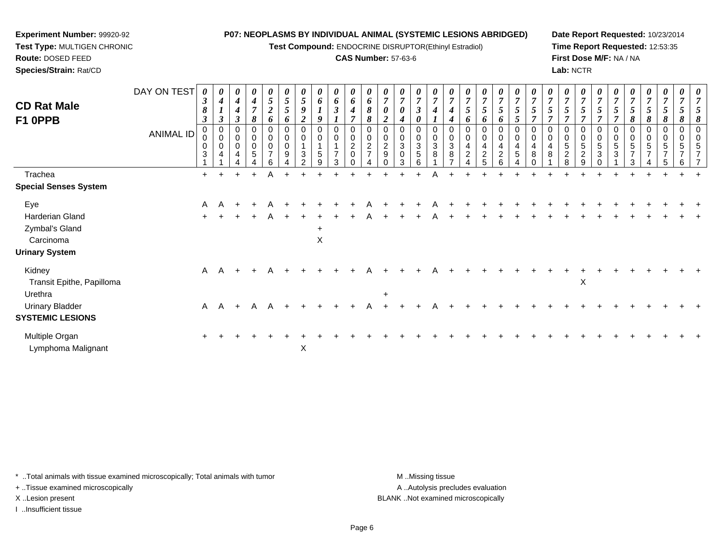**Test Compound:** ENDOCRINE DISRUPTOR(Ethinyl Estradiol)

#### **CAS Number:** 57-63-6

**Date Report Requested:** 10/23/2014**Time Report Requested:** 12:53:35**First Dose M/F:** NA / NA**Lab:** NCTR

| <b>CD Rat Male</b><br>F1 0PPB                                                  | DAY ON TEST<br><b>ANIMAL ID</b> | 0<br>$\boldsymbol{\beta}$<br>8<br>$\boldsymbol{\beta}$<br>$\pmb{0}$<br>0<br>0<br>$\mathbf{3}$ | 0<br>$\boldsymbol{4}$<br>$\boldsymbol{l}$<br>$\boldsymbol{\beta}$<br>$\mathbf 0$<br>$\pmb{0}$<br>$\pmb{0}$<br>$\overline{4}$ | 0<br>4<br>4<br>$\boldsymbol{\beta}$<br>0<br>$\mathbf 0$<br>$\mathbf 0$<br>4 | 0<br>$\boldsymbol{4}$<br>$\overline{7}$<br>8<br>0<br>0<br>0<br>5 | 0<br>5<br>$\boldsymbol{2}$<br>6<br>0<br>$\pmb{0}$<br>$\pmb{0}$<br>$\overline{ }$<br>6 | 0<br>5<br>$\overline{5}$<br>6<br>0<br>$\pmb{0}$<br>$\pmb{0}$<br>$\boldsymbol{9}$ | 5<br>$\boldsymbol{g}$<br>$\boldsymbol{2}$<br>0<br>$\mathbf 0$<br>1<br>$\mathbf{3}$<br>$\mathcal{P}$ | 0<br>6<br>9<br>0<br>$\mathbf 0$<br>$\overline{5}$<br>9 | 0<br>6<br>$\mathfrak{z}$<br>0<br>$\pmb{0}$<br>$\overline{1}$<br>$\overline{7}$<br>3 | 0<br>6<br>$\boldsymbol{4}$<br>$\overline{ }$<br>0<br>$\pmb{0}$<br>$\overline{2}$<br>$\mathbf 0$<br>$\Omega$ | 0<br>6<br>8<br>8<br>0<br>$\pmb{0}$<br>$\sqrt{2}$<br>$\rightarrow$ | $\overline{7}$<br>$\boldsymbol{\theta}$<br>$\overline{2}$<br>0<br>$\overline{2}$<br>$\boldsymbol{9}$ | 0<br>$\overline{7}$<br>0<br>0<br>0<br>3<br>$\mathbf 0$<br>3 | 0<br>$\overline{7}$<br>$\boldsymbol{\beta}$<br>0<br>$\pmb{0}$<br>$\sqrt{3}$<br>5<br>6 | 0<br>$\overline{7}$<br>0<br>$\pmb{0}$<br>$\ensuremath{\mathsf{3}}$<br>8 | 4<br>0<br>$\mathbf 0$<br>$\ensuremath{\mathsf{3}}$<br>$\,8\,$ | $\overline{7}$<br>5<br>$\bm{o}$<br>0<br>4<br>$\overline{c}$ | 0<br>$\overline{7}$<br>$5\overline{)}$<br>6<br>0<br>0<br>4<br>$\overline{c}$<br>5 | 0<br>$\boldsymbol{7}$<br>$5\overline{)}$<br>6<br>0<br>$\,0\,$<br>4<br>$\frac{2}{6}$ | $\boldsymbol{\theta}$<br>$\overline{7}$<br>5<br>5<br>0<br>$\pmb{0}$<br>$\overline{\mathbf{4}}$<br>5<br>Δ | 0<br>$\overline{7}$<br>5<br>0<br>0<br>4<br>$\,8\,$<br>U | $\overline{7}$<br>$\overline{5}$<br>0<br>4<br>8 | 0<br>$\overline{7}$<br>$5\overline{)}$<br>7<br>0<br>0<br>5<br>$\overline{c}$<br>8 | 0<br>$\boldsymbol{7}$<br>$\mathfrak{s}$<br>0<br>$\,0\,$<br>$\sqrt{5}$<br>$\boldsymbol{2}$<br>9 | 0<br>$\overline{7}$<br>5<br>0<br>$\mathbf 0$<br>$\sqrt{5}$<br>$\mathfrak{S}$<br>$\Omega$ | 5<br>0<br>0<br>5<br>$\mathbf{3}$ | 5<br>8<br>$\mathbf 0$<br>5<br>$\mathcal{R}$ | 0<br>$\boldsymbol{7}$<br>$5\overline{)}$<br>8<br>0<br>0<br>5<br>$\overline{\phantom{a}}$ | 0<br>$\overline{7}$<br>$5\overline{)}$<br>8<br>0<br>$\,0\,$<br>5<br>$\overline{7}$<br>5 | 0<br>$\overline{7}$<br>5<br>8<br>0<br>0<br>5<br>$\overline{ }$<br>6 | $\boldsymbol{\theta}$ |
|--------------------------------------------------------------------------------|---------------------------------|-----------------------------------------------------------------------------------------------|------------------------------------------------------------------------------------------------------------------------------|-----------------------------------------------------------------------------|------------------------------------------------------------------|---------------------------------------------------------------------------------------|----------------------------------------------------------------------------------|-----------------------------------------------------------------------------------------------------|--------------------------------------------------------|-------------------------------------------------------------------------------------|-------------------------------------------------------------------------------------------------------------|-------------------------------------------------------------------|------------------------------------------------------------------------------------------------------|-------------------------------------------------------------|---------------------------------------------------------------------------------------|-------------------------------------------------------------------------|---------------------------------------------------------------|-------------------------------------------------------------|-----------------------------------------------------------------------------------|-------------------------------------------------------------------------------------|----------------------------------------------------------------------------------------------------------|---------------------------------------------------------|-------------------------------------------------|-----------------------------------------------------------------------------------|------------------------------------------------------------------------------------------------|------------------------------------------------------------------------------------------|----------------------------------|---------------------------------------------|------------------------------------------------------------------------------------------|-----------------------------------------------------------------------------------------|---------------------------------------------------------------------|-----------------------|
| Trachea                                                                        |                                 | $+$                                                                                           |                                                                                                                              | $\ddot{}$                                                                   |                                                                  | Α                                                                                     |                                                                                  |                                                                                                     |                                                        |                                                                                     |                                                                                                             |                                                                   |                                                                                                      |                                                             |                                                                                       |                                                                         |                                                               |                                                             |                                                                                   |                                                                                     |                                                                                                          |                                                         |                                                 |                                                                                   |                                                                                                |                                                                                          |                                  |                                             |                                                                                          |                                                                                         |                                                                     |                       |
| <b>Special Senses System</b>                                                   |                                 |                                                                                               |                                                                                                                              |                                                                             |                                                                  |                                                                                       |                                                                                  |                                                                                                     |                                                        |                                                                                     |                                                                                                             |                                                                   |                                                                                                      |                                                             |                                                                                       |                                                                         |                                                               |                                                             |                                                                                   |                                                                                     |                                                                                                          |                                                         |                                                 |                                                                                   |                                                                                                |                                                                                          |                                  |                                             |                                                                                          |                                                                                         |                                                                     |                       |
| Eye<br>Harderian Gland<br>Zymbal's Gland<br>Carcinoma<br><b>Urinary System</b> |                                 | A<br>$\ddot{}$                                                                                |                                                                                                                              |                                                                             |                                                                  |                                                                                       |                                                                                  |                                                                                                     | ÷<br>X                                                 |                                                                                     |                                                                                                             |                                                                   |                                                                                                      |                                                             |                                                                                       |                                                                         |                                                               |                                                             |                                                                                   |                                                                                     |                                                                                                          |                                                         |                                                 |                                                                                   |                                                                                                |                                                                                          |                                  |                                             |                                                                                          |                                                                                         |                                                                     |                       |
| Kidney<br>Transit Epithe, Papilloma<br>Urethra                                 |                                 | A                                                                                             | A                                                                                                                            |                                                                             |                                                                  |                                                                                       |                                                                                  |                                                                                                     |                                                        |                                                                                     |                                                                                                             |                                                                   | $\ddot{}$                                                                                            |                                                             |                                                                                       |                                                                         |                                                               |                                                             |                                                                                   |                                                                                     |                                                                                                          |                                                         |                                                 |                                                                                   | X                                                                                              |                                                                                          |                                  |                                             |                                                                                          |                                                                                         |                                                                     |                       |
| <b>Urinary Bladder</b><br><b>SYSTEMIC LESIONS</b>                              |                                 | A                                                                                             | A                                                                                                                            | $\ddot{+}$                                                                  | A                                                                |                                                                                       |                                                                                  |                                                                                                     |                                                        |                                                                                     |                                                                                                             |                                                                   |                                                                                                      |                                                             |                                                                                       |                                                                         |                                                               |                                                             |                                                                                   |                                                                                     |                                                                                                          |                                                         |                                                 |                                                                                   |                                                                                                |                                                                                          |                                  |                                             |                                                                                          |                                                                                         |                                                                     |                       |
| Multiple Organ<br>Lymphoma Malignant                                           |                                 | $\ddot{}$                                                                                     |                                                                                                                              |                                                                             |                                                                  |                                                                                       |                                                                                  | X                                                                                                   |                                                        |                                                                                     |                                                                                                             |                                                                   |                                                                                                      |                                                             |                                                                                       |                                                                         |                                                               |                                                             |                                                                                   |                                                                                     |                                                                                                          |                                                         |                                                 |                                                                                   |                                                                                                |                                                                                          |                                  |                                             |                                                                                          |                                                                                         |                                                                     |                       |

\* ..Total animals with tissue examined microscopically; Total animals with tumor **M** . Missing tissue M ..Missing tissue

+ ..Tissue examined microscopically

**Experiment Number:** 99920-92**Test Type:** MULTIGEN CHRONIC

**Route:** DOSED FEED**Species/Strain:** Rat/CD

I ..Insufficient tissue

A ..Autolysis precludes evaluation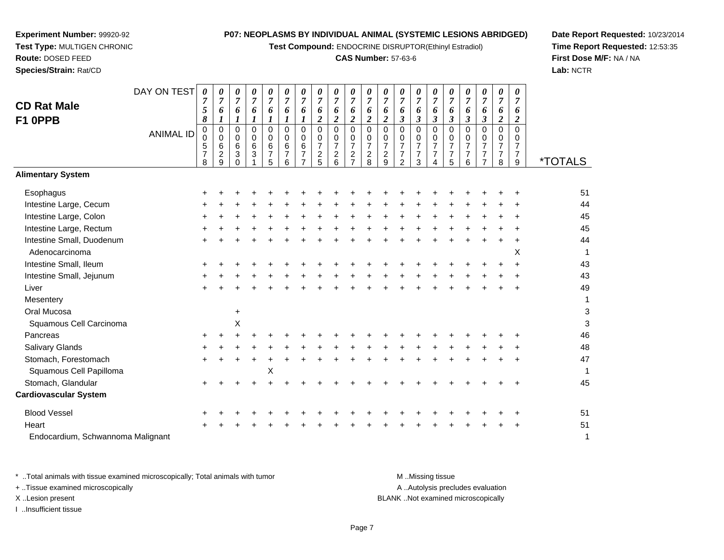**Test Compound:** ENDOCRINE DISRUPTOR(Ethinyl Estradiol)

# **CAS Number:** 57-63-6

**Date Report Requested:** 10/23/2014**Time Report Requested:** 12:53:35**First Dose M/F:** NA / NA**Lab:** NCTR

| <b>CD Rat Male</b><br>F1 OPPB               | DAY ON TEST      | 0<br>$\overline{7}$<br>5<br>8               | 0<br>$\overline{7}$<br>6<br>$\boldsymbol{l}$           | 0<br>$\overline{7}$<br>6<br>$\boldsymbol{l}$ | 0<br>$\overline{7}$<br>6<br>1 | 0<br>$\overline{7}$<br>6<br>$\mathbf{I}$                     | 0<br>$\overline{7}$<br>6<br>1                | 0<br>$\overline{7}$<br>6<br>1                     | 0<br>$\overline{7}$<br>6<br>$\overline{\mathbf{c}}$                | 0<br>$\overline{7}$<br>6<br>$\boldsymbol{2}$                | 0<br>7<br>6<br>$\overline{\mathbf{c}}$                              | 0<br>$\overline{7}$<br>6<br>$\overline{2}$          | 0<br>7<br>6<br>$\boldsymbol{2}$           | 0<br>7<br>6<br>3                                                              | 0<br>6<br>3                                            | 0<br>$\overline{7}$<br>6<br>$\mathfrak{z}$   | 0<br>$\overline{7}$<br>6<br>$\boldsymbol{\beta}$          | 0<br>$\overline{7}$<br>6<br>$\boldsymbol{\beta}$                    | 0<br>$\overline{7}$<br>6<br>$\boldsymbol{\beta}$                       | 0<br>$\overline{7}$<br>6<br>$\overline{a}$                          | 0<br>$\overline{7}$<br>6<br>$\boldsymbol{2}$    |                       |
|---------------------------------------------|------------------|---------------------------------------------|--------------------------------------------------------|----------------------------------------------|-------------------------------|--------------------------------------------------------------|----------------------------------------------|---------------------------------------------------|--------------------------------------------------------------------|-------------------------------------------------------------|---------------------------------------------------------------------|-----------------------------------------------------|-------------------------------------------|-------------------------------------------------------------------------------|--------------------------------------------------------|----------------------------------------------|-----------------------------------------------------------|---------------------------------------------------------------------|------------------------------------------------------------------------|---------------------------------------------------------------------|-------------------------------------------------|-----------------------|
|                                             | <b>ANIMAL ID</b> | 0<br>0<br>$\sqrt{5}$<br>$\overline{7}$<br>8 | $\mathbf 0$<br>$\mathbf 0$<br>6<br>$\overline{c}$<br>9 | 0<br>0<br>6<br>3<br>$\Omega$                 | 0<br>0<br>$\,6\,$<br>3        | $\mathbf 0$<br>$\mathbf 0$<br>$\,6\,$<br>$\overline{7}$<br>5 | 0<br>$\mathbf 0$<br>6<br>$\overline{7}$<br>6 | $\mathbf 0$<br>$\mathbf 0$<br>6<br>$\overline{7}$ | $\mathbf 0$<br>0<br>$\overline{7}$<br>$\overline{\mathbf{c}}$<br>5 | $\mathbf 0$<br>0<br>$\overline{7}$<br>$\boldsymbol{2}$<br>6 | $\Omega$<br>0<br>$\overline{7}$<br>$\overline{c}$<br>$\overline{7}$ | $\mathbf 0$<br>0<br>$\overline{7}$<br>$\frac{2}{8}$ | 0<br>0<br>$\overline{7}$<br>$\frac{2}{9}$ | $\Omega$<br>$\mathbf 0$<br>$\overline{7}$<br>$\overline{7}$<br>$\mathfrak{p}$ | $\Omega$<br>0<br>$\overline{7}$<br>$\overline{7}$<br>3 | $\mathbf 0$<br>0<br>$\overline{7}$<br>7<br>4 | $\mathbf 0$<br>0<br>$\overline{7}$<br>$\overline{7}$<br>5 | $\mathbf 0$<br>$\mathbf 0$<br>$\overline{7}$<br>$\overline{7}$<br>6 | $\mathbf 0$<br>0<br>$\overline{7}$<br>$\overline{7}$<br>$\overline{7}$ | $\pmb{0}$<br>$\mathbf 0$<br>$\overline{7}$<br>$\boldsymbol{7}$<br>8 | 0<br>0<br>$\overline{7}$<br>$\overline{7}$<br>9 | <i><b>*TOTALS</b></i> |
| <b>Alimentary System</b>                    |                  |                                             |                                                        |                                              |                               |                                                              |                                              |                                                   |                                                                    |                                                             |                                                                     |                                                     |                                           |                                                                               |                                                        |                                              |                                                           |                                                                     |                                                                        |                                                                     |                                                 |                       |
| Esophagus                                   |                  |                                             |                                                        |                                              |                               |                                                              |                                              |                                                   |                                                                    |                                                             |                                                                     |                                                     |                                           |                                                                               |                                                        |                                              |                                                           |                                                                     |                                                                        |                                                                     |                                                 | 51                    |
| Intestine Large, Cecum                      |                  |                                             |                                                        |                                              |                               |                                                              |                                              |                                                   |                                                                    |                                                             |                                                                     |                                                     |                                           |                                                                               |                                                        |                                              |                                                           |                                                                     |                                                                        |                                                                     |                                                 | 44                    |
| Intestine Large, Colon                      |                  |                                             |                                                        |                                              |                               |                                                              |                                              |                                                   |                                                                    |                                                             |                                                                     |                                                     |                                           |                                                                               |                                                        |                                              |                                                           |                                                                     |                                                                        |                                                                     |                                                 | 45                    |
| Intestine Large, Rectum                     |                  |                                             |                                                        |                                              |                               |                                                              |                                              |                                                   |                                                                    |                                                             |                                                                     |                                                     |                                           |                                                                               |                                                        |                                              |                                                           |                                                                     |                                                                        |                                                                     |                                                 | 45                    |
| Intestine Small, Duodenum<br>Adenocarcinoma |                  |                                             |                                                        |                                              |                               |                                                              |                                              |                                                   |                                                                    |                                                             |                                                                     |                                                     |                                           |                                                                               |                                                        |                                              |                                                           |                                                                     |                                                                        |                                                                     | ÷<br>X                                          | 44<br>$\overline{1}$  |
| Intestine Small, Ileum                      |                  |                                             |                                                        |                                              |                               |                                                              |                                              |                                                   |                                                                    |                                                             |                                                                     |                                                     |                                           |                                                                               |                                                        |                                              |                                                           |                                                                     |                                                                        |                                                                     | $\ddot{}$                                       | 43                    |
| Intestine Small, Jejunum                    |                  |                                             |                                                        |                                              |                               |                                                              |                                              |                                                   |                                                                    |                                                             |                                                                     |                                                     |                                           |                                                                               |                                                        |                                              |                                                           |                                                                     |                                                                        |                                                                     |                                                 | 43                    |
| Liver                                       |                  |                                             |                                                        |                                              |                               |                                                              |                                              |                                                   |                                                                    |                                                             |                                                                     |                                                     |                                           |                                                                               |                                                        |                                              |                                                           |                                                                     |                                                                        |                                                                     |                                                 | 49                    |
| Mesentery                                   |                  |                                             |                                                        |                                              |                               |                                                              |                                              |                                                   |                                                                    |                                                             |                                                                     |                                                     |                                           |                                                                               |                                                        |                                              |                                                           |                                                                     |                                                                        |                                                                     |                                                 | $\mathbf 1$           |
| Oral Mucosa                                 |                  |                                             |                                                        | +                                            |                               |                                                              |                                              |                                                   |                                                                    |                                                             |                                                                     |                                                     |                                           |                                                                               |                                                        |                                              |                                                           |                                                                     |                                                                        |                                                                     |                                                 | 3                     |
| Squamous Cell Carcinoma                     |                  |                                             |                                                        | X                                            |                               |                                                              |                                              |                                                   |                                                                    |                                                             |                                                                     |                                                     |                                           |                                                                               |                                                        |                                              |                                                           |                                                                     |                                                                        |                                                                     |                                                 | 3                     |
| Pancreas                                    |                  |                                             |                                                        |                                              |                               |                                                              |                                              |                                                   |                                                                    |                                                             |                                                                     |                                                     |                                           |                                                                               |                                                        |                                              |                                                           |                                                                     |                                                                        |                                                                     |                                                 | 46                    |
| Salivary Glands                             |                  |                                             |                                                        |                                              |                               |                                                              |                                              |                                                   |                                                                    |                                                             |                                                                     |                                                     |                                           |                                                                               |                                                        |                                              |                                                           |                                                                     |                                                                        |                                                                     |                                                 | 48                    |
| Stomach, Forestomach                        |                  |                                             |                                                        |                                              |                               |                                                              |                                              |                                                   |                                                                    |                                                             |                                                                     |                                                     |                                           |                                                                               |                                                        |                                              |                                                           |                                                                     |                                                                        |                                                                     |                                                 | 47                    |
| Squamous Cell Papilloma                     |                  |                                             |                                                        |                                              |                               | Χ                                                            |                                              |                                                   |                                                                    |                                                             |                                                                     |                                                     |                                           |                                                                               |                                                        |                                              |                                                           |                                                                     |                                                                        |                                                                     |                                                 | $\overline{1}$        |
| Stomach, Glandular                          |                  |                                             |                                                        |                                              |                               |                                                              |                                              |                                                   |                                                                    |                                                             |                                                                     |                                                     |                                           |                                                                               |                                                        |                                              |                                                           |                                                                     |                                                                        |                                                                     |                                                 | 45                    |
| <b>Cardiovascular System</b>                |                  |                                             |                                                        |                                              |                               |                                                              |                                              |                                                   |                                                                    |                                                             |                                                                     |                                                     |                                           |                                                                               |                                                        |                                              |                                                           |                                                                     |                                                                        |                                                                     |                                                 |                       |
| <b>Blood Vessel</b>                         |                  |                                             |                                                        |                                              |                               |                                                              |                                              |                                                   |                                                                    |                                                             |                                                                     |                                                     |                                           |                                                                               |                                                        |                                              |                                                           |                                                                     |                                                                        |                                                                     |                                                 | 51                    |
| Heart                                       |                  |                                             |                                                        |                                              |                               |                                                              |                                              |                                                   |                                                                    |                                                             |                                                                     |                                                     |                                           |                                                                               |                                                        |                                              |                                                           |                                                                     |                                                                        |                                                                     |                                                 | 51                    |
| Endocardium, Schwannoma Malignant           |                  |                                             |                                                        |                                              |                               |                                                              |                                              |                                                   |                                                                    |                                                             |                                                                     |                                                     |                                           |                                                                               |                                                        |                                              |                                                           |                                                                     |                                                                        |                                                                     |                                                 | 1                     |

**Experiment Number:** 99920-92**Test Type:** MULTIGEN CHRONIC

**Route:** DOSED FEED**Species/Strain:** Rat/CD

\* ..Total animals with tissue examined microscopically; Total animals with tumor **M** ...Missing tissue M ...Missing tissue A .. Autolysis precludes evaluation + ..Tissue examined microscopically X ..Lesion present BLANK ..Not examined microscopicallyI ..Insufficient tissue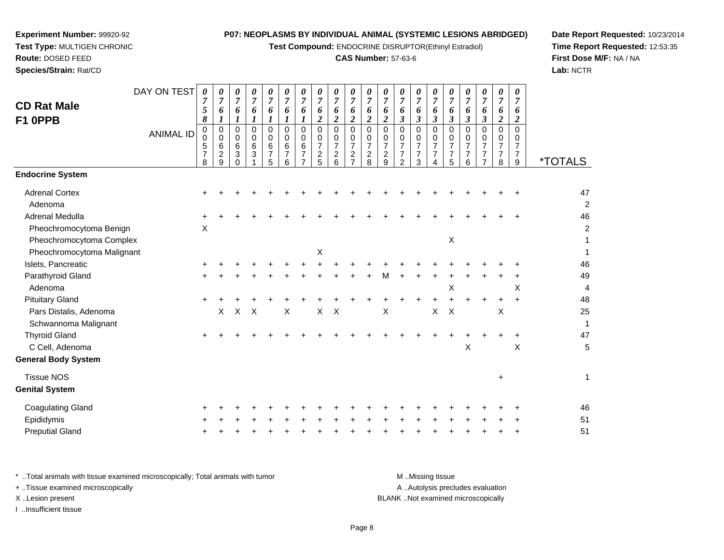**Test Compound:** ENDOCRINE DISRUPTOR(Ethinyl Estradiol)

# **CAS Number:** 57-63-6

**Date Report Requested:** 10/23/2014 **Time Report Requested:** 12:53:35**First Dose M/F:** NA / NA**Lab:** NCTR

| <b>CD Rat Male</b><br>F1 OPPB              | DAY ON TEST<br><b>ANIMAL ID</b> | 0<br>$\overline{7}$<br>5<br>8<br>0<br>0<br>5<br>$\overline{7}$<br>8 | 0<br>$\overline{7}$<br>6<br>1<br>$\mathbf 0$<br>$\mathbf 0$<br>6<br>2<br>9 | 0<br>$\overline{7}$<br>6<br>$\boldsymbol{l}$<br>0<br>$\mathsf{O}\xspace$<br>6<br>3<br>$\Omega$ | 0<br>$\overline{7}$<br>6<br>$\boldsymbol{l}$<br>0<br>0<br>6<br>3 | 0<br>$\overline{7}$<br>6<br>$\boldsymbol{l}$<br>$\Omega$<br>0<br>6<br>$\overline{7}$<br>5 | 0<br>$\overline{7}$<br>6<br>1<br>$\mathbf 0$<br>0<br>6<br>$\overline{7}$<br>6 | 0<br>$\overline{7}$<br>6<br>1<br>$\Omega$<br>$\mathbf 0$<br>6<br>$\overline{7}$<br>$\overline{ }$ | $\overline{7}$<br>6<br>$\boldsymbol{2}$<br>$\Omega$<br>$\mathbf 0$<br>$\overline{7}$<br>$\overline{\mathbf{c}}$<br>5 | 0<br>$\overline{7}$<br>6<br>$\overline{c}$<br>$\Omega$<br>$\mathbf 0$<br>$\overline{7}$<br>$\overline{c}$<br>6 | $\overline{7}$<br>6<br>$\overline{c}$<br>$\Omega$<br>0<br>$\overline{7}$<br>$\overline{c}$ | 0<br>$\overline{7}$<br>6<br>$\overline{c}$<br>$\mathbf 0$<br>$\mathbf 0$<br>$\overline{7}$<br>$\sqrt{2}$<br>8 | 0<br>$\overline{7}$<br>6<br>$\overline{\mathbf{c}}$<br>$\mathbf 0$<br>0<br>$\overline{7}$<br>$\frac{2}{9}$ | 0<br>$\overline{7}$<br>6<br>$\boldsymbol{\beta}$<br>$\Omega$<br>0<br>$\overline{7}$<br>$\overline{7}$<br>$\overline{2}$ | 0<br>$\overline{7}$<br>6<br>$\mathfrak{z}$<br>$\Omega$<br>0<br>$\overline{7}$<br>$\overline{7}$<br>3 | 0<br>$\overline{7}$<br>6<br>$\mathfrak{z}$<br>0<br>0<br>$\overline{7}$<br>$\boldsymbol{7}$<br>$\overline{4}$ | 0<br>$\overline{7}$<br>6<br>$\boldsymbol{\mathfrak{z}}$<br>0<br>0<br>$\overline{7}$<br>$\overline{7}$<br>5 | 0<br>$\overline{7}$<br>6<br>$\boldsymbol{\beta}$<br>$\Omega$<br>$\mathbf 0$<br>$\overline{7}$<br>$\overline{7}$<br>6 | 0<br>$\overline{7}$<br>6<br>$\boldsymbol{\beta}$<br>$\Omega$<br>0<br>$\overline{7}$ | 0<br>$\overline{7}$<br>6<br>$\overline{2}$<br>$\Omega$<br>$\mathbf 0$<br>$\overline{7}$<br>$\overline{7}$<br>8 | 0<br>$\overline{7}$<br>6<br>$\boldsymbol{2}$<br>$\Omega$<br>$\Omega$<br>$\overline{7}$<br>$\overline{7}$<br>9 | <i><b>*TOTALS</b></i> |
|--------------------------------------------|---------------------------------|---------------------------------------------------------------------|----------------------------------------------------------------------------|------------------------------------------------------------------------------------------------|------------------------------------------------------------------|-------------------------------------------------------------------------------------------|-------------------------------------------------------------------------------|---------------------------------------------------------------------------------------------------|----------------------------------------------------------------------------------------------------------------------|----------------------------------------------------------------------------------------------------------------|--------------------------------------------------------------------------------------------|---------------------------------------------------------------------------------------------------------------|------------------------------------------------------------------------------------------------------------|-------------------------------------------------------------------------------------------------------------------------|------------------------------------------------------------------------------------------------------|--------------------------------------------------------------------------------------------------------------|------------------------------------------------------------------------------------------------------------|----------------------------------------------------------------------------------------------------------------------|-------------------------------------------------------------------------------------|----------------------------------------------------------------------------------------------------------------|---------------------------------------------------------------------------------------------------------------|-----------------------|
| <b>Endocrine System</b>                    |                                 |                                                                     |                                                                            |                                                                                                |                                                                  |                                                                                           |                                                                               |                                                                                                   |                                                                                                                      |                                                                                                                |                                                                                            |                                                                                                               |                                                                                                            |                                                                                                                         |                                                                                                      |                                                                                                              |                                                                                                            |                                                                                                                      |                                                                                     |                                                                                                                |                                                                                                               |                       |
| <b>Adrenal Cortex</b>                      |                                 |                                                                     |                                                                            |                                                                                                |                                                                  |                                                                                           |                                                                               |                                                                                                   |                                                                                                                      |                                                                                                                |                                                                                            |                                                                                                               |                                                                                                            |                                                                                                                         |                                                                                                      |                                                                                                              |                                                                                                            |                                                                                                                      |                                                                                     |                                                                                                                |                                                                                                               | 47                    |
| Adenoma                                    |                                 |                                                                     |                                                                            |                                                                                                |                                                                  |                                                                                           |                                                                               |                                                                                                   |                                                                                                                      |                                                                                                                |                                                                                            |                                                                                                               |                                                                                                            |                                                                                                                         |                                                                                                      |                                                                                                              |                                                                                                            |                                                                                                                      |                                                                                     |                                                                                                                |                                                                                                               | $\overline{c}$        |
| Adrenal Medulla                            |                                 |                                                                     |                                                                            |                                                                                                |                                                                  |                                                                                           |                                                                               |                                                                                                   |                                                                                                                      |                                                                                                                |                                                                                            |                                                                                                               |                                                                                                            |                                                                                                                         |                                                                                                      |                                                                                                              |                                                                                                            |                                                                                                                      |                                                                                     |                                                                                                                |                                                                                                               | 46                    |
| Pheochromocytoma Benign                    |                                 | X                                                                   |                                                                            |                                                                                                |                                                                  |                                                                                           |                                                                               |                                                                                                   |                                                                                                                      |                                                                                                                |                                                                                            |                                                                                                               |                                                                                                            |                                                                                                                         |                                                                                                      |                                                                                                              |                                                                                                            |                                                                                                                      |                                                                                     |                                                                                                                |                                                                                                               | $\overline{c}$        |
| Pheochromocytoma Complex                   |                                 |                                                                     |                                                                            |                                                                                                |                                                                  |                                                                                           |                                                                               |                                                                                                   |                                                                                                                      |                                                                                                                |                                                                                            |                                                                                                               |                                                                                                            |                                                                                                                         |                                                                                                      |                                                                                                              | X                                                                                                          |                                                                                                                      |                                                                                     |                                                                                                                |                                                                                                               |                       |
| Pheochromocytoma Malignant                 |                                 |                                                                     |                                                                            |                                                                                                |                                                                  |                                                                                           |                                                                               |                                                                                                   | Χ                                                                                                                    |                                                                                                                |                                                                                            |                                                                                                               |                                                                                                            |                                                                                                                         |                                                                                                      |                                                                                                              |                                                                                                            |                                                                                                                      |                                                                                     |                                                                                                                |                                                                                                               |                       |
| Islets, Pancreatic                         |                                 |                                                                     |                                                                            |                                                                                                |                                                                  |                                                                                           |                                                                               |                                                                                                   |                                                                                                                      |                                                                                                                |                                                                                            |                                                                                                               |                                                                                                            |                                                                                                                         |                                                                                                      |                                                                                                              |                                                                                                            |                                                                                                                      |                                                                                     |                                                                                                                |                                                                                                               | 46                    |
| Parathyroid Gland                          |                                 |                                                                     |                                                                            |                                                                                                |                                                                  |                                                                                           |                                                                               |                                                                                                   |                                                                                                                      |                                                                                                                |                                                                                            |                                                                                                               | М                                                                                                          |                                                                                                                         |                                                                                                      |                                                                                                              |                                                                                                            |                                                                                                                      |                                                                                     |                                                                                                                |                                                                                                               | 49                    |
| Adenoma                                    |                                 |                                                                     |                                                                            |                                                                                                |                                                                  |                                                                                           |                                                                               |                                                                                                   |                                                                                                                      |                                                                                                                |                                                                                            |                                                                                                               |                                                                                                            |                                                                                                                         |                                                                                                      |                                                                                                              | X                                                                                                          |                                                                                                                      |                                                                                     |                                                                                                                | X                                                                                                             | 4                     |
| <b>Pituitary Gland</b>                     |                                 | $\ddot{}$                                                           |                                                                            |                                                                                                |                                                                  |                                                                                           |                                                                               |                                                                                                   |                                                                                                                      |                                                                                                                |                                                                                            |                                                                                                               |                                                                                                            |                                                                                                                         |                                                                                                      |                                                                                                              |                                                                                                            |                                                                                                                      | $\pm$                                                                               | $\ddot{}$                                                                                                      | $\ddot{}$                                                                                                     | 48                    |
| Pars Distalis, Adenoma                     |                                 |                                                                     | $\times$                                                                   | X                                                                                              | $\boldsymbol{\mathsf{X}}$                                        |                                                                                           | $\times$                                                                      |                                                                                                   | X                                                                                                                    | $\boldsymbol{\mathsf{X}}$                                                                                      |                                                                                            |                                                                                                               | X                                                                                                          |                                                                                                                         |                                                                                                      | X                                                                                                            | $\times$                                                                                                   |                                                                                                                      |                                                                                     | X                                                                                                              |                                                                                                               | 25                    |
| Schwannoma Malignant                       |                                 |                                                                     |                                                                            |                                                                                                |                                                                  |                                                                                           |                                                                               |                                                                                                   |                                                                                                                      |                                                                                                                |                                                                                            |                                                                                                               |                                                                                                            |                                                                                                                         |                                                                                                      |                                                                                                              |                                                                                                            |                                                                                                                      |                                                                                     |                                                                                                                |                                                                                                               | 1                     |
| <b>Thyroid Gland</b>                       |                                 | $\ddot{}$                                                           |                                                                            |                                                                                                |                                                                  |                                                                                           |                                                                               |                                                                                                   |                                                                                                                      |                                                                                                                |                                                                                            |                                                                                                               |                                                                                                            |                                                                                                                         |                                                                                                      |                                                                                                              |                                                                                                            |                                                                                                                      |                                                                                     |                                                                                                                | +                                                                                                             | 47                    |
| C Cell, Adenoma                            |                                 |                                                                     |                                                                            |                                                                                                |                                                                  |                                                                                           |                                                                               |                                                                                                   |                                                                                                                      |                                                                                                                |                                                                                            |                                                                                                               |                                                                                                            |                                                                                                                         |                                                                                                      |                                                                                                              |                                                                                                            | X                                                                                                                    |                                                                                     |                                                                                                                | X                                                                                                             | 5                     |
| <b>General Body System</b>                 |                                 |                                                                     |                                                                            |                                                                                                |                                                                  |                                                                                           |                                                                               |                                                                                                   |                                                                                                                      |                                                                                                                |                                                                                            |                                                                                                               |                                                                                                            |                                                                                                                         |                                                                                                      |                                                                                                              |                                                                                                            |                                                                                                                      |                                                                                     |                                                                                                                |                                                                                                               |                       |
| <b>Tissue NOS</b><br><b>Genital System</b> |                                 |                                                                     |                                                                            |                                                                                                |                                                                  |                                                                                           |                                                                               |                                                                                                   |                                                                                                                      |                                                                                                                |                                                                                            |                                                                                                               |                                                                                                            |                                                                                                                         |                                                                                                      |                                                                                                              |                                                                                                            |                                                                                                                      |                                                                                     | $\ddot{}$                                                                                                      |                                                                                                               | $\mathbf 1$           |

**Experiment Number:** 99920-92**Test Type:** MULTIGEN CHRONIC

| Coagulating Gland      |  |  |  |  |  |  |  |  |  |  | 46 |
|------------------------|--|--|--|--|--|--|--|--|--|--|----|
| Epididymis             |  |  |  |  |  |  |  |  |  |  | 51 |
| <b>Preputial Gland</b> |  |  |  |  |  |  |  |  |  |  | 51 |

| * Total animals with tissue examined microscopically; Total animals with tumor | M Missing tissue                   |
|--------------------------------------------------------------------------------|------------------------------------|
| + Tissue examined microscopically                                              | A Autolysis precludes evaluation   |
| X Lesion present                                                               | BLANK Not examined microscopically |
| Insufficient tissue                                                            |                                    |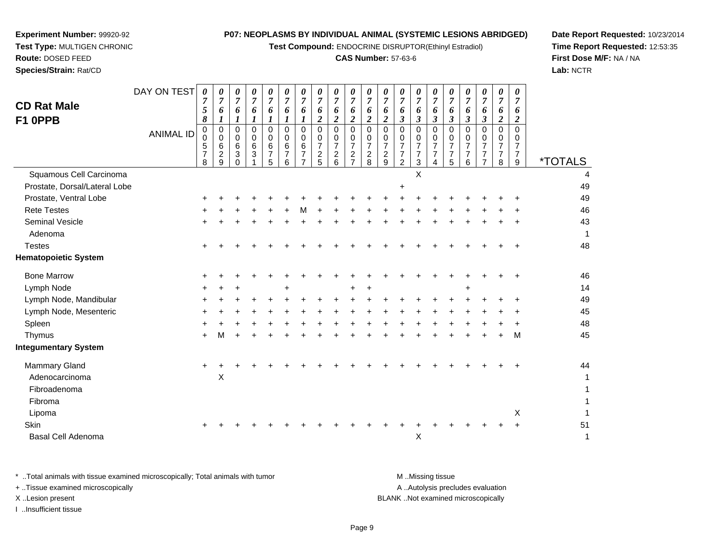**Test Compound:** ENDOCRINE DISRUPTOR(Ethinyl Estradiol)

# **CAS Number:** 57-63-6

**Date Report Requested:** 10/23/2014 **Time Report Requested:** 12:53:35**First Dose M/F:** NA / NA**Lab:** NCTR

| $\pmb{0}$<br>$\frac{0}{6}$<br>$\pmb{0}$<br>$\mathbf 0$<br>$\pmb{0}$<br>$\pmb{0}$<br>$\pmb{0}$<br>$\pmb{0}$<br>$\pmb{0}$<br>0<br>0<br>$\pmb{0}$<br>0<br>0<br>0<br>0<br>0<br>0<br>0<br>0<br>6<br>$\overline{7}$<br>$\,6\,$<br>$\overline{7}$<br>$\overline{7}$<br>$\sqrt{5}$<br>$\,6$<br>6<br>6<br>$\overline{7}$<br>$\overline{7}$<br>$\overline{7}$<br>$\overline{7}$<br>$\overline{7}$<br>$\overline{7}$<br>$\overline{7}$<br>$\overline{7}$<br>$\overline{7}$<br>$\overline{7}$<br>$\overline{7}$<br>$\overline{3}$<br>$\overline{7}$<br>$\frac{2}{9}$<br>$\boldsymbol{2}$<br>$\overline{7}$<br>$\overline{7}$<br>$\boldsymbol{2}$<br>$\mathbf{3}$<br>$\boldsymbol{7}$<br>$\overline{7}$<br>$\boldsymbol{2}$<br>$\boldsymbol{2}$<br>$\overline{c}$<br>$\overline{7}$<br>$\overline{7}$<br>$\overline{7}$<br>$\overline{7}$<br>$\overline{7}$<br>$\overline{7}$<br>5<br>5<br>6<br>$\overline{7}$<br>$\overline{8}$<br>$\overline{2}$<br>$\mathbf{3}$<br>$6\phantom{1}6$<br>$\overline{5}$<br>$\overline{7}$<br>8<br>9<br>8<br>9<br>6<br>0<br>1 | 4  |
|-------------------------------------------------------------------------------------------------------------------------------------------------------------------------------------------------------------------------------------------------------------------------------------------------------------------------------------------------------------------------------------------------------------------------------------------------------------------------------------------------------------------------------------------------------------------------------------------------------------------------------------------------------------------------------------------------------------------------------------------------------------------------------------------------------------------------------------------------------------------------------------------------------------------------------------------------------------------------------------------------------------------------------------------------|----|
| X<br>Squamous Cell Carcinoma                                                                                                                                                                                                                                                                                                                                                                                                                                                                                                                                                                                                                                                                                                                                                                                                                                                                                                                                                                                                                    |    |
| Prostate, Dorsal/Lateral Lobe<br>$\ddot{}$                                                                                                                                                                                                                                                                                                                                                                                                                                                                                                                                                                                                                                                                                                                                                                                                                                                                                                                                                                                                      | 49 |
| Prostate, Ventral Lobe                                                                                                                                                                                                                                                                                                                                                                                                                                                                                                                                                                                                                                                                                                                                                                                                                                                                                                                                                                                                                          | 49 |
| <b>Rete Testes</b>                                                                                                                                                                                                                                                                                                                                                                                                                                                                                                                                                                                                                                                                                                                                                                                                                                                                                                                                                                                                                              | 46 |
| <b>Seminal Vesicle</b>                                                                                                                                                                                                                                                                                                                                                                                                                                                                                                                                                                                                                                                                                                                                                                                                                                                                                                                                                                                                                          | 43 |
| Adenoma                                                                                                                                                                                                                                                                                                                                                                                                                                                                                                                                                                                                                                                                                                                                                                                                                                                                                                                                                                                                                                         | 1  |
| <b>Testes</b>                                                                                                                                                                                                                                                                                                                                                                                                                                                                                                                                                                                                                                                                                                                                                                                                                                                                                                                                                                                                                                   | 48 |
| <b>Hematopoietic System</b>                                                                                                                                                                                                                                                                                                                                                                                                                                                                                                                                                                                                                                                                                                                                                                                                                                                                                                                                                                                                                     |    |
| <b>Bone Marrow</b>                                                                                                                                                                                                                                                                                                                                                                                                                                                                                                                                                                                                                                                                                                                                                                                                                                                                                                                                                                                                                              | 46 |
| Lymph Node<br>$\div$                                                                                                                                                                                                                                                                                                                                                                                                                                                                                                                                                                                                                                                                                                                                                                                                                                                                                                                                                                                                                            | 14 |
| Lymph Node, Mandibular                                                                                                                                                                                                                                                                                                                                                                                                                                                                                                                                                                                                                                                                                                                                                                                                                                                                                                                                                                                                                          | 49 |
| Lymph Node, Mesenteric                                                                                                                                                                                                                                                                                                                                                                                                                                                                                                                                                                                                                                                                                                                                                                                                                                                                                                                                                                                                                          | 45 |
| Spleen                                                                                                                                                                                                                                                                                                                                                                                                                                                                                                                                                                                                                                                                                                                                                                                                                                                                                                                                                                                                                                          | 48 |
| Thymus<br>M<br>м<br>÷                                                                                                                                                                                                                                                                                                                                                                                                                                                                                                                                                                                                                                                                                                                                                                                                                                                                                                                                                                                                                           | 45 |
| <b>Integumentary System</b>                                                                                                                                                                                                                                                                                                                                                                                                                                                                                                                                                                                                                                                                                                                                                                                                                                                                                                                                                                                                                     |    |
| Mammary Gland<br>$\ddot{}$<br>$\ddot{}$                                                                                                                                                                                                                                                                                                                                                                                                                                                                                                                                                                                                                                                                                                                                                                                                                                                                                                                                                                                                         | 44 |
| X<br>Adenocarcinoma                                                                                                                                                                                                                                                                                                                                                                                                                                                                                                                                                                                                                                                                                                                                                                                                                                                                                                                                                                                                                             |    |
| Fibroadenoma                                                                                                                                                                                                                                                                                                                                                                                                                                                                                                                                                                                                                                                                                                                                                                                                                                                                                                                                                                                                                                    | 1  |
| Fibroma                                                                                                                                                                                                                                                                                                                                                                                                                                                                                                                                                                                                                                                                                                                                                                                                                                                                                                                                                                                                                                         | 1  |
| X<br>Lipoma                                                                                                                                                                                                                                                                                                                                                                                                                                                                                                                                                                                                                                                                                                                                                                                                                                                                                                                                                                                                                                     | 1  |
| Skin                                                                                                                                                                                                                                                                                                                                                                                                                                                                                                                                                                                                                                                                                                                                                                                                                                                                                                                                                                                                                                            | 51 |
| $\mathsf X$<br><b>Basal Cell Adenoma</b>                                                                                                                                                                                                                                                                                                                                                                                                                                                                                                                                                                                                                                                                                                                                                                                                                                                                                                                                                                                                        | 1  |

**Experiment Number:** 99920-92**Test Type:** MULTIGEN CHRONIC

| Total animals with tissue examined microscopically; Total animals with tumor | M Missing tissue                   |
|------------------------------------------------------------------------------|------------------------------------|
| + Tissue examined microscopically                                            | A Autolysis precludes evaluation   |
| X Lesion present                                                             | BLANK Not examined microscopically |
| Insufficient tissue                                                          |                                    |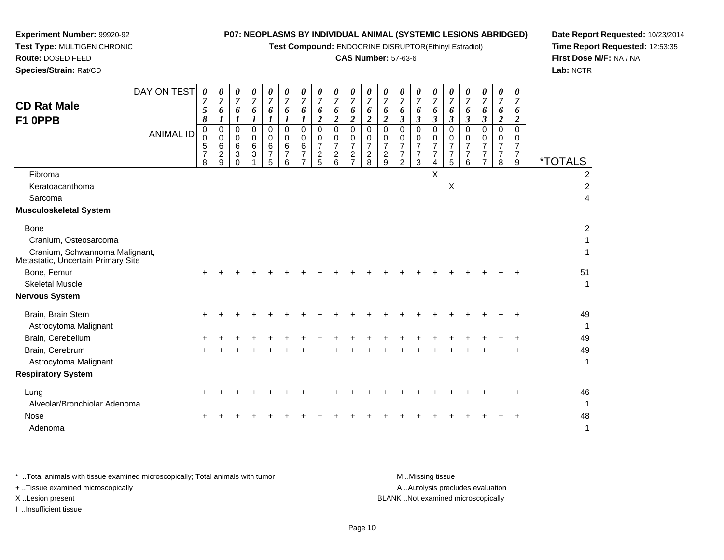**Test Compound:** ENDOCRINE DISRUPTOR(Ethinyl Estradiol)

# **CAS Number:** 57-63-6

**Date Report Requested:** 10/23/2014**Time Report Requested:** 12:53:35**First Dose M/F:** NA / NA**Lab:** NCTR

| <b>CD Rat Male</b><br>F1 OPPB                                        | DAY ON TEST<br><b>ANIMAL ID</b> | 0<br>$\overline{7}$<br>5<br>8<br>0<br>$\mathbf 0$<br>5<br>$\overline{7}$<br>8 | 0<br>$\overline{7}$<br>6<br>1<br>$\mathbf 0$<br>0<br>6<br>$\overline{c}$<br>9 | 0<br>$\overline{7}$<br>6<br>$\boldsymbol{l}$<br>$\mathbf 0$<br>$\mathbf 0$<br>$\,6\,$<br>$\sqrt{3}$<br>$\Omega$ | 0<br>$\overline{7}$<br>6<br>$\boldsymbol{l}$<br>$\pmb{0}$<br>0<br>$\,6\,$<br>$\sqrt{3}$ | 0<br>$\overline{7}$<br>6<br>$\boldsymbol{l}$<br>$\Omega$<br>0<br>$\,6$<br>$\overline{7}$<br>5 | 0<br>7<br>6<br>1<br>0<br>0<br>6<br>$\boldsymbol{7}$<br>6 | 0<br>$\overline{7}$<br>6<br>$\Omega$<br>0<br>6<br>$\overline{7}$ | 0<br>$\overline{7}$<br>6<br>$\boldsymbol{2}$<br>0<br>0<br>$\overline{7}$<br>$\boldsymbol{2}$<br>5 | 0<br>$\overline{7}$<br>6<br>$\overline{\mathbf{2}}$<br>$\Omega$<br>0<br>$\overline{7}$<br>$\boldsymbol{2}$<br>6 | 0<br>$\overline{7}$<br>6<br>$\overline{\mathbf{c}}$<br>0<br>0<br>$\overline{7}$<br>$\boldsymbol{2}$<br>$\overline{7}$ | 0<br>$\overline{7}$<br>6<br>$\boldsymbol{2}$<br>0<br>0<br>$\overline{7}$<br>$\overline{c}$<br>8 | 0<br>$\overline{7}$<br>6<br>$\overline{c}$<br>$\mathbf 0$<br>0<br>$\boldsymbol{7}$<br>$\frac{2}{9}$ | 0<br>$\boldsymbol{7}$<br>6<br>$\boldsymbol{\beta}$<br>$\Omega$<br>0<br>$\boldsymbol{7}$<br>$\boldsymbol{7}$<br>$\overline{2}$ | 0<br>$\overline{7}$<br>6<br>3<br>$\mathbf 0$<br>0<br>$\overline{7}$<br>$\overline{7}$<br>3 | 0<br>$\overline{7}$<br>6<br>$\mathfrak{z}$<br>0<br>$\mathbf 0$<br>$\boldsymbol{7}$<br>$\overline{7}$<br>$\overline{4}$ | 0<br>$\overline{7}$<br>6<br>$\boldsymbol{\beta}$<br>0<br>0<br>$\overline{7}$<br>$\overline{7}$<br>5 | 0<br>$\overline{7}$<br>6<br>$\boldsymbol{\beta}$<br>$\Omega$<br>0<br>7<br>$\overline{7}$<br>6 | 0<br>$\overline{7}$<br>6<br>$\mathfrak{z}$<br>$\Omega$<br>0<br>$\overline{7}$<br>$\overline{7}$<br>$\overline{7}$ | 0<br>7<br>6<br>$\boldsymbol{2}$<br>0<br>0<br>$\overline{7}$<br>$\overline{7}$<br>8 | 0<br>$\overline{7}$<br>6<br>$\boldsymbol{2}$<br>$\Omega$<br>$\Omega$<br>7<br>$\overline{7}$<br>9 | <i><b>*TOTALS</b></i> |
|----------------------------------------------------------------------|---------------------------------|-------------------------------------------------------------------------------|-------------------------------------------------------------------------------|-----------------------------------------------------------------------------------------------------------------|-----------------------------------------------------------------------------------------|-----------------------------------------------------------------------------------------------|----------------------------------------------------------|------------------------------------------------------------------|---------------------------------------------------------------------------------------------------|-----------------------------------------------------------------------------------------------------------------|-----------------------------------------------------------------------------------------------------------------------|-------------------------------------------------------------------------------------------------|-----------------------------------------------------------------------------------------------------|-------------------------------------------------------------------------------------------------------------------------------|--------------------------------------------------------------------------------------------|------------------------------------------------------------------------------------------------------------------------|-----------------------------------------------------------------------------------------------------|-----------------------------------------------------------------------------------------------|-------------------------------------------------------------------------------------------------------------------|------------------------------------------------------------------------------------|--------------------------------------------------------------------------------------------------|-----------------------|
| Fibroma                                                              |                                 |                                                                               |                                                                               |                                                                                                                 |                                                                                         |                                                                                               |                                                          |                                                                  |                                                                                                   |                                                                                                                 |                                                                                                                       |                                                                                                 |                                                                                                     |                                                                                                                               |                                                                                            | X                                                                                                                      |                                                                                                     |                                                                                               |                                                                                                                   |                                                                                    |                                                                                                  | 2                     |
| Keratoacanthoma                                                      |                                 |                                                                               |                                                                               |                                                                                                                 |                                                                                         |                                                                                               |                                                          |                                                                  |                                                                                                   |                                                                                                                 |                                                                                                                       |                                                                                                 |                                                                                                     |                                                                                                                               |                                                                                            |                                                                                                                        | X                                                                                                   |                                                                                               |                                                                                                                   |                                                                                    |                                                                                                  | $\overline{2}$        |
| Sarcoma                                                              |                                 |                                                                               |                                                                               |                                                                                                                 |                                                                                         |                                                                                               |                                                          |                                                                  |                                                                                                   |                                                                                                                 |                                                                                                                       |                                                                                                 |                                                                                                     |                                                                                                                               |                                                                                            |                                                                                                                        |                                                                                                     |                                                                                               |                                                                                                                   |                                                                                    |                                                                                                  | 4                     |
| <b>Musculoskeletal System</b>                                        |                                 |                                                                               |                                                                               |                                                                                                                 |                                                                                         |                                                                                               |                                                          |                                                                  |                                                                                                   |                                                                                                                 |                                                                                                                       |                                                                                                 |                                                                                                     |                                                                                                                               |                                                                                            |                                                                                                                        |                                                                                                     |                                                                                               |                                                                                                                   |                                                                                    |                                                                                                  |                       |
| <b>Bone</b>                                                          |                                 |                                                                               |                                                                               |                                                                                                                 |                                                                                         |                                                                                               |                                                          |                                                                  |                                                                                                   |                                                                                                                 |                                                                                                                       |                                                                                                 |                                                                                                     |                                                                                                                               |                                                                                            |                                                                                                                        |                                                                                                     |                                                                                               |                                                                                                                   |                                                                                    |                                                                                                  | $\overline{2}$        |
| Cranium, Osteosarcoma                                                |                                 |                                                                               |                                                                               |                                                                                                                 |                                                                                         |                                                                                               |                                                          |                                                                  |                                                                                                   |                                                                                                                 |                                                                                                                       |                                                                                                 |                                                                                                     |                                                                                                                               |                                                                                            |                                                                                                                        |                                                                                                     |                                                                                               |                                                                                                                   |                                                                                    |                                                                                                  | 1                     |
| Cranium, Schwannoma Malignant,<br>Metastatic, Uncertain Primary Site |                                 |                                                                               |                                                                               |                                                                                                                 |                                                                                         |                                                                                               |                                                          |                                                                  |                                                                                                   |                                                                                                                 |                                                                                                                       |                                                                                                 |                                                                                                     |                                                                                                                               |                                                                                            |                                                                                                                        |                                                                                                     |                                                                                               |                                                                                                                   |                                                                                    |                                                                                                  | 1                     |
| Bone, Femur                                                          |                                 |                                                                               |                                                                               |                                                                                                                 |                                                                                         |                                                                                               |                                                          |                                                                  |                                                                                                   |                                                                                                                 |                                                                                                                       |                                                                                                 |                                                                                                     |                                                                                                                               |                                                                                            |                                                                                                                        |                                                                                                     |                                                                                               |                                                                                                                   |                                                                                    |                                                                                                  | 51                    |
| <b>Skeletal Muscle</b>                                               |                                 |                                                                               |                                                                               |                                                                                                                 |                                                                                         |                                                                                               |                                                          |                                                                  |                                                                                                   |                                                                                                                 |                                                                                                                       |                                                                                                 |                                                                                                     |                                                                                                                               |                                                                                            |                                                                                                                        |                                                                                                     |                                                                                               |                                                                                                                   |                                                                                    |                                                                                                  | 1                     |
| <b>Nervous System</b>                                                |                                 |                                                                               |                                                                               |                                                                                                                 |                                                                                         |                                                                                               |                                                          |                                                                  |                                                                                                   |                                                                                                                 |                                                                                                                       |                                                                                                 |                                                                                                     |                                                                                                                               |                                                                                            |                                                                                                                        |                                                                                                     |                                                                                               |                                                                                                                   |                                                                                    |                                                                                                  |                       |
| Brain, Brain Stem                                                    |                                 |                                                                               |                                                                               |                                                                                                                 |                                                                                         |                                                                                               |                                                          |                                                                  |                                                                                                   |                                                                                                                 |                                                                                                                       |                                                                                                 |                                                                                                     |                                                                                                                               |                                                                                            |                                                                                                                        |                                                                                                     |                                                                                               |                                                                                                                   |                                                                                    |                                                                                                  | 49                    |
| Astrocytoma Malignant                                                |                                 |                                                                               |                                                                               |                                                                                                                 |                                                                                         |                                                                                               |                                                          |                                                                  |                                                                                                   |                                                                                                                 |                                                                                                                       |                                                                                                 |                                                                                                     |                                                                                                                               |                                                                                            |                                                                                                                        |                                                                                                     |                                                                                               |                                                                                                                   |                                                                                    |                                                                                                  | 1                     |
| Brain, Cerebellum                                                    |                                 |                                                                               |                                                                               |                                                                                                                 |                                                                                         |                                                                                               |                                                          |                                                                  |                                                                                                   |                                                                                                                 |                                                                                                                       |                                                                                                 |                                                                                                     |                                                                                                                               |                                                                                            |                                                                                                                        |                                                                                                     |                                                                                               |                                                                                                                   |                                                                                    |                                                                                                  | 49                    |
| Brain, Cerebrum                                                      |                                 |                                                                               |                                                                               |                                                                                                                 |                                                                                         |                                                                                               |                                                          |                                                                  |                                                                                                   |                                                                                                                 |                                                                                                                       |                                                                                                 |                                                                                                     |                                                                                                                               |                                                                                            |                                                                                                                        |                                                                                                     |                                                                                               |                                                                                                                   |                                                                                    |                                                                                                  | 49                    |
| Astrocytoma Malignant                                                |                                 |                                                                               |                                                                               |                                                                                                                 |                                                                                         |                                                                                               |                                                          |                                                                  |                                                                                                   |                                                                                                                 |                                                                                                                       |                                                                                                 |                                                                                                     |                                                                                                                               |                                                                                            |                                                                                                                        |                                                                                                     |                                                                                               |                                                                                                                   |                                                                                    |                                                                                                  | 1                     |
| <b>Respiratory System</b>                                            |                                 |                                                                               |                                                                               |                                                                                                                 |                                                                                         |                                                                                               |                                                          |                                                                  |                                                                                                   |                                                                                                                 |                                                                                                                       |                                                                                                 |                                                                                                     |                                                                                                                               |                                                                                            |                                                                                                                        |                                                                                                     |                                                                                               |                                                                                                                   |                                                                                    |                                                                                                  |                       |
| Lung                                                                 |                                 |                                                                               |                                                                               |                                                                                                                 |                                                                                         |                                                                                               |                                                          |                                                                  |                                                                                                   |                                                                                                                 |                                                                                                                       |                                                                                                 |                                                                                                     |                                                                                                                               |                                                                                            |                                                                                                                        |                                                                                                     |                                                                                               |                                                                                                                   |                                                                                    |                                                                                                  | 46                    |
| Alveolar/Bronchiolar Adenoma                                         |                                 |                                                                               |                                                                               |                                                                                                                 |                                                                                         |                                                                                               |                                                          |                                                                  |                                                                                                   |                                                                                                                 |                                                                                                                       |                                                                                                 |                                                                                                     |                                                                                                                               |                                                                                            |                                                                                                                        |                                                                                                     |                                                                                               |                                                                                                                   |                                                                                    |                                                                                                  | $\mathbf{1}$          |
| <b>Nose</b>                                                          |                                 |                                                                               |                                                                               |                                                                                                                 |                                                                                         |                                                                                               |                                                          |                                                                  |                                                                                                   |                                                                                                                 |                                                                                                                       |                                                                                                 |                                                                                                     |                                                                                                                               |                                                                                            |                                                                                                                        |                                                                                                     |                                                                                               |                                                                                                                   |                                                                                    |                                                                                                  | 48                    |
| Adenoma                                                              |                                 |                                                                               |                                                                               |                                                                                                                 |                                                                                         |                                                                                               |                                                          |                                                                  |                                                                                                   |                                                                                                                 |                                                                                                                       |                                                                                                 |                                                                                                     |                                                                                                                               |                                                                                            |                                                                                                                        |                                                                                                     |                                                                                               |                                                                                                                   |                                                                                    |                                                                                                  | 1                     |

**Experiment Number:** 99920-92**Test Type:** MULTIGEN CHRONIC

**Route:** DOSED FEED**Species/Strain:** Rat/CD

\* ..Total animals with tissue examined microscopically; Total animals with tumor **M** . Missing tissue M ..Missing tissue A ..Autolysis precludes evaluation + ..Tissue examined microscopically X ..Lesion present BLANK ..Not examined microscopicallyI ..Insufficient tissue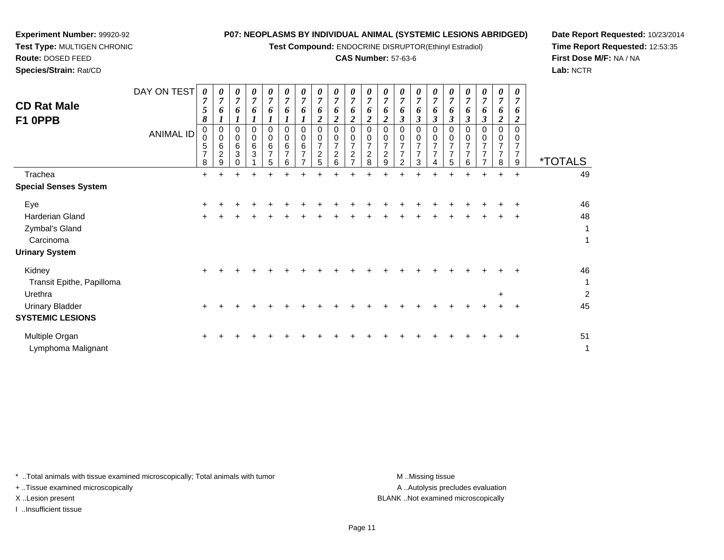**Test Compound:** ENDOCRINE DISRUPTOR(Ethinyl Estradiol)

# **CAS Number:** 57-63-6

**Date Report Requested:** 10/23/2014**Time Report Requested:** 12:53:35**First Dose M/F:** NA / NA**Lab:** NCTR

| <b>CD Rat Male</b><br>F1 0PPB                   | DAY ON TEST      | 0<br>$\overline{ }$<br>5 <sup>5</sup><br>8 | 0<br>7<br>6                        | 0<br>7<br>6           | 0<br>7<br>6            | 0<br>o                        | 0<br>7<br>6                        | 0<br>$\overline{ }$<br>6 | 0<br>7<br>6<br>∠                           | 0<br>$\overline{ }$<br>6<br>2 | 0<br>$\overline{ }$<br>6<br><u>ີ</u><br>∠ | $\boldsymbol{\theta}$<br>7<br>6<br>$\overline{2}$ | 0<br>r,<br>o<br>2 | 0<br>7<br>6<br>3 | 0<br>6<br>-<br>İ | $\boldsymbol{\theta}$<br>7<br>o<br>3 | 0<br>$\mathbf{r}$<br>$\bm{o}$<br>$\rightarrow$<br>J | 0<br>7<br>6<br>$\rightarrow$<br>J            | 0<br>$\overline{ }$<br>6<br>$\boldsymbol{\beta}$ | 0<br>$\overline{ }$<br>6<br>$\overline{2}$      | 0<br>7<br>o<br>2 |                       |
|-------------------------------------------------|------------------|--------------------------------------------|------------------------------------|-----------------------|------------------------|-------------------------------|------------------------------------|--------------------------|--------------------------------------------|-------------------------------|-------------------------------------------|---------------------------------------------------|-------------------|------------------|------------------|--------------------------------------|-----------------------------------------------------|----------------------------------------------|--------------------------------------------------|-------------------------------------------------|------------------|-----------------------|
|                                                 | <b>ANIMAL ID</b> | 5<br>$\overline{ }$<br>8                   | 0<br>0<br>6<br>$\overline{2}$<br>9 | 0<br>0<br>6<br>3<br>U | 0<br>$\,0\,$<br>6<br>3 | 0<br>6<br>$\overline{ }$<br>5 | 0<br>0<br>6<br>$\overline{ }$<br>6 | 0<br>6<br>$\overline{ }$ | U<br>$\overline{ }$<br>$\overline{2}$<br>5 | $\overline{ }$<br>2<br>6      | 0<br>0<br>–<br>$\sim$<br>–                | 0<br>0<br>⇁<br>$\overline{2}$<br>8                | 2<br>9            | 0<br>0<br>⇁<br>2 | 0<br>3           | ⇁<br>4                               | 5                                                   | 0<br>$\mathbf 0$<br>⇁<br>$\overline{ }$<br>6 | 0<br>0<br>–<br>$\overline{ }$<br>$\overline{ }$  | 0<br>0<br>$\overline{ }$<br>$\overline{ }$<br>8 | ⇁<br>⇁<br>9      | <i><b>*TOTALS</b></i> |
| Trachea                                         |                  | $+$                                        | $\pm$                              | ÷                     |                        |                               |                                    |                          |                                            | ٠                             |                                           | ÷                                                 |                   |                  |                  |                                      | ÷.                                                  | ٠                                            | ÷.                                               | $+$                                             | $\ddot{}$        | 49                    |
| <b>Special Senses System</b>                    |                  |                                            |                                    |                       |                        |                               |                                    |                          |                                            |                               |                                           |                                                   |                   |                  |                  |                                      |                                                     |                                              |                                                  |                                                 |                  |                       |
| Eye<br><b>Harderian Gland</b><br>Zymbal's Gland |                  | $+$                                        | ÷<br>÷                             |                       |                        |                               |                                    |                          |                                            |                               |                                           |                                                   |                   |                  |                  |                                      |                                                     |                                              |                                                  | ÷                                               | $\pm$<br>$\pm$   | 46<br>48<br>1         |
|                                                 |                  |                                            |                                    |                       |                        |                               |                                    |                          |                                            |                               |                                           |                                                   |                   |                  |                  |                                      |                                                     |                                              |                                                  |                                                 |                  |                       |

| Carcinoma                 |       |  |  |  |  |  |  |  |  |       |       |                |
|---------------------------|-------|--|--|--|--|--|--|--|--|-------|-------|----------------|
| <b>Urinary System</b>     |       |  |  |  |  |  |  |  |  |       |       |                |
| Kidney                    | $\pm$ |  |  |  |  |  |  |  |  |       | $+$   | 46             |
| Transit Epithe, Papilloma |       |  |  |  |  |  |  |  |  |       |       | и              |
| Urethra                   |       |  |  |  |  |  |  |  |  | $\pm$ |       | $\overline{2}$ |
| <b>Urinary Bladder</b>    | $+$   |  |  |  |  |  |  |  |  |       | $\pm$ | 45             |
| <b>SYSTEMIC LESIONS</b>   |       |  |  |  |  |  |  |  |  |       |       |                |
| Multiple Organ            | $+$   |  |  |  |  |  |  |  |  |       |       | 51             |
| Lymphoma Malignant        |       |  |  |  |  |  |  |  |  |       |       |                |

\* ..Total animals with tissue examined microscopically; Total animals with tumor **M** ...Missing tissue M ...Missing tissue

+ ..Tissue examined microscopically

**Experiment Number:** 99920-92**Test Type:** MULTIGEN CHRONIC

**Route:** DOSED FEED**Species/Strain:** Rat/CD

I ..Insufficient tissue

A .. Autolysis precludes evaluation X ..Lesion present BLANK ..Not examined microscopically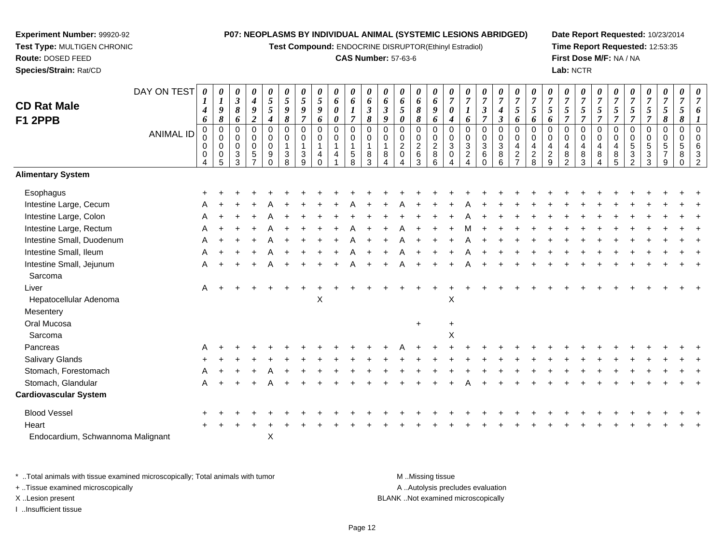**Test Compound:** ENDOCRINE DISRUPTOR(Ethinyl Estradiol)

#### **CAS Number:** 57-63-6

**Date Report Requested:** 10/23/2014**Time Report Requested:** 12:53:35**First Dose M/F:** NA / NA**Lab:** NCTR

00632

| <b>CD Rat Male</b><br><b>F1 2PPB</b> | DAY ON TEST      | 0<br>$\boldsymbol{l}$<br>$\boldsymbol{4}$<br>6 | 0<br>$\boldsymbol{l}$<br>$\boldsymbol{9}$<br>$\pmb{8}$         | 0<br>$\boldsymbol{\beta}$<br>8<br>6 | 0<br>$\boldsymbol{4}$<br>$\boldsymbol{g}$<br>$\overline{2}$             | 0<br>$\mathfrak{s}$<br>$\mathfrak{s}$<br>$\boldsymbol{4}$    | $\boldsymbol{\theta}$<br>$\sqrt{5}$<br>$\boldsymbol{9}$<br>$\pmb{8}$       | 0<br>$\mathfrak{s}$<br>9<br>$\overline{7}$          | 0<br>$\mathfrak{S}$<br>9<br>6                      | 0<br>6<br>$\pmb{\theta}$<br>0 | 0<br>$\pmb{6}$<br>$\boldsymbol{l}$<br>$\overline{7}$                              | $\boldsymbol{\theta}$<br>6<br>$\mathfrak{z}$<br>8 | 0<br>6<br>$\mathfrak{z}$<br>9 | 0<br>6<br>5<br>0                                                       | 0<br>6<br>$\pmb{8}$<br>8                         | 0<br>6<br>$\boldsymbol{g}$<br>6           | 0<br>$\overline{7}$<br>$\boldsymbol{\theta}$<br>$\boldsymbol{4}$ | 0<br>$\boldsymbol{7}$<br>$\boldsymbol{l}$<br>6                         | $\boldsymbol{\theta}$<br>$\overline{7}$<br>$\mathfrak{z}$<br>$\overline{7}$ | 0<br>$\overline{7}$<br>$\boldsymbol{4}$<br>$\boldsymbol{\beta}$ | 0<br>$\overline{7}$<br>$\sqrt{5}$<br>6                               | 0<br>$\boldsymbol{7}$<br>$5\overline{)}$<br>6    | 0<br>$\overline{7}$<br>$\mathfrak{s}$<br>6 | $\boldsymbol{\theta}$<br>$\overline{7}$<br>5<br>$\overline{7}$ | 0<br>$\overline{7}$<br>$\mathfrak{s}$<br>$\overline{7}$ | 0<br>$\overline{7}$<br>$\mathfrak{s}$<br>$\overline{7}$      | 0<br>$\overline{7}$<br>5<br>$\overline{7}$ | $\boldsymbol{\theta}$<br>$\overline{7}$<br>$\sqrt{5}$<br>$\overline{7}$ | $\boldsymbol{\theta}$<br>$\overline{7}$<br>$\mathfrak{s}$<br>$\overline{7}$ | $\boldsymbol{\theta}$<br>$\overline{7}$<br>$\sqrt{5}$<br>$\boldsymbol{\delta}$ | $\boldsymbol{\theta}$<br>$\overline{7}$<br>5<br>8           |  |
|--------------------------------------|------------------|------------------------------------------------|----------------------------------------------------------------|-------------------------------------|-------------------------------------------------------------------------|--------------------------------------------------------------|----------------------------------------------------------------------------|-----------------------------------------------------|----------------------------------------------------|-------------------------------|-----------------------------------------------------------------------------------|---------------------------------------------------|-------------------------------|------------------------------------------------------------------------|--------------------------------------------------|-------------------------------------------|------------------------------------------------------------------|------------------------------------------------------------------------|-----------------------------------------------------------------------------|-----------------------------------------------------------------|----------------------------------------------------------------------|--------------------------------------------------|--------------------------------------------|----------------------------------------------------------------|---------------------------------------------------------|--------------------------------------------------------------|--------------------------------------------|-------------------------------------------------------------------------|-----------------------------------------------------------------------------|--------------------------------------------------------------------------------|-------------------------------------------------------------|--|
|                                      | <b>ANIMAL ID</b> | $\mathbf 0$<br>0<br>0<br>0<br>4                | $\mathbf 0$<br>$\mathbf 0$<br>$\overline{0}$<br>$\pmb{0}$<br>5 | 0<br>0<br>0<br>3<br>3               | $\mathbf 0$<br>$\pmb{0}$<br>$\mathsf 0$<br>$\sqrt{5}$<br>$\overline{7}$ | $\mathbf 0$<br>$\pmb{0}$<br>$\mathbf 0$<br>$9\,$<br>$\Omega$ | $\mathbf 0$<br>$\pmb{0}$<br>$\mathbf{1}$<br>$\ensuremath{\mathsf{3}}$<br>8 | $\mathbf 0$<br>0<br>$\mathbf{1}$<br>$\sqrt{3}$<br>9 | $\mathsf{O}$<br>0<br>$\mathbf{1}$<br>4<br>$\Omega$ | $\mathbf 0$<br>0<br>4         | $\mathbf 0$<br>$\pmb{0}$<br>$\mathbf{1}$<br>$\begin{array}{c} 5 \\ 8 \end{array}$ | $\mathbf 0$<br>0<br>$\mathbf{1}$<br>8<br>3        | $\Omega$<br>0<br>1<br>8       | $\mathbf 0$<br>$\mathbf 0$<br>$\overline{c}$<br>$\pmb{0}$<br>$\Lambda$ | $\mathbf 0$<br>$\mathbf 0$<br>$\frac{2}{6}$<br>3 | $\mathbf 0$<br>$\pmb{0}$<br>$\frac{2}{8}$ | $\mathbf 0$<br>$\mathbf 0$<br>3<br>$\pmb{0}$<br>$\overline{4}$   | $\mathbf 0$<br>$\pmb{0}$<br>$\ensuremath{\mathsf{3}}$<br>$\frac{2}{4}$ | $\pmb{0}$<br>$\pmb{0}$<br>$\ensuremath{\mathsf{3}}$<br>$\,6\,$<br>$\Omega$  | 0<br>$\pmb{0}$<br>$\ensuremath{\mathsf{3}}$<br>$\bf 8$<br>6     | $\pmb{0}$<br>$\mathsf 0$<br>$\overline{\mathbf{4}}$<br>$\frac{2}{7}$ | $\mathbf 0$<br>$\mathbf 0$<br>4<br>$\frac{2}{8}$ | $\Omega$<br>0<br>4<br>$\frac{2}{9}$        | $\Omega$<br>0<br>4<br>8<br>$\mathcal{P}$                       | $\Omega$<br>$\mathbf 0$<br>4<br>$\frac{8}{3}$           | $\mathbf 0$<br>$\mathbf 0$<br>$\overline{4}$<br>$\bf 8$<br>4 | $\Omega$<br>0<br>4<br>$^8$ 5               | 0<br>$\mathbf 0$<br>$\sqrt{5}$<br>$\frac{3}{2}$                         | $\mathbf 0$<br>$\pmb{0}$<br>$\,$ 5 $\,$<br>$\ensuremath{\mathsf{3}}$<br>3   | 0<br>$\mathbf 0$<br>$\sqrt{5}$<br>$\overline{7}$<br>9                          | $\mathbf 0$<br>$\pmb{0}$<br>$\overline{5}$<br>8<br>$\Omega$ |  |
| <b>Alimentary System</b>             |                  |                                                |                                                                |                                     |                                                                         |                                                              |                                                                            |                                                     |                                                    |                               |                                                                                   |                                                   |                               |                                                                        |                                                  |                                           |                                                                  |                                                                        |                                                                             |                                                                 |                                                                      |                                                  |                                            |                                                                |                                                         |                                                              |                                            |                                                                         |                                                                             |                                                                                |                                                             |  |
| Esophagus                            |                  |                                                |                                                                |                                     |                                                                         |                                                              |                                                                            |                                                     |                                                    |                               |                                                                                   |                                                   |                               |                                                                        |                                                  |                                           |                                                                  |                                                                        |                                                                             |                                                                 |                                                                      |                                                  |                                            |                                                                |                                                         |                                                              |                                            |                                                                         |                                                                             |                                                                                |                                                             |  |
| Intestine Large, Cecum               |                  |                                                |                                                                |                                     |                                                                         |                                                              |                                                                            |                                                     |                                                    |                               |                                                                                   |                                                   |                               |                                                                        |                                                  |                                           |                                                                  |                                                                        |                                                                             |                                                                 |                                                                      |                                                  |                                            |                                                                |                                                         |                                                              |                                            |                                                                         |                                                                             |                                                                                |                                                             |  |
| Intestine Large, Colon               |                  | Α                                              |                                                                |                                     |                                                                         |                                                              |                                                                            |                                                     |                                                    |                               |                                                                                   |                                                   |                               |                                                                        |                                                  |                                           |                                                                  |                                                                        |                                                                             |                                                                 |                                                                      |                                                  |                                            |                                                                |                                                         |                                                              |                                            |                                                                         |                                                                             |                                                                                |                                                             |  |
| Intestine Large, Rectum              |                  | Α                                              |                                                                |                                     |                                                                         |                                                              |                                                                            |                                                     |                                                    |                               |                                                                                   |                                                   |                               |                                                                        |                                                  |                                           |                                                                  |                                                                        |                                                                             |                                                                 |                                                                      |                                                  |                                            |                                                                |                                                         |                                                              |                                            |                                                                         |                                                                             |                                                                                |                                                             |  |
| Intestine Small, Duodenum            |                  | Α                                              |                                                                |                                     |                                                                         |                                                              |                                                                            |                                                     |                                                    |                               |                                                                                   |                                                   |                               |                                                                        |                                                  |                                           |                                                                  |                                                                        |                                                                             |                                                                 |                                                                      |                                                  |                                            |                                                                |                                                         |                                                              |                                            |                                                                         |                                                                             |                                                                                |                                                             |  |
| Intestine Small, Ileum               |                  | A                                              |                                                                |                                     |                                                                         |                                                              |                                                                            |                                                     |                                                    |                               |                                                                                   |                                                   |                               |                                                                        |                                                  |                                           |                                                                  |                                                                        |                                                                             |                                                                 |                                                                      |                                                  |                                            |                                                                |                                                         |                                                              |                                            |                                                                         |                                                                             |                                                                                |                                                             |  |
| Intestine Small, Jejunum             |                  | Α                                              |                                                                |                                     |                                                                         |                                                              |                                                                            |                                                     |                                                    |                               |                                                                                   |                                                   |                               |                                                                        |                                                  |                                           |                                                                  |                                                                        |                                                                             |                                                                 |                                                                      |                                                  |                                            |                                                                |                                                         |                                                              |                                            |                                                                         |                                                                             |                                                                                |                                                             |  |
| Sarcoma                              |                  |                                                |                                                                |                                     |                                                                         |                                                              |                                                                            |                                                     |                                                    |                               |                                                                                   |                                                   |                               |                                                                        |                                                  |                                           |                                                                  |                                                                        |                                                                             |                                                                 |                                                                      |                                                  |                                            |                                                                |                                                         |                                                              |                                            |                                                                         |                                                                             |                                                                                |                                                             |  |
| Liver                                |                  | Α                                              |                                                                |                                     |                                                                         |                                                              |                                                                            |                                                     |                                                    |                               |                                                                                   |                                                   |                               |                                                                        |                                                  |                                           |                                                                  |                                                                        |                                                                             |                                                                 |                                                                      |                                                  |                                            |                                                                |                                                         |                                                              |                                            |                                                                         |                                                                             |                                                                                |                                                             |  |
| Hepatocellular Adenoma               |                  |                                                |                                                                |                                     |                                                                         |                                                              |                                                                            |                                                     | X                                                  |                               |                                                                                   |                                                   |                               |                                                                        |                                                  |                                           | X                                                                |                                                                        |                                                                             |                                                                 |                                                                      |                                                  |                                            |                                                                |                                                         |                                                              |                                            |                                                                         |                                                                             |                                                                                |                                                             |  |
| Mesentery                            |                  |                                                |                                                                |                                     |                                                                         |                                                              |                                                                            |                                                     |                                                    |                               |                                                                                   |                                                   |                               |                                                                        |                                                  |                                           |                                                                  |                                                                        |                                                                             |                                                                 |                                                                      |                                                  |                                            |                                                                |                                                         |                                                              |                                            |                                                                         |                                                                             |                                                                                |                                                             |  |
| Oral Mucosa                          |                  |                                                |                                                                |                                     |                                                                         |                                                              |                                                                            |                                                     |                                                    |                               |                                                                                   |                                                   |                               |                                                                        | $+$                                              |                                           | $\ddot{}$                                                        |                                                                        |                                                                             |                                                                 |                                                                      |                                                  |                                            |                                                                |                                                         |                                                              |                                            |                                                                         |                                                                             |                                                                                |                                                             |  |
| Sarcoma                              |                  |                                                |                                                                |                                     |                                                                         |                                                              |                                                                            |                                                     |                                                    |                               |                                                                                   |                                                   |                               |                                                                        |                                                  |                                           | Χ                                                                |                                                                        |                                                                             |                                                                 |                                                                      |                                                  |                                            |                                                                |                                                         |                                                              |                                            |                                                                         |                                                                             |                                                                                |                                                             |  |
| Pancreas                             |                  |                                                |                                                                |                                     |                                                                         |                                                              |                                                                            |                                                     |                                                    |                               |                                                                                   |                                                   |                               |                                                                        |                                                  |                                           |                                                                  |                                                                        |                                                                             |                                                                 |                                                                      |                                                  |                                            |                                                                |                                                         |                                                              |                                            |                                                                         |                                                                             |                                                                                |                                                             |  |
| Salivary Glands                      |                  |                                                |                                                                |                                     |                                                                         |                                                              |                                                                            |                                                     |                                                    |                               |                                                                                   |                                                   |                               |                                                                        |                                                  |                                           |                                                                  |                                                                        |                                                                             |                                                                 |                                                                      |                                                  |                                            |                                                                |                                                         |                                                              |                                            |                                                                         |                                                                             |                                                                                |                                                             |  |
| Stomach, Forestomach                 |                  | Α                                              |                                                                |                                     |                                                                         |                                                              |                                                                            |                                                     |                                                    |                               |                                                                                   |                                                   |                               |                                                                        |                                                  |                                           |                                                                  |                                                                        |                                                                             |                                                                 |                                                                      |                                                  |                                            |                                                                |                                                         |                                                              |                                            |                                                                         |                                                                             |                                                                                |                                                             |  |
| Stomach, Glandular                   |                  | A                                              |                                                                |                                     |                                                                         |                                                              |                                                                            |                                                     |                                                    |                               |                                                                                   |                                                   |                               |                                                                        |                                                  |                                           |                                                                  |                                                                        |                                                                             |                                                                 |                                                                      |                                                  |                                            |                                                                |                                                         |                                                              |                                            |                                                                         |                                                                             |                                                                                |                                                             |  |
| <b>Cardiovascular System</b>         |                  |                                                |                                                                |                                     |                                                                         |                                                              |                                                                            |                                                     |                                                    |                               |                                                                                   |                                                   |                               |                                                                        |                                                  |                                           |                                                                  |                                                                        |                                                                             |                                                                 |                                                                      |                                                  |                                            |                                                                |                                                         |                                                              |                                            |                                                                         |                                                                             |                                                                                |                                                             |  |
| <b>Blood Vessel</b>                  |                  |                                                |                                                                |                                     |                                                                         |                                                              |                                                                            |                                                     |                                                    |                               |                                                                                   |                                                   |                               |                                                                        |                                                  |                                           |                                                                  |                                                                        |                                                                             |                                                                 |                                                                      |                                                  |                                            |                                                                |                                                         |                                                              |                                            |                                                                         |                                                                             |                                                                                |                                                             |  |
| Heart                                |                  |                                                |                                                                |                                     |                                                                         |                                                              |                                                                            |                                                     |                                                    |                               |                                                                                   |                                                   |                               |                                                                        |                                                  |                                           |                                                                  |                                                                        |                                                                             |                                                                 |                                                                      |                                                  |                                            |                                                                |                                                         |                                                              |                                            |                                                                         |                                                                             |                                                                                |                                                             |  |
|                                      |                  |                                                |                                                                |                                     |                                                                         |                                                              |                                                                            |                                                     |                                                    |                               |                                                                                   |                                                   |                               |                                                                        |                                                  |                                           |                                                                  |                                                                        |                                                                             |                                                                 |                                                                      |                                                  |                                            |                                                                |                                                         |                                                              |                                            |                                                                         |                                                                             |                                                                                |                                                             |  |

\* ..Total animals with tissue examined microscopically; Total animals with tumor **M** ...Missing tissue M ...Missing tissue A .. Autolysis precludes evaluation + ..Tissue examined microscopically X ..Lesion present BLANK ..Not examined microscopicallyI ..Insufficient tissue

X

**Experiment Number:** 99920-92**Test Type:** MULTIGEN CHRONIC

Endocardium, Schwannoma Malignant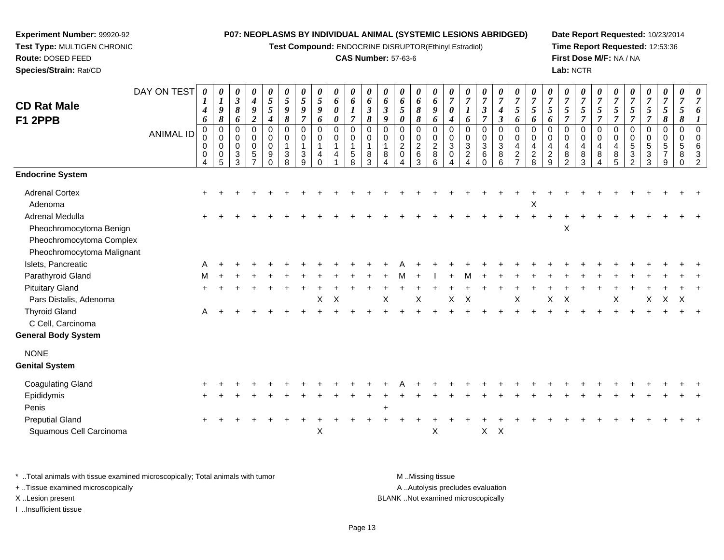**Test Compound:** ENDOCRINE DISRUPTOR(Ethinyl Estradiol)

### **CAS Number:** 57-63-6

**Date Report Requested:** 10/23/2014**Time Report Requested:** 12:53:36**First Dose M/F:** NA / NA**Lab:** NCTR

| <b>CD Rat Male</b><br><b>F1 2PPB</b>                                   | DAY ON TEST<br><b>ANIMAL ID</b> | 0<br>$\boldsymbol{I}$<br>$\boldsymbol{4}$<br>6<br>0<br>0<br>0<br>$\mathbf 0$<br>4 | 0<br>$\boldsymbol{l}$<br>9<br>$\pmb{8}$<br>$\mathbf 0$<br>$\mathbf 0$<br>$\mathbf 0$<br>$\overline{0}$<br>5 | 0<br>$\mathbf{3}$<br>8<br>6<br>$\Omega$<br>0<br>$\Omega$<br>3<br>3 | 0<br>$\boldsymbol{4}$<br>9<br>$\boldsymbol{2}$<br>$\mathbf 0$<br>0<br>$\mathbf 0$<br>5 | 0<br>5<br>$5\phantom{.0}$<br>4<br>0<br>$\mathbf 0$<br>$\pmb{0}$<br>$\boldsymbol{9}$<br>$\mathbf 0$ | 0<br>$\mathfrak{s}$<br>9<br>$\pmb{8}$<br>0<br>0<br>-1<br>$\mathbf{3}$<br>8 | $\boldsymbol{\theta}$<br>5<br>9<br>$\overline{7}$<br>$\mathbf 0$<br>$\mathbf 0$<br>$\overline{1}$<br>3<br>9 | 0<br>5<br>9<br>6<br>$\Omega$<br>0<br>4 | 0<br>6<br>$\pmb{\theta}$<br>0<br>$\mathbf 0$<br>0<br>$\mathbf 1$<br>$\overline{4}$ | 0<br>6<br>1<br>$\overline{7}$<br>$\mathbf 0$<br>$\mathbf 0$<br>$\overline{1}$<br>$\sqrt{5}$<br>8 | 0<br>6<br>$\boldsymbol{\beta}$<br>$\pmb{8}$<br>0<br>0<br>8<br>3 | 0<br>6<br>$\boldsymbol{\beta}$<br>$\boldsymbol{9}$<br>$\mathbf 0$<br>$\mathbf 0$<br>8 | 0<br>6<br>5<br>0<br>$\Omega$<br>0<br>$\overline{c}$<br>$\mathbf 0$ | 0<br>6<br>8<br>8<br>$\mathbf 0$<br>0<br>$\overline{c}$<br>6<br>3 | 0<br>6<br>9<br>6<br>$\mathbf 0$<br>$\mathbf 0$<br>$\boldsymbol{2}$<br>8<br>6 | 0<br>$\overline{7}$<br>$\boldsymbol{\theta}$<br>4<br>0<br>0<br>$\sqrt{3}$<br>$\mathbf 0$<br>4 | $\boldsymbol{\theta}$<br>$\overline{7}$<br>1<br>6<br>$\mathbf 0$<br>$\mathbf 0$<br>$\mathbf{3}$<br>$\overline{2}$<br>Δ | 0<br>$\overline{7}$<br>$\boldsymbol{\beta}$<br>$\overline{7}$<br>$\mathbf 0$<br>$\mathbf 0$<br>3<br>6<br>$\Omega$ | 0<br>$\overline{7}$<br>$\boldsymbol{4}$<br>$\mathfrak{z}$<br>$\,0\,$<br>0<br>$\ensuremath{\mathsf{3}}$<br>$\bf8$<br>$\,6$ | 0<br>$\overline{7}$<br>5<br>6<br>$\mathbf 0$<br>$\boldsymbol{0}$<br>$\overline{a}$<br>$\boldsymbol{2}$<br>$\overline{7}$ | 0<br>$\overline{7}$<br>$\mathfrak{s}$<br>6<br>0<br>0<br>4<br>$\sqrt{2}$<br>8 | $\boldsymbol{\theta}$<br>$\overline{7}$<br>5<br>6<br>$\mathbf 0$<br>$\mathbf 0$<br>4<br>$\overline{2}$<br>9 | 0<br>$\overline{7}$<br>5<br>7<br>$\Omega$<br>0<br>4<br>8<br>$\mathfrak{p}$ | 0<br>$\overline{7}$<br>5<br>$\overline{7}$<br>$\pmb{0}$<br>0<br>4<br>$\bf8$<br>3 | 0<br>$\overline{7}$<br>5<br>$\overline{7}$<br>$\mathbf 0$<br>$\mathbf 0$<br>$\overline{4}$<br>8<br>4 | $\boldsymbol{\theta}$<br>$\overline{7}$<br>5<br>$\overline{7}$<br>0<br>0<br>4<br>8<br>5 | 7<br>5<br>$\overline{7}$<br>$\mathbf 0$<br>$\mathbf 0$<br>5<br>3<br>$\mathfrak{p}$ | 0<br>$\overline{7}$<br>5<br>$\overline{7}$<br>0<br>0<br>5<br>3<br>3 | 0<br>$\overline{7}$<br>5<br>8<br>0<br>0<br>5<br>$\overline{7}$<br>9 | 0<br>$\overline{7}$<br>5<br>8<br>$\mathbf 0$<br>$\mathbf 0$<br>5<br>8<br>$\Omega$ | $\boldsymbol{\theta}$<br>7 |
|------------------------------------------------------------------------|---------------------------------|-----------------------------------------------------------------------------------|-------------------------------------------------------------------------------------------------------------|--------------------------------------------------------------------|----------------------------------------------------------------------------------------|----------------------------------------------------------------------------------------------------|----------------------------------------------------------------------------|-------------------------------------------------------------------------------------------------------------|----------------------------------------|------------------------------------------------------------------------------------|--------------------------------------------------------------------------------------------------|-----------------------------------------------------------------|---------------------------------------------------------------------------------------|--------------------------------------------------------------------|------------------------------------------------------------------|------------------------------------------------------------------------------|-----------------------------------------------------------------------------------------------|------------------------------------------------------------------------------------------------------------------------|-------------------------------------------------------------------------------------------------------------------|---------------------------------------------------------------------------------------------------------------------------|--------------------------------------------------------------------------------------------------------------------------|------------------------------------------------------------------------------|-------------------------------------------------------------------------------------------------------------|----------------------------------------------------------------------------|----------------------------------------------------------------------------------|------------------------------------------------------------------------------------------------------|-----------------------------------------------------------------------------------------|------------------------------------------------------------------------------------|---------------------------------------------------------------------|---------------------------------------------------------------------|-----------------------------------------------------------------------------------|----------------------------|
| <b>Endocrine System</b>                                                |                                 |                                                                                   |                                                                                                             |                                                                    |                                                                                        |                                                                                                    |                                                                            |                                                                                                             |                                        |                                                                                    |                                                                                                  |                                                                 |                                                                                       |                                                                    |                                                                  |                                                                              |                                                                                               |                                                                                                                        |                                                                                                                   |                                                                                                                           |                                                                                                                          |                                                                              |                                                                                                             |                                                                            |                                                                                  |                                                                                                      |                                                                                         |                                                                                    |                                                                     |                                                                     |                                                                                   |                            |
| <b>Adrenal Cortex</b><br>Adenoma                                       |                                 |                                                                                   |                                                                                                             |                                                                    |                                                                                        |                                                                                                    |                                                                            |                                                                                                             |                                        |                                                                                    |                                                                                                  |                                                                 |                                                                                       |                                                                    |                                                                  |                                                                              |                                                                                               |                                                                                                                        |                                                                                                                   |                                                                                                                           |                                                                                                                          | X                                                                            |                                                                                                             |                                                                            |                                                                                  |                                                                                                      |                                                                                         |                                                                                    |                                                                     |                                                                     |                                                                                   |                            |
| Adrenal Medulla<br>Pheochromocytoma Benign<br>Pheochromocytoma Complex |                                 |                                                                                   |                                                                                                             |                                                                    |                                                                                        |                                                                                                    |                                                                            |                                                                                                             |                                        |                                                                                    |                                                                                                  |                                                                 |                                                                                       |                                                                    |                                                                  |                                                                              |                                                                                               |                                                                                                                        |                                                                                                                   |                                                                                                                           |                                                                                                                          |                                                                              |                                                                                                             | X                                                                          |                                                                                  |                                                                                                      |                                                                                         |                                                                                    |                                                                     |                                                                     |                                                                                   |                            |
| Pheochromocytoma Malignant                                             |                                 |                                                                                   |                                                                                                             |                                                                    |                                                                                        |                                                                                                    |                                                                            |                                                                                                             |                                        |                                                                                    |                                                                                                  |                                                                 |                                                                                       |                                                                    |                                                                  |                                                                              |                                                                                               |                                                                                                                        |                                                                                                                   |                                                                                                                           |                                                                                                                          |                                                                              |                                                                                                             |                                                                            |                                                                                  |                                                                                                      |                                                                                         |                                                                                    |                                                                     |                                                                     |                                                                                   |                            |
| Islets, Pancreatic                                                     |                                 |                                                                                   |                                                                                                             |                                                                    |                                                                                        |                                                                                                    |                                                                            |                                                                                                             |                                        |                                                                                    |                                                                                                  |                                                                 |                                                                                       |                                                                    |                                                                  |                                                                              |                                                                                               |                                                                                                                        |                                                                                                                   |                                                                                                                           |                                                                                                                          |                                                                              |                                                                                                             |                                                                            |                                                                                  |                                                                                                      |                                                                                         |                                                                                    |                                                                     |                                                                     |                                                                                   |                            |
| Parathyroid Gland                                                      |                                 | м                                                                                 |                                                                                                             |                                                                    |                                                                                        |                                                                                                    |                                                                            |                                                                                                             |                                        |                                                                                    |                                                                                                  |                                                                 |                                                                                       |                                                                    |                                                                  |                                                                              |                                                                                               | M                                                                                                                      |                                                                                                                   |                                                                                                                           |                                                                                                                          |                                                                              |                                                                                                             |                                                                            |                                                                                  |                                                                                                      |                                                                                         |                                                                                    |                                                                     |                                                                     |                                                                                   |                            |
| <b>Pituitary Gland</b>                                                 |                                 |                                                                                   |                                                                                                             |                                                                    |                                                                                        |                                                                                                    |                                                                            |                                                                                                             |                                        |                                                                                    |                                                                                                  |                                                                 |                                                                                       |                                                                    |                                                                  |                                                                              |                                                                                               |                                                                                                                        |                                                                                                                   |                                                                                                                           |                                                                                                                          |                                                                              |                                                                                                             |                                                                            |                                                                                  |                                                                                                      |                                                                                         |                                                                                    |                                                                     |                                                                     |                                                                                   |                            |
| Pars Distalis, Adenoma                                                 |                                 |                                                                                   |                                                                                                             |                                                                    |                                                                                        |                                                                                                    |                                                                            |                                                                                                             | Χ                                      | X                                                                                  |                                                                                                  |                                                                 | Х                                                                                     |                                                                    | X                                                                |                                                                              | Χ                                                                                             | Χ                                                                                                                      |                                                                                                                   |                                                                                                                           | X                                                                                                                        |                                                                              | X                                                                                                           | X                                                                          |                                                                                  |                                                                                                      | Χ                                                                                       |                                                                                    | X                                                                   | X                                                                   | $\mathsf{X}$                                                                      |                            |
| <b>Thyroid Gland</b>                                                   |                                 | A                                                                                 |                                                                                                             |                                                                    |                                                                                        |                                                                                                    |                                                                            |                                                                                                             |                                        |                                                                                    |                                                                                                  |                                                                 |                                                                                       |                                                                    |                                                                  |                                                                              |                                                                                               |                                                                                                                        |                                                                                                                   |                                                                                                                           |                                                                                                                          |                                                                              |                                                                                                             |                                                                            |                                                                                  |                                                                                                      |                                                                                         |                                                                                    |                                                                     |                                                                     |                                                                                   |                            |
| C Cell, Carcinoma                                                      |                                 |                                                                                   |                                                                                                             |                                                                    |                                                                                        |                                                                                                    |                                                                            |                                                                                                             |                                        |                                                                                    |                                                                                                  |                                                                 |                                                                                       |                                                                    |                                                                  |                                                                              |                                                                                               |                                                                                                                        |                                                                                                                   |                                                                                                                           |                                                                                                                          |                                                                              |                                                                                                             |                                                                            |                                                                                  |                                                                                                      |                                                                                         |                                                                                    |                                                                     |                                                                     |                                                                                   |                            |
| <b>General Body System</b>                                             |                                 |                                                                                   |                                                                                                             |                                                                    |                                                                                        |                                                                                                    |                                                                            |                                                                                                             |                                        |                                                                                    |                                                                                                  |                                                                 |                                                                                       |                                                                    |                                                                  |                                                                              |                                                                                               |                                                                                                                        |                                                                                                                   |                                                                                                                           |                                                                                                                          |                                                                              |                                                                                                             |                                                                            |                                                                                  |                                                                                                      |                                                                                         |                                                                                    |                                                                     |                                                                     |                                                                                   |                            |
| <b>NONE</b>                                                            |                                 |                                                                                   |                                                                                                             |                                                                    |                                                                                        |                                                                                                    |                                                                            |                                                                                                             |                                        |                                                                                    |                                                                                                  |                                                                 |                                                                                       |                                                                    |                                                                  |                                                                              |                                                                                               |                                                                                                                        |                                                                                                                   |                                                                                                                           |                                                                                                                          |                                                                              |                                                                                                             |                                                                            |                                                                                  |                                                                                                      |                                                                                         |                                                                                    |                                                                     |                                                                     |                                                                                   |                            |
| <b>Genital System</b>                                                  |                                 |                                                                                   |                                                                                                             |                                                                    |                                                                                        |                                                                                                    |                                                                            |                                                                                                             |                                        |                                                                                    |                                                                                                  |                                                                 |                                                                                       |                                                                    |                                                                  |                                                                              |                                                                                               |                                                                                                                        |                                                                                                                   |                                                                                                                           |                                                                                                                          |                                                                              |                                                                                                             |                                                                            |                                                                                  |                                                                                                      |                                                                                         |                                                                                    |                                                                     |                                                                     |                                                                                   |                            |
| <b>Coagulating Gland</b>                                               |                                 |                                                                                   |                                                                                                             |                                                                    |                                                                                        |                                                                                                    |                                                                            |                                                                                                             |                                        |                                                                                    |                                                                                                  |                                                                 |                                                                                       |                                                                    |                                                                  |                                                                              |                                                                                               |                                                                                                                        |                                                                                                                   |                                                                                                                           |                                                                                                                          |                                                                              |                                                                                                             |                                                                            |                                                                                  |                                                                                                      |                                                                                         |                                                                                    |                                                                     |                                                                     |                                                                                   |                            |
| Epididymis<br>Penis                                                    |                                 |                                                                                   |                                                                                                             |                                                                    |                                                                                        |                                                                                                    |                                                                            |                                                                                                             |                                        |                                                                                    |                                                                                                  |                                                                 | +                                                                                     |                                                                    |                                                                  |                                                                              |                                                                                               |                                                                                                                        |                                                                                                                   |                                                                                                                           |                                                                                                                          |                                                                              |                                                                                                             |                                                                            |                                                                                  |                                                                                                      |                                                                                         |                                                                                    |                                                                     |                                                                     |                                                                                   |                            |
| <b>Preputial Gland</b><br>Squamous Cell Carcinoma                      |                                 |                                                                                   |                                                                                                             |                                                                    |                                                                                        |                                                                                                    |                                                                            |                                                                                                             | X                                      |                                                                                    |                                                                                                  |                                                                 |                                                                                       |                                                                    |                                                                  | X                                                                            |                                                                                               |                                                                                                                        | X                                                                                                                 | $\mathsf{X}$                                                                                                              |                                                                                                                          |                                                                              |                                                                                                             |                                                                            |                                                                                  |                                                                                                      |                                                                                         |                                                                                    |                                                                     |                                                                     |                                                                                   |                            |

\* ..Total animals with tissue examined microscopically; Total animals with tumor **M** . Missing tissue M ..Missing tissue A ..Autolysis precludes evaluation + ..Tissue examined microscopically X ..Lesion present BLANK ..Not examined microscopicallyI ..Insufficient tissue

**Experiment Number:** 99920-92**Test Type:** MULTIGEN CHRONIC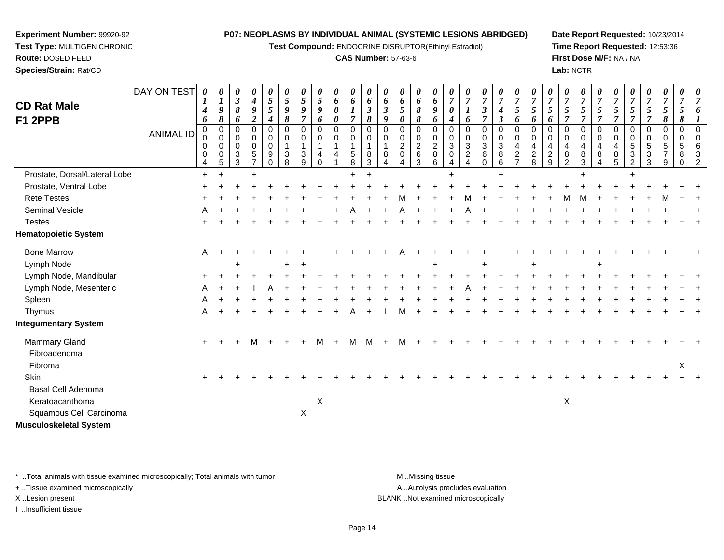**Test Compound:** ENDOCRINE DISRUPTOR(Ethinyl Estradiol)

#### **CAS Number:** 57-63-6

**Date Report Requested:** 10/23/2014**Time Report Requested:** 12:53:36**First Dose M/F:** NA / NA**Lab:** NCTR

| <b>CD Rat Male</b>            | DAY ON TEST | 0<br>$\boldsymbol{4}$             | 0<br>$\boldsymbol{l}$<br>9                     | 0<br>$\boldsymbol{\beta}$<br>$\boldsymbol{\delta}$     | 0<br>$\boldsymbol{4}$<br>$\boldsymbol{g}$           | 0<br>$\mathfrak{s}$<br>5                           | 0<br>$\mathfrak{I}$<br>9                             | 0<br>$\overline{5}$<br>9                                    | 0<br>$\mathfrak{s}$<br>9     | $\boldsymbol{\theta}$<br>$\boldsymbol{6}$<br>$\boldsymbol{\theta}$ | 0<br>6<br>$\boldsymbol{l}$                                         | 0<br>6<br>$\mathfrak{z}$                     | 0<br>6<br>$\mathfrak{z}$               | 0<br>6<br>$\overline{5}$                                              | 0<br>6<br>$\pmb{8}$                           | 0<br>6<br>9                                          | 0<br>$\overline{7}$<br>0                    | $\overline{7}$<br>$\boldsymbol{l}$        | $\theta$<br>$\overline{7}$<br>$\mathfrak{z}$                           | 0<br>$\overline{7}$<br>$\boldsymbol{4}$                                     | 0<br>$\overline{7}$<br>5                                                           | 0<br>$\overline{7}$<br>$\mathfrak{I}$          | $\overline{7}$<br>$\overline{5}$               | 0<br>$\overline{7}$<br>5                                                | 0<br>$\overline{7}$<br>5                       | 0<br>$\overline{7}$<br>5<br>$\overline{7}$          | 0<br>$\overline{7}$<br>$\overline{5}$          | $\overline{7}$<br>5                                         | 0<br>$\overline{7}$<br>5                       | 0<br>$\overline{7}$<br>$\mathfrak{H}$          | 0<br>$\overline{7}$<br>5                                     | 0<br>$\overline{7}$ |
|-------------------------------|-------------|-----------------------------------|------------------------------------------------|--------------------------------------------------------|-----------------------------------------------------|----------------------------------------------------|------------------------------------------------------|-------------------------------------------------------------|------------------------------|--------------------------------------------------------------------|--------------------------------------------------------------------|----------------------------------------------|----------------------------------------|-----------------------------------------------------------------------|-----------------------------------------------|------------------------------------------------------|---------------------------------------------|-------------------------------------------|------------------------------------------------------------------------|-----------------------------------------------------------------------------|------------------------------------------------------------------------------------|------------------------------------------------|------------------------------------------------|-------------------------------------------------------------------------|------------------------------------------------|-----------------------------------------------------|------------------------------------------------|-------------------------------------------------------------|------------------------------------------------|------------------------------------------------|--------------------------------------------------------------|---------------------|
| F1 2PPB                       | ANIMAL ID   | 6<br>$\Omega$<br>0<br>0<br>0<br>4 | 8<br>$\mathbf 0$<br>$\mathbf 0$<br>0<br>0<br>5 | 6<br>$\Omega$<br>0<br>$\mathbf 0$<br>$\mathbf{3}$<br>3 | $\overline{c}$<br>$\Omega$<br>0<br>$\mathbf 0$<br>5 | 4<br>$\Omega$<br>0<br>$\mathbf 0$<br>9<br>$\Omega$ | 8<br>$\Omega$<br>$\pmb{0}$<br>$\mathbf{1}$<br>3<br>8 | $\overline{7}$<br>$\Omega$<br>0<br>$\overline{1}$<br>3<br>9 | 6<br>$\Omega$<br>0<br>1<br>4 | $\pmb{\theta}$<br>$\Omega$<br>0<br>1<br>4                          | $\overline{7}$<br>$\Omega$<br>0<br>$\mathbf{1}$<br>$\sqrt{5}$<br>8 | 8<br>$\Omega$<br>0<br>$\mathbf{1}$<br>8<br>3 | $\boldsymbol{g}$<br>$\Omega$<br>0<br>8 | $\boldsymbol{\theta}$<br>$\Omega$<br>0<br>$\overline{c}$<br>$\pmb{0}$ | 8<br>0<br>0<br>$\overline{c}$<br>$\,6\,$<br>3 | 6<br>$\Omega$<br>$\mathbf 0$<br>$\sqrt{2}$<br>8<br>6 | $\boldsymbol{4}$<br>$\Omega$<br>0<br>3<br>0 | 6<br>$\Omega$<br>0<br>3<br>$\overline{c}$ | $\overline{7}$<br>$\Omega$<br>0<br>$\mathbf{3}$<br>$\,6\,$<br>$\Omega$ | $\mathfrak{Z}$<br>$\mathbf 0$<br>$\mathbf 0$<br>$\mathbf{3}$<br>$\bf8$<br>6 | 6<br>$\Omega$<br>$\mathbf 0$<br>$\overline{4}$<br>$\overline{c}$<br>$\overline{z}$ | 6<br>$\Omega$<br>0<br>4<br>$\overline{c}$<br>8 | 6<br>$\Omega$<br>0<br>4<br>$\overline{c}$<br>9 | $\overline{7}$<br>$\Omega$<br>0<br>$\overline{4}$<br>8<br>$\mathcal{D}$ | $\overline{7}$<br>$\Omega$<br>0<br>4<br>8<br>3 | $\Omega$<br>$\mathbf 0$<br>$\overline{4}$<br>8<br>4 | $\overline{7}$<br>$\Omega$<br>0<br>4<br>8<br>5 | $\overline{7}$<br>$\Omega$<br>0<br>5<br>3<br>$\overline{2}$ | $\overline{7}$<br>$\Omega$<br>0<br>5<br>3<br>3 | 8<br>$\Omega$<br>0<br>5<br>$\overline{7}$<br>9 | 8<br>$\Omega$<br>$\mathbf 0$<br>$\,$ 5 $\,$<br>8<br>$\Omega$ | 3<br>$\mathcal{P}$  |
| Prostate, Dorsal/Lateral Lobe |             | $\ddot{+}$                        |                                                |                                                        |                                                     |                                                    |                                                      |                                                             |                              |                                                                    |                                                                    |                                              |                                        |                                                                       |                                               |                                                      |                                             |                                           |                                                                        |                                                                             |                                                                                    |                                                |                                                |                                                                         | $\pm$                                          |                                                     |                                                |                                                             |                                                |                                                |                                                              |                     |
| Prostate, Ventral Lobe        |             |                                   |                                                |                                                        |                                                     |                                                    |                                                      |                                                             |                              |                                                                    |                                                                    |                                              |                                        |                                                                       |                                               |                                                      |                                             |                                           |                                                                        |                                                                             |                                                                                    |                                                |                                                |                                                                         |                                                |                                                     |                                                |                                                             |                                                |                                                |                                                              |                     |
| <b>Rete Testes</b>            |             |                                   |                                                |                                                        |                                                     |                                                    |                                                      |                                                             |                              |                                                                    |                                                                    |                                              |                                        |                                                                       |                                               |                                                      |                                             |                                           |                                                                        |                                                                             |                                                                                    |                                                |                                                |                                                                         |                                                |                                                     |                                                |                                                             |                                                |                                                |                                                              |                     |
| Seminal Vesicle               |             |                                   |                                                |                                                        |                                                     |                                                    |                                                      |                                                             |                              |                                                                    |                                                                    |                                              |                                        |                                                                       |                                               |                                                      |                                             |                                           |                                                                        |                                                                             |                                                                                    |                                                |                                                |                                                                         |                                                |                                                     |                                                |                                                             |                                                |                                                |                                                              |                     |
| <b>Testes</b>                 |             |                                   |                                                |                                                        |                                                     |                                                    |                                                      |                                                             |                              |                                                                    |                                                                    |                                              |                                        |                                                                       |                                               |                                                      |                                             |                                           |                                                                        |                                                                             |                                                                                    |                                                |                                                |                                                                         |                                                |                                                     |                                                |                                                             |                                                |                                                |                                                              |                     |
| <b>Hematopoietic System</b>   |             |                                   |                                                |                                                        |                                                     |                                                    |                                                      |                                                             |                              |                                                                    |                                                                    |                                              |                                        |                                                                       |                                               |                                                      |                                             |                                           |                                                                        |                                                                             |                                                                                    |                                                |                                                |                                                                         |                                                |                                                     |                                                |                                                             |                                                |                                                |                                                              |                     |
| <b>Bone Marrow</b>            |             | A                                 |                                                |                                                        |                                                     |                                                    |                                                      |                                                             |                              |                                                                    |                                                                    |                                              |                                        |                                                                       |                                               |                                                      |                                             |                                           |                                                                        |                                                                             |                                                                                    |                                                |                                                |                                                                         |                                                |                                                     |                                                |                                                             |                                                |                                                |                                                              |                     |
| Lymph Node                    |             |                                   |                                                |                                                        |                                                     |                                                    |                                                      |                                                             |                              |                                                                    |                                                                    |                                              |                                        |                                                                       |                                               |                                                      |                                             |                                           |                                                                        |                                                                             |                                                                                    |                                                |                                                |                                                                         |                                                |                                                     |                                                |                                                             |                                                |                                                |                                                              |                     |
| Lymph Node, Mandibular        |             |                                   |                                                |                                                        |                                                     |                                                    |                                                      |                                                             |                              |                                                                    |                                                                    |                                              |                                        |                                                                       |                                               |                                                      |                                             |                                           |                                                                        |                                                                             |                                                                                    |                                                |                                                |                                                                         |                                                |                                                     |                                                |                                                             |                                                |                                                |                                                              |                     |
| Lymph Node, Mesenteric        |             |                                   |                                                |                                                        |                                                     |                                                    |                                                      |                                                             |                              |                                                                    |                                                                    |                                              |                                        |                                                                       |                                               |                                                      |                                             |                                           |                                                                        |                                                                             |                                                                                    |                                                |                                                |                                                                         |                                                |                                                     |                                                |                                                             |                                                |                                                |                                                              |                     |
| Spleen                        |             |                                   |                                                |                                                        |                                                     |                                                    |                                                      |                                                             |                              |                                                                    |                                                                    |                                              |                                        |                                                                       |                                               |                                                      |                                             |                                           |                                                                        |                                                                             |                                                                                    |                                                |                                                |                                                                         |                                                |                                                     |                                                |                                                             |                                                |                                                |                                                              |                     |
| Thymus                        |             |                                   |                                                |                                                        |                                                     |                                                    |                                                      |                                                             |                              |                                                                    |                                                                    |                                              |                                        |                                                                       |                                               |                                                      |                                             |                                           |                                                                        |                                                                             |                                                                                    |                                                |                                                |                                                                         |                                                |                                                     |                                                |                                                             |                                                |                                                |                                                              |                     |
| <b>Integumentary System</b>   |             |                                   |                                                |                                                        |                                                     |                                                    |                                                      |                                                             |                              |                                                                    |                                                                    |                                              |                                        |                                                                       |                                               |                                                      |                                             |                                           |                                                                        |                                                                             |                                                                                    |                                                |                                                |                                                                         |                                                |                                                     |                                                |                                                             |                                                |                                                |                                                              |                     |
| Mammary Gland                 |             | $\ddot{}$                         |                                                |                                                        | м                                                   |                                                    |                                                      |                                                             | м                            | $+$                                                                | м                                                                  | м                                            |                                        |                                                                       |                                               |                                                      |                                             |                                           |                                                                        |                                                                             |                                                                                    |                                                |                                                |                                                                         |                                                |                                                     |                                                |                                                             |                                                |                                                |                                                              |                     |
| Fibroadenoma                  |             |                                   |                                                |                                                        |                                                     |                                                    |                                                      |                                                             |                              |                                                                    |                                                                    |                                              |                                        |                                                                       |                                               |                                                      |                                             |                                           |                                                                        |                                                                             |                                                                                    |                                                |                                                |                                                                         |                                                |                                                     |                                                |                                                             |                                                |                                                |                                                              |                     |
| Fibroma                       |             |                                   |                                                |                                                        |                                                     |                                                    |                                                      |                                                             |                              |                                                                    |                                                                    |                                              |                                        |                                                                       |                                               |                                                      |                                             |                                           |                                                                        |                                                                             |                                                                                    |                                                |                                                |                                                                         |                                                |                                                     |                                                |                                                             |                                                |                                                | X                                                            |                     |
| Skin                          |             |                                   |                                                |                                                        |                                                     |                                                    |                                                      |                                                             |                              |                                                                    |                                                                    |                                              |                                        |                                                                       |                                               |                                                      |                                             |                                           |                                                                        |                                                                             |                                                                                    |                                                |                                                |                                                                         |                                                |                                                     |                                                |                                                             |                                                |                                                |                                                              |                     |
| Basal Cell Adenoma            |             |                                   |                                                |                                                        |                                                     |                                                    |                                                      |                                                             |                              |                                                                    |                                                                    |                                              |                                        |                                                                       |                                               |                                                      |                                             |                                           |                                                                        |                                                                             |                                                                                    |                                                |                                                |                                                                         |                                                |                                                     |                                                |                                                             |                                                |                                                |                                                              |                     |
| Keratoacanthoma               |             |                                   |                                                |                                                        |                                                     |                                                    |                                                      |                                                             | X                            |                                                                    |                                                                    |                                              |                                        |                                                                       |                                               |                                                      |                                             |                                           |                                                                        |                                                                             |                                                                                    |                                                |                                                | X                                                                       |                                                |                                                     |                                                |                                                             |                                                |                                                |                                                              |                     |
| Squamous Cell Carcinoma       |             |                                   |                                                |                                                        |                                                     |                                                    |                                                      | $\mathsf X$                                                 |                              |                                                                    |                                                                    |                                              |                                        |                                                                       |                                               |                                                      |                                             |                                           |                                                                        |                                                                             |                                                                                    |                                                |                                                |                                                                         |                                                |                                                     |                                                |                                                             |                                                |                                                |                                                              |                     |
| <b>Musculoskeletal System</b> |             |                                   |                                                |                                                        |                                                     |                                                    |                                                      |                                                             |                              |                                                                    |                                                                    |                                              |                                        |                                                                       |                                               |                                                      |                                             |                                           |                                                                        |                                                                             |                                                                                    |                                                |                                                |                                                                         |                                                |                                                     |                                                |                                                             |                                                |                                                |                                                              |                     |

\* ..Total animals with tissue examined microscopically; Total animals with tumor **M** . Missing tissue M ..Missing tissue

+ ..Tissue examined microscopically

**Experiment Number:** 99920-92**Test Type:** MULTIGEN CHRONIC

**Route:** DOSED FEED**Species/Strain:** Rat/CD

I ..Insufficient tissue

A ..Autolysis precludes evaluation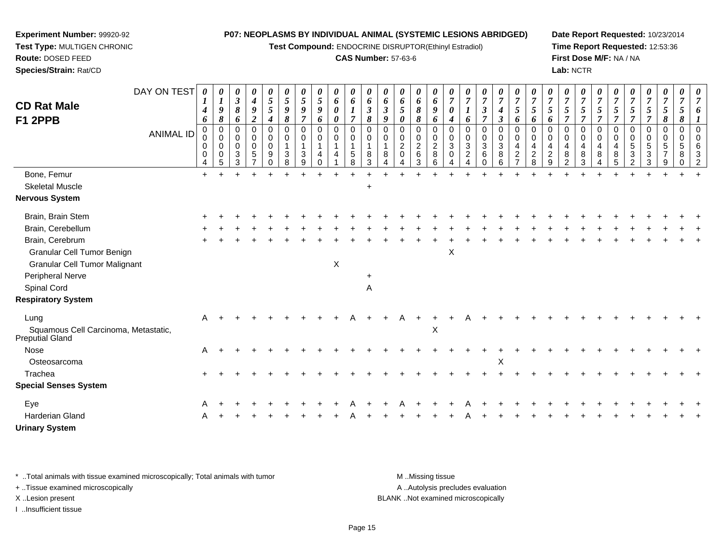**Test Compound:** ENDOCRINE DISRUPTOR(Ethinyl Estradiol)

## **CAS Number:** 57-63-6

**Date Report Requested:** 10/23/2014**Time Report Requested:** 12:53:36**First Dose M/F:** NA / NA**Lab:** NCTR

| <b>CD Rat Male</b><br>F1 2PPB                                                                         | DAY ON TEST<br><b>ANIMAL ID</b> | 0<br>4<br>6<br>0<br>$\mathbf 0$<br>0<br>$\mathbf 0$ | 0<br>$\boldsymbol{l}$<br>9<br>$\pmb{8}$<br>$\mathbf 0$<br>0<br>0<br>$\mathbf 0$ | $\boldsymbol{\theta}$<br>$\boldsymbol{\beta}$<br>$\pmb{8}$<br>6<br>$\mathbf 0$<br>0<br>$\mathbf 0$<br>3 | $\pmb{\theta}$<br>$\boldsymbol{4}$<br>9<br>$\boldsymbol{2}$<br>$\mathbf 0$<br>0<br>$\mathbf 0$<br>$\sqrt{5}$ | 0<br>$\mathfrak{s}$<br>$\sqrt{5}$<br>$\boldsymbol{4}$<br>$\mathbf 0$<br>0<br>$\mathbf 0$<br>9 | $\boldsymbol{\theta}$<br>$5\overline{)}$<br>$\boldsymbol{9}$<br>8<br>$\mathbf 0$<br>0<br>3 | 0<br>$\overline{5}$<br>9<br>$\overline{7}$<br>0<br>0<br>3 | 0<br>5<br>9<br>6<br>0<br>0<br>4 | 0<br>6<br>0<br>0<br>0<br>0 | 0<br>6<br>$\boldsymbol{l}$<br>$\overline{7}$<br>$\mathbf 0$<br>$\mathbf 0$<br>$\mathbf 1$<br>$\sqrt{5}$ | 0<br>6<br>$\boldsymbol{\beta}$<br>8<br>$\Omega$<br>0<br>1<br>8 | $\boldsymbol{\theta}$<br>6<br>$\boldsymbol{\beta}$<br>9<br>$\Omega$<br>$\Omega$<br>8 | 0<br>6<br>5<br>0<br>$\Omega$<br>0<br>$\overline{2}$<br>$\Omega$ | 0<br>6<br>8<br>8<br>$\mathbf 0$<br>0<br>$\overline{c}$<br>6 | $\boldsymbol{\theta}$<br>6<br>9<br>6<br>$\mathbf 0$<br>0<br>$\overline{c}$<br>$\bf 8$ | $\theta$<br>$\overline{7}$<br>$\boldsymbol{\theta}$<br>$\boldsymbol{4}$<br>$\Omega$<br>0<br>3<br>$\mathbf 0$ | 0<br>$\overline{7}$<br>1<br>6<br>$\Omega$<br>0<br>3<br>$\overline{c}$ | 0<br>$\overline{7}$<br>$\mathbf{3}$<br>$\overline{7}$<br>0<br>0<br>$\sqrt{3}$<br>6 | 0<br>$\overline{7}$<br>$\boldsymbol{4}$<br>$\mathfrak{z}$<br>$\mathbf 0$<br>$\mathbf 0$<br>$\sqrt{3}$<br>8 | 0<br>$\overline{7}$<br>5<br>6<br>$\pmb{0}$<br>0<br>4<br>$\frac{2}{7}$ | $\overline{7}$<br>5<br>6<br>$\Omega$<br>0<br>$\overline{4}$ | 0<br>$\overline{7}$<br>5<br>6<br>$\Omega$<br>0<br>4 | 0<br>$\overline{7}$<br>5<br>7<br>0<br>0<br>4<br>8 | $\boldsymbol{\theta}$<br>$\overline{7}$<br>$\mathfrak{s}$<br>$\overline{7}$<br>$\mathbf 0$<br>$\mathbf 0$<br>$\overline{a}$<br>8 | 0<br>$\overline{7}$<br>5<br>$\Omega$<br>0<br>4<br>8 | $\overline{7}$<br>5<br>0<br>$\Omega$<br>8 | $\overline{7}$<br>5<br>$\Omega$<br>0<br>5<br>$\mathbf{3}$ | 0<br>$\overline{7}$<br>$\mathfrak{H}$<br>$\overline{7}$<br>$\mathbf 0$<br>$\mathbf 0$<br>5<br>3 | 0<br>$\overline{7}$<br>$\overline{5}$<br>$\pmb{8}$<br>$\mathbf 0$<br>$\mathbf 0$<br>5<br>$\overline{7}$ | $\boldsymbol{\theta}$<br>7<br>5<br>8<br>$\mathbf 0$<br>0<br>5<br>8 | $\Omega$ |
|-------------------------------------------------------------------------------------------------------|---------------------------------|-----------------------------------------------------|---------------------------------------------------------------------------------|---------------------------------------------------------------------------------------------------------|--------------------------------------------------------------------------------------------------------------|-----------------------------------------------------------------------------------------------|--------------------------------------------------------------------------------------------|-----------------------------------------------------------|---------------------------------|----------------------------|---------------------------------------------------------------------------------------------------------|----------------------------------------------------------------|--------------------------------------------------------------------------------------|-----------------------------------------------------------------|-------------------------------------------------------------|---------------------------------------------------------------------------------------|--------------------------------------------------------------------------------------------------------------|-----------------------------------------------------------------------|------------------------------------------------------------------------------------|------------------------------------------------------------------------------------------------------------|-----------------------------------------------------------------------|-------------------------------------------------------------|-----------------------------------------------------|---------------------------------------------------|----------------------------------------------------------------------------------------------------------------------------------|-----------------------------------------------------|-------------------------------------------|-----------------------------------------------------------|-------------------------------------------------------------------------------------------------|---------------------------------------------------------------------------------------------------------|--------------------------------------------------------------------|----------|
|                                                                                                       |                                 | 4                                                   | 5                                                                               | 3                                                                                                       | $\overline{7}$                                                                                               | $\Omega$                                                                                      | 8                                                                                          | 9                                                         | $\Omega$                        |                            | 8                                                                                                       | 3                                                              |                                                                                      |                                                                 | 3                                                           | 6                                                                                     | 4                                                                                                            | $\Delta$                                                              | $\Omega$                                                                           | 6                                                                                                          |                                                                       | $\frac{2}{8}$                                               | $\frac{2}{9}$                                       | $\overline{2}$                                    | 3                                                                                                                                | 4                                                   | 5                                         | 2                                                         | 3                                                                                               | 9                                                                                                       | $\Omega$                                                           | 2        |
| Bone, Femur                                                                                           |                                 | $\ddot{}$                                           |                                                                                 |                                                                                                         |                                                                                                              |                                                                                               |                                                                                            |                                                           |                                 |                            |                                                                                                         |                                                                |                                                                                      |                                                                 |                                                             |                                                                                       |                                                                                                              |                                                                       |                                                                                    |                                                                                                            |                                                                       |                                                             |                                                     |                                                   |                                                                                                                                  |                                                     |                                           |                                                           |                                                                                                 |                                                                                                         |                                                                    |          |
| <b>Skeletal Muscle</b>                                                                                |                                 |                                                     |                                                                                 |                                                                                                         |                                                                                                              |                                                                                               |                                                                                            |                                                           |                                 |                            |                                                                                                         | $\ddot{}$                                                      |                                                                                      |                                                                 |                                                             |                                                                                       |                                                                                                              |                                                                       |                                                                                    |                                                                                                            |                                                                       |                                                             |                                                     |                                                   |                                                                                                                                  |                                                     |                                           |                                                           |                                                                                                 |                                                                                                         |                                                                    |          |
| <b>Nervous System</b>                                                                                 |                                 |                                                     |                                                                                 |                                                                                                         |                                                                                                              |                                                                                               |                                                                                            |                                                           |                                 |                            |                                                                                                         |                                                                |                                                                                      |                                                                 |                                                             |                                                                                       |                                                                                                              |                                                                       |                                                                                    |                                                                                                            |                                                                       |                                                             |                                                     |                                                   |                                                                                                                                  |                                                     |                                           |                                                           |                                                                                                 |                                                                                                         |                                                                    |          |
| Brain, Brain Stem                                                                                     |                                 |                                                     |                                                                                 |                                                                                                         |                                                                                                              |                                                                                               |                                                                                            |                                                           |                                 |                            |                                                                                                         |                                                                |                                                                                      |                                                                 |                                                             |                                                                                       |                                                                                                              |                                                                       |                                                                                    |                                                                                                            |                                                                       |                                                             |                                                     |                                                   |                                                                                                                                  |                                                     |                                           |                                                           |                                                                                                 |                                                                                                         |                                                                    |          |
| Brain, Cerebellum                                                                                     |                                 |                                                     |                                                                                 |                                                                                                         |                                                                                                              |                                                                                               |                                                                                            |                                                           |                                 |                            |                                                                                                         |                                                                |                                                                                      |                                                                 |                                                             |                                                                                       |                                                                                                              |                                                                       |                                                                                    |                                                                                                            |                                                                       |                                                             |                                                     |                                                   |                                                                                                                                  |                                                     |                                           |                                                           |                                                                                                 |                                                                                                         |                                                                    |          |
| Brain, Cerebrum                                                                                       |                                 |                                                     |                                                                                 |                                                                                                         |                                                                                                              |                                                                                               |                                                                                            |                                                           |                                 |                            |                                                                                                         |                                                                |                                                                                      |                                                                 |                                                             |                                                                                       |                                                                                                              |                                                                       |                                                                                    |                                                                                                            |                                                                       |                                                             |                                                     |                                                   |                                                                                                                                  |                                                     |                                           |                                                           |                                                                                                 |                                                                                                         |                                                                    |          |
| Granular Cell Tumor Benign<br><b>Granular Cell Tumor Malignant</b><br>Peripheral Nerve<br>Spinal Cord |                                 |                                                     |                                                                                 |                                                                                                         |                                                                                                              |                                                                                               |                                                                                            |                                                           |                                 | X                          |                                                                                                         | $\ddot{}$<br>$\mathsf A$                                       |                                                                                      |                                                                 |                                                             |                                                                                       | X                                                                                                            |                                                                       |                                                                                    |                                                                                                            |                                                                       |                                                             |                                                     |                                                   |                                                                                                                                  |                                                     |                                           |                                                           |                                                                                                 |                                                                                                         |                                                                    |          |
| <b>Respiratory System</b>                                                                             |                                 |                                                     |                                                                                 |                                                                                                         |                                                                                                              |                                                                                               |                                                                                            |                                                           |                                 |                            |                                                                                                         |                                                                |                                                                                      |                                                                 |                                                             |                                                                                       |                                                                                                              |                                                                       |                                                                                    |                                                                                                            |                                                                       |                                                             |                                                     |                                                   |                                                                                                                                  |                                                     |                                           |                                                           |                                                                                                 |                                                                                                         |                                                                    |          |
| Lung<br>Squamous Cell Carcinoma, Metastatic,<br><b>Preputial Gland</b>                                |                                 | A                                                   |                                                                                 |                                                                                                         |                                                                                                              |                                                                                               |                                                                                            |                                                           |                                 |                            |                                                                                                         |                                                                |                                                                                      |                                                                 |                                                             | X                                                                                     |                                                                                                              |                                                                       |                                                                                    |                                                                                                            |                                                                       |                                                             |                                                     |                                                   |                                                                                                                                  |                                                     |                                           |                                                           |                                                                                                 |                                                                                                         |                                                                    |          |
| <b>Nose</b>                                                                                           |                                 | Α                                                   |                                                                                 |                                                                                                         |                                                                                                              |                                                                                               |                                                                                            |                                                           |                                 |                            |                                                                                                         |                                                                |                                                                                      |                                                                 |                                                             |                                                                                       |                                                                                                              |                                                                       |                                                                                    |                                                                                                            |                                                                       |                                                             |                                                     |                                                   |                                                                                                                                  |                                                     |                                           |                                                           |                                                                                                 |                                                                                                         |                                                                    |          |
| Osteosarcoma                                                                                          |                                 |                                                     |                                                                                 |                                                                                                         |                                                                                                              |                                                                                               |                                                                                            |                                                           |                                 |                            |                                                                                                         |                                                                |                                                                                      |                                                                 |                                                             |                                                                                       |                                                                                                              |                                                                       |                                                                                    | X                                                                                                          |                                                                       |                                                             |                                                     |                                                   |                                                                                                                                  |                                                     |                                           |                                                           |                                                                                                 |                                                                                                         |                                                                    |          |
| Trachea                                                                                               |                                 |                                                     |                                                                                 |                                                                                                         |                                                                                                              |                                                                                               |                                                                                            |                                                           |                                 |                            |                                                                                                         |                                                                |                                                                                      |                                                                 |                                                             |                                                                                       |                                                                                                              |                                                                       |                                                                                    |                                                                                                            |                                                                       |                                                             |                                                     |                                                   |                                                                                                                                  |                                                     |                                           |                                                           |                                                                                                 |                                                                                                         |                                                                    |          |
| <b>Special Senses System</b>                                                                          |                                 |                                                     |                                                                                 |                                                                                                         |                                                                                                              |                                                                                               |                                                                                            |                                                           |                                 |                            |                                                                                                         |                                                                |                                                                                      |                                                                 |                                                             |                                                                                       |                                                                                                              |                                                                       |                                                                                    |                                                                                                            |                                                                       |                                                             |                                                     |                                                   |                                                                                                                                  |                                                     |                                           |                                                           |                                                                                                 |                                                                                                         |                                                                    |          |
| Eye                                                                                                   |                                 |                                                     |                                                                                 |                                                                                                         |                                                                                                              |                                                                                               |                                                                                            |                                                           |                                 |                            |                                                                                                         |                                                                |                                                                                      |                                                                 |                                                             |                                                                                       |                                                                                                              |                                                                       |                                                                                    |                                                                                                            |                                                                       |                                                             |                                                     |                                                   |                                                                                                                                  |                                                     |                                           |                                                           |                                                                                                 |                                                                                                         |                                                                    |          |
| Harderian Gland                                                                                       |                                 |                                                     |                                                                                 |                                                                                                         |                                                                                                              |                                                                                               |                                                                                            |                                                           |                                 |                            |                                                                                                         |                                                                |                                                                                      |                                                                 |                                                             |                                                                                       |                                                                                                              |                                                                       |                                                                                    |                                                                                                            |                                                                       |                                                             |                                                     |                                                   |                                                                                                                                  |                                                     |                                           |                                                           |                                                                                                 |                                                                                                         |                                                                    |          |
| <b>Urinary System</b>                                                                                 |                                 |                                                     |                                                                                 |                                                                                                         |                                                                                                              |                                                                                               |                                                                                            |                                                           |                                 |                            |                                                                                                         |                                                                |                                                                                      |                                                                 |                                                             |                                                                                       |                                                                                                              |                                                                       |                                                                                    |                                                                                                            |                                                                       |                                                             |                                                     |                                                   |                                                                                                                                  |                                                     |                                           |                                                           |                                                                                                 |                                                                                                         |                                                                    |          |

\* ..Total animals with tissue examined microscopically; Total animals with tumor **M** . Missing tissue M ..Missing tissue

+ ..Tissue examined microscopically

**Experiment Number:** 99920-92**Test Type:** MULTIGEN CHRONIC

**Route:** DOSED FEED**Species/Strain:** Rat/CD

I ..Insufficient tissue

A ..Autolysis precludes evaluation X ..Lesion present BLANK ..Not examined microscopically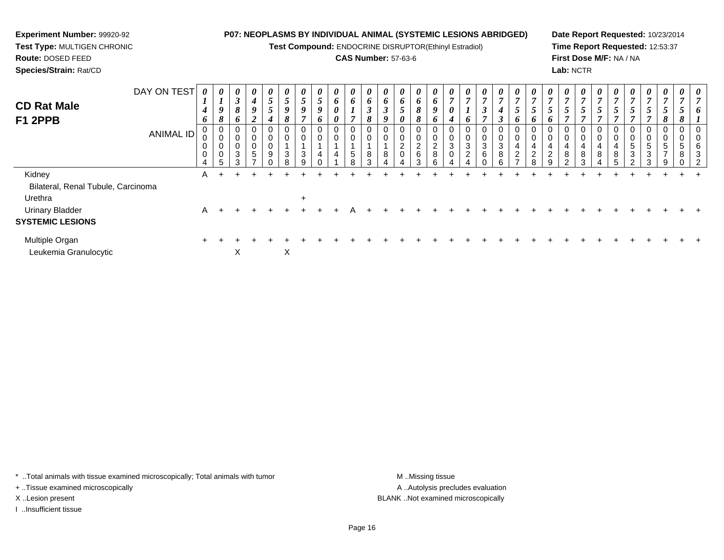**Test Compound:** ENDOCRINE DISRUPTOR(Ethinyl Estradiol)

# **CAS Number:** 57-63-6

**Date Report Requested:** 10/23/2014**Time Report Requested:** 12:53:37**First Dose M/F:** NA / NA**Lab:** NCTR

| DAY ON TEST<br><b>CD Rat Male</b><br>F1 2PPB<br>ANIMAL ID | $\boldsymbol{\theta}$<br>$\mathbf{I}$<br>$\boldsymbol{4}$<br>6<br>0<br>0<br>$\mathbf 0$<br>0<br>4 | $\boldsymbol{\mathit{U}}$<br>$\boldsymbol{l}$<br>9<br>ð<br>0<br>$\pmb{0}$<br>$\pmb{0}$<br>$\pmb{0}$ | $\boldsymbol{\theta}$<br>$\mathbf{\Omega}$<br>$\mathbf{J}$<br>8<br>6<br>3<br>$\sim$ | $\boldsymbol{\theta}$<br>$\boldsymbol{4}$<br>9<br>◢<br>0<br>0<br>0<br>5 | $\boldsymbol{\theta}$<br>$\mathfrak{H}$<br>5<br>4<br>0<br>0<br>$\pmb{0}$<br>9 | $\boldsymbol{\theta}$<br>5<br>9<br>8<br>0<br>0<br>3 | U<br>$\mathcal{L}$<br>9<br>0<br>0<br>3 | $\boldsymbol{\theta}$<br>5<br>9<br>6<br>4 | $\boldsymbol{\theta}$<br>6<br>$\boldsymbol{\theta}$<br>$\boldsymbol{\theta}$<br>0<br>0<br>4 | $\boldsymbol{\theta}$<br>6<br>L<br>$\overline{ }$<br>0<br>$\pmb{0}$<br>$\sqrt{5}$<br>8 | $\boldsymbol{\theta}$<br>6<br>$\boldsymbol{\beta}$<br>8<br>0<br>0<br>8<br>3 | $\boldsymbol{\mathit{U}}$<br>6<br>$\boldsymbol{\beta}$<br>9<br>$\mathbf 0$<br>8 | $\boldsymbol{\theta}$<br>6<br>0<br>$\sim$<br>∠ | $\boldsymbol{\theta}$<br>6<br>8<br>$\mathbf{o}$<br>0<br>$\mathbf 0$<br>$\frac{2}{6}$<br>3 | $\boldsymbol{\theta}$<br>6<br>9<br>6<br>0<br>$\pmb{0}$<br>$_{8}^{\rm 2}$<br>6 | $\boldsymbol{\theta}$<br>$\overline{ }$<br>0<br>4<br>0<br>0<br>$\sqrt{3}$<br>0 | $\boldsymbol{\mathit{U}}$<br>7<br>$\overline{ }$<br>$\bm{o}$<br>0<br>3<br>$\overline{c}$ | $\boldsymbol{\theta}$<br>$\mathbf{r}$<br>$\boldsymbol{\beta}$<br>0<br>3<br>6 | $\boldsymbol{\theta}$<br>$\overline{7}$<br>4<br>3<br>0<br>$\pmb{0}$<br>$\ensuremath{\mathsf{3}}$<br>$\bf8$<br>a | $\boldsymbol{\theta}$<br>$\overline{7}$<br>5<br>6<br>0<br>$\pmb{0}$<br>$\overline{a}$<br>$\boldsymbol{2}$<br>$\rightarrow$ | $\boldsymbol{\theta}$<br>7<br>5<br>6<br>$\mathbf 0$<br>$\mathbf 0$<br>4<br>$\overline{2}$<br>8 | $\boldsymbol{\mathit{U}}$<br>$\overline{7}$<br>$\mathcal{L}$<br>$\bm{o}$<br>$\mathbf 0$<br>4<br>$\Omega$<br>∠ | $\boldsymbol{\theta}$<br>$\mathbf{r}$<br>J<br>4<br>8 | $\boldsymbol{\theta}$<br>$\overline{7}$<br>5<br>r,<br>0<br>$\mathbf 0$<br>4<br>$\bf8$<br>$\mathbf{r}$ | $\boldsymbol{\theta}$<br>$\overline{ }$<br>$\mathcal{L}$<br>0<br>0<br>4<br>8 | U<br>7<br>5<br>0<br>$\pmb{0}$<br>4<br>$\bf 8$ | U<br>$\overline{7}$<br>$\mathcal{I}$<br>$\mathbf 0$<br>5<br>3 | $\boldsymbol{\theta}$<br>$\mathbf{r}$<br>$\overline{ }$<br>$\mathfrak{p}$<br>0<br>0<br>5<br>3 | $\boldsymbol{\theta}$<br>$\mathbf{z}$<br>$\mathfrak{p}$<br>8<br>U<br>0<br>5<br>$\overline{\phantom{a}}$ | $\boldsymbol{\theta}$<br>- 3<br>8<br>0<br>5<br>8 |  |
|-----------------------------------------------------------|---------------------------------------------------------------------------------------------------|-----------------------------------------------------------------------------------------------------|-------------------------------------------------------------------------------------|-------------------------------------------------------------------------|-------------------------------------------------------------------------------|-----------------------------------------------------|----------------------------------------|-------------------------------------------|---------------------------------------------------------------------------------------------|----------------------------------------------------------------------------------------|-----------------------------------------------------------------------------|---------------------------------------------------------------------------------|------------------------------------------------|-------------------------------------------------------------------------------------------|-------------------------------------------------------------------------------|--------------------------------------------------------------------------------|------------------------------------------------------------------------------------------|------------------------------------------------------------------------------|-----------------------------------------------------------------------------------------------------------------|----------------------------------------------------------------------------------------------------------------------------|------------------------------------------------------------------------------------------------|---------------------------------------------------------------------------------------------------------------|------------------------------------------------------|-------------------------------------------------------------------------------------------------------|------------------------------------------------------------------------------|-----------------------------------------------|---------------------------------------------------------------|-----------------------------------------------------------------------------------------------|---------------------------------------------------------------------------------------------------------|--------------------------------------------------|--|
| Kidney                                                    | A                                                                                                 |                                                                                                     |                                                                                     |                                                                         |                                                                               |                                                     |                                        |                                           |                                                                                             |                                                                                        |                                                                             |                                                                                 |                                                |                                                                                           |                                                                               |                                                                                |                                                                                          |                                                                              |                                                                                                                 |                                                                                                                            |                                                                                                |                                                                                                               |                                                      |                                                                                                       |                                                                              |                                               |                                                               |                                                                                               |                                                                                                         |                                                  |  |
| Bilateral, Renal Tubule, Carcinoma                        |                                                                                                   |                                                                                                     |                                                                                     |                                                                         |                                                                               |                                                     |                                        |                                           |                                                                                             |                                                                                        |                                                                             |                                                                                 |                                                |                                                                                           |                                                                               |                                                                                |                                                                                          |                                                                              |                                                                                                                 |                                                                                                                            |                                                                                                |                                                                                                               |                                                      |                                                                                                       |                                                                              |                                               |                                                               |                                                                                               |                                                                                                         |                                                  |  |
| Urethra                                                   |                                                                                                   |                                                                                                     |                                                                                     |                                                                         |                                                                               |                                                     | $\ddot{}$                              |                                           |                                                                                             |                                                                                        |                                                                             |                                                                                 |                                                |                                                                                           |                                                                               |                                                                                |                                                                                          |                                                                              |                                                                                                                 |                                                                                                                            |                                                                                                |                                                                                                               |                                                      |                                                                                                       |                                                                              |                                               |                                                               |                                                                                               |                                                                                                         |                                                  |  |
| <b>Urinary Bladder</b>                                    | A                                                                                                 |                                                                                                     |                                                                                     |                                                                         |                                                                               |                                                     |                                        |                                           |                                                                                             |                                                                                        |                                                                             |                                                                                 |                                                |                                                                                           |                                                                               |                                                                                |                                                                                          |                                                                              |                                                                                                                 |                                                                                                                            |                                                                                                |                                                                                                               |                                                      |                                                                                                       |                                                                              |                                               |                                                               |                                                                                               |                                                                                                         |                                                  |  |
| <b>SYSTEMIC LESIONS</b>                                   |                                                                                                   |                                                                                                     |                                                                                     |                                                                         |                                                                               |                                                     |                                        |                                           |                                                                                             |                                                                                        |                                                                             |                                                                                 |                                                |                                                                                           |                                                                               |                                                                                |                                                                                          |                                                                              |                                                                                                                 |                                                                                                                            |                                                                                                |                                                                                                               |                                                      |                                                                                                       |                                                                              |                                               |                                                               |                                                                                               |                                                                                                         |                                                  |  |
| Multiple Organ<br>Leukemia Granulocytic                   |                                                                                                   |                                                                                                     | X                                                                                   |                                                                         |                                                                               | X                                                   |                                        |                                           |                                                                                             |                                                                                        |                                                                             |                                                                                 |                                                |                                                                                           |                                                                               |                                                                                |                                                                                          |                                                                              |                                                                                                                 |                                                                                                                            |                                                                                                |                                                                                                               |                                                      |                                                                                                       |                                                                              |                                               |                                                               |                                                                                               |                                                                                                         |                                                  |  |

\* ..Total animals with tissue examined microscopically; Total animals with tumor **M** . Missing tissue M ..Missing tissue

+ ..Tissue examined microscopically

**Experiment Number:** 99920-92**Test Type:** MULTIGEN CHRONIC

**Route:** DOSED FEED**Species/Strain:** Rat/CD

I ..Insufficient tissue

A ..Autolysis precludes evaluation X ..Lesion present BLANK ..Not examined microscopically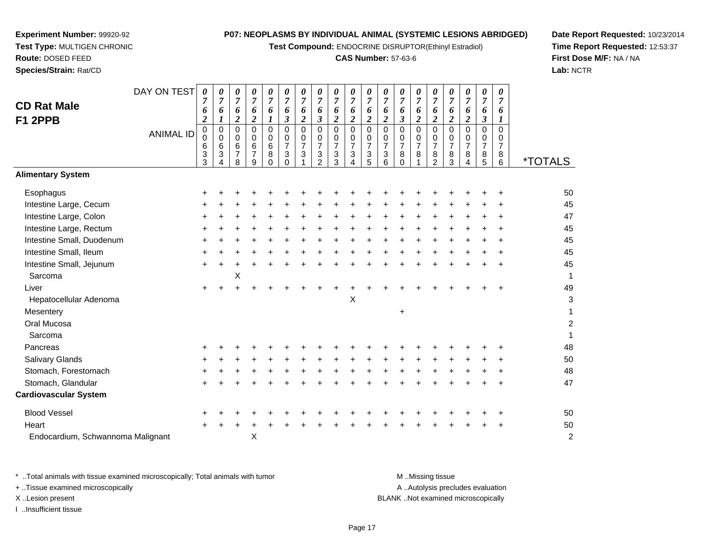**Test Compound:** ENDOCRINE DISRUPTOR(Ethinyl Estradiol)

# **CAS Number:** 57-63-6

**Date Report Requested:** 10/23/2014 **Time Report Requested:** 12:53:37**First Dose M/F:** NA / NA**Lab:** NCTR

| Species/Strain: Rat/CD              |                  |                                                           |                                                               |                                                                              |                                                                      |                                                                |                                                                                               |                                                           |                                                                         |                                                                                  |                                                                |                                                |                                                                    |                                                                                    |                                                                          |                                                               |                                                              |                                                                  |                                                                                                     |                                                   | Lab: N                |
|-------------------------------------|------------------|-----------------------------------------------------------|---------------------------------------------------------------|------------------------------------------------------------------------------|----------------------------------------------------------------------|----------------------------------------------------------------|-----------------------------------------------------------------------------------------------|-----------------------------------------------------------|-------------------------------------------------------------------------|----------------------------------------------------------------------------------|----------------------------------------------------------------|------------------------------------------------|--------------------------------------------------------------------|------------------------------------------------------------------------------------|--------------------------------------------------------------------------|---------------------------------------------------------------|--------------------------------------------------------------|------------------------------------------------------------------|-----------------------------------------------------------------------------------------------------|---------------------------------------------------|-----------------------|
| <b>CD Rat Male</b>                  | DAY ON TEST      | 0<br>7<br>6                                               | 0<br>7<br>6                                                   | 0<br>$\overline{7}$<br>6                                                     | 0<br>$\overline{7}$<br>6                                             | 0<br>$\overline{7}$<br>6                                       | 0<br>$\overline{7}$<br>6                                                                      | $\pmb{\theta}$<br>$\overline{7}$<br>6                     | 0<br>$\overline{7}$<br>6                                                | 0<br>$\overline{7}$<br>6                                                         | 0<br>$\overline{7}$<br>6                                       | 0<br>$\overline{7}$<br>6                       | 0<br>$\overline{7}$<br>6<br>$\overline{2}$                         | 0<br>$\overline{7}$<br>6                                                           | 0<br>$\overline{7}$<br>6                                                 | 0<br>$\overline{7}$<br>6                                      | 0<br>$\overline{7}$<br>6                                     | 0<br>$\overline{7}$<br>6                                         | $\pmb{\theta}$<br>$\overline{7}$<br>6                                                               | 0<br>7<br>6                                       |                       |
| F1 2PPB                             | <b>ANIMAL ID</b> | $\overline{2}$<br>$\pmb{0}$<br>$\mathbf 0$<br>6<br>3<br>3 | $\boldsymbol{l}$<br>$\mathbf 0$<br>$\mathbf 0$<br>6<br>3<br>4 | $\overline{2}$<br>$\mathbf 0$<br>$\mathbf 0$<br>$\,6$<br>$\overline{7}$<br>8 | $\overline{\mathbf{c}}$<br>$\mathbf 0$<br>$\mathbf 0$<br>6<br>7<br>9 | 1<br>$\pmb{0}$<br>$\mathbf 0$<br>$\,6\,$<br>$\bf8$<br>$\Omega$ | $\mathfrak{z}$<br>$\Omega$<br>0<br>$\overline{7}$<br>$\ensuremath{\mathsf{3}}$<br>$\mathbf 0$ | $\overline{c}$<br>$\mathbf 0$<br>0<br>$\overline{7}$<br>3 | $\mathfrak{z}$<br>$\mathbf 0$<br>0<br>$\boldsymbol{7}$<br>$\frac{3}{2}$ | $\overline{\mathbf{c}}$<br>$\mathbf 0$<br>0<br>$\overline{7}$<br>$\sqrt{3}$<br>3 | $\overline{2}$<br>0<br>$\mathbf 0$<br>$\overline{7}$<br>3<br>4 | $\overline{c}$<br>0<br>0<br>7<br>$\frac{3}{5}$ | $\pmb{0}$<br>0<br>$\overline{7}$<br>$\ensuremath{\mathsf{3}}$<br>6 | $\mathfrak{z}$<br>$\mathbf 0$<br>$\mathbf 0$<br>$\overline{7}$<br>8<br>$\mathbf 0$ | $\overline{2}$<br>$\mathbf 0$<br>$\mathbf 0$<br>$\overline{7}$<br>8<br>1 | $\overline{\mathbf{c}}$<br>0<br>0<br>7<br>8<br>$\overline{2}$ | $\overline{2}$<br>$\pmb{0}$<br>0<br>$\overline{7}$<br>$^8_3$ | $\overline{c}$<br>$\Omega$<br>0<br>$\overline{7}$<br>$\bf8$<br>4 | $\boldsymbol{\beta}$<br>$\mathbf 0$<br>0<br>$\overline{7}$<br>$\begin{array}{c} 8 \\ 5 \end{array}$ | 1<br>$\mathbf 0$<br>0<br>$\overline{7}$<br>8<br>6 | <i><b>*TOTALS</b></i> |
| <b>Alimentary System</b>            |                  |                                                           |                                                               |                                                                              |                                                                      |                                                                |                                                                                               |                                                           |                                                                         |                                                                                  |                                                                |                                                |                                                                    |                                                                                    |                                                                          |                                                               |                                                              |                                                                  |                                                                                                     |                                                   |                       |
| Esophagus                           |                  |                                                           |                                                               |                                                                              |                                                                      |                                                                |                                                                                               |                                                           |                                                                         |                                                                                  |                                                                |                                                |                                                                    |                                                                                    |                                                                          |                                                               |                                                              |                                                                  |                                                                                                     |                                                   | 50                    |
| Intestine Large, Cecum              |                  |                                                           |                                                               |                                                                              |                                                                      |                                                                |                                                                                               |                                                           |                                                                         |                                                                                  |                                                                |                                                |                                                                    |                                                                                    |                                                                          |                                                               |                                                              |                                                                  |                                                                                                     |                                                   | 45                    |
| Intestine Large, Colon              |                  |                                                           |                                                               |                                                                              |                                                                      |                                                                |                                                                                               |                                                           |                                                                         |                                                                                  |                                                                |                                                |                                                                    |                                                                                    |                                                                          |                                                               |                                                              |                                                                  |                                                                                                     |                                                   | 47                    |
| Intestine Large, Rectum             |                  |                                                           |                                                               |                                                                              |                                                                      |                                                                |                                                                                               |                                                           |                                                                         |                                                                                  |                                                                |                                                |                                                                    |                                                                                    |                                                                          |                                                               |                                                              |                                                                  |                                                                                                     |                                                   | 45                    |
| Intestine Small, Duodenum           |                  |                                                           |                                                               |                                                                              |                                                                      |                                                                |                                                                                               |                                                           |                                                                         |                                                                                  |                                                                |                                                |                                                                    |                                                                                    |                                                                          |                                                               |                                                              |                                                                  |                                                                                                     |                                                   | 45                    |
| Intestine Small, Ileum              |                  |                                                           |                                                               |                                                                              |                                                                      |                                                                |                                                                                               |                                                           |                                                                         |                                                                                  |                                                                |                                                |                                                                    |                                                                                    |                                                                          |                                                               |                                                              |                                                                  |                                                                                                     |                                                   | 45                    |
| Intestine Small, Jejunum<br>Sarcoma |                  |                                                           |                                                               | Χ                                                                            |                                                                      |                                                                |                                                                                               |                                                           |                                                                         |                                                                                  |                                                                |                                                |                                                                    |                                                                                    |                                                                          |                                                               |                                                              |                                                                  |                                                                                                     |                                                   | 45<br>$\mathbf 1$     |
| Liver                               |                  |                                                           |                                                               |                                                                              |                                                                      |                                                                |                                                                                               |                                                           |                                                                         |                                                                                  |                                                                |                                                |                                                                    |                                                                                    |                                                                          |                                                               |                                                              |                                                                  |                                                                                                     |                                                   | 49                    |
| Hepatocellular Adenoma              |                  |                                                           |                                                               |                                                                              |                                                                      |                                                                |                                                                                               |                                                           |                                                                         |                                                                                  | Χ                                                              |                                                |                                                                    |                                                                                    |                                                                          |                                                               |                                                              |                                                                  |                                                                                                     |                                                   | $\mathbf{3}$          |
| Mesentery                           |                  |                                                           |                                                               |                                                                              |                                                                      |                                                                |                                                                                               |                                                           |                                                                         |                                                                                  |                                                                |                                                |                                                                    | $\ddot{}$                                                                          |                                                                          |                                                               |                                                              |                                                                  |                                                                                                     |                                                   | 1                     |
| Oral Mucosa                         |                  |                                                           |                                                               |                                                                              |                                                                      |                                                                |                                                                                               |                                                           |                                                                         |                                                                                  |                                                                |                                                |                                                                    |                                                                                    |                                                                          |                                                               |                                                              |                                                                  |                                                                                                     |                                                   | $\overline{c}$        |
| Sarcoma                             |                  |                                                           |                                                               |                                                                              |                                                                      |                                                                |                                                                                               |                                                           |                                                                         |                                                                                  |                                                                |                                                |                                                                    |                                                                                    |                                                                          |                                                               |                                                              |                                                                  |                                                                                                     |                                                   | $\mathbf{1}$          |
| Pancreas                            |                  |                                                           |                                                               |                                                                              |                                                                      |                                                                |                                                                                               |                                                           |                                                                         |                                                                                  |                                                                |                                                |                                                                    |                                                                                    |                                                                          |                                                               |                                                              |                                                                  |                                                                                                     |                                                   | 48                    |
| Salivary Glands                     |                  |                                                           |                                                               |                                                                              |                                                                      |                                                                |                                                                                               |                                                           |                                                                         |                                                                                  |                                                                |                                                |                                                                    |                                                                                    |                                                                          |                                                               |                                                              |                                                                  |                                                                                                     |                                                   | 50                    |
| Stomach, Forestomach                |                  |                                                           |                                                               |                                                                              |                                                                      |                                                                |                                                                                               |                                                           |                                                                         |                                                                                  |                                                                |                                                |                                                                    |                                                                                    |                                                                          |                                                               |                                                              |                                                                  |                                                                                                     |                                                   | 48                    |
| Stomach, Glandular                  |                  |                                                           |                                                               |                                                                              |                                                                      |                                                                |                                                                                               |                                                           |                                                                         |                                                                                  |                                                                |                                                |                                                                    |                                                                                    |                                                                          |                                                               |                                                              |                                                                  |                                                                                                     |                                                   | 47                    |
| <b>Cardiovascular System</b>        |                  |                                                           |                                                               |                                                                              |                                                                      |                                                                |                                                                                               |                                                           |                                                                         |                                                                                  |                                                                |                                                |                                                                    |                                                                                    |                                                                          |                                                               |                                                              |                                                                  |                                                                                                     |                                                   |                       |
| <b>Blood Vessel</b>                 |                  |                                                           |                                                               |                                                                              |                                                                      |                                                                |                                                                                               |                                                           |                                                                         |                                                                                  |                                                                |                                                |                                                                    |                                                                                    |                                                                          |                                                               |                                                              |                                                                  |                                                                                                     |                                                   | 50                    |
| Heart                               |                  |                                                           |                                                               |                                                                              |                                                                      |                                                                |                                                                                               |                                                           |                                                                         |                                                                                  |                                                                |                                                |                                                                    |                                                                                    |                                                                          |                                                               |                                                              |                                                                  |                                                                                                     |                                                   | 50                    |
| Endocardium, Schwannoma Malignant   |                  |                                                           |                                                               |                                                                              | X                                                                    |                                                                |                                                                                               |                                                           |                                                                         |                                                                                  |                                                                |                                                |                                                                    |                                                                                    |                                                                          |                                                               |                                                              |                                                                  |                                                                                                     |                                                   | $\overline{c}$        |

**Experiment Number:** 99920-92**Test Type:** MULTIGEN CHRONIC

**Route:** DOSED FEED

| * Total animals with tissue examined microscopically; Total animals with tumor | M Missing tissue                   |
|--------------------------------------------------------------------------------|------------------------------------|
| + Tissue examined microscopically                                              | A Autolysis precludes evaluation   |
| X Lesion present                                                               | BLANK Not examined microscopically |
| …Insufficient tissue                                                           |                                    |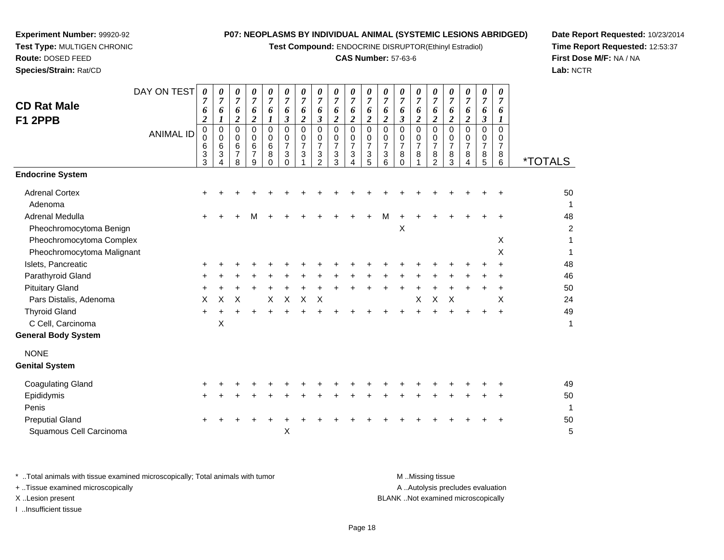**Test Compound:** ENDOCRINE DISRUPTOR(Ethinyl Estradiol)

# **CAS Number:** 57-63-6

**Date Report Requested:** 10/23/2014**Time Report Requested:** 12:53:37**First Dose M/F:** NA / NA**Lab:** NCTR

| <b>CD Rat Male</b><br>F1 2PPB    | DAY ON TEST<br><b>ANIMAL ID</b> | $\boldsymbol{\theta}$<br>$\overline{7}$<br>6<br>$\boldsymbol{2}$<br>$_{\rm 0}^{\rm 0}$<br>$\,6$<br>$\ensuremath{\mathsf{3}}$<br>3 | 0<br>$\overline{7}$<br>6<br>1<br>$\mathbf 0$<br>0<br>$\,6$<br>$\ensuremath{\mathsf{3}}$<br>4 | 0<br>$\overline{7}$<br>6<br>$\boldsymbol{2}$<br>$\pmb{0}$<br>$\mathbf 0$<br>6<br>$\overline{7}$<br>8 | 0<br>$\overline{7}$<br>6<br>$\boldsymbol{2}$<br>0<br>0<br>6<br>$\overline{7}$<br>9 | 0<br>$\boldsymbol{7}$<br>6<br>1<br>$\mathbf 0$<br>$\mathbf 0$<br>6<br>8<br>$\Omega$ | 0<br>$\overline{7}$<br>6<br>$\mathfrak{z}$<br>$\mathsf 0$<br>$\mathbf 0$<br>$\overline{7}$<br>$\mathbf{3}$<br>$\Omega$ | 0<br>$\overline{7}$<br>6<br>$\overline{c}$<br>$\mathbf 0$<br>0<br>$\overline{7}$<br>$\mathbf{3}$ | 0<br>$\boldsymbol{7}$<br>6<br>$\boldsymbol{\beta}$<br>$\mathbf 0$<br>$\mathbf 0$<br>$\boldsymbol{7}$<br>$\sqrt{3}$<br>$\mathcal{P}$ | 0<br>$\boldsymbol{7}$<br>6<br>$\boldsymbol{2}$<br>0<br>0<br>$\overline{7}$<br>3<br>3 | $\boldsymbol{\theta}$<br>$\overline{7}$<br>6<br>$\overline{c}$<br>$\mathbf 0$<br>0<br>$\boldsymbol{7}$<br>3<br>4 | $\boldsymbol{\theta}$<br>$\boldsymbol{7}$<br>6<br>$\overline{c}$<br>$\overline{0}$<br>$\mathbf 0$<br>$\overline{7}$<br>3<br>5 | 0<br>$\overline{7}$<br>6<br>$\overline{c}$<br>$\mathbf 0$<br>0<br>$\overline{7}$<br>$\ensuremath{\mathsf{3}}$<br>6 | 0<br>$\overline{7}$<br>6<br>$\boldsymbol{\beta}$<br>$\mathbf 0$<br>0<br>$\boldsymbol{7}$<br>8<br>$\Omega$ | 0<br>$\boldsymbol{7}$<br>6<br>$\overline{c}$<br>0<br>0<br>$\overline{7}$<br>8 | 0<br>$\overline{7}$<br>6<br>$\overline{c}$<br>$\mathbf 0$<br>0<br>$\boldsymbol{7}$<br>8<br>$\mathfrak{p}$ | $\boldsymbol{\theta}$<br>$\overline{7}$<br>6<br>$\overline{c}$<br>0<br>0<br>$\overline{7}$<br>8<br>3 | 0<br>7<br>6<br>$\overline{c}$<br>$\Omega$<br>0<br>$\overline{7}$<br>8<br>4 | 0<br>$\boldsymbol{7}$<br>6<br>$\boldsymbol{\beta}$<br>$\mathbf 0$<br>0<br>$\overline{7}$<br>8<br>5 | 0<br>$\boldsymbol{7}$<br>6<br>$\boldsymbol{l}$<br>0<br>0<br>$\overline{7}$<br>8<br>6 | <i><b>*TOTALS</b></i> |
|----------------------------------|---------------------------------|-----------------------------------------------------------------------------------------------------------------------------------|----------------------------------------------------------------------------------------------|------------------------------------------------------------------------------------------------------|------------------------------------------------------------------------------------|-------------------------------------------------------------------------------------|------------------------------------------------------------------------------------------------------------------------|--------------------------------------------------------------------------------------------------|-------------------------------------------------------------------------------------------------------------------------------------|--------------------------------------------------------------------------------------|------------------------------------------------------------------------------------------------------------------|-------------------------------------------------------------------------------------------------------------------------------|--------------------------------------------------------------------------------------------------------------------|-----------------------------------------------------------------------------------------------------------|-------------------------------------------------------------------------------|-----------------------------------------------------------------------------------------------------------|------------------------------------------------------------------------------------------------------|----------------------------------------------------------------------------|----------------------------------------------------------------------------------------------------|--------------------------------------------------------------------------------------|-----------------------|
| <b>Endocrine System</b>          |                                 |                                                                                                                                   |                                                                                              |                                                                                                      |                                                                                    |                                                                                     |                                                                                                                        |                                                                                                  |                                                                                                                                     |                                                                                      |                                                                                                                  |                                                                                                                               |                                                                                                                    |                                                                                                           |                                                                               |                                                                                                           |                                                                                                      |                                                                            |                                                                                                    |                                                                                      |                       |
| <b>Adrenal Cortex</b><br>Adenoma |                                 |                                                                                                                                   |                                                                                              |                                                                                                      |                                                                                    |                                                                                     |                                                                                                                        |                                                                                                  |                                                                                                                                     |                                                                                      |                                                                                                                  |                                                                                                                               |                                                                                                                    |                                                                                                           |                                                                               |                                                                                                           |                                                                                                      |                                                                            |                                                                                                    |                                                                                      | 50<br>1               |
| Adrenal Medulla                  |                                 |                                                                                                                                   |                                                                                              |                                                                                                      | М                                                                                  |                                                                                     |                                                                                                                        |                                                                                                  |                                                                                                                                     |                                                                                      |                                                                                                                  |                                                                                                                               | M                                                                                                                  |                                                                                                           |                                                                               |                                                                                                           |                                                                                                      |                                                                            |                                                                                                    |                                                                                      | 48                    |
| Pheochromocytoma Benign          |                                 |                                                                                                                                   |                                                                                              |                                                                                                      |                                                                                    |                                                                                     |                                                                                                                        |                                                                                                  |                                                                                                                                     |                                                                                      |                                                                                                                  |                                                                                                                               |                                                                                                                    | X                                                                                                         |                                                                               |                                                                                                           |                                                                                                      |                                                                            |                                                                                                    |                                                                                      | $\boldsymbol{2}$      |
| Pheochromocytoma Complex         |                                 |                                                                                                                                   |                                                                                              |                                                                                                      |                                                                                    |                                                                                     |                                                                                                                        |                                                                                                  |                                                                                                                                     |                                                                                      |                                                                                                                  |                                                                                                                               |                                                                                                                    |                                                                                                           |                                                                               |                                                                                                           |                                                                                                      |                                                                            |                                                                                                    | X                                                                                    | 1                     |
| Pheochromocytoma Malignant       |                                 |                                                                                                                                   |                                                                                              |                                                                                                      |                                                                                    |                                                                                     |                                                                                                                        |                                                                                                  |                                                                                                                                     |                                                                                      |                                                                                                                  |                                                                                                                               |                                                                                                                    |                                                                                                           |                                                                               |                                                                                                           |                                                                                                      |                                                                            |                                                                                                    | X                                                                                    | 1                     |
| Islets, Pancreatic               |                                 |                                                                                                                                   |                                                                                              |                                                                                                      |                                                                                    |                                                                                     |                                                                                                                        |                                                                                                  |                                                                                                                                     |                                                                                      |                                                                                                                  |                                                                                                                               |                                                                                                                    |                                                                                                           |                                                                               |                                                                                                           |                                                                                                      |                                                                            |                                                                                                    |                                                                                      | 48                    |
| Parathyroid Gland                |                                 |                                                                                                                                   |                                                                                              |                                                                                                      |                                                                                    |                                                                                     |                                                                                                                        |                                                                                                  |                                                                                                                                     |                                                                                      |                                                                                                                  |                                                                                                                               |                                                                                                                    |                                                                                                           |                                                                               |                                                                                                           |                                                                                                      |                                                                            |                                                                                                    |                                                                                      | 46                    |
| <b>Pituitary Gland</b>           |                                 |                                                                                                                                   |                                                                                              |                                                                                                      |                                                                                    |                                                                                     |                                                                                                                        |                                                                                                  |                                                                                                                                     |                                                                                      |                                                                                                                  |                                                                                                                               |                                                                                                                    |                                                                                                           |                                                                               |                                                                                                           |                                                                                                      |                                                                            |                                                                                                    |                                                                                      | 50                    |
| Pars Distalis, Adenoma           |                                 | X                                                                                                                                 | X                                                                                            | Χ                                                                                                    |                                                                                    | X                                                                                   | $\mathsf X$                                                                                                            | X                                                                                                | X                                                                                                                                   |                                                                                      |                                                                                                                  |                                                                                                                               |                                                                                                                    |                                                                                                           | X                                                                             | $\boldsymbol{\mathsf{X}}$                                                                                 | $\boldsymbol{\mathsf{X}}$                                                                            |                                                                            |                                                                                                    | X                                                                                    | 24<br>49              |
| <b>Thyroid Gland</b>             |                                 |                                                                                                                                   |                                                                                              |                                                                                                      |                                                                                    |                                                                                     |                                                                                                                        |                                                                                                  |                                                                                                                                     |                                                                                      |                                                                                                                  |                                                                                                                               |                                                                                                                    |                                                                                                           |                                                                               |                                                                                                           |                                                                                                      |                                                                            | +                                                                                                  | $\ddot{}$                                                                            | 1                     |
| C Cell, Carcinoma                |                                 |                                                                                                                                   | X                                                                                            |                                                                                                      |                                                                                    |                                                                                     |                                                                                                                        |                                                                                                  |                                                                                                                                     |                                                                                      |                                                                                                                  |                                                                                                                               |                                                                                                                    |                                                                                                           |                                                                               |                                                                                                           |                                                                                                      |                                                                            |                                                                                                    |                                                                                      |                       |
| <b>General Body System</b>       |                                 |                                                                                                                                   |                                                                                              |                                                                                                      |                                                                                    |                                                                                     |                                                                                                                        |                                                                                                  |                                                                                                                                     |                                                                                      |                                                                                                                  |                                                                                                                               |                                                                                                                    |                                                                                                           |                                                                               |                                                                                                           |                                                                                                      |                                                                            |                                                                                                    |                                                                                      |                       |
| <b>NONE</b>                      |                                 |                                                                                                                                   |                                                                                              |                                                                                                      |                                                                                    |                                                                                     |                                                                                                                        |                                                                                                  |                                                                                                                                     |                                                                                      |                                                                                                                  |                                                                                                                               |                                                                                                                    |                                                                                                           |                                                                               |                                                                                                           |                                                                                                      |                                                                            |                                                                                                    |                                                                                      |                       |
| <b>Genital System</b>            |                                 |                                                                                                                                   |                                                                                              |                                                                                                      |                                                                                    |                                                                                     |                                                                                                                        |                                                                                                  |                                                                                                                                     |                                                                                      |                                                                                                                  |                                                                                                                               |                                                                                                                    |                                                                                                           |                                                                               |                                                                                                           |                                                                                                      |                                                                            |                                                                                                    |                                                                                      |                       |
| <b>Coagulating Gland</b>         |                                 |                                                                                                                                   |                                                                                              |                                                                                                      |                                                                                    |                                                                                     |                                                                                                                        |                                                                                                  |                                                                                                                                     |                                                                                      |                                                                                                                  |                                                                                                                               |                                                                                                                    |                                                                                                           |                                                                               |                                                                                                           |                                                                                                      |                                                                            |                                                                                                    |                                                                                      | 49                    |
| Epididymis                       |                                 |                                                                                                                                   |                                                                                              |                                                                                                      |                                                                                    |                                                                                     |                                                                                                                        |                                                                                                  |                                                                                                                                     |                                                                                      |                                                                                                                  |                                                                                                                               |                                                                                                                    |                                                                                                           |                                                                               |                                                                                                           |                                                                                                      |                                                                            |                                                                                                    |                                                                                      | 50                    |
| Penis                            |                                 |                                                                                                                                   |                                                                                              |                                                                                                      |                                                                                    |                                                                                     |                                                                                                                        |                                                                                                  |                                                                                                                                     |                                                                                      |                                                                                                                  |                                                                                                                               |                                                                                                                    |                                                                                                           |                                                                               |                                                                                                           |                                                                                                      |                                                                            |                                                                                                    |                                                                                      | $\mathbf{1}$          |
| <b>Preputial Gland</b>           |                                 |                                                                                                                                   |                                                                                              |                                                                                                      |                                                                                    |                                                                                     |                                                                                                                        |                                                                                                  |                                                                                                                                     |                                                                                      |                                                                                                                  |                                                                                                                               |                                                                                                                    |                                                                                                           |                                                                               |                                                                                                           |                                                                                                      |                                                                            |                                                                                                    |                                                                                      | 50                    |
| Squamous Cell Carcinoma          |                                 |                                                                                                                                   |                                                                                              |                                                                                                      |                                                                                    |                                                                                     | $\boldsymbol{\mathsf{X}}$                                                                                              |                                                                                                  |                                                                                                                                     |                                                                                      |                                                                                                                  |                                                                                                                               |                                                                                                                    |                                                                                                           |                                                                               |                                                                                                           |                                                                                                      |                                                                            |                                                                                                    |                                                                                      | 5                     |
|                                  |                                 |                                                                                                                                   |                                                                                              |                                                                                                      |                                                                                    |                                                                                     |                                                                                                                        |                                                                                                  |                                                                                                                                     |                                                                                      |                                                                                                                  |                                                                                                                               |                                                                                                                    |                                                                                                           |                                                                               |                                                                                                           |                                                                                                      |                                                                            |                                                                                                    |                                                                                      |                       |

**Experiment Number:** 99920-92**Test Type:** MULTIGEN CHRONIC

**Route:** DOSED FEED**Species/Strain:** Rat/CD

\* ..Total animals with tissue examined microscopically; Total animals with tumor **M** . Missing tissue M ..Missing tissue A ..Autolysis precludes evaluation + ..Tissue examined microscopically X ..Lesion present BLANK ..Not examined microscopicallyI ..Insufficient tissue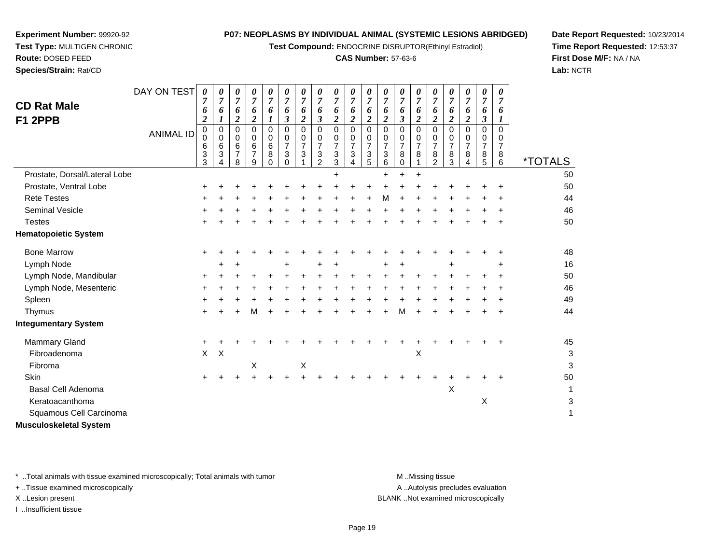**Test Compound:** ENDOCRINE DISRUPTOR(Ethinyl Estradiol)

# **CAS Number:** 57-63-6

**Date Report Requested:** 10/23/2014**Time Report Requested:** 12:53:37**First Dose M/F:** NA / NA**Lab:** NCTR

| <b>CD Rat Male</b><br>F1 2PPB | DAY ON TEST      | 0<br>7<br>6<br>$\boldsymbol{2}$ | 0<br>$\overline{7}$<br>6<br>1 | 0<br>$\overline{7}$<br>6<br>2 | 0<br>$\overline{7}$<br>6<br>$\overline{\mathbf{c}}$ | 0<br>$\boldsymbol{7}$<br>6<br>1        | 0<br>$\overline{7}$<br>6<br>$\boldsymbol{\beta}$ | 0<br>$\overline{7}$<br>6<br>$\boldsymbol{2}$ | 0<br>$\overline{7}$<br>6<br>$\boldsymbol{\beta}$                    | 0<br>$\overline{7}$<br>6<br>$\overline{c}$   | 0<br>$\overline{7}$<br>6<br>$\overline{\mathbf{c}}$ | 0<br>$\overline{7}$<br>6<br>2 | 0<br>$\overline{7}$<br>6<br>2      | 0<br>$\overline{7}$<br>6<br>$\boldsymbol{\beta}$       | 0<br>$\overline{7}$<br>6<br>2        | 0<br>$\overline{7}$<br>6<br>$\boldsymbol{2}$           | 0<br>$\overline{7}$<br>6<br>$\boldsymbol{2}$ | 0<br>$\overline{7}$<br>6<br>$\boldsymbol{2}$ | 0<br>$\overline{7}$<br>6<br>$\boldsymbol{\beta}$ | 0<br>$\overline{7}$<br>6<br>1             |                       |
|-------------------------------|------------------|---------------------------------|-------------------------------|-------------------------------|-----------------------------------------------------|----------------------------------------|--------------------------------------------------|----------------------------------------------|---------------------------------------------------------------------|----------------------------------------------|-----------------------------------------------------|-------------------------------|------------------------------------|--------------------------------------------------------|--------------------------------------|--------------------------------------------------------|----------------------------------------------|----------------------------------------------|--------------------------------------------------|-------------------------------------------|-----------------------|
|                               | <b>ANIMAL ID</b> | $\mathbf 0$<br>0<br>6<br>3<br>3 | 0<br>0<br>6<br>3              | 0<br>0<br>6<br>7<br>8         | 0<br>0<br>6<br>7<br>9                               | 0<br>0<br>$\,6$<br>$\bf 8$<br>$\Omega$ | $\Omega$<br>0<br>$\overline{7}$<br>3<br>$\Omega$ | $\Omega$<br>0<br>$\overline{7}$<br>3         | $\mathbf 0$<br>$\mathbf 0$<br>$\overline{7}$<br>3<br>$\overline{2}$ | $\mathbf 0$<br>0<br>$\overline{7}$<br>3<br>3 | $\Omega$<br>0<br>$\overline{7}$<br>3<br>4           | $\Omega$<br>0<br>7<br>3<br>5  | 0<br>0<br>$\overline{7}$<br>3<br>6 | $\mathbf 0$<br>0<br>$\overline{7}$<br>8<br>$\mathbf 0$ | $\Omega$<br>0<br>$\overline{7}$<br>8 | $\Omega$<br>0<br>$\overline{7}$<br>8<br>$\mathfrak{p}$ | $\Omega$<br>0<br>$\overline{7}$<br>8<br>3    | $\mathbf 0$<br>0<br>$\overline{7}$<br>8<br>4 | $\Omega$<br>0<br>$\overline{7}$<br>$\frac{8}{5}$ | $\Omega$<br>0<br>$\overline{7}$<br>8<br>6 | <i><b>*TOTALS</b></i> |
| Prostate, Dorsal/Lateral Lobe |                  |                                 |                               |                               |                                                     |                                        |                                                  |                                              |                                                                     |                                              |                                                     |                               | +                                  |                                                        |                                      |                                                        |                                              |                                              |                                                  |                                           | 50                    |
| Prostate, Ventral Lobe        |                  |                                 |                               |                               |                                                     |                                        |                                                  |                                              |                                                                     |                                              |                                                     |                               |                                    |                                                        |                                      |                                                        |                                              |                                              |                                                  |                                           | 50                    |
| <b>Rete Testes</b>            |                  |                                 |                               |                               |                                                     |                                        |                                                  |                                              |                                                                     |                                              |                                                     |                               | м                                  |                                                        |                                      |                                                        |                                              |                                              |                                                  |                                           | 44                    |
| <b>Seminal Vesicle</b>        |                  |                                 |                               |                               |                                                     |                                        |                                                  |                                              |                                                                     |                                              |                                                     |                               |                                    |                                                        |                                      |                                                        |                                              |                                              |                                                  |                                           | 46                    |
| <b>Testes</b>                 |                  |                                 |                               |                               |                                                     |                                        |                                                  |                                              |                                                                     |                                              |                                                     |                               |                                    |                                                        |                                      |                                                        |                                              |                                              |                                                  |                                           | 50                    |
| <b>Hematopoietic System</b>   |                  |                                 |                               |                               |                                                     |                                        |                                                  |                                              |                                                                     |                                              |                                                     |                               |                                    |                                                        |                                      |                                                        |                                              |                                              |                                                  |                                           |                       |
| <b>Bone Marrow</b>            |                  | +                               |                               |                               |                                                     |                                        |                                                  |                                              |                                                                     |                                              |                                                     |                               |                                    |                                                        |                                      |                                                        |                                              |                                              |                                                  | ٠                                         | 48                    |
| Lymph Node                    |                  |                                 |                               |                               |                                                     |                                        |                                                  |                                              |                                                                     |                                              |                                                     |                               |                                    |                                                        |                                      |                                                        |                                              |                                              |                                                  | +                                         | 16                    |
| Lymph Node, Mandibular        |                  | +                               |                               |                               |                                                     |                                        |                                                  |                                              |                                                                     |                                              |                                                     |                               |                                    |                                                        |                                      |                                                        |                                              |                                              |                                                  | +                                         | 50                    |
| Lymph Node, Mesenteric        |                  |                                 |                               |                               |                                                     |                                        |                                                  |                                              |                                                                     |                                              |                                                     |                               |                                    |                                                        |                                      |                                                        |                                              |                                              |                                                  |                                           | 46                    |
| Spleen                        |                  |                                 |                               |                               |                                                     |                                        |                                                  |                                              |                                                                     |                                              |                                                     |                               |                                    |                                                        |                                      |                                                        |                                              |                                              |                                                  |                                           | 49                    |
| Thymus                        |                  |                                 |                               |                               |                                                     |                                        |                                                  |                                              |                                                                     |                                              |                                                     |                               |                                    | м                                                      |                                      |                                                        |                                              |                                              |                                                  |                                           | 44                    |
| <b>Integumentary System</b>   |                  |                                 |                               |                               |                                                     |                                        |                                                  |                                              |                                                                     |                                              |                                                     |                               |                                    |                                                        |                                      |                                                        |                                              |                                              |                                                  |                                           |                       |
| <b>Mammary Gland</b>          |                  | $\pm$                           |                               |                               |                                                     |                                        |                                                  |                                              |                                                                     |                                              |                                                     |                               |                                    |                                                        |                                      |                                                        |                                              |                                              |                                                  |                                           | 45                    |
| Fibroadenoma                  |                  | $\pmb{\times}$                  | X                             |                               |                                                     |                                        |                                                  |                                              |                                                                     |                                              |                                                     |                               |                                    |                                                        | $\mathsf X$                          |                                                        |                                              |                                              |                                                  |                                           | 3                     |
| Fibroma                       |                  |                                 |                               |                               | X                                                   |                                        |                                                  | Χ                                            |                                                                     |                                              |                                                     |                               |                                    |                                                        |                                      |                                                        |                                              |                                              |                                                  |                                           | 3                     |
| Skin                          |                  | +                               |                               |                               |                                                     |                                        |                                                  |                                              |                                                                     |                                              |                                                     |                               |                                    |                                                        |                                      |                                                        |                                              |                                              |                                                  |                                           | 50                    |
| <b>Basal Cell Adenoma</b>     |                  |                                 |                               |                               |                                                     |                                        |                                                  |                                              |                                                                     |                                              |                                                     |                               |                                    |                                                        |                                      |                                                        | $\sf X$                                      |                                              |                                                  |                                           | 1                     |
| Keratoacanthoma               |                  |                                 |                               |                               |                                                     |                                        |                                                  |                                              |                                                                     |                                              |                                                     |                               |                                    |                                                        |                                      |                                                        |                                              |                                              | $\boldsymbol{\mathsf{X}}$                        |                                           | 3                     |
| Squamous Cell Carcinoma       |                  |                                 |                               |                               |                                                     |                                        |                                                  |                                              |                                                                     |                                              |                                                     |                               |                                    |                                                        |                                      |                                                        |                                              |                                              |                                                  |                                           | 1                     |
| Musculoskeletal System        |                  |                                 |                               |                               |                                                     |                                        |                                                  |                                              |                                                                     |                                              |                                                     |                               |                                    |                                                        |                                      |                                                        |                                              |                                              |                                                  |                                           |                       |

\* ..Total animals with tissue examined microscopically; Total animals with tumor **M** . Missing tissue M ..Missing tissue

+ ..Tissue examined microscopically

**Experiment Number:** 99920-92**Test Type:** MULTIGEN CHRONIC

**Route:** DOSED FEED**Species/Strain:** Rat/CD

I ..Insufficient tissue

A ..Autolysis precludes evaluation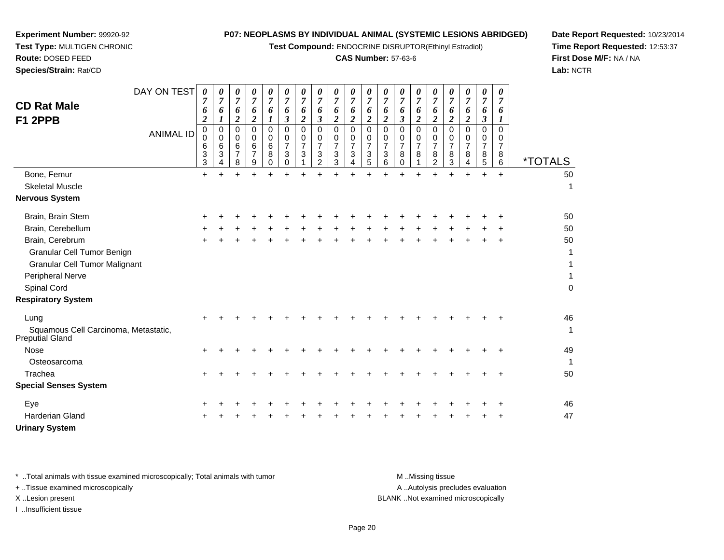**Test Compound:** ENDOCRINE DISRUPTOR(Ethinyl Estradiol)

# **CAS Number:** 57-63-6

┯

**Date Report Requested:** 10/23/2014**Time Report Requested:** 12:53:37**First Dose M/F:** NA / NA**Lab:** NCTR

| DAY ON TEST<br><b>CD Rat Male</b><br>F1 2PPB                                                                             | 0<br>7<br>6<br>$\boldsymbol{2}$ | 0<br>6                     | 0<br>7<br>6<br>$\overline{c}$ | 0<br>$\boldsymbol{7}$<br>6<br>$\overline{2}$ | 0<br>$\overline{7}$<br>6<br>$\boldsymbol{l}$ | 0<br>$\overline{7}$<br>6<br>$\boldsymbol{\beta}$ | 0<br>$\boldsymbol{7}$<br>6<br>$\overline{\mathbf{c}}$ | 0<br>$\overline{7}$<br>6<br>$\boldsymbol{\beta}$                    | 0<br>$\overline{7}$<br>6<br>$\overline{2}$             | 0<br>$\overline{7}$<br>6<br>$\boldsymbol{2}$ | 0<br>7<br>6<br>$\overline{c}$                | 0<br>$\boldsymbol{7}$<br>6<br>$\overline{\mathbf{c}}$ | 0<br>$\overline{7}$<br>6<br>3                | 0<br>$\overline{7}$<br>6<br>$\overline{2}$ | 0<br>7<br>6<br>$\overline{2}$                             | 0<br>7<br>6<br>2                          | 0<br>7<br>6<br>$\boldsymbol{2}$              | 0<br>7<br>6<br>$\boldsymbol{\beta}$          | 0<br>$\overline{7}$<br>6<br>$\boldsymbol{l}$           |                                             |
|--------------------------------------------------------------------------------------------------------------------------|---------------------------------|----------------------------|-------------------------------|----------------------------------------------|----------------------------------------------|--------------------------------------------------|-------------------------------------------------------|---------------------------------------------------------------------|--------------------------------------------------------|----------------------------------------------|----------------------------------------------|-------------------------------------------------------|----------------------------------------------|--------------------------------------------|-----------------------------------------------------------|-------------------------------------------|----------------------------------------------|----------------------------------------------|--------------------------------------------------------|---------------------------------------------|
| <b>ANIMAL ID</b>                                                                                                         | $\mathbf 0$<br>0<br>6<br>3<br>3 | 0<br>$\mathbf 0$<br>6<br>3 | 0<br>$\Omega$<br>6<br>7<br>8  | 0<br>$\mathbf 0$<br>6<br>$\overline{7}$<br>9 | $\mathbf 0$<br>0<br>6<br>8<br>$\Omega$       | $\mathbf 0$<br>0<br>$\overline{7}$<br>3<br>0     | $\mathbf 0$<br>0<br>7<br>3                            | $\mathbf 0$<br>$\mathbf 0$<br>$\overline{7}$<br>3<br>$\overline{2}$ | $\mathbf 0$<br>$\mathbf 0$<br>$\overline{7}$<br>3<br>3 | $\mathbf 0$<br>0<br>$\overline{7}$<br>3<br>4 | $\mathbf 0$<br>0<br>$\overline{7}$<br>3<br>5 | 0<br>0<br>$\overline{7}$<br>3<br>6                    | $\mathbf 0$<br>0<br>$\overline{7}$<br>8<br>0 | $\mathbf 0$<br>0<br>$\overline{7}$<br>8    | $\mathbf 0$<br>0<br>$\overline{7}$<br>8<br>$\overline{2}$ | $\Omega$<br>0<br>$\overline{7}$<br>8<br>3 | $\mathbf 0$<br>0<br>$\overline{7}$<br>8<br>4 | $\mathbf 0$<br>0<br>$\overline{7}$<br>8<br>5 | $\mathbf 0$<br>$\mathbf 0$<br>$\overline{7}$<br>8<br>6 | <i><b>*TOTALS</b></i>                       |
| Bone, Femur                                                                                                              | $\ddot{}$                       | ÷                          |                               | ÷                                            |                                              |                                                  | $\ddot{}$                                             |                                                                     |                                                        |                                              |                                              |                                                       |                                              |                                            |                                                           |                                           | ÷                                            | ÷                                            | $+$                                                    | 50                                          |
| <b>Skeletal Muscle</b>                                                                                                   |                                 |                            |                               |                                              |                                              |                                                  |                                                       |                                                                     |                                                        |                                              |                                              |                                                       |                                              |                                            |                                                           |                                           |                                              |                                              |                                                        | $\mathbf{1}$                                |
| <b>Nervous System</b>                                                                                                    |                                 |                            |                               |                                              |                                              |                                                  |                                                       |                                                                     |                                                        |                                              |                                              |                                                       |                                              |                                            |                                                           |                                           |                                              |                                              |                                                        |                                             |
| Brain, Brain Stem                                                                                                        |                                 |                            |                               |                                              |                                              |                                                  |                                                       |                                                                     |                                                        |                                              |                                              |                                                       |                                              |                                            |                                                           |                                           |                                              |                                              |                                                        | 50                                          |
| Brain, Cerebellum                                                                                                        |                                 |                            |                               |                                              |                                              |                                                  |                                                       |                                                                     |                                                        |                                              |                                              |                                                       |                                              |                                            |                                                           |                                           |                                              |                                              |                                                        | 50                                          |
| Brain, Cerebrum<br>Granular Cell Tumor Benign<br><b>Granular Cell Tumor Malignant</b><br>Peripheral Nerve<br>Spinal Cord |                                 |                            |                               |                                              |                                              |                                                  |                                                       |                                                                     |                                                        |                                              |                                              |                                                       |                                              |                                            |                                                           |                                           |                                              |                                              |                                                        | 50<br>1<br>1<br>$\mathbf{1}$<br>$\mathbf 0$ |
| <b>Respiratory System</b>                                                                                                |                                 |                            |                               |                                              |                                              |                                                  |                                                       |                                                                     |                                                        |                                              |                                              |                                                       |                                              |                                            |                                                           |                                           |                                              |                                              |                                                        |                                             |
| Lung<br>Squamous Cell Carcinoma, Metastatic,<br><b>Preputial Gland</b>                                                   |                                 |                            |                               |                                              |                                              |                                                  |                                                       |                                                                     |                                                        |                                              |                                              |                                                       |                                              |                                            |                                                           |                                           |                                              |                                              |                                                        | 46<br>1                                     |
| <b>Nose</b>                                                                                                              | $\ddot{}$                       |                            |                               |                                              |                                              |                                                  |                                                       |                                                                     |                                                        |                                              |                                              |                                                       |                                              |                                            |                                                           |                                           |                                              |                                              |                                                        | 49                                          |
| Osteosarcoma                                                                                                             |                                 |                            |                               |                                              |                                              |                                                  |                                                       |                                                                     |                                                        |                                              |                                              |                                                       |                                              |                                            |                                                           |                                           |                                              |                                              |                                                        | 1                                           |
| Trachea                                                                                                                  | ÷                               |                            |                               |                                              |                                              |                                                  |                                                       |                                                                     |                                                        |                                              |                                              |                                                       |                                              |                                            |                                                           |                                           |                                              |                                              |                                                        | 50                                          |
| <b>Special Senses System</b>                                                                                             |                                 |                            |                               |                                              |                                              |                                                  |                                                       |                                                                     |                                                        |                                              |                                              |                                                       |                                              |                                            |                                                           |                                           |                                              |                                              |                                                        |                                             |
| Eye                                                                                                                      |                                 |                            |                               |                                              |                                              |                                                  |                                                       |                                                                     |                                                        |                                              |                                              |                                                       |                                              |                                            |                                                           |                                           |                                              |                                              |                                                        | 46                                          |
| <b>Harderian Gland</b>                                                                                                   |                                 |                            |                               |                                              |                                              |                                                  |                                                       |                                                                     |                                                        |                                              |                                              |                                                       |                                              |                                            |                                                           |                                           |                                              |                                              |                                                        | 47                                          |
| <b>Urinary System</b>                                                                                                    |                                 |                            |                               |                                              |                                              |                                                  |                                                       |                                                                     |                                                        |                                              |                                              |                                                       |                                              |                                            |                                                           |                                           |                                              |                                              |                                                        |                                             |

**Experiment Number:** 99920-92**Test Type:** MULTIGEN CHRONIC

**Route:** DOSED FEED**Species/Strain:** Rat/CD

\* ..Total animals with tissue examined microscopically; Total animals with tumor **M** ...Missing tissue M ...Missing tissue A ..Autolysis precludes evaluation + ..Tissue examined microscopically X ..Lesion present BLANK ..Not examined microscopicallyI ..Insufficient tissue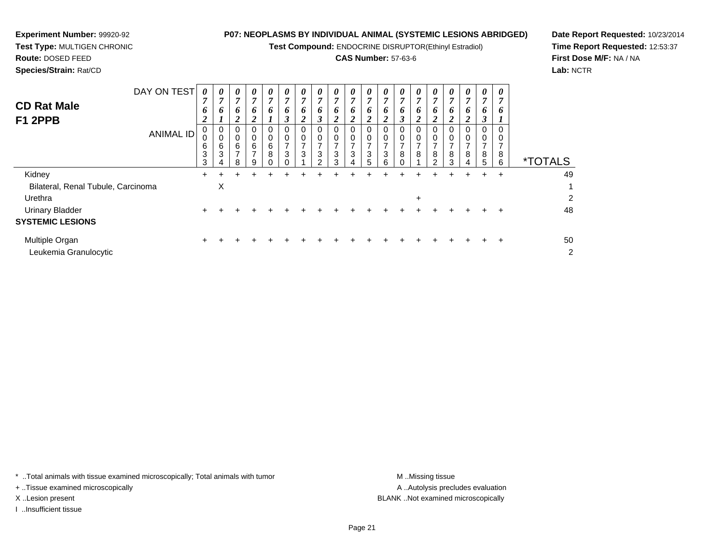**Test Compound:** ENDOCRINE DISRUPTOR(Ethinyl Estradiol)

# **CAS Number:** 57-63-6

**Date Report Requested:** 10/23/2014**Time Report Requested:** 12:53:37**First Dose M/F:** NA / NA**Lab:** NCTR

| ----------<br><b>CD Rat Male</b><br>F1 2PPB<br><b>ANIMAL ID</b> | $\mathbf v$<br>7<br>6<br>2<br>0<br>0<br>6<br>3<br>3 | v<br>n<br>o<br>0<br>0<br>6<br>3 | 7<br>6<br>∠<br>0<br>6<br>8 | v<br>7<br>6<br>0<br>0<br>6<br>$\overline{ }$<br>9 | 7<br>6<br>0<br>$\mathbf 0$<br>6<br>8 | v<br>$\overline{7}$<br>6<br>$\boldsymbol{\beta}$<br>0<br>0<br>⇁<br>3<br>∩ | 7<br>6<br>0<br>0<br>⇁<br>3 | 7<br>6<br>J<br>⇁<br>3<br>2 | v<br>$\overline{7}$<br>6<br>◢<br>0<br>0<br>$\overline{7}$<br>3<br>3 | v<br>7<br>6<br>2<br>0<br>0<br>$\overline{ }$<br>$\mathbf{3}$<br>4 | 7<br>6<br>2<br>0<br>$\overline{ }$<br>3<br>5 | v<br>7<br>6<br>$\overline{2}$<br>0<br>$\overline{ }$<br>3<br>ี | 7<br>6<br>⇁<br>8 | v<br>7<br>o<br>∠<br>$\overline{ }$<br>8 | 7<br>6<br>0<br>0<br>$\rightarrow$<br>8<br>$\mathcal{P}$ | v<br>7<br>6<br>2<br>0<br>0<br>$\overline{7}$<br>8<br>3 | v<br>7<br>6<br>∠<br>0<br>$\overline{ }$<br>8<br>4 | v<br>7<br>6<br>3<br>0<br>0<br>⇁<br>8<br>5 | o<br>8<br>6 | <i><b>*TOTALS</b></i> |
|-----------------------------------------------------------------|-----------------------------------------------------|---------------------------------|----------------------------|---------------------------------------------------|--------------------------------------|---------------------------------------------------------------------------|----------------------------|----------------------------|---------------------------------------------------------------------|-------------------------------------------------------------------|----------------------------------------------|----------------------------------------------------------------|------------------|-----------------------------------------|---------------------------------------------------------|--------------------------------------------------------|---------------------------------------------------|-------------------------------------------|-------------|-----------------------|
| Kidney                                                          | +                                                   |                                 |                            |                                                   |                                      |                                                                           |                            |                            |                                                                     |                                                                   |                                              |                                                                |                  | ÷                                       | ÷                                                       |                                                        | +                                                 | $\div$                                    | $\ddot{}$   | 49                    |
| Bilateral, Renal Tubule, Carcinoma                              |                                                     | X                               |                            |                                                   |                                      |                                                                           |                            |                            |                                                                     |                                                                   |                                              |                                                                |                  |                                         |                                                         |                                                        |                                                   |                                           |             |                       |
| Urethra                                                         |                                                     |                                 |                            |                                                   |                                      |                                                                           |                            |                            |                                                                     |                                                                   |                                              |                                                                |                  | $\ddot{}$                               |                                                         |                                                        |                                                   |                                           |             | 2                     |
| <b>Urinary Bladder</b>                                          | $\ddot{}$                                           |                                 |                            |                                                   |                                      |                                                                           |                            |                            |                                                                     |                                                                   |                                              |                                                                |                  |                                         |                                                         |                                                        |                                                   |                                           |             | 48                    |
| <b>SYSTEMIC LESIONS</b>                                         |                                                     |                                 |                            |                                                   |                                      |                                                                           |                            |                            |                                                                     |                                                                   |                                              |                                                                |                  |                                         |                                                         |                                                        |                                                   |                                           |             |                       |
| Multiple Organ<br>Leukemia Granulocytic                         | +                                                   |                                 |                            |                                                   |                                      |                                                                           |                            |                            |                                                                     |                                                                   |                                              |                                                                |                  |                                         |                                                         |                                                        |                                                   |                                           | ÷           | 50<br>2               |

\* ..Total animals with tissue examined microscopically; Total animals with tumor **M** ...Missing tissue M ...Missing tissue

+ ..Tissue examined microscopically

**Experiment Number:** 99920-92**Test Type:** MULTIGEN CHRONIC

I ..Insufficient tissue

A ..Autolysis precludes evaluation X ..Lesion present BLANK ..Not examined microscopically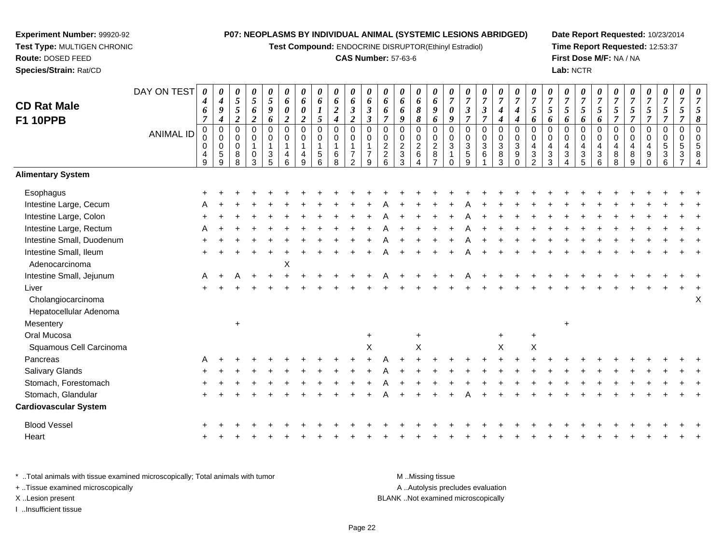**Test Compound:** ENDOCRINE DISRUPTOR(Ethinyl Estradiol)

# **CAS Number:** 57-63-6

**Date Report Requested:** 10/23/2014**Time Report Requested:** 12:53:37**First Dose M/F:** NA / NA**Lab:** NCTR

| <b>CD Rat Male</b><br><b>F1 10PPB</b>                 | DAY ON TEST<br><b>ANIMAL ID</b> | 0<br>$\boldsymbol{4}$<br>6<br>$\overline{7}$<br>$\mathbf 0$<br>0<br>$\mathbf 0$<br>$\begin{array}{c} 4 \\ 9 \end{array}$ | 0<br>$\boldsymbol{4}$<br>$\boldsymbol{g}$<br>$\boldsymbol{4}$<br>$\boldsymbol{0}$<br>$\mathbf 0$<br>$\mathbf 0$<br>5<br>9 | 0<br>5<br>5<br>$\overline{2}$<br>$\Omega$<br>0<br>$\mathbf 0$<br>8<br>R | 0<br>$\mathfrak{s}$<br>6<br>$\boldsymbol{2}$<br>$\Omega$<br>0<br>$\mathbf{1}$<br>$\mathbf 0$<br>3 | 0<br>5<br>$\boldsymbol{g}$<br>6<br>$\pmb{0}$<br>$\mathbf 0$<br>1<br>$\frac{3}{5}$ | 0<br>6<br>$\pmb{\theta}$<br>$\boldsymbol{2}$<br>$\Omega$<br>$\mathbf 0$<br>4<br>6 | 0<br>6<br>$\boldsymbol{\theta}$<br>$\boldsymbol{2}$<br>$\overline{0}$<br>$\mathbf 0$<br>$\overline{4}$<br>$\mathbf{Q}$ | 0<br>6<br>5<br>$\Omega$<br>0<br>5<br>6 | 0<br>6<br>$\boldsymbol{2}$<br>$\boldsymbol{4}$<br>0<br>$\pmb{0}$<br>$\mathbf{1}$<br>$\,6\,$<br>8 | 0<br>6<br>$\mathfrak{z}$<br>$\boldsymbol{2}$<br>$\mathbf 0$<br>$\mathbf 0$<br>$\overline{7}$<br>$\mathfrak{p}$ | 0<br>6<br>$\mathfrak{z}$<br>$\boldsymbol{\beta}$<br>$\Omega$<br>0<br>$\overline{7}$<br>9 | $\boldsymbol{\theta}$<br>6<br>6<br>$\overline{7}$<br>$\Omega$<br>$\mathbf 0$<br>$\overline{2}$<br>$\overline{c}$<br>6 | 0<br>6<br>6<br>9<br>$\Omega$<br>0<br>$\overline{c}$<br>$\mathbf{3}$<br>3 | 0<br>6<br>8<br>8<br>$\pmb{0}$<br>$\pmb{0}$<br>$\frac{2}{6}$<br>$\Lambda$ | 0<br>$\boldsymbol{6}$<br>$\boldsymbol{g}$<br>6<br>$\pmb{0}$<br>$\pmb{0}$<br>$\frac{2}{8}$<br>$\overline{ }$ | 0<br>$\overline{7}$<br>$\pmb{\theta}$<br>9<br>$\Omega$<br>0<br>$\sqrt{3}$ | 0<br>$\overline{7}$<br>$\mathfrak{z}$<br>$\overline{7}$<br>$\mathbf 0$<br>$\mathbf 0$<br>$\mathbf{3}$<br>$\mathbf 5$<br>9 | 0<br>$\overline{7}$<br>$\overline{\mathbf{3}}$<br>$\overline{7}$<br>$\mathbf 0$<br>0<br>3<br>6 | 0<br>$\boldsymbol{7}$<br>$\boldsymbol{4}$<br>$\boldsymbol{4}$<br>0<br>$\pmb{0}$<br>$\sqrt{3}$<br>$\frac{8}{3}$ | 0<br>$\overline{7}$<br>4<br>$\boldsymbol{4}$<br>$\pmb{0}$<br>$\pmb{0}$<br>$\sqrt{3}$<br>$\boldsymbol{9}$<br>$\Omega$ | 0<br>$\overline{7}$<br>5<br>6<br>$\Omega$<br>0<br>$\overline{\mathbf{4}}$<br>$\ensuremath{\mathsf{3}}$<br>$\mathfrak{p}$ | $\boldsymbol{7}$<br>5<br>6<br>$\Omega$<br>$\mathbf 0$<br>$\overline{4}$<br>$\sqrt{3}$<br>3 | 0<br>$\overline{7}$<br>5<br>6<br>$\Omega$<br>0<br>4<br>3 | 0<br>$\overline{7}$<br>5<br>6<br>$\mathbf 0$<br>0<br>$\overline{\mathbf{4}}$<br>$\frac{3}{5}$ | 0<br>$\overline{7}$<br>5<br>6<br>$\mathbf 0$<br>$\mathbf 0$<br>$\overline{4}$<br>$\sqrt{3}$<br>6 | 0<br>$\overline{7}$<br>5<br>$\overline{7}$<br>$\mathbf{0}$<br>0<br>4<br>$\,8\,$<br>8 | $\overline{7}$<br>5<br>$\overline{7}$<br>$\Omega$<br>$\Omega$<br>4<br>8<br>9 | 0<br>$\overline{7}$<br>5<br>$\mathbf 0$<br>0<br>9 | 0<br>$\boldsymbol{7}$<br>5<br>$\overline{7}$<br>0<br>0<br>$\sqrt{5}$<br>$\mathbf{3}$ | 0<br>$\overline{7}$<br>5<br>$\overline{7}$<br>$\pmb{0}$<br>$\mathbf 0$<br>$\sqrt{5}$<br>$\sqrt{3}$ | $\boldsymbol{\theta}$<br>$\overline{7}$<br>8 |
|-------------------------------------------------------|---------------------------------|--------------------------------------------------------------------------------------------------------------------------|---------------------------------------------------------------------------------------------------------------------------|-------------------------------------------------------------------------|---------------------------------------------------------------------------------------------------|-----------------------------------------------------------------------------------|-----------------------------------------------------------------------------------|------------------------------------------------------------------------------------------------------------------------|----------------------------------------|--------------------------------------------------------------------------------------------------|----------------------------------------------------------------------------------------------------------------|------------------------------------------------------------------------------------------|-----------------------------------------------------------------------------------------------------------------------|--------------------------------------------------------------------------|--------------------------------------------------------------------------|-------------------------------------------------------------------------------------------------------------|---------------------------------------------------------------------------|---------------------------------------------------------------------------------------------------------------------------|------------------------------------------------------------------------------------------------|----------------------------------------------------------------------------------------------------------------|----------------------------------------------------------------------------------------------------------------------|--------------------------------------------------------------------------------------------------------------------------|--------------------------------------------------------------------------------------------|----------------------------------------------------------|-----------------------------------------------------------------------------------------------|--------------------------------------------------------------------------------------------------|--------------------------------------------------------------------------------------|------------------------------------------------------------------------------|---------------------------------------------------|--------------------------------------------------------------------------------------|----------------------------------------------------------------------------------------------------|----------------------------------------------|
| <b>Alimentary System</b>                              |                                 |                                                                                                                          |                                                                                                                           |                                                                         |                                                                                                   |                                                                                   |                                                                                   |                                                                                                                        |                                        |                                                                                                  |                                                                                                                |                                                                                          |                                                                                                                       |                                                                          |                                                                          |                                                                                                             |                                                                           |                                                                                                                           |                                                                                                |                                                                                                                |                                                                                                                      |                                                                                                                          |                                                                                            |                                                          |                                                                                               |                                                                                                  |                                                                                      |                                                                              |                                                   |                                                                                      |                                                                                                    |                                              |
| Esophagus                                             |                                 |                                                                                                                          |                                                                                                                           |                                                                         |                                                                                                   |                                                                                   |                                                                                   |                                                                                                                        |                                        |                                                                                                  |                                                                                                                |                                                                                          |                                                                                                                       |                                                                          |                                                                          |                                                                                                             |                                                                           |                                                                                                                           |                                                                                                |                                                                                                                |                                                                                                                      |                                                                                                                          |                                                                                            |                                                          |                                                                                               |                                                                                                  |                                                                                      |                                                                              |                                                   |                                                                                      |                                                                                                    |                                              |
| Intestine Large, Cecum                                |                                 |                                                                                                                          |                                                                                                                           |                                                                         |                                                                                                   |                                                                                   |                                                                                   |                                                                                                                        |                                        |                                                                                                  |                                                                                                                |                                                                                          |                                                                                                                       |                                                                          |                                                                          |                                                                                                             |                                                                           |                                                                                                                           |                                                                                                |                                                                                                                |                                                                                                                      |                                                                                                                          |                                                                                            |                                                          |                                                                                               |                                                                                                  |                                                                                      |                                                                              |                                                   |                                                                                      |                                                                                                    |                                              |
| Intestine Large, Colon                                |                                 |                                                                                                                          |                                                                                                                           |                                                                         |                                                                                                   |                                                                                   |                                                                                   |                                                                                                                        |                                        |                                                                                                  |                                                                                                                |                                                                                          |                                                                                                                       |                                                                          |                                                                          |                                                                                                             |                                                                           |                                                                                                                           |                                                                                                |                                                                                                                |                                                                                                                      |                                                                                                                          |                                                                                            |                                                          |                                                                                               |                                                                                                  |                                                                                      |                                                                              |                                                   |                                                                                      |                                                                                                    |                                              |
| Intestine Large, Rectum                               |                                 |                                                                                                                          |                                                                                                                           |                                                                         |                                                                                                   |                                                                                   |                                                                                   |                                                                                                                        |                                        |                                                                                                  |                                                                                                                |                                                                                          |                                                                                                                       |                                                                          |                                                                          |                                                                                                             |                                                                           |                                                                                                                           |                                                                                                |                                                                                                                |                                                                                                                      |                                                                                                                          |                                                                                            |                                                          |                                                                                               |                                                                                                  |                                                                                      |                                                                              |                                                   |                                                                                      |                                                                                                    |                                              |
| Intestine Small, Duodenum                             |                                 |                                                                                                                          |                                                                                                                           |                                                                         |                                                                                                   |                                                                                   |                                                                                   |                                                                                                                        |                                        |                                                                                                  |                                                                                                                |                                                                                          |                                                                                                                       |                                                                          |                                                                          |                                                                                                             |                                                                           |                                                                                                                           |                                                                                                |                                                                                                                |                                                                                                                      |                                                                                                                          |                                                                                            |                                                          |                                                                                               |                                                                                                  |                                                                                      |                                                                              |                                                   |                                                                                      |                                                                                                    |                                              |
| Intestine Small, Ileum<br>Adenocarcinoma              |                                 |                                                                                                                          |                                                                                                                           |                                                                         |                                                                                                   |                                                                                   | X                                                                                 |                                                                                                                        |                                        |                                                                                                  |                                                                                                                |                                                                                          |                                                                                                                       |                                                                          |                                                                          |                                                                                                             |                                                                           |                                                                                                                           |                                                                                                |                                                                                                                |                                                                                                                      |                                                                                                                          |                                                                                            |                                                          |                                                                                               |                                                                                                  |                                                                                      |                                                                              |                                                   |                                                                                      |                                                                                                    |                                              |
| Intestine Small, Jejunum                              |                                 | A                                                                                                                        |                                                                                                                           |                                                                         |                                                                                                   |                                                                                   |                                                                                   |                                                                                                                        |                                        |                                                                                                  |                                                                                                                |                                                                                          |                                                                                                                       |                                                                          |                                                                          |                                                                                                             |                                                                           |                                                                                                                           |                                                                                                |                                                                                                                |                                                                                                                      |                                                                                                                          |                                                                                            |                                                          |                                                                                               |                                                                                                  |                                                                                      |                                                                              |                                                   |                                                                                      |                                                                                                    |                                              |
| Liver<br>Cholangiocarcinoma<br>Hepatocellular Adenoma |                                 |                                                                                                                          |                                                                                                                           |                                                                         |                                                                                                   |                                                                                   |                                                                                   |                                                                                                                        |                                        |                                                                                                  |                                                                                                                |                                                                                          |                                                                                                                       |                                                                          |                                                                          |                                                                                                             |                                                                           |                                                                                                                           |                                                                                                |                                                                                                                |                                                                                                                      |                                                                                                                          |                                                                                            |                                                          |                                                                                               |                                                                                                  |                                                                                      |                                                                              |                                                   |                                                                                      |                                                                                                    | X                                            |
| Mesentery                                             |                                 |                                                                                                                          |                                                                                                                           | $\ddot{}$                                                               |                                                                                                   |                                                                                   |                                                                                   |                                                                                                                        |                                        |                                                                                                  |                                                                                                                |                                                                                          |                                                                                                                       |                                                                          |                                                                          |                                                                                                             |                                                                           |                                                                                                                           |                                                                                                |                                                                                                                |                                                                                                                      |                                                                                                                          |                                                                                            | $\ddot{}$                                                |                                                                                               |                                                                                                  |                                                                                      |                                                                              |                                                   |                                                                                      |                                                                                                    |                                              |
| Oral Mucosa<br>Squamous Cell Carcinoma                |                                 |                                                                                                                          |                                                                                                                           |                                                                         |                                                                                                   |                                                                                   |                                                                                   |                                                                                                                        |                                        |                                                                                                  |                                                                                                                | $+$<br>$\sf X$                                                                           |                                                                                                                       |                                                                          | $\ddot{}$<br>$\boldsymbol{\mathsf{X}}$                                   |                                                                                                             |                                                                           |                                                                                                                           |                                                                                                | $\pm$<br>$\boldsymbol{\mathsf{X}}$                                                                             |                                                                                                                      | $\ddot{}$<br>$\sf X$                                                                                                     |                                                                                            |                                                          |                                                                                               |                                                                                                  |                                                                                      |                                                                              |                                                   |                                                                                      |                                                                                                    |                                              |
| Pancreas                                              |                                 |                                                                                                                          |                                                                                                                           |                                                                         |                                                                                                   |                                                                                   |                                                                                   |                                                                                                                        |                                        |                                                                                                  |                                                                                                                |                                                                                          |                                                                                                                       |                                                                          |                                                                          |                                                                                                             |                                                                           |                                                                                                                           |                                                                                                |                                                                                                                |                                                                                                                      |                                                                                                                          |                                                                                            |                                                          |                                                                                               |                                                                                                  |                                                                                      |                                                                              |                                                   |                                                                                      |                                                                                                    |                                              |
| Salivary Glands                                       |                                 |                                                                                                                          |                                                                                                                           |                                                                         |                                                                                                   |                                                                                   |                                                                                   |                                                                                                                        |                                        |                                                                                                  |                                                                                                                |                                                                                          |                                                                                                                       |                                                                          |                                                                          |                                                                                                             |                                                                           |                                                                                                                           |                                                                                                |                                                                                                                |                                                                                                                      |                                                                                                                          |                                                                                            |                                                          |                                                                                               |                                                                                                  |                                                                                      |                                                                              |                                                   |                                                                                      |                                                                                                    |                                              |
| Stomach, Forestomach                                  |                                 |                                                                                                                          |                                                                                                                           |                                                                         |                                                                                                   |                                                                                   |                                                                                   |                                                                                                                        |                                        |                                                                                                  |                                                                                                                |                                                                                          |                                                                                                                       |                                                                          |                                                                          |                                                                                                             |                                                                           |                                                                                                                           |                                                                                                |                                                                                                                |                                                                                                                      |                                                                                                                          |                                                                                            |                                                          |                                                                                               |                                                                                                  |                                                                                      |                                                                              |                                                   |                                                                                      |                                                                                                    |                                              |
| Stomach, Glandular                                    |                                 |                                                                                                                          |                                                                                                                           |                                                                         |                                                                                                   |                                                                                   |                                                                                   |                                                                                                                        |                                        |                                                                                                  |                                                                                                                |                                                                                          |                                                                                                                       |                                                                          |                                                                          |                                                                                                             |                                                                           |                                                                                                                           |                                                                                                |                                                                                                                |                                                                                                                      |                                                                                                                          |                                                                                            |                                                          |                                                                                               |                                                                                                  |                                                                                      |                                                                              |                                                   |                                                                                      |                                                                                                    |                                              |
| <b>Cardiovascular System</b>                          |                                 |                                                                                                                          |                                                                                                                           |                                                                         |                                                                                                   |                                                                                   |                                                                                   |                                                                                                                        |                                        |                                                                                                  |                                                                                                                |                                                                                          |                                                                                                                       |                                                                          |                                                                          |                                                                                                             |                                                                           |                                                                                                                           |                                                                                                |                                                                                                                |                                                                                                                      |                                                                                                                          |                                                                                            |                                                          |                                                                                               |                                                                                                  |                                                                                      |                                                                              |                                                   |                                                                                      |                                                                                                    |                                              |

\* ..Total animals with tissue examined microscopically; Total animals with tumor **M** ...Missing tissue M ...Missing tissue

 $\mathbf{+}$ 

<sup>+</sup>

+ ..Tissue examined microscopically

**Experiment Number:** 99920-92**Test Type:** MULTIGEN CHRONIC

**Route:** DOSED FEED**Species/Strain:** Rat/CD

I ..Insufficient tissue

Blood Vessel

Heart

A ..Autolysis precludes evaluation X ..Lesion present BLANK ..Not examined microscopically

<sup>+</sup> <sup>+</sup> <sup>+</sup> <sup>+</sup> <sup>+</sup> <sup>+</sup> <sup>+</sup> <sup>+</sup> <sup>+</sup> <sup>+</sup> <sup>+</sup> <sup>+</sup> <sup>+</sup> <sup>+</sup> <sup>+</sup> <sup>+</sup> <sup>+</sup> <sup>+</sup> <sup>+</sup> <sup>+</sup> <sup>+</sup> <sup>+</sup> <sup>+</sup> <sup>+</sup> <sup>+</sup> <sup>+</sup> <sup>+</sup> <sup>+</sup> <sup>+</sup> <sup>+</sup>

<sup>+</sup> <sup>+</sup> <sup>+</sup> <sup>+</sup> <sup>+</sup> <sup>+</sup> <sup>+</sup> <sup>+</sup> <sup>+</sup> <sup>+</sup> <sup>+</sup> <sup>+</sup> <sup>+</sup> <sup>+</sup> <sup>+</sup> <sup>+</sup> <sup>+</sup> <sup>+</sup> <sup>+</sup> <sup>+</sup> <sup>+</sup> <sup>+</sup> <sup>+</sup> <sup>+</sup> <sup>+</sup> <sup>+</sup> <sup>+</sup> <sup>+</sup> <sup>+</sup> <sup>+</sup>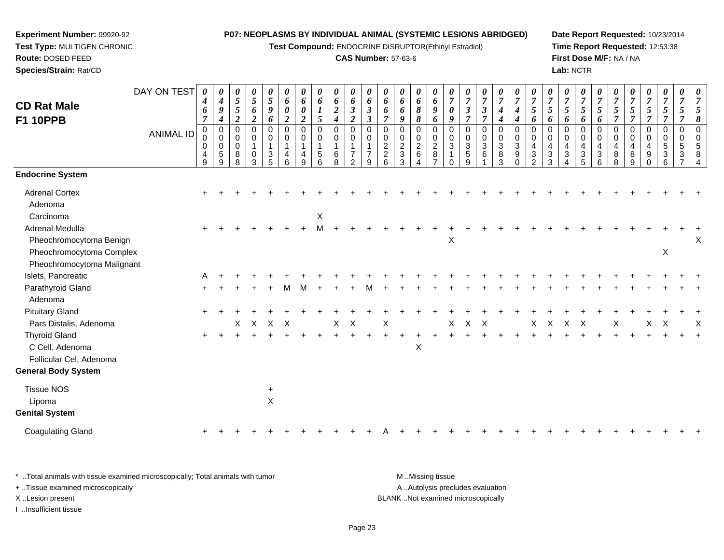**Test Compound:** ENDOCRINE DISRUPTOR(Ethinyl Estradiol)

#### **CAS Number:** 57-63-6

**Date Report Requested:** 10/23/2014**Time Report Requested:** 12:53:38**First Dose M/F:** NA / NA**Lab:** NCTR

|                            | DAY ON TEST      | $\boldsymbol{\theta}$  | 0                                    | 0              | 0                   | 0                | 0                          | 0                          | 0                | 0                     | $\boldsymbol{\theta}$     | 0                         | 0                | 0                | 0                                            | 0                | 0                   | 0                                      | 0                              | 0                                    | 0                                    | 0                   | 0                             | 0                                   | 0                     | 0                              | 0                   | 0                          | 0                                  | 0                                   | 0                     |   |
|----------------------------|------------------|------------------------|--------------------------------------|----------------|---------------------|------------------|----------------------------|----------------------------|------------------|-----------------------|---------------------------|---------------------------|------------------|------------------|----------------------------------------------|------------------|---------------------|----------------------------------------|--------------------------------|--------------------------------------|--------------------------------------|---------------------|-------------------------------|-------------------------------------|-----------------------|--------------------------------|---------------------|----------------------------|------------------------------------|-------------------------------------|-----------------------|---|
| <b>CD Rat Male</b>         |                  | $\boldsymbol{4}$<br>6  | $\boldsymbol{4}$<br>$\boldsymbol{9}$ | 5<br>5         | $\mathfrak{s}$<br>6 | $\sqrt{5}$<br>9  | 6<br>$\boldsymbol{\theta}$ | 6<br>$\boldsymbol{\theta}$ | 6<br>1           | 6<br>$\boldsymbol{2}$ | 6<br>$\boldsymbol{\beta}$ | 6<br>$\boldsymbol{\beta}$ | 6<br>6           | 6<br>6           | 6<br>$\pmb{8}$                               | 6<br>9           | $\overline{7}$<br>0 | $\overline{7}$<br>$\boldsymbol{\beta}$ | $\overline{7}$<br>$\mathbf{3}$ | $\boldsymbol{7}$<br>$\boldsymbol{4}$ | $\boldsymbol{7}$<br>$\boldsymbol{4}$ | $\overline{7}$<br>5 | $\overline{7}$<br>5           | $\boldsymbol{7}$<br>$5\overline{)}$ | $\boldsymbol{7}$<br>5 | $\overline{7}$<br>5            | $\overline{7}$<br>5 | $\overline{7}$<br>5        | $\boldsymbol{7}$<br>$\mathfrak{H}$ | $\boldsymbol{7}$<br>$5\overline{)}$ | $\boldsymbol{7}$<br>5 |   |
| <b>F1 10PPB</b>            |                  | $\overline{7}$         | $\boldsymbol{4}$                     | $\overline{c}$ | $\boldsymbol{2}$    | 6                | $\boldsymbol{2}$           | $\boldsymbol{2}$           | 5                | $\boldsymbol{4}$      | $\boldsymbol{2}$          | $\boldsymbol{\beta}$      | $\overline{7}$   | 9                | 8                                            | 6                | 9                   | $\overline{7}$                         | $\overline{7}$                 | $\boldsymbol{4}$                     | $\boldsymbol{4}$                     | 6                   | 6                             | 6                                   | 6                     | 6                              | $\overline{7}$      | $\overline{7}$             | $\overline{7}$                     | $\overline{7}$                      | 7                     |   |
|                            | <b>ANIMAL ID</b> | $\pmb{0}$<br>$\pmb{0}$ | $\mathbf 0$<br>$\mathbf 0$           | 0<br>0         | 0<br>0              | $\mathbf 0$<br>0 | $\mathbf 0$<br>0           | $\mathbf 0$<br>0           | $\mathbf 0$<br>0 | 0<br>$\pmb{0}$        | $\mathbf 0$<br>0          | $\mathbf 0$<br>0          | $\mathbf 0$<br>0 | $\mathbf 0$<br>0 | 0                                            | $\mathbf 0$<br>0 | $\mathbf 0$<br>0    | $\mathbf 0$<br>0                       | $\mathbf 0$<br>0               | $\pmb{0}$<br>$\pmb{0}$               | $\mathbf 0$<br>$\pmb{0}$             | 0<br>0              | $\mathbf 0$<br>$\Omega$       | $\mathbf 0$<br>0                    | 0<br>0                | $\mathbf 0$<br>0               | $\Omega$<br>0       | $\mathbf 0$<br>$\mathbf 0$ | $\mathbf 0$<br>0                   | $\pmb{0}$<br>$\mathbf 0$            | $\mathbf 0$<br>0      |   |
|                            |                  | 0                      | $\mathbf 0$                          | $\Omega$       | $\mathbf{1}$        | $\mathbf{1}$     | $\overline{1}$             | $\mathbf{1}$               |                  | $\mathbf{1}$          | $\mathbf{1}$              |                           | $\overline{2}$   | $\overline{c}$   | $\begin{smallmatrix} 0\\2 \end{smallmatrix}$ | $\frac{2}{8}$    | 3                   | $\overline{3}$                         | 3                              | $\overline{3}$                       | $\sqrt{3}$                           | $\overline{4}$      | 4                             | 4                                   | $\overline{4}$        | $\overline{4}$                 | $\overline{4}$      | $\overline{4}$             | 4                                  | $\sqrt{5}$                          | 5                     |   |
|                            |                  | 4<br>9                 | $\sqrt{5}$<br>9                      | 8<br>8         | $\mathbf 0$<br>3    | 3<br>5           | 4<br>6                     | 4<br>9                     | 5<br>6           | $\,6\,$<br>8          | $\overline{7}$<br>2       | $\overline{7}$<br>9       | $\sqrt{2}$<br>6  | 3<br>3           | $\,6\,$                                      | $\overline{ }$   | $\mathbf 1$<br>0    | $\sqrt{5}$<br>9                        | 6                              | 8<br>3                               | 9<br>$\Omega$                        | 3<br>2              | $\mathbf{3}$<br>$\mathcal{R}$ | 3                                   | $\sqrt{3}$<br>5       | $\ensuremath{\mathsf{3}}$<br>6 | 8<br>8              | 8<br>9                     | 9<br>$\Omega$                      | 3<br>6                              | 3                     |   |
| <b>Endocrine System</b>    |                  |                        |                                      |                |                     |                  |                            |                            |                  |                       |                           |                           |                  |                  |                                              |                  |                     |                                        |                                |                                      |                                      |                     |                               |                                     |                       |                                |                     |                            |                                    |                                     |                       |   |
| <b>Adrenal Cortex</b>      |                  |                        |                                      |                |                     |                  |                            |                            |                  |                       |                           |                           |                  |                  |                                              |                  |                     |                                        |                                |                                      |                                      |                     |                               |                                     |                       |                                |                     |                            |                                    |                                     |                       |   |
| Adenoma                    |                  |                        |                                      |                |                     |                  |                            |                            |                  |                       |                           |                           |                  |                  |                                              |                  |                     |                                        |                                |                                      |                                      |                     |                               |                                     |                       |                                |                     |                            |                                    |                                     |                       |   |
| Carcinoma                  |                  |                        |                                      |                |                     |                  |                            |                            | X                |                       |                           |                           |                  |                  |                                              |                  |                     |                                        |                                |                                      |                                      |                     |                               |                                     |                       |                                |                     |                            |                                    |                                     |                       |   |
| <b>Adrenal Medulla</b>     |                  | $\ddot{}$              |                                      |                |                     |                  |                            |                            | M                |                       |                           |                           |                  |                  |                                              |                  |                     |                                        |                                |                                      |                                      |                     |                               |                                     |                       |                                |                     |                            |                                    |                                     |                       |   |
| Pheochromocytoma Benign    |                  |                        |                                      |                |                     |                  |                            |                            |                  |                       |                           |                           |                  |                  |                                              |                  | $\mathsf X$         |                                        |                                |                                      |                                      |                     |                               |                                     |                       |                                |                     |                            |                                    |                                     |                       | Χ |
| Pheochromocytoma Complex   |                  |                        |                                      |                |                     |                  |                            |                            |                  |                       |                           |                           |                  |                  |                                              |                  |                     |                                        |                                |                                      |                                      |                     |                               |                                     |                       |                                |                     |                            |                                    | X                                   |                       |   |
| Pheochromocytoma Malignant |                  |                        |                                      |                |                     |                  |                            |                            |                  |                       |                           |                           |                  |                  |                                              |                  |                     |                                        |                                |                                      |                                      |                     |                               |                                     |                       |                                |                     |                            |                                    |                                     |                       |   |
| Islets, Pancreatic         |                  | A                      |                                      |                |                     |                  |                            |                            |                  |                       |                           |                           |                  |                  |                                              |                  |                     |                                        |                                |                                      |                                      |                     |                               |                                     |                       |                                |                     |                            |                                    |                                     |                       |   |
| Parathyroid Gland          |                  |                        |                                      |                |                     |                  |                            |                            |                  |                       |                           |                           |                  |                  |                                              |                  |                     |                                        |                                |                                      |                                      |                     |                               |                                     |                       |                                |                     |                            |                                    |                                     |                       |   |
| Adenoma                    |                  |                        |                                      |                |                     |                  |                            |                            |                  |                       |                           |                           |                  |                  |                                              |                  |                     |                                        |                                |                                      |                                      |                     |                               |                                     |                       |                                |                     |                            |                                    |                                     |                       |   |
| <b>Pituitary Gland</b>     |                  |                        |                                      |                |                     |                  |                            |                            |                  |                       |                           |                           |                  |                  |                                              |                  |                     |                                        |                                |                                      |                                      |                     |                               |                                     |                       |                                |                     |                            |                                    |                                     |                       |   |
| Pars Distalis, Adenoma     |                  |                        |                                      | X              |                     | X X X            |                            |                            |                  | X                     | $\mathsf{X}$              |                           | $\mathsf X$      |                  |                                              |                  | $\mathsf{X}$        | $X$ $X$                                |                                |                                      |                                      | $\mathsf{X}$        | $\mathsf{X}$                  | $X$ $X$                             |                       |                                | X                   |                            | X                                  | $\mathsf{X}$                        |                       | Х |
| <b>Thyroid Gland</b>       |                  |                        |                                      |                |                     |                  |                            |                            |                  |                       |                           |                           |                  |                  |                                              |                  |                     |                                        |                                |                                      |                                      |                     |                               |                                     |                       |                                |                     |                            |                                    |                                     |                       |   |
| C Cell, Adenoma            |                  |                        |                                      |                |                     |                  |                            |                            |                  |                       |                           |                           |                  |                  | $\mathsf X$                                  |                  |                     |                                        |                                |                                      |                                      |                     |                               |                                     |                       |                                |                     |                            |                                    |                                     |                       |   |
| Follicular Cel, Adenoma    |                  |                        |                                      |                |                     |                  |                            |                            |                  |                       |                           |                           |                  |                  |                                              |                  |                     |                                        |                                |                                      |                                      |                     |                               |                                     |                       |                                |                     |                            |                                    |                                     |                       |   |
| <b>General Body System</b> |                  |                        |                                      |                |                     |                  |                            |                            |                  |                       |                           |                           |                  |                  |                                              |                  |                     |                                        |                                |                                      |                                      |                     |                               |                                     |                       |                                |                     |                            |                                    |                                     |                       |   |
| <b>Tissue NOS</b>          |                  |                        |                                      |                |                     | $\pm$            |                            |                            |                  |                       |                           |                           |                  |                  |                                              |                  |                     |                                        |                                |                                      |                                      |                     |                               |                                     |                       |                                |                     |                            |                                    |                                     |                       |   |
| Lipoma                     |                  |                        |                                      |                |                     | $\pmb{\times}$   |                            |                            |                  |                       |                           |                           |                  |                  |                                              |                  |                     |                                        |                                |                                      |                                      |                     |                               |                                     |                       |                                |                     |                            |                                    |                                     |                       |   |
| <b>Genital System</b>      |                  |                        |                                      |                |                     |                  |                            |                            |                  |                       |                           |                           |                  |                  |                                              |                  |                     |                                        |                                |                                      |                                      |                     |                               |                                     |                       |                                |                     |                            |                                    |                                     |                       |   |
| <b>Coagulating Gland</b>   |                  |                        |                                      |                |                     |                  |                            |                            |                  |                       |                           |                           |                  |                  |                                              |                  |                     |                                        |                                |                                      |                                      |                     |                               |                                     |                       |                                |                     |                            |                                    |                                     |                       |   |
|                            |                  |                        |                                      |                |                     |                  |                            |                            |                  |                       |                           |                           |                  |                  |                                              |                  |                     |                                        |                                |                                      |                                      |                     |                               |                                     |                       |                                |                     |                            |                                    |                                     |                       |   |

\* ..Total animals with tissue examined microscopically; Total animals with tumor **M** . Missing tissue M ..Missing tissue A ..Autolysis precludes evaluation + ..Tissue examined microscopically X ..Lesion present BLANK ..Not examined microscopicallyI ..Insufficient tissue

**Experiment Number:** 99920-92**Test Type:** MULTIGEN CHRONIC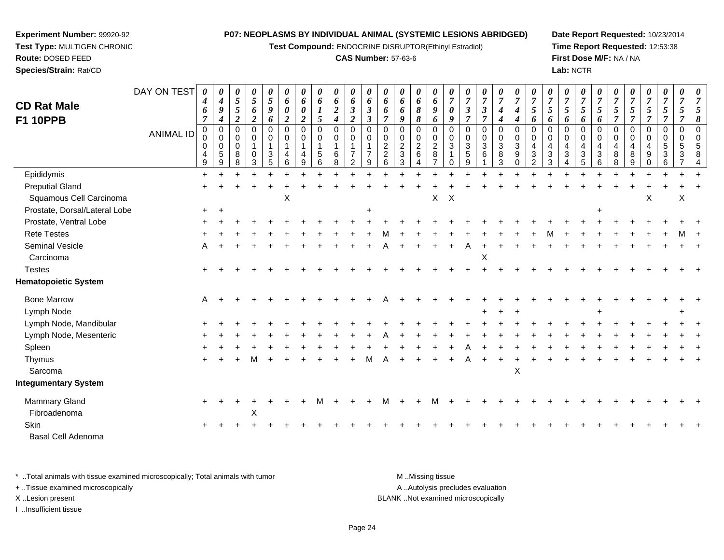**Test Compound:** ENDOCRINE DISRUPTOR(Ethinyl Estradiol)

### **CAS Number:** 57-63-6

**Date Report Requested:** 10/23/2014**Time Report Requested:** 12:53:38**First Dose M/F:** NA / NA**Lab:** NCTR

| <b>CD Rat Male</b><br><b>F1 10PPB</b> | DAY ON TEST<br><b>ANIMAL ID</b> | $\theta$<br>4<br>6<br>$\overline{7}$<br>$\pmb{0}$<br>0 | 0<br>$\boldsymbol{4}$<br>$\boldsymbol{9}$<br>$\boldsymbol{4}$<br>$\pmb{0}$<br>0 | 0<br>5<br>5<br>$\overline{c}$<br>$\mathbf 0$<br>0 | 0<br>$\sqrt{5}$<br>6<br>$\boldsymbol{2}$<br>$\mathbf 0$<br>0 | 0<br>$\sqrt{5}$<br>9<br>6<br>$\mathbf 0$<br>0 | 0<br>6<br>$\boldsymbol{\theta}$<br>$\overline{2}$<br>$\mathbf 0$<br>0 | 0<br>6<br>$\boldsymbol{\theta}$<br>$\boldsymbol{2}$<br>$\mathbf 0$<br>0 | 0<br>6<br>5<br>$\mathbf 0$<br>0 | 0<br>6<br>$\boldsymbol{2}$<br>4<br>0<br>0 | $\boldsymbol{\theta}$<br>6<br>$\boldsymbol{\beta}$<br>$\overline{c}$<br>$\mathbf 0$<br>0 | 0<br>6<br>$\mathfrak{z}$<br>$\boldsymbol{\beta}$<br>$\mathbf 0$<br>$\mathbf 0$ | $\theta$<br>6<br>6<br>$\overline{7}$<br>$\mathbf 0$<br>0 | 0<br>6<br>6<br>9<br>0<br>$\Omega$   | 0<br>6<br>$\pmb{8}$<br>8<br>0<br>0 | 0<br>6<br>9<br>6<br>$\pmb{0}$<br>$\mathbf 0$ | 0<br>$\overline{7}$<br>0<br>9<br>$\mathbf 0$<br>$\mathbf 0$ | $\overline{7}$<br>$\boldsymbol{\beta}$<br>$\overline{7}$<br>$\mathbf 0$<br>$\mathbf 0$ | $\boldsymbol{\theta}$<br>$\overline{7}$<br>$\mathfrak{z}$<br>7<br>$\mathbf 0$<br>0 | 0<br>$\overline{7}$<br>$\boldsymbol{4}$<br>4<br>$\mathbf 0$<br>0 | 0<br>$\overline{7}$<br>$\boldsymbol{4}$<br>4<br>$\pmb{0}$<br>$\pmb{0}$ | 0<br>$\overline{7}$<br>$5\overline{)}$<br>6<br>$\mathbf 0$<br>$\mathbf 0$ | 7<br>5<br>6<br>$\Omega$<br>$\Omega$ | 0<br>$\overline{7}$<br>5<br>6<br>$\Omega$<br>$\Omega$ | $\pmb{\theta}$<br>$\overline{7}$<br>5<br>6<br>0<br>0 | 0<br>$\overline{7}$<br>5<br>6<br>$\mathbf 0$<br>$\mathbf 0$ | 0<br>$\overline{7}$<br>5<br>$\overline{7}$<br>0<br>0 | 7<br>5<br>$\overline{7}$<br>$\mathbf 0$<br>$\Omega$ | 0<br>$\overline{7}$<br>5<br>$\overline{7}$<br>$\mathbf 0$<br>$\Omega$ | 0<br>$\overline{7}$<br>$\mathfrak{H}$<br>$\overline{\tau}$<br>0<br>0 | 0<br>$\overline{7}$<br>5<br>$\mathbf 0$<br>$\mathbf 0$ |  |
|---------------------------------------|---------------------------------|--------------------------------------------------------|---------------------------------------------------------------------------------|---------------------------------------------------|--------------------------------------------------------------|-----------------------------------------------|-----------------------------------------------------------------------|-------------------------------------------------------------------------|---------------------------------|-------------------------------------------|------------------------------------------------------------------------------------------|--------------------------------------------------------------------------------|----------------------------------------------------------|-------------------------------------|------------------------------------|----------------------------------------------|-------------------------------------------------------------|----------------------------------------------------------------------------------------|------------------------------------------------------------------------------------|------------------------------------------------------------------|------------------------------------------------------------------------|---------------------------------------------------------------------------|-------------------------------------|-------------------------------------------------------|------------------------------------------------------|-------------------------------------------------------------|------------------------------------------------------|-----------------------------------------------------|-----------------------------------------------------------------------|----------------------------------------------------------------------|--------------------------------------------------------|--|
|                                       |                                 | $\mathbf 0$<br>4<br>9                                  | $\mathbf 0$<br>$\sqrt{5}$<br>9                                                  | $\mathbf 0$<br>8<br>8                             | $\overline{1}$<br>$\mathbf 0$<br>3                           | 1<br>$\sqrt{3}$<br>5                          | -1<br>6                                                               | $\mathbf{1}$<br>9                                                       | $\mathbf{1}$<br>5<br>6          | $\mathbf{1}$<br>6<br>8                    | 2                                                                                        | -1<br>9                                                                        | $\overline{c}$<br>$\overline{2}$<br>6                    | $\overline{c}$<br>$\mathbf{3}$<br>3 | $\overline{c}$<br>6                | $\boldsymbol{2}$<br>$\,8\,$                  | $\mathbf{3}$                                                | $\mathbf{3}$<br>5<br>9                                                                 | 3<br>6                                                                             | 3<br>8<br>3                                                      | $\mathbf{3}$<br>$\boldsymbol{9}$<br>$\Omega$                           | 4<br>$\mathbf{3}$<br>2                                                    | $\overline{4}$<br>3<br>3            | 4<br>3                                                | $\overline{4}$<br>$\sqrt{3}$<br>5                    | $\overline{4}$<br>$\sqrt{3}$<br>6                           | 4<br>8<br>8                                          | 4<br>8<br>$\mathbf{Q}$                              | 9                                                                     | 5<br>3                                                               | 5                                                      |  |
| Epididymis                            |                                 | $\ddot{}$                                              |                                                                                 |                                                   |                                                              |                                               |                                                                       |                                                                         |                                 |                                           |                                                                                          |                                                                                |                                                          |                                     |                                    |                                              |                                                             |                                                                                        |                                                                                    |                                                                  |                                                                        |                                                                           |                                     |                                                       |                                                      |                                                             |                                                      |                                                     |                                                                       |                                                                      |                                                        |  |
| <b>Preputial Gland</b>                |                                 |                                                        |                                                                                 |                                                   |                                                              |                                               |                                                                       |                                                                         |                                 |                                           |                                                                                          |                                                                                |                                                          |                                     |                                    |                                              |                                                             |                                                                                        |                                                                                    |                                                                  |                                                                        |                                                                           |                                     |                                                       |                                                      |                                                             |                                                      |                                                     |                                                                       |                                                                      |                                                        |  |
| Squamous Cell Carcinoma               |                                 |                                                        |                                                                                 |                                                   |                                                              |                                               | X                                                                     |                                                                         |                                 |                                           |                                                                                          |                                                                                |                                                          |                                     |                                    | X                                            | $\boldsymbol{\mathsf{X}}$                                   |                                                                                        |                                                                                    |                                                                  |                                                                        |                                                                           |                                     |                                                       |                                                      |                                                             |                                                      |                                                     | X                                                                     |                                                                      | Χ                                                      |  |
| Prostate, Dorsal/Lateral Lobe         |                                 | $+$                                                    | $\ddot{}$                                                                       |                                                   |                                                              |                                               |                                                                       |                                                                         |                                 |                                           |                                                                                          |                                                                                |                                                          |                                     |                                    |                                              |                                                             |                                                                                        |                                                                                    |                                                                  |                                                                        |                                                                           |                                     |                                                       |                                                      |                                                             |                                                      |                                                     |                                                                       |                                                                      |                                                        |  |
| Prostate, Ventral Lobe                |                                 |                                                        |                                                                                 |                                                   |                                                              |                                               |                                                                       |                                                                         |                                 |                                           |                                                                                          |                                                                                |                                                          |                                     |                                    |                                              |                                                             |                                                                                        |                                                                                    |                                                                  |                                                                        |                                                                           |                                     |                                                       |                                                      |                                                             |                                                      |                                                     |                                                                       |                                                                      |                                                        |  |
| <b>Rete Testes</b>                    |                                 |                                                        |                                                                                 |                                                   |                                                              |                                               |                                                                       |                                                                         |                                 |                                           |                                                                                          |                                                                                |                                                          |                                     |                                    |                                              |                                                             |                                                                                        |                                                                                    |                                                                  |                                                                        |                                                                           |                                     |                                                       |                                                      |                                                             |                                                      |                                                     |                                                                       |                                                                      |                                                        |  |
| Seminal Vesicle                       |                                 | A                                                      |                                                                                 |                                                   |                                                              |                                               |                                                                       |                                                                         |                                 |                                           |                                                                                          |                                                                                |                                                          |                                     |                                    |                                              |                                                             |                                                                                        |                                                                                    |                                                                  |                                                                        |                                                                           |                                     |                                                       |                                                      |                                                             |                                                      |                                                     |                                                                       |                                                                      |                                                        |  |
| Carcinoma                             |                                 |                                                        |                                                                                 |                                                   |                                                              |                                               |                                                                       |                                                                         |                                 |                                           |                                                                                          |                                                                                |                                                          |                                     |                                    |                                              |                                                             |                                                                                        | X                                                                                  |                                                                  |                                                                        |                                                                           |                                     |                                                       |                                                      |                                                             |                                                      |                                                     |                                                                       |                                                                      |                                                        |  |
| <b>Testes</b>                         |                                 |                                                        |                                                                                 |                                                   |                                                              |                                               |                                                                       |                                                                         |                                 |                                           |                                                                                          |                                                                                |                                                          |                                     |                                    |                                              |                                                             |                                                                                        |                                                                                    |                                                                  |                                                                        |                                                                           |                                     |                                                       |                                                      |                                                             |                                                      |                                                     |                                                                       |                                                                      |                                                        |  |
| <b>Hematopoietic System</b>           |                                 |                                                        |                                                                                 |                                                   |                                                              |                                               |                                                                       |                                                                         |                                 |                                           |                                                                                          |                                                                                |                                                          |                                     |                                    |                                              |                                                             |                                                                                        |                                                                                    |                                                                  |                                                                        |                                                                           |                                     |                                                       |                                                      |                                                             |                                                      |                                                     |                                                                       |                                                                      |                                                        |  |
| <b>Bone Marrow</b>                    |                                 | A                                                      |                                                                                 |                                                   |                                                              |                                               |                                                                       |                                                                         |                                 |                                           |                                                                                          |                                                                                |                                                          |                                     |                                    |                                              |                                                             |                                                                                        |                                                                                    |                                                                  |                                                                        |                                                                           |                                     |                                                       |                                                      |                                                             |                                                      |                                                     |                                                                       |                                                                      |                                                        |  |
| Lymph Node                            |                                 |                                                        |                                                                                 |                                                   |                                                              |                                               |                                                                       |                                                                         |                                 |                                           |                                                                                          |                                                                                |                                                          |                                     |                                    |                                              |                                                             |                                                                                        |                                                                                    |                                                                  |                                                                        |                                                                           |                                     |                                                       |                                                      |                                                             |                                                      |                                                     |                                                                       |                                                                      |                                                        |  |
| Lymph Node, Mandibular                |                                 |                                                        |                                                                                 |                                                   |                                                              |                                               |                                                                       |                                                                         |                                 |                                           |                                                                                          |                                                                                |                                                          |                                     |                                    |                                              |                                                             |                                                                                        |                                                                                    |                                                                  |                                                                        |                                                                           |                                     |                                                       |                                                      |                                                             |                                                      |                                                     |                                                                       |                                                                      |                                                        |  |
| Lymph Node, Mesenteric                |                                 |                                                        |                                                                                 |                                                   |                                                              |                                               |                                                                       |                                                                         |                                 |                                           |                                                                                          |                                                                                |                                                          |                                     |                                    |                                              |                                                             |                                                                                        |                                                                                    |                                                                  |                                                                        |                                                                           |                                     |                                                       |                                                      |                                                             |                                                      |                                                     |                                                                       |                                                                      |                                                        |  |
| Spleen                                |                                 |                                                        |                                                                                 |                                                   |                                                              |                                               |                                                                       |                                                                         |                                 |                                           |                                                                                          |                                                                                |                                                          |                                     |                                    |                                              |                                                             |                                                                                        |                                                                                    |                                                                  |                                                                        |                                                                           |                                     |                                                       |                                                      |                                                             |                                                      |                                                     |                                                                       |                                                                      |                                                        |  |
| Thymus                                |                                 |                                                        |                                                                                 |                                                   |                                                              |                                               |                                                                       |                                                                         |                                 |                                           |                                                                                          |                                                                                |                                                          |                                     |                                    |                                              |                                                             |                                                                                        |                                                                                    |                                                                  |                                                                        |                                                                           |                                     |                                                       |                                                      |                                                             |                                                      |                                                     |                                                                       |                                                                      |                                                        |  |
| Sarcoma                               |                                 |                                                        |                                                                                 |                                                   |                                                              |                                               |                                                                       |                                                                         |                                 |                                           |                                                                                          |                                                                                |                                                          |                                     |                                    |                                              |                                                             |                                                                                        |                                                                                    |                                                                  | $\mathsf X$                                                            |                                                                           |                                     |                                                       |                                                      |                                                             |                                                      |                                                     |                                                                       |                                                                      |                                                        |  |
| <b>Integumentary System</b>           |                                 |                                                        |                                                                                 |                                                   |                                                              |                                               |                                                                       |                                                                         |                                 |                                           |                                                                                          |                                                                                |                                                          |                                     |                                    |                                              |                                                             |                                                                                        |                                                                                    |                                                                  |                                                                        |                                                                           |                                     |                                                       |                                                      |                                                             |                                                      |                                                     |                                                                       |                                                                      |                                                        |  |
| Mammary Gland                         |                                 |                                                        |                                                                                 |                                                   |                                                              |                                               |                                                                       |                                                                         |                                 |                                           |                                                                                          |                                                                                |                                                          |                                     |                                    |                                              |                                                             |                                                                                        |                                                                                    |                                                                  |                                                                        |                                                                           |                                     |                                                       |                                                      |                                                             |                                                      |                                                     |                                                                       |                                                                      |                                                        |  |
| Fibroadenoma                          |                                 |                                                        |                                                                                 |                                                   | X                                                            |                                               |                                                                       |                                                                         |                                 |                                           |                                                                                          |                                                                                |                                                          |                                     |                                    |                                              |                                                             |                                                                                        |                                                                                    |                                                                  |                                                                        |                                                                           |                                     |                                                       |                                                      |                                                             |                                                      |                                                     |                                                                       |                                                                      |                                                        |  |
| Skin                                  |                                 |                                                        |                                                                                 |                                                   |                                                              |                                               |                                                                       |                                                                         |                                 |                                           |                                                                                          |                                                                                |                                                          |                                     |                                    |                                              |                                                             |                                                                                        |                                                                                    |                                                                  |                                                                        |                                                                           |                                     |                                                       |                                                      |                                                             |                                                      |                                                     |                                                                       |                                                                      |                                                        |  |
| Basal Cell Adenoma                    |                                 |                                                        |                                                                                 |                                                   |                                                              |                                               |                                                                       |                                                                         |                                 |                                           |                                                                                          |                                                                                |                                                          |                                     |                                    |                                              |                                                             |                                                                                        |                                                                                    |                                                                  |                                                                        |                                                                           |                                     |                                                       |                                                      |                                                             |                                                      |                                                     |                                                                       |                                                                      |                                                        |  |

\* ..Total animals with tissue examined microscopically; Total animals with tumor **M** . Missing tissue M ..Missing tissue A ..Autolysis precludes evaluation + ..Tissue examined microscopically X ..Lesion present BLANK ..Not examined microscopicallyI ..Insufficient tissue

**Experiment Number:** 99920-92**Test Type:** MULTIGEN CHRONIC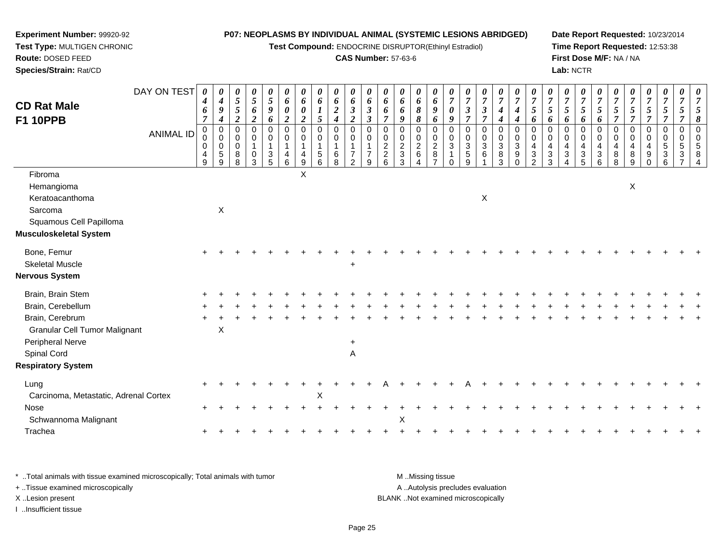**Test Compound:** ENDOCRINE DISRUPTOR(Ethinyl Estradiol)

## **CAS Number:** 57-63-6

**Date Report Requested:** 10/23/2014**Time Report Requested:** 12:53:38**First Dose M/F:** NA / NA**Lab:** NCTR

| <b>CD Rat Male</b>                    | DAY ON TEST      | 0<br>4<br>6           | $\boldsymbol{\theta}$<br>$\boldsymbol{4}$<br>9               | $\boldsymbol{\theta}$<br>$\mathfrak{z}$<br>$\sqrt{5}$ | $\boldsymbol{\theta}$<br>$\mathfrak{s}$<br>6           | 0<br>$\sqrt{5}$<br>9            | 0<br>6<br>$\boldsymbol{\theta}$ | 0<br>6<br>$\pmb{\theta}$        | $\boldsymbol{\theta}$<br>6<br>$\boldsymbol{l}$               | 0<br>6<br>$\boldsymbol{2}$                       | $\boldsymbol{\theta}$<br>6<br>$\boldsymbol{\beta}$             | 0<br>6<br>$\mathfrak{z}$                       | 0<br>6<br>6                            | 0<br>6<br>6                               | 0<br>6<br>8                                                   | 0<br>6<br>9                                           | $\boldsymbol{\theta}$<br>$\overline{7}$<br>$\boldsymbol{\theta}$       | 0<br>$\overline{7}$<br>$\overline{\mathbf{3}}$ | 0<br>$\boldsymbol{7}$<br>$\mathfrak{z}$ | $\boldsymbol{\theta}$<br>$\overline{7}$<br>$\boldsymbol{4}$ | $\boldsymbol{\theta}$<br>$\overline{7}$<br>$\boldsymbol{4}$ | $\boldsymbol{\theta}$<br>$\overline{7}$<br>5               | $\boldsymbol{\theta}$<br>$\overline{7}$<br>$\mathfrak{s}$ | 0<br>$\overline{7}$<br>5                                | $\boldsymbol{\theta}$<br>$\boldsymbol{7}$<br>5 | $\boldsymbol{\theta}$<br>$\boldsymbol{7}$<br>$\mathfrak{s}$ | 0<br>$\overline{7}$<br>5                        | $\boldsymbol{\theta}$<br>$\overline{7}$<br>$\mathfrak{H}$ | 0<br>$\overline{7}$<br>$\mathfrak{I}$                                 | 0<br>$\overline{7}$<br>5 | 0<br>$\overline{7}$<br>5           | $\boldsymbol{\theta}$<br>$\overline{7}$<br>5              |
|---------------------------------------|------------------|-----------------------|--------------------------------------------------------------|-------------------------------------------------------|--------------------------------------------------------|---------------------------------|---------------------------------|---------------------------------|--------------------------------------------------------------|--------------------------------------------------|----------------------------------------------------------------|------------------------------------------------|----------------------------------------|-------------------------------------------|---------------------------------------------------------------|-------------------------------------------------------|------------------------------------------------------------------------|------------------------------------------------|-----------------------------------------|-------------------------------------------------------------|-------------------------------------------------------------|------------------------------------------------------------|-----------------------------------------------------------|---------------------------------------------------------|------------------------------------------------|-------------------------------------------------------------|-------------------------------------------------|-----------------------------------------------------------|-----------------------------------------------------------------------|--------------------------|------------------------------------|-----------------------------------------------------------|
| <b>F1 10PPB</b>                       |                  | $\overline{7}$        | $\boldsymbol{4}$                                             | $\overline{2}$                                        | $\boldsymbol{2}$                                       | 6                               | $\boldsymbol{2}$                | $\overline{c}$                  | 5                                                            | $\boldsymbol{4}$                                 | $\boldsymbol{2}$                                               | $\boldsymbol{\beta}$                           | $\overline{\tau}$                      | 9                                         | 8                                                             | 6                                                     | 9                                                                      | $\overline{7}$                                 | $\overline{7}$                          | $\boldsymbol{4}$                                            | $\boldsymbol{4}$                                            | 6                                                          | 6                                                         | 6                                                       | 6                                              | 6                                                           | $\overline{7}$                                  | $\overline{7}$                                            | $\overline{7}$                                                        | $\overline{7}$           | $\overline{\tau}$                  | 8                                                         |
|                                       | <b>ANIMAL ID</b> | 0<br>0<br>0<br>4<br>9 | $\mathbf 0$<br>$\mathbf 0$<br>$\mathbf 0$<br>$\sqrt{5}$<br>9 | 0<br>0<br>0<br>8<br>8                                 | $\mathbf 0$<br>$\mathbf 0$<br>1<br>$\overline{0}$<br>3 | 0<br>$\mathbf 0$<br>1<br>3<br>5 | $\mathbf 0$<br>0<br>1<br>4<br>6 | 0<br>0<br>4<br>$\boldsymbol{9}$ | $\mathbf 0$<br>$\mathbf 0$<br>$\mathbf 1$<br>$\sqrt{5}$<br>6 | $\mathbf 0$<br>0<br>$\mathbf{1}$<br>$\,6\,$<br>8 | $\mathbf 0$<br>$\mathbf 0$<br>$\overline{7}$<br>$\overline{2}$ | $\mathbf 0$<br>$\Omega$<br>$\overline{7}$<br>9 | $\mathbf 0$<br>0<br>$\frac{2}{2}$<br>6 | 0<br>0<br>$\frac{2}{3}$<br>$\mathfrak{Z}$ | $\mathbf 0$<br>$\mathbf 0$<br>$\frac{2}{6}$<br>$\overline{4}$ | 0<br>0<br>$\overline{c}$<br>$\,8\,$<br>$\overline{7}$ | $\mathbf 0$<br>$\mathbf 0$<br>$\mathbf{3}$<br>$\mathbf{1}$<br>$\Omega$ | $\mathbf 0$<br>0<br>3<br>$\,$ 5 $\,$<br>9      | 0<br>0<br>$\,$ 3 $\,$<br>6              | $\mathbf 0$<br>$_{3}^{\rm 0}$<br>$\overline{8}$<br>3        | $\mathbf 0$<br>0<br>3<br>$\boldsymbol{9}$<br>$\mathbf 0$    | $\Omega$<br>$\Omega$<br>4<br>$\mathbf 3$<br>$\overline{2}$ | 0<br>0<br>$\overline{4}$<br>$\sqrt{3}$<br>3               | $\mathbf 0$<br>0<br>4<br>$\ensuremath{\mathsf{3}}$<br>4 | 0<br>0<br>4<br>$\ensuremath{\mathsf{3}}$<br>5  | 0<br>0<br>4<br>$\frac{3}{6}$                                | $\mathbf 0$<br>$\mathbf 0$<br>4<br>$\bf 8$<br>8 | 0<br>$\mathbf 0$<br>$\overline{4}$<br>$\bf 8$<br>9        | 0<br>$\mathbf 0$<br>$\overline{4}$<br>$\boldsymbol{9}$<br>$\mathbf 0$ | 0<br>0<br>5<br>3<br>6    | 0<br>0<br>5<br>3<br>$\overline{7}$ | $\overline{0}$<br>$\mathbf 0$<br>5<br>8<br>$\overline{4}$ |
| Fibroma<br>Hemangioma                 |                  |                       |                                                              |                                                       |                                                        |                                 |                                 | X                               |                                                              |                                                  |                                                                |                                                |                                        |                                           |                                                               |                                                       |                                                                        |                                                |                                         |                                                             |                                                             |                                                            |                                                           |                                                         |                                                |                                                             |                                                 | X                                                         |                                                                       |                          |                                    |                                                           |
| Keratoacanthoma                       |                  |                       |                                                              |                                                       |                                                        |                                 |                                 |                                 |                                                              |                                                  |                                                                |                                                |                                        |                                           |                                                               |                                                       |                                                                        |                                                | X                                       |                                                             |                                                             |                                                            |                                                           |                                                         |                                                |                                                             |                                                 |                                                           |                                                                       |                          |                                    |                                                           |
| Sarcoma                               |                  |                       | $\mathsf X$                                                  |                                                       |                                                        |                                 |                                 |                                 |                                                              |                                                  |                                                                |                                                |                                        |                                           |                                                               |                                                       |                                                                        |                                                |                                         |                                                             |                                                             |                                                            |                                                           |                                                         |                                                |                                                             |                                                 |                                                           |                                                                       |                          |                                    |                                                           |
| Squamous Cell Papilloma               |                  |                       |                                                              |                                                       |                                                        |                                 |                                 |                                 |                                                              |                                                  |                                                                |                                                |                                        |                                           |                                                               |                                                       |                                                                        |                                                |                                         |                                                             |                                                             |                                                            |                                                           |                                                         |                                                |                                                             |                                                 |                                                           |                                                                       |                          |                                    |                                                           |
| <b>Musculoskeletal System</b>         |                  |                       |                                                              |                                                       |                                                        |                                 |                                 |                                 |                                                              |                                                  |                                                                |                                                |                                        |                                           |                                                               |                                                       |                                                                        |                                                |                                         |                                                             |                                                             |                                                            |                                                           |                                                         |                                                |                                                             |                                                 |                                                           |                                                                       |                          |                                    |                                                           |
| Bone, Femur                           |                  |                       |                                                              |                                                       |                                                        |                                 |                                 |                                 |                                                              |                                                  |                                                                |                                                |                                        |                                           |                                                               |                                                       |                                                                        |                                                |                                         |                                                             |                                                             |                                                            |                                                           |                                                         |                                                |                                                             |                                                 |                                                           |                                                                       |                          |                                    |                                                           |
| <b>Skeletal Muscle</b>                |                  |                       |                                                              |                                                       |                                                        |                                 |                                 |                                 |                                                              |                                                  | $\ddot{}$                                                      |                                                |                                        |                                           |                                                               |                                                       |                                                                        |                                                |                                         |                                                             |                                                             |                                                            |                                                           |                                                         |                                                |                                                             |                                                 |                                                           |                                                                       |                          |                                    |                                                           |
| <b>Nervous System</b>                 |                  |                       |                                                              |                                                       |                                                        |                                 |                                 |                                 |                                                              |                                                  |                                                                |                                                |                                        |                                           |                                                               |                                                       |                                                                        |                                                |                                         |                                                             |                                                             |                                                            |                                                           |                                                         |                                                |                                                             |                                                 |                                                           |                                                                       |                          |                                    |                                                           |
| Brain, Brain Stem                     |                  |                       |                                                              |                                                       |                                                        |                                 |                                 |                                 |                                                              |                                                  |                                                                |                                                |                                        |                                           |                                                               |                                                       |                                                                        |                                                |                                         |                                                             |                                                             |                                                            |                                                           |                                                         |                                                |                                                             |                                                 |                                                           |                                                                       |                          |                                    |                                                           |
| Brain, Cerebellum                     |                  |                       |                                                              |                                                       |                                                        |                                 |                                 |                                 |                                                              |                                                  |                                                                |                                                |                                        |                                           |                                                               |                                                       |                                                                        |                                                |                                         |                                                             |                                                             |                                                            |                                                           |                                                         |                                                |                                                             |                                                 |                                                           |                                                                       |                          |                                    |                                                           |
| Brain, Cerebrum                       |                  |                       |                                                              |                                                       |                                                        |                                 |                                 |                                 |                                                              |                                                  |                                                                |                                                |                                        |                                           |                                                               |                                                       |                                                                        |                                                |                                         |                                                             |                                                             |                                                            |                                                           |                                                         |                                                |                                                             |                                                 |                                                           |                                                                       |                          |                                    |                                                           |
| <b>Granular Cell Tumor Malignant</b>  |                  |                       | $\mathsf X$                                                  |                                                       |                                                        |                                 |                                 |                                 |                                                              |                                                  |                                                                |                                                |                                        |                                           |                                                               |                                                       |                                                                        |                                                |                                         |                                                             |                                                             |                                                            |                                                           |                                                         |                                                |                                                             |                                                 |                                                           |                                                                       |                          |                                    |                                                           |
| Peripheral Nerve                      |                  |                       |                                                              |                                                       |                                                        |                                 |                                 |                                 |                                                              |                                                  | +                                                              |                                                |                                        |                                           |                                                               |                                                       |                                                                        |                                                |                                         |                                                             |                                                             |                                                            |                                                           |                                                         |                                                |                                                             |                                                 |                                                           |                                                                       |                          |                                    |                                                           |
| Spinal Cord                           |                  |                       |                                                              |                                                       |                                                        |                                 |                                 |                                 |                                                              |                                                  | $\overline{A}$                                                 |                                                |                                        |                                           |                                                               |                                                       |                                                                        |                                                |                                         |                                                             |                                                             |                                                            |                                                           |                                                         |                                                |                                                             |                                                 |                                                           |                                                                       |                          |                                    |                                                           |
| <b>Respiratory System</b>             |                  |                       |                                                              |                                                       |                                                        |                                 |                                 |                                 |                                                              |                                                  |                                                                |                                                |                                        |                                           |                                                               |                                                       |                                                                        |                                                |                                         |                                                             |                                                             |                                                            |                                                           |                                                         |                                                |                                                             |                                                 |                                                           |                                                                       |                          |                                    |                                                           |
| Lung                                  |                  |                       |                                                              |                                                       |                                                        |                                 |                                 |                                 |                                                              |                                                  |                                                                |                                                |                                        |                                           |                                                               |                                                       |                                                                        |                                                |                                         |                                                             |                                                             |                                                            |                                                           |                                                         |                                                |                                                             |                                                 |                                                           |                                                                       |                          |                                    |                                                           |
| Carcinoma, Metastatic, Adrenal Cortex |                  |                       |                                                              |                                                       |                                                        |                                 |                                 |                                 | $\mathsf X$                                                  |                                                  |                                                                |                                                |                                        |                                           |                                                               |                                                       |                                                                        |                                                |                                         |                                                             |                                                             |                                                            |                                                           |                                                         |                                                |                                                             |                                                 |                                                           |                                                                       |                          |                                    |                                                           |
| Nose                                  |                  |                       |                                                              |                                                       |                                                        |                                 |                                 |                                 |                                                              |                                                  |                                                                |                                                |                                        |                                           |                                                               |                                                       |                                                                        |                                                |                                         |                                                             |                                                             |                                                            |                                                           |                                                         |                                                |                                                             |                                                 |                                                           |                                                                       |                          |                                    |                                                           |
| Schwannoma Malignant                  |                  |                       |                                                              |                                                       |                                                        |                                 |                                 |                                 |                                                              |                                                  |                                                                |                                                |                                        | Χ                                         |                                                               |                                                       |                                                                        |                                                |                                         |                                                             |                                                             |                                                            |                                                           |                                                         |                                                |                                                             |                                                 |                                                           |                                                                       |                          |                                    |                                                           |
| Trachea                               |                  |                       |                                                              |                                                       |                                                        |                                 |                                 |                                 |                                                              |                                                  |                                                                |                                                |                                        |                                           |                                                               |                                                       |                                                                        |                                                |                                         |                                                             |                                                             |                                                            |                                                           |                                                         |                                                |                                                             |                                                 |                                                           |                                                                       |                          |                                    |                                                           |

\* ..Total animals with tissue examined microscopically; Total animals with tumor **M** . Missing tissue M ..Missing tissue A ..Autolysis precludes evaluation + ..Tissue examined microscopically X ..Lesion present BLANK ..Not examined microscopicallyI ..Insufficient tissue

**Experiment Number:** 99920-92**Test Type:** MULTIGEN CHRONIC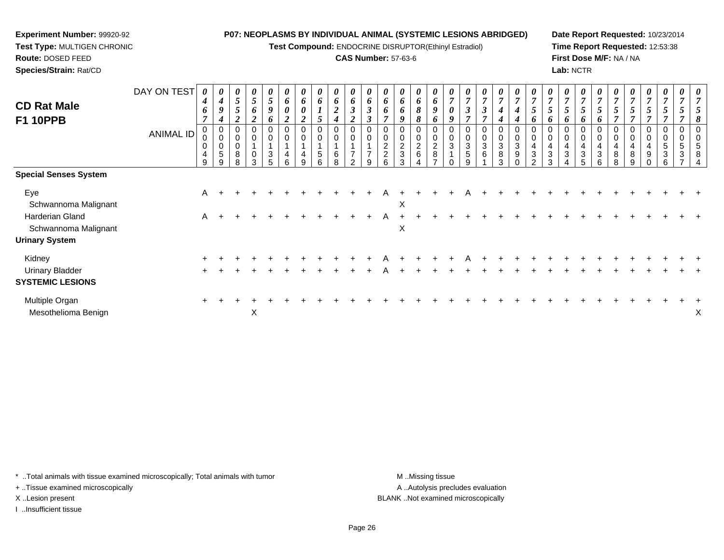**Test Compound:** ENDOCRINE DISRUPTOR(Ethinyl Estradiol)

### **CAS Number:** 57-63-6

**Date Report Requested:** 10/23/2014**Time Report Requested:** 12:53:38**First Dose M/F:** NA / NA**Lab:** NCTR

| <b>CD Rat Male</b><br><b>F1 10PPB</b>             | DAY ON TEST<br><b>ANIMAL ID</b> | 0<br>4<br>6<br>0<br>0<br>0<br>4<br>9 | U<br>$\boldsymbol{4}$<br>9<br>4<br>0<br>$\boldsymbol{0}$<br>$\mathbf 0$<br>5<br><sub>9</sub> | $\boldsymbol{\theta}$<br>5<br>$5\overline{)}$<br>$\Omega$<br>0<br>8<br>R | 0<br>5<br>6<br>$\mathbf{\Omega}$<br>0<br>$\mathbf 0$<br>$\mathbf 0$<br>3 | 0<br>5<br>9<br>6<br>0<br>$\mathbf 0$<br>3<br>5 | $\theta$<br>6<br>$\boldsymbol{\theta}$<br>$\overline{2}$<br>0<br>$\mathbf 0$<br>4<br>6 | $\bm{b}$<br>$\boldsymbol{\theta}$<br>$\overline{2}$<br>0<br>$\mathbf 0$<br>4<br>g | $\theta$<br>6<br>$\mathbf 0$<br>5<br>6 | 0<br>6<br>$\boldsymbol{2}$<br>$\boldsymbol{4}$<br>0<br>$\pmb{0}$<br>6<br>8 | 0<br>6<br>$\boldsymbol{\beta}$<br>$\boldsymbol{2}$<br>0<br>$\mathbf 0$<br>$\overline{\phantom{a}}$<br>$\mathcal{P}$ | $\boldsymbol{\theta}$<br>6<br>$\boldsymbol{\beta}$<br>$\boldsymbol{\beta}$<br>0<br>0<br>$\overline{ }$<br>9 | U<br>6<br>0<br>7<br>0<br>$\mathbf 0$<br>$\overline{c}$<br>$\overline{2}$ | $\theta$<br>6<br>6<br>o<br>$\Omega$<br>$\overline{2}$<br>3<br>3 | $\boldsymbol{\theta}$<br>6<br>8<br>8<br>0<br>0<br>$\overline{c}$<br>$\,6\,$ | 0<br>6<br>9<br>6<br>0<br>$\pmb{0}$<br>$\boldsymbol{2}$<br>$\bf 8$<br>$\overline{ }$ | $\theta$<br>7<br>$\boldsymbol{\theta}$<br>9<br>0<br>0<br>3 | U<br>$\boldsymbol{\beta}$<br>7<br>0<br>$\mathbf 0$<br>3<br>$\sqrt{5}$<br>q | $\boldsymbol{\theta}$<br>$\overline{ }$<br>3<br>0<br>0<br>3<br>6 | $\boldsymbol{\theta}$<br>$\overline{7}$<br>$\boldsymbol{4}$<br>4<br>0<br>$\pmb{0}$<br>$\ensuremath{\mathsf{3}}$<br>8<br>3 | $\boldsymbol{\theta}$<br>$\overline{7}$<br>4<br>4<br>0<br>$\pmb{0}$<br>$\sqrt{3}$<br>$\boldsymbol{9}$<br>$\Omega$ | $\boldsymbol{\theta}$<br>$\overline{7}$<br>5<br>6<br>0<br>0<br>4<br>$\sqrt{3}$<br>$\mathcal{P}$ | U<br>$\overline{7}$<br>$\mathcal{L}$<br>6<br>$\mathbf 0$<br>4<br>3<br>◠ | $\theta$<br>$\overline{ }$<br>6<br>0<br>4<br>3 | $\boldsymbol{\theta}$<br>$\overline{7}$<br>5<br>6<br>0<br>$\boldsymbol{0}$<br>$\overline{\mathbf{r}}$<br>$\mathbf{3}$<br>5 | 0<br>$\overline{7}$<br>$\mathcal{L}$<br>6<br>0<br>$\mathbf 0$<br>4<br>$\sqrt{3}$<br>6 | $\boldsymbol{\theta}$<br>$\overline{7}$<br>5<br>0<br>0<br>4<br>8<br>8 | $\mathcal{I}$<br>$\mathbf 0$<br>8<br>g | 0<br>0<br>9 | C<br>U<br>$\mathbf 0$<br>5<br>3<br>6 | $\theta$<br>0<br>$\mathbf 0$<br>5<br>3 |   |
|---------------------------------------------------|---------------------------------|--------------------------------------|----------------------------------------------------------------------------------------------|--------------------------------------------------------------------------|--------------------------------------------------------------------------|------------------------------------------------|----------------------------------------------------------------------------------------|-----------------------------------------------------------------------------------|----------------------------------------|----------------------------------------------------------------------------|---------------------------------------------------------------------------------------------------------------------|-------------------------------------------------------------------------------------------------------------|--------------------------------------------------------------------------|-----------------------------------------------------------------|-----------------------------------------------------------------------------|-------------------------------------------------------------------------------------|------------------------------------------------------------|----------------------------------------------------------------------------|------------------------------------------------------------------|---------------------------------------------------------------------------------------------------------------------------|-------------------------------------------------------------------------------------------------------------------|-------------------------------------------------------------------------------------------------|-------------------------------------------------------------------------|------------------------------------------------|----------------------------------------------------------------------------------------------------------------------------|---------------------------------------------------------------------------------------|-----------------------------------------------------------------------|----------------------------------------|-------------|--------------------------------------|----------------------------------------|---|
| <b>Special Senses System</b>                      |                                 |                                      |                                                                                              |                                                                          |                                                                          |                                                |                                                                                        |                                                                                   |                                        |                                                                            |                                                                                                                     |                                                                                                             |                                                                          |                                                                 |                                                                             |                                                                                     |                                                            |                                                                            |                                                                  |                                                                                                                           |                                                                                                                   |                                                                                                 |                                                                         |                                                |                                                                                                                            |                                                                                       |                                                                       |                                        |             |                                      |                                        |   |
| Eye<br>Schwannoma Malignant                       |                                 | A                                    |                                                                                              |                                                                          |                                                                          |                                                |                                                                                        |                                                                                   |                                        |                                                                            |                                                                                                                     |                                                                                                             |                                                                          | Χ                                                               |                                                                             |                                                                                     |                                                            |                                                                            |                                                                  |                                                                                                                           |                                                                                                                   |                                                                                                 |                                                                         |                                                |                                                                                                                            |                                                                                       |                                                                       |                                        |             |                                      |                                        |   |
| Harderian Gland<br>Schwannoma Malignant           |                                 | $\mathsf{A}$                         |                                                                                              |                                                                          |                                                                          |                                                |                                                                                        |                                                                                   |                                        |                                                                            |                                                                                                                     |                                                                                                             |                                                                          | X                                                               |                                                                             |                                                                                     |                                                            |                                                                            |                                                                  |                                                                                                                           |                                                                                                                   |                                                                                                 |                                                                         |                                                |                                                                                                                            |                                                                                       |                                                                       |                                        |             |                                      |                                        |   |
| <b>Urinary System</b>                             |                                 |                                      |                                                                                              |                                                                          |                                                                          |                                                |                                                                                        |                                                                                   |                                        |                                                                            |                                                                                                                     |                                                                                                             |                                                                          |                                                                 |                                                                             |                                                                                     |                                                            |                                                                            |                                                                  |                                                                                                                           |                                                                                                                   |                                                                                                 |                                                                         |                                                |                                                                                                                            |                                                                                       |                                                                       |                                        |             |                                      |                                        |   |
| Kidney                                            |                                 |                                      |                                                                                              |                                                                          |                                                                          |                                                |                                                                                        |                                                                                   |                                        |                                                                            |                                                                                                                     |                                                                                                             |                                                                          |                                                                 |                                                                             |                                                                                     |                                                            |                                                                            |                                                                  |                                                                                                                           |                                                                                                                   |                                                                                                 |                                                                         |                                                |                                                                                                                            |                                                                                       |                                                                       |                                        |             |                                      |                                        |   |
| <b>Urinary Bladder</b><br><b>SYSTEMIC LESIONS</b> |                                 |                                      |                                                                                              |                                                                          |                                                                          |                                                |                                                                                        |                                                                                   |                                        |                                                                            |                                                                                                                     |                                                                                                             |                                                                          |                                                                 |                                                                             |                                                                                     |                                                            |                                                                            |                                                                  |                                                                                                                           |                                                                                                                   |                                                                                                 |                                                                         |                                                |                                                                                                                            |                                                                                       |                                                                       |                                        |             |                                      |                                        |   |
| Multiple Organ<br>Mesothelioma Benign             |                                 |                                      |                                                                                              |                                                                          | X                                                                        |                                                |                                                                                        |                                                                                   |                                        |                                                                            |                                                                                                                     |                                                                                                             |                                                                          |                                                                 |                                                                             |                                                                                     |                                                            |                                                                            |                                                                  |                                                                                                                           |                                                                                                                   |                                                                                                 |                                                                         |                                                |                                                                                                                            |                                                                                       |                                                                       |                                        |             |                                      |                                        | Х |

\* ..Total animals with tissue examined microscopically; Total animals with tumor **M** . Missing tissue M ..Missing tissue

+ ..Tissue examined microscopically

**Experiment Number:** 99920-92**Test Type:** MULTIGEN CHRONIC

**Route:** DOSED FEED**Species/Strain:** Rat/CD

I ..Insufficient tissue

A ..Autolysis precludes evaluation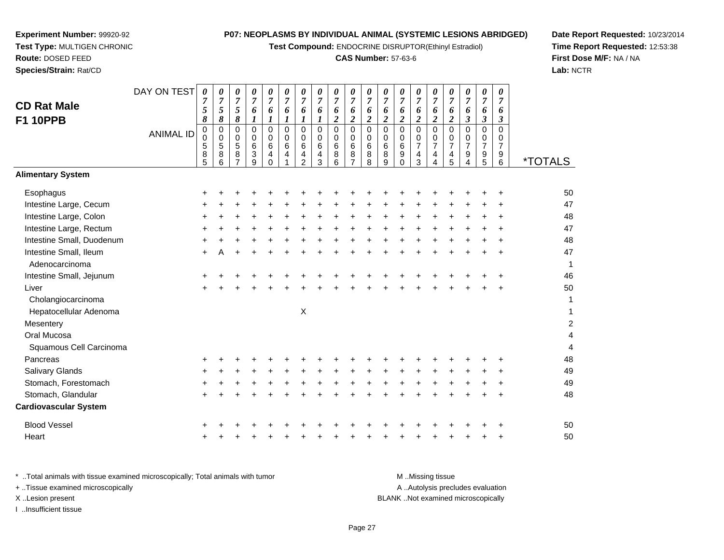**Test Compound:** ENDOCRINE DISRUPTOR(Ethinyl Estradiol)

# **CAS Number:** 57-63-6

**Date Report Requested:** 10/23/2014**Time Report Requested:** 12:53:38**First Dose M/F:** NA / NA**Lab:** NCTR

|                              | DAY ON TEST      | 0                   | 0                   | 0                                | 0                   | $\frac{\boldsymbol{0}}{7}$    | $\pmb{\theta}$          | 0                    | $\frac{\boldsymbol{0}}{7}$ | 0                      | $\pmb{\theta}$                     | 0                                     | 0                   | 0                   | 0                   | 0                   | $\frac{\theta}{7}$            | 0                     | $\pmb{\theta}$       | 0                             |                       |
|------------------------------|------------------|---------------------|---------------------|----------------------------------|---------------------|-------------------------------|-------------------------|----------------------|----------------------------|------------------------|------------------------------------|---------------------------------------|---------------------|---------------------|---------------------|---------------------|-------------------------------|-----------------------|----------------------|-------------------------------|-----------------------|
| <b>CD Rat Male</b>           |                  | $\overline{7}$<br>5 | $\overline{7}$<br>5 | $\overline{7}$<br>$\overline{5}$ | $\overline{7}$<br>6 | 6                             | $\overline{7}$<br>6     | $\overline{7}$<br>6  | 6                          | $\overline{7}$<br>6    | $\overline{7}$<br>$\boldsymbol{6}$ | $\overline{7}$<br>6                   | $\overline{7}$<br>6 | $\overline{7}$<br>6 | $\overline{7}$<br>6 | $\overline{7}$<br>6 | 6                             | $\boldsymbol{7}$<br>6 | $\overline{7}$<br>6  | $\overline{7}$                |                       |
| <b>F1 10PPB</b>              |                  | 8                   | 8                   | $\pmb{8}$                        | 1                   | $\boldsymbol{l}$              | $\boldsymbol{l}$        | $\boldsymbol{l}$     | $\boldsymbol{l}$           | $\overline{c}$         | $\overline{2}$                     | $\boldsymbol{2}$                      | $\boldsymbol{2}$    | $\boldsymbol{2}$    | $\overline{c}$      | $\overline{c}$      | $\overline{2}$                | $\boldsymbol{\beta}$  | $\boldsymbol{\beta}$ | 6<br>$\boldsymbol{\beta}$     |                       |
|                              | <b>ANIMAL ID</b> | $\pmb{0}$           | $\pmb{0}$           | $\mathbf 0$                      | 0                   | $\pmb{0}$                     | $\Omega$                | $\mathbf 0$          | $\pmb{0}$                  | $\mathbf 0$            | $\mathbf 0$                        | $\mathsf 0$                           | $\mathsf 0$         | $\mathbf 0$         | $\mathbf 0$         | $\overline{0}$      | $\pmb{0}$                     | $\mathbf 0$           | $\mathbf 0$          | $\Omega$                      |                       |
|                              |                  | $\pmb{0}$<br>5      | 0<br>$\sqrt{5}$     | $\mathbf 0$<br>5                 | $\mathbf 0$<br>6    | $\mathbf 0$<br>$\overline{6}$ | $\mathbf 0$<br>$\,6\,$  | $\mathbf 0$<br>$\,6$ | 0<br>$\,6\,$               | $\mathbf 0$<br>$\,6\,$ | $\mathbf 0$<br>$\,6$               | $\begin{array}{c} 0 \\ 6 \end{array}$ | 0<br>$\,6\,$        | 0<br>$\,6\,$        | 0<br>$\overline{7}$ | 0<br>7              | $\mathbf 0$<br>$\overline{7}$ | $\frac{0}{7}$         | 0<br>$\overline{7}$  | $\mathbf 0$<br>$\overline{7}$ |                       |
|                              |                  | 8                   | $\bf 8$             | 8                                | 3                   | $\overline{4}$                | $\overline{\mathbf{4}}$ | $\overline{4}$       | $\overline{\mathbf{4}}$    | 8                      | $\bf 8$                            | $\overline{8}$                        | $\bf 8$             | $\boldsymbol{9}$    | 4                   | 4                   | $\overline{4}$                | 9                     | 9                    | 9                             |                       |
|                              |                  | 5                   | 6                   | $\overline{7}$                   | 9                   | $\Omega$                      |                         | $\overline{2}$       | 3                          | 6                      | $\overline{7}$                     | 8                                     | 9                   | $\Omega$            | 3                   | 4                   | 5                             | 4                     | 5                    | 6                             | <i><b>*TOTALS</b></i> |
| <b>Alimentary System</b>     |                  |                     |                     |                                  |                     |                               |                         |                      |                            |                        |                                    |                                       |                     |                     |                     |                     |                               |                       |                      |                               |                       |
| Esophagus                    |                  |                     |                     |                                  |                     |                               |                         |                      |                            |                        |                                    |                                       |                     |                     |                     |                     |                               |                       |                      |                               | 50                    |
| Intestine Large, Cecum       |                  |                     |                     |                                  |                     |                               |                         |                      |                            |                        |                                    |                                       |                     |                     |                     |                     |                               |                       |                      |                               | 47                    |
| Intestine Large, Colon       |                  |                     |                     |                                  |                     |                               |                         |                      |                            |                        |                                    |                                       |                     |                     |                     |                     | +                             |                       |                      |                               | 48                    |
| Intestine Large, Rectum      |                  |                     |                     |                                  |                     |                               |                         |                      |                            |                        |                                    |                                       |                     |                     |                     |                     |                               |                       |                      |                               | 47                    |
| Intestine Small, Duodenum    |                  |                     |                     |                                  |                     |                               |                         |                      |                            |                        |                                    |                                       |                     |                     |                     |                     |                               |                       |                      |                               | 48                    |
| Intestine Small, Ileum       |                  |                     |                     |                                  |                     |                               |                         |                      |                            |                        |                                    |                                       |                     |                     |                     |                     |                               |                       |                      |                               | 47                    |
| Adenocarcinoma               |                  |                     |                     |                                  |                     |                               |                         |                      |                            |                        |                                    |                                       |                     |                     |                     |                     |                               |                       |                      |                               | 1                     |
| Intestine Small, Jejunum     |                  |                     |                     |                                  |                     |                               |                         |                      |                            |                        |                                    |                                       |                     |                     |                     |                     |                               |                       |                      |                               | 46                    |
| Liver                        |                  |                     |                     |                                  |                     |                               |                         |                      |                            |                        |                                    |                                       |                     |                     |                     |                     |                               |                       |                      |                               | 50                    |
| Cholangiocarcinoma           |                  |                     |                     |                                  |                     |                               |                         |                      |                            |                        |                                    |                                       |                     |                     |                     |                     |                               |                       |                      |                               | 1                     |
| Hepatocellular Adenoma       |                  |                     |                     |                                  |                     |                               |                         | $\sf X$              |                            |                        |                                    |                                       |                     |                     |                     |                     |                               |                       |                      |                               | 1                     |
| Mesentery                    |                  |                     |                     |                                  |                     |                               |                         |                      |                            |                        |                                    |                                       |                     |                     |                     |                     |                               |                       |                      |                               | $\boldsymbol{2}$      |
| Oral Mucosa                  |                  |                     |                     |                                  |                     |                               |                         |                      |                            |                        |                                    |                                       |                     |                     |                     |                     |                               |                       |                      |                               | 4                     |
| Squamous Cell Carcinoma      |                  |                     |                     |                                  |                     |                               |                         |                      |                            |                        |                                    |                                       |                     |                     |                     |                     |                               |                       |                      |                               | $\overline{4}$        |
| Pancreas                     |                  |                     |                     |                                  |                     |                               |                         |                      |                            |                        |                                    |                                       |                     |                     |                     |                     |                               |                       |                      |                               | 48                    |
| Salivary Glands              |                  |                     |                     |                                  |                     |                               |                         |                      |                            |                        |                                    |                                       |                     |                     |                     |                     |                               |                       |                      |                               | 49                    |
| Stomach, Forestomach         |                  |                     |                     |                                  |                     |                               |                         |                      |                            |                        |                                    |                                       |                     |                     |                     |                     |                               |                       |                      |                               | 49                    |
| Stomach, Glandular           |                  |                     |                     |                                  |                     |                               |                         |                      |                            |                        |                                    |                                       |                     |                     |                     |                     |                               |                       |                      |                               | 48                    |
| <b>Cardiovascular System</b> |                  |                     |                     |                                  |                     |                               |                         |                      |                            |                        |                                    |                                       |                     |                     |                     |                     |                               |                       |                      |                               |                       |
| <b>Blood Vessel</b>          |                  |                     |                     |                                  |                     |                               |                         |                      |                            |                        |                                    |                                       |                     |                     |                     |                     |                               |                       |                      |                               | 50                    |
| Heart                        |                  |                     |                     |                                  |                     |                               |                         |                      |                            |                        |                                    |                                       |                     |                     |                     |                     |                               |                       |                      |                               | 50                    |

\* ..Total animals with tissue examined microscopically; Total animals with tumor **M** ...Missing tissue M ...Missing tissue A ..Autolysis precludes evaluation + ..Tissue examined microscopically X ..Lesion present BLANK ..Not examined microscopicallyI ..Insufficient tissue

**Experiment Number:** 99920-92**Test Type:** MULTIGEN CHRONIC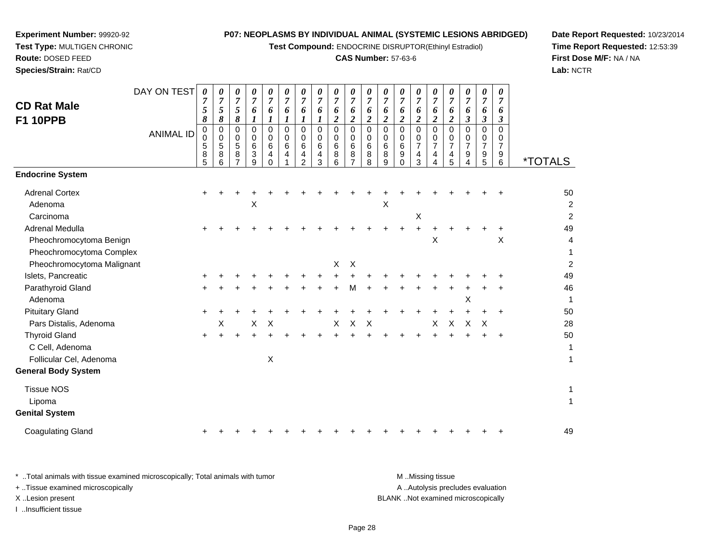**Test Compound:** ENDOCRINE DISRUPTOR(Ethinyl Estradiol)

# **CAS Number:** 57-63-6

**Date Report Requested:** 10/23/2014**Time Report Requested:** 12:53:39**First Dose M/F:** NA / NA**Lab:** NCTR

 $\overline{2}$ 

|                            | DAY ON TEST      | $\boldsymbol{\theta}$<br>$\overline{7}$ | 0<br>$\boldsymbol{7}$   | 0<br>$\overline{7}$ | 0<br>$\overline{7}$ | 0<br>$\overline{7}$       | 0<br>$\overline{7}$ | 0<br>$\overline{7}$     | 0<br>$\overline{7}$        | $\pmb{\theta}$<br>$\overline{7}$ | 0<br>$\overline{7}$ | 0<br>$\overline{7}$ | 0<br>$\overline{7}$       | 0<br>$\overline{7}$        | 0<br>$\overline{7}$ | 0<br>$\overline{7}$       | 0<br>$\overline{7}$  | 0<br>$\overline{7}$  | 0<br>$\overline{7}$ | 0<br>$\overline{7}$ |                       |
|----------------------------|------------------|-----------------------------------------|-------------------------|---------------------|---------------------|---------------------------|---------------------|-------------------------|----------------------------|----------------------------------|---------------------|---------------------|---------------------------|----------------------------|---------------------|---------------------------|----------------------|----------------------|---------------------|---------------------|-----------------------|
| <b>CD Rat Male</b>         |                  | 5                                       | 5                       | 5                   | 6                   | 6                         | 6                   | 6                       | 6                          | 6                                | 6                   | 6                   | 6                         | 6                          | 6                   | 6                         | 6                    | 6                    | 6                   | 6                   |                       |
| <b>F1 10PPB</b>            |                  | 8                                       | 8                       | 8                   |                     | 1                         | 1                   | 1                       | $\boldsymbol{l}$           | $\overline{2}$                   | $\boldsymbol{2}$    | $\overline{c}$      | $\overline{\mathbf{2}}$   | $\overline{2}$             | $\overline{2}$      | $\overline{2}$            | $\boldsymbol{2}$     | $\boldsymbol{\beta}$ | 3                   | 3                   |                       |
|                            | <b>ANIMAL ID</b> | 0<br>$\mathbf 0$                        | $\mathbf 0$<br>$\Omega$ | $\mathbf 0$<br>0    | 0<br>0              | 0<br>0                    | $\mathbf 0$<br>0    | $\mathbf 0$<br>$\Omega$ | $\mathbf 0$<br>$\mathbf 0$ | $\mathbf 0$<br>0                 | $\mathbf 0$<br>0    | 0<br>$\Omega$       | $\mathbf 0$<br>0          | $\mathbf 0$<br>$\mathbf 0$ | $\mathbf 0$<br>0    | $\Omega$<br>$\mathbf 0$   | $\Omega$<br>$\Omega$ | 0<br>0               | 0<br>0              | $\Omega$<br>0       |                       |
|                            |                  | 5                                       | 5                       | $\sqrt{5}$          | 6                   | 6                         | 6                   | 6                       | 6                          | 6                                | $\,6\,$             | 6                   | 6                         | $\,6\,$                    | $\overline{7}$      | $\overline{7}$            | $\overline{7}$       | $\overline{7}$       | $\overline{7}$      | $\overline{7}$      |                       |
|                            |                  | 8<br>5                                  | 8<br>6                  | 8<br>7              | 3<br>9              | 4<br>$\Omega$             | 4                   | 4<br>$\mathcal{P}$      | 4<br>3                     | 8<br>6                           | 8                   | 8<br>8              | 8<br>9                    | 9<br>$\Omega$              | 4<br>3              | 4<br>4                    | 4<br>5               | 9<br>4               | 9<br>$\overline{5}$ | 9<br>6              | <i><b>*TOTALS</b></i> |
| <b>Endocrine System</b>    |                  |                                         |                         |                     |                     |                           |                     |                         |                            |                                  |                     |                     |                           |                            |                     |                           |                      |                      |                     |                     |                       |
| <b>Adrenal Cortex</b>      |                  |                                         |                         |                     |                     |                           |                     |                         |                            |                                  |                     |                     |                           |                            |                     |                           |                      |                      |                     |                     | 50                    |
| Adenoma                    |                  |                                         |                         |                     | $\sf X$             |                           |                     |                         |                            |                                  |                     |                     | $\boldsymbol{\mathsf{X}}$ |                            |                     |                           |                      |                      |                     |                     | 2                     |
| Carcinoma                  |                  |                                         |                         |                     |                     |                           |                     |                         |                            |                                  |                     |                     |                           |                            | X                   |                           |                      |                      |                     |                     | 2                     |
| Adrenal Medulla            |                  |                                         |                         |                     |                     |                           |                     |                         |                            |                                  |                     |                     |                           |                            | +                   |                           |                      |                      |                     | ٠                   | 49                    |
| Pheochromocytoma Benign    |                  |                                         |                         |                     |                     |                           |                     |                         |                            |                                  |                     |                     |                           |                            |                     | $\boldsymbol{\mathsf{X}}$ |                      |                      |                     | Χ                   | 4                     |
| Pheochromocytoma Complex   |                  |                                         |                         |                     |                     |                           |                     |                         |                            |                                  |                     |                     |                           |                            |                     |                           |                      |                      |                     |                     | 1                     |
| Pheochromocytoma Malignant |                  |                                         |                         |                     |                     |                           |                     |                         |                            | X                                | X                   |                     |                           |                            |                     |                           |                      |                      |                     |                     | $\overline{a}$        |
| Islets, Pancreatic         |                  |                                         |                         |                     |                     |                           |                     |                         |                            |                                  |                     |                     |                           |                            |                     |                           |                      |                      |                     |                     | 49                    |
| Parathyroid Gland          |                  |                                         |                         |                     |                     |                           |                     |                         |                            |                                  | м                   |                     |                           |                            |                     |                           |                      |                      |                     |                     | 46                    |
| Adenoma                    |                  |                                         |                         |                     |                     |                           |                     |                         |                            |                                  |                     |                     |                           |                            |                     |                           |                      | X                    |                     |                     | 1                     |
| <b>Pituitary Gland</b>     |                  |                                         |                         |                     |                     |                           |                     |                         |                            |                                  |                     |                     |                           |                            |                     |                           |                      |                      |                     | ÷                   | 50                    |
| Pars Distalis, Adenoma     |                  |                                         | х                       |                     | X                   | X                         |                     |                         |                            | X                                | X                   | X                   |                           |                            |                     | X                         | X                    | X                    | $\times$            |                     | 28                    |
| <b>Thyroid Gland</b>       |                  |                                         |                         |                     |                     |                           |                     |                         |                            |                                  |                     |                     |                           |                            |                     |                           |                      |                      |                     |                     | 50                    |
| C Cell, Adenoma            |                  |                                         |                         |                     |                     |                           |                     |                         |                            |                                  |                     |                     |                           |                            |                     |                           |                      |                      |                     |                     | 1                     |
| Follicular Cel, Adenoma    |                  |                                         |                         |                     |                     | $\boldsymbol{\mathsf{X}}$ |                     |                         |                            |                                  |                     |                     |                           |                            |                     |                           |                      |                      |                     |                     | 1                     |
| <b>General Body System</b> |                  |                                         |                         |                     |                     |                           |                     |                         |                            |                                  |                     |                     |                           |                            |                     |                           |                      |                      |                     |                     |                       |
| <b>Tissue NOS</b>          |                  |                                         |                         |                     |                     |                           |                     |                         |                            |                                  |                     |                     |                           |                            |                     |                           |                      |                      |                     |                     | 1                     |
| Lipoma                     |                  |                                         |                         |                     |                     |                           |                     |                         |                            |                                  |                     |                     |                           |                            |                     |                           |                      |                      |                     |                     | 1                     |
| <b>Genital System</b>      |                  |                                         |                         |                     |                     |                           |                     |                         |                            |                                  |                     |                     |                           |                            |                     |                           |                      |                      |                     |                     |                       |
| <b>Coagulating Gland</b>   |                  |                                         |                         |                     |                     |                           |                     |                         |                            |                                  |                     |                     |                           |                            |                     |                           |                      |                      |                     |                     | 49                    |
|                            |                  |                                         |                         |                     |                     |                           |                     |                         |                            |                                  |                     |                     |                           |                            |                     |                           |                      |                      |                     |                     |                       |

**Experiment Number:** 99920-92**Test Type:** MULTIGEN CHRONIC

**Route:** DOSED FEED**Species/Strain:** Rat/CD

\* ..Total animals with tissue examined microscopically; Total animals with tumor **M** . Missing tissue M ..Missing tissue A ..Autolysis precludes evaluation + ..Tissue examined microscopically X ..Lesion present BLANK ..Not examined microscopicallyI ..Insufficient tissue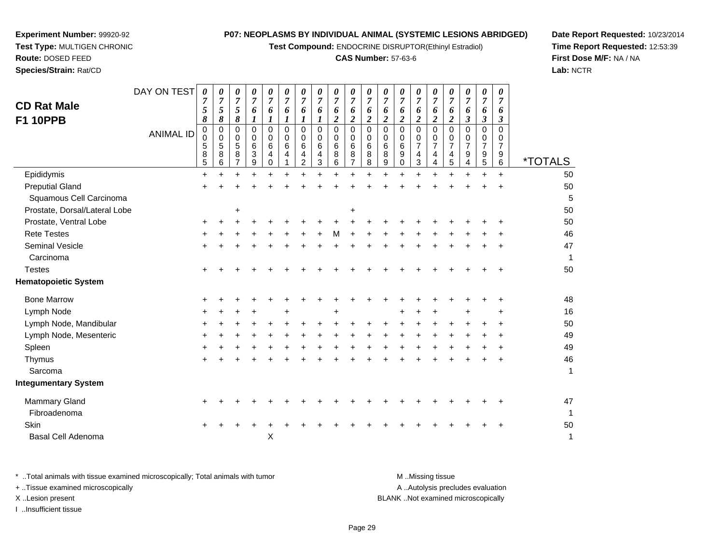**Test Compound:** ENDOCRINE DISRUPTOR(Ethinyl Estradiol)

# **CAS Number:** 57-63-6

**Date Report Requested:** 10/23/2014 **Time Report Requested:** 12:53:39**First Dose M/F:** NA / NA**Lab:** NCTR

| <b>CD Rat Male</b><br><b>F1 10PPB</b> | DAY ON TEST<br><b>ANIMAL ID</b> | 0<br>7<br>5<br>8<br>0<br>$\mathbf 0$<br>5<br>8<br>5 | 0<br>$\boldsymbol{7}$<br>5<br>8<br>0<br>0<br>5<br>8<br>6 | 0<br>$\boldsymbol{7}$<br>5<br>8<br>0<br>0<br>5<br>8<br>7 | 0<br>$\overline{7}$<br>6<br>1<br>0<br>0<br>6<br>3<br>9 | 0<br>$\overline{7}$<br>6<br>1<br>$\Omega$<br>$\mathbf 0$<br>6<br>$\overline{4}$<br>$\mathbf 0$ | 0<br>$\overline{7}$<br>6<br>1<br>$\Omega$<br>$\Omega$<br>6<br>4 | 0<br>$\overline{7}$<br>6<br>1<br>$\mathbf 0$<br>0<br>6<br>$\overline{4}$<br>$\overline{c}$ | 0<br>$\overline{7}$<br>6<br>1<br>0<br>$\mathbf 0$<br>6<br>4<br>3 | 0<br>$\overline{7}$<br>6<br>$\overline{c}$<br>0<br>$\mathbf 0$<br>6<br>8<br>6 | 0<br>$\overline{7}$<br>6<br>$\boldsymbol{2}$<br>$\Omega$<br>0<br>$6\phantom{1}6$<br>8<br>$\overline{7}$ | 0<br>$\boldsymbol{7}$<br>6<br>2<br>$\mathbf 0$<br>0<br>6<br>8<br>8 | 0<br>$\overline{7}$<br>6<br>$\overline{\mathbf{2}}$<br>$\Omega$<br>$\Omega$<br>6<br>8<br>9 | 0<br>$\overline{7}$<br>6<br>$\overline{\mathbf{c}}$<br>$\mathbf 0$<br>0<br>$\,6$<br>9<br>$\mathbf 0$ | 0<br>$\overline{7}$<br>6<br>$\overline{2}$<br>$\mathbf 0$<br>0<br>$\overline{7}$<br>$\overline{\mathbf{4}}$<br>3 | 0<br>$\boldsymbol{7}$<br>6<br>$\boldsymbol{2}$<br>$\Omega$<br>0<br>7<br>4<br>4 | 0<br>$\overline{7}$<br>6<br>$\boldsymbol{2}$<br>$\Omega$<br>0<br>$\overline{7}$<br>4<br>$\overline{5}$ | 0<br>$\overline{7}$<br>6<br>$\boldsymbol{\beta}$<br>0<br>$\mathbf 0$<br>$\overline{7}$<br>9<br>4 | 0<br>$\overline{7}$<br>6<br>$\mathfrak{z}$<br>0<br>0<br>$\overline{7}$<br>9<br>5 | 0<br>$\overline{7}$<br>6<br>$\boldsymbol{\beta}$<br>0<br>0<br>7<br>9<br>6 | <i><b>*TOTALS</b></i> |  |
|---------------------------------------|---------------------------------|-----------------------------------------------------|----------------------------------------------------------|----------------------------------------------------------|--------------------------------------------------------|------------------------------------------------------------------------------------------------|-----------------------------------------------------------------|--------------------------------------------------------------------------------------------|------------------------------------------------------------------|-------------------------------------------------------------------------------|---------------------------------------------------------------------------------------------------------|--------------------------------------------------------------------|--------------------------------------------------------------------------------------------|------------------------------------------------------------------------------------------------------|------------------------------------------------------------------------------------------------------------------|--------------------------------------------------------------------------------|--------------------------------------------------------------------------------------------------------|--------------------------------------------------------------------------------------------------|----------------------------------------------------------------------------------|---------------------------------------------------------------------------|-----------------------|--|
| Epididymis                            |                                 | $\ddot{}$                                           | +                                                        | ٠                                                        |                                                        | $\ddot{}$                                                                                      |                                                                 | $\ddot{}$                                                                                  |                                                                  | $\ddot{}$                                                                     | $\ddot{}$                                                                                               |                                                                    |                                                                                            |                                                                                                      | $\ddot{}$                                                                                                        |                                                                                | $\ddot{}$                                                                                              | +                                                                                                | $+$                                                                              | $+$                                                                       | 50                    |  |
| <b>Preputial Gland</b>                |                                 |                                                     |                                                          |                                                          |                                                        |                                                                                                |                                                                 |                                                                                            |                                                                  |                                                                               |                                                                                                         |                                                                    |                                                                                            |                                                                                                      |                                                                                                                  |                                                                                |                                                                                                        |                                                                                                  |                                                                                  |                                                                           | 50                    |  |
| Squamous Cell Carcinoma               |                                 |                                                     |                                                          |                                                          |                                                        |                                                                                                |                                                                 |                                                                                            |                                                                  |                                                                               |                                                                                                         |                                                                    |                                                                                            |                                                                                                      |                                                                                                                  |                                                                                |                                                                                                        |                                                                                                  |                                                                                  |                                                                           | 5                     |  |
| Prostate, Dorsal/Lateral Lobe         |                                 |                                                     |                                                          | +                                                        |                                                        |                                                                                                |                                                                 |                                                                                            |                                                                  |                                                                               | +                                                                                                       |                                                                    |                                                                                            |                                                                                                      |                                                                                                                  |                                                                                |                                                                                                        |                                                                                                  |                                                                                  |                                                                           | 50                    |  |
| Prostate, Ventral Lobe                |                                 | ÷                                                   |                                                          |                                                          |                                                        |                                                                                                |                                                                 |                                                                                            |                                                                  |                                                                               |                                                                                                         |                                                                    |                                                                                            |                                                                                                      |                                                                                                                  |                                                                                |                                                                                                        |                                                                                                  |                                                                                  |                                                                           | 50                    |  |
| <b>Rete Testes</b>                    |                                 |                                                     |                                                          |                                                          |                                                        |                                                                                                |                                                                 |                                                                                            |                                                                  |                                                                               |                                                                                                         |                                                                    |                                                                                            |                                                                                                      |                                                                                                                  |                                                                                |                                                                                                        |                                                                                                  |                                                                                  |                                                                           | 46                    |  |
| <b>Seminal Vesicle</b>                |                                 |                                                     |                                                          |                                                          |                                                        |                                                                                                |                                                                 |                                                                                            |                                                                  |                                                                               |                                                                                                         |                                                                    |                                                                                            |                                                                                                      |                                                                                                                  |                                                                                |                                                                                                        |                                                                                                  |                                                                                  |                                                                           | 47                    |  |
| Carcinoma                             |                                 |                                                     |                                                          |                                                          |                                                        |                                                                                                |                                                                 |                                                                                            |                                                                  |                                                                               |                                                                                                         |                                                                    |                                                                                            |                                                                                                      |                                                                                                                  |                                                                                |                                                                                                        |                                                                                                  |                                                                                  |                                                                           | 1                     |  |
| <b>Testes</b>                         |                                 |                                                     |                                                          |                                                          |                                                        |                                                                                                |                                                                 |                                                                                            |                                                                  |                                                                               |                                                                                                         |                                                                    |                                                                                            |                                                                                                      |                                                                                                                  |                                                                                |                                                                                                        |                                                                                                  |                                                                                  |                                                                           | 50                    |  |
| <b>Hematopoietic System</b>           |                                 |                                                     |                                                          |                                                          |                                                        |                                                                                                |                                                                 |                                                                                            |                                                                  |                                                                               |                                                                                                         |                                                                    |                                                                                            |                                                                                                      |                                                                                                                  |                                                                                |                                                                                                        |                                                                                                  |                                                                                  |                                                                           |                       |  |
| <b>Bone Marrow</b>                    |                                 |                                                     |                                                          |                                                          |                                                        |                                                                                                |                                                                 |                                                                                            |                                                                  |                                                                               |                                                                                                         |                                                                    |                                                                                            |                                                                                                      |                                                                                                                  |                                                                                |                                                                                                        |                                                                                                  |                                                                                  |                                                                           | 48                    |  |
| Lymph Node                            |                                 |                                                     |                                                          |                                                          |                                                        |                                                                                                |                                                                 |                                                                                            |                                                                  |                                                                               |                                                                                                         |                                                                    |                                                                                            |                                                                                                      |                                                                                                                  |                                                                                |                                                                                                        |                                                                                                  |                                                                                  | ٠                                                                         | 16                    |  |
| Lymph Node, Mandibular                |                                 |                                                     |                                                          |                                                          |                                                        |                                                                                                |                                                                 |                                                                                            |                                                                  |                                                                               |                                                                                                         |                                                                    |                                                                                            |                                                                                                      |                                                                                                                  |                                                                                |                                                                                                        |                                                                                                  |                                                                                  | +                                                                         | 50                    |  |
| Lymph Node, Mesenteric                |                                 |                                                     |                                                          |                                                          |                                                        |                                                                                                |                                                                 |                                                                                            |                                                                  |                                                                               |                                                                                                         |                                                                    |                                                                                            |                                                                                                      |                                                                                                                  |                                                                                |                                                                                                        |                                                                                                  |                                                                                  | +                                                                         | 49                    |  |
| Spleen                                |                                 |                                                     |                                                          |                                                          |                                                        |                                                                                                |                                                                 |                                                                                            |                                                                  |                                                                               |                                                                                                         |                                                                    |                                                                                            |                                                                                                      |                                                                                                                  |                                                                                |                                                                                                        |                                                                                                  |                                                                                  |                                                                           | 49                    |  |
| Thymus                                |                                 |                                                     |                                                          |                                                          |                                                        |                                                                                                |                                                                 |                                                                                            |                                                                  |                                                                               |                                                                                                         |                                                                    |                                                                                            |                                                                                                      |                                                                                                                  |                                                                                |                                                                                                        |                                                                                                  |                                                                                  |                                                                           | 46                    |  |
| Sarcoma                               |                                 |                                                     |                                                          |                                                          |                                                        |                                                                                                |                                                                 |                                                                                            |                                                                  |                                                                               |                                                                                                         |                                                                    |                                                                                            |                                                                                                      |                                                                                                                  |                                                                                |                                                                                                        |                                                                                                  |                                                                                  |                                                                           | 1                     |  |
| <b>Integumentary System</b>           |                                 |                                                     |                                                          |                                                          |                                                        |                                                                                                |                                                                 |                                                                                            |                                                                  |                                                                               |                                                                                                         |                                                                    |                                                                                            |                                                                                                      |                                                                                                                  |                                                                                |                                                                                                        |                                                                                                  |                                                                                  |                                                                           |                       |  |
| Mammary Gland                         |                                 |                                                     |                                                          |                                                          |                                                        |                                                                                                |                                                                 |                                                                                            |                                                                  |                                                                               |                                                                                                         |                                                                    |                                                                                            |                                                                                                      |                                                                                                                  |                                                                                |                                                                                                        |                                                                                                  |                                                                                  |                                                                           | 47                    |  |
| Fibroadenoma                          |                                 |                                                     |                                                          |                                                          |                                                        |                                                                                                |                                                                 |                                                                                            |                                                                  |                                                                               |                                                                                                         |                                                                    |                                                                                            |                                                                                                      |                                                                                                                  |                                                                                |                                                                                                        |                                                                                                  |                                                                                  |                                                                           | 1                     |  |
| Skin                                  |                                 |                                                     |                                                          |                                                          |                                                        |                                                                                                |                                                                 |                                                                                            |                                                                  |                                                                               |                                                                                                         |                                                                    |                                                                                            |                                                                                                      |                                                                                                                  |                                                                                |                                                                                                        |                                                                                                  |                                                                                  |                                                                           | 50                    |  |
| <b>Basal Cell Adenoma</b>             |                                 |                                                     |                                                          |                                                          |                                                        | X                                                                                              |                                                                 |                                                                                            |                                                                  |                                                                               |                                                                                                         |                                                                    |                                                                                            |                                                                                                      |                                                                                                                  |                                                                                |                                                                                                        |                                                                                                  |                                                                                  |                                                                           | 1                     |  |
|                                       |                                 |                                                     |                                                          |                                                          |                                                        |                                                                                                |                                                                 |                                                                                            |                                                                  |                                                                               |                                                                                                         |                                                                    |                                                                                            |                                                                                                      |                                                                                                                  |                                                                                |                                                                                                        |                                                                                                  |                                                                                  |                                                                           |                       |  |

**Experiment Number:** 99920-92**Test Type:** MULTIGEN CHRONIC

| Total animals with tissue examined microscopically; Total animals with tumor | M Missing tissue                   |
|------------------------------------------------------------------------------|------------------------------------|
| + Tissue examined microscopically                                            | A Autolysis precludes evaluation   |
| X Lesion present                                                             | BLANK Not examined microscopically |
| …Insufficient tissue                                                         |                                    |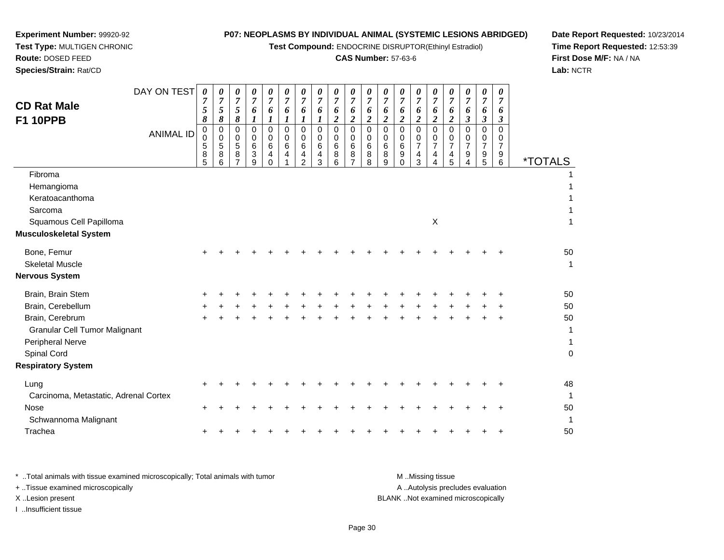**Test Compound:** ENDOCRINE DISRUPTOR(Ethinyl Estradiol)

# **CAS Number:** 57-63-6

**Date Report Requested:** 10/23/2014 **Time Report Requested:** 12:53:39**First Dose M/F:** NA / NA**Lab:** NCTR

| <b>CD Rat Male</b><br><b>F1 10PPB</b>                                                                                                                             | DAY ON TEST      | 0<br>5<br>8           | 0<br>7<br>5<br>8      | 0<br>$\overline{7}$<br>$\overline{5}$<br>8 | 0<br>7<br>6<br>1      | 0<br>$\overline{7}$<br>6<br>1                    | 0<br>7<br>6<br>1        | 0<br>7<br>6<br>1                          | 0<br>7<br>6<br>1      | 0<br>$\overline{7}$<br>6<br>$\boldsymbol{2}$ | $\pmb{\theta}$<br>$\boldsymbol{7}$<br>6<br>$\boldsymbol{2}$      | 0<br>$\overline{7}$<br>6<br>$\overline{c}$ | 0<br>7<br>6<br>$\boldsymbol{2}$ | 0<br>$\overline{7}$<br>6<br>$\boldsymbol{2}$ | 0<br>7<br>6<br>$\overline{2}$      | 0<br>7<br>6<br>$\overline{c}$      | 0<br>$\overline{7}$<br>6<br>$\boldsymbol{2}$              | 0<br>7<br>6<br>3                          | 0<br>7<br>6<br>$\boldsymbol{\beta}$ | 0<br>7<br>6<br>3                          |                                         |
|-------------------------------------------------------------------------------------------------------------------------------------------------------------------|------------------|-----------------------|-----------------------|--------------------------------------------|-----------------------|--------------------------------------------------|-------------------------|-------------------------------------------|-----------------------|----------------------------------------------|------------------------------------------------------------------|--------------------------------------------|---------------------------------|----------------------------------------------|------------------------------------|------------------------------------|-----------------------------------------------------------|-------------------------------------------|-------------------------------------|-------------------------------------------|-----------------------------------------|
|                                                                                                                                                                   | <b>ANIMAL ID</b> | 0<br>0<br>5<br>8<br>5 | 0<br>0<br>5<br>8<br>6 | 0<br>0<br>5<br>8<br>7                      | 0<br>0<br>6<br>3<br>9 | $\mathbf 0$<br>$\mathbf 0$<br>6<br>4<br>$\Omega$ | $\Omega$<br>0<br>6<br>4 | $\Omega$<br>0<br>6<br>4<br>$\overline{2}$ | 0<br>0<br>6<br>4<br>3 | 0<br>0<br>6<br>8<br>6                        | $\mathbf 0$<br>$\mathbf 0$<br>$\,6$<br>$\bf 8$<br>$\overline{7}$ | $\Omega$<br>$\mathbf 0$<br>6<br>8<br>8     | $\mathbf 0$<br>0<br>6<br>8<br>9 | 0<br>0<br>$\,6\,$<br>$9\,$<br>$\Omega$       | 0<br>0<br>$\overline{7}$<br>4<br>3 | 0<br>0<br>$\overline{7}$<br>4<br>4 | $\mathbf 0$<br>0<br>$\overline{7}$<br>$\overline{4}$<br>5 | $\Omega$<br>0<br>$\overline{7}$<br>9<br>4 | 0<br>0<br>7<br>9<br>5               | $\Omega$<br>0<br>$\overline{7}$<br>9<br>6 | <i><b>*TOTALS</b></i>                   |
| Fibroma<br>Hemangioma<br>Keratoacanthoma<br>Sarcoma                                                                                                               |                  |                       |                       |                                            |                       |                                                  |                         |                                           |                       |                                              |                                                                  |                                            |                                 |                                              |                                    |                                    |                                                           |                                           |                                     |                                           |                                         |
| Squamous Cell Papilloma<br>Musculoskeletal System                                                                                                                 |                  |                       |                       |                                            |                       |                                                  |                         |                                           |                       |                                              |                                                                  |                                            |                                 |                                              |                                    | X                                  |                                                           |                                           |                                     |                                           |                                         |
| Bone, Femur<br><b>Skeletal Muscle</b><br>Nervous System                                                                                                           |                  |                       |                       |                                            |                       |                                                  |                         |                                           |                       |                                              |                                                                  |                                            |                                 |                                              |                                    |                                    |                                                           |                                           |                                     |                                           | 50<br>1                                 |
| Brain, Brain Stem<br>Brain, Cerebellum<br>Brain, Cerebrum<br><b>Granular Cell Tumor Malignant</b><br>Peripheral Nerve<br>Spinal Cord<br><b>Respiratory System</b> |                  |                       |                       |                                            |                       |                                                  |                         |                                           |                       |                                              |                                                                  |                                            |                                 |                                              |                                    |                                    |                                                           |                                           |                                     |                                           | 50<br>50<br>50<br>1<br>1<br>$\mathbf 0$ |
| Lung<br>Carcinoma, Metastatic, Adrenal Cortex                                                                                                                     |                  |                       |                       |                                            |                       |                                                  |                         |                                           |                       |                                              |                                                                  |                                            |                                 |                                              |                                    |                                    |                                                           |                                           |                                     |                                           | 48<br>$\mathbf{1}$                      |
| Nose<br>Schwannoma Malignant<br>Trachea                                                                                                                           |                  | $\pm$<br>+            |                       |                                            |                       |                                                  |                         |                                           |                       |                                              |                                                                  |                                            |                                 |                                              |                                    |                                    |                                                           |                                           |                                     |                                           | 50<br>1<br>50                           |
|                                                                                                                                                                   |                  |                       |                       |                                            |                       |                                                  |                         |                                           |                       |                                              |                                                                  |                                            |                                 |                                              |                                    |                                    |                                                           |                                           |                                     |                                           |                                         |

**Experiment Number:** 99920-92**Test Type:** MULTIGEN CHRONIC

| . Total animals with tissue examined microscopically: Total animals with tumor. " | M Missing tissue                   |
|-----------------------------------------------------------------------------------|------------------------------------|
| + Tissue examined microscopically                                                 | A Autolysis precludes evaluation   |
| X Lesion present                                                                  | BLANK Not examined microscopically |
| Insufficient tissue                                                               |                                    |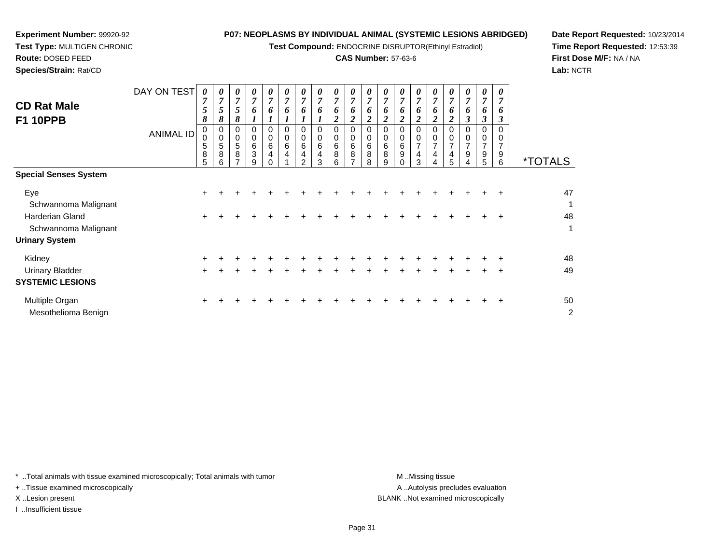**Test Compound:** ENDOCRINE DISRUPTOR(Ethinyl Estradiol)

# **CAS Number:** 57-63-6

*0 7*

*0 7*

*0 7*

\*TOTALS

*6*

*6*

*6*

0<br>0<br>0<br>0<br>0<br>0

**Date Report Requested:** 10/23/2014**Time Report Requested:** 12:53:39**First Dose M/F:** NA / NA**Lab:** NCTR

| Species/Strain: Rat/CD                |                  |                       |                       |                       |                            |                                 |                       |                                 |                       |                       |                         |             |                       |
|---------------------------------------|------------------|-----------------------|-----------------------|-----------------------|----------------------------|---------------------------------|-----------------------|---------------------------------|-----------------------|-----------------------|-------------------------|-------------|-----------------------|
| <b>CD Rat Male</b><br><b>F1 10PPB</b> | DAY ON TEST      | 0<br>7<br>5<br>8      | 0<br>7<br>5<br>8      | 0<br>7<br>5<br>8      | $\boldsymbol{v}$<br>7<br>o | $\boldsymbol{\theta}$<br>7<br>o | 0<br>⇁<br>6           | $\boldsymbol{\theta}$<br>7<br>o | 0<br>7<br>o           | 0<br>7<br>6<br>2      | $\theta$<br>7<br>6<br>2 | ~<br>n      | 0<br>7<br>6           |
|                                       | <b>ANIMAL ID</b> | 0<br>0<br>5<br>8<br>5 | 0<br>0<br>5<br>8<br>6 | 0<br>0<br>5<br>8<br>⇁ | 0<br>0<br>6<br>3<br>9      | 6<br>4                          | 0<br>0<br>6<br>4<br>◢ | 0<br>6<br>4<br>◠                | 0<br>0<br>6<br>4<br>з | 0<br>0<br>6<br>8<br>6 | 0<br>0<br>6<br>8        | 6<br>8<br>8 | 0<br>0<br>6<br>8<br>9 |
| $\sim$<br>$\sim$                      |                  |                       |                       |                       |                            |                                 |                       |                                 |                       |                       |                         |             |                       |

| <b>Special Senses System</b> |       |  |  |  |  |  |   |  |    |       |     |     |        |    |
|------------------------------|-------|--|--|--|--|--|---|--|----|-------|-----|-----|--------|----|
| Eye                          | $\pm$ |  |  |  |  |  |   |  |    |       | ÷.  | +   | $\pm$  | 47 |
| Schwannoma Malignant         |       |  |  |  |  |  |   |  |    |       |     |     |        | 4  |
| Harderian Gland              | $\pm$ |  |  |  |  |  |   |  |    |       |     |     | $\pm$  | 48 |
| Schwannoma Malignant         |       |  |  |  |  |  |   |  |    |       |     |     |        | 1  |
| <b>Urinary System</b>        |       |  |  |  |  |  |   |  |    |       |     |     |        |    |
| Kidney                       | $\pm$ |  |  |  |  |  |   |  |    |       |     | ÷.  | $\div$ | 48 |
| <b>Urinary Bladder</b>       | $+$   |  |  |  |  |  | + |  | ÷. | $\pm$ | $+$ | $+$ | $+$    | 49 |
| <b>SYSTEMIC LESIONS</b>      |       |  |  |  |  |  |   |  |    |       |     |     |        |    |
| Multiple Organ               | $+$   |  |  |  |  |  |   |  |    |       |     |     | $+$    | 50 |
| Mesothelioma Benign          |       |  |  |  |  |  |   |  |    |       |     |     |        | 2  |

\* ..Total animals with tissue examined microscopically; Total animals with tumor **M** ...Missing tissue M ...Missing tissue

+ ..Tissue examined microscopically

**Experiment Number:** 99920-92**Test Type:** MULTIGEN CHRONIC

**Route:** DOSED FEED

I ..Insufficient tissue

A .. Autolysis precludes evaluation X ..Lesion present BLANK ..Not examined microscopically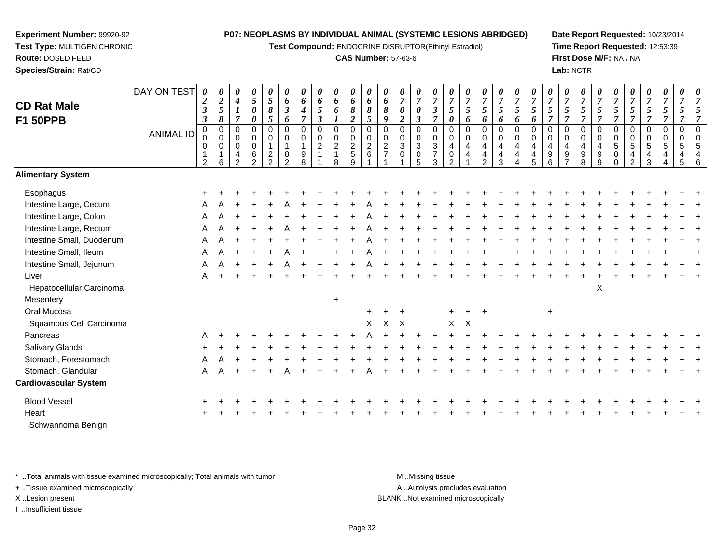**Test Compound:** ENDOCRINE DISRUPTOR(Ethinyl Estradiol)

### **CAS Number:** 57-63-6

**Date Report Requested:** 10/23/2014**Time Report Requested:** 12:53:39**First Dose M/F:** NA / NA**Lab:** NCTR

| <b>CD Rat Male</b><br><b>F1 50PPB</b> | DAY ON TEST<br><b>ANIMAL ID</b> | 0<br>$\boldsymbol{2}$<br>$\boldsymbol{\beta}$<br>$\boldsymbol{\beta}$<br>$\mathbf 0$<br>0<br>$\overline{2}$ | 0<br>$\boldsymbol{2}$<br>$\sqrt{5}$<br>8<br>$\pmb{0}$<br>$\pmb{0}$<br>$\mathbf 0$<br>1<br>6 | 0<br>$\boldsymbol{4}$<br>$\boldsymbol{l}$<br>$\overline{7}$<br>0<br>0<br>0<br>$\overline{\mathbf{r}}$<br>$\overline{2}$ | 0<br>$\mathfrak{s}$<br>$\boldsymbol{\theta}$<br>$\boldsymbol{\theta}$<br>$\pmb{0}$<br>$\pmb{0}$<br>$\mathbf 0$<br>$\,6$<br>$\overline{2}$ | 0<br>$\mathfrak{H}$<br>8<br>5<br>$\mathbf 0$<br>0<br>$\mathbf{1}$<br>$\overline{a}$<br>$\overline{2}$ | 0<br>6<br>$\boldsymbol{\beta}$<br>6<br>$\mathbf 0$<br>0<br>$\mathbf{1}$<br>$\,8\,$<br>$\overline{2}$ | 0<br>6<br>4<br>$\overline{7}$<br>$\mathsf 0$<br>$\mathbf 0$<br>1<br>9<br>8 | $\boldsymbol{\theta}$<br>6<br>$\mathfrak{H}$<br>$\boldsymbol{\beta}$<br>$\mathbf 0$<br>$\pmb{0}$<br>$\overline{2}$<br>$\overline{\mathbf{1}}$ | 0<br>6<br>6<br>$\boldsymbol{l}$<br>$\pmb{0}$<br>$\pmb{0}$<br>$\overline{2}$<br>$\mathbf{1}$<br>8 | 0<br>6<br>8<br>$\boldsymbol{2}$<br>$\pmb{0}$<br>$\mathbf 0$<br>$\boldsymbol{2}$<br>5<br>9 | 0<br>6<br>$\boldsymbol{\delta}$<br>5<br>$\mathbf 0$<br>0<br>$\overline{2}$<br>6 | 0<br>6<br>8<br>9<br>$\mathbf 0$<br>0<br>$\boldsymbol{2}$<br>$\overline{7}$ | 0<br>$\overline{7}$<br>$\pmb{\theta}$<br>$\overline{c}$<br>0<br>0<br>$\mathbf{3}$<br>$\mathbf 0$ | 0<br>$\overline{7}$<br>$\pmb{\theta}$<br>$\boldsymbol{\beta}$<br>$\pmb{0}$<br>$\pmb{0}$<br>$\overline{3}$<br>$\pmb{0}$<br>5 | $\boldsymbol{\theta}$<br>$\overline{7}$<br>$\boldsymbol{\beta}$<br>$\overline{7}$<br>$\pmb{0}$<br>$\mathbf 0$<br>$\sqrt{3}$<br>$\overline{7}$<br>3 | 0<br>$\boldsymbol{7}$<br>5<br>0<br>$\mathbf 0$<br>$\mathbf 0$<br>4<br>0 | 0<br>$\overline{7}$<br>5<br>6<br>$\overline{0}$<br>0<br>4<br>$\overline{4}$ | 0<br>$\boldsymbol{7}$<br>$\mathfrak{s}$<br>6<br>0<br>0<br>4<br>$\overline{4}$<br>$\overline{2}$ | $\pmb{\theta}$<br>$\overline{7}$<br>$\mathfrak{s}$<br>6<br>$\boldsymbol{0}$<br>$\mathbf 0$<br>$\overline{4}$<br>4<br>3 | 0<br>$\overline{7}$<br>5<br>6<br>$\Omega$<br>0<br>4<br>$\overline{4}$<br>4 | $\overline{7}$<br>5<br>6<br>$\mathbf 0$<br>$\mathbf 0$<br>4<br>4<br>5 | 0<br>$\overline{7}$<br>5<br>$\Omega$<br>0<br>4<br>9<br>6 | $\pmb{\theta}$<br>$\boldsymbol{7}$<br>5<br>$\overline{7}$<br>$\pmb{0}$<br>$\mathbf 0$<br>4<br>9<br>$\overline{ }$ | $\pmb{\theta}$<br>$\overline{7}$<br>$5\phantom{.0}$<br>$\overline{7}$<br>$\pmb{0}$<br>$\pmb{0}$<br>$\overline{4}$<br>$\boldsymbol{9}$<br>8 | 0<br>$\overline{7}$<br>$\mathfrak{s}$<br>$\overline{7}$<br>0<br>$\mathbf 0$<br>4<br>$\boldsymbol{9}$<br>9 | $\overline{7}$<br>5<br>$\overline{7}$<br>$\mathbf 0$<br>$\mathbf 0$<br>$\overline{5}$<br>0<br>$\Omega$ | 0<br>$\overline{7}$<br>$5\overline{)}$<br>$\overline{7}$<br>$\mathsf 0$<br>$\mathbf 0$<br>5<br>4<br>$\overline{2}$ | 0<br>$\boldsymbol{7}$<br>$5\overline{)}$<br>$\overline{7}$<br>0<br>0<br>$\overline{5}$<br>$\frac{4}{3}$ | 0<br>$\boldsymbol{7}$<br>$\mathfrak{s}$<br>$\overline{7}$<br>$\pmb{0}$<br>$\mathbf 0$<br>$\sqrt{5}$<br>4<br>4 | 0<br>$\overline{7}$<br>$\overline{5}$<br>$\overline{\tau}$<br>$\mathbf 0$<br>0<br>5<br>$\overline{\mathbf{r}}$<br>5 | $\overline{7}$<br>5<br>$\overline{7}$<br>$\Omega$<br>$\mathbf 0$<br>5<br>$\overline{4}$<br>6 |
|---------------------------------------|---------------------------------|-------------------------------------------------------------------------------------------------------------|---------------------------------------------------------------------------------------------|-------------------------------------------------------------------------------------------------------------------------|-------------------------------------------------------------------------------------------------------------------------------------------|-------------------------------------------------------------------------------------------------------|------------------------------------------------------------------------------------------------------|----------------------------------------------------------------------------|-----------------------------------------------------------------------------------------------------------------------------------------------|--------------------------------------------------------------------------------------------------|-------------------------------------------------------------------------------------------|---------------------------------------------------------------------------------|----------------------------------------------------------------------------|--------------------------------------------------------------------------------------------------|-----------------------------------------------------------------------------------------------------------------------------|----------------------------------------------------------------------------------------------------------------------------------------------------|-------------------------------------------------------------------------|-----------------------------------------------------------------------------|-------------------------------------------------------------------------------------------------|------------------------------------------------------------------------------------------------------------------------|----------------------------------------------------------------------------|-----------------------------------------------------------------------|----------------------------------------------------------|-------------------------------------------------------------------------------------------------------------------|--------------------------------------------------------------------------------------------------------------------------------------------|-----------------------------------------------------------------------------------------------------------|--------------------------------------------------------------------------------------------------------|--------------------------------------------------------------------------------------------------------------------|---------------------------------------------------------------------------------------------------------|---------------------------------------------------------------------------------------------------------------|---------------------------------------------------------------------------------------------------------------------|----------------------------------------------------------------------------------------------|
| <b>Alimentary System</b>              |                                 |                                                                                                             |                                                                                             |                                                                                                                         |                                                                                                                                           |                                                                                                       |                                                                                                      |                                                                            |                                                                                                                                               |                                                                                                  |                                                                                           |                                                                                 |                                                                            |                                                                                                  |                                                                                                                             |                                                                                                                                                    |                                                                         |                                                                             |                                                                                                 |                                                                                                                        |                                                                            |                                                                       |                                                          |                                                                                                                   |                                                                                                                                            |                                                                                                           |                                                                                                        |                                                                                                                    |                                                                                                         |                                                                                                               |                                                                                                                     |                                                                                              |
| Esophagus                             |                                 |                                                                                                             |                                                                                             |                                                                                                                         |                                                                                                                                           |                                                                                                       |                                                                                                      |                                                                            |                                                                                                                                               |                                                                                                  |                                                                                           |                                                                                 |                                                                            |                                                                                                  |                                                                                                                             |                                                                                                                                                    |                                                                         |                                                                             |                                                                                                 |                                                                                                                        |                                                                            |                                                                       |                                                          |                                                                                                                   |                                                                                                                                            |                                                                                                           |                                                                                                        |                                                                                                                    |                                                                                                         |                                                                                                               |                                                                                                                     |                                                                                              |
| Intestine Large, Cecum                |                                 |                                                                                                             |                                                                                             |                                                                                                                         |                                                                                                                                           |                                                                                                       |                                                                                                      |                                                                            |                                                                                                                                               |                                                                                                  |                                                                                           |                                                                                 |                                                                            |                                                                                                  |                                                                                                                             |                                                                                                                                                    |                                                                         |                                                                             |                                                                                                 |                                                                                                                        |                                                                            |                                                                       |                                                          |                                                                                                                   |                                                                                                                                            |                                                                                                           |                                                                                                        |                                                                                                                    |                                                                                                         |                                                                                                               |                                                                                                                     |                                                                                              |
| Intestine Large, Colon                |                                 | A                                                                                                           |                                                                                             |                                                                                                                         |                                                                                                                                           |                                                                                                       |                                                                                                      |                                                                            |                                                                                                                                               |                                                                                                  |                                                                                           |                                                                                 |                                                                            |                                                                                                  |                                                                                                                             |                                                                                                                                                    |                                                                         |                                                                             |                                                                                                 |                                                                                                                        |                                                                            |                                                                       |                                                          |                                                                                                                   |                                                                                                                                            |                                                                                                           |                                                                                                        |                                                                                                                    |                                                                                                         |                                                                                                               |                                                                                                                     |                                                                                              |
| Intestine Large, Rectum               |                                 |                                                                                                             |                                                                                             |                                                                                                                         |                                                                                                                                           |                                                                                                       |                                                                                                      |                                                                            |                                                                                                                                               |                                                                                                  |                                                                                           |                                                                                 |                                                                            |                                                                                                  |                                                                                                                             |                                                                                                                                                    |                                                                         |                                                                             |                                                                                                 |                                                                                                                        |                                                                            |                                                                       |                                                          |                                                                                                                   |                                                                                                                                            |                                                                                                           |                                                                                                        |                                                                                                                    |                                                                                                         |                                                                                                               |                                                                                                                     |                                                                                              |
| Intestine Small, Duodenum             |                                 | A                                                                                                           |                                                                                             |                                                                                                                         |                                                                                                                                           |                                                                                                       |                                                                                                      |                                                                            |                                                                                                                                               |                                                                                                  |                                                                                           |                                                                                 |                                                                            |                                                                                                  |                                                                                                                             |                                                                                                                                                    |                                                                         |                                                                             |                                                                                                 |                                                                                                                        |                                                                            |                                                                       |                                                          |                                                                                                                   |                                                                                                                                            |                                                                                                           |                                                                                                        |                                                                                                                    |                                                                                                         |                                                                                                               |                                                                                                                     |                                                                                              |
| Intestine Small, Ileum                |                                 | A                                                                                                           |                                                                                             |                                                                                                                         |                                                                                                                                           |                                                                                                       |                                                                                                      |                                                                            |                                                                                                                                               |                                                                                                  |                                                                                           |                                                                                 |                                                                            |                                                                                                  |                                                                                                                             |                                                                                                                                                    |                                                                         |                                                                             |                                                                                                 |                                                                                                                        |                                                                            |                                                                       |                                                          |                                                                                                                   |                                                                                                                                            |                                                                                                           |                                                                                                        |                                                                                                                    |                                                                                                         |                                                                                                               |                                                                                                                     |                                                                                              |
| Intestine Small, Jejunum              |                                 | Α                                                                                                           |                                                                                             |                                                                                                                         |                                                                                                                                           |                                                                                                       |                                                                                                      |                                                                            |                                                                                                                                               |                                                                                                  |                                                                                           |                                                                                 |                                                                            |                                                                                                  |                                                                                                                             |                                                                                                                                                    |                                                                         |                                                                             |                                                                                                 |                                                                                                                        |                                                                            |                                                                       |                                                          |                                                                                                                   |                                                                                                                                            |                                                                                                           |                                                                                                        |                                                                                                                    |                                                                                                         |                                                                                                               |                                                                                                                     |                                                                                              |
| Liver                                 |                                 | A                                                                                                           |                                                                                             |                                                                                                                         |                                                                                                                                           |                                                                                                       |                                                                                                      |                                                                            |                                                                                                                                               |                                                                                                  |                                                                                           |                                                                                 |                                                                            |                                                                                                  |                                                                                                                             |                                                                                                                                                    |                                                                         |                                                                             |                                                                                                 |                                                                                                                        |                                                                            |                                                                       |                                                          |                                                                                                                   |                                                                                                                                            |                                                                                                           |                                                                                                        |                                                                                                                    |                                                                                                         |                                                                                                               |                                                                                                                     |                                                                                              |
| Hepatocellular Carcinoma              |                                 |                                                                                                             |                                                                                             |                                                                                                                         |                                                                                                                                           |                                                                                                       |                                                                                                      |                                                                            |                                                                                                                                               |                                                                                                  |                                                                                           |                                                                                 |                                                                            |                                                                                                  |                                                                                                                             |                                                                                                                                                    |                                                                         |                                                                             |                                                                                                 |                                                                                                                        |                                                                            |                                                                       |                                                          |                                                                                                                   |                                                                                                                                            | $\pmb{\times}$                                                                                            |                                                                                                        |                                                                                                                    |                                                                                                         |                                                                                                               |                                                                                                                     |                                                                                              |
| Mesentery                             |                                 |                                                                                                             |                                                                                             |                                                                                                                         |                                                                                                                                           |                                                                                                       |                                                                                                      |                                                                            |                                                                                                                                               | $+$                                                                                              |                                                                                           |                                                                                 |                                                                            |                                                                                                  |                                                                                                                             |                                                                                                                                                    |                                                                         |                                                                             |                                                                                                 |                                                                                                                        |                                                                            |                                                                       |                                                          |                                                                                                                   |                                                                                                                                            |                                                                                                           |                                                                                                        |                                                                                                                    |                                                                                                         |                                                                                                               |                                                                                                                     |                                                                                              |
| Oral Mucosa                           |                                 |                                                                                                             |                                                                                             |                                                                                                                         |                                                                                                                                           |                                                                                                       |                                                                                                      |                                                                            |                                                                                                                                               |                                                                                                  |                                                                                           |                                                                                 |                                                                            |                                                                                                  |                                                                                                                             |                                                                                                                                                    |                                                                         | $\ddot{}$                                                                   | $\pm$                                                                                           |                                                                                                                        |                                                                            |                                                                       | $\ddot{}$                                                |                                                                                                                   |                                                                                                                                            |                                                                                                           |                                                                                                        |                                                                                                                    |                                                                                                         |                                                                                                               |                                                                                                                     |                                                                                              |
| Squamous Cell Carcinoma               |                                 |                                                                                                             |                                                                                             |                                                                                                                         |                                                                                                                                           |                                                                                                       |                                                                                                      |                                                                            |                                                                                                                                               |                                                                                                  |                                                                                           | X                                                                               | Χ                                                                          | $\mathsf{X}$                                                                                     |                                                                                                                             |                                                                                                                                                    | X                                                                       | X                                                                           |                                                                                                 |                                                                                                                        |                                                                            |                                                                       |                                                          |                                                                                                                   |                                                                                                                                            |                                                                                                           |                                                                                                        |                                                                                                                    |                                                                                                         |                                                                                                               |                                                                                                                     |                                                                                              |
| Pancreas                              |                                 | A                                                                                                           |                                                                                             |                                                                                                                         |                                                                                                                                           |                                                                                                       |                                                                                                      |                                                                            |                                                                                                                                               |                                                                                                  |                                                                                           |                                                                                 |                                                                            |                                                                                                  |                                                                                                                             |                                                                                                                                                    |                                                                         |                                                                             |                                                                                                 |                                                                                                                        |                                                                            |                                                                       |                                                          |                                                                                                                   |                                                                                                                                            |                                                                                                           |                                                                                                        |                                                                                                                    |                                                                                                         |                                                                                                               |                                                                                                                     |                                                                                              |
| Salivary Glands                       |                                 |                                                                                                             |                                                                                             |                                                                                                                         |                                                                                                                                           |                                                                                                       |                                                                                                      |                                                                            |                                                                                                                                               |                                                                                                  |                                                                                           |                                                                                 |                                                                            |                                                                                                  |                                                                                                                             |                                                                                                                                                    |                                                                         |                                                                             |                                                                                                 |                                                                                                                        |                                                                            |                                                                       |                                                          |                                                                                                                   |                                                                                                                                            |                                                                                                           |                                                                                                        |                                                                                                                    |                                                                                                         |                                                                                                               |                                                                                                                     |                                                                                              |
| Stomach, Forestomach                  |                                 | Α                                                                                                           |                                                                                             |                                                                                                                         |                                                                                                                                           |                                                                                                       |                                                                                                      |                                                                            |                                                                                                                                               |                                                                                                  |                                                                                           |                                                                                 |                                                                            |                                                                                                  |                                                                                                                             |                                                                                                                                                    |                                                                         |                                                                             |                                                                                                 |                                                                                                                        |                                                                            |                                                                       |                                                          |                                                                                                                   |                                                                                                                                            |                                                                                                           |                                                                                                        |                                                                                                                    |                                                                                                         |                                                                                                               |                                                                                                                     |                                                                                              |
| Stomach, Glandular                    |                                 | A                                                                                                           |                                                                                             |                                                                                                                         |                                                                                                                                           |                                                                                                       |                                                                                                      |                                                                            |                                                                                                                                               |                                                                                                  |                                                                                           |                                                                                 |                                                                            |                                                                                                  |                                                                                                                             |                                                                                                                                                    |                                                                         |                                                                             |                                                                                                 |                                                                                                                        |                                                                            |                                                                       |                                                          |                                                                                                                   |                                                                                                                                            |                                                                                                           |                                                                                                        |                                                                                                                    |                                                                                                         |                                                                                                               |                                                                                                                     |                                                                                              |
| <b>Cardiovascular System</b>          |                                 |                                                                                                             |                                                                                             |                                                                                                                         |                                                                                                                                           |                                                                                                       |                                                                                                      |                                                                            |                                                                                                                                               |                                                                                                  |                                                                                           |                                                                                 |                                                                            |                                                                                                  |                                                                                                                             |                                                                                                                                                    |                                                                         |                                                                             |                                                                                                 |                                                                                                                        |                                                                            |                                                                       |                                                          |                                                                                                                   |                                                                                                                                            |                                                                                                           |                                                                                                        |                                                                                                                    |                                                                                                         |                                                                                                               |                                                                                                                     |                                                                                              |
| <b>Blood Vessel</b>                   |                                 |                                                                                                             |                                                                                             |                                                                                                                         |                                                                                                                                           |                                                                                                       |                                                                                                      |                                                                            |                                                                                                                                               |                                                                                                  |                                                                                           |                                                                                 |                                                                            |                                                                                                  |                                                                                                                             |                                                                                                                                                    |                                                                         |                                                                             |                                                                                                 |                                                                                                                        |                                                                            |                                                                       |                                                          |                                                                                                                   |                                                                                                                                            |                                                                                                           |                                                                                                        |                                                                                                                    |                                                                                                         |                                                                                                               |                                                                                                                     |                                                                                              |
| Heart                                 |                                 |                                                                                                             |                                                                                             |                                                                                                                         |                                                                                                                                           |                                                                                                       |                                                                                                      |                                                                            |                                                                                                                                               |                                                                                                  |                                                                                           |                                                                                 |                                                                            |                                                                                                  |                                                                                                                             |                                                                                                                                                    |                                                                         |                                                                             |                                                                                                 |                                                                                                                        |                                                                            |                                                                       |                                                          |                                                                                                                   |                                                                                                                                            |                                                                                                           |                                                                                                        |                                                                                                                    |                                                                                                         |                                                                                                               |                                                                                                                     |                                                                                              |
| Schwannoma Benign                     |                                 |                                                                                                             |                                                                                             |                                                                                                                         |                                                                                                                                           |                                                                                                       |                                                                                                      |                                                                            |                                                                                                                                               |                                                                                                  |                                                                                           |                                                                                 |                                                                            |                                                                                                  |                                                                                                                             |                                                                                                                                                    |                                                                         |                                                                             |                                                                                                 |                                                                                                                        |                                                                            |                                                                       |                                                          |                                                                                                                   |                                                                                                                                            |                                                                                                           |                                                                                                        |                                                                                                                    |                                                                                                         |                                                                                                               |                                                                                                                     |                                                                                              |

\* ..Total animals with tissue examined microscopically; Total animals with tumor **M** . Missing tissue M ..Missing tissue

+ ..Tissue examined microscopically

**Experiment Number:** 99920-92**Test Type:** MULTIGEN CHRONIC

**Route:** DOSED FEED**Species/Strain:** Rat/CD

I ..Insufficient tissue

A ..Autolysis precludes evaluation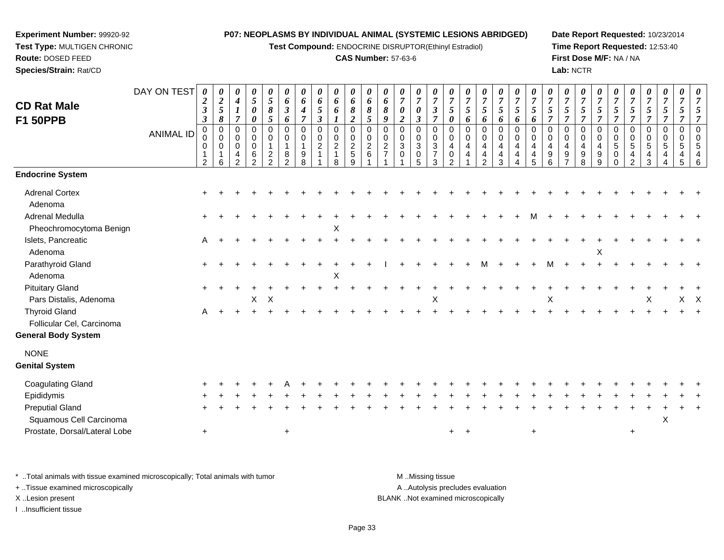**Test Compound:** ENDOCRINE DISRUPTOR(Ethinyl Estradiol)

# **CAS Number:** 57-63-6

**Date Report Requested:** 10/23/2014**Time Report Requested:** 12:53:40**First Dose M/F:** NA / NA**Lab:** NCTR

| <b>CD Rat Male</b><br><b>F1 50PPB</b>             | DAY ON TEST<br><b>ANIMAL ID</b> | 0<br>$\boldsymbol{2}$<br>$\boldsymbol{\beta}$<br>$\boldsymbol{\beta}$<br>$\pmb{0}$<br>0<br>$\mathbf 1$<br>$\overline{2}$ | 0<br>$\boldsymbol{2}$<br>5<br>8<br>$\pmb{0}$<br>$\mathbf 0$<br>$\mathbf 0$<br>6 | $\boldsymbol{\theta}$<br>$\boldsymbol{4}$<br>$\boldsymbol{l}$<br>$\overline{7}$<br>$\pmb{0}$<br>$\mathbf 0$<br>$\mathbf 0$<br>4<br>$\overline{2}$ | $\pmb{\theta}$<br>$\sqrt{5}$<br>$\pmb{\theta}$<br>$\boldsymbol{\theta}$<br>0<br>$\mathbf 0$<br>$\mathbf 0$<br>$\,6$<br>$\overline{2}$ | 0<br>5<br>8<br>5<br>$\mathbf 0$<br>0<br>$\overline{c}$<br>$\overline{2}$ | 0<br>6<br>3<br>6<br>$\mathbf 0$<br>0<br>8<br>$\mathcal{P}$ | 0<br>6<br>4<br>$\mathbf 0$<br>$\mathbf 0$<br>9<br>8 | $\pmb{\theta}$<br>6<br>5<br>$\mathfrak{z}$<br>0<br>$\mathbf 0$<br>$\boldsymbol{2}$ | $\pmb{\theta}$<br>6<br>6<br>$\pmb{0}$<br>$\pmb{0}$<br>$\boldsymbol{2}$<br>$\overline{\mathbf{1}}$<br>8 | $\boldsymbol{\theta}$<br>6<br>8<br>$\boldsymbol{2}$<br>$\mathbf 0$<br>$\pmb{0}$<br>$\overline{c}$<br>$\overline{5}$<br>9 | 0<br>6<br>8<br>$\mathfrak{s}$<br>$\Omega$<br>$\mathbf 0$<br>$\boldsymbol{2}$<br>6 | 0<br>6<br>8<br>9<br>$\mathbf 0$<br>0<br>$\overline{a}$<br>$\overline{7}$ | 0<br>$\boldsymbol{7}$<br>$\pmb{\theta}$<br>$\boldsymbol{2}$<br>$\pmb{0}$<br>$\pmb{0}$<br>$\sqrt{3}$<br>$\mathbf 0$ | $\pmb{\theta}$<br>$\overline{7}$<br>0<br>$\boldsymbol{\beta}$<br>$\mathbf 0$<br>$\mathbf 0$<br>$\sqrt{3}$<br>$\pmb{0}$<br>5 | 0<br>$\overline{7}$<br>$\boldsymbol{\beta}$<br>$\overline{7}$<br>0<br>$\mathbf 0$<br>$\sqrt{3}$<br>$\overline{7}$<br>3 | 0<br>$\overline{7}$<br>5<br>$\boldsymbol{\theta}$<br>$\Omega$<br>$\mathbf 0$<br>$\overline{4}$<br>0 | 0<br>$\overline{7}$<br>5<br>6<br>$\Omega$<br>0<br>4<br>4 | 0<br>$\boldsymbol{7}$<br>5<br>6<br>0<br>$\pmb{0}$<br>4<br>4<br>$\mathcal{P}$ | 0<br>$\overline{7}$<br>5<br>6<br>$\mathbf 0$<br>$\mathbf 0$<br>$\overline{4}$<br>$\overline{4}$<br>3 | 0<br>$\overline{7}$<br>5<br>6<br>$\Omega$<br>$\mathbf 0$<br>$\overline{4}$<br>$\overline{4}$<br>4 | $\boldsymbol{\theta}$<br>$\overline{7}$<br>5<br>6<br>$\Omega$<br>$\Omega$<br>$\overline{4}$<br>4<br>5 | $\pmb{\theta}$<br>$\boldsymbol{7}$<br>$\overline{5}$<br>$\overline{7}$<br>$\Omega$<br>0<br>$\overline{4}$<br>9<br>6 | 0<br>$\boldsymbol{7}$<br>5<br>$\overline{7}$<br>0<br>0<br>$\overline{4}$<br>$\boldsymbol{9}$ | 0<br>$\overline{7}$<br>5<br>$\overline{\tau}$<br>$\mathbf 0$<br>0<br>$\overline{4}$<br>9<br>8 | $\overline{7}$<br>5<br>$\overline{7}$<br>$\Omega$<br>0<br>4<br>9<br>9 | $\boldsymbol{\theta}$<br>$\overline{7}$<br>5<br>$\overline{7}$<br>$\mathbf 0$<br>$\mathbf 0$<br>$\sqrt{5}$<br>$\mathbf 0$<br>$\Omega$ | 0<br>$\overline{7}$<br>5<br>$\overline{7}$<br>0<br>0<br>$\sqrt{5}$<br>4<br>$\overline{2}$ | $\boldsymbol{\theta}$<br>$\boldsymbol{7}$<br>$\mathfrak{s}$<br>$\overline{7}$<br>$\mathbf 0$<br>$\mathbf 0$<br>$\sqrt{5}$<br>4<br>3 | 0<br>$\overline{7}$<br>5<br>$\overline{7}$<br>$\Omega$<br>0<br>5<br>4 | 0<br>$\overline{7}$<br>5<br>$\mathbf 0$<br>0<br>5<br>4<br>5 | 0<br>7<br>5<br>7<br>$\Omega$<br>$\Omega$<br>5<br>4<br>6 |
|---------------------------------------------------|---------------------------------|--------------------------------------------------------------------------------------------------------------------------|---------------------------------------------------------------------------------|---------------------------------------------------------------------------------------------------------------------------------------------------|---------------------------------------------------------------------------------------------------------------------------------------|--------------------------------------------------------------------------|------------------------------------------------------------|-----------------------------------------------------|------------------------------------------------------------------------------------|--------------------------------------------------------------------------------------------------------|--------------------------------------------------------------------------------------------------------------------------|-----------------------------------------------------------------------------------|--------------------------------------------------------------------------|--------------------------------------------------------------------------------------------------------------------|-----------------------------------------------------------------------------------------------------------------------------|------------------------------------------------------------------------------------------------------------------------|-----------------------------------------------------------------------------------------------------|----------------------------------------------------------|------------------------------------------------------------------------------|------------------------------------------------------------------------------------------------------|---------------------------------------------------------------------------------------------------|-------------------------------------------------------------------------------------------------------|---------------------------------------------------------------------------------------------------------------------|----------------------------------------------------------------------------------------------|-----------------------------------------------------------------------------------------------|-----------------------------------------------------------------------|---------------------------------------------------------------------------------------------------------------------------------------|-------------------------------------------------------------------------------------------|-------------------------------------------------------------------------------------------------------------------------------------|-----------------------------------------------------------------------|-------------------------------------------------------------|---------------------------------------------------------|
| <b>Endocrine System</b>                           |                                 |                                                                                                                          |                                                                                 |                                                                                                                                                   |                                                                                                                                       |                                                                          |                                                            |                                                     |                                                                                    |                                                                                                        |                                                                                                                          |                                                                                   |                                                                          |                                                                                                                    |                                                                                                                             |                                                                                                                        |                                                                                                     |                                                          |                                                                              |                                                                                                      |                                                                                                   |                                                                                                       |                                                                                                                     |                                                                                              |                                                                                               |                                                                       |                                                                                                                                       |                                                                                           |                                                                                                                                     |                                                                       |                                                             |                                                         |
| <b>Adrenal Cortex</b><br>Adenoma                  |                                 |                                                                                                                          |                                                                                 |                                                                                                                                                   |                                                                                                                                       |                                                                          |                                                            |                                                     |                                                                                    |                                                                                                        |                                                                                                                          |                                                                                   |                                                                          |                                                                                                                    |                                                                                                                             |                                                                                                                        |                                                                                                     |                                                          |                                                                              |                                                                                                      |                                                                                                   |                                                                                                       |                                                                                                                     |                                                                                              |                                                                                               |                                                                       |                                                                                                                                       |                                                                                           |                                                                                                                                     |                                                                       |                                                             |                                                         |
| <b>Adrenal Medulla</b><br>Pheochromocytoma Benign |                                 |                                                                                                                          |                                                                                 |                                                                                                                                                   |                                                                                                                                       |                                                                          |                                                            |                                                     |                                                                                    | X                                                                                                      |                                                                                                                          |                                                                                   |                                                                          |                                                                                                                    |                                                                                                                             |                                                                                                                        |                                                                                                     |                                                          |                                                                              |                                                                                                      |                                                                                                   |                                                                                                       |                                                                                                                     |                                                                                              |                                                                                               |                                                                       |                                                                                                                                       |                                                                                           |                                                                                                                                     |                                                                       |                                                             |                                                         |
| Islets, Pancreatic<br>Adenoma                     |                                 | A                                                                                                                        |                                                                                 |                                                                                                                                                   |                                                                                                                                       |                                                                          |                                                            |                                                     |                                                                                    |                                                                                                        |                                                                                                                          |                                                                                   |                                                                          |                                                                                                                    |                                                                                                                             |                                                                                                                        |                                                                                                     |                                                          |                                                                              |                                                                                                      |                                                                                                   |                                                                                                       |                                                                                                                     |                                                                                              |                                                                                               | Х                                                                     |                                                                                                                                       |                                                                                           |                                                                                                                                     |                                                                       |                                                             |                                                         |
| Parathyroid Gland<br>Adenoma                      |                                 | $\pm$                                                                                                                    |                                                                                 |                                                                                                                                                   |                                                                                                                                       |                                                                          |                                                            |                                                     |                                                                                    | $\pmb{\times}$                                                                                         |                                                                                                                          |                                                                                   |                                                                          |                                                                                                                    |                                                                                                                             |                                                                                                                        |                                                                                                     |                                                          |                                                                              |                                                                                                      |                                                                                                   |                                                                                                       |                                                                                                                     |                                                                                              |                                                                                               |                                                                       |                                                                                                                                       |                                                                                           |                                                                                                                                     |                                                                       |                                                             |                                                         |
| <b>Pituitary Gland</b>                            |                                 |                                                                                                                          |                                                                                 |                                                                                                                                                   |                                                                                                                                       |                                                                          |                                                            |                                                     |                                                                                    |                                                                                                        |                                                                                                                          |                                                                                   |                                                                          |                                                                                                                    |                                                                                                                             |                                                                                                                        |                                                                                                     |                                                          |                                                                              |                                                                                                      |                                                                                                   |                                                                                                       |                                                                                                                     |                                                                                              |                                                                                               |                                                                       |                                                                                                                                       |                                                                                           |                                                                                                                                     |                                                                       |                                                             |                                                         |
| Pars Distalis, Adenoma                            |                                 |                                                                                                                          |                                                                                 |                                                                                                                                                   | $\sf X$                                                                                                                               | $\boldsymbol{\mathsf{X}}$                                                |                                                            |                                                     |                                                                                    |                                                                                                        |                                                                                                                          |                                                                                   |                                                                          |                                                                                                                    |                                                                                                                             | Χ                                                                                                                      |                                                                                                     |                                                          |                                                                              |                                                                                                      |                                                                                                   |                                                                                                       | X                                                                                                                   |                                                                                              |                                                                                               |                                                                       |                                                                                                                                       |                                                                                           | Χ                                                                                                                                   |                                                                       | $X$ $X$                                                     |                                                         |
| <b>Thyroid Gland</b><br>Follicular Cel, Carcinoma |                                 | Α                                                                                                                        |                                                                                 |                                                                                                                                                   |                                                                                                                                       |                                                                          |                                                            |                                                     |                                                                                    |                                                                                                        |                                                                                                                          |                                                                                   |                                                                          |                                                                                                                    |                                                                                                                             |                                                                                                                        |                                                                                                     |                                                          |                                                                              |                                                                                                      |                                                                                                   |                                                                                                       |                                                                                                                     |                                                                                              |                                                                                               |                                                                       |                                                                                                                                       |                                                                                           |                                                                                                                                     |                                                                       |                                                             |                                                         |
| <b>General Body System</b>                        |                                 |                                                                                                                          |                                                                                 |                                                                                                                                                   |                                                                                                                                       |                                                                          |                                                            |                                                     |                                                                                    |                                                                                                        |                                                                                                                          |                                                                                   |                                                                          |                                                                                                                    |                                                                                                                             |                                                                                                                        |                                                                                                     |                                                          |                                                                              |                                                                                                      |                                                                                                   |                                                                                                       |                                                                                                                     |                                                                                              |                                                                                               |                                                                       |                                                                                                                                       |                                                                                           |                                                                                                                                     |                                                                       |                                                             |                                                         |
| <b>NONE</b>                                       |                                 |                                                                                                                          |                                                                                 |                                                                                                                                                   |                                                                                                                                       |                                                                          |                                                            |                                                     |                                                                                    |                                                                                                        |                                                                                                                          |                                                                                   |                                                                          |                                                                                                                    |                                                                                                                             |                                                                                                                        |                                                                                                     |                                                          |                                                                              |                                                                                                      |                                                                                                   |                                                                                                       |                                                                                                                     |                                                                                              |                                                                                               |                                                                       |                                                                                                                                       |                                                                                           |                                                                                                                                     |                                                                       |                                                             |                                                         |
| <b>Genital System</b>                             |                                 |                                                                                                                          |                                                                                 |                                                                                                                                                   |                                                                                                                                       |                                                                          |                                                            |                                                     |                                                                                    |                                                                                                        |                                                                                                                          |                                                                                   |                                                                          |                                                                                                                    |                                                                                                                             |                                                                                                                        |                                                                                                     |                                                          |                                                                              |                                                                                                      |                                                                                                   |                                                                                                       |                                                                                                                     |                                                                                              |                                                                                               |                                                                       |                                                                                                                                       |                                                                                           |                                                                                                                                     |                                                                       |                                                             |                                                         |
| <b>Coagulating Gland</b>                          |                                 |                                                                                                                          |                                                                                 |                                                                                                                                                   |                                                                                                                                       |                                                                          |                                                            |                                                     |                                                                                    |                                                                                                        |                                                                                                                          |                                                                                   |                                                                          |                                                                                                                    |                                                                                                                             |                                                                                                                        |                                                                                                     |                                                          |                                                                              |                                                                                                      |                                                                                                   |                                                                                                       |                                                                                                                     |                                                                                              |                                                                                               |                                                                       |                                                                                                                                       |                                                                                           |                                                                                                                                     |                                                                       |                                                             |                                                         |
| Epididymis                                        |                                 |                                                                                                                          |                                                                                 |                                                                                                                                                   |                                                                                                                                       |                                                                          |                                                            |                                                     |                                                                                    |                                                                                                        |                                                                                                                          |                                                                                   |                                                                          |                                                                                                                    |                                                                                                                             |                                                                                                                        |                                                                                                     |                                                          |                                                                              |                                                                                                      |                                                                                                   |                                                                                                       |                                                                                                                     |                                                                                              |                                                                                               |                                                                       |                                                                                                                                       |                                                                                           |                                                                                                                                     |                                                                       |                                                             |                                                         |
| <b>Preputial Gland</b><br>Squamous Cell Carcinoma |                                 |                                                                                                                          |                                                                                 |                                                                                                                                                   |                                                                                                                                       |                                                                          |                                                            |                                                     |                                                                                    |                                                                                                        |                                                                                                                          |                                                                                   |                                                                          |                                                                                                                    |                                                                                                                             |                                                                                                                        |                                                                                                     |                                                          |                                                                              |                                                                                                      |                                                                                                   |                                                                                                       |                                                                                                                     |                                                                                              |                                                                                               |                                                                       |                                                                                                                                       |                                                                                           |                                                                                                                                     | X                                                                     |                                                             |                                                         |
| Prostate, Dorsal/Lateral Lobe                     |                                 | $\ddot{}$                                                                                                                |                                                                                 |                                                                                                                                                   |                                                                                                                                       |                                                                          | $\ddot{}$                                                  |                                                     |                                                                                    |                                                                                                        |                                                                                                                          |                                                                                   |                                                                          |                                                                                                                    |                                                                                                                             |                                                                                                                        |                                                                                                     |                                                          |                                                                              |                                                                                                      |                                                                                                   | $\ddot{}$                                                                                             |                                                                                                                     |                                                                                              |                                                                                               |                                                                       |                                                                                                                                       | $\ddot{}$                                                                                 |                                                                                                                                     |                                                                       |                                                             |                                                         |

\* ..Total animals with tissue examined microscopically; Total animals with tumor **M** . Missing tissue M ..Missing tissue

e +

+ ..Tissue examined microscopically

**Experiment Number:** 99920-92**Test Type:** MULTIGEN CHRONIC

**Route:** DOSED FEED**Species/Strain:** Rat/CD

I ..Insufficient tissue

<sup>+</sup> <sup>+</sup> <sup>+</sup> <sup>+</sup> <sup>+</sup>

A ..Autolysis precludes evaluation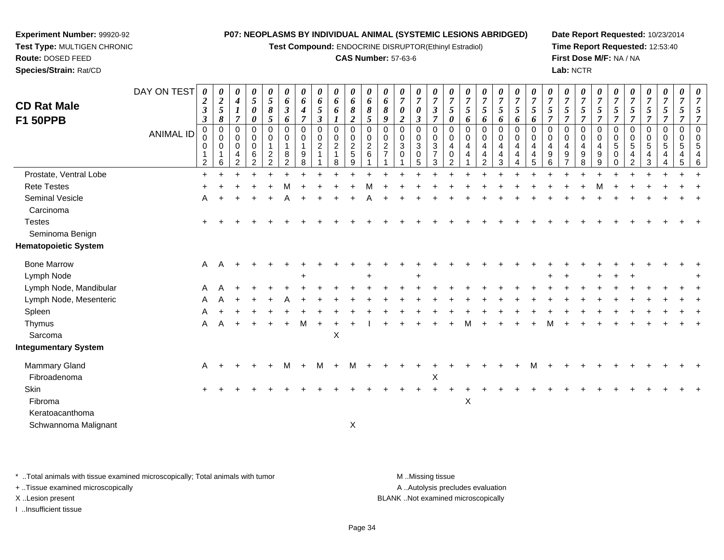**Test Compound:** ENDOCRINE DISRUPTOR(Ethinyl Estradiol)

### **CAS Number:** 57-63-6

**Date Report Requested:** 10/23/2014**Time Report Requested:** 12:53:40**First Dose M/F:** NA / NA**Lab:** NCTR

|                                        | DAY ON TEST      | 0                                                          | 0                                       | 0                                                      | 0                                                                | 0                                         | 0                                | 0                                       | 0                                           | $\boldsymbol{\theta}$                                             | 0                                           | 0                             | 0                              | 0                                                           | $\boldsymbol{\theta}$                                    | $\boldsymbol{\theta}$                       | $\boldsymbol{\theta}$              | $\boldsymbol{\theta}$    | 0                                     | 0                                                                            | 0                                        | 0                                  | $\boldsymbol{\theta}$    | 0                                        | 0                                                  | $\boldsymbol{\theta}$                              | 0                                                  | 0                                     | 0                                        | 0                                                  | $\boldsymbol{\theta}$           |                           |
|----------------------------------------|------------------|------------------------------------------------------------|-----------------------------------------|--------------------------------------------------------|------------------------------------------------------------------|-------------------------------------------|----------------------------------|-----------------------------------------|---------------------------------------------|-------------------------------------------------------------------|---------------------------------------------|-------------------------------|--------------------------------|-------------------------------------------------------------|----------------------------------------------------------|---------------------------------------------|------------------------------------|--------------------------|---------------------------------------|------------------------------------------------------------------------------|------------------------------------------|------------------------------------|--------------------------|------------------------------------------|----------------------------------------------------|----------------------------------------------------|----------------------------------------------------|---------------------------------------|------------------------------------------|----------------------------------------------------|---------------------------------|---------------------------|
| <b>CD Rat Male</b><br><b>F1 50PPB</b>  |                  | $\boldsymbol{2}$<br>$\mathfrak{z}$<br>$\boldsymbol{\beta}$ | $\boldsymbol{2}$<br>$\mathfrak{s}$<br>8 | $\boldsymbol{4}$<br>$\boldsymbol{l}$<br>$\overline{7}$ | $\mathfrak{H}$<br>$\boldsymbol{\theta}$<br>$\boldsymbol{\theta}$ | $\sqrt{5}$<br>8<br>5                      | 6<br>$\mathfrak{z}$<br>6         | 6<br>$\boldsymbol{4}$<br>$\overline{7}$ | 6<br>$\mathfrak{I}$<br>$\boldsymbol{\beta}$ | 6<br>6<br>$\boldsymbol{l}$                                        | 6<br>8<br>2                                 | 6<br>8<br>5                   | 6<br>8<br>9                    | $\overline{7}$<br>$\boldsymbol{\theta}$<br>$\boldsymbol{2}$ | $\overline{7}$<br>$\pmb{\theta}$<br>$\boldsymbol{\beta}$ | $\overline{7}$<br>$\boldsymbol{\beta}$<br>7 | $\overline{7}$<br>5<br>0           | $\overline{7}$<br>5<br>6 | $\overline{7}$<br>$\mathfrak{H}$<br>6 | $\overline{7}$<br>5<br>6                                                     | $\boldsymbol{7}$<br>$5\overline{)}$<br>6 | $\overline{7}$<br>5<br>6           | $\overline{7}$<br>5<br>7 | $\overline{7}$<br>5<br>$\overline{\tau}$ | $\overline{7}$<br>$\mathfrak{s}$<br>$\overline{7}$ | $\overline{7}$<br>$\mathfrak{s}$<br>$\overline{7}$ | $\overline{7}$<br>$\mathfrak{s}$<br>$\overline{7}$ | $\overline{7}$<br>5<br>$\overline{7}$ | $\overline{7}$<br>5<br>$\overline{\tau}$ | $\overline{7}$<br>$\mathfrak{H}$<br>$\overline{7}$ | $\overline{7}$<br>5<br>7        | 7<br>7                    |
|                                        | <b>ANIMAL ID</b> | 0<br>0<br>0<br>2                                           | $\mathbf 0$<br>0<br>$\pmb{0}$<br>6      | 0<br>0<br>$\mathbf 0$<br>4<br>2                        | $\mathbf 0$<br>0<br>$\mathbf 0$<br>6<br>$\overline{2}$           | $\Omega$<br>0<br>1<br>$\overline{c}$<br>2 | 0<br>0<br>$\mathbf{1}$<br>8<br>2 | $\mathbf 0$<br>0<br>9<br>8              | 0<br>$\mathbf 0$<br>$\overline{2}$<br>1     | $\mathbf 0$<br>$\mathbf 0$<br>$\overline{c}$<br>$\mathbf{1}$<br>8 | 0<br>0<br>$\overline{\mathbf{c}}$<br>5<br>9 | 0<br>0<br>$\overline{c}$<br>6 | $\mathbf 0$<br>0<br>$\sqrt{2}$ | $\mathbf 0$<br>$\mathbf 0$<br>$\sqrt{3}$<br>$\mathbf 0$     | $\mathbf 0$<br>0<br>$\ensuremath{\mathsf{3}}$<br>0<br>5  | $\Omega$<br>0<br>3<br>$\overline{7}$<br>3   | 0<br>0<br>4<br>0<br>$\mathfrak{p}$ | 0<br>0<br>4<br>4         | 0<br>0<br>$\overline{4}$<br>4<br>2    | $\mathbf 0$<br>$\mathbf 0$<br>$\overline{\mathbf{4}}$<br>$\overline{4}$<br>3 | 0<br>$\mathbf 0$<br>4<br>4               | 0<br>0<br>$\overline{4}$<br>4<br>5 | 0<br>0<br>4<br>9<br>6    | 0<br>0<br>4<br>9                         | $\mathbf 0$<br>0<br>$\overline{4}$<br>9<br>8       | $\Omega$<br>0<br>$\overline{4}$<br>9<br>9          | 0<br>0<br>5<br>0<br>∩                              | 0<br>0<br>5<br>4<br>2                 | 0<br>0<br>$5\phantom{.0}$<br>4<br>3      | $\mathbf 0$<br>0<br>$\,$ 5 $\,$<br>4<br>4          | 0<br>0<br>$\mathbf 5$<br>4<br>5 | $\Omega$<br>$\Omega$<br>5 |
| Prostate, Ventral Lobe                 |                  | $\ddot{}$                                                  |                                         |                                                        |                                                                  |                                           |                                  |                                         |                                             |                                                                   |                                             |                               |                                |                                                             |                                                          |                                             |                                    |                          |                                       |                                                                              |                                          |                                    |                          |                                          |                                                    |                                                    |                                                    |                                       |                                          |                                                    |                                 |                           |
| <b>Rete Testes</b>                     |                  |                                                            |                                         |                                                        |                                                                  |                                           |                                  |                                         |                                             |                                                                   |                                             |                               |                                |                                                             |                                                          |                                             |                                    |                          |                                       |                                                                              |                                          |                                    |                          |                                          |                                                    |                                                    |                                                    |                                       |                                          |                                                    |                                 |                           |
| Seminal Vesicle<br>Carcinoma           |                  | A                                                          |                                         |                                                        |                                                                  |                                           |                                  |                                         |                                             |                                                                   |                                             |                               |                                |                                                             |                                                          |                                             |                                    |                          |                                       |                                                                              |                                          |                                    |                          |                                          |                                                    |                                                    |                                                    |                                       |                                          |                                                    |                                 |                           |
| <b>Testes</b><br>Seminoma Benign       |                  |                                                            |                                         |                                                        |                                                                  |                                           |                                  |                                         |                                             |                                                                   |                                             |                               |                                |                                                             |                                                          |                                             |                                    |                          |                                       |                                                                              |                                          |                                    |                          |                                          |                                                    |                                                    |                                                    |                                       |                                          |                                                    |                                 |                           |
| <b>Hematopoietic System</b>            |                  |                                                            |                                         |                                                        |                                                                  |                                           |                                  |                                         |                                             |                                                                   |                                             |                               |                                |                                                             |                                                          |                                             |                                    |                          |                                       |                                                                              |                                          |                                    |                          |                                          |                                                    |                                                    |                                                    |                                       |                                          |                                                    |                                 |                           |
| <b>Bone Marrow</b>                     |                  | A                                                          | A                                       |                                                        |                                                                  |                                           |                                  |                                         |                                             |                                                                   |                                             |                               |                                |                                                             |                                                          |                                             |                                    |                          |                                       |                                                                              |                                          |                                    |                          |                                          |                                                    |                                                    |                                                    |                                       |                                          |                                                    |                                 |                           |
| Lymph Node                             |                  |                                                            |                                         |                                                        |                                                                  |                                           |                                  |                                         |                                             |                                                                   |                                             |                               |                                |                                                             |                                                          |                                             |                                    |                          |                                       |                                                                              |                                          |                                    |                          |                                          |                                                    |                                                    |                                                    |                                       |                                          |                                                    |                                 |                           |
| Lymph Node, Mandibular                 |                  |                                                            |                                         |                                                        |                                                                  |                                           |                                  |                                         |                                             |                                                                   |                                             |                               |                                |                                                             |                                                          |                                             |                                    |                          |                                       |                                                                              |                                          |                                    |                          |                                          |                                                    |                                                    |                                                    |                                       |                                          |                                                    |                                 |                           |
| Lymph Node, Mesenteric                 |                  | Α                                                          |                                         |                                                        |                                                                  |                                           |                                  |                                         |                                             |                                                                   |                                             |                               |                                |                                                             |                                                          |                                             |                                    |                          |                                       |                                                                              |                                          |                                    |                          |                                          |                                                    |                                                    |                                                    |                                       |                                          |                                                    |                                 |                           |
| Spleen                                 |                  |                                                            |                                         |                                                        |                                                                  |                                           |                                  |                                         |                                             |                                                                   |                                             |                               |                                |                                                             |                                                          |                                             |                                    |                          |                                       |                                                                              |                                          |                                    |                          |                                          |                                                    |                                                    |                                                    |                                       |                                          |                                                    |                                 |                           |
| Thymus                                 |                  | Α                                                          |                                         |                                                        |                                                                  |                                           |                                  | M                                       |                                             |                                                                   |                                             |                               |                                |                                                             |                                                          |                                             |                                    |                          |                                       |                                                                              |                                          |                                    |                          |                                          |                                                    |                                                    |                                                    |                                       |                                          |                                                    |                                 |                           |
| Sarcoma<br><b>Integumentary System</b> |                  |                                                            |                                         |                                                        |                                                                  |                                           |                                  |                                         |                                             | X                                                                 |                                             |                               |                                |                                                             |                                                          |                                             |                                    |                          |                                       |                                                                              |                                          |                                    |                          |                                          |                                                    |                                                    |                                                    |                                       |                                          |                                                    |                                 |                           |
| <b>Mammary Gland</b>                   |                  | Α                                                          |                                         |                                                        |                                                                  |                                           | м                                |                                         | м                                           | $\ddot{}$                                                         | М                                           |                               |                                |                                                             |                                                          |                                             |                                    |                          |                                       |                                                                              |                                          |                                    |                          |                                          |                                                    |                                                    |                                                    |                                       |                                          |                                                    |                                 |                           |
| Fibroadenoma                           |                  |                                                            |                                         |                                                        |                                                                  |                                           |                                  |                                         |                                             |                                                                   |                                             |                               |                                |                                                             |                                                          | X                                           |                                    |                          |                                       |                                                                              |                                          |                                    |                          |                                          |                                                    |                                                    |                                                    |                                       |                                          |                                                    |                                 |                           |
| Skin                                   |                  | $\ddot{}$                                                  |                                         |                                                        |                                                                  |                                           |                                  |                                         |                                             |                                                                   |                                             |                               |                                |                                                             |                                                          |                                             |                                    |                          |                                       |                                                                              |                                          |                                    |                          |                                          |                                                    |                                                    |                                                    |                                       |                                          |                                                    |                                 |                           |
| Fibroma                                |                  |                                                            |                                         |                                                        |                                                                  |                                           |                                  |                                         |                                             |                                                                   |                                             |                               |                                |                                                             |                                                          |                                             |                                    | X                        |                                       |                                                                              |                                          |                                    |                          |                                          |                                                    |                                                    |                                                    |                                       |                                          |                                                    |                                 |                           |
| Keratoacanthoma                        |                  |                                                            |                                         |                                                        |                                                                  |                                           |                                  |                                         |                                             |                                                                   |                                             |                               |                                |                                                             |                                                          |                                             |                                    |                          |                                       |                                                                              |                                          |                                    |                          |                                          |                                                    |                                                    |                                                    |                                       |                                          |                                                    |                                 |                           |
| Schwannoma Malignant                   |                  |                                                            |                                         |                                                        |                                                                  |                                           |                                  |                                         |                                             |                                                                   | $\boldsymbol{\mathsf{X}}$                   |                               |                                |                                                             |                                                          |                                             |                                    |                          |                                       |                                                                              |                                          |                                    |                          |                                          |                                                    |                                                    |                                                    |                                       |                                          |                                                    |                                 |                           |

\* ..Total animals with tissue examined microscopically; Total animals with tumor **M** . Missing tissue M ..Missing tissue

+ ..Tissue examined microscopically

**Experiment Number:** 99920-92**Test Type:** MULTIGEN CHRONIC

**Route:** DOSED FEED**Species/Strain:** Rat/CD

I ..Insufficient tissue

A ..Autolysis precludes evaluation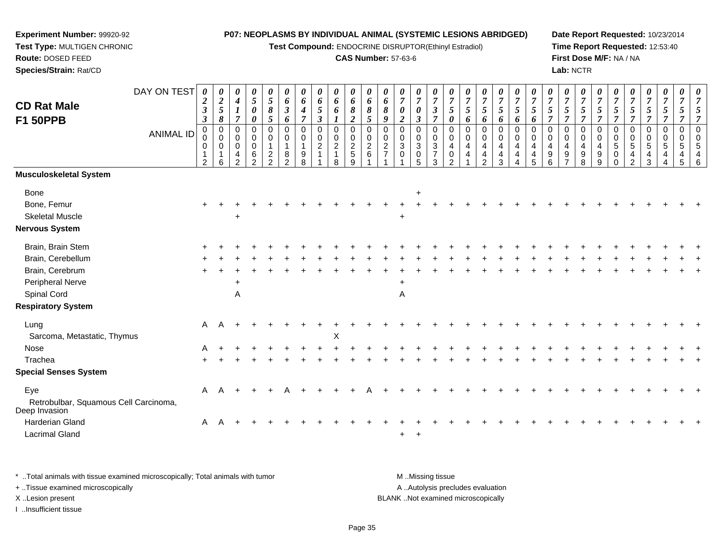**Test Compound:** ENDOCRINE DISRUPTOR(Ethinyl Estradiol)

#### **CAS Number:** 57-63-6

**Date Report Requested:** 10/23/2014**Time Report Requested:** 12:53:40**First Dose M/F:** NA / NA**Lab:** NCTR

| <b>CD Rat Male</b><br><b>F1 50PPB</b>                         | DAY ON TEST<br><b>ANIMAL ID</b> | 0<br>$\boldsymbol{2}$<br>$\mathfrak{z}$<br>$\boldsymbol{\beta}$<br>$\pmb{0}$<br>0<br>0<br>1<br>$\overline{2}$ | $\boldsymbol{\theta}$<br>$\boldsymbol{2}$<br>5<br>8<br>$\mathbf 0$<br>$\mathbf 0$<br>$\mathbf 0$<br>1<br>6 | 0<br>$\boldsymbol{4}$<br>$\boldsymbol{l}$<br>$\overline{\tau}$<br>$\mathbf 0$<br>$\mathbf 0$<br>0<br>4<br>$\mathfrak{p}$ | 0<br>$\sqrt{5}$<br>0<br>$\boldsymbol{\theta}$<br>$\mathbf 0$<br>0<br>0<br>$\,6\,$<br>2 | 0<br>$\mathfrak{s}$<br>$\pmb{8}$<br>5<br>$\mathbf 0$<br>$\mathbf 0$<br>$\mathbf 1$<br>$\overline{c}$<br>$\mathcal{P}$ | 0<br>6<br>$\boldsymbol{\beta}$<br>6<br>$\mathbf 0$<br>$\mathbf 0$<br>$\mathbf{1}$<br>8<br>$\mathfrak{p}$ | 0<br>6<br>$\boldsymbol{4}$<br>7<br>$\mathbf 0$<br>0<br>9<br>8 | 0<br>6<br>5<br>$\boldsymbol{\beta}$<br>0<br>0<br>$\overline{a}$<br>1 | 0<br>6<br>6<br>0<br>0<br>$\boldsymbol{2}$<br>8 | 0<br>6<br>$\pmb{8}$<br>$\boldsymbol{2}$<br>$\boldsymbol{0}$<br>$\begin{array}{c} 0 \\ 2 \\ 5 \end{array}$<br>9 | $\boldsymbol{\theta}$<br>6<br>8<br>$\mathfrak{s}$<br>$\mathbf 0$<br>$\mathbf 0$<br>$\overline{c}$<br>6 | 0<br>6<br>8<br>9<br>$\Omega$<br>0<br>$\overline{c}$<br>$\overline{7}$ | 0<br>$\overline{7}$<br>0<br>$\overline{2}$<br>$\mathbf 0$<br>0<br>$\mathbf{3}$<br>$\mathbf 0$ | 0<br>$\overline{7}$<br>0<br>$\boldsymbol{\beta}$<br>0<br>0<br>$\mathbf{3}$<br>$\boldsymbol{0}$<br>$5\phantom{.0}$ | 0<br>$\overline{7}$<br>$\boldsymbol{\beta}$<br>$\overline{7}$<br>$\pmb{0}$<br>$\mathbf 0$<br>$\frac{3}{7}$<br>3 | $\boldsymbol{\theta}$<br>$\overline{7}$<br>$5\overline{)}$<br>$\boldsymbol{\theta}$<br>$\mathbf 0$<br>$\mathbf 0$<br>4<br>0<br>$\mathcal{P}$ | $\boldsymbol{\theta}$<br>$\overline{7}$<br>$\sqrt{5}$<br>6<br>$\mathbf 0$<br>$\pmb{0}$<br>4<br>4 | 0<br>$\overline{7}$<br>5<br>6<br>$\mathbf 0$<br>0<br>4<br>4<br>$\mathfrak{D}$ | 0<br>$\boldsymbol{7}$<br>$5\overline{)}$<br>6<br>$\mathbf 0$<br>0<br>4<br>$\overline{\mathbf{4}}$<br>3 | 0<br>$\overline{7}$<br>$\overline{5}$<br>6<br>$\mathsf 0$<br>$\mathbf 0$<br>$\overline{4}$<br>$\overline{4}$<br>4 | $\boldsymbol{\theta}$<br>$\overline{7}$<br>5<br>6<br>$\mathbf 0$<br>0<br>4<br>4<br>5 | $\overline{7}$<br>5<br>$\mathbf 0$<br>$\mathbf 0$<br>4<br>9<br>6 | $\overline{7}$<br>5<br>$\overline{7}$<br>$\mathbf 0$<br>$\mathbf 0$<br>4<br>9 | $\pmb{\theta}$<br>$\overline{7}$<br>$\mathfrak{s}$<br>$\overline{7}$<br>$\mathbf 0$<br>0<br>$\overline{4}$<br>$\boldsymbol{9}$<br>8 | 0<br>$\overline{7}$<br>5<br>$\overline{7}$<br>$\mathbf 0$<br>$\mathbf 0$<br>$\overline{4}$<br>$\boldsymbol{9}$<br>9 | 0<br>$\overline{7}$<br>5<br>$\overline{7}$<br>0<br>0<br>5<br>0<br><sup>0</sup> | 5<br>0<br>0<br>5<br>4<br>$\mathcal{P}$ | $\boldsymbol{\theta}$<br>$\overline{7}$<br>5<br>$\mathbf 0$<br>0<br>$\,$ 5 $\,$<br>4<br>3 | 0<br>$\overline{7}$<br>$\mathfrak{H}$<br>$\overline{7}$<br>$\mathbf 0$<br>$\mathbf 0$<br>$\sqrt{5}$<br>4 | 0<br>$\overline{7}$<br>5<br>$\mathbf 0$<br>$\mathbf 0$<br>$\sqrt{5}$<br>$\overline{4}$<br>5 |  |
|---------------------------------------------------------------|---------------------------------|---------------------------------------------------------------------------------------------------------------|------------------------------------------------------------------------------------------------------------|--------------------------------------------------------------------------------------------------------------------------|----------------------------------------------------------------------------------------|-----------------------------------------------------------------------------------------------------------------------|----------------------------------------------------------------------------------------------------------|---------------------------------------------------------------|----------------------------------------------------------------------|------------------------------------------------|----------------------------------------------------------------------------------------------------------------|--------------------------------------------------------------------------------------------------------|-----------------------------------------------------------------------|-----------------------------------------------------------------------------------------------|-------------------------------------------------------------------------------------------------------------------|-----------------------------------------------------------------------------------------------------------------|----------------------------------------------------------------------------------------------------------------------------------------------|--------------------------------------------------------------------------------------------------|-------------------------------------------------------------------------------|--------------------------------------------------------------------------------------------------------|-------------------------------------------------------------------------------------------------------------------|--------------------------------------------------------------------------------------|------------------------------------------------------------------|-------------------------------------------------------------------------------|-------------------------------------------------------------------------------------------------------------------------------------|---------------------------------------------------------------------------------------------------------------------|--------------------------------------------------------------------------------|----------------------------------------|-------------------------------------------------------------------------------------------|----------------------------------------------------------------------------------------------------------|---------------------------------------------------------------------------------------------|--|
| Musculoskeletal System                                        |                                 |                                                                                                               |                                                                                                            |                                                                                                                          |                                                                                        |                                                                                                                       |                                                                                                          |                                                               |                                                                      |                                                |                                                                                                                |                                                                                                        |                                                                       |                                                                                               |                                                                                                                   |                                                                                                                 |                                                                                                                                              |                                                                                                  |                                                                               |                                                                                                        |                                                                                                                   |                                                                                      |                                                                  |                                                                               |                                                                                                                                     |                                                                                                                     |                                                                                |                                        |                                                                                           |                                                                                                          |                                                                                             |  |
| Bone                                                          |                                 |                                                                                                               |                                                                                                            |                                                                                                                          |                                                                                        |                                                                                                                       |                                                                                                          |                                                               |                                                                      |                                                |                                                                                                                |                                                                                                        |                                                                       |                                                                                               | $\ddot{}$                                                                                                         |                                                                                                                 |                                                                                                                                              |                                                                                                  |                                                                               |                                                                                                        |                                                                                                                   |                                                                                      |                                                                  |                                                                               |                                                                                                                                     |                                                                                                                     |                                                                                |                                        |                                                                                           |                                                                                                          |                                                                                             |  |
| Bone, Femur                                                   |                                 |                                                                                                               |                                                                                                            |                                                                                                                          |                                                                                        |                                                                                                                       |                                                                                                          |                                                               |                                                                      |                                                |                                                                                                                |                                                                                                        |                                                                       |                                                                                               |                                                                                                                   |                                                                                                                 |                                                                                                                                              |                                                                                                  |                                                                               |                                                                                                        |                                                                                                                   |                                                                                      |                                                                  |                                                                               |                                                                                                                                     |                                                                                                                     |                                                                                |                                        |                                                                                           |                                                                                                          |                                                                                             |  |
| <b>Skeletal Muscle</b>                                        |                                 |                                                                                                               |                                                                                                            | $\ddot{}$                                                                                                                |                                                                                        |                                                                                                                       |                                                                                                          |                                                               |                                                                      |                                                |                                                                                                                |                                                                                                        |                                                                       | $\ddot{}$                                                                                     |                                                                                                                   |                                                                                                                 |                                                                                                                                              |                                                                                                  |                                                                               |                                                                                                        |                                                                                                                   |                                                                                      |                                                                  |                                                                               |                                                                                                                                     |                                                                                                                     |                                                                                |                                        |                                                                                           |                                                                                                          |                                                                                             |  |
| Nervous System                                                |                                 |                                                                                                               |                                                                                                            |                                                                                                                          |                                                                                        |                                                                                                                       |                                                                                                          |                                                               |                                                                      |                                                |                                                                                                                |                                                                                                        |                                                                       |                                                                                               |                                                                                                                   |                                                                                                                 |                                                                                                                                              |                                                                                                  |                                                                               |                                                                                                        |                                                                                                                   |                                                                                      |                                                                  |                                                                               |                                                                                                                                     |                                                                                                                     |                                                                                |                                        |                                                                                           |                                                                                                          |                                                                                             |  |
| Brain, Brain Stem                                             |                                 |                                                                                                               |                                                                                                            |                                                                                                                          |                                                                                        |                                                                                                                       |                                                                                                          |                                                               |                                                                      |                                                |                                                                                                                |                                                                                                        |                                                                       |                                                                                               |                                                                                                                   |                                                                                                                 |                                                                                                                                              |                                                                                                  |                                                                               |                                                                                                        |                                                                                                                   |                                                                                      |                                                                  |                                                                               |                                                                                                                                     |                                                                                                                     |                                                                                |                                        |                                                                                           |                                                                                                          |                                                                                             |  |
| Brain, Cerebellum                                             |                                 |                                                                                                               |                                                                                                            |                                                                                                                          |                                                                                        |                                                                                                                       |                                                                                                          |                                                               |                                                                      |                                                |                                                                                                                |                                                                                                        |                                                                       |                                                                                               |                                                                                                                   |                                                                                                                 |                                                                                                                                              |                                                                                                  |                                                                               |                                                                                                        |                                                                                                                   |                                                                                      |                                                                  |                                                                               |                                                                                                                                     |                                                                                                                     |                                                                                |                                        |                                                                                           |                                                                                                          |                                                                                             |  |
| Brain, Cerebrum                                               |                                 |                                                                                                               |                                                                                                            |                                                                                                                          |                                                                                        |                                                                                                                       |                                                                                                          |                                                               |                                                                      |                                                |                                                                                                                |                                                                                                        |                                                                       |                                                                                               |                                                                                                                   |                                                                                                                 |                                                                                                                                              |                                                                                                  |                                                                               |                                                                                                        |                                                                                                                   |                                                                                      |                                                                  |                                                                               |                                                                                                                                     |                                                                                                                     |                                                                                |                                        |                                                                                           |                                                                                                          |                                                                                             |  |
| Peripheral Nerve                                              |                                 |                                                                                                               |                                                                                                            | $\ddot{}$                                                                                                                |                                                                                        |                                                                                                                       |                                                                                                          |                                                               |                                                                      |                                                |                                                                                                                |                                                                                                        |                                                                       | $\ddot{}$                                                                                     |                                                                                                                   |                                                                                                                 |                                                                                                                                              |                                                                                                  |                                                                               |                                                                                                        |                                                                                                                   |                                                                                      |                                                                  |                                                                               |                                                                                                                                     |                                                                                                                     |                                                                                |                                        |                                                                                           |                                                                                                          |                                                                                             |  |
| Spinal Cord                                                   |                                 |                                                                                                               |                                                                                                            | A                                                                                                                        |                                                                                        |                                                                                                                       |                                                                                                          |                                                               |                                                                      |                                                |                                                                                                                |                                                                                                        |                                                                       | $\mathsf A$                                                                                   |                                                                                                                   |                                                                                                                 |                                                                                                                                              |                                                                                                  |                                                                               |                                                                                                        |                                                                                                                   |                                                                                      |                                                                  |                                                                               |                                                                                                                                     |                                                                                                                     |                                                                                |                                        |                                                                                           |                                                                                                          |                                                                                             |  |
| <b>Respiratory System</b>                                     |                                 |                                                                                                               |                                                                                                            |                                                                                                                          |                                                                                        |                                                                                                                       |                                                                                                          |                                                               |                                                                      |                                                |                                                                                                                |                                                                                                        |                                                                       |                                                                                               |                                                                                                                   |                                                                                                                 |                                                                                                                                              |                                                                                                  |                                                                               |                                                                                                        |                                                                                                                   |                                                                                      |                                                                  |                                                                               |                                                                                                                                     |                                                                                                                     |                                                                                |                                        |                                                                                           |                                                                                                          |                                                                                             |  |
| Lung                                                          |                                 | $\mathsf{A}$                                                                                                  |                                                                                                            |                                                                                                                          |                                                                                        |                                                                                                                       |                                                                                                          |                                                               |                                                                      |                                                |                                                                                                                |                                                                                                        |                                                                       |                                                                                               |                                                                                                                   |                                                                                                                 |                                                                                                                                              |                                                                                                  |                                                                               |                                                                                                        |                                                                                                                   |                                                                                      |                                                                  |                                                                               |                                                                                                                                     |                                                                                                                     |                                                                                |                                        |                                                                                           |                                                                                                          |                                                                                             |  |
| Sarcoma, Metastatic, Thymus                                   |                                 |                                                                                                               |                                                                                                            |                                                                                                                          |                                                                                        |                                                                                                                       |                                                                                                          |                                                               |                                                                      | X                                              |                                                                                                                |                                                                                                        |                                                                       |                                                                                               |                                                                                                                   |                                                                                                                 |                                                                                                                                              |                                                                                                  |                                                                               |                                                                                                        |                                                                                                                   |                                                                                      |                                                                  |                                                                               |                                                                                                                                     |                                                                                                                     |                                                                                |                                        |                                                                                           |                                                                                                          |                                                                                             |  |
| Nose                                                          |                                 | A                                                                                                             |                                                                                                            |                                                                                                                          |                                                                                        |                                                                                                                       |                                                                                                          |                                                               |                                                                      |                                                |                                                                                                                |                                                                                                        |                                                                       |                                                                                               |                                                                                                                   |                                                                                                                 |                                                                                                                                              |                                                                                                  |                                                                               |                                                                                                        |                                                                                                                   |                                                                                      |                                                                  |                                                                               |                                                                                                                                     |                                                                                                                     |                                                                                |                                        |                                                                                           |                                                                                                          |                                                                                             |  |
| Trachea                                                       |                                 | $\ddot{}$                                                                                                     |                                                                                                            |                                                                                                                          |                                                                                        |                                                                                                                       |                                                                                                          |                                                               |                                                                      |                                                |                                                                                                                |                                                                                                        |                                                                       |                                                                                               |                                                                                                                   |                                                                                                                 |                                                                                                                                              |                                                                                                  |                                                                               |                                                                                                        |                                                                                                                   |                                                                                      |                                                                  |                                                                               |                                                                                                                                     |                                                                                                                     |                                                                                |                                        |                                                                                           |                                                                                                          |                                                                                             |  |
| <b>Special Senses System</b>                                  |                                 |                                                                                                               |                                                                                                            |                                                                                                                          |                                                                                        |                                                                                                                       |                                                                                                          |                                                               |                                                                      |                                                |                                                                                                                |                                                                                                        |                                                                       |                                                                                               |                                                                                                                   |                                                                                                                 |                                                                                                                                              |                                                                                                  |                                                                               |                                                                                                        |                                                                                                                   |                                                                                      |                                                                  |                                                                               |                                                                                                                                     |                                                                                                                     |                                                                                |                                        |                                                                                           |                                                                                                          |                                                                                             |  |
| Eye<br>Retrobulbar, Squamous Cell Carcinoma,<br>Deep Invasion |                                 | A                                                                                                             |                                                                                                            |                                                                                                                          |                                                                                        |                                                                                                                       |                                                                                                          |                                                               |                                                                      |                                                |                                                                                                                |                                                                                                        |                                                                       |                                                                                               |                                                                                                                   |                                                                                                                 |                                                                                                                                              |                                                                                                  |                                                                               |                                                                                                        |                                                                                                                   |                                                                                      |                                                                  |                                                                               |                                                                                                                                     |                                                                                                                     |                                                                                |                                        |                                                                                           |                                                                                                          |                                                                                             |  |

\* ..Total animals with tissue examined microscopically; Total animals with tumor **M** ...Missing tissue M ...Missing tissue

 $\alpha$ 

+ ..Tissue examined microscopically

d A

**Experiment Number:** 99920-92**Test Type:** MULTIGEN CHRONIC

**Route:** DOSED FEED**Species/Strain:** Rat/CD

I ..Insufficient tissue

Harderian Gland

Lacrimal Gland

A .. Autolysis precludes evaluation X ..Lesion present BLANK ..Not examined microscopically

<sup>+</sup>

<sup>A</sup> <sup>+</sup> <sup>+</sup> <sup>+</sup> <sup>+</sup> <sup>+</sup> <sup>+</sup> <sup>+</sup> <sup>+</sup> <sup>+</sup> <sup>+</sup> <sup>+</sup> <sup>+</sup> <sup>+</sup> <sup>+</sup> <sup>+</sup> <sup>+</sup> <sup>+</sup> <sup>+</sup> <sup>+</sup> <sup>+</sup> <sup>+</sup> <sup>+</sup> <sup>+</sup> <sup>+</sup> <sup>+</sup> <sup>+</sup> <sup>+</sup> <sup>+</sup> <sup>+</sup>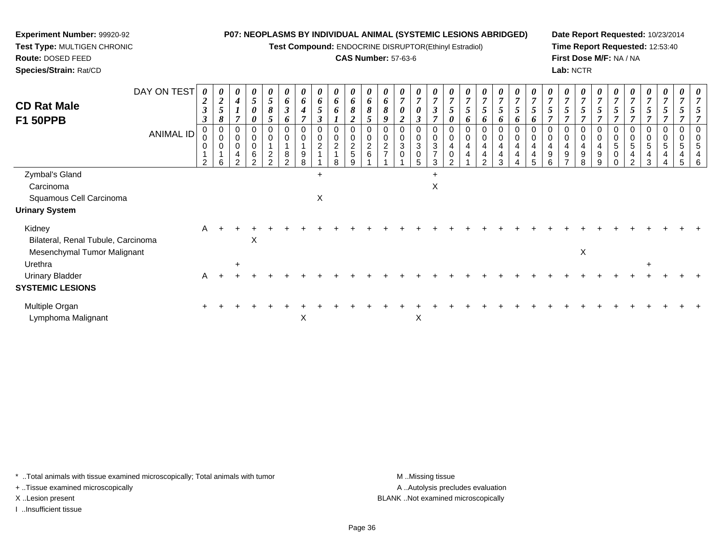**Test Compound:** ENDOCRINE DISRUPTOR(Ethinyl Estradiol)

# **CAS Number:** 57-63-6

**Date Report Requested:** 10/23/2014**Time Report Requested:** 12:53:40**First Dose M/F:** NA / NA**Lab:** NCTR

| <b>CD Rat Male</b><br><b>F1 50PPB</b>        | DAY ON TEST | $\boldsymbol{\theta}$<br>$\boldsymbol{2}$<br>$\boldsymbol{\beta}$<br>3 | 0<br>$\sqrt{2}$<br>5<br>8                                    | 0<br>$\boldsymbol{4}$<br>$\overline{ }$    | 0<br>$\mathfrak{H}$<br>0<br>0 | 0<br>5<br>8<br>5                                                     | $\boldsymbol{\theta}$<br>6<br>$\boldsymbol{\beta}$<br>6 | $\boldsymbol{\theta}$<br>6<br>$\boldsymbol{4}$<br>$\overline{ }$ | $\boldsymbol{\theta}$<br>$\pmb{6}$<br>$\mathfrak{s}$<br>$\boldsymbol{\beta}$ | 0<br>6<br>6                                       | 0<br>6<br>8<br>$\overline{2}$                  | $\boldsymbol{\theta}$<br>6<br>$\Omega$<br>5 | $\boldsymbol{\theta}$<br>6<br>8<br>9 | $\boldsymbol{\theta}$<br>$\overline{7}$<br>$\boldsymbol{\theta}$<br>$\boldsymbol{2}$ | 0<br>$\overline{7}$<br>0<br>3                           | 0<br>$\overline{7}$<br>3<br>$\overline{ }$                 | U<br>0      | $\boldsymbol{\theta}$<br>$\overline{7}$<br>0 | $\boldsymbol{\theta}$<br>$\overline{7}$<br>5<br>6 | 0<br>$\overline{7}$<br>$5\overline{)}$<br>6 | $\frac{\boldsymbol{\theta}}{\boldsymbol{7}}$<br>5<br>6 | U<br>$\overline{ }$<br>n | $\boldsymbol{\theta}$<br>$\overline{ }$ | $\boldsymbol{\theta}$<br>$\overline{7}$<br>5<br>$\overline{ }$ | 0<br>$\overline{7}$<br>5<br>$\overline{ }$ | 0<br>$\overline{ }$ | 5<br>$\overline{ }$ | $\boldsymbol{\theta}$<br>$\overline{7}$<br>5 | 0<br>$\overline{7}$<br>5<br>7  | $\boldsymbol{\theta}$<br>$\overline{7}$<br>5 | 0<br>$\overline{ }$ |  |
|----------------------------------------------|-------------|------------------------------------------------------------------------|--------------------------------------------------------------|--------------------------------------------|-------------------------------|----------------------------------------------------------------------|---------------------------------------------------------|------------------------------------------------------------------|------------------------------------------------------------------------------|---------------------------------------------------|------------------------------------------------|---------------------------------------------|--------------------------------------|--------------------------------------------------------------------------------------|---------------------------------------------------------|------------------------------------------------------------|-------------|----------------------------------------------|---------------------------------------------------|---------------------------------------------|--------------------------------------------------------|--------------------------|-----------------------------------------|----------------------------------------------------------------|--------------------------------------------|---------------------|---------------------|----------------------------------------------|--------------------------------|----------------------------------------------|---------------------|--|
|                                              | ANIMAL ID   | 0<br>0<br>0<br>$\overline{2}$                                          | $\pmb{0}$<br>$\mathbf 0$<br>$\mathbf 0$<br>$\mathbf{1}$<br>6 | 0<br>$\mathbf 0$<br>0<br>4<br><sup>o</sup> | $\pmb{0}$<br>$\mathbf 0$<br>6 | 0<br>$\pmb{0}$<br>$\overline{A}$<br>$\overline{c}$<br>$\mathfrak{p}$ | 0<br>0<br>8<br>2                                        | 0<br>9<br>8                                                      | 0<br>0<br>$\overline{c}$                                                     | $\mathbf 0$<br>$\boldsymbol{2}$<br>$\overline{1}$ | $\mathbf 0$<br>$\pmb{0}$<br>$\frac{2}{5}$<br>9 | 0<br>$\boldsymbol{2}$<br>6                  | $\mathbf 0$<br>$\overline{2}$        | 0<br>$\mathbf 0$<br>3<br>0                                                           | $\mathbf 0$<br>$\ensuremath{\mathsf{3}}$<br>$\mathbf 0$ | 0<br>0<br>$\ensuremath{\mathsf{3}}$<br>$\overline{7}$<br>3 | 0<br>4<br>0 | 0<br>4<br>4                                  | $\mathbf 0$<br>4<br>4<br><sub>2</sub>             | $\mathbf 0$<br>4<br>4<br>3                  | $\mathbf 0$<br>0<br>4<br>4                             | 0<br>4<br>4              | 0<br>4<br>9                             | 0<br>4<br>9                                                    | 0<br>4<br>9<br>8                           | 0<br>4<br>9<br>9    | 0<br>5              | 0<br>0<br>5<br>4<br>$\mathcal{P}$            | 0<br>$5\phantom{.0}$<br>4<br>3 | $\mathbf 0$<br>5                             | 0                   |  |
| Zymbal's Gland                               |             |                                                                        |                                                              |                                            |                               |                                                                      |                                                         |                                                                  | $\ddot{}$                                                                    |                                                   |                                                |                                             |                                      |                                                                                      |                                                         | $\ddot{}$                                                  |             |                                              |                                                   |                                             |                                                        |                          |                                         |                                                                |                                            |                     |                     |                                              |                                |                                              |                     |  |
| Carcinoma                                    |             |                                                                        |                                                              |                                            |                               |                                                                      |                                                         |                                                                  |                                                                              |                                                   |                                                |                                             |                                      |                                                                                      |                                                         | Χ                                                          |             |                                              |                                                   |                                             |                                                        |                          |                                         |                                                                |                                            |                     |                     |                                              |                                |                                              |                     |  |
| Squamous Cell Carcinoma                      |             |                                                                        |                                                              |                                            |                               |                                                                      |                                                         |                                                                  | Χ                                                                            |                                                   |                                                |                                             |                                      |                                                                                      |                                                         |                                                            |             |                                              |                                                   |                                             |                                                        |                          |                                         |                                                                |                                            |                     |                     |                                              |                                |                                              |                     |  |
| <b>Urinary System</b>                        |             |                                                                        |                                                              |                                            |                               |                                                                      |                                                         |                                                                  |                                                                              |                                                   |                                                |                                             |                                      |                                                                                      |                                                         |                                                            |             |                                              |                                                   |                                             |                                                        |                          |                                         |                                                                |                                            |                     |                     |                                              |                                |                                              |                     |  |
| Kidney<br>Bilateral, Renal Tubule, Carcinoma |             | A                                                                      |                                                              |                                            | X                             |                                                                      |                                                         |                                                                  |                                                                              |                                                   |                                                |                                             |                                      |                                                                                      |                                                         |                                                            |             |                                              |                                                   |                                             |                                                        |                          |                                         |                                                                |                                            |                     |                     |                                              |                                |                                              |                     |  |
| Mesenchymal Tumor Malignant                  |             |                                                                        |                                                              |                                            |                               |                                                                      |                                                         |                                                                  |                                                                              |                                                   |                                                |                                             |                                      |                                                                                      |                                                         |                                                            |             |                                              |                                                   |                                             |                                                        |                          |                                         |                                                                | X                                          |                     |                     |                                              |                                |                                              |                     |  |
| Urethra                                      |             |                                                                        |                                                              | $\ddot{}$                                  |                               |                                                                      |                                                         |                                                                  |                                                                              |                                                   |                                                |                                             |                                      |                                                                                      |                                                         |                                                            |             |                                              |                                                   |                                             |                                                        |                          |                                         |                                                                |                                            |                     |                     |                                              | $\ddot{}$                      |                                              |                     |  |
| Urinary Bladder                              |             | A                                                                      |                                                              |                                            |                               |                                                                      |                                                         |                                                                  |                                                                              |                                                   |                                                |                                             |                                      |                                                                                      |                                                         |                                                            |             |                                              |                                                   |                                             |                                                        |                          |                                         |                                                                |                                            |                     |                     |                                              |                                |                                              |                     |  |
| <b>SYSTEMIC LESIONS</b>                      |             |                                                                        |                                                              |                                            |                               |                                                                      |                                                         |                                                                  |                                                                              |                                                   |                                                |                                             |                                      |                                                                                      |                                                         |                                                            |             |                                              |                                                   |                                             |                                                        |                          |                                         |                                                                |                                            |                     |                     |                                              |                                |                                              |                     |  |
| Multiple Organ<br>Lymphoma Malignant         |             |                                                                        |                                                              |                                            |                               |                                                                      |                                                         | X                                                                |                                                                              |                                                   |                                                |                                             |                                      |                                                                                      | X                                                       |                                                            |             |                                              |                                                   |                                             |                                                        |                          |                                         |                                                                |                                            |                     |                     |                                              |                                |                                              |                     |  |
|                                              |             |                                                                        |                                                              |                                            |                               |                                                                      |                                                         |                                                                  |                                                                              |                                                   |                                                |                                             |                                      |                                                                                      |                                                         |                                                            |             |                                              |                                                   |                                             |                                                        |                          |                                         |                                                                |                                            |                     |                     |                                              |                                |                                              |                     |  |

\* ..Total animals with tissue examined microscopically; Total animals with tumor **M** . Missing tissue M ..Missing tissue

+ ..Tissue examined microscopically

**Experiment Number:** 99920-92**Test Type:** MULTIGEN CHRONIC

**Route:** DOSED FEED**Species/Strain:** Rat/CD

I ..Insufficient tissue

A ..Autolysis precludes evaluation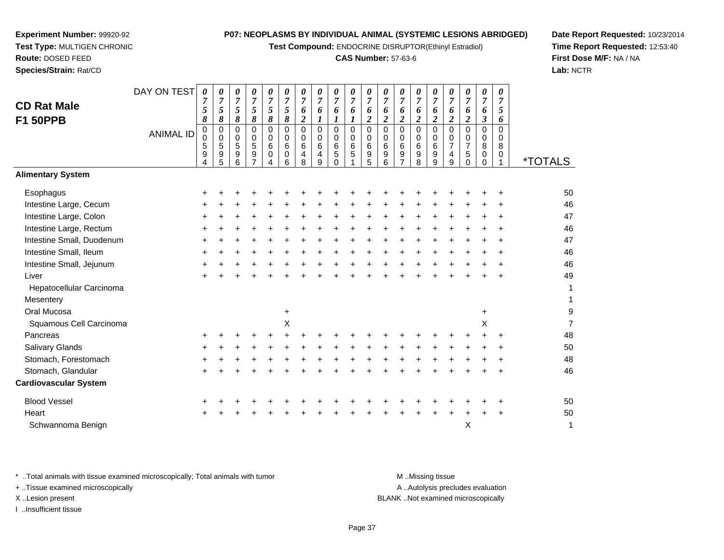**Test Compound:** ENDOCRINE DISRUPTOR(Ethinyl Estradiol)

#### **CAS Number:** 57-63-6

<sup>+</sup> <sup>+</sup> <sup>+</sup> <sup>+</sup> <sup>+</sup> <sup>+</sup> <sup>+</sup> <sup>+</sup> <sup>+</sup> <sup>+</sup> <sup>+</sup> <sup>+</sup> <sup>+</sup> <sup>+</sup> <sup>+</sup> <sup>+</sup> <sup>+</sup> <sup>+</sup> <sup>50</sup>

<sup>+</sup> <sup>+</sup> <sup>+</sup> <sup>+</sup> <sup>+</sup> <sup>+</sup> <sup>+</sup> <sup>+</sup> <sup>+</sup> <sup>+</sup> <sup>+</sup> <sup>+</sup> <sup>+</sup> <sup>+</sup> <sup>+</sup> <sup>+</sup> <sup>+</sup> <sup>+</sup> <sup>47</sup>

<sup>+</sup> <sup>+</sup> <sup>+</sup> <sup>+</sup> <sup>+</sup> <sup>+</sup> <sup>+</sup> <sup>+</sup> <sup>+</sup> <sup>+</sup> <sup>+</sup> <sup>+</sup> <sup>+</sup> <sup>+</sup> <sup>+</sup> <sup>+</sup> <sup>+</sup> <sup>+</sup> <sup>49</sup>

<sup>1</sup> \*TOTALS

9

**Date Report Requested:** 10/23/2014**Time Report Requested:** 12:53:40**First Dose M/F:** NA / NA**Lab:** NCTR

| Mesentery                                                                      |           |  |  |           |  |  |  |   |       |                  |                                  |           |           | 1  |
|--------------------------------------------------------------------------------|-----------|--|--|-----------|--|--|--|---|-------|------------------|----------------------------------|-----------|-----------|----|
| Oral Mucosa                                                                    |           |  |  | $\ddot{}$ |  |  |  |   |       |                  |                                  | $\ddot{}$ |           | g  |
| Squamous Cell Carcinoma                                                        |           |  |  | X         |  |  |  |   |       |                  |                                  | X         |           |    |
| Pancreas                                                                       | $\pm$     |  |  |           |  |  |  |   |       |                  |                                  |           | ÷         | 48 |
| <b>Salivary Glands</b>                                                         | $\ddot{}$ |  |  |           |  |  |  |   |       |                  |                                  |           | ÷         | 50 |
| Stomach, Forestomach                                                           | $\pm$     |  |  |           |  |  |  |   |       |                  |                                  |           | $\div$    | 48 |
| Stomach, Glandular                                                             | +         |  |  |           |  |  |  |   |       |                  |                                  |           | $\ddot{}$ | 46 |
| <b>Cardiovascular System</b>                                                   |           |  |  |           |  |  |  |   |       |                  |                                  |           |           |    |
| <b>Blood Vessel</b>                                                            | $\pm$     |  |  |           |  |  |  |   |       |                  |                                  |           |           | 50 |
| Heart                                                                          | $\pm$     |  |  |           |  |  |  | + | $\pm$ | ÷.               |                                  |           | $\pm$     | 50 |
| Schwannoma Benign                                                              |           |  |  |           |  |  |  |   |       |                  | Х                                |           |           | 1  |
|                                                                                |           |  |  |           |  |  |  |   |       |                  |                                  |           |           |    |
| * Total animals with tissue examined microscopically; Total animals with tumor |           |  |  |           |  |  |  |   |       | M Missing tissue |                                  |           |           |    |
| + Tissue examined microscopically                                              |           |  |  |           |  |  |  |   |       |                  | A Autolysis precludes evaluation |           |           |    |

... Autolysis precludes evaluation

X ..Lesion present BLANK ..Not examined microscopically

I ..Insufficient tissue

**Experiment Number:** 99920-92**Test Type:** MULTIGEN CHRONIC

DAY ON TEST

*0 7 5*

<sup>+</sup> <sup>+</sup> <sup>+</sup> <sup>+</sup> <sup>+</sup> <sup>+</sup> <sup>+</sup> <sup>+</sup> <sup>+</sup> <sup>+</sup> <sup>+</sup> <sup>+</sup> <sup>+</sup> <sup>+</sup> <sup>+</sup> <sup>+</sup> <sup>+</sup> <sup>+</sup> <sup>+</sup> <sup>46</sup>

<sup>+</sup> <sup>+</sup> <sup>+</sup> <sup>+</sup> <sup>+</sup> <sup>+</sup> <sup>+</sup> <sup>+</sup> <sup>+</sup> <sup>+</sup> <sup>+</sup> <sup>+</sup> <sup>+</sup> <sup>+</sup> <sup>+</sup> <sup>+</sup> <sup>+</sup> <sup>+</sup> <sup>+</sup> <sup>46</sup>

<sup>+</sup> <sup>+</sup> <sup>+</sup> <sup>+</sup> <sup>+</sup> <sup>+</sup> <sup>+</sup> <sup>+</sup> <sup>+</sup> <sup>+</sup> <sup>+</sup> <sup>+</sup> <sup>+</sup> <sup>+</sup> <sup>+</sup> <sup>+</sup> <sup>+</sup> <sup>+</sup> <sup>+</sup> <sup>46</sup>

<sup>+</sup> <sup>+</sup> <sup>+</sup> <sup>+</sup> <sup>+</sup> <sup>+</sup> <sup>+</sup> <sup>+</sup> <sup>+</sup> <sup>+</sup> <sup>+</sup> <sup>+</sup> <sup>+</sup> <sup>+</sup> <sup>+</sup> <sup>+</sup> <sup>+</sup> <sup>+</sup> <sup>+</sup> <sup>46</sup>

 $a$ 

<sup>+</sup> <sup>+</sup> <sup>+</sup> <sup>+</sup> <sup>+</sup> <sup>+</sup> <sup>+</sup> <sup>+</sup> <sup>+</sup> <sup>+</sup> <sup>+</sup> <sup>+</sup> <sup>+</sup> <sup>+</sup> <sup>+</sup> <sup>+</sup> <sup>+</sup> <sup>+</sup> <sup>+</sup> <sup>47</sup>

 *8*0

ANIMAL ID

 $\mathsf{S}$  +

 $\mathsf{r}$  +

 $\mathsf{n}$  +

**Route:** DOSED FEED**Species/Strain:** Rat/CD

**CD Rat MaleF1 50PPB**

**Alimentary System**

Intestine Large, Cecum

Intestine Large, Rectum

Intestine Small, Duodenum

Hepatocellular Carcinoma

Intestine Large, Colon

Intestine Small, Ileum

Intestine Small, Jejunum

**Esophagus** 

Liver

**Mesentery** 

Page 37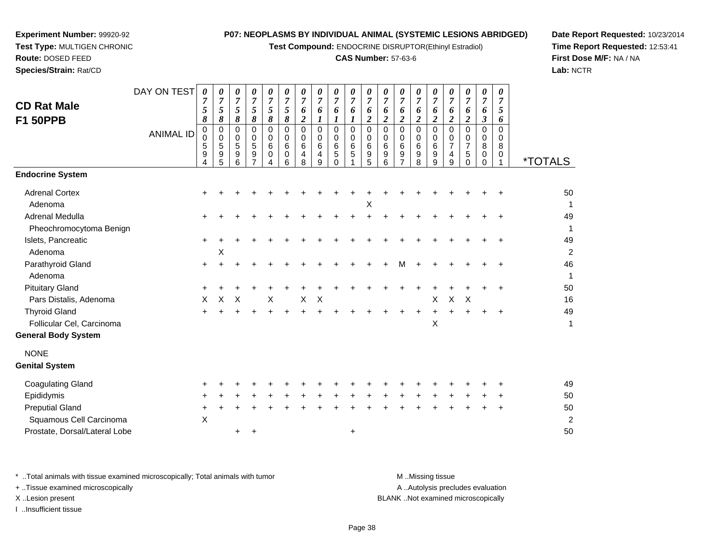**Test Compound:** ENDOCRINE DISRUPTOR(Ethinyl Estradiol)

#### **CAS Number:** 57-63-6

**Date Report Requested:** 10/23/2014**Time Report Requested:** 12:53:41**First Dose M/F:** NA / NA**Lab:** NCTR

| <b>CD Rat Male</b><br><b>F1 50PPB</b>                                                                                        | DAY ON TEST<br><b>ANIMAL ID</b> | 0<br>$\overline{7}$<br>5<br>8<br>$\pmb{0}$<br>$\mbox{O}$<br>$\,$ 5 $\,$ | 0<br>$\overline{7}$<br>5<br>8<br>$\pmb{0}$<br>$\pmb{0}$<br>5 | 0<br>$\overline{7}$<br>$\sqrt{5}$<br>8<br>$\mathbf 0$<br>$\,0\,$<br>$\overline{5}$ | 0<br>$\overline{7}$<br>5<br>8<br>$\mathbf 0$<br>0<br>5 | 0<br>$\overline{7}$<br>5<br>$\pmb{8}$<br>$\pmb{0}$<br>0<br>$\,6\,$ | $\pmb{\theta}$<br>$\overline{7}$<br>5<br>$\pmb{8}$<br>$\pmb{0}$<br>$\mathbf 0$<br>$\,6\,$ | 0<br>$\overline{7}$<br>6<br>$\boldsymbol{2}$<br>$\Omega$<br>0<br>6 | 0<br>$\overline{7}$<br>6<br>1<br>$\mathbf 0$<br>0<br>6 | 0<br>$\overline{7}$<br>6<br>1<br>$\pmb{0}$<br>0<br>6 | 0<br>$\boldsymbol{7}$<br>6<br>$\boldsymbol{l}$<br>$\pmb{0}$<br>0<br>$\,6\,$ | 0<br>$\overline{7}$<br>6<br>$\boldsymbol{2}$<br>0<br>0<br>$\,6\,$ | 0<br>$\overline{7}$<br>6<br>$\boldsymbol{2}$<br>$\mathbf 0$<br>0<br>$\,6$ | 0<br>$\overline{7}$<br>6<br>$\boldsymbol{2}$<br>$\mathbf 0$<br>0<br>6 | 0<br>$\overline{7}$<br>6<br>$\boldsymbol{2}$<br>0<br>0<br>6 | 0<br>$\overline{7}$<br>6<br>$\overline{2}$<br>$\pmb{0}$<br>0<br>6 | 0<br>$\overline{7}$<br>6<br>$\overline{2}$<br>0<br>0<br>$\overline{7}$ | 0<br>7<br>6<br>$\boldsymbol{2}$<br>$\Omega$<br>0<br>$\overline{7}$ | 0<br>$\overline{7}$<br>6<br>$\boldsymbol{\beta}$<br>$\mathbf 0$<br>0<br>8 | 0<br>$\overline{7}$<br>5<br>6<br>$\mathbf 0$<br>0<br>8 |                                        |
|------------------------------------------------------------------------------------------------------------------------------|---------------------------------|-------------------------------------------------------------------------|--------------------------------------------------------------|------------------------------------------------------------------------------------|--------------------------------------------------------|--------------------------------------------------------------------|-------------------------------------------------------------------------------------------|--------------------------------------------------------------------|--------------------------------------------------------|------------------------------------------------------|-----------------------------------------------------------------------------|-------------------------------------------------------------------|---------------------------------------------------------------------------|-----------------------------------------------------------------------|-------------------------------------------------------------|-------------------------------------------------------------------|------------------------------------------------------------------------|--------------------------------------------------------------------|---------------------------------------------------------------------------|--------------------------------------------------------|----------------------------------------|
|                                                                                                                              |                                 | 9<br>4                                                                  | 9<br>5                                                       | 9<br>6                                                                             | 9<br>7                                                 | 0<br>4                                                             | $\mathbf 0$<br>6                                                                          | $\overline{4}$<br>8                                                | 4<br>9                                                 | 5<br>$\Omega$                                        | 5                                                                           | 9<br>5                                                            | 9<br>6                                                                    | 9                                                                     | 9<br>8                                                      | $\boldsymbol{9}$<br>9                                             | 4<br>9                                                                 | 5<br>$\Omega$                                                      | $\mathbf 0$<br>0                                                          | 0<br>1                                                 | <i><b>*TOTALS</b></i>                  |
| <b>Endocrine System</b>                                                                                                      |                                 |                                                                         |                                                              |                                                                                    |                                                        |                                                                    |                                                                                           |                                                                    |                                                        |                                                      |                                                                             |                                                                   |                                                                           |                                                                       |                                                             |                                                                   |                                                                        |                                                                    |                                                                           |                                                        |                                        |
| <b>Adrenal Cortex</b><br>Adenoma                                                                                             |                                 |                                                                         |                                                              |                                                                                    |                                                        |                                                                    |                                                                                           |                                                                    |                                                        |                                                      |                                                                             | Χ                                                                 |                                                                           |                                                                       |                                                             |                                                                   |                                                                        |                                                                    |                                                                           |                                                        | 50<br>-1                               |
| Adrenal Medulla                                                                                                              |                                 | +                                                                       |                                                              |                                                                                    |                                                        |                                                                    |                                                                                           |                                                                    |                                                        |                                                      |                                                                             |                                                                   |                                                                           |                                                                       |                                                             |                                                                   |                                                                        |                                                                    |                                                                           |                                                        | 49                                     |
| Pheochromocytoma Benign<br>Islets, Pancreatic<br>Adenoma                                                                     |                                 | $\pm$                                                                   | X                                                            |                                                                                    |                                                        |                                                                    |                                                                                           |                                                                    |                                                        |                                                      |                                                                             |                                                                   |                                                                           |                                                                       |                                                             |                                                                   |                                                                        |                                                                    |                                                                           |                                                        | 1<br>49<br>$\overline{c}$              |
| Parathyroid Gland<br>Adenoma                                                                                                 |                                 | $\pm$                                                                   |                                                              |                                                                                    |                                                        |                                                                    |                                                                                           |                                                                    |                                                        |                                                      |                                                                             |                                                                   |                                                                           | м                                                                     |                                                             |                                                                   |                                                                        |                                                                    |                                                                           |                                                        | 46<br>$\mathbf{1}$                     |
| <b>Pituitary Gland</b>                                                                                                       |                                 | +                                                                       |                                                              |                                                                                    |                                                        |                                                                    |                                                                                           |                                                                    |                                                        |                                                      |                                                                             |                                                                   |                                                                           |                                                                       |                                                             |                                                                   |                                                                        |                                                                    |                                                                           |                                                        | 50                                     |
| Pars Distalis, Adenoma<br><b>Thyroid Gland</b><br>Follicular Cel, Carcinoma<br><b>General Body System</b>                    |                                 | X                                                                       | X                                                            | Χ                                                                                  |                                                        | $\boldsymbol{\mathsf{X}}$                                          |                                                                                           | Χ                                                                  | X                                                      |                                                      |                                                                             |                                                                   |                                                                           |                                                                       |                                                             | $\boldsymbol{\mathsf{X}}$<br>$\boldsymbol{\mathsf{X}}$            | $\mathsf X$                                                            | $\times$                                                           | $\pm$                                                                     | $\ddot{}$                                              | 16<br>49<br>1                          |
| <b>NONE</b><br><b>Genital System</b>                                                                                         |                                 |                                                                         |                                                              |                                                                                    |                                                        |                                                                    |                                                                                           |                                                                    |                                                        |                                                      |                                                                             |                                                                   |                                                                           |                                                                       |                                                             |                                                                   |                                                                        |                                                                    |                                                                           |                                                        |                                        |
| <b>Coagulating Gland</b><br>Epididymis<br><b>Preputial Gland</b><br>Squamous Cell Carcinoma<br>Prostate, Dorsal/Lateral Lobe |                                 | X                                                                       |                                                              |                                                                                    | +                                                      |                                                                    |                                                                                           |                                                                    |                                                        |                                                      | +                                                                           |                                                                   |                                                                           |                                                                       |                                                             |                                                                   |                                                                        |                                                                    |                                                                           |                                                        | 49<br>50<br>50<br>$\overline{c}$<br>50 |
|                                                                                                                              |                                 |                                                                         |                                                              |                                                                                    |                                                        |                                                                    |                                                                                           |                                                                    |                                                        |                                                      |                                                                             |                                                                   |                                                                           |                                                                       |                                                             |                                                                   |                                                                        |                                                                    |                                                                           |                                                        |                                        |

\* ..Total animals with tissue examined microscopically; Total animals with tumor **M** . Missing tissue M ..Missing tissue

+ ..Tissue examined microscopically

**Experiment Number:** 99920-92**Test Type:** MULTIGEN CHRONIC

**Route:** DOSED FEED**Species/Strain:** Rat/CD

I ..Insufficient tissue

A ..Autolysis precludes evaluation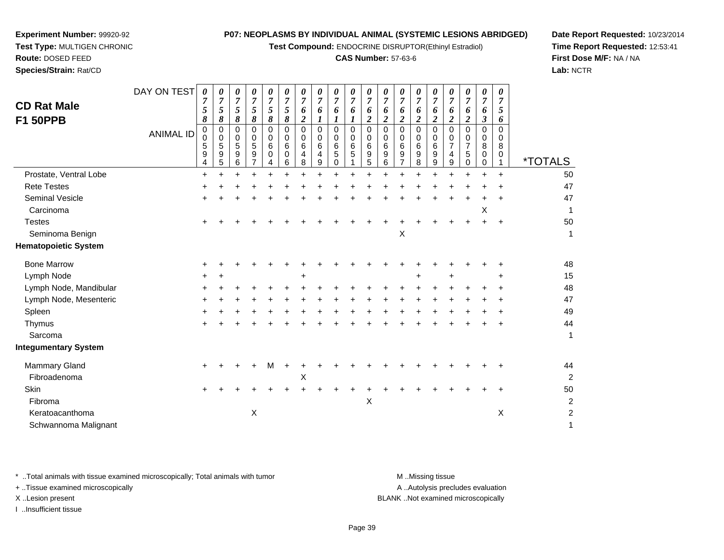**Test Compound:** ENDOCRINE DISRUPTOR(Ethinyl Estradiol)

#### **CAS Number:** 57-63-6

**Date Report Requested:** 10/23/2014**Time Report Requested:** 12:53:41**First Dose M/F:** NA / NA**Lab:** NCTR

| <b>CD Rat Male</b><br><b>F1 50PPB</b>        | DAY ON TEST<br><b>ANIMAL ID</b> | 0<br>$\overline{7}$<br>5<br>8<br>0<br>$\mathbf 0$<br>5<br>$\mathsf g$ | $\boldsymbol{\theta}$<br>$\overline{7}$<br>5<br>8<br>$\pmb{0}$<br>$\mathbf 0$<br>5<br>$\boldsymbol{9}$ | 0<br>7<br>5<br>8<br>$\mathbf 0$<br>0<br>5<br>9 | 0<br>$\overline{7}$<br>$\mathfrak{s}$<br>8<br>0<br>0<br>5<br>$\boldsymbol{9}$ | 0<br>7<br>5<br>8<br>$\Omega$<br>$\Omega$<br>6<br>$\Omega$ | $\boldsymbol{\theta}$<br>7<br>5<br>8<br>$\Omega$<br>0<br>6<br>0 | 0<br>7<br>6<br>$\boldsymbol{2}$<br>$\Omega$<br>0<br>6<br>$\overline{4}$ | 0<br>7<br>6<br>1<br>$\Omega$<br>0<br>6<br>4 | $\pmb{\theta}$<br>$\overline{7}$<br>6<br>1<br>$\mathbf 0$<br>0<br>6<br>$\mathbf 5$ | 0<br>$\overline{7}$<br>6<br>1<br>$\Omega$<br>0<br>6<br>5 | 0<br>$\overline{7}$<br>6<br>$\overline{c}$<br>$\mathbf 0$<br>0<br>6<br>9 | 0<br>$\overline{7}$<br>6<br>$\overline{c}$<br>0<br>0<br>6<br>9 | 0<br>7<br>6<br>$\overline{\mathbf{2}}$<br>$\mathbf 0$<br>0<br>6<br>$\boldsymbol{9}$ | 0<br>7<br>6<br>2<br>$\Omega$<br>$\Omega$<br>6<br>9 | 0<br>7<br>6<br>$\overline{2}$<br>$\Omega$<br>0<br>6<br>9 | $\boldsymbol{\theta}$<br>$\overline{7}$<br>6<br>$\overline{\mathbf{2}}$<br>$\Omega$<br>0<br>$\overline{7}$<br>4 | 0<br>$\overline{7}$<br>6<br>$\boldsymbol{2}$<br>$\Omega$<br>0<br>7<br>5 | $\boldsymbol{\theta}$<br>$\overline{7}$<br>6<br>$\boldsymbol{\beta}$<br>$\mathbf 0$<br>0<br>8<br>0 | 0<br>7<br>5<br>6<br>$\Omega$<br>0<br>8<br>0 |                       |
|----------------------------------------------|---------------------------------|-----------------------------------------------------------------------|--------------------------------------------------------------------------------------------------------|------------------------------------------------|-------------------------------------------------------------------------------|-----------------------------------------------------------|-----------------------------------------------------------------|-------------------------------------------------------------------------|---------------------------------------------|------------------------------------------------------------------------------------|----------------------------------------------------------|--------------------------------------------------------------------------|----------------------------------------------------------------|-------------------------------------------------------------------------------------|----------------------------------------------------|----------------------------------------------------------|-----------------------------------------------------------------------------------------------------------------|-------------------------------------------------------------------------|----------------------------------------------------------------------------------------------------|---------------------------------------------|-----------------------|
|                                              |                                 | 4                                                                     | 5                                                                                                      | 6                                              | $\overline{7}$                                                                | 4                                                         | 6                                                               | 8                                                                       | 9                                           | $\mathbf 0$                                                                        |                                                          | 5                                                                        | 6                                                              | $\overline{7}$                                                                      | 8                                                  | 9                                                        | 9                                                                                                               | 0                                                                       | $\mathbf 0$                                                                                        | 1                                           | <i><b>*TOTALS</b></i> |
| Prostate, Ventral Lobe<br><b>Rete Testes</b> |                                 | $\ddot{}$                                                             | $\ddot{}$                                                                                              | $\ddot{}$                                      | Ŧ.                                                                            |                                                           | $\ddot{}$                                                       | $\ddot{}$                                                               |                                             | $\ddot{}$                                                                          | $\ddot{}$                                                | $+$                                                                      | $+$                                                            |                                                                                     | ÷                                                  |                                                          | $\ddot{}$                                                                                                       | $\ddot{}$                                                               |                                                                                                    | $\ddot{}$                                   | 50<br>47              |
| <b>Seminal Vesicle</b>                       |                                 |                                                                       |                                                                                                        |                                                |                                                                               |                                                           |                                                                 |                                                                         |                                             |                                                                                    |                                                          |                                                                          |                                                                |                                                                                     |                                                    |                                                          |                                                                                                                 |                                                                         |                                                                                                    |                                             | 47                    |
| Carcinoma                                    |                                 |                                                                       |                                                                                                        |                                                |                                                                               |                                                           |                                                                 |                                                                         |                                             |                                                                                    |                                                          |                                                                          |                                                                |                                                                                     |                                                    |                                                          |                                                                                                                 |                                                                         | Х                                                                                                  |                                             |                       |
| <b>Testes</b>                                |                                 |                                                                       |                                                                                                        |                                                |                                                                               |                                                           |                                                                 |                                                                         |                                             |                                                                                    |                                                          |                                                                          |                                                                |                                                                                     |                                                    |                                                          |                                                                                                                 |                                                                         |                                                                                                    |                                             | 50                    |
| Seminoma Benign                              |                                 |                                                                       |                                                                                                        |                                                |                                                                               |                                                           |                                                                 |                                                                         |                                             |                                                                                    |                                                          |                                                                          |                                                                | X                                                                                   |                                                    |                                                          |                                                                                                                 |                                                                         |                                                                                                    |                                             |                       |
| <b>Hematopoietic System</b>                  |                                 |                                                                       |                                                                                                        |                                                |                                                                               |                                                           |                                                                 |                                                                         |                                             |                                                                                    |                                                          |                                                                          |                                                                |                                                                                     |                                                    |                                                          |                                                                                                                 |                                                                         |                                                                                                    |                                             |                       |
| <b>Bone Marrow</b>                           |                                 |                                                                       |                                                                                                        |                                                |                                                                               |                                                           |                                                                 |                                                                         |                                             |                                                                                    |                                                          |                                                                          |                                                                |                                                                                     |                                                    |                                                          |                                                                                                                 |                                                                         |                                                                                                    |                                             | 48                    |
| Lymph Node                                   |                                 |                                                                       |                                                                                                        |                                                |                                                                               |                                                           |                                                                 | +                                                                       |                                             |                                                                                    |                                                          |                                                                          |                                                                |                                                                                     |                                                    |                                                          |                                                                                                                 |                                                                         |                                                                                                    |                                             | 15                    |
| Lymph Node, Mandibular                       |                                 |                                                                       |                                                                                                        |                                                |                                                                               |                                                           |                                                                 |                                                                         |                                             |                                                                                    |                                                          |                                                                          |                                                                |                                                                                     |                                                    |                                                          |                                                                                                                 |                                                                         |                                                                                                    |                                             | 48                    |
| Lymph Node, Mesenteric                       |                                 |                                                                       |                                                                                                        |                                                |                                                                               |                                                           |                                                                 |                                                                         |                                             |                                                                                    |                                                          |                                                                          |                                                                |                                                                                     |                                                    |                                                          |                                                                                                                 |                                                                         |                                                                                                    |                                             | 47                    |
| Spleen                                       |                                 |                                                                       |                                                                                                        |                                                |                                                                               |                                                           |                                                                 |                                                                         |                                             |                                                                                    |                                                          |                                                                          |                                                                |                                                                                     |                                                    |                                                          |                                                                                                                 |                                                                         |                                                                                                    |                                             | 49                    |
| Thymus                                       |                                 |                                                                       |                                                                                                        |                                                |                                                                               |                                                           |                                                                 |                                                                         |                                             |                                                                                    |                                                          |                                                                          |                                                                |                                                                                     |                                                    |                                                          |                                                                                                                 |                                                                         |                                                                                                    |                                             | 44                    |
| Sarcoma                                      |                                 |                                                                       |                                                                                                        |                                                |                                                                               |                                                           |                                                                 |                                                                         |                                             |                                                                                    |                                                          |                                                                          |                                                                |                                                                                     |                                                    |                                                          |                                                                                                                 |                                                                         |                                                                                                    |                                             | $\mathbf 1$           |
| <b>Integumentary System</b>                  |                                 |                                                                       |                                                                                                        |                                                |                                                                               |                                                           |                                                                 |                                                                         |                                             |                                                                                    |                                                          |                                                                          |                                                                |                                                                                     |                                                    |                                                          |                                                                                                                 |                                                                         |                                                                                                    |                                             |                       |
| <b>Mammary Gland</b>                         |                                 |                                                                       |                                                                                                        |                                                |                                                                               |                                                           |                                                                 |                                                                         |                                             |                                                                                    |                                                          |                                                                          |                                                                |                                                                                     |                                                    |                                                          |                                                                                                                 |                                                                         |                                                                                                    |                                             | 44                    |
| Fibroadenoma                                 |                                 |                                                                       |                                                                                                        |                                                |                                                                               |                                                           |                                                                 | Χ                                                                       |                                             |                                                                                    |                                                          |                                                                          |                                                                |                                                                                     |                                                    |                                                          |                                                                                                                 |                                                                         |                                                                                                    |                                             | $\overline{2}$        |
| Skin                                         |                                 |                                                                       |                                                                                                        |                                                |                                                                               |                                                           |                                                                 |                                                                         |                                             |                                                                                    |                                                          |                                                                          |                                                                |                                                                                     |                                                    |                                                          |                                                                                                                 |                                                                         |                                                                                                    |                                             | 50                    |
| Fibroma                                      |                                 |                                                                       |                                                                                                        |                                                |                                                                               |                                                           |                                                                 |                                                                         |                                             |                                                                                    |                                                          | $\pmb{\times}$                                                           |                                                                |                                                                                     |                                                    |                                                          |                                                                                                                 |                                                                         |                                                                                                    |                                             | $\sqrt{2}$            |
| Keratoacanthoma                              |                                 |                                                                       |                                                                                                        |                                                | $\boldsymbol{\mathsf{X}}$                                                     |                                                           |                                                                 |                                                                         |                                             |                                                                                    |                                                          |                                                                          |                                                                |                                                                                     |                                                    |                                                          |                                                                                                                 |                                                                         |                                                                                                    | Χ                                           | $\overline{c}$        |
| Schwannoma Malignant                         |                                 |                                                                       |                                                                                                        |                                                |                                                                               |                                                           |                                                                 |                                                                         |                                             |                                                                                    |                                                          |                                                                          |                                                                |                                                                                     |                                                    |                                                          |                                                                                                                 |                                                                         |                                                                                                    |                                             | 1                     |

\* ..Total animals with tissue examined microscopically; Total animals with tumor **M** . Missing tissue M ..Missing tissue

+ ..Tissue examined microscopically

**Experiment Number:** 99920-92**Test Type:** MULTIGEN CHRONIC

**Route:** DOSED FEED**Species/Strain:** Rat/CD

I ..Insufficient tissue

A ..Autolysis precludes evaluation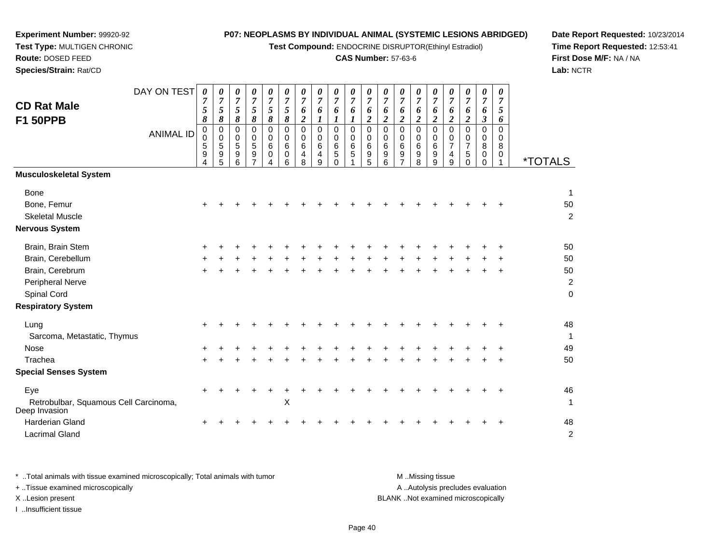**Test Compound:** ENDOCRINE DISRUPTOR(Ethinyl Estradiol)

#### **CAS Number:** 57-63-6

**Date Report Requested:** 10/23/2014**Time Report Requested:** 12:53:41**First Dose M/F:** NA / NA**Lab:** NCTR

|                                                        | DAY ON TEST      | 0                   | 0                            | 0                            | 0                   | 0                              | 0                   | 0                   | $\boldsymbol{\theta}$ | 0                    | 0                    | 0                    | 0                     | 0                    | 0                   | 0                       | 0                             | 0                             | 0                      | 0                   |                       |
|--------------------------------------------------------|------------------|---------------------|------------------------------|------------------------------|---------------------|--------------------------------|---------------------|---------------------|-----------------------|----------------------|----------------------|----------------------|-----------------------|----------------------|---------------------|-------------------------|-------------------------------|-------------------------------|------------------------|---------------------|-----------------------|
| <b>CD Rat Male</b>                                     |                  | $\overline{7}$<br>5 | $\overline{7}$<br>$\sqrt{5}$ | $\overline{7}$<br>$\sqrt{5}$ | $\overline{7}$<br>5 | $\boldsymbol{7}$<br>$\sqrt{5}$ | $\overline{7}$<br>5 | $\overline{7}$<br>6 | $\overline{7}$<br>6   | $\overline{7}$<br>6  | $\overline{7}$<br>6  | $\overline{7}$<br>6  | $\boldsymbol{7}$<br>6 | $\overline{7}$<br>6  | $\overline{7}$<br>6 | $\overline{7}$<br>6     | $\boldsymbol{7}$<br>6         | $\overline{7}$<br>6           | $\overline{7}$<br>6    | $\overline{7}$<br>5 |                       |
| <b>F1 50PPB</b>                                        |                  | 8                   | $\pmb{8}$                    | 8                            | 8                   | $\boldsymbol{\delta}$          | 8                   | $\boldsymbol{2}$    | $\boldsymbol{l}$      | 1                    | 1                    | $\overline{c}$       | $\overline{c}$        | $\boldsymbol{2}$     | $\overline{2}$      | $\overline{\mathbf{c}}$ | $\overline{c}$                | $\overline{2}$                | $\mathfrak{z}$         | 6                   |                       |
|                                                        | <b>ANIMAL ID</b> | $\pmb{0}$           | $\pmb{0}$                    | 0                            | 0                   | $\mathbf 0$                    | $\mathbf 0$         | $\mathbf 0$         | $\mathbf 0$           | $\mathbf 0$          | $\mathsf 0$          | $\pmb{0}$            | $\pmb{0}$             | $\mathbf 0$          | $\pmb{0}$           | 0                       | $\mathbf 0$                   | $\mathbf 0$                   | $\mathbf 0$            | $\mathbf 0$         |                       |
|                                                        |                  | $\,0\,$<br>5        | 0<br>$\sqrt{5}$              | $\mathbf 0$<br>5             | 0<br>5              | $\mathbf 0$<br>$\,6$           | $\mathbf 0$<br>6    | 0<br>6              | 0<br>6                | $\mathbf 0$<br>$\,6$ | $\mathbf 0$<br>$\,6$ | $\pmb{0}$<br>$\,6\,$ | 0<br>6                | $\mathbf 0$<br>$\,6$ | 0<br>6              | 0<br>6                  | $\mathbf 0$<br>$\overline{7}$ | $\mathbf 0$<br>$\overline{7}$ | $\mathbf 0$<br>$\bf 8$ | $\mathbf 0$<br>8    |                       |
|                                                        |                  | 9                   | $\boldsymbol{9}$             | $\boldsymbol{9}$             | $\boldsymbol{9}$    | $\mathbf 0$                    | 0                   | 4                   | 4                     | $\sqrt{5}$           | 5                    | $\boldsymbol{9}$     | $\boldsymbol{9}$      | 9                    | $\boldsymbol{9}$    | 9                       | 4                             | $\sqrt{5}$                    | 0                      | $\mathbf 0$         |                       |
|                                                        |                  | 4                   | 5                            | 6                            |                     | 4                              | 6                   | 8                   | 9                     | $\Omega$             |                      | $\overline{5}$       | 6                     | 7                    | 8                   | 9                       | 9                             | $\Omega$                      | $\Omega$               |                     | <i><b>*TOTALS</b></i> |
| <b>Musculoskeletal System</b>                          |                  |                     |                              |                              |                     |                                |                     |                     |                       |                      |                      |                      |                       |                      |                     |                         |                               |                               |                        |                     |                       |
| <b>Bone</b>                                            |                  |                     |                              |                              |                     |                                |                     |                     |                       |                      |                      |                      |                       |                      |                     |                         |                               |                               |                        |                     | $\mathbf{1}$          |
| Bone, Femur                                            |                  | ٠                   |                              |                              |                     |                                |                     |                     |                       |                      |                      |                      |                       |                      |                     |                         |                               |                               |                        |                     | 50                    |
| <b>Skeletal Muscle</b>                                 |                  |                     |                              |                              |                     |                                |                     |                     |                       |                      |                      |                      |                       |                      |                     |                         |                               |                               |                        |                     | $\overline{c}$        |
| <b>Nervous System</b>                                  |                  |                     |                              |                              |                     |                                |                     |                     |                       |                      |                      |                      |                       |                      |                     |                         |                               |                               |                        |                     |                       |
| Brain, Brain Stem                                      |                  |                     |                              |                              |                     |                                |                     |                     |                       |                      |                      |                      |                       |                      |                     |                         |                               |                               |                        |                     | 50                    |
| Brain, Cerebellum                                      |                  |                     |                              |                              |                     |                                |                     |                     |                       |                      |                      |                      |                       |                      |                     |                         |                               |                               |                        |                     | 50                    |
| Brain, Cerebrum                                        |                  |                     |                              |                              |                     |                                |                     |                     |                       |                      |                      |                      |                       |                      |                     |                         |                               |                               |                        | ÷                   | 50                    |
| Peripheral Nerve                                       |                  |                     |                              |                              |                     |                                |                     |                     |                       |                      |                      |                      |                       |                      |                     |                         |                               |                               |                        |                     | $\boldsymbol{2}$      |
| Spinal Cord                                            |                  |                     |                              |                              |                     |                                |                     |                     |                       |                      |                      |                      |                       |                      |                     |                         |                               |                               |                        |                     | $\mathbf 0$           |
| <b>Respiratory System</b>                              |                  |                     |                              |                              |                     |                                |                     |                     |                       |                      |                      |                      |                       |                      |                     |                         |                               |                               |                        |                     |                       |
| Lung                                                   |                  |                     |                              |                              |                     |                                |                     |                     |                       |                      |                      |                      |                       |                      |                     |                         |                               |                               |                        |                     | 48                    |
| Sarcoma, Metastatic, Thymus                            |                  |                     |                              |                              |                     |                                |                     |                     |                       |                      |                      |                      |                       |                      |                     |                         |                               |                               |                        |                     | 1                     |
| Nose                                                   |                  |                     |                              |                              |                     |                                |                     |                     |                       |                      |                      |                      |                       |                      |                     |                         |                               |                               |                        |                     | 49                    |
| Trachea                                                |                  |                     |                              |                              |                     |                                |                     |                     |                       |                      |                      |                      |                       |                      |                     |                         |                               |                               |                        |                     | 50                    |
| <b>Special Senses System</b>                           |                  |                     |                              |                              |                     |                                |                     |                     |                       |                      |                      |                      |                       |                      |                     |                         |                               |                               |                        |                     |                       |
| Eye                                                    |                  | +                   |                              |                              |                     |                                |                     |                     |                       |                      |                      |                      |                       |                      |                     |                         |                               |                               |                        |                     | 46                    |
| Retrobulbar, Squamous Cell Carcinoma,<br>Deep Invasion |                  |                     |                              |                              |                     |                                | X                   |                     |                       |                      |                      |                      |                       |                      |                     |                         |                               |                               |                        |                     | $\mathbf{1}$          |
| <b>Harderian Gland</b>                                 |                  |                     |                              |                              |                     |                                |                     |                     |                       |                      |                      |                      |                       |                      |                     |                         |                               |                               |                        |                     | 48                    |
| <b>Lacrimal Gland</b>                                  |                  |                     |                              |                              |                     |                                |                     |                     |                       |                      |                      |                      |                       |                      |                     |                         |                               |                               |                        |                     | $\boldsymbol{2}$      |

**Experiment Number:** 99920-92**Test Type:** MULTIGEN CHRONIC

**Route:** DOSED FEED**Species/Strain:** Rat/CD

\* ..Total animals with tissue examined microscopically; Total animals with tumor **M** . Missing tissue M ..Missing tissue A ..Autolysis precludes evaluation + ..Tissue examined microscopically X ..Lesion present BLANK ..Not examined microscopicallyI ..Insufficient tissue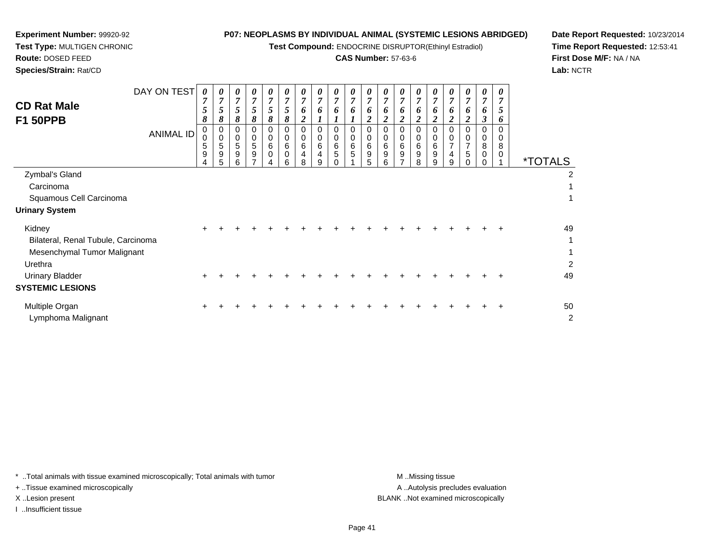**Test Compound:** ENDOCRINE DISRUPTOR(Ethinyl Estradiol)

## **CAS Number:** 57-63-6

**Date Report Requested:** 10/23/2014**Time Report Requested:** 12:53:41**First Dose M/F:** NA / NA**Lab:** NCTR

 $\overline{2}$ 

| <b>CD Rat Male</b><br><b>F1 50PPB</b>                                                  | DAY ON TEST<br><b>ANIMAL ID</b> | 0<br>7<br>5<br>8<br>0                   | 0<br>$\overline{ }$<br>5<br>8<br>0 | 0<br>7<br>5<br>8<br>0    | 0<br>7<br>5<br>8<br>0      | $\boldsymbol{\theta}$<br>7<br>5<br>8<br>0 | 0<br>$\overline{7}$<br>5<br>8<br>0 | 0<br>7<br>6<br>$\boldsymbol{2}$<br>0 | 0<br>7<br>6<br>0         | 0<br>$\overline{ }$<br>6 | 0<br>$\overline{7}$<br>6<br>0 | 0<br>$\overline{7}$<br>6<br>$\boldsymbol{2}$<br>0 | 0<br>7<br>6<br>$\overline{2}$<br>0 | 0<br>7<br>6<br>ി<br>0 | 0<br>7<br>6<br>2 | 0<br>7<br>6<br>2<br>0           | 0<br>7<br>o<br>2              | 0<br>7<br>6<br>$\boldsymbol{2}$<br>0 | 0<br>7<br>6<br>3<br>0 | 0<br>7<br>5<br>6<br>0 |                       |              |
|----------------------------------------------------------------------------------------|---------------------------------|-----------------------------------------|------------------------------------|--------------------------|----------------------------|-------------------------------------------|------------------------------------|--------------------------------------|--------------------------|--------------------------|-------------------------------|---------------------------------------------------|------------------------------------|-----------------------|------------------|---------------------------------|-------------------------------|--------------------------------------|-----------------------|-----------------------|-----------------------|--------------|
|                                                                                        |                                 | $\mathbf 0$<br>5<br>9<br>$\overline{4}$ | $\pmb{0}$<br>5<br>9<br>5           | $\pmb{0}$<br>5<br>9<br>6 | $\mathbf 0$<br>5<br>9<br>7 | $\pmb{0}$<br>6<br>$\mathbf 0$<br>4        | 0<br>$\,6$<br>$\mathbf 0$<br>6     | 0<br>6<br>8                          | $\pmb{0}$<br>6<br>4<br>9 | 0<br>6<br>5              | 0<br>$\,6$<br>5               | $\pmb{0}$<br>$\,6\,$<br>$\boldsymbol{9}$<br>5     | 0<br>6<br>9<br>6                   | $\mathbf 0$<br>6<br>9 | 0<br>6<br>9<br>8 | 0<br>6<br>$\boldsymbol{9}$<br>9 | 0<br>$\overline{ }$<br>4<br>9 | 0<br>$\overline{7}$<br>5             | 0<br>8<br>0           | $\Omega$<br>8<br>0    | <i><b>*TOTALS</b></i> |              |
| Zymbal's Gland<br>Carcinoma<br>Squamous Cell Carcinoma<br><b>Urinary System</b>        |                                 |                                         |                                    |                          |                            |                                           |                                    |                                      |                          |                          |                               |                                                   |                                    |                       |                  |                                 |                               |                                      |                       |                       |                       | 2            |
| Kidney<br>Bilateral, Renal Tubule, Carcinoma<br>Mesenchymal Tumor Malignant<br>Urethra |                                 | $\pm$                                   | ٠                                  |                          |                            |                                           |                                    |                                      |                          |                          |                               |                                                   |                                    |                       |                  |                                 |                               |                                      |                       | $\div$                |                       | 49<br>1<br>2 |
| <b>Urinary Bladder</b><br><b>SYSTEMIC LESIONS</b>                                      |                                 | ÷                                       |                                    |                          |                            |                                           |                                    |                                      |                          |                          |                               |                                                   |                                    |                       |                  |                                 |                               |                                      |                       |                       |                       | 49           |

Multiple Organn  $+$  <sup>+</sup> <sup>+</sup> <sup>+</sup> <sup>+</sup> <sup>+</sup> <sup>+</sup> <sup>+</sup> <sup>+</sup> <sup>+</sup> <sup>+</sup> <sup>+</sup> <sup>+</sup> <sup>+</sup> <sup>+</sup> <sup>+</sup> <sup>+</sup> <sup>+</sup> <sup>+</sup> <sup>50</sup> Lymphoma Malignantt de la construction de la construction de la construction de la construction de la construction de la construction<br>De la construction de la construction de la construction de la construction de la construction de la const

\* ..Total animals with tissue examined microscopically; Total animals with tumor **M** ...Missing tissue M ...Missing tissue

+ ..Tissue examined microscopically

**Experiment Number:** 99920-92**Test Type:** MULTIGEN CHRONIC

**Route:** DOSED FEED**Species/Strain:** Rat/CD

I ..Insufficient tissue

A .. Autolysis precludes evaluation X ..Lesion present BLANK ..Not examined microscopically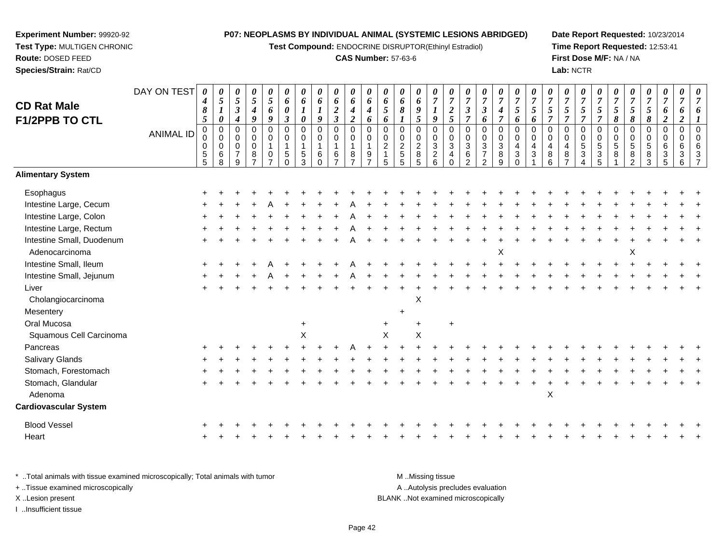**Test Compound:** ENDOCRINE DISRUPTOR(Ethinyl Estradiol)

#### **CAS Number:** 57-63-6

**Date Report Requested:** 10/23/2014**Time Report Requested:** 12:53:41**First Dose M/F:** NA / NA**Lab:** NCTR

| <b>CD Rat Male</b>                          | DAY ON TEST      | $\boldsymbol{\theta}$<br>4<br>8                    | $\boldsymbol{\theta}$<br>$\sqrt{5}$<br>$\boldsymbol{l}$         | 0<br>$\mathfrak{H}$<br>$\mathfrak{z}$                                 | 0<br>$\mathfrak{s}$<br>$\boldsymbol{4}$                         | $\pmb{\theta}$<br>$\mathfrak{s}$<br>6                                        | 0<br>6<br>0                                                               | 0<br>6<br>1                                                                 | $\boldsymbol{\theta}$<br>6<br>$\boldsymbol{l}$                                      | 0<br>6<br>$\boldsymbol{2}$                                                    | $\pmb{\theta}$<br>6<br>$\boldsymbol{4}$                                              | 0<br>6<br>$\boldsymbol{4}$                               | 0<br>6<br>5                                                      | $\pmb{\theta}$<br>6<br>8                                    | 0<br>6<br>9                                                 | 0<br>$\overline{7}$<br>$\bm{l}$                                  | $\overline{7}$<br>$\boldsymbol{2}$                    | 0<br>$\overline{7}$<br>$\mathfrak{z}$                                                   | 0<br>$\overline{7}$<br>$\mathbf{3}$                                          | 0<br>$\overline{7}$<br>$\boldsymbol{4}$                            | 0<br>$\overline{7}$<br>5                                  | 0<br>$\overline{7}$<br>$\mathfrak{s}$           | 0<br>$\overline{7}$<br>5                                              | 0<br>$\overline{7}$<br>$\mathfrak{s}$                                   | 0<br>$\overline{7}$<br>5                                                   | 0<br>$\overline{7}$<br>5                                 | $\overline{7}$<br>$\sqrt{5}$                       | 0<br>$\overline{7}$<br>$\mathfrak{s}$                               | 0<br>$\overline{7}$<br>$\sqrt{5}$   | 0<br>$\boldsymbol{7}$<br>6                                                  | 0<br>$\overline{7}$<br>6                                   | $\overline{7}$ |
|---------------------------------------------|------------------|----------------------------------------------------|-----------------------------------------------------------------|-----------------------------------------------------------------------|-----------------------------------------------------------------|------------------------------------------------------------------------------|---------------------------------------------------------------------------|-----------------------------------------------------------------------------|-------------------------------------------------------------------------------------|-------------------------------------------------------------------------------|--------------------------------------------------------------------------------------|----------------------------------------------------------|------------------------------------------------------------------|-------------------------------------------------------------|-------------------------------------------------------------|------------------------------------------------------------------|-------------------------------------------------------|-----------------------------------------------------------------------------------------|------------------------------------------------------------------------------|--------------------------------------------------------------------|-----------------------------------------------------------|-------------------------------------------------|-----------------------------------------------------------------------|-------------------------------------------------------------------------|----------------------------------------------------------------------------|----------------------------------------------------------|----------------------------------------------------|---------------------------------------------------------------------|-------------------------------------|-----------------------------------------------------------------------------|------------------------------------------------------------|----------------|
| F1/2PPB TO CTL                              | <b>ANIMAL ID</b> | $\sqrt{5}$<br>$\pmb{0}$<br>0<br>0<br>$\frac{5}{5}$ | $\boldsymbol{\theta}$<br>$\mathsf 0$<br>$\Omega$<br>0<br>6<br>8 | 4<br>$\mathbf 0$<br>$\mathbf 0$<br>$\mathbf 0$<br>$\overline{7}$<br>9 | 9<br>$\pmb{0}$<br>$\pmb{0}$<br>$\pmb{0}$<br>8<br>$\overline{7}$ | 9<br>$\mathsf 0$<br>$\pmb{0}$<br>$\mathbf{1}$<br>$\pmb{0}$<br>$\overline{ }$ | $\boldsymbol{\beta}$<br>$\mathbf 0$<br>0<br>$\mathbf{1}$<br>5<br>$\Omega$ | $\boldsymbol{\theta}$<br>$\mathbf 0$<br>$\mathbf 0$<br>1<br>$\sqrt{5}$<br>3 | $\boldsymbol{9}$<br>$\pmb{0}$<br>$\mathbf 0$<br>$\mathbf{1}$<br>$\,6\,$<br>$\Omega$ | $\mathfrak{z}$<br>$\pmb{0}$<br>$\,0\,$<br>$\mathbf{1}$<br>6<br>$\overline{7}$ | $\overline{2}$<br>$\overline{0}$<br>$\pmb{0}$<br>$\mathbf{1}$<br>8<br>$\overline{ }$ | 6<br>0<br>$\Omega$<br>1<br>9<br>$\overline{\phantom{a}}$ | 6<br>$\mathbf 0$<br>$\Omega$<br>$\overline{2}$<br>$\overline{5}$ | $\mathbf 0$<br>$\pmb{0}$<br>$\frac{2}{5}$<br>$\overline{5}$ | 5<br>$\mathbf 0$<br>$\pmb{0}$<br>$\boldsymbol{2}$<br>8<br>5 | 9<br>$\mathbf 0$<br>$\mathbf 0$<br>$\mathbf{3}$<br>$\frac{2}{6}$ | 5<br>0<br>$\Omega$<br>3<br>$\overline{4}$<br>$\Omega$ | $\overline{7}$<br>$\overline{0}$<br>$\mathbf 0$<br>$\sqrt{3}$<br>$\,6$<br>$\mathcal{P}$ | 6<br>0<br>0<br>$\ensuremath{\mathsf{3}}$<br>$\overline{7}$<br>$\overline{2}$ | $\overline{7}$<br>$\pmb{0}$<br>$\pmb{0}$<br>$\mathbf{3}$<br>8<br>9 | 6<br>$\overline{0}$<br>0<br>4<br>$\mathbf{3}$<br>$\Omega$ | 6<br>$\mathbf 0$<br>$\Omega$<br>4<br>$\sqrt{3}$ | $\overline{7}$<br>$\mathbf 0$<br>$\Omega$<br>$\overline{4}$<br>8<br>6 | $\overline{7}$<br>0<br>0<br>$\overline{4}$<br>$\bf 8$<br>$\overline{ }$ | $\overline{7}$<br>$\mathbf 0$<br>$\mathbf 0$<br>$\sqrt{5}$<br>$\mathbf{3}$ | $\overline{7}$<br>0<br>$\mathbf 0$<br>5<br>$\frac{3}{5}$ | 8<br>$\mathbf 0$<br>$\mathbf 0$<br>$\sqrt{5}$<br>8 | 8<br>$\mathbf 0$<br>$\mathbf 0$<br>$\sqrt{5}$<br>8<br>$\mathcal{P}$ | 8<br>0<br>0<br>$\sqrt{5}$<br>8<br>3 | $\boldsymbol{2}$<br>$\boldsymbol{0}$<br>$\mathbf 0$<br>6<br>$\sqrt{3}$<br>5 | $\boldsymbol{2}$<br>$\mathbf 0$<br>$\Omega$<br>6<br>3<br>6 | $\Omega$       |
| <b>Alimentary System</b>                    |                  |                                                    |                                                                 |                                                                       |                                                                 |                                                                              |                                                                           |                                                                             |                                                                                     |                                                                               |                                                                                      |                                                          |                                                                  |                                                             |                                                             |                                                                  |                                                       |                                                                                         |                                                                              |                                                                    |                                                           |                                                 |                                                                       |                                                                         |                                                                            |                                                          |                                                    |                                                                     |                                     |                                                                             |                                                            |                |
| Esophagus                                   |                  |                                                    |                                                                 |                                                                       |                                                                 |                                                                              |                                                                           |                                                                             |                                                                                     |                                                                               |                                                                                      |                                                          |                                                                  |                                                             |                                                             |                                                                  |                                                       |                                                                                         |                                                                              |                                                                    |                                                           |                                                 |                                                                       |                                                                         |                                                                            |                                                          |                                                    |                                                                     |                                     |                                                                             |                                                            |                |
| Intestine Large, Cecum                      |                  |                                                    |                                                                 |                                                                       |                                                                 |                                                                              |                                                                           |                                                                             |                                                                                     |                                                                               |                                                                                      |                                                          |                                                                  |                                                             |                                                             |                                                                  |                                                       |                                                                                         |                                                                              |                                                                    |                                                           |                                                 |                                                                       |                                                                         |                                                                            |                                                          |                                                    |                                                                     |                                     |                                                                             |                                                            |                |
| Intestine Large, Colon                      |                  |                                                    |                                                                 |                                                                       |                                                                 |                                                                              |                                                                           |                                                                             |                                                                                     |                                                                               |                                                                                      |                                                          |                                                                  |                                                             |                                                             |                                                                  |                                                       |                                                                                         |                                                                              |                                                                    |                                                           |                                                 |                                                                       |                                                                         |                                                                            |                                                          |                                                    |                                                                     |                                     |                                                                             |                                                            |                |
| Intestine Large, Rectum                     |                  |                                                    |                                                                 |                                                                       |                                                                 |                                                                              |                                                                           |                                                                             |                                                                                     |                                                                               |                                                                                      |                                                          |                                                                  |                                                             |                                                             |                                                                  |                                                       |                                                                                         |                                                                              |                                                                    |                                                           |                                                 |                                                                       |                                                                         |                                                                            |                                                          |                                                    |                                                                     |                                     |                                                                             |                                                            |                |
| Intestine Small, Duodenum<br>Adenocarcinoma |                  |                                                    |                                                                 |                                                                       |                                                                 |                                                                              |                                                                           |                                                                             |                                                                                     |                                                                               |                                                                                      |                                                          |                                                                  |                                                             |                                                             |                                                                  |                                                       |                                                                                         |                                                                              | X                                                                  |                                                           |                                                 |                                                                       |                                                                         |                                                                            |                                                          |                                                    | Χ                                                                   |                                     |                                                                             |                                                            |                |
| Intestine Small, Ileum                      |                  |                                                    |                                                                 |                                                                       |                                                                 |                                                                              |                                                                           |                                                                             |                                                                                     |                                                                               |                                                                                      |                                                          |                                                                  |                                                             |                                                             |                                                                  |                                                       |                                                                                         |                                                                              |                                                                    |                                                           |                                                 |                                                                       |                                                                         |                                                                            |                                                          |                                                    |                                                                     |                                     |                                                                             |                                                            |                |
| Intestine Small, Jejunum                    |                  |                                                    |                                                                 |                                                                       |                                                                 |                                                                              |                                                                           |                                                                             |                                                                                     |                                                                               |                                                                                      |                                                          |                                                                  |                                                             |                                                             |                                                                  |                                                       |                                                                                         |                                                                              |                                                                    |                                                           |                                                 |                                                                       |                                                                         |                                                                            |                                                          |                                                    |                                                                     |                                     |                                                                             |                                                            |                |
| Liver                                       |                  |                                                    |                                                                 |                                                                       |                                                                 |                                                                              |                                                                           |                                                                             |                                                                                     |                                                                               |                                                                                      |                                                          |                                                                  |                                                             |                                                             |                                                                  |                                                       |                                                                                         |                                                                              |                                                                    |                                                           |                                                 |                                                                       |                                                                         |                                                                            |                                                          |                                                    |                                                                     |                                     |                                                                             |                                                            |                |
| Cholangiocarcinoma                          |                  |                                                    |                                                                 |                                                                       |                                                                 |                                                                              |                                                                           |                                                                             |                                                                                     |                                                                               |                                                                                      |                                                          |                                                                  |                                                             | X                                                           |                                                                  |                                                       |                                                                                         |                                                                              |                                                                    |                                                           |                                                 |                                                                       |                                                                         |                                                                            |                                                          |                                                    |                                                                     |                                     |                                                                             |                                                            |                |
| Mesentery                                   |                  |                                                    |                                                                 |                                                                       |                                                                 |                                                                              |                                                                           |                                                                             |                                                                                     |                                                                               |                                                                                      |                                                          |                                                                  |                                                             |                                                             |                                                                  |                                                       |                                                                                         |                                                                              |                                                                    |                                                           |                                                 |                                                                       |                                                                         |                                                                            |                                                          |                                                    |                                                                     |                                     |                                                                             |                                                            |                |
| Oral Mucosa                                 |                  |                                                    |                                                                 |                                                                       |                                                                 |                                                                              |                                                                           |                                                                             |                                                                                     |                                                                               |                                                                                      |                                                          |                                                                  |                                                             |                                                             |                                                                  | $\ddot{}$                                             |                                                                                         |                                                                              |                                                                    |                                                           |                                                 |                                                                       |                                                                         |                                                                            |                                                          |                                                    |                                                                     |                                     |                                                                             |                                                            |                |
| Squamous Cell Carcinoma                     |                  |                                                    |                                                                 |                                                                       |                                                                 |                                                                              |                                                                           | X                                                                           |                                                                                     |                                                                               |                                                                                      |                                                          | $\boldsymbol{\mathsf{X}}$                                        |                                                             | X                                                           |                                                                  |                                                       |                                                                                         |                                                                              |                                                                    |                                                           |                                                 |                                                                       |                                                                         |                                                                            |                                                          |                                                    |                                                                     |                                     |                                                                             |                                                            |                |
| Pancreas                                    |                  |                                                    |                                                                 |                                                                       |                                                                 |                                                                              |                                                                           |                                                                             |                                                                                     |                                                                               |                                                                                      |                                                          |                                                                  |                                                             |                                                             |                                                                  |                                                       |                                                                                         |                                                                              |                                                                    |                                                           |                                                 |                                                                       |                                                                         |                                                                            |                                                          |                                                    |                                                                     |                                     |                                                                             |                                                            |                |
| Salivary Glands                             |                  |                                                    |                                                                 |                                                                       |                                                                 |                                                                              |                                                                           |                                                                             |                                                                                     |                                                                               |                                                                                      |                                                          |                                                                  |                                                             |                                                             |                                                                  |                                                       |                                                                                         |                                                                              |                                                                    |                                                           |                                                 |                                                                       |                                                                         |                                                                            |                                                          |                                                    |                                                                     |                                     |                                                                             |                                                            |                |
| Stomach, Forestomach                        |                  |                                                    |                                                                 |                                                                       |                                                                 |                                                                              |                                                                           |                                                                             |                                                                                     |                                                                               |                                                                                      |                                                          |                                                                  |                                                             |                                                             |                                                                  |                                                       |                                                                                         |                                                                              |                                                                    |                                                           |                                                 |                                                                       |                                                                         |                                                                            |                                                          |                                                    |                                                                     |                                     |                                                                             |                                                            |                |
| Stomach, Glandular                          |                  |                                                    |                                                                 |                                                                       |                                                                 |                                                                              |                                                                           |                                                                             |                                                                                     |                                                                               |                                                                                      |                                                          |                                                                  |                                                             |                                                             |                                                                  |                                                       |                                                                                         |                                                                              |                                                                    |                                                           |                                                 |                                                                       |                                                                         |                                                                            |                                                          |                                                    |                                                                     |                                     |                                                                             |                                                            |                |
| Adenoma                                     |                  |                                                    |                                                                 |                                                                       |                                                                 |                                                                              |                                                                           |                                                                             |                                                                                     |                                                                               |                                                                                      |                                                          |                                                                  |                                                             |                                                             |                                                                  |                                                       |                                                                                         |                                                                              |                                                                    |                                                           |                                                 | X                                                                     |                                                                         |                                                                            |                                                          |                                                    |                                                                     |                                     |                                                                             |                                                            |                |
| <b>Cardiovascular System</b>                |                  |                                                    |                                                                 |                                                                       |                                                                 |                                                                              |                                                                           |                                                                             |                                                                                     |                                                                               |                                                                                      |                                                          |                                                                  |                                                             |                                                             |                                                                  |                                                       |                                                                                         |                                                                              |                                                                    |                                                           |                                                 |                                                                       |                                                                         |                                                                            |                                                          |                                                    |                                                                     |                                     |                                                                             |                                                            |                |
| <b>Blood Vessel</b>                         |                  |                                                    |                                                                 |                                                                       |                                                                 |                                                                              |                                                                           |                                                                             |                                                                                     |                                                                               |                                                                                      |                                                          |                                                                  |                                                             |                                                             |                                                                  |                                                       |                                                                                         |                                                                              |                                                                    |                                                           |                                                 |                                                                       |                                                                         |                                                                            |                                                          |                                                    |                                                                     |                                     |                                                                             |                                                            |                |
| Heart                                       |                  |                                                    |                                                                 |                                                                       |                                                                 |                                                                              |                                                                           |                                                                             |                                                                                     |                                                                               |                                                                                      |                                                          |                                                                  |                                                             |                                                             |                                                                  |                                                       |                                                                                         |                                                                              |                                                                    |                                                           |                                                 |                                                                       |                                                                         |                                                                            |                                                          |                                                    |                                                                     |                                     |                                                                             |                                                            |                |
|                                             |                  |                                                    |                                                                 |                                                                       |                                                                 |                                                                              |                                                                           |                                                                             |                                                                                     |                                                                               |                                                                                      |                                                          |                                                                  |                                                             |                                                             |                                                                  |                                                       |                                                                                         |                                                                              |                                                                    |                                                           |                                                 |                                                                       |                                                                         |                                                                            |                                                          |                                                    |                                                                     |                                     |                                                                             |                                                            |                |

\* ..Total animals with tissue examined microscopically; Total animals with tumor **M** . Missing tissue M ..Missing tissue A ..Autolysis precludes evaluation + ..Tissue examined microscopically X ..Lesion present BLANK ..Not examined microscopicallyI ..Insufficient tissue

**Experiment Number:** 99920-92**Test Type:** MULTIGEN CHRONIC

**Route:** DOSED FEED**Species/Strain:** Rat/CD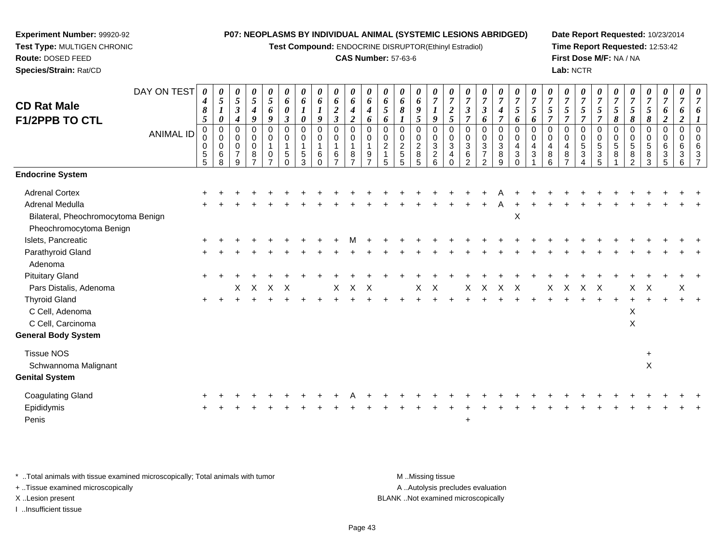**Test Compound:** ENDOCRINE DISRUPTOR(Ethinyl Estradiol)

#### **CAS Number:** 57-63-6

**Date Report Requested:** 10/23/2014**Time Report Requested:** 12:53:42**First Dose M/F:** NA / NA**Lab:** NCTR

| <b>CD Rat Male</b><br><b>F1/2PPB TO CTL</b> | DAY ON TEST<br><b>ANIMAL ID</b> | $\boldsymbol{\theta}$<br>4<br>$\pmb{8}$<br>$\mathfrak{s}$<br>$\mathbf 0$<br>0<br>$\mathbf 0$<br>$\sqrt{5}$ | 0<br>$\mathfrak{s}$<br>$\boldsymbol{l}$<br>0<br>$\pmb{0}$<br>$\mathbf 0$<br>0<br>6 | 0<br>$\overline{5}$<br>$\boldsymbol{\mathfrak{z}}$<br>4<br>0<br>0<br>$\mathbf 0$<br>$\overline{7}$ | 0<br>$\sqrt{5}$<br>$\boldsymbol{4}$<br>9<br>0<br>$\pmb{0}$<br>$\pmb{0}$<br>8 | 0<br>5<br>6<br>9<br>$\pmb{0}$<br>$\pmb{0}$<br>$\mathbf{1}$<br>0 | 0<br>6<br>$\boldsymbol{\theta}$<br>$\boldsymbol{\beta}$<br>$\mathbf 0$<br>0<br>$\mathbf{1}$<br>5 | $\boldsymbol{\theta}$<br>6<br>$\boldsymbol{l}$<br>$\boldsymbol{\theta}$<br>$\pmb{0}$<br>$\mathbf 0$<br>1<br>5 | 0<br>6<br>9<br>$\mathbf 0$<br>0<br>$\mathbf{1}$<br>6 | 0<br>6<br>$\boldsymbol{2}$<br>$\overline{\mathbf{3}}$<br>$\mathbf 0$<br>$\,0\,$<br>$\mathbf{1}$<br>6 | 0<br>6<br>$\boldsymbol{4}$<br>$\overline{2}$<br>$\pmb{0}$<br>$\pmb{0}$<br>$\mathbf{1}$<br>8 | $\theta$<br>6<br>4<br>6<br>$\Omega$<br>$\Omega$<br>$\mathbf{1}$<br>9 | $\boldsymbol{\theta}$<br>6<br>5<br>6<br>$\mathbf 0$<br>$\Omega$<br>$\overline{2}$<br>$\overline{1}$ | $\boldsymbol{\theta}$<br>$\pmb{6}$<br>8<br>0<br>$\mathbf 0$<br>$\overline{c}$<br>$\mathbf 5$ | 0<br>6<br>9<br>5<br>$\mathbf 0$<br>$\pmb{0}$<br>$\boldsymbol{2}$<br>8 | $\boldsymbol{\theta}$<br>$\overline{7}$<br>9<br>$\mathsf 0$<br>0<br>$\mathbf{3}$<br>$\overline{c}$ | $\overline{7}$<br>$\boldsymbol{2}$<br>5<br>$\mathbf 0$<br>0<br>$\mathbf{3}$<br>$\overline{4}$ | $\overline{7}$<br>$\boldsymbol{\beta}$<br>$\overline{7}$<br>$\pmb{0}$<br>$\mathbf 0$<br>$\sqrt{3}$<br>$\,6$ | $\boldsymbol{\theta}$<br>$\overline{7}$<br>$\mathbf{3}$<br>6<br>0<br>$\pmb{0}$<br>$\sqrt{3}$<br>$\overline{7}$ | 0<br>$\boldsymbol{7}$<br>4<br>$\overline{7}$<br>$\mathbf 0$<br>$\pmb{0}$<br>$\mathbf{3}$<br>8 | $\frac{\bm{\theta}}{\bm{7}}$<br>5<br>6<br>0<br>0<br>$\overline{4}$<br>3 | $\overline{7}$<br>$\mathfrak{s}$<br>6<br>$\Omega$<br>$\mathbf 0$<br>$\overline{4}$<br>3 | $\overline{7}$<br>5<br>$\Omega$<br>$\mathbf 0$<br>4<br>8 | $\boldsymbol{\theta}$<br>$\overline{7}$<br>5<br>$\overline{7}$<br>0<br>$\mathbf 0$<br>4<br>8 | 0<br>$\overline{7}$<br>5<br>$\overline{7}$<br>$\mathbf 0$<br>$\mathbf 0$<br>5<br>3 | $\boldsymbol{\theta}$<br>$\overline{7}$<br>5<br>$\overline{7}$<br>0<br>0<br>5<br>3 | $\overline{7}$<br>$\sqrt{5}$<br>8<br>$\pmb{0}$<br>0<br>5<br>8 | $\overline{7}$<br>$\mathfrak{s}$<br>8<br>$\mathbf 0$<br>$\mathbf 0$<br>$\sqrt{5}$<br>8 | $\boldsymbol{\theta}$<br>$\overline{7}$<br>$\sqrt{5}$<br>8<br>0<br>0<br>$\sqrt{5}$<br>8 | 0<br>$\boldsymbol{7}$<br>6<br>$\boldsymbol{2}$<br>$\mathbf 0$<br>$\mathbf 0$<br>6<br>$\sqrt{3}$ | 0<br>$\overline{7}$<br>6<br>$\overline{2}$<br>0<br>0<br>6<br>3 | $\mathbf{0}$<br>$\Omega$<br>6<br>3 |
|---------------------------------------------|---------------------------------|------------------------------------------------------------------------------------------------------------|------------------------------------------------------------------------------------|----------------------------------------------------------------------------------------------------|------------------------------------------------------------------------------|-----------------------------------------------------------------|--------------------------------------------------------------------------------------------------|---------------------------------------------------------------------------------------------------------------|------------------------------------------------------|------------------------------------------------------------------------------------------------------|---------------------------------------------------------------------------------------------|----------------------------------------------------------------------|-----------------------------------------------------------------------------------------------------|----------------------------------------------------------------------------------------------|-----------------------------------------------------------------------|----------------------------------------------------------------------------------------------------|-----------------------------------------------------------------------------------------------|-------------------------------------------------------------------------------------------------------------|----------------------------------------------------------------------------------------------------------------|-----------------------------------------------------------------------------------------------|-------------------------------------------------------------------------|-----------------------------------------------------------------------------------------|----------------------------------------------------------|----------------------------------------------------------------------------------------------|------------------------------------------------------------------------------------|------------------------------------------------------------------------------------|---------------------------------------------------------------|----------------------------------------------------------------------------------------|-----------------------------------------------------------------------------------------|-------------------------------------------------------------------------------------------------|----------------------------------------------------------------|------------------------------------|
|                                             |                                 | 5                                                                                                          | 8                                                                                  | 9                                                                                                  |                                                                              | $\overline{ }$                                                  | $\Omega$                                                                                         | $\mathcal{R}$                                                                                                 | $\Omega$                                             | $\overline{7}$                                                                                       | $\overline{ }$                                                                              |                                                                      | 5                                                                                                   | 5                                                                                            | 5                                                                     | 6                                                                                                  | $\Omega$                                                                                      | $\mathcal{D}$                                                                                               | $\mathcal{P}$                                                                                                  | 9                                                                                             | $\Omega$                                                                |                                                                                         | 6                                                        |                                                                                              |                                                                                    | 5                                                                                  |                                                               | $\mathcal{P}$                                                                          | 3                                                                                       | 5                                                                                               | 6                                                              |                                    |
| <b>Endocrine System</b>                     |                                 |                                                                                                            |                                                                                    |                                                                                                    |                                                                              |                                                                 |                                                                                                  |                                                                                                               |                                                      |                                                                                                      |                                                                                             |                                                                      |                                                                                                     |                                                                                              |                                                                       |                                                                                                    |                                                                                               |                                                                                                             |                                                                                                                |                                                                                               |                                                                         |                                                                                         |                                                          |                                                                                              |                                                                                    |                                                                                    |                                                               |                                                                                        |                                                                                         |                                                                                                 |                                                                |                                    |
| <b>Adrenal Cortex</b>                       |                                 |                                                                                                            |                                                                                    |                                                                                                    |                                                                              |                                                                 |                                                                                                  |                                                                                                               |                                                      |                                                                                                      |                                                                                             |                                                                      |                                                                                                     |                                                                                              |                                                                       |                                                                                                    |                                                                                               |                                                                                                             |                                                                                                                |                                                                                               |                                                                         |                                                                                         |                                                          |                                                                                              |                                                                                    |                                                                                    |                                                               |                                                                                        |                                                                                         |                                                                                                 |                                                                |                                    |
| Adrenal Medulla                             |                                 |                                                                                                            |                                                                                    |                                                                                                    |                                                                              |                                                                 |                                                                                                  |                                                                                                               |                                                      |                                                                                                      |                                                                                             |                                                                      |                                                                                                     |                                                                                              |                                                                       |                                                                                                    |                                                                                               |                                                                                                             |                                                                                                                |                                                                                               |                                                                         |                                                                                         |                                                          |                                                                                              |                                                                                    |                                                                                    |                                                               |                                                                                        |                                                                                         |                                                                                                 |                                                                |                                    |
| Bilateral, Pheochromocytoma Benign          |                                 |                                                                                                            |                                                                                    |                                                                                                    |                                                                              |                                                                 |                                                                                                  |                                                                                                               |                                                      |                                                                                                      |                                                                                             |                                                                      |                                                                                                     |                                                                                              |                                                                       |                                                                                                    |                                                                                               |                                                                                                             |                                                                                                                |                                                                                               | $\mathsf X$                                                             |                                                                                         |                                                          |                                                                                              |                                                                                    |                                                                                    |                                                               |                                                                                        |                                                                                         |                                                                                                 |                                                                |                                    |
| Pheochromocytoma Benign                     |                                 |                                                                                                            |                                                                                    |                                                                                                    |                                                                              |                                                                 |                                                                                                  |                                                                                                               |                                                      |                                                                                                      |                                                                                             |                                                                      |                                                                                                     |                                                                                              |                                                                       |                                                                                                    |                                                                                               |                                                                                                             |                                                                                                                |                                                                                               |                                                                         |                                                                                         |                                                          |                                                                                              |                                                                                    |                                                                                    |                                                               |                                                                                        |                                                                                         |                                                                                                 |                                                                |                                    |
| Islets, Pancreatic                          |                                 |                                                                                                            |                                                                                    |                                                                                                    |                                                                              |                                                                 |                                                                                                  |                                                                                                               |                                                      |                                                                                                      |                                                                                             |                                                                      |                                                                                                     |                                                                                              |                                                                       |                                                                                                    |                                                                                               |                                                                                                             |                                                                                                                |                                                                                               |                                                                         |                                                                                         |                                                          |                                                                                              |                                                                                    |                                                                                    |                                                               |                                                                                        |                                                                                         |                                                                                                 |                                                                |                                    |
| Parathyroid Gland                           |                                 |                                                                                                            |                                                                                    |                                                                                                    |                                                                              |                                                                 |                                                                                                  |                                                                                                               |                                                      |                                                                                                      |                                                                                             |                                                                      |                                                                                                     |                                                                                              |                                                                       |                                                                                                    |                                                                                               |                                                                                                             |                                                                                                                |                                                                                               |                                                                         |                                                                                         |                                                          |                                                                                              |                                                                                    |                                                                                    |                                                               |                                                                                        |                                                                                         |                                                                                                 |                                                                |                                    |
| Adenoma                                     |                                 |                                                                                                            |                                                                                    |                                                                                                    |                                                                              |                                                                 |                                                                                                  |                                                                                                               |                                                      |                                                                                                      |                                                                                             |                                                                      |                                                                                                     |                                                                                              |                                                                       |                                                                                                    |                                                                                               |                                                                                                             |                                                                                                                |                                                                                               |                                                                         |                                                                                         |                                                          |                                                                                              |                                                                                    |                                                                                    |                                                               |                                                                                        |                                                                                         |                                                                                                 |                                                                |                                    |
| <b>Pituitary Gland</b>                      |                                 |                                                                                                            |                                                                                    |                                                                                                    |                                                                              |                                                                 |                                                                                                  |                                                                                                               |                                                      |                                                                                                      |                                                                                             |                                                                      |                                                                                                     |                                                                                              |                                                                       |                                                                                                    |                                                                                               |                                                                                                             |                                                                                                                |                                                                                               |                                                                         |                                                                                         |                                                          |                                                                                              |                                                                                    |                                                                                    |                                                               |                                                                                        |                                                                                         |                                                                                                 |                                                                |                                    |
| Pars Distalis, Adenoma                      |                                 |                                                                                                            |                                                                                    | X.                                                                                                 | $\mathsf{X}$                                                                 | $\boldsymbol{\mathsf{X}}$                                       | $\times$                                                                                         |                                                                                                               |                                                      | X                                                                                                    | X                                                                                           | X                                                                    |                                                                                                     |                                                                                              | X                                                                     | $\times$                                                                                           |                                                                                               | X                                                                                                           | $\times$                                                                                                       | $\times$                                                                                      | $\mathsf{X}$                                                            |                                                                                         | X                                                        | $\boldsymbol{\mathsf{X}}$                                                                    | $\mathsf{X}$                                                                       | $\mathsf{X}$                                                                       |                                                               | X                                                                                      | $\times$                                                                                |                                                                                                 | X                                                              |                                    |
| <b>Thyroid Gland</b>                        |                                 |                                                                                                            |                                                                                    |                                                                                                    |                                                                              |                                                                 |                                                                                                  |                                                                                                               |                                                      |                                                                                                      |                                                                                             |                                                                      |                                                                                                     |                                                                                              |                                                                       |                                                                                                    |                                                                                               |                                                                                                             |                                                                                                                |                                                                                               |                                                                         |                                                                                         |                                                          |                                                                                              |                                                                                    |                                                                                    |                                                               |                                                                                        |                                                                                         |                                                                                                 |                                                                |                                    |
| C Cell, Adenoma                             |                                 |                                                                                                            |                                                                                    |                                                                                                    |                                                                              |                                                                 |                                                                                                  |                                                                                                               |                                                      |                                                                                                      |                                                                                             |                                                                      |                                                                                                     |                                                                                              |                                                                       |                                                                                                    |                                                                                               |                                                                                                             |                                                                                                                |                                                                                               |                                                                         |                                                                                         |                                                          |                                                                                              |                                                                                    |                                                                                    |                                                               | X                                                                                      |                                                                                         |                                                                                                 |                                                                |                                    |
| C Cell, Carcinoma                           |                                 |                                                                                                            |                                                                                    |                                                                                                    |                                                                              |                                                                 |                                                                                                  |                                                                                                               |                                                      |                                                                                                      |                                                                                             |                                                                      |                                                                                                     |                                                                                              |                                                                       |                                                                                                    |                                                                                               |                                                                                                             |                                                                                                                |                                                                                               |                                                                         |                                                                                         |                                                          |                                                                                              |                                                                                    |                                                                                    |                                                               | $\pmb{\times}$                                                                         |                                                                                         |                                                                                                 |                                                                |                                    |
| <b>General Body System</b>                  |                                 |                                                                                                            |                                                                                    |                                                                                                    |                                                                              |                                                                 |                                                                                                  |                                                                                                               |                                                      |                                                                                                      |                                                                                             |                                                                      |                                                                                                     |                                                                                              |                                                                       |                                                                                                    |                                                                                               |                                                                                                             |                                                                                                                |                                                                                               |                                                                         |                                                                                         |                                                          |                                                                                              |                                                                                    |                                                                                    |                                                               |                                                                                        |                                                                                         |                                                                                                 |                                                                |                                    |
| <b>Tissue NOS</b>                           |                                 |                                                                                                            |                                                                                    |                                                                                                    |                                                                              |                                                                 |                                                                                                  |                                                                                                               |                                                      |                                                                                                      |                                                                                             |                                                                      |                                                                                                     |                                                                                              |                                                                       |                                                                                                    |                                                                                               |                                                                                                             |                                                                                                                |                                                                                               |                                                                         |                                                                                         |                                                          |                                                                                              |                                                                                    |                                                                                    |                                                               |                                                                                        | $\ddot{}$                                                                               |                                                                                                 |                                                                |                                    |
| Schwannoma Malignant                        |                                 |                                                                                                            |                                                                                    |                                                                                                    |                                                                              |                                                                 |                                                                                                  |                                                                                                               |                                                      |                                                                                                      |                                                                                             |                                                                      |                                                                                                     |                                                                                              |                                                                       |                                                                                                    |                                                                                               |                                                                                                             |                                                                                                                |                                                                                               |                                                                         |                                                                                         |                                                          |                                                                                              |                                                                                    |                                                                                    |                                                               |                                                                                        | $\pmb{\times}$                                                                          |                                                                                                 |                                                                |                                    |
| <b>Genital System</b>                       |                                 |                                                                                                            |                                                                                    |                                                                                                    |                                                                              |                                                                 |                                                                                                  |                                                                                                               |                                                      |                                                                                                      |                                                                                             |                                                                      |                                                                                                     |                                                                                              |                                                                       |                                                                                                    |                                                                                               |                                                                                                             |                                                                                                                |                                                                                               |                                                                         |                                                                                         |                                                          |                                                                                              |                                                                                    |                                                                                    |                                                               |                                                                                        |                                                                                         |                                                                                                 |                                                                |                                    |
| <b>Coagulating Gland</b>                    |                                 |                                                                                                            |                                                                                    |                                                                                                    |                                                                              |                                                                 |                                                                                                  |                                                                                                               |                                                      |                                                                                                      |                                                                                             |                                                                      |                                                                                                     |                                                                                              |                                                                       |                                                                                                    |                                                                                               |                                                                                                             |                                                                                                                |                                                                                               |                                                                         |                                                                                         |                                                          |                                                                                              |                                                                                    |                                                                                    |                                                               |                                                                                        |                                                                                         |                                                                                                 |                                                                |                                    |
| Epididymis                                  |                                 |                                                                                                            |                                                                                    |                                                                                                    |                                                                              |                                                                 |                                                                                                  |                                                                                                               |                                                      |                                                                                                      |                                                                                             |                                                                      |                                                                                                     |                                                                                              |                                                                       |                                                                                                    |                                                                                               |                                                                                                             |                                                                                                                |                                                                                               |                                                                         |                                                                                         |                                                          |                                                                                              |                                                                                    |                                                                                    |                                                               |                                                                                        |                                                                                         |                                                                                                 |                                                                |                                    |
| Penis                                       |                                 |                                                                                                            |                                                                                    |                                                                                                    |                                                                              |                                                                 |                                                                                                  |                                                                                                               |                                                      |                                                                                                      |                                                                                             |                                                                      |                                                                                                     |                                                                                              |                                                                       |                                                                                                    |                                                                                               | $\ddot{}$                                                                                                   |                                                                                                                |                                                                                               |                                                                         |                                                                                         |                                                          |                                                                                              |                                                                                    |                                                                                    |                                                               |                                                                                        |                                                                                         |                                                                                                 |                                                                |                                    |
|                                             |                                 |                                                                                                            |                                                                                    |                                                                                                    |                                                                              |                                                                 |                                                                                                  |                                                                                                               |                                                      |                                                                                                      |                                                                                             |                                                                      |                                                                                                     |                                                                                              |                                                                       |                                                                                                    |                                                                                               |                                                                                                             |                                                                                                                |                                                                                               |                                                                         |                                                                                         |                                                          |                                                                                              |                                                                                    |                                                                                    |                                                               |                                                                                        |                                                                                         |                                                                                                 |                                                                |                                    |

\* ..Total animals with tissue examined microscopically; Total animals with tumor **M** . Missing tissue M ..Missing tissue

+ ..Tissue examined microscopically

**Experiment Number:** 99920-92**Test Type:** MULTIGEN CHRONIC

**Route:** DOSED FEED**Species/Strain:** Rat/CD

I ..Insufficient tissue

A ..Autolysis precludes evaluation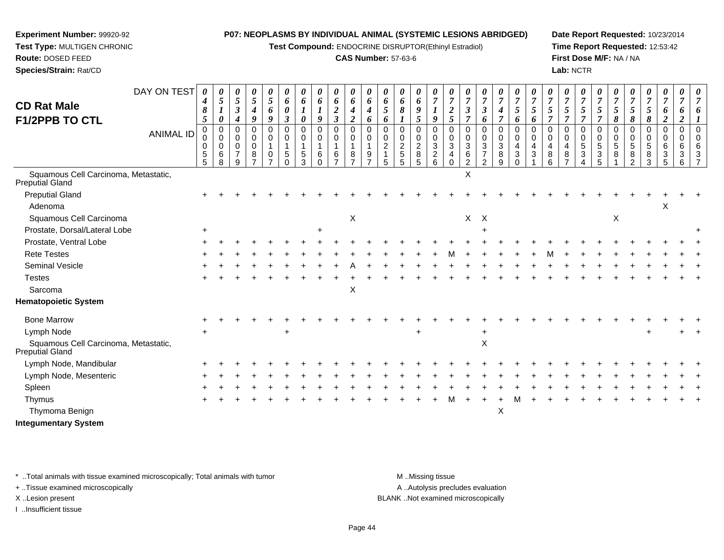**Test Compound:** ENDOCRINE DISRUPTOR(Ethinyl Estradiol)

#### **CAS Number:** 57-63-6

**Date Report Requested:** 10/23/2014**Time Report Requested:** 12:53:42**First Dose M/F:** NA / NA**Lab:** NCTR

| <b>CD Rat Male</b><br><b>F1/2PPB TO CTL</b>             | DAY ON TEST<br><b>ANIMAL ID</b> | 0<br>4<br>8<br>5<br>$\Omega$<br>0<br>0<br>5<br>5 | 0<br>5<br>1<br>$\boldsymbol{\theta}$<br>$\Omega$<br>$\mathbf 0$<br>0<br>6<br>8 | 0<br>5<br>$\boldsymbol{\beta}$<br>$\boldsymbol{4}$<br>0<br>$\mathbf 0$<br>$\mathbf 0$<br>$\overline{7}$<br>9 | $\pmb{\theta}$<br>5<br>$\boldsymbol{4}$<br>9<br>0<br>$\mathbf 0$<br>$\mathbf 0$<br>8 | 0<br>5<br>6<br>9<br>$\mathbf 0$<br>$\mathbf 0$<br>$\mathbf{1}$<br>0 | 0<br>6<br>0<br>3<br>$\Omega$<br>$\Omega$<br>5<br><sup>0</sup> | 0<br>6<br>0<br>$\Omega$<br>$\Omega$<br>5<br>3 | 0<br>6<br>9<br>0<br>$\mathbf 0$<br>6<br>$\Omega$ | 0<br>6<br>$\boldsymbol{2}$<br>$\mathfrak{z}$<br>0<br>$\mathbf 0$<br>$\mathbf{1}$<br>6 | 0<br>6<br>$\boldsymbol{4}$<br>$\overline{2}$<br>$\mathbf 0$<br>$\mathsf 0$<br>$\mathbf{1}$<br>8 | 0<br>6<br>4<br>6<br>$\Omega$<br>$\Omega$<br>9 | 0<br>6<br>5<br>6<br>$\Omega$<br>$\mathbf 0$<br>$\overline{2}$ | 0<br>6<br>8<br>0<br>$\mathbf 0$<br>$\overline{c}$<br>$\sqrt{5}$<br>5 | 0<br>6<br>9<br>5 <sup>5</sup><br>0<br>$\mathbf 0$<br>$\overline{c}$<br>8<br>5 | 0<br>$\overline{7}$<br>1<br>9<br>$\mathbf 0$<br>0<br>$\mathbf{3}$<br>$\overline{c}$<br>6 | $\theta$<br>$\overline{7}$<br>$\boldsymbol{2}$<br>5<br>$\Omega$<br>$\mathbf 0$<br>3<br>4<br>$\Omega$ | $\theta$<br>$\overline{7}$<br>$\boldsymbol{\beta}$<br>$\overline{7}$<br>$\Omega$<br>$\mathbf 0$<br>3<br>6<br>$\overline{2}$ | 0<br>$\overline{7}$<br>$\boldsymbol{\beta}$<br>6<br>0<br>$\mathbf 0$<br>$\mathbf{3}$<br>$\overline{7}$<br>$\mathfrak{p}$ | 0<br>$\overline{7}$<br>$\boldsymbol{4}$<br>$\overline{7}$<br>$\pmb{0}$<br>$\mathbf 0$<br>$\ensuremath{\mathsf{3}}$<br>8<br>9 | 0<br>$\overline{7}$<br>5<br>6<br>$\mathbf 0$<br>$\mathbf 0$<br>4<br>3<br>$\Omega$ | $\theta$<br>$\overline{7}$<br>5<br>6<br>$\Omega$<br>$\Omega$<br>4<br>3 | $\overline{7}$<br>5<br>$\Omega$<br>$\Omega$<br>8 | 0<br>$\overline{7}$<br>$5\overline{)}$<br>$\overline{7}$<br>$\Omega$<br>$\mathbf 0$<br>4<br>8 | 0<br>$\overline{7}$<br>5<br>$\overline{7}$<br>0<br>0<br>5<br>3 | 0<br>$\overline{7}$<br>5<br>$\overline{7}$<br>$\mathbf 0$<br>$\mathbf 0$<br>$\sqrt{5}$<br>3<br>5 | 0<br>$\overline{7}$<br>5<br>8<br>0<br>0<br>5<br>8 | $\boldsymbol{\theta}$<br>$\overline{7}$<br>5<br>8<br>$\Omega$<br>$\mathbf 0$<br>5<br>8<br>$\Omega$ | 0<br>$\overline{7}$<br>5<br>8<br>0<br>0<br>$\,$ 5 $\,$<br>8<br>3 | 0<br>$\overline{7}$<br>6<br>$\overline{2}$<br>$\mathbf 0$<br>$\mathbf 0$<br>6<br>3<br>5 | 0<br>$\overline{7}$<br>6<br>2<br>$\mathbf 0$<br>$\mathbf 0$<br>6<br>3<br>6 | U<br>$\overline{7}$ |
|---------------------------------------------------------|---------------------------------|--------------------------------------------------|--------------------------------------------------------------------------------|--------------------------------------------------------------------------------------------------------------|--------------------------------------------------------------------------------------|---------------------------------------------------------------------|---------------------------------------------------------------|-----------------------------------------------|--------------------------------------------------|---------------------------------------------------------------------------------------|-------------------------------------------------------------------------------------------------|-----------------------------------------------|---------------------------------------------------------------|----------------------------------------------------------------------|-------------------------------------------------------------------------------|------------------------------------------------------------------------------------------|------------------------------------------------------------------------------------------------------|-----------------------------------------------------------------------------------------------------------------------------|--------------------------------------------------------------------------------------------------------------------------|------------------------------------------------------------------------------------------------------------------------------|-----------------------------------------------------------------------------------|------------------------------------------------------------------------|--------------------------------------------------|-----------------------------------------------------------------------------------------------|----------------------------------------------------------------|--------------------------------------------------------------------------------------------------|---------------------------------------------------|----------------------------------------------------------------------------------------------------|------------------------------------------------------------------|-----------------------------------------------------------------------------------------|----------------------------------------------------------------------------|---------------------|
| Squamous Cell Carcinoma, Metastatic,<br>Preputial Gland |                                 |                                                  |                                                                                |                                                                                                              |                                                                                      |                                                                     |                                                               |                                               |                                                  |                                                                                       |                                                                                                 |                                               |                                                               |                                                                      |                                                                               |                                                                                          |                                                                                                      | $\mathsf X$                                                                                                                 |                                                                                                                          |                                                                                                                              |                                                                                   |                                                                        |                                                  |                                                                                               |                                                                |                                                                                                  |                                                   |                                                                                                    |                                                                  |                                                                                         |                                                                            |                     |
| <b>Preputial Gland</b>                                  |                                 |                                                  |                                                                                |                                                                                                              |                                                                                      |                                                                     |                                                               |                                               |                                                  |                                                                                       |                                                                                                 |                                               |                                                               |                                                                      |                                                                               |                                                                                          |                                                                                                      |                                                                                                                             |                                                                                                                          |                                                                                                                              |                                                                                   |                                                                        |                                                  |                                                                                               |                                                                |                                                                                                  |                                                   |                                                                                                    |                                                                  |                                                                                         |                                                                            |                     |
| Adenoma                                                 |                                 |                                                  |                                                                                |                                                                                                              |                                                                                      |                                                                     |                                                               |                                               |                                                  |                                                                                       |                                                                                                 |                                               |                                                               |                                                                      |                                                                               |                                                                                          |                                                                                                      |                                                                                                                             |                                                                                                                          |                                                                                                                              |                                                                                   |                                                                        |                                                  |                                                                                               |                                                                |                                                                                                  |                                                   |                                                                                                    |                                                                  | х                                                                                       |                                                                            |                     |
| Squamous Cell Carcinoma                                 |                                 |                                                  |                                                                                |                                                                                                              |                                                                                      |                                                                     |                                                               |                                               |                                                  |                                                                                       | $\boldsymbol{\mathsf{X}}$                                                                       |                                               |                                                               |                                                                      |                                                                               |                                                                                          |                                                                                                      | X                                                                                                                           | $\boldsymbol{\mathsf{X}}$                                                                                                |                                                                                                                              |                                                                                   |                                                                        |                                                  |                                                                                               |                                                                |                                                                                                  | X                                                 |                                                                                                    |                                                                  |                                                                                         |                                                                            |                     |
| Prostate, Dorsal/Lateral Lobe                           |                                 | $+$                                              |                                                                                |                                                                                                              |                                                                                      |                                                                     |                                                               |                                               | $\ddot{}$                                        |                                                                                       |                                                                                                 |                                               |                                                               |                                                                      |                                                                               |                                                                                          |                                                                                                      |                                                                                                                             |                                                                                                                          |                                                                                                                              |                                                                                   |                                                                        |                                                  |                                                                                               |                                                                |                                                                                                  |                                                   |                                                                                                    |                                                                  |                                                                                         |                                                                            |                     |
| Prostate, Ventral Lobe                                  |                                 |                                                  |                                                                                |                                                                                                              |                                                                                      |                                                                     |                                                               |                                               |                                                  |                                                                                       |                                                                                                 |                                               |                                                               |                                                                      |                                                                               |                                                                                          |                                                                                                      |                                                                                                                             |                                                                                                                          |                                                                                                                              |                                                                                   |                                                                        |                                                  |                                                                                               |                                                                |                                                                                                  |                                                   |                                                                                                    |                                                                  |                                                                                         |                                                                            |                     |
| <b>Rete Testes</b>                                      |                                 |                                                  |                                                                                |                                                                                                              |                                                                                      |                                                                     |                                                               |                                               |                                                  |                                                                                       |                                                                                                 |                                               |                                                               |                                                                      |                                                                               |                                                                                          |                                                                                                      |                                                                                                                             |                                                                                                                          |                                                                                                                              |                                                                                   |                                                                        |                                                  |                                                                                               |                                                                |                                                                                                  |                                                   |                                                                                                    |                                                                  |                                                                                         |                                                                            |                     |
| Seminal Vesicle                                         |                                 |                                                  |                                                                                |                                                                                                              |                                                                                      |                                                                     |                                                               |                                               |                                                  |                                                                                       |                                                                                                 |                                               |                                                               |                                                                      |                                                                               |                                                                                          |                                                                                                      |                                                                                                                             |                                                                                                                          |                                                                                                                              |                                                                                   |                                                                        |                                                  |                                                                                               |                                                                |                                                                                                  |                                                   |                                                                                                    |                                                                  |                                                                                         |                                                                            |                     |
| <b>Testes</b>                                           |                                 |                                                  |                                                                                |                                                                                                              |                                                                                      |                                                                     |                                                               |                                               |                                                  |                                                                                       |                                                                                                 |                                               |                                                               |                                                                      |                                                                               |                                                                                          |                                                                                                      |                                                                                                                             |                                                                                                                          |                                                                                                                              |                                                                                   |                                                                        |                                                  |                                                                                               |                                                                |                                                                                                  |                                                   |                                                                                                    |                                                                  |                                                                                         |                                                                            |                     |
| Sarcoma                                                 |                                 |                                                  |                                                                                |                                                                                                              |                                                                                      |                                                                     |                                                               |                                               |                                                  |                                                                                       | X                                                                                               |                                               |                                                               |                                                                      |                                                                               |                                                                                          |                                                                                                      |                                                                                                                             |                                                                                                                          |                                                                                                                              |                                                                                   |                                                                        |                                                  |                                                                                               |                                                                |                                                                                                  |                                                   |                                                                                                    |                                                                  |                                                                                         |                                                                            |                     |
| <b>Hematopoietic System</b>                             |                                 |                                                  |                                                                                |                                                                                                              |                                                                                      |                                                                     |                                                               |                                               |                                                  |                                                                                       |                                                                                                 |                                               |                                                               |                                                                      |                                                                               |                                                                                          |                                                                                                      |                                                                                                                             |                                                                                                                          |                                                                                                                              |                                                                                   |                                                                        |                                                  |                                                                                               |                                                                |                                                                                                  |                                                   |                                                                                                    |                                                                  |                                                                                         |                                                                            |                     |
| <b>Bone Marrow</b>                                      |                                 |                                                  |                                                                                |                                                                                                              |                                                                                      |                                                                     |                                                               |                                               |                                                  |                                                                                       |                                                                                                 |                                               |                                                               |                                                                      |                                                                               |                                                                                          |                                                                                                      |                                                                                                                             |                                                                                                                          |                                                                                                                              |                                                                                   |                                                                        |                                                  |                                                                                               |                                                                |                                                                                                  |                                                   |                                                                                                    |                                                                  |                                                                                         |                                                                            |                     |
| Lymph Node                                              |                                 |                                                  |                                                                                |                                                                                                              |                                                                                      |                                                                     |                                                               |                                               |                                                  |                                                                                       |                                                                                                 |                                               |                                                               |                                                                      |                                                                               |                                                                                          |                                                                                                      |                                                                                                                             |                                                                                                                          |                                                                                                                              |                                                                                   |                                                                        |                                                  |                                                                                               |                                                                |                                                                                                  |                                                   |                                                                                                    |                                                                  |                                                                                         |                                                                            |                     |
| Squamous Cell Carcinoma, Metastatic,<br>Preputial Gland |                                 |                                                  |                                                                                |                                                                                                              |                                                                                      |                                                                     |                                                               |                                               |                                                  |                                                                                       |                                                                                                 |                                               |                                                               |                                                                      |                                                                               |                                                                                          |                                                                                                      |                                                                                                                             | Χ                                                                                                                        |                                                                                                                              |                                                                                   |                                                                        |                                                  |                                                                                               |                                                                |                                                                                                  |                                                   |                                                                                                    |                                                                  |                                                                                         |                                                                            |                     |
| Lymph Node, Mandibular                                  |                                 |                                                  |                                                                                |                                                                                                              |                                                                                      |                                                                     |                                                               |                                               |                                                  |                                                                                       |                                                                                                 |                                               |                                                               |                                                                      |                                                                               |                                                                                          |                                                                                                      |                                                                                                                             |                                                                                                                          |                                                                                                                              |                                                                                   |                                                                        |                                                  |                                                                                               |                                                                |                                                                                                  |                                                   |                                                                                                    |                                                                  |                                                                                         |                                                                            |                     |
| Lymph Node, Mesenteric                                  |                                 |                                                  |                                                                                |                                                                                                              |                                                                                      |                                                                     |                                                               |                                               |                                                  |                                                                                       |                                                                                                 |                                               |                                                               |                                                                      |                                                                               |                                                                                          |                                                                                                      |                                                                                                                             |                                                                                                                          |                                                                                                                              |                                                                                   |                                                                        |                                                  |                                                                                               |                                                                |                                                                                                  |                                                   |                                                                                                    |                                                                  |                                                                                         |                                                                            |                     |
| Spleen                                                  |                                 |                                                  |                                                                                |                                                                                                              |                                                                                      |                                                                     |                                                               |                                               |                                                  |                                                                                       |                                                                                                 |                                               |                                                               |                                                                      |                                                                               |                                                                                          |                                                                                                      |                                                                                                                             |                                                                                                                          |                                                                                                                              |                                                                                   |                                                                        |                                                  |                                                                                               |                                                                |                                                                                                  |                                                   |                                                                                                    |                                                                  |                                                                                         |                                                                            |                     |
| Thymus                                                  |                                 |                                                  |                                                                                |                                                                                                              |                                                                                      |                                                                     |                                                               |                                               |                                                  |                                                                                       |                                                                                                 |                                               |                                                               |                                                                      |                                                                               |                                                                                          |                                                                                                      |                                                                                                                             |                                                                                                                          |                                                                                                                              |                                                                                   |                                                                        |                                                  |                                                                                               |                                                                |                                                                                                  |                                                   |                                                                                                    |                                                                  |                                                                                         |                                                                            |                     |
| Thymoma Benign                                          |                                 |                                                  |                                                                                |                                                                                                              |                                                                                      |                                                                     |                                                               |                                               |                                                  |                                                                                       |                                                                                                 |                                               |                                                               |                                                                      |                                                                               |                                                                                          |                                                                                                      |                                                                                                                             |                                                                                                                          | Χ                                                                                                                            |                                                                                   |                                                                        |                                                  |                                                                                               |                                                                |                                                                                                  |                                                   |                                                                                                    |                                                                  |                                                                                         |                                                                            |                     |
|                                                         |                                 |                                                  |                                                                                |                                                                                                              |                                                                                      |                                                                     |                                                               |                                               |                                                  |                                                                                       |                                                                                                 |                                               |                                                               |                                                                      |                                                                               |                                                                                          |                                                                                                      |                                                                                                                             |                                                                                                                          |                                                                                                                              |                                                                                   |                                                                        |                                                  |                                                                                               |                                                                |                                                                                                  |                                                   |                                                                                                    |                                                                  |                                                                                         |                                                                            |                     |

**Integumentary System**

**Experiment Number:** 99920-92**Test Type:** MULTIGEN CHRONIC

**Route:** DOSED FEED**Species/Strain:** Rat/CD

\* ..Total animals with tissue examined microscopically; Total animals with tumor **M** . Missing tissue M ..Missing tissue

+ ..Tissue examined microscopically

I ..Insufficient tissue

A ..Autolysis precludes evaluation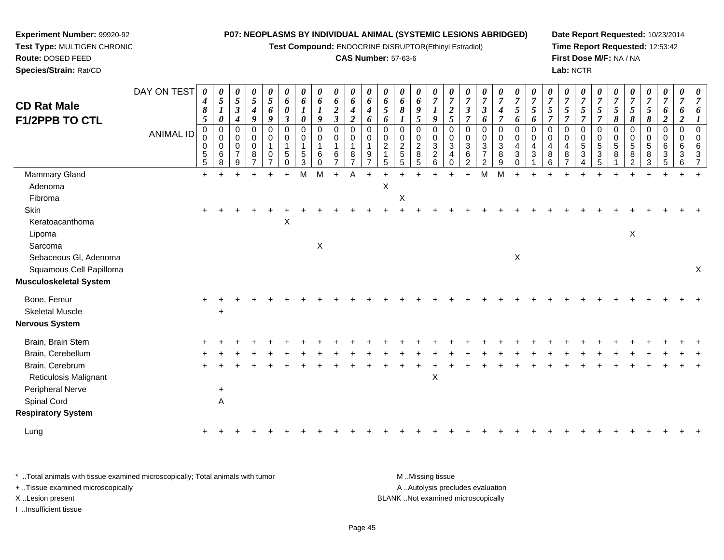**Test Compound:** ENDOCRINE DISRUPTOR(Ethinyl Estradiol)

## **CAS Number:** 57-63-6

**Date Report Requested:** 10/23/2014 **Time Report Requested:** 12:53:42**First Dose M/F:** NA / NA**Lab:** NCTR

 $+$ 

| Species/Strain: Rat/CD                                         |                  |                                              |                       |                                                                 |                                                                      |                              |                                                          |                                                     |                                               |                                                    |                                                |                    |                                                              |                                                  |                                                 |                         |                               |                                                                 |                                                                           |                                              |                                                   |                                                                   |                                                  |                                            | Lab: NCTR                  |                                                       |                                      |                                      |                                           |                                                                       |                                            |                       |
|----------------------------------------------------------------|------------------|----------------------------------------------|-----------------------|-----------------------------------------------------------------|----------------------------------------------------------------------|------------------------------|----------------------------------------------------------|-----------------------------------------------------|-----------------------------------------------|----------------------------------------------------|------------------------------------------------|--------------------|--------------------------------------------------------------|--------------------------------------------------|-------------------------------------------------|-------------------------|-------------------------------|-----------------------------------------------------------------|---------------------------------------------------------------------------|----------------------------------------------|---------------------------------------------------|-------------------------------------------------------------------|--------------------------------------------------|--------------------------------------------|----------------------------|-------------------------------------------------------|--------------------------------------|--------------------------------------|-------------------------------------------|-----------------------------------------------------------------------|--------------------------------------------|-----------------------|
| <b>CD Rat Male</b><br><b>F1/2PPB TO CTL</b>                    | DAY ON TEST      | 0<br>$\boldsymbol{4}$<br>8<br>$\mathfrak{H}$ | 0<br>5<br>0           | 0<br>$\mathfrak{H}$<br>$\boldsymbol{\beta}$<br>$\boldsymbol{4}$ | $\boldsymbol{\theta}$<br>5<br>$\boldsymbol{4}$<br>9                  | 5<br>6<br>9                  | $\theta$<br>6<br>$\boldsymbol{\theta}$<br>$\mathfrak{z}$ | 0<br>6<br>$\boldsymbol{I}$<br>$\boldsymbol{\theta}$ | 0<br>6<br>9                                   | 0<br>6<br>$\boldsymbol{2}$<br>$\boldsymbol{\beta}$ | $\boldsymbol{\theta}$<br>6<br>$\boldsymbol{2}$ | 0<br>6<br>4<br>6   | 0<br>6<br>5<br>6                                             | 0<br>6<br>8                                      | 6<br>5                                          | $\overline{7}$<br>9     | 0<br>$\overline{7}$<br>2<br>5 | 0<br>$\overline{7}$<br>7                                        | 0<br>$\overline{7}$<br>3<br>6                                             | $\boldsymbol{\theta}$<br>$\overline{7}$<br>7 | $\boldsymbol{\theta}$<br>$\overline{7}$<br>5<br>6 | $\boldsymbol{\theta}$<br>$\overline{7}$<br>5<br>6                 | U<br>$\overline{7}$<br>5                         | U<br>$\overline{7}$<br>5<br>$\overline{7}$ | 0<br>$\overline{\tau}$     | 0<br>$\overline{7}$<br>5                              | U<br>$\overline{7}$<br>5<br>8        | 5<br>8                               | $\frac{\theta}{7}$<br>5<br>8              | $\frac{\boldsymbol{\theta}}{\boldsymbol{7}}$<br>6<br>$\boldsymbol{2}$ | 0<br>$\overline{7}$<br>0<br>$\overline{2}$ | $\boldsymbol{\theta}$ |
|                                                                | <b>ANIMAL ID</b> | 0<br>0<br>5<br>5                             | 0<br>0<br>0<br>6<br>8 | 0<br>$\pmb{0}$<br>$\pmb{0}$<br>$\overline{7}$<br>9              | $\mathbf 0$<br>$\pmb{0}$<br>$\mathbf 0$<br>$\,8\,$<br>$\overline{ }$ | $\Omega$<br>$\mathbf 0$<br>0 | $\Omega$<br>$\mathbf 0$<br>5<br>$\Omega$                 | $\mathbf 0$<br>$\mathbf 0$<br>$\sqrt{5}$<br>3       | $\Omega$<br>$\mathbf 0$<br>1<br>6<br>$\Omega$ | $\Omega$<br>0<br>1<br>6<br>$\overline{ }$          | $\Omega$<br>$\Omega$<br>8                      | $\Omega$<br>0<br>9 | $\pmb{0}$<br>$\begin{array}{c} 0 \\ 2 \\ 1 \end{array}$<br>5 | $\mathbf 0$<br>$\mathbf 0$<br>$\frac{2}{5}$<br>5 | $\mathbf 0$<br>$\boldsymbol{2}$<br>$\bf 8$<br>5 | $\Omega$<br>3<br>2<br>6 | 0<br>3<br>4<br>$\Omega$       | $\Omega$<br>$\Omega$<br>$\sqrt{3}$<br>$\,6\,$<br>$\overline{2}$ | $\Omega$<br>$\mathbf 0$<br>$\sqrt{3}$<br>$\overline{7}$<br>$\overline{2}$ | $\Omega$<br>3<br>8<br>9                      | 0<br>0<br>4<br>$\mathbf{3}$<br>$\Omega$           | $\mathbf 0$<br>$\pmb{0}$<br>$\overline{\mathbf{4}}$<br>$\sqrt{3}$ | $\Omega$<br>$\Omega$<br>$\overline{4}$<br>8<br>6 | $\Omega$<br>$\overline{4}$<br>8            | 0<br>$\mathbf 0$<br>5<br>3 | 0<br>$\pmb{0}$<br>5<br>$\ensuremath{\mathsf{3}}$<br>5 | $\mathbf 0$<br>$\mathbf 0$<br>5<br>8 | $\Omega$<br>5<br>8<br>$\overline{2}$ | $\mathbf 0$<br>$\mathbf 0$<br>5<br>8<br>3 | $\pmb{0}$<br>$\mathbf 0$<br>$\,6\,$<br>$\sqrt{3}$<br>5                | $\Omega$<br>$\Omega$<br>6<br>3<br>6        |                       |
| Mammary Gland                                                  |                  | $+$                                          |                       |                                                                 |                                                                      |                              |                                                          | M                                                   | M                                             | $+$                                                |                                                |                    |                                                              |                                                  |                                                 |                         |                               | $\ddot{}$                                                       | M                                                                         | M                                            |                                                   |                                                                   |                                                  |                                            |                            |                                                       |                                      |                                      |                                           |                                                                       |                                            |                       |
| Adenoma                                                        |                  |                                              |                       |                                                                 |                                                                      |                              |                                                          |                                                     |                                               |                                                    |                                                |                    | X                                                            |                                                  |                                                 |                         |                               |                                                                 |                                                                           |                                              |                                                   |                                                                   |                                                  |                                            |                            |                                                       |                                      |                                      |                                           |                                                                       |                                            |                       |
| Fibroma                                                        |                  |                                              |                       |                                                                 |                                                                      |                              |                                                          |                                                     |                                               |                                                    |                                                |                    |                                                              | X                                                |                                                 |                         |                               |                                                                 |                                                                           |                                              |                                                   |                                                                   |                                                  |                                            |                            |                                                       |                                      |                                      |                                           |                                                                       |                                            |                       |
| Skin                                                           |                  |                                              |                       |                                                                 |                                                                      |                              |                                                          |                                                     |                                               |                                                    |                                                |                    |                                                              |                                                  |                                                 |                         |                               |                                                                 |                                                                           |                                              |                                                   |                                                                   |                                                  |                                            |                            |                                                       |                                      |                                      |                                           |                                                                       |                                            |                       |
| Keratoacanthoma<br>Lipoma<br>Sarcoma                           |                  |                                              |                       |                                                                 |                                                                      |                              | X                                                        |                                                     | X                                             |                                                    |                                                |                    |                                                              |                                                  |                                                 |                         |                               |                                                                 |                                                                           |                                              |                                                   |                                                                   |                                                  |                                            |                            |                                                       |                                      | X                                    |                                           |                                                                       |                                            |                       |
| Sebaceous Gl, Adenoma                                          |                  |                                              |                       |                                                                 |                                                                      |                              |                                                          |                                                     |                                               |                                                    |                                                |                    |                                                              |                                                  |                                                 |                         |                               |                                                                 |                                                                           |                                              | X                                                 |                                                                   |                                                  |                                            |                            |                                                       |                                      |                                      |                                           |                                                                       |                                            |                       |
| Squamous Cell Papilloma<br><b>Musculoskeletal System</b>       |                  |                                              |                       |                                                                 |                                                                      |                              |                                                          |                                                     |                                               |                                                    |                                                |                    |                                                              |                                                  |                                                 |                         |                               |                                                                 |                                                                           |                                              |                                                   |                                                                   |                                                  |                                            |                            |                                                       |                                      |                                      |                                           |                                                                       |                                            | X                     |
| Bone, Femur<br><b>Skeletal Muscle</b><br><b>Nervous System</b> |                  | $\ddot{}$                                    | $\ddot{}$             |                                                                 |                                                                      |                              |                                                          |                                                     |                                               |                                                    |                                                |                    |                                                              |                                                  |                                                 |                         |                               |                                                                 |                                                                           |                                              |                                                   |                                                                   |                                                  |                                            |                            |                                                       |                                      |                                      |                                           |                                                                       |                                            |                       |
| Brain, Brain Stem                                              |                  |                                              |                       |                                                                 |                                                                      |                              |                                                          |                                                     |                                               |                                                    |                                                |                    |                                                              |                                                  |                                                 |                         |                               |                                                                 |                                                                           |                                              |                                                   |                                                                   |                                                  |                                            |                            |                                                       |                                      |                                      |                                           |                                                                       |                                            |                       |
| Brain, Cerebellum                                              |                  |                                              |                       |                                                                 |                                                                      |                              |                                                          |                                                     |                                               |                                                    |                                                |                    |                                                              |                                                  |                                                 |                         |                               |                                                                 |                                                                           |                                              |                                                   |                                                                   |                                                  |                                            |                            |                                                       |                                      |                                      |                                           |                                                                       |                                            |                       |
| Brain, Cerebrum                                                |                  |                                              |                       |                                                                 |                                                                      |                              |                                                          |                                                     |                                               |                                                    |                                                |                    |                                                              |                                                  |                                                 |                         |                               |                                                                 |                                                                           |                                              |                                                   |                                                                   |                                                  |                                            |                            |                                                       |                                      |                                      |                                           |                                                                       |                                            |                       |
| .                                                              |                  |                                              |                       |                                                                 |                                                                      |                              |                                                          |                                                     |                                               |                                                    |                                                |                    |                                                              |                                                  |                                                 |                         |                               |                                                                 |                                                                           |                                              |                                                   |                                                                   |                                                  |                                            |                            |                                                       |                                      |                                      |                                           |                                                                       |                                            |                       |

| * Total animals with tissue examined microscopically; Total animals with tumor | M Missing tissue                   |
|--------------------------------------------------------------------------------|------------------------------------|
| + Tissue examined microscopically                                              | A Autolysis precludes evaluation   |
| X Lesion present                                                               | BLANK Not examined microscopically |
| Insufficient tissue                                                            |                                    |

t and the contract of the contract of the contract of the contract of the contract of the contract of the contract of the contract of the contract of the contract of the contract of the contract of the contract of the cont

 $\overline{A}$ 

**Experiment Number:** 99920-92**Test Type:** MULTIGEN CHRONIC

Reticulosis Malignant

 $e$  +

d A

g  $\rightarrow$ 

Peripheral Nerve

**Respiratory System**

Spinal Cord

Lung

**Route:** DOSED FEED

<sup>+</sup> <sup>+</sup> <sup>+</sup> <sup>+</sup> <sup>+</sup> <sup>+</sup> <sup>+</sup> <sup>+</sup> <sup>+</sup> <sup>+</sup> <sup>+</sup> <sup>+</sup> <sup>+</sup> <sup>+</sup> <sup>+</sup> <sup>+</sup> <sup>+</sup> <sup>+</sup> <sup>+</sup> <sup>+</sup> <sup>+</sup> <sup>+</sup> <sup>+</sup> <sup>+</sup> <sup>+</sup> <sup>+</sup> <sup>+</sup> <sup>+</sup> <sup>+</sup> <sup>+</sup>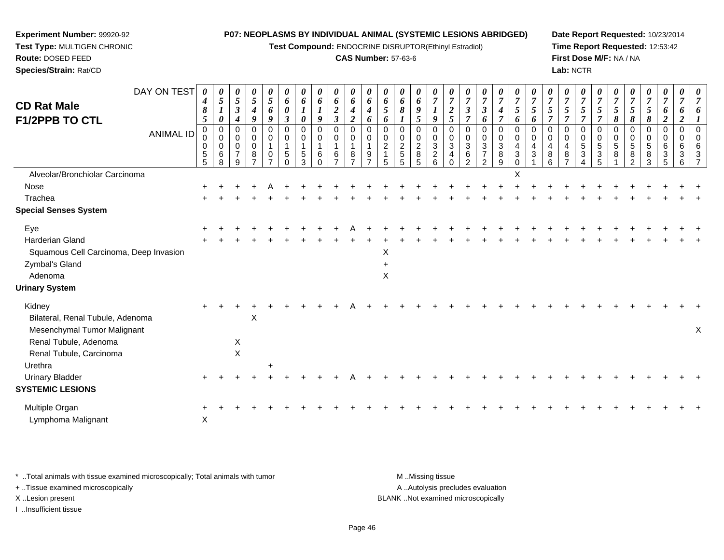**Test Compound:** ENDOCRINE DISRUPTOR(Ethinyl Estradiol)

#### **CAS Number:** 57-63-6

**Date Report Requested:** 10/23/2014**Time Report Requested:** 12:53:42**First Dose M/F:** NA / NA**Lab:** NCTR

| DAY ON TEST<br><b>CD Rat Male</b><br><b>F1/2PPB TO CTL</b><br><b>ANIMAL ID</b> | 0<br>4<br>8<br>5<br>0<br>0<br>0 | 0<br>5<br>0<br>0<br>0<br>0 | 0<br>$\sqrt{5}$<br>$\boldsymbol{\beta}$<br>$\boldsymbol{4}$<br>0<br>$\mathbf 0$<br>0 | 0<br>5<br>$\boldsymbol{4}$<br>9<br>$\mathbf 0$<br>0<br>0 | 0<br>5<br>6<br>9<br>$\mathbf 0$<br>0<br>1 | 0<br>6<br>0<br>$\boldsymbol{\beta}$<br>0<br>0 | 0<br>6<br>0<br>0<br>0 | 0<br>6<br>9<br>0<br>0 | 0<br>6<br>$\boldsymbol{2}$<br>$\mathfrak{z}$<br>0<br>$\mathbf 0$<br>-1 | 0<br>6<br>4<br>$\boldsymbol{2}$<br>0<br>0 | 0<br>6<br>$\boldsymbol{4}$<br>6<br>$\Omega$<br>$\Omega$ | 0<br>6<br>5<br>6<br>0<br>0<br>$\overline{\mathbf{c}}$ | 0<br>6<br>8<br>0<br>0<br>$\overline{c}$ | 0<br>6<br>9<br>5<br>0<br>0<br>$\boldsymbol{2}$ | 0<br>$\overline{7}$<br>9<br>$\Omega$<br>0<br>3 | 0<br>$\overline{7}$<br>$\overline{2}$<br>5<br>0<br>$\mathbf 0$<br>$\mathbf{3}$ | 0<br>$\overline{7}$<br>$\boldsymbol{\beta}$<br>$\overline{7}$<br>0<br>0<br>$\ensuremath{\mathsf{3}}$ | 0<br>$\boldsymbol{7}$<br>$\boldsymbol{\beta}$<br>6<br>0<br>0<br>$\ensuremath{\mathsf{3}}$ | $\frac{\boldsymbol{0}}{7}$<br>$\boldsymbol{4}$<br>$\overline{7}$<br>0<br>0<br>3 | 0<br>$\overline{7}$<br>5<br>6<br>0<br>0<br>$\overline{4}$ | 0<br>$\overline{7}$<br>5<br>6<br>$\Omega$<br>$\mathbf 0$<br>4 | $\boldsymbol{\theta}$<br>$\overline{7}$<br>5<br>$\overline{7}$<br>0<br>0<br>4 | 0<br>$\overline{7}$<br>5<br>$\overline{7}$<br>0<br>$\mathbf 0$<br>$\overline{\mathbf{4}}$ | 0<br>$\overline{7}$<br>5<br>7<br>$\Omega$<br>0<br>5 | 0<br>$\overline{7}$<br>5<br>0<br>0<br>5 | 0<br>$\overline{7}$<br>5<br>8<br>0<br>0<br>5 | 0<br>$\overline{7}$<br>5<br>8<br>0<br>0<br>5 | 0<br>$\overline{7}$<br>5<br>8<br>0<br>$\mathbf 0$<br>5 | 0<br>$\overline{7}$<br>6<br>$\overline{2}$<br>$\mathbf 0$<br>$\Omega$<br>6 | 0<br>7<br>0<br>$\boldsymbol{2}$<br>0<br>$\Omega$ | 0<br>$\overline{7}$<br>6<br>0<br>$\Omega$<br>6 |
|--------------------------------------------------------------------------------|---------------------------------|----------------------------|--------------------------------------------------------------------------------------|----------------------------------------------------------|-------------------------------------------|-----------------------------------------------|-----------------------|-----------------------|------------------------------------------------------------------------|-------------------------------------------|---------------------------------------------------------|-------------------------------------------------------|-----------------------------------------|------------------------------------------------|------------------------------------------------|--------------------------------------------------------------------------------|------------------------------------------------------------------------------------------------------|-------------------------------------------------------------------------------------------|---------------------------------------------------------------------------------|-----------------------------------------------------------|---------------------------------------------------------------|-------------------------------------------------------------------------------|-------------------------------------------------------------------------------------------|-----------------------------------------------------|-----------------------------------------|----------------------------------------------|----------------------------------------------|--------------------------------------------------------|----------------------------------------------------------------------------|--------------------------------------------------|------------------------------------------------|
|                                                                                | $\frac{5}{5}$                   | $\,6\,$<br>8               | 9                                                                                    | 8<br>$\overline{z}$                                      | 0<br>$\overline{ }$                       | 5<br>$\Omega$                                 | 5<br>3                | 6<br>$\Omega$         | $\frac{6}{7}$                                                          | 8<br>$\overline{7}$                       | 9<br>$\overline{ }$                                     | 5                                                     | 5<br>5                                  | $\bf8$<br>5                                    | $\frac{2}{6}$                                  | 4<br>$\Omega$                                                                  | $\frac{6}{2}$                                                                                        | 7<br>$\mathcal{P}$                                                                        | 8<br>9                                                                          | $\sqrt{3}$<br>$\Omega$                                    | 3                                                             | $\begin{matrix} 8 \\ 6 \end{matrix}$                                          | $\,8\,$<br>$\overline{z}$                                                                 | 3                                                   | $\sqrt{3}$<br>5                         | 8                                            | 8<br>$\mathcal{P}$                           | $\frac{8}{3}$                                          | $\sqrt{3}$<br>5                                                            | 3<br>6                                           | 3<br>$\overline{7}$                            |
| Alveolar/Bronchiolar Carcinoma                                                 |                                 |                            |                                                                                      |                                                          |                                           |                                               |                       |                       |                                                                        |                                           |                                                         |                                                       |                                         |                                                |                                                |                                                                                |                                                                                                      |                                                                                           |                                                                                 | X                                                         |                                                               |                                                                               |                                                                                           |                                                     |                                         |                                              |                                              |                                                        |                                                                            |                                                  |                                                |
| Nose                                                                           |                                 |                            |                                                                                      |                                                          |                                           |                                               |                       |                       |                                                                        |                                           |                                                         |                                                       |                                         |                                                |                                                |                                                                                |                                                                                                      |                                                                                           |                                                                                 |                                                           |                                                               |                                                                               |                                                                                           |                                                     |                                         |                                              |                                              |                                                        |                                                                            |                                                  |                                                |
| Trachea                                                                        |                                 |                            |                                                                                      |                                                          |                                           |                                               |                       |                       |                                                                        |                                           |                                                         |                                                       |                                         |                                                |                                                |                                                                                |                                                                                                      |                                                                                           |                                                                                 |                                                           |                                                               |                                                                               |                                                                                           |                                                     |                                         |                                              |                                              |                                                        |                                                                            |                                                  |                                                |
| <b>Special Senses System</b>                                                   |                                 |                            |                                                                                      |                                                          |                                           |                                               |                       |                       |                                                                        |                                           |                                                         |                                                       |                                         |                                                |                                                |                                                                                |                                                                                                      |                                                                                           |                                                                                 |                                                           |                                                               |                                                                               |                                                                                           |                                                     |                                         |                                              |                                              |                                                        |                                                                            |                                                  |                                                |
| Eye                                                                            |                                 |                            |                                                                                      |                                                          |                                           |                                               |                       |                       |                                                                        |                                           |                                                         |                                                       |                                         |                                                |                                                |                                                                                |                                                                                                      |                                                                                           |                                                                                 |                                                           |                                                               |                                                                               |                                                                                           |                                                     |                                         |                                              |                                              |                                                        |                                                                            |                                                  |                                                |
| Harderian Gland                                                                |                                 |                            |                                                                                      |                                                          |                                           |                                               |                       |                       |                                                                        |                                           |                                                         |                                                       |                                         |                                                |                                                |                                                                                |                                                                                                      |                                                                                           |                                                                                 |                                                           |                                                               |                                                                               |                                                                                           |                                                     |                                         |                                              |                                              |                                                        |                                                                            |                                                  |                                                |
| Squamous Cell Carcinoma, Deep Invasion                                         |                                 |                            |                                                                                      |                                                          |                                           |                                               |                       |                       |                                                                        |                                           |                                                         | Χ                                                     |                                         |                                                |                                                |                                                                                |                                                                                                      |                                                                                           |                                                                                 |                                                           |                                                               |                                                                               |                                                                                           |                                                     |                                         |                                              |                                              |                                                        |                                                                            |                                                  |                                                |
| Zymbal's Gland                                                                 |                                 |                            |                                                                                      |                                                          |                                           |                                               |                       |                       |                                                                        |                                           |                                                         |                                                       |                                         |                                                |                                                |                                                                                |                                                                                                      |                                                                                           |                                                                                 |                                                           |                                                               |                                                                               |                                                                                           |                                                     |                                         |                                              |                                              |                                                        |                                                                            |                                                  |                                                |
| Adenoma                                                                        |                                 |                            |                                                                                      |                                                          |                                           |                                               |                       |                       |                                                                        |                                           |                                                         | X                                                     |                                         |                                                |                                                |                                                                                |                                                                                                      |                                                                                           |                                                                                 |                                                           |                                                               |                                                                               |                                                                                           |                                                     |                                         |                                              |                                              |                                                        |                                                                            |                                                  |                                                |
| <b>Urinary System</b>                                                          |                                 |                            |                                                                                      |                                                          |                                           |                                               |                       |                       |                                                                        |                                           |                                                         |                                                       |                                         |                                                |                                                |                                                                                |                                                                                                      |                                                                                           |                                                                                 |                                                           |                                                               |                                                                               |                                                                                           |                                                     |                                         |                                              |                                              |                                                        |                                                                            |                                                  |                                                |
| Kidney                                                                         |                                 |                            |                                                                                      |                                                          |                                           |                                               |                       |                       |                                                                        |                                           |                                                         |                                                       |                                         |                                                |                                                |                                                                                |                                                                                                      |                                                                                           |                                                                                 |                                                           |                                                               |                                                                               |                                                                                           |                                                     |                                         |                                              |                                              |                                                        |                                                                            |                                                  |                                                |
| Bilateral, Renal Tubule, Adenoma                                               |                                 |                            |                                                                                      | X                                                        |                                           |                                               |                       |                       |                                                                        |                                           |                                                         |                                                       |                                         |                                                |                                                |                                                                                |                                                                                                      |                                                                                           |                                                                                 |                                                           |                                                               |                                                                               |                                                                                           |                                                     |                                         |                                              |                                              |                                                        |                                                                            |                                                  |                                                |
| Mesenchymal Tumor Malignant                                                    |                                 |                            |                                                                                      |                                                          |                                           |                                               |                       |                       |                                                                        |                                           |                                                         |                                                       |                                         |                                                |                                                |                                                                                |                                                                                                      |                                                                                           |                                                                                 |                                                           |                                                               |                                                                               |                                                                                           |                                                     |                                         |                                              |                                              |                                                        |                                                                            |                                                  | $\mathsf X$                                    |
| Renal Tubule, Adenoma                                                          |                                 |                            | X                                                                                    |                                                          |                                           |                                               |                       |                       |                                                                        |                                           |                                                         |                                                       |                                         |                                                |                                                |                                                                                |                                                                                                      |                                                                                           |                                                                                 |                                                           |                                                               |                                                                               |                                                                                           |                                                     |                                         |                                              |                                              |                                                        |                                                                            |                                                  |                                                |
| Renal Tubule, Carcinoma                                                        |                                 |                            | $\pmb{\times}$                                                                       |                                                          |                                           |                                               |                       |                       |                                                                        |                                           |                                                         |                                                       |                                         |                                                |                                                |                                                                                |                                                                                                      |                                                                                           |                                                                                 |                                                           |                                                               |                                                                               |                                                                                           |                                                     |                                         |                                              |                                              |                                                        |                                                                            |                                                  |                                                |
| Urethra                                                                        |                                 |                            |                                                                                      |                                                          |                                           |                                               |                       |                       |                                                                        |                                           |                                                         |                                                       |                                         |                                                |                                                |                                                                                |                                                                                                      |                                                                                           |                                                                                 |                                                           |                                                               |                                                                               |                                                                                           |                                                     |                                         |                                              |                                              |                                                        |                                                                            |                                                  |                                                |
| <b>Urinary Bladder</b>                                                         |                                 |                            |                                                                                      |                                                          |                                           |                                               |                       |                       |                                                                        |                                           |                                                         |                                                       |                                         |                                                |                                                |                                                                                |                                                                                                      |                                                                                           |                                                                                 |                                                           |                                                               |                                                                               |                                                                                           |                                                     |                                         |                                              |                                              |                                                        |                                                                            |                                                  |                                                |
| <b>SYSTEMIC LESIONS</b>                                                        |                                 |                            |                                                                                      |                                                          |                                           |                                               |                       |                       |                                                                        |                                           |                                                         |                                                       |                                         |                                                |                                                |                                                                                |                                                                                                      |                                                                                           |                                                                                 |                                                           |                                                               |                                                                               |                                                                                           |                                                     |                                         |                                              |                                              |                                                        |                                                                            |                                                  |                                                |
| Multiple Organ                                                                 |                                 |                            |                                                                                      |                                                          |                                           |                                               |                       |                       |                                                                        |                                           |                                                         |                                                       |                                         |                                                |                                                |                                                                                |                                                                                                      |                                                                                           |                                                                                 |                                                           |                                                               |                                                                               |                                                                                           |                                                     |                                         |                                              |                                              |                                                        |                                                                            |                                                  |                                                |
| Lymphoma Malignant                                                             | $\mathsf X$                     |                            |                                                                                      |                                                          |                                           |                                               |                       |                       |                                                                        |                                           |                                                         |                                                       |                                         |                                                |                                                |                                                                                |                                                                                                      |                                                                                           |                                                                                 |                                                           |                                                               |                                                                               |                                                                                           |                                                     |                                         |                                              |                                              |                                                        |                                                                            |                                                  |                                                |

\* ..Total animals with tissue examined microscopically; Total animals with tumor **M** . Missing tissue M ..Missing tissue

+ ..Tissue examined microscopically

**Experiment Number:** 99920-92**Test Type:** MULTIGEN CHRONIC

**Route:** DOSED FEED**Species/Strain:** Rat/CD

I ..Insufficient tissue

A ..Autolysis precludes evaluation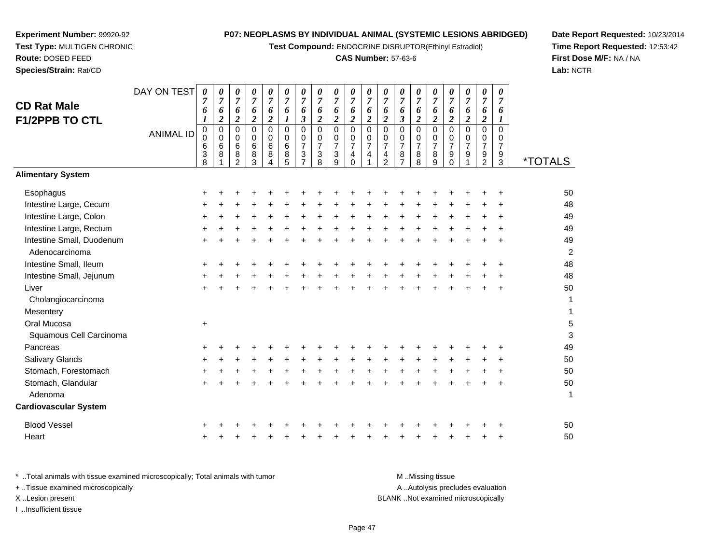**Test Compound:** ENDOCRINE DISRUPTOR(Ethinyl Estradiol)

# **CAS Number:** 57-63-6

**Date Report Requested:** 10/23/2014 **Time Report Requested:** 12:53:42**First Dose M/F:** NA / NA**Lab:** NCTR

|                              | DAY ON TEST      | $\boldsymbol{\theta}$          | 0                   | 0                             | 0                                       | $\frac{\theta}{7}$            | $\pmb{\theta}$       | $\pmb{\theta}$                | $\pmb{\theta}$                          | 0                       | 0                                  | 0                   | 0                     | 0                           | 0                           | 0                   | $\pmb{\theta}$                | $\pmb{\theta}$                | 0                   | 0                   |                       |
|------------------------------|------------------|--------------------------------|---------------------|-------------------------------|-----------------------------------------|-------------------------------|----------------------|-------------------------------|-----------------------------------------|-------------------------|------------------------------------|---------------------|-----------------------|-----------------------------|-----------------------------|---------------------|-------------------------------|-------------------------------|---------------------|---------------------|-----------------------|
| <b>CD Rat Male</b>           |                  | $\overline{7}$<br>6            | $\overline{7}$<br>6 | $\overline{7}$<br>$\pmb{6}$   | $\overline{7}$<br>$\boldsymbol{\delta}$ | $\pmb{6}$                     | $\overline{7}$<br>6  | $\overline{7}$<br>6           | $\overline{7}$<br>$\boldsymbol{\theta}$ | $\overline{7}$<br>6     | $\overline{7}$<br>$\boldsymbol{6}$ | $\overline{7}$<br>6 | $\boldsymbol{7}$<br>6 | $\boldsymbol{7}$<br>6       | $\overline{7}$<br>$\pmb{6}$ | $\overline{7}$<br>6 | $\overline{7}$<br>$\pmb{6}$   | $\boldsymbol{7}$<br>$\pmb{6}$ | $\overline{7}$<br>6 | $\overline{7}$<br>6 |                       |
| <b>F1/2PPB TO CTL</b>        |                  | 1                              | $\boldsymbol{2}$    | $\boldsymbol{2}$              | $\overline{c}$                          | $\sqrt{2}$                    | $\boldsymbol{l}$     | $\boldsymbol{\beta}$          | $\overline{\mathbf{c}}$                 | $\overline{\mathbf{c}}$ | $\boldsymbol{2}$                   | $\boldsymbol{2}$    | $\boldsymbol{2}$      | $\boldsymbol{\mathfrak{z}}$ | $\boldsymbol{2}$            | $\overline{c}$      | $\sqrt{2}$                    | $\boldsymbol{2}$              | $\boldsymbol{2}$    | $\bm{l}$            |                       |
|                              | <b>ANIMAL ID</b> | $\pmb{0}$                      | $\mathbf 0$         | $\mathbf 0$                   | 0                                       | $\overline{0}$                | $\mathbf 0$          | $\mathbf 0$                   | $\mathbf 0$                             | $\mathbf 0$             | $\mathbf 0$                        | $\mathsf 0$         | $\overline{0}$        | $\mathbf 0$                 | $\mathbf 0$                 | 0                   | $\overline{0}$                | $\mathbf 0$                   | $\mathbf 0$         | $\Omega$            |                       |
|                              |                  | $\mathbf 0$<br>$6\phantom{1}6$ | 0<br>6              | $\mathbf 0$<br>$\overline{6}$ | 0<br>6                                  | $\mathbf 0$<br>$6\phantom{a}$ | $\mathbf 0$<br>$\,6$ | $\mathbf 0$<br>$\overline{7}$ | 0<br>$\overline{7}$                     | 0<br>$\overline{7}$     | $\mathbf 0$<br>$\overline{7}$      | $\frac{0}{7}$       | 0<br>$\overline{7}$   | 0<br>$\overline{7}$         | $\pmb{0}$<br>$\overline{7}$ | 0<br>$\overline{7}$ | $\mathbf 0$<br>$\overline{7}$ | $\mathbf 0$<br>$\overline{7}$ | 0<br>$\overline{7}$ | 0<br>$\overline{7}$ |                       |
|                              |                  | 3                              | 8                   | 8                             | 8                                       | $\,8\,$                       | $\,8\,$              | $\mathbf{3}$                  | $\ensuremath{\mathsf{3}}$               | $\sqrt{3}$              | 4                                  | 4                   | $\overline{4}$        | 8                           | $\bf 8$                     | 8                   | $\boldsymbol{9}$              | $\boldsymbol{9}$              | $\frac{9}{2}$       | $9\,$               |                       |
|                              |                  | 8                              |                     | $\overline{2}$                | 3                                       | $\overline{4}$                | 5                    | $\overline{7}$                | 8                                       | 9                       | $\Omega$                           |                     | 2                     | $\overline{7}$              | 8                           | 9                   | $\Omega$                      | 1                             |                     | 3                   | <i><b>*TOTALS</b></i> |
| <b>Alimentary System</b>     |                  |                                |                     |                               |                                         |                               |                      |                               |                                         |                         |                                    |                     |                       |                             |                             |                     |                               |                               |                     |                     |                       |
| Esophagus                    |                  |                                |                     |                               |                                         |                               |                      |                               |                                         |                         |                                    |                     |                       |                             |                             |                     |                               |                               |                     |                     | 50                    |
| Intestine Large, Cecum       |                  |                                |                     |                               |                                         |                               |                      |                               |                                         |                         |                                    |                     |                       |                             |                             |                     |                               |                               |                     |                     | 48                    |
| Intestine Large, Colon       |                  |                                |                     |                               |                                         |                               |                      |                               |                                         |                         |                                    |                     |                       |                             |                             |                     |                               |                               |                     |                     | 49                    |
| Intestine Large, Rectum      |                  |                                |                     |                               |                                         |                               |                      |                               |                                         |                         |                                    |                     |                       |                             |                             |                     |                               |                               |                     |                     | 49                    |
| Intestine Small, Duodenum    |                  |                                |                     |                               |                                         |                               |                      |                               |                                         |                         |                                    |                     |                       |                             |                             |                     |                               |                               |                     |                     | 49                    |
| Adenocarcinoma               |                  |                                |                     |                               |                                         |                               |                      |                               |                                         |                         |                                    |                     |                       |                             |                             |                     |                               |                               |                     |                     | $\overline{c}$        |
| Intestine Small, Ileum       |                  |                                |                     |                               |                                         |                               |                      |                               |                                         |                         |                                    |                     |                       |                             |                             |                     |                               |                               |                     |                     | 48                    |
| Intestine Small, Jejunum     |                  |                                |                     |                               |                                         |                               |                      |                               |                                         |                         |                                    |                     |                       |                             |                             |                     |                               |                               |                     |                     | 48                    |
| Liver                        |                  |                                |                     |                               |                                         |                               |                      |                               |                                         |                         |                                    |                     |                       |                             |                             |                     |                               |                               |                     |                     | 50                    |
| Cholangiocarcinoma           |                  |                                |                     |                               |                                         |                               |                      |                               |                                         |                         |                                    |                     |                       |                             |                             |                     |                               |                               |                     |                     | 1                     |
| Mesentery                    |                  |                                |                     |                               |                                         |                               |                      |                               |                                         |                         |                                    |                     |                       |                             |                             |                     |                               |                               |                     |                     | 1                     |
| Oral Mucosa                  |                  | $\ddot{}$                      |                     |                               |                                         |                               |                      |                               |                                         |                         |                                    |                     |                       |                             |                             |                     |                               |                               |                     |                     | 5                     |
| Squamous Cell Carcinoma      |                  |                                |                     |                               |                                         |                               |                      |                               |                                         |                         |                                    |                     |                       |                             |                             |                     |                               |                               |                     |                     | 3                     |
| Pancreas                     |                  |                                |                     |                               |                                         |                               |                      |                               |                                         |                         |                                    |                     |                       |                             |                             |                     |                               |                               |                     |                     | 49                    |
| Salivary Glands              |                  |                                |                     |                               |                                         |                               |                      |                               |                                         |                         |                                    |                     |                       |                             |                             |                     |                               |                               |                     |                     | 50                    |
| Stomach, Forestomach         |                  |                                |                     |                               |                                         |                               |                      |                               |                                         |                         |                                    |                     |                       |                             |                             |                     |                               |                               |                     |                     | 50                    |
| Stomach, Glandular           |                  |                                |                     |                               |                                         |                               |                      |                               |                                         |                         |                                    |                     |                       |                             |                             |                     |                               |                               |                     | ÷                   | 50                    |
| Adenoma                      |                  |                                |                     |                               |                                         |                               |                      |                               |                                         |                         |                                    |                     |                       |                             |                             |                     |                               |                               |                     |                     | $\mathbf 1$           |
| <b>Cardiovascular System</b> |                  |                                |                     |                               |                                         |                               |                      |                               |                                         |                         |                                    |                     |                       |                             |                             |                     |                               |                               |                     |                     |                       |
| <b>Blood Vessel</b>          |                  |                                |                     |                               |                                         |                               |                      |                               |                                         |                         |                                    |                     |                       |                             |                             |                     |                               |                               |                     |                     | 50                    |
| Heart                        |                  |                                |                     |                               |                                         |                               |                      |                               |                                         |                         |                                    |                     |                       |                             |                             |                     |                               |                               |                     |                     | 50                    |

**Experiment Number:** 99920-92**Test Type:** MULTIGEN CHRONIC

**Route:** DOSED FEED**Species/Strain:** Rat/CD

| Total animals with tissue examined microscopically: Total animals with tumor. | M Missing tissue                   |
|-------------------------------------------------------------------------------|------------------------------------|
| + Tissue examined microscopically                                             | A Autolysis precludes evaluation   |
| X Lesion present                                                              | BLANK Not examined microscopically |
| Insufficient tissue                                                           |                                    |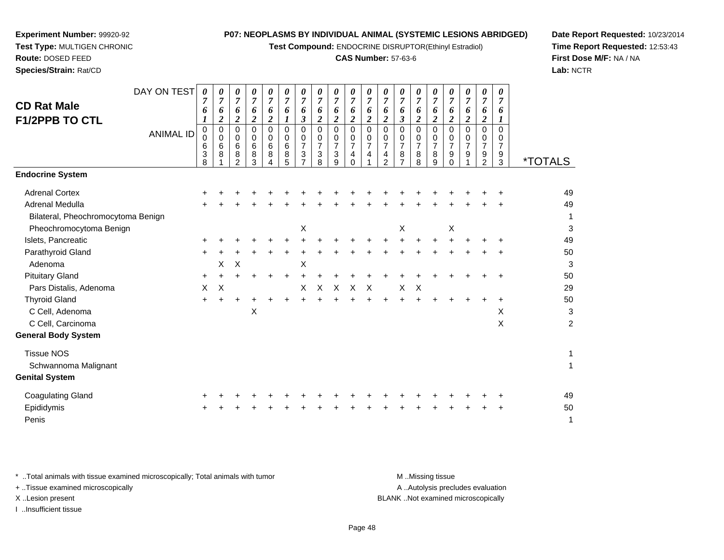**Test Compound:** ENDOCRINE DISRUPTOR(Ethinyl Estradiol)

#### **CAS Number:** 57-63-6

**Date Report Requested:** 10/23/2014**Time Report Requested:** 12:53:43**First Dose M/F:** NA / NA**Lab:** NCTR

| Species/Strain: Rat/CD               |                  |                              |                  |                                            |                                 |                                 |                              |                                      |                                                                      |                               |                                                  |                                            |                               |                               |                                    |                                                 |                              |                                      |                                           |                                              | Lab: I                |
|--------------------------------------|------------------|------------------------------|------------------|--------------------------------------------|---------------------------------|---------------------------------|------------------------------|--------------------------------------|----------------------------------------------------------------------|-------------------------------|--------------------------------------------------|--------------------------------------------|-------------------------------|-------------------------------|------------------------------------|-------------------------------------------------|------------------------------|--------------------------------------|-------------------------------------------|----------------------------------------------|-----------------------|
| <b>CD Rat Male</b><br>F1/2PPB TO CTL | DAY ON TEST      | 0<br>$\overline{7}$<br>6     | 0<br>6<br>2      | 0<br>$\overline{7}$<br>6<br>$\overline{2}$ | 0<br>$\overline{7}$<br>6<br>2   | 0<br>$\overline{7}$<br>6<br>2   | 0<br>$\overline{7}$<br>6     | 0<br>$\overline{7}$<br>6<br>3        | 0<br>$\overline{7}$<br>6<br>$\boldsymbol{2}$                         | 0<br>$\overline{7}$<br>6<br>2 | 0<br>7<br>6<br>2                                 | 0<br>$\overline{7}$<br>6<br>$\overline{2}$ | 0<br>$\overline{7}$<br>6<br>2 | 0<br>$\overline{7}$<br>6<br>3 | 0<br>$\overline{7}$<br>6<br>2      | 0<br>7<br>6<br>2                                | 0<br>7<br>6                  | 0<br>$\overline{7}$<br>6<br>2        | 0<br>7<br>6<br>2                          | $\boldsymbol{\theta}$<br>$\overline{7}$<br>6 |                       |
|                                      | <b>ANIMAL ID</b> | 0<br>$\Omega$<br>6<br>3<br>8 | 0<br>0<br>6<br>8 | 0<br>0<br>6<br>8<br>$\overline{2}$         | 0<br>$\mathbf 0$<br>6<br>8<br>3 | 0<br>$\mathbf 0$<br>6<br>8<br>4 | $\Omega$<br>0<br>6<br>8<br>5 | $\Omega$<br>0<br>$\overline{7}$<br>3 | 0<br>$\mathbf 0$<br>$\overline{7}$<br>$\ensuremath{\mathsf{3}}$<br>8 | 0<br>0<br>7<br>3<br>9         | $\Omega$<br>0<br>$\overline{7}$<br>4<br>$\Omega$ | 0<br>0<br>$\overline{7}$<br>4              | $\Omega$<br>0<br>7<br>4<br>2  | 0<br>0<br>7<br>8<br>7         | 0<br>0<br>$\overline{7}$<br>8<br>8 | $\Omega$<br>0<br>$\overline{7}$<br>$\bf 8$<br>9 | $\Omega$<br>0<br>7<br>9<br>0 | $\Omega$<br>0<br>$\overline{7}$<br>9 | $\Omega$<br>0<br>7<br>9<br>$\overline{2}$ | $\Omega$<br>0<br>$\overline{7}$<br>9<br>3    | <i><b>*TOTALS</b></i> |
| <b>Endocrine System</b>              |                  |                              |                  |                                            |                                 |                                 |                              |                                      |                                                                      |                               |                                                  |                                            |                               |                               |                                    |                                                 |                              |                                      |                                           |                                              |                       |
| <b>Adrenal Cortex</b>                |                  |                              |                  |                                            |                                 |                                 |                              |                                      |                                                                      |                               |                                                  |                                            |                               |                               |                                    |                                                 |                              |                                      |                                           |                                              | 49                    |
| Adrenal Medulla                      |                  |                              |                  |                                            |                                 |                                 |                              |                                      |                                                                      |                               |                                                  |                                            |                               |                               |                                    |                                                 |                              |                                      |                                           |                                              | 49                    |
| Bilateral, Pheochromocytoma Benign   |                  |                              |                  |                                            |                                 |                                 |                              |                                      |                                                                      |                               |                                                  |                                            |                               |                               |                                    |                                                 |                              |                                      |                                           |                                              | 1                     |
| Pheochromocytoma Benign              |                  |                              |                  |                                            |                                 |                                 |                              | Χ                                    |                                                                      |                               |                                                  |                                            |                               | X                             |                                    |                                                 | X                            |                                      |                                           |                                              | 3                     |
| Islets, Pancreatic                   |                  |                              |                  |                                            |                                 |                                 |                              |                                      |                                                                      |                               |                                                  |                                            |                               |                               |                                    |                                                 |                              |                                      |                                           |                                              | 49                    |
| Parathyroid Gland                    |                  |                              |                  |                                            |                                 |                                 |                              |                                      |                                                                      |                               |                                                  |                                            |                               |                               |                                    |                                                 |                              |                                      |                                           | ÷                                            | 50                    |
| Adenoma                              |                  |                              | Х                | X                                          |                                 |                                 |                              | X                                    |                                                                      |                               |                                                  |                                            |                               |                               |                                    |                                                 |                              |                                      |                                           |                                              | 3                     |
| <b>Pituitary Gland</b>               |                  | $\ddot{}$                    |                  |                                            |                                 |                                 |                              |                                      |                                                                      |                               |                                                  |                                            |                               |                               |                                    |                                                 |                              |                                      |                                           | ÷                                            | 50                    |
| Pars Distalis, Adenoma               |                  | X                            | $\times$         |                                            |                                 |                                 |                              | X                                    | X                                                                    | $\times$                      | X                                                | $\times$                                   |                               | X                             | X                                  |                                                 |                              |                                      |                                           |                                              | 29                    |
| <b>Thyroid Gland</b>                 |                  | $\ddot{}$                    | +                |                                            |                                 |                                 |                              |                                      |                                                                      |                               |                                                  |                                            |                               |                               |                                    |                                                 |                              |                                      |                                           | +                                            | 50                    |
| C Cell, Adenoma                      |                  |                              |                  |                                            | X                               |                                 |                              |                                      |                                                                      |                               |                                                  |                                            |                               |                               |                                    |                                                 |                              |                                      |                                           | X                                            | 3                     |
| C Cell, Carcinoma                    |                  |                              |                  |                                            |                                 |                                 |                              |                                      |                                                                      |                               |                                                  |                                            |                               |                               |                                    |                                                 |                              |                                      |                                           | X                                            | $\overline{c}$        |
| <b>General Body System</b>           |                  |                              |                  |                                            |                                 |                                 |                              |                                      |                                                                      |                               |                                                  |                                            |                               |                               |                                    |                                                 |                              |                                      |                                           |                                              |                       |
| <b>Tissue NOS</b>                    |                  |                              |                  |                                            |                                 |                                 |                              |                                      |                                                                      |                               |                                                  |                                            |                               |                               |                                    |                                                 |                              |                                      |                                           |                                              | 1                     |
| Schwannoma Malignant                 |                  |                              |                  |                                            |                                 |                                 |                              |                                      |                                                                      |                               |                                                  |                                            |                               |                               |                                    |                                                 |                              |                                      |                                           |                                              | 1                     |
| <b>Genital System</b>                |                  |                              |                  |                                            |                                 |                                 |                              |                                      |                                                                      |                               |                                                  |                                            |                               |                               |                                    |                                                 |                              |                                      |                                           |                                              |                       |

**Experiment Number:** 99920-92**Test Type:** MULTIGEN CHRONIC

**Route:** DOSED FEED

| Coagulating Gland |  |  |  |  |  |  |  |  | + + + + + + + + + + + + + + + + + + + |  | 49 |
|-------------------|--|--|--|--|--|--|--|--|---------------------------------------|--|----|
| Epididymis        |  |  |  |  |  |  |  |  | + + + + + + + + + + + + + + + + + +   |  | 50 |
| Penis             |  |  |  |  |  |  |  |  |                                       |  |    |

\* ..Total animals with tissue examined microscopically; Total animals with tumor **M** . Missing tissue M ..Missing tissue A ..Autolysis precludes evaluation + ..Tissue examined microscopically X ..Lesion present BLANK ..Not examined microscopicallyI ..Insufficient tissue

Page 48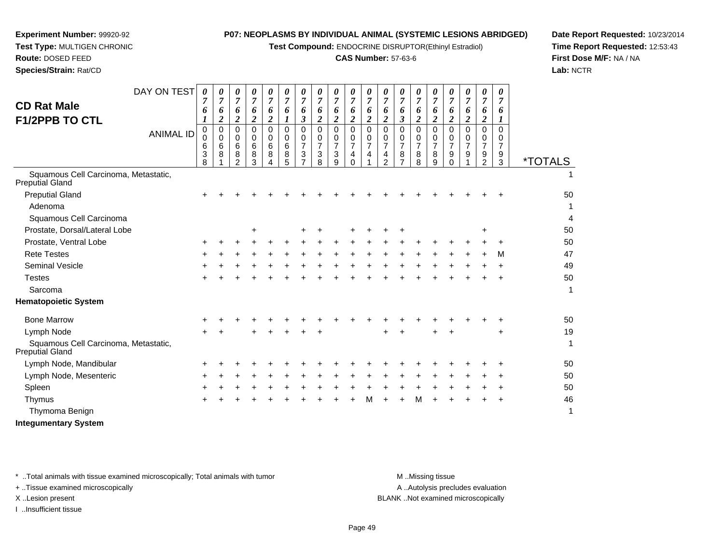**Test Compound:** ENDOCRINE DISRUPTOR(Ethinyl Estradiol)

#### **CAS Number:** 57-63-6

**Date Report Requested:** 10/23/2014**Time Report Requested:** 12:53:43**First Dose M/F:** NA / NA**Lab:** NCTR

| <b>CD Rat Male</b><br><b>F1/2PPB TO CTL</b>             | DAY ON TEST<br><b>ANIMAL ID</b> | 0<br>7<br>6<br>0<br>0<br>6<br>3 | 0<br>7<br>6<br>$\overline{\mathbf{2}}$<br>$\mathbf 0$<br>$\Omega$<br>6<br>8 | 0<br>$\overline{7}$<br>6<br>$\boldsymbol{2}$<br>0<br>0<br>6<br>8 | 0<br>$\overline{7}$<br>6<br>$\overline{\mathbf{2}}$<br>0<br>$\Omega$<br>6<br>8 | 0<br>$\overline{7}$<br>6<br>$\boldsymbol{2}$<br>0<br>$\Omega$<br>6<br>8 | 0<br>$\overline{7}$<br>6<br>$\Omega$<br>$\Omega$<br>6<br>8 | 0<br>7<br>6<br>3<br>0<br>3 | 0<br>$\overline{7}$<br>6<br>$\overline{2}$<br>$\mathbf 0$<br>0<br>$\overline{7}$<br>3 | 0<br>$\overline{7}$<br>6<br>$\overline{c}$<br>$\mathbf 0$<br>0<br>$\overline{7}$<br>$\mathbf{3}$ | 0<br>$\overline{7}$<br>6<br>$\overline{2}$<br>$\mathbf 0$<br>0<br>$\overline{7}$<br>$\overline{4}$ | $\boldsymbol{\theta}$<br>$\overline{7}$<br>6<br>$\boldsymbol{2}$<br>$\Omega$<br>$\Omega$<br>$\overline{7}$<br>$\overline{\mathbf{4}}$ | 0<br>$\overline{7}$<br>6<br>$\boldsymbol{2}$<br>$\Omega$<br>0<br>$\overline{7}$<br>4 | 0<br>$\overline{7}$<br>6<br>3<br>$\Omega$<br>0<br>$\overline{7}$<br>8 | 0<br>$\overline{7}$<br>6<br>$\overline{\mathbf{2}}$<br>0<br>0<br>7<br>8 | 0<br>$\overline{7}$<br>6<br>$\overline{2}$<br>0<br>$\Omega$<br>$\overline{7}$<br>8 | 0<br>$\overline{7}$<br>6<br>2<br>$\Omega$<br>0<br>$\overline{7}$<br>9 | 0<br>$\overline{7}$<br>6<br>$\boldsymbol{2}$<br>$\Omega$<br>0<br>7<br>9 | 0<br>$\overline{7}$<br>6<br>$\boldsymbol{2}$<br>$\mathbf 0$<br>0<br>$\overline{7}$<br>9 | 0<br>7<br>6<br>$\Omega$<br>0<br>7<br>9 |                       |
|---------------------------------------------------------|---------------------------------|---------------------------------|-----------------------------------------------------------------------------|------------------------------------------------------------------|--------------------------------------------------------------------------------|-------------------------------------------------------------------------|------------------------------------------------------------|----------------------------|---------------------------------------------------------------------------------------|--------------------------------------------------------------------------------------------------|----------------------------------------------------------------------------------------------------|---------------------------------------------------------------------------------------------------------------------------------------|--------------------------------------------------------------------------------------|-----------------------------------------------------------------------|-------------------------------------------------------------------------|------------------------------------------------------------------------------------|-----------------------------------------------------------------------|-------------------------------------------------------------------------|-----------------------------------------------------------------------------------------|----------------------------------------|-----------------------|
| Squamous Cell Carcinoma, Metastatic,                    |                                 | 8                               |                                                                             | $\mathfrak{p}$                                                   | 3                                                                              |                                                                         | 5                                                          |                            | 8                                                                                     | 9                                                                                                | $\Omega$                                                                                           |                                                                                                                                       | $\overline{2}$                                                                       |                                                                       | 8                                                                       | 9                                                                                  | $\Omega$                                                              |                                                                         | $\overline{2}$                                                                          | 3                                      | <i><b>*TOTALS</b></i> |
| Preputial Gland                                         |                                 |                                 |                                                                             |                                                                  |                                                                                |                                                                         |                                                            |                            |                                                                                       |                                                                                                  |                                                                                                    |                                                                                                                                       |                                                                                      |                                                                       |                                                                         |                                                                                    |                                                                       |                                                                         |                                                                                         |                                        |                       |
| <b>Preputial Gland</b>                                  |                                 | +                               |                                                                             |                                                                  |                                                                                |                                                                         |                                                            |                            |                                                                                       |                                                                                                  |                                                                                                    |                                                                                                                                       |                                                                                      |                                                                       |                                                                         |                                                                                    |                                                                       |                                                                         |                                                                                         |                                        | 50                    |
| Adenoma                                                 |                                 |                                 |                                                                             |                                                                  |                                                                                |                                                                         |                                                            |                            |                                                                                       |                                                                                                  |                                                                                                    |                                                                                                                                       |                                                                                      |                                                                       |                                                                         |                                                                                    |                                                                       |                                                                         |                                                                                         |                                        | 1                     |
| Squamous Cell Carcinoma                                 |                                 |                                 |                                                                             |                                                                  |                                                                                |                                                                         |                                                            |                            |                                                                                       |                                                                                                  |                                                                                                    |                                                                                                                                       |                                                                                      |                                                                       |                                                                         |                                                                                    |                                                                       |                                                                         |                                                                                         |                                        | 4                     |
| Prostate, Dorsal/Lateral Lobe                           |                                 |                                 |                                                                             |                                                                  | +                                                                              |                                                                         |                                                            | ٠                          |                                                                                       |                                                                                                  |                                                                                                    |                                                                                                                                       |                                                                                      |                                                                       |                                                                         |                                                                                    |                                                                       |                                                                         | +                                                                                       |                                        | 50                    |
| Prostate, Ventral Lobe                                  |                                 | $\pm$                           |                                                                             |                                                                  |                                                                                |                                                                         |                                                            |                            |                                                                                       |                                                                                                  |                                                                                                    |                                                                                                                                       |                                                                                      |                                                                       |                                                                         |                                                                                    |                                                                       |                                                                         |                                                                                         |                                        | 50                    |
| <b>Rete Testes</b>                                      |                                 | +                               |                                                                             |                                                                  |                                                                                |                                                                         |                                                            |                            |                                                                                       |                                                                                                  |                                                                                                    |                                                                                                                                       |                                                                                      |                                                                       |                                                                         |                                                                                    |                                                                       |                                                                         |                                                                                         | м                                      | 47                    |
| Seminal Vesicle                                         |                                 |                                 |                                                                             |                                                                  |                                                                                |                                                                         |                                                            |                            |                                                                                       |                                                                                                  |                                                                                                    |                                                                                                                                       |                                                                                      |                                                                       |                                                                         |                                                                                    |                                                                       |                                                                         |                                                                                         |                                        | 49                    |
| <b>Testes</b>                                           |                                 |                                 |                                                                             |                                                                  |                                                                                |                                                                         |                                                            |                            |                                                                                       |                                                                                                  |                                                                                                    |                                                                                                                                       |                                                                                      |                                                                       |                                                                         |                                                                                    |                                                                       |                                                                         |                                                                                         |                                        | 50                    |
| Sarcoma                                                 |                                 |                                 |                                                                             |                                                                  |                                                                                |                                                                         |                                                            |                            |                                                                                       |                                                                                                  |                                                                                                    |                                                                                                                                       |                                                                                      |                                                                       |                                                                         |                                                                                    |                                                                       |                                                                         |                                                                                         |                                        | 1                     |
| <b>Hematopoietic System</b>                             |                                 |                                 |                                                                             |                                                                  |                                                                                |                                                                         |                                                            |                            |                                                                                       |                                                                                                  |                                                                                                    |                                                                                                                                       |                                                                                      |                                                                       |                                                                         |                                                                                    |                                                                       |                                                                         |                                                                                         |                                        |                       |
| <b>Bone Marrow</b>                                      |                                 |                                 |                                                                             |                                                                  |                                                                                |                                                                         |                                                            |                            |                                                                                       |                                                                                                  |                                                                                                    |                                                                                                                                       |                                                                                      |                                                                       |                                                                         |                                                                                    |                                                                       |                                                                         |                                                                                         |                                        | 50                    |
| Lymph Node                                              |                                 |                                 |                                                                             |                                                                  |                                                                                |                                                                         |                                                            |                            |                                                                                       |                                                                                                  |                                                                                                    |                                                                                                                                       |                                                                                      |                                                                       |                                                                         |                                                                                    |                                                                       |                                                                         |                                                                                         |                                        | 19                    |
| Squamous Cell Carcinoma, Metastatic,<br>Preputial Gland |                                 |                                 |                                                                             |                                                                  |                                                                                |                                                                         |                                                            |                            |                                                                                       |                                                                                                  |                                                                                                    |                                                                                                                                       |                                                                                      |                                                                       |                                                                         |                                                                                    |                                                                       |                                                                         |                                                                                         |                                        | $\mathbf{1}$          |
| Lymph Node, Mandibular                                  |                                 | ÷                               |                                                                             |                                                                  |                                                                                |                                                                         |                                                            |                            |                                                                                       |                                                                                                  |                                                                                                    |                                                                                                                                       |                                                                                      |                                                                       |                                                                         |                                                                                    |                                                                       |                                                                         |                                                                                         |                                        | 50                    |
| Lymph Node, Mesenteric                                  |                                 | ÷                               |                                                                             |                                                                  |                                                                                |                                                                         |                                                            |                            |                                                                                       |                                                                                                  |                                                                                                    |                                                                                                                                       |                                                                                      |                                                                       |                                                                         |                                                                                    |                                                                       |                                                                         |                                                                                         |                                        | 50                    |
| Spleen                                                  |                                 |                                 |                                                                             |                                                                  |                                                                                |                                                                         |                                                            |                            |                                                                                       |                                                                                                  |                                                                                                    |                                                                                                                                       |                                                                                      |                                                                       |                                                                         |                                                                                    |                                                                       |                                                                         |                                                                                         |                                        | 50                    |
| Thymus                                                  |                                 |                                 |                                                                             |                                                                  |                                                                                |                                                                         |                                                            |                            |                                                                                       |                                                                                                  |                                                                                                    |                                                                                                                                       |                                                                                      |                                                                       | M                                                                       |                                                                                    |                                                                       |                                                                         |                                                                                         |                                        | 46                    |
|                                                         |                                 |                                 |                                                                             |                                                                  |                                                                                |                                                                         |                                                            |                            |                                                                                       |                                                                                                  |                                                                                                    |                                                                                                                                       |                                                                                      |                                                                       |                                                                         |                                                                                    |                                                                       |                                                                         |                                                                                         |                                        |                       |

Thymoma Benignn and the contract of  $\sim$  1

**Experiment Number:** 99920-92**Test Type:** MULTIGEN CHRONIC

**Route:** DOSED FEED**Species/Strain:** Rat/CD

**Integumentary System**

\* ..Total animals with tissue examined microscopically; Total animals with tumor M..Missing tissue

+ ..Tissue examined microscopically

I ..Insufficient tissue

A ..Autolysis precludes evaluation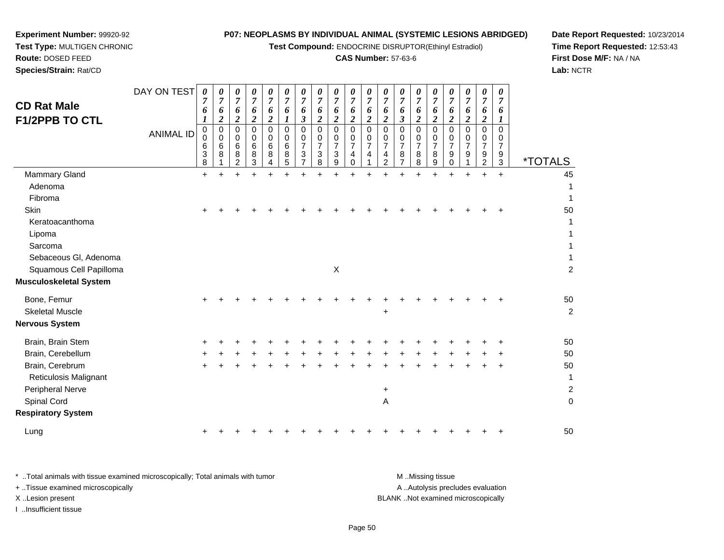**Test Compound:** ENDOCRINE DISRUPTOR(Ethinyl Estradiol)

#### **CAS Number:** 57-63-6

 $\mathsf{X}$  2

45

**Date Report Requested:** 10/23/2014**Time Report Requested:** 12:53:43**First Dose M/F:** NA / NA**Lab:** NCTR

| Species/Strain: Rat/CD                      |                                 |                                      |                                                                                    |                                                                |                                                                  |                                                        |                                      |                                           |                                          |                                                        |                                                                            |                                 |                                                          |                                                        |                                              |                                         |                                                                      |                       |                                                |                                 | Lab:                  |
|---------------------------------------------|---------------------------------|--------------------------------------|------------------------------------------------------------------------------------|----------------------------------------------------------------|------------------------------------------------------------------|--------------------------------------------------------|--------------------------------------|-------------------------------------------|------------------------------------------|--------------------------------------------------------|----------------------------------------------------------------------------|---------------------------------|----------------------------------------------------------|--------------------------------------------------------|----------------------------------------------|-----------------------------------------|----------------------------------------------------------------------|-----------------------|------------------------------------------------|---------------------------------|-----------------------|
| <b>CD Rat Male</b><br><b>F1/2PPB TO CTL</b> | DAY ON TEST<br><b>ANIMAL ID</b> | 0<br>7<br>6<br>ı<br>υ<br>6<br>3<br>8 | $\boldsymbol{\theta}$<br>$\overline{7}$<br>6<br>$\overline{2}$<br>0<br>0<br>6<br>8 | $\boldsymbol{\theta}$<br>$\mathbf{r}$<br>6<br>2<br>6<br>8<br>2 | $\boldsymbol{\theta}$<br>$\overline{7}$<br>6<br>0<br>6<br>8<br>3 | 0<br>7<br>6<br>$\overline{2}$<br>0<br>0<br>6<br>8<br>4 | 0<br>7<br>6<br>0<br>0<br>6<br>8<br>5 | $\theta$<br>$\overline{7}$<br>6<br>3<br>3 | 0<br>$\overline{7}$<br>6<br>2<br>3<br>8. | 0<br>$\overline{7}$<br>6<br>າ<br>0<br>0<br>⇁<br>3<br>9 | 0<br>$\overline{7}$<br>6<br>$\overline{2}$<br>0<br>0<br>7<br>4<br>$\Omega$ | 0<br>7<br>6<br>∠<br>0<br>7<br>4 | $\boldsymbol{\theta}$<br>7<br>6<br>ി<br>∠<br>0<br>4<br>ົ | $\boldsymbol{\theta}$<br>$\overline{7}$<br>6<br>3<br>8 | 0<br>$\overline{ }$<br>6<br>2<br>0<br>8<br>8 | 0<br>$\overline{7}$<br>6<br>2<br>8<br>9 | $\boldsymbol{\theta}$<br>7<br>6<br>2<br>0<br>0<br>7<br>9<br>$\Omega$ | 0<br>7<br>6<br>∠<br>9 | $\theta$<br>$\overline{7}$<br>o<br>2<br>9<br>2 | 0<br>7<br>6<br>0<br>0<br>9<br>3 | <i><b>*TOTALS</b></i> |
| Mammary Gland                               |                                 | $\pm$                                | $\div$                                                                             | ÷.                                                             | ÷.                                                               | +                                                      | +                                    | ÷                                         | +                                        | ÷                                                      |                                                                            |                                 |                                                          | +                                                      | ÷.                                           | +                                       | ÷                                                                    | $\pm$                 | $\pm$                                          | $\ddot{}$                       | 45                    |
| Adenoma                                     |                                 |                                      |                                                                                    |                                                                |                                                                  |                                                        |                                      |                                           |                                          |                                                        |                                                                            |                                 |                                                          |                                                        |                                              |                                         |                                                                      |                       |                                                |                                 | 1                     |
| Fibroma                                     |                                 |                                      |                                                                                    |                                                                |                                                                  |                                                        |                                      |                                           |                                          |                                                        |                                                                            |                                 |                                                          |                                                        |                                              |                                         |                                                                      |                       |                                                |                                 | 1                     |
| Skin                                        |                                 | $\pm$                                |                                                                                    |                                                                |                                                                  |                                                        |                                      |                                           |                                          |                                                        |                                                                            |                                 |                                                          |                                                        |                                              |                                         |                                                                      |                       | $\pm$                                          | $\div$                          | 50                    |
| Keratoacanthoma                             |                                 |                                      |                                                                                    |                                                                |                                                                  |                                                        |                                      |                                           |                                          |                                                        |                                                                            |                                 |                                                          |                                                        |                                              |                                         |                                                                      |                       |                                                |                                 | 1                     |
| Lipoma                                      |                                 |                                      |                                                                                    |                                                                |                                                                  |                                                        |                                      |                                           |                                          |                                                        |                                                                            |                                 |                                                          |                                                        |                                              |                                         |                                                                      |                       |                                                |                                 | 1                     |

# Squamous Cell Papillomaa  $\lambda$ **Musculoskeletal System**

Sebaceous Gl, Adenoma

Sarcoma

**Experiment Number:** 99920-92**Test Type:** MULTIGEN CHRONIC

**Route:** DOSED FEED

| Bone, Femur                  | $+$ |   |  |  |   |    |  |           |   |   |  |     |        | 50             |
|------------------------------|-----|---|--|--|---|----|--|-----------|---|---|--|-----|--------|----------------|
| <b>Skeletal Muscle</b>       |     |   |  |  |   |    |  | $\ddot{}$ |   |   |  |     |        | $\overline{2}$ |
| Nervous System               |     |   |  |  |   |    |  |           |   |   |  |     |        |                |
| Brain, Brain Stem            |     |   |  |  |   |    |  |           |   |   |  |     | $\div$ | 50             |
| Brain, Cerebellum            | $+$ | + |  |  |   |    |  |           |   |   |  | +   | $\pm$  | 50             |
| Brain, Cerebrum              | $+$ |   |  |  | ÷ | ÷. |  |           | + | ÷ |  | $+$ | $+$    | 50             |
| <b>Reticulosis Malignant</b> |     |   |  |  |   |    |  |           |   |   |  |     |        | $\mathbf{1}$   |
| Peripheral Nerve             |     |   |  |  |   |    |  | $\ddot{}$ |   |   |  |     |        | $\overline{2}$ |
| Spinal Cord                  |     |   |  |  |   |    |  | A         |   |   |  |     |        | $\mathbf{0}$   |
| <b>Respiratory System</b>    |     |   |  |  |   |    |  |           |   |   |  |     |        |                |
| Lung                         |     |   |  |  |   |    |  |           |   |   |  |     |        | 50             |

 $a$ 

 $\overline{a}$ 

\* ..Total animals with tissue examined microscopically; Total animals with tumor **M** ...Missing tissue M ...Missing tissue A .. Autolysis precludes evaluation + ..Tissue examined microscopically X ..Lesion present BLANK ..Not examined microscopicallyI ..Insufficient tissue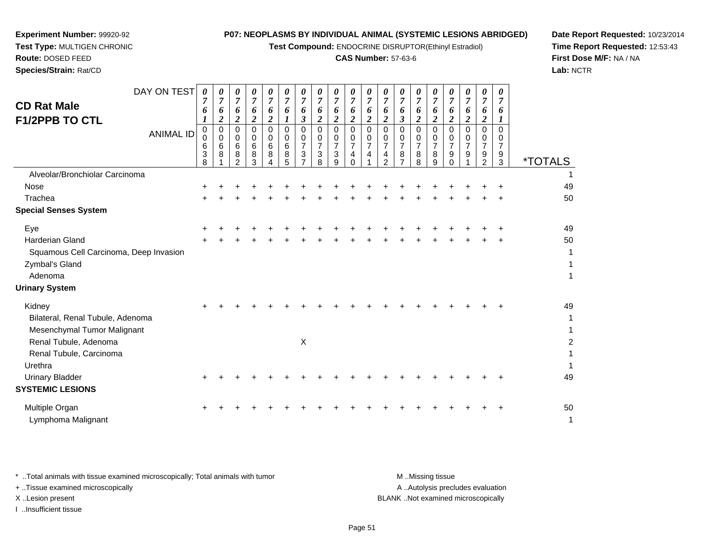**Test Compound:** ENDOCRINE DISRUPTOR(Ethinyl Estradiol)

#### **CAS Number:** 57-63-6

**Date Report Requested:** 10/23/2014**Time Report Requested:** 12:53:43**First Dose M/F:** NA / NA**Lab:** NCTR

 $\overline{a}$ 

| <b>CD Rat Male</b><br><b>F1/2PPB TO CTL</b>                                                                                   | DAY ON TEST<br><b>ANIMAL ID</b> | 0<br>6<br>$\mathbf 0$<br>0<br>6<br>3<br>8 | $\boldsymbol{\theta}$<br>7<br>6<br>2<br>$\mathbf 0$<br>$\mathbf 0$<br>6<br>8 | 0<br>6<br>$\overline{\mathbf{2}}$<br>$\Omega$<br>0<br>6<br>8<br>$\mathcal{P}$ | 0<br>$\boldsymbol{7}$<br>6<br>$\overline{\mathbf{c}}$<br>$\Omega$<br>0<br>6<br>8<br>3 | 0<br>7<br>6<br>$\boldsymbol{2}$<br>$\Omega$<br>0<br>6<br>8 | $\boldsymbol{\theta}$<br>$\overline{7}$<br>6<br>$\Omega$<br>0<br>6<br>8<br>5 | U<br>$\overline{7}$<br>6<br>3<br>$\Omega$<br>0<br>$\overline{7}$<br>3 | 0<br>7<br>6<br>$\overline{\mathbf{2}}$<br>$\Omega$<br>0<br>7<br>3<br>8 | 0<br>$\overline{7}$<br>6<br>$\boldsymbol{2}$<br>$\Omega$<br>0<br>$\overline{7}$<br>3<br>9 | 7<br>6<br>$\boldsymbol{2}$<br>$\mathbf 0$<br>0<br>$\overline{7}$<br>4<br>$\Omega$ | U<br>7<br>6<br>$\overline{c}$<br>$\Omega$<br>0<br>$\overline{7}$<br>4 | $\overline{7}$<br>6<br>$\overline{\mathbf{c}}$<br>$\Omega$<br>0<br>$\overline{7}$<br>4<br>$\mathcal{P}$ | 7<br>6<br>3<br>0<br>0<br>7<br>8<br>$\overline{ }$ | 0<br>6<br>$\overline{\mathbf{2}}$<br>$\Omega$<br>0<br>7<br>8<br>8 | 7<br>6<br>$\boldsymbol{2}$<br>$\Omega$<br>0<br>7<br>8<br>9 | $\boldsymbol{\theta}$<br>$\overline{7}$<br>6<br>$\overline{c}$<br>$\Omega$<br>0<br>7<br>9<br>$\Omega$ | 0<br>7<br>6<br>$\boldsymbol{2}$<br>$\Omega$<br>0<br>7<br>9 | 0<br>7<br>6<br>2<br>$\Omega$<br>0<br>$\overline{7}$<br>9<br>2 | 0<br>6<br>$\Omega$<br>0<br>7<br>9<br>3 | <i><b>*TOTALS</b></i> |
|-------------------------------------------------------------------------------------------------------------------------------|---------------------------------|-------------------------------------------|------------------------------------------------------------------------------|-------------------------------------------------------------------------------|---------------------------------------------------------------------------------------|------------------------------------------------------------|------------------------------------------------------------------------------|-----------------------------------------------------------------------|------------------------------------------------------------------------|-------------------------------------------------------------------------------------------|-----------------------------------------------------------------------------------|-----------------------------------------------------------------------|---------------------------------------------------------------------------------------------------------|---------------------------------------------------|-------------------------------------------------------------------|------------------------------------------------------------|-------------------------------------------------------------------------------------------------------|------------------------------------------------------------|---------------------------------------------------------------|----------------------------------------|-----------------------|
| Alveolar/Bronchiolar Carcinoma                                                                                                |                                 |                                           |                                                                              |                                                                               |                                                                                       |                                                            |                                                                              |                                                                       |                                                                        |                                                                                           |                                                                                   |                                                                       |                                                                                                         |                                                   |                                                                   |                                                            |                                                                                                       |                                                            |                                                               |                                        | 1                     |
| Nose                                                                                                                          |                                 |                                           |                                                                              |                                                                               |                                                                                       |                                                            |                                                                              |                                                                       |                                                                        |                                                                                           |                                                                                   |                                                                       |                                                                                                         |                                                   |                                                                   |                                                            |                                                                                                       |                                                            |                                                               |                                        | 49                    |
| Trachea                                                                                                                       |                                 |                                           |                                                                              |                                                                               |                                                                                       |                                                            |                                                                              |                                                                       |                                                                        |                                                                                           |                                                                                   |                                                                       |                                                                                                         |                                                   |                                                                   |                                                            |                                                                                                       |                                                            |                                                               |                                        | 50                    |
| <b>Special Senses System</b>                                                                                                  |                                 |                                           |                                                                              |                                                                               |                                                                                       |                                                            |                                                                              |                                                                       |                                                                        |                                                                                           |                                                                                   |                                                                       |                                                                                                         |                                                   |                                                                   |                                                            |                                                                                                       |                                                            |                                                               |                                        |                       |
| Eye                                                                                                                           |                                 |                                           |                                                                              |                                                                               |                                                                                       |                                                            |                                                                              |                                                                       |                                                                        |                                                                                           |                                                                                   |                                                                       |                                                                                                         |                                                   |                                                                   |                                                            |                                                                                                       |                                                            |                                                               |                                        | 49                    |
| Harderian Gland<br>Squamous Cell Carcinoma, Deep Invasion                                                                     |                                 |                                           |                                                                              |                                                                               |                                                                                       |                                                            |                                                                              |                                                                       |                                                                        |                                                                                           |                                                                                   |                                                                       |                                                                                                         |                                                   |                                                                   |                                                            |                                                                                                       |                                                            |                                                               |                                        | 50<br>1               |
| Zymbal's Gland<br>Adenoma                                                                                                     |                                 |                                           |                                                                              |                                                                               |                                                                                       |                                                            |                                                                              |                                                                       |                                                                        |                                                                                           |                                                                                   |                                                                       |                                                                                                         |                                                   |                                                                   |                                                            |                                                                                                       |                                                            |                                                               |                                        |                       |
| <b>Urinary System</b>                                                                                                         |                                 |                                           |                                                                              |                                                                               |                                                                                       |                                                            |                                                                              |                                                                       |                                                                        |                                                                                           |                                                                                   |                                                                       |                                                                                                         |                                                   |                                                                   |                                                            |                                                                                                       |                                                            |                                                               |                                        |                       |
| Kidney<br>Bilateral, Renal Tubule, Adenoma<br>Mesenchymal Tumor Malignant<br>Renal Tubule, Adenoma<br>Renal Tubule, Carcinoma |                                 |                                           |                                                                              |                                                                               |                                                                                       |                                                            |                                                                              | X                                                                     |                                                                        |                                                                                           |                                                                                   |                                                                       |                                                                                                         |                                                   |                                                                   |                                                            |                                                                                                       |                                                            |                                                               |                                        | 49<br>1               |
| Urethra<br>Urinary Bladder<br><b>SYSTEMIC LESIONS</b>                                                                         |                                 |                                           |                                                                              |                                                                               |                                                                                       |                                                            |                                                                              |                                                                       |                                                                        |                                                                                           |                                                                                   |                                                                       |                                                                                                         |                                                   |                                                                   |                                                            |                                                                                                       |                                                            |                                                               |                                        | 49                    |

**Experiment Number:** 99920-92**Test Type:** MULTIGEN CHRONIC

**Route:** DOSED FEED**Species/Strain:** Rat/CD

Multiple Organn  $+$  <sup>+</sup> <sup>+</sup> <sup>+</sup> <sup>+</sup> <sup>+</sup> <sup>+</sup> <sup>+</sup> <sup>+</sup> <sup>+</sup> <sup>+</sup> <sup>+</sup> <sup>+</sup> <sup>+</sup> <sup>+</sup> <sup>+</sup> <sup>+</sup> <sup>+</sup> <sup>+</sup> <sup>50</sup> Lymphoma Malignantt de la construction de la construction de la construction de la construction de la construction de la construction<br>La construction de la construction de la construction de la construction de la construction de la construc

\* ..Total animals with tissue examined microscopically; Total animals with tumor **M** ..Missing tissue M ..Missing tissue A .. Autolysis precludes evaluation + ..Tissue examined microscopically X ..Lesion present BLANK ..Not examined microscopicallyI ..Insufficient tissue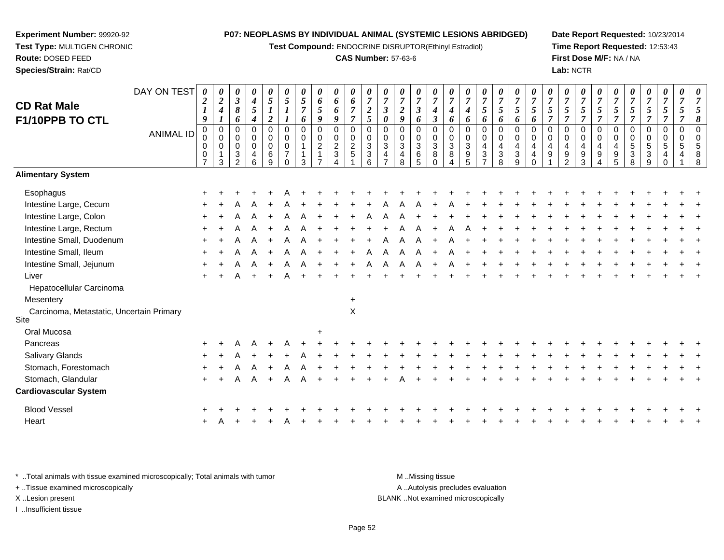**Test Compound:** ENDOCRINE DISRUPTOR(Ethinyl Estradiol)

#### **CAS Number:** 57-63-6

**Date Report Requested:** 10/23/2014**Time Report Requested:** 12:53:43**First Dose M/F:** NA / NA**Lab:** NCTR

| <b>CD Rat Male</b><br>F1/10PPB TO CTL<br><b>Alimentary System</b> | DAY ON TEST<br>ANIMAL ID | $\boldsymbol{\theta}$<br>$\boldsymbol{2}$<br>$\boldsymbol{l}$<br>9<br>$\mathbf 0$<br>0<br>0<br>$\mathbf 0$<br>$\overline{7}$ | 0<br>$\boldsymbol{2}$<br>$\boldsymbol{4}$<br>1<br>$\mathbf 0$<br>$\mathbf 0$<br>0<br>3 | 0<br>$\boldsymbol{\beta}$<br>8<br>6<br>$\Omega$<br>$\mathbf 0$<br>$\mathbf 0$<br>3<br>$\mathcal{P}$ | 0<br>$\boldsymbol{4}$<br>5<br>$\boldsymbol{4}$<br>$\Omega$<br>0<br>0<br>4<br>6 | $\pmb{\theta}$<br>5<br>$\boldsymbol{l}$<br>$\boldsymbol{2}$<br>$\mathbf 0$<br>$\pmb{0}$<br>$\pmb{0}$<br>6<br>9 | $\pmb{\theta}$<br>$\mathfrak{s}$<br>$\mathbf 0$<br>$\mathbf 0$<br>$\mathbf 0$<br>$\overline{7}$<br>$\Omega$ | 0<br>5<br>$\overline{7}$<br>6<br>0<br>0<br>3 | 0<br>6<br>$\mathfrak{s}$<br>9<br>$\mathbf 0$<br>$\pmb{0}$<br>$\overline{2}$<br>1 | 0<br>6<br>6<br>9<br>0<br>0<br>$\overline{\mathbf{c}}$<br>3 | $\pmb{\theta}$<br>6<br>$\overline{7}$<br>$\overline{7}$<br>0<br>$\mathbf 0$<br>$\overline{c}$<br>5 | 0<br>$\overline{7}$<br>$\boldsymbol{2}$<br>5<br>$\mathbf 0$<br>$\pmb{0}$<br>$\sqrt{3}$<br>3<br>6 | $\boldsymbol{\theta}$<br>$\overline{7}$<br>$\boldsymbol{\beta}$<br>$\boldsymbol{\theta}$<br>$\mathbf 0$<br>$\mathbf 0$<br>3<br>$\overline{4}$ | 0<br>$\overline{7}$<br>$\overline{2}$<br>9<br>$\mathbf 0$<br>$\mathbf 0$<br>$\mathbf{3}$<br>4<br>8 | 0<br>$\overline{7}$<br>$\mathbf{3}$<br>6<br>$\Omega$<br>0<br>$\mathbf{3}$<br>6<br>5 | 0<br>$\boldsymbol{7}$<br>$\boldsymbol{4}$<br>$\boldsymbol{\beta}$<br>0<br>$\mathsf{O}\xspace$<br>$\ensuremath{\mathsf{3}}$<br>8<br>$\Omega$ | 0<br>$\overline{7}$<br>4<br>6<br>$\mathbf 0$<br>$\pmb{0}$<br>$\ensuremath{\mathsf{3}}$<br>8<br>Δ | 0<br>$\overline{7}$<br>4<br>6<br>$\Omega$<br>0<br>$\sqrt{3}$<br>$\boldsymbol{9}$<br>5 | 0<br>$\boldsymbol{7}$<br>$\mathfrak{s}$<br>6<br>$\mathbf 0$<br>0<br>4<br>$\sqrt{3}$ | 0<br>$\boldsymbol{7}$<br>$\mathfrak{s}$<br>6<br>0<br>$\mathbf 0$<br>4<br>$\ensuremath{\mathsf{3}}$<br>8 | 0<br>$\boldsymbol{7}$<br>$5\overline{)}$<br>6<br>0<br>$\mathbf 0$<br>$\overline{4}$<br>$\ensuremath{\mathsf{3}}$<br>9 | 0<br>$\overline{7}$<br>5<br>6<br>$\mathbf 0$<br>0<br>4<br>4<br>$\Omega$ | 0<br>$\overline{7}$<br>5<br>$\overline{7}$<br>0<br>$\mathbf 0$<br>4<br>9 | $\boldsymbol{\theta}$<br>$\overline{7}$<br>5<br>$\overline{7}$<br>$\Omega$<br>$\mathbf 0$<br>4<br>$9\,$<br>$\mathcal{P}$ | $\pmb{\theta}$<br>$\overline{7}$<br>$\sqrt{5}$<br>$\overline{7}$<br>0<br>0<br>4<br>9<br>3 | 0<br>$\overline{7}$<br>5<br>$\overline{7}$<br>$\Omega$<br>$\mathbf 0$<br>4<br>9 | 0<br>$\overline{7}$<br>5<br>$\overline{7}$<br>$\mathbf 0$<br>$\mathbf 0$<br>4<br>9<br>5 | 0<br>$\overline{7}$<br>5<br>$\overline{7}$<br>0<br>0<br>$\,$ 5 $\,$<br>3<br>8 | $\boldsymbol{\theta}$<br>$\overline{7}$<br>5<br>$\overline{\tau}$<br>$\mathbf 0$<br>$\mathbf 0$<br>$\sqrt{5}$<br>$\mathbf{3}$<br>9 | $\boldsymbol{\theta}$<br>$\boldsymbol{7}$<br>$\mathfrak{s}$<br>$\overline{\tau}$<br>0<br>0<br>5<br>$\overline{4}$ | 0<br>$\overline{7}$<br>5<br>$\mathbf 0$<br>$\mathbf 0$<br>$\overline{5}$<br>$\overline{4}$ |  |
|-------------------------------------------------------------------|--------------------------|------------------------------------------------------------------------------------------------------------------------------|----------------------------------------------------------------------------------------|-----------------------------------------------------------------------------------------------------|--------------------------------------------------------------------------------|----------------------------------------------------------------------------------------------------------------|-------------------------------------------------------------------------------------------------------------|----------------------------------------------|----------------------------------------------------------------------------------|------------------------------------------------------------|----------------------------------------------------------------------------------------------------|--------------------------------------------------------------------------------------------------|-----------------------------------------------------------------------------------------------------------------------------------------------|----------------------------------------------------------------------------------------------------|-------------------------------------------------------------------------------------|---------------------------------------------------------------------------------------------------------------------------------------------|--------------------------------------------------------------------------------------------------|---------------------------------------------------------------------------------------|-------------------------------------------------------------------------------------|---------------------------------------------------------------------------------------------------------|-----------------------------------------------------------------------------------------------------------------------|-------------------------------------------------------------------------|--------------------------------------------------------------------------|--------------------------------------------------------------------------------------------------------------------------|-------------------------------------------------------------------------------------------|---------------------------------------------------------------------------------|-----------------------------------------------------------------------------------------|-------------------------------------------------------------------------------|------------------------------------------------------------------------------------------------------------------------------------|-------------------------------------------------------------------------------------------------------------------|--------------------------------------------------------------------------------------------|--|
| Esophagus                                                         |                          |                                                                                                                              |                                                                                        |                                                                                                     |                                                                                |                                                                                                                |                                                                                                             |                                              |                                                                                  |                                                            |                                                                                                    |                                                                                                  |                                                                                                                                               |                                                                                                    |                                                                                     |                                                                                                                                             |                                                                                                  |                                                                                       |                                                                                     |                                                                                                         |                                                                                                                       |                                                                         |                                                                          |                                                                                                                          |                                                                                           |                                                                                 |                                                                                         |                                                                               |                                                                                                                                    |                                                                                                                   |                                                                                            |  |
| Intestine Large, Cecum                                            |                          |                                                                                                                              |                                                                                        |                                                                                                     |                                                                                |                                                                                                                |                                                                                                             |                                              |                                                                                  |                                                            |                                                                                                    |                                                                                                  |                                                                                                                                               |                                                                                                    |                                                                                     |                                                                                                                                             |                                                                                                  |                                                                                       |                                                                                     |                                                                                                         |                                                                                                                       |                                                                         |                                                                          |                                                                                                                          |                                                                                           |                                                                                 |                                                                                         |                                                                               |                                                                                                                                    |                                                                                                                   |                                                                                            |  |
| Intestine Large, Colon                                            |                          |                                                                                                                              |                                                                                        |                                                                                                     |                                                                                |                                                                                                                |                                                                                                             |                                              |                                                                                  |                                                            |                                                                                                    |                                                                                                  |                                                                                                                                               |                                                                                                    |                                                                                     |                                                                                                                                             |                                                                                                  |                                                                                       |                                                                                     |                                                                                                         |                                                                                                                       |                                                                         |                                                                          |                                                                                                                          |                                                                                           |                                                                                 |                                                                                         |                                                                               |                                                                                                                                    |                                                                                                                   |                                                                                            |  |
| Intestine Large, Rectum                                           |                          |                                                                                                                              |                                                                                        |                                                                                                     |                                                                                |                                                                                                                |                                                                                                             |                                              |                                                                                  |                                                            |                                                                                                    |                                                                                                  |                                                                                                                                               |                                                                                                    |                                                                                     |                                                                                                                                             |                                                                                                  |                                                                                       |                                                                                     |                                                                                                         |                                                                                                                       |                                                                         |                                                                          |                                                                                                                          |                                                                                           |                                                                                 |                                                                                         |                                                                               |                                                                                                                                    |                                                                                                                   |                                                                                            |  |
| Intestine Small, Duodenum                                         |                          |                                                                                                                              |                                                                                        |                                                                                                     |                                                                                |                                                                                                                |                                                                                                             |                                              |                                                                                  |                                                            |                                                                                                    |                                                                                                  |                                                                                                                                               |                                                                                                    |                                                                                     |                                                                                                                                             |                                                                                                  |                                                                                       |                                                                                     |                                                                                                         |                                                                                                                       |                                                                         |                                                                          |                                                                                                                          |                                                                                           |                                                                                 |                                                                                         |                                                                               |                                                                                                                                    |                                                                                                                   |                                                                                            |  |
| Intestine Small, Ileum                                            |                          |                                                                                                                              |                                                                                        |                                                                                                     |                                                                                |                                                                                                                |                                                                                                             |                                              |                                                                                  |                                                            |                                                                                                    |                                                                                                  |                                                                                                                                               |                                                                                                    |                                                                                     |                                                                                                                                             |                                                                                                  |                                                                                       |                                                                                     |                                                                                                         |                                                                                                                       |                                                                         |                                                                          |                                                                                                                          |                                                                                           |                                                                                 |                                                                                         |                                                                               |                                                                                                                                    |                                                                                                                   |                                                                                            |  |
| Intestine Small, Jejunum                                          |                          |                                                                                                                              |                                                                                        |                                                                                                     |                                                                                |                                                                                                                | A                                                                                                           |                                              |                                                                                  |                                                            |                                                                                                    | А                                                                                                | A                                                                                                                                             |                                                                                                    | A                                                                                   |                                                                                                                                             |                                                                                                  |                                                                                       |                                                                                     |                                                                                                         |                                                                                                                       |                                                                         |                                                                          |                                                                                                                          |                                                                                           |                                                                                 |                                                                                         |                                                                               |                                                                                                                                    |                                                                                                                   |                                                                                            |  |
| Liver                                                             |                          |                                                                                                                              |                                                                                        |                                                                                                     |                                                                                |                                                                                                                |                                                                                                             |                                              |                                                                                  |                                                            |                                                                                                    |                                                                                                  |                                                                                                                                               |                                                                                                    |                                                                                     |                                                                                                                                             |                                                                                                  |                                                                                       |                                                                                     |                                                                                                         |                                                                                                                       |                                                                         |                                                                          |                                                                                                                          |                                                                                           |                                                                                 |                                                                                         |                                                                               |                                                                                                                                    |                                                                                                                   |                                                                                            |  |
| Hepatocellular Carcinoma                                          |                          |                                                                                                                              |                                                                                        |                                                                                                     |                                                                                |                                                                                                                |                                                                                                             |                                              |                                                                                  |                                                            |                                                                                                    |                                                                                                  |                                                                                                                                               |                                                                                                    |                                                                                     |                                                                                                                                             |                                                                                                  |                                                                                       |                                                                                     |                                                                                                         |                                                                                                                       |                                                                         |                                                                          |                                                                                                                          |                                                                                           |                                                                                 |                                                                                         |                                                                               |                                                                                                                                    |                                                                                                                   |                                                                                            |  |
| Mesentery                                                         |                          |                                                                                                                              |                                                                                        |                                                                                                     |                                                                                |                                                                                                                |                                                                                                             |                                              |                                                                                  |                                                            | $\ddot{}$                                                                                          |                                                                                                  |                                                                                                                                               |                                                                                                    |                                                                                     |                                                                                                                                             |                                                                                                  |                                                                                       |                                                                                     |                                                                                                         |                                                                                                                       |                                                                         |                                                                          |                                                                                                                          |                                                                                           |                                                                                 |                                                                                         |                                                                               |                                                                                                                                    |                                                                                                                   |                                                                                            |  |
| Carcinoma, Metastatic, Uncertain Primary<br>Site                  |                          |                                                                                                                              |                                                                                        |                                                                                                     |                                                                                |                                                                                                                |                                                                                                             |                                              |                                                                                  |                                                            | X                                                                                                  |                                                                                                  |                                                                                                                                               |                                                                                                    |                                                                                     |                                                                                                                                             |                                                                                                  |                                                                                       |                                                                                     |                                                                                                         |                                                                                                                       |                                                                         |                                                                          |                                                                                                                          |                                                                                           |                                                                                 |                                                                                         |                                                                               |                                                                                                                                    |                                                                                                                   |                                                                                            |  |
| Oral Mucosa                                                       |                          |                                                                                                                              |                                                                                        |                                                                                                     |                                                                                |                                                                                                                |                                                                                                             |                                              |                                                                                  |                                                            |                                                                                                    |                                                                                                  |                                                                                                                                               |                                                                                                    |                                                                                     |                                                                                                                                             |                                                                                                  |                                                                                       |                                                                                     |                                                                                                         |                                                                                                                       |                                                                         |                                                                          |                                                                                                                          |                                                                                           |                                                                                 |                                                                                         |                                                                               |                                                                                                                                    |                                                                                                                   |                                                                                            |  |
| Pancreas                                                          |                          |                                                                                                                              |                                                                                        |                                                                                                     |                                                                                |                                                                                                                |                                                                                                             |                                              |                                                                                  |                                                            |                                                                                                    |                                                                                                  |                                                                                                                                               |                                                                                                    |                                                                                     |                                                                                                                                             |                                                                                                  |                                                                                       |                                                                                     |                                                                                                         |                                                                                                                       |                                                                         |                                                                          |                                                                                                                          |                                                                                           |                                                                                 |                                                                                         |                                                                               |                                                                                                                                    |                                                                                                                   |                                                                                            |  |
| Salivary Glands                                                   |                          |                                                                                                                              |                                                                                        |                                                                                                     |                                                                                |                                                                                                                |                                                                                                             |                                              |                                                                                  |                                                            |                                                                                                    |                                                                                                  |                                                                                                                                               |                                                                                                    |                                                                                     |                                                                                                                                             |                                                                                                  |                                                                                       |                                                                                     |                                                                                                         |                                                                                                                       |                                                                         |                                                                          |                                                                                                                          |                                                                                           |                                                                                 |                                                                                         |                                                                               |                                                                                                                                    |                                                                                                                   |                                                                                            |  |
| Stomach, Forestomach                                              |                          |                                                                                                                              |                                                                                        |                                                                                                     |                                                                                |                                                                                                                |                                                                                                             |                                              |                                                                                  |                                                            |                                                                                                    |                                                                                                  |                                                                                                                                               |                                                                                                    |                                                                                     |                                                                                                                                             |                                                                                                  |                                                                                       |                                                                                     |                                                                                                         |                                                                                                                       |                                                                         |                                                                          |                                                                                                                          |                                                                                           |                                                                                 |                                                                                         |                                                                               |                                                                                                                                    |                                                                                                                   |                                                                                            |  |
| Stomach, Glandular                                                |                          |                                                                                                                              |                                                                                        |                                                                                                     | A                                                                              |                                                                                                                |                                                                                                             |                                              |                                                                                  |                                                            |                                                                                                    |                                                                                                  |                                                                                                                                               |                                                                                                    |                                                                                     |                                                                                                                                             |                                                                                                  |                                                                                       |                                                                                     |                                                                                                         |                                                                                                                       |                                                                         |                                                                          |                                                                                                                          |                                                                                           |                                                                                 |                                                                                         |                                                                               |                                                                                                                                    |                                                                                                                   |                                                                                            |  |
| <b>Cardiovascular System</b>                                      |                          |                                                                                                                              |                                                                                        |                                                                                                     |                                                                                |                                                                                                                |                                                                                                             |                                              |                                                                                  |                                                            |                                                                                                    |                                                                                                  |                                                                                                                                               |                                                                                                    |                                                                                     |                                                                                                                                             |                                                                                                  |                                                                                       |                                                                                     |                                                                                                         |                                                                                                                       |                                                                         |                                                                          |                                                                                                                          |                                                                                           |                                                                                 |                                                                                         |                                                                               |                                                                                                                                    |                                                                                                                   |                                                                                            |  |
| <b>Blood Vessel</b>                                               |                          |                                                                                                                              |                                                                                        |                                                                                                     |                                                                                |                                                                                                                |                                                                                                             |                                              |                                                                                  |                                                            |                                                                                                    |                                                                                                  |                                                                                                                                               |                                                                                                    |                                                                                     |                                                                                                                                             |                                                                                                  |                                                                                       |                                                                                     |                                                                                                         |                                                                                                                       |                                                                         |                                                                          |                                                                                                                          |                                                                                           |                                                                                 |                                                                                         |                                                                               |                                                                                                                                    |                                                                                                                   |                                                                                            |  |

\* ..Total animals with tissue examined microscopically; Total animals with tumor **M** ...Missing tissue M ...Missing tissue A ..Autolysis precludes evaluation + ..Tissue examined microscopically X ..Lesion present BLANK ..Not examined microscopicallyI ..Insufficient tissue

<sup>A</sup>

**Experiment Number:** 99920-92**Test Type:** MULTIGEN CHRONIC

**Route:** DOSED FEED**Species/Strain:** Rat/CD

Heart

 $\frac{1}{2}$ 

Page 52

<sup>+</sup> <sup>+</sup> <sup>+</sup> <sup>A</sup> <sup>+</sup> <sup>+</sup> <sup>+</sup> <sup>+</sup> <sup>+</sup> <sup>+</sup> <sup>+</sup> <sup>+</sup> <sup>+</sup> <sup>+</sup> <sup>+</sup> <sup>+</sup> <sup>+</sup> <sup>+</sup> <sup>+</sup> <sup>+</sup> <sup>+</sup> <sup>+</sup> <sup>+</sup> <sup>+</sup> <sup>+</sup> <sup>+</sup> <sup>+</sup> <sup>+</sup> <sup>+</sup>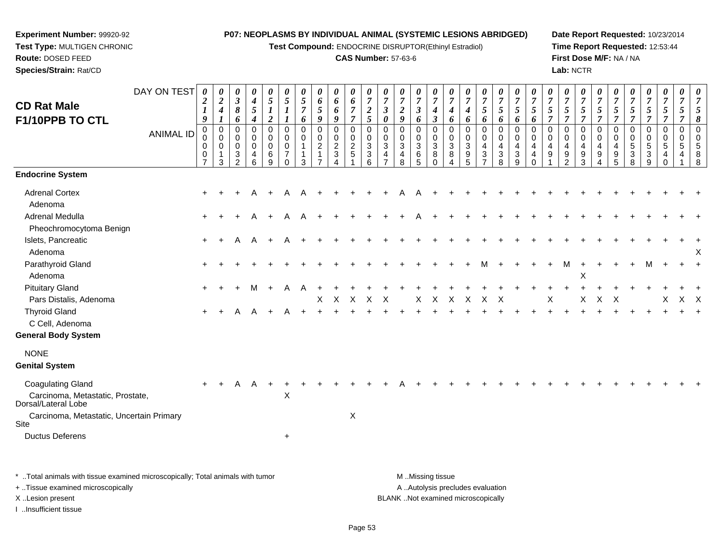**Test Compound:** ENDOCRINE DISRUPTOR(Ethinyl Estradiol)

#### **CAS Number:** 57-63-6

**Date Report Requested:** 10/23/2014**Time Report Requested:** 12:53:44**First Dose M/F:** NA / NA**Lab:** NCTR

| <b>CD Rat Male</b><br>F1/10PPB TO CTL                                               | DAY ON TEST      | $\boldsymbol{\theta}$<br>$\overline{\mathbf{c}}$<br>$\boldsymbol{l}$<br>9 | 0<br>$\overline{2}$<br>$\boldsymbol{4}$<br>$\boldsymbol{l}$ | 0<br>$\boldsymbol{\beta}$<br>8<br>6    | 0<br>$\boldsymbol{4}$<br>5<br>$\boldsymbol{4}$ | 0<br>$\mathfrak{s}$<br>$\boldsymbol{I}$<br>$\boldsymbol{2}$ | 0<br>$\mathfrak{s}$<br>$\boldsymbol{I}$                                     | 0<br>$\overline{5}$<br>$\overline{7}$<br>6           | 0<br>6<br>5<br>9                                     | 0<br>6<br>6<br>9                                            | 0<br>6<br>$\overline{7}$<br>$\overline{7}$      | $\theta$<br>$\overline{7}$<br>$\boldsymbol{2}$<br>5 | 0<br>$\overline{7}$<br>$\mathfrak{z}$<br>$\boldsymbol{\theta}$       | 0<br>$\overline{7}$<br>$\overline{2}$<br>9   | 0<br>$\overline{7}$<br>$\boldsymbol{\beta}$<br>6 | 0<br>$\boldsymbol{7}$<br>$\boldsymbol{4}$<br>$\boldsymbol{\beta}$ | $\theta$<br>$\overline{7}$<br>4<br>6                                                 | 0<br>$\overline{7}$<br>$\boldsymbol{4}$<br>6                                                   | 0<br>$\overline{7}$<br>5<br>6                                           | $\boldsymbol{\theta}$<br>$\overline{7}$<br>$\mathfrak{s}$<br>6 | 0<br>$\overline{7}$<br>5<br>6                   | 0<br>$\overline{7}$<br>5<br>6                              | 0<br>$\overline{7}$<br>5<br>$\overline{7}$     | 0<br>$\overline{7}$<br>$\mathfrak{s}$<br>$\overline{7}$             | 0<br>$\overline{7}$<br>$\mathfrak{s}$<br>$\overline{7}$            | $\theta$<br>$\overline{7}$<br>5<br>$\overline{7}$ | $\theta$<br>$\overline{7}$<br>5<br>$\overline{7}$                  | 0<br>$\overline{7}$<br>5<br>$\overline{7}$                      | 0<br>$\overline{7}$<br>$5\overline{)}$<br>$\overline{7}$ | 0<br>$\overline{7}$<br>$\mathfrak{I}$<br>$\overline{7}$ | 0<br>$\overline{7}$<br>5<br>$\overline{7}$ | $\overline{7}$<br>5<br>8            |
|-------------------------------------------------------------------------------------|------------------|---------------------------------------------------------------------------|-------------------------------------------------------------|----------------------------------------|------------------------------------------------|-------------------------------------------------------------|-----------------------------------------------------------------------------|------------------------------------------------------|------------------------------------------------------|-------------------------------------------------------------|-------------------------------------------------|-----------------------------------------------------|----------------------------------------------------------------------|----------------------------------------------|--------------------------------------------------|-------------------------------------------------------------------|--------------------------------------------------------------------------------------|------------------------------------------------------------------------------------------------|-------------------------------------------------------------------------|----------------------------------------------------------------|-------------------------------------------------|------------------------------------------------------------|------------------------------------------------|---------------------------------------------------------------------|--------------------------------------------------------------------|---------------------------------------------------|--------------------------------------------------------------------|-----------------------------------------------------------------|----------------------------------------------------------|---------------------------------------------------------|--------------------------------------------|-------------------------------------|
|                                                                                     | <b>ANIMAL ID</b> | 0<br>0<br>$\mathbf 0$<br>0<br>$\overline{7}$                              | $\boldsymbol{0}$<br>$\Omega$<br>$\mathbf 0$<br>1<br>3       | 0<br>$\Omega$<br>$\mathbf 0$<br>3<br>2 | 0<br>0<br>$\mathbf 0$<br>4<br>6                | $\pmb{0}$<br>$\mathbf 0$<br>$\pmb{0}$<br>6<br>9             | $\mathbf 0$<br>$\mathbf 0$<br>$\mathbf 0$<br>$\overline{7}$<br>$\mathbf{0}$ | $\mathbf 0$<br>$\mathbf 0$<br>$\mathbf{1}$<br>1<br>3 | 0<br>$\mathbf 0$<br>$\overline{2}$<br>$\overline{7}$ | $\pmb{0}$<br>$\mathbf 0$<br>$\frac{2}{3}$<br>$\overline{A}$ | $\pmb{0}$<br>$\mathbf 0$<br>$\overline{a}$<br>5 | $\mathbf 0$<br>$\Omega$<br>3<br>$\mathbf{3}$<br>6   | $\mathbf 0$<br>$\mathbf{0}$<br>3<br>$\overline{4}$<br>$\overline{7}$ | 0<br>$\mathbf 0$<br>3<br>$\overline{4}$<br>8 | $\mathbf 0$<br>$\mathbf 0$<br>3<br>6<br>5        | 0<br>$\mathbf 0$<br>$\mathbf{3}$<br>8<br>$\Omega$                 | $\pmb{0}$<br>$\mathbf 0$<br>$\ensuremath{\mathsf{3}}$<br>8<br>$\boldsymbol{\Lambda}$ | $\pmb{0}$<br>$\mathbf 0$<br>$\ensuremath{\mathsf{3}}$<br>$\begin{array}{c} 9 \\ 5 \end{array}$ | 0<br>0<br>$\overline{4}$<br>$\ensuremath{\mathsf{3}}$<br>$\overline{7}$ | $\pmb{0}$<br>$\Omega$<br>$\overline{4}$<br>$\sqrt{3}$<br>8     | $\mathbf 0$<br>$\Omega$<br>4<br>$\sqrt{3}$<br>9 | $\mathbf 0$<br>$\Omega$<br>4<br>$\overline{4}$<br>$\Omega$ | $\mathbf 0$<br>$\Omega$<br>$\overline{4}$<br>9 | $\mathbf 0$<br>$\mathbf 0$<br>$\overline{4}$<br>9<br>$\overline{2}$ | $\mathbf 0$<br>$\Omega$<br>$\overline{4}$<br>$\boldsymbol{9}$<br>3 | $\mathbf 0$<br>$\Omega$<br>4<br>9<br>4            | $\mathbf 0$<br>$\Omega$<br>$\overline{4}$<br>$\boldsymbol{9}$<br>5 | $\pmb{0}$<br>$\mathbf 0$<br>5<br>$\ensuremath{\mathsf{3}}$<br>8 | 0<br>0<br>$\overline{5}$<br>$\mathbf{3}$<br>9            | $\mathbf 0$<br>$\Omega$<br>5<br>4<br>$\Omega$           | $\pmb{0}$<br>$\mathbf 0$<br>5<br>4         | $\Omega$<br>$\Omega$<br>5<br>8<br>8 |
| <b>Endocrine System</b>                                                             |                  |                                                                           |                                                             |                                        |                                                |                                                             |                                                                             |                                                      |                                                      |                                                             |                                                 |                                                     |                                                                      |                                              |                                                  |                                                                   |                                                                                      |                                                                                                |                                                                         |                                                                |                                                 |                                                            |                                                |                                                                     |                                                                    |                                                   |                                                                    |                                                                 |                                                          |                                                         |                                            |                                     |
| <b>Adrenal Cortex</b><br>Adenoma                                                    |                  |                                                                           |                                                             |                                        |                                                |                                                             |                                                                             |                                                      |                                                      |                                                             |                                                 |                                                     |                                                                      |                                              |                                                  |                                                                   |                                                                                      |                                                                                                |                                                                         |                                                                |                                                 |                                                            |                                                |                                                                     |                                                                    |                                                   |                                                                    |                                                                 |                                                          |                                                         |                                            |                                     |
| Adrenal Medulla<br>Pheochromocytoma Benign                                          |                  | $\ddot{}$                                                                 |                                                             |                                        |                                                |                                                             |                                                                             |                                                      |                                                      |                                                             |                                                 |                                                     |                                                                      |                                              |                                                  |                                                                   |                                                                                      |                                                                                                |                                                                         |                                                                |                                                 |                                                            |                                                |                                                                     |                                                                    |                                                   |                                                                    |                                                                 |                                                          |                                                         |                                            |                                     |
| Islets, Pancreatic<br>Adenoma                                                       |                  | $\ddot{}$                                                                 |                                                             | Α                                      | A                                              |                                                             |                                                                             |                                                      |                                                      |                                                             |                                                 |                                                     |                                                                      |                                              |                                                  |                                                                   |                                                                                      |                                                                                                |                                                                         |                                                                |                                                 |                                                            |                                                |                                                                     |                                                                    |                                                   |                                                                    |                                                                 |                                                          |                                                         |                                            | X                                   |
| Parathyroid Gland<br>Adenoma                                                        |                  |                                                                           |                                                             |                                        |                                                |                                                             |                                                                             |                                                      |                                                      |                                                             |                                                 |                                                     |                                                                      |                                              |                                                  |                                                                   |                                                                                      |                                                                                                |                                                                         |                                                                |                                                 |                                                            |                                                | м                                                                   | X                                                                  |                                                   |                                                                    |                                                                 |                                                          |                                                         |                                            |                                     |
| <b>Pituitary Gland</b><br>Pars Distalis, Adenoma                                    |                  | $\ddot{}$                                                                 |                                                             |                                        | м                                              |                                                             | A                                                                           | A                                                    | X                                                    | X                                                           | X                                               | X                                                   | X                                                                    |                                              | X                                                | X                                                                 | X                                                                                    | $\times$                                                                                       | X                                                                       | $\mathsf{X}$                                                   |                                                 |                                                            | X                                              |                                                                     | X                                                                  | X                                                 | X                                                                  |                                                                 |                                                          | X                                                       | $X$ $X$                                    |                                     |
| <b>Thyroid Gland</b><br>C Cell, Adenoma                                             |                  | ÷                                                                         |                                                             |                                        |                                                |                                                             |                                                                             |                                                      |                                                      |                                                             |                                                 |                                                     |                                                                      |                                              |                                                  |                                                                   |                                                                                      |                                                                                                |                                                                         |                                                                |                                                 |                                                            |                                                |                                                                     |                                                                    |                                                   |                                                                    |                                                                 |                                                          |                                                         |                                            |                                     |
| <b>General Body System</b>                                                          |                  |                                                                           |                                                             |                                        |                                                |                                                             |                                                                             |                                                      |                                                      |                                                             |                                                 |                                                     |                                                                      |                                              |                                                  |                                                                   |                                                                                      |                                                                                                |                                                                         |                                                                |                                                 |                                                            |                                                |                                                                     |                                                                    |                                                   |                                                                    |                                                                 |                                                          |                                                         |                                            |                                     |
| <b>NONE</b><br><b>Genital System</b>                                                |                  |                                                                           |                                                             |                                        |                                                |                                                             |                                                                             |                                                      |                                                      |                                                             |                                                 |                                                     |                                                                      |                                              |                                                  |                                                                   |                                                                                      |                                                                                                |                                                                         |                                                                |                                                 |                                                            |                                                |                                                                     |                                                                    |                                                   |                                                                    |                                                                 |                                                          |                                                         |                                            |                                     |
| <b>Coagulating Gland</b><br>Carcinoma, Metastatic, Prostate,<br>Dorsal/Lateral Lobe |                  |                                                                           |                                                             |                                        |                                                |                                                             | $\mathsf X$                                                                 |                                                      |                                                      |                                                             |                                                 |                                                     |                                                                      |                                              |                                                  |                                                                   |                                                                                      |                                                                                                |                                                                         |                                                                |                                                 |                                                            |                                                |                                                                     |                                                                    |                                                   |                                                                    |                                                                 |                                                          |                                                         |                                            |                                     |
| Carcinoma, Metastatic, Uncertain Primary<br>Site                                    |                  |                                                                           |                                                             |                                        |                                                |                                                             |                                                                             |                                                      |                                                      |                                                             | X                                               |                                                     |                                                                      |                                              |                                                  |                                                                   |                                                                                      |                                                                                                |                                                                         |                                                                |                                                 |                                                            |                                                |                                                                     |                                                                    |                                                   |                                                                    |                                                                 |                                                          |                                                         |                                            |                                     |
| <b>Ductus Deferens</b>                                                              |                  |                                                                           |                                                             |                                        |                                                |                                                             | $\ddot{}$                                                                   |                                                      |                                                      |                                                             |                                                 |                                                     |                                                                      |                                              |                                                  |                                                                   |                                                                                      |                                                                                                |                                                                         |                                                                |                                                 |                                                            |                                                |                                                                     |                                                                    |                                                   |                                                                    |                                                                 |                                                          |                                                         |                                            |                                     |

\* ..Total animals with tissue examined microscopically; Total animals with tumor **M** . Missing tissue M ..Missing tissue A ..Autolysis precludes evaluation + ..Tissue examined microscopically X ..Lesion present BLANK ..Not examined microscopicallyI ..Insufficient tissue

**Experiment Number:** 99920-92**Test Type:** MULTIGEN CHRONIC

**Route:** DOSED FEED**Species/Strain:** Rat/CD

Page 53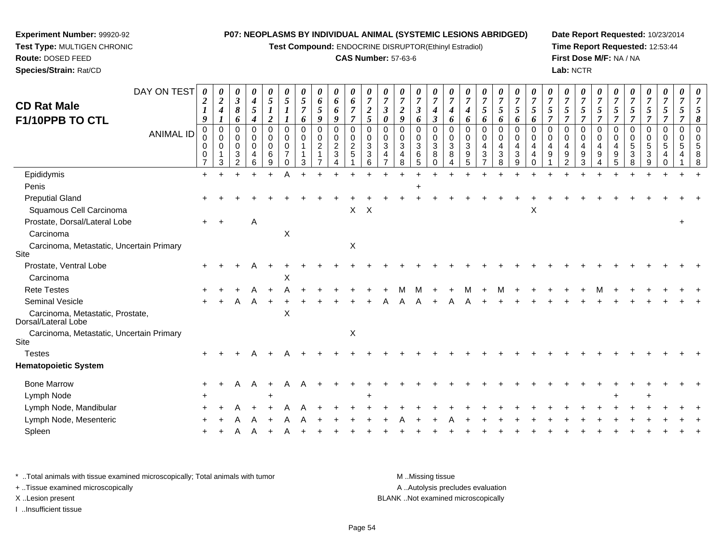**Test Compound:** ENDOCRINE DISRUPTOR(Ethinyl Estradiol)

#### **CAS Number:** 57-63-6

**Date Report Requested:** 10/23/2014**Time Report Requested:** 12:53:44**First Dose M/F:** NA / NA**Lab:** NCTR

| <b>CD Rat Male</b><br>F1/10PPB TO CTL                   | DAY ON TEST<br><b>ANIMAL ID</b> | 0<br>$\boldsymbol{2}$<br>9<br>0<br>0<br>0<br>0<br>$\overline{7}$ | $\overline{2}$<br>4<br>$\boldsymbol{l}$<br>$\mathbf 0$<br>$\mathbf 0$<br>0<br>3 | 0<br>$\boldsymbol{\beta}$<br>8<br>6<br>$\Omega$<br>$\mathbf 0$<br>0<br>3<br>C | 0<br>$\boldsymbol{4}$<br>$\sqrt{5}$<br>$\boldsymbol{4}$<br>0<br>$\mathbf 0$<br>0<br>4<br>6 | 0<br>$\mathfrak{s}$<br>$\overline{\mathbf{c}}$<br>$\mathbf 0$<br>$\mathbf 0$<br>$\mathbf 0$<br>6<br>9 | 0<br>5<br>$\boldsymbol{I}$<br>$\pmb{0}$<br>$\mathbf 0$<br>0<br>$\Omega$ | 5<br>$\overline{7}$<br>6<br>$\mathbf 0$<br>$\mathbf 0$<br>$\mathbf{1}$ | 0<br>6<br>5<br>9<br>$\mathbf 0$<br>0<br>$\overline{c}$ | 0<br>6<br>6<br>9<br>0<br>0<br>$\overline{2}$<br>3 | 0<br>6<br>$\overline{7}$<br>$\overline{7}$<br>$\mathbf 0$<br>$\mathbf 0$<br>$\boldsymbol{2}$<br>5 | 0<br>$\overline{7}$<br>$\boldsymbol{2}$<br>5<br>$\mathbf 0$<br>$\mathbf 0$<br>3<br>3<br>6 | $\mathfrak{z}$<br>$\boldsymbol{\theta}$<br>$\mathbf 0$<br>$\mathbf 0$<br>3 | 0<br>$\overline{c}$<br>9<br>$\Omega$<br>$\mathbf 0$<br>3<br>8 | 0<br>$\boldsymbol{7}$<br>$\boldsymbol{\beta}$<br>6<br>$\Omega$<br>$\mathbf 0$<br>$\sqrt{3}$<br>6<br>5 | 0<br>$\overline{7}$<br>$\boldsymbol{4}$<br>$\boldsymbol{\beta}$<br>$\mathbf 0$<br>$\mathbf 0$<br>$\sqrt{3}$<br>8<br>$\Omega$ | 0<br>$\overline{7}$<br>4<br>6<br>$\mathbf 0$<br>$\mathbf 0$<br>3<br>8 | $\overline{7}$<br>$\boldsymbol{4}$<br>6<br>$\mathbf 0$<br>$\mathbf 0$<br>$\mathbf{3}$<br>9<br>5 | 0<br>$\overline{7}$<br>5<br>6<br>0<br>$\mathbf 0$<br>4<br>3 | 0<br>$\boldsymbol{7}$<br>$\sqrt{5}$<br>6<br>0<br>$\mathbf 0$<br>4<br>3<br>8 | 0<br>$\overline{7}$<br>5<br>6<br>$\mathbf 0$<br>$\mathbf 0$<br>4<br>$\mathbf{3}$<br>9 | 0<br>$\overline{7}$<br>$\mathfrak{s}$<br>6<br>$\mathbf 0$<br>$\mathbf 0$<br>4<br>4<br>$\Omega$ | $\overline{5}$<br>$\overline{7}$<br>$\mathbf 0$<br>$\mathbf 0$<br>4<br>9 | 0<br>$\overline{7}$<br>5<br>$\overline{7}$<br>0<br>$\mathbf 0$<br>4<br>9 | 0<br>$\boldsymbol{7}$<br>5<br>$\overline{7}$<br>0<br>$\mathbf 0$<br>4<br>9<br>3 | 0<br>$\overline{7}$<br>$\mathfrak{s}$<br>$\overline{7}$<br>$\mathbf 0$<br>$\mathbf 0$<br>4<br>9 | 0<br>$\overline{7}$<br>$\mathfrak{s}$<br>$\overline{7}$<br>$\mathbf 0$<br>$\mathbf 0$<br>4<br>9<br>5 | $\sqrt{5}$<br>$\overline{7}$<br>$\mathbf 0$<br>$\mathbf 0$<br>5 | 0<br>$\overline{7}$<br>5<br>$\overline{7}$<br>0<br>$\mathbf 0$<br>5<br>3 | 0<br>$\boldsymbol{7}$<br>$\sqrt{5}$<br>$\overline{7}$<br>0<br>$\mathbf 0$<br>5 | 5<br>$\Omega$<br>$\mathbf 0$<br>5 |  |
|---------------------------------------------------------|---------------------------------|------------------------------------------------------------------|---------------------------------------------------------------------------------|-------------------------------------------------------------------------------|--------------------------------------------------------------------------------------------|-------------------------------------------------------------------------------------------------------|-------------------------------------------------------------------------|------------------------------------------------------------------------|--------------------------------------------------------|---------------------------------------------------|---------------------------------------------------------------------------------------------------|-------------------------------------------------------------------------------------------|----------------------------------------------------------------------------|---------------------------------------------------------------|-------------------------------------------------------------------------------------------------------|------------------------------------------------------------------------------------------------------------------------------|-----------------------------------------------------------------------|-------------------------------------------------------------------------------------------------|-------------------------------------------------------------|-----------------------------------------------------------------------------|---------------------------------------------------------------------------------------|------------------------------------------------------------------------------------------------|--------------------------------------------------------------------------|--------------------------------------------------------------------------|---------------------------------------------------------------------------------|-------------------------------------------------------------------------------------------------|------------------------------------------------------------------------------------------------------|-----------------------------------------------------------------|--------------------------------------------------------------------------|--------------------------------------------------------------------------------|-----------------------------------|--|
| Epididymis                                              |                                 | $\ddot{}$                                                        |                                                                                 |                                                                               |                                                                                            |                                                                                                       |                                                                         |                                                                        |                                                        |                                                   |                                                                                                   |                                                                                           |                                                                            |                                                               |                                                                                                       |                                                                                                                              |                                                                       |                                                                                                 |                                                             |                                                                             |                                                                                       |                                                                                                |                                                                          |                                                                          |                                                                                 |                                                                                                 |                                                                                                      |                                                                 |                                                                          |                                                                                |                                   |  |
| Penis                                                   |                                 |                                                                  |                                                                                 |                                                                               |                                                                                            |                                                                                                       |                                                                         |                                                                        |                                                        |                                                   |                                                                                                   |                                                                                           |                                                                            |                                                               |                                                                                                       |                                                                                                                              |                                                                       |                                                                                                 |                                                             |                                                                             |                                                                                       |                                                                                                |                                                                          |                                                                          |                                                                                 |                                                                                                 |                                                                                                      |                                                                 |                                                                          |                                                                                |                                   |  |
| <b>Preputial Gland</b>                                  |                                 |                                                                  |                                                                                 |                                                                               |                                                                                            |                                                                                                       |                                                                         |                                                                        |                                                        |                                                   |                                                                                                   |                                                                                           |                                                                            |                                                               |                                                                                                       |                                                                                                                              |                                                                       |                                                                                                 |                                                             |                                                                             |                                                                                       |                                                                                                |                                                                          |                                                                          |                                                                                 |                                                                                                 |                                                                                                      |                                                                 |                                                                          |                                                                                |                                   |  |
| Squamous Cell Carcinoma                                 |                                 |                                                                  |                                                                                 |                                                                               |                                                                                            |                                                                                                       |                                                                         |                                                                        |                                                        |                                                   | X                                                                                                 | $\boldsymbol{\mathsf{X}}$                                                                 |                                                                            |                                                               |                                                                                                       |                                                                                                                              |                                                                       |                                                                                                 |                                                             |                                                                             |                                                                                       | X                                                                                              |                                                                          |                                                                          |                                                                                 |                                                                                                 |                                                                                                      |                                                                 |                                                                          |                                                                                |                                   |  |
| Prostate, Dorsal/Lateral Lobe                           |                                 | $+$                                                              |                                                                                 |                                                                               | Α                                                                                          |                                                                                                       |                                                                         |                                                                        |                                                        |                                                   |                                                                                                   |                                                                                           |                                                                            |                                                               |                                                                                                       |                                                                                                                              |                                                                       |                                                                                                 |                                                             |                                                                             |                                                                                       |                                                                                                |                                                                          |                                                                          |                                                                                 |                                                                                                 |                                                                                                      |                                                                 |                                                                          |                                                                                |                                   |  |
| Carcinoma                                               |                                 |                                                                  |                                                                                 |                                                                               |                                                                                            |                                                                                                       | X                                                                       |                                                                        |                                                        |                                                   |                                                                                                   |                                                                                           |                                                                            |                                                               |                                                                                                       |                                                                                                                              |                                                                       |                                                                                                 |                                                             |                                                                             |                                                                                       |                                                                                                |                                                                          |                                                                          |                                                                                 |                                                                                                 |                                                                                                      |                                                                 |                                                                          |                                                                                |                                   |  |
| Carcinoma, Metastatic, Uncertain Primary<br>Site        |                                 |                                                                  |                                                                                 |                                                                               |                                                                                            |                                                                                                       |                                                                         |                                                                        |                                                        |                                                   | $\mathsf X$                                                                                       |                                                                                           |                                                                            |                                                               |                                                                                                       |                                                                                                                              |                                                                       |                                                                                                 |                                                             |                                                                             |                                                                                       |                                                                                                |                                                                          |                                                                          |                                                                                 |                                                                                                 |                                                                                                      |                                                                 |                                                                          |                                                                                |                                   |  |
| Prostate, Ventral Lobe                                  |                                 |                                                                  |                                                                                 |                                                                               |                                                                                            |                                                                                                       |                                                                         |                                                                        |                                                        |                                                   |                                                                                                   |                                                                                           |                                                                            |                                                               |                                                                                                       |                                                                                                                              |                                                                       |                                                                                                 |                                                             |                                                                             |                                                                                       |                                                                                                |                                                                          |                                                                          |                                                                                 |                                                                                                 |                                                                                                      |                                                                 |                                                                          |                                                                                |                                   |  |
| Carcinoma                                               |                                 |                                                                  |                                                                                 |                                                                               |                                                                                            |                                                                                                       | X                                                                       |                                                                        |                                                        |                                                   |                                                                                                   |                                                                                           |                                                                            |                                                               |                                                                                                       |                                                                                                                              |                                                                       |                                                                                                 |                                                             |                                                                             |                                                                                       |                                                                                                |                                                                          |                                                                          |                                                                                 |                                                                                                 |                                                                                                      |                                                                 |                                                                          |                                                                                |                                   |  |
| <b>Rete Testes</b>                                      |                                 |                                                                  |                                                                                 |                                                                               |                                                                                            |                                                                                                       |                                                                         |                                                                        |                                                        |                                                   |                                                                                                   |                                                                                           |                                                                            |                                                               |                                                                                                       |                                                                                                                              |                                                                       | м                                                                                               |                                                             | М                                                                           |                                                                                       |                                                                                                |                                                                          |                                                                          |                                                                                 |                                                                                                 |                                                                                                      |                                                                 |                                                                          |                                                                                |                                   |  |
| Seminal Vesicle                                         |                                 |                                                                  |                                                                                 |                                                                               |                                                                                            |                                                                                                       |                                                                         |                                                                        |                                                        |                                                   |                                                                                                   |                                                                                           |                                                                            |                                                               |                                                                                                       |                                                                                                                              |                                                                       |                                                                                                 |                                                             |                                                                             |                                                                                       |                                                                                                |                                                                          |                                                                          |                                                                                 |                                                                                                 |                                                                                                      |                                                                 |                                                                          |                                                                                |                                   |  |
| Carcinoma, Metastatic, Prostate,<br>Dorsal/Lateral Lobe |                                 |                                                                  |                                                                                 |                                                                               |                                                                                            |                                                                                                       | $\pmb{\times}$                                                          |                                                                        |                                                        |                                                   |                                                                                                   |                                                                                           |                                                                            |                                                               |                                                                                                       |                                                                                                                              |                                                                       |                                                                                                 |                                                             |                                                                             |                                                                                       |                                                                                                |                                                                          |                                                                          |                                                                                 |                                                                                                 |                                                                                                      |                                                                 |                                                                          |                                                                                |                                   |  |
| Carcinoma, Metastatic, Uncertain Primary<br>Site        |                                 |                                                                  |                                                                                 |                                                                               |                                                                                            |                                                                                                       |                                                                         |                                                                        |                                                        |                                                   | Χ                                                                                                 |                                                                                           |                                                                            |                                                               |                                                                                                       |                                                                                                                              |                                                                       |                                                                                                 |                                                             |                                                                             |                                                                                       |                                                                                                |                                                                          |                                                                          |                                                                                 |                                                                                                 |                                                                                                      |                                                                 |                                                                          |                                                                                |                                   |  |
| <b>Testes</b>                                           |                                 |                                                                  |                                                                                 |                                                                               |                                                                                            |                                                                                                       |                                                                         |                                                                        |                                                        |                                                   |                                                                                                   |                                                                                           |                                                                            |                                                               |                                                                                                       |                                                                                                                              |                                                                       |                                                                                                 |                                                             |                                                                             |                                                                                       |                                                                                                |                                                                          |                                                                          |                                                                                 |                                                                                                 |                                                                                                      |                                                                 |                                                                          |                                                                                |                                   |  |
| <b>Hematopoietic System</b>                             |                                 |                                                                  |                                                                                 |                                                                               |                                                                                            |                                                                                                       |                                                                         |                                                                        |                                                        |                                                   |                                                                                                   |                                                                                           |                                                                            |                                                               |                                                                                                       |                                                                                                                              |                                                                       |                                                                                                 |                                                             |                                                                             |                                                                                       |                                                                                                |                                                                          |                                                                          |                                                                                 |                                                                                                 |                                                                                                      |                                                                 |                                                                          |                                                                                |                                   |  |
| <b>Bone Marrow</b>                                      |                                 |                                                                  |                                                                                 | Α                                                                             | $\mathsf{A}$                                                                               | $\ddot{}$                                                                                             | A                                                                       |                                                                        |                                                        |                                                   |                                                                                                   |                                                                                           |                                                                            |                                                               |                                                                                                       |                                                                                                                              |                                                                       |                                                                                                 |                                                             |                                                                             |                                                                                       |                                                                                                |                                                                          |                                                                          |                                                                                 |                                                                                                 |                                                                                                      |                                                                 |                                                                          |                                                                                |                                   |  |
| Lymph Node                                              |                                 |                                                                  |                                                                                 |                                                                               |                                                                                            |                                                                                                       |                                                                         |                                                                        |                                                        |                                                   |                                                                                                   |                                                                                           |                                                                            |                                                               |                                                                                                       |                                                                                                                              |                                                                       |                                                                                                 |                                                             |                                                                             |                                                                                       |                                                                                                |                                                                          |                                                                          |                                                                                 |                                                                                                 |                                                                                                      |                                                                 |                                                                          |                                                                                |                                   |  |
| Lymph Node, Mandibular                                  |                                 |                                                                  |                                                                                 |                                                                               |                                                                                            |                                                                                                       |                                                                         |                                                                        |                                                        |                                                   |                                                                                                   |                                                                                           |                                                                            |                                                               |                                                                                                       |                                                                                                                              |                                                                       |                                                                                                 |                                                             |                                                                             |                                                                                       |                                                                                                |                                                                          |                                                                          |                                                                                 |                                                                                                 |                                                                                                      |                                                                 |                                                                          |                                                                                |                                   |  |
| Lymph Node, Mesenteric                                  |                                 |                                                                  |                                                                                 |                                                                               |                                                                                            |                                                                                                       |                                                                         |                                                                        |                                                        |                                                   |                                                                                                   |                                                                                           |                                                                            |                                                               |                                                                                                       |                                                                                                                              |                                                                       |                                                                                                 |                                                             |                                                                             |                                                                                       |                                                                                                |                                                                          |                                                                          |                                                                                 |                                                                                                 |                                                                                                      |                                                                 |                                                                          |                                                                                |                                   |  |
| Spleen                                                  |                                 |                                                                  |                                                                                 |                                                                               |                                                                                            |                                                                                                       |                                                                         |                                                                        |                                                        |                                                   |                                                                                                   |                                                                                           |                                                                            |                                                               |                                                                                                       |                                                                                                                              |                                                                       |                                                                                                 |                                                             |                                                                             |                                                                                       |                                                                                                |                                                                          |                                                                          |                                                                                 |                                                                                                 |                                                                                                      |                                                                 |                                                                          |                                                                                |                                   |  |
|                                                         |                                 |                                                                  |                                                                                 |                                                                               |                                                                                            |                                                                                                       |                                                                         |                                                                        |                                                        |                                                   |                                                                                                   |                                                                                           |                                                                            |                                                               |                                                                                                       |                                                                                                                              |                                                                       |                                                                                                 |                                                             |                                                                             |                                                                                       |                                                                                                |                                                                          |                                                                          |                                                                                 |                                                                                                 |                                                                                                      |                                                                 |                                                                          |                                                                                |                                   |  |

\* ..Total animals with tissue examined microscopically; Total animals with tumor **M** . Missing tissue M ..Missing tissue A ..Autolysis precludes evaluation + ..Tissue examined microscopically X ..Lesion present BLANK ..Not examined microscopicallyI ..Insufficient tissue

**Experiment Number:** 99920-92**Test Type:** MULTIGEN CHRONIC

**Route:** DOSED FEED**Species/Strain:** Rat/CD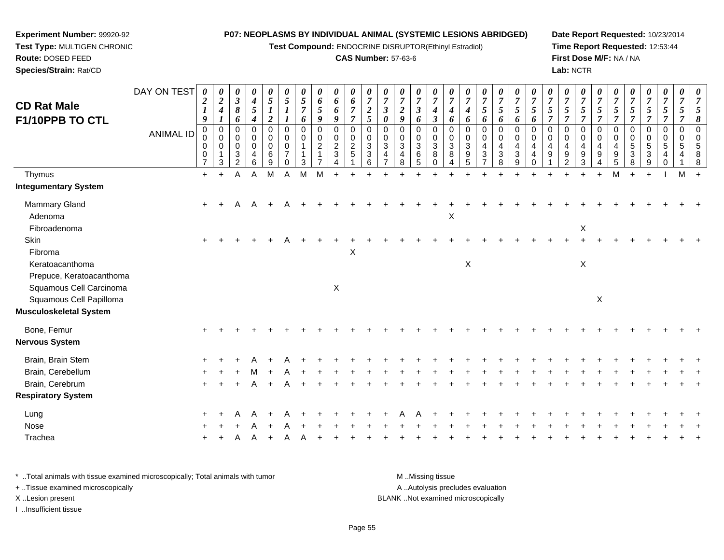**Test Compound:** ENDOCRINE DISRUPTOR(Ethinyl Estradiol)

#### **CAS Number:** 57-63-6

**Date Report Requested:** 10/23/2014**Time Report Requested:** 12:53:44**First Dose M/F:** NA / NA**Lab:** NCTR

| <b>CD Rat Male</b>                                 | DAY ON TEST      | $\boldsymbol{\theta}$<br>$\boldsymbol{2}$<br>$\boldsymbol{l}$ | 0<br>$\boldsymbol{2}$<br>$\boldsymbol{4}$            | 0<br>$\mathfrak{z}$<br>8                               | 0<br>$\boldsymbol{4}$<br>$\sqrt{5}$ | 0<br>$\mathfrak{s}$                                         | 0<br>5<br>1                                         | 0<br>$\sqrt{5}$<br>$\overline{7}$               | 0<br>6<br>5                        | 0<br>6<br>6                             | 0<br>6<br>$\overline{7}$                                       | 0<br>$\overline{7}$<br>$\boldsymbol{2}$                           | $\overline{7}$<br>$\boldsymbol{\beta}$       | 0<br>$\overline{7}$<br>$\overline{2}$ | 0<br>$\overline{7}$<br>$\boldsymbol{\beta}$ | 0<br>$\overline{7}$<br>4                                     | $\boldsymbol{\theta}$<br>$\overline{7}$<br>4                 | $\overline{7}$<br>4                               | 0<br>$\overline{7}$<br>5             | 0<br>$\overline{7}$<br>$5\overline{)}$                | 0<br>$\overline{7}$<br>5                | 0<br>$\overline{7}$<br>$\mathfrak{s}$  | $\boldsymbol{\theta}$<br>$\overline{7}$<br>5   | 0<br>$\overline{7}$<br>5       | 0<br>$\boldsymbol{7}$<br>$\sqrt{5}$                                  | 0<br>$\overline{7}$<br>5                          | $\boldsymbol{\theta}$<br>$\overline{7}$<br>5 | $\overline{7}$<br>5                            | 0<br>$\overline{7}$<br>5        | 0<br>$\boldsymbol{7}$<br>$5\overline{)}$ | 0<br>$\overline{7}$<br>5     | $\boldsymbol{\theta}$ |
|----------------------------------------------------|------------------|---------------------------------------------------------------|------------------------------------------------------|--------------------------------------------------------|-------------------------------------|-------------------------------------------------------------|-----------------------------------------------------|-------------------------------------------------|------------------------------------|-----------------------------------------|----------------------------------------------------------------|-------------------------------------------------------------------|----------------------------------------------|---------------------------------------|---------------------------------------------|--------------------------------------------------------------|--------------------------------------------------------------|---------------------------------------------------|--------------------------------------|-------------------------------------------------------|-----------------------------------------|----------------------------------------|------------------------------------------------|--------------------------------|----------------------------------------------------------------------|---------------------------------------------------|----------------------------------------------|------------------------------------------------|---------------------------------|------------------------------------------|------------------------------|-----------------------|
| F1/10PPB TO CTL                                    |                  | 9                                                             | 1                                                    | 6                                                      | $\boldsymbol{4}$                    | $\overline{\mathbf{c}}$                                     |                                                     | 6                                               | 9                                  | 9                                       | $\overline{7}$                                                 | $5\overline{)}$                                                   | $\boldsymbol{\theta}$                        | 9                                     | 6                                           | $\boldsymbol{\beta}$                                         | 6                                                            | 6                                                 | 6                                    | 6                                                     | 6                                       | 6                                      | $\overline{7}$                                 |                                | $\overline{7}$                                                       | 7                                                 | $\overline{7}$                               | 7                                              | 7                               | $\overline{7}$                           |                              |                       |
|                                                    | <b>ANIMAL ID</b> | $\pmb{0}$<br>$\mathbf 0$<br>0<br>0<br>$\overline{7}$          | $\mathbf 0$<br>$\mathbf 0$<br>0<br>$\mathbf{1}$<br>3 | 0<br>$\mathbf 0$<br>$\mathbf 0$<br>3<br>$\overline{2}$ | 0<br>0<br>$\mathbf 0$<br>4<br>6     | $\mathbf 0$<br>$\mathbf 0$<br>$\mathsf{O}\xspace$<br>6<br>9 | $\mathbf 0$<br>$\mathbf 0$<br>$\mathbf 0$<br>7<br>0 | $\mathbf 0$<br>$\mathbf 0$<br>$\mathbf{1}$<br>3 | $\mathbf 0$<br>0<br>$\overline{c}$ | 0<br>$\mathbf 0$<br>$\overline{2}$<br>3 | $\pmb{0}$<br>$\mathbf 0$<br>$\boldsymbol{2}$<br>$\overline{5}$ | $\mathbf 0$<br>$\mathbf 0$<br>$\ensuremath{\mathsf{3}}$<br>3<br>6 | $\mathbf 0$<br>$\Omega$<br>$\mathbf{3}$<br>4 | $\Omega$<br>$\Omega$<br>3<br>4<br>8   | 0<br>$\mathbf 0$<br>$\mathbf{3}$<br>6<br>5  | $\mathbf 0$<br>$\mathbf 0$<br>$\sqrt{3}$<br>8<br>$\mathbf 0$ | $\mathbf 0$<br>$\mathbf 0$<br>$\ensuremath{\mathsf{3}}$<br>8 | $\mathbf 0$<br>$\Omega$<br>$\mathbf{3}$<br>9<br>5 | $\mathbf 0$<br>$\mathbf 0$<br>4<br>3 | $\mathbf 0$<br>0<br>$\overline{4}$<br>$\sqrt{3}$<br>8 | $\pmb{0}$<br>$\mathbf 0$<br>4<br>3<br>9 | $\mathbf 0$<br>$\Omega$<br>4<br>4<br>0 | $\mathbf 0$<br>$\Omega$<br>$\overline{4}$<br>9 | $\Omega$<br>$\Omega$<br>4<br>9 | $\mathbf 0$<br>0<br>$\overline{\mathbf{4}}$<br>$\boldsymbol{9}$<br>3 | $\mathbf 0$<br>$\mathbf 0$<br>$\overline{4}$<br>9 | 0<br>$\Omega$<br>4<br>9<br>5                 | $\mathbf 0$<br>$\Omega$<br>$\overline{5}$<br>3 | 0<br>$\mathbf 0$<br>5<br>3<br>9 | 0<br>0<br>$\sqrt{5}$                     | $\mathbf 0$<br>$\Omega$<br>5 |                       |
| Thymus                                             |                  | $+$                                                           | $\ddot{}$                                            | Α                                                      | A                                   | M                                                           | A                                                   | M                                               | M                                  |                                         |                                                                |                                                                   |                                              |                                       |                                             |                                                              |                                                              |                                                   |                                      |                                                       |                                         |                                        |                                                |                                |                                                                      | $\ddot{}$                                         | M                                            |                                                | $\ddot{}$                       |                                          | M                            |                       |
| <b>Integumentary System</b>                        |                  |                                                               |                                                      |                                                        |                                     |                                                             |                                                     |                                                 |                                    |                                         |                                                                |                                                                   |                                              |                                       |                                             |                                                              |                                                              |                                                   |                                      |                                                       |                                         |                                        |                                                |                                |                                                                      |                                                   |                                              |                                                |                                 |                                          |                              |                       |
| Mammary Gland<br>Adenoma                           |                  | $\ddot{}$                                                     | $\ddot{}$                                            | Α                                                      | A                                   |                                                             |                                                     |                                                 |                                    |                                         |                                                                |                                                                   |                                              |                                       |                                             |                                                              | X                                                            |                                                   |                                      |                                                       |                                         |                                        |                                                |                                |                                                                      |                                                   |                                              |                                                |                                 |                                          |                              |                       |
| Fibroadenoma                                       |                  |                                                               |                                                      |                                                        |                                     |                                                             |                                                     |                                                 |                                    |                                         |                                                                |                                                                   |                                              |                                       |                                             |                                                              |                                                              |                                                   |                                      |                                                       |                                         |                                        |                                                |                                | $\mathsf X$                                                          |                                                   |                                              |                                                |                                 |                                          |                              |                       |
| Skin<br>Fibroma                                    |                  | $\pm$                                                         |                                                      |                                                        |                                     |                                                             |                                                     |                                                 |                                    |                                         | X                                                              |                                                                   |                                              |                                       |                                             |                                                              |                                                              |                                                   |                                      |                                                       |                                         |                                        |                                                |                                |                                                                      |                                                   |                                              |                                                |                                 |                                          |                              |                       |
| Keratoacanthoma<br>Prepuce, Keratoacanthoma        |                  |                                                               |                                                      |                                                        |                                     |                                                             |                                                     |                                                 |                                    |                                         |                                                                |                                                                   |                                              |                                       |                                             |                                                              |                                                              | $\mathsf X$                                       |                                      |                                                       |                                         |                                        |                                                |                                | X                                                                    |                                                   |                                              |                                                |                                 |                                          |                              |                       |
| Squamous Cell Carcinoma<br>Squamous Cell Papilloma |                  |                                                               |                                                      |                                                        |                                     |                                                             |                                                     |                                                 |                                    | $\mathsf X$                             |                                                                |                                                                   |                                              |                                       |                                             |                                                              |                                                              |                                                   |                                      |                                                       |                                         |                                        |                                                |                                |                                                                      | $\mathsf X$                                       |                                              |                                                |                                 |                                          |                              |                       |
| Musculoskeletal System                             |                  |                                                               |                                                      |                                                        |                                     |                                                             |                                                     |                                                 |                                    |                                         |                                                                |                                                                   |                                              |                                       |                                             |                                                              |                                                              |                                                   |                                      |                                                       |                                         |                                        |                                                |                                |                                                                      |                                                   |                                              |                                                |                                 |                                          |                              |                       |
| Bone, Femur                                        |                  |                                                               |                                                      |                                                        |                                     |                                                             |                                                     |                                                 |                                    |                                         |                                                                |                                                                   |                                              |                                       |                                             |                                                              |                                                              |                                                   |                                      |                                                       |                                         |                                        |                                                |                                |                                                                      |                                                   |                                              |                                                |                                 |                                          |                              |                       |
| Nervous System                                     |                  |                                                               |                                                      |                                                        |                                     |                                                             |                                                     |                                                 |                                    |                                         |                                                                |                                                                   |                                              |                                       |                                             |                                                              |                                                              |                                                   |                                      |                                                       |                                         |                                        |                                                |                                |                                                                      |                                                   |                                              |                                                |                                 |                                          |                              |                       |
| Brain, Brain Stem                                  |                  |                                                               |                                                      |                                                        |                                     |                                                             |                                                     |                                                 |                                    |                                         |                                                                |                                                                   |                                              |                                       |                                             |                                                              |                                                              |                                                   |                                      |                                                       |                                         |                                        |                                                |                                |                                                                      |                                                   |                                              |                                                |                                 |                                          |                              |                       |
| Brain, Cerebellum                                  |                  |                                                               |                                                      |                                                        |                                     |                                                             |                                                     |                                                 |                                    |                                         |                                                                |                                                                   |                                              |                                       |                                             |                                                              |                                                              |                                                   |                                      |                                                       |                                         |                                        |                                                |                                |                                                                      |                                                   |                                              |                                                |                                 |                                          |                              |                       |
| Brain, Cerebrum                                    |                  |                                                               |                                                      |                                                        |                                     |                                                             |                                                     |                                                 |                                    |                                         |                                                                |                                                                   |                                              |                                       |                                             |                                                              |                                                              |                                                   |                                      |                                                       |                                         |                                        |                                                |                                |                                                                      |                                                   |                                              |                                                |                                 |                                          |                              |                       |
| <b>Respiratory System</b>                          |                  |                                                               |                                                      |                                                        |                                     |                                                             |                                                     |                                                 |                                    |                                         |                                                                |                                                                   |                                              |                                       |                                             |                                                              |                                                              |                                                   |                                      |                                                       |                                         |                                        |                                                |                                |                                                                      |                                                   |                                              |                                                |                                 |                                          |                              |                       |
| Lung                                               |                  |                                                               |                                                      |                                                        |                                     |                                                             |                                                     |                                                 |                                    |                                         |                                                                |                                                                   |                                              |                                       |                                             |                                                              |                                                              |                                                   |                                      |                                                       |                                         |                                        |                                                |                                |                                                                      |                                                   |                                              |                                                |                                 |                                          |                              |                       |
| Nose                                               |                  |                                                               |                                                      |                                                        |                                     |                                                             |                                                     |                                                 |                                    |                                         |                                                                |                                                                   |                                              |                                       |                                             |                                                              |                                                              |                                                   |                                      |                                                       |                                         |                                        |                                                |                                |                                                                      |                                                   |                                              |                                                |                                 |                                          |                              |                       |
| Trachea                                            |                  |                                                               |                                                      |                                                        |                                     |                                                             |                                                     |                                                 |                                    |                                         |                                                                |                                                                   |                                              |                                       |                                             |                                                              |                                                              |                                                   |                                      |                                                       |                                         |                                        |                                                |                                |                                                                      |                                                   |                                              |                                                |                                 |                                          |                              |                       |
|                                                    |                  |                                                               |                                                      |                                                        |                                     |                                                             |                                                     |                                                 |                                    |                                         |                                                                |                                                                   |                                              |                                       |                                             |                                                              |                                                              |                                                   |                                      |                                                       |                                         |                                        |                                                |                                |                                                                      |                                                   |                                              |                                                |                                 |                                          |                              |                       |

\* ..Total animals with tissue examined microscopically; Total animals with tumor **M** . Missing tissue M ..Missing tissue A ..Autolysis precludes evaluation + ..Tissue examined microscopically X ..Lesion present BLANK ..Not examined microscopicallyI ..Insufficient tissue

**Experiment Number:** 99920-92**Test Type:** MULTIGEN CHRONIC

**Route:** DOSED FEED**Species/Strain:** Rat/CD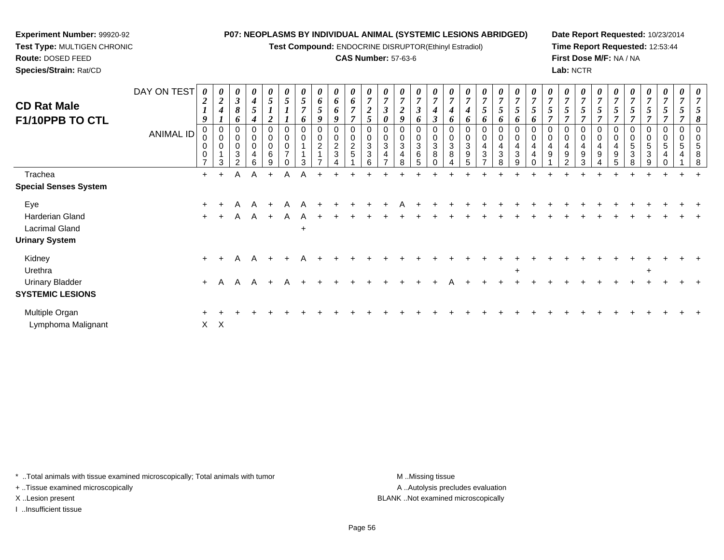**Test Compound:** ENDOCRINE DISRUPTOR(Ethinyl Estradiol)

#### **CAS Number:** 57-63-6

**Date Report Requested:** 10/23/2014**Time Report Requested:** 12:53:44**First Dose M/F:** NA / NA**Lab:** NCTR

| <b>CD Rat Male</b><br>F1/10PPB TO CTL                                    | DAY ON TEST<br><b>ANIMAL ID</b> | 0<br>9<br>0<br>0<br>0 | $\boldsymbol{\theta}$<br>$\boldsymbol{2}$<br>0<br>$\pmb{0}$<br>$\mathbf 0$<br>3 | $\boldsymbol{\theta}$<br>$\mathbf{3}$<br>8<br>6<br>0<br>0<br>0<br>3<br>ົ | 0<br>$\boldsymbol{4}$<br>5<br>4<br>0<br>$\mathbf 0$<br>0<br>4<br>հ | 0<br>5<br>0<br>0<br>0<br>6<br>9 | 0<br>$\overline{ }$ | $\mathfrak{I}$<br>$\overline{ }$<br>6<br>0<br>$\mathbf 0$<br>3 | $\boldsymbol{\theta}$<br>6<br>$5\overline{)}$<br>9<br>0<br>0<br>$\overline{c}$<br>$\overline{1}$ | $\boldsymbol{\theta}$<br>6<br>6<br>9<br>$\mathbf 0$<br>$\mathbf 0$<br>$\boldsymbol{2}$<br>3 | $\boldsymbol{\theta}$<br>6<br>$\overline{ }$<br>0<br>0<br>$\overline{c}$<br>5 | $\overline{7}$<br>$\overline{2}$<br>5<br>$\mathbf 0$<br>0<br>$\ensuremath{\mathsf{3}}$<br>$\ensuremath{\mathsf{3}}$<br>6 | $\overline{7}$<br>0<br>0<br>$\pmb{0}$<br>$\mathbf{3}$<br>$\overline{4}$ | $\boldsymbol{\theta}$<br>$\overline{7}$<br>$\overline{2}$<br>9<br>0<br>0<br>$\sqrt{3}$<br>4<br>8 | $\boldsymbol{\theta}$<br>$\overline{7}$<br>$\boldsymbol{\beta}$<br>6<br>0<br>$\mathbf 0$<br>$\mathbf{3}$<br>$\,6\,$<br>$\overline{5}$ | $\theta$<br>$\overline{7}$<br>3<br>0<br>$\mathbf 0$<br>3<br>8 | 6<br>0<br>$\mathbf 0$<br>3<br>8 | $\boldsymbol{\theta}$<br>$\overline{ }$<br>6<br>0<br>0<br>3<br>9<br>5 | $\boldsymbol{\theta}$<br>$\overline{7}$<br>5<br>6<br>$\mathbf 0$<br>$\overline{0}$<br>4<br>$\sqrt{3}$<br>$\overline{ }$ | $\boldsymbol{\theta}$<br>$\overline{7}$<br>5<br>6<br>$\pmb{0}$<br>$\pmb{0}$<br>$\overline{4}$<br>$\sqrt{3}$<br>8 | $\boldsymbol{\theta}$<br>$\overline{7}$<br>6<br>0<br>$\mathbf 0$<br>4<br>3<br>9 | 0<br>4<br>9 | $\boldsymbol{\theta}$<br>$\overline{7}$<br>5<br>$\overline{ }$<br>0<br>0<br>4<br>9<br>ົ | 0<br>$\overline{7}$<br>5<br>$\overline{ }$<br>0<br>$\mathbf 0$<br>$\overline{4}$<br>9<br>3 | $\boldsymbol{\theta}$<br>$\overline{7}$<br>$\overline{ }$<br>$\mathbf 0$<br>$\mathbf 0$<br>4<br>9 | 9 | $\boldsymbol{\theta}$<br>0<br>$\pmb{0}$<br>5<br>$\mathbf{3}$<br>8 | $\theta$<br>5<br>0<br>0<br>5<br>3<br>9 | 0<br>5<br>0<br>$\pmb{0}$<br>5<br>$\overline{4}$ | $\boldsymbol{\theta}$<br>0<br>$\mathbf 0$<br>5<br>4 | 8<br>$\Omega$ |
|--------------------------------------------------------------------------|---------------------------------|-----------------------|---------------------------------------------------------------------------------|--------------------------------------------------------------------------|--------------------------------------------------------------------|---------------------------------|---------------------|----------------------------------------------------------------|--------------------------------------------------------------------------------------------------|---------------------------------------------------------------------------------------------|-------------------------------------------------------------------------------|--------------------------------------------------------------------------------------------------------------------------|-------------------------------------------------------------------------|--------------------------------------------------------------------------------------------------|---------------------------------------------------------------------------------------------------------------------------------------|---------------------------------------------------------------|---------------------------------|-----------------------------------------------------------------------|-------------------------------------------------------------------------------------------------------------------------|------------------------------------------------------------------------------------------------------------------|---------------------------------------------------------------------------------|-------------|-----------------------------------------------------------------------------------------|--------------------------------------------------------------------------------------------|---------------------------------------------------------------------------------------------------|---|-------------------------------------------------------------------|----------------------------------------|-------------------------------------------------|-----------------------------------------------------|---------------|
| Trachea                                                                  |                                 | $+$                   |                                                                                 | A                                                                        | A                                                                  | $+$                             | A                   | A                                                              |                                                                                                  |                                                                                             |                                                                               |                                                                                                                          |                                                                         |                                                                                                  |                                                                                                                                       |                                                               |                                 |                                                                       |                                                                                                                         |                                                                                                                  |                                                                                 |             |                                                                                         |                                                                                            |                                                                                                   |   |                                                                   |                                        |                                                 |                                                     |               |
| <b>Special Senses System</b>                                             |                                 |                       |                                                                                 |                                                                          |                                                                    |                                 |                     |                                                                |                                                                                                  |                                                                                             |                                                                               |                                                                                                                          |                                                                         |                                                                                                  |                                                                                                                                       |                                                               |                                 |                                                                       |                                                                                                                         |                                                                                                                  |                                                                                 |             |                                                                                         |                                                                                            |                                                                                                   |   |                                                                   |                                        |                                                 |                                                     |               |
| Eye<br>Harderian Gland<br><b>Lacrimal Gland</b><br><b>Urinary System</b> |                                 | $+$<br>$+$            |                                                                                 | A<br>A                                                                   | $\mathsf{A}$                                                       | $+$                             | A<br>A              | A<br>A<br>$\ddot{}$                                            |                                                                                                  |                                                                                             |                                                                               |                                                                                                                          |                                                                         |                                                                                                  |                                                                                                                                       |                                                               |                                 |                                                                       |                                                                                                                         |                                                                                                                  |                                                                                 |             |                                                                                         |                                                                                            |                                                                                                   |   |                                                                   |                                        |                                                 |                                                     |               |
| Kidney<br>Urethra                                                        |                                 | $+$                   |                                                                                 | A                                                                        | A                                                                  |                                 |                     |                                                                |                                                                                                  |                                                                                             |                                                                               |                                                                                                                          |                                                                         |                                                                                                  |                                                                                                                                       |                                                               |                                 |                                                                       |                                                                                                                         |                                                                                                                  | $\ddot{}$                                                                       |             |                                                                                         |                                                                                            |                                                                                                   |   |                                                                   | $\ddot{}$                              |                                                 |                                                     |               |
| <b>Urinary Bladder</b><br><b>SYSTEMIC LESIONS</b>                        |                                 | $+$                   | $\mathsf{A}$                                                                    | $\mathsf{A}$                                                             | A                                                                  | $+$                             | A                   |                                                                |                                                                                                  |                                                                                             |                                                                               |                                                                                                                          |                                                                         |                                                                                                  |                                                                                                                                       |                                                               |                                 |                                                                       |                                                                                                                         |                                                                                                                  |                                                                                 |             |                                                                                         |                                                                                            |                                                                                                   |   |                                                                   |                                        |                                                 |                                                     |               |
| Multiple Organ<br>Lymphoma Malignant                                     |                                 |                       | $X$ $X$                                                                         |                                                                          |                                                                    |                                 |                     |                                                                |                                                                                                  |                                                                                             |                                                                               |                                                                                                                          |                                                                         |                                                                                                  |                                                                                                                                       |                                                               |                                 |                                                                       |                                                                                                                         |                                                                                                                  |                                                                                 |             |                                                                                         |                                                                                            |                                                                                                   |   |                                                                   |                                        |                                                 |                                                     |               |

\* ..Total animals with tissue examined microscopically; Total animals with tumor **M** . Missing tissue M ..Missing tissue

+ ..Tissue examined microscopically

**Experiment Number:** 99920-92**Test Type:** MULTIGEN CHRONIC

**Route:** DOSED FEED**Species/Strain:** Rat/CD

I ..Insufficient tissue

A ..Autolysis precludes evaluation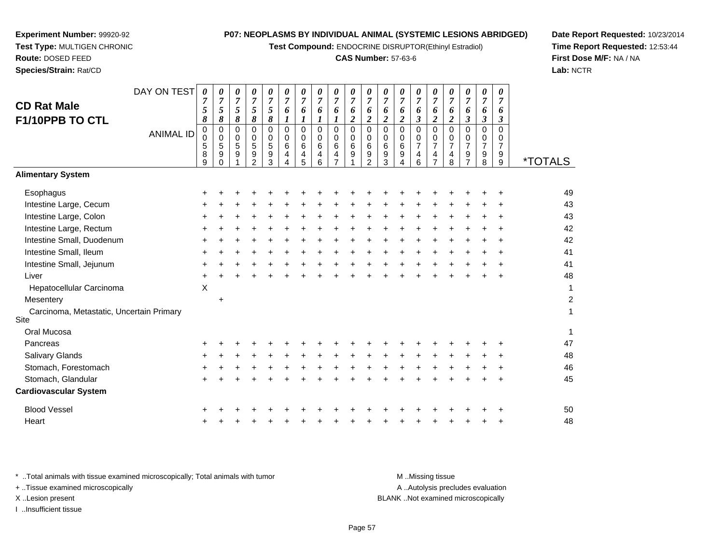**Test Compound:** ENDOCRINE DISRUPTOR(Ethinyl Estradiol)

#### **CAS Number:** 57-63-6

9 \*TOTALS

1

**Date Report Requested:** 10/23/2014**Time Report Requested:** 12:53:44**First Dose M/F:** NA / NA**Lab:** NCTR

| Hepatocellular Carcinoma                                                                                            | X         |           |  |  |  |  |  |   |                  |                                   |   |           |    |
|---------------------------------------------------------------------------------------------------------------------|-----------|-----------|--|--|--|--|--|---|------------------|-----------------------------------|---|-----------|----|
| Mesentery                                                                                                           |           | $\ddot{}$ |  |  |  |  |  |   |                  |                                   |   |           | 2  |
| Carcinoma, Metastatic, Uncertain Primary<br>Site                                                                    |           |           |  |  |  |  |  |   |                  |                                   |   |           |    |
| Oral Mucosa                                                                                                         |           |           |  |  |  |  |  |   |                  |                                   |   |           | 1  |
| Pancreas                                                                                                            | $\ddot{}$ |           |  |  |  |  |  |   |                  |                                   |   |           | 47 |
| Salivary Glands                                                                                                     | ٠         |           |  |  |  |  |  |   |                  |                                   |   | ÷         | 48 |
| Stomach, Forestomach                                                                                                | ٠         |           |  |  |  |  |  |   |                  |                                   |   | ÷         | 46 |
| Stomach, Glandular                                                                                                  | $\pm$     |           |  |  |  |  |  | ÷ |                  |                                   | ÷ | $\ddot{}$ | 45 |
| <b>Cardiovascular System</b>                                                                                        |           |           |  |  |  |  |  |   |                  |                                   |   |           |    |
| <b>Blood Vessel</b>                                                                                                 | $\pm$     |           |  |  |  |  |  |   |                  |                                   |   |           | 50 |
| Heart                                                                                                               | $\ddot{}$ |           |  |  |  |  |  |   |                  |                                   |   | $\ddot{}$ | 48 |
|                                                                                                                     |           |           |  |  |  |  |  |   |                  |                                   |   |           |    |
| * Total animals with tissue examined microscopically; Total animals with tumor<br>+ Tissue examined microscopically |           |           |  |  |  |  |  |   | M Missing tissue | A  Autolysis precludes evaluation |   |           |    |
|                                                                                                                     |           |           |  |  |  |  |  |   |                  |                                   |   |           |    |

ysis precludes evaluation X ..Lesion present BLANK ..Not examined microscopically

| ANIMAL ID                | $\begin{matrix} 0 \\ 0 \end{matrix}$<br>5<br>8<br>9 | 5<br>g |
|--------------------------|-----------------------------------------------------|--------|
| <b>Alimentary System</b> |                                                     |        |

DAY ON TEST

*0 7 5*

*0 7 5*

*0 7 5*

*0 7 5*

*0 7*

0 0 6

9 1

0<br>0<br>6<br>4<br>7

*6 1*

*8*

*8*

0<br>0<br>5<br>9<br>1

*8*

 *8*0

| Esophagus                                        | $\ddot{}$ |           |  |  |  |           |  |  |  |  |   |           | 49 |
|--------------------------------------------------|-----------|-----------|--|--|--|-----------|--|--|--|--|---|-----------|----|
| Intestine Large, Cecum                           | $\pm$     |           |  |  |  | $\ddot{}$ |  |  |  |  |   | ÷         | 43 |
| Intestine Large, Colon                           | $\ddot{}$ |           |  |  |  |           |  |  |  |  |   | ÷         | 43 |
| Intestine Large, Rectum                          | $\ddot{}$ |           |  |  |  |           |  |  |  |  |   | $\ddot{}$ | 42 |
| Intestine Small, Duodenum                        | $\ddot{}$ |           |  |  |  |           |  |  |  |  |   | ÷         | 42 |
| Intestine Small, Ileum                           | $\pm$     |           |  |  |  | $\div$    |  |  |  |  | + | $\div$    | 41 |
| Intestine Small, Jejunum                         | $\ddot{}$ |           |  |  |  |           |  |  |  |  |   | $\div$    | 41 |
| Liver                                            | $\ddot{}$ |           |  |  |  |           |  |  |  |  |   | $\ddot{}$ | 48 |
| Hepatocellular Carcinoma                         | Χ         |           |  |  |  |           |  |  |  |  |   |           |    |
| Mesentery                                        |           | $\ddot{}$ |  |  |  |           |  |  |  |  |   |           | 2  |
| Carcinoma, Metastatic, Uncertain Primary<br>Site |           |           |  |  |  |           |  |  |  |  |   |           |    |
| Oral Mucosa                                      |           |           |  |  |  |           |  |  |  |  |   |           | 1  |
| Pancreas                                         | $\ddot{}$ |           |  |  |  |           |  |  |  |  |   |           | 47 |
| Salivary Glands                                  | $\ddot{}$ |           |  |  |  |           |  |  |  |  |   | $\ddot{}$ | 48 |
| Stomach, Forestomach                             | $\pm$     |           |  |  |  |           |  |  |  |  |   | $\div$    | 46 |
| Stomach, Glandular                               | $\ddot{}$ |           |  |  |  |           |  |  |  |  |   | $\ddot{}$ | 45 |
| <b>Cardiovascular System</b>                     |           |           |  |  |  |           |  |  |  |  |   |           |    |
| <b>Blood Vessel</b>                              | $\ddot{}$ |           |  |  |  |           |  |  |  |  |   |           | 50 |
| Heart                                            | +         |           |  |  |  |           |  |  |  |  | + | $\ddot{}$ | 48 |

**Experiment Number:** 99920-92**Test Type:** MULTIGEN CHRONIC

**Route:** DOSED FEED

**CD Rat Male**

I ..Insufficient tissue

**Species/Strain:** Rat/CD

**F1/10PPB TO CTL**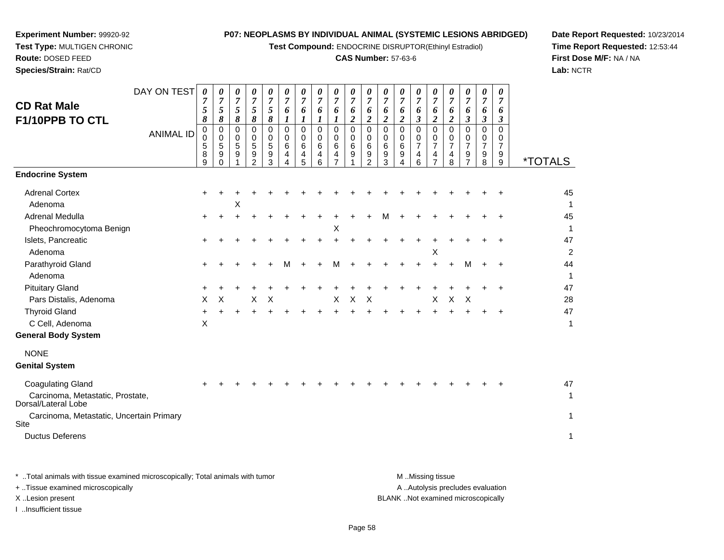**Test Compound:** ENDOCRINE DISRUPTOR(Ethinyl Estradiol)

#### **CAS Number:** 57-63-6

**Date Report Requested:** 10/23/2014**Time Report Requested:** 12:53:44**First Dose M/F:** NA / NA**Lab:** NCTR

| Species/Strain: Rat/CD                                                              |                                 |                                                                  |                                                                |                                                             |                                                                                              |                                                                                         |                                                                                        |                                                                              |                                                                                                                  |                                                                                      |                                                                                              |                                                                                    |                                                                                    |                                                                              |                                                                               |                                                                                             |                                                                                                      |                                                                                                            |                                                                                                  |                                                  | Lab: $N$                             |
|-------------------------------------------------------------------------------------|---------------------------------|------------------------------------------------------------------|----------------------------------------------------------------|-------------------------------------------------------------|----------------------------------------------------------------------------------------------|-----------------------------------------------------------------------------------------|----------------------------------------------------------------------------------------|------------------------------------------------------------------------------|------------------------------------------------------------------------------------------------------------------|--------------------------------------------------------------------------------------|----------------------------------------------------------------------------------------------|------------------------------------------------------------------------------------|------------------------------------------------------------------------------------|------------------------------------------------------------------------------|-------------------------------------------------------------------------------|---------------------------------------------------------------------------------------------|------------------------------------------------------------------------------------------------------|------------------------------------------------------------------------------------------------------------|--------------------------------------------------------------------------------------------------|--------------------------------------------------|--------------------------------------|
| <b>CD Rat Male</b><br>F1/10PPB TO CTL                                               | DAY ON TEST<br><b>ANIMAL ID</b> | 0<br>$\overline{7}$<br>5<br>8<br>$\mathbf 0$<br>0<br>5<br>8<br>9 | 0<br>$\overline{7}$<br>5<br>8<br>$\pmb{0}$<br>0<br>5<br>9<br>0 | 0<br>$\overline{7}$<br>5<br>8<br>$\mathbf 0$<br>0<br>5<br>9 | 0<br>$\overline{7}$<br>5<br>$\pmb{8}$<br>$\Omega$<br>$\mathbf 0$<br>5<br>9<br>$\overline{2}$ | $\pmb{\theta}$<br>$\overline{7}$<br>5<br>8<br>$\mathbf 0$<br>$\mathbf 0$<br>5<br>9<br>3 | 0<br>$\overline{7}$<br>6<br>$\boldsymbol{l}$<br>$\mathbf 0$<br>0<br>6<br>4<br>$\Delta$ | 0<br>$\overline{7}$<br>6<br>$\boldsymbol{l}$<br>$\Omega$<br>0<br>6<br>4<br>5 | $\boldsymbol{\theta}$<br>$\overline{7}$<br>6<br>$\boldsymbol{l}$<br>$\mathbf 0$<br>0<br>6<br>4<br>$6\phantom{a}$ | 0<br>$\overline{7}$<br>6<br>1<br>$\Omega$<br>$\mathbf 0$<br>6<br>4<br>$\overline{7}$ | 0<br>$\overline{7}$<br>6<br>$\boldsymbol{2}$<br>$\mathsf{O}\xspace$<br>$\mathbf 0$<br>6<br>9 | 0<br>$\overline{7}$<br>6<br>$\boldsymbol{2}$<br>0<br>0<br>6<br>9<br>$\overline{2}$ | 0<br>$\overline{7}$<br>6<br>$\boldsymbol{2}$<br>$\overline{0}$<br>0<br>6<br>9<br>3 | 0<br>$\overline{7}$<br>6<br>$\boldsymbol{2}$<br>$\Omega$<br>0<br>6<br>9<br>4 | 0<br>$\overline{7}$<br>6<br>3<br>$\mathbf 0$<br>0<br>$\overline{7}$<br>4<br>6 | 0<br>$\overline{7}$<br>6<br>$\overline{\mathbf{c}}$<br>$\Omega$<br>0<br>$\overline{7}$<br>4 | 0<br>$\overline{7}$<br>6<br>$\overline{c}$<br>$\mathbf 0$<br>$\mathbf 0$<br>$\overline{7}$<br>4<br>8 | 0<br>$\overline{7}$<br>6<br>$\boldsymbol{\beta}$<br>$\Omega$<br>0<br>$\overline{7}$<br>9<br>$\overline{7}$ | 0<br>$\overline{7}$<br>6<br>$\boldsymbol{\beta}$<br>$\mathbf 0$<br>0<br>$\overline{7}$<br>9<br>8 | 0<br>7<br>6<br>3<br>$\Omega$<br>0<br>7<br>9<br>9 | <i><b>*TOTALS</b></i>                |
| <b>Endocrine System</b>                                                             |                                 |                                                                  |                                                                |                                                             |                                                                                              |                                                                                         |                                                                                        |                                                                              |                                                                                                                  |                                                                                      |                                                                                              |                                                                                    |                                                                                    |                                                                              |                                                                               |                                                                                             |                                                                                                      |                                                                                                            |                                                                                                  |                                                  |                                      |
| <b>Adrenal Cortex</b><br>Adenoma                                                    |                                 |                                                                  |                                                                | Χ                                                           |                                                                                              |                                                                                         |                                                                                        |                                                                              |                                                                                                                  |                                                                                      |                                                                                              |                                                                                    |                                                                                    |                                                                              |                                                                               |                                                                                             |                                                                                                      |                                                                                                            |                                                                                                  |                                                  | 45<br>1                              |
| Adrenal Medulla                                                                     |                                 |                                                                  |                                                                |                                                             |                                                                                              |                                                                                         |                                                                                        |                                                                              |                                                                                                                  |                                                                                      |                                                                                              |                                                                                    |                                                                                    |                                                                              |                                                                               |                                                                                             |                                                                                                      |                                                                                                            |                                                                                                  |                                                  | 45                                   |
| Pheochromocytoma Benign<br>Islets, Pancreatic<br>Adenoma                            |                                 |                                                                  |                                                                |                                                             |                                                                                              |                                                                                         |                                                                                        |                                                                              |                                                                                                                  | $\boldsymbol{\mathsf{X}}$                                                            |                                                                                              |                                                                                    |                                                                                    |                                                                              |                                                                               | Χ                                                                                           |                                                                                                      |                                                                                                            |                                                                                                  |                                                  | $\mathbf{1}$<br>47<br>$\overline{2}$ |
| Parathyroid Gland<br>Adenoma                                                        |                                 |                                                                  |                                                                |                                                             |                                                                                              |                                                                                         | м                                                                                      |                                                                              |                                                                                                                  |                                                                                      |                                                                                              |                                                                                    |                                                                                    |                                                                              |                                                                               |                                                                                             |                                                                                                      | м                                                                                                          |                                                                                                  | ÷                                                | 44<br>$\mathbf{1}$                   |
| <b>Pituitary Gland</b><br>Pars Distalis, Adenoma                                    |                                 | X                                                                | X                                                              |                                                             | X                                                                                            | X                                                                                       |                                                                                        |                                                                              |                                                                                                                  | X                                                                                    | $\mathsf X$                                                                                  | X                                                                                  |                                                                                    |                                                                              |                                                                               | X                                                                                           | $\boldsymbol{\mathsf{X}}$                                                                            | $\boldsymbol{\mathsf{X}}$                                                                                  |                                                                                                  |                                                  | 47<br>28                             |
| <b>Thyroid Gland</b><br>C Cell, Adenoma                                             |                                 | X                                                                |                                                                |                                                             |                                                                                              |                                                                                         |                                                                                        |                                                                              |                                                                                                                  |                                                                                      |                                                                                              |                                                                                    |                                                                                    |                                                                              |                                                                               |                                                                                             |                                                                                                      |                                                                                                            |                                                                                                  |                                                  | 47<br>1                              |
| <b>General Body System</b>                                                          |                                 |                                                                  |                                                                |                                                             |                                                                                              |                                                                                         |                                                                                        |                                                                              |                                                                                                                  |                                                                                      |                                                                                              |                                                                                    |                                                                                    |                                                                              |                                                                               |                                                                                             |                                                                                                      |                                                                                                            |                                                                                                  |                                                  |                                      |
| <b>NONE</b><br><b>Genital System</b>                                                |                                 |                                                                  |                                                                |                                                             |                                                                                              |                                                                                         |                                                                                        |                                                                              |                                                                                                                  |                                                                                      |                                                                                              |                                                                                    |                                                                                    |                                                                              |                                                                               |                                                                                             |                                                                                                      |                                                                                                            |                                                                                                  |                                                  |                                      |
| <b>Coagulating Gland</b><br>Carcinoma, Metastatic, Prostate,<br>Dorsal/Lateral Lobe |                                 |                                                                  |                                                                |                                                             |                                                                                              |                                                                                         |                                                                                        |                                                                              |                                                                                                                  |                                                                                      |                                                                                              |                                                                                    |                                                                                    |                                                                              |                                                                               |                                                                                             |                                                                                                      |                                                                                                            |                                                                                                  |                                                  | 47<br>1                              |
| Carcinoma, Metastatic, Uncertain Primary<br>Site<br><b>Ductus Deferens</b>          |                                 |                                                                  |                                                                |                                                             |                                                                                              |                                                                                         |                                                                                        |                                                                              |                                                                                                                  |                                                                                      |                                                                                              |                                                                                    |                                                                                    |                                                                              |                                                                               |                                                                                             |                                                                                                      |                                                                                                            |                                                                                                  |                                                  | $\mathbf{1}$<br>1                    |
|                                                                                     |                                 |                                                                  |                                                                |                                                             |                                                                                              |                                                                                         |                                                                                        |                                                                              |                                                                                                                  |                                                                                      |                                                                                              |                                                                                    |                                                                                    |                                                                              |                                                                               |                                                                                             |                                                                                                      |                                                                                                            |                                                                                                  |                                                  |                                      |

**Experiment Number:** 99920-92**Test Type:** MULTIGEN CHRONIC

**Route:** DOSED FEED

\* ..Total animals with tissue examined microscopically; Total animals with tumor **M** . Missing tissue M ..Missing tissue A ..Autolysis precludes evaluation + ..Tissue examined microscopically X ..Lesion present BLANK ..Not examined microscopicallyI ..Insufficient tissue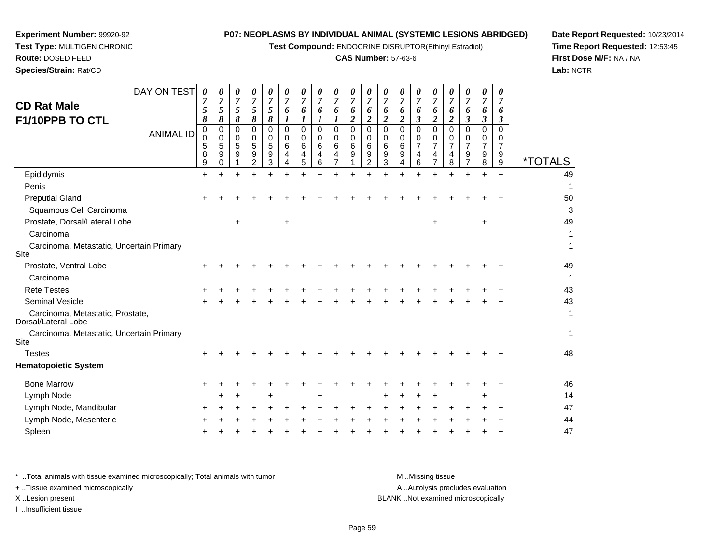**Test Compound:** ENDOCRINE DISRUPTOR(Ethinyl Estradiol)

#### **CAS Number:** 57-63-6

**Date Report Requested:** 10/23/2014**Time Report Requested:** 12:53:45**First Dose M/F:** NA / NA**Lab:** NCTR

| <b>CD Rat Male</b><br>F1/10PPB TO CTL                   | DAY ON TEST<br><b>ANIMAL ID</b> | 0<br>7<br>5<br>8<br>0<br>0<br>5<br>8<br>9 | 0<br>$\overline{7}$<br>5<br>8<br>0<br>0<br>5<br>9 | $\overline{7}$<br>5<br>8<br>0<br>0<br>5<br>9 | 0<br>$\overline{7}$<br>5<br>8<br>0<br>0<br>5<br>9 | 0<br>7<br>5<br>8<br>$\Omega$<br>$\Omega$<br>5<br>9<br>3 | 0<br>7<br>6<br>$\Omega$<br>0<br>6<br>4 | U<br>$\overline{7}$<br>6<br>0<br>$\Omega$<br>6<br>4<br>5 | 0<br>$\Omega$<br>6<br>6 | 0<br>7<br>0<br>0<br>6 | 0<br>7<br>6<br>2<br>$\Omega$<br>$\mathbf 0$<br>6<br>9 | 0<br>7<br>6<br>$\Omega$<br>0<br>6<br>9<br>2 | 0<br>$\overline{7}$<br>6<br>0<br>$\Omega$<br>6<br>9<br>3 | $\overline{7}$<br>6<br>0<br>0<br>6<br>9 | 0<br>0<br>0<br>7<br>6 | 0<br>7<br>0<br>0<br>7 | 0<br>7<br>6<br>2<br>$\Omega$<br>0<br>$\overline{7}$<br>4<br>8 | 0<br>7<br>6<br>3<br>0<br>$\Omega$<br>7<br>9 | 0<br>7<br>6<br>3<br>0<br>$\Omega$<br>$\overline{7}$<br>9<br>8 | 0<br>6<br>3<br>$\Omega$<br>0<br>9<br>9 | <i><b>*TOTALS</b></i> |
|---------------------------------------------------------|---------------------------------|-------------------------------------------|---------------------------------------------------|----------------------------------------------|---------------------------------------------------|---------------------------------------------------------|----------------------------------------|----------------------------------------------------------|-------------------------|-----------------------|-------------------------------------------------------|---------------------------------------------|----------------------------------------------------------|-----------------------------------------|-----------------------|-----------------------|---------------------------------------------------------------|---------------------------------------------|---------------------------------------------------------------|----------------------------------------|-----------------------|
| Epididymis                                              |                                 | $\ddot{}$                                 |                                                   |                                              |                                                   |                                                         |                                        |                                                          |                         |                       |                                                       |                                             |                                                          |                                         |                       |                       |                                                               |                                             |                                                               | $\ddot{}$                              | 49                    |
| Penis                                                   |                                 |                                           |                                                   |                                              |                                                   |                                                         |                                        |                                                          |                         |                       |                                                       |                                             |                                                          |                                         |                       |                       |                                                               |                                             |                                                               |                                        | 1                     |
| <b>Preputial Gland</b>                                  |                                 |                                           |                                                   |                                              |                                                   |                                                         |                                        |                                                          |                         |                       |                                                       |                                             |                                                          |                                         |                       |                       |                                                               |                                             |                                                               |                                        | 50                    |
| Squamous Cell Carcinoma                                 |                                 |                                           |                                                   |                                              |                                                   |                                                         |                                        |                                                          |                         |                       |                                                       |                                             |                                                          |                                         |                       |                       |                                                               |                                             |                                                               |                                        | 3                     |
| Prostate, Dorsal/Lateral Lobe                           |                                 |                                           |                                                   | $\ddot{}$                                    |                                                   |                                                         | $\ddot{}$                              |                                                          |                         |                       |                                                       |                                             |                                                          |                                         |                       | $\ddot{}$             |                                                               |                                             | $\ddot{}$                                                     |                                        | 49                    |
| Carcinoma                                               |                                 |                                           |                                                   |                                              |                                                   |                                                         |                                        |                                                          |                         |                       |                                                       |                                             |                                                          |                                         |                       |                       |                                                               |                                             |                                                               |                                        |                       |
| Carcinoma, Metastatic, Uncertain Primary<br><b>Site</b> |                                 |                                           |                                                   |                                              |                                                   |                                                         |                                        |                                                          |                         |                       |                                                       |                                             |                                                          |                                         |                       |                       |                                                               |                                             |                                                               |                                        | 1                     |
| Prostate, Ventral Lobe                                  |                                 |                                           |                                                   |                                              |                                                   |                                                         |                                        |                                                          |                         |                       |                                                       |                                             |                                                          |                                         |                       |                       |                                                               |                                             |                                                               |                                        | 49                    |
| Carcinoma                                               |                                 |                                           |                                                   |                                              |                                                   |                                                         |                                        |                                                          |                         |                       |                                                       |                                             |                                                          |                                         |                       |                       |                                                               |                                             |                                                               |                                        | 1                     |
| <b>Rete Testes</b>                                      |                                 |                                           |                                                   |                                              |                                                   |                                                         |                                        |                                                          |                         |                       |                                                       |                                             |                                                          |                                         |                       |                       |                                                               |                                             |                                                               |                                        | 43                    |
| Seminal Vesicle                                         |                                 |                                           |                                                   |                                              |                                                   |                                                         |                                        |                                                          |                         |                       |                                                       |                                             |                                                          |                                         |                       |                       |                                                               |                                             |                                                               |                                        | 43                    |
| Carcinoma, Metastatic, Prostate,<br>Dorsal/Lateral Lobe |                                 |                                           |                                                   |                                              |                                                   |                                                         |                                        |                                                          |                         |                       |                                                       |                                             |                                                          |                                         |                       |                       |                                                               |                                             |                                                               |                                        | 1                     |
| Carcinoma, Metastatic, Uncertain Primary<br>Site        |                                 |                                           |                                                   |                                              |                                                   |                                                         |                                        |                                                          |                         |                       |                                                       |                                             |                                                          |                                         |                       |                       |                                                               |                                             |                                                               |                                        | 1                     |
| <b>Testes</b>                                           |                                 |                                           |                                                   |                                              |                                                   |                                                         |                                        |                                                          |                         |                       |                                                       |                                             |                                                          |                                         |                       |                       |                                                               |                                             |                                                               |                                        | 48                    |
| <b>Hematopoietic System</b>                             |                                 |                                           |                                                   |                                              |                                                   |                                                         |                                        |                                                          |                         |                       |                                                       |                                             |                                                          |                                         |                       |                       |                                                               |                                             |                                                               |                                        |                       |

**Experiment Number:** 99920-92**Test Type:** MULTIGEN CHRONIC

**Route:** DOSED FEED**Species/Strain:** Rat/CD

| ematopoietic System    |         |  |  |     |  |  |         |  |  |  |    |
|------------------------|---------|--|--|-----|--|--|---------|--|--|--|----|
| <b>Bone Marrow</b>     |         |  |  |     |  |  |         |  |  |  | 46 |
| Lymph Node             | $+$ $+$ |  |  | $+$ |  |  | + + + + |  |  |  | 14 |
| Lymph Node, Mandibular |         |  |  |     |  |  |         |  |  |  | 47 |
| Lymph Node, Mesenteric |         |  |  |     |  |  |         |  |  |  | 44 |
| Spleen                 |         |  |  |     |  |  |         |  |  |  | 47 |

\* ..Total animals with tissue examined microscopically; Total animals with tumor **M** ...Missing tissue M ...Missing tissue A .. Autolysis precludes evaluation + ..Tissue examined microscopically X ..Lesion present BLANK ..Not examined microscopicallyI ..Insufficient tissue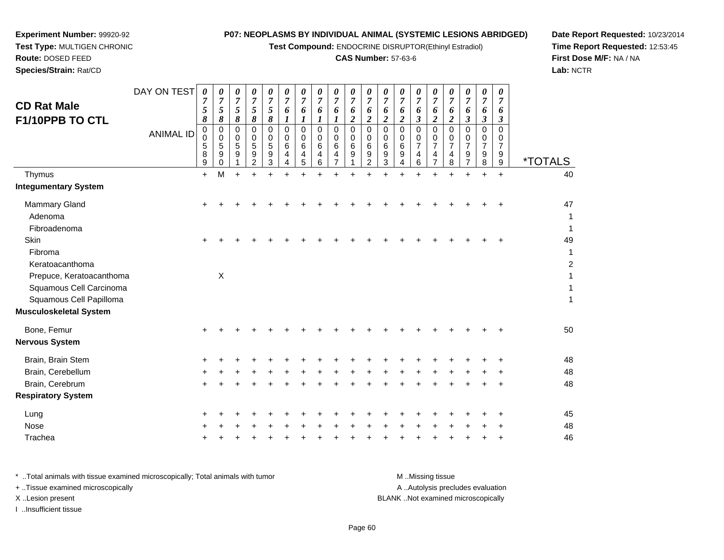**Test Compound:** ENDOCRINE DISRUPTOR(Ethinyl Estradiol)

## **CAS Number:** 57-63-6

**Date Report Requested:** 10/23/2014 **Time Report Requested:** 12:53:45**First Dose M/F:** NA / NA**Lab:** NCTR

| <b>CD Rat Male</b><br>F1/10PPB TO CTL                                          | DAY ON TEST<br><b>ANIMAL ID</b> | 0<br>7<br>5<br>8<br>0<br>$\mathbf 0$<br>5<br>8<br>$\boldsymbol{9}$ | 0<br>$\boldsymbol{7}$<br>5<br>8<br>0<br>0<br>5<br>9<br>0 | 0<br>$\boldsymbol{7}$<br>5<br>8<br>0<br>0<br>5<br>9 | 0<br>$\overline{7}$<br>5<br>8<br>0<br>0<br>5<br>9<br>$\overline{2}$ | 0<br>$\boldsymbol{7}$<br>5<br>8<br>$\Omega$<br>$\mathbf 0$<br>5<br>$\boldsymbol{9}$<br>3 | 0<br>$\overline{7}$<br>6<br>1<br>$\Omega$<br>$\Omega$<br>6<br>4<br>4 | 0<br>$\overline{7}$<br>6<br>1<br>$\Omega$<br>$\Omega$<br>6<br>4<br>5 | 0<br>$\overline{7}$<br>6<br>$\boldsymbol{l}$<br>$\Omega$<br>$\mathbf 0$<br>6<br>4<br>6 | 0<br>$\overline{7}$<br>6<br>1<br>$\Omega$<br>$\mathbf 0$<br>6<br>4<br>$\overline{7}$ | 0<br>$\overline{7}$<br>6<br>$\boldsymbol{2}$<br>$\Omega$<br>0<br>$6\phantom{1}6$<br>9 | 0<br>$\overline{7}$<br>6<br>2<br>$\Omega$<br>0<br>6<br>9<br>$\overline{2}$ | $\theta$<br>$\overline{7}$<br>6<br>$\overline{\mathbf{2}}$<br>$\Omega$<br>$\Omega$<br>6<br>9<br>3 | 0<br>$\overline{7}$<br>6<br>$\overline{\mathbf{c}}$<br>$\mathbf 0$<br>0<br>$\,6$<br>9<br>4 | 0<br>$\overline{7}$<br>6<br>$\mathfrak{z}$<br>$\Omega$<br>0<br>$\overline{7}$<br>$\overline{\mathbf{4}}$<br>6 | 0<br>$\boldsymbol{7}$<br>6<br>$\boldsymbol{2}$<br>$\Omega$<br>$\Omega$<br>$\overline{7}$<br>4<br>$\overline{7}$ | 0<br>7<br>6<br>2<br>$\Omega$<br>0<br>$\overline{7}$<br>4<br>8 | 0<br>$\overline{7}$<br>6<br>$\boldsymbol{\beta}$<br>0<br>$\mathbf 0$<br>$\overline{7}$<br>9<br>$\overline{7}$ | 0<br>$\overline{7}$<br>6<br>$\mathfrak{z}$<br>0<br>0<br>$\overline{7}$<br>9<br>8 | 0<br>$\overline{7}$<br>6<br>$\boldsymbol{\beta}$<br>0<br>$\Omega$<br>$\overline{7}$<br>9<br>$\boldsymbol{9}$ | <i><b>*TOTALS</b></i>     |
|--------------------------------------------------------------------------------|---------------------------------|--------------------------------------------------------------------|----------------------------------------------------------|-----------------------------------------------------|---------------------------------------------------------------------|------------------------------------------------------------------------------------------|----------------------------------------------------------------------|----------------------------------------------------------------------|----------------------------------------------------------------------------------------|--------------------------------------------------------------------------------------|---------------------------------------------------------------------------------------|----------------------------------------------------------------------------|---------------------------------------------------------------------------------------------------|--------------------------------------------------------------------------------------------|---------------------------------------------------------------------------------------------------------------|-----------------------------------------------------------------------------------------------------------------|---------------------------------------------------------------|---------------------------------------------------------------------------------------------------------------|----------------------------------------------------------------------------------|--------------------------------------------------------------------------------------------------------------|---------------------------|
| Thymus                                                                         |                                 | $+$                                                                | M                                                        | $+$                                                 |                                                                     | $\ddot{}$                                                                                |                                                                      |                                                                      |                                                                                        |                                                                                      |                                                                                       |                                                                            |                                                                                                   |                                                                                            |                                                                                                               |                                                                                                                 |                                                               | $\ddot{}$                                                                                                     |                                                                                  | $+$                                                                                                          | 40                        |
| <b>Integumentary System</b>                                                    |                                 |                                                                    |                                                          |                                                     |                                                                     |                                                                                          |                                                                      |                                                                      |                                                                                        |                                                                                      |                                                                                       |                                                                            |                                                                                                   |                                                                                            |                                                                                                               |                                                                                                                 |                                                               |                                                                                                               |                                                                                  |                                                                                                              |                           |
| <b>Mammary Gland</b><br>Adenoma<br>Fibroadenoma                                |                                 | ÷                                                                  |                                                          |                                                     |                                                                     |                                                                                          |                                                                      |                                                                      |                                                                                        |                                                                                      |                                                                                       |                                                                            |                                                                                                   |                                                                                            |                                                                                                               |                                                                                                                 |                                                               |                                                                                                               |                                                                                  | ٠                                                                                                            | 47<br>1<br>1              |
| Skin<br>Fibroma<br>Keratoacanthoma                                             |                                 | $\ddot{}$                                                          |                                                          |                                                     |                                                                     |                                                                                          |                                                                      |                                                                      |                                                                                        |                                                                                      |                                                                                       |                                                                            |                                                                                                   |                                                                                            |                                                                                                               |                                                                                                                 |                                                               |                                                                                                               |                                                                                  | ÷                                                                                                            | 49<br>1<br>$\overline{c}$ |
| Prepuce, Keratoacanthoma<br>Squamous Cell Carcinoma<br>Squamous Cell Papilloma |                                 |                                                                    | $\boldsymbol{\mathsf{X}}$                                |                                                     |                                                                     |                                                                                          |                                                                      |                                                                      |                                                                                        |                                                                                      |                                                                                       |                                                                            |                                                                                                   |                                                                                            |                                                                                                               |                                                                                                                 |                                                               |                                                                                                               |                                                                                  |                                                                                                              | 1<br>1                    |
| Musculoskeletal System                                                         |                                 |                                                                    |                                                          |                                                     |                                                                     |                                                                                          |                                                                      |                                                                      |                                                                                        |                                                                                      |                                                                                       |                                                                            |                                                                                                   |                                                                                            |                                                                                                               |                                                                                                                 |                                                               |                                                                                                               |                                                                                  |                                                                                                              |                           |
| Bone, Femur<br>Nervous System                                                  |                                 |                                                                    |                                                          |                                                     |                                                                     |                                                                                          |                                                                      |                                                                      |                                                                                        |                                                                                      |                                                                                       |                                                                            |                                                                                                   |                                                                                            |                                                                                                               |                                                                                                                 |                                                               |                                                                                                               |                                                                                  |                                                                                                              | 50                        |
| Brain, Brain Stem                                                              |                                 |                                                                    |                                                          |                                                     |                                                                     |                                                                                          |                                                                      |                                                                      |                                                                                        |                                                                                      |                                                                                       |                                                                            |                                                                                                   |                                                                                            |                                                                                                               |                                                                                                                 |                                                               |                                                                                                               |                                                                                  |                                                                                                              | 48                        |
| Brain, Cerebellum                                                              |                                 |                                                                    |                                                          |                                                     |                                                                     |                                                                                          |                                                                      |                                                                      |                                                                                        |                                                                                      |                                                                                       |                                                                            |                                                                                                   |                                                                                            |                                                                                                               |                                                                                                                 |                                                               |                                                                                                               |                                                                                  |                                                                                                              | 48                        |
| Brain, Cerebrum                                                                |                                 | $\ddot{}$                                                          |                                                          |                                                     |                                                                     |                                                                                          |                                                                      |                                                                      |                                                                                        |                                                                                      |                                                                                       |                                                                            |                                                                                                   |                                                                                            |                                                                                                               |                                                                                                                 |                                                               |                                                                                                               |                                                                                  |                                                                                                              | 48                        |
| <b>Respiratory System</b>                                                      |                                 |                                                                    |                                                          |                                                     |                                                                     |                                                                                          |                                                                      |                                                                      |                                                                                        |                                                                                      |                                                                                       |                                                                            |                                                                                                   |                                                                                            |                                                                                                               |                                                                                                                 |                                                               |                                                                                                               |                                                                                  |                                                                                                              |                           |
| Lung                                                                           |                                 |                                                                    |                                                          |                                                     |                                                                     |                                                                                          |                                                                      |                                                                      |                                                                                        |                                                                                      |                                                                                       |                                                                            |                                                                                                   |                                                                                            |                                                                                                               |                                                                                                                 |                                                               |                                                                                                               |                                                                                  | ٠                                                                                                            | 45                        |
| Nose                                                                           |                                 |                                                                    |                                                          |                                                     |                                                                     |                                                                                          |                                                                      |                                                                      |                                                                                        |                                                                                      |                                                                                       |                                                                            |                                                                                                   |                                                                                            |                                                                                                               |                                                                                                                 |                                                               |                                                                                                               |                                                                                  |                                                                                                              | 48                        |
| Trachea                                                                        |                                 |                                                                    |                                                          |                                                     |                                                                     |                                                                                          |                                                                      |                                                                      |                                                                                        |                                                                                      |                                                                                       |                                                                            |                                                                                                   |                                                                                            |                                                                                                               |                                                                                                                 |                                                               |                                                                                                               |                                                                                  | ٠                                                                                                            | 46                        |
|                                                                                |                                 |                                                                    |                                                          |                                                     |                                                                     |                                                                                          |                                                                      |                                                                      |                                                                                        |                                                                                      |                                                                                       |                                                                            |                                                                                                   |                                                                                            |                                                                                                               |                                                                                                                 |                                                               |                                                                                                               |                                                                                  |                                                                                                              |                           |

**Experiment Number:** 99920-92**Test Type:** MULTIGEN CHRONIC

**Route:** DOSED FEED**Species/Strain:** Rat/CD

| Total animals with tissue examined microscopically; Total animals with tumor | M Missing tissue                   |
|------------------------------------------------------------------------------|------------------------------------|
| + Tissue examined microscopically                                            | A Autolysis precludes evaluation   |
| X Lesion present                                                             | BLANK Not examined microscopically |
| Insufficient tissue                                                          |                                    |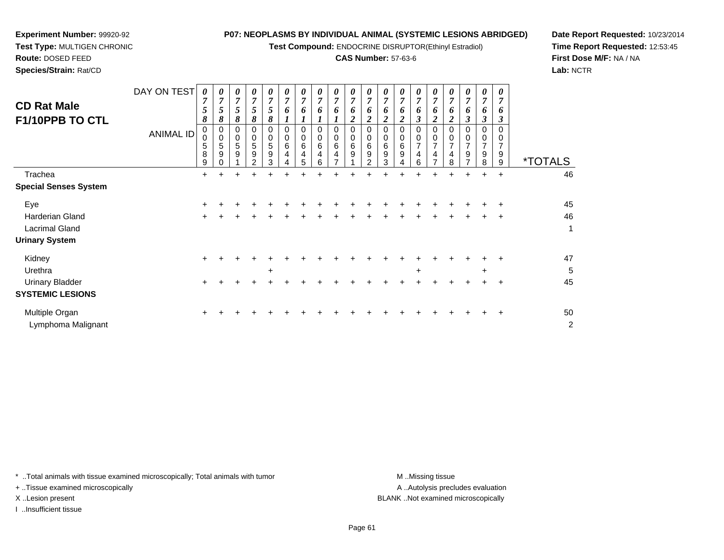**Test Compound:** ENDOCRINE DISRUPTOR(Ethinyl Estradiol)

#### **CAS Number:** 57-63-6

**Date Report Requested:** 10/23/2014**Time Report Requested:** 12:53:45**First Dose M/F:** NA / NA**Lab:** NCTR

| <b>CD Rat Male</b><br>F1/10PPB TO CTL | DAY ON TEST<br><b>ANIMAL ID</b> | 0<br>5<br>8<br>0<br>5<br>8<br>9 | 0<br>$\overline{ }$<br>Ć<br>8<br>0<br>5<br>9 | 0<br>7<br>5<br>8<br>5<br>9 | 0<br>$\overline{7}$<br>5<br>8<br>$\mathbf 0$<br>0<br>5<br>9<br>2 | 0<br>$\overline{7}$<br>5<br>8<br>0<br>0<br>5<br>$\boldsymbol{9}$<br>3 | 0<br>o<br>0<br>6 | 0<br>$\overline{ }$<br>o<br>0<br>6<br>4<br>5 | 0<br>7<br>o<br>0<br>6<br>4<br>6 | 0<br>$\overline{7}$<br>6<br>0<br>0<br>6<br>4 | 0<br>$\overline{7}$<br>6<br>2<br>0<br>0<br>6<br>9 | 0<br>$\overline{ }$<br>O.<br>0<br>0<br>6<br>9<br>$\mathcal{P}$ | 0<br>7<br>6<br>0<br>0<br>6<br>9<br>3 | 0<br>7<br>6<br>0<br>$\mathbf 0$<br>6<br>9 | $\boldsymbol{\theta}$<br>7<br>6<br>0<br>$\overline{7}$<br>4<br>6 | 0<br>$\overline{7}$<br>o<br>$\pmb{0}$<br>$\mathbf 0$<br>$\overline{ }$<br>4 | $\boldsymbol{\theta}$<br>$\overline{ }$<br>o<br>2<br>$\overline{ }$<br>4<br>8 | 0<br>7<br>6<br>3<br>0<br>0<br>$\overline{\phantom{a}}$<br>9 | 0<br>7<br>0<br>3<br>0<br>$\mathbf 0$<br>7<br>9<br>8 | 0<br>7<br>6<br>$\mathbf{3}$<br>0<br>0<br>7<br>9<br>9 | <i><b>*TOTALS</b></i> |
|---------------------------------------|---------------------------------|---------------------------------|----------------------------------------------|----------------------------|------------------------------------------------------------------|-----------------------------------------------------------------------|------------------|----------------------------------------------|---------------------------------|----------------------------------------------|---------------------------------------------------|----------------------------------------------------------------|--------------------------------------|-------------------------------------------|------------------------------------------------------------------|-----------------------------------------------------------------------------|-------------------------------------------------------------------------------|-------------------------------------------------------------|-----------------------------------------------------|------------------------------------------------------|-----------------------|
| Trachea                               |                                 | $\ddot{}$                       | +                                            |                            |                                                                  |                                                                       |                  |                                              |                                 |                                              |                                                   |                                                                |                                      |                                           |                                                                  |                                                                             | +                                                                             | $\ddot{}$                                                   | $\pm$                                               | $\ddot{}$                                            | 46                    |
| <b>Special Senses System</b>          |                                 |                                 |                                              |                            |                                                                  |                                                                       |                  |                                              |                                 |                                              |                                                   |                                                                |                                      |                                           |                                                                  |                                                                             |                                                                               |                                                             |                                                     |                                                      |                       |
| Eye                                   |                                 | $\ddot{}$                       |                                              |                            |                                                                  |                                                                       |                  |                                              |                                 |                                              |                                                   |                                                                |                                      |                                           |                                                                  |                                                                             |                                                                               |                                                             |                                                     |                                                      | 45                    |
| <b>Harderian Gland</b>                |                                 | $\pm$                           |                                              |                            |                                                                  |                                                                       |                  |                                              |                                 |                                              |                                                   |                                                                |                                      |                                           |                                                                  |                                                                             |                                                                               |                                                             | +                                                   | $\ddot{}$                                            | 46                    |
| Lacrimal Gland                        |                                 |                                 |                                              |                            |                                                                  |                                                                       |                  |                                              |                                 |                                              |                                                   |                                                                |                                      |                                           |                                                                  |                                                                             |                                                                               |                                                             |                                                     |                                                      | 1                     |
| <b>Urinary System</b>                 |                                 |                                 |                                              |                            |                                                                  |                                                                       |                  |                                              |                                 |                                              |                                                   |                                                                |                                      |                                           |                                                                  |                                                                             |                                                                               |                                                             |                                                     |                                                      |                       |
| Kidney                                |                                 | $\ddot{}$                       |                                              |                            |                                                                  |                                                                       |                  |                                              |                                 |                                              |                                                   |                                                                |                                      |                                           |                                                                  |                                                                             |                                                                               |                                                             |                                                     |                                                      | 47                    |
| Urethra                               |                                 |                                 |                                              |                            |                                                                  | $\ddot{}$                                                             |                  |                                              |                                 |                                              |                                                   |                                                                |                                      |                                           | $\ddot{}$                                                        |                                                                             |                                                                               |                                                             | $\ddot{}$                                           |                                                      | 5                     |
| <b>Urinary Bladder</b>                |                                 | +                               |                                              |                            |                                                                  |                                                                       |                  |                                              |                                 |                                              |                                                   |                                                                |                                      |                                           |                                                                  |                                                                             |                                                                               |                                                             |                                                     | ÷                                                    | 45                    |
| <b>SYSTEMIC LESIONS</b>               |                                 |                                 |                                              |                            |                                                                  |                                                                       |                  |                                              |                                 |                                              |                                                   |                                                                |                                      |                                           |                                                                  |                                                                             |                                                                               |                                                             |                                                     |                                                      |                       |

Multiple Organn  $+$  <sup>+</sup> <sup>+</sup> <sup>+</sup> <sup>+</sup> <sup>+</sup> <sup>+</sup> <sup>+</sup> <sup>+</sup> <sup>+</sup> <sup>+</sup> <sup>+</sup> <sup>+</sup> <sup>+</sup> <sup>+</sup> <sup>+</sup> <sup>+</sup> <sup>+</sup> <sup>+</sup> <sup>50</sup> Lymphoma Malignantt de la construction de la construction de la construction de la construction de la construction de la construction<br>De la construction de la construction de la construction de la construction de la construction de la const

\* ..Total animals with tissue examined microscopically; Total animals with tumor **M** ...Missing tissue M ...Missing tissue

+ ..Tissue examined microscopically

**Experiment Number:** 99920-92**Test Type:** MULTIGEN CHRONIC

**Route:** DOSED FEED**Species/Strain:** Rat/CD

I ..Insufficient tissue

A .. Autolysis precludes evaluation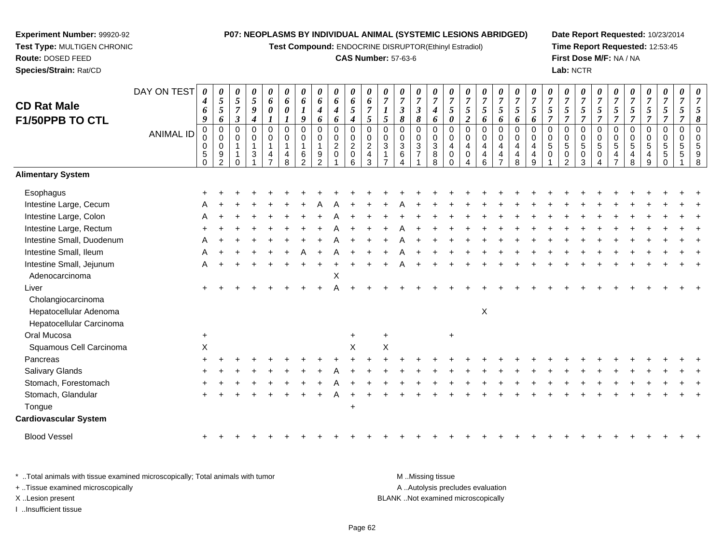**Test Compound:** ENDOCRINE DISRUPTOR(Ethinyl Estradiol)

#### **CAS Number:** 57-63-6

**Date Report Requested:** 10/23/2014**Time Report Requested:** 12:53:45**First Dose M/F:** NA / NA**Lab:** NCTR

| <b>CD Rat Male</b>                                                       | DAY ON TEST      | $\boldsymbol{\theta}$<br>$\boldsymbol{4}$<br>6<br>9     | 0<br>$\overline{5}$<br>5<br>6                                      | 0<br>5<br>$\overline{7}$<br>$\boldsymbol{\beta}$ | $\pmb{\theta}$<br>$\sqrt{5}$<br>9<br>$\boldsymbol{4}$ | 0<br>6<br>0                          | 0<br>6<br>0<br>1                           | 0<br>6<br>$\boldsymbol{l}$<br>9                                          | 0<br>6<br>4<br>6                       | $\pmb{\theta}$<br>6<br>4<br>6                             | $\pmb{\theta}$<br>6<br>5<br>4                  | 0<br>6<br>$\overline{7}$<br>5            | 0<br>$\overline{7}$<br>1<br>5 | 0<br>$\overline{7}$<br>3<br>8 | 0<br>$\boldsymbol{7}$<br>$\mathfrak{z}$<br>8 | 0<br>$\overline{7}$<br>4<br>6                        | 0<br>$\overline{7}$<br>5<br>$\boldsymbol{\theta}$ | $\overline{7}$<br>5<br>$\boldsymbol{2}$        | 0<br>$\overline{7}$<br>5<br>6   | 0<br>$\boldsymbol{7}$<br>5<br>6                                                        | $\pmb{\theta}$<br>$\overline{7}$<br>$\mathfrak{s}$<br>6             | 0<br>$\overline{7}$<br>5<br>6   | 7<br>5<br>$\overline{7}$                    | 0<br>$\overline{7}$<br>5<br>$\overline{7}$ | 0<br>$\boldsymbol{7}$<br>5<br>$\overline{7}$               | 0<br>$\overline{7}$<br>5<br>$\overline{7}$         | 0<br>$\overline{7}$<br>5<br>$\overline{7}$ | 7<br>5<br>$\overline{7}$               | 0<br>$\overline{7}$<br>5<br>$\overline{7}$ | 0<br>$\boldsymbol{7}$<br>5<br>$\overline{7}$ | 0<br>$\overline{7}$<br>5<br>7                 | $\boldsymbol{\theta}$<br>7<br>8 |
|--------------------------------------------------------------------------|------------------|---------------------------------------------------------|--------------------------------------------------------------------|--------------------------------------------------|-------------------------------------------------------|--------------------------------------|--------------------------------------------|--------------------------------------------------------------------------|----------------------------------------|-----------------------------------------------------------|------------------------------------------------|------------------------------------------|-------------------------------|-------------------------------|----------------------------------------------|------------------------------------------------------|---------------------------------------------------|------------------------------------------------|---------------------------------|----------------------------------------------------------------------------------------|---------------------------------------------------------------------|---------------------------------|---------------------------------------------|--------------------------------------------|------------------------------------------------------------|----------------------------------------------------|--------------------------------------------|----------------------------------------|--------------------------------------------|----------------------------------------------|-----------------------------------------------|---------------------------------|
| F1/50PPB TO CTL                                                          | <b>ANIMAL ID</b> | $\pmb{0}$<br>$\mathbf 0$<br>0<br>$\sqrt{5}$<br>$\Omega$ | $\overline{0}$<br>$\mathbf 0$<br>$\mathbf 0$<br>9<br>$\mathcal{P}$ | $\Omega$<br>0                                    | $\mathbf 0$<br>$\mathbf 0$<br>$\mathbf{1}$<br>3       | $\mathbf 0$<br>$\mathbf 0$<br>1<br>4 | $\mathbf 0$<br>$\mathbf 0$<br>-1<br>4<br>8 | $\Omega$<br>$\mathbf 0$<br>$\overline{\mathbf{1}}$<br>6<br>$\mathcal{P}$ | $\mathbf 0$<br>0<br>9<br>$\mathcal{D}$ | $\mathbf 0$<br>$\pmb{0}$<br>$\overline{c}$<br>$\mathbf 0$ | $\mathbf 0$<br>$\pmb{0}$<br>$\frac{2}{0}$<br>6 | 0<br>$\mathbf 0$<br>$\sqrt{2}$<br>4<br>3 | $\Omega$<br>$\mathbf 0$<br>3  | $\Omega$<br>0<br>3<br>6       | 0<br>0<br>$\sqrt{3}$<br>$\overline{7}$       | $\mathbf 0$<br>$\pmb{0}$<br>$\overline{3}$<br>8<br>8 | 0<br>$\mathbf 0$<br>4<br>0<br>$\Omega$            | $\mathbf 0$<br>$\mathbf 0$<br>4<br>$\mathbf 0$ | $\mathbf 0$<br>0<br>4<br>4<br>6 | $\pmb{0}$<br>0<br>$\overline{\mathbf{4}}$<br>$\overline{\mathbf{4}}$<br>$\overline{7}$ | $\mathbf 0$<br>$\mathbf 0$<br>$\overline{a}$<br>$\overline{4}$<br>8 | 0<br>$\mathbf 0$<br>4<br>4<br>9 | $\Omega$<br>$\mathbf 0$<br>5<br>$\mathbf 0$ | $\Omega$<br>0<br>5<br>0<br>$\mathcal{D}$   | $\pmb{0}$<br>$\pmb{0}$<br>$\overline{5}$<br>$\pmb{0}$<br>3 | $\mathbf 0$<br>$\mathbf 0$<br>$\sqrt{5}$<br>0<br>Δ | 0<br>0<br>5<br>4<br>$\overline{7}$         | $\Omega$<br>$\mathbf 0$<br>5<br>4<br>8 | $\mathbf 0$<br>0<br>5<br>9                 | 0<br>0<br>$\mathbf 5$<br>5                   | $\mathbf 0$<br>$\mathbf 0$<br>$\sqrt{5}$<br>5 |                                 |
| <b>Alimentary System</b>                                                 |                  |                                                         |                                                                    |                                                  |                                                       |                                      |                                            |                                                                          |                                        |                                                           |                                                |                                          |                               |                               |                                              |                                                      |                                                   |                                                |                                 |                                                                                        |                                                                     |                                 |                                             |                                            |                                                            |                                                    |                                            |                                        |                                            |                                              |                                               |                                 |
| Esophagus                                                                |                  |                                                         |                                                                    |                                                  |                                                       |                                      |                                            |                                                                          |                                        |                                                           |                                                |                                          |                               |                               |                                              |                                                      |                                                   |                                                |                                 |                                                                                        |                                                                     |                                 |                                             |                                            |                                                            |                                                    |                                            |                                        |                                            |                                              |                                               |                                 |
| Intestine Large, Cecum                                                   |                  |                                                         |                                                                    |                                                  |                                                       |                                      |                                            |                                                                          |                                        |                                                           |                                                |                                          |                               |                               |                                              |                                                      |                                                   |                                                |                                 |                                                                                        |                                                                     |                                 |                                             |                                            |                                                            |                                                    |                                            |                                        |                                            |                                              |                                               |                                 |
| Intestine Large, Colon                                                   |                  |                                                         |                                                                    |                                                  |                                                       |                                      |                                            |                                                                          |                                        |                                                           |                                                |                                          |                               |                               |                                              |                                                      |                                                   |                                                |                                 |                                                                                        |                                                                     |                                 |                                             |                                            |                                                            |                                                    |                                            |                                        |                                            |                                              |                                               |                                 |
| Intestine Large, Rectum                                                  |                  |                                                         |                                                                    |                                                  |                                                       |                                      |                                            |                                                                          |                                        |                                                           |                                                |                                          |                               |                               |                                              |                                                      |                                                   |                                                |                                 |                                                                                        |                                                                     |                                 |                                             |                                            |                                                            |                                                    |                                            |                                        |                                            |                                              |                                               |                                 |
| Intestine Small, Duodenum                                                |                  |                                                         |                                                                    |                                                  |                                                       |                                      |                                            |                                                                          |                                        |                                                           |                                                |                                          |                               |                               |                                              |                                                      |                                                   |                                                |                                 |                                                                                        |                                                                     |                                 |                                             |                                            |                                                            |                                                    |                                            |                                        |                                            |                                              |                                               |                                 |
| Intestine Small, Ileum                                                   |                  |                                                         |                                                                    |                                                  |                                                       |                                      |                                            |                                                                          |                                        |                                                           |                                                |                                          |                               |                               |                                              |                                                      |                                                   |                                                |                                 |                                                                                        |                                                                     |                                 |                                             |                                            |                                                            |                                                    |                                            |                                        |                                            |                                              |                                               |                                 |
| Intestine Small, Jejunum<br>Adenocarcinoma                               |                  |                                                         |                                                                    |                                                  |                                                       |                                      |                                            |                                                                          |                                        | X                                                         |                                                |                                          |                               |                               |                                              |                                                      |                                                   |                                                |                                 |                                                                                        |                                                                     |                                 |                                             |                                            |                                                            |                                                    |                                            |                                        |                                            |                                              |                                               |                                 |
| Liver                                                                    |                  |                                                         |                                                                    |                                                  |                                                       |                                      |                                            |                                                                          |                                        |                                                           |                                                |                                          |                               |                               |                                              |                                                      |                                                   |                                                |                                 |                                                                                        |                                                                     |                                 |                                             |                                            |                                                            |                                                    |                                            |                                        |                                            |                                              |                                               |                                 |
| Cholangiocarcinoma<br>Hepatocellular Adenoma<br>Hepatocellular Carcinoma |                  |                                                         |                                                                    |                                                  |                                                       |                                      |                                            |                                                                          |                                        |                                                           |                                                |                                          |                               |                               |                                              |                                                      |                                                   |                                                | $\mathsf X$                     |                                                                                        |                                                                     |                                 |                                             |                                            |                                                            |                                                    |                                            |                                        |                                            |                                              |                                               |                                 |
| Oral Mucosa                                                              |                  | $\ddot{}$                                               |                                                                    |                                                  |                                                       |                                      |                                            |                                                                          |                                        |                                                           | $\ddot{}$                                      |                                          | +                             |                               |                                              |                                                      | $\ddot{}$                                         |                                                |                                 |                                                                                        |                                                                     |                                 |                                             |                                            |                                                            |                                                    |                                            |                                        |                                            |                                              |                                               |                                 |
| Squamous Cell Carcinoma                                                  |                  | $\mathsf X$                                             |                                                                    |                                                  |                                                       |                                      |                                            |                                                                          |                                        |                                                           | X                                              |                                          | $\sf X$                       |                               |                                              |                                                      |                                                   |                                                |                                 |                                                                                        |                                                                     |                                 |                                             |                                            |                                                            |                                                    |                                            |                                        |                                            |                                              |                                               |                                 |
| Pancreas                                                                 |                  |                                                         |                                                                    |                                                  |                                                       |                                      |                                            |                                                                          |                                        |                                                           |                                                |                                          |                               |                               |                                              |                                                      |                                                   |                                                |                                 |                                                                                        |                                                                     |                                 |                                             |                                            |                                                            |                                                    |                                            |                                        |                                            |                                              |                                               |                                 |
| <b>Salivary Glands</b>                                                   |                  |                                                         |                                                                    |                                                  |                                                       |                                      |                                            |                                                                          |                                        |                                                           |                                                |                                          |                               |                               |                                              |                                                      |                                                   |                                                |                                 |                                                                                        |                                                                     |                                 |                                             |                                            |                                                            |                                                    |                                            |                                        |                                            |                                              |                                               |                                 |
| Stomach, Forestomach                                                     |                  |                                                         |                                                                    |                                                  |                                                       |                                      |                                            |                                                                          |                                        |                                                           |                                                |                                          |                               |                               |                                              |                                                      |                                                   |                                                |                                 |                                                                                        |                                                                     |                                 |                                             |                                            |                                                            |                                                    |                                            |                                        |                                            |                                              |                                               |                                 |
| Stomach, Glandular                                                       |                  |                                                         |                                                                    |                                                  |                                                       |                                      |                                            |                                                                          |                                        |                                                           |                                                |                                          |                               |                               |                                              |                                                      |                                                   |                                                |                                 |                                                                                        |                                                                     |                                 |                                             |                                            |                                                            |                                                    |                                            |                                        |                                            |                                              |                                               |                                 |
| Tongue                                                                   |                  |                                                         |                                                                    |                                                  |                                                       |                                      |                                            |                                                                          |                                        |                                                           | $\ddot{}$                                      |                                          |                               |                               |                                              |                                                      |                                                   |                                                |                                 |                                                                                        |                                                                     |                                 |                                             |                                            |                                                            |                                                    |                                            |                                        |                                            |                                              |                                               |                                 |
| <b>Cardiovascular System</b>                                             |                  |                                                         |                                                                    |                                                  |                                                       |                                      |                                            |                                                                          |                                        |                                                           |                                                |                                          |                               |                               |                                              |                                                      |                                                   |                                                |                                 |                                                                                        |                                                                     |                                 |                                             |                                            |                                                            |                                                    |                                            |                                        |                                            |                                              |                                               |                                 |
| <b>Blood Vessel</b>                                                      |                  | $+$                                                     |                                                                    |                                                  |                                                       |                                      |                                            |                                                                          |                                        |                                                           |                                                |                                          |                               |                               |                                              |                                                      |                                                   |                                                |                                 |                                                                                        |                                                                     |                                 |                                             |                                            |                                                            |                                                    |                                            |                                        |                                            |                                              |                                               |                                 |

\* ..Total animals with tissue examined microscopically; Total animals with tumor **M** ...Missing tissue M ...Missing tissue A ..Autolysis precludes evaluation + ..Tissue examined microscopically X ..Lesion present BLANK ..Not examined microscopicallyI ..Insufficient tissue

<sup>+</sup>

**Experiment Number:** 99920-92**Test Type:** MULTIGEN CHRONIC

**Route:** DOSED FEED**Species/Strain:** Rat/CD

<sup>+</sup> <sup>+</sup> <sup>+</sup> <sup>+</sup> <sup>+</sup> <sup>+</sup> <sup>+</sup> <sup>+</sup> <sup>+</sup> <sup>+</sup> <sup>+</sup> <sup>+</sup> <sup>+</sup> <sup>+</sup> <sup>+</sup> <sup>+</sup> <sup>+</sup> <sup>+</sup> <sup>+</sup> <sup>+</sup> <sup>+</sup> <sup>+</sup> <sup>+</sup> <sup>+</sup> <sup>+</sup> <sup>+</sup> <sup>+</sup> <sup>+</sup> <sup>+</sup> <sup>+</sup>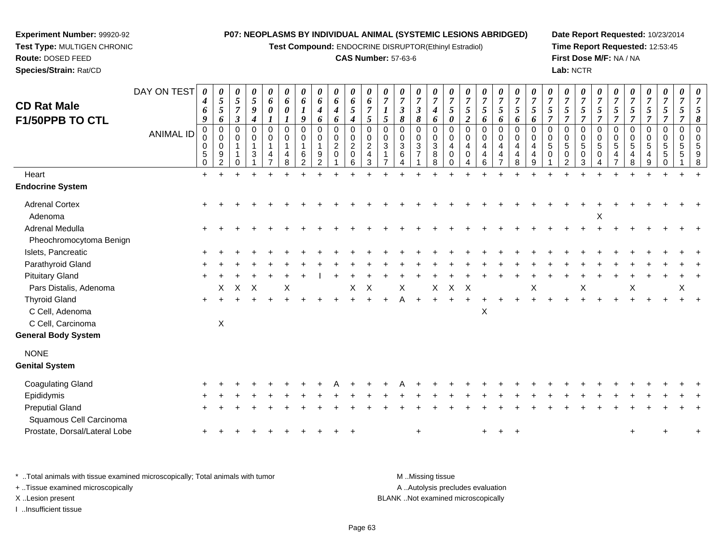**Test Compound:** ENDOCRINE DISRUPTOR(Ethinyl Estradiol)

#### **CAS Number:** 57-63-6

**Date Report Requested:** 10/23/2014**Time Report Requested:** 12:53:45**First Dose M/F:** NA / NA**Lab:** NCTR

| <b>CD Rat Male</b><br>F1/50PPB TO CTL<br>Heart               | DAY ON TEST<br><b>ANIMAL ID</b> | 0<br>4<br>6<br>9<br>0<br>0<br>0<br>5<br>$\mathbf 0$<br>$+$ | 0<br>$\mathfrak{s}$<br>$\mathfrak{s}$<br>6<br>0<br>$\mathbf 0$<br>0<br>9<br>2 | 0<br>$\mathfrak{s}$<br>$\overline{7}$<br>$\boldsymbol{\beta}$<br>0<br>$\mathbf 0$<br>$\overline{1}$<br>0 | 0<br>5<br>$\boldsymbol{g}$<br>$\boldsymbol{4}$<br>$\mathbf 0$<br>$\mathbf 0$<br>$\mathbf{1}$<br>3 | 0<br>6<br>$\boldsymbol{\theta}$<br>$\mathbf 0$<br>$\mathbf 0$<br>$\mathbf{1}$<br>4 | 0<br>6<br>$\boldsymbol{l}$<br>$\mathbf 0$<br>0<br>1<br>4<br>8 | 0<br>6<br>9<br>0<br>$\mathbf 0$<br>6<br>2 | 0<br>6<br>$\boldsymbol{4}$<br>6<br>$\mathbf 0$<br>0<br>$\mathbf{1}$<br>9<br>$\overline{2}$ | 0<br>6<br>$\boldsymbol{4}$<br>6<br>$\pmb{0}$<br>$\mathsf{O}\xspace$<br>$\sqrt{2}$<br>$\mathbf 0$ | 0<br>6<br>5<br>$\boldsymbol{4}$<br>0<br>0<br>$\overline{2}$<br>0<br>6 | 6<br>$\overline{7}$<br>5<br>$\mathbf 0$<br>$\mathbf 0$<br>$\overline{2}$<br>4<br>3 | 0<br>$\overline{7}$<br>5<br>0<br>$\mathbf 0$<br>$\mathbf{3}$ | 0<br>$\overline{7}$<br>$\boldsymbol{\mathfrak{z}}$<br>8<br>0<br>0<br>3<br>6<br>4 | 0<br>$\boldsymbol{7}$<br>$\mathfrak{z}$<br>8<br>$\pmb{0}$<br>$\pmb{0}$<br>$\sqrt{3}$<br>$\overline{7}$ | 0<br>$\overline{7}$<br>$\boldsymbol{4}$<br>6<br>$\mathbf 0$<br>$\mathbf 0$<br>$\sqrt{3}$<br>8<br>8 | $\overline{7}$<br>5<br>$\boldsymbol{\theta}$<br>$\mathbf 0$<br>$\mathbf 0$<br>4<br>$\Omega$<br>$\Omega$ | 0<br>$\overline{7}$<br>$\mathfrak{s}$<br>$\boldsymbol{2}$<br>$\mathbf 0$<br>0<br>$\overline{4}$<br>0<br>4 | 0<br>$\boldsymbol{7}$<br>$\overline{5}$<br>6<br>$\pmb{0}$<br>$\mathsf 0$<br>4<br>4<br>6 | 0<br>$\overline{7}$<br>5<br>6<br>$\mathsf{O}\xspace$<br>0<br>4<br>4<br>$\overline{7}$ | 0<br>$\boldsymbol{7}$<br>5<br>6<br>$\mathbf 0$<br>$\Omega$<br>4<br>4<br>8 | 0<br>$\overline{7}$<br>5<br>6<br>$\mathbf 0$<br>$\Omega$<br>$\overline{4}$<br>4<br>9 | $\boldsymbol{\theta}$<br>$\overline{7}$<br>$\sqrt{5}$<br>$\overline{7}$<br>0<br>$\mathbf 0$<br>$\sqrt{5}$<br>$\mathbf 0$ | 0<br>$\overline{7}$<br>$\sqrt{5}$<br>$\overline{7}$<br>$\pmb{0}$<br>$\pmb{0}$<br>$\sqrt{5}$<br>$\pmb{0}$<br>$\overline{2}$ | 0<br>$\overline{7}$<br>5<br>$\overline{7}$<br>0<br>0<br>5<br>0<br>3 | $\overline{7}$<br>$\mathfrak{s}$<br>$\overline{7}$<br>0<br>$\mathbf 0$<br>5<br>0 | 0<br>$\overline{7}$<br>5<br>$\overline{7}$<br>$\pmb{0}$<br>$\pmb{0}$<br>$\sqrt{5}$<br>4 | 0<br>$\boldsymbol{7}$<br>5<br>$\overline{7}$<br>0<br>$\mathsf{O}$<br>5<br>4<br>8 | 0<br>$\overline{7}$<br>$\mathfrak{s}$<br>$\overline{7}$<br>$\pmb{0}$<br>$\mathbf 0$<br>$\overline{5}$<br>$\overline{4}$<br>9 | 0<br>$\overline{7}$<br>$\sqrt{5}$<br>$\overline{7}$<br>0<br>$\mathbf 0$<br>5<br>5<br>0 | $\overline{7}$<br>5<br>$\overline{7}$<br>0<br>$\Omega$<br>5 | 0<br>$\overline{7}$<br>5<br>8<br>$\mathbf 0$<br>$\Omega$<br>5<br>9<br>8 |
|--------------------------------------------------------------|---------------------------------|------------------------------------------------------------|-------------------------------------------------------------------------------|----------------------------------------------------------------------------------------------------------|---------------------------------------------------------------------------------------------------|------------------------------------------------------------------------------------|---------------------------------------------------------------|-------------------------------------------|--------------------------------------------------------------------------------------------|--------------------------------------------------------------------------------------------------|-----------------------------------------------------------------------|------------------------------------------------------------------------------------|--------------------------------------------------------------|----------------------------------------------------------------------------------|--------------------------------------------------------------------------------------------------------|----------------------------------------------------------------------------------------------------|---------------------------------------------------------------------------------------------------------|-----------------------------------------------------------------------------------------------------------|-----------------------------------------------------------------------------------------|---------------------------------------------------------------------------------------|---------------------------------------------------------------------------|--------------------------------------------------------------------------------------|--------------------------------------------------------------------------------------------------------------------------|----------------------------------------------------------------------------------------------------------------------------|---------------------------------------------------------------------|----------------------------------------------------------------------------------|-----------------------------------------------------------------------------------------|----------------------------------------------------------------------------------|------------------------------------------------------------------------------------------------------------------------------|----------------------------------------------------------------------------------------|-------------------------------------------------------------|-------------------------------------------------------------------------|
| <b>Endocrine System</b>                                      |                                 |                                                            |                                                                               |                                                                                                          |                                                                                                   |                                                                                    |                                                               |                                           |                                                                                            |                                                                                                  |                                                                       |                                                                                    |                                                              |                                                                                  |                                                                                                        |                                                                                                    |                                                                                                         |                                                                                                           |                                                                                         |                                                                                       |                                                                           |                                                                                      |                                                                                                                          |                                                                                                                            |                                                                     |                                                                                  |                                                                                         |                                                                                  |                                                                                                                              |                                                                                        |                                                             |                                                                         |
| <b>Adrenal Cortex</b><br>Adenoma                             |                                 |                                                            |                                                                               |                                                                                                          |                                                                                                   |                                                                                    |                                                               |                                           |                                                                                            |                                                                                                  |                                                                       |                                                                                    |                                                              |                                                                                  |                                                                                                        |                                                                                                    |                                                                                                         |                                                                                                           |                                                                                         |                                                                                       |                                                                           |                                                                                      |                                                                                                                          |                                                                                                                            |                                                                     | Х                                                                                |                                                                                         |                                                                                  |                                                                                                                              |                                                                                        |                                                             |                                                                         |
| Adrenal Medulla<br>Pheochromocytoma Benign                   |                                 |                                                            |                                                                               |                                                                                                          |                                                                                                   |                                                                                    |                                                               |                                           |                                                                                            |                                                                                                  |                                                                       |                                                                                    |                                                              |                                                                                  |                                                                                                        |                                                                                                    |                                                                                                         |                                                                                                           |                                                                                         |                                                                                       |                                                                           |                                                                                      |                                                                                                                          |                                                                                                                            |                                                                     |                                                                                  |                                                                                         |                                                                                  |                                                                                                                              |                                                                                        |                                                             |                                                                         |
| Islets, Pancreatic                                           |                                 |                                                            |                                                                               |                                                                                                          |                                                                                                   |                                                                                    |                                                               |                                           |                                                                                            |                                                                                                  |                                                                       |                                                                                    |                                                              |                                                                                  |                                                                                                        |                                                                                                    |                                                                                                         |                                                                                                           |                                                                                         |                                                                                       |                                                                           |                                                                                      |                                                                                                                          |                                                                                                                            |                                                                     |                                                                                  |                                                                                         |                                                                                  |                                                                                                                              |                                                                                        |                                                             |                                                                         |
| Parathyroid Gland                                            |                                 |                                                            |                                                                               |                                                                                                          |                                                                                                   |                                                                                    |                                                               |                                           |                                                                                            |                                                                                                  |                                                                       |                                                                                    |                                                              |                                                                                  |                                                                                                        |                                                                                                    |                                                                                                         |                                                                                                           |                                                                                         |                                                                                       |                                                                           |                                                                                      |                                                                                                                          |                                                                                                                            |                                                                     |                                                                                  |                                                                                         |                                                                                  |                                                                                                                              |                                                                                        |                                                             |                                                                         |
| <b>Pituitary Gland</b>                                       |                                 |                                                            |                                                                               |                                                                                                          |                                                                                                   |                                                                                    |                                                               |                                           |                                                                                            |                                                                                                  |                                                                       |                                                                                    |                                                              |                                                                                  |                                                                                                        |                                                                                                    |                                                                                                         |                                                                                                           |                                                                                         |                                                                                       |                                                                           |                                                                                      |                                                                                                                          |                                                                                                                            |                                                                     |                                                                                  |                                                                                         |                                                                                  |                                                                                                                              |                                                                                        |                                                             |                                                                         |
| Pars Distalis, Adenoma                                       |                                 |                                                            | X                                                                             | $\pmb{\times}$                                                                                           | X                                                                                                 |                                                                                    |                                                               |                                           |                                                                                            |                                                                                                  | X                                                                     | X                                                                                  |                                                              | X                                                                                |                                                                                                        | X                                                                                                  | X                                                                                                       | $\times$                                                                                                  |                                                                                         |                                                                                       |                                                                           | Χ                                                                                    |                                                                                                                          |                                                                                                                            | Χ                                                                   |                                                                                  |                                                                                         | Χ                                                                                |                                                                                                                              |                                                                                        | X                                                           |                                                                         |
| <b>Thyroid Gland</b><br>C Cell, Adenoma<br>C Cell, Carcinoma |                                 | $+$                                                        | X                                                                             |                                                                                                          |                                                                                                   |                                                                                    |                                                               |                                           |                                                                                            |                                                                                                  |                                                                       |                                                                                    |                                                              | Д                                                                                |                                                                                                        |                                                                                                    |                                                                                                         |                                                                                                           | $\times$                                                                                |                                                                                       |                                                                           |                                                                                      |                                                                                                                          |                                                                                                                            |                                                                     |                                                                                  |                                                                                         |                                                                                  |                                                                                                                              |                                                                                        |                                                             |                                                                         |
| <b>General Body System</b>                                   |                                 |                                                            |                                                                               |                                                                                                          |                                                                                                   |                                                                                    |                                                               |                                           |                                                                                            |                                                                                                  |                                                                       |                                                                                    |                                                              |                                                                                  |                                                                                                        |                                                                                                    |                                                                                                         |                                                                                                           |                                                                                         |                                                                                       |                                                                           |                                                                                      |                                                                                                                          |                                                                                                                            |                                                                     |                                                                                  |                                                                                         |                                                                                  |                                                                                                                              |                                                                                        |                                                             |                                                                         |
| <b>NONE</b><br><b>Genital System</b>                         |                                 |                                                            |                                                                               |                                                                                                          |                                                                                                   |                                                                                    |                                                               |                                           |                                                                                            |                                                                                                  |                                                                       |                                                                                    |                                                              |                                                                                  |                                                                                                        |                                                                                                    |                                                                                                         |                                                                                                           |                                                                                         |                                                                                       |                                                                           |                                                                                      |                                                                                                                          |                                                                                                                            |                                                                     |                                                                                  |                                                                                         |                                                                                  |                                                                                                                              |                                                                                        |                                                             |                                                                         |
| <b>Coagulating Gland</b>                                     |                                 |                                                            |                                                                               |                                                                                                          |                                                                                                   |                                                                                    |                                                               |                                           |                                                                                            |                                                                                                  |                                                                       |                                                                                    |                                                              |                                                                                  |                                                                                                        |                                                                                                    |                                                                                                         |                                                                                                           |                                                                                         |                                                                                       |                                                                           |                                                                                      |                                                                                                                          |                                                                                                                            |                                                                     |                                                                                  |                                                                                         |                                                                                  |                                                                                                                              |                                                                                        |                                                             |                                                                         |
| Epididymis                                                   |                                 |                                                            |                                                                               |                                                                                                          |                                                                                                   |                                                                                    |                                                               |                                           |                                                                                            |                                                                                                  |                                                                       |                                                                                    |                                                              |                                                                                  |                                                                                                        |                                                                                                    |                                                                                                         |                                                                                                           |                                                                                         |                                                                                       |                                                                           |                                                                                      |                                                                                                                          |                                                                                                                            |                                                                     |                                                                                  |                                                                                         |                                                                                  |                                                                                                                              |                                                                                        |                                                             |                                                                         |
| <b>Preputial Gland</b>                                       |                                 |                                                            |                                                                               |                                                                                                          |                                                                                                   |                                                                                    |                                                               |                                           |                                                                                            |                                                                                                  |                                                                       |                                                                                    |                                                              |                                                                                  |                                                                                                        |                                                                                                    |                                                                                                         |                                                                                                           |                                                                                         |                                                                                       |                                                                           |                                                                                      |                                                                                                                          |                                                                                                                            |                                                                     |                                                                                  |                                                                                         |                                                                                  |                                                                                                                              |                                                                                        |                                                             |                                                                         |
| Squamous Cell Carcinoma<br>Prostate, Dorsal/Lateral Lobe     |                                 |                                                            |                                                                               |                                                                                                          |                                                                                                   |                                                                                    |                                                               |                                           |                                                                                            |                                                                                                  |                                                                       |                                                                                    |                                                              |                                                                                  | $\ddot{}$                                                                                              |                                                                                                    |                                                                                                         |                                                                                                           | $+$                                                                                     | $^+$                                                                                  | $\ddot{}$                                                                 |                                                                                      |                                                                                                                          |                                                                                                                            |                                                                     |                                                                                  |                                                                                         | $\ddot{}$                                                                        |                                                                                                                              | +                                                                                      |                                                             | +                                                                       |
|                                                              |                                 |                                                            |                                                                               |                                                                                                          |                                                                                                   |                                                                                    |                                                               |                                           |                                                                                            |                                                                                                  |                                                                       |                                                                                    |                                                              |                                                                                  |                                                                                                        |                                                                                                    |                                                                                                         |                                                                                                           |                                                                                         |                                                                                       |                                                                           |                                                                                      |                                                                                                                          |                                                                                                                            |                                                                     |                                                                                  |                                                                                         |                                                                                  |                                                                                                                              |                                                                                        |                                                             |                                                                         |

\* ..Total animals with tissue examined microscopically; Total animals with tumor **M** . Missing tissue M ..Missing tissue

+ ..Tissue examined microscopically

**Experiment Number:** 99920-92**Test Type:** MULTIGEN CHRONIC

**Route:** DOSED FEED**Species/Strain:** Rat/CD

I ..Insufficient tissue

A ..Autolysis precludes evaluation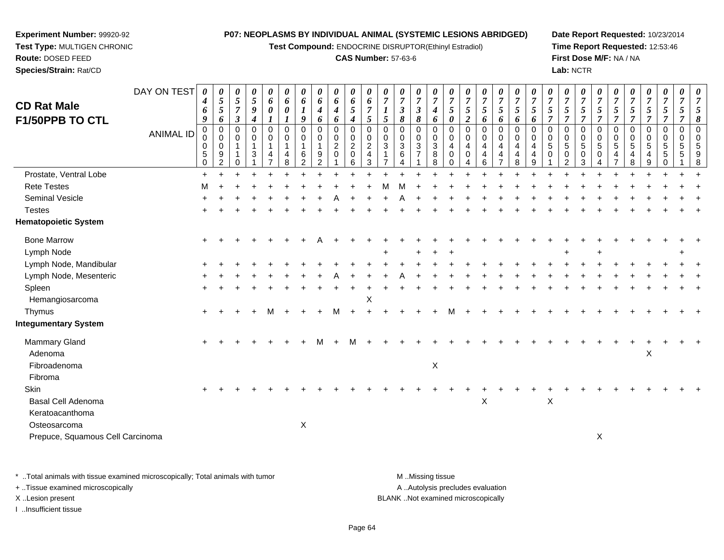**Test Compound:** ENDOCRINE DISRUPTOR(Ethinyl Estradiol)

#### **CAS Number:** 57-63-6

**Date Report Requested:** 10/23/2014**Time Report Requested:** 12:53:46**First Dose M/F:** NA / NA**Lab:** NCTR

| <b>CD Rat Male</b>               | DAY ON TEST      | $\boldsymbol{\theta}$<br>$\boldsymbol{4}$<br>6<br>9        | 0<br>$\sqrt{5}$<br>$\sqrt{5}$<br>6                   | 0<br>$5\overline{)}$<br>$\overline{7}$<br>$\overline{\mathbf{3}}$ | 0<br>$\mathfrak{H}$<br>9<br>$\boldsymbol{4}$ | 0<br>6<br>$\pmb{\theta}$<br>$\boldsymbol{l}$ | 0<br>6<br>0                                         | 0<br>6<br>$\boldsymbol{l}$<br>9                          | 0<br>6<br>$\boldsymbol{4}$                                       | 0<br>6<br>$\boldsymbol{4}$<br>6               | 0<br>6<br>$\mathfrak{H}$<br>$\boldsymbol{4}$         | $\boldsymbol{\theta}$<br>6<br>$\overline{7}$<br>5      | 0<br>$\overline{7}$<br>$\boldsymbol{l}$<br>$\mathfrak{s}$ | $\boldsymbol{\theta}$<br>$\overline{7}$<br>$\boldsymbol{\beta}$<br>$\pmb{8}$ | 0<br>$\overline{7}$<br>$\boldsymbol{\beta}$<br>8     | 0<br>$\overline{7}$<br>$\boldsymbol{4}$         | $\boldsymbol{\theta}$<br>$\overline{7}$<br>$\mathfrak{s}$ | $\boldsymbol{\theta}$<br>$\overline{7}$<br>$\mathfrak{s}$<br>$\boldsymbol{2}$ | $\boldsymbol{\theta}$<br>$\boldsymbol{7}$<br>$\mathfrak{H}$<br>6 | 0<br>$\overline{7}$<br>5                                               | 0<br>$\overline{7}$<br>5   | $\boldsymbol{\theta}$<br>$\overline{7}$<br>5             | $\boldsymbol{\theta}$<br>$\overline{7}$<br>5<br>$\overline{7}$ | $\boldsymbol{\theta}$<br>$\boldsymbol{7}$<br>5<br>$\overline{7}$ | $\theta$<br>$\overline{7}$<br>5<br>$\overline{7}$ | $\boldsymbol{\theta}$<br>$\overline{7}$<br>5<br>$\overline{7}$ | $\boldsymbol{\theta}$<br>$\overline{7}$<br>$\mathfrak{H}$<br>$\overline{7}$ | 0<br>$\overline{7}$<br>$\mathfrak{s}$<br>$\overline{7}$ | 0<br>$\overline{7}$<br>$\mathfrak{H}$<br>$\overline{7}$ | 0<br>$\overline{7}$<br>$\sqrt{5}$<br>$\overline{7}$   | 0<br>$\overline{7}$<br>5<br>$\overline{7}$ | $\overline{7}$<br>5<br>8 |
|----------------------------------|------------------|------------------------------------------------------------|------------------------------------------------------|-------------------------------------------------------------------|----------------------------------------------|----------------------------------------------|-----------------------------------------------------|----------------------------------------------------------|------------------------------------------------------------------|-----------------------------------------------|------------------------------------------------------|--------------------------------------------------------|-----------------------------------------------------------|------------------------------------------------------------------------------|------------------------------------------------------|-------------------------------------------------|-----------------------------------------------------------|-------------------------------------------------------------------------------|------------------------------------------------------------------|------------------------------------------------------------------------|----------------------------|----------------------------------------------------------|----------------------------------------------------------------|------------------------------------------------------------------|---------------------------------------------------|----------------------------------------------------------------|-----------------------------------------------------------------------------|---------------------------------------------------------|---------------------------------------------------------|-------------------------------------------------------|--------------------------------------------|--------------------------|
| F1/50PPB TO CTL                  | <b>ANIMAL ID</b> | $\pmb{0}$<br>0<br>$\mathbf 0$<br>$\sqrt{5}$<br>$\mathbf 0$ | $\pmb{0}$<br>0<br>$\mathbf 0$<br>9<br>$\overline{2}$ | $\mathbf 0$<br>0<br>$\mathbf{1}$<br>0                             | 0<br>0<br>$\mathbf{1}$<br>3                  | $\pmb{0}$<br>0<br>$\overline{1}$<br>4        | $\bm{l}$<br>$\Omega$<br>0<br>$\mathbf{1}$<br>4<br>8 | $\mathbf 0$<br>0<br>$\overline{1}$<br>6<br>$\mathcal{P}$ | 6<br>$\mathbf 0$<br>0<br>$\mathbf{1}$<br>$9\,$<br>$\overline{2}$ | $\pmb{0}$<br>$\pmb{0}$<br>$\overline{2}$<br>0 | $\pmb{0}$<br>$\mathbf 0$<br>$\overline{c}$<br>0<br>6 | $\Omega$<br>0<br>$\overline{2}$<br>$\overline{4}$<br>3 | $\Omega$<br>$\mathbf 0$<br>$\mathbf{3}$                   | $\mathbf 0$<br>0<br>$\mathbf{3}$<br>6<br>4                                   | $\mathbf 0$<br>0<br>$\mathfrak{S}$<br>$\overline{7}$ | 6<br>$\mathsf 0$<br>0<br>$\mathbf{3}$<br>8<br>8 | 0<br>$\Omega$<br>$\mathbf 0$<br>$\overline{4}$<br>0<br>0  | $\mathbf 0$<br>$\mathbf 0$<br>$\overline{4}$<br>$\mathbf 0$                   | 0<br>0<br>4<br>4<br>6                                            | 6<br>$\mathbf 0$<br>$\pmb{0}$<br>$\overline{4}$<br>4<br>$\overline{7}$ | 6<br>0<br>0<br>4<br>4<br>8 | 6<br>$\Omega$<br>$\mathbf 0$<br>4<br>$\overline{4}$<br>9 | $\Omega$<br>$\mathbf 0$<br>$\overline{5}$<br>$\Omega$          | 0<br>0<br>$\sqrt{5}$<br>$\mathbf 0$<br>$\overline{2}$            | $\mathbf 0$<br>0<br>5<br>0<br>3                   | 0<br>0<br>5<br>0                                               | $\mathbf 0$<br>0<br>5<br>4                                                  | $\mathbf 0$<br>0<br>$\sqrt{5}$<br>4<br>8                | 0<br>0<br>$\overline{5}$<br>4<br>9                      | $\overline{0}$<br>$\mathbf 0$<br>$\sqrt{5}$<br>5<br>0 | $\pmb{0}$<br>0<br>5<br>5                   | $\Omega$<br>$\Omega$     |
| Prostate, Ventral Lobe           |                  | $+$                                                        |                                                      |                                                                   |                                              |                                              |                                                     |                                                          |                                                                  |                                               |                                                      |                                                        |                                                           |                                                                              |                                                      |                                                 |                                                           |                                                                               |                                                                  |                                                                        |                            |                                                          |                                                                |                                                                  |                                                   |                                                                |                                                                             |                                                         |                                                         |                                                       |                                            |                          |
| <b>Rete Testes</b>               |                  | м                                                          |                                                      |                                                                   |                                              |                                              |                                                     |                                                          |                                                                  |                                               |                                                      |                                                        |                                                           |                                                                              |                                                      |                                                 |                                                           |                                                                               |                                                                  |                                                                        |                            |                                                          |                                                                |                                                                  |                                                   |                                                                |                                                                             |                                                         |                                                         |                                                       |                                            |                          |
| Seminal Vesicle                  |                  |                                                            |                                                      |                                                                   |                                              |                                              |                                                     |                                                          |                                                                  |                                               |                                                      |                                                        |                                                           |                                                                              |                                                      |                                                 |                                                           |                                                                               |                                                                  |                                                                        |                            |                                                          |                                                                |                                                                  |                                                   |                                                                |                                                                             |                                                         |                                                         |                                                       |                                            |                          |
| <b>Testes</b>                    |                  |                                                            |                                                      |                                                                   |                                              |                                              |                                                     |                                                          |                                                                  |                                               |                                                      |                                                        |                                                           |                                                                              |                                                      |                                                 |                                                           |                                                                               |                                                                  |                                                                        |                            |                                                          |                                                                |                                                                  |                                                   |                                                                |                                                                             |                                                         |                                                         |                                                       |                                            |                          |
| <b>Hematopoietic System</b>      |                  |                                                            |                                                      |                                                                   |                                              |                                              |                                                     |                                                          |                                                                  |                                               |                                                      |                                                        |                                                           |                                                                              |                                                      |                                                 |                                                           |                                                                               |                                                                  |                                                                        |                            |                                                          |                                                                |                                                                  |                                                   |                                                                |                                                                             |                                                         |                                                         |                                                       |                                            |                          |
| <b>Bone Marrow</b>               |                  |                                                            |                                                      |                                                                   |                                              |                                              |                                                     |                                                          |                                                                  |                                               |                                                      |                                                        |                                                           |                                                                              |                                                      |                                                 |                                                           |                                                                               |                                                                  |                                                                        |                            |                                                          |                                                                |                                                                  |                                                   |                                                                |                                                                             |                                                         |                                                         |                                                       |                                            |                          |
| Lymph Node                       |                  |                                                            |                                                      |                                                                   |                                              |                                              |                                                     |                                                          |                                                                  |                                               |                                                      |                                                        |                                                           |                                                                              |                                                      |                                                 |                                                           |                                                                               |                                                                  |                                                                        |                            |                                                          |                                                                |                                                                  |                                                   |                                                                |                                                                             |                                                         |                                                         |                                                       |                                            |                          |
| Lymph Node, Mandibular           |                  |                                                            |                                                      |                                                                   |                                              |                                              |                                                     |                                                          |                                                                  |                                               |                                                      |                                                        |                                                           |                                                                              |                                                      |                                                 |                                                           |                                                                               |                                                                  |                                                                        |                            |                                                          |                                                                |                                                                  |                                                   |                                                                |                                                                             |                                                         |                                                         |                                                       |                                            |                          |
| Lymph Node, Mesenteric           |                  |                                                            |                                                      |                                                                   |                                              |                                              |                                                     |                                                          |                                                                  |                                               |                                                      |                                                        |                                                           |                                                                              |                                                      |                                                 |                                                           |                                                                               |                                                                  |                                                                        |                            |                                                          |                                                                |                                                                  |                                                   |                                                                |                                                                             |                                                         |                                                         |                                                       |                                            |                          |
| Spleen                           |                  |                                                            |                                                      |                                                                   |                                              |                                              |                                                     |                                                          |                                                                  |                                               |                                                      |                                                        |                                                           |                                                                              |                                                      |                                                 |                                                           |                                                                               |                                                                  |                                                                        |                            |                                                          |                                                                |                                                                  |                                                   |                                                                |                                                                             |                                                         |                                                         |                                                       |                                            |                          |
| Hemangiosarcoma                  |                  |                                                            |                                                      |                                                                   |                                              |                                              |                                                     |                                                          |                                                                  |                                               |                                                      | X                                                      |                                                           |                                                                              |                                                      |                                                 |                                                           |                                                                               |                                                                  |                                                                        |                            |                                                          |                                                                |                                                                  |                                                   |                                                                |                                                                             |                                                         |                                                         |                                                       |                                            |                          |
| Thymus                           |                  |                                                            |                                                      |                                                                   |                                              | м                                            |                                                     |                                                          |                                                                  |                                               |                                                      |                                                        |                                                           |                                                                              |                                                      |                                                 |                                                           |                                                                               |                                                                  |                                                                        |                            |                                                          |                                                                |                                                                  |                                                   |                                                                |                                                                             |                                                         |                                                         |                                                       |                                            |                          |
| <b>Integumentary System</b>      |                  |                                                            |                                                      |                                                                   |                                              |                                              |                                                     |                                                          |                                                                  |                                               |                                                      |                                                        |                                                           |                                                                              |                                                      |                                                 |                                                           |                                                                               |                                                                  |                                                                        |                            |                                                          |                                                                |                                                                  |                                                   |                                                                |                                                                             |                                                         |                                                         |                                                       |                                            |                          |
| Mammary Gland                    |                  |                                                            |                                                      |                                                                   |                                              |                                              |                                                     |                                                          | м                                                                |                                               | м                                                    |                                                        |                                                           |                                                                              |                                                      |                                                 |                                                           |                                                                               |                                                                  |                                                                        |                            |                                                          |                                                                |                                                                  |                                                   |                                                                |                                                                             |                                                         |                                                         |                                                       |                                            |                          |
| Adenoma                          |                  |                                                            |                                                      |                                                                   |                                              |                                              |                                                     |                                                          |                                                                  |                                               |                                                      |                                                        |                                                           |                                                                              |                                                      |                                                 |                                                           |                                                                               |                                                                  |                                                                        |                            |                                                          |                                                                |                                                                  |                                                   |                                                                |                                                                             |                                                         | X                                                       |                                                       |                                            |                          |
| Fibroadenoma                     |                  |                                                            |                                                      |                                                                   |                                              |                                              |                                                     |                                                          |                                                                  |                                               |                                                      |                                                        |                                                           |                                                                              |                                                      | $\boldsymbol{\mathsf{X}}$                       |                                                           |                                                                               |                                                                  |                                                                        |                            |                                                          |                                                                |                                                                  |                                                   |                                                                |                                                                             |                                                         |                                                         |                                                       |                                            |                          |
| Fibroma                          |                  |                                                            |                                                      |                                                                   |                                              |                                              |                                                     |                                                          |                                                                  |                                               |                                                      |                                                        |                                                           |                                                                              |                                                      |                                                 |                                                           |                                                                               |                                                                  |                                                                        |                            |                                                          |                                                                |                                                                  |                                                   |                                                                |                                                                             |                                                         |                                                         |                                                       |                                            |                          |
| Skin                             |                  |                                                            |                                                      |                                                                   |                                              |                                              |                                                     |                                                          |                                                                  |                                               |                                                      |                                                        |                                                           |                                                                              |                                                      |                                                 |                                                           |                                                                               |                                                                  |                                                                        |                            |                                                          |                                                                |                                                                  |                                                   |                                                                |                                                                             |                                                         |                                                         |                                                       |                                            |                          |
| Basal Cell Adenoma               |                  |                                                            |                                                      |                                                                   |                                              |                                              |                                                     |                                                          |                                                                  |                                               |                                                      |                                                        |                                                           |                                                                              |                                                      |                                                 |                                                           |                                                                               | $\boldsymbol{\mathsf{X}}$                                        |                                                                        |                            |                                                          | $\mathsf X$                                                    |                                                                  |                                                   |                                                                |                                                                             |                                                         |                                                         |                                                       |                                            |                          |
| Keratoacanthoma                  |                  |                                                            |                                                      |                                                                   |                                              |                                              |                                                     |                                                          |                                                                  |                                               |                                                      |                                                        |                                                           |                                                                              |                                                      |                                                 |                                                           |                                                                               |                                                                  |                                                                        |                            |                                                          |                                                                |                                                                  |                                                   |                                                                |                                                                             |                                                         |                                                         |                                                       |                                            |                          |
| Osteosarcoma                     |                  |                                                            |                                                      |                                                                   |                                              |                                              |                                                     | $\mathsf X$                                              |                                                                  |                                               |                                                      |                                                        |                                                           |                                                                              |                                                      |                                                 |                                                           |                                                                               |                                                                  |                                                                        |                            |                                                          |                                                                |                                                                  |                                                   |                                                                |                                                                             |                                                         |                                                         |                                                       |                                            |                          |
| Prepuce, Squamous Cell Carcinoma |                  |                                                            |                                                      |                                                                   |                                              |                                              |                                                     |                                                          |                                                                  |                                               |                                                      |                                                        |                                                           |                                                                              |                                                      |                                                 |                                                           |                                                                               |                                                                  |                                                                        |                            |                                                          |                                                                |                                                                  |                                                   | X                                                              |                                                                             |                                                         |                                                         |                                                       |                                            |                          |
|                                  |                  |                                                            |                                                      |                                                                   |                                              |                                              |                                                     |                                                          |                                                                  |                                               |                                                      |                                                        |                                                           |                                                                              |                                                      |                                                 |                                                           |                                                                               |                                                                  |                                                                        |                            |                                                          |                                                                |                                                                  |                                                   |                                                                |                                                                             |                                                         |                                                         |                                                       |                                            |                          |

\* ..Total animals with tissue examined microscopically; Total animals with tumor **M** . Missing tissue M ..Missing tissue A ..Autolysis precludes evaluation + ..Tissue examined microscopically X ..Lesion present BLANK ..Not examined microscopicallyI ..Insufficient tissue

**Experiment Number:** 99920-92**Test Type:** MULTIGEN CHRONIC

**Route:** DOSED FEED**Species/Strain:** Rat/CD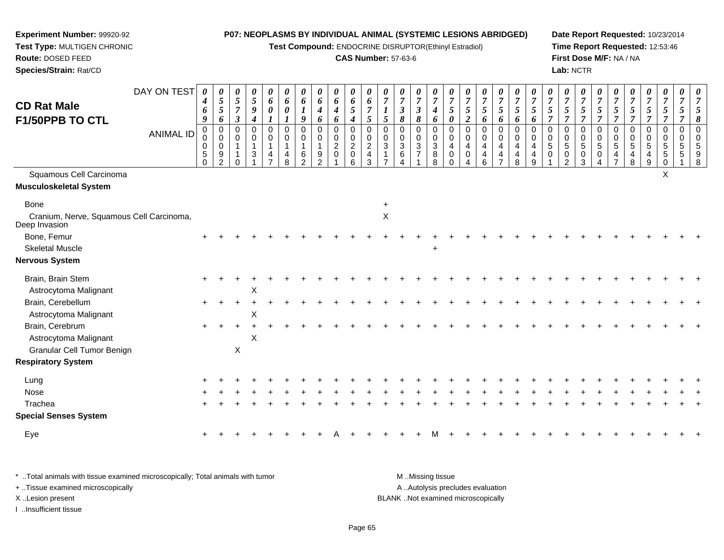**Test Compound:** ENDOCRINE DISRUPTOR(Ethinyl Estradiol)

#### **CAS Number:** 57-63-6

**Date Report Requested:** 10/23/2014**Time Report Requested:** 12:53:46**First Dose M/F:** NA / NA**Lab:** NCTR

| <b>CD Rat Male</b><br>F1/50PPB TO CTL                     | DAY ON TEST<br><b>ANIMAL ID</b> | 0<br>4<br>6<br>$\boldsymbol{9}$<br>0<br>0<br>0<br>5<br>$\Omega$ | 0<br>$\overline{5}$<br>$\overline{5}$<br>6<br>$\overline{0}$<br>$\mathbf 0$<br>$\mathbf 0$<br>$9\,$<br>$\overline{2}$ | 0<br>5<br>7<br>$\boldsymbol{\beta}$<br>$\Omega$<br>$\mathbf 0$<br>∩ | 0<br>$\mathfrak{s}$<br>9<br>$\boldsymbol{4}$<br>0<br>0<br>$\overline{1}$<br>3 | 0<br>6<br>$\boldsymbol{\theta}$<br>$\mathbf 0$<br>$\pmb{0}$<br>$\overline{1}$<br>$\overline{4}$ | 0<br>6<br>$\boldsymbol{\theta}$<br>1<br>$\Omega$<br>0<br>4<br>8 | $\boldsymbol{\theta}$<br>6<br>$\boldsymbol{l}$<br>9<br>0<br>0<br>1<br>6<br>$\mathcal{P}$ | 0<br>$\boldsymbol{6}$<br>$\boldsymbol{4}$<br>6<br>$\mathbf 0$<br>$\mathbf 0$<br>$\mathbf{1}$<br>$9\,$<br>$\overline{2}$ | 0<br>6<br>$\boldsymbol{4}$<br>6<br>0<br>$\mathbf 0$<br>$\overline{c}$<br>$\mathbf 0$ | 0<br>6<br>5<br>$\boldsymbol{4}$<br>$\mathbf 0$<br>0<br>$\overline{a}$<br>0<br>6 | 0<br>6<br>$\overline{7}$<br>$5\overline{)}$<br>$\Omega$<br>0<br>$\boldsymbol{2}$<br>$\overline{4}$<br>$\mathbf{3}$ | $\overline{7}$<br>$\overline{5}$<br>$\mathbf 0$<br>$\mathbf 0$<br>$\sqrt{3}$<br>1 | 0<br>$\overline{7}$<br>$\boldsymbol{\beta}$<br>$\pmb{8}$<br>0<br>0<br>$\sqrt{3}$<br>6<br>4 | $\boldsymbol{\theta}$<br>$\overline{7}$<br>$\boldsymbol{\beta}$<br>$\boldsymbol{\delta}$<br>$\overline{0}$<br>$\mathbf 0$<br>$\mathbf{3}$<br>$\overline{7}$ | 0<br>$\overline{7}$<br>4<br>6<br>$\Omega$<br>0<br>3<br>8<br>8 | $\boldsymbol{\theta}$<br>$\boldsymbol{7}$<br>$\sqrt{5}$<br>0<br>0<br>$\mathbf 0$<br>$\overline{4}$<br>0 | $\boldsymbol{\theta}$<br>$\overline{7}$<br>$\mathfrak{s}$<br>$\boldsymbol{2}$<br>$\Omega$<br>0<br>4<br>$\mathbf 0$ | 0<br>$\boldsymbol{7}$<br>$\mathfrak{H}$<br>6<br>$\mathbf 0$<br>$\mathbf 0$<br>$\overline{4}$<br>4<br>6 | $\boldsymbol{\theta}$<br>$\overline{7}$<br>$\mathfrak{s}$<br>6<br>$\mathbf 0$<br>$\pmb{0}$<br>$\overline{4}$<br>$\overline{4}$<br>$\overline{7}$ | 0<br>$\overline{7}$<br>$\mathfrak{s}$<br>6<br>$\mathbf 0$<br>0<br>$\overline{a}$<br>$\overline{4}$<br>8 | $\boldsymbol{7}$<br>$\mathfrak{s}$<br>6<br>$\Omega$<br>$\mathbf 0$<br>$\overline{4}$<br>$\overline{4}$<br>9 | 0<br>$\overline{7}$<br>5<br>$\overline{7}$<br>$\Omega$<br>0<br>5<br>$\mathbf 0$ | 0<br>$\overline{7}$<br>$\mathfrak{s}$<br>$\overline{7}$<br>0<br>$\mathbf 0$<br>$\sqrt{5}$<br>0<br>2 | 0<br>$\overline{7}$<br>5<br>$\overline{7}$<br>$\mathbf 0$<br>$\mathbf 0$<br>$\sqrt{5}$<br>$\mathbf 0$<br>3 | 0<br>$\overline{7}$<br>$\mathfrak{s}$<br>$\overline{7}$<br>$\Omega$<br>$\mathbf 0$<br>$\sqrt{5}$<br>0<br>4 | $\overline{7}$<br>$\mathfrak{s}$<br>$\overline{7}$<br>$\Omega$<br>$\mathbf 0$<br>$\overline{5}$<br>4<br>$\overline{ }$ | 0<br>$\overline{7}$<br>5<br>$\overline{7}$<br>$\Omega$<br>0<br>5<br>4<br>8 | 0<br>$\overline{7}$<br>5<br>$\overline{7}$<br>0<br>0<br>5<br>$\overline{4}$<br>9 | 0<br>$\overline{7}$<br>$\mathfrak{s}$<br>$\overline{7}$<br>0<br>$\pmb{0}$<br>$\sqrt{5}$<br>$\sqrt{5}$<br>$\mathbf 0$ | 0<br>$\overline{7}$<br>5<br>7<br>$\mathbf 0$<br>$\mathbf 0$<br>5<br>5 | 7<br>5<br>8<br>$\Omega$<br>$\Omega$<br>5<br>9<br>8 |
|-----------------------------------------------------------|---------------------------------|-----------------------------------------------------------------|-----------------------------------------------------------------------------------------------------------------------|---------------------------------------------------------------------|-------------------------------------------------------------------------------|-------------------------------------------------------------------------------------------------|-----------------------------------------------------------------|------------------------------------------------------------------------------------------|-------------------------------------------------------------------------------------------------------------------------|--------------------------------------------------------------------------------------|---------------------------------------------------------------------------------|--------------------------------------------------------------------------------------------------------------------|-----------------------------------------------------------------------------------|--------------------------------------------------------------------------------------------|-------------------------------------------------------------------------------------------------------------------------------------------------------------|---------------------------------------------------------------|---------------------------------------------------------------------------------------------------------|--------------------------------------------------------------------------------------------------------------------|--------------------------------------------------------------------------------------------------------|--------------------------------------------------------------------------------------------------------------------------------------------------|---------------------------------------------------------------------------------------------------------|-------------------------------------------------------------------------------------------------------------|---------------------------------------------------------------------------------|-----------------------------------------------------------------------------------------------------|------------------------------------------------------------------------------------------------------------|------------------------------------------------------------------------------------------------------------|------------------------------------------------------------------------------------------------------------------------|----------------------------------------------------------------------------|----------------------------------------------------------------------------------|----------------------------------------------------------------------------------------------------------------------|-----------------------------------------------------------------------|----------------------------------------------------|
| Squamous Cell Carcinoma                                   |                                 |                                                                 |                                                                                                                       |                                                                     |                                                                               |                                                                                                 |                                                                 |                                                                                          |                                                                                                                         |                                                                                      |                                                                                 |                                                                                                                    |                                                                                   |                                                                                            |                                                                                                                                                             |                                                               |                                                                                                         |                                                                                                                    |                                                                                                        |                                                                                                                                                  |                                                                                                         |                                                                                                             |                                                                                 |                                                                                                     |                                                                                                            |                                                                                                            |                                                                                                                        |                                                                            |                                                                                  | X                                                                                                                    |                                                                       |                                                    |
| <b>Musculoskeletal System</b>                             |                                 |                                                                 |                                                                                                                       |                                                                     |                                                                               |                                                                                                 |                                                                 |                                                                                          |                                                                                                                         |                                                                                      |                                                                                 |                                                                                                                    |                                                                                   |                                                                                            |                                                                                                                                                             |                                                               |                                                                                                         |                                                                                                                    |                                                                                                        |                                                                                                                                                  |                                                                                                         |                                                                                                             |                                                                                 |                                                                                                     |                                                                                                            |                                                                                                            |                                                                                                                        |                                                                            |                                                                                  |                                                                                                                      |                                                                       |                                                    |
| <b>Bone</b>                                               |                                 |                                                                 |                                                                                                                       |                                                                     |                                                                               |                                                                                                 |                                                                 |                                                                                          |                                                                                                                         |                                                                                      |                                                                                 |                                                                                                                    |                                                                                   |                                                                                            |                                                                                                                                                             |                                                               |                                                                                                         |                                                                                                                    |                                                                                                        |                                                                                                                                                  |                                                                                                         |                                                                                                             |                                                                                 |                                                                                                     |                                                                                                            |                                                                                                            |                                                                                                                        |                                                                            |                                                                                  |                                                                                                                      |                                                                       |                                                    |
| Cranium, Nerve, Squamous Cell Carcinoma,<br>Deep Invasion |                                 |                                                                 |                                                                                                                       |                                                                     |                                                                               |                                                                                                 |                                                                 |                                                                                          |                                                                                                                         |                                                                                      |                                                                                 |                                                                                                                    | $\sf X$                                                                           |                                                                                            |                                                                                                                                                             |                                                               |                                                                                                         |                                                                                                                    |                                                                                                        |                                                                                                                                                  |                                                                                                         |                                                                                                             |                                                                                 |                                                                                                     |                                                                                                            |                                                                                                            |                                                                                                                        |                                                                            |                                                                                  |                                                                                                                      |                                                                       |                                                    |
| Bone, Femur                                               |                                 |                                                                 |                                                                                                                       |                                                                     |                                                                               |                                                                                                 |                                                                 |                                                                                          |                                                                                                                         |                                                                                      |                                                                                 |                                                                                                                    |                                                                                   |                                                                                            |                                                                                                                                                             |                                                               |                                                                                                         |                                                                                                                    |                                                                                                        |                                                                                                                                                  |                                                                                                         |                                                                                                             |                                                                                 |                                                                                                     |                                                                                                            |                                                                                                            |                                                                                                                        |                                                                            |                                                                                  |                                                                                                                      |                                                                       |                                                    |
| <b>Skeletal Muscle</b>                                    |                                 |                                                                 |                                                                                                                       |                                                                     |                                                                               |                                                                                                 |                                                                 |                                                                                          |                                                                                                                         |                                                                                      |                                                                                 |                                                                                                                    |                                                                                   |                                                                                            |                                                                                                                                                             | $\ddot{}$                                                     |                                                                                                         |                                                                                                                    |                                                                                                        |                                                                                                                                                  |                                                                                                         |                                                                                                             |                                                                                 |                                                                                                     |                                                                                                            |                                                                                                            |                                                                                                                        |                                                                            |                                                                                  |                                                                                                                      |                                                                       |                                                    |
| <b>Nervous System</b>                                     |                                 |                                                                 |                                                                                                                       |                                                                     |                                                                               |                                                                                                 |                                                                 |                                                                                          |                                                                                                                         |                                                                                      |                                                                                 |                                                                                                                    |                                                                                   |                                                                                            |                                                                                                                                                             |                                                               |                                                                                                         |                                                                                                                    |                                                                                                        |                                                                                                                                                  |                                                                                                         |                                                                                                             |                                                                                 |                                                                                                     |                                                                                                            |                                                                                                            |                                                                                                                        |                                                                            |                                                                                  |                                                                                                                      |                                                                       |                                                    |
| Brain, Brain Stem                                         |                                 |                                                                 |                                                                                                                       |                                                                     |                                                                               |                                                                                                 |                                                                 |                                                                                          |                                                                                                                         |                                                                                      |                                                                                 |                                                                                                                    |                                                                                   |                                                                                            |                                                                                                                                                             |                                                               |                                                                                                         |                                                                                                                    |                                                                                                        |                                                                                                                                                  |                                                                                                         |                                                                                                             |                                                                                 |                                                                                                     |                                                                                                            |                                                                                                            |                                                                                                                        |                                                                            |                                                                                  |                                                                                                                      |                                                                       |                                                    |
| Astrocytoma Malignant                                     |                                 |                                                                 |                                                                                                                       |                                                                     | X                                                                             |                                                                                                 |                                                                 |                                                                                          |                                                                                                                         |                                                                                      |                                                                                 |                                                                                                                    |                                                                                   |                                                                                            |                                                                                                                                                             |                                                               |                                                                                                         |                                                                                                                    |                                                                                                        |                                                                                                                                                  |                                                                                                         |                                                                                                             |                                                                                 |                                                                                                     |                                                                                                            |                                                                                                            |                                                                                                                        |                                                                            |                                                                                  |                                                                                                                      |                                                                       |                                                    |
| Brain, Cerebellum<br>Astrocytoma Malignant                |                                 | $+$                                                             |                                                                                                                       |                                                                     | X                                                                             |                                                                                                 |                                                                 |                                                                                          |                                                                                                                         |                                                                                      |                                                                                 |                                                                                                                    |                                                                                   |                                                                                            |                                                                                                                                                             |                                                               |                                                                                                         |                                                                                                                    |                                                                                                        |                                                                                                                                                  |                                                                                                         |                                                                                                             |                                                                                 |                                                                                                     |                                                                                                            |                                                                                                            |                                                                                                                        |                                                                            |                                                                                  |                                                                                                                      |                                                                       |                                                    |
| Brain, Cerebrum                                           |                                 |                                                                 |                                                                                                                       |                                                                     |                                                                               |                                                                                                 |                                                                 |                                                                                          |                                                                                                                         |                                                                                      |                                                                                 |                                                                                                                    |                                                                                   |                                                                                            |                                                                                                                                                             |                                                               |                                                                                                         |                                                                                                                    |                                                                                                        |                                                                                                                                                  |                                                                                                         |                                                                                                             |                                                                                 |                                                                                                     |                                                                                                            |                                                                                                            |                                                                                                                        |                                                                            |                                                                                  |                                                                                                                      |                                                                       |                                                    |
| Astrocytoma Malignant                                     |                                 |                                                                 |                                                                                                                       |                                                                     | X                                                                             |                                                                                                 |                                                                 |                                                                                          |                                                                                                                         |                                                                                      |                                                                                 |                                                                                                                    |                                                                                   |                                                                                            |                                                                                                                                                             |                                                               |                                                                                                         |                                                                                                                    |                                                                                                        |                                                                                                                                                  |                                                                                                         |                                                                                                             |                                                                                 |                                                                                                     |                                                                                                            |                                                                                                            |                                                                                                                        |                                                                            |                                                                                  |                                                                                                                      |                                                                       |                                                    |
| Granular Cell Tumor Benign                                |                                 |                                                                 |                                                                                                                       | $\pmb{\times}$                                                      |                                                                               |                                                                                                 |                                                                 |                                                                                          |                                                                                                                         |                                                                                      |                                                                                 |                                                                                                                    |                                                                                   |                                                                                            |                                                                                                                                                             |                                                               |                                                                                                         |                                                                                                                    |                                                                                                        |                                                                                                                                                  |                                                                                                         |                                                                                                             |                                                                                 |                                                                                                     |                                                                                                            |                                                                                                            |                                                                                                                        |                                                                            |                                                                                  |                                                                                                                      |                                                                       |                                                    |
| <b>Respiratory System</b>                                 |                                 |                                                                 |                                                                                                                       |                                                                     |                                                                               |                                                                                                 |                                                                 |                                                                                          |                                                                                                                         |                                                                                      |                                                                                 |                                                                                                                    |                                                                                   |                                                                                            |                                                                                                                                                             |                                                               |                                                                                                         |                                                                                                                    |                                                                                                        |                                                                                                                                                  |                                                                                                         |                                                                                                             |                                                                                 |                                                                                                     |                                                                                                            |                                                                                                            |                                                                                                                        |                                                                            |                                                                                  |                                                                                                                      |                                                                       |                                                    |
| Lung                                                      |                                 |                                                                 |                                                                                                                       |                                                                     |                                                                               |                                                                                                 |                                                                 |                                                                                          |                                                                                                                         |                                                                                      |                                                                                 |                                                                                                                    |                                                                                   |                                                                                            |                                                                                                                                                             |                                                               |                                                                                                         |                                                                                                                    |                                                                                                        |                                                                                                                                                  |                                                                                                         |                                                                                                             |                                                                                 |                                                                                                     |                                                                                                            |                                                                                                            |                                                                                                                        |                                                                            |                                                                                  |                                                                                                                      |                                                                       |                                                    |
| Nose                                                      |                                 |                                                                 |                                                                                                                       |                                                                     |                                                                               |                                                                                                 |                                                                 |                                                                                          |                                                                                                                         |                                                                                      |                                                                                 |                                                                                                                    |                                                                                   |                                                                                            |                                                                                                                                                             |                                                               |                                                                                                         |                                                                                                                    |                                                                                                        |                                                                                                                                                  |                                                                                                         |                                                                                                             |                                                                                 |                                                                                                     |                                                                                                            |                                                                                                            |                                                                                                                        |                                                                            |                                                                                  |                                                                                                                      |                                                                       |                                                    |
| Trachea                                                   |                                 |                                                                 |                                                                                                                       |                                                                     |                                                                               |                                                                                                 |                                                                 |                                                                                          |                                                                                                                         |                                                                                      |                                                                                 |                                                                                                                    |                                                                                   |                                                                                            |                                                                                                                                                             |                                                               |                                                                                                         |                                                                                                                    |                                                                                                        |                                                                                                                                                  |                                                                                                         |                                                                                                             |                                                                                 |                                                                                                     |                                                                                                            |                                                                                                            |                                                                                                                        |                                                                            |                                                                                  |                                                                                                                      |                                                                       |                                                    |
| <b>Special Senses System</b>                              |                                 |                                                                 |                                                                                                                       |                                                                     |                                                                               |                                                                                                 |                                                                 |                                                                                          |                                                                                                                         |                                                                                      |                                                                                 |                                                                                                                    |                                                                                   |                                                                                            |                                                                                                                                                             |                                                               |                                                                                                         |                                                                                                                    |                                                                                                        |                                                                                                                                                  |                                                                                                         |                                                                                                             |                                                                                 |                                                                                                     |                                                                                                            |                                                                                                            |                                                                                                                        |                                                                            |                                                                                  |                                                                                                                      |                                                                       |                                                    |
| Eye                                                       |                                 |                                                                 |                                                                                                                       |                                                                     |                                                                               |                                                                                                 |                                                                 |                                                                                          |                                                                                                                         |                                                                                      |                                                                                 |                                                                                                                    |                                                                                   |                                                                                            |                                                                                                                                                             |                                                               |                                                                                                         |                                                                                                                    |                                                                                                        |                                                                                                                                                  |                                                                                                         |                                                                                                             |                                                                                 |                                                                                                     |                                                                                                            |                                                                                                            |                                                                                                                        |                                                                            |                                                                                  |                                                                                                                      |                                                                       |                                                    |

\* ..Total animals with tissue examined microscopically; Total animals with tumor **M** . Missing tissue M ..Missing tissue A ..Autolysis precludes evaluation + ..Tissue examined microscopically X ..Lesion present BLANK ..Not examined microscopicallyI ..Insufficient tissue

**Experiment Number:** 99920-92**Test Type:** MULTIGEN CHRONIC

**Route:** DOSED FEED**Species/Strain:** Rat/CD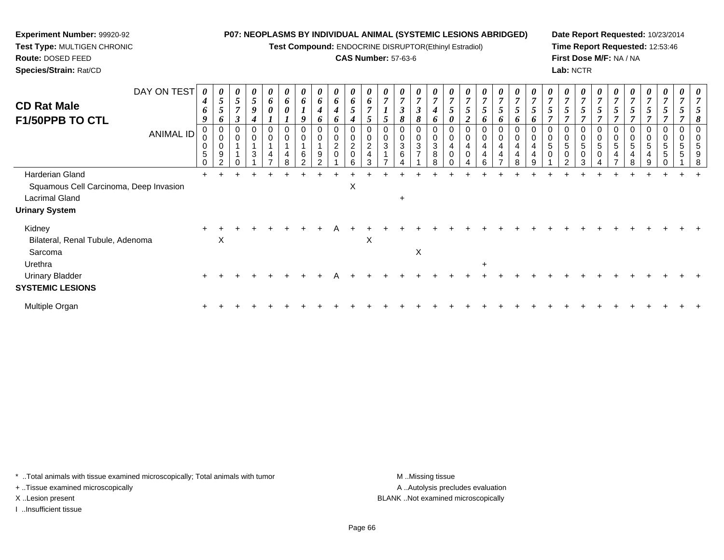**Test Compound:** ENDOCRINE DISRUPTOR(Ethinyl Estradiol)

#### **CAS Number:** 57-63-6

**Date Report Requested:** 10/23/2014**Time Report Requested:** 12:53:46**First Dose M/F:** NA / NA**Lab:** NCTR

| <b>CD Rat Male</b><br><b>F1/50PPB TO CTL</b> | DAY ON TEST      | $\boldsymbol{\theta}$<br>4<br>6<br>9 | $\boldsymbol{\theta}$<br>$\mathfrak{s}$<br>$\bm{o}$ | $\boldsymbol{\theta}$<br>$\overline{5}$<br>$\overline{ }$<br>3 | 0<br>$\mathfrak{s}$<br>9 | 0<br>6<br>$\pmb{\theta}$ | 6<br>0 | $\boldsymbol{\theta}$<br>6          | $\boldsymbol{\theta}$<br>6<br>4<br>o | $\boldsymbol{\theta}$<br>6<br>$\boldsymbol{4}$<br>6 | $\boldsymbol{\theta}$<br>6<br>5    | 6<br>$\overline{ }$                   | $\boldsymbol{\theta}$ | 0<br>$\overline{7}$<br>$\boldsymbol{\beta}$<br>8 | $\boldsymbol{\theta}$<br>$\overline{7}$<br>$\boldsymbol{\beta}$             | $\boldsymbol{\theta}$<br>$\overline{ }$<br>o | 5                                  | $\boldsymbol{\theta}$<br>$\overline{ }$<br>5 | $\boldsymbol{\theta}$<br>$\overline{7}$<br>$5\overline{)}$<br>6 | $\boldsymbol{\theta}$<br>$\overline{7}$<br>$\overline{5}$<br>6                      | $\boldsymbol{\theta}$<br>$\overline{ }$<br>5<br>o | 5 |   | $\boldsymbol{\theta}$<br>$\overline{ }$<br>$5\overline{)}$<br>$\overline{ }$ | 0<br>$\overline{7}$<br>5              | $\boldsymbol{\theta}$<br>$\overline{ }$<br>$5\overline{)}$ | $5\overline{)}$ | $\boldsymbol{\theta}$<br>$\overline{7}$<br>5 | $\boldsymbol{\theta}$<br>$\overline{7}$<br>$5\overline{)}$ | $\boldsymbol{\theta}$<br>$\overline{7}$<br>$\mathfrak{s}$ | $\boldsymbol{\mathit{U}}$<br>7 |  |
|----------------------------------------------|------------------|--------------------------------------|-----------------------------------------------------|----------------------------------------------------------------|--------------------------|--------------------------|--------|-------------------------------------|--------------------------------------|-----------------------------------------------------|------------------------------------|---------------------------------------|-----------------------|--------------------------------------------------|-----------------------------------------------------------------------------|----------------------------------------------|------------------------------------|----------------------------------------------|-----------------------------------------------------------------|-------------------------------------------------------------------------------------|---------------------------------------------------|---|---|------------------------------------------------------------------------------|---------------------------------------|------------------------------------------------------------|-----------------|----------------------------------------------|------------------------------------------------------------|-----------------------------------------------------------|--------------------------------|--|
|                                              | <b>ANIMAL ID</b> | 0<br>$\sqrt{5}$<br>$\Omega$          | 0<br>$9\,$<br>$\Omega$                              | 0<br>$\mathbf 0$<br>∩                                          | 0<br>3                   | 0<br>0<br>4              | 4<br>8 | 0<br>$\pmb{0}$<br>$\,6$<br>$\Omega$ | 0<br>0<br>9<br>$\sim$                | $\mathbf 0$<br>$\overline{c}$                       | $\mathbf 0$<br>$^2_{\rm 0}$<br>ี่ค | $\overline{c}$<br>$\overline{4}$<br>3 | 0<br>0<br>3           | 0<br>$\mathsf 0$<br>3<br>6                       | $\sigma$<br>$\boldsymbol{0}$<br>$\pmb{0}$<br>$\mathbf{3}$<br>$\overline{7}$ | $\Omega$<br>3<br>8                           | $\overline{0}$<br>4<br>$\mathbf 0$ | 0<br>4<br>0                                  | $\mathbf 0$<br>$\pmb{0}$<br>4<br>4<br>6                         | $\boldsymbol{0}$<br>$\pmb{0}$<br>$\overline{4}$<br>$\overline{4}$<br>$\overline{ }$ | 0<br>4<br>4<br>8                                  |   | 5 | 0<br>0<br>5<br>$\pmb{0}$<br>$\mathcal{L}$                                    | 0<br>$\pmb{0}$<br>5<br>$\pmb{0}$<br>3 | 0<br>$\mathbf 0$<br>5<br>0                                 | 5               | 0<br>0<br>5<br>4<br>8                        | 0<br>0<br>5<br>4<br>9                                      | 0<br>0<br>5<br>$\sqrt{5}$                                 | 0<br>0<br>5<br>5               |  |
| Harderian Gland                              |                  |                                      |                                                     |                                                                |                          |                          |        |                                     |                                      |                                                     |                                    |                                       |                       |                                                  |                                                                             |                                              |                                    |                                              |                                                                 |                                                                                     |                                                   |   |   |                                                                              |                                       |                                                            |                 |                                              |                                                            |                                                           |                                |  |
| Squamous Cell Carcinoma, Deep Invasion       |                  |                                      |                                                     |                                                                |                          |                          |        |                                     |                                      |                                                     | X                                  |                                       |                       |                                                  |                                                                             |                                              |                                    |                                              |                                                                 |                                                                                     |                                                   |   |   |                                                                              |                                       |                                                            |                 |                                              |                                                            |                                                           |                                |  |
| <b>Lacrimal Gland</b>                        |                  |                                      |                                                     |                                                                |                          |                          |        |                                     |                                      |                                                     |                                    |                                       |                       | $\pm$                                            |                                                                             |                                              |                                    |                                              |                                                                 |                                                                                     |                                                   |   |   |                                                                              |                                       |                                                            |                 |                                              |                                                            |                                                           |                                |  |
| <b>Urinary System</b>                        |                  |                                      |                                                     |                                                                |                          |                          |        |                                     |                                      |                                                     |                                    |                                       |                       |                                                  |                                                                             |                                              |                                    |                                              |                                                                 |                                                                                     |                                                   |   |   |                                                                              |                                       |                                                            |                 |                                              |                                                            |                                                           |                                |  |
| Kidney                                       |                  | $\ddot{}$                            |                                                     |                                                                |                          |                          |        |                                     |                                      |                                                     |                                    |                                       |                       |                                                  |                                                                             |                                              |                                    |                                              |                                                                 |                                                                                     |                                                   |   |   |                                                                              |                                       |                                                            |                 |                                              |                                                            |                                                           |                                |  |
| Bilateral, Renal Tubule, Adenoma             |                  |                                      | X                                                   |                                                                |                          |                          |        |                                     |                                      |                                                     |                                    | X                                     |                       |                                                  |                                                                             |                                              |                                    |                                              |                                                                 |                                                                                     |                                                   |   |   |                                                                              |                                       |                                                            |                 |                                              |                                                            |                                                           |                                |  |
| Sarcoma                                      |                  |                                      |                                                     |                                                                |                          |                          |        |                                     |                                      |                                                     |                                    |                                       |                       |                                                  | Χ                                                                           |                                              |                                    |                                              |                                                                 |                                                                                     |                                                   |   |   |                                                                              |                                       |                                                            |                 |                                              |                                                            |                                                           |                                |  |
| Urethra                                      |                  |                                      |                                                     |                                                                |                          |                          |        |                                     |                                      |                                                     |                                    |                                       |                       |                                                  |                                                                             |                                              |                                    |                                              |                                                                 |                                                                                     |                                                   |   |   |                                                                              |                                       |                                                            |                 |                                              |                                                            |                                                           |                                |  |
| <b>Urinary Bladder</b>                       |                  |                                      |                                                     |                                                                |                          |                          |        |                                     |                                      |                                                     |                                    |                                       |                       |                                                  |                                                                             |                                              |                                    |                                              |                                                                 |                                                                                     |                                                   |   |   |                                                                              |                                       |                                                            |                 |                                              |                                                            |                                                           |                                |  |
| <b>SYSTEMIC LESIONS</b>                      |                  |                                      |                                                     |                                                                |                          |                          |        |                                     |                                      |                                                     |                                    |                                       |                       |                                                  |                                                                             |                                              |                                    |                                              |                                                                 |                                                                                     |                                                   |   |   |                                                                              |                                       |                                                            |                 |                                              |                                                            |                                                           |                                |  |

Multiple Organn  $+$ <sup>+</sup> <sup>+</sup> <sup>+</sup> <sup>+</sup> <sup>+</sup> <sup>+</sup> <sup>+</sup> <sup>+</sup> <sup>+</sup> <sup>+</sup> <sup>+</sup> <sup>+</sup> <sup>+</sup> <sup>+</sup> <sup>+</sup> <sup>+</sup> <sup>+</sup> <sup>+</sup> <sup>+</sup> <sup>+</sup> <sup>+</sup> <sup>+</sup> <sup>+</sup> <sup>+</sup> <sup>+</sup> <sup>+</sup> <sup>+</sup> <sup>+</sup> <sup>+</sup> <sup>+</sup>

\* ..Total animals with tissue examined microscopically; Total animals with tumor **M** ...Missing tissue M ...Missing tissue

+ ..Tissue examined microscopically

**Experiment Number:** 99920-92**Test Type:** MULTIGEN CHRONIC

**Route:** DOSED FEED**Species/Strain:** Rat/CD

I ..Insufficient tissue

A ..Autolysis precludes evaluation X ..Lesion present BLANK ..Not examined microscopically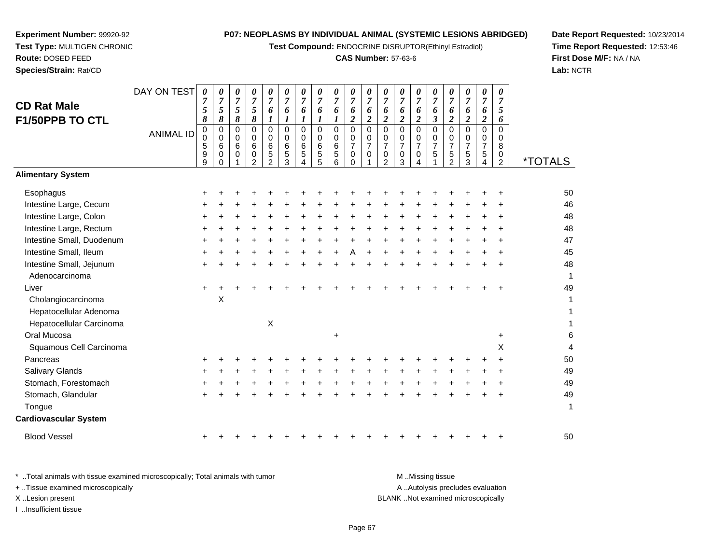**Test Compound:** ENDOCRINE DISRUPTOR(Ethinyl Estradiol)

#### **CAS Number:** 57-63-6

**Date Report Requested:** 10/23/2014**Time Report Requested:** 12:53:46**First Dose M/F:** NA / NA**Lab:** NCTR

| <b>CD Rat Male</b><br>F1/50PPB TO CTL      | DAY ON TEST<br><b>ANIMAL ID</b> | $\boldsymbol{\theta}$<br>$\overline{7}$<br>5<br>8<br>$\pmb{0}$<br>0<br>5<br>9<br>9 | 0<br>$\overline{7}$<br>5<br>8<br>0<br>$\mathbf 0$<br>6<br>0<br>0 | 0<br>$\overline{7}$<br>5<br>8<br>$\mathbf 0$<br>$\mathbf 0$<br>6<br>$\mathbf 0$ | 0<br>$\overline{7}$<br>5<br>8<br>$\mathbf 0$<br>$\mathbf 0$<br>$\,6$<br>$\mathbf 0$<br>2 | 0<br>$\overline{7}$<br>6<br>$\boldsymbol{l}$<br>$\mathbf 0$<br>0<br>6<br>5<br>$\mathfrak{p}$ | 0<br>$\overline{7}$<br>6<br>$\bm{l}$<br>0<br>$\Omega$<br>6<br>5<br>3 | 0<br>$\overline{7}$<br>6<br>$\boldsymbol{l}$<br>0<br>$\Omega$<br>6<br>5<br>4 | 0<br>$\overline{7}$<br>6<br>1<br>0<br>$\mathbf 0$<br>6<br>5<br>$\overline{5}$ | $\pmb{\theta}$<br>$\overline{7}$<br>6<br>1<br>$\pmb{0}$<br>0<br>$\,6\,$<br>$\overline{5}$<br>6 | 0<br>$\boldsymbol{7}$<br>6<br>$\boldsymbol{2}$<br>$\mathbf 0$<br>$\pmb{0}$<br>$\boldsymbol{7}$<br>$\pmb{0}$<br>$\Omega$ | 0<br>$\overline{7}$<br>6<br>$\overline{\mathbf{c}}$<br>0<br>0<br>$\overline{7}$<br>0 | 0<br>$\overline{7}$<br>6<br>$\boldsymbol{2}$<br>0<br>$\mathbf 0$<br>$\overline{7}$<br>0<br>2 | 0<br>$\overline{7}$<br>6<br>$\overline{c}$<br>0<br>$\mathbf 0$<br>$\overline{7}$<br>0<br>3 | 0<br>$\overline{7}$<br>6<br>$\boldsymbol{2}$<br>$\mathbf 0$<br>$\mathbf 0$<br>$\boldsymbol{7}$<br>$\mathbf 0$ | 0<br>$\overline{7}$<br>6<br>$\boldsymbol{\beta}$<br>$\mathbf 0$<br>0<br>$\overline{7}$<br>5 | 0<br>$\overline{7}$<br>6<br>$\boldsymbol{2}$<br>0<br>0<br>$\boldsymbol{7}$<br>5<br>$\overline{2}$ | 0<br>$\overline{7}$<br>6<br>$\boldsymbol{2}$<br>0<br>$\mathbf 0$<br>$\overline{7}$<br>$\sqrt{5}$<br>3 | 0<br>$\overline{7}$<br>6<br>$\boldsymbol{2}$<br>$\mathbf 0$<br>$\Omega$<br>$\overline{7}$<br>5<br>4 | 0<br>$\overline{7}$<br>5<br>6<br>$\mathbf 0$<br>$\mathbf 0$<br>8<br>0<br>2 | <i><b>*TOTALS</b></i> |
|--------------------------------------------|---------------------------------|------------------------------------------------------------------------------------|------------------------------------------------------------------|---------------------------------------------------------------------------------|------------------------------------------------------------------------------------------|----------------------------------------------------------------------------------------------|----------------------------------------------------------------------|------------------------------------------------------------------------------|-------------------------------------------------------------------------------|------------------------------------------------------------------------------------------------|-------------------------------------------------------------------------------------------------------------------------|--------------------------------------------------------------------------------------|----------------------------------------------------------------------------------------------|--------------------------------------------------------------------------------------------|---------------------------------------------------------------------------------------------------------------|---------------------------------------------------------------------------------------------|---------------------------------------------------------------------------------------------------|-------------------------------------------------------------------------------------------------------|-----------------------------------------------------------------------------------------------------|----------------------------------------------------------------------------|-----------------------|
| <b>Alimentary System</b>                   |                                 |                                                                                    |                                                                  |                                                                                 |                                                                                          |                                                                                              |                                                                      |                                                                              |                                                                               |                                                                                                |                                                                                                                         |                                                                                      |                                                                                              |                                                                                            |                                                                                                               |                                                                                             |                                                                                                   |                                                                                                       |                                                                                                     |                                                                            |                       |
| Esophagus                                  |                                 |                                                                                    |                                                                  |                                                                                 |                                                                                          |                                                                                              |                                                                      |                                                                              |                                                                               |                                                                                                |                                                                                                                         |                                                                                      |                                                                                              |                                                                                            |                                                                                                               |                                                                                             |                                                                                                   |                                                                                                       |                                                                                                     |                                                                            | 50                    |
| Intestine Large, Cecum                     |                                 |                                                                                    |                                                                  |                                                                                 |                                                                                          |                                                                                              |                                                                      |                                                                              |                                                                               |                                                                                                |                                                                                                                         |                                                                                      |                                                                                              |                                                                                            |                                                                                                               |                                                                                             |                                                                                                   |                                                                                                       |                                                                                                     |                                                                            | 46                    |
| Intestine Large, Colon                     |                                 |                                                                                    |                                                                  |                                                                                 |                                                                                          |                                                                                              |                                                                      |                                                                              |                                                                               |                                                                                                |                                                                                                                         |                                                                                      |                                                                                              |                                                                                            |                                                                                                               |                                                                                             |                                                                                                   |                                                                                                       |                                                                                                     |                                                                            | 48                    |
| Intestine Large, Rectum                    |                                 | +                                                                                  |                                                                  |                                                                                 |                                                                                          |                                                                                              |                                                                      |                                                                              |                                                                               |                                                                                                |                                                                                                                         |                                                                                      |                                                                                              |                                                                                            |                                                                                                               |                                                                                             |                                                                                                   |                                                                                                       |                                                                                                     |                                                                            | 48                    |
| Intestine Small, Duodenum                  |                                 |                                                                                    |                                                                  |                                                                                 |                                                                                          |                                                                                              |                                                                      |                                                                              |                                                                               |                                                                                                |                                                                                                                         |                                                                                      |                                                                                              |                                                                                            |                                                                                                               |                                                                                             |                                                                                                   |                                                                                                       |                                                                                                     |                                                                            | 47                    |
| Intestine Small, Ileum                     |                                 |                                                                                    |                                                                  |                                                                                 |                                                                                          |                                                                                              |                                                                      |                                                                              |                                                                               |                                                                                                |                                                                                                                         |                                                                                      |                                                                                              |                                                                                            |                                                                                                               |                                                                                             |                                                                                                   |                                                                                                       |                                                                                                     |                                                                            | 45                    |
| Intestine Small, Jejunum<br>Adenocarcinoma |                                 |                                                                                    |                                                                  |                                                                                 |                                                                                          |                                                                                              |                                                                      |                                                                              |                                                                               |                                                                                                |                                                                                                                         |                                                                                      |                                                                                              |                                                                                            |                                                                                                               |                                                                                             |                                                                                                   |                                                                                                       |                                                                                                     |                                                                            | 48<br>1               |
| Liver                                      |                                 | +                                                                                  |                                                                  |                                                                                 |                                                                                          |                                                                                              |                                                                      |                                                                              |                                                                               |                                                                                                |                                                                                                                         |                                                                                      |                                                                                              |                                                                                            |                                                                                                               |                                                                                             |                                                                                                   |                                                                                                       |                                                                                                     |                                                                            | 49                    |
| Cholangiocarcinoma                         |                                 |                                                                                    | X                                                                |                                                                                 |                                                                                          |                                                                                              |                                                                      |                                                                              |                                                                               |                                                                                                |                                                                                                                         |                                                                                      |                                                                                              |                                                                                            |                                                                                                               |                                                                                             |                                                                                                   |                                                                                                       |                                                                                                     |                                                                            | 1                     |
| Hepatocellular Adenoma                     |                                 |                                                                                    |                                                                  |                                                                                 |                                                                                          |                                                                                              |                                                                      |                                                                              |                                                                               |                                                                                                |                                                                                                                         |                                                                                      |                                                                                              |                                                                                            |                                                                                                               |                                                                                             |                                                                                                   |                                                                                                       |                                                                                                     |                                                                            | 1                     |
| Hepatocellular Carcinoma                   |                                 |                                                                                    |                                                                  |                                                                                 |                                                                                          | $\boldsymbol{\mathsf{X}}$                                                                    |                                                                      |                                                                              |                                                                               |                                                                                                |                                                                                                                         |                                                                                      |                                                                                              |                                                                                            |                                                                                                               |                                                                                             |                                                                                                   |                                                                                                       |                                                                                                     |                                                                            | 1                     |
| Oral Mucosa                                |                                 |                                                                                    |                                                                  |                                                                                 |                                                                                          |                                                                                              |                                                                      |                                                                              |                                                                               | $\ddot{}$                                                                                      |                                                                                                                         |                                                                                      |                                                                                              |                                                                                            |                                                                                                               |                                                                                             |                                                                                                   |                                                                                                       |                                                                                                     | $\ddot{}$                                                                  | 6                     |
| Squamous Cell Carcinoma                    |                                 |                                                                                    |                                                                  |                                                                                 |                                                                                          |                                                                                              |                                                                      |                                                                              |                                                                               |                                                                                                |                                                                                                                         |                                                                                      |                                                                                              |                                                                                            |                                                                                                               |                                                                                             |                                                                                                   |                                                                                                       |                                                                                                     | X                                                                          | 4                     |
| Pancreas                                   |                                 |                                                                                    |                                                                  |                                                                                 |                                                                                          |                                                                                              |                                                                      |                                                                              |                                                                               |                                                                                                |                                                                                                                         |                                                                                      |                                                                                              |                                                                                            |                                                                                                               |                                                                                             |                                                                                                   |                                                                                                       |                                                                                                     |                                                                            | 50                    |
| <b>Salivary Glands</b>                     |                                 |                                                                                    |                                                                  |                                                                                 |                                                                                          |                                                                                              |                                                                      |                                                                              |                                                                               |                                                                                                |                                                                                                                         |                                                                                      |                                                                                              |                                                                                            |                                                                                                               |                                                                                             |                                                                                                   |                                                                                                       |                                                                                                     |                                                                            | 49                    |
| Stomach, Forestomach                       |                                 |                                                                                    |                                                                  |                                                                                 |                                                                                          |                                                                                              |                                                                      |                                                                              |                                                                               |                                                                                                |                                                                                                                         |                                                                                      |                                                                                              |                                                                                            |                                                                                                               |                                                                                             |                                                                                                   |                                                                                                       |                                                                                                     |                                                                            | 49                    |
| Stomach, Glandular                         |                                 |                                                                                    |                                                                  |                                                                                 |                                                                                          |                                                                                              |                                                                      |                                                                              |                                                                               |                                                                                                |                                                                                                                         |                                                                                      |                                                                                              |                                                                                            |                                                                                                               |                                                                                             |                                                                                                   |                                                                                                       |                                                                                                     |                                                                            | 49                    |
| Tongue                                     |                                 |                                                                                    |                                                                  |                                                                                 |                                                                                          |                                                                                              |                                                                      |                                                                              |                                                                               |                                                                                                |                                                                                                                         |                                                                                      |                                                                                              |                                                                                            |                                                                                                               |                                                                                             |                                                                                                   |                                                                                                       |                                                                                                     |                                                                            | 1                     |
| <b>Cardiovascular System</b>               |                                 |                                                                                    |                                                                  |                                                                                 |                                                                                          |                                                                                              |                                                                      |                                                                              |                                                                               |                                                                                                |                                                                                                                         |                                                                                      |                                                                                              |                                                                                            |                                                                                                               |                                                                                             |                                                                                                   |                                                                                                       |                                                                                                     |                                                                            |                       |
|                                            |                                 |                                                                                    |                                                                  |                                                                                 |                                                                                          |                                                                                              |                                                                      |                                                                              |                                                                               |                                                                                                |                                                                                                                         |                                                                                      |                                                                                              |                                                                                            |                                                                                                               |                                                                                             |                                                                                                   |                                                                                                       |                                                                                                     |                                                                            |                       |

**Experiment Number:** 99920-92**Test Type:** MULTIGEN CHRONIC

**Route:** DOSED FEED**Species/Strain:** Rat/CD

Blood Vessel

<sup>+</sup>

\* ..Total animals with tissue examined microscopically; Total animals with tumor **M** ...Missing tissue M ...Missing tissue A .. Autolysis precludes evaluation + ..Tissue examined microscopically X ..Lesion present BLANK ..Not examined microscopicallyI ..Insufficient tissue

<sup>+</sup> <sup>+</sup> <sup>+</sup> <sup>+</sup> <sup>+</sup> <sup>+</sup> <sup>+</sup> <sup>+</sup> <sup>+</sup> <sup>+</sup> <sup>+</sup> <sup>+</sup> <sup>+</sup> <sup>+</sup> <sup>+</sup> <sup>+</sup> <sup>+</sup> <sup>+</sup> <sup>50</sup>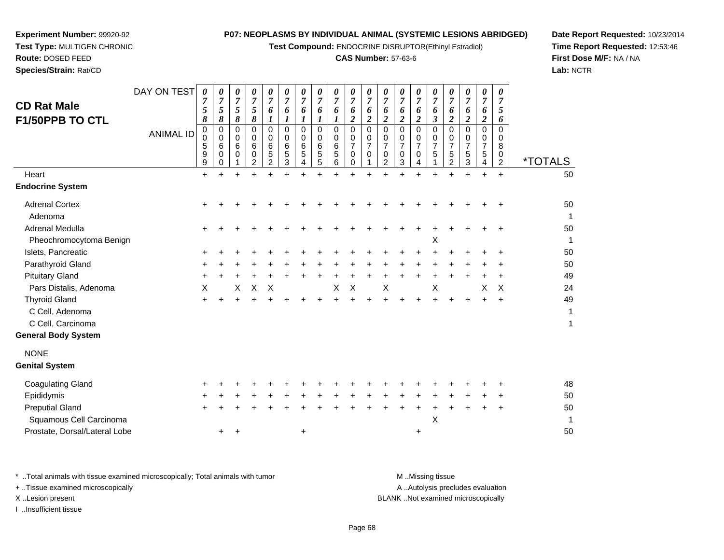**Test Compound:** ENDOCRINE DISRUPTOR(Ethinyl Estradiol)

#### **CAS Number:** 57-63-6

**Date Report Requested:** 10/23/2014**Time Report Requested:** 12:53:46**First Dose M/F:** NA / NA**Lab:** NCTR

| <b>CD Rat Male</b><br>F1/50PPB TO CTL<br>Heart                                             | DAY ON TEST<br><b>ANIMAL ID</b> | $\boldsymbol{\theta}$<br>7<br>5<br>8<br>0<br>0<br>5<br>9<br>9<br>$\ddot{}$ | 0<br>$\overline{7}$<br>$\sqrt{5}$<br>8<br>0<br>0<br>6<br>0<br>0 | 0<br>7<br>5<br>8<br>0<br>$\mathbf 0$<br>6<br>0 | 0<br>$\overline{7}$<br>5<br>8<br>0<br>0<br>6<br>0<br>$\overline{2}$ | 0<br>7<br>6<br>1<br>0<br>0<br>6<br>5<br>$\mathcal{P}$ | 0<br>$\overline{7}$<br>6<br>$\boldsymbol{l}$<br>$\Omega$<br>0<br>6<br>5<br>3 | 0<br>7<br>6<br>$\boldsymbol{l}$<br>$\Omega$<br>0<br>6<br>5<br>4<br>÷ | 0<br>$\overline{7}$<br>6<br>1<br>$\Omega$<br>0<br>6<br>5<br>5 | 0<br>$\overline{7}$<br>6<br>$\boldsymbol{l}$<br>$\Omega$<br>0<br>6<br>5<br>6<br>$\ddot{}$ | 0<br>$\overline{7}$<br>6<br>$\boldsymbol{2}$<br>$\Omega$<br>0<br>$\overline{7}$<br>$\mathbf 0$<br>$\Omega$ | 0<br>6<br>$\overline{c}$<br>0<br>0<br>$\overline{7}$<br>0 | 0<br>7<br>6<br>$\overline{\mathbf{c}}$<br>0<br>0<br>$\overline{7}$<br>0<br>2 | 0<br>7<br>6<br>$\overline{c}$<br>$\Omega$<br>0<br>$\overline{7}$<br>0<br>3 | 0<br>$\overline{7}$<br>6<br>$\overline{2}$<br>0<br>0<br>$\overline{7}$<br>$\mathbf 0$<br>4<br>$\ddot{}$ | 0<br>$\overline{7}$<br>6<br>$\mathfrak{z}$<br>$\Omega$<br>0<br>$\overline{7}$<br>5<br>1 | 0<br>7<br>6<br>$\overline{2}$<br>$\Omega$<br>0<br>7<br>5<br>2 | 0<br>$\boldsymbol{7}$<br>6<br>$\boldsymbol{2}$<br>0<br>0<br>$\overline{7}$<br>5<br>3<br>$\ddot{}$ | $\boldsymbol{\theta}$<br>$\overline{7}$<br>6<br>$\overline{\mathbf{c}}$<br>0<br>0<br>$\overline{7}$<br>5<br>4<br>$+$ | 0<br>$\overline{7}$<br>5<br>6<br>0<br>0<br>8<br>0<br>$\overline{2}$<br>$+$ | <i><b>*TOTALS</b></i><br>50 |
|--------------------------------------------------------------------------------------------|---------------------------------|----------------------------------------------------------------------------|-----------------------------------------------------------------|------------------------------------------------|---------------------------------------------------------------------|-------------------------------------------------------|------------------------------------------------------------------------------|----------------------------------------------------------------------|---------------------------------------------------------------|-------------------------------------------------------------------------------------------|------------------------------------------------------------------------------------------------------------|-----------------------------------------------------------|------------------------------------------------------------------------------|----------------------------------------------------------------------------|---------------------------------------------------------------------------------------------------------|-----------------------------------------------------------------------------------------|---------------------------------------------------------------|---------------------------------------------------------------------------------------------------|----------------------------------------------------------------------------------------------------------------------|----------------------------------------------------------------------------|-----------------------------|
| <b>Endocrine System</b>                                                                    |                                 |                                                                            |                                                                 |                                                |                                                                     |                                                       |                                                                              |                                                                      |                                                               |                                                                                           |                                                                                                            |                                                           |                                                                              |                                                                            |                                                                                                         |                                                                                         |                                                               |                                                                                                   |                                                                                                                      |                                                                            |                             |
| <b>Adrenal Cortex</b><br>Adenoma<br>Adrenal Medulla                                        |                                 |                                                                            |                                                                 |                                                |                                                                     |                                                       |                                                                              |                                                                      |                                                               |                                                                                           |                                                                                                            |                                                           |                                                                              |                                                                            |                                                                                                         |                                                                                         |                                                               |                                                                                                   |                                                                                                                      |                                                                            | 50<br>1<br>50               |
| Pheochromocytoma Benign                                                                    |                                 |                                                                            |                                                                 |                                                |                                                                     |                                                       |                                                                              |                                                                      |                                                               |                                                                                           |                                                                                                            |                                                           |                                                                              |                                                                            |                                                                                                         | X                                                                                       |                                                               |                                                                                                   |                                                                                                                      |                                                                            |                             |
| Islets, Pancreatic                                                                         |                                 |                                                                            |                                                                 |                                                |                                                                     |                                                       |                                                                              |                                                                      |                                                               |                                                                                           |                                                                                                            |                                                           |                                                                              |                                                                            |                                                                                                         |                                                                                         |                                                               |                                                                                                   |                                                                                                                      |                                                                            | 50                          |
| Parathyroid Gland                                                                          |                                 |                                                                            |                                                                 |                                                |                                                                     |                                                       |                                                                              |                                                                      |                                                               |                                                                                           |                                                                                                            |                                                           |                                                                              |                                                                            |                                                                                                         |                                                                                         |                                                               |                                                                                                   |                                                                                                                      |                                                                            | 50                          |
| <b>Pituitary Gland</b>                                                                     |                                 |                                                                            |                                                                 |                                                |                                                                     |                                                       |                                                                              |                                                                      |                                                               |                                                                                           |                                                                                                            |                                                           |                                                                              |                                                                            |                                                                                                         |                                                                                         |                                                               |                                                                                                   |                                                                                                                      | $\ddot{}$                                                                  | 49                          |
| Pars Distalis, Adenoma                                                                     |                                 | X                                                                          |                                                                 | X                                              | X                                                                   | Χ                                                     |                                                                              |                                                                      |                                                               | X                                                                                         | X                                                                                                          |                                                           | X                                                                            |                                                                            |                                                                                                         | X                                                                                       |                                                               |                                                                                                   | X                                                                                                                    | X                                                                          | 24                          |
| <b>Thyroid Gland</b><br>C Cell, Adenoma<br>C Cell, Carcinoma<br><b>General Body System</b> |                                 |                                                                            |                                                                 |                                                |                                                                     |                                                       |                                                                              |                                                                      |                                                               |                                                                                           |                                                                                                            |                                                           |                                                                              |                                                                            |                                                                                                         |                                                                                         |                                                               |                                                                                                   |                                                                                                                      | $\ddot{}$                                                                  | 49<br>1<br>1                |
| <b>NONE</b>                                                                                |                                 |                                                                            |                                                                 |                                                |                                                                     |                                                       |                                                                              |                                                                      |                                                               |                                                                                           |                                                                                                            |                                                           |                                                                              |                                                                            |                                                                                                         |                                                                                         |                                                               |                                                                                                   |                                                                                                                      |                                                                            |                             |
| <b>Genital System</b>                                                                      |                                 |                                                                            |                                                                 |                                                |                                                                     |                                                       |                                                                              |                                                                      |                                                               |                                                                                           |                                                                                                            |                                                           |                                                                              |                                                                            |                                                                                                         |                                                                                         |                                                               |                                                                                                   |                                                                                                                      |                                                                            |                             |
| <b>Coagulating Gland</b>                                                                   |                                 |                                                                            |                                                                 |                                                |                                                                     |                                                       |                                                                              |                                                                      |                                                               |                                                                                           |                                                                                                            |                                                           |                                                                              |                                                                            |                                                                                                         |                                                                                         |                                                               |                                                                                                   |                                                                                                                      |                                                                            | 48                          |
| Epididymis                                                                                 |                                 |                                                                            |                                                                 |                                                |                                                                     |                                                       |                                                                              |                                                                      |                                                               |                                                                                           |                                                                                                            |                                                           |                                                                              |                                                                            |                                                                                                         |                                                                                         |                                                               |                                                                                                   |                                                                                                                      |                                                                            | 50                          |
| <b>Preputial Gland</b>                                                                     |                                 |                                                                            |                                                                 |                                                |                                                                     |                                                       |                                                                              |                                                                      |                                                               |                                                                                           |                                                                                                            |                                                           |                                                                              |                                                                            |                                                                                                         |                                                                                         |                                                               |                                                                                                   |                                                                                                                      | ÷                                                                          | 50                          |
| Squamous Cell Carcinoma                                                                    |                                 |                                                                            |                                                                 |                                                |                                                                     |                                                       |                                                                              |                                                                      |                                                               |                                                                                           |                                                                                                            |                                                           |                                                                              |                                                                            |                                                                                                         | X                                                                                       |                                                               |                                                                                                   |                                                                                                                      |                                                                            |                             |
| Prostate, Dorsal/Lateral Lobe                                                              |                                 |                                                                            | +                                                               | +                                              |                                                                     |                                                       |                                                                              | +                                                                    |                                                               |                                                                                           |                                                                                                            |                                                           |                                                                              |                                                                            | $\ddot{}$                                                                                               |                                                                                         |                                                               |                                                                                                   |                                                                                                                      |                                                                            | 50                          |
|                                                                                            |                                 |                                                                            |                                                                 |                                                |                                                                     |                                                       |                                                                              |                                                                      |                                                               |                                                                                           |                                                                                                            |                                                           |                                                                              |                                                                            |                                                                                                         |                                                                                         |                                                               |                                                                                                   |                                                                                                                      |                                                                            |                             |

**Experiment Number:** 99920-92**Test Type:** MULTIGEN CHRONIC

**Route:** DOSED FEED**Species/Strain:** Rat/CD

\* ..Total animals with tissue examined microscopically; Total animals with tumor **M** . Missing tissue M ..Missing tissue A ..Autolysis precludes evaluation + ..Tissue examined microscopically X ..Lesion present BLANK ..Not examined microscopicallyI ..Insufficient tissue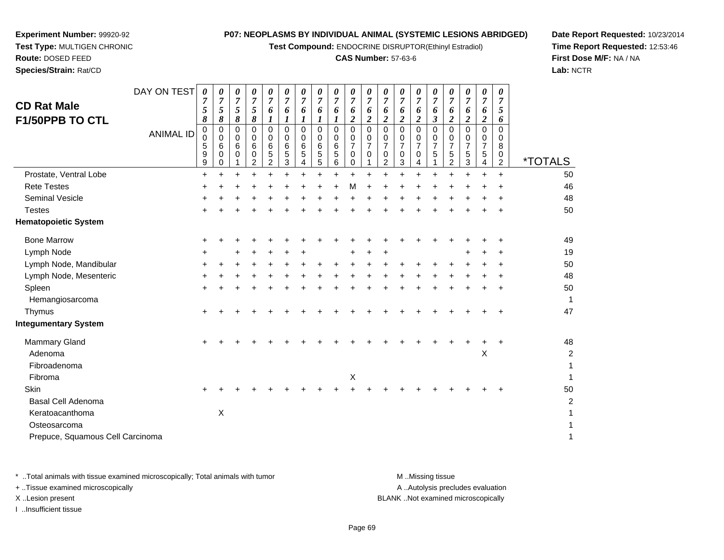**Test Compound:** ENDOCRINE DISRUPTOR(Ethinyl Estradiol)

#### **CAS Number:** 57-63-6

**Date Report Requested:** 10/23/2014**Time Report Requested:** 12:53:46**First Dose M/F:** NA / NA**Lab:** NCTR

| <b>CD Rat Male</b><br><b>F1/50PPB TO CTL</b> | DAY ON TEST<br><b>ANIMAL ID</b> | $\pmb{\theta}$<br>7<br>5<br>8<br>0<br>0<br>5<br>9<br>$\boldsymbol{9}$ | 0<br>7<br>5<br>8<br>0<br>0<br>6<br>0<br>0 | 0<br>$\overline{7}$<br>$\sqrt{5}$<br>8<br>0<br>0<br>6<br>0 | 0<br>7<br>5<br>8<br>0<br>0<br>6<br>0<br>$\overline{c}$ | 0<br>7<br>6<br>1<br>$\mathbf 0$<br>0<br>6<br>5<br>$\overline{c}$ | 0<br>7<br>6<br>1<br>$\Omega$<br>$\Omega$<br>6<br>5<br>3 | 0<br>7<br>6<br>$\boldsymbol{l}$<br>0<br>0<br>6<br>5<br>4 | 0<br>7<br>6<br>1<br>$\mathbf 0$<br>0<br>6<br>5<br>5 | 0<br>$\overline{7}$<br>6<br>0<br>0<br>$\,6$<br>5<br>6 | 0<br>6<br>$\boldsymbol{2}$<br>$\mathbf{0}$<br>0<br>$\overline{7}$<br>0<br>0 | 0<br>7<br>6<br>$\boldsymbol{2}$<br>0<br>0<br>$\overline{7}$<br>0 | 0<br>$\overline{7}$<br>6<br>2<br>0<br>0<br>7<br>0<br>$\overline{c}$ | 0<br>$\overline{7}$<br>6<br>$\boldsymbol{2}$<br>$\mathbf 0$<br>0<br>$\overline{7}$<br>0<br>3 | 0<br>7<br>6<br>$\overline{\mathbf{c}}$<br>$\mathbf 0$<br>0<br>$\overline{7}$<br>0<br>4 | 0<br>7<br>6<br>3<br>$\Omega$<br>0<br>$\overline{7}$<br>5 | 0<br>7<br>6<br>2<br>0<br>0<br>$\overline{7}$<br>5<br>$\overline{2}$ | 0<br>$\overline{7}$<br>6<br>$\boldsymbol{2}$<br>0<br>0<br>$\overline{7}$<br>5<br>3 | 0<br>$\overline{7}$<br>6<br>$\overline{2}$<br>0<br>0<br>$\overline{7}$<br>5<br>4 | 0<br>$\overline{7}$<br>5<br>6<br>$\Omega$<br>0<br>8<br>0<br>$\overline{c}$ | <i><b>*TOTALS</b></i>   |
|----------------------------------------------|---------------------------------|-----------------------------------------------------------------------|-------------------------------------------|------------------------------------------------------------|--------------------------------------------------------|------------------------------------------------------------------|---------------------------------------------------------|----------------------------------------------------------|-----------------------------------------------------|-------------------------------------------------------|-----------------------------------------------------------------------------|------------------------------------------------------------------|---------------------------------------------------------------------|----------------------------------------------------------------------------------------------|----------------------------------------------------------------------------------------|----------------------------------------------------------|---------------------------------------------------------------------|------------------------------------------------------------------------------------|----------------------------------------------------------------------------------|----------------------------------------------------------------------------|-------------------------|
| Prostate, Ventral Lobe                       |                                 | $\ddot{}$                                                             | $\ddot{}$                                 | $\ddot{}$                                                  | $\ddot{}$                                              | ÷                                                                |                                                         | $\ddot{}$                                                |                                                     | $\ddot{}$                                             | $\ddot{}$                                                                   |                                                                  |                                                                     |                                                                                              | $\ddot{}$                                                                              |                                                          | ÷                                                                   | $\ddot{}$                                                                          | $\ddot{}$                                                                        | $\ddot{}$                                                                  | 50                      |
| <b>Rete Testes</b>                           |                                 | ÷                                                                     |                                           |                                                            |                                                        |                                                                  |                                                         |                                                          |                                                     |                                                       | м                                                                           |                                                                  |                                                                     |                                                                                              |                                                                                        |                                                          |                                                                     |                                                                                    |                                                                                  |                                                                            | 46                      |
| <b>Seminal Vesicle</b>                       |                                 |                                                                       |                                           |                                                            |                                                        |                                                                  |                                                         |                                                          |                                                     |                                                       |                                                                             |                                                                  |                                                                     |                                                                                              |                                                                                        |                                                          |                                                                     |                                                                                    |                                                                                  |                                                                            | 48                      |
| <b>Testes</b>                                |                                 |                                                                       |                                           |                                                            |                                                        |                                                                  |                                                         |                                                          |                                                     |                                                       |                                                                             |                                                                  |                                                                     |                                                                                              |                                                                                        |                                                          |                                                                     |                                                                                    |                                                                                  |                                                                            | 50                      |
| <b>Hematopoietic System</b>                  |                                 |                                                                       |                                           |                                                            |                                                        |                                                                  |                                                         |                                                          |                                                     |                                                       |                                                                             |                                                                  |                                                                     |                                                                                              |                                                                                        |                                                          |                                                                     |                                                                                    |                                                                                  |                                                                            |                         |
| <b>Bone Marrow</b>                           |                                 | +                                                                     |                                           |                                                            |                                                        |                                                                  |                                                         |                                                          |                                                     |                                                       |                                                                             |                                                                  |                                                                     |                                                                                              |                                                                                        |                                                          |                                                                     |                                                                                    |                                                                                  |                                                                            | 49                      |
| Lymph Node                                   |                                 |                                                                       |                                           |                                                            |                                                        |                                                                  |                                                         |                                                          |                                                     |                                                       |                                                                             |                                                                  |                                                                     |                                                                                              |                                                                                        |                                                          |                                                                     |                                                                                    |                                                                                  |                                                                            | 19                      |
| Lymph Node, Mandibular                       |                                 | ٠                                                                     |                                           |                                                            |                                                        |                                                                  |                                                         |                                                          |                                                     |                                                       |                                                                             |                                                                  |                                                                     |                                                                                              |                                                                                        |                                                          |                                                                     |                                                                                    |                                                                                  |                                                                            | 50                      |
| Lymph Node, Mesenteric                       |                                 |                                                                       |                                           |                                                            |                                                        |                                                                  |                                                         |                                                          |                                                     |                                                       |                                                                             |                                                                  |                                                                     |                                                                                              |                                                                                        |                                                          |                                                                     |                                                                                    |                                                                                  |                                                                            | 48                      |
| Spleen                                       |                                 | $\ddot{}$                                                             |                                           |                                                            |                                                        |                                                                  |                                                         |                                                          |                                                     |                                                       |                                                                             |                                                                  |                                                                     |                                                                                              |                                                                                        |                                                          |                                                                     |                                                                                    | ٠                                                                                | ÷                                                                          | 50                      |
| Hemangiosarcoma                              |                                 |                                                                       |                                           |                                                            |                                                        |                                                                  |                                                         |                                                          |                                                     |                                                       |                                                                             |                                                                  |                                                                     |                                                                                              |                                                                                        |                                                          |                                                                     |                                                                                    |                                                                                  |                                                                            | 1                       |
| Thymus                                       |                                 | +                                                                     |                                           |                                                            |                                                        |                                                                  |                                                         |                                                          |                                                     |                                                       |                                                                             |                                                                  |                                                                     |                                                                                              |                                                                                        |                                                          |                                                                     |                                                                                    |                                                                                  | ÷                                                                          | 47                      |
| <b>Integumentary System</b>                  |                                 |                                                                       |                                           |                                                            |                                                        |                                                                  |                                                         |                                                          |                                                     |                                                       |                                                                             |                                                                  |                                                                     |                                                                                              |                                                                                        |                                                          |                                                                     |                                                                                    |                                                                                  |                                                                            |                         |
| <b>Mammary Gland</b>                         |                                 | +                                                                     |                                           |                                                            |                                                        |                                                                  |                                                         |                                                          |                                                     |                                                       |                                                                             |                                                                  |                                                                     |                                                                                              |                                                                                        |                                                          |                                                                     |                                                                                    |                                                                                  | +                                                                          | 48                      |
| Adenoma                                      |                                 |                                                                       |                                           |                                                            |                                                        |                                                                  |                                                         |                                                          |                                                     |                                                       |                                                                             |                                                                  |                                                                     |                                                                                              |                                                                                        |                                                          |                                                                     |                                                                                    | Χ                                                                                |                                                                            | $\overline{\mathbf{c}}$ |
| Fibroadenoma                                 |                                 |                                                                       |                                           |                                                            |                                                        |                                                                  |                                                         |                                                          |                                                     |                                                       |                                                                             |                                                                  |                                                                     |                                                                                              |                                                                                        |                                                          |                                                                     |                                                                                    |                                                                                  |                                                                            | 1                       |
| Fibroma                                      |                                 |                                                                       |                                           |                                                            |                                                        |                                                                  |                                                         |                                                          |                                                     |                                                       | Χ                                                                           |                                                                  |                                                                     |                                                                                              |                                                                                        |                                                          |                                                                     |                                                                                    |                                                                                  |                                                                            |                         |
| Skin                                         |                                 | $\div$                                                                |                                           |                                                            |                                                        |                                                                  |                                                         |                                                          |                                                     |                                                       |                                                                             |                                                                  |                                                                     |                                                                                              |                                                                                        |                                                          |                                                                     |                                                                                    |                                                                                  |                                                                            | 50                      |
| <b>Basal Cell Adenoma</b>                    |                                 |                                                                       |                                           |                                                            |                                                        |                                                                  |                                                         |                                                          |                                                     |                                                       |                                                                             |                                                                  |                                                                     |                                                                                              |                                                                                        |                                                          |                                                                     |                                                                                    |                                                                                  |                                                                            | 2                       |
| Keratoacanthoma                              |                                 |                                                                       | $\boldsymbol{\mathsf{X}}$                 |                                                            |                                                        |                                                                  |                                                         |                                                          |                                                     |                                                       |                                                                             |                                                                  |                                                                     |                                                                                              |                                                                                        |                                                          |                                                                     |                                                                                    |                                                                                  |                                                                            |                         |
| Osteosarcoma                                 |                                 |                                                                       |                                           |                                                            |                                                        |                                                                  |                                                         |                                                          |                                                     |                                                       |                                                                             |                                                                  |                                                                     |                                                                                              |                                                                                        |                                                          |                                                                     |                                                                                    |                                                                                  |                                                                            |                         |
| Prepuce, Squamous Cell Carcinoma             |                                 |                                                                       |                                           |                                                            |                                                        |                                                                  |                                                         |                                                          |                                                     |                                                       |                                                                             |                                                                  |                                                                     |                                                                                              |                                                                                        |                                                          |                                                                     |                                                                                    |                                                                                  |                                                                            | 1                       |
|                                              |                                 |                                                                       |                                           |                                                            |                                                        |                                                                  |                                                         |                                                          |                                                     |                                                       |                                                                             |                                                                  |                                                                     |                                                                                              |                                                                                        |                                                          |                                                                     |                                                                                    |                                                                                  |                                                                            |                         |

**Experiment Number:** 99920-92**Test Type:** MULTIGEN CHRONIC

**Route:** DOSED FEED**Species/Strain:** Rat/CD

\* ..Total animals with tissue examined microscopically; Total animals with tumor **M** . Missing tissue M ..Missing tissue A ..Autolysis precludes evaluation + ..Tissue examined microscopically X ..Lesion present BLANK ..Not examined microscopicallyI ..Insufficient tissue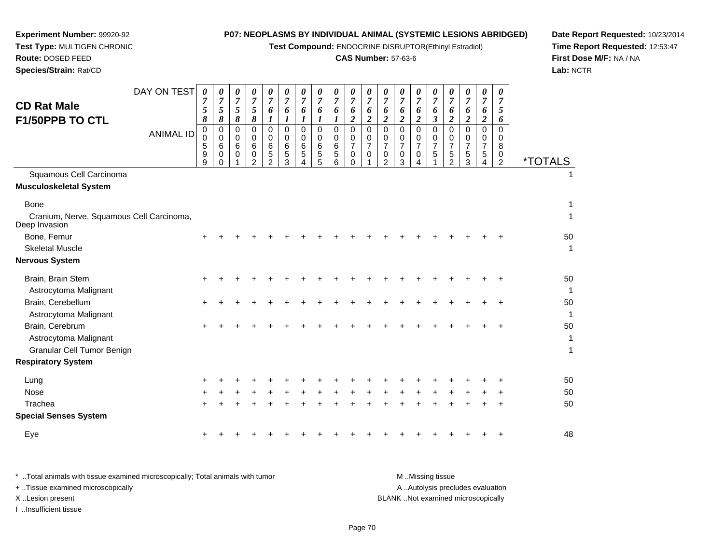**Test Compound:** ENDOCRINE DISRUPTOR(Ethinyl Estradiol)

#### **CAS Number:** 57-63-6

**Date Report Requested:** 10/23/2014**Time Report Requested:** 12:53:47**First Dose M/F:** NA / NA**Lab:** NCTR

| <b>CD Rat Male</b><br><b>F1/50PPB TO CTL</b>                                                | DAY ON TEST<br><b>ANIMAL ID</b> | $\boldsymbol{\theta}$<br>5<br>8<br>0<br>$\Omega$<br>5<br>9<br>9 | 0<br>7<br>5<br>8<br>0<br>0<br>6<br>0<br>0 | 0<br>7<br>5<br>8<br>0<br>$\Omega$<br>6<br>0 | 0<br>$\overline{7}$<br>5<br>8<br>0<br>$\Omega$<br>6<br>0<br>$\mathcal{P}$ | $\boldsymbol{\theta}$<br>$\overline{7}$<br>6<br>1<br>0<br>$\Omega$<br>6<br>5<br>$\mathfrak{p}$ | 0<br>$\overline{7}$<br>6<br>1<br>$\Omega$<br>$\Omega$<br>6<br>5<br>3 | 0<br>7<br>6<br>1<br>$\Omega$<br>0<br>6<br>5 | 0<br>7<br>6<br>0<br>$\mathbf 0$<br>6<br>5<br>5 | 0<br>$\overline{7}$<br>6<br>$\mathbf 0$<br>0<br>6<br>5<br>6 | 0<br>$\overline{7}$<br>6<br>$\overline{\mathbf{c}}$<br>$\Omega$<br>$\mathbf 0$<br>$\overline{7}$<br>0<br>0 | 0<br>6<br>$\boldsymbol{2}$<br>$\Omega$<br>$\mathbf 0$<br>$\overline{7}$<br>0 | 0<br>7<br>6<br>$\overline{2}$<br>$\Omega$<br>$\Omega$<br>$\overline{7}$<br>0<br>$\mathfrak{p}$ | 0<br>7<br>6<br>2<br>0<br>$\Omega$<br>$\overline{7}$<br>0<br>3 | 0<br>$\overline{7}$<br>6<br>$\overline{c}$<br>$\Omega$<br>$\Omega$<br>$\overline{7}$<br>0 | 0<br>7<br>6<br>3<br>0<br>0<br>$\overline{7}$<br>5 | 0<br>6<br>$\overline{2}$<br>$\Omega$<br>0<br>$\overline{7}$<br>5<br>$\mathfrak{D}$ | 0<br>7<br>6<br>$\boldsymbol{2}$<br>$\Omega$<br>0<br>$\overline{7}$<br>$\mathbf 5$<br>3 | 0<br>7<br>6<br>$\boldsymbol{2}$<br>$\Omega$<br>$\Omega$<br>$\overline{7}$<br>$\mathbf 5$<br>4 | $\theta$<br>$\overline{7}$<br>5<br>6<br>$\Omega$<br>$\Omega$<br>8<br>0<br>2 | <i><b>*TOTALS</b></i> |
|---------------------------------------------------------------------------------------------|---------------------------------|-----------------------------------------------------------------|-------------------------------------------|---------------------------------------------|---------------------------------------------------------------------------|------------------------------------------------------------------------------------------------|----------------------------------------------------------------------|---------------------------------------------|------------------------------------------------|-------------------------------------------------------------|------------------------------------------------------------------------------------------------------------|------------------------------------------------------------------------------|------------------------------------------------------------------------------------------------|---------------------------------------------------------------|-------------------------------------------------------------------------------------------|---------------------------------------------------|------------------------------------------------------------------------------------|----------------------------------------------------------------------------------------|-----------------------------------------------------------------------------------------------|-----------------------------------------------------------------------------|-----------------------|
| Squamous Cell Carcinoma                                                                     |                                 |                                                                 |                                           |                                             |                                                                           |                                                                                                |                                                                      |                                             |                                                |                                                             |                                                                                                            |                                                                              |                                                                                                |                                                               |                                                                                           |                                                   |                                                                                    |                                                                                        |                                                                                               |                                                                             |                       |
| Musculoskeletal System<br>Bone<br>Cranium, Nerve, Squamous Cell Carcinoma,<br>Deep Invasion |                                 |                                                                 |                                           |                                             |                                                                           |                                                                                                |                                                                      |                                             |                                                |                                                             |                                                                                                            |                                                                              |                                                                                                |                                                               |                                                                                           |                                                   |                                                                                    |                                                                                        |                                                                                               |                                                                             | 1<br>1                |
| Bone, Femur<br><b>Skeletal Muscle</b><br>Nervous System                                     |                                 | $\pm$                                                           |                                           |                                             |                                                                           |                                                                                                |                                                                      |                                             |                                                |                                                             |                                                                                                            |                                                                              |                                                                                                |                                                               |                                                                                           |                                                   |                                                                                    |                                                                                        |                                                                                               |                                                                             | 50<br>1               |
| Brain, Brain Stem<br>Astrocytoma Malignant                                                  |                                 |                                                                 |                                           |                                             |                                                                           |                                                                                                |                                                                      |                                             |                                                |                                                             |                                                                                                            |                                                                              |                                                                                                |                                                               |                                                                                           |                                                   |                                                                                    |                                                                                        |                                                                                               |                                                                             | 50<br>1               |
| Brain, Cerebellum<br>Astrocytoma Malignant                                                  |                                 |                                                                 |                                           |                                             |                                                                           |                                                                                                |                                                                      |                                             |                                                |                                                             |                                                                                                            |                                                                              |                                                                                                |                                                               |                                                                                           |                                                   |                                                                                    |                                                                                        |                                                                                               |                                                                             | 50<br>1               |
| Brain, Cerebrum<br>Astrocytoma Malignant<br>Granular Cell Tumor Benign                      |                                 | ٠                                                               |                                           |                                             |                                                                           |                                                                                                |                                                                      |                                             |                                                |                                                             |                                                                                                            |                                                                              |                                                                                                |                                                               |                                                                                           |                                                   |                                                                                    |                                                                                        |                                                                                               |                                                                             | 50<br>1<br>1          |
| <b>Respiratory System</b>                                                                   |                                 |                                                                 |                                           |                                             |                                                                           |                                                                                                |                                                                      |                                             |                                                |                                                             |                                                                                                            |                                                                              |                                                                                                |                                                               |                                                                                           |                                                   |                                                                                    |                                                                                        |                                                                                               |                                                                             |                       |
| Lung<br>Nose                                                                                |                                 |                                                                 |                                           |                                             |                                                                           |                                                                                                |                                                                      |                                             |                                                |                                                             |                                                                                                            |                                                                              |                                                                                                |                                                               |                                                                                           |                                                   |                                                                                    |                                                                                        |                                                                                               |                                                                             | 50<br>50              |
| Trachea                                                                                     |                                 |                                                                 |                                           |                                             |                                                                           |                                                                                                |                                                                      |                                             |                                                |                                                             |                                                                                                            |                                                                              |                                                                                                |                                                               |                                                                                           |                                                   |                                                                                    |                                                                                        |                                                                                               |                                                                             | 50                    |
| <b>Special Senses System</b>                                                                |                                 |                                                                 |                                           |                                             |                                                                           |                                                                                                |                                                                      |                                             |                                                |                                                             |                                                                                                            |                                                                              |                                                                                                |                                                               |                                                                                           |                                                   |                                                                                    |                                                                                        |                                                                                               |                                                                             |                       |

Eye $e$  + <sup>+</sup> <sup>+</sup> <sup>+</sup> <sup>+</sup> <sup>+</sup> <sup>+</sup> <sup>+</sup> <sup>+</sup> <sup>+</sup> <sup>+</sup> <sup>+</sup> <sup>+</sup> <sup>+</sup> <sup>+</sup> <sup>+</sup> <sup>+</sup> <sup>+</sup> <sup>+</sup> <sup>48</sup>

**Experiment Number:** 99920-92**Test Type:** MULTIGEN CHRONIC

**Route:** DOSED FEED**Species/Strain:** Rat/CD

\* ..Total animals with tissue examined microscopically; Total animals with tumor A ..Autolysis precludes evaluation + ..Tissue examined microscopically X ..Lesion present BLANK ..Not examined microscopicallyI ..Insufficient tissue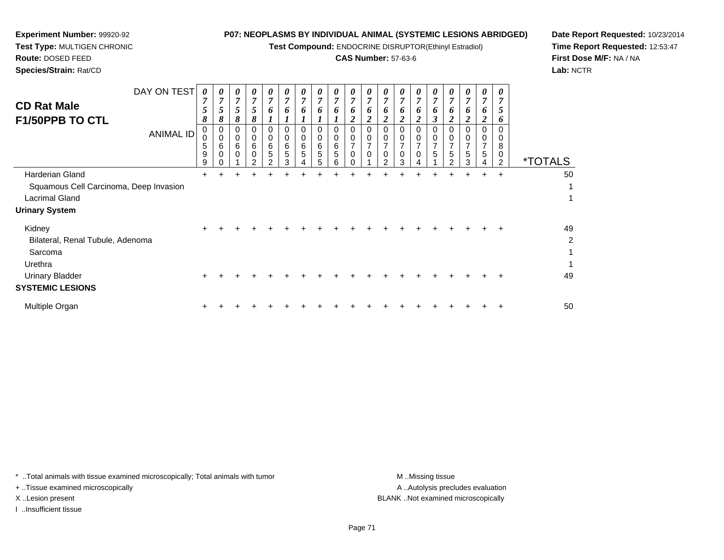**Test Compound:** ENDOCRINE DISRUPTOR(Ethinyl Estradiol)

#### **CAS Number:** 57-63-6

**Date Report Requested:** 10/23/2014**Time Report Requested:** 12:53:47**First Dose M/F:** NA / NA**Lab:** NCTR

**Route:** DOSED FEED**Species/Strain:** Rat/CD

**Experiment Number:** 99920-92**Test Type:** MULTIGEN CHRONIC

| <b>CD Rat Male</b><br>F1/50PPB TO CTL                                                                                 | DAY ON TEST<br><b>ANIMAL ID</b> | 0<br>$\overline{7}$<br>$5\overline{)}$<br>8<br>0<br>$\mathbf 0$<br>5<br>9<br>g | 0<br>7<br>5<br>8<br>0<br>$\Omega$<br>6 | 0<br>$\boldsymbol{7}$<br>5<br>8<br>0<br>$\Omega$<br>6<br>$\Omega$ | 0<br>$\overline{7}$<br>5<br>8<br>0<br>0<br>6<br>0<br>C | $\boldsymbol{\theta}$<br>$\overline{7}$<br>6<br>1<br>0<br>$\mathbf 0$<br>$\,6$<br>5<br>C | 0<br>$\overline{7}$<br>6<br>0<br>0<br>6<br>5<br>3 | 0<br>$\overline{7}$<br>6<br>0<br>$\mathbf 0$<br>6<br>5 | 0<br>$\overline{7}$<br>6<br>0<br>0<br>6<br>5<br>5 | 0<br>$\overline{7}$<br>6<br>0<br>$\mathbf 0$<br>6<br>5 | 0<br>$\overline{7}$<br>6<br>2<br>0<br>$\mathbf 0$<br>$\overline{7}$<br>$\mathbf 0$ | 0<br>$\overline{7}$<br>0<br>$\overline{2}$<br>0<br>$\mathbf 0$<br>$\overline{7}$<br>$\Omega$ | 0<br>$\overline{7}$<br>6<br>0<br>0<br>$\overline{ }$<br>0<br>ົ | 0<br>$\overline{7}$<br>6<br>0<br>0<br>7<br>$\mathbf 0$<br>3 | 0<br>$\overline{7}$<br>6<br>0<br>$\Omega$<br>7<br>0 | 0<br>$\overline{7}$<br>6<br>3<br>0<br>$\Omega$<br>$\overline{7}$<br>5 | 0<br>$\overline{7}$<br>0<br>0<br>$\overline{7}$<br>5<br>$\mathfrak{p}$ | 0<br>$\overline{7}$<br>o<br>0<br>$\overline{7}$<br>5<br>3 | 0<br>7<br>0<br><b>C</b><br>0<br>7<br>5 | 0<br>7<br>$\mathfrak{p}$<br>6<br>0<br>0<br>8<br>0<br>2 | <i><b>*TOTALS</b></i>                |
|-----------------------------------------------------------------------------------------------------------------------|---------------------------------|--------------------------------------------------------------------------------|----------------------------------------|-------------------------------------------------------------------|--------------------------------------------------------|------------------------------------------------------------------------------------------|---------------------------------------------------|--------------------------------------------------------|---------------------------------------------------|--------------------------------------------------------|------------------------------------------------------------------------------------|----------------------------------------------------------------------------------------------|----------------------------------------------------------------|-------------------------------------------------------------|-----------------------------------------------------|-----------------------------------------------------------------------|------------------------------------------------------------------------|-----------------------------------------------------------|----------------------------------------|--------------------------------------------------------|--------------------------------------|
| Harderian Gland<br>Squamous Cell Carcinoma, Deep Invasion<br><b>Lacrimal Gland</b><br><b>Urinary System</b>           |                                 | ٠                                                                              |                                        |                                                                   |                                                        |                                                                                          |                                                   |                                                        |                                                   |                                                        |                                                                                    |                                                                                              |                                                                |                                                             |                                                     |                                                                       |                                                                        | $\pm$                                                     | $\pm$                                  | $\ddot{}$                                              | 50<br>1<br>1                         |
| Kidney<br>Bilateral, Renal Tubule, Adenoma<br>Sarcoma<br>Urethra<br><b>Urinary Bladder</b><br><b>SYSTEMIC LESIONS</b> |                                 | ÷                                                                              |                                        |                                                                   |                                                        |                                                                                          |                                                   |                                                        |                                                   |                                                        |                                                                                    |                                                                                              |                                                                |                                                             |                                                     |                                                                       |                                                                        |                                                           |                                        |                                                        | 49<br>$\overline{c}$<br>1<br>1<br>49 |
| Multiple Organ                                                                                                        |                                 |                                                                                |                                        |                                                                   |                                                        |                                                                                          |                                                   |                                                        |                                                   |                                                        |                                                                                    |                                                                                              |                                                                |                                                             |                                                     |                                                                       |                                                                        |                                                           |                                        |                                                        | 50                                   |

\* ..Total animals with tissue examined microscopically; Total animals with tumor **M** . Missing tissue M ..Missing tissue

+ ..Tissue examined microscopically

I ..Insufficient tissue

A ..Autolysis precludes evaluation X ..Lesion present BLANK ..Not examined microscopically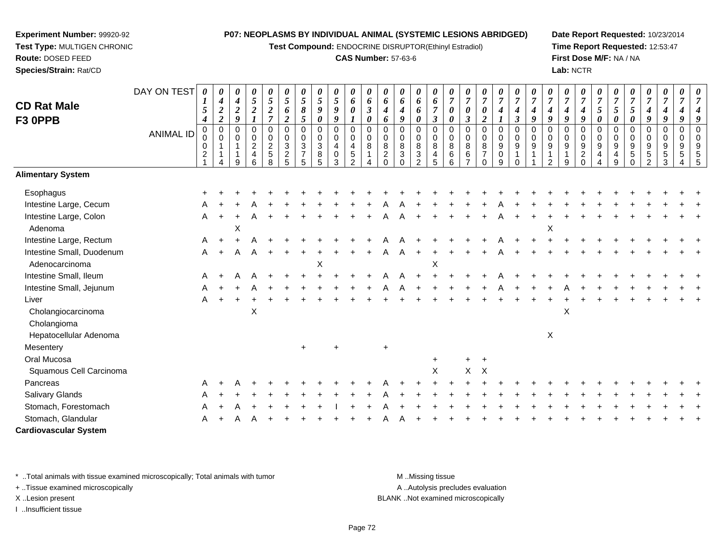**Test Compound:** ENDOCRINE DISRUPTOR(Ethinyl Estradiol)

#### **CAS Number:** 57-63-6

**Date Report Requested:** 10/23/2014**Time Report Requested:** 12:53:47**First Dose M/F:** NA / NA**Lab:** NCTR

| <b>CD Rat Male</b><br>F3 OPPB | DAY ON TEST<br><b>ANIMAL ID</b> | 0<br>$\mathbf{I}$<br>5<br>$\boldsymbol{4}$<br>$\pmb{0}$<br>0<br>$\pmb{0}$<br>$\frac{2}{1}$ | 4<br>$\boldsymbol{2}$<br>$\boldsymbol{2}$<br>$\boldsymbol{0}$<br>$\mathbf 0$<br>$\mathbf{1}$<br>$\mathbf{1}$<br>$\overline{4}$ | 0<br>4<br>$\boldsymbol{2}$<br>9<br>$\mathbf 0$<br>0<br>9 | 0<br>$\sqrt{5}$<br>$\boldsymbol{2}$<br>$\mathbf 0$<br>$\pmb{0}$<br>$\sqrt{2}$<br>$\overline{\mathbf{4}}$<br>6 | 0<br>$\mathfrak{s}$<br>$\boldsymbol{2}$<br>$\overline{7}$<br>$\mathbf 0$<br>0<br>$rac{2}{5}$<br>8 | 0<br>$\sqrt{5}$<br>6<br>$\overline{c}$<br>0<br>0<br>$\ensuremath{\mathsf{3}}$<br>$\frac{2}{5}$ | 5<br>8<br>5<br>$\mathbf 0$<br>$\mathbf 0$<br>$\ensuremath{\mathsf{3}}$<br>$\overline{7}$<br>5 | 0<br>5<br>9<br>$\pmb{\theta}$<br>0<br>0<br>3<br>8<br>5 | 0<br>5<br>9<br>9<br>0<br>0<br>$\overline{\mathbf{4}}$<br>$\mathsf{O}\xspace$<br>$\mathbf{3}$ | $\boldsymbol{\theta}$<br>6<br>$\boldsymbol{\theta}$<br>$\pmb{0}$<br>$\mathbf 0$<br>$\begin{array}{c} 4 \\ 5 \\ 2 \end{array}$ | 0<br>6<br>$\mathfrak{z}$<br>$\boldsymbol{\theta}$<br>$\mathbf 0$<br>0<br>8<br>$\mathbf{1}$<br>$\overline{\mathbf{4}}$ | 0<br>6<br>4<br>6<br>$\Omega$<br>$\Omega$<br>8<br>$\overline{c}$<br>$\Omega$ | $\pmb{\theta}$<br>6<br>4<br>9<br>$\mathbf 0$<br>0<br>8<br>$\mathbf{3}$<br>$\Omega$ | 0<br>6<br>6<br>0<br>0<br>0<br>$\bf 8$<br>$\ensuremath{\mathsf{3}}$<br>$\overline{2}$ | $\boldsymbol{\theta}$<br>6<br>$\overline{7}$<br>$\boldsymbol{\beta}$<br>$\mathbf 0$<br>0<br>$\, 8$<br>$\overline{\mathbf{4}}$<br>$5\phantom{1}$ | 0<br>$\overline{7}$<br>$\boldsymbol{\theta}$<br>$\pmb{\theta}$<br>$\mathbf 0$<br>0<br>$\bf 8$<br>$\,6\,$<br>$6\phantom{a}$ | $\overline{7}$<br>0<br>$\boldsymbol{\beta}$<br>$\Omega$<br>0<br>8<br>$\,6\,$<br>$\overline{7}$ | 0<br>$\overline{7}$<br>0<br>$\boldsymbol{2}$<br>$\mathbf 0$<br>0<br>8<br>$\overline{7}$<br>$\Omega$ | $\pmb{\theta}$<br>$\boldsymbol{7}$<br>$\boldsymbol{4}$<br>0<br>0<br>$\boldsymbol{9}$<br>$\pmb{0}$<br>9 | 0<br>$\boldsymbol{7}$<br>$\boldsymbol{4}$<br>$\boldsymbol{\beta}$<br>$\mathsf 0$<br>$\mathbf 0$<br>$\boldsymbol{9}$<br>$\mathbf{1}$<br>$\Omega$ | 0<br>$\overline{7}$<br>4<br>9<br>$\Omega$<br>0<br>9<br>1 | 4<br>9<br>$\Omega$<br>0<br>9<br>$\mathfrak{p}$ | 0<br>$\boldsymbol{4}$<br>9<br>$\Omega$<br>0<br>9<br>9 | 0<br>$\overline{7}$<br>$\boldsymbol{4}$<br>9<br>$\mathbf 0$<br>0<br>9<br>$^2_{\rm 0}$ | $\overline{7}$<br>5<br>0<br>0<br>0<br>$\boldsymbol{9}$<br>4<br>4 | 0<br>$\overline{7}$<br>5<br>0<br>$\Omega$<br>0<br>9<br>4<br>9 | 5<br>0<br>$\Omega$<br>0<br>9<br>$\sqrt{5}$<br>$\mathbf 0$ | 4<br>9<br>$\mathbf 0$<br>0<br>$\boldsymbol{9}$<br>$\,$ 5 $\,$<br>$\overline{2}$ | $\boldsymbol{\theta}$<br>$\overline{7}$<br>$\boldsymbol{4}$<br>9<br>$\mathbf 0$<br>0<br>$\boldsymbol{9}$<br>$\sqrt{5}$<br>3 | $\overline{7}$<br>$\boldsymbol{4}$<br>9<br>$\mathbf 0$<br>$\mathbf 0$<br>$9\,$<br>5 |  |
|-------------------------------|---------------------------------|--------------------------------------------------------------------------------------------|--------------------------------------------------------------------------------------------------------------------------------|----------------------------------------------------------|---------------------------------------------------------------------------------------------------------------|---------------------------------------------------------------------------------------------------|------------------------------------------------------------------------------------------------|-----------------------------------------------------------------------------------------------|--------------------------------------------------------|----------------------------------------------------------------------------------------------|-------------------------------------------------------------------------------------------------------------------------------|-----------------------------------------------------------------------------------------------------------------------|-----------------------------------------------------------------------------|------------------------------------------------------------------------------------|--------------------------------------------------------------------------------------|-------------------------------------------------------------------------------------------------------------------------------------------------|----------------------------------------------------------------------------------------------------------------------------|------------------------------------------------------------------------------------------------|-----------------------------------------------------------------------------------------------------|--------------------------------------------------------------------------------------------------------|-------------------------------------------------------------------------------------------------------------------------------------------------|----------------------------------------------------------|------------------------------------------------|-------------------------------------------------------|---------------------------------------------------------------------------------------|------------------------------------------------------------------|---------------------------------------------------------------|-----------------------------------------------------------|---------------------------------------------------------------------------------|-----------------------------------------------------------------------------------------------------------------------------|-------------------------------------------------------------------------------------|--|
| <b>Alimentary System</b>      |                                 |                                                                                            |                                                                                                                                |                                                          |                                                                                                               |                                                                                                   |                                                                                                |                                                                                               |                                                        |                                                                                              |                                                                                                                               |                                                                                                                       |                                                                             |                                                                                    |                                                                                      |                                                                                                                                                 |                                                                                                                            |                                                                                                |                                                                                                     |                                                                                                        |                                                                                                                                                 |                                                          |                                                |                                                       |                                                                                       |                                                                  |                                                               |                                                           |                                                                                 |                                                                                                                             |                                                                                     |  |
| Esophagus                     |                                 |                                                                                            |                                                                                                                                |                                                          |                                                                                                               |                                                                                                   |                                                                                                |                                                                                               |                                                        |                                                                                              |                                                                                                                               |                                                                                                                       |                                                                             |                                                                                    |                                                                                      |                                                                                                                                                 |                                                                                                                            |                                                                                                |                                                                                                     |                                                                                                        |                                                                                                                                                 |                                                          |                                                |                                                       |                                                                                       |                                                                  |                                                               |                                                           |                                                                                 |                                                                                                                             |                                                                                     |  |
| Intestine Large, Cecum        |                                 |                                                                                            |                                                                                                                                |                                                          |                                                                                                               |                                                                                                   |                                                                                                |                                                                                               |                                                        |                                                                                              |                                                                                                                               |                                                                                                                       |                                                                             |                                                                                    |                                                                                      |                                                                                                                                                 |                                                                                                                            |                                                                                                |                                                                                                     |                                                                                                        |                                                                                                                                                 |                                                          |                                                |                                                       |                                                                                       |                                                                  |                                                               |                                                           |                                                                                 |                                                                                                                             |                                                                                     |  |
| Intestine Large, Colon        |                                 | A                                                                                          |                                                                                                                                |                                                          |                                                                                                               |                                                                                                   |                                                                                                |                                                                                               |                                                        |                                                                                              |                                                                                                                               |                                                                                                                       |                                                                             |                                                                                    |                                                                                      |                                                                                                                                                 |                                                                                                                            |                                                                                                |                                                                                                     |                                                                                                        |                                                                                                                                                 |                                                          |                                                |                                                       |                                                                                       |                                                                  |                                                               |                                                           |                                                                                 |                                                                                                                             |                                                                                     |  |
| Adenoma                       |                                 |                                                                                            |                                                                                                                                | Χ                                                        |                                                                                                               |                                                                                                   |                                                                                                |                                                                                               |                                                        |                                                                                              |                                                                                                                               |                                                                                                                       |                                                                             |                                                                                    |                                                                                      |                                                                                                                                                 |                                                                                                                            |                                                                                                |                                                                                                     |                                                                                                        |                                                                                                                                                 |                                                          | Χ                                              |                                                       |                                                                                       |                                                                  |                                                               |                                                           |                                                                                 |                                                                                                                             |                                                                                     |  |
| Intestine Large, Rectum       |                                 | Α                                                                                          |                                                                                                                                |                                                          |                                                                                                               |                                                                                                   |                                                                                                |                                                                                               |                                                        |                                                                                              |                                                                                                                               |                                                                                                                       |                                                                             |                                                                                    |                                                                                      |                                                                                                                                                 |                                                                                                                            |                                                                                                |                                                                                                     |                                                                                                        |                                                                                                                                                 |                                                          |                                                |                                                       |                                                                                       |                                                                  |                                                               |                                                           |                                                                                 |                                                                                                                             |                                                                                     |  |
| Intestine Small, Duodenum     |                                 | A                                                                                          |                                                                                                                                | A                                                        | A                                                                                                             |                                                                                                   |                                                                                                |                                                                                               |                                                        |                                                                                              |                                                                                                                               |                                                                                                                       |                                                                             |                                                                                    |                                                                                      |                                                                                                                                                 |                                                                                                                            |                                                                                                |                                                                                                     |                                                                                                        |                                                                                                                                                 |                                                          |                                                |                                                       |                                                                                       |                                                                  |                                                               |                                                           |                                                                                 |                                                                                                                             |                                                                                     |  |
| Adenocarcinoma                |                                 |                                                                                            |                                                                                                                                |                                                          |                                                                                                               |                                                                                                   |                                                                                                |                                                                                               | Χ                                                      |                                                                                              |                                                                                                                               |                                                                                                                       |                                                                             |                                                                                    |                                                                                      | X                                                                                                                                               |                                                                                                                            |                                                                                                |                                                                                                     |                                                                                                        |                                                                                                                                                 |                                                          |                                                |                                                       |                                                                                       |                                                                  |                                                               |                                                           |                                                                                 |                                                                                                                             |                                                                                     |  |
| Intestine Small, Ileum        |                                 | Α                                                                                          |                                                                                                                                |                                                          |                                                                                                               |                                                                                                   |                                                                                                |                                                                                               |                                                        |                                                                                              |                                                                                                                               |                                                                                                                       |                                                                             |                                                                                    |                                                                                      |                                                                                                                                                 |                                                                                                                            |                                                                                                |                                                                                                     |                                                                                                        |                                                                                                                                                 |                                                          |                                                |                                                       |                                                                                       |                                                                  |                                                               |                                                           |                                                                                 |                                                                                                                             |                                                                                     |  |
| Intestine Small, Jejunum      |                                 | A                                                                                          |                                                                                                                                |                                                          |                                                                                                               |                                                                                                   |                                                                                                |                                                                                               |                                                        |                                                                                              |                                                                                                                               |                                                                                                                       |                                                                             |                                                                                    |                                                                                      |                                                                                                                                                 |                                                                                                                            |                                                                                                |                                                                                                     |                                                                                                        |                                                                                                                                                 |                                                          |                                                |                                                       |                                                                                       |                                                                  |                                                               |                                                           |                                                                                 |                                                                                                                             |                                                                                     |  |
| Liver                         |                                 | Α                                                                                          |                                                                                                                                |                                                          |                                                                                                               |                                                                                                   |                                                                                                |                                                                                               |                                                        |                                                                                              |                                                                                                                               |                                                                                                                       |                                                                             |                                                                                    |                                                                                      |                                                                                                                                                 |                                                                                                                            |                                                                                                |                                                                                                     |                                                                                                        |                                                                                                                                                 |                                                          |                                                |                                                       |                                                                                       |                                                                  |                                                               |                                                           |                                                                                 |                                                                                                                             |                                                                                     |  |
| Cholangiocarcinoma            |                                 |                                                                                            |                                                                                                                                |                                                          | X                                                                                                             |                                                                                                   |                                                                                                |                                                                                               |                                                        |                                                                                              |                                                                                                                               |                                                                                                                       |                                                                             |                                                                                    |                                                                                      |                                                                                                                                                 |                                                                                                                            |                                                                                                |                                                                                                     |                                                                                                        |                                                                                                                                                 |                                                          |                                                | X                                                     |                                                                                       |                                                                  |                                                               |                                                           |                                                                                 |                                                                                                                             |                                                                                     |  |
| Cholangioma                   |                                 |                                                                                            |                                                                                                                                |                                                          |                                                                                                               |                                                                                                   |                                                                                                |                                                                                               |                                                        |                                                                                              |                                                                                                                               |                                                                                                                       |                                                                             |                                                                                    |                                                                                      |                                                                                                                                                 |                                                                                                                            |                                                                                                |                                                                                                     |                                                                                                        |                                                                                                                                                 |                                                          |                                                |                                                       |                                                                                       |                                                                  |                                                               |                                                           |                                                                                 |                                                                                                                             |                                                                                     |  |
| Hepatocellular Adenoma        |                                 |                                                                                            |                                                                                                                                |                                                          |                                                                                                               |                                                                                                   |                                                                                                |                                                                                               |                                                        |                                                                                              |                                                                                                                               |                                                                                                                       |                                                                             |                                                                                    |                                                                                      |                                                                                                                                                 |                                                                                                                            |                                                                                                |                                                                                                     |                                                                                                        |                                                                                                                                                 |                                                          | X                                              |                                                       |                                                                                       |                                                                  |                                                               |                                                           |                                                                                 |                                                                                                                             |                                                                                     |  |
| Mesentery                     |                                 |                                                                                            |                                                                                                                                |                                                          |                                                                                                               |                                                                                                   |                                                                                                |                                                                                               |                                                        |                                                                                              |                                                                                                                               |                                                                                                                       | $\ddot{}$                                                                   |                                                                                    |                                                                                      |                                                                                                                                                 |                                                                                                                            |                                                                                                |                                                                                                     |                                                                                                        |                                                                                                                                                 |                                                          |                                                |                                                       |                                                                                       |                                                                  |                                                               |                                                           |                                                                                 |                                                                                                                             |                                                                                     |  |
| Oral Mucosa                   |                                 |                                                                                            |                                                                                                                                |                                                          |                                                                                                               |                                                                                                   |                                                                                                |                                                                                               |                                                        |                                                                                              |                                                                                                                               |                                                                                                                       |                                                                             |                                                                                    |                                                                                      |                                                                                                                                                 |                                                                                                                            |                                                                                                | $\ddot{}$                                                                                           |                                                                                                        |                                                                                                                                                 |                                                          |                                                |                                                       |                                                                                       |                                                                  |                                                               |                                                           |                                                                                 |                                                                                                                             |                                                                                     |  |
| Squamous Cell Carcinoma       |                                 |                                                                                            |                                                                                                                                |                                                          |                                                                                                               |                                                                                                   |                                                                                                |                                                                                               |                                                        |                                                                                              |                                                                                                                               |                                                                                                                       |                                                                             |                                                                                    |                                                                                      | X                                                                                                                                               |                                                                                                                            | X                                                                                              | $\times$                                                                                            |                                                                                                        |                                                                                                                                                 |                                                          |                                                |                                                       |                                                                                       |                                                                  |                                                               |                                                           |                                                                                 |                                                                                                                             |                                                                                     |  |
| Pancreas                      |                                 | Α                                                                                          |                                                                                                                                |                                                          |                                                                                                               |                                                                                                   |                                                                                                |                                                                                               |                                                        |                                                                                              |                                                                                                                               |                                                                                                                       |                                                                             |                                                                                    |                                                                                      |                                                                                                                                                 |                                                                                                                            |                                                                                                |                                                                                                     |                                                                                                        |                                                                                                                                                 |                                                          |                                                |                                                       |                                                                                       |                                                                  |                                                               |                                                           |                                                                                 |                                                                                                                             |                                                                                     |  |
| Salivary Glands               |                                 |                                                                                            |                                                                                                                                |                                                          |                                                                                                               |                                                                                                   |                                                                                                |                                                                                               |                                                        |                                                                                              |                                                                                                                               |                                                                                                                       |                                                                             |                                                                                    |                                                                                      |                                                                                                                                                 |                                                                                                                            |                                                                                                |                                                                                                     |                                                                                                        |                                                                                                                                                 |                                                          |                                                |                                                       |                                                                                       |                                                                  |                                                               |                                                           |                                                                                 |                                                                                                                             |                                                                                     |  |
| Stomach, Forestomach          |                                 |                                                                                            |                                                                                                                                |                                                          |                                                                                                               |                                                                                                   |                                                                                                |                                                                                               |                                                        |                                                                                              |                                                                                                                               |                                                                                                                       |                                                                             |                                                                                    |                                                                                      |                                                                                                                                                 |                                                                                                                            |                                                                                                |                                                                                                     |                                                                                                        |                                                                                                                                                 |                                                          |                                                |                                                       |                                                                                       |                                                                  |                                                               |                                                           |                                                                                 |                                                                                                                             |                                                                                     |  |
| Stomach, Glandular            |                                 | Α                                                                                          |                                                                                                                                |                                                          |                                                                                                               |                                                                                                   |                                                                                                |                                                                                               |                                                        |                                                                                              |                                                                                                                               |                                                                                                                       |                                                                             |                                                                                    |                                                                                      |                                                                                                                                                 |                                                                                                                            |                                                                                                |                                                                                                     |                                                                                                        |                                                                                                                                                 |                                                          |                                                |                                                       |                                                                                       |                                                                  |                                                               |                                                           |                                                                                 |                                                                                                                             |                                                                                     |  |

**Cardiovascular System**

**Experiment Number:** 99920-92**Test Type:** MULTIGEN CHRONIC

**Route:** DOSED FEED**Species/Strain:** Rat/CD

\* ..Total animals with tissue examined microscopically; Total animals with tumor **M** ...Missing tissue M ...Missing tissue

+ ..Tissue examined microscopically

I ..Insufficient tissue

A ..Autolysis precludes evaluation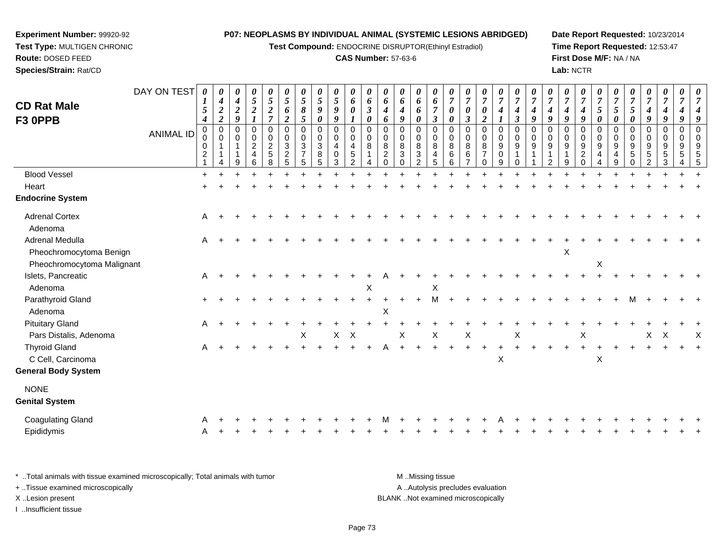**Test Compound:** ENDOCRINE DISRUPTOR(Ethinyl Estradiol)

# **CAS Number:** 57-63-6

**Date Report Requested:** 10/23/2014**Time Report Requested:** 12:53:47**First Dose M/F:** NA / NA**Lab:** NCTR

| <b>CD Rat Male</b>                         | DAY ON TEST      | 0<br>1                               | 0<br>$\boldsymbol{4}$                | 0<br>$\boldsymbol{4}$ | 0<br>$\mathfrak{s}$                                               | $\boldsymbol{\theta}$<br>$\overline{5}$  | 0<br>5                                                              | 0<br>5                             | 0<br>$\sqrt{5}$                            | 0<br>$\mathfrak{s}$                                              | 0<br>6                                                                     | 0<br>6                    | 0<br>6                                            | 0<br>6                                  | 0<br>6                             | 0<br>6                                                                | 0<br>$\overline{7}$                                   | 0<br>$\overline{7}$                                        | 0<br>$\boldsymbol{7}$                                              | 0<br>$\overline{7}$                       | 0<br>$\overline{7}$          | 0<br>$\overline{7}$          | 0<br>$\boldsymbol{7}$           | 0<br>$\overline{7}$                   | 0<br>$\overline{7}$                       | $\overline{7}$                    | 0<br>$\overline{7}$          | 0<br>$\boldsymbol{7}$ | 0<br>$\overline{7}$                                                            | 0<br>$\overline{7}$                             | 0<br>$\overline{7}$                      | 0<br>$\overline{7}$                         |
|--------------------------------------------|------------------|--------------------------------------|--------------------------------------|-----------------------|-------------------------------------------------------------------|------------------------------------------|---------------------------------------------------------------------|------------------------------------|--------------------------------------------|------------------------------------------------------------------|----------------------------------------------------------------------------|---------------------------|---------------------------------------------------|-----------------------------------------|------------------------------------|-----------------------------------------------------------------------|-------------------------------------------------------|------------------------------------------------------------|--------------------------------------------------------------------|-------------------------------------------|------------------------------|------------------------------|---------------------------------|---------------------------------------|-------------------------------------------|-----------------------------------|------------------------------|-----------------------|--------------------------------------------------------------------------------|-------------------------------------------------|------------------------------------------|---------------------------------------------|
|                                            |                  | 5<br>$\boldsymbol{4}$                | $\boldsymbol{2}$<br>$\boldsymbol{2}$ | $\boldsymbol{2}$<br>9 | $\boldsymbol{2}$<br>1                                             | $\boldsymbol{2}$<br>$\overline{7}$       | 6<br>$\boldsymbol{2}$                                               | 8<br>5                             | 9<br>0                                     | 9<br>9                                                           | $\theta$<br>$\boldsymbol{l}$                                               | $\boldsymbol{\beta}$<br>0 | 4<br>6                                            | 4<br>9                                  | 6<br>0                             | $\overline{7}$<br>$\boldsymbol{\beta}$                                | 0<br>0                                                | $\boldsymbol{\theta}$<br>$\boldsymbol{\beta}$              | $\pmb{\theta}$<br>$\boldsymbol{2}$                                 | 4                                         | 4<br>$\mathfrak{z}$          | $\boldsymbol{4}$<br>9        | 4<br>9                          | $\boldsymbol{4}$<br>9                 | 4<br>9                                    | $\mathfrak{s}$<br>0               | 5<br>0                       | 5<br>0                | $\boldsymbol{4}$<br>9                                                          | $\boldsymbol{4}$<br>$\boldsymbol{g}$            | $\boldsymbol{4}$<br>9                    | $\boldsymbol{4}$<br>$\boldsymbol{9}$        |
| F3 OPPB                                    | <b>ANIMAL ID</b> | $\mathbf 0$<br>0<br>$\boldsymbol{2}$ | $\pmb{0}$<br>$\mathbf 0$<br>1        | $\Omega$<br>0<br>9    | $\mathbf 0$<br>$\pmb{0}$<br>$\overline{c}$<br>$\overline{4}$<br>6 | $\mathbf 0$<br>0<br>$\sqrt{2}$<br>5<br>8 | $\mathbf 0$<br>$\mathbf 0$<br>$\mathbf{3}$<br>$\boldsymbol{2}$<br>5 | 0<br>0<br>3<br>$\overline{7}$<br>5 | $\mathbf 0$<br>0<br>$\mathbf{3}$<br>8<br>5 | $\mathbf 0$<br>$\mathbf 0$<br>$\overline{4}$<br>$\mathbf 0$<br>3 | $\Omega$<br>$\mathbf 0$<br>$\overline{4}$<br>$\,$ 5 $\,$<br>$\overline{2}$ | 0<br>$\mathbf 0$<br>8     | 0<br>0<br>$\,8\,$<br>$\boldsymbol{2}$<br>$\Omega$ | 0<br>0<br>8<br>$\mathbf{3}$<br>$\Omega$ | 0<br>0<br>8<br>3<br>$\overline{2}$ | $\mathbf 0$<br>$\mathbf 0$<br>$\bf 8$<br>$\overline{\mathbf{4}}$<br>5 | $\mathbf 0$<br>$\mathbf 0$<br>$\,8\,$<br>$\,6\,$<br>6 | $\pmb{0}$<br>$\mathbf 0$<br>$\,8\,$<br>6<br>$\overline{7}$ | $\pmb{0}$<br>$\pmb{0}$<br>$\bf 8$<br>$\overline{7}$<br>$\mathbf 0$ | $\mathbf 0$<br>0<br>9<br>$\mathbf 0$<br>9 | $\Omega$<br>$\mathbf 0$<br>9 | $\Omega$<br>$\mathbf 0$<br>9 | 0<br>0<br>$\boldsymbol{9}$<br>2 | $\Omega$<br>$\mathbf 0$<br>$9\,$<br>9 | 0<br>0<br>9<br>$\overline{c}$<br>$\Omega$ | $\mathbf 0$<br>$\Omega$<br>9<br>4 | $\Omega$<br>0<br>9<br>4<br>9 | 0<br>0<br>9<br>5<br>0 | $\mathbf 0$<br>$\mathbf 0$<br>$\boldsymbol{9}$<br>$\sqrt{5}$<br>$\overline{2}$ | $\Omega$<br>$\mathbf 0$<br>9<br>$\sqrt{5}$<br>3 | 0<br>$\mathbf 0$<br>9<br>$\sqrt{5}$<br>4 | $\mathbf 0$<br>$\mathbf 0$<br>$\frac{9}{5}$ |
| <b>Blood Vessel</b>                        |                  |                                      |                                      |                       |                                                                   |                                          |                                                                     |                                    |                                            |                                                                  |                                                                            |                           |                                                   |                                         |                                    |                                                                       |                                                       |                                                            |                                                                    |                                           |                              |                              |                                 |                                       |                                           |                                   |                              |                       |                                                                                |                                                 |                                          |                                             |
| Heart                                      |                  |                                      |                                      |                       |                                                                   |                                          |                                                                     |                                    |                                            |                                                                  |                                                                            |                           |                                                   |                                         |                                    |                                                                       |                                                       |                                                            |                                                                    |                                           |                              |                              |                                 |                                       |                                           |                                   |                              |                       |                                                                                |                                                 |                                          |                                             |
| <b>Endocrine System</b>                    |                  |                                      |                                      |                       |                                                                   |                                          |                                                                     |                                    |                                            |                                                                  |                                                                            |                           |                                                   |                                         |                                    |                                                                       |                                                       |                                                            |                                                                    |                                           |                              |                              |                                 |                                       |                                           |                                   |                              |                       |                                                                                |                                                 |                                          |                                             |
| <b>Adrenal Cortex</b><br>Adenoma           |                  | Α                                    |                                      |                       |                                                                   |                                          |                                                                     |                                    |                                            |                                                                  |                                                                            |                           |                                                   |                                         |                                    |                                                                       |                                                       |                                                            |                                                                    |                                           |                              |                              |                                 |                                       |                                           |                                   |                              |                       |                                                                                |                                                 |                                          |                                             |
| Adrenal Medulla<br>Pheochromocytoma Benign |                  | Α                                    |                                      |                       |                                                                   |                                          |                                                                     |                                    |                                            |                                                                  |                                                                            |                           |                                                   |                                         |                                    |                                                                       |                                                       |                                                            |                                                                    |                                           |                              |                              |                                 | X                                     |                                           |                                   |                              |                       |                                                                                |                                                 |                                          |                                             |
| Pheochromocytoma Malignant                 |                  |                                      |                                      |                       |                                                                   |                                          |                                                                     |                                    |                                            |                                                                  |                                                                            |                           |                                                   |                                         |                                    |                                                                       |                                                       |                                                            |                                                                    |                                           |                              |                              |                                 |                                       |                                           | X                                 |                              |                       |                                                                                |                                                 |                                          |                                             |
| Islets, Pancreatic<br>Adenoma              |                  | A                                    |                                      |                       |                                                                   |                                          |                                                                     |                                    |                                            |                                                                  |                                                                            | X                         |                                                   |                                         |                                    | X                                                                     |                                                       |                                                            |                                                                    |                                           |                              |                              |                                 |                                       |                                           |                                   |                              |                       |                                                                                |                                                 |                                          |                                             |
| Parathyroid Gland                          |                  | $\ddot{}$                            |                                      |                       |                                                                   |                                          |                                                                     |                                    |                                            |                                                                  |                                                                            |                           |                                                   |                                         | $+$                                | M                                                                     |                                                       |                                                            |                                                                    |                                           |                              |                              |                                 |                                       |                                           |                                   |                              |                       |                                                                                |                                                 |                                          |                                             |
| Adenoma                                    |                  |                                      |                                      |                       |                                                                   |                                          |                                                                     |                                    |                                            |                                                                  |                                                                            |                           | $\pmb{\times}$                                    |                                         |                                    |                                                                       |                                                       |                                                            |                                                                    |                                           |                              |                              |                                 |                                       |                                           |                                   |                              |                       |                                                                                |                                                 |                                          |                                             |
| <b>Pituitary Gland</b>                     |                  | A                                    |                                      |                       |                                                                   |                                          |                                                                     |                                    |                                            |                                                                  |                                                                            |                           |                                                   |                                         |                                    |                                                                       |                                                       |                                                            |                                                                    |                                           |                              |                              |                                 |                                       |                                           |                                   |                              |                       |                                                                                |                                                 |                                          |                                             |
| Pars Distalis, Adenoma                     |                  |                                      |                                      |                       |                                                                   |                                          |                                                                     | Χ                                  |                                            | $\mathsf X$                                                      | $\boldsymbol{\mathsf{X}}$                                                  |                           |                                                   | X                                       |                                    | X                                                                     |                                                       | $\mathsf X$                                                |                                                                    |                                           | X                            |                              |                                 |                                       | X                                         |                                   |                              |                       | X                                                                              | $\boldsymbol{\mathsf{X}}$                       |                                          | $\boldsymbol{\mathsf{X}}$                   |
| <b>Thyroid Gland</b>                       |                  | A                                    |                                      |                       |                                                                   |                                          |                                                                     |                                    |                                            |                                                                  |                                                                            |                           | A                                                 |                                         |                                    |                                                                       |                                                       | $\ddot{}$                                                  |                                                                    |                                           |                              |                              |                                 |                                       | $\ddot{}$                                 |                                   |                              |                       |                                                                                |                                                 |                                          |                                             |
| C Cell, Carcinoma                          |                  |                                      |                                      |                       |                                                                   |                                          |                                                                     |                                    |                                            |                                                                  |                                                                            |                           |                                                   |                                         |                                    |                                                                       |                                                       |                                                            |                                                                    | $\mathsf X$                               |                              |                              |                                 |                                       |                                           | X                                 |                              |                       |                                                                                |                                                 |                                          |                                             |
| <b>General Body System</b>                 |                  |                                      |                                      |                       |                                                                   |                                          |                                                                     |                                    |                                            |                                                                  |                                                                            |                           |                                                   |                                         |                                    |                                                                       |                                                       |                                                            |                                                                    |                                           |                              |                              |                                 |                                       |                                           |                                   |                              |                       |                                                                                |                                                 |                                          |                                             |
| <b>NONE</b>                                |                  |                                      |                                      |                       |                                                                   |                                          |                                                                     |                                    |                                            |                                                                  |                                                                            |                           |                                                   |                                         |                                    |                                                                       |                                                       |                                                            |                                                                    |                                           |                              |                              |                                 |                                       |                                           |                                   |                              |                       |                                                                                |                                                 |                                          |                                             |
| <b>Genital System</b>                      |                  |                                      |                                      |                       |                                                                   |                                          |                                                                     |                                    |                                            |                                                                  |                                                                            |                           |                                                   |                                         |                                    |                                                                       |                                                       |                                                            |                                                                    |                                           |                              |                              |                                 |                                       |                                           |                                   |                              |                       |                                                                                |                                                 |                                          |                                             |
| <b>Coagulating Gland</b>                   |                  | A                                    |                                      |                       |                                                                   |                                          |                                                                     |                                    |                                            |                                                                  |                                                                            |                           |                                                   |                                         |                                    |                                                                       |                                                       |                                                            |                                                                    |                                           |                              |                              |                                 |                                       |                                           |                                   |                              |                       |                                                                                |                                                 |                                          |                                             |
| Epididymis                                 |                  | Α                                    |                                      |                       |                                                                   |                                          |                                                                     |                                    |                                            |                                                                  |                                                                            |                           |                                                   |                                         |                                    |                                                                       |                                                       |                                                            |                                                                    |                                           |                              |                              |                                 |                                       |                                           |                                   |                              |                       |                                                                                |                                                 |                                          |                                             |
|                                            |                  |                                      |                                      |                       |                                                                   |                                          |                                                                     |                                    |                                            |                                                                  |                                                                            |                           |                                                   |                                         |                                    |                                                                       |                                                       |                                                            |                                                                    |                                           |                              |                              |                                 |                                       |                                           |                                   |                              |                       |                                                                                |                                                 |                                          |                                             |

\* ..Total animals with tissue examined microscopically; Total animals with tumor **M** . Missing tissue M ..Missing tissue A ..Autolysis precludes evaluation + ..Tissue examined microscopically X ..Lesion present BLANK ..Not examined microscopicallyI ..Insufficient tissue

**Experiment Number:** 99920-92**Test Type:** MULTIGEN CHRONIC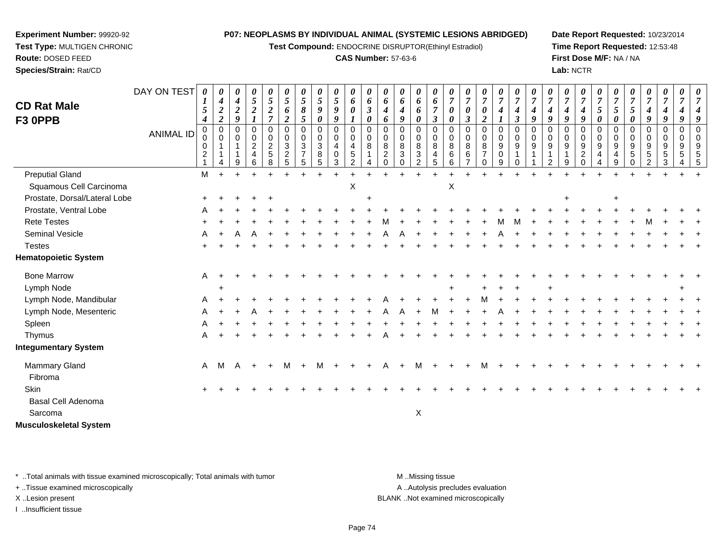**Test Compound:** ENDOCRINE DISRUPTOR(Ethinyl Estradiol)

#### **CAS Number:** 57-63-6

**Date Report Requested:** 10/23/2014**Time Report Requested:** 12:53:48**First Dose M/F:** NA / NA**Lab:** NCTR

| <b>CD Rat Male</b><br>F3 OPPB | DAY ON TEST<br><b>ANIMAL ID</b> | 0<br>1<br>5<br>4<br>$\mathbf 0$<br>0<br>0<br>$\overline{c}$ | $\boldsymbol{\theta}$<br>$\boldsymbol{4}$<br>$\boldsymbol{2}$<br>$\overline{2}$<br>$\Omega$<br>$\mathbf 0$ | $\boldsymbol{\theta}$<br>$\boldsymbol{4}$<br>$\boldsymbol{2}$<br>9<br>0<br>$\mathbf 0$<br>1<br>1<br>9 | $\boldsymbol{\theta}$<br>$\sqrt{5}$<br>$\boldsymbol{2}$<br>$\Omega$<br>$\mathbf 0$<br>$\overline{c}$<br>4<br>6 | $\pmb{\theta}$<br>$\sqrt{5}$<br>$\boldsymbol{2}$<br>$\overline{7}$<br>$\Omega$<br>0<br>$\overline{c}$<br>5<br>8 | 0<br>$\sqrt{5}$<br>6<br>$\boldsymbol{2}$<br>$\mathbf{0}$<br>0<br>3<br>$\overline{2}$<br>5 | $\pmb{\theta}$<br>$\sqrt{5}$<br>8<br>$\mathfrak{s}$<br>$\mathbf 0$<br>0<br>3<br>$\overline{7}$<br>5 | $\boldsymbol{\theta}$<br>$\overline{5}$<br>9<br>0<br>$\mathbf 0$<br>$\mathbf 0$<br>$\sqrt{3}$<br>8<br>5 | $\boldsymbol{\theta}$<br>$\overline{5}$<br>$\boldsymbol{9}$<br>9<br>$\Omega$<br>$\mathbf 0$<br>$\overline{4}$<br>$\mathbf 0$<br>3 | 0<br>6<br>$\boldsymbol{\theta}$<br>$\Omega$<br>$\mathbf 0$<br>4<br>$\sqrt{5}$<br>$\overline{2}$ | $\pmb{\theta}$<br>6<br>$\boldsymbol{\beta}$<br>$\boldsymbol{\theta}$<br>$\Omega$<br>0<br>8 | 0<br>6<br>4<br>6<br>$\Omega$<br>0<br>8<br>$\overline{2}$<br>$\Omega$ | $\boldsymbol{\theta}$<br>6<br>$\boldsymbol{4}$<br>9<br>$\Omega$<br>$\mathbf 0$<br>8<br>$\sqrt{3}$<br>$\Omega$ | $\pmb{\theta}$<br>6<br>6<br>$\boldsymbol{\theta}$<br>$\Omega$<br>$\mathbf 0$<br>8<br>$\mathbf{3}$<br>$\overline{2}$ | 0<br>6<br>7<br>$\boldsymbol{\beta}$<br>$\Omega$<br>$\mathbf 0$<br>8<br>4<br>5 | 0<br>$\overline{7}$<br>0<br>0<br>$\Omega$<br>0<br>8<br>6<br>6 | 0<br>$\overline{7}$<br>0<br>$\boldsymbol{\beta}$<br>$\mathbf 0$<br>0<br>8<br>$\,6\,$ | $\pmb{\theta}$<br>$\overline{7}$<br>0<br>2<br>$\mathbf 0$<br>$\mathbf 0$<br>8<br>$\overline{7}$<br>$\Omega$ | $\pmb{\theta}$<br>$\boldsymbol{7}$<br>$\boldsymbol{4}$<br>$\boldsymbol{l}$<br>$\mathbf 0$<br>0<br>$\boldsymbol{9}$<br>$\mathbf 0$<br>9 | $\pmb{\theta}$<br>$\overline{7}$<br>4<br>3<br>$\Omega$<br>$\mathbf 0$<br>9<br>$\Omega$ | $\boldsymbol{\theta}$<br>$\overline{7}$<br>4<br>9<br>$\Omega$<br>$\mathbf 0$<br>9 | 0<br>$\overline{7}$<br>4<br>9<br>$\Omega$<br>0<br>9 | 0<br>$\overline{7}$<br>4<br>9<br>0<br>0<br>9<br>9 | $\pmb{\theta}$<br>$\overline{7}$<br>$\boldsymbol{4}$<br>9<br>$\Omega$<br>$\mathbf 0$<br>$9\,$<br>$\overline{2}$<br>$\Omega$ | 0<br>$\overline{7}$<br>$\mathfrak{s}$<br>$\boldsymbol{\theta}$<br>$\Omega$<br>$\mathbf 0$<br>$9\,$<br>4<br>$\overline{\mathbf{4}}$ | 0<br>$\overline{7}$<br>$\mathfrak{s}$<br>0<br>$\Omega$<br>$\mathbf 0$<br>9<br>4<br>9 | 0<br>$\overline{7}$<br>5<br>$\boldsymbol{\theta}$<br>$\mathbf 0$<br>0<br>9<br>5 | 0<br>$\boldsymbol{7}$<br>$\boldsymbol{4}$<br>9<br>0<br>0<br>9<br>$5\phantom{.0}$<br>2 | $\boldsymbol{\theta}$<br>$\overline{7}$<br>$\boldsymbol{4}$<br>9<br>$\Omega$<br>0<br>9<br>$\sqrt{5}$<br>3 | 0<br>$\overline{7}$<br>9<br>$\Omega$<br>$\mathbf 0$<br>9<br>5 |  |
|-------------------------------|---------------------------------|-------------------------------------------------------------|------------------------------------------------------------------------------------------------------------|-------------------------------------------------------------------------------------------------------|----------------------------------------------------------------------------------------------------------------|-----------------------------------------------------------------------------------------------------------------|-------------------------------------------------------------------------------------------|-----------------------------------------------------------------------------------------------------|---------------------------------------------------------------------------------------------------------|-----------------------------------------------------------------------------------------------------------------------------------|-------------------------------------------------------------------------------------------------|--------------------------------------------------------------------------------------------|----------------------------------------------------------------------|---------------------------------------------------------------------------------------------------------------|---------------------------------------------------------------------------------------------------------------------|-------------------------------------------------------------------------------|---------------------------------------------------------------|--------------------------------------------------------------------------------------|-------------------------------------------------------------------------------------------------------------|----------------------------------------------------------------------------------------------------------------------------------------|----------------------------------------------------------------------------------------|-----------------------------------------------------------------------------------|-----------------------------------------------------|---------------------------------------------------|-----------------------------------------------------------------------------------------------------------------------------|------------------------------------------------------------------------------------------------------------------------------------|--------------------------------------------------------------------------------------|---------------------------------------------------------------------------------|---------------------------------------------------------------------------------------|-----------------------------------------------------------------------------------------------------------|---------------------------------------------------------------|--|
| <b>Preputial Gland</b>        |                                 | M                                                           |                                                                                                            | $+$                                                                                                   |                                                                                                                |                                                                                                                 |                                                                                           |                                                                                                     |                                                                                                         |                                                                                                                                   |                                                                                                 |                                                                                            |                                                                      |                                                                                                               |                                                                                                                     |                                                                               |                                                               |                                                                                      |                                                                                                             |                                                                                                                                        |                                                                                        |                                                                                   |                                                     |                                                   |                                                                                                                             |                                                                                                                                    |                                                                                      |                                                                                 |                                                                                       |                                                                                                           |                                                               |  |
| Squamous Cell Carcinoma       |                                 |                                                             |                                                                                                            |                                                                                                       |                                                                                                                |                                                                                                                 |                                                                                           |                                                                                                     |                                                                                                         |                                                                                                                                   | X                                                                                               |                                                                                            |                                                                      |                                                                                                               |                                                                                                                     |                                                                               | X                                                             |                                                                                      |                                                                                                             |                                                                                                                                        |                                                                                        |                                                                                   |                                                     |                                                   |                                                                                                                             |                                                                                                                                    |                                                                                      |                                                                                 |                                                                                       |                                                                                                           |                                                               |  |
| Prostate, Dorsal/Lateral Lobe |                                 | $\pm$                                                       |                                                                                                            |                                                                                                       |                                                                                                                |                                                                                                                 |                                                                                           |                                                                                                     |                                                                                                         |                                                                                                                                   |                                                                                                 |                                                                                            |                                                                      |                                                                                                               |                                                                                                                     |                                                                               |                                                               |                                                                                      |                                                                                                             |                                                                                                                                        |                                                                                        |                                                                                   |                                                     |                                                   |                                                                                                                             |                                                                                                                                    | $\ddot{}$                                                                            |                                                                                 |                                                                                       |                                                                                                           |                                                               |  |
| Prostate, Ventral Lobe        |                                 |                                                             |                                                                                                            |                                                                                                       |                                                                                                                |                                                                                                                 |                                                                                           |                                                                                                     |                                                                                                         |                                                                                                                                   |                                                                                                 |                                                                                            |                                                                      |                                                                                                               |                                                                                                                     |                                                                               |                                                               |                                                                                      |                                                                                                             |                                                                                                                                        |                                                                                        |                                                                                   |                                                     |                                                   |                                                                                                                             |                                                                                                                                    |                                                                                      |                                                                                 |                                                                                       |                                                                                                           |                                                               |  |
| <b>Rete Testes</b>            |                                 |                                                             |                                                                                                            |                                                                                                       |                                                                                                                |                                                                                                                 |                                                                                           |                                                                                                     |                                                                                                         |                                                                                                                                   |                                                                                                 |                                                                                            |                                                                      |                                                                                                               |                                                                                                                     |                                                                               |                                                               |                                                                                      |                                                                                                             | M                                                                                                                                      | М                                                                                      |                                                                                   |                                                     |                                                   |                                                                                                                             |                                                                                                                                    |                                                                                      |                                                                                 |                                                                                       |                                                                                                           |                                                               |  |
| Seminal Vesicle               |                                 |                                                             |                                                                                                            |                                                                                                       |                                                                                                                |                                                                                                                 |                                                                                           |                                                                                                     |                                                                                                         |                                                                                                                                   |                                                                                                 |                                                                                            |                                                                      |                                                                                                               |                                                                                                                     |                                                                               |                                                               |                                                                                      |                                                                                                             |                                                                                                                                        |                                                                                        |                                                                                   |                                                     |                                                   |                                                                                                                             |                                                                                                                                    |                                                                                      |                                                                                 |                                                                                       |                                                                                                           |                                                               |  |
| <b>Testes</b>                 |                                 |                                                             |                                                                                                            |                                                                                                       |                                                                                                                |                                                                                                                 |                                                                                           |                                                                                                     |                                                                                                         |                                                                                                                                   |                                                                                                 |                                                                                            |                                                                      |                                                                                                               |                                                                                                                     |                                                                               |                                                               |                                                                                      |                                                                                                             |                                                                                                                                        |                                                                                        |                                                                                   |                                                     |                                                   |                                                                                                                             |                                                                                                                                    |                                                                                      |                                                                                 |                                                                                       |                                                                                                           |                                                               |  |
| <b>Hematopoietic System</b>   |                                 |                                                             |                                                                                                            |                                                                                                       |                                                                                                                |                                                                                                                 |                                                                                           |                                                                                                     |                                                                                                         |                                                                                                                                   |                                                                                                 |                                                                                            |                                                                      |                                                                                                               |                                                                                                                     |                                                                               |                                                               |                                                                                      |                                                                                                             |                                                                                                                                        |                                                                                        |                                                                                   |                                                     |                                                   |                                                                                                                             |                                                                                                                                    |                                                                                      |                                                                                 |                                                                                       |                                                                                                           |                                                               |  |
| <b>Bone Marrow</b>            |                                 | A                                                           |                                                                                                            |                                                                                                       |                                                                                                                |                                                                                                                 |                                                                                           |                                                                                                     |                                                                                                         |                                                                                                                                   |                                                                                                 |                                                                                            |                                                                      |                                                                                                               |                                                                                                                     |                                                                               |                                                               |                                                                                      |                                                                                                             |                                                                                                                                        |                                                                                        |                                                                                   |                                                     |                                                   |                                                                                                                             |                                                                                                                                    |                                                                                      |                                                                                 |                                                                                       |                                                                                                           |                                                               |  |
| Lymph Node                    |                                 |                                                             |                                                                                                            |                                                                                                       |                                                                                                                |                                                                                                                 |                                                                                           |                                                                                                     |                                                                                                         |                                                                                                                                   |                                                                                                 |                                                                                            |                                                                      |                                                                                                               |                                                                                                                     |                                                                               |                                                               |                                                                                      |                                                                                                             |                                                                                                                                        |                                                                                        |                                                                                   |                                                     |                                                   |                                                                                                                             |                                                                                                                                    |                                                                                      |                                                                                 |                                                                                       |                                                                                                           |                                                               |  |
| Lymph Node, Mandibular        |                                 |                                                             |                                                                                                            |                                                                                                       |                                                                                                                |                                                                                                                 |                                                                                           |                                                                                                     |                                                                                                         |                                                                                                                                   |                                                                                                 |                                                                                            |                                                                      |                                                                                                               |                                                                                                                     |                                                                               |                                                               |                                                                                      |                                                                                                             |                                                                                                                                        |                                                                                        |                                                                                   |                                                     |                                                   |                                                                                                                             |                                                                                                                                    |                                                                                      |                                                                                 |                                                                                       |                                                                                                           |                                                               |  |
| Lymph Node, Mesenteric        |                                 |                                                             |                                                                                                            |                                                                                                       |                                                                                                                |                                                                                                                 |                                                                                           |                                                                                                     |                                                                                                         |                                                                                                                                   |                                                                                                 |                                                                                            |                                                                      |                                                                                                               |                                                                                                                     |                                                                               |                                                               |                                                                                      |                                                                                                             |                                                                                                                                        |                                                                                        |                                                                                   |                                                     |                                                   |                                                                                                                             |                                                                                                                                    |                                                                                      |                                                                                 |                                                                                       |                                                                                                           |                                                               |  |
| Spleen                        |                                 |                                                             |                                                                                                            |                                                                                                       |                                                                                                                |                                                                                                                 |                                                                                           |                                                                                                     |                                                                                                         |                                                                                                                                   |                                                                                                 |                                                                                            |                                                                      |                                                                                                               |                                                                                                                     |                                                                               |                                                               |                                                                                      |                                                                                                             |                                                                                                                                        |                                                                                        |                                                                                   |                                                     |                                                   |                                                                                                                             |                                                                                                                                    |                                                                                      |                                                                                 |                                                                                       |                                                                                                           |                                                               |  |
| Thymus                        |                                 |                                                             |                                                                                                            |                                                                                                       |                                                                                                                |                                                                                                                 |                                                                                           |                                                                                                     |                                                                                                         |                                                                                                                                   |                                                                                                 |                                                                                            |                                                                      |                                                                                                               |                                                                                                                     |                                                                               |                                                               |                                                                                      |                                                                                                             |                                                                                                                                        |                                                                                        |                                                                                   |                                                     |                                                   |                                                                                                                             |                                                                                                                                    |                                                                                      |                                                                                 |                                                                                       |                                                                                                           |                                                               |  |
| <b>Integumentary System</b>   |                                 |                                                             |                                                                                                            |                                                                                                       |                                                                                                                |                                                                                                                 |                                                                                           |                                                                                                     |                                                                                                         |                                                                                                                                   |                                                                                                 |                                                                                            |                                                                      |                                                                                                               |                                                                                                                     |                                                                               |                                                               |                                                                                      |                                                                                                             |                                                                                                                                        |                                                                                        |                                                                                   |                                                     |                                                   |                                                                                                                             |                                                                                                                                    |                                                                                      |                                                                                 |                                                                                       |                                                                                                           |                                                               |  |
| Mammary Gland<br>Fibroma      |                                 | A                                                           | M                                                                                                          | A                                                                                                     | $\pm$                                                                                                          | $\pm$                                                                                                           | M                                                                                         | $+$                                                                                                 | M                                                                                                       | $+$                                                                                                                               |                                                                                                 |                                                                                            | A                                                                    | $\ddot{}$                                                                                                     | M                                                                                                                   |                                                                               |                                                               |                                                                                      | м                                                                                                           |                                                                                                                                        |                                                                                        |                                                                                   |                                                     |                                                   |                                                                                                                             |                                                                                                                                    |                                                                                      |                                                                                 |                                                                                       |                                                                                                           |                                                               |  |
| Skin                          |                                 |                                                             |                                                                                                            |                                                                                                       |                                                                                                                |                                                                                                                 |                                                                                           |                                                                                                     |                                                                                                         |                                                                                                                                   |                                                                                                 |                                                                                            |                                                                      |                                                                                                               |                                                                                                                     |                                                                               |                                                               |                                                                                      |                                                                                                             |                                                                                                                                        |                                                                                        |                                                                                   |                                                     |                                                   |                                                                                                                             |                                                                                                                                    |                                                                                      |                                                                                 |                                                                                       |                                                                                                           |                                                               |  |
| Basal Cell Adenoma<br>Sarcoma |                                 |                                                             |                                                                                                            |                                                                                                       |                                                                                                                |                                                                                                                 |                                                                                           |                                                                                                     |                                                                                                         |                                                                                                                                   |                                                                                                 |                                                                                            |                                                                      |                                                                                                               | X                                                                                                                   |                                                                               |                                                               |                                                                                      |                                                                                                             |                                                                                                                                        |                                                                                        |                                                                                   |                                                     |                                                   |                                                                                                                             |                                                                                                                                    |                                                                                      |                                                                                 |                                                                                       |                                                                                                           |                                                               |  |

**Musculoskeletal System**

**Experiment Number:** 99920-92**Test Type:** MULTIGEN CHRONIC

**Route:** DOSED FEED**Species/Strain:** Rat/CD

\* ..Total animals with tissue examined microscopically; Total animals with tumor **M** . Missing tissue M ..Missing tissue A ..Autolysis precludes evaluation + ..Tissue examined microscopically X ..Lesion present BLANK ..Not examined microscopicallyI ..Insufficient tissue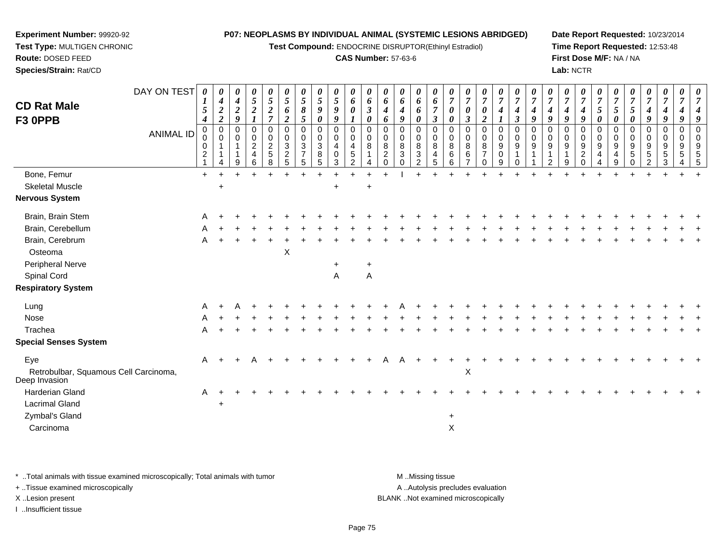**Test Compound:** ENDOCRINE DISRUPTOR(Ethinyl Estradiol)

# **CAS Number:** 57-63-6

**Date Report Requested:** 10/23/2014**Time Report Requested:** 12:53:48**First Dose M/F:** NA / NA**Lab:** NCTR

|                                                        | DAY ON TEST      | 0                                          | 0<br>4                                    | 0<br>$\boldsymbol{4}$    | $\pmb{\theta}$<br>$\sqrt{5}$                         | 0<br>$\sqrt{5}$                         | 0<br>$\mathfrak{s}$              | 0<br>5                                                        | 0<br>$\mathfrak{s}$                                                               | $\boldsymbol{\theta}$<br>$\mathfrak{s}$         | $\boldsymbol{\theta}$<br>6                                        | 0<br>6                | 0<br>6                                     | 0<br>6                                         | 0<br>6                                  | $\boldsymbol{\theta}$<br>6                  | $\theta$<br>$\overline{7}$           | 0<br>$\overline{7}$            | 0<br>$\boldsymbol{7}$                      | 0<br>$\overline{7}$              | $\boldsymbol{\theta}$<br>$\overline{7}$       | $\boldsymbol{\theta}$<br>$\overline{7}$ | 0<br>$\boldsymbol{7}$ | 0<br>$\boldsymbol{7}$                                | 0<br>$\overline{7}$                                                | 7                             | $\boldsymbol{\theta}$<br>$\overline{7}$      | 0<br>$\overline{7}$                      | 0<br>$\overline{7}$                                | 0<br>$\overline{7}$        | 0<br>$\overline{7}$        | 0<br>7                     |
|--------------------------------------------------------|------------------|--------------------------------------------|-------------------------------------------|--------------------------|------------------------------------------------------|-----------------------------------------|----------------------------------|---------------------------------------------------------------|-----------------------------------------------------------------------------------|-------------------------------------------------|-------------------------------------------------------------------|-----------------------|--------------------------------------------|------------------------------------------------|-----------------------------------------|---------------------------------------------|--------------------------------------|--------------------------------|--------------------------------------------|----------------------------------|-----------------------------------------------|-----------------------------------------|-----------------------|------------------------------------------------------|--------------------------------------------------------------------|-------------------------------|----------------------------------------------|------------------------------------------|----------------------------------------------------|----------------------------|----------------------------|----------------------------|
| <b>CD Rat Male</b><br>F3 OPPB                          | <b>ANIMAL ID</b> | 5<br>$\boldsymbol{4}$<br>0                 | $\boldsymbol{2}$<br>$\boldsymbol{2}$<br>0 | $\frac{2}{9}$<br>0       | $\sqrt{2}$<br>$\boldsymbol{l}$<br>0                  | $\boldsymbol{2}$<br>$\overline{7}$<br>0 | 6<br>$\boldsymbol{2}$<br>0       | 8<br>5<br>0                                                   | 9<br>$\boldsymbol{\theta}$<br>0                                                   | $\boldsymbol{9}$<br>9<br>$\pmb{0}$              | $\boldsymbol{\theta}$<br>$\mathbf 0$                              | 3<br>0<br>0           | 4<br>6<br>0                                | $\boldsymbol{4}$<br>9<br>0                     | 6<br>$\boldsymbol{\theta}$<br>0         | $\overline{7}$<br>$\boldsymbol{\beta}$<br>0 | $\boldsymbol{\theta}$<br>0<br>0      | 0<br>$\boldsymbol{\beta}$<br>0 | 0<br>$\boldsymbol{2}$<br>0                 | 4<br>0                           | $\boldsymbol{4}$<br>$\boldsymbol{\beta}$<br>0 | 4<br>9<br>0                             | 4<br>9<br>$\mathbf 0$ | $\boldsymbol{4}$<br>9<br>0                           | $\boldsymbol{4}$<br>9<br>0                                         | 5<br>0<br>0                   | $\mathfrak{s}$<br>$\boldsymbol{\theta}$<br>0 | 5<br>0<br>0                              | $\boldsymbol{4}$<br>9<br>$\mathbf 0$               | 4<br>9<br>0                | $\boldsymbol{4}$<br>9<br>0 | 9<br>$\Omega$              |
|                                                        |                  | 0<br>0<br>$\overline{c}$<br>$\overline{1}$ | $\mathbf 0$<br>Δ                          | 0<br>$\overline{1}$<br>9 | $\mathbf 0$<br>$\overline{2}$<br>$\overline{4}$<br>6 | 0<br>$\frac{2}{5}$<br>8                 | 0<br>$\sqrt{3}$<br>$\frac{2}{5}$ | $\pmb{0}$<br>$\ensuremath{\mathsf{3}}$<br>$\overline{7}$<br>5 | $\mathbf 0$<br>$\ensuremath{\mathsf{3}}$<br>$\begin{array}{c} 8 \\ 5 \end{array}$ | $\mathsf{O}\xspace$<br>$\overline{4}$<br>0<br>3 | $\mathbf 0$<br>$\overline{4}$<br>$\overline{5}$<br>$\overline{2}$ | $\mathbf 0$<br>8<br>1 | 0<br>$\bf 8$<br>$\overline{a}$<br>$\Omega$ | $\pmb{0}$<br>$\,8\,$<br>$\sqrt{3}$<br>$\Omega$ | $\mathbf 0$<br>$^8_3$<br>$\overline{2}$ | 0<br>8<br>4<br>5                            | $\mathbf 0$<br>$\,8\,$<br>$\,6$<br>6 | 0<br>8<br>6                    | 0<br>$\bf 8$<br>$\overline{7}$<br>$\Omega$ | $_{9}^{\rm 0}$<br>$\pmb{0}$<br>9 | 0<br>9<br>$\Omega$                            | $\mathbf 0$<br>9                        | 0<br>$9\,$<br>2       | $\mathbf 0$<br>$\boldsymbol{9}$<br>$\mathbf{1}$<br>9 | $\boldsymbol{0}$<br>$\boldsymbol{9}$<br>$\overline{c}$<br>$\Omega$ | 0<br>9<br>$\overline{4}$<br>Δ | $\pmb{0}$<br>$\overline{9}$<br>4<br>9        | 0<br>$\boldsymbol{9}$<br>$\sqrt{5}$<br>0 | $\mathbf 0$<br>$\boldsymbol{9}$<br>$\sqrt{5}$<br>2 | 0<br>9<br>$\mathbf 5$<br>3 | 0<br>9<br>5                | $\mathbf 0$<br>9<br>5<br>5 |
| Bone, Femur                                            |                  | $+$                                        |                                           |                          |                                                      |                                         |                                  |                                                               |                                                                                   |                                                 |                                                                   |                       |                                            |                                                |                                         |                                             |                                      |                                |                                            |                                  |                                               |                                         |                       |                                                      |                                                                    |                               |                                              |                                          |                                                    |                            |                            |                            |
| <b>Skeletal Muscle</b>                                 |                  |                                            | $\ddot{}$                                 |                          |                                                      |                                         |                                  |                                                               |                                                                                   | $\ddot{}$                                       |                                                                   | $\overline{1}$        |                                            |                                                |                                         |                                             |                                      |                                |                                            |                                  |                                               |                                         |                       |                                                      |                                                                    |                               |                                              |                                          |                                                    |                            |                            |                            |
| Nervous System                                         |                  |                                            |                                           |                          |                                                      |                                         |                                  |                                                               |                                                                                   |                                                 |                                                                   |                       |                                            |                                                |                                         |                                             |                                      |                                |                                            |                                  |                                               |                                         |                       |                                                      |                                                                    |                               |                                              |                                          |                                                    |                            |                            |                            |
| Brain, Brain Stem                                      |                  |                                            |                                           |                          |                                                      |                                         |                                  |                                                               |                                                                                   |                                                 |                                                                   |                       |                                            |                                                |                                         |                                             |                                      |                                |                                            |                                  |                                               |                                         |                       |                                                      |                                                                    |                               |                                              |                                          |                                                    |                            |                            |                            |
| Brain, Cerebellum                                      |                  |                                            |                                           |                          |                                                      |                                         |                                  |                                                               |                                                                                   |                                                 |                                                                   |                       |                                            |                                                |                                         |                                             |                                      |                                |                                            |                                  |                                               |                                         |                       |                                                      |                                                                    |                               |                                              |                                          |                                                    |                            |                            |                            |
| Brain, Cerebrum                                        |                  | A                                          |                                           |                          |                                                      |                                         |                                  |                                                               |                                                                                   |                                                 |                                                                   |                       |                                            |                                                |                                         |                                             |                                      |                                |                                            |                                  |                                               |                                         |                       |                                                      |                                                                    |                               |                                              |                                          |                                                    |                            |                            |                            |
| Osteoma                                                |                  |                                            |                                           |                          |                                                      |                                         | X                                |                                                               |                                                                                   |                                                 |                                                                   |                       |                                            |                                                |                                         |                                             |                                      |                                |                                            |                                  |                                               |                                         |                       |                                                      |                                                                    |                               |                                              |                                          |                                                    |                            |                            |                            |
| <b>Peripheral Nerve</b>                                |                  |                                            |                                           |                          |                                                      |                                         |                                  |                                                               |                                                                                   | $\overline{ }$                                  |                                                                   | $\ddot{}$             |                                            |                                                |                                         |                                             |                                      |                                |                                            |                                  |                                               |                                         |                       |                                                      |                                                                    |                               |                                              |                                          |                                                    |                            |                            |                            |
| Spinal Cord                                            |                  |                                            |                                           |                          |                                                      |                                         |                                  |                                                               |                                                                                   | A                                               |                                                                   | A                     |                                            |                                                |                                         |                                             |                                      |                                |                                            |                                  |                                               |                                         |                       |                                                      |                                                                    |                               |                                              |                                          |                                                    |                            |                            |                            |
| <b>Respiratory System</b>                              |                  |                                            |                                           |                          |                                                      |                                         |                                  |                                                               |                                                                                   |                                                 |                                                                   |                       |                                            |                                                |                                         |                                             |                                      |                                |                                            |                                  |                                               |                                         |                       |                                                      |                                                                    |                               |                                              |                                          |                                                    |                            |                            |                            |
| Lung                                                   |                  |                                            |                                           |                          |                                                      |                                         |                                  |                                                               |                                                                                   |                                                 |                                                                   |                       |                                            |                                                |                                         |                                             |                                      |                                |                                            |                                  |                                               |                                         |                       |                                                      |                                                                    |                               |                                              |                                          |                                                    |                            |                            |                            |
| Nose                                                   |                  |                                            |                                           |                          |                                                      |                                         |                                  |                                                               |                                                                                   |                                                 |                                                                   |                       |                                            |                                                |                                         |                                             |                                      |                                |                                            |                                  |                                               |                                         |                       |                                                      |                                                                    |                               |                                              |                                          |                                                    |                            |                            |                            |
| Trachea                                                |                  | A                                          |                                           |                          |                                                      |                                         |                                  |                                                               |                                                                                   |                                                 |                                                                   |                       |                                            |                                                |                                         |                                             |                                      |                                |                                            |                                  |                                               |                                         |                       |                                                      |                                                                    |                               |                                              |                                          |                                                    |                            |                            |                            |
| <b>Special Senses System</b>                           |                  |                                            |                                           |                          |                                                      |                                         |                                  |                                                               |                                                                                   |                                                 |                                                                   |                       |                                            |                                                |                                         |                                             |                                      |                                |                                            |                                  |                                               |                                         |                       |                                                      |                                                                    |                               |                                              |                                          |                                                    |                            |                            |                            |
| Eye                                                    |                  | Α                                          |                                           |                          |                                                      |                                         |                                  |                                                               |                                                                                   |                                                 |                                                                   |                       |                                            |                                                |                                         |                                             |                                      |                                |                                            |                                  |                                               |                                         |                       |                                                      |                                                                    |                               |                                              |                                          |                                                    |                            |                            |                            |
| Retrobulbar, Squamous Cell Carcinoma,<br>Deep Invasion |                  |                                            |                                           |                          |                                                      |                                         |                                  |                                                               |                                                                                   |                                                 |                                                                   |                       |                                            |                                                |                                         |                                             |                                      | $\mathsf X$                    |                                            |                                  |                                               |                                         |                       |                                                      |                                                                    |                               |                                              |                                          |                                                    |                            |                            |                            |
| Harderian Gland                                        |                  | Α                                          |                                           |                          |                                                      |                                         |                                  |                                                               |                                                                                   |                                                 |                                                                   |                       |                                            |                                                |                                         |                                             |                                      |                                |                                            |                                  |                                               |                                         |                       |                                                      |                                                                    |                               |                                              |                                          |                                                    |                            |                            |                            |
| <b>Lacrimal Gland</b>                                  |                  |                                            | $\ddot{}$                                 |                          |                                                      |                                         |                                  |                                                               |                                                                                   |                                                 |                                                                   |                       |                                            |                                                |                                         |                                             |                                      |                                |                                            |                                  |                                               |                                         |                       |                                                      |                                                                    |                               |                                              |                                          |                                                    |                            |                            |                            |
| Zymbal's Gland                                         |                  |                                            |                                           |                          |                                                      |                                         |                                  |                                                               |                                                                                   |                                                 |                                                                   |                       |                                            |                                                |                                         |                                             | $\ddot{}$                            |                                |                                            |                                  |                                               |                                         |                       |                                                      |                                                                    |                               |                                              |                                          |                                                    |                            |                            |                            |
|                                                        |                  |                                            |                                           |                          |                                                      |                                         |                                  |                                                               |                                                                                   |                                                 |                                                                   |                       |                                            |                                                |                                         |                                             |                                      |                                |                                            |                                  |                                               |                                         |                       |                                                      |                                                                    |                               |                                              |                                          |                                                    |                            |                            |                            |

\* ..Total animals with tissue examined microscopically; Total animals with tumor **M** . Missing tissue M ..Missing tissue A ..Autolysis precludes evaluation + ..Tissue examined microscopically X ..Lesion present BLANK ..Not examined microscopicallyI ..Insufficient tissue

 $\alpha$ 

**Experiment Number:** 99920-92**Test Type:** MULTIGEN CHRONIC

**Route:** DOSED FEED**Species/Strain:** Rat/CD

Carcinoma

 $\mathsf{X}$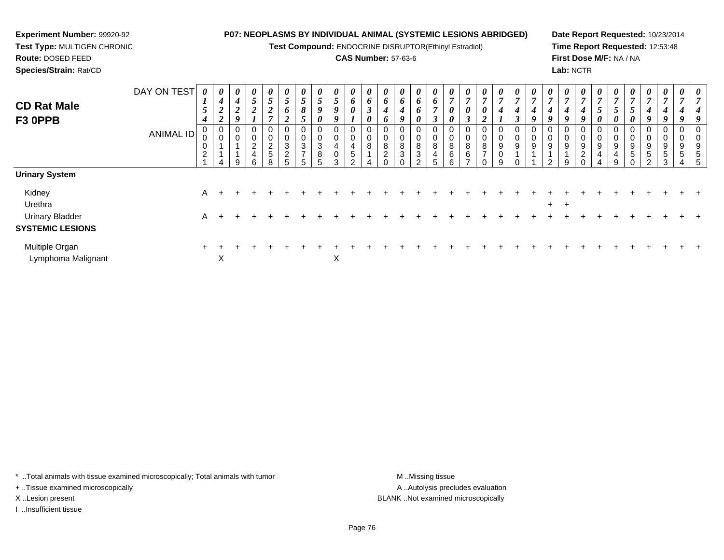**Test Compound:** ENDOCRINE DISRUPTOR(Ethinyl Estradiol)

# **CAS Number:** 57-63-6

**Date Report Requested:** 10/23/2014**Time Report Requested:** 12:53:48**First Dose M/F:** NA / NA**Lab:** NCTR

> *7*

| <b>CD Rat Male</b>                                | DAY ON TEST      | 0<br>$\mathbf{I}$<br>$\overline{5}$   | $\boldsymbol{\theta}$<br>$\boldsymbol{4}$<br>$\overline{2}$ | $\boldsymbol{\theta}$<br>4<br>$\mathbf{\Omega}$<br>$\overline{2}$ | $\boldsymbol{\theta}$<br>$5\overline{)}$<br>$\boldsymbol{2}$ | $\boldsymbol{\theta}$<br>$\overline{ }$<br>$\mathfrak{p}$<br>$\boldsymbol{2}$ | $\boldsymbol{\theta}$<br>$\overline{\phantom{0}}$<br>$\mathcal{L}$<br>0 | U<br>$\mathfrak{s}$<br>8                | $\theta$<br>5<br>9    | $\boldsymbol{\theta}$<br>$\mathfrak{H}$<br>9 | $\boldsymbol{\theta}$<br>6<br>0                          | $\boldsymbol{\theta}$<br>6<br>$\mathbf{\Omega}$<br>J | $\boldsymbol{\theta}$<br>6<br>$\boldsymbol{4}$ | $\boldsymbol{\theta}$<br>6<br>$\boldsymbol{4}$ | $\boldsymbol{\theta}$<br>6<br>6  | $\boldsymbol{\theta}$<br>6<br>$\overline{ }$ | $\boldsymbol{\theta}$<br>$\mathbf{r}$<br>0 | $\boldsymbol{\theta}$<br>0              | $\boldsymbol{\theta}$<br>$\overline{ }$<br>$\boldsymbol{\theta}$ | $\boldsymbol{\theta}$<br>$\overline{ }$<br>4 | $\boldsymbol{\theta}$<br>7<br>4              | 0<br>$\overline{ }$<br>4 | $\boldsymbol{\theta}$<br>4 | $\boldsymbol{\theta}$<br>$\overline{ }$<br>4 | $\boldsymbol{\theta}$<br>7<br>4 | $\boldsymbol{\theta}$<br>$\overline{a}$<br>C | $\boldsymbol{\theta}$<br>$\mathcal{I}$ | U<br>5                     | $\boldsymbol{\theta}$<br>$\overline{ }$<br>$\overline{4}$ | $\boldsymbol{\theta}$<br>$\overline{7}$<br>$\boldsymbol{4}$ | $\boldsymbol{\theta}$<br>$\overline{A}$ |  |
|---------------------------------------------------|------------------|---------------------------------------|-------------------------------------------------------------|-------------------------------------------------------------------|--------------------------------------------------------------|-------------------------------------------------------------------------------|-------------------------------------------------------------------------|-----------------------------------------|-----------------------|----------------------------------------------|----------------------------------------------------------|------------------------------------------------------|------------------------------------------------|------------------------------------------------|----------------------------------|----------------------------------------------|--------------------------------------------|-----------------------------------------|------------------------------------------------------------------|----------------------------------------------|----------------------------------------------|--------------------------|----------------------------|----------------------------------------------|---------------------------------|----------------------------------------------|----------------------------------------|----------------------------|-----------------------------------------------------------|-------------------------------------------------------------|-----------------------------------------|--|
| F3 OPPB                                           |                  | $\boldsymbol{4}$                      | $\boldsymbol{2}$                                            | O.                                                                |                                                              |                                                                               | ◠<br>◢                                                                  | C                                       | 0                     | 9                                            |                                                          | 0                                                    | o                                              | $\boldsymbol{q}$                               | 0                                | 3                                            | 0                                          | ി<br>Ĵ                                  | ◠<br>◢                                                           |                                              | $\boldsymbol{\beta}$                         | Q                        | 9                          | $\boldsymbol{q}$                             | 9                               |                                              | 0                                      | 0                          | 9                                                         | 9                                                           | 9                                       |  |
|                                                   | <b>ANIMAL ID</b> | 0<br>υ<br>$\pmb{0}$<br>$\overline{c}$ | 4                                                           | 0<br>0<br>9                                                       | 0<br>0<br>o<br>∠<br>4<br>6                                   | 0<br>0<br>$\overline{c}$<br>$\sqrt{5}$<br>8                                   | 0<br>0<br>$\mathbf{3}$<br>2<br>5                                        | 0<br>$\mathbf 0$<br>3<br>$\overline{ }$ | 0<br>0<br>3<br>8<br>5 | 0<br>0<br>4<br>0<br>3                        | 0<br>$\pmb{0}$<br>$\overline{4}$<br>$\sqrt{5}$<br>$\sim$ | 0<br>0<br>8                                          | 0<br>8<br>2                                    | 0<br>$\pmb{0}$<br>8<br>3<br>∩                  | 0<br>0<br>8<br>3<br><sup>o</sup> | 0<br>0<br>8<br>4<br><sup>5</sup>             | 0<br>0<br>8<br>6<br>$\sim$                 | 0<br>8<br>6<br>$\overline{\phantom{a}}$ | 0<br>0<br>8<br>$\rightarrow$<br>በ                                | 0<br>0<br>9<br>0<br>9                        | 0<br>$\pmb{0}$<br>$\boldsymbol{9}$<br>$\sim$ | 0<br>0<br>9              | 0<br>0<br>9                | U<br>0<br>9<br>9                             | 0<br>0<br>9<br>2<br>$\Omega$    | 0<br>0<br>9<br>4                             | U<br>0<br>9<br>4<br>q                  | 0<br>$\mathbf 0$<br>9<br>5 | 0<br>0<br>9<br>$\,$ 5 $\,$<br>ົ                           | 0<br>0<br>9<br>$\frac{5}{3}$                                | 0<br>0<br>9<br>5                        |  |
| <b>Urinary System</b>                             |                  |                                       |                                                             |                                                                   |                                                              |                                                                               |                                                                         |                                         |                       |                                              |                                                          |                                                      |                                                |                                                |                                  |                                              |                                            |                                         |                                                                  |                                              |                                              |                          |                            |                                              |                                 |                                              |                                        |                            |                                                           |                                                             |                                         |  |
| Kidney<br>Urethra                                 |                  | A                                     |                                                             |                                                                   |                                                              |                                                                               |                                                                         |                                         |                       |                                              |                                                          |                                                      |                                                |                                                |                                  |                                              |                                            |                                         |                                                                  |                                              |                                              |                          | $+$                        | $\pm$                                        |                                 |                                              |                                        |                            |                                                           |                                                             |                                         |  |
| <b>Urinary Bladder</b><br><b>SYSTEMIC LESIONS</b> |                  | A                                     |                                                             |                                                                   |                                                              |                                                                               |                                                                         |                                         |                       |                                              |                                                          |                                                      |                                                |                                                |                                  |                                              |                                            |                                         |                                                                  |                                              |                                              |                          |                            |                                              |                                 |                                              |                                        |                            |                                                           |                                                             |                                         |  |

 $\mathsf{x}$  x

\* ..Total animals with tissue examined microscopically; Total animals with tumor **M** ...Missing tissue M ...Missing tissue

n  $+$ 

X

+ ..Tissue examined microscopically

**Experiment Number:** 99920-92**Test Type:** MULTIGEN CHRONIC

**Route:** DOSED FEED**Species/Strain:** Rat/CD

Multiple Organ

Lymphoma Malignant

I ..Insufficient tissue

A .. Autolysis precludes evaluation X ..Lesion present BLANK ..Not examined microscopically

<sup>+</sup> <sup>+</sup> <sup>+</sup> <sup>+</sup> <sup>+</sup> <sup>+</sup> <sup>+</sup> <sup>+</sup> <sup>+</sup> <sup>+</sup> <sup>+</sup> <sup>+</sup> <sup>+</sup> <sup>+</sup> <sup>+</sup> <sup>+</sup> <sup>+</sup> <sup>+</sup> <sup>+</sup> <sup>+</sup> <sup>+</sup> <sup>+</sup> <sup>+</sup> <sup>+</sup> <sup>+</sup> <sup>+</sup> <sup>+</sup> <sup>+</sup> <sup>+</sup> <sup>+</sup>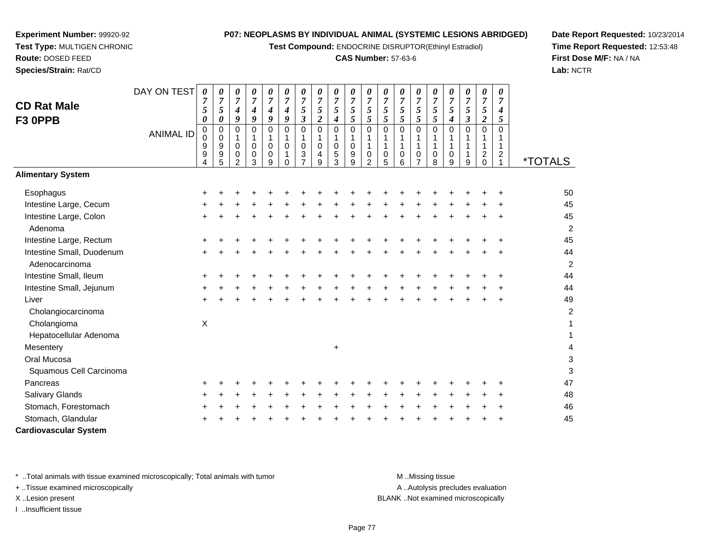**Test Compound:** ENDOCRINE DISRUPTOR(Ethinyl Estradiol)

# **CAS Number:** 57-63-6

**Date Report Requested:** 10/23/2014**Time Report Requested:** 12:53:48**First Dose M/F:** NA / NA**Lab:** NCTR

|                                             | DAY ON TEST      | 0                                                         | 0                                                                                       | 0                                                  | 0                                                                        | 0                                                                                      | 0                                                                           | 0                                                                                     | 0                                                                 | 0                                                             | 0                                                                         | 0                                             | 0                                              | 0                                             | 0                                                    | 0                                          | 0                                                                                  | 0                                                                           | 0                                                                  | 0                                                        |                         |
|---------------------------------------------|------------------|-----------------------------------------------------------|-----------------------------------------------------------------------------------------|----------------------------------------------------|--------------------------------------------------------------------------|----------------------------------------------------------------------------------------|-----------------------------------------------------------------------------|---------------------------------------------------------------------------------------|-------------------------------------------------------------------|---------------------------------------------------------------|---------------------------------------------------------------------------|-----------------------------------------------|------------------------------------------------|-----------------------------------------------|------------------------------------------------------|--------------------------------------------|------------------------------------------------------------------------------------|-----------------------------------------------------------------------------|--------------------------------------------------------------------|----------------------------------------------------------|-------------------------|
| <b>CD Rat Male</b><br>F3 OPPB               | <b>ANIMAL ID</b> | $\overline{7}$<br>5<br>0<br>$\pmb{0}$<br>$\mathbf 0$<br>9 | $\boldsymbol{7}$<br>5<br>$\pmb{\theta}$<br>$\pmb{0}$<br>$\mathbf 0$<br>$\boldsymbol{9}$ | $\overline{7}$<br>4<br>9<br>0<br>$\mathbf{1}$<br>0 | $\overline{7}$<br>4<br>$\boldsymbol{g}$<br>$\Omega$<br>$\mathbf{1}$<br>0 | $\overline{7}$<br>$\boldsymbol{4}$<br>$\boldsymbol{g}$<br>$\mathbf 0$<br>1<br>$\Omega$ | $\overline{7}$<br>$\boldsymbol{4}$<br>9<br>$\mathbf 0$<br>$\mathbf{1}$<br>0 | $\overline{7}$<br>$\sqrt{5}$<br>$\boldsymbol{\beta}$<br>$\mathbf 0$<br>1<br>$\pmb{0}$ | $\overline{7}$<br>5<br>$\overline{2}$<br>$\overline{0}$<br>1<br>0 | $\boldsymbol{7}$<br>5<br>4<br>$\mathbf 0$<br>1<br>$\mathbf 0$ | $\overline{7}$<br>$rac{5}{5}$<br>$\mathbf 0$<br>$\mathbf{1}$<br>$\pmb{0}$ | $\overline{7}$<br>$\sqrt{5}$<br>5<br>$\Omega$ | $\overline{7}$<br>5<br>5<br>$\Omega$<br>1<br>1 | $\overline{7}$<br>5<br>5<br>0<br>$\mathbf{1}$ | $\overline{7}$<br>5<br>5<br>$\overline{0}$<br>1<br>1 | $\overline{7}$<br>5<br>$\mathfrak{s}$<br>0 | $\overline{7}$<br>$\sqrt{5}$<br>$\boldsymbol{4}$<br>$\pmb{0}$<br>1<br>$\mathbf{1}$ | $\overline{7}$<br>$\mathfrak{s}$<br>$\mathfrak{z}$<br>$\mathbf 0$<br>1<br>1 | $\overline{7}$<br>$\sqrt{5}$<br>$\overline{2}$<br>$\mathbf 0$<br>1 | $\overline{7}$<br>$\boldsymbol{4}$<br>5<br>$\Omega$<br>1 |                         |
|                                             |                  | 9<br>4                                                    | $\boldsymbol{9}$<br>5                                                                   | 0<br>$\overline{2}$                                | $\mathbf 0$<br>3                                                         | $\mathbf 0$<br>9                                                                       | 1<br>$\Omega$                                                               | 3                                                                                     | 4<br>9                                                            | 5<br>3                                                        | $\boldsymbol{9}$<br>9                                                     | $\Omega$<br>2                                 | $\mathbf 0$<br>5                               | $\mathbf 0$<br>6                              | $\mathbf 0$                                          | $\mathbf 0$<br>8                           | $\mathbf 0$<br>9                                                                   | 1<br>9                                                                      | $\overline{c}$<br>$\Omega$                                         | $\overline{c}$                                           | <i><b>*TOTALS</b></i>   |
| <b>Alimentary System</b>                    |                  |                                                           |                                                                                         |                                                    |                                                                          |                                                                                        |                                                                             |                                                                                       |                                                                   |                                                               |                                                                           |                                               |                                                |                                               |                                                      |                                            |                                                                                    |                                                                             |                                                                    |                                                          |                         |
| Esophagus                                   |                  |                                                           |                                                                                         |                                                    |                                                                          |                                                                                        |                                                                             |                                                                                       |                                                                   |                                                               |                                                                           |                                               |                                                |                                               |                                                      |                                            |                                                                                    |                                                                             |                                                                    |                                                          | 50                      |
| Intestine Large, Cecum                      |                  |                                                           |                                                                                         |                                                    |                                                                          |                                                                                        |                                                                             |                                                                                       |                                                                   |                                                               |                                                                           |                                               |                                                |                                               |                                                      |                                            |                                                                                    |                                                                             |                                                                    |                                                          | 45                      |
| Intestine Large, Colon                      |                  |                                                           |                                                                                         |                                                    |                                                                          |                                                                                        |                                                                             |                                                                                       |                                                                   |                                                               |                                                                           |                                               |                                                |                                               |                                                      |                                            |                                                                                    |                                                                             |                                                                    |                                                          | 45                      |
| Adenoma                                     |                  |                                                           |                                                                                         |                                                    |                                                                          |                                                                                        |                                                                             |                                                                                       |                                                                   |                                                               |                                                                           |                                               |                                                |                                               |                                                      |                                            |                                                                                    |                                                                             |                                                                    |                                                          | 2                       |
| Intestine Large, Rectum                     |                  |                                                           |                                                                                         |                                                    |                                                                          |                                                                                        |                                                                             |                                                                                       |                                                                   |                                                               |                                                                           |                                               |                                                |                                               |                                                      |                                            |                                                                                    |                                                                             |                                                                    |                                                          | 45                      |
| Intestine Small, Duodenum<br>Adenocarcinoma |                  | +                                                         |                                                                                         |                                                    |                                                                          |                                                                                        |                                                                             |                                                                                       |                                                                   |                                                               |                                                                           |                                               |                                                |                                               |                                                      |                                            |                                                                                    |                                                                             |                                                                    |                                                          | 44<br>$\overline{c}$    |
| Intestine Small, Ileum                      |                  |                                                           |                                                                                         |                                                    |                                                                          |                                                                                        |                                                                             |                                                                                       |                                                                   |                                                               |                                                                           |                                               |                                                |                                               |                                                      |                                            |                                                                                    |                                                                             |                                                                    |                                                          | 44                      |
| Intestine Small, Jejunum                    |                  |                                                           |                                                                                         |                                                    |                                                                          |                                                                                        |                                                                             |                                                                                       |                                                                   |                                                               |                                                                           |                                               |                                                |                                               |                                                      |                                            |                                                                                    |                                                                             |                                                                    |                                                          | 44                      |
| Liver                                       |                  |                                                           |                                                                                         |                                                    |                                                                          |                                                                                        |                                                                             |                                                                                       |                                                                   |                                                               |                                                                           |                                               |                                                |                                               |                                                      |                                            |                                                                                    |                                                                             |                                                                    |                                                          | 49                      |
| Cholangiocarcinoma                          |                  | $\div$                                                    |                                                                                         |                                                    |                                                                          |                                                                                        |                                                                             |                                                                                       |                                                                   |                                                               |                                                                           |                                               |                                                |                                               |                                                      |                                            |                                                                                    |                                                                             |                                                                    |                                                          | $\overline{\mathbf{c}}$ |
| Cholangioma                                 |                  | $\mathsf X$                                               |                                                                                         |                                                    |                                                                          |                                                                                        |                                                                             |                                                                                       |                                                                   |                                                               |                                                                           |                                               |                                                |                                               |                                                      |                                            |                                                                                    |                                                                             |                                                                    |                                                          | 1                       |
| Hepatocellular Adenoma                      |                  |                                                           |                                                                                         |                                                    |                                                                          |                                                                                        |                                                                             |                                                                                       |                                                                   |                                                               |                                                                           |                                               |                                                |                                               |                                                      |                                            |                                                                                    |                                                                             |                                                                    |                                                          |                         |
| Mesentery                                   |                  |                                                           |                                                                                         |                                                    |                                                                          |                                                                                        |                                                                             |                                                                                       |                                                                   |                                                               |                                                                           |                                               |                                                |                                               |                                                      |                                            |                                                                                    |                                                                             |                                                                    |                                                          |                         |
| Oral Mucosa                                 |                  |                                                           |                                                                                         |                                                    |                                                                          |                                                                                        |                                                                             |                                                                                       |                                                                   | $\ddot{}$                                                     |                                                                           |                                               |                                                |                                               |                                                      |                                            |                                                                                    |                                                                             |                                                                    |                                                          | 4<br>3                  |
|                                             |                  |                                                           |                                                                                         |                                                    |                                                                          |                                                                                        |                                                                             |                                                                                       |                                                                   |                                                               |                                                                           |                                               |                                                |                                               |                                                      |                                            |                                                                                    |                                                                             |                                                                    |                                                          | 3                       |
| Squamous Cell Carcinoma<br>Pancreas         |                  |                                                           |                                                                                         |                                                    |                                                                          |                                                                                        |                                                                             |                                                                                       |                                                                   |                                                               |                                                                           |                                               |                                                |                                               |                                                      |                                            |                                                                                    |                                                                             |                                                                    |                                                          | 47                      |
|                                             |                  |                                                           |                                                                                         |                                                    |                                                                          |                                                                                        |                                                                             |                                                                                       |                                                                   |                                                               |                                                                           |                                               |                                                |                                               |                                                      |                                            |                                                                                    |                                                                             |                                                                    |                                                          | 48                      |
| <b>Salivary Glands</b>                      |                  |                                                           |                                                                                         |                                                    |                                                                          |                                                                                        |                                                                             |                                                                                       |                                                                   |                                                               |                                                                           |                                               |                                                |                                               |                                                      |                                            |                                                                                    |                                                                             |                                                                    |                                                          |                         |
| Stomach, Forestomach<br>Stomach, Glandular  |                  |                                                           |                                                                                         |                                                    |                                                                          |                                                                                        |                                                                             |                                                                                       |                                                                   |                                                               |                                                                           |                                               |                                                |                                               |                                                      |                                            |                                                                                    |                                                                             |                                                                    |                                                          | 46<br>45                |
|                                             |                  |                                                           |                                                                                         |                                                    |                                                                          |                                                                                        |                                                                             |                                                                                       |                                                                   |                                                               |                                                                           |                                               |                                                |                                               |                                                      |                                            |                                                                                    |                                                                             |                                                                    |                                                          |                         |
| <b>Cardiovascular System</b>                |                  |                                                           |                                                                                         |                                                    |                                                                          |                                                                                        |                                                                             |                                                                                       |                                                                   |                                                               |                                                                           |                                               |                                                |                                               |                                                      |                                            |                                                                                    |                                                                             |                                                                    |                                                          |                         |

\* ..Total animals with tissue examined microscopically; Total animals with tumor **M** ...Missing tissue M ...Missing tissue

+ ..Tissue examined microscopically

**Experiment Number:** 99920-92**Test Type:** MULTIGEN CHRONIC

**Route:** DOSED FEED**Species/Strain:** Rat/CD

I ..Insufficient tissue

A ..Autolysis precludes evaluation X ..Lesion present BLANK ..Not examined microscopically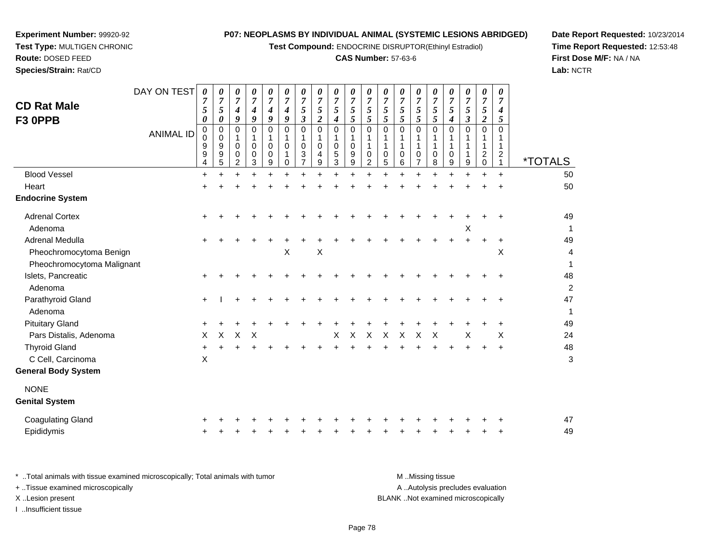**Test Compound:** ENDOCRINE DISRUPTOR(Ethinyl Estradiol)

# **CAS Number:** 57-63-6

**Date Report Requested:** 10/23/2014 **Time Report Requested:** 12:53:48**First Dose M/F:** NA / NA**Lab:** NCTR

| <b>CD Rat Male</b><br>F3 OPPB                         | DAY ON TEST      | 0<br>$\overline{7}$<br>5<br>0 | 0<br>$\overline{7}$<br>$\mathfrak{s}$<br>0 | 0<br>$\overline{7}$<br>4<br>9          | 0<br>$\overline{7}$<br>$\boldsymbol{4}$<br>9 | 0<br>$\boldsymbol{7}$<br>4<br>9           | 0<br>$\overline{7}$<br>$\boldsymbol{4}$<br>$\boldsymbol{g}$ | 0<br>$\overline{7}$<br>5<br>$\boldsymbol{\beta}$                  | 0<br>$\overline{7}$<br>5<br>$\boldsymbol{2}$ | 0<br>$\overline{7}$<br>5<br>4    | 0<br>$\boldsymbol{7}$<br>5<br>$\sqrt{5}$         | 0<br>$\boldsymbol{7}$<br>$\sqrt{5}$<br>$\sqrt{5}$ | 0<br>$\boldsymbol{7}$<br>$\sqrt{5}$<br>$\mathfrak{s}$  | 0<br>$\overline{7}$<br>$\mathfrak{s}$<br>5 | 0<br>$\overline{7}$<br>5<br>5 | 0<br>$\boldsymbol{7}$<br>5<br>5           | 0<br>$\overline{7}$<br>5<br>$\boldsymbol{4}$ | 0<br>$\boldsymbol{7}$<br>$\mathfrak{s}$<br>$\boldsymbol{\beta}$ | 0<br>$\boldsymbol{7}$<br>5<br>$\boldsymbol{2}$ | 0<br>$\overline{7}$<br>4<br>5                                      |                       |
|-------------------------------------------------------|------------------|-------------------------------|--------------------------------------------|----------------------------------------|----------------------------------------------|-------------------------------------------|-------------------------------------------------------------|-------------------------------------------------------------------|----------------------------------------------|----------------------------------|--------------------------------------------------|---------------------------------------------------|--------------------------------------------------------|--------------------------------------------|-------------------------------|-------------------------------------------|----------------------------------------------|-----------------------------------------------------------------|------------------------------------------------|--------------------------------------------------------------------|-----------------------|
|                                                       | <b>ANIMAL ID</b> | $\pmb{0}$<br>0<br>9<br>9<br>4 | 0<br>0<br>9<br>9<br>5                      | $\Omega$<br>1<br>$\mathbf 0$<br>0<br>2 | $\Omega$<br>1<br>$\mathbf 0$<br>0<br>3       | $\mathbf 0$<br>1<br>$\mathbf 0$<br>0<br>9 | $\mathbf 0$<br>1<br>$\Omega$<br>1<br>$\mathbf 0$            | $\mathbf 0$<br>$\mathbf{1}$<br>$\mathbf 0$<br>3<br>$\overline{7}$ | $\mathbf 0$<br>1<br>$\mathbf 0$<br>4<br>9    | 0<br>$\mathbf{1}$<br>0<br>5<br>3 | $\pmb{0}$<br>$\mathbf{1}$<br>$\pmb{0}$<br>9<br>9 | $\mathbf 0$<br>1<br>1<br>0<br>$\overline{2}$      | $\mathbf 0$<br>$\mathbf 1$<br>$\overline{1}$<br>0<br>5 | 0<br>0<br>6                                | 0<br>1<br>1<br>0<br>7         | $\mathbf 0$<br>1<br>1<br>$\mathbf 0$<br>8 | $\Omega$<br>1<br>0<br>9                      | $\mathbf 0$<br>1<br>$\mathbf{1}$<br>9                           | 0<br>1<br>1<br>$\overline{c}$<br>$\mathbf 0$   | $\mathbf 0$<br>1<br>$\mathbf{1}$<br>$\overline{2}$<br>$\mathbf{1}$ | <i><b>*TOTALS</b></i> |
| <b>Blood Vessel</b>                                   |                  | $\ddot{}$                     | $\ddot{}$                                  |                                        | $\ddot{}$                                    | $\ddot{}$                                 |                                                             | $\ddot{}$                                                         | $\ddot{}$                                    | $+$                              | $\ddot{}$                                        | $\ddot{}$                                         | $\ddot{}$                                              | $\ddot{}$                                  | $+$                           | $\ddot{}$                                 |                                              | $\ddot{}$                                                       | $\ddot{}$                                      | $+$                                                                | 50                    |
| Heart                                                 |                  | $\ddot{}$                     |                                            |                                        |                                              |                                           |                                                             |                                                                   |                                              |                                  |                                                  |                                                   |                                                        |                                            |                               |                                           |                                              |                                                                 |                                                |                                                                    | 50                    |
| <b>Endocrine System</b>                               |                  |                               |                                            |                                        |                                              |                                           |                                                             |                                                                   |                                              |                                  |                                                  |                                                   |                                                        |                                            |                               |                                           |                                              |                                                                 |                                                |                                                                    |                       |
| <b>Adrenal Cortex</b><br>Adenoma                      |                  | $\pm$                         |                                            |                                        |                                              |                                           |                                                             |                                                                   |                                              |                                  |                                                  |                                                   |                                                        |                                            |                               |                                           |                                              | X                                                               |                                                |                                                                    | 49<br>$\mathbf{1}$    |
| Adrenal Medulla                                       |                  |                               |                                            |                                        |                                              |                                           |                                                             |                                                                   |                                              |                                  |                                                  |                                                   |                                                        |                                            |                               |                                           |                                              |                                                                 |                                                |                                                                    | 49                    |
| Pheochromocytoma Benign<br>Pheochromocytoma Malignant |                  |                               |                                            |                                        |                                              |                                           | X                                                           |                                                                   | $\boldsymbol{\mathsf{X}}$                    |                                  |                                                  |                                                   |                                                        |                                            |                               |                                           |                                              |                                                                 |                                                | X                                                                  | 4<br>1                |
| Islets, Pancreatic<br>Adenoma                         |                  |                               |                                            |                                        |                                              |                                           |                                                             |                                                                   |                                              |                                  |                                                  |                                                   |                                                        |                                            |                               |                                           |                                              |                                                                 |                                                |                                                                    | 48<br>$\overline{c}$  |
| Parathyroid Gland<br>Adenoma                          |                  | $\ddot{}$                     |                                            |                                        |                                              |                                           |                                                             |                                                                   |                                              |                                  |                                                  |                                                   |                                                        |                                            |                               |                                           |                                              |                                                                 |                                                |                                                                    | 47<br>$\mathbf{1}$    |
| <b>Pituitary Gland</b>                                |                  |                               |                                            |                                        |                                              |                                           |                                                             |                                                                   |                                              |                                  |                                                  |                                                   |                                                        |                                            |                               |                                           |                                              |                                                                 |                                                |                                                                    | 49                    |
| Pars Distalis, Adenoma                                |                  | X                             | X                                          | X                                      | $\boldsymbol{\mathsf{X}}$                    |                                           |                                                             |                                                                   |                                              | X                                | $\boldsymbol{\mathsf{X}}$                        | X                                                 | X                                                      | X                                          | $\boldsymbol{\mathsf{X}}$     | $\boldsymbol{\mathsf{X}}$                 |                                              | $\times$                                                        |                                                | $\times$                                                           | 24                    |
| <b>Thyroid Gland</b><br>C Cell, Carcinoma             |                  | $\ddot{}$<br>$\times$         |                                            |                                        |                                              |                                           |                                                             |                                                                   |                                              |                                  |                                                  |                                                   |                                                        |                                            |                               |                                           |                                              |                                                                 |                                                |                                                                    | 48<br>3               |
| <b>General Body System</b>                            |                  |                               |                                            |                                        |                                              |                                           |                                                             |                                                                   |                                              |                                  |                                                  |                                                   |                                                        |                                            |                               |                                           |                                              |                                                                 |                                                |                                                                    |                       |
| <b>NONE</b><br><b>Genital System</b>                  |                  |                               |                                            |                                        |                                              |                                           |                                                             |                                                                   |                                              |                                  |                                                  |                                                   |                                                        |                                            |                               |                                           |                                              |                                                                 |                                                |                                                                    |                       |
| <b>Coagulating Gland</b>                              |                  |                               |                                            |                                        |                                              |                                           |                                                             |                                                                   |                                              |                                  |                                                  |                                                   |                                                        |                                            |                               |                                           |                                              |                                                                 |                                                |                                                                    | 47                    |
| Epididymis                                            |                  |                               |                                            |                                        |                                              |                                           |                                                             |                                                                   |                                              |                                  |                                                  |                                                   |                                                        |                                            |                               |                                           |                                              |                                                                 |                                                |                                                                    | 49                    |
|                                                       |                  |                               |                                            |                                        |                                              |                                           |                                                             |                                                                   |                                              |                                  |                                                  |                                                   |                                                        |                                            |                               |                                           |                                              |                                                                 |                                                |                                                                    |                       |

**Experiment Number:** 99920-92**Test Type:** MULTIGEN CHRONIC

| Total animals with tissue examined microscopically; Total animals with tumor | M Missing tissue                   |
|------------------------------------------------------------------------------|------------------------------------|
| + Tissue examined microscopically                                            | A Autolysis precludes evaluation   |
| X Lesion present                                                             | BLANK Not examined microscopically |
| …Insufficient tissue                                                         |                                    |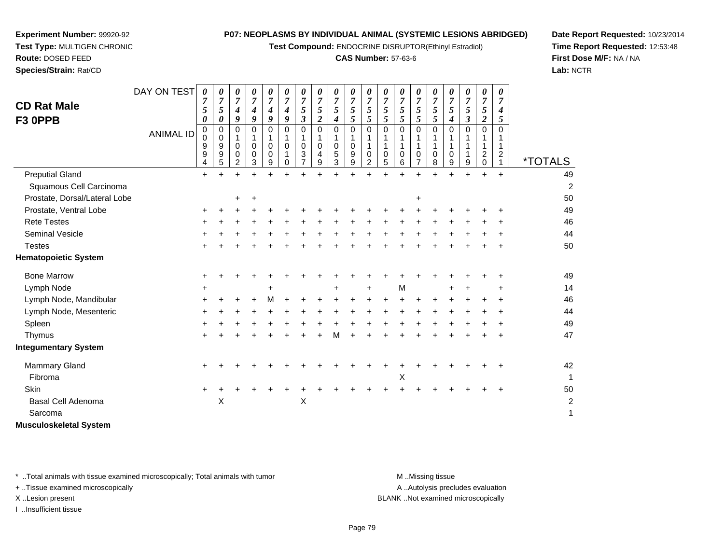**Test Compound:** ENDOCRINE DISRUPTOR(Ethinyl Estradiol)

#### **CAS Number:** 57-63-6

<sup>+</sup> <sup>+</sup> <sup>+</sup> <sup>+</sup> <sup>+</sup> <sup>+</sup> <sup>+</sup> <sup>+</sup> <sup>+</sup> <sup>+</sup> <sup>+</sup> <sup>+</sup> <sup>+</sup> <sup>+</sup> <sup>+</sup> <sup>+</sup> <sup>+</sup> <sup>+</sup> <sup>49</sup>

<sup>+</sup> <sup>+</sup> <sup>+</sup> <sup>+</sup> <sup>+</sup> <sup>+</sup> <sup>+</sup> <sup>+</sup> <sup>+</sup> <sup>+</sup> <sup>+</sup> <sup>+</sup> <sup>+</sup> <sup>+</sup> <sup>+</sup> <sup>+</sup> <sup>+</sup> <sup>+</sup> <sup>49</sup>

<sup>+</sup> <sup>+</sup> <sup>+</sup> <sup>+</sup> <sup>+</sup> <sup>+</sup> <sup>+</sup> <sup>+</sup> <sup>+</sup> <sup>+</sup> <sup>+</sup> <sup>+</sup> <sup>+</sup> <sup>+</sup> <sup>+</sup> <sup>+</sup> <sup>+</sup> <sup>+</sup> <sup>46</sup>

<sup>+</sup> <sup>+</sup> <sup>+</sup> <sup>+</sup> <sup>+</sup> <sup>+</sup> <sup>+</sup> <sup>+</sup> <sup>+</sup> <sup>+</sup> <sup>+</sup> <sup>+</sup> <sup>+</sup> <sup>+</sup> <sup>+</sup> <sup>+</sup> <sup>+</sup> <sup>+</sup> <sup>44</sup>

<sup>+</sup> <sup>+</sup> <sup>+</sup> <sup>+</sup> <sup>+</sup> <sup>+</sup> <sup>+</sup> <sup>+</sup> <sup>+</sup> <sup>+</sup> <sup>+</sup> <sup>+</sup> <sup>+</sup> <sup>+</sup> <sup>+</sup> <sup>+</sup> <sup>+</sup> <sup>+</sup> <sup>50</sup>

<sup>+</sup> <sup>+</sup> <sup>50</sup>

*0 7 5*

<sup>1</sup> \*TOTALS

49

**Date Report Requested:** 10/23/2014**Time Report Requested:** 12:53:48**First Dose M/F:** NA / NA**Lab:** NCTR

| <b>Bone Marrow</b>     | ÷         |   |  |           |   |           |           |   |  |     |           |        | 49 |
|------------------------|-----------|---|--|-----------|---|-----------|-----------|---|--|-----|-----------|--------|----|
| Lymph Node             | $\ddot{}$ |   |  | $\ddot{}$ |   | $\ddot{}$ | $\ddot{}$ | M |  | $+$ | $\ddot{}$ |        | 14 |
| Lymph Node, Mandibular | $\pm$     |   |  |           |   |           |           |   |  |     |           |        | 46 |
| Lymph Node, Mesenteric |           |   |  |           |   |           |           |   |  |     |           |        | 44 |
| Spleen                 | $\pm$     |   |  |           |   |           |           |   |  |     |           |        | 49 |
| Thymus                 | ÷         |   |  |           |   | м         |           |   |  |     |           | $\div$ | 47 |
| tegumentary System     |           |   |  |           |   |           |           |   |  |     |           |        |    |
| <b>Mammary Gland</b>   | ÷         |   |  |           |   |           |           |   |  |     |           |        | 42 |
| Fibroma                |           |   |  |           |   |           |           | X |  |     |           |        | 1  |
| Skin                   | ÷         |   |  |           |   |           |           |   |  |     |           |        | 50 |
| Basal Cell Adenoma     |           | X |  |           | X |           |           |   |  |     |           |        | 2  |
| Sarcoma                |           |   |  |           |   |           |           |   |  |     |           |        | 1  |
|                        |           |   |  |           |   |           |           |   |  |     |           |        |    |

**Musculoskeletal System**

**Experiment Number:** 99920-92**Test Type:** MULTIGEN CHRONIC

**Route:** DOSED FEED**Species/Strain:** Rat/CD

**CD Rat MaleF3 0PPB**

Preputial Gland

Rete Testes

**Testes** 

Seminal Vesicle

Bone Marrow

**Hematopoietic System**

**Integumentary System**Mammary Gland

Squamous Cell Carcinoma

Prostate, Dorsal/Lateral Lobe

Prostate, Ventral Lobe

\* ..Total animals with tissue examined microscopically; Total animals with tumor M ...Missing tissue M ...Missing tissue

DAY ON TEST

a  $\sim$  2

 $\ddot{}$ 

 $\ddot{}$ 

ANIMAL ID

 $e$  +

 $\alpha$  +

 $\mathsf{S}$  +

<sup>+</sup>

e +

e +

+ ..Tissue examined microscopically

I ..Insufficient tissue

A ..Autolysis precludes evaluation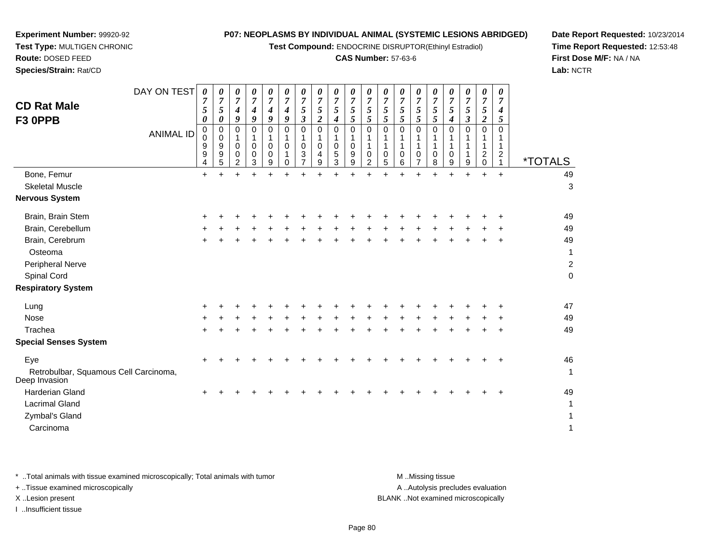**Test Compound:** ENDOCRINE DISRUPTOR(Ethinyl Estradiol)

# **CAS Number:** 57-63-6

49

 $e$ 

**Date Report Requested:** 10/23/2014**Time Report Requested:** 12:53:48**First Dose M/F:** NA / NA**Lab:** NCTR

| <b>CD Rat Male</b><br>F3 OPPB | DAY ON TEST      | 0<br>$\overline{7}$<br>5<br>0 | 0<br>7<br>$5\overline{)}$<br>$\boldsymbol{\theta}$ | $\boldsymbol{\theta}$<br>$\mathbf{z}$<br>$\boldsymbol{4}$<br>9 | 0<br>7<br>4<br>9 | $\boldsymbol{\theta}$<br>7<br>4<br>9 | $\boldsymbol{\theta}$<br>7<br>4<br>9 | 0<br>7<br>$\mathcal{L}$<br>3 | $\theta$<br>7<br>5 | 0<br>$\overline{7}$<br>5<br>4 | $\boldsymbol{\theta}$<br>$\overline{7}$<br>5<br>5 | 0<br>7<br>5 | $\boldsymbol{\theta}$<br>7<br>C | $\boldsymbol{\theta}$<br>7<br>$\mathfrak{I}$ | 0<br>7<br>5 | 0<br>7<br>5<br>5 | $\boldsymbol{\theta}$<br>$\overline{7}$<br>5<br>4 | $\boldsymbol{\theta}$<br>7<br>5<br>3 | $\boldsymbol{\theta}$<br>7<br>5<br>$\overline{\mathbf{2}}$ | 0<br>7<br>4         |                       |
|-------------------------------|------------------|-------------------------------|----------------------------------------------------|----------------------------------------------------------------|------------------|--------------------------------------|--------------------------------------|------------------------------|--------------------|-------------------------------|---------------------------------------------------|-------------|---------------------------------|----------------------------------------------|-------------|------------------|---------------------------------------------------|--------------------------------------|------------------------------------------------------------|---------------------|-----------------------|
|                               | <b>ANIMAL ID</b> | 0<br>0<br>9<br>9<br>4         | 0<br>0<br>9<br>9<br>5                              | ົ                                                              | 0<br>0<br>0<br>3 | 0<br>0<br>$\mathbf 0$<br>9           | 0<br>0                               | 0<br>3                       | 4<br>9             | 0<br>0<br>5<br>3              | $\mathbf 0$<br>$\pmb{0}$<br>$\boldsymbol{9}$<br>9 | 0<br>0<br>ົ | 0<br>5                          | 0<br>6                                       | 0<br>0      | 0<br>8           | 0<br>0<br>9                                       | 9                                    | 0<br>$\overline{2}$<br>0                                   | 0<br>$\overline{2}$ | <i><b>*TOTALS</b></i> |
| Bone, Femur                   |                  | $\ddot{}$                     |                                                    | ÷                                                              | +                |                                      |                                      |                              | +                  | 4                             |                                                   |             |                                 |                                              | ÷           |                  | +                                                 | ÷                                    | $\pm$                                                      | $\ddot{}$           | 49                    |
| <b>Skeletal Muscle</b>        |                  |                               |                                                    |                                                                |                  |                                      |                                      |                              |                    |                               |                                                   |             |                                 |                                              |             |                  |                                                   |                                      |                                                            |                     | 3                     |
| <b>Nervous System</b>         |                  |                               |                                                    |                                                                |                  |                                      |                                      |                              |                    |                               |                                                   |             |                                 |                                              |             |                  |                                                   |                                      |                                                            |                     |                       |
| Brain, Brain Stem             |                  | ٠                             |                                                    |                                                                |                  |                                      |                                      |                              |                    |                               |                                                   |             |                                 |                                              |             |                  |                                                   |                                      |                                                            | $\div$              | 49                    |
| Brain, Cerebellum             |                  | $\pm$                         |                                                    |                                                                |                  |                                      |                                      |                              |                    | ÷                             |                                                   |             |                                 | +                                            | ÷           |                  |                                                   |                                      | ÷                                                          | $\div$              | 49                    |
| Brain, Cerebrum               |                  | ٠                             |                                                    |                                                                |                  |                                      |                                      |                              |                    |                               |                                                   |             |                                 |                                              | ÷           |                  |                                                   |                                      | ٠                                                          | $\ddot{}$           | 49                    |
| Osteoma                       |                  |                               |                                                    |                                                                |                  |                                      |                                      |                              |                    |                               |                                                   |             |                                 |                                              |             |                  |                                                   |                                      |                                                            |                     | 1                     |

#### $\sim$  0 **Respiratory System**

Peripheral Nerve

Spinal Cord

**Experiment Number:** 99920-92**Test Type:** MULTIGEN CHRONIC

| $1.55$ p $1.45$ $1.75$                                 |       |  |   |   |  |   |   |   |   |       |       |    |         |              |
|--------------------------------------------------------|-------|--|---|---|--|---|---|---|---|-------|-------|----|---------|--------------|
| Lung                                                   | $+$   |  |   |   |  |   |   |   |   |       |       |    |         | 47           |
| Nose                                                   | $\pm$ |  | + | ÷ |  | ÷ | ÷ | ٠ | ÷ | ÷     | $\pm$ | ÷. | $+$     | 49           |
| Trachea                                                | $+$   |  |   |   |  | ÷ | ÷ |   | + | $\pm$ | $+$   |    | $+$ $+$ | 49           |
| <b>Special Senses System</b>                           |       |  |   |   |  |   |   |   |   |       |       |    |         |              |
| Eye                                                    | $+$   |  |   |   |  |   |   |   |   |       |       |    | $+$     | 46           |
| Retrobulbar, Squamous Cell Carcinoma,<br>Deep Invasion |       |  |   |   |  |   |   |   |   |       |       |    |         | $\mathbf{1}$ |
| Harderian Gland                                        | $\pm$ |  |   |   |  |   |   |   |   |       |       |    | $+$     | 49           |
| <b>Lacrimal Gland</b>                                  |       |  |   |   |  |   |   |   |   |       |       |    |         | $\mathbf{1}$ |
| Zymbal's Gland                                         |       |  |   |   |  |   |   |   |   |       |       |    |         | $\mathbf{1}$ |
| Carcinoma                                              |       |  |   |   |  |   |   |   |   |       |       |    |         | 1            |
|                                                        |       |  |   |   |  |   |   |   |   |       |       |    |         |              |

| * Total animals with tissue examined microscopically; Total animals with tumor | M Missing tissue                   |
|--------------------------------------------------------------------------------|------------------------------------|
| + Tissue examined microscopically                                              | A Autolysis precludes evaluation   |
| X Lesion present                                                               | BLANK Not examined microscopically |
| Insufficient tissue                                                            |                                    |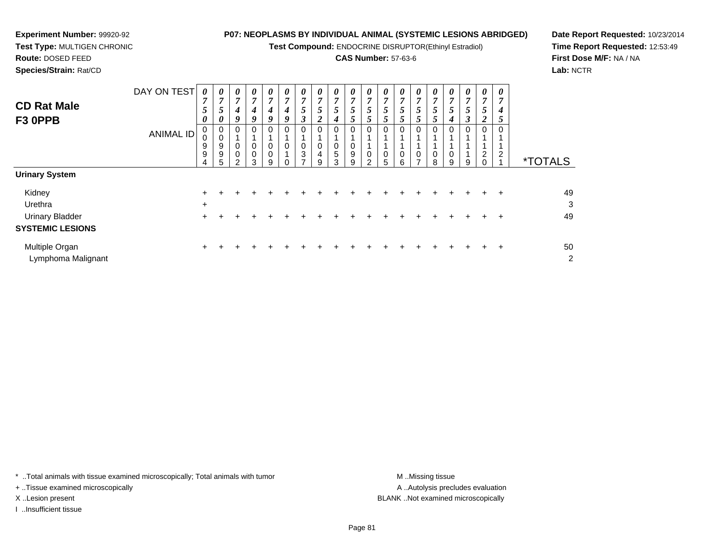**Test Compound:** ENDOCRINE DISRUPTOR(Ethinyl Estradiol)

# **CAS Number:** 57-63-6

**Date Report Requested:** 10/23/2014**Time Report Requested:** 12:53:49**First Dose M/F:** NA / NA**Lab:** NCTR

| <b>Route: DOSED FEED</b>      |                                                                                                                                        |  |  |  |  |
|-------------------------------|----------------------------------------------------------------------------------------------------------------------------------------|--|--|--|--|
| <b>Species/Strain: Rat/CD</b> |                                                                                                                                        |  |  |  |  |
|                               | DAY ON TEST $\begin{array}{ c c c c c c c c } \hline \rho & o & o & o & o & o & o \ \hline \tau & 7 & 7 & 7 & 7 & 7 & 7 \ \end{array}$ |  |  |  |  |
| <b>CD Rat Male</b>            |                                                                                                                                        |  |  |  |  |
|                               |                                                                                                                                        |  |  |  |  |

| <b>CD Rat Male</b><br>F3 OPPB                                          | DAY ON TEST<br><b>ANIMAL ID</b> | 0<br>$\overline{ }$<br>5<br>0<br>0<br>0<br>9<br>9<br>4 | $\boldsymbol{\theta}$<br>7<br>5<br>0<br>υ<br>9<br>9<br>5 | 0<br>$\overline{7}$<br>4<br>9<br>0<br>0<br>0<br>ົ | 0<br>$\overline{ }$<br>4<br>9<br>0<br>0<br>0<br>3 | $\boldsymbol{\theta}$<br>$\overline{7}$<br>4<br>9<br>0<br>$\mathbf 0$<br>$\mathbf 0$<br>9 | 0<br>7<br>4<br>9<br>0<br>0 | 0<br>$\overline{7}$<br>5<br>3<br>0<br>$\boldsymbol{0}$<br>3<br>$\overline{ }$ | $\theta$<br>$\overline{7}$<br>$\mathcal{P}$<br>$\overline{\mathbf{c}}$<br>0<br>0<br>4<br>9 | $\boldsymbol{\theta}$<br>$\boldsymbol{7}$<br>5<br>4<br>0<br>0<br>5<br>3 | $\boldsymbol{\theta}$<br>$\overline{7}$<br>5<br>Ć<br>0<br>0<br>$\mathsf g$<br>9 | 0<br>$\overline{7}$<br>5<br>0<br>C | 0<br>$\overline{7}$<br>C<br>0<br>0<br>5 | $\boldsymbol{\theta}$<br>7<br>5<br>5<br>0<br>0<br>6 | $\boldsymbol{\theta}$<br>7<br>$\mathcal{L}$<br>0<br>0 | 0<br>$\overline{7}$<br>5<br>0<br>0<br>8 | 0<br>7<br>5<br>4<br>0<br>0<br>9 | 0<br>$\overline{7}$<br>5<br>3<br>0<br>9 | 0<br>$\overline{ }$<br>5<br>◠<br>∠<br>0<br>$\overline{2}$ | 0<br>7<br>4<br>Ć<br>0<br>$\overline{2}$ | <i><b>*TOTALS</b></i> |
|------------------------------------------------------------------------|---------------------------------|--------------------------------------------------------|----------------------------------------------------------|---------------------------------------------------|---------------------------------------------------|-------------------------------------------------------------------------------------------|----------------------------|-------------------------------------------------------------------------------|--------------------------------------------------------------------------------------------|-------------------------------------------------------------------------|---------------------------------------------------------------------------------|------------------------------------|-----------------------------------------|-----------------------------------------------------|-------------------------------------------------------|-----------------------------------------|---------------------------------|-----------------------------------------|-----------------------------------------------------------|-----------------------------------------|-----------------------|
| <b>Urinary System</b>                                                  |                                 |                                                        |                                                          |                                                   |                                                   |                                                                                           |                            |                                                                               |                                                                                            |                                                                         |                                                                                 |                                    |                                         |                                                     |                                                       |                                         |                                 |                                         |                                                           |                                         |                       |
| Kidney<br>Urethra<br><b>Urinary Bladder</b><br><b>SYSTEMIC LESIONS</b> |                                 | $\pm$<br>$\ddot{}$<br>$\pm$                            |                                                          |                                                   |                                                   |                                                                                           |                            |                                                                               |                                                                                            |                                                                         |                                                                                 |                                    |                                         |                                                     |                                                       |                                         |                                 |                                         |                                                           | $\pm$                                   | 49<br>3<br>49         |
| Multiple Organ<br>Lymphoma Malignant                                   |                                 | $\ddot{}$                                              |                                                          |                                                   | ٠                                                 |                                                                                           |                            |                                                                               | +                                                                                          |                                                                         | ÷                                                                               |                                    |                                         |                                                     |                                                       | +                                       |                                 | +                                       | $\pm$                                                     | ÷                                       | 50<br>$\overline{c}$  |

\* ..Total animals with tissue examined microscopically; Total animals with tumor **M** . Missing tissue M ..Missing tissue

+ ..Tissue examined microscopically

**Experiment Number:** 99920-92**Test Type:** MULTIGEN CHRONIC

I ..Insufficient tissue

A ..Autolysis precludes evaluation X ..Lesion present BLANK ..Not examined microscopically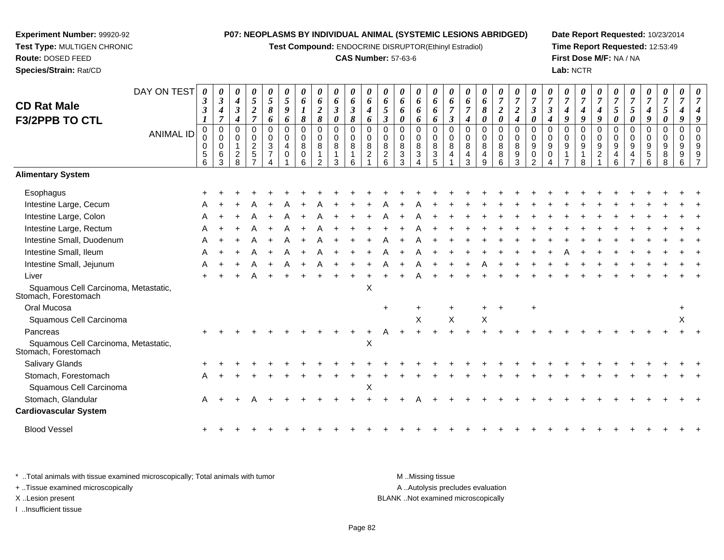**Experiment Number:** 99920-92**Test Type:** MULTIGEN CHRONIC

**Route:** DOSED FEED**Species/Strain:** Rat/CD

Stomach, Glandular

**Cardiovascular System**

Blood Vessel

r A

 $\mathbf{+}$ 

**Test Compound:** ENDOCRINE DISRUPTOR(Ethinyl Estradiol)

# **CAS Number:** 57-63-6

**Date Report Requested:** 10/23/2014 **Time Report Requested:** 12:53:49**First Dose M/F:** NA / NA**Lab:** NCTR

> *7*

| <b>CD Rat Male</b><br><b>F3/2PPB TO CTL</b>                  | DAY ON TEST<br>ANIMAL ID | 0<br>3<br>3<br>0<br>$\mathbf 0$<br>0<br>$\sqrt{5}$<br>6 | 0<br>$\boldsymbol{\beta}$<br>4<br>$\overline{7}$<br>0<br>$\mathbf 0$<br>0<br>$\,6$<br>3 | $\boldsymbol{4}$<br>$\boldsymbol{\beta}$<br>$\boldsymbol{4}$<br>$\mathbf 0$<br>$\Omega$<br>$\overline{2}$<br>$\mathsf{R}$ | 0<br>$5\overline{)}$<br>$\overline{\mathbf{c}}$<br>$\overline{7}$<br>0<br>0<br>2<br>5 | 0<br>5<br>8<br>6<br>0<br>$\mathbf 0$<br>3<br>$\overline{7}$ | 0<br>5<br>9<br>6<br>0<br>$\mathbf 0$<br>$\overline{4}$<br>0 | 0<br>6<br>$\boldsymbol{l}$<br>8<br>$\mathbf 0$<br>$\mathbf 0$<br>8<br>0<br>6 | $\boldsymbol{\theta}$<br>6<br>$\boldsymbol{2}$<br>$\pmb{8}$<br>$\mathbf 0$<br>$\mathbf 0$<br>8<br>$\mathcal{D}$ | 0<br>6<br>$\boldsymbol{\beta}$<br>$\boldsymbol{\theta}$<br>0<br>$\mathbf 0$<br>8<br>3 | 0<br>6<br>$\boldsymbol{\beta}$<br>8<br>0<br>0<br>8<br>6 | $\boldsymbol{\theta}$<br>6<br>$\boldsymbol{4}$<br>6<br>$\pmb{0}$<br>$\mathbf 0$<br>8<br>$\overline{c}$ | $\boldsymbol{\theta}$<br>6<br>5<br>$\boldsymbol{\beta}$<br>0<br>$\mathbf 0$<br>$\bf8$<br>$\sqrt{2}$<br>6 | $\boldsymbol{\theta}$<br>6<br>6<br>0<br>0<br>$\mathbf 0$<br>8<br>$\sqrt{3}$<br>3 | 0<br>6<br>6<br>6<br>0<br>0<br>8<br>3 | 0<br>6<br>6<br>6<br>0<br>$\,0\,$<br>8<br>$\ensuremath{\mathsf{3}}$<br>5 | 0<br>6<br>$\overline{7}$<br>$\boldsymbol{\beta}$<br>$\pmb{0}$<br>$\pmb{0}$<br>8<br>4 | U<br>6<br>4<br>0<br>$\mathbf 0$<br>8<br>4<br>3 | 6<br>$\pmb{8}$<br>$\boldsymbol{\theta}$<br>$\mathbf 0$<br>$\mathbf 0$<br>8<br>4<br>$\mathsf{Q}$ | $\boldsymbol{\theta}$<br>$\overline{7}$<br>$\boldsymbol{2}$<br>$\boldsymbol{\theta}$<br>0<br>$\pmb{0}$<br>8<br>8<br>6 | 0<br>$\overline{7}$<br>$\boldsymbol{2}$<br>4<br>0<br>$\pmb{0}$<br>8<br>9<br>3 | 0<br>$\overline{7}$<br>$\boldsymbol{\beta}$<br>0<br>0<br>0<br>9<br>0<br>$\mathcal{P}$ | $\boldsymbol{\beta}$<br>4<br>0<br>$\mathbf 0$<br>9<br>0 | 9<br>$\Omega$<br>$\Omega$<br>9 | $\boldsymbol{\theta}$<br>$\overline{7}$<br>9<br>0<br>0<br>9<br>8 | U<br>$\overline{7}$<br>9<br>0<br>$\mathbf 0$<br>9<br>$\overline{c}$ | U<br>$\overline{7}$<br>5<br>0<br>0<br>0<br>9<br>4<br>6 | 5<br>$\boldsymbol{\theta}$<br>0<br>0<br>9<br>4<br>$\overline{ }$ | 4<br>9<br>0<br>$\mathbf 0$<br>9<br>5<br>6 | 0<br>$\boldsymbol{7}$<br>$\mathfrak{s}$<br>$\boldsymbol{\theta}$<br>0<br>0<br>9<br>8<br>8 | $\boldsymbol{\theta}$<br>$\overline{7}$<br>$\mathbf 0$<br>$\Omega$<br>9<br>9<br>6 |  |
|--------------------------------------------------------------|--------------------------|---------------------------------------------------------|-----------------------------------------------------------------------------------------|---------------------------------------------------------------------------------------------------------------------------|---------------------------------------------------------------------------------------|-------------------------------------------------------------|-------------------------------------------------------------|------------------------------------------------------------------------------|-----------------------------------------------------------------------------------------------------------------|---------------------------------------------------------------------------------------|---------------------------------------------------------|--------------------------------------------------------------------------------------------------------|----------------------------------------------------------------------------------------------------------|----------------------------------------------------------------------------------|--------------------------------------|-------------------------------------------------------------------------|--------------------------------------------------------------------------------------|------------------------------------------------|-------------------------------------------------------------------------------------------------|-----------------------------------------------------------------------------------------------------------------------|-------------------------------------------------------------------------------|---------------------------------------------------------------------------------------|---------------------------------------------------------|--------------------------------|------------------------------------------------------------------|---------------------------------------------------------------------|--------------------------------------------------------|------------------------------------------------------------------|-------------------------------------------|-------------------------------------------------------------------------------------------|-----------------------------------------------------------------------------------|--|
| <b>Alimentary System</b>                                     |                          |                                                         |                                                                                         |                                                                                                                           |                                                                                       |                                                             |                                                             |                                                                              |                                                                                                                 |                                                                                       |                                                         |                                                                                                        |                                                                                                          |                                                                                  |                                      |                                                                         |                                                                                      |                                                |                                                                                                 |                                                                                                                       |                                                                               |                                                                                       |                                                         |                                |                                                                  |                                                                     |                                                        |                                                                  |                                           |                                                                                           |                                                                                   |  |
| Esophagus                                                    |                          |                                                         |                                                                                         |                                                                                                                           |                                                                                       |                                                             |                                                             |                                                                              |                                                                                                                 |                                                                                       |                                                         |                                                                                                        |                                                                                                          |                                                                                  |                                      |                                                                         |                                                                                      |                                                |                                                                                                 |                                                                                                                       |                                                                               |                                                                                       |                                                         |                                |                                                                  |                                                                     |                                                        |                                                                  |                                           |                                                                                           |                                                                                   |  |
| Intestine Large, Cecum                                       |                          |                                                         |                                                                                         |                                                                                                                           |                                                                                       |                                                             |                                                             |                                                                              |                                                                                                                 |                                                                                       |                                                         |                                                                                                        |                                                                                                          |                                                                                  |                                      |                                                                         |                                                                                      |                                                |                                                                                                 |                                                                                                                       |                                                                               |                                                                                       |                                                         |                                |                                                                  |                                                                     |                                                        |                                                                  |                                           |                                                                                           |                                                                                   |  |
| Intestine Large, Colon                                       |                          |                                                         |                                                                                         |                                                                                                                           |                                                                                       |                                                             |                                                             |                                                                              |                                                                                                                 |                                                                                       |                                                         |                                                                                                        |                                                                                                          |                                                                                  |                                      |                                                                         |                                                                                      |                                                |                                                                                                 |                                                                                                                       |                                                                               |                                                                                       |                                                         |                                |                                                                  |                                                                     |                                                        |                                                                  |                                           |                                                                                           |                                                                                   |  |
| Intestine Large, Rectum                                      |                          |                                                         |                                                                                         |                                                                                                                           |                                                                                       |                                                             |                                                             |                                                                              |                                                                                                                 |                                                                                       |                                                         |                                                                                                        |                                                                                                          |                                                                                  |                                      |                                                                         |                                                                                      |                                                |                                                                                                 |                                                                                                                       |                                                                               |                                                                                       |                                                         |                                |                                                                  |                                                                     |                                                        |                                                                  |                                           |                                                                                           |                                                                                   |  |
| Intestine Small, Duodenum                                    |                          |                                                         |                                                                                         |                                                                                                                           |                                                                                       |                                                             |                                                             |                                                                              |                                                                                                                 |                                                                                       |                                                         |                                                                                                        |                                                                                                          |                                                                                  |                                      |                                                                         |                                                                                      |                                                |                                                                                                 |                                                                                                                       |                                                                               |                                                                                       |                                                         |                                |                                                                  |                                                                     |                                                        |                                                                  |                                           |                                                                                           |                                                                                   |  |
| Intestine Small, Ileum                                       |                          |                                                         |                                                                                         |                                                                                                                           |                                                                                       |                                                             |                                                             |                                                                              |                                                                                                                 |                                                                                       |                                                         |                                                                                                        |                                                                                                          |                                                                                  |                                      |                                                                         |                                                                                      |                                                |                                                                                                 |                                                                                                                       |                                                                               |                                                                                       |                                                         |                                |                                                                  |                                                                     |                                                        |                                                                  |                                           |                                                                                           |                                                                                   |  |
| Intestine Small, Jejunum                                     |                          |                                                         |                                                                                         |                                                                                                                           |                                                                                       |                                                             |                                                             |                                                                              |                                                                                                                 |                                                                                       |                                                         |                                                                                                        |                                                                                                          |                                                                                  |                                      |                                                                         |                                                                                      |                                                |                                                                                                 |                                                                                                                       |                                                                               |                                                                                       |                                                         |                                |                                                                  |                                                                     |                                                        |                                                                  |                                           |                                                                                           |                                                                                   |  |
| Liver                                                        |                          |                                                         |                                                                                         |                                                                                                                           |                                                                                       |                                                             |                                                             |                                                                              |                                                                                                                 |                                                                                       |                                                         |                                                                                                        |                                                                                                          |                                                                                  |                                      |                                                                         |                                                                                      |                                                |                                                                                                 |                                                                                                                       |                                                                               |                                                                                       |                                                         |                                |                                                                  |                                                                     |                                                        |                                                                  |                                           |                                                                                           |                                                                                   |  |
| Squamous Cell Carcinoma, Metastatic,<br>Stomach, Forestomach |                          |                                                         |                                                                                         |                                                                                                                           |                                                                                       |                                                             |                                                             |                                                                              |                                                                                                                 |                                                                                       |                                                         | X                                                                                                      |                                                                                                          |                                                                                  |                                      |                                                                         |                                                                                      |                                                |                                                                                                 |                                                                                                                       |                                                                               |                                                                                       |                                                         |                                |                                                                  |                                                                     |                                                        |                                                                  |                                           |                                                                                           |                                                                                   |  |
| Oral Mucosa                                                  |                          |                                                         |                                                                                         |                                                                                                                           |                                                                                       |                                                             |                                                             |                                                                              |                                                                                                                 |                                                                                       |                                                         |                                                                                                        | $\ddot{}$                                                                                                |                                                                                  |                                      |                                                                         |                                                                                      |                                                |                                                                                                 |                                                                                                                       |                                                                               | ÷                                                                                     |                                                         |                                |                                                                  |                                                                     |                                                        |                                                                  |                                           |                                                                                           |                                                                                   |  |
| Squamous Cell Carcinoma                                      |                          |                                                         |                                                                                         |                                                                                                                           |                                                                                       |                                                             |                                                             |                                                                              |                                                                                                                 |                                                                                       |                                                         |                                                                                                        |                                                                                                          |                                                                                  | X                                    |                                                                         | $\pmb{\times}$                                                                       |                                                | $\pmb{\times}$                                                                                  |                                                                                                                       |                                                                               |                                                                                       |                                                         |                                |                                                                  |                                                                     |                                                        |                                                                  |                                           |                                                                                           | X                                                                                 |  |
| Pancreas                                                     |                          |                                                         |                                                                                         |                                                                                                                           |                                                                                       |                                                             |                                                             |                                                                              |                                                                                                                 |                                                                                       |                                                         |                                                                                                        |                                                                                                          |                                                                                  |                                      |                                                                         |                                                                                      |                                                |                                                                                                 |                                                                                                                       |                                                                               |                                                                                       |                                                         |                                |                                                                  |                                                                     |                                                        |                                                                  |                                           |                                                                                           |                                                                                   |  |
| Squamous Cell Carcinoma, Metastatic,<br>Stomach, Forestomach |                          |                                                         |                                                                                         |                                                                                                                           |                                                                                       |                                                             |                                                             |                                                                              |                                                                                                                 |                                                                                       |                                                         | X                                                                                                      |                                                                                                          |                                                                                  |                                      |                                                                         |                                                                                      |                                                |                                                                                                 |                                                                                                                       |                                                                               |                                                                                       |                                                         |                                |                                                                  |                                                                     |                                                        |                                                                  |                                           |                                                                                           |                                                                                   |  |
| Salivary Glands                                              |                          |                                                         |                                                                                         |                                                                                                                           |                                                                                       |                                                             |                                                             |                                                                              |                                                                                                                 |                                                                                       |                                                         |                                                                                                        |                                                                                                          |                                                                                  |                                      |                                                                         |                                                                                      |                                                |                                                                                                 |                                                                                                                       |                                                                               |                                                                                       |                                                         |                                |                                                                  |                                                                     |                                                        |                                                                  |                                           |                                                                                           |                                                                                   |  |
| Stomach, Forestomach                                         |                          |                                                         |                                                                                         |                                                                                                                           |                                                                                       |                                                             |                                                             |                                                                              |                                                                                                                 |                                                                                       |                                                         |                                                                                                        |                                                                                                          |                                                                                  |                                      |                                                                         |                                                                                      |                                                |                                                                                                 |                                                                                                                       |                                                                               |                                                                                       |                                                         |                                |                                                                  |                                                                     |                                                        |                                                                  |                                           |                                                                                           |                                                                                   |  |
| Squamous Cell Carcinoma                                      |                          |                                                         |                                                                                         |                                                                                                                           |                                                                                       |                                                             |                                                             |                                                                              |                                                                                                                 |                                                                                       |                                                         | X                                                                                                      |                                                                                                          |                                                                                  |                                      |                                                                         |                                                                                      |                                                |                                                                                                 |                                                                                                                       |                                                                               |                                                                                       |                                                         |                                |                                                                  |                                                                     |                                                        |                                                                  |                                           |                                                                                           |                                                                                   |  |

| * Total animals with tissue examined microscopically; Total animals with tumor | M Missing tissue                   |
|--------------------------------------------------------------------------------|------------------------------------|
| + Tissue examined microscopically                                              | A Autolysis precludes evaluation   |
| X Lesion present                                                               | BLANK Not examined microscopically |
| Insufficient tissue                                                            |                                    |

<sup>+</sup> <sup>+</sup> <sup>A</sup> <sup>+</sup> <sup>+</sup> <sup>+</sup> <sup>+</sup> <sup>+</sup> <sup>+</sup> <sup>+</sup> <sup>+</sup> <sup>+</sup> <sup>A</sup> <sup>+</sup> <sup>+</sup> <sup>+</sup> <sup>+</sup> <sup>+</sup> <sup>+</sup> <sup>+</sup> <sup>+</sup> <sup>+</sup> <sup>+</sup> <sup>+</sup> <sup>+</sup> <sup>+</sup> <sup>+</sup> <sup>+</sup> <sup>+</sup> <sup>+</sup>

<sup>+</sup> <sup>+</sup> <sup>+</sup> <sup>+</sup> <sup>+</sup> <sup>+</sup> <sup>+</sup> <sup>+</sup> <sup>+</sup> <sup>+</sup> <sup>+</sup> <sup>+</sup> <sup>+</sup> <sup>+</sup> <sup>+</sup> <sup>+</sup> <sup>+</sup> <sup>+</sup> <sup>+</sup> <sup>+</sup> <sup>+</sup> <sup>+</sup> <sup>+</sup> <sup>+</sup> <sup>+</sup> <sup>+</sup> <sup>+</sup> <sup>+</sup> <sup>+</sup> <sup>+</sup>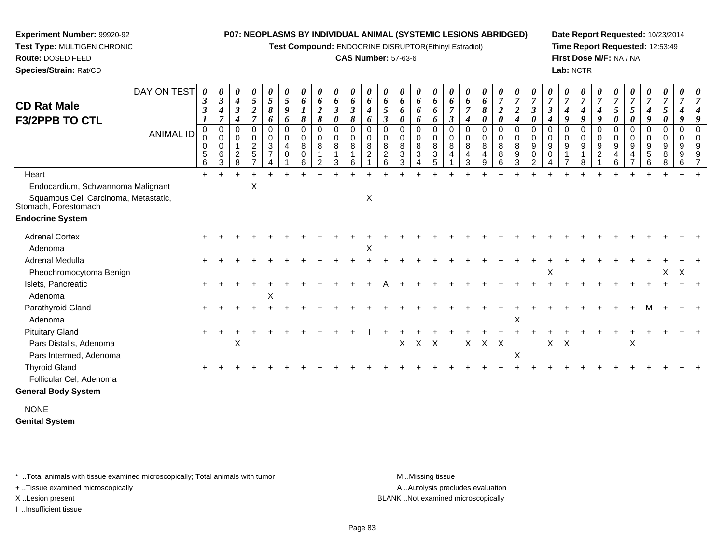**Test Compound:** ENDOCRINE DISRUPTOR(Ethinyl Estradiol)

# **CAS Number:** 57-63-6

**Date Report Requested:** 10/23/2014**Time Report Requested:** 12:53:49**First Dose M/F:** NA / NA**Lab:** NCTR

| <b>CD Rat Male</b>                                           | DAY ON TEST      | 0<br>3<br>3                       | 0<br>$\boldsymbol{\beta}$<br>4                                | 0<br>$\boldsymbol{4}$<br>$\boldsymbol{\beta}$           | 0<br>5<br>$\boldsymbol{2}$                                                | 0<br>5<br>8                                     | 0<br>5<br>9                               | 0<br>6<br>$\boldsymbol{l}$ | 0<br>6<br>$\boldsymbol{2}$      | $\boldsymbol{\theta}$<br>6<br>$\mathfrak{z}$                       | 0<br>6<br>$\mathfrak{z}$ | 0<br>6<br>$\boldsymbol{4}$                             | 0<br>6<br>5                                                         | 0<br>6<br>6                         | 0<br>6<br>6                                                                       | 0<br>6<br>6                                   | $\boldsymbol{\theta}$<br>6<br>$\overline{7}$                  | 0<br>6<br>$\boldsymbol{7}$                 | 0<br>6<br>8                          | 0<br>$\overline{7}$<br>$\boldsymbol{2}$                  | 0<br>$\boldsymbol{7}$<br>$\boldsymbol{2}$                              | 0<br>$\overline{7}$<br>$\boldsymbol{\beta}$                                                    | $\pmb{\theta}$<br>$\overline{7}$<br>$\boldsymbol{\beta}$                     | 0<br>$\overline{7}$<br>$\boldsymbol{4}$                                                  | 0<br>$\overline{7}$<br>4 | 0<br>$\overline{7}$<br>4                                    | 0<br>$\overline{7}$<br>5                                       | 0<br>$\overline{7}$<br>$5\overline{)}$       | 0<br>$\overline{7}$<br>$\boldsymbol{4}$                     | 0<br>$\overline{7}$<br>5                | 0<br>$\overline{7}$<br>4             | $\boldsymbol{\theta}$<br>$\overline{7}$        |
|--------------------------------------------------------------|------------------|-----------------------------------|---------------------------------------------------------------|---------------------------------------------------------|---------------------------------------------------------------------------|-------------------------------------------------|-------------------------------------------|----------------------------|---------------------------------|--------------------------------------------------------------------|--------------------------|--------------------------------------------------------|---------------------------------------------------------------------|-------------------------------------|-----------------------------------------------------------------------------------|-----------------------------------------------|---------------------------------------------------------------|--------------------------------------------|--------------------------------------|----------------------------------------------------------|------------------------------------------------------------------------|------------------------------------------------------------------------------------------------|------------------------------------------------------------------------------|------------------------------------------------------------------------------------------|--------------------------|-------------------------------------------------------------|----------------------------------------------------------------|----------------------------------------------|-------------------------------------------------------------|-----------------------------------------|--------------------------------------|------------------------------------------------|
| <b>F3/2PPB TO CTL</b>                                        | <b>ANIMAL ID</b> | $\bm{l}$<br>0<br>0<br>0<br>5<br>6 | $\overline{7}$<br>0<br>$\pmb{0}$<br>$\mathbf 0$<br>$\,6$<br>3 | $\boldsymbol{4}$<br>0<br>$\mathbf 0$<br>$\sqrt{2}$<br>8 | $\overline{7}$<br>0<br>$\pmb{0}$<br>$\overline{c}$<br>5<br>$\overline{z}$ | 6<br>0<br>$\pmb{0}$<br>3<br>$\overline{7}$<br>Δ | 6<br>0<br>$\mathbf 0$<br>4<br>$\mathbf 0$ | 8<br>0<br>0<br>8<br>0<br>6 | 8<br>0<br>$\mathbf 0$<br>8<br>2 | $\pmb{\theta}$<br>0<br>$\mathbf 0$<br>$\bf 8$<br>$\mathbf{1}$<br>3 | 8<br>0<br>0<br>8<br>6    | 6<br>$\mathbf 0$<br>$\mathbf 0$<br>8<br>$\overline{2}$ | $\boldsymbol{\beta}$<br>$\Omega$<br>0<br>8<br>$\boldsymbol{2}$<br>6 | 0<br>0<br>0<br>8<br>$\sqrt{3}$<br>3 | 6<br>$\mathbf 0$<br>$\pmb{0}$<br>$\overline{8}$<br>$\ensuremath{\mathsf{3}}$<br>Δ | 6<br>0<br>$\mathbf 0$<br>8<br>$\sqrt{3}$<br>5 | $\boldsymbol{\beta}$<br>0<br>$\pmb{0}$<br>8<br>$\overline{4}$ | 4<br>0<br>$\mathbf 0$<br>$\bf 8$<br>4<br>3 | 0<br>0<br>$\mathsf 0$<br>8<br>4<br>9 | $\boldsymbol{\theta}$<br>0<br>$\mathbf 0$<br>8<br>8<br>6 | $\boldsymbol{4}$<br>0<br>$\pmb{0}$<br>$\bf 8$<br>$\boldsymbol{9}$<br>3 | $\pmb{\theta}$<br>$\mathbf 0$<br>$\mathsf 0$<br>$\boldsymbol{9}$<br>$\pmb{0}$<br>$\mathcal{P}$ | $\boldsymbol{4}$<br>$\mathbf 0$<br>$\mathbf 0$<br>$\boldsymbol{9}$<br>0<br>4 | $\boldsymbol{g}$<br>0<br>$\pmb{0}$<br>$\boldsymbol{9}$<br>$\mathbf{1}$<br>$\overline{7}$ | 9<br>0<br>0<br>9<br>8    | $\pmb{9}$<br>0<br>0<br>$\boldsymbol{9}$<br>$\boldsymbol{2}$ | $\pmb{\theta}$<br>0<br>$\pmb{0}$<br>$\boldsymbol{9}$<br>4<br>6 | 0<br>0<br>$\mathbf 0$<br>9<br>$\overline{4}$ | 9<br>$\mathbf 0$<br>$\mathbf 0$<br>$9\,$<br>$\sqrt{5}$<br>6 | $\pmb{\theta}$<br>0<br>0<br>9<br>8<br>8 | 9<br>0<br>$\mathbf 0$<br>9<br>9<br>6 | 9<br>$\mathbf 0$<br>$\mathbf 0$<br>9<br>9<br>7 |
| Heart                                                        |                  | $+$                               |                                                               |                                                         |                                                                           |                                                 |                                           |                            |                                 |                                                                    |                          |                                                        |                                                                     |                                     |                                                                                   |                                               |                                                               |                                            |                                      |                                                          |                                                                        |                                                                                                |                                                                              |                                                                                          |                          |                                                             |                                                                |                                              |                                                             |                                         |                                      |                                                |
| Endocardium, Schwannoma Malignant                            |                  |                                   |                                                               |                                                         | X                                                                         |                                                 |                                           |                            |                                 |                                                                    |                          |                                                        |                                                                     |                                     |                                                                                   |                                               |                                                               |                                            |                                      |                                                          |                                                                        |                                                                                                |                                                                              |                                                                                          |                          |                                                             |                                                                |                                              |                                                             |                                         |                                      |                                                |
| Squamous Cell Carcinoma, Metastatic,<br>Stomach, Forestomach |                  |                                   |                                                               |                                                         |                                                                           |                                                 |                                           |                            |                                 |                                                                    |                          | X                                                      |                                                                     |                                     |                                                                                   |                                               |                                                               |                                            |                                      |                                                          |                                                                        |                                                                                                |                                                                              |                                                                                          |                          |                                                             |                                                                |                                              |                                                             |                                         |                                      |                                                |
| <b>Endocrine System</b>                                      |                  |                                   |                                                               |                                                         |                                                                           |                                                 |                                           |                            |                                 |                                                                    |                          |                                                        |                                                                     |                                     |                                                                                   |                                               |                                                               |                                            |                                      |                                                          |                                                                        |                                                                                                |                                                                              |                                                                                          |                          |                                                             |                                                                |                                              |                                                             |                                         |                                      |                                                |
| <b>Adrenal Cortex</b>                                        |                  |                                   |                                                               |                                                         |                                                                           |                                                 |                                           |                            |                                 |                                                                    |                          |                                                        |                                                                     |                                     |                                                                                   |                                               |                                                               |                                            |                                      |                                                          |                                                                        |                                                                                                |                                                                              |                                                                                          |                          |                                                             |                                                                |                                              |                                                             |                                         |                                      |                                                |
| Adenoma                                                      |                  |                                   |                                                               |                                                         |                                                                           |                                                 |                                           |                            |                                 |                                                                    |                          | X                                                      |                                                                     |                                     |                                                                                   |                                               |                                                               |                                            |                                      |                                                          |                                                                        |                                                                                                |                                                                              |                                                                                          |                          |                                                             |                                                                |                                              |                                                             |                                         |                                      |                                                |
| Adrenal Medulla                                              |                  |                                   |                                                               |                                                         |                                                                           |                                                 |                                           |                            |                                 |                                                                    |                          |                                                        |                                                                     |                                     |                                                                                   |                                               |                                                               |                                            |                                      |                                                          |                                                                        |                                                                                                |                                                                              |                                                                                          |                          |                                                             |                                                                |                                              |                                                             |                                         |                                      |                                                |
| Pheochromocytoma Benign                                      |                  |                                   |                                                               |                                                         |                                                                           |                                                 |                                           |                            |                                 |                                                                    |                          |                                                        |                                                                     |                                     |                                                                                   |                                               |                                                               |                                            |                                      |                                                          |                                                                        |                                                                                                | X                                                                            |                                                                                          |                          |                                                             |                                                                |                                              |                                                             | X                                       | X                                    |                                                |
| Islets, Pancreatic                                           |                  |                                   |                                                               |                                                         |                                                                           |                                                 |                                           |                            |                                 |                                                                    |                          |                                                        |                                                                     |                                     |                                                                                   |                                               |                                                               |                                            |                                      |                                                          |                                                                        |                                                                                                |                                                                              |                                                                                          |                          |                                                             |                                                                |                                              |                                                             |                                         |                                      |                                                |
| Adenoma                                                      |                  |                                   |                                                               |                                                         |                                                                           | X                                               |                                           |                            |                                 |                                                                    |                          |                                                        |                                                                     |                                     |                                                                                   |                                               |                                                               |                                            |                                      |                                                          |                                                                        |                                                                                                |                                                                              |                                                                                          |                          |                                                             |                                                                |                                              |                                                             |                                         |                                      |                                                |
| Parathyroid Gland                                            |                  |                                   |                                                               |                                                         |                                                                           |                                                 |                                           |                            |                                 |                                                                    |                          |                                                        |                                                                     |                                     |                                                                                   |                                               |                                                               |                                            |                                      |                                                          |                                                                        |                                                                                                |                                                                              |                                                                                          |                          |                                                             |                                                                |                                              |                                                             |                                         |                                      |                                                |
| Adenoma                                                      |                  |                                   |                                                               |                                                         |                                                                           |                                                 |                                           |                            |                                 |                                                                    |                          |                                                        |                                                                     |                                     |                                                                                   |                                               |                                                               |                                            |                                      |                                                          | Χ                                                                      |                                                                                                |                                                                              |                                                                                          |                          |                                                             |                                                                |                                              |                                                             |                                         |                                      |                                                |
| <b>Pituitary Gland</b>                                       |                  |                                   |                                                               |                                                         |                                                                           |                                                 |                                           |                            |                                 |                                                                    |                          |                                                        |                                                                     |                                     |                                                                                   |                                               |                                                               |                                            |                                      |                                                          |                                                                        |                                                                                                |                                                                              |                                                                                          |                          |                                                             |                                                                |                                              |                                                             |                                         |                                      |                                                |
| Pars Distalis, Adenoma                                       |                  |                                   |                                                               | $\boldsymbol{\mathsf{X}}$                               |                                                                           |                                                 |                                           |                            |                                 |                                                                    |                          |                                                        |                                                                     | X                                   | $X$ $X$                                                                           |                                               |                                                               | $X -$                                      | $X$ $X$                              |                                                          |                                                                        |                                                                                                | X                                                                            | $\mathsf{X}$                                                                             |                          |                                                             |                                                                | X                                            |                                                             |                                         |                                      |                                                |
| Pars Intermed, Adenoma                                       |                  |                                   |                                                               |                                                         |                                                                           |                                                 |                                           |                            |                                 |                                                                    |                          |                                                        |                                                                     |                                     |                                                                                   |                                               |                                                               |                                            |                                      |                                                          | $\mathsf X$                                                            |                                                                                                |                                                                              |                                                                                          |                          |                                                             |                                                                |                                              |                                                             |                                         |                                      |                                                |
| <b>Thyroid Gland</b>                                         |                  |                                   |                                                               |                                                         |                                                                           |                                                 |                                           |                            |                                 |                                                                    |                          |                                                        |                                                                     |                                     |                                                                                   |                                               |                                                               |                                            |                                      |                                                          |                                                                        |                                                                                                |                                                                              |                                                                                          |                          |                                                             |                                                                |                                              |                                                             |                                         |                                      |                                                |
| Follicular Cel, Adenoma                                      |                  |                                   |                                                               |                                                         |                                                                           |                                                 |                                           |                            |                                 |                                                                    |                          |                                                        |                                                                     |                                     |                                                                                   |                                               |                                                               |                                            |                                      |                                                          |                                                                        |                                                                                                |                                                                              |                                                                                          |                          |                                                             |                                                                |                                              |                                                             |                                         |                                      |                                                |
| <b>General Body System</b>                                   |                  |                                   |                                                               |                                                         |                                                                           |                                                 |                                           |                            |                                 |                                                                    |                          |                                                        |                                                                     |                                     |                                                                                   |                                               |                                                               |                                            |                                      |                                                          |                                                                        |                                                                                                |                                                                              |                                                                                          |                          |                                                             |                                                                |                                              |                                                             |                                         |                                      |                                                |
| <b>NONE</b>                                                  |                  |                                   |                                                               |                                                         |                                                                           |                                                 |                                           |                            |                                 |                                                                    |                          |                                                        |                                                                     |                                     |                                                                                   |                                               |                                                               |                                            |                                      |                                                          |                                                                        |                                                                                                |                                                                              |                                                                                          |                          |                                                             |                                                                |                                              |                                                             |                                         |                                      |                                                |
| <b>Genital System</b>                                        |                  |                                   |                                                               |                                                         |                                                                           |                                                 |                                           |                            |                                 |                                                                    |                          |                                                        |                                                                     |                                     |                                                                                   |                                               |                                                               |                                            |                                      |                                                          |                                                                        |                                                                                                |                                                                              |                                                                                          |                          |                                                             |                                                                |                                              |                                                             |                                         |                                      |                                                |

\* ..Total animals with tissue examined microscopically; Total animals with tumor **M** . Missing tissue M ..Missing tissue

+ ..Tissue examined microscopically

**Experiment Number:** 99920-92**Test Type:** MULTIGEN CHRONIC

**Route:** DOSED FEED**Species/Strain:** Rat/CD

I ..Insufficient tissue

A ..Autolysis precludes evaluation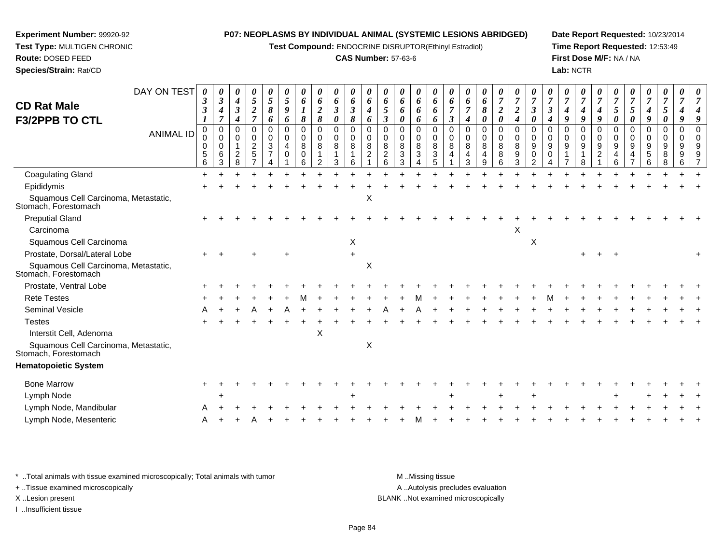**Test Compound:** ENDOCRINE DISRUPTOR(Ethinyl Estradiol)

# **CAS Number:** 57-63-6

**Date Report Requested:** 10/23/2014**Time Report Requested:** 12:53:49**First Dose M/F:** NA / NA**Lab:** NCTR

 **Test Type:** MULTIGEN CHRONIC**Route:** DOSED FEED **Species/Strain:** Rat/CDDAY ON TEST*0000000000000000000000000000000*

| <b>CD Rat Male</b><br><b>F3/2PPB TO CTL</b>                  | 3<br>$\boldsymbol{\beta}$       | 3<br>$\boldsymbol{4}$<br>$\overline{7}$ | 4<br>$\boldsymbol{\beta}$<br>$\boldsymbol{4}$  | 5<br>$\frac{2}{7}$                                       | 5<br>$\pmb{8}$<br>6                                        | 5<br>9<br>6      | 6<br>$\boldsymbol{l}$<br>$\pmb{8}$ | 6<br>$\boldsymbol{2}$<br>8                       | 6<br>$\mathfrak{z}$<br>$\pmb{\theta}$ | 6<br>$\boldsymbol{\beta}$<br>$\pmb{8}$ | 6<br>$\boldsymbol{4}$<br>6                        | 6<br>$\sqrt{5}$<br>$\boldsymbol{\beta}$  | 6<br>6<br>0                                   | 6<br>6<br>6           | 6<br>6<br>6           | $\overline{7}$<br>$\mathfrak{z}$ | 6<br>$\overline{7}$<br>4     | 6<br>$\pmb{8}$<br>0                          | $\boldsymbol{2}$<br>$\boldsymbol{\theta}$     | $\boldsymbol{2}$<br>$\boldsymbol{4}$ | $\boldsymbol{\beta}$<br>0                                 | $\mathfrak{z}$<br>4     | $\boldsymbol{4}$<br>$\boldsymbol{g}$ | 7<br>$\boldsymbol{4}$<br>9              | $\boldsymbol{4}$<br>9                | $\sqrt{5}$<br>$\pmb{\theta}$            | 7<br>$\sqrt{5}$<br>$\boldsymbol{\theta}$   | 7<br>$\boldsymbol{4}$<br>9               | $\overline{7}$<br>5<br>0        | 7<br>4                | 4<br>9                                                 |
|--------------------------------------------------------------|---------------------------------|-----------------------------------------|------------------------------------------------|----------------------------------------------------------|------------------------------------------------------------|------------------|------------------------------------|--------------------------------------------------|---------------------------------------|----------------------------------------|---------------------------------------------------|------------------------------------------|-----------------------------------------------|-----------------------|-----------------------|----------------------------------|------------------------------|----------------------------------------------|-----------------------------------------------|--------------------------------------|-----------------------------------------------------------|-------------------------|--------------------------------------|-----------------------------------------|--------------------------------------|-----------------------------------------|--------------------------------------------|------------------------------------------|---------------------------------|-----------------------|--------------------------------------------------------|
| <b>ANIMAL ID</b>                                             | 0<br>$\mathbf 0$<br>0<br>5<br>6 | 0<br>0<br>$\mathbf 0$<br>6<br>3         | $\mathbf 0$<br>$\Omega$<br>$\overline{c}$<br>8 | 0<br>0<br>$\overline{\mathbf{c}}$<br>5<br>$\overline{7}$ | $\mathbf 0$<br>$\mathbf 0$<br>$\sqrt{3}$<br>$\overline{7}$ | 0<br>0<br>4<br>0 | $\mathbf 0$<br>0<br>8<br>0<br>6    | $\mathbf 0$<br>$\mathbf 0$<br>8<br>$\mathcal{P}$ | 0<br>0<br>8<br>3                      | $\pmb{0}$<br>$\mathbf 0$<br>8<br>6     | $\mathbf 0$<br>$\mathbf 0$<br>8<br>$\overline{c}$ | $\mathbf 0$<br>0<br>8<br>$\sqrt{2}$<br>6 | 0<br>0<br>8<br>$\ensuremath{\mathsf{3}}$<br>3 | 0<br>0<br>8<br>3<br>4 | 0<br>0<br>8<br>3<br>5 | $\mathbf 0$<br>0<br>8<br>4       | $\Omega$<br>0<br>8<br>4<br>3 | $\mathbf 0$<br>0<br>8<br>$\overline{4}$<br>9 | $\pmb{0}$<br>$\mathbf 0$<br>$\,8\,$<br>8<br>6 | $\mathbf 0$<br>0<br>8<br>9<br>3      | $\Omega$<br>$\Omega$<br>9<br>$\mathbf 0$<br>$\mathcal{P}$ | $\Omega$<br>0<br>9<br>0 | 0<br>0<br>9                          | $\pmb{0}$<br>$\mathbf 0$<br>9<br>1<br>8 | $\Omega$<br>0<br>9<br>$\overline{2}$ | $\pmb{0}$<br>$\mathbf 0$<br>9<br>4<br>6 | 0<br>$\pmb{0}$<br>9<br>4<br>$\overline{7}$ | $\mathbf 0$<br>0<br>9<br>$\sqrt{5}$<br>6 | $\mathbf 0$<br>0<br>9<br>8<br>8 | 0<br>0<br>9<br>9<br>6 | $\mathbf 0$<br>$\mathbf 0$<br>9<br>9<br>$\overline{7}$ |
| <b>Coagulating Gland</b>                                     | $\ddot{}$                       |                                         |                                                |                                                          |                                                            |                  |                                    |                                                  |                                       |                                        |                                                   |                                          |                                               |                       |                       |                                  |                              |                                              |                                               |                                      |                                                           |                         |                                      |                                         |                                      |                                         |                                            |                                          |                                 |                       |                                                        |
| Epididymis                                                   |                                 |                                         |                                                |                                                          |                                                            |                  |                                    |                                                  |                                       |                                        |                                                   |                                          |                                               |                       |                       |                                  |                              |                                              |                                               |                                      |                                                           |                         |                                      |                                         |                                      |                                         |                                            |                                          |                                 |                       |                                                        |
| Squamous Cell Carcinoma, Metastatic,<br>Stomach, Forestomach |                                 |                                         |                                                |                                                          |                                                            |                  |                                    |                                                  |                                       |                                        | $\mathsf X$                                       |                                          |                                               |                       |                       |                                  |                              |                                              |                                               |                                      |                                                           |                         |                                      |                                         |                                      |                                         |                                            |                                          |                                 |                       |                                                        |
| <b>Preputial Gland</b>                                       |                                 |                                         |                                                |                                                          |                                                            |                  |                                    |                                                  |                                       |                                        |                                                   |                                          |                                               |                       |                       |                                  |                              |                                              |                                               |                                      |                                                           |                         |                                      |                                         |                                      |                                         |                                            |                                          |                                 |                       |                                                        |
| Carcinoma                                                    |                                 |                                         |                                                |                                                          |                                                            |                  |                                    |                                                  |                                       |                                        |                                                   |                                          |                                               |                       |                       |                                  |                              |                                              |                                               | Χ                                    |                                                           |                         |                                      |                                         |                                      |                                         |                                            |                                          |                                 |                       |                                                        |
| Squamous Cell Carcinoma                                      |                                 |                                         |                                                |                                                          |                                                            |                  |                                    |                                                  |                                       | X                                      |                                                   |                                          |                                               |                       |                       |                                  |                              |                                              |                                               |                                      | $\pmb{\times}$                                            |                         |                                      |                                         |                                      |                                         |                                            |                                          |                                 |                       |                                                        |
| Prostate, Dorsal/Lateral Lobe                                |                                 |                                         |                                                |                                                          |                                                            |                  |                                    |                                                  |                                       | $\ddot{}$                              |                                                   |                                          |                                               |                       |                       |                                  |                              |                                              |                                               |                                      |                                                           |                         |                                      |                                         |                                      |                                         |                                            |                                          |                                 |                       |                                                        |
| Squamous Cell Carcinoma, Metastatic,<br>Stomach, Forestomach |                                 |                                         |                                                |                                                          |                                                            |                  |                                    |                                                  |                                       |                                        | $\pmb{\times}$                                    |                                          |                                               |                       |                       |                                  |                              |                                              |                                               |                                      |                                                           |                         |                                      |                                         |                                      |                                         |                                            |                                          |                                 |                       |                                                        |
| Prostate, Ventral Lobe                                       |                                 |                                         |                                                |                                                          |                                                            |                  |                                    |                                                  |                                       |                                        |                                                   |                                          |                                               |                       |                       |                                  |                              |                                              |                                               |                                      |                                                           |                         |                                      |                                         |                                      |                                         |                                            |                                          |                                 |                       |                                                        |
| <b>Rete Testes</b>                                           |                                 |                                         |                                                |                                                          |                                                            |                  |                                    |                                                  |                                       |                                        |                                                   |                                          |                                               |                       |                       |                                  |                              |                                              |                                               |                                      |                                                           |                         |                                      |                                         |                                      |                                         |                                            |                                          |                                 |                       |                                                        |
| Seminal Vesicle                                              |                                 |                                         |                                                |                                                          |                                                            |                  |                                    |                                                  |                                       |                                        |                                                   |                                          |                                               |                       |                       |                                  |                              |                                              |                                               |                                      |                                                           |                         |                                      |                                         |                                      |                                         |                                            |                                          |                                 |                       |                                                        |
| <b>Testes</b>                                                |                                 |                                         |                                                |                                                          |                                                            |                  |                                    |                                                  |                                       |                                        |                                                   |                                          |                                               |                       |                       |                                  |                              |                                              |                                               |                                      |                                                           |                         |                                      |                                         |                                      |                                         |                                            |                                          |                                 |                       |                                                        |
| Interstit Cell, Adenoma                                      |                                 |                                         |                                                |                                                          |                                                            |                  |                                    | X                                                |                                       |                                        |                                                   |                                          |                                               |                       |                       |                                  |                              |                                              |                                               |                                      |                                                           |                         |                                      |                                         |                                      |                                         |                                            |                                          |                                 |                       |                                                        |
| Squamous Cell Carcinoma, Metastatic,<br>Stomach, Forestomach |                                 |                                         |                                                |                                                          |                                                            |                  |                                    |                                                  |                                       |                                        | $\pmb{\times}$                                    |                                          |                                               |                       |                       |                                  |                              |                                              |                                               |                                      |                                                           |                         |                                      |                                         |                                      |                                         |                                            |                                          |                                 |                       |                                                        |
| <b>Hematopoietic System</b>                                  |                                 |                                         |                                                |                                                          |                                                            |                  |                                    |                                                  |                                       |                                        |                                                   |                                          |                                               |                       |                       |                                  |                              |                                              |                                               |                                      |                                                           |                         |                                      |                                         |                                      |                                         |                                            |                                          |                                 |                       |                                                        |
| <b>Bone Marrow</b>                                           |                                 |                                         |                                                |                                                          |                                                            |                  |                                    |                                                  |                                       |                                        |                                                   |                                          |                                               |                       |                       |                                  |                              |                                              |                                               |                                      |                                                           |                         |                                      |                                         |                                      |                                         |                                            |                                          |                                 |                       |                                                        |
| Lymph Node                                                   |                                 |                                         |                                                |                                                          |                                                            |                  |                                    |                                                  |                                       |                                        |                                                   |                                          |                                               |                       |                       |                                  |                              |                                              |                                               |                                      |                                                           |                         |                                      |                                         |                                      |                                         |                                            |                                          |                                 |                       |                                                        |
| Lymph Node, Mandibular                                       |                                 |                                         |                                                |                                                          |                                                            |                  |                                    |                                                  |                                       |                                        |                                                   |                                          |                                               |                       |                       |                                  |                              |                                              |                                               |                                      |                                                           |                         |                                      |                                         |                                      |                                         |                                            |                                          |                                 |                       |                                                        |
| Lymph Node, Mesenteric                                       |                                 |                                         |                                                |                                                          |                                                            |                  |                                    |                                                  |                                       |                                        |                                                   |                                          |                                               |                       |                       |                                  |                              |                                              |                                               |                                      |                                                           |                         |                                      |                                         |                                      |                                         |                                            |                                          |                                 |                       |                                                        |
|                                                              |                                 |                                         |                                                |                                                          |                                                            |                  |                                    |                                                  |                                       |                                        |                                                   |                                          |                                               |                       |                       |                                  |                              |                                              |                                               |                                      |                                                           |                         |                                      |                                         |                                      |                                         |                                            |                                          |                                 |                       |                                                        |

\* ..Total animals with tissue examined microscopically; Total animals with tumor **M** ...Missing tissue M ...Missing tissue

+ ..Tissue examined microscopically

**Experiment Number:** 99920-92

I ..Insufficient tissue

A .. Autolysis precludes evaluation X ..Lesion present BLANK ..Not examined microscopically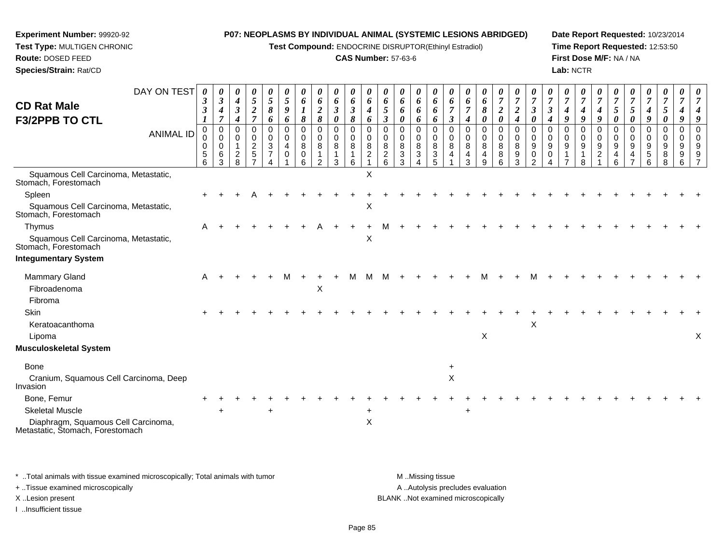**Test Compound:** ENDOCRINE DISRUPTOR(Ethinyl Estradiol)

# **CAS Number:** 57-63-6

**Date Report Requested:** 10/23/2014**Time Report Requested:** 12:53:50**First Dose M/F:** NA / NA**Lab:** NCTR

| <b>CD Rat Male</b>                                                      | DAY ON TEST      | 3                          | $\boldsymbol{\theta}$<br>$\boldsymbol{\beta}$ | $\boldsymbol{\theta}$<br>$\boldsymbol{4}$ | 0<br>$\sqrt{5}$                     | $\boldsymbol{\theta}$<br>$\mathfrak{H}$          | $\boldsymbol{\theta}$<br>$\mathfrak{s}$ | $\boldsymbol{\theta}$<br>6 | $\boldsymbol{\theta}$<br>6        | $\boldsymbol{\theta}$<br>6 | $\boldsymbol{\theta}$<br>6 | $\theta$<br>6            | $\boldsymbol{\theta}$<br>6       | $\boldsymbol{\theta}$<br>6 | $\boldsymbol{\theta}$<br>6 | $\boldsymbol{\theta}$<br>6                     | $\boldsymbol{\theta}$<br>6             | 6                                  | U<br>6                                | $\overline{7}$             | $\overline{7}$                     | $\boldsymbol{\theta}$         |                                          | $\boldsymbol{\theta}$<br>$\overline{7}$ | $\overline{7}$ | $\overline{7}$                     | $\overline{7}$          |                     | $\overline{7}$     | $\overline{7}$        | $\theta$                |   |
|-------------------------------------------------------------------------|------------------|----------------------------|-----------------------------------------------|-------------------------------------------|-------------------------------------|--------------------------------------------------|-----------------------------------------|----------------------------|-----------------------------------|----------------------------|----------------------------|--------------------------|----------------------------------|----------------------------|----------------------------|------------------------------------------------|----------------------------------------|------------------------------------|---------------------------------------|----------------------------|------------------------------------|-------------------------------|------------------------------------------|-----------------------------------------|----------------|------------------------------------|-------------------------|---------------------|--------------------|-----------------------|-------------------------|---|
| <b>F3/2PPB TO CTL</b>                                                   |                  | $\boldsymbol{\beta}$<br>1  | 4<br>$\overline{7}$                           | $\boldsymbol{\beta}$<br>4                 | $\frac{2}{7}$                       | 8<br>6                                           | 9<br>6                                  | 1<br>8                     | $\overline{2}$<br>8               | $\mathfrak{z}$<br>0        | $\boldsymbol{\beta}$<br>8  | 4<br>6                   | 5<br>$\boldsymbol{\beta}$        | 6<br>0                     | 6<br>6                     | 6<br>6                                         | $\overline{7}$<br>$\boldsymbol{\beta}$ | $\overline{7}$<br>$\boldsymbol{4}$ | 8<br>0                                | $\boldsymbol{2}$<br>0      | $\boldsymbol{2}$<br>$\overline{4}$ | $\mathfrak{z}$<br>0           | $\boldsymbol{\beta}$<br>$\boldsymbol{4}$ | 4<br>9                                  | 9              | 4<br>9                             | $\mathfrak{s}$<br>0     | $\mathfrak{s}$<br>0 | 4<br>9             | $\sqrt{5}$<br>0       | 9                       |   |
|                                                                         | <b>ANIMAL ID</b> | $\Omega$                   | $\mathbf 0$                                   | $\Omega$                                  | 0                                   | $\mathbf 0$                                      | $\mathbf 0$                             | $\mathbf 0$                | $\mathbf 0$                       | 0                          | $\mathbf 0$                | $\Omega$                 | $\Omega$                         | $\Omega$                   | 0                          | $\mathbf 0$                                    | $\Omega$                               | $\Omega$                           | $\Omega$                              | 0                          | $\mathbf 0$                        | $\Omega$                      | 0                                        | $\Omega$                                | 0              | $\Omega$                           | $\Omega$                | $\Omega$            | $\Omega$           | 0                     | $\Omega$                |   |
|                                                                         |                  | 0<br>0<br>$\mathbf 5$<br>6 | $\Omega$<br>0<br>6<br>3                       | $\mathbf 0$<br>$\overline{c}$<br>8        | 0<br>$\boldsymbol{2}$<br>$\sqrt{5}$ | $\mathbf 0$<br>$\sqrt{3}$<br>$\overline{7}$<br>Δ | 0<br>4<br>0                             | $\mathbf 0$<br>8<br>0<br>6 | $\mathbf 0$<br>8<br>$\mathcal{P}$ | 0<br>8<br>1                | $\mathbf 0$<br>8<br>1      | 0<br>8<br>$\overline{2}$ | $\Omega$<br>8<br>$\sqrt{2}$<br>6 | $\mathbf 0$<br>8<br>3<br>3 | 0<br>8<br>3                | 0<br>$\bf 8$<br>$\ensuremath{\mathsf{3}}$<br>5 | 0<br>8                                 | $\Omega$<br>8<br>4<br>3            | $\mathbf 0$<br>8<br>4<br><sub>9</sub> | $\mathbf 0$<br>8<br>8<br>6 | $\mathbf 0$<br>8<br>9<br>3         | 0<br>9<br>0<br>$\mathfrak{p}$ | $\Omega$<br>9<br>0                       | $\Omega$<br>9                           | 0<br>9         | $\mathbf 0$<br>9<br>$\overline{c}$ | $\Omega$<br>9<br>4<br>6 | $\Omega$<br>9<br>4  | $\Omega$<br>9<br>5 | $\mathbf 0$<br>9<br>8 | $\Omega$<br>9<br>9<br>6 |   |
| Squamous Cell Carcinoma, Metastatic,<br>Stomach, Forestomach            |                  |                            |                                               |                                           |                                     |                                                  |                                         |                            |                                   | 3                          | 6                          | X                        |                                  |                            |                            |                                                |                                        |                                    |                                       |                            |                                    |                               |                                          |                                         |                |                                    |                         |                     |                    | 8                     |                         |   |
| Spleen                                                                  |                  |                            |                                               |                                           |                                     |                                                  |                                         |                            |                                   |                            |                            |                          |                                  |                            |                            |                                                |                                        |                                    |                                       |                            |                                    |                               |                                          |                                         |                |                                    |                         |                     |                    |                       |                         |   |
| Squamous Cell Carcinoma, Metastatic,<br>Stomach, Forestomach            |                  |                            |                                               |                                           |                                     |                                                  |                                         |                            |                                   |                            |                            | X                        |                                  |                            |                            |                                                |                                        |                                    |                                       |                            |                                    |                               |                                          |                                         |                |                                    |                         |                     |                    |                       |                         |   |
| Thymus                                                                  |                  | A                          |                                               |                                           |                                     |                                                  |                                         |                            |                                   |                            |                            |                          |                                  |                            |                            |                                                |                                        |                                    |                                       |                            |                                    |                               |                                          |                                         |                |                                    |                         |                     |                    |                       |                         |   |
| Squamous Cell Carcinoma, Metastatic,<br>Stomach, Forestomach            |                  |                            |                                               |                                           |                                     |                                                  |                                         |                            |                                   |                            |                            | X                        |                                  |                            |                            |                                                |                                        |                                    |                                       |                            |                                    |                               |                                          |                                         |                |                                    |                         |                     |                    |                       |                         |   |
| <b>Integumentary System</b>                                             |                  |                            |                                               |                                           |                                     |                                                  |                                         |                            |                                   |                            |                            |                          |                                  |                            |                            |                                                |                                        |                                    |                                       |                            |                                    |                               |                                          |                                         |                |                                    |                         |                     |                    |                       |                         |   |
| <b>Mammary Gland</b>                                                    |                  | A                          |                                               |                                           |                                     |                                                  |                                         |                            |                                   |                            |                            |                          |                                  |                            |                            |                                                |                                        |                                    |                                       |                            |                                    |                               |                                          |                                         |                |                                    |                         |                     |                    |                       |                         |   |
| Fibroadenoma                                                            |                  |                            |                                               |                                           |                                     |                                                  |                                         |                            | X                                 |                            |                            |                          |                                  |                            |                            |                                                |                                        |                                    |                                       |                            |                                    |                               |                                          |                                         |                |                                    |                         |                     |                    |                       |                         |   |
| Fibroma                                                                 |                  |                            |                                               |                                           |                                     |                                                  |                                         |                            |                                   |                            |                            |                          |                                  |                            |                            |                                                |                                        |                                    |                                       |                            |                                    |                               |                                          |                                         |                |                                    |                         |                     |                    |                       |                         |   |
| <b>Skin</b>                                                             |                  |                            |                                               |                                           |                                     |                                                  |                                         |                            |                                   |                            |                            |                          |                                  |                            |                            |                                                |                                        |                                    |                                       |                            |                                    |                               |                                          |                                         |                |                                    |                         |                     |                    |                       |                         |   |
| Keratoacanthoma                                                         |                  |                            |                                               |                                           |                                     |                                                  |                                         |                            |                                   |                            |                            |                          |                                  |                            |                            |                                                |                                        |                                    | X                                     |                            |                                    | X                             |                                          |                                         |                |                                    |                         |                     |                    |                       |                         |   |
| Lipoma<br>Musculoskeletal System                                        |                  |                            |                                               |                                           |                                     |                                                  |                                         |                            |                                   |                            |                            |                          |                                  |                            |                            |                                                |                                        |                                    |                                       |                            |                                    |                               |                                          |                                         |                |                                    |                         |                     |                    |                       |                         | X |
|                                                                         |                  |                            |                                               |                                           |                                     |                                                  |                                         |                            |                                   |                            |                            |                          |                                  |                            |                            |                                                |                                        |                                    |                                       |                            |                                    |                               |                                          |                                         |                |                                    |                         |                     |                    |                       |                         |   |
| <b>Bone</b>                                                             |                  |                            |                                               |                                           |                                     |                                                  |                                         |                            |                                   |                            |                            |                          |                                  |                            |                            |                                                |                                        |                                    |                                       |                            |                                    |                               |                                          |                                         |                |                                    |                         |                     |                    |                       |                         |   |
| Cranium, Squamous Cell Carcinoma, Deep<br>Invasion                      |                  |                            |                                               |                                           |                                     |                                                  |                                         |                            |                                   |                            |                            |                          |                                  |                            |                            |                                                | $\pmb{\times}$                         |                                    |                                       |                            |                                    |                               |                                          |                                         |                |                                    |                         |                     |                    |                       |                         |   |
| Bone, Femur                                                             |                  |                            |                                               |                                           |                                     |                                                  |                                         |                            |                                   |                            |                            |                          |                                  |                            |                            |                                                |                                        |                                    |                                       |                            |                                    |                               |                                          |                                         |                |                                    |                         |                     |                    |                       |                         |   |
| <b>Skeletal Muscle</b>                                                  |                  |                            |                                               |                                           |                                     | $\ddot{}$                                        |                                         |                            |                                   |                            |                            | $\pm$                    |                                  |                            |                            |                                                |                                        | $\ddot{}$                          |                                       |                            |                                    |                               |                                          |                                         |                |                                    |                         |                     |                    |                       |                         |   |
| Diaphragm, Squamous Cell Carcinoma,<br>Metastatic, Štomach, Forestomach |                  |                            |                                               |                                           |                                     |                                                  |                                         |                            |                                   |                            |                            | $\pmb{\times}$           |                                  |                            |                            |                                                |                                        |                                    |                                       |                            |                                    |                               |                                          |                                         |                |                                    |                         |                     |                    |                       |                         |   |

\* ..Total animals with tissue examined microscopically; Total animals with tumor **M** . Missing tissue M ..Missing tissue A ..Autolysis precludes evaluation + ..Tissue examined microscopically X ..Lesion present BLANK ..Not examined microscopicallyI ..Insufficient tissue

**Experiment Number:** 99920-92**Test Type:** MULTIGEN CHRONIC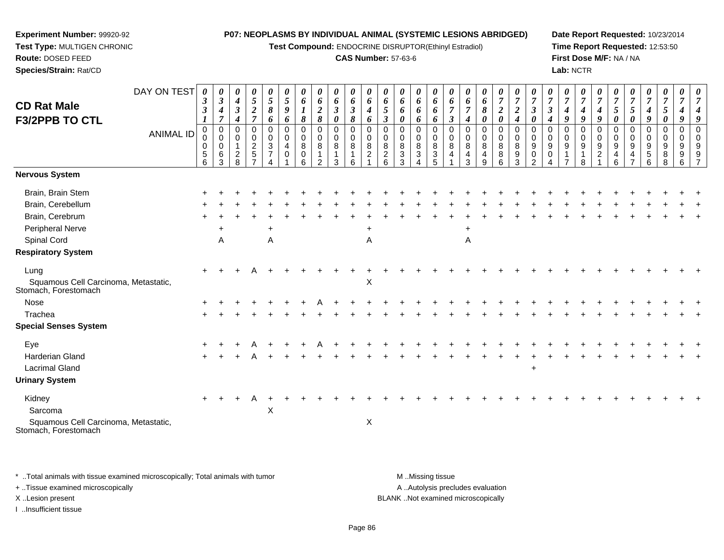**Test Compound:** ENDOCRINE DISRUPTOR(Ethinyl Estradiol)

# **CAS Number:** 57-63-6

**Date Report Requested:** 10/23/2014**Time Report Requested:** 12:53:50**First Dose M/F:** NA / NA**Lab:** NCTR

| <b>CD Rat Male</b><br><b>F3/2PPB TO CTL</b>                                                                                                                                                                                                                 | DAY ON TEST<br><b>ANIMAL ID</b> | 0<br>$\boldsymbol{\beta}$<br>$\boldsymbol{\beta}$<br>0<br>0<br>0<br>$\sqrt{5}$<br>6 | 0<br>$\boldsymbol{\beta}$<br>$\boldsymbol{4}$<br>$\overline{7}$<br>$\mathbf 0$<br>$\mathbf 0$<br>0<br>6<br>3 | 0<br>$\boldsymbol{4}$<br>$\mathfrak{z}$<br>4<br>$\Omega$<br>$\Omega$<br>$\overline{2}$<br>8 | 0<br>$\mathfrak{H}$<br>$\boldsymbol{2}$<br>$\overline{7}$<br>0<br>0<br>$\overline{2}$<br>$\sqrt{5}$<br>$\overline{ }$ | $\boldsymbol{\theta}$<br>$\sqrt{5}$<br>8<br>6<br>0<br>$\mathbf 0$<br>$\sqrt{3}$<br>$\overline{7}$ | 0<br>$\overline{5}$<br>9<br>6<br>$\mathbf 0$<br>$\mathbf 0$<br>4<br>0 | $\boldsymbol{\theta}$<br>6<br>$\boldsymbol{l}$<br>8<br>0<br>$\mathbf 0$<br>8<br>0<br>6 | 0<br>6<br>$\boldsymbol{2}$<br>8<br>0<br>0<br>8<br>$\overline{2}$ | 0<br>6<br>$\mathfrak{z}$<br>0<br>$\mathbf 0$<br>0<br>8<br>-1<br>3 | 0<br>6<br>$\mathfrak{z}$<br>8<br>$\pmb{0}$<br>0<br>8<br>1<br>6 | 0<br>6<br>$\boldsymbol{4}$<br>6<br>$\mathbf 0$<br>0<br>8<br>$\overline{c}$ | $\boldsymbol{\theta}$<br>6<br>5<br>$\boldsymbol{\beta}$<br>$\mathbf 0$<br>$\mathbf 0$<br>8<br>$\overline{2}$<br>6 | 0<br>6<br>6<br>0<br>$\Omega$<br>$\Omega$<br>8<br>3<br>3 | 0<br>6<br>6<br>6<br>0<br>0<br>8<br>$\sqrt{3}$<br>4 | 0<br>6<br>6<br>6<br>0<br>0<br>8<br>$\overline{3}$<br>5 | $\boldsymbol{\theta}$<br>6<br>$\overline{7}$<br>$\mathfrak{z}$<br>0<br>$\mathbf 0$<br>8<br>4 | $\boldsymbol{\theta}$<br>6<br>$\overline{7}$<br>$\boldsymbol{4}$<br>$\mathbf 0$<br>$\Omega$<br>8<br>4<br>3 | 0<br>6<br>8<br>0<br>$\mathbf 0$<br>0<br>8<br>4<br>9 | 0<br>$\boldsymbol{7}$<br>$\boldsymbol{2}$<br>0<br>0<br>$\mathbf 0$<br>$\bf8$<br>$\bf 8$<br>$6\phantom{a}$ | 0<br>$\overline{7}$<br>$\boldsymbol{2}$<br>$\boldsymbol{4}$<br>0<br>$\mathbf 0$<br>8<br>$\boldsymbol{9}$<br>$\mathbf{3}$ | $\boldsymbol{\theta}$<br>$\overline{7}$<br>$\boldsymbol{\beta}$<br>0<br>$\mathbf 0$<br>$\mathbf 0$<br>9<br>0<br>$\overline{2}$ | $\overline{7}$<br>$\boldsymbol{\beta}$<br>$\boldsymbol{4}$<br>$\mathbf 0$<br>$\Omega$<br>9<br>0 | 0<br>$\overline{7}$<br>4<br>9<br>$\Omega$<br>0<br>9 | 0<br>$\overline{7}$<br>4<br>9<br>0<br>0<br>9<br>8 | $\boldsymbol{\theta}$<br>$\overline{7}$<br>$\boldsymbol{4}$<br>9<br>$\mathbf 0$<br>$\mathbf 0$<br>9<br>$\overline{2}$ | $\boldsymbol{\theta}$<br>$\overline{7}$<br>$\mathfrak{s}$<br>0<br>$\Omega$<br>$\Omega$<br>9<br>4<br>6 | $\overline{7}$<br>5<br>0<br>$\Omega$<br>$\Omega$<br>9<br>4<br>$\overline{ }$ | $\boldsymbol{\theta}$<br>$\overline{7}$<br>4<br>9<br>0<br>0<br>9<br>5<br>6 | $\boldsymbol{\theta}$<br>$\overline{7}$<br>5<br>0<br>0<br>0<br>9<br>8<br>8 | $\boldsymbol{\theta}$<br>$\overline{7}$<br>4<br>9<br>0<br>$\mathbf 0$<br>9<br>$9\,$<br>6 | $\boldsymbol{\theta}$<br>$\overline{7}$ |
|-------------------------------------------------------------------------------------------------------------------------------------------------------------------------------------------------------------------------------------------------------------|---------------------------------|-------------------------------------------------------------------------------------|--------------------------------------------------------------------------------------------------------------|---------------------------------------------------------------------------------------------|-----------------------------------------------------------------------------------------------------------------------|---------------------------------------------------------------------------------------------------|-----------------------------------------------------------------------|----------------------------------------------------------------------------------------|------------------------------------------------------------------|-------------------------------------------------------------------|----------------------------------------------------------------|----------------------------------------------------------------------------|-------------------------------------------------------------------------------------------------------------------|---------------------------------------------------------|----------------------------------------------------|--------------------------------------------------------|----------------------------------------------------------------------------------------------|------------------------------------------------------------------------------------------------------------|-----------------------------------------------------|-----------------------------------------------------------------------------------------------------------|--------------------------------------------------------------------------------------------------------------------------|--------------------------------------------------------------------------------------------------------------------------------|-------------------------------------------------------------------------------------------------|-----------------------------------------------------|---------------------------------------------------|-----------------------------------------------------------------------------------------------------------------------|-------------------------------------------------------------------------------------------------------|------------------------------------------------------------------------------|----------------------------------------------------------------------------|----------------------------------------------------------------------------|------------------------------------------------------------------------------------------|-----------------------------------------|
| Nervous System                                                                                                                                                                                                                                              |                                 |                                                                                     |                                                                                                              |                                                                                             |                                                                                                                       |                                                                                                   |                                                                       |                                                                                        |                                                                  |                                                                   |                                                                |                                                                            |                                                                                                                   |                                                         |                                                    |                                                        |                                                                                              |                                                                                                            |                                                     |                                                                                                           |                                                                                                                          |                                                                                                                                |                                                                                                 |                                                     |                                                   |                                                                                                                       |                                                                                                       |                                                                              |                                                                            |                                                                            |                                                                                          |                                         |
| Brain, Brain Stem<br>Brain, Cerebellum<br>Brain, Cerebrum<br><b>Peripheral Nerve</b><br>Spinal Cord<br><b>Respiratory System</b><br>Lung<br>Squamous Cell Carcinoma, Metastatic,<br>Stomach, Forestomach<br>Nose<br>Trachea<br><b>Special Senses System</b> |                                 |                                                                                     | $\ddot{}$<br>A                                                                                               |                                                                                             |                                                                                                                       | $\ddot{}$<br>A                                                                                    |                                                                       |                                                                                        |                                                                  |                                                                   |                                                                | $\ddot{}$<br>$\overline{A}$<br>$\mathsf X$                                 |                                                                                                                   |                                                         |                                                    |                                                        |                                                                                              | +<br>A                                                                                                     |                                                     |                                                                                                           |                                                                                                                          |                                                                                                                                |                                                                                                 |                                                     |                                                   |                                                                                                                       |                                                                                                       |                                                                              |                                                                            |                                                                            |                                                                                          |                                         |
| Eye<br><b>Harderian Gland</b><br><b>Lacrimal Gland</b><br><b>Urinary System</b><br>Kidney<br>Sarcoma<br>Squamous Cell Carcinoma, Metastatic,<br>Stomach, Forestomach                                                                                        |                                 | $\ddot{}$                                                                           |                                                                                                              |                                                                                             |                                                                                                                       | X                                                                                                 |                                                                       |                                                                                        |                                                                  |                                                                   |                                                                | X                                                                          |                                                                                                                   |                                                         |                                                    |                                                        |                                                                                              |                                                                                                            |                                                     |                                                                                                           |                                                                                                                          | $\ddot{}$                                                                                                                      |                                                                                                 |                                                     |                                                   |                                                                                                                       |                                                                                                       |                                                                              |                                                                            |                                                                            |                                                                                          |                                         |

\* ..Total animals with tissue examined microscopically; Total animals with tumor **M** . Missing tissue M ..Missing tissue A ..Autolysis precludes evaluation + ..Tissue examined microscopically X ..Lesion present BLANK ..Not examined microscopicallyI ..Insufficient tissue

**Experiment Number:** 99920-92**Test Type:** MULTIGEN CHRONIC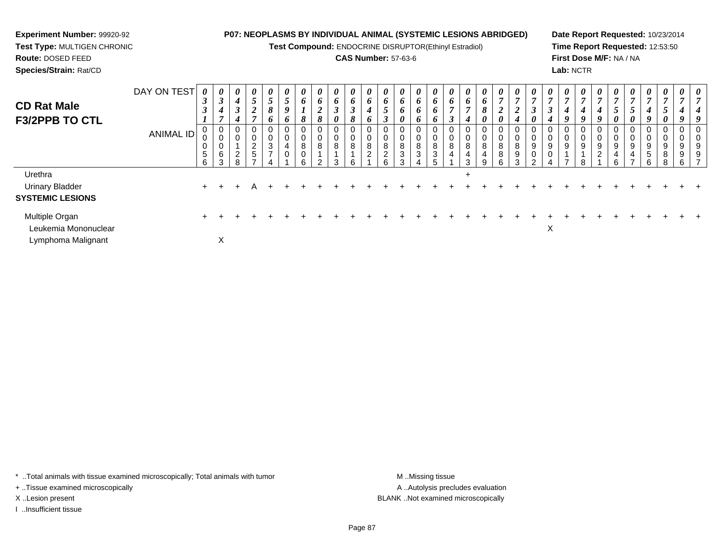**Test Compound:** ENDOCRINE DISRUPTOR(Ethinyl Estradiol)

# **CAS Number:** 57-63-6

**Date Report Requested:** 10/23/2014**Time Report Requested:** 12:53:50**First Dose M/F:** NA / NA**Lab:** NCTR

| <b>CD Rat Male</b><br><b>F3/2PPB TO CTL</b> | DAY ON TEST<br>ANIMAL ID | 0<br>$\boldsymbol{\beta}$<br>J<br>v<br>0<br>$\sqrt{5}$<br>6 | 0<br>$\boldsymbol{\beta}$<br>$\boldsymbol{4}$<br>U<br>$\mathbf 0$<br>$\,6$<br>3 | 0<br>4<br>$\rightarrow$<br>J<br>4<br>0<br>0<br>$\overline{c}$<br>8 | $\boldsymbol{\theta}$<br>5<br>$\boldsymbol{2}$<br>0<br>$\overline{\mathbf{c}}$<br>5 | 0<br>$5\overline{)}$<br>8<br>6<br>0<br>0<br>3<br>$\rightarrow$ | 0<br>$\mathfrak{s}$<br>9<br>6<br>0<br>0<br>4<br>0 | $\boldsymbol{\theta}$<br>6<br>$\overline{ }$<br>8<br>0<br>0<br>8<br>0<br>ĥ | $\boldsymbol{\theta}$<br>6<br>◠<br>$\overline{2}$<br>8<br>0<br>0<br>8<br>C. | 0<br>6<br>$\boldsymbol{\beta}$<br>0<br>0<br>8<br>3 | 0<br>6<br>$\rightarrow$<br>J<br>8<br>0<br>0<br>8<br>6 | $\boldsymbol{\theta}$<br>6<br>4<br>O<br>ν<br>U<br>8<br>$\sim$ | $\boldsymbol{\theta}$<br>6<br>$\mathcal{L}$<br>◠<br>I<br>0<br>0<br>8<br>$\sim$<br>∠<br>6 | 0<br>6<br>6<br>0<br>0<br>0<br>8<br>3<br>3 | $\boldsymbol{\theta}$<br>6<br>$\bm{o}$<br>0<br>8<br>3 | $\boldsymbol{\theta}$<br>6<br>6<br>o<br>ν<br>8<br>3 | 6<br>3<br>U<br>0<br>8<br>$\overline{4}$ | $\boldsymbol{\theta}$<br>6<br>4<br>0<br>0<br>8<br>$\overline{\mathbf{4}}$<br>$\mathcal{R}$ | $\boldsymbol{\theta}$<br>6<br>8<br>0<br>0<br>0<br>8<br>4<br>9 | $\boldsymbol{\theta}$<br>$\overline{7}$<br>$\overline{2}$<br>0<br>0<br>8<br>8<br>ĥ | $\boldsymbol{\theta}$<br>8<br>9<br>$\sim$ | $\boldsymbol{\theta}$<br>J<br>0<br>0<br>9<br>0<br>$\sim$ | 0<br>$\mathbf{r}$<br>$\boldsymbol{\beta}$<br>4<br>0<br>9<br>0 | $\boldsymbol{\theta}$<br>$\overline{7}$<br>4<br>9<br>0<br>0<br>9<br>$\overline{ }$ | $\boldsymbol{\theta}$<br>$\overline{7}$<br>4<br>9<br>0<br>$\mathbf 0$<br>9<br>8 | $\boldsymbol{\theta}$<br>4<br>9<br>◠<br>▵ | $\boldsymbol{\theta}$<br>$\mathfrak{p}$<br>0<br>0<br>9<br>Р. | $\boldsymbol{\theta}$<br>$\mathbf{r}$<br>$\mathcal{L}$<br>0<br>U<br>0<br>9<br>4<br>- | $\boldsymbol{\theta}$<br>$\overline{ }$<br>4<br>9<br>0<br>0<br>$\boldsymbol{9}$<br>$\sqrt{5}$<br>6 | $\boldsymbol{\theta}$<br>$\overline{7}$<br>5<br>$\boldsymbol{\theta}$<br>0<br>0<br>$\boldsymbol{9}$<br>8<br>8 | $\boldsymbol{\theta}$<br>o<br>9<br>9<br>6 | $\boldsymbol{\theta}$ |
|---------------------------------------------|--------------------------|-------------------------------------------------------------|---------------------------------------------------------------------------------|--------------------------------------------------------------------|-------------------------------------------------------------------------------------|----------------------------------------------------------------|---------------------------------------------------|----------------------------------------------------------------------------|-----------------------------------------------------------------------------|----------------------------------------------------|-------------------------------------------------------|---------------------------------------------------------------|------------------------------------------------------------------------------------------|-------------------------------------------|-------------------------------------------------------|-----------------------------------------------------|-----------------------------------------|--------------------------------------------------------------------------------------------|---------------------------------------------------------------|------------------------------------------------------------------------------------|-------------------------------------------|----------------------------------------------------------|---------------------------------------------------------------|------------------------------------------------------------------------------------|---------------------------------------------------------------------------------|-------------------------------------------|--------------------------------------------------------------|--------------------------------------------------------------------------------------|----------------------------------------------------------------------------------------------------|---------------------------------------------------------------------------------------------------------------|-------------------------------------------|-----------------------|
| Urethra<br>Urinary Bladder                  |                          | $+$                                                         |                                                                                 |                                                                    |                                                                                     |                                                                |                                                   |                                                                            |                                                                             |                                                    |                                                       |                                                               |                                                                                          |                                           |                                                       |                                                     |                                         | $\pm$                                                                                      |                                                               |                                                                                    |                                           |                                                          |                                                               |                                                                                    |                                                                                 |                                           |                                                              |                                                                                      |                                                                                                    |                                                                                                               |                                           |                       |
| <b>SYSTEMIC LESIONS</b>                     |                          |                                                             |                                                                                 |                                                                    |                                                                                     |                                                                |                                                   |                                                                            |                                                                             |                                                    |                                                       |                                                               |                                                                                          |                                           |                                                       |                                                     |                                         |                                                                                            |                                                               |                                                                                    |                                           |                                                          |                                                               |                                                                                    |                                                                                 |                                           |                                                              |                                                                                      |                                                                                                    |                                                                                                               |                                           |                       |
| Multiple Organ<br>Leukemia Mononuclear      |                          |                                                             |                                                                                 |                                                                    |                                                                                     |                                                                |                                                   |                                                                            |                                                                             |                                                    |                                                       |                                                               |                                                                                          |                                           |                                                       |                                                     |                                         |                                                                                            |                                                               |                                                                                    |                                           |                                                          | X                                                             |                                                                                    |                                                                                 |                                           |                                                              |                                                                                      |                                                                                                    |                                                                                                               |                                           |                       |
| Lymphoma Malignant                          |                          |                                                             | X                                                                               |                                                                    |                                                                                     |                                                                |                                                   |                                                                            |                                                                             |                                                    |                                                       |                                                               |                                                                                          |                                           |                                                       |                                                     |                                         |                                                                                            |                                                               |                                                                                    |                                           |                                                          |                                                               |                                                                                    |                                                                                 |                                           |                                                              |                                                                                      |                                                                                                    |                                                                                                               |                                           |                       |

\* ..Total animals with tissue examined microscopically; Total animals with tumor **M** . Missing tissue M ..Missing tissue

+ ..Tissue examined microscopically

**Experiment Number:** 99920-92**Test Type:** MULTIGEN CHRONIC

**Route:** DOSED FEED**Species/Strain:** Rat/CD

I ..Insufficient tissue

A ..Autolysis precludes evaluation X ..Lesion present BLANK ..Not examined microscopically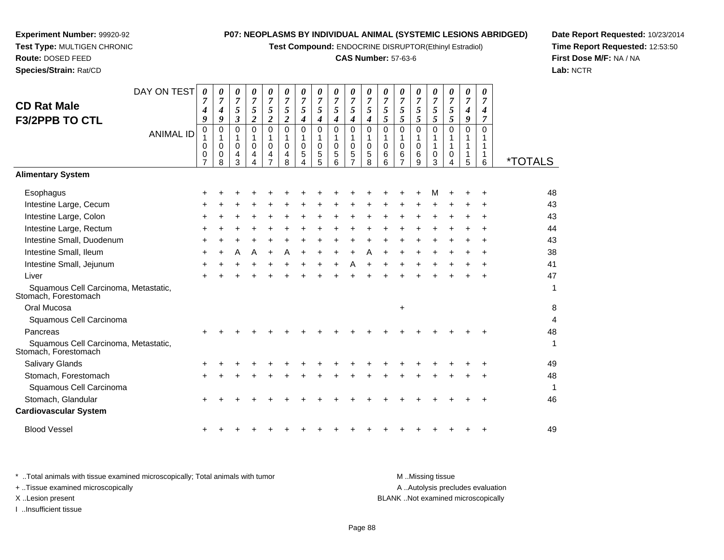**Test Compound:** ENDOCRINE DISRUPTOR(Ethinyl Estradiol)

#### **CAS Number:** 57-63-6

**Date Report Requested:** 10/23/2014**Time Report Requested:** 12:53:50**First Dose M/F:** NA / NA**Lab:** NCTR

| <b>CD Rat Male</b>                                           | DAY ON TEST      | 0<br>$\overline{7}$<br>4                          | 0<br>$\overline{7}$<br>4                        | 0<br>$\overline{7}$<br>$\sqrt{5}$               | 0<br>$\overline{7}$<br>5                                               | 0<br>$\overline{7}$<br>5                                                            | 0<br>$\overline{7}$<br>$\mathfrak{s}$                                 | 0<br>$\overline{7}$<br>5   | 0<br>$\overline{7}$<br>5   | 0<br>$\overline{7}$<br>5             | 0<br>$\overline{7}$<br>5           | 0<br>$\overline{7}$<br>5                          | $\theta$<br>$\overline{7}$<br>5                          | 0<br>$\overline{7}$<br>5                                               | 0<br>$\overline{7}$<br>5                       | 0<br>$\overline{7}$<br>5          | $\theta$<br>$\overline{7}$<br>5 | 0<br>$\overline{7}$<br>$\boldsymbol{4}$         | 0<br>$\overline{7}$<br>4                |                       |
|--------------------------------------------------------------|------------------|---------------------------------------------------|-------------------------------------------------|-------------------------------------------------|------------------------------------------------------------------------|-------------------------------------------------------------------------------------|-----------------------------------------------------------------------|----------------------------|----------------------------|--------------------------------------|------------------------------------|---------------------------------------------------|----------------------------------------------------------|------------------------------------------------------------------------|------------------------------------------------|-----------------------------------|---------------------------------|-------------------------------------------------|-----------------------------------------|-----------------------|
| F3/2PPB TO CTL                                               | <b>ANIMAL ID</b> | $\boldsymbol{q}$<br>0<br>0<br>0<br>$\overline{7}$ | 9<br>0<br>$\mathbf{1}$<br>$\mathbf 0$<br>0<br>8 | $\mathbf{3}$<br>0<br>$\mathbf 1$<br>0<br>4<br>3 | $\overline{2}$<br>$\mathbf 0$<br>$\mathbf{1}$<br>$\mathbf 0$<br>4<br>4 | $\overline{2}$<br>$\mathbf 0$<br>$\mathbf{1}$<br>$\mathbf 0$<br>4<br>$\overline{7}$ | $\overline{2}$<br>$\mathbf 0$<br>$\mathbf 1$<br>$\mathbf 0$<br>4<br>8 | 4<br>0<br>1<br>0<br>5<br>4 | 4<br>0<br>1<br>0<br>5<br>5 | 4<br>0<br>1<br>$\mathbf 0$<br>5<br>6 | 4<br>0<br>0<br>5<br>$\overline{7}$ | $\boldsymbol{4}$<br>0<br>1<br>$\pmb{0}$<br>5<br>8 | 5<br>$\mathbf 0$<br>$\mathbf 1$<br>$\mathbf 0$<br>6<br>6 | 5<br>$\mathbf 0$<br>$\mathbf{1}$<br>$\mathbf 0$<br>6<br>$\overline{7}$ | 5<br>$\mathbf 0$<br>1<br>$\mathbf 0$<br>6<br>9 | 5<br>$\Omega$<br>1<br>1<br>0<br>3 | 5<br>$\Omega$<br>1<br>0<br>4    | 9<br>$\mathbf 0$<br>1<br>$\mathbf{1}$<br>1<br>5 | $\overline{7}$<br>0<br>1<br>1<br>1<br>6 | <i><b>*TOTALS</b></i> |
| <b>Alimentary System</b>                                     |                  |                                                   |                                                 |                                                 |                                                                        |                                                                                     |                                                                       |                            |                            |                                      |                                    |                                                   |                                                          |                                                                        |                                                |                                   |                                 |                                                 |                                         |                       |
| Esophagus                                                    |                  |                                                   |                                                 |                                                 |                                                                        |                                                                                     |                                                                       |                            |                            |                                      |                                    |                                                   |                                                          |                                                                        |                                                |                                   |                                 |                                                 |                                         | 48                    |
| Intestine Large, Cecum<br>Intestine Large, Colon             |                  |                                                   |                                                 |                                                 |                                                                        |                                                                                     |                                                                       |                            |                            |                                      |                                    |                                                   |                                                          |                                                                        |                                                |                                   |                                 |                                                 |                                         | 43<br>43              |
| Intestine Large, Rectum                                      |                  |                                                   |                                                 |                                                 |                                                                        |                                                                                     |                                                                       |                            |                            |                                      |                                    |                                                   |                                                          |                                                                        |                                                |                                   |                                 |                                                 |                                         | 44                    |
| Intestine Small, Duodenum                                    |                  |                                                   |                                                 |                                                 |                                                                        |                                                                                     |                                                                       |                            |                            |                                      |                                    |                                                   |                                                          |                                                                        |                                                |                                   |                                 |                                                 |                                         | 43                    |
| Intestine Small, Ileum                                       |                  |                                                   |                                                 |                                                 | A                                                                      | +                                                                                   |                                                                       |                            |                            |                                      |                                    |                                                   |                                                          |                                                                        |                                                |                                   |                                 |                                                 |                                         | 38                    |
| Intestine Small, Jejunum                                     |                  | ÷                                                 |                                                 |                                                 |                                                                        |                                                                                     |                                                                       |                            |                            |                                      |                                    |                                                   |                                                          |                                                                        |                                                |                                   |                                 |                                                 |                                         | 41                    |
| Liver                                                        |                  |                                                   |                                                 |                                                 |                                                                        |                                                                                     |                                                                       |                            |                            |                                      |                                    |                                                   |                                                          |                                                                        |                                                |                                   |                                 |                                                 |                                         | 47                    |
| Squamous Cell Carcinoma, Metastatic,<br>Stomach, Forestomach |                  |                                                   |                                                 |                                                 |                                                                        |                                                                                     |                                                                       |                            |                            |                                      |                                    |                                                   |                                                          |                                                                        |                                                |                                   |                                 |                                                 |                                         | 1                     |
| Oral Mucosa                                                  |                  |                                                   |                                                 |                                                 |                                                                        |                                                                                     |                                                                       |                            |                            |                                      |                                    |                                                   |                                                          | $\ddot{}$                                                              |                                                |                                   |                                 |                                                 |                                         | 8                     |
| Squamous Cell Carcinoma                                      |                  |                                                   |                                                 |                                                 |                                                                        |                                                                                     |                                                                       |                            |                            |                                      |                                    |                                                   |                                                          |                                                                        |                                                |                                   |                                 |                                                 |                                         | 4                     |
| Pancreas                                                     |                  |                                                   |                                                 |                                                 |                                                                        |                                                                                     |                                                                       |                            |                            |                                      |                                    |                                                   |                                                          |                                                                        |                                                |                                   |                                 |                                                 |                                         | 48                    |
| Squamous Cell Carcinoma, Metastatic,<br>Stomach, Forestomach |                  |                                                   |                                                 |                                                 |                                                                        |                                                                                     |                                                                       |                            |                            |                                      |                                    |                                                   |                                                          |                                                                        |                                                |                                   |                                 |                                                 |                                         | 1                     |
| <b>Salivary Glands</b>                                       |                  |                                                   |                                                 |                                                 |                                                                        |                                                                                     |                                                                       |                            |                            |                                      |                                    |                                                   |                                                          |                                                                        |                                                |                                   |                                 |                                                 |                                         | 49                    |
| Stomach, Forestomach                                         |                  |                                                   |                                                 |                                                 |                                                                        |                                                                                     |                                                                       |                            |                            |                                      |                                    |                                                   |                                                          |                                                                        |                                                |                                   |                                 |                                                 |                                         | 48                    |
| Squamous Cell Carcinoma                                      |                  |                                                   |                                                 |                                                 |                                                                        |                                                                                     |                                                                       |                            |                            |                                      |                                    |                                                   |                                                          |                                                                        |                                                |                                   |                                 |                                                 |                                         | 1                     |
| Stomach, Glandular<br><b>Cardiovascular System</b>           |                  |                                                   |                                                 |                                                 |                                                                        |                                                                                     |                                                                       |                            |                            |                                      |                                    |                                                   |                                                          |                                                                        |                                                |                                   |                                 |                                                 |                                         | 46                    |
| <b>Blood Vessel</b>                                          |                  |                                                   |                                                 |                                                 |                                                                        |                                                                                     |                                                                       |                            |                            |                                      |                                    |                                                   |                                                          |                                                                        |                                                |                                   |                                 |                                                 |                                         | 49                    |
|                                                              |                  |                                                   |                                                 |                                                 |                                                                        |                                                                                     |                                                                       |                            |                            |                                      |                                    |                                                   |                                                          |                                                                        |                                                |                                   |                                 |                                                 |                                         |                       |

\* ..Total animals with tissue examined microscopically; Total animals with tumor **M** . Missing tissue M ..Missing tissue A ..Autolysis precludes evaluation + ..Tissue examined microscopically X ..Lesion present BLANK ..Not examined microscopicallyI ..Insufficient tissue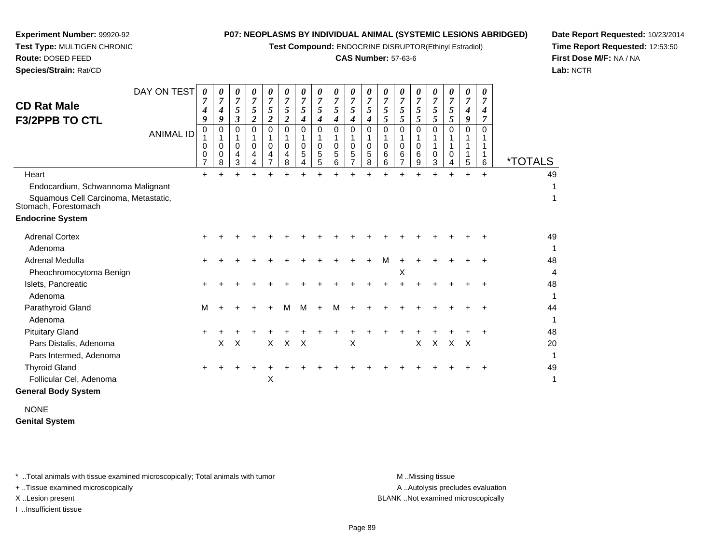**Test Compound:** ENDOCRINE DISRUPTOR(Ethinyl Estradiol)

# **CAS Number:** 57-63-6

**Date Report Requested:** 10/23/2014**Time Report Requested:** 12:53:50**First Dose M/F:** NA / NA**Lab:** NCTR

| <b>CD Rat Male</b><br><b>F3/2PPB TO CTL</b>                  | DAY ON TEST<br><b>ANIMAL ID</b> | 0<br>4<br>9<br>0<br>0<br>0 | 0<br>7<br>4<br>9<br>0<br>$\mathbf 0$<br>0<br>8 | 0<br>7<br>$\sqrt{5}$<br>$\boldsymbol{\beta}$<br>0<br>$\mathbf 0$<br>4<br>3 | 0<br>$\overline{7}$<br>5<br>$\overline{c}$<br>$\mathbf 0$<br>0<br>4<br>4 | 0<br>$\overline{7}$<br>5<br>$\boldsymbol{2}$<br>$\mathbf 0$<br>$\mathbf 0$<br>4<br>$\overline{7}$ | $\theta$<br>$\overline{7}$<br>5<br>$\boldsymbol{2}$<br>$\Omega$<br>1<br>$\Omega$<br>4<br>8 | $\boldsymbol{\theta}$<br>$\overline{7}$<br>5<br>4<br>0<br>0<br>5<br>4 | 0<br>7<br>5<br>4<br>0<br>0<br>5<br>5 | 0<br>7<br>5<br>4<br>$\mathbf 0$<br>$\mathbf 0$<br>5<br>6 | 0<br>7<br>5<br>4<br>0<br>0<br>5<br>$\overline{7}$ | $\boldsymbol{\theta}$<br>7<br>5<br>4<br>$\Omega$<br>$\mathbf 0$<br>5<br>8 | 0<br>$\overline{7}$<br>5<br>5<br>$\Omega$<br>$\mathbf 0$<br>6<br>6 | 0<br>$\overline{7}$<br>5<br>5<br>$\mathbf 0$<br>$\mathbf 0$<br>6<br>7 | 0<br>7<br>5<br>5<br>0<br>0<br>6<br>9 | $\theta$<br>7<br>5<br>5<br>$\Omega$<br>$\Omega$<br>3 | 0<br>7<br>5<br>5<br>$\Omega$<br>0<br>4 | 0<br>$\overline{7}$<br>4<br>$\boldsymbol{g}$<br>$\Omega$<br>5 | 0<br>7<br>4<br>$\overline{7}$<br>$\Omega$<br>6 | <i><b>*TOTALS</b></i> |
|--------------------------------------------------------------|---------------------------------|----------------------------|------------------------------------------------|----------------------------------------------------------------------------|--------------------------------------------------------------------------|---------------------------------------------------------------------------------------------------|--------------------------------------------------------------------------------------------|-----------------------------------------------------------------------|--------------------------------------|----------------------------------------------------------|---------------------------------------------------|---------------------------------------------------------------------------|--------------------------------------------------------------------|-----------------------------------------------------------------------|--------------------------------------|------------------------------------------------------|----------------------------------------|---------------------------------------------------------------|------------------------------------------------|-----------------------|
| Heart                                                        |                                 | +                          |                                                |                                                                            |                                                                          |                                                                                                   |                                                                                            |                                                                       |                                      |                                                          |                                                   |                                                                           |                                                                    |                                                                       |                                      |                                                      |                                        |                                                               | $\ddot{}$                                      | 49                    |
| Endocardium, Schwannoma Malignant                            |                                 |                            |                                                |                                                                            |                                                                          |                                                                                                   |                                                                                            |                                                                       |                                      |                                                          |                                                   |                                                                           |                                                                    |                                                                       |                                      |                                                      |                                        |                                                               |                                                | 1                     |
| Squamous Cell Carcinoma, Metastatic,<br>Stomach, Forestomach |                                 |                            |                                                |                                                                            |                                                                          |                                                                                                   |                                                                                            |                                                                       |                                      |                                                          |                                                   |                                                                           |                                                                    |                                                                       |                                      |                                                      |                                        |                                                               |                                                | 1                     |
| <b>Endocrine System</b>                                      |                                 |                            |                                                |                                                                            |                                                                          |                                                                                                   |                                                                                            |                                                                       |                                      |                                                          |                                                   |                                                                           |                                                                    |                                                                       |                                      |                                                      |                                        |                                                               |                                                |                       |
| <b>Adrenal Cortex</b>                                        |                                 |                            |                                                |                                                                            |                                                                          |                                                                                                   |                                                                                            |                                                                       |                                      |                                                          |                                                   |                                                                           |                                                                    |                                                                       |                                      |                                                      |                                        |                                                               |                                                | 49                    |
| Adenoma                                                      |                                 |                            |                                                |                                                                            |                                                                          |                                                                                                   |                                                                                            |                                                                       |                                      |                                                          |                                                   |                                                                           |                                                                    |                                                                       |                                      |                                                      |                                        |                                                               |                                                | 1                     |
| Adrenal Medulla                                              |                                 |                            |                                                |                                                                            |                                                                          |                                                                                                   |                                                                                            |                                                                       |                                      |                                                          |                                                   |                                                                           | м                                                                  |                                                                       |                                      |                                                      |                                        |                                                               |                                                | 48                    |
| Pheochromocytoma Benign                                      |                                 |                            |                                                |                                                                            |                                                                          |                                                                                                   |                                                                                            |                                                                       |                                      |                                                          |                                                   |                                                                           |                                                                    | X                                                                     |                                      |                                                      |                                        |                                                               |                                                | 4                     |
| Islets, Pancreatic                                           |                                 |                            |                                                |                                                                            |                                                                          |                                                                                                   |                                                                                            |                                                                       |                                      |                                                          |                                                   |                                                                           |                                                                    |                                                                       |                                      |                                                      |                                        |                                                               |                                                | 48                    |
| Adenoma                                                      |                                 |                            |                                                |                                                                            |                                                                          |                                                                                                   |                                                                                            |                                                                       |                                      |                                                          |                                                   |                                                                           |                                                                    |                                                                       |                                      |                                                      |                                        |                                                               |                                                | 1                     |
| Parathyroid Gland                                            |                                 | м                          |                                                |                                                                            |                                                                          |                                                                                                   | м                                                                                          | м                                                                     |                                      | М                                                        |                                                   |                                                                           |                                                                    |                                                                       |                                      |                                                      |                                        |                                                               |                                                | 44                    |
| Adenoma                                                      |                                 |                            |                                                |                                                                            |                                                                          |                                                                                                   |                                                                                            |                                                                       |                                      |                                                          |                                                   |                                                                           |                                                                    |                                                                       |                                      |                                                      |                                        |                                                               |                                                | 1                     |
| <b>Pituitary Gland</b>                                       |                                 |                            |                                                |                                                                            |                                                                          |                                                                                                   |                                                                                            |                                                                       |                                      |                                                          |                                                   |                                                                           |                                                                    |                                                                       |                                      |                                                      |                                        |                                                               |                                                | 48                    |
| Pars Distalis, Adenoma                                       |                                 |                            | X                                              | $\times$                                                                   |                                                                          | $\times$                                                                                          | $\times$                                                                                   | $\times$                                                              |                                      |                                                          | X                                                 |                                                                           |                                                                    |                                                                       | $\times$                             | $\times$                                             | $\times$                               | $\mathsf{X}$                                                  |                                                | 20                    |
| Pars Intermed, Adenoma                                       |                                 |                            |                                                |                                                                            |                                                                          |                                                                                                   |                                                                                            |                                                                       |                                      |                                                          |                                                   |                                                                           |                                                                    |                                                                       |                                      |                                                      |                                        |                                                               |                                                | 1                     |
| <b>Thyroid Gland</b>                                         |                                 |                            |                                                |                                                                            |                                                                          |                                                                                                   |                                                                                            |                                                                       |                                      |                                                          |                                                   |                                                                           |                                                                    |                                                                       |                                      |                                                      |                                        |                                                               |                                                | 49                    |
| Follicular Cel, Adenoma                                      |                                 |                            |                                                |                                                                            |                                                                          | X                                                                                                 |                                                                                            |                                                                       |                                      |                                                          |                                                   |                                                                           |                                                                    |                                                                       |                                      |                                                      |                                        |                                                               |                                                | 1                     |
| <b>General Body System</b>                                   |                                 |                            |                                                |                                                                            |                                                                          |                                                                                                   |                                                                                            |                                                                       |                                      |                                                          |                                                   |                                                                           |                                                                    |                                                                       |                                      |                                                      |                                        |                                                               |                                                |                       |
|                                                              |                                 |                            |                                                |                                                                            |                                                                          |                                                                                                   |                                                                                            |                                                                       |                                      |                                                          |                                                   |                                                                           |                                                                    |                                                                       |                                      |                                                      |                                        |                                                               |                                                |                       |

NONE**Genital System**

\* ..Total animals with tissue examined microscopically; Total animals with tumor **M** . Missing tissue M ..Missing tissue

+ ..Tissue examined microscopically

**Experiment Number:** 99920-92**Test Type:** MULTIGEN CHRONIC

**Route:** DOSED FEED**Species/Strain:** Rat/CD

I ..Insufficient tissue

A ..Autolysis precludes evaluation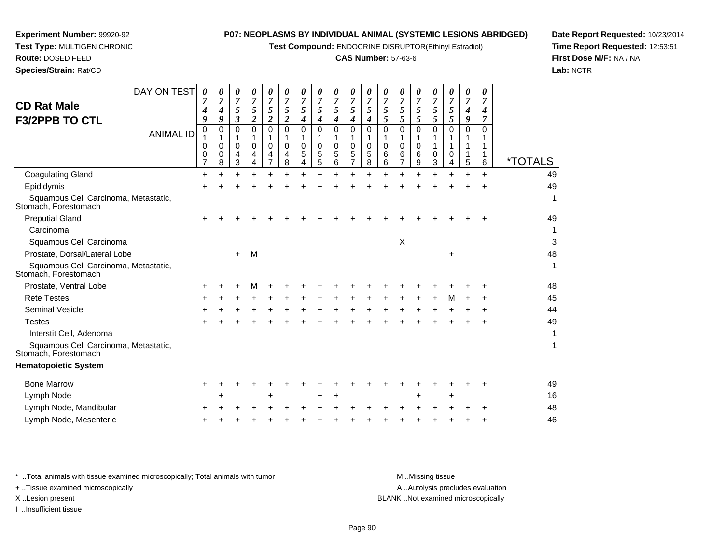**Test Compound:** ENDOCRINE DISRUPTOR(Ethinyl Estradiol)

#### **CAS Number:** 57-63-6

*0*

*0 7 5*

49

1

1

1

0 1

 *5* 01

*7 5 5*

0 1

**Date Report Requested:** 10/23/2014**Time Report Requested:** 12:53:51**First Dose M/F:** NA / NA**Lab:** NCTR

|                                                              | 0<br>0<br>$\overline{7}$ | 0<br>0 | 0<br>4 | 0<br>4 | 0<br>4 | 0<br>4 | 0<br>5 | 0<br>5 | 0<br>5 | 0<br>5 | 0<br>5 | 0<br>6 | 0<br>6 | 0<br>6 | $\mathbf 0$ | $\mathbf 0$ | 1 | 1 | <i><b>*TOTALS</b></i> |
|--------------------------------------------------------------|--------------------------|--------|--------|--------|--------|--------|--------|--------|--------|--------|--------|--------|--------|--------|-------------|-------------|---|---|-----------------------|
|                                                              |                          | 8      | 3      | 4      |        | 8      |        | 5      | 6      |        | 8      | 6      |        | 9      | 3           |             | 5 | 6 |                       |
| <b>Coagulating Gland</b>                                     | $\ddot{}$                |        |        |        |        |        |        |        |        |        |        |        |        |        |             |             |   |   | 49                    |
| Epididymis                                                   |                          |        |        |        |        |        |        |        |        |        |        |        |        |        |             |             |   |   | 49                    |
| Squamous Cell Carcinoma, Metastatic,<br>Stomach, Forestomach |                          |        |        |        |        |        |        |        |        |        |        |        |        |        |             |             |   |   | 1                     |
| <b>Preputial Gland</b>                                       |                          |        |        |        |        |        |        |        |        |        |        |        |        |        |             |             |   |   | 49                    |
| Carcinoma                                                    |                          |        |        |        |        |        |        |        |        |        |        |        |        |        |             |             |   |   | 1                     |
| Squamous Cell Carcinoma                                      |                          |        |        |        |        |        |        |        |        |        |        |        | X      |        |             |             |   |   | 3                     |
| Prostate, Dorsal/Lateral Lobe                                |                          |        | $+$    | M      |        |        |        |        |        |        |        |        |        |        |             | +           |   |   | 48                    |
| Squamous Cell Carcinoma, Metastatic,<br>Stomach, Forestomach |                          |        |        |        |        |        |        |        |        |        |        |        |        |        |             |             |   |   | 1                     |
| Prostate, Ventral Lobe                                       | ÷                        |        |        |        |        |        |        |        |        |        |        |        |        |        |             |             |   |   | 48                    |
| <b>Rete Testes</b>                                           | ÷                        |        |        |        |        |        |        |        |        |        |        |        |        |        |             | M           |   |   | 45                    |
| Seminal Vesicle                                              |                          |        |        |        |        |        |        |        |        |        |        |        |        |        |             |             |   |   | 44                    |
| <b>Testes</b>                                                |                          |        |        |        |        |        |        |        |        |        |        |        |        |        |             |             |   |   | 49                    |
| Interstit Cell, Adenoma                                      |                          |        |        |        |        |        |        |        |        |        |        |        |        |        |             |             |   |   | 1                     |
| Squamous Cell Carcinoma, Metastatic,<br>Stomach, Forestomach |                          |        |        |        |        |        |        |        |        |        |        |        |        |        |             |             |   |   | 1                     |
| <b>Hematopoietic System</b>                                  |                          |        |        |        |        |        |        |        |        |        |        |        |        |        |             |             |   |   |                       |
| <b>Bone Marrow</b>                                           | $\pm$                    |        |        |        |        |        |        |        |        |        |        |        |        |        |             |             |   |   | 49                    |
| Lymph Node                                                   |                          | +      |        |        |        |        |        | ٠      |        |        |        |        |        |        |             | +           |   |   | 16                    |
| Lymph Node, Mandibular                                       | ÷                        |        |        |        |        |        |        |        |        |        |        |        |        |        |             |             |   |   | 48                    |
| Lymph Node, Mesenteric                                       |                          |        |        |        |        |        |        |        |        |        |        |        |        |        |             |             |   |   | 46                    |
|                                                              |                          |        |        |        |        |        |        |        |        |        |        |        |        |        |             |             |   |   |                       |

\* ..Total animals with tissue examined microscopically; Total animals with tumor **M** ..Missing tissue M ..Missing tissue + ..Tissue examined microscopically

DAY ON TEST

*0 7 5*

0 1

0 1

 *3*0 1

ANIMAL ID

I ..Insufficient tissue

**Experiment Number:** 99920-92**Test Type:** MULTIGEN CHRONIC

**Route:** DOSED FEED**Species/Strain:** Rat/CD

**CD Rat Male**

**F3/2PPB TO CTL**

A ..Autolysis precludes evaluation X ..Lesion present BLANK ..Not examined microscopically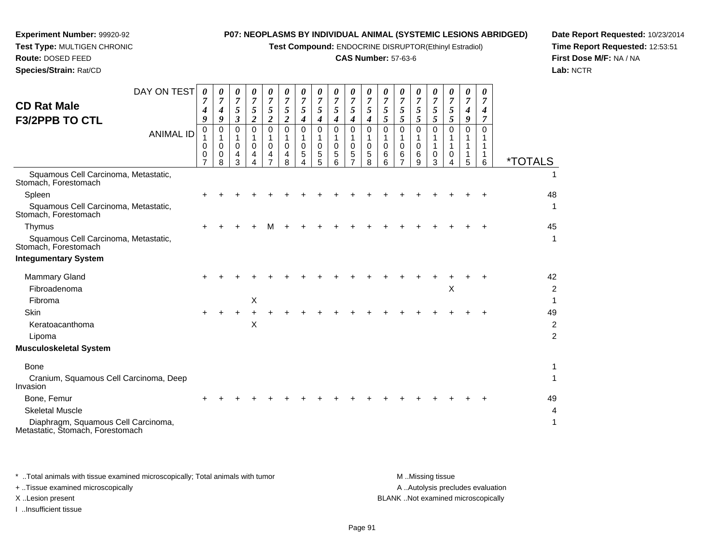**Test Compound:** ENDOCRINE DISRUPTOR(Ethinyl Estradiol)

# **CAS Number:** 57-63-6

**Date Report Requested:** 10/23/2014**Time Report Requested:** 12:53:51**First Dose M/F:** NA / NA**Lab:** NCTR

| <b>CD Rat Male</b>                                                      | DAY ON TEST      | 0<br>7<br>4                             | 0<br>7<br>4           | 0<br>$\boldsymbol{7}$<br>5 | 0<br>$\overline{7}$<br>5 | 5                                       | 0<br>7<br>5                                | $\boldsymbol{\theta}$<br>$\overline{7}$<br>5 | 0<br>7<br>5             | 0<br>$\overline{7}$<br>5     | 0<br>7<br>5                               | 0<br>$\overline{7}$<br>5     | 0<br>$\overline{7}$<br>5     | 0<br>7<br>5                                      | $\boldsymbol{\theta}$<br>7<br>5 | 0<br>$\overline{7}$<br>5 | 0<br>5             | 0<br>$\overline{7}$<br>4 | 0<br>7<br>4      |                       |
|-------------------------------------------------------------------------|------------------|-----------------------------------------|-----------------------|----------------------------|--------------------------|-----------------------------------------|--------------------------------------------|----------------------------------------------|-------------------------|------------------------------|-------------------------------------------|------------------------------|------------------------------|--------------------------------------------------|---------------------------------|--------------------------|--------------------|--------------------------|------------------|-----------------------|
| F3/2PPB TO CTL                                                          |                  | 9                                       | 9                     | 3                          | $\overline{\mathbf{c}}$  | $\boldsymbol{2}$                        | $\boldsymbol{2}$                           | 4                                            | 4                       | 4                            | 4                                         | 4                            | 5                            | 5                                                | 5                               | 5                        | 5                  | 9                        | 7                |                       |
|                                                                         | <b>ANIMAL ID</b> | 0<br>0<br>$\mathbf 0$<br>$\overline{7}$ | 0<br>1<br>0<br>0<br>8 | 0<br>1<br>0<br>4<br>3      | 0<br>0<br>4<br>4         | $\mathbf 0$<br>0<br>4<br>$\overline{7}$ | $\mathbf 0$<br>$\mathbf{1}$<br>0<br>4<br>8 | 0<br>1<br>0<br>$\sqrt{5}$<br>4               | $\Omega$<br>0<br>5<br>5 | $\Omega$<br>1<br>0<br>5<br>6 | $\Omega$<br>1<br>0<br>5<br>$\overline{7}$ | $\Omega$<br>1<br>0<br>5<br>8 | $\Omega$<br>1<br>0<br>6<br>6 | $\Omega$<br>1<br>$\Omega$<br>6<br>$\overline{7}$ | 0<br>0<br>6<br>9                | 0<br>0<br>3              | $\Omega$<br>0<br>4 | $\Omega$<br>5            | 0<br>1<br>1<br>6 | <i><b>*TOTALS</b></i> |
| Squamous Cell Carcinoma, Metastatic,<br>Stomach, Forestomach            |                  |                                         |                       |                            |                          |                                         |                                            |                                              |                         |                              |                                           |                              |                              |                                                  |                                 |                          |                    |                          |                  |                       |
| Spleen                                                                  |                  |                                         |                       |                            |                          |                                         |                                            |                                              |                         |                              |                                           |                              |                              |                                                  |                                 |                          |                    |                          |                  | 48                    |
| Squamous Cell Carcinoma, Metastatic,<br>Stomach, Forestomach            |                  |                                         |                       |                            |                          |                                         |                                            |                                              |                         |                              |                                           |                              |                              |                                                  |                                 |                          |                    |                          |                  | 1                     |
| Thymus                                                                  |                  | ٠                                       |                       |                            |                          | м                                       |                                            |                                              |                         |                              |                                           |                              |                              |                                                  |                                 |                          |                    |                          |                  | 45                    |
| Squamous Cell Carcinoma, Metastatic,<br>Stomach, Forestomach            |                  |                                         |                       |                            |                          |                                         |                                            |                                              |                         |                              |                                           |                              |                              |                                                  |                                 |                          |                    |                          |                  | 1                     |
| <b>Integumentary System</b>                                             |                  |                                         |                       |                            |                          |                                         |                                            |                                              |                         |                              |                                           |                              |                              |                                                  |                                 |                          |                    |                          |                  |                       |
| <b>Mammary Gland</b>                                                    |                  |                                         |                       |                            |                          |                                         |                                            |                                              |                         |                              |                                           |                              |                              |                                                  |                                 |                          |                    |                          |                  | 42                    |
| Fibroadenoma                                                            |                  |                                         |                       |                            |                          |                                         |                                            |                                              |                         |                              |                                           |                              |                              |                                                  |                                 |                          | $\sf X$            |                          |                  | $\overline{c}$        |
| Fibroma                                                                 |                  |                                         |                       |                            | Χ                        |                                         |                                            |                                              |                         |                              |                                           |                              |                              |                                                  |                                 |                          |                    |                          |                  | 1                     |
| Skin                                                                    |                  |                                         |                       |                            |                          |                                         |                                            |                                              |                         |                              |                                           |                              |                              |                                                  |                                 |                          |                    |                          |                  | 49                    |
| Keratoacanthoma                                                         |                  |                                         |                       |                            | X                        |                                         |                                            |                                              |                         |                              |                                           |                              |                              |                                                  |                                 |                          |                    |                          |                  | $\overline{c}$        |
| Lipoma                                                                  |                  |                                         |                       |                            |                          |                                         |                                            |                                              |                         |                              |                                           |                              |                              |                                                  |                                 |                          |                    |                          |                  | $\overline{2}$        |
| <b>Musculoskeletal System</b>                                           |                  |                                         |                       |                            |                          |                                         |                                            |                                              |                         |                              |                                           |                              |                              |                                                  |                                 |                          |                    |                          |                  |                       |
| Bone                                                                    |                  |                                         |                       |                            |                          |                                         |                                            |                                              |                         |                              |                                           |                              |                              |                                                  |                                 |                          |                    |                          |                  | 1                     |
| Cranium, Squamous Cell Carcinoma, Deep<br>Invasion                      |                  |                                         |                       |                            |                          |                                         |                                            |                                              |                         |                              |                                           |                              |                              |                                                  |                                 |                          |                    |                          |                  | 1                     |
| Bone, Femur                                                             |                  |                                         |                       |                            |                          |                                         |                                            |                                              |                         |                              |                                           |                              |                              |                                                  |                                 |                          |                    |                          |                  | 49                    |
| <b>Skeletal Muscle</b>                                                  |                  |                                         |                       |                            |                          |                                         |                                            |                                              |                         |                              |                                           |                              |                              |                                                  |                                 |                          |                    |                          |                  | 4                     |
| Diaphragm, Squamous Cell Carcinoma,<br>Metastatic, Stomach, Forestomach |                  |                                         |                       |                            |                          |                                         |                                            |                                              |                         |                              |                                           |                              |                              |                                                  |                                 |                          |                    |                          |                  | 1                     |

**Experiment Number:** 99920-92**Test Type:** MULTIGEN CHRONIC

**Route:** DOSED FEED**Species/Strain:** Rat/CD

\* ..Total animals with tissue examined microscopically; Total animals with tumor **M** . Missing tissue M ..Missing tissue A ..Autolysis precludes evaluation + ..Tissue examined microscopically X ..Lesion present BLANK ..Not examined microscopicallyI ..Insufficient tissue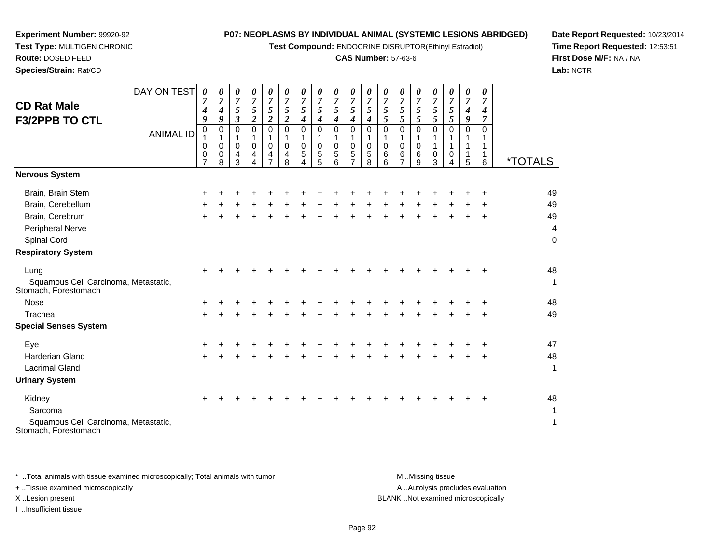**Test Compound:** ENDOCRINE DISRUPTOR(Ethinyl Estradiol)

# **CAS Number:** 57-63-6

**Date Report Requested:** 10/23/2014**Time Report Requested:** 12:53:51**First Dose M/F:** NA / NA**Lab:** NCTR

| <b>CD Rat Male</b><br><b>F3/2PPB TO CTL</b>                  | DAY ON TEST<br><b>ANIMAL ID</b> | 0<br>7<br>$\boldsymbol{4}$<br>9<br>$\mathsf{O}\xspace$<br>1<br>0<br>0<br>$\overline{7}$ | 0<br>7<br>$\boldsymbol{4}$<br>9<br>0<br>$\mathbf{1}$<br>0<br>0<br>8 | 0<br>$\overline{7}$<br>5<br>$\mathfrak{z}$<br>$\mathbf 0$<br>1<br>$\mathbf 0$<br>4<br>3 | 0<br>$\overline{7}$<br>5<br>$\boldsymbol{2}$<br>$\Omega$<br>1<br>$\mathbf 0$<br>4<br>4 | 0<br>$\overline{7}$<br>$5\overline{)}$<br>$\boldsymbol{2}$<br>$\Omega$<br>1<br>$\mathbf 0$<br>4<br>$\overline{7}$ | 0<br>$\overline{7}$<br>$\sqrt{5}$<br>$\boldsymbol{2}$<br>0<br>0<br>4<br>8 | 0<br>$\overline{7}$<br>5<br>4<br>$\mathbf 0$<br>1<br>0<br>5 | 0<br>$\overline{7}$<br>5<br>$\boldsymbol{4}$<br>$\Omega$<br>0<br>5<br>5 | 0<br>7<br>5<br>4<br>$\Omega$<br>0<br>5<br>6 | 0<br>$\overline{7}$<br>5<br>4<br>0<br>1<br>$\pmb{0}$<br>5<br>$\overline{7}$ | 0<br>$\overline{7}$<br>5<br>$\boldsymbol{4}$<br>$\Omega$<br>1<br>$\mathbf 0$<br>5<br>8 | 0<br>$\overline{7}$<br>5<br>5<br>$\Omega$<br>1<br>$\pmb{0}$<br>6<br>6 | 0<br>$\overline{7}$<br>$\sqrt{5}$<br>5<br>$\Omega$<br>$\mathbf 0$<br>6 | 0<br>7<br>5<br>5<br>0<br>1<br>0<br>6<br>9 | 0<br>$\overline{7}$<br>5<br>5<br>$\Omega$<br>1<br>0<br>3 | 0<br>$\overline{7}$<br>5<br>5<br>$\Omega$<br>0<br>4 | 0<br>7<br>$\boldsymbol{4}$<br>9<br>$\Omega$<br>5 | 0<br>7<br>4<br>7<br>$\Omega$<br>6 | <i><b>*TOTALS</b></i>    |
|--------------------------------------------------------------|---------------------------------|-----------------------------------------------------------------------------------------|---------------------------------------------------------------------|-----------------------------------------------------------------------------------------|----------------------------------------------------------------------------------------|-------------------------------------------------------------------------------------------------------------------|---------------------------------------------------------------------------|-------------------------------------------------------------|-------------------------------------------------------------------------|---------------------------------------------|-----------------------------------------------------------------------------|----------------------------------------------------------------------------------------|-----------------------------------------------------------------------|------------------------------------------------------------------------|-------------------------------------------|----------------------------------------------------------|-----------------------------------------------------|--------------------------------------------------|-----------------------------------|--------------------------|
| <b>Nervous System</b>                                        |                                 |                                                                                         |                                                                     |                                                                                         |                                                                                        |                                                                                                                   |                                                                           |                                                             |                                                                         |                                             |                                                                             |                                                                                        |                                                                       |                                                                        |                                           |                                                          |                                                     |                                                  |                                   |                          |
| Brain, Brain Stem                                            |                                 | ÷                                                                                       |                                                                     |                                                                                         |                                                                                        |                                                                                                                   |                                                                           |                                                             |                                                                         |                                             |                                                                             |                                                                                        |                                                                       |                                                                        |                                           |                                                          |                                                     |                                                  |                                   | 49                       |
| Brain, Cerebellum                                            |                                 |                                                                                         |                                                                     |                                                                                         |                                                                                        |                                                                                                                   |                                                                           |                                                             |                                                                         |                                             |                                                                             |                                                                                        |                                                                       |                                                                        |                                           |                                                          |                                                     |                                                  |                                   | 49                       |
| Brain, Cerebrum                                              |                                 | $\pm$                                                                                   |                                                                     |                                                                                         |                                                                                        |                                                                                                                   |                                                                           |                                                             |                                                                         |                                             |                                                                             |                                                                                        |                                                                       |                                                                        |                                           |                                                          |                                                     |                                                  | $\ddot{}$                         | 49                       |
| Peripheral Nerve                                             |                                 |                                                                                         |                                                                     |                                                                                         |                                                                                        |                                                                                                                   |                                                                           |                                                             |                                                                         |                                             |                                                                             |                                                                                        |                                                                       |                                                                        |                                           |                                                          |                                                     |                                                  |                                   | $\overline{\mathcal{L}}$ |
| Spinal Cord                                                  |                                 |                                                                                         |                                                                     |                                                                                         |                                                                                        |                                                                                                                   |                                                                           |                                                             |                                                                         |                                             |                                                                             |                                                                                        |                                                                       |                                                                        |                                           |                                                          |                                                     |                                                  |                                   | $\mathbf 0$              |
| <b>Respiratory System</b>                                    |                                 |                                                                                         |                                                                     |                                                                                         |                                                                                        |                                                                                                                   |                                                                           |                                                             |                                                                         |                                             |                                                                             |                                                                                        |                                                                       |                                                                        |                                           |                                                          |                                                     |                                                  |                                   |                          |
| Lung                                                         |                                 |                                                                                         |                                                                     |                                                                                         |                                                                                        |                                                                                                                   |                                                                           |                                                             |                                                                         |                                             |                                                                             |                                                                                        |                                                                       |                                                                        |                                           |                                                          |                                                     |                                                  |                                   | 48                       |
| Squamous Cell Carcinoma, Metastatic,<br>Stomach, Forestomach |                                 |                                                                                         |                                                                     |                                                                                         |                                                                                        |                                                                                                                   |                                                                           |                                                             |                                                                         |                                             |                                                                             |                                                                                        |                                                                       |                                                                        |                                           |                                                          |                                                     |                                                  |                                   | $\mathbf 1$              |
| Nose                                                         |                                 |                                                                                         |                                                                     |                                                                                         |                                                                                        |                                                                                                                   |                                                                           |                                                             |                                                                         |                                             |                                                                             |                                                                                        |                                                                       |                                                                        |                                           |                                                          |                                                     |                                                  |                                   | 48                       |
| Trachea                                                      |                                 | $\pm$                                                                                   |                                                                     |                                                                                         |                                                                                        |                                                                                                                   |                                                                           |                                                             |                                                                         |                                             |                                                                             |                                                                                        |                                                                       |                                                                        |                                           |                                                          |                                                     |                                                  |                                   | 49                       |
| <b>Special Senses System</b>                                 |                                 |                                                                                         |                                                                     |                                                                                         |                                                                                        |                                                                                                                   |                                                                           |                                                             |                                                                         |                                             |                                                                             |                                                                                        |                                                                       |                                                                        |                                           |                                                          |                                                     |                                                  |                                   |                          |
| Eye                                                          |                                 | +                                                                                       |                                                                     |                                                                                         |                                                                                        |                                                                                                                   |                                                                           |                                                             |                                                                         |                                             |                                                                             |                                                                                        |                                                                       |                                                                        |                                           |                                                          |                                                     |                                                  |                                   | 47                       |
| <b>Harderian Gland</b>                                       |                                 | +                                                                                       |                                                                     |                                                                                         |                                                                                        |                                                                                                                   |                                                                           |                                                             |                                                                         |                                             |                                                                             |                                                                                        |                                                                       |                                                                        |                                           |                                                          |                                                     |                                                  |                                   | 48                       |
| <b>Lacrimal Gland</b>                                        |                                 |                                                                                         |                                                                     |                                                                                         |                                                                                        |                                                                                                                   |                                                                           |                                                             |                                                                         |                                             |                                                                             |                                                                                        |                                                                       |                                                                        |                                           |                                                          |                                                     |                                                  |                                   | 1                        |
| <b>Urinary System</b>                                        |                                 |                                                                                         |                                                                     |                                                                                         |                                                                                        |                                                                                                                   |                                                                           |                                                             |                                                                         |                                             |                                                                             |                                                                                        |                                                                       |                                                                        |                                           |                                                          |                                                     |                                                  |                                   |                          |
| Kidney                                                       |                                 |                                                                                         |                                                                     |                                                                                         |                                                                                        |                                                                                                                   |                                                                           |                                                             |                                                                         |                                             |                                                                             |                                                                                        |                                                                       |                                                                        |                                           |                                                          |                                                     |                                                  |                                   | 48                       |

Squamous Cell Carcinoma, Metastatic, Stomach, Forestomach

Sarcoma

**Experiment Number:** 99920-92**Test Type:** MULTIGEN CHRONIC

**Route:** DOSED FEED**Species/Strain:** Rat/CD

\* ..Total animals with tissue examined microscopically; Total animals with tumor **M** ...Missing tissue M ...Missing tissue A .. Autolysis precludes evaluation + ..Tissue examined microscopically X ..Lesion present BLANK ..Not examined microscopicallyI ..Insufficient tissue

 $a$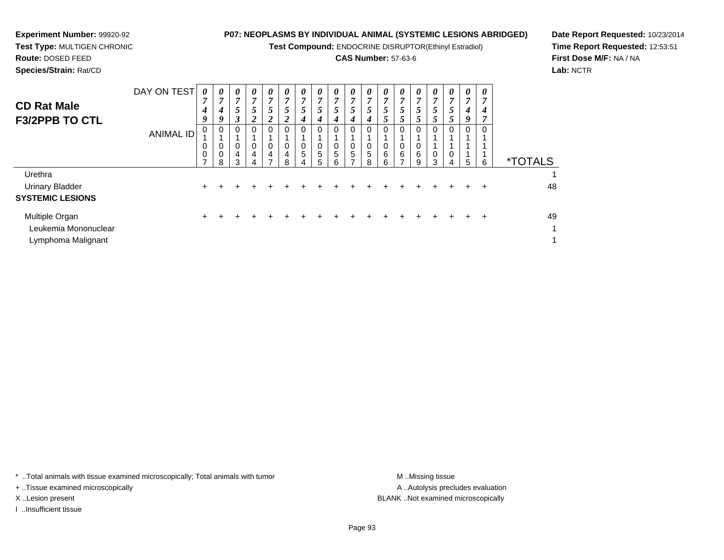**Test Compound:** ENDOCRINE DISRUPTOR(Ethinyl Estradiol)

# **CAS Number:** 57-63-6

**Date Report Requested:** 10/23/2014**Time Report Requested:** 12:53:51**First Dose M/F:** NA / NA**Lab:** NCTR

**Experiment Number:** 99920-92**Test Type:** MULTIGEN CHRONIC

| <b>CD Rat Male</b><br><b>F3/2PPB TO CTL</b> | DAY ON TEST<br><b>ANIMAL ID</b> | 0<br>7<br>4<br>9<br>0<br>0<br>$\mathbf 0$<br>$\overline{ }$ | 0<br>$\mathbf{z}$<br>4<br>9<br>0<br>0<br>0<br>8 | $\boldsymbol{\theta}$<br>7<br>$\mathcal{L}$<br>3<br>0<br>0<br>4<br>3 | $\boldsymbol{\theta}$<br>7<br>5<br>$\overline{2}$<br>0<br>0<br>$\overline{4}$<br>4 | 0<br>$\overline{ }$<br>5<br>$\boldsymbol{2}$<br>0<br>0<br>4<br>⇁ | 0<br>$\overline{ }$<br>5<br>$\overline{2}$<br>0<br>0<br>4<br>8 | 0<br>$\overline{ }$<br>$\mathcal{L}$<br>4<br>0<br>5 | 0<br>$\overline{ }$<br>5<br>4<br>0<br>0<br>5<br>5 | 0<br>$\overline{ }$<br>$\mathfrak{I}$<br>4<br>0<br>0<br>5<br>6 | $\boldsymbol{\theta}$<br>$\mathbf{z}$<br>5<br>4<br>0<br>0<br>5 | 0<br>7<br>$\mathcal{L}$<br>4<br>0<br>5<br>8 | $\boldsymbol{\theta}$<br>$\overline{7}$<br>5 <sup>5</sup><br>$5^{\circ}$<br>0<br>0<br>6<br>6 | 0<br>$\overline{ }$<br>$\mathcal{P}$<br>5<br>0<br>0<br>$\,6$<br>$\overline{ }$ | $\boldsymbol{\theta}$<br>$\overline{ }$<br>$\mathfrak{p}$<br>5<br>0<br>0<br>6<br>9 | 0<br>$\overline{ }$<br>C<br>$\mathcal{P}$<br>0<br>3 | $\boldsymbol{\theta}$<br>7<br>$\mathfrak{I}$<br>$\mathfrak{Z}$<br>0<br>4 | $\boldsymbol{\theta}$<br>$\overline{ }$<br>4<br>9<br>0<br>5 | $\boldsymbol{\theta}$<br>7<br>4<br>$\overline{ }$<br>0<br>6 | <i><b>*TOTALS</b></i> |
|---------------------------------------------|---------------------------------|-------------------------------------------------------------|-------------------------------------------------|----------------------------------------------------------------------|------------------------------------------------------------------------------------|------------------------------------------------------------------|----------------------------------------------------------------|-----------------------------------------------------|---------------------------------------------------|----------------------------------------------------------------|----------------------------------------------------------------|---------------------------------------------|----------------------------------------------------------------------------------------------|--------------------------------------------------------------------------------|------------------------------------------------------------------------------------|-----------------------------------------------------|--------------------------------------------------------------------------|-------------------------------------------------------------|-------------------------------------------------------------|-----------------------|
| Urethra                                     |                                 |                                                             |                                                 |                                                                      |                                                                                    |                                                                  |                                                                |                                                     |                                                   |                                                                |                                                                |                                             |                                                                                              |                                                                                |                                                                                    |                                                     |                                                                          |                                                             |                                                             | 1                     |
| <b>Urinary Bladder</b>                      |                                 | $\pm$                                                       |                                                 |                                                                      |                                                                                    |                                                                  |                                                                |                                                     |                                                   |                                                                |                                                                |                                             |                                                                                              |                                                                                |                                                                                    |                                                     |                                                                          |                                                             | $\ddot{}$                                                   | 48                    |
| <b>SYSTEMIC LESIONS</b>                     |                                 |                                                             |                                                 |                                                                      |                                                                                    |                                                                  |                                                                |                                                     |                                                   |                                                                |                                                                |                                             |                                                                                              |                                                                                |                                                                                    |                                                     |                                                                          |                                                             |                                                             |                       |
| Multiple Organ                              |                                 | ÷.                                                          |                                                 |                                                                      |                                                                                    |                                                                  |                                                                |                                                     |                                                   |                                                                |                                                                |                                             |                                                                                              |                                                                                |                                                                                    |                                                     |                                                                          |                                                             | ÷                                                           | 49                    |
| Leukemia Mononuclear                        |                                 |                                                             |                                                 |                                                                      |                                                                                    |                                                                  |                                                                |                                                     |                                                   |                                                                |                                                                |                                             |                                                                                              |                                                                                |                                                                                    |                                                     |                                                                          |                                                             |                                                             | 1                     |
| Lymphoma Malignant                          |                                 |                                                             |                                                 |                                                                      |                                                                                    |                                                                  |                                                                |                                                     |                                                   |                                                                |                                                                |                                             |                                                                                              |                                                                                |                                                                                    |                                                     |                                                                          |                                                             |                                                             | 1                     |

\* ..Total animals with tissue examined microscopically; Total animals with tumor **M** . Missing tissue M ..Missing tissue

+ ..Tissue examined microscopically

I ..Insufficient tissue

A ..Autolysis precludes evaluation X ..Lesion present BLANK ..Not examined microscopically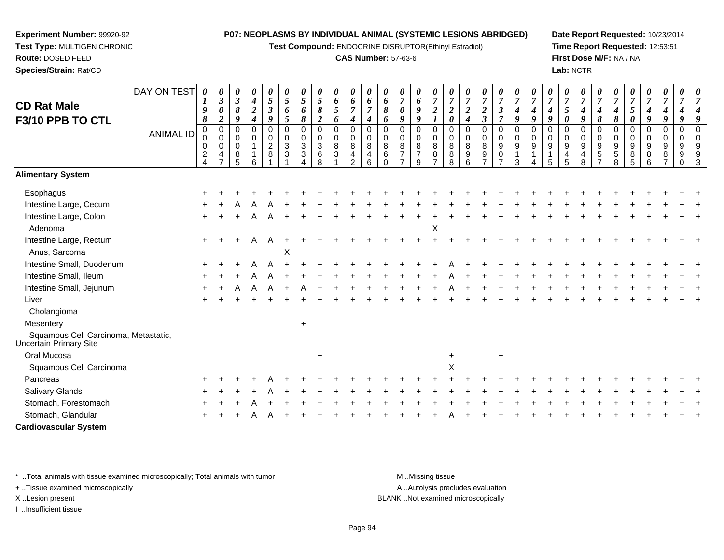**Test Compound:** ENDOCRINE DISRUPTOR(Ethinyl Estradiol)

# **CAS Number:** 57-63-6

**Date Report Requested:** 10/23/2014**Time Report Requested:** 12:53:51**First Dose M/F:** NA / NA**Lab:** NCTR

| <b>CD Rat Male</b><br>F3/10 PPB TO CTL                         | DAY ON TEST<br><b>ANIMAL ID</b> | 0<br>$\boldsymbol{l}$<br>9<br>8<br>$\pmb{0}$<br>0<br>0<br>$\overline{c}$<br>$\overline{4}$ | 0<br>$\boldsymbol{\beta}$<br>$\boldsymbol{\theta}$<br>$\boldsymbol{2}$<br>$\mathbf 0$<br>$\pmb{0}$<br>$\mathbf 0$<br>4 | $\pmb{\theta}$<br>$\boldsymbol{\mathfrak{z}}$<br>8<br>9<br>$\mathsf 0$<br>0<br>$\mathbf 0$<br>8<br>5 | 0<br>$\boldsymbol{4}$<br>$\overline{c}$<br>4<br>$\Omega$<br>0<br>6 | $\boldsymbol{\theta}$<br>$\mathfrak{s}$<br>$\mathfrak{z}$<br>9<br>$\mathbf 0$<br>$\begin{smallmatrix} 0\\2 \end{smallmatrix}$<br>8 | $\boldsymbol{\theta}$<br>5<br>6<br>5<br>$\mathbf 0$<br>$\mathbf 0$<br>$\mathbf{3}$<br>3 | 0<br>5<br>6<br>8<br>$\mathbf 0$<br>$\pmb{0}$<br>$\ensuremath{\mathsf{3}}$<br>3<br>Δ | $\pmb{\theta}$<br>5<br>8<br>$\boldsymbol{2}$<br>$\mathsf 0$<br>$\mathsf 0$<br>$\mathbf{3}$<br>6<br>8 | 0<br>6<br>5<br>6<br>0<br>0<br>8<br>3 | $\boldsymbol{\theta}$<br>6<br>$\overline{7}$<br>$\boldsymbol{4}$<br>$\mathbf 0$<br>$\mathbf 0$<br>$\, 8$<br>$\overline{\mathbf{4}}$<br>$\overline{2}$ | $\boldsymbol{\theta}$<br>6<br>$\overline{7}$<br>4<br>$\mathbf 0$<br>$\mathbf 0$<br>$\, 8$<br>$\overline{4}$<br>$6\phantom{1}$ | $\boldsymbol{\theta}$<br>6<br>8<br>6<br>$\Omega$<br>$\Omega$<br>8<br>6<br>$\Omega$ | $\pmb{\theta}$<br>$\overline{7}$<br>0<br>9<br>$\mathbf 0$<br>0<br>8<br>$\overline{7}$ | 0<br>6<br>9<br>9<br>$\Omega$<br>0<br>8<br>$\overline{7}$<br>9 | $\boldsymbol{\theta}$<br>$\overline{7}$<br>$\boldsymbol{2}$<br>$\mathbf 0$<br>$\mathbf 0$<br>8<br>8<br>$\overline{z}$ | 0<br>$\overline{7}$<br>$\boldsymbol{2}$<br>$\pmb{\theta}$<br>$\mathbf 0$<br>$\mathbf 0$<br>$\bf 8$<br>$\bf 8$<br>8 | 0<br>$\overline{7}$<br>$\boldsymbol{2}$<br>4<br>$\Omega$<br>$\mathbf 0$<br>8<br>9<br>6 | 0<br>$\overline{7}$<br>$\boldsymbol{2}$<br>$\overline{\mathbf{3}}$<br>0<br>0<br>8<br>9 | 0<br>$\overline{7}$<br>$\boldsymbol{\beta}$<br>$\overline{7}$<br>0<br>0<br>$9\,$<br>0 | $\pmb{\theta}$<br>$\overline{7}$<br>$\boldsymbol{4}$<br>9<br>$\mathbf 0$<br>$\mathbf 0$<br>$\boldsymbol{9}$<br>$\mathbf 1$<br>3 | $\boldsymbol{\theta}$<br>$\overline{7}$<br>4<br>9<br>$\mathbf 0$<br>$\mathbf 0$<br>$\boldsymbol{9}$<br>$\mathbf{1}$<br>4 | 0<br>$\overline{7}$<br>4<br>9<br>$\Omega$<br>$\Omega$<br>9<br>1<br>5 | 0<br>$\overline{7}$<br>5<br>0<br>$\Omega$<br>0<br>9<br>4<br>5 | 0<br>$\overline{7}$<br>$\boldsymbol{4}$<br>9<br>$\Omega$<br>0<br>$\boldsymbol{9}$<br>$\overline{\mathbf{4}}$<br>8 | 0<br>$\overline{7}$<br>4<br>8<br>$\Omega$<br>$\mathbf 0$<br>$9\,$<br>$\sqrt{5}$ | 0<br>$\overline{7}$<br>4<br>8<br>$\Omega$<br>0<br>9<br>$\mathbf 5$<br>8 | 0<br>$\overline{7}$<br>5<br>0<br>$\Omega$<br>$\Omega$<br>9<br>8<br>5 | 0<br>$\overline{7}$<br>4<br>9<br>0<br>0<br>9<br>8<br>6 | 0<br>$\overline{7}$<br>4<br>9<br>$\Omega$<br>0<br>9<br>8 | 0<br>$\overline{7}$<br>9<br>$\mathbf 0$<br>$\mathbf 0$<br>9<br>$9\,$<br>$\Omega$ | વ |
|----------------------------------------------------------------|---------------------------------|--------------------------------------------------------------------------------------------|------------------------------------------------------------------------------------------------------------------------|------------------------------------------------------------------------------------------------------|--------------------------------------------------------------------|------------------------------------------------------------------------------------------------------------------------------------|-----------------------------------------------------------------------------------------|-------------------------------------------------------------------------------------|------------------------------------------------------------------------------------------------------|--------------------------------------|-------------------------------------------------------------------------------------------------------------------------------------------------------|-------------------------------------------------------------------------------------------------------------------------------|------------------------------------------------------------------------------------|---------------------------------------------------------------------------------------|---------------------------------------------------------------|-----------------------------------------------------------------------------------------------------------------------|--------------------------------------------------------------------------------------------------------------------|----------------------------------------------------------------------------------------|----------------------------------------------------------------------------------------|---------------------------------------------------------------------------------------|---------------------------------------------------------------------------------------------------------------------------------|--------------------------------------------------------------------------------------------------------------------------|----------------------------------------------------------------------|---------------------------------------------------------------|-------------------------------------------------------------------------------------------------------------------|---------------------------------------------------------------------------------|-------------------------------------------------------------------------|----------------------------------------------------------------------|--------------------------------------------------------|----------------------------------------------------------|----------------------------------------------------------------------------------|---|
| <b>Alimentary System</b>                                       |                                 |                                                                                            |                                                                                                                        |                                                                                                      |                                                                    |                                                                                                                                    |                                                                                         |                                                                                     |                                                                                                      |                                      |                                                                                                                                                       |                                                                                                                               |                                                                                    |                                                                                       |                                                               |                                                                                                                       |                                                                                                                    |                                                                                        |                                                                                        |                                                                                       |                                                                                                                                 |                                                                                                                          |                                                                      |                                                               |                                                                                                                   |                                                                                 |                                                                         |                                                                      |                                                        |                                                          |                                                                                  |   |
| Esophagus                                                      |                                 |                                                                                            |                                                                                                                        |                                                                                                      |                                                                    |                                                                                                                                    |                                                                                         |                                                                                     |                                                                                                      |                                      |                                                                                                                                                       |                                                                                                                               |                                                                                    |                                                                                       |                                                               |                                                                                                                       |                                                                                                                    |                                                                                        |                                                                                        |                                                                                       |                                                                                                                                 |                                                                                                                          |                                                                      |                                                               |                                                                                                                   |                                                                                 |                                                                         |                                                                      |                                                        |                                                          |                                                                                  |   |
| Intestine Large, Cecum                                         |                                 |                                                                                            |                                                                                                                        |                                                                                                      |                                                                    |                                                                                                                                    |                                                                                         |                                                                                     |                                                                                                      |                                      |                                                                                                                                                       |                                                                                                                               |                                                                                    |                                                                                       |                                                               |                                                                                                                       |                                                                                                                    |                                                                                        |                                                                                        |                                                                                       |                                                                                                                                 |                                                                                                                          |                                                                      |                                                               |                                                                                                                   |                                                                                 |                                                                         |                                                                      |                                                        |                                                          |                                                                                  |   |
| Intestine Large, Colon<br>Adenoma                              |                                 | $\ddot{}$                                                                                  |                                                                                                                        |                                                                                                      | A                                                                  | A                                                                                                                                  |                                                                                         |                                                                                     |                                                                                                      |                                      |                                                                                                                                                       |                                                                                                                               |                                                                                    |                                                                                       |                                                               | X                                                                                                                     |                                                                                                                    |                                                                                        |                                                                                        |                                                                                       |                                                                                                                                 |                                                                                                                          |                                                                      |                                                               |                                                                                                                   |                                                                                 |                                                                         |                                                                      |                                                        |                                                          |                                                                                  |   |
| Intestine Large, Rectum                                        |                                 | $\ddot{}$                                                                                  |                                                                                                                        |                                                                                                      | A                                                                  | A                                                                                                                                  |                                                                                         |                                                                                     |                                                                                                      |                                      |                                                                                                                                                       |                                                                                                                               |                                                                                    |                                                                                       |                                                               |                                                                                                                       |                                                                                                                    |                                                                                        |                                                                                        |                                                                                       |                                                                                                                                 |                                                                                                                          |                                                                      |                                                               |                                                                                                                   |                                                                                 |                                                                         |                                                                      |                                                        |                                                          |                                                                                  |   |
| Anus, Sarcoma                                                  |                                 |                                                                                            |                                                                                                                        |                                                                                                      |                                                                    |                                                                                                                                    | Х                                                                                       |                                                                                     |                                                                                                      |                                      |                                                                                                                                                       |                                                                                                                               |                                                                                    |                                                                                       |                                                               |                                                                                                                       |                                                                                                                    |                                                                                        |                                                                                        |                                                                                       |                                                                                                                                 |                                                                                                                          |                                                                      |                                                               |                                                                                                                   |                                                                                 |                                                                         |                                                                      |                                                        |                                                          |                                                                                  |   |
| Intestine Small, Duodenum                                      |                                 |                                                                                            |                                                                                                                        |                                                                                                      |                                                                    |                                                                                                                                    |                                                                                         |                                                                                     |                                                                                                      |                                      |                                                                                                                                                       |                                                                                                                               |                                                                                    |                                                                                       |                                                               |                                                                                                                       |                                                                                                                    |                                                                                        |                                                                                        |                                                                                       |                                                                                                                                 |                                                                                                                          |                                                                      |                                                               |                                                                                                                   |                                                                                 |                                                                         |                                                                      |                                                        |                                                          |                                                                                  |   |
| Intestine Small, Ileum                                         |                                 |                                                                                            |                                                                                                                        |                                                                                                      |                                                                    |                                                                                                                                    |                                                                                         |                                                                                     |                                                                                                      |                                      |                                                                                                                                                       |                                                                                                                               |                                                                                    |                                                                                       |                                                               |                                                                                                                       |                                                                                                                    |                                                                                        |                                                                                        |                                                                                       |                                                                                                                                 |                                                                                                                          |                                                                      |                                                               |                                                                                                                   |                                                                                 |                                                                         |                                                                      |                                                        |                                                          |                                                                                  |   |
| Intestine Small, Jejunum                                       |                                 |                                                                                            |                                                                                                                        |                                                                                                      |                                                                    |                                                                                                                                    |                                                                                         |                                                                                     |                                                                                                      |                                      |                                                                                                                                                       |                                                                                                                               |                                                                                    |                                                                                       |                                                               |                                                                                                                       |                                                                                                                    |                                                                                        |                                                                                        |                                                                                       |                                                                                                                                 |                                                                                                                          |                                                                      |                                                               |                                                                                                                   |                                                                                 |                                                                         |                                                                      |                                                        |                                                          |                                                                                  |   |
| Liver                                                          |                                 |                                                                                            |                                                                                                                        |                                                                                                      |                                                                    |                                                                                                                                    |                                                                                         |                                                                                     |                                                                                                      |                                      |                                                                                                                                                       |                                                                                                                               |                                                                                    |                                                                                       |                                                               |                                                                                                                       |                                                                                                                    |                                                                                        |                                                                                        |                                                                                       |                                                                                                                                 |                                                                                                                          |                                                                      |                                                               |                                                                                                                   |                                                                                 |                                                                         |                                                                      |                                                        |                                                          |                                                                                  |   |
| Cholangioma                                                    |                                 |                                                                                            |                                                                                                                        |                                                                                                      |                                                                    |                                                                                                                                    |                                                                                         |                                                                                     |                                                                                                      |                                      |                                                                                                                                                       |                                                                                                                               |                                                                                    |                                                                                       |                                                               |                                                                                                                       |                                                                                                                    |                                                                                        |                                                                                        |                                                                                       |                                                                                                                                 |                                                                                                                          |                                                                      |                                                               |                                                                                                                   |                                                                                 |                                                                         |                                                                      |                                                        |                                                          |                                                                                  |   |
| Mesentery                                                      |                                 |                                                                                            |                                                                                                                        |                                                                                                      |                                                                    |                                                                                                                                    |                                                                                         | $+$                                                                                 |                                                                                                      |                                      |                                                                                                                                                       |                                                                                                                               |                                                                                    |                                                                                       |                                                               |                                                                                                                       |                                                                                                                    |                                                                                        |                                                                                        |                                                                                       |                                                                                                                                 |                                                                                                                          |                                                                      |                                                               |                                                                                                                   |                                                                                 |                                                                         |                                                                      |                                                        |                                                          |                                                                                  |   |
| Squamous Cell Carcinoma, Metastatic,<br>Uncertain Primary Site |                                 |                                                                                            |                                                                                                                        |                                                                                                      |                                                                    |                                                                                                                                    |                                                                                         |                                                                                     |                                                                                                      |                                      |                                                                                                                                                       |                                                                                                                               |                                                                                    |                                                                                       |                                                               |                                                                                                                       |                                                                                                                    |                                                                                        |                                                                                        |                                                                                       |                                                                                                                                 |                                                                                                                          |                                                                      |                                                               |                                                                                                                   |                                                                                 |                                                                         |                                                                      |                                                        |                                                          |                                                                                  |   |
| Oral Mucosa                                                    |                                 |                                                                                            |                                                                                                                        |                                                                                                      |                                                                    |                                                                                                                                    |                                                                                         |                                                                                     | $\ddot{}$                                                                                            |                                      |                                                                                                                                                       |                                                                                                                               |                                                                                    |                                                                                       |                                                               |                                                                                                                       | $\ddot{}$                                                                                                          |                                                                                        |                                                                                        | $\ddot{}$                                                                             |                                                                                                                                 |                                                                                                                          |                                                                      |                                                               |                                                                                                                   |                                                                                 |                                                                         |                                                                      |                                                        |                                                          |                                                                                  |   |
| Squamous Cell Carcinoma                                        |                                 |                                                                                            |                                                                                                                        |                                                                                                      |                                                                    |                                                                                                                                    |                                                                                         |                                                                                     |                                                                                                      |                                      |                                                                                                                                                       |                                                                                                                               |                                                                                    |                                                                                       |                                                               |                                                                                                                       | $\mathsf X$                                                                                                        |                                                                                        |                                                                                        |                                                                                       |                                                                                                                                 |                                                                                                                          |                                                                      |                                                               |                                                                                                                   |                                                                                 |                                                                         |                                                                      |                                                        |                                                          |                                                                                  |   |
| Pancreas                                                       |                                 |                                                                                            |                                                                                                                        |                                                                                                      |                                                                    |                                                                                                                                    |                                                                                         |                                                                                     |                                                                                                      |                                      |                                                                                                                                                       |                                                                                                                               |                                                                                    |                                                                                       |                                                               |                                                                                                                       |                                                                                                                    |                                                                                        |                                                                                        |                                                                                       |                                                                                                                                 |                                                                                                                          |                                                                      |                                                               |                                                                                                                   |                                                                                 |                                                                         |                                                                      |                                                        |                                                          |                                                                                  |   |
| Salivary Glands                                                |                                 |                                                                                            |                                                                                                                        |                                                                                                      |                                                                    |                                                                                                                                    |                                                                                         |                                                                                     |                                                                                                      |                                      |                                                                                                                                                       |                                                                                                                               |                                                                                    |                                                                                       |                                                               |                                                                                                                       |                                                                                                                    |                                                                                        |                                                                                        |                                                                                       |                                                                                                                                 |                                                                                                                          |                                                                      |                                                               |                                                                                                                   |                                                                                 |                                                                         |                                                                      |                                                        |                                                          |                                                                                  |   |
| Stomach, Forestomach                                           |                                 |                                                                                            |                                                                                                                        |                                                                                                      |                                                                    |                                                                                                                                    |                                                                                         |                                                                                     |                                                                                                      |                                      |                                                                                                                                                       |                                                                                                                               |                                                                                    |                                                                                       |                                                               |                                                                                                                       |                                                                                                                    |                                                                                        |                                                                                        |                                                                                       |                                                                                                                                 |                                                                                                                          |                                                                      |                                                               |                                                                                                                   |                                                                                 |                                                                         |                                                                      |                                                        |                                                          |                                                                                  |   |
| Stomach, Glandular                                             |                                 |                                                                                            |                                                                                                                        |                                                                                                      |                                                                    |                                                                                                                                    |                                                                                         |                                                                                     |                                                                                                      |                                      |                                                                                                                                                       |                                                                                                                               |                                                                                    |                                                                                       |                                                               |                                                                                                                       |                                                                                                                    |                                                                                        |                                                                                        |                                                                                       |                                                                                                                                 |                                                                                                                          |                                                                      |                                                               |                                                                                                                   |                                                                                 |                                                                         |                                                                      |                                                        |                                                          |                                                                                  |   |
| <b>Cardiovascular System</b>                                   |                                 |                                                                                            |                                                                                                                        |                                                                                                      |                                                                    |                                                                                                                                    |                                                                                         |                                                                                     |                                                                                                      |                                      |                                                                                                                                                       |                                                                                                                               |                                                                                    |                                                                                       |                                                               |                                                                                                                       |                                                                                                                    |                                                                                        |                                                                                        |                                                                                       |                                                                                                                                 |                                                                                                                          |                                                                      |                                                               |                                                                                                                   |                                                                                 |                                                                         |                                                                      |                                                        |                                                          |                                                                                  |   |

\* ..Total animals with tissue examined microscopically; Total animals with tumor **M** . Missing tissue M ..Missing tissue

+ ..Tissue examined microscopically

**Experiment Number:** 99920-92**Test Type:** MULTIGEN CHRONIC

**Route:** DOSED FEED**Species/Strain:** Rat/CD

I ..Insufficient tissue

A ..Autolysis precludes evaluation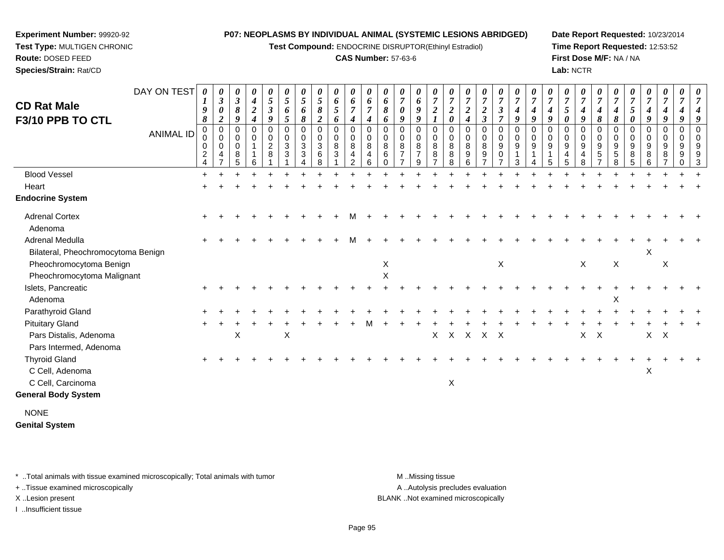**Test Compound:** ENDOCRINE DISRUPTOR(Ethinyl Estradiol)

**CAS Number:** 57-63-6

**Date Report Requested:** 10/23/2014**Time Report Requested:** 12:53:52**First Dose M/F:** NA / NA**Lab:** NCTR

| DAY ON TEST<br><b>CD Rat Male</b><br>F3/10 PPB TO CTL<br><b>ANIMAL ID</b> | 0<br>$\boldsymbol{I}$<br>9<br>8<br>0<br>0<br>$\mathbf 0$<br>$\frac{2}{4}$ | $\boldsymbol{\theta}$<br>$\mathfrak{z}$<br>$\pmb{\theta}$<br>$\boldsymbol{2}$<br>$\pmb{0}$<br>$\mathbf 0$<br>$\mathbf 0$<br>$\overline{4}$<br>$\overline{ }$ | 0<br>$\boldsymbol{\beta}$<br>8<br>9<br>0<br>$\mathbf 0$<br>$\mathbf 0$<br>8<br>5 | 0<br>$\boldsymbol{4}$<br>$\boldsymbol{2}$<br>$\boldsymbol{4}$<br>0<br>$\mathbf 0$<br>1<br>6 | $\boldsymbol{\theta}$<br>$\mathfrak{s}$<br>$\boldsymbol{\beta}$<br>9<br>0<br>$\,0\,$<br>$\overline{c}$<br>8 | $\theta$<br>$\sqrt{5}$<br>6<br>$\mathfrak{s}$<br>0<br>$\mathbf 0$<br>$\sqrt{3}$<br>3 | $\boldsymbol{\theta}$<br>$\mathfrak{s}$<br>6<br>8<br>0<br>$\pmb{0}$<br>$\mathbf{3}$<br>3 | 0<br>5<br>8<br>$\boldsymbol{2}$<br>0<br>$\mathbf 0$<br>3<br>6<br>8 | 0<br>6<br>$\mathfrak{s}$<br>6<br>0<br>$\mathsf{O}\xspace$<br>8<br>$\sqrt{3}$ | 0<br>6<br>$\overline{7}$<br>4<br>$\mathbf 0$<br>$\pmb{0}$<br>8<br>4<br>$\overline{2}$ | $\boldsymbol{\theta}$<br>6<br>4<br>0<br>$\mathbf 0$<br>8<br>4<br>6 | $\boldsymbol{\theta}$<br>6<br>8<br>6<br>0<br>$\mathbf 0$<br>8<br>6<br>$\Omega$ | 0<br>$\overline{7}$<br>0<br>9<br>0<br>$\mathbf 0$<br>8<br>$\overline{ }$ | 0<br>6<br>$\boldsymbol{9}$<br>9<br>0<br>0<br>8<br>$\overline{7}$<br>9 | $\boldsymbol{\theta}$<br>$\boldsymbol{7}$<br>$\boldsymbol{2}$<br>0<br>$\,0\,$<br>8<br>8<br>$\overline{ }$ | 0<br>$\overline{7}$<br>$\overline{2}$<br>$\boldsymbol{\theta}$<br>0<br>$\mathbf 0$<br>8<br>$\bf 8$<br>8 | $\boldsymbol{\theta}$<br>$\overline{7}$<br>$\boldsymbol{2}$<br>4<br>0<br>$\mathbf 0$<br>8<br>9<br>6 | $\boldsymbol{\theta}$<br>$\overline{7}$<br>$\overline{2}$<br>$\boldsymbol{\beta}$<br>0<br>$\mathbf 0$<br>8<br>9<br>$\overline{ }$ | 0<br>$\boldsymbol{7}$<br>$\boldsymbol{\beta}$<br>$\overline{7}$<br>$\pmb{0}$<br>$\pmb{0}$<br>$\boldsymbol{9}$<br>$\,0\,$<br>$\overline{7}$ | $\boldsymbol{\theta}$<br>$\boldsymbol{7}$<br>$\boldsymbol{4}$<br>9<br>$\mathbf 0$<br>$\pmb{0}$<br>9<br>3 | $\overline{7}$<br>4<br>9<br>0<br>$\mathbf 0$<br>9 | $\overline{7}$<br>4<br>9<br>0<br>$\mathbf 0$<br>9 | $\boldsymbol{\theta}$<br>$\overline{7}$<br>$\mathfrak{s}$<br>$\boldsymbol{\theta}$<br>$\mathbf 0$<br>0<br>9<br>4<br>5 | 0<br>$\boldsymbol{7}$<br>$\boldsymbol{4}$<br>9<br>0<br>$\pmb{0}$<br>$\boldsymbol{9}$<br>$\overline{4}$<br>8 | 0<br>$\overline{7}$<br>$\boldsymbol{4}$<br>8<br>$\mathbf 0$<br>$\pmb{0}$<br>9<br>$\sqrt{5}$ | 0<br>$\overline{7}$<br>4<br>8<br>0<br>0<br>9<br>$\sqrt{5}$<br>8 | $\overline{7}$<br>5<br>$\boldsymbol{\theta}$<br>$\mathbf 0$<br>$\mathbf 0$<br>$\boldsymbol{9}$<br>8<br>5 | $\boldsymbol{\theta}$<br>$\boldsymbol{7}$<br>$\boldsymbol{4}$<br>9<br>0<br>$\mathbf 0$<br>$\boldsymbol{9}$<br>8<br>6 | 0<br>$\boldsymbol{7}$<br>$\boldsymbol{4}$<br>9<br>0<br>$\pmb{0}$<br>$\boldsymbol{9}$<br>8 | 0<br>$\overline{7}$<br>4<br>9<br>$\mathbf 0$<br>$\pmb{0}$<br>9<br>9<br>0 |  |
|---------------------------------------------------------------------------|---------------------------------------------------------------------------|--------------------------------------------------------------------------------------------------------------------------------------------------------------|----------------------------------------------------------------------------------|---------------------------------------------------------------------------------------------|-------------------------------------------------------------------------------------------------------------|--------------------------------------------------------------------------------------|------------------------------------------------------------------------------------------|--------------------------------------------------------------------|------------------------------------------------------------------------------|---------------------------------------------------------------------------------------|--------------------------------------------------------------------|--------------------------------------------------------------------------------|--------------------------------------------------------------------------|-----------------------------------------------------------------------|-----------------------------------------------------------------------------------------------------------|---------------------------------------------------------------------------------------------------------|-----------------------------------------------------------------------------------------------------|-----------------------------------------------------------------------------------------------------------------------------------|--------------------------------------------------------------------------------------------------------------------------------------------|----------------------------------------------------------------------------------------------------------|---------------------------------------------------|---------------------------------------------------|-----------------------------------------------------------------------------------------------------------------------|-------------------------------------------------------------------------------------------------------------|---------------------------------------------------------------------------------------------|-----------------------------------------------------------------|----------------------------------------------------------------------------------------------------------|----------------------------------------------------------------------------------------------------------------------|-------------------------------------------------------------------------------------------|--------------------------------------------------------------------------|--|
| <b>Blood Vessel</b>                                                       | $\ddot{}$                                                                 |                                                                                                                                                              |                                                                                  |                                                                                             |                                                                                                             |                                                                                      |                                                                                          |                                                                    |                                                                              |                                                                                       |                                                                    |                                                                                |                                                                          |                                                                       |                                                                                                           |                                                                                                         |                                                                                                     |                                                                                                                                   |                                                                                                                                            |                                                                                                          |                                                   |                                                   |                                                                                                                       |                                                                                                             |                                                                                             |                                                                 |                                                                                                          |                                                                                                                      |                                                                                           |                                                                          |  |
| Heart                                                                     |                                                                           |                                                                                                                                                              |                                                                                  |                                                                                             |                                                                                                             |                                                                                      |                                                                                          |                                                                    |                                                                              |                                                                                       |                                                                    |                                                                                |                                                                          |                                                                       |                                                                                                           |                                                                                                         |                                                                                                     |                                                                                                                                   |                                                                                                                                            |                                                                                                          |                                                   |                                                   |                                                                                                                       |                                                                                                             |                                                                                             |                                                                 |                                                                                                          |                                                                                                                      |                                                                                           |                                                                          |  |
| <b>Endocrine System</b>                                                   |                                                                           |                                                                                                                                                              |                                                                                  |                                                                                             |                                                                                                             |                                                                                      |                                                                                          |                                                                    |                                                                              |                                                                                       |                                                                    |                                                                                |                                                                          |                                                                       |                                                                                                           |                                                                                                         |                                                                                                     |                                                                                                                                   |                                                                                                                                            |                                                                                                          |                                                   |                                                   |                                                                                                                       |                                                                                                             |                                                                                             |                                                                 |                                                                                                          |                                                                                                                      |                                                                                           |                                                                          |  |
| <b>Adrenal Cortex</b>                                                     |                                                                           |                                                                                                                                                              |                                                                                  |                                                                                             |                                                                                                             |                                                                                      |                                                                                          |                                                                    |                                                                              |                                                                                       |                                                                    |                                                                                |                                                                          |                                                                       |                                                                                                           |                                                                                                         |                                                                                                     |                                                                                                                                   |                                                                                                                                            |                                                                                                          |                                                   |                                                   |                                                                                                                       |                                                                                                             |                                                                                             |                                                                 |                                                                                                          |                                                                                                                      |                                                                                           |                                                                          |  |
| Adenoma                                                                   |                                                                           |                                                                                                                                                              |                                                                                  |                                                                                             |                                                                                                             |                                                                                      |                                                                                          |                                                                    |                                                                              |                                                                                       |                                                                    |                                                                                |                                                                          |                                                                       |                                                                                                           |                                                                                                         |                                                                                                     |                                                                                                                                   |                                                                                                                                            |                                                                                                          |                                                   |                                                   |                                                                                                                       |                                                                                                             |                                                                                             |                                                                 |                                                                                                          |                                                                                                                      |                                                                                           |                                                                          |  |
| <b>Adrenal Medulla</b>                                                    |                                                                           |                                                                                                                                                              |                                                                                  |                                                                                             |                                                                                                             |                                                                                      |                                                                                          |                                                                    |                                                                              |                                                                                       |                                                                    |                                                                                |                                                                          |                                                                       |                                                                                                           |                                                                                                         |                                                                                                     |                                                                                                                                   |                                                                                                                                            |                                                                                                          |                                                   |                                                   |                                                                                                                       |                                                                                                             |                                                                                             |                                                                 |                                                                                                          |                                                                                                                      |                                                                                           |                                                                          |  |
| Bilateral, Pheochromocytoma Benign                                        |                                                                           |                                                                                                                                                              |                                                                                  |                                                                                             |                                                                                                             |                                                                                      |                                                                                          |                                                                    |                                                                              |                                                                                       |                                                                    |                                                                                |                                                                          |                                                                       |                                                                                                           |                                                                                                         |                                                                                                     |                                                                                                                                   |                                                                                                                                            |                                                                                                          |                                                   |                                                   |                                                                                                                       |                                                                                                             |                                                                                             |                                                                 |                                                                                                          | Χ                                                                                                                    |                                                                                           |                                                                          |  |
| Pheochromocytoma Benign                                                   |                                                                           |                                                                                                                                                              |                                                                                  |                                                                                             |                                                                                                             |                                                                                      |                                                                                          |                                                                    |                                                                              |                                                                                       |                                                                    | X                                                                              |                                                                          |                                                                       |                                                                                                           |                                                                                                         |                                                                                                     |                                                                                                                                   | X                                                                                                                                          |                                                                                                          |                                                   |                                                   |                                                                                                                       | X                                                                                                           |                                                                                             | $\mathsf X$                                                     |                                                                                                          |                                                                                                                      | $\times$                                                                                  |                                                                          |  |
| Pheochromocytoma Malignant                                                |                                                                           |                                                                                                                                                              |                                                                                  |                                                                                             |                                                                                                             |                                                                                      |                                                                                          |                                                                    |                                                                              |                                                                                       |                                                                    | $\mathsf X$                                                                    |                                                                          |                                                                       |                                                                                                           |                                                                                                         |                                                                                                     |                                                                                                                                   |                                                                                                                                            |                                                                                                          |                                                   |                                                   |                                                                                                                       |                                                                                                             |                                                                                             |                                                                 |                                                                                                          |                                                                                                                      |                                                                                           |                                                                          |  |
| Islets, Pancreatic                                                        |                                                                           |                                                                                                                                                              |                                                                                  |                                                                                             |                                                                                                             |                                                                                      |                                                                                          |                                                                    |                                                                              |                                                                                       |                                                                    |                                                                                |                                                                          |                                                                       |                                                                                                           |                                                                                                         |                                                                                                     |                                                                                                                                   |                                                                                                                                            |                                                                                                          |                                                   |                                                   |                                                                                                                       |                                                                                                             |                                                                                             |                                                                 |                                                                                                          |                                                                                                                      |                                                                                           |                                                                          |  |
| Adenoma                                                                   |                                                                           |                                                                                                                                                              |                                                                                  |                                                                                             |                                                                                                             |                                                                                      |                                                                                          |                                                                    |                                                                              |                                                                                       |                                                                    |                                                                                |                                                                          |                                                                       |                                                                                                           |                                                                                                         |                                                                                                     |                                                                                                                                   |                                                                                                                                            |                                                                                                          |                                                   |                                                   |                                                                                                                       |                                                                                                             |                                                                                             | X                                                               |                                                                                                          |                                                                                                                      |                                                                                           |                                                                          |  |
| Parathyroid Gland                                                         |                                                                           |                                                                                                                                                              |                                                                                  |                                                                                             |                                                                                                             |                                                                                      |                                                                                          |                                                                    |                                                                              |                                                                                       |                                                                    |                                                                                |                                                                          |                                                                       |                                                                                                           |                                                                                                         |                                                                                                     |                                                                                                                                   |                                                                                                                                            |                                                                                                          |                                                   |                                                   |                                                                                                                       |                                                                                                             |                                                                                             |                                                                 |                                                                                                          |                                                                                                                      |                                                                                           |                                                                          |  |
| <b>Pituitary Gland</b>                                                    |                                                                           |                                                                                                                                                              |                                                                                  |                                                                                             |                                                                                                             |                                                                                      |                                                                                          |                                                                    |                                                                              |                                                                                       |                                                                    |                                                                                |                                                                          |                                                                       |                                                                                                           |                                                                                                         |                                                                                                     |                                                                                                                                   |                                                                                                                                            |                                                                                                          |                                                   |                                                   |                                                                                                                       |                                                                                                             |                                                                                             |                                                                 |                                                                                                          |                                                                                                                      |                                                                                           |                                                                          |  |
| Pars Distalis, Adenoma                                                    |                                                                           |                                                                                                                                                              | Χ                                                                                |                                                                                             |                                                                                                             | $\boldsymbol{\mathsf{X}}$                                                            |                                                                                          |                                                                    |                                                                              |                                                                                       |                                                                    |                                                                                |                                                                          |                                                                       | X                                                                                                         |                                                                                                         | X X X X                                                                                             |                                                                                                                                   |                                                                                                                                            |                                                                                                          |                                                   |                                                   |                                                                                                                       | X                                                                                                           | $\mathsf{X}$                                                                                |                                                                 |                                                                                                          | $X$ $X$                                                                                                              |                                                                                           |                                                                          |  |
| Pars Intermed, Adenoma                                                    |                                                                           |                                                                                                                                                              |                                                                                  |                                                                                             |                                                                                                             |                                                                                      |                                                                                          |                                                                    |                                                                              |                                                                                       |                                                                    |                                                                                |                                                                          |                                                                       |                                                                                                           |                                                                                                         |                                                                                                     |                                                                                                                                   |                                                                                                                                            |                                                                                                          |                                                   |                                                   |                                                                                                                       |                                                                                                             |                                                                                             |                                                                 |                                                                                                          |                                                                                                                      |                                                                                           |                                                                          |  |
| <b>Thyroid Gland</b>                                                      |                                                                           |                                                                                                                                                              |                                                                                  |                                                                                             |                                                                                                             |                                                                                      |                                                                                          |                                                                    |                                                                              |                                                                                       |                                                                    |                                                                                |                                                                          |                                                                       |                                                                                                           |                                                                                                         |                                                                                                     |                                                                                                                                   |                                                                                                                                            |                                                                                                          |                                                   |                                                   |                                                                                                                       |                                                                                                             |                                                                                             |                                                                 |                                                                                                          |                                                                                                                      |                                                                                           |                                                                          |  |
| C Cell, Adenoma                                                           |                                                                           |                                                                                                                                                              |                                                                                  |                                                                                             |                                                                                                             |                                                                                      |                                                                                          |                                                                    |                                                                              |                                                                                       |                                                                    |                                                                                |                                                                          |                                                                       |                                                                                                           |                                                                                                         |                                                                                                     |                                                                                                                                   |                                                                                                                                            |                                                                                                          |                                                   |                                                   |                                                                                                                       |                                                                                                             |                                                                                             |                                                                 |                                                                                                          | X                                                                                                                    |                                                                                           |                                                                          |  |
| C Cell, Carcinoma                                                         |                                                                           |                                                                                                                                                              |                                                                                  |                                                                                             |                                                                                                             |                                                                                      |                                                                                          |                                                                    |                                                                              |                                                                                       |                                                                    |                                                                                |                                                                          |                                                                       |                                                                                                           | $\sf X$                                                                                                 |                                                                                                     |                                                                                                                                   |                                                                                                                                            |                                                                                                          |                                                   |                                                   |                                                                                                                       |                                                                                                             |                                                                                             |                                                                 |                                                                                                          |                                                                                                                      |                                                                                           |                                                                          |  |
| <b>General Body System</b>                                                |                                                                           |                                                                                                                                                              |                                                                                  |                                                                                             |                                                                                                             |                                                                                      |                                                                                          |                                                                    |                                                                              |                                                                                       |                                                                    |                                                                                |                                                                          |                                                                       |                                                                                                           |                                                                                                         |                                                                                                     |                                                                                                                                   |                                                                                                                                            |                                                                                                          |                                                   |                                                   |                                                                                                                       |                                                                                                             |                                                                                             |                                                                 |                                                                                                          |                                                                                                                      |                                                                                           |                                                                          |  |
| <b>NONE</b>                                                               |                                                                           |                                                                                                                                                              |                                                                                  |                                                                                             |                                                                                                             |                                                                                      |                                                                                          |                                                                    |                                                                              |                                                                                       |                                                                    |                                                                                |                                                                          |                                                                       |                                                                                                           |                                                                                                         |                                                                                                     |                                                                                                                                   |                                                                                                                                            |                                                                                                          |                                                   |                                                   |                                                                                                                       |                                                                                                             |                                                                                             |                                                                 |                                                                                                          |                                                                                                                      |                                                                                           |                                                                          |  |

**Genital System**

\* ..Total animals with tissue examined microscopically; Total animals with tumor **M** . Missing tissue M ..Missing tissue

+ ..Tissue examined microscopically

**Experiment Number:** 99920-92**Test Type:** MULTIGEN CHRONIC

**Route:** DOSED FEED**Species/Strain:** Rat/CD

I ..Insufficient tissue

A ..Autolysis precludes evaluation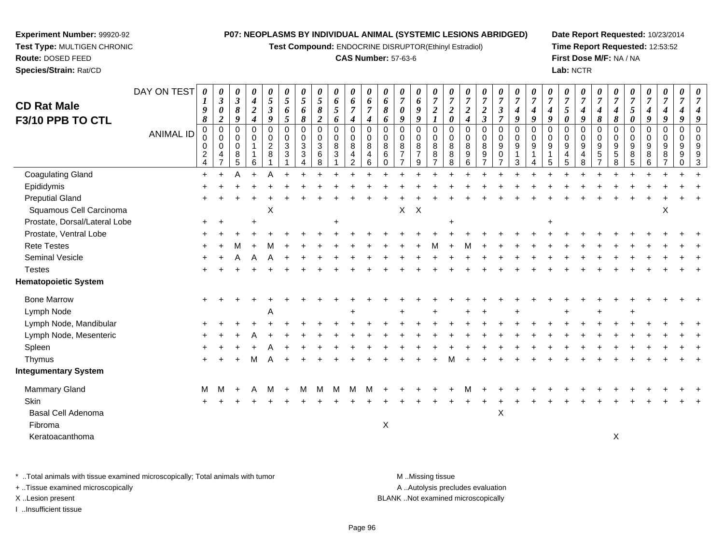**Test Compound:** ENDOCRINE DISRUPTOR(Ethinyl Estradiol)

# **CAS Number:** 57-63-6

**Date Report Requested:** 10/23/2014**Time Report Requested:** 12:53:52**First Dose M/F:** NA / NA**Lab:** NCTR

| <b>CD Rat Male</b><br>F3/10 PPB TO CTL | DAY ON TEST<br><b>ANIMAL ID</b> | $\theta$<br>1<br>9<br>$\pmb{8}$<br>$\mathbf 0$<br>0<br>0<br>$\sqrt{2}$<br>$\overline{4}$ | 0<br>$\mathfrak{z}$<br>$\boldsymbol{\theta}$<br>$\boldsymbol{2}$<br>$\mathsf 0$<br>0<br>$\mathbf 0$<br>4<br>$\overline{ }$ | 0<br>$\mathfrak{z}$<br>$\boldsymbol{\delta}$<br>9<br>0<br>0<br>$\mathbf 0$<br>8<br>5 | 0<br>$\boldsymbol{4}$<br>$\sqrt{2}$<br>$\overline{\boldsymbol{4}}$<br>$\mathbf 0$<br>0<br>$\overline{1}$<br>6 | 0<br>$\overline{5}$<br>$\boldsymbol{\beta}$<br>9<br>$\mathbf 0$<br>$\pmb{0}$<br>$\overline{2}$<br>8 | 0<br>5<br>6<br>$\mathfrak{H}$<br>$\mathbf 0$<br>0<br>$\mathbf{3}$<br>3 | 0<br>$\overline{5}$<br>6<br>$\pmb{8}$<br>$\mathbf 0$<br>$\pmb{0}$<br>$\sqrt{3}$<br>$\sqrt{3}$ | $\frac{\theta}{5}$<br>$\pmb{8}$<br>$\boldsymbol{2}$<br>0<br>$\mathbf 0$<br>3<br>$\,6\,$<br>8 | 0<br>$\boldsymbol{6}$<br>$\mathfrak{s}$<br>6<br>$\pmb{0}$<br>$\mathsf 0$<br>8<br>$\mathfrak{Z}$ | 0<br>6<br>$\overline{7}$<br>$\boldsymbol{4}$<br>$\pmb{0}$<br>$\pmb{0}$<br>8<br>$\overline{4}$<br>$\overline{2}$ | 0<br>6<br>$\overline{7}$<br>$\boldsymbol{4}$<br>$\mathbf 0$<br>0<br>$\bf8$<br>$\overline{4}$<br>6 | 0<br>6<br>8<br>6<br>$\mathbf 0$<br>0<br>$\,8\,$<br>$\,6\,$<br>$\Omega$ | 0<br>$\overline{7}$<br>$\boldsymbol{\theta}$<br>9<br>0<br>0<br>$\,8\,$<br>$\overline{7}$ | 0<br>$\boldsymbol{6}$<br>$\boldsymbol{g}$<br>9<br>$\mathbf 0$<br>0<br>$\bf 8$<br>$\overline{7}$<br>9 | $\boldsymbol{\theta}$<br>$\overline{7}$<br>$\boldsymbol{2}$<br>$\boldsymbol{\mathcal{I}}$<br>$\pmb{0}$<br>$\pmb{0}$<br>$\overline{8}$<br>8 | $\overline{7}$<br>$\boldsymbol{2}$<br>$\boldsymbol{\theta}$<br>$\mathbf 0$<br>0<br>$\,8\,$<br>$\bf8$<br>8 | 0<br>$\overline{7}$<br>$\boldsymbol{2}$<br>$\boldsymbol{4}$<br>$\mathbf 0$<br>$\mathbf 0$<br>8<br>9<br>6 | $\frac{\boldsymbol{0}}{7}$<br>$\boldsymbol{2}$<br>$\mathfrak{z}$<br>0<br>0<br>8<br>$\boldsymbol{9}$ | $\frac{\boldsymbol{\theta}}{\boldsymbol{7}}$<br>$\mathfrak{z}$<br>$\overline{7}$<br>0<br>$\mathsf 0$<br>$\overline{9}$<br>0<br>$\overline{7}$ | $\boldsymbol{\theta}$<br>$\overline{7}$<br>$\boldsymbol{4}$<br>9<br>$\pmb{0}$<br>$\pmb{0}$<br>$\boldsymbol{9}$<br>3 | $\overline{7}$<br>$\boldsymbol{4}$<br>9<br>$\mathbf 0$<br>$\mathbf 0$<br>$\boldsymbol{9}$ | $\overline{7}$<br>$\boldsymbol{4}$<br>9<br>$\mathbf 0$<br>0<br>$\boldsymbol{9}$<br>1<br>5 | 0<br>$\overline{7}$<br>5<br>$\boldsymbol{\theta}$<br>$\Omega$<br>$\mathbf 0$<br>$\boldsymbol{9}$<br>4<br>5 | 0<br>$\overline{7}$<br>$\boldsymbol{4}$<br>$\boldsymbol{g}$<br>0<br>0<br>9<br>4<br>8 | $\boldsymbol{\theta}$<br>$\overline{7}$<br>$\boldsymbol{4}$<br>$\pmb{8}$<br>$\mathbf 0$<br>$\pmb{0}$<br>$\boldsymbol{9}$<br>$\overline{5}$ | 0<br>$\overline{7}$<br>$\boldsymbol{4}$<br>$\pmb{8}$<br>$\mathbf 0$<br>0<br>$9\,$<br>$\overline{5}$<br>8 | $\overline{7}$<br>5<br>$\pmb{\theta}$<br>$\mathbf 0$<br>0<br>9<br>8<br>5 | 0<br>$\overline{7}$<br>$\boldsymbol{4}$<br>9<br>$\mathbf 0$<br>0<br>9<br>8<br>6 | 0<br>$\overline{7}$<br>$\boldsymbol{4}$<br>9<br>0<br>0<br>9<br>8 | 0<br>$\overline{7}$<br>$\boldsymbol{4}$<br>9<br>$\mathbf 0$<br>$\mathbf 0$<br>9<br>$\boldsymbol{9}$<br>$\Omega$ | 0<br>$\overline{7}$<br>$\Omega$ |
|----------------------------------------|---------------------------------|------------------------------------------------------------------------------------------|----------------------------------------------------------------------------------------------------------------------------|--------------------------------------------------------------------------------------|---------------------------------------------------------------------------------------------------------------|-----------------------------------------------------------------------------------------------------|------------------------------------------------------------------------|-----------------------------------------------------------------------------------------------|----------------------------------------------------------------------------------------------|-------------------------------------------------------------------------------------------------|-----------------------------------------------------------------------------------------------------------------|---------------------------------------------------------------------------------------------------|------------------------------------------------------------------------|------------------------------------------------------------------------------------------|------------------------------------------------------------------------------------------------------|--------------------------------------------------------------------------------------------------------------------------------------------|-----------------------------------------------------------------------------------------------------------|----------------------------------------------------------------------------------------------------------|-----------------------------------------------------------------------------------------------------|-----------------------------------------------------------------------------------------------------------------------------------------------|---------------------------------------------------------------------------------------------------------------------|-------------------------------------------------------------------------------------------|-------------------------------------------------------------------------------------------|------------------------------------------------------------------------------------------------------------|--------------------------------------------------------------------------------------|--------------------------------------------------------------------------------------------------------------------------------------------|----------------------------------------------------------------------------------------------------------|--------------------------------------------------------------------------|---------------------------------------------------------------------------------|------------------------------------------------------------------|-----------------------------------------------------------------------------------------------------------------|---------------------------------|
| <b>Coagulating Gland</b>               |                                 | $\pm$                                                                                    |                                                                                                                            |                                                                                      |                                                                                                               |                                                                                                     |                                                                        |                                                                                               |                                                                                              |                                                                                                 |                                                                                                                 |                                                                                                   |                                                                        |                                                                                          |                                                                                                      |                                                                                                                                            |                                                                                                           |                                                                                                          |                                                                                                     |                                                                                                                                               |                                                                                                                     |                                                                                           |                                                                                           |                                                                                                            |                                                                                      |                                                                                                                                            |                                                                                                          |                                                                          |                                                                                 |                                                                  |                                                                                                                 |                                 |
| Epididymis                             |                                 |                                                                                          |                                                                                                                            |                                                                                      |                                                                                                               |                                                                                                     |                                                                        |                                                                                               |                                                                                              |                                                                                                 |                                                                                                                 |                                                                                                   |                                                                        |                                                                                          |                                                                                                      |                                                                                                                                            |                                                                                                           |                                                                                                          |                                                                                                     |                                                                                                                                               |                                                                                                                     |                                                                                           |                                                                                           |                                                                                                            |                                                                                      |                                                                                                                                            |                                                                                                          |                                                                          |                                                                                 |                                                                  |                                                                                                                 |                                 |
| <b>Preputial Gland</b>                 |                                 |                                                                                          |                                                                                                                            |                                                                                      |                                                                                                               |                                                                                                     |                                                                        |                                                                                               |                                                                                              |                                                                                                 |                                                                                                                 |                                                                                                   |                                                                        |                                                                                          |                                                                                                      |                                                                                                                                            |                                                                                                           |                                                                                                          |                                                                                                     |                                                                                                                                               |                                                                                                                     |                                                                                           |                                                                                           |                                                                                                            |                                                                                      |                                                                                                                                            |                                                                                                          |                                                                          |                                                                                 |                                                                  |                                                                                                                 |                                 |
| Squamous Cell Carcinoma                |                                 |                                                                                          |                                                                                                                            |                                                                                      |                                                                                                               | X                                                                                                   |                                                                        |                                                                                               |                                                                                              |                                                                                                 |                                                                                                                 |                                                                                                   |                                                                        | X.                                                                                       | $\mathsf{X}$                                                                                         |                                                                                                                                            |                                                                                                           |                                                                                                          |                                                                                                     |                                                                                                                                               |                                                                                                                     |                                                                                           |                                                                                           |                                                                                                            |                                                                                      |                                                                                                                                            |                                                                                                          |                                                                          |                                                                                 | Х                                                                |                                                                                                                 |                                 |
| Prostate, Dorsal/Lateral Lobe          |                                 |                                                                                          |                                                                                                                            |                                                                                      |                                                                                                               |                                                                                                     |                                                                        |                                                                                               |                                                                                              |                                                                                                 |                                                                                                                 |                                                                                                   |                                                                        |                                                                                          |                                                                                                      |                                                                                                                                            |                                                                                                           |                                                                                                          |                                                                                                     |                                                                                                                                               |                                                                                                                     |                                                                                           |                                                                                           |                                                                                                            |                                                                                      |                                                                                                                                            |                                                                                                          |                                                                          |                                                                                 |                                                                  |                                                                                                                 |                                 |
| Prostate, Ventral Lobe                 |                                 |                                                                                          |                                                                                                                            |                                                                                      |                                                                                                               |                                                                                                     |                                                                        |                                                                                               |                                                                                              |                                                                                                 |                                                                                                                 |                                                                                                   |                                                                        |                                                                                          |                                                                                                      |                                                                                                                                            |                                                                                                           |                                                                                                          |                                                                                                     |                                                                                                                                               |                                                                                                                     |                                                                                           |                                                                                           |                                                                                                            |                                                                                      |                                                                                                                                            |                                                                                                          |                                                                          |                                                                                 |                                                                  |                                                                                                                 |                                 |
| <b>Rete Testes</b>                     |                                 |                                                                                          |                                                                                                                            |                                                                                      |                                                                                                               |                                                                                                     |                                                                        |                                                                                               |                                                                                              |                                                                                                 |                                                                                                                 |                                                                                                   |                                                                        |                                                                                          |                                                                                                      |                                                                                                                                            |                                                                                                           |                                                                                                          |                                                                                                     |                                                                                                                                               |                                                                                                                     |                                                                                           |                                                                                           |                                                                                                            |                                                                                      |                                                                                                                                            |                                                                                                          |                                                                          |                                                                                 |                                                                  |                                                                                                                 |                                 |
| Seminal Vesicle                        |                                 |                                                                                          |                                                                                                                            |                                                                                      |                                                                                                               |                                                                                                     |                                                                        |                                                                                               |                                                                                              |                                                                                                 |                                                                                                                 |                                                                                                   |                                                                        |                                                                                          |                                                                                                      |                                                                                                                                            |                                                                                                           |                                                                                                          |                                                                                                     |                                                                                                                                               |                                                                                                                     |                                                                                           |                                                                                           |                                                                                                            |                                                                                      |                                                                                                                                            |                                                                                                          |                                                                          |                                                                                 |                                                                  |                                                                                                                 |                                 |
| <b>Testes</b>                          |                                 |                                                                                          |                                                                                                                            |                                                                                      |                                                                                                               |                                                                                                     |                                                                        |                                                                                               |                                                                                              |                                                                                                 |                                                                                                                 |                                                                                                   |                                                                        |                                                                                          |                                                                                                      |                                                                                                                                            |                                                                                                           |                                                                                                          |                                                                                                     |                                                                                                                                               |                                                                                                                     |                                                                                           |                                                                                           |                                                                                                            |                                                                                      |                                                                                                                                            |                                                                                                          |                                                                          |                                                                                 |                                                                  |                                                                                                                 |                                 |
| <b>Hematopoietic System</b>            |                                 |                                                                                          |                                                                                                                            |                                                                                      |                                                                                                               |                                                                                                     |                                                                        |                                                                                               |                                                                                              |                                                                                                 |                                                                                                                 |                                                                                                   |                                                                        |                                                                                          |                                                                                                      |                                                                                                                                            |                                                                                                           |                                                                                                          |                                                                                                     |                                                                                                                                               |                                                                                                                     |                                                                                           |                                                                                           |                                                                                                            |                                                                                      |                                                                                                                                            |                                                                                                          |                                                                          |                                                                                 |                                                                  |                                                                                                                 |                                 |
| <b>Bone Marrow</b>                     |                                 |                                                                                          |                                                                                                                            |                                                                                      |                                                                                                               |                                                                                                     |                                                                        |                                                                                               |                                                                                              |                                                                                                 |                                                                                                                 |                                                                                                   |                                                                        |                                                                                          |                                                                                                      |                                                                                                                                            |                                                                                                           |                                                                                                          |                                                                                                     |                                                                                                                                               |                                                                                                                     |                                                                                           |                                                                                           |                                                                                                            |                                                                                      |                                                                                                                                            |                                                                                                          |                                                                          |                                                                                 |                                                                  |                                                                                                                 |                                 |
| Lymph Node                             |                                 |                                                                                          |                                                                                                                            |                                                                                      |                                                                                                               |                                                                                                     |                                                                        |                                                                                               |                                                                                              |                                                                                                 |                                                                                                                 |                                                                                                   |                                                                        |                                                                                          |                                                                                                      |                                                                                                                                            |                                                                                                           |                                                                                                          |                                                                                                     |                                                                                                                                               |                                                                                                                     |                                                                                           |                                                                                           |                                                                                                            |                                                                                      |                                                                                                                                            |                                                                                                          |                                                                          |                                                                                 |                                                                  |                                                                                                                 |                                 |
| Lymph Node, Mandibular                 |                                 |                                                                                          |                                                                                                                            |                                                                                      |                                                                                                               |                                                                                                     |                                                                        |                                                                                               |                                                                                              |                                                                                                 |                                                                                                                 |                                                                                                   |                                                                        |                                                                                          |                                                                                                      |                                                                                                                                            |                                                                                                           |                                                                                                          |                                                                                                     |                                                                                                                                               |                                                                                                                     |                                                                                           |                                                                                           |                                                                                                            |                                                                                      |                                                                                                                                            |                                                                                                          |                                                                          |                                                                                 |                                                                  |                                                                                                                 |                                 |
| Lymph Node, Mesenteric                 |                                 |                                                                                          |                                                                                                                            |                                                                                      |                                                                                                               |                                                                                                     |                                                                        |                                                                                               |                                                                                              |                                                                                                 |                                                                                                                 |                                                                                                   |                                                                        |                                                                                          |                                                                                                      |                                                                                                                                            |                                                                                                           |                                                                                                          |                                                                                                     |                                                                                                                                               |                                                                                                                     |                                                                                           |                                                                                           |                                                                                                            |                                                                                      |                                                                                                                                            |                                                                                                          |                                                                          |                                                                                 |                                                                  |                                                                                                                 |                                 |
| Spleen                                 |                                 |                                                                                          |                                                                                                                            |                                                                                      |                                                                                                               |                                                                                                     |                                                                        |                                                                                               |                                                                                              |                                                                                                 |                                                                                                                 |                                                                                                   |                                                                        |                                                                                          |                                                                                                      |                                                                                                                                            |                                                                                                           |                                                                                                          |                                                                                                     |                                                                                                                                               |                                                                                                                     |                                                                                           |                                                                                           |                                                                                                            |                                                                                      |                                                                                                                                            |                                                                                                          |                                                                          |                                                                                 |                                                                  |                                                                                                                 |                                 |
| Thymus                                 |                                 |                                                                                          |                                                                                                                            |                                                                                      |                                                                                                               |                                                                                                     |                                                                        |                                                                                               |                                                                                              |                                                                                                 |                                                                                                                 |                                                                                                   |                                                                        |                                                                                          |                                                                                                      |                                                                                                                                            |                                                                                                           |                                                                                                          |                                                                                                     |                                                                                                                                               |                                                                                                                     |                                                                                           |                                                                                           |                                                                                                            |                                                                                      |                                                                                                                                            |                                                                                                          |                                                                          |                                                                                 |                                                                  |                                                                                                                 |                                 |
| <b>Integumentary System</b>            |                                 |                                                                                          |                                                                                                                            |                                                                                      |                                                                                                               |                                                                                                     |                                                                        |                                                                                               |                                                                                              |                                                                                                 |                                                                                                                 |                                                                                                   |                                                                        |                                                                                          |                                                                                                      |                                                                                                                                            |                                                                                                           |                                                                                                          |                                                                                                     |                                                                                                                                               |                                                                                                                     |                                                                                           |                                                                                           |                                                                                                            |                                                                                      |                                                                                                                                            |                                                                                                          |                                                                          |                                                                                 |                                                                  |                                                                                                                 |                                 |
| <b>Mammary Gland</b>                   |                                 | м                                                                                        | M                                                                                                                          | $\ddot{}$                                                                            | A                                                                                                             | M                                                                                                   | $\pm$                                                                  | M                                                                                             | M                                                                                            | M                                                                                               | M                                                                                                               | M                                                                                                 |                                                                        |                                                                                          |                                                                                                      |                                                                                                                                            |                                                                                                           | м                                                                                                        |                                                                                                     |                                                                                                                                               |                                                                                                                     |                                                                                           |                                                                                           |                                                                                                            |                                                                                      |                                                                                                                                            |                                                                                                          |                                                                          |                                                                                 |                                                                  |                                                                                                                 |                                 |
| Skin                                   |                                 |                                                                                          |                                                                                                                            |                                                                                      |                                                                                                               |                                                                                                     |                                                                        |                                                                                               |                                                                                              |                                                                                                 |                                                                                                                 |                                                                                                   |                                                                        |                                                                                          |                                                                                                      |                                                                                                                                            |                                                                                                           |                                                                                                          |                                                                                                     |                                                                                                                                               |                                                                                                                     |                                                                                           |                                                                                           |                                                                                                            |                                                                                      |                                                                                                                                            |                                                                                                          |                                                                          |                                                                                 |                                                                  |                                                                                                                 |                                 |
| Basal Cell Adenoma                     |                                 |                                                                                          |                                                                                                                            |                                                                                      |                                                                                                               |                                                                                                     |                                                                        |                                                                                               |                                                                                              |                                                                                                 |                                                                                                                 |                                                                                                   |                                                                        |                                                                                          |                                                                                                      |                                                                                                                                            |                                                                                                           |                                                                                                          |                                                                                                     | X                                                                                                                                             |                                                                                                                     |                                                                                           |                                                                                           |                                                                                                            |                                                                                      |                                                                                                                                            |                                                                                                          |                                                                          |                                                                                 |                                                                  |                                                                                                                 |                                 |
| Fibroma                                |                                 |                                                                                          |                                                                                                                            |                                                                                      |                                                                                                               |                                                                                                     |                                                                        |                                                                                               |                                                                                              |                                                                                                 |                                                                                                                 |                                                                                                   | X                                                                      |                                                                                          |                                                                                                      |                                                                                                                                            |                                                                                                           |                                                                                                          |                                                                                                     |                                                                                                                                               |                                                                                                                     |                                                                                           |                                                                                           |                                                                                                            |                                                                                      |                                                                                                                                            |                                                                                                          |                                                                          |                                                                                 |                                                                  |                                                                                                                 |                                 |
| Keratoacanthoma                        |                                 |                                                                                          |                                                                                                                            |                                                                                      |                                                                                                               |                                                                                                     |                                                                        |                                                                                               |                                                                                              |                                                                                                 |                                                                                                                 |                                                                                                   |                                                                        |                                                                                          |                                                                                                      |                                                                                                                                            |                                                                                                           |                                                                                                          |                                                                                                     |                                                                                                                                               |                                                                                                                     |                                                                                           |                                                                                           |                                                                                                            |                                                                                      |                                                                                                                                            | $\boldsymbol{\mathsf{X}}$                                                                                |                                                                          |                                                                                 |                                                                  |                                                                                                                 |                                 |
|                                        |                                 |                                                                                          |                                                                                                                            |                                                                                      |                                                                                                               |                                                                                                     |                                                                        |                                                                                               |                                                                                              |                                                                                                 |                                                                                                                 |                                                                                                   |                                                                        |                                                                                          |                                                                                                      |                                                                                                                                            |                                                                                                           |                                                                                                          |                                                                                                     |                                                                                                                                               |                                                                                                                     |                                                                                           |                                                                                           |                                                                                                            |                                                                                      |                                                                                                                                            |                                                                                                          |                                                                          |                                                                                 |                                                                  |                                                                                                                 |                                 |

\* ..Total animals with tissue examined microscopically; Total animals with tumor **M** . Missing tissue M ..Missing tissue A ..Autolysis precludes evaluation + ..Tissue examined microscopically X ..Lesion present BLANK ..Not examined microscopicallyI ..Insufficient tissue

**Experiment Number:** 99920-92**Test Type:** MULTIGEN CHRONIC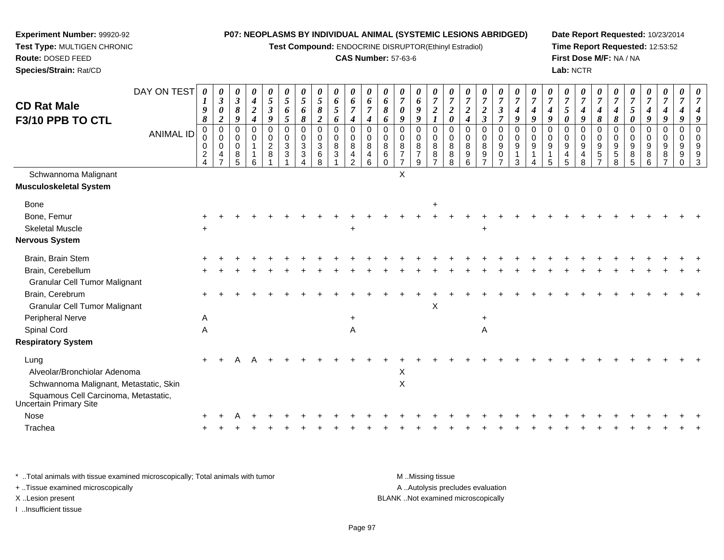**Test Compound:** ENDOCRINE DISRUPTOR(Ethinyl Estradiol)

#### **CAS Number:** 57-63-6

**Date Report Requested:** 10/23/2014**Time Report Requested:** 12:53:52**First Dose M/F:** NA / NA**Lab:** NCTR

| <b>CD Rat Male</b><br>F3/10 PPB TO CTL                         | DAY ON TEST      | 0<br>$\boldsymbol{l}$<br>9<br>$\pmb{8}$ | $\boldsymbol{\theta}$<br>$\boldsymbol{\beta}$<br>$\boldsymbol{\theta}$<br>$\boldsymbol{2}$ | 0<br>$\mathfrak{z}$<br>8<br>9       | 0<br>$\boldsymbol{4}$<br>$\sqrt{2}$<br>$\boldsymbol{4}$ | $\boldsymbol{\theta}$<br>$\mathfrak{s}$<br>$\boldsymbol{\beta}$<br>9 | $\boldsymbol{\theta}$<br>$\overline{5}$<br>6<br>$\sqrt{5}$ | $\boldsymbol{\theta}$<br>$\mathfrak{s}$<br>6<br>$\pmb{8}$   | $\boldsymbol{\theta}$<br>$\mathfrak{I}$<br>$\pmb{8}$<br>$\boldsymbol{2}$ | 0<br>6<br>5<br>6 | 0<br>6<br>$\overline{7}$<br>$\boldsymbol{4}$ | $\boldsymbol{\theta}$<br>6<br>$\overline{7}$<br>4                     | $\boldsymbol{\theta}$<br>6<br>8<br>6                         | 0<br>$\boldsymbol{7}$<br>0<br>9                 | $\boldsymbol{\theta}$<br>6<br>$\boldsymbol{9}$<br>9       | $\boldsymbol{\theta}$<br>$\overline{7}$<br>$\boldsymbol{2}$ | $\boldsymbol{\theta}$<br>$\boldsymbol{7}$<br>$\boldsymbol{2}$<br>$\boldsymbol{\theta}$ | $\boldsymbol{\theta}$<br>$\boldsymbol{7}$<br>$\boldsymbol{2}$<br>$\boldsymbol{4}$ | 0<br>$\boldsymbol{7}$<br>$\boldsymbol{2}$<br>$\mathfrak{z}$ | $\boldsymbol{\theta}$<br>$\overline{7}$<br>$\boldsymbol{\beta}$<br>$\overline{7}$ | $\boldsymbol{\theta}$<br>$\overline{7}$<br>$\boldsymbol{4}$<br>9 | $\overline{7}$<br>4<br>9  | 0<br>$\overline{7}$<br>4<br>$\boldsymbol{q}$ | $\boldsymbol{\theta}$<br>$\boldsymbol{7}$<br>5<br>0 | $\overline{7}$<br>$\boldsymbol{4}$<br>9    | U<br>$\overline{7}$<br>4<br>$\pmb{8}$               | $\overline{7}$<br>4<br>$\pmb{8}$                | $\overline{7}$<br>5<br>0 | $\boldsymbol{\theta}$<br>$\overline{7}$<br>$\boldsymbol{4}$<br>$\boldsymbol{q}$ | $\boldsymbol{\theta}$<br>$\overline{7}$<br>$\boldsymbol{4}$<br>9 | 0<br>$\overline{7}$<br>9                             | $\overline{7}$                             |
|----------------------------------------------------------------|------------------|-----------------------------------------|--------------------------------------------------------------------------------------------|-------------------------------------|---------------------------------------------------------|----------------------------------------------------------------------|------------------------------------------------------------|-------------------------------------------------------------|--------------------------------------------------------------------------|------------------|----------------------------------------------|-----------------------------------------------------------------------|--------------------------------------------------------------|-------------------------------------------------|-----------------------------------------------------------|-------------------------------------------------------------|----------------------------------------------------------------------------------------|-----------------------------------------------------------------------------------|-------------------------------------------------------------|-----------------------------------------------------------------------------------|------------------------------------------------------------------|---------------------------|----------------------------------------------|-----------------------------------------------------|--------------------------------------------|-----------------------------------------------------|-------------------------------------------------|--------------------------|---------------------------------------------------------------------------------|------------------------------------------------------------------|------------------------------------------------------|--------------------------------------------|
|                                                                | <b>ANIMAL ID</b> | $\mathbf 0$<br>0<br>0<br>$\frac{2}{4}$  | $\mathbf 0$<br>$\mathbf 0$<br>$\mathbf 0$<br>$\overline{4}$<br>$\overline{7}$              | 0<br>$\Omega$<br>$\Omega$<br>8<br>5 | $\mathbf 0$<br>0<br>$\mathbf{1}$<br>6                   | $\mathbf 0$<br>$\pmb{0}$<br>$\frac{2}{8}$                            | $\mathbf 0$<br>0<br>$\ensuremath{\mathsf{3}}$<br>3         | $\mathbf 0$<br>$\mathbf 0$<br>$\mathbf{3}$<br>3<br>$\Delta$ | $\mathbf 0$<br>$\mathbf 0$<br>$\ensuremath{\mathsf{3}}$<br>$\,6\,$<br>8  | 0<br>0<br>8<br>3 | 0<br>0<br>8<br>4<br>$\overline{2}$           | $\Omega$<br>$\mathbf 0$<br>8<br>$\begin{array}{c} 4 \\ 6 \end{array}$ | $\Omega$<br>$\mathbf 0$<br>$\bf 8$<br>$\,6\,$<br>$\mathbf 0$ | 0<br>0<br>8<br>$\overline{7}$<br>$\overline{7}$ | $\overline{0}$<br>$\mathbf 0$<br>8<br>$\overline{7}$<br>9 | $\Omega$<br>0<br>8<br>8<br>$\overline{7}$                   | $\mathbf 0$<br>0<br>8<br>$_{8}^8$                                                      | $\mathbf 0$<br>$\mathbf 0$<br>8<br>9<br>6                                         | $\mathbf 0$<br>$\mathbf 0$<br>$\bf8$<br>$\frac{9}{7}$       | $\mathbf 0$<br>$\mathbf 0$<br>$\boldsymbol{9}$<br>$\mathbf 0$<br>$\overline{7}$   | $\Omega$<br>$\mathbf 0$<br>9<br>3                                | $\Omega$<br>$\Omega$<br>9 | $\mathbf 0$<br>$\mathbf 0$<br>9<br>5         | $\Omega$<br>0<br>$\boldsymbol{9}$<br>$\frac{4}{5}$  | $\Omega$<br>$\mathbf 0$<br>$9\,$<br>4<br>8 | $\Omega$<br>0<br>9<br>$\,$ 5 $\,$<br>$\overline{7}$ | $\mathbf 0$<br>$\Omega$<br>9<br>$\sqrt{5}$<br>8 | 0<br>0<br>9<br>8<br>5    | $\mathbf 0$<br>0<br>9<br>8<br>6                                                 | $\mathbf 0$<br>$\mathbf 0$<br>9<br>8<br>$\overline{7}$           | $\mathbf 0$<br>$\mathbf 0$<br>9<br>9<br>$\mathbf{0}$ | $\Omega$<br>$\Omega$<br>9<br>$\frac{9}{3}$ |
| Schwannoma Malignant<br><b>Musculoskeletal System</b>          |                  |                                         |                                                                                            |                                     |                                                         |                                                                      |                                                            |                                                             |                                                                          |                  |                                              |                                                                       |                                                              | X                                               |                                                           |                                                             |                                                                                        |                                                                                   |                                                             |                                                                                   |                                                                  |                           |                                              |                                                     |                                            |                                                     |                                                 |                          |                                                                                 |                                                                  |                                                      |                                            |
| <b>Bone</b>                                                    |                  |                                         |                                                                                            |                                     |                                                         |                                                                      |                                                            |                                                             |                                                                          |                  |                                              |                                                                       |                                                              |                                                 |                                                           | +                                                           |                                                                                        |                                                                                   |                                                             |                                                                                   |                                                                  |                           |                                              |                                                     |                                            |                                                     |                                                 |                          |                                                                                 |                                                                  |                                                      |                                            |
| Bone, Femur                                                    |                  |                                         |                                                                                            |                                     |                                                         |                                                                      |                                                            |                                                             |                                                                          |                  |                                              |                                                                       |                                                              |                                                 |                                                           |                                                             |                                                                                        |                                                                                   |                                                             |                                                                                   |                                                                  |                           |                                              |                                                     |                                            |                                                     |                                                 |                          |                                                                                 |                                                                  |                                                      |                                            |
| <b>Skeletal Muscle</b>                                         |                  |                                         |                                                                                            |                                     |                                                         |                                                                      |                                                            |                                                             |                                                                          |                  | $\ddot{}$                                    |                                                                       |                                                              |                                                 |                                                           |                                                             |                                                                                        |                                                                                   |                                                             |                                                                                   |                                                                  |                           |                                              |                                                     |                                            |                                                     |                                                 |                          |                                                                                 |                                                                  |                                                      |                                            |
| <b>Nervous System</b>                                          |                  |                                         |                                                                                            |                                     |                                                         |                                                                      |                                                            |                                                             |                                                                          |                  |                                              |                                                                       |                                                              |                                                 |                                                           |                                                             |                                                                                        |                                                                                   |                                                             |                                                                                   |                                                                  |                           |                                              |                                                     |                                            |                                                     |                                                 |                          |                                                                                 |                                                                  |                                                      |                                            |
| Brain, Brain Stem                                              |                  |                                         |                                                                                            |                                     |                                                         |                                                                      |                                                            |                                                             |                                                                          |                  |                                              |                                                                       |                                                              |                                                 |                                                           |                                                             |                                                                                        |                                                                                   |                                                             |                                                                                   |                                                                  |                           |                                              |                                                     |                                            |                                                     |                                                 |                          |                                                                                 |                                                                  |                                                      |                                            |
| Brain, Cerebellum                                              |                  |                                         |                                                                                            |                                     |                                                         |                                                                      |                                                            |                                                             |                                                                          |                  |                                              |                                                                       |                                                              |                                                 |                                                           |                                                             |                                                                                        |                                                                                   |                                                             |                                                                                   |                                                                  |                           |                                              |                                                     |                                            |                                                     |                                                 |                          |                                                                                 |                                                                  |                                                      |                                            |
| <b>Granular Cell Tumor Malignant</b>                           |                  |                                         |                                                                                            |                                     |                                                         |                                                                      |                                                            |                                                             |                                                                          |                  |                                              |                                                                       |                                                              |                                                 |                                                           |                                                             |                                                                                        |                                                                                   |                                                             |                                                                                   |                                                                  |                           |                                              |                                                     |                                            |                                                     |                                                 |                          |                                                                                 |                                                                  |                                                      |                                            |
| Brain, Cerebrum                                                |                  |                                         |                                                                                            |                                     |                                                         |                                                                      |                                                            |                                                             |                                                                          |                  |                                              |                                                                       |                                                              |                                                 |                                                           |                                                             |                                                                                        |                                                                                   |                                                             |                                                                                   |                                                                  |                           |                                              |                                                     |                                            |                                                     |                                                 |                          |                                                                                 |                                                                  |                                                      |                                            |
| <b>Granular Cell Tumor Malignant</b>                           |                  |                                         |                                                                                            |                                     |                                                         |                                                                      |                                                            |                                                             |                                                                          |                  |                                              |                                                                       |                                                              |                                                 |                                                           | Х                                                           |                                                                                        |                                                                                   |                                                             |                                                                                   |                                                                  |                           |                                              |                                                     |                                            |                                                     |                                                 |                          |                                                                                 |                                                                  |                                                      |                                            |
| Peripheral Nerve                                               |                  | A                                       |                                                                                            |                                     |                                                         |                                                                      |                                                            |                                                             |                                                                          |                  |                                              |                                                                       |                                                              |                                                 |                                                           |                                                             |                                                                                        |                                                                                   |                                                             |                                                                                   |                                                                  |                           |                                              |                                                     |                                            |                                                     |                                                 |                          |                                                                                 |                                                                  |                                                      |                                            |
| Spinal Cord                                                    |                  | Α                                       |                                                                                            |                                     |                                                         |                                                                      |                                                            |                                                             |                                                                          |                  | A                                            |                                                                       |                                                              |                                                 |                                                           |                                                             |                                                                                        |                                                                                   | A                                                           |                                                                                   |                                                                  |                           |                                              |                                                     |                                            |                                                     |                                                 |                          |                                                                                 |                                                                  |                                                      |                                            |
| <b>Respiratory System</b>                                      |                  |                                         |                                                                                            |                                     |                                                         |                                                                      |                                                            |                                                             |                                                                          |                  |                                              |                                                                       |                                                              |                                                 |                                                           |                                                             |                                                                                        |                                                                                   |                                                             |                                                                                   |                                                                  |                           |                                              |                                                     |                                            |                                                     |                                                 |                          |                                                                                 |                                                                  |                                                      |                                            |
| Lung                                                           |                  |                                         |                                                                                            |                                     |                                                         |                                                                      |                                                            |                                                             |                                                                          |                  |                                              |                                                                       |                                                              |                                                 |                                                           |                                                             |                                                                                        |                                                                                   |                                                             |                                                                                   |                                                                  |                           |                                              |                                                     |                                            |                                                     |                                                 |                          |                                                                                 |                                                                  |                                                      |                                            |
| Alveolar/Bronchiolar Adenoma                                   |                  |                                         |                                                                                            |                                     |                                                         |                                                                      |                                                            |                                                             |                                                                          |                  |                                              |                                                                       |                                                              | X                                               |                                                           |                                                             |                                                                                        |                                                                                   |                                                             |                                                                                   |                                                                  |                           |                                              |                                                     |                                            |                                                     |                                                 |                          |                                                                                 |                                                                  |                                                      |                                            |
| Schwannoma Malignant, Metastatic, Skin                         |                  |                                         |                                                                                            |                                     |                                                         |                                                                      |                                                            |                                                             |                                                                          |                  |                                              |                                                                       |                                                              | $\mathsf{X}$                                    |                                                           |                                                             |                                                                                        |                                                                                   |                                                             |                                                                                   |                                                                  |                           |                                              |                                                     |                                            |                                                     |                                                 |                          |                                                                                 |                                                                  |                                                      |                                            |
| Squamous Cell Carcinoma, Metastatic,<br>Uncertain Primary Site |                  |                                         |                                                                                            |                                     |                                                         |                                                                      |                                                            |                                                             |                                                                          |                  |                                              |                                                                       |                                                              |                                                 |                                                           |                                                             |                                                                                        |                                                                                   |                                                             |                                                                                   |                                                                  |                           |                                              |                                                     |                                            |                                                     |                                                 |                          |                                                                                 |                                                                  |                                                      |                                            |
| Nose                                                           |                  |                                         |                                                                                            |                                     |                                                         |                                                                      |                                                            |                                                             |                                                                          |                  |                                              |                                                                       |                                                              |                                                 |                                                           |                                                             |                                                                                        |                                                                                   |                                                             |                                                                                   |                                                                  |                           |                                              |                                                     |                                            |                                                     |                                                 |                          |                                                                                 |                                                                  |                                                      |                                            |
| Trachea                                                        |                  |                                         |                                                                                            |                                     |                                                         |                                                                      |                                                            |                                                             |                                                                          |                  |                                              |                                                                       |                                                              |                                                 |                                                           |                                                             |                                                                                        |                                                                                   |                                                             |                                                                                   |                                                                  |                           |                                              |                                                     |                                            |                                                     |                                                 |                          |                                                                                 |                                                                  |                                                      |                                            |
|                                                                |                  |                                         |                                                                                            |                                     |                                                         |                                                                      |                                                            |                                                             |                                                                          |                  |                                              |                                                                       |                                                              |                                                 |                                                           |                                                             |                                                                                        |                                                                                   |                                                             |                                                                                   |                                                                  |                           |                                              |                                                     |                                            |                                                     |                                                 |                          |                                                                                 |                                                                  |                                                      |                                            |

\* ..Total animals with tissue examined microscopically; Total animals with tumor **M** . Missing tissue M ..Missing tissue A ..Autolysis precludes evaluation + ..Tissue examined microscopically X ..Lesion present BLANK ..Not examined microscopicallyI ..Insufficient tissue

**Experiment Number:** 99920-92**Test Type:** MULTIGEN CHRONIC

**Route:** DOSED FEED**Species/Strain:** Rat/CD

Page 97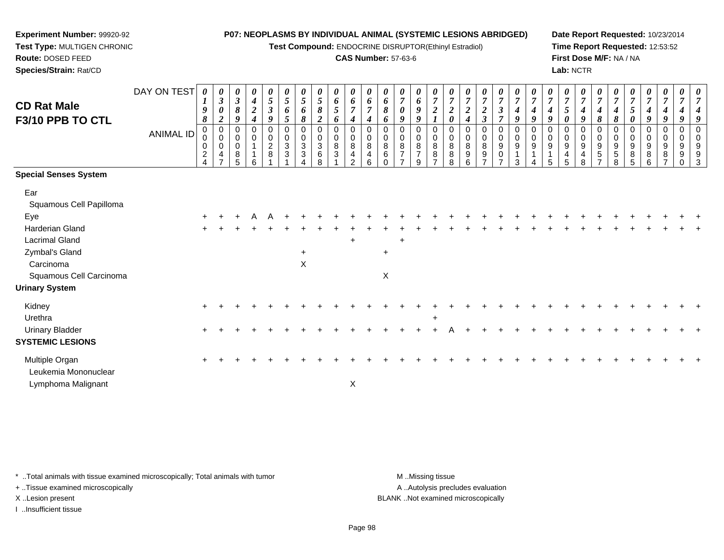**Test Compound:** ENDOCRINE DISRUPTOR(Ethinyl Estradiol)

# **CAS Number:** 57-63-6

┯ ┯ ┬ ┯

**Date Report Requested:** 10/23/2014 **Time Report Requested:** 12:53:52**First Dose M/F:** NA / NA**Lab:** NCTR

> ┯ ┱

┯

| <b>CD Rat Male</b><br>F3/10 PPB TO CTL                        | DAY ON TEST<br><b>ANIMAL ID</b> | 0<br>1<br>9<br>8<br>$\mathbf 0$<br>0<br>$\overline{\mathbf{c}}$ | 0<br>$\boldsymbol{\beta}$<br>0<br>$\boldsymbol{2}$<br>$\mathbf 0$<br>$\mathbf 0$<br>0<br>4 | 0<br>$\mathfrak{z}$<br>$\pmb{8}$<br>9<br>0<br>$\mathbf 0$<br>0<br>$\,8\,$<br>5 | 0<br>$\boldsymbol{4}$<br>$\boldsymbol{2}$<br>$\boldsymbol{4}$<br>$\Omega$<br>$\mathbf 0$<br>6 | 0<br>5<br>$\boldsymbol{\beta}$<br>9<br>$\mathbf 0$<br>$\mathbf 0$<br>$\frac{2}{8}$ | 0<br>5<br>6<br>5<br>$\Omega$<br>$\mathbf 0$<br>$\mathbf{3}$<br>3 | 0<br>5<br>6<br>8<br>0<br>0<br>3<br>3 | 0<br>5<br>8<br>$\boldsymbol{2}$<br>0<br>$\pmb{0}$<br>$\frac{3}{6}$<br>8 | 0<br>6<br>$\mathfrak{I}$<br>6<br>$\mathbf 0$<br>$\mathsf 0$<br>$\bf 8$<br>$\sqrt{3}$ | 0<br>6<br>$\overline{7}$<br>4<br>0<br>0<br>$\,8\,$<br>4<br>$\mathfrak{p}$ | $\boldsymbol{\theta}$<br>6<br>$\overline{7}$<br>4<br>$\Omega$<br>$\mathbf 0$<br>8<br>4<br>6 | 0<br>6<br>8<br>6<br>$\Omega$<br>$\mathbf 0$<br>8<br>6 | 0<br>$\overline{7}$<br>$\boldsymbol{\theta}$<br>9<br>0<br>0<br>8<br>$\overline{7}$ | 0<br>6<br>$\boldsymbol{g}$<br>9<br>0<br>$\,0\,$<br>$\bf8$<br>$\overline{7}$<br>9 | $\boldsymbol{2}$<br>$\Omega$<br>0<br>$\,8\,$<br>$\bf 8$ | 0<br>$\overline{7}$<br>$\boldsymbol{2}$<br>$\boldsymbol{\theta}$<br>$\Omega$<br>0<br>8<br>$\bf 8$<br>R | 0<br>$\overline{7}$<br>$\overline{2}$<br>4<br>0<br>$\pmb{0}$<br>$\bf 8$<br>$\boldsymbol{9}$<br>6 | 0<br>$\boldsymbol{7}$<br>$\boldsymbol{2}$<br>$\boldsymbol{\beta}$<br>0<br>$\pmb{0}$<br>8<br>9 | 0<br>$\overline{7}$<br>$\boldsymbol{\mathfrak{z}}$<br>$\overline{\tau}$<br>0<br>$\mathbf 0$<br>9<br>0 | $\boldsymbol{7}$<br>$\boldsymbol{4}$<br>9<br>0<br>$\boldsymbol{9}$<br>3 | 0<br>$\overline{7}$<br>4<br>9<br>$\Omega$<br>$\mathbf 0$<br>9 | 0<br>$\overline{7}$<br>4<br>9<br>$\Omega$<br>$\mathbf 0$<br>$\boldsymbol{9}$<br>5 | 0<br>$\boldsymbol{7}$<br>$\overline{5}$<br>$\boldsymbol{\theta}$<br>$\mathbf 0$<br>$\mathbf 0$<br>$\boldsymbol{9}$<br>$\overline{4}$<br>5 | 0<br>$\overline{7}$<br>9<br>$\Omega$<br>$\mathbf 0$<br>9<br>4<br>8 | 8<br>$\mathbf 0$<br>9<br>5 | 0<br>4<br>8<br>0<br>0<br>$\boldsymbol{9}$<br>$\sqrt{5}$<br>8 | 0<br>$\overline{7}$<br>$5\overline{)}$<br>0<br>0<br>$\mathbf 0$<br>9<br>$\bf 8$<br>5 | 0<br>$\overline{7}$<br>$\boldsymbol{4}$<br>9<br>$\Omega$<br>$\mathbf 0$<br>$\boldsymbol{9}$<br>$\, 8$<br>6 | $\boldsymbol{\theta}$<br>9<br>$\Omega$<br>0<br>9<br>8 | 0<br>7<br>$\Omega$<br>0<br>9<br>9 | 0<br>4<br>9<br>$\Omega$<br>$\mathbf 0$<br>9<br>9<br>3 |
|---------------------------------------------------------------|---------------------------------|-----------------------------------------------------------------|--------------------------------------------------------------------------------------------|--------------------------------------------------------------------------------|-----------------------------------------------------------------------------------------------|------------------------------------------------------------------------------------|------------------------------------------------------------------|--------------------------------------|-------------------------------------------------------------------------|--------------------------------------------------------------------------------------|---------------------------------------------------------------------------|---------------------------------------------------------------------------------------------|-------------------------------------------------------|------------------------------------------------------------------------------------|----------------------------------------------------------------------------------|---------------------------------------------------------|--------------------------------------------------------------------------------------------------------|--------------------------------------------------------------------------------------------------|-----------------------------------------------------------------------------------------------|-------------------------------------------------------------------------------------------------------|-------------------------------------------------------------------------|---------------------------------------------------------------|-----------------------------------------------------------------------------------|-------------------------------------------------------------------------------------------------------------------------------------------|--------------------------------------------------------------------|----------------------------|--------------------------------------------------------------|--------------------------------------------------------------------------------------|------------------------------------------------------------------------------------------------------------|-------------------------------------------------------|-----------------------------------|-------------------------------------------------------|
| <b>Special Senses System</b>                                  |                                 |                                                                 |                                                                                            |                                                                                |                                                                                               |                                                                                    |                                                                  |                                      |                                                                         |                                                                                      |                                                                           |                                                                                             |                                                       |                                                                                    |                                                                                  |                                                         |                                                                                                        |                                                                                                  |                                                                                               |                                                                                                       |                                                                         |                                                               |                                                                                   |                                                                                                                                           |                                                                    |                            |                                                              |                                                                                      |                                                                                                            |                                                       |                                   |                                                       |
| Ear<br>Squamous Cell Papilloma                                |                                 |                                                                 |                                                                                            |                                                                                |                                                                                               |                                                                                    |                                                                  |                                      |                                                                         |                                                                                      |                                                                           |                                                                                             |                                                       |                                                                                    |                                                                                  |                                                         |                                                                                                        |                                                                                                  |                                                                                               |                                                                                                       |                                                                         |                                                               |                                                                                   |                                                                                                                                           |                                                                    |                            |                                                              |                                                                                      |                                                                                                            |                                                       |                                   |                                                       |
| Eye                                                           |                                 |                                                                 |                                                                                            |                                                                                |                                                                                               |                                                                                    |                                                                  |                                      |                                                                         |                                                                                      |                                                                           |                                                                                             |                                                       |                                                                                    |                                                                                  |                                                         |                                                                                                        |                                                                                                  |                                                                                               |                                                                                                       |                                                                         |                                                               |                                                                                   |                                                                                                                                           |                                                                    |                            |                                                              |                                                                                      |                                                                                                            |                                                       |                                   |                                                       |
| <b>Harderian Gland</b><br><b>Lacrimal Gland</b>               |                                 |                                                                 |                                                                                            |                                                                                |                                                                                               |                                                                                    |                                                                  |                                      |                                                                         |                                                                                      | $\ddot{}$                                                                 |                                                                                             |                                                       | $\ddot{}$                                                                          |                                                                                  |                                                         |                                                                                                        |                                                                                                  |                                                                                               |                                                                                                       |                                                                         |                                                               |                                                                                   |                                                                                                                                           |                                                                    |                            |                                                              |                                                                                      |                                                                                                            |                                                       |                                   |                                                       |
| Zymbal's Gland                                                |                                 |                                                                 |                                                                                            |                                                                                |                                                                                               |                                                                                    |                                                                  | $\ddot{}$                            |                                                                         |                                                                                      |                                                                           |                                                                                             | $\ddot{}$                                             |                                                                                    |                                                                                  |                                                         |                                                                                                        |                                                                                                  |                                                                                               |                                                                                                       |                                                                         |                                                               |                                                                                   |                                                                                                                                           |                                                                    |                            |                                                              |                                                                                      |                                                                                                            |                                                       |                                   |                                                       |
| Carcinoma<br>Squamous Cell Carcinoma<br><b>Urinary System</b> |                                 |                                                                 |                                                                                            |                                                                                |                                                                                               |                                                                                    |                                                                  | X                                    |                                                                         |                                                                                      |                                                                           |                                                                                             | $\pmb{\times}$                                        |                                                                                    |                                                                                  |                                                         |                                                                                                        |                                                                                                  |                                                                                               |                                                                                                       |                                                                         |                                                               |                                                                                   |                                                                                                                                           |                                                                    |                            |                                                              |                                                                                      |                                                                                                            |                                                       |                                   |                                                       |
| Kidney<br>Urethra                                             |                                 |                                                                 |                                                                                            |                                                                                |                                                                                               |                                                                                    |                                                                  |                                      |                                                                         |                                                                                      |                                                                           |                                                                                             |                                                       |                                                                                    |                                                                                  |                                                         |                                                                                                        |                                                                                                  |                                                                                               |                                                                                                       |                                                                         |                                                               |                                                                                   |                                                                                                                                           |                                                                    |                            |                                                              |                                                                                      |                                                                                                            |                                                       |                                   |                                                       |
| <b>Urinary Bladder</b><br><b>SYSTEMIC LESIONS</b>             |                                 |                                                                 |                                                                                            |                                                                                |                                                                                               |                                                                                    |                                                                  |                                      |                                                                         |                                                                                      |                                                                           |                                                                                             |                                                       |                                                                                    |                                                                                  |                                                         |                                                                                                        |                                                                                                  |                                                                                               |                                                                                                       |                                                                         |                                                               |                                                                                   |                                                                                                                                           |                                                                    |                            |                                                              |                                                                                      |                                                                                                            |                                                       |                                   |                                                       |
| Multiple Organ<br>Leukemia Mononuclear                        |                                 |                                                                 |                                                                                            |                                                                                |                                                                                               |                                                                                    |                                                                  |                                      |                                                                         |                                                                                      |                                                                           |                                                                                             |                                                       |                                                                                    |                                                                                  |                                                         |                                                                                                        |                                                                                                  |                                                                                               |                                                                                                       |                                                                         |                                                               |                                                                                   |                                                                                                                                           |                                                                    |                            |                                                              |                                                                                      |                                                                                                            |                                                       |                                   |                                                       |
| Lymphoma Malignant                                            |                                 |                                                                 |                                                                                            |                                                                                |                                                                                               |                                                                                    |                                                                  |                                      |                                                                         |                                                                                      | $\mathsf X$                                                               |                                                                                             |                                                       |                                                                                    |                                                                                  |                                                         |                                                                                                        |                                                                                                  |                                                                                               |                                                                                                       |                                                                         |                                                               |                                                                                   |                                                                                                                                           |                                                                    |                            |                                                              |                                                                                      |                                                                                                            |                                                       |                                   |                                                       |

\* ..Total animals with tissue examined microscopically; Total animals with tumor **M** . Missing tissue M ..Missing tissue

+ ..Tissue examined microscopically

**Experiment Number:** 99920-92**Test Type:** MULTIGEN CHRONIC

**Route:** DOSED FEED**Species/Strain:** Rat/CD

I ..Insufficient tissue

A ..Autolysis precludes evaluation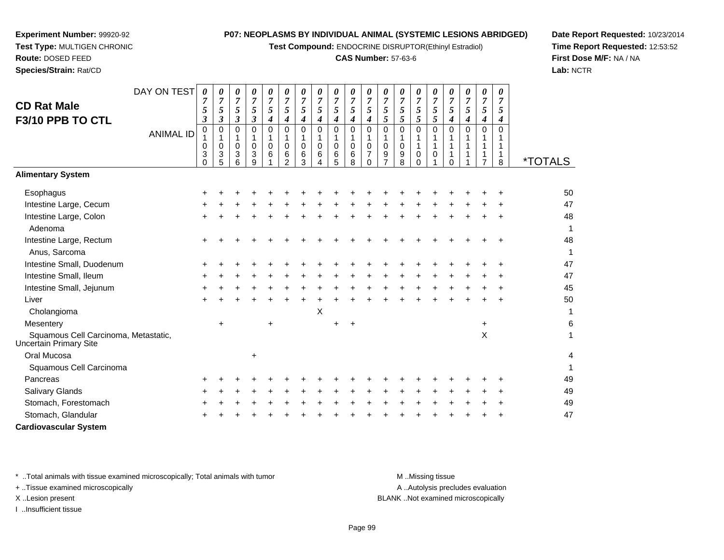**Test Compound:** ENDOCRINE DISRUPTOR(Ethinyl Estradiol)

# **CAS Number:** 57-63-6

**Date Report Requested:** 10/23/2014**Time Report Requested:** 12:53:52**First Dose M/F:** NA / NA**Lab:** NCTR

| <b>CD Rat Male</b><br>F3/10 PPB TO CTL                         | DAY ON TEST      | 0<br>5<br>3             | 0<br>7<br>5<br>$\boldsymbol{\beta}$       | 0<br>$\overline{7}$<br>5<br>$\boldsymbol{\beta}$ | 0<br>$\overline{7}$<br>5<br>$\boldsymbol{\mathfrak{z}}$ | 0<br>7<br>5<br>$\boldsymbol{4}$ | 0<br>7<br>5<br>4                        | 0<br>$\overline{7}$<br>$\mathfrak{s}$<br>4 | 0<br>$\overline{7}$<br>$\mathfrak{s}$<br>$\boldsymbol{4}$ | 0<br>$\overline{7}$<br>5<br>$\boldsymbol{4}$ | 0<br>$\overline{7}$<br>$\mathfrak{H}$<br>$\boldsymbol{4}$ | 0<br>$\overline{7}$<br>5<br>$\boldsymbol{4}$                | 0<br>7<br>5<br>5        | 0<br>$\boldsymbol{7}$<br>5<br>5 | 0<br>$\overline{7}$<br>5<br>5                     | 0<br>$\overline{7}$<br>$\sqrt{5}$<br>5 | 0<br>7<br>5<br>$\boldsymbol{4}$ | 0<br>$\overline{7}$<br>5<br>4 | 0<br>$\overline{7}$<br>$\sqrt{5}$<br>4                  | 0<br>7<br>5<br>4        |                       |
|----------------------------------------------------------------|------------------|-------------------------|-------------------------------------------|--------------------------------------------------|---------------------------------------------------------|---------------------------------|-----------------------------------------|--------------------------------------------|-----------------------------------------------------------|----------------------------------------------|-----------------------------------------------------------|-------------------------------------------------------------|-------------------------|---------------------------------|---------------------------------------------------|----------------------------------------|---------------------------------|-------------------------------|---------------------------------------------------------|-------------------------|-----------------------|
|                                                                | <b>ANIMAL ID</b> | 0<br>0<br>3<br>$\Omega$ | $\mathbf 0$<br>1<br>$\mathbf 0$<br>3<br>5 | $\Omega$<br>1<br>0<br>3<br>6                     | $\Omega$<br>1<br>$\mathbf 0$<br>3<br>$\mathsf{Q}$       | $\Omega$<br>0<br>6              | 0<br>$\mathbf 0$<br>6<br>$\mathfrak{p}$ | $\Omega$<br>0<br>6<br>3                    | $\mathbf 0$<br>$\mathbf{1}$<br>0<br>6<br>4                | $\Omega$<br>1<br>0<br>6<br>5                 | $\mathbf 0$<br>$\mathbf{1}$<br>0<br>6<br>8                | $\mathbf 0$<br>1<br>$\pmb{0}$<br>$\overline{7}$<br>$\Omega$ | $\Omega$<br>1<br>0<br>9 | $\Omega$<br>1<br>0<br>9<br>8    | $\mathbf 0$<br>1<br>$\mathbf{1}$<br>0<br>$\Omega$ | $\Omega$<br>1<br>$\mathbf{1}$<br>0     | $\Omega$<br>1<br>$\Omega$       | $\Omega$                      | $\mathbf 0$<br>$\mathbf{1}$<br>1<br>1<br>$\overline{7}$ | $\Omega$<br>1<br>1<br>8 | <i><b>*TOTALS</b></i> |
| <b>Alimentary System</b>                                       |                  |                         |                                           |                                                  |                                                         |                                 |                                         |                                            |                                                           |                                              |                                                           |                                                             |                         |                                 |                                                   |                                        |                                 |                               |                                                         |                         |                       |
| Esophagus                                                      |                  | ÷                       |                                           |                                                  |                                                         |                                 |                                         |                                            |                                                           |                                              |                                                           |                                                             |                         |                                 |                                                   |                                        |                                 |                               |                                                         |                         | 50                    |
| Intestine Large, Cecum                                         |                  |                         |                                           |                                                  |                                                         |                                 |                                         |                                            |                                                           |                                              |                                                           |                                                             |                         |                                 |                                                   |                                        |                                 |                               |                                                         |                         | 47                    |
| Intestine Large, Colon<br>Adenoma                              |                  |                         |                                           |                                                  |                                                         |                                 |                                         |                                            |                                                           |                                              |                                                           |                                                             |                         |                                 |                                                   |                                        |                                 |                               |                                                         |                         | 48<br>$\mathbf 1$     |
| Intestine Large, Rectum<br>Anus, Sarcoma                       |                  |                         |                                           |                                                  |                                                         |                                 |                                         |                                            |                                                           |                                              |                                                           |                                                             |                         |                                 |                                                   |                                        |                                 |                               |                                                         |                         | 48<br>$\mathbf 1$     |
| Intestine Small, Duodenum                                      |                  |                         |                                           |                                                  |                                                         |                                 |                                         |                                            |                                                           |                                              |                                                           |                                                             |                         |                                 |                                                   |                                        |                                 |                               |                                                         |                         | 47                    |
| Intestine Small, Ileum                                         |                  |                         |                                           |                                                  |                                                         |                                 |                                         |                                            |                                                           |                                              |                                                           |                                                             |                         |                                 |                                                   |                                        |                                 |                               |                                                         |                         | 47                    |
| Intestine Small, Jejunum                                       |                  |                         |                                           |                                                  |                                                         |                                 |                                         |                                            |                                                           |                                              |                                                           |                                                             |                         |                                 |                                                   |                                        |                                 |                               |                                                         |                         | 45                    |
| Liver                                                          |                  |                         |                                           |                                                  |                                                         |                                 |                                         |                                            |                                                           |                                              |                                                           |                                                             |                         |                                 |                                                   |                                        |                                 |                               |                                                         |                         | 50                    |
| Cholangioma                                                    |                  |                         |                                           |                                                  |                                                         |                                 |                                         |                                            | X                                                         |                                              |                                                           |                                                             |                         |                                 |                                                   |                                        |                                 |                               |                                                         |                         | $\mathbf{1}$          |
| Mesentery                                                      |                  |                         | +                                         |                                                  |                                                         |                                 |                                         |                                            |                                                           | $\ddot{}$                                    | $\ddot{}$                                                 |                                                             |                         |                                 |                                                   |                                        |                                 |                               | +                                                       |                         | 6                     |
| Squamous Cell Carcinoma, Metastatic,<br>Uncertain Primary Site |                  |                         |                                           |                                                  |                                                         |                                 |                                         |                                            |                                                           |                                              |                                                           |                                                             |                         |                                 |                                                   |                                        |                                 |                               | X                                                       |                         | $\mathbf{1}$          |
| Oral Mucosa                                                    |                  |                         |                                           |                                                  | $\ddot{}$                                               |                                 |                                         |                                            |                                                           |                                              |                                                           |                                                             |                         |                                 |                                                   |                                        |                                 |                               |                                                         |                         | 4                     |
| Squamous Cell Carcinoma                                        |                  |                         |                                           |                                                  |                                                         |                                 |                                         |                                            |                                                           |                                              |                                                           |                                                             |                         |                                 |                                                   |                                        |                                 |                               |                                                         |                         | $\mathbf{1}$          |
| Pancreas                                                       |                  |                         |                                           |                                                  |                                                         |                                 |                                         |                                            |                                                           |                                              |                                                           |                                                             |                         |                                 |                                                   |                                        |                                 |                               |                                                         |                         | 49                    |
| Salivary Glands                                                |                  | +                       |                                           |                                                  |                                                         |                                 |                                         |                                            |                                                           |                                              |                                                           |                                                             |                         |                                 |                                                   |                                        |                                 |                               |                                                         |                         | 49                    |
| Stomach, Forestomach                                           |                  |                         |                                           |                                                  |                                                         |                                 |                                         |                                            |                                                           |                                              |                                                           |                                                             |                         |                                 |                                                   |                                        |                                 |                               |                                                         |                         | 49                    |
| Stomach, Glandular                                             |                  |                         |                                           |                                                  |                                                         |                                 |                                         |                                            |                                                           |                                              |                                                           |                                                             |                         |                                 |                                                   |                                        |                                 |                               |                                                         |                         | 47                    |
| <b>Cardiovascular System</b>                                   |                  |                         |                                           |                                                  |                                                         |                                 |                                         |                                            |                                                           |                                              |                                                           |                                                             |                         |                                 |                                                   |                                        |                                 |                               |                                                         |                         |                       |
|                                                                |                  |                         |                                           |                                                  |                                                         |                                 |                                         |                                            |                                                           |                                              |                                                           |                                                             |                         |                                 |                                                   |                                        |                                 |                               |                                                         |                         |                       |

\* ..Total animals with tissue examined microscopically; Total animals with tumor **M** ...Missing tissue M ...Missing tissue

+ ..Tissue examined microscopically

**Experiment Number:** 99920-92**Test Type:** MULTIGEN CHRONIC

**Route:** DOSED FEED**Species/Strain:** Rat/CD

I ..Insufficient tissue

A ..Autolysis precludes evaluation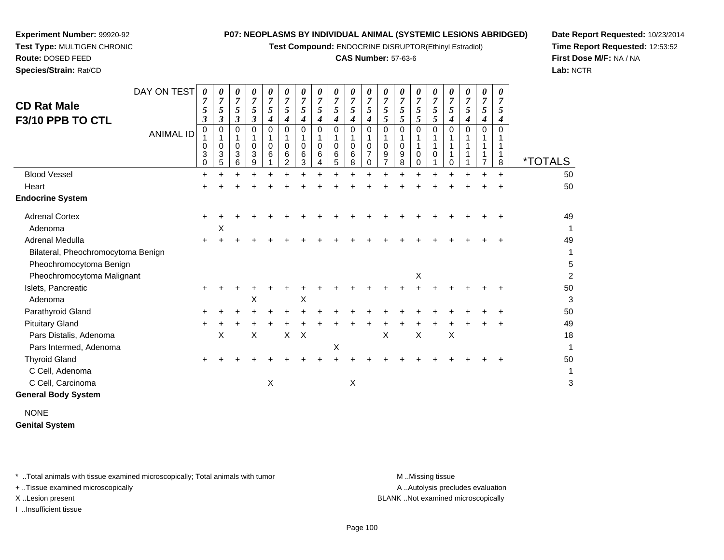**Test Compound:** ENDOCRINE DISRUPTOR(Ethinyl Estradiol)

# **CAS Number:** 57-63-6

**Date Report Requested:** 10/23/2014**Time Report Requested:** 12:53:52**First Dose M/F:** NA / NA**Lab:** NCTR

| <b>Route: DOSED FEED</b> |                  |        |        |        |        |        |        |        |             |
|--------------------------|------------------|--------|--------|--------|--------|--------|--------|--------|-------------|
| Species/Strain: Rat/CD   |                  |        |        |        |        |        |        |        |             |
| <b>CD Rat Male</b>       | DAY ON TEST      | 7      | 0<br>7 | 0<br>7 | 0<br>7 | 0<br>7 | 0<br>7 | 0<br>7 | 0<br>7<br>5 |
| F3/10 PPB TO CTL         |                  | 3<br>0 | 3<br>0 | 3<br>0 | 3<br>0 | 4<br>0 | 4      | 0      | 0           |
|                          | <b>ANIMAL ID</b> | 4      | 4      | 4      | 4      | 4      | 0<br>4 | 4      | 4           |

| <b>CD Rat Male</b><br>F3/10 PPB TO CTL | DAY ON TEST<br><b>ANIMAL ID</b> | 0<br>5<br>$\mathfrak{z}$<br>$\mathbf 0$<br>0<br>3<br>$\Omega$ | $\boldsymbol{\theta}$<br>7<br>5<br>$\boldsymbol{\beta}$<br>$\pmb{0}$<br>1<br>0<br>$\mathbf{3}$<br>5 | 0<br>$\overline{7}$<br>5<br>3<br>$\Omega$<br>0<br>3<br>6 | 0<br>$\overline{7}$<br>5<br>3<br>$\Omega$<br>0<br>3<br>9 | 0<br>7<br>5<br>4<br>$\Omega$<br>0<br>6 | 0<br>$\overline{7}$<br>5<br>4<br>$\Omega$<br>0<br>6<br>2 | $\theta$<br>7<br>5<br>4<br>$\Omega$<br>0<br>6<br>3 | 0<br>$\overline{7}$<br>5<br>4<br>$\Omega$<br>$\mathbf 0$<br>6 | 0<br>$\overline{7}$<br>5<br>4<br>$\mathbf 0$<br>1<br>$\pmb{0}$<br>6<br>5 | $\overline{7}$<br>5<br>4<br>$\Omega$<br>0<br>6<br>8 | 0<br>$\overline{7}$<br>5<br>4<br>$\Omega$<br>$\mathbf 0$<br>0 | $\overline{7}$<br>5<br>5<br>$\Omega$<br>0<br>9 | 0<br>$\overline{7}$<br>5<br>5<br>$\Omega$<br>0<br>9<br>8 | $\overline{7}$<br>5<br>5<br>$\Omega$<br>0<br>0 | 7<br>5<br>5<br>$\Omega$<br>0 | 0<br>$\overline{7}$<br>5<br>4<br>$\Omega$<br>$\Omega$ | 0<br>$\overline{7}$<br>5<br>4<br>$\Omega$ | 0<br>$\overline{7}$<br>5<br>4<br>$\Omega$ | 0<br>$\overline{7}$<br>5<br>4<br>$\Omega$<br>8 | <i><b>*TOTALS</b></i> |
|----------------------------------------|---------------------------------|---------------------------------------------------------------|-----------------------------------------------------------------------------------------------------|----------------------------------------------------------|----------------------------------------------------------|----------------------------------------|----------------------------------------------------------|----------------------------------------------------|---------------------------------------------------------------|--------------------------------------------------------------------------|-----------------------------------------------------|---------------------------------------------------------------|------------------------------------------------|----------------------------------------------------------|------------------------------------------------|------------------------------|-------------------------------------------------------|-------------------------------------------|-------------------------------------------|------------------------------------------------|-----------------------|
| <b>Blood Vessel</b>                    |                                 | $\pm$                                                         |                                                                                                     |                                                          |                                                          |                                        |                                                          |                                                    |                                                               |                                                                          |                                                     |                                                               |                                                |                                                          |                                                |                              |                                                       |                                           |                                           |                                                | 50                    |
| Heart                                  |                                 |                                                               |                                                                                                     |                                                          |                                                          |                                        |                                                          |                                                    |                                                               |                                                                          |                                                     |                                                               |                                                |                                                          |                                                |                              |                                                       |                                           |                                           |                                                | 50                    |
| <b>Endocrine System</b>                |                                 |                                                               |                                                                                                     |                                                          |                                                          |                                        |                                                          |                                                    |                                                               |                                                                          |                                                     |                                                               |                                                |                                                          |                                                |                              |                                                       |                                           |                                           |                                                |                       |
| <b>Adrenal Cortex</b>                  |                                 | ÷.                                                            |                                                                                                     |                                                          |                                                          |                                        |                                                          |                                                    |                                                               |                                                                          |                                                     |                                                               |                                                |                                                          |                                                |                              |                                                       |                                           |                                           |                                                | 49                    |
| Adenoma                                |                                 |                                                               | Χ                                                                                                   |                                                          |                                                          |                                        |                                                          |                                                    |                                                               |                                                                          |                                                     |                                                               |                                                |                                                          |                                                |                              |                                                       |                                           |                                           |                                                | 1                     |
| Adrenal Medulla                        |                                 | $\pm$                                                         |                                                                                                     |                                                          |                                                          |                                        |                                                          |                                                    |                                                               |                                                                          |                                                     |                                                               |                                                |                                                          |                                                |                              |                                                       |                                           |                                           |                                                | 49                    |
| Bilateral, Pheochromocytoma Benign     |                                 |                                                               |                                                                                                     |                                                          |                                                          |                                        |                                                          |                                                    |                                                               |                                                                          |                                                     |                                                               |                                                |                                                          |                                                |                              |                                                       |                                           |                                           |                                                | 1                     |
| Pheochromocytoma Benign                |                                 |                                                               |                                                                                                     |                                                          |                                                          |                                        |                                                          |                                                    |                                                               |                                                                          |                                                     |                                                               |                                                |                                                          |                                                |                              |                                                       |                                           |                                           |                                                | 5                     |
| Pheochromocytoma Malignant             |                                 |                                                               |                                                                                                     |                                                          |                                                          |                                        |                                                          |                                                    |                                                               |                                                                          |                                                     |                                                               |                                                |                                                          | X                                              |                              |                                                       |                                           |                                           |                                                | $\overline{c}$        |
| Islets, Pancreatic                     |                                 |                                                               |                                                                                                     |                                                          |                                                          |                                        |                                                          |                                                    |                                                               |                                                                          |                                                     |                                                               |                                                |                                                          |                                                |                              |                                                       |                                           |                                           |                                                | 50                    |
| Adenoma                                |                                 |                                                               |                                                                                                     |                                                          | Χ                                                        |                                        |                                                          | $\pmb{\times}$                                     |                                                               |                                                                          |                                                     |                                                               |                                                |                                                          |                                                |                              |                                                       |                                           |                                           |                                                | 3                     |
| Parathyroid Gland                      |                                 | $\ddot{}$                                                     |                                                                                                     |                                                          |                                                          |                                        |                                                          |                                                    |                                                               |                                                                          |                                                     |                                                               |                                                |                                                          |                                                |                              |                                                       |                                           |                                           |                                                | 50                    |
| <b>Pituitary Gland</b>                 |                                 | ÷.                                                            |                                                                                                     |                                                          |                                                          |                                        |                                                          |                                                    |                                                               |                                                                          |                                                     |                                                               |                                                |                                                          |                                                |                              |                                                       |                                           |                                           |                                                | 49                    |
| Pars Distalis, Adenoma                 |                                 |                                                               | $\boldsymbol{\mathsf{X}}$                                                                           |                                                          | Χ                                                        |                                        | $\mathsf{X}$                                             | $\times$                                           |                                                               |                                                                          |                                                     |                                                               | X                                              |                                                          | Χ                                              |                              | Χ                                                     |                                           |                                           |                                                | 18                    |
| Pars Intermed, Adenoma                 |                                 |                                                               |                                                                                                     |                                                          |                                                          |                                        |                                                          |                                                    |                                                               | Х                                                                        |                                                     |                                                               |                                                |                                                          |                                                |                              |                                                       |                                           |                                           |                                                | 1                     |
| <b>Thyroid Gland</b>                   |                                 |                                                               |                                                                                                     |                                                          |                                                          |                                        |                                                          |                                                    |                                                               |                                                                          |                                                     |                                                               |                                                |                                                          |                                                |                              |                                                       |                                           |                                           |                                                | 50                    |
| C Cell, Adenoma                        |                                 |                                                               |                                                                                                     |                                                          |                                                          |                                        |                                                          |                                                    |                                                               |                                                                          |                                                     |                                                               |                                                |                                                          |                                                |                              |                                                       |                                           |                                           |                                                | 1                     |
| C Cell, Carcinoma                      |                                 |                                                               |                                                                                                     |                                                          |                                                          | X                                      |                                                          |                                                    |                                                               |                                                                          | $\boldsymbol{\mathsf{X}}$                           |                                                               |                                                |                                                          |                                                |                              |                                                       |                                           |                                           |                                                | 3                     |
| <b>General Body System</b>             |                                 |                                                               |                                                                                                     |                                                          |                                                          |                                        |                                                          |                                                    |                                                               |                                                                          |                                                     |                                                               |                                                |                                                          |                                                |                              |                                                       |                                           |                                           |                                                |                       |

NONE**Genital System**

\* ..Total animals with tissue examined microscopically; Total animals with tumor **M** . Missing tissue M ..Missing tissue

+ ..Tissue examined microscopically

**Experiment Number:** 99920-92**Test Type:** MULTIGEN CHRONIC

I ..Insufficient tissue

A .. Autolysis precludes evaluation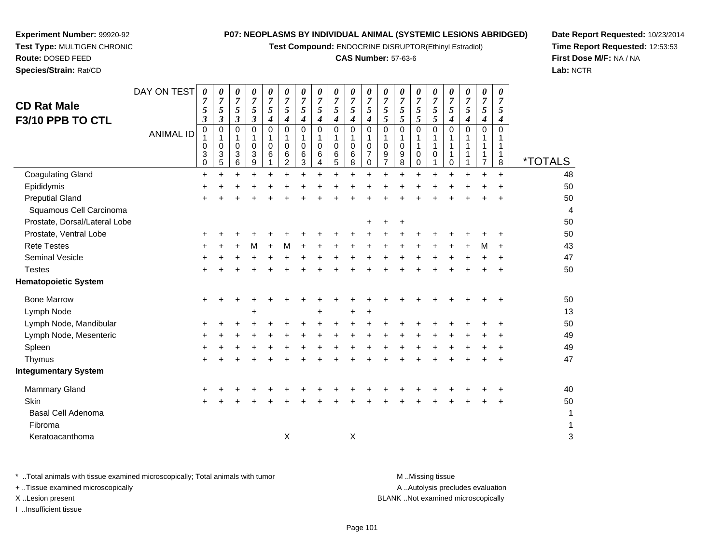**Test Compound:** ENDOCRINE DISRUPTOR(Ethinyl Estradiol)

# **CAS Number:** 57-63-6

**Date Report Requested:** 10/23/2014**Time Report Requested:** 12:53:53**First Dose M/F:** NA / NA**Lab:** NCTR

**Species/Strain:** Rat/CD

**Experiment Number:** 99920-92

| <b>CD Rat Male</b><br>F3/10 PPB TO CTL | DAY ON TEST<br><b>ANIMAL ID</b> | 0<br>$\overline{7}$<br>5<br>$\boldsymbol{\beta}$<br>$\pmb{0}$<br>0<br>3<br>0 | 0<br>$\boldsymbol{7}$<br>5<br>3<br>$\boldsymbol{0}$<br>1<br>0<br>3<br>5 | 0<br>$\boldsymbol{7}$<br>5<br>$\boldsymbol{\beta}$<br>$\pmb{0}$<br>1<br>$\mathbf 0$<br>$\mathbf{3}$<br>6 | 0<br>$\boldsymbol{7}$<br>5<br>$\boldsymbol{\beta}$<br>$\mathbf 0$<br>$\mathbf{1}$<br>$\mathbf 0$<br>3<br>9 | 0<br>$\overline{7}$<br>5<br>4<br>$\Omega$<br>1<br>$\Omega$<br>6 | 0<br>$\overline{7}$<br>$\mathfrak{s}$<br>4<br>$\mathbf 0$<br>1<br>$\mathbf 0$<br>6<br>$\overline{c}$ | 0<br>$\boldsymbol{7}$<br>$\sqrt{5}$<br>4<br>0<br>1<br>0<br>6<br>3 | 0<br>$\overline{7}$<br>5<br>$\boldsymbol{4}$<br>$\pmb{0}$<br>$\mathbf{1}$<br>$\mathbf 0$<br>$\,6\,$<br>4 | 0<br>$\boldsymbol{7}$<br>5<br>$\boldsymbol{4}$<br>$\mathbf 0$<br>$\mathbf{1}$<br>$\mathbf 0$<br>$\,6$<br>5 | 0<br>$\overline{7}$<br>$\sqrt{5}$<br>4<br>$\mathbf 0$<br>1<br>$\mathbf 0$<br>6<br>8 | 0<br>$\boldsymbol{7}$<br>5<br>4<br>$\mathbf 0$<br>1<br>$\mathbf 0$<br>$\overline{7}$<br>0 | 0<br>$\boldsymbol{7}$<br>$\sqrt{5}$<br>5<br>0<br>1<br>0<br>9<br>7 | 0<br>$\boldsymbol{7}$<br>5<br>5<br>$\pmb{0}$<br>$\mathbf{1}$<br>$\pmb{0}$<br>9<br>8 | 0<br>$\boldsymbol{7}$<br>5<br>5<br>0<br>1<br>1<br>$\mathbf 0$<br>$\Omega$ | 0<br>$\overline{7}$<br>$\sqrt{5}$<br>$\sqrt{5}$<br>$\Omega$<br>0 | 0<br>$\overline{7}$<br>$5\overline{)}$<br>4<br>$\Omega$<br>0 | 0<br>$\overline{7}$<br>5<br>4<br>0<br>1<br>1<br>1 | 0<br>$\overline{7}$<br>5<br>$\boldsymbol{4}$<br>$\pmb{0}$<br>1<br>1<br>$\mathbf{1}$<br>$\overline{7}$ | 0<br>$\overline{7}$<br>$\sqrt{5}$<br>$\boldsymbol{4}$<br>$\Omega$<br>1<br>1<br>$\mathbf{1}$<br>8 | <i><b>*TOTALS</b></i> |
|----------------------------------------|---------------------------------|------------------------------------------------------------------------------|-------------------------------------------------------------------------|----------------------------------------------------------------------------------------------------------|------------------------------------------------------------------------------------------------------------|-----------------------------------------------------------------|------------------------------------------------------------------------------------------------------|-------------------------------------------------------------------|----------------------------------------------------------------------------------------------------------|------------------------------------------------------------------------------------------------------------|-------------------------------------------------------------------------------------|-------------------------------------------------------------------------------------------|-------------------------------------------------------------------|-------------------------------------------------------------------------------------|---------------------------------------------------------------------------|------------------------------------------------------------------|--------------------------------------------------------------|---------------------------------------------------|-------------------------------------------------------------------------------------------------------|--------------------------------------------------------------------------------------------------|-----------------------|
| <b>Coagulating Gland</b>               |                                 | $\ddot{}$                                                                    | $\ddot{}$                                                               |                                                                                                          | $\ddot{}$                                                                                                  |                                                                 | +                                                                                                    | $\ddot{}$                                                         |                                                                                                          | $\ddot{}$                                                                                                  | $\ddot{}$                                                                           |                                                                                           | +                                                                 |                                                                                     | $\ddot{}$                                                                 |                                                                  |                                                              | +                                                 | +                                                                                                     | $+$                                                                                              | 48                    |
| Epididymis                             |                                 | +                                                                            |                                                                         |                                                                                                          |                                                                                                            |                                                                 |                                                                                                      |                                                                   |                                                                                                          |                                                                                                            |                                                                                     |                                                                                           |                                                                   |                                                                                     |                                                                           |                                                                  |                                                              |                                                   |                                                                                                       |                                                                                                  | 50                    |
| <b>Preputial Gland</b>                 |                                 |                                                                              |                                                                         |                                                                                                          |                                                                                                            |                                                                 |                                                                                                      |                                                                   |                                                                                                          |                                                                                                            |                                                                                     |                                                                                           |                                                                   |                                                                                     |                                                                           |                                                                  |                                                              |                                                   |                                                                                                       |                                                                                                  | 50                    |
| Squamous Cell Carcinoma                |                                 |                                                                              |                                                                         |                                                                                                          |                                                                                                            |                                                                 |                                                                                                      |                                                                   |                                                                                                          |                                                                                                            |                                                                                     |                                                                                           |                                                                   |                                                                                     |                                                                           |                                                                  |                                                              |                                                   |                                                                                                       |                                                                                                  | $\overline{4}$        |
| Prostate, Dorsal/Lateral Lobe          |                                 |                                                                              |                                                                         |                                                                                                          |                                                                                                            |                                                                 |                                                                                                      |                                                                   |                                                                                                          |                                                                                                            |                                                                                     |                                                                                           |                                                                   |                                                                                     |                                                                           |                                                                  |                                                              |                                                   |                                                                                                       |                                                                                                  | 50                    |
| Prostate, Ventral Lobe                 |                                 | ٠                                                                            |                                                                         |                                                                                                          |                                                                                                            |                                                                 |                                                                                                      |                                                                   |                                                                                                          |                                                                                                            |                                                                                     |                                                                                           |                                                                   |                                                                                     |                                                                           |                                                                  |                                                              |                                                   |                                                                                                       |                                                                                                  | 50                    |
| <b>Rete Testes</b>                     |                                 |                                                                              |                                                                         |                                                                                                          | м                                                                                                          |                                                                 | м                                                                                                    |                                                                   |                                                                                                          |                                                                                                            |                                                                                     |                                                                                           |                                                                   |                                                                                     |                                                                           |                                                                  |                                                              |                                                   | M                                                                                                     |                                                                                                  | 43                    |
| Seminal Vesicle                        |                                 |                                                                              |                                                                         |                                                                                                          |                                                                                                            |                                                                 |                                                                                                      |                                                                   |                                                                                                          |                                                                                                            |                                                                                     |                                                                                           |                                                                   |                                                                                     |                                                                           |                                                                  |                                                              |                                                   |                                                                                                       |                                                                                                  | 47                    |
| <b>Testes</b>                          |                                 |                                                                              |                                                                         |                                                                                                          |                                                                                                            |                                                                 |                                                                                                      |                                                                   |                                                                                                          |                                                                                                            |                                                                                     |                                                                                           |                                                                   |                                                                                     |                                                                           |                                                                  |                                                              |                                                   |                                                                                                       |                                                                                                  | 50                    |
| <b>Hematopoietic System</b>            |                                 |                                                                              |                                                                         |                                                                                                          |                                                                                                            |                                                                 |                                                                                                      |                                                                   |                                                                                                          |                                                                                                            |                                                                                     |                                                                                           |                                                                   |                                                                                     |                                                                           |                                                                  |                                                              |                                                   |                                                                                                       |                                                                                                  |                       |
| <b>Bone Marrow</b>                     |                                 | ٠                                                                            |                                                                         |                                                                                                          |                                                                                                            |                                                                 |                                                                                                      |                                                                   |                                                                                                          |                                                                                                            |                                                                                     |                                                                                           |                                                                   |                                                                                     |                                                                           |                                                                  |                                                              |                                                   |                                                                                                       |                                                                                                  | 50                    |
| Lymph Node                             |                                 |                                                                              |                                                                         |                                                                                                          |                                                                                                            |                                                                 |                                                                                                      |                                                                   |                                                                                                          |                                                                                                            |                                                                                     |                                                                                           |                                                                   |                                                                                     |                                                                           |                                                                  |                                                              |                                                   |                                                                                                       |                                                                                                  | 13                    |
| Lymph Node, Mandibular                 |                                 |                                                                              |                                                                         |                                                                                                          |                                                                                                            |                                                                 |                                                                                                      |                                                                   |                                                                                                          |                                                                                                            |                                                                                     |                                                                                           |                                                                   |                                                                                     |                                                                           |                                                                  |                                                              |                                                   |                                                                                                       |                                                                                                  | 50                    |
| Lymph Node, Mesenteric                 |                                 | ٠                                                                            |                                                                         |                                                                                                          |                                                                                                            |                                                                 |                                                                                                      |                                                                   |                                                                                                          |                                                                                                            |                                                                                     |                                                                                           |                                                                   |                                                                                     |                                                                           |                                                                  |                                                              |                                                   |                                                                                                       |                                                                                                  | 49                    |
| Spleen                                 |                                 |                                                                              |                                                                         |                                                                                                          |                                                                                                            |                                                                 |                                                                                                      |                                                                   |                                                                                                          |                                                                                                            |                                                                                     |                                                                                           |                                                                   |                                                                                     |                                                                           |                                                                  |                                                              |                                                   |                                                                                                       |                                                                                                  | 49                    |
| Thymus                                 |                                 |                                                                              |                                                                         |                                                                                                          |                                                                                                            |                                                                 |                                                                                                      |                                                                   |                                                                                                          |                                                                                                            |                                                                                     |                                                                                           |                                                                   |                                                                                     |                                                                           |                                                                  |                                                              |                                                   |                                                                                                       |                                                                                                  | 47                    |
| <b>Integumentary System</b>            |                                 |                                                                              |                                                                         |                                                                                                          |                                                                                                            |                                                                 |                                                                                                      |                                                                   |                                                                                                          |                                                                                                            |                                                                                     |                                                                                           |                                                                   |                                                                                     |                                                                           |                                                                  |                                                              |                                                   |                                                                                                       |                                                                                                  |                       |
| <b>Mammary Gland</b>                   |                                 |                                                                              |                                                                         |                                                                                                          |                                                                                                            |                                                                 |                                                                                                      |                                                                   |                                                                                                          |                                                                                                            |                                                                                     |                                                                                           |                                                                   |                                                                                     |                                                                           |                                                                  |                                                              |                                                   |                                                                                                       |                                                                                                  | 40                    |
| Skin                                   |                                 |                                                                              |                                                                         |                                                                                                          |                                                                                                            |                                                                 |                                                                                                      |                                                                   |                                                                                                          |                                                                                                            |                                                                                     |                                                                                           |                                                                   |                                                                                     |                                                                           |                                                                  |                                                              |                                                   |                                                                                                       |                                                                                                  | 50                    |
| Basal Cell Adenoma                     |                                 |                                                                              |                                                                         |                                                                                                          |                                                                                                            |                                                                 |                                                                                                      |                                                                   |                                                                                                          |                                                                                                            |                                                                                     |                                                                                           |                                                                   |                                                                                     |                                                                           |                                                                  |                                                              |                                                   |                                                                                                       |                                                                                                  | 1                     |
| Fibroma                                |                                 |                                                                              |                                                                         |                                                                                                          |                                                                                                            |                                                                 |                                                                                                      |                                                                   |                                                                                                          |                                                                                                            |                                                                                     |                                                                                           |                                                                   |                                                                                     |                                                                           |                                                                  |                                                              |                                                   |                                                                                                       |                                                                                                  | 1                     |
| Keratoacanthoma                        |                                 |                                                                              |                                                                         |                                                                                                          |                                                                                                            |                                                                 | X                                                                                                    |                                                                   |                                                                                                          |                                                                                                            | X                                                                                   |                                                                                           |                                                                   |                                                                                     |                                                                           |                                                                  |                                                              |                                                   |                                                                                                       |                                                                                                  | 3                     |
|                                        |                                 |                                                                              |                                                                         |                                                                                                          |                                                                                                            |                                                                 |                                                                                                      |                                                                   |                                                                                                          |                                                                                                            |                                                                                     |                                                                                           |                                                                   |                                                                                     |                                                                           |                                                                  |                                                              |                                                   |                                                                                                       |                                                                                                  |                       |

\* ..Total animals with tissue examined microscopically; Total animals with tumor **M** . Missing tissue M ..Missing tissue A ..Autolysis precludes evaluation + ..Tissue examined microscopically X ..Lesion present BLANK ..Not examined microscopicallyI ..Insufficient tissue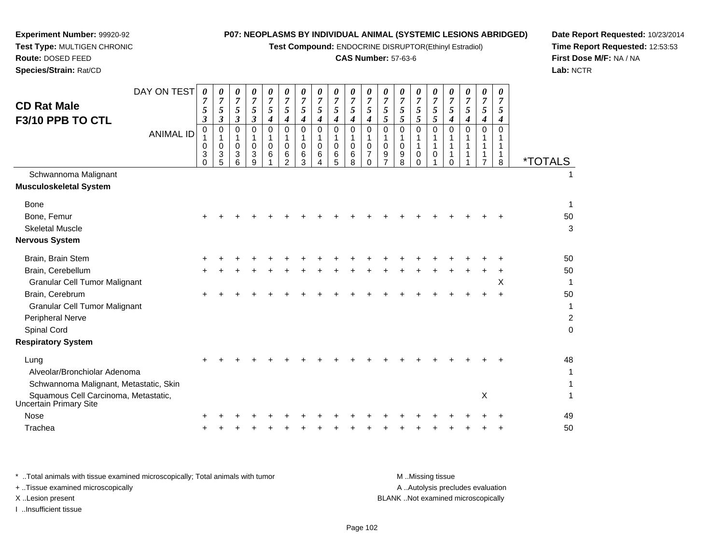**Test Compound:** ENDOCRINE DISRUPTOR(Ethinyl Estradiol)

# **CAS Number:** 57-63-6

**Date Report Requested:** 10/23/2014 **Time Report Requested:** 12:53:53**First Dose M/F:** NA / NA**Lab:** NCTR

 $\overline{2}$ 

| <b>CD Rat Male</b><br>F3/10 PPB TO CTL                                         | DAY ON TEST<br><b>ANIMAL ID</b> | 0<br>$\overline{7}$<br>5<br>3<br>$\mathbf 0$<br>0<br>3<br>$\Omega$ | 0<br>$\overline{7}$<br>5<br>3<br>$\mathbf 0$<br>1<br>$\mathbf 0$<br>3<br>5 | 0<br>$\overline{7}$<br>5<br>3<br>$\Omega$<br>$\mathbf 0$<br>3<br>6 | 0<br>$\overline{7}$<br>5<br>3<br>$\Omega$<br>$\mathbf 0$<br>3<br>9 | 0<br>$\overline{7}$<br>5<br>4<br>$\Omega$<br>0<br>6 | 0<br>$\overline{7}$<br>$\mathfrak{s}$<br>4<br>$\mathbf 0$<br>1<br>$\mathbf 0$<br>6<br>$\overline{2}$ | 0<br>$\overline{7}$<br>5<br>4<br>$\mathbf 0$<br>1<br>$\mathbf 0$<br>6<br>3 | 0<br>$\overline{7}$<br>5<br>$\boldsymbol{4}$<br>$\Omega$<br>$\mathbf 0$<br>6<br>4 | 0<br>$\overline{7}$<br>5<br>4<br>$\Omega$<br>$\mathbf 0$<br>6<br>5 | 0<br>7<br>5<br>4<br>$\Omega$<br>$\mathbf 0$<br>6<br>8 | 0<br>$\overline{7}$<br>5<br>4<br>$\mathbf 0$<br>1<br>0<br>$\overline{7}$<br>$\Omega$ | 0<br>$\overline{7}$<br>5<br>5<br>$\Omega$<br>1<br>$\mathbf 0$<br>9 | 0<br>$\overline{7}$<br>5<br>5<br>$\Omega$<br>$\mathbf 0$<br>9<br>8 | 0<br>7<br>5<br>5<br>$\Omega$<br>1<br>$\mathbf 0$<br>$\Omega$ | 0<br>7<br>5<br>5<br>$\overline{0}$<br>1<br>0 | 0<br>$\overline{7}$<br>$\mathfrak{s}$<br>$\boldsymbol{4}$<br>$\Omega$<br>$\mathbf{1}$<br>1<br>$\Omega$ | 0<br>$\overline{7}$<br>5<br>4<br>$\Omega$<br>1 | 0<br>$\overline{7}$<br>5<br>4<br>$\Omega$<br>$\mathbf 1$<br>$\overline{7}$ | 0<br>7<br>5<br>4<br>$\Omega$<br>1<br>1<br>8 | <i><b>*TOTALS</b></i> |
|--------------------------------------------------------------------------------|---------------------------------|--------------------------------------------------------------------|----------------------------------------------------------------------------|--------------------------------------------------------------------|--------------------------------------------------------------------|-----------------------------------------------------|------------------------------------------------------------------------------------------------------|----------------------------------------------------------------------------|-----------------------------------------------------------------------------------|--------------------------------------------------------------------|-------------------------------------------------------|--------------------------------------------------------------------------------------|--------------------------------------------------------------------|--------------------------------------------------------------------|--------------------------------------------------------------|----------------------------------------------|--------------------------------------------------------------------------------------------------------|------------------------------------------------|----------------------------------------------------------------------------|---------------------------------------------|-----------------------|
| Schwannoma Malignant<br><b>Musculoskeletal System</b>                          |                                 |                                                                    |                                                                            |                                                                    |                                                                    |                                                     |                                                                                                      |                                                                            |                                                                                   |                                                                    |                                                       |                                                                                      |                                                                    |                                                                    |                                                              |                                              |                                                                                                        |                                                |                                                                            |                                             |                       |
| <b>Bone</b><br>Bone, Femur<br><b>Skeletal Muscle</b><br><b>Nervous System</b>  |                                 |                                                                    |                                                                            |                                                                    |                                                                    |                                                     |                                                                                                      |                                                                            |                                                                                   |                                                                    |                                                       |                                                                                      |                                                                    |                                                                    |                                                              |                                              |                                                                                                        |                                                |                                                                            |                                             | 1<br>50<br>3          |
| Brain, Brain Stem<br>Brain, Cerebellum                                         |                                 |                                                                    |                                                                            |                                                                    |                                                                    |                                                     |                                                                                                      |                                                                            |                                                                                   |                                                                    |                                                       |                                                                                      |                                                                    |                                                                    |                                                              |                                              |                                                                                                        |                                                |                                                                            |                                             | 50<br>50              |
| <b>Granular Cell Tumor Malignant</b><br>Brain, Cerebrum                        |                                 |                                                                    |                                                                            |                                                                    |                                                                    |                                                     |                                                                                                      |                                                                            |                                                                                   |                                                                    |                                                       |                                                                                      |                                                                    |                                                                    |                                                              |                                              |                                                                                                        |                                                | +                                                                          | X<br>$\ddot{}$                              | 50                    |
| <b>Granular Cell Tumor Malignant</b><br>Peripheral Nerve                       |                                 |                                                                    |                                                                            |                                                                    |                                                                    |                                                     |                                                                                                      |                                                                            |                                                                                   |                                                                    |                                                       |                                                                                      |                                                                    |                                                                    |                                                              |                                              |                                                                                                        |                                                |                                                                            |                                             | $\overline{a}$        |
| Spinal Cord<br><b>Respiratory System</b>                                       |                                 |                                                                    |                                                                            |                                                                    |                                                                    |                                                     |                                                                                                      |                                                                            |                                                                                   |                                                                    |                                                       |                                                                                      |                                                                    |                                                                    |                                                              |                                              |                                                                                                        |                                                |                                                                            |                                             | O                     |
| Lung<br>Alveolar/Bronchiolar Adenoma<br>Schwannoma Malignant, Metastatic, Skin |                                 |                                                                    |                                                                            |                                                                    |                                                                    |                                                     |                                                                                                      |                                                                            |                                                                                   |                                                                    |                                                       |                                                                                      |                                                                    |                                                                    |                                                              |                                              |                                                                                                        |                                                |                                                                            |                                             | 48<br>1<br>1          |
| Squamous Cell Carcinoma, Metastatic,<br>Uncertain Primary Site                 |                                 |                                                                    |                                                                            |                                                                    |                                                                    |                                                     |                                                                                                      |                                                                            |                                                                                   |                                                                    |                                                       |                                                                                      |                                                                    |                                                                    |                                                              |                                              |                                                                                                        |                                                | X                                                                          |                                             | 1                     |
| Nose<br>Trachea                                                                |                                 |                                                                    |                                                                            |                                                                    |                                                                    |                                                     |                                                                                                      |                                                                            |                                                                                   |                                                                    |                                                       |                                                                                      |                                                                    |                                                                    |                                                              |                                              |                                                                                                        |                                                |                                                                            |                                             | 49<br>50              |
|                                                                                |                                 |                                                                    |                                                                            |                                                                    |                                                                    |                                                     |                                                                                                      |                                                                            |                                                                                   |                                                                    |                                                       |                                                                                      |                                                                    |                                                                    |                                                              |                                              |                                                                                                        |                                                |                                                                            |                                             |                       |

**Experiment Number:** 99920-92**Test Type:** MULTIGEN CHRONIC

| * Total animals with tissue examined microscopically; Total animals with tumor | M Missing tissue                   |
|--------------------------------------------------------------------------------|------------------------------------|
| + Tissue examined microscopically                                              | A Autolysis precludes evaluation   |
| X Lesion present                                                               | BLANK Not examined microscopically |
| …Insufficient tissue                                                           |                                    |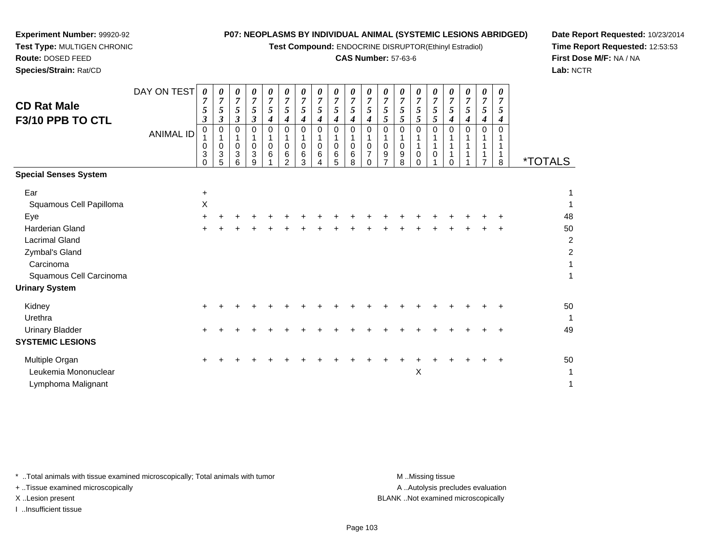*0 7*

**Test Compound:** ENDOCRINE DISRUPTOR(Ethinyl Estradiol)

# **CAS Number:** 57-63-6

**Date Report Requested:** 10/23/2014**Time Report Requested:** 12:53:53**First Dose M/F:** NA / NA**Lab:** NCTR

A .. Autolysis precludes evaluation

\* ..Total animals with tissue examined microscopically; Total animals with tumor **M** ...Missing tissue M ...Missing tissue

+ ..Tissue examined microscopically

I ..Insufficient tissue

|                              | <b>ANIMAL ID</b> | 0<br>$\mathbf 0$<br>3<br>$\Omega$ | O<br>$\pmb{0}$<br>3<br>5 | 0<br>$\pmb{0}$<br>3<br>6 | 0<br>0<br>3<br>9 | 0<br>$\mathsf 0$<br>6 | 0<br>$\mathbf{1}$<br>$\pmb{0}$<br>$\,6\,$<br>$\mathfrak{p}$ | 0<br>$\mathbf 0$<br>6<br>3 | 0<br>$\mathbf 1$<br>$\mathbf 0$<br>6 | 0<br>$\mathbf 1$<br>$\mathsf 0$<br>6<br>5 | 0<br>$\begin{smallmatrix}1\\0\end{smallmatrix}$<br>$\,6\,$<br>8 | 0<br>0<br>0 | 0<br>$\pmb{0}$<br>9 | 0<br>1<br>$\pmb{0}$<br>$9\,$<br>8 | 0<br>$\mathbf{1}$<br>$\mathbf 0$<br>$\Omega$ | 0<br>1<br>$\mathbf 0$ | 0<br>$\Omega$ | 0 | 0 | 0<br>8    | <i><b>*TOTALS</b></i>   |
|------------------------------|------------------|-----------------------------------|--------------------------|--------------------------|------------------|-----------------------|-------------------------------------------------------------|----------------------------|--------------------------------------|-------------------------------------------|-----------------------------------------------------------------|-------------|---------------------|-----------------------------------|----------------------------------------------|-----------------------|---------------|---|---|-----------|-------------------------|
| <b>Special Senses System</b> |                  |                                   |                          |                          |                  |                       |                                                             |                            |                                      |                                           |                                                                 |             |                     |                                   |                                              |                       |               |   |   |           |                         |
| Ear                          |                  | $\ddot{}$                         |                          |                          |                  |                       |                                                             |                            |                                      |                                           |                                                                 |             |                     |                                   |                                              |                       |               |   |   |           | 1                       |
| Squamous Cell Papilloma      |                  | X                                 |                          |                          |                  |                       |                                                             |                            |                                      |                                           |                                                                 |             |                     |                                   |                                              |                       |               |   |   |           | 1                       |
| Eye                          |                  | +                                 |                          |                          |                  |                       |                                                             |                            |                                      |                                           |                                                                 |             |                     |                                   |                                              |                       |               |   |   |           | 48                      |
| Harderian Gland              |                  |                                   |                          |                          |                  |                       |                                                             |                            |                                      |                                           |                                                                 |             |                     |                                   |                                              |                       |               |   |   | $\ddot{}$ | 50                      |
| Lacrimal Gland               |                  |                                   |                          |                          |                  |                       |                                                             |                            |                                      |                                           |                                                                 |             |                     |                                   |                                              |                       |               |   |   |           | $\overline{\mathbf{c}}$ |
| Zymbal's Gland               |                  |                                   |                          |                          |                  |                       |                                                             |                            |                                      |                                           |                                                                 |             |                     |                                   |                                              |                       |               |   |   |           | 2                       |
| Carcinoma                    |                  |                                   |                          |                          |                  |                       |                                                             |                            |                                      |                                           |                                                                 |             |                     |                                   |                                              |                       |               |   |   |           |                         |
| Squamous Cell Carcinoma      |                  |                                   |                          |                          |                  |                       |                                                             |                            |                                      |                                           |                                                                 |             |                     |                                   |                                              |                       |               |   |   |           | 1                       |
| <b>Urinary System</b>        |                  |                                   |                          |                          |                  |                       |                                                             |                            |                                      |                                           |                                                                 |             |                     |                                   |                                              |                       |               |   |   |           |                         |
| Kidney                       |                  |                                   |                          |                          |                  |                       |                                                             |                            |                                      |                                           |                                                                 |             |                     |                                   |                                              |                       |               |   |   | ÷         | 50                      |
| Urethra                      |                  |                                   |                          |                          |                  |                       |                                                             |                            |                                      |                                           |                                                                 |             |                     |                                   |                                              |                       |               |   |   |           | 1                       |
| <b>Urinary Bladder</b>       |                  | +                                 |                          |                          |                  |                       |                                                             |                            |                                      |                                           |                                                                 |             |                     |                                   |                                              |                       |               |   |   | ÷         | 49                      |
| <b>SYSTEMIC LESIONS</b>      |                  |                                   |                          |                          |                  |                       |                                                             |                            |                                      |                                           |                                                                 |             |                     |                                   |                                              |                       |               |   |   |           |                         |
| Multiple Organ               |                  | $\pm$                             |                          |                          |                  |                       |                                                             |                            |                                      |                                           |                                                                 |             |                     |                                   |                                              |                       |               |   |   | $\ddot{}$ | 50                      |
| Leukemia Mononuclear         |                  |                                   |                          |                          |                  |                       |                                                             |                            |                                      |                                           |                                                                 |             |                     |                                   | X                                            |                       |               |   |   |           | 1                       |
| Lymphoma Malignant           |                  |                                   |                          |                          |                  |                       |                                                             |                            |                                      |                                           |                                                                 |             |                     |                                   |                                              |                       |               |   |   |           | 1                       |

 **Test Type:** MULTIGEN CHRONIC**Route:** DOSED FEED

**Species/Strain:** Rat/CD

**CD Rat Male**

**Experiment Number:** 99920-92

DAY ON TEST

*0 7*

*0 7*

**F3/10 PPB TO CTL**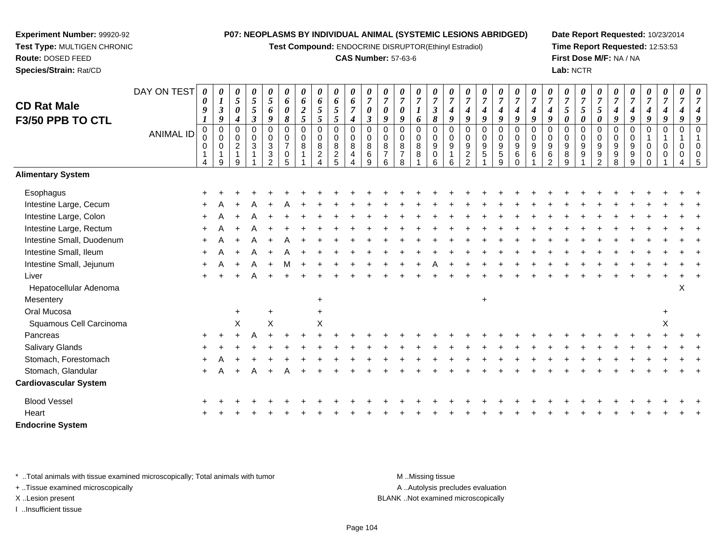**Test Compound:** ENDOCRINE DISRUPTOR(Ethinyl Estradiol)

# **CAS Number:** 57-63-6

**Date Report Requested:** 10/23/2014**Time Report Requested:** 12:53:53**First Dose M/F:** NA / NA**Lab:** NCTR

|                              | DAY ON TEST | 0                                         | 0                                                        | 0                                              | 0<br>$\overline{5}$                           | 0<br>$\mathfrak{s}$                                                           | 0                                                   | 0                     | 0                             | 0                                      | 0                                                                    | 0                                            |                                                     | 0                                         | $\overline{7}$          | $\overline{7}$                                         |                                                     | $\overline{7}$                                                     | 0<br>$\overline{7}$                                          | 0<br>$\boldsymbol{7}$                    | $\pmb{\theta}$<br>$\overline{7}$       | $\overline{7}$                          | 0<br>$\overline{7}$                                        | 0                                          |                                                  | 0<br>$\overline{7}$                                 |                                             |                                             | 0                                  | 0                                            | 0                                           |  |
|------------------------------|-------------|-------------------------------------------|----------------------------------------------------------|------------------------------------------------|-----------------------------------------------|-------------------------------------------------------------------------------|-----------------------------------------------------|-----------------------|-------------------------------|----------------------------------------|----------------------------------------------------------------------|----------------------------------------------|-----------------------------------------------------|-------------------------------------------|-------------------------|--------------------------------------------------------|-----------------------------------------------------|--------------------------------------------------------------------|--------------------------------------------------------------|------------------------------------------|----------------------------------------|-----------------------------------------|------------------------------------------------------------|--------------------------------------------|--------------------------------------------------|-----------------------------------------------------|---------------------------------------------|---------------------------------------------|------------------------------------|----------------------------------------------|---------------------------------------------|--|
| <b>CD Rat Male</b>           |             | $\boldsymbol{\theta}$<br>$\boldsymbol{g}$ | $\boldsymbol{I}$<br>$\mathfrak{z}$                       | 5<br>0                                         | $\mathfrak{s}$                                | 6                                                                             | 6<br>$\boldsymbol{\theta}$                          | 6<br>$\boldsymbol{2}$ | 6<br>5                        | 6<br>$\mathfrak{s}$                    | 6<br>$\overline{7}$                                                  | $\overline{7}$<br>$\boldsymbol{\theta}$      | $\overline{7}$<br>$\boldsymbol{\theta}$             |                                           |                         | $\mathfrak{z}$                                         | $\overline{7}$<br>$\boldsymbol{4}$                  | $\boldsymbol{4}$                                                   | 4                                                            | $\boldsymbol{4}$                         | $\boldsymbol{4}$                       | $\boldsymbol{4}$                        | 4                                                          | 7<br>$5\overline{)}$                       | $\overline{7}$<br>5                              | 5                                                   | $\overline{7}$<br>4                         | 4                                           | $\overline{7}$<br>$\boldsymbol{4}$ | $\overline{7}$<br>$\boldsymbol{4}$           |                                             |  |
| F3/50 PPB TO CTL             |             |                                           | 9                                                        | 4                                              | $\mathfrak{z}$                                | 9                                                                             | 8                                                   | $\mathfrak{s}$        | 5                             | 5                                      | $\boldsymbol{4}$                                                     | $\mathfrak{z}$                               | 9                                                   | 9                                         | 6                       | 8                                                      | $\boldsymbol{g}$                                    | 9                                                                  | 9                                                            | 9                                        | 9                                      | 9                                       | 9                                                          | $\boldsymbol{\theta}$                      | $\boldsymbol{\theta}$                            | 0                                                   | 9                                           | 9                                           | 9                                  | $\boldsymbol{9}$                             | 9                                           |  |
|                              | ANIMAL ID   | 0<br>0<br>0<br>4                          | $\mathbf 0$<br>$\mathbf 0$<br>$\boldsymbol{0}$<br>1<br>9 | $\Omega$<br>$\mathbf 0$<br>$\overline{2}$<br>9 | 0<br>$\mathbf 0$<br>$\ensuremath{\mathsf{3}}$ | $\mathbf 0$<br>0<br>$\sqrt{3}$<br>$\ensuremath{\mathsf{3}}$<br>$\mathfrak{p}$ | $\Omega$<br>$\mathbf 0$<br>$\overline{7}$<br>0<br>5 | 0<br>$\mathbf 0$<br>8 | 0<br>0<br>8<br>$\overline{c}$ | 0<br>$\mathbf 0$<br>8<br>$\frac{2}{5}$ | $\pmb{0}$<br>$\mathsf{O}\xspace$<br>8<br>4<br>$\boldsymbol{\Lambda}$ | $\Omega$<br>$\mathbf 0$<br>8<br>$\,6\,$<br>9 | $\Omega$<br>$\mathbf 0$<br>8<br>$\overline{7}$<br>6 | $\Omega$<br>0<br>8<br>$\overline{7}$<br>8 | $\Omega$<br>0<br>8<br>8 | $\mathbf 0$<br>0<br>$\boldsymbol{9}$<br>$\pmb{0}$<br>6 | $\mathbf 0$<br>$\mathbf 0$<br>$\boldsymbol{9}$<br>6 | $\mathbf 0$<br>0<br>$\boldsymbol{9}$<br>$\overline{c}$<br>$\Omega$ | $\mathbf 0$<br>$\mathbf 0$<br>$\boldsymbol{9}$<br>$\sqrt{5}$ | 0<br>$\mathbf 0$<br>9<br>$\sqrt{5}$<br>9 | $\mathbf 0$<br>0<br>9<br>6<br>$\Omega$ | $\Omega$<br>$\mathbf 0$<br>9<br>$\,6\,$ | $\mathbf 0$<br>$\mathbf 0$<br>$9\,$<br>$\,6\,$<br>$\Omega$ | 0<br>0<br>$\boldsymbol{9}$<br>$\bf 8$<br>9 | $\Omega$<br>$\mathbf 0$<br>9<br>$\boldsymbol{9}$ | $\Omega$<br>$\mathbf 0$<br>9<br>9<br>$\mathfrak{p}$ | $\Omega$<br>0<br>9<br>$\boldsymbol{9}$<br>8 | $\Omega$<br>0<br>9<br>$\boldsymbol{9}$<br>9 | $\Omega$<br>$\mathbf 0$<br>0<br>0  | $\Omega$<br>$\mathbf{1}$<br>$\mathbf 0$<br>0 | $\Omega$<br>$\overline{1}$<br>$\Omega$<br>0 |  |
| <b>Alimentary System</b>     |             |                                           |                                                          |                                                |                                               |                                                                               |                                                     |                       |                               |                                        |                                                                      |                                              |                                                     |                                           |                         |                                                        |                                                     |                                                                    |                                                              |                                          |                                        |                                         |                                                            |                                            |                                                  |                                                     |                                             |                                             |                                    |                                              |                                             |  |
| Esophagus                    |             |                                           |                                                          |                                                |                                               |                                                                               |                                                     |                       |                               |                                        |                                                                      |                                              |                                                     |                                           |                         |                                                        |                                                     |                                                                    |                                                              |                                          |                                        |                                         |                                                            |                                            |                                                  |                                                     |                                             |                                             |                                    |                                              |                                             |  |
| Intestine Large, Cecum       |             |                                           |                                                          |                                                |                                               |                                                                               |                                                     |                       |                               |                                        |                                                                      |                                              |                                                     |                                           |                         |                                                        |                                                     |                                                                    |                                                              |                                          |                                        |                                         |                                                            |                                            |                                                  |                                                     |                                             |                                             |                                    |                                              |                                             |  |
| Intestine Large, Colon       |             | +                                         |                                                          |                                                |                                               |                                                                               |                                                     |                       |                               |                                        |                                                                      |                                              |                                                     |                                           |                         |                                                        |                                                     |                                                                    |                                                              |                                          |                                        |                                         |                                                            |                                            |                                                  |                                                     |                                             |                                             |                                    |                                              |                                             |  |
| Intestine Large, Rectum      |             |                                           |                                                          |                                                |                                               |                                                                               |                                                     |                       |                               |                                        |                                                                      |                                              |                                                     |                                           |                         |                                                        |                                                     |                                                                    |                                                              |                                          |                                        |                                         |                                                            |                                            |                                                  |                                                     |                                             |                                             |                                    |                                              |                                             |  |
| Intestine Small, Duodenum    |             |                                           |                                                          |                                                |                                               |                                                                               |                                                     |                       |                               |                                        |                                                                      |                                              |                                                     |                                           |                         |                                                        |                                                     |                                                                    |                                                              |                                          |                                        |                                         |                                                            |                                            |                                                  |                                                     |                                             |                                             |                                    |                                              |                                             |  |
| Intestine Small, Ileum       |             |                                           |                                                          |                                                |                                               |                                                                               |                                                     |                       |                               |                                        |                                                                      |                                              |                                                     |                                           |                         |                                                        |                                                     |                                                                    |                                                              |                                          |                                        |                                         |                                                            |                                            |                                                  |                                                     |                                             |                                             |                                    |                                              |                                             |  |
| Intestine Small, Jejunum     |             |                                           |                                                          |                                                | A                                             | $+$                                                                           | м                                                   |                       |                               |                                        |                                                                      |                                              |                                                     |                                           |                         |                                                        |                                                     |                                                                    |                                                              |                                          |                                        |                                         |                                                            |                                            |                                                  |                                                     |                                             |                                             |                                    |                                              |                                             |  |
| Liver                        |             |                                           |                                                          |                                                |                                               |                                                                               |                                                     |                       |                               |                                        |                                                                      |                                              |                                                     |                                           |                         |                                                        |                                                     |                                                                    |                                                              |                                          |                                        |                                         |                                                            |                                            |                                                  |                                                     |                                             |                                             |                                    |                                              |                                             |  |
| Hepatocellular Adenoma       |             |                                           |                                                          |                                                |                                               |                                                                               |                                                     |                       |                               |                                        |                                                                      |                                              |                                                     |                                           |                         |                                                        |                                                     |                                                                    |                                                              |                                          |                                        |                                         |                                                            |                                            |                                                  |                                                     |                                             |                                             |                                    |                                              | X                                           |  |
| Mesentery                    |             |                                           |                                                          |                                                |                                               |                                                                               |                                                     |                       | $\ddot{}$                     |                                        |                                                                      |                                              |                                                     |                                           |                         |                                                        |                                                     |                                                                    | $\ddot{}$                                                    |                                          |                                        |                                         |                                                            |                                            |                                                  |                                                     |                                             |                                             |                                    |                                              |                                             |  |
| Oral Mucosa                  |             |                                           |                                                          | $\ddot{}$                                      |                                               | $\ddot{}$                                                                     |                                                     |                       | $\ddot{}$                     |                                        |                                                                      |                                              |                                                     |                                           |                         |                                                        |                                                     |                                                                    |                                                              |                                          |                                        |                                         |                                                            |                                            |                                                  |                                                     |                                             |                                             |                                    |                                              |                                             |  |
| Squamous Cell Carcinoma      |             |                                           |                                                          | $\mathsf X$                                    |                                               | X                                                                             |                                                     |                       | Χ                             |                                        |                                                                      |                                              |                                                     |                                           |                         |                                                        |                                                     |                                                                    |                                                              |                                          |                                        |                                         |                                                            |                                            |                                                  |                                                     |                                             |                                             |                                    | X                                            |                                             |  |
| Pancreas                     |             |                                           |                                                          |                                                |                                               |                                                                               |                                                     |                       |                               |                                        |                                                                      |                                              |                                                     |                                           |                         |                                                        |                                                     |                                                                    |                                                              |                                          |                                        |                                         |                                                            |                                            |                                                  |                                                     |                                             |                                             |                                    |                                              |                                             |  |
| Salivary Glands              |             |                                           |                                                          |                                                |                                               |                                                                               |                                                     |                       |                               |                                        |                                                                      |                                              |                                                     |                                           |                         |                                                        |                                                     |                                                                    |                                                              |                                          |                                        |                                         |                                                            |                                            |                                                  |                                                     |                                             |                                             |                                    |                                              |                                             |  |
| Stomach, Forestomach         |             |                                           |                                                          |                                                |                                               |                                                                               |                                                     |                       |                               |                                        |                                                                      |                                              |                                                     |                                           |                         |                                                        |                                                     |                                                                    |                                                              |                                          |                                        |                                         |                                                            |                                            |                                                  |                                                     |                                             |                                             |                                    |                                              |                                             |  |
| Stomach, Glandular           |             | $\ddot{}$                                 |                                                          |                                                |                                               |                                                                               |                                                     |                       |                               |                                        |                                                                      |                                              |                                                     |                                           |                         |                                                        |                                                     |                                                                    |                                                              |                                          |                                        |                                         |                                                            |                                            |                                                  |                                                     |                                             |                                             |                                    |                                              |                                             |  |
| <b>Cardiovascular System</b> |             |                                           |                                                          |                                                |                                               |                                                                               |                                                     |                       |                               |                                        |                                                                      |                                              |                                                     |                                           |                         |                                                        |                                                     |                                                                    |                                                              |                                          |                                        |                                         |                                                            |                                            |                                                  |                                                     |                                             |                                             |                                    |                                              |                                             |  |
| <b>Blood Vessel</b>          |             |                                           |                                                          |                                                |                                               |                                                                               |                                                     |                       |                               |                                        |                                                                      |                                              |                                                     |                                           |                         |                                                        |                                                     |                                                                    |                                                              |                                          |                                        |                                         |                                                            |                                            |                                                  |                                                     |                                             |                                             |                                    |                                              |                                             |  |
| Heart                        |             |                                           |                                                          |                                                |                                               |                                                                               |                                                     |                       |                               |                                        |                                                                      |                                              |                                                     |                                           |                         |                                                        |                                                     |                                                                    |                                                              |                                          |                                        |                                         |                                                            |                                            |                                                  |                                                     |                                             |                                             |                                    |                                              |                                             |  |
| <b>Endocrine System</b>      |             |                                           |                                                          |                                                |                                               |                                                                               |                                                     |                       |                               |                                        |                                                                      |                                              |                                                     |                                           |                         |                                                        |                                                     |                                                                    |                                                              |                                          |                                        |                                         |                                                            |                                            |                                                  |                                                     |                                             |                                             |                                    |                                              |                                             |  |

\* ..Total animals with tissue examined microscopically; Total animals with tumor **M** . Missing tissue M ..Missing tissue

+ ..Tissue examined microscopically

**Experiment Number:** 99920-92**Test Type:** MULTIGEN CHRONIC

**Route:** DOSED FEED**Species/Strain:** Rat/CD

I ..Insufficient tissue

A ..Autolysis precludes evaluation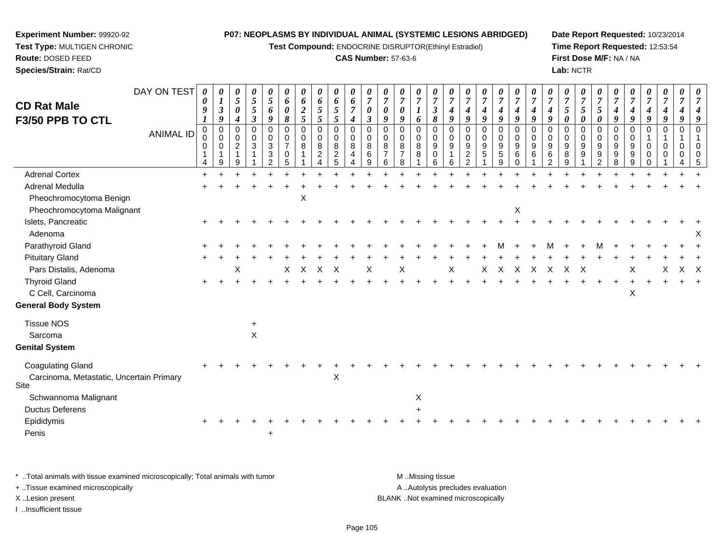**Test Compound:** ENDOCRINE DISRUPTOR(Ethinyl Estradiol)

# **CAS Number:** 57-63-6

**Date Report Requested:** 10/23/2014**Time Report Requested:** 12:53:54**First Dose M/F:** NA / NA**Lab:** NCTR

| <b>CD Rat Male</b><br>F3/50 PPB TO CTL                               | DAY ON TEST | 0<br>0<br>9             | 0<br>$\boldsymbol{l}$<br>$\mathfrak{z}$<br>$\boldsymbol{g}$ | $\boldsymbol{\theta}$<br>$\overline{5}$<br>$\boldsymbol{\theta}$<br>$\boldsymbol{4}$ | 0<br>$\sqrt{5}$<br>$\mathfrak{s}$<br>$\boldsymbol{\beta}$ | 0<br>$\mathfrak{H}$<br>6<br>9             | 0<br>6<br>0<br>8                                       | $\boldsymbol{\theta}$<br>6<br>$\boldsymbol{2}$<br>5 | 0<br>6<br>$\mathfrak{s}$<br>$\mathfrak{s}$                  | 0<br>6<br>$\sqrt{5}$<br>5        | 0<br>6<br>$\overline{7}$<br>$\boldsymbol{4}$                        | 0<br>$\overline{7}$<br>0<br>$\mathbf{3}$ | $\boldsymbol{\theta}$<br>$\boldsymbol{7}$<br>0<br>9 | $\overline{7}$<br>0<br>9 | 0<br>$\overline{7}$<br>6          | $\boldsymbol{\theta}$<br>$\overline{7}$<br>$\boldsymbol{\beta}$<br>$\boldsymbol{\delta}$ | $\boldsymbol{\theta}$<br>$\overline{7}$<br>$\boldsymbol{4}$<br>9 | $\overline{7}$<br>4<br>9                                      | 0<br>$\overline{7}$<br>4<br>9 | $\boldsymbol{\theta}$<br>$\boldsymbol{7}$<br>4<br>9 | 0<br>$\overline{7}$<br>4<br>9                              | 0<br>$\overline{7}$<br>$\boldsymbol{4}$<br>9 | $\overline{7}$<br>$\boldsymbol{4}$<br>9          | 0<br>$\overline{7}$<br>5<br>0 | 0<br>$\overline{7}$<br>5<br>0 | $\overline{7}$<br>5<br>0                            | U<br>$\overline{7}$<br>4<br>9 | $\overline{7}$<br>4<br>9        | $\boldsymbol{\theta}$<br>$\overline{7}$<br>4<br>9 | 0<br>$\overline{7}$<br>4<br>9      | 0<br>$\overline{7}$<br>4<br>9 |  |
|----------------------------------------------------------------------|-------------|-------------------------|-------------------------------------------------------------|--------------------------------------------------------------------------------------|-----------------------------------------------------------|-------------------------------------------|--------------------------------------------------------|-----------------------------------------------------|-------------------------------------------------------------|----------------------------------|---------------------------------------------------------------------|------------------------------------------|-----------------------------------------------------|--------------------------|-----------------------------------|------------------------------------------------------------------------------------------|------------------------------------------------------------------|---------------------------------------------------------------|-------------------------------|-----------------------------------------------------|------------------------------------------------------------|----------------------------------------------|--------------------------------------------------|-------------------------------|-------------------------------|-----------------------------------------------------|-------------------------------|---------------------------------|---------------------------------------------------|------------------------------------|-------------------------------|--|
|                                                                      | ANIMAL ID   | 0<br>$\Omega$<br>0<br>4 | $\mathbf 0$<br>0<br>0<br>$\overline{\mathbf{1}}$<br>9       | $\mathbf 0$<br>0<br>$\overline{c}$<br>1<br>9                                         | $\mathbf 0$<br>0<br>3                                     | 0<br>0<br>$\mathbf{3}$<br>$\sqrt{3}$<br>2 | 0<br>$\mathbf 0$<br>$\overline{7}$<br>$\mathbf 0$<br>5 | 0<br>0<br>8                                         | 0<br>$\mathbf 0$<br>$\, 8$<br>$\boldsymbol{2}$<br>$\lambda$ | 0<br>0<br>$\bf 8$<br>$rac{2}{5}$ | $\mathbf 0$<br>$\mathbf 0$<br>8<br>$\overline{4}$<br>$\overline{4}$ | $\Omega$<br>$\Omega$<br>8<br>6<br>9      | 0<br>$\Omega$<br>8<br>$\overline{7}$<br>6           | 0<br>$\Omega$<br>8<br>8  | $\Omega$<br>$\mathbf 0$<br>8<br>8 | $\mathbf 0$<br>0<br>9<br>$\mathbf 0$<br>6                                                | $\mathbf 0$<br>$\mathbf 0$<br>9<br>$\mathbf{1}$<br>6             | $\Omega$<br>$\Omega$<br>9<br>$\overline{c}$<br>$\overline{2}$ | 0<br>0<br>9<br>5              | 0<br>0<br>$\boldsymbol{9}$<br>$\sqrt{5}$<br>9       | $\mathbf 0$<br>$\mathbf 0$<br>$9\,$<br>$\,6\,$<br>$\Omega$ | 0<br>0<br>9<br>6                             | $\Omega$<br>$\Omega$<br>9<br>6<br>$\overline{2}$ | $\Omega$<br>0<br>9<br>8<br>9  | 0<br>0<br>9<br>9              | 0<br>0<br>$\boldsymbol{9}$<br>$\boldsymbol{9}$<br>2 | $\Omega$<br>0<br>9<br>9<br>8  | 0<br>$\mathbf 0$<br>9<br>9<br>9 | 0<br>$\mathbf{1}$<br>0<br>0<br>0                  | 0<br>$\mathbf{1}$<br>0<br>$\Omega$ | 0<br>$\mathbf 1$<br>0<br>0    |  |
| <b>Adrenal Cortex</b>                                                |             | $\ddot{}$               |                                                             |                                                                                      |                                                           |                                           |                                                        |                                                     |                                                             |                                  |                                                                     |                                          |                                                     |                          |                                   |                                                                                          |                                                                  |                                                               |                               |                                                     |                                                            |                                              |                                                  |                               |                               |                                                     |                               |                                 |                                                   |                                    |                               |  |
| Adrenal Medulla                                                      |             |                         |                                                             |                                                                                      |                                                           |                                           |                                                        |                                                     |                                                             |                                  |                                                                     |                                          |                                                     |                          |                                   |                                                                                          |                                                                  |                                                               |                               |                                                     |                                                            |                                              |                                                  |                               |                               |                                                     |                               |                                 |                                                   |                                    |                               |  |
| Pheochromocytoma Benign                                              |             |                         |                                                             |                                                                                      |                                                           |                                           |                                                        | X                                                   |                                                             |                                  |                                                                     |                                          |                                                     |                          |                                   |                                                                                          |                                                                  |                                                               |                               |                                                     |                                                            |                                              |                                                  |                               |                               |                                                     |                               |                                 |                                                   |                                    |                               |  |
| Pheochromocytoma Malignant                                           |             |                         |                                                             |                                                                                      |                                                           |                                           |                                                        |                                                     |                                                             |                                  |                                                                     |                                          |                                                     |                          |                                   |                                                                                          |                                                                  |                                                               |                               |                                                     | $\boldsymbol{\mathsf{X}}$                                  |                                              |                                                  |                               |                               |                                                     |                               |                                 |                                                   |                                    |                               |  |
| Islets, Pancreatic                                                   |             |                         |                                                             |                                                                                      |                                                           |                                           |                                                        |                                                     |                                                             |                                  |                                                                     |                                          |                                                     |                          |                                   |                                                                                          |                                                                  |                                                               |                               |                                                     |                                                            |                                              |                                                  |                               |                               |                                                     |                               |                                 |                                                   |                                    |                               |  |
| Adenoma                                                              |             |                         |                                                             |                                                                                      |                                                           |                                           |                                                        |                                                     |                                                             |                                  |                                                                     |                                          |                                                     |                          |                                   |                                                                                          |                                                                  |                                                               |                               |                                                     |                                                            |                                              |                                                  |                               |                               |                                                     |                               |                                 |                                                   |                                    |                               |  |
| Parathyroid Gland                                                    |             |                         |                                                             |                                                                                      |                                                           |                                           |                                                        |                                                     |                                                             |                                  |                                                                     |                                          |                                                     |                          |                                   |                                                                                          |                                                                  |                                                               |                               |                                                     |                                                            |                                              | M                                                |                               |                               |                                                     |                               |                                 |                                                   |                                    |                               |  |
| <b>Pituitary Gland</b>                                               |             |                         |                                                             |                                                                                      |                                                           |                                           |                                                        |                                                     |                                                             |                                  |                                                                     |                                          |                                                     |                          |                                   |                                                                                          |                                                                  |                                                               |                               |                                                     |                                                            |                                              |                                                  |                               |                               |                                                     |                               |                                 |                                                   |                                    |                               |  |
| Pars Distalis, Adenoma                                               |             |                         |                                                             | Х                                                                                    |                                                           |                                           | X                                                      | X                                                   | Χ                                                           | X                                |                                                                     | Х                                        |                                                     | Χ                        |                                   |                                                                                          | Χ                                                                |                                                               | X                             | X                                                   | X                                                          | X                                            | X                                                | х                             |                               |                                                     |                               |                                 |                                                   |                                    | X X                           |  |
| <b>Thyroid Gland</b>                                                 |             |                         |                                                             |                                                                                      |                                                           |                                           |                                                        |                                                     |                                                             |                                  |                                                                     |                                          |                                                     |                          |                                   |                                                                                          |                                                                  |                                                               |                               |                                                     |                                                            |                                              |                                                  |                               |                               |                                                     |                               |                                 |                                                   |                                    |                               |  |
| C Cell, Carcinoma                                                    |             |                         |                                                             |                                                                                      |                                                           |                                           |                                                        |                                                     |                                                             |                                  |                                                                     |                                          |                                                     |                          |                                   |                                                                                          |                                                                  |                                                               |                               |                                                     |                                                            |                                              |                                                  |                               |                               |                                                     |                               | X                               |                                                   |                                    |                               |  |
| <b>General Body System</b>                                           |             |                         |                                                             |                                                                                      |                                                           |                                           |                                                        |                                                     |                                                             |                                  |                                                                     |                                          |                                                     |                          |                                   |                                                                                          |                                                                  |                                                               |                               |                                                     |                                                            |                                              |                                                  |                               |                               |                                                     |                               |                                 |                                                   |                                    |                               |  |
| <b>Tissue NOS</b>                                                    |             |                         |                                                             |                                                                                      |                                                           |                                           |                                                        |                                                     |                                                             |                                  |                                                                     |                                          |                                                     |                          |                                   |                                                                                          |                                                                  |                                                               |                               |                                                     |                                                            |                                              |                                                  |                               |                               |                                                     |                               |                                 |                                                   |                                    |                               |  |
| Sarcoma                                                              |             |                         |                                                             |                                                                                      | Χ                                                         |                                           |                                                        |                                                     |                                                             |                                  |                                                                     |                                          |                                                     |                          |                                   |                                                                                          |                                                                  |                                                               |                               |                                                     |                                                            |                                              |                                                  |                               |                               |                                                     |                               |                                 |                                                   |                                    |                               |  |
| <b>Genital System</b>                                                |             |                         |                                                             |                                                                                      |                                                           |                                           |                                                        |                                                     |                                                             |                                  |                                                                     |                                          |                                                     |                          |                                   |                                                                                          |                                                                  |                                                               |                               |                                                     |                                                            |                                              |                                                  |                               |                               |                                                     |                               |                                 |                                                   |                                    |                               |  |
| <b>Coagulating Gland</b><br>Carcinoma, Metastatic, Uncertain Primary |             |                         |                                                             |                                                                                      |                                                           |                                           |                                                        |                                                     |                                                             | Χ                                |                                                                     |                                          |                                                     |                          |                                   |                                                                                          |                                                                  |                                                               |                               |                                                     |                                                            |                                              |                                                  |                               |                               |                                                     |                               |                                 |                                                   |                                    |                               |  |
| Site                                                                 |             |                         |                                                             |                                                                                      |                                                           |                                           |                                                        |                                                     |                                                             |                                  |                                                                     |                                          |                                                     |                          |                                   |                                                                                          |                                                                  |                                                               |                               |                                                     |                                                            |                                              |                                                  |                               |                               |                                                     |                               |                                 |                                                   |                                    |                               |  |
| Schwannoma Malignant                                                 |             |                         |                                                             |                                                                                      |                                                           |                                           |                                                        |                                                     |                                                             |                                  |                                                                     |                                          |                                                     |                          | X                                 |                                                                                          |                                                                  |                                                               |                               |                                                     |                                                            |                                              |                                                  |                               |                               |                                                     |                               |                                 |                                                   |                                    |                               |  |
| <b>Ductus Deferens</b>                                               |             |                         |                                                             |                                                                                      |                                                           |                                           |                                                        |                                                     |                                                             |                                  |                                                                     |                                          |                                                     |                          |                                   |                                                                                          |                                                                  |                                                               |                               |                                                     |                                                            |                                              |                                                  |                               |                               |                                                     |                               |                                 |                                                   |                                    |                               |  |
| Epididymis                                                           |             |                         |                                                             |                                                                                      |                                                           |                                           |                                                        |                                                     |                                                             |                                  |                                                                     |                                          |                                                     |                          |                                   |                                                                                          |                                                                  |                                                               |                               |                                                     |                                                            |                                              |                                                  |                               |                               |                                                     |                               |                                 |                                                   |                                    |                               |  |
| Penis                                                                |             |                         |                                                             |                                                                                      |                                                           |                                           |                                                        |                                                     |                                                             |                                  |                                                                     |                                          |                                                     |                          |                                   |                                                                                          |                                                                  |                                                               |                               |                                                     |                                                            |                                              |                                                  |                               |                               |                                                     |                               |                                 |                                                   |                                    |                               |  |

\* ..Total animals with tissue examined microscopically; Total animals with tumor **M** . Missing tissue M ..Missing tissue A ..Autolysis precludes evaluation + ..Tissue examined microscopically X ..Lesion present BLANK ..Not examined microscopicallyI ..Insufficient tissue

<sup>+</sup>

**Experiment Number:** 99920-92**Test Type:** MULTIGEN CHRONIC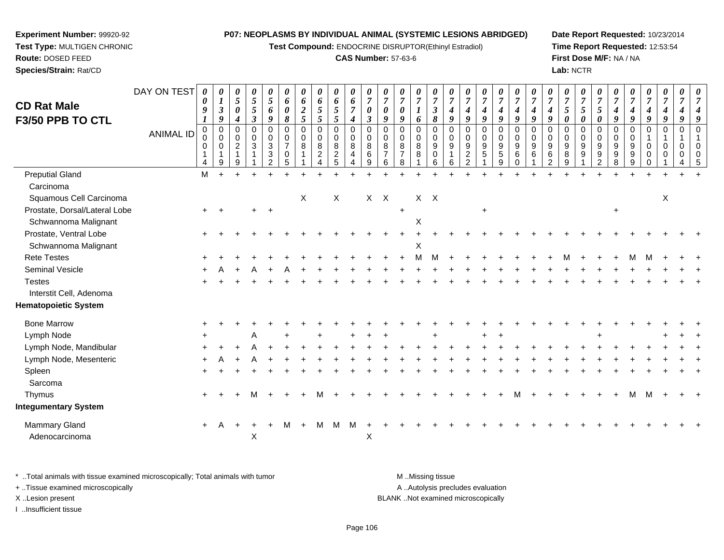**Test Compound:** ENDOCRINE DISRUPTOR(Ethinyl Estradiol)

# **CAS Number:** 57-63-6

**Date Report Requested:** 10/23/2014**Time Report Requested:** 12:53:54**First Dose M/F:** NA / NA**Lab:** NCTR

**Experiment Number:** 99920-92 **Test Type:** MULTIGEN CHRONIC**Route:** DOSED FEED**Species/Strain:** Rat/CD

| <b>CD Rat Male</b><br>F3/50 PPB TO CTL | DAY ON TEST<br><b>ANIMAL ID</b> | $\boldsymbol{\theta}$<br>$\boldsymbol{\theta}$<br>9<br>$\pmb{0}$<br>$\pmb{0}$<br>$\mathbf 0$<br>$\mathbf 1$<br>4 | 0<br>$\boldsymbol{l}$<br>$\boldsymbol{\beta}$<br>9<br>$\Omega$<br>0<br>$\Omega$<br>9 | 0<br>5<br>$\boldsymbol{\theta}$<br>$\boldsymbol{4}$<br>$\mathbf 0$<br>$\mathbf 0$<br>2<br>$\overline{1}$<br>9 | 0<br>5<br>5<br>$\mathfrak{z}$<br>$\Omega$<br>0<br>3 | 0<br>5<br>6<br>9<br>$\mathbf 0$<br>$_{3}^{\rm 0}$<br>$\sqrt{3}$<br>$\overline{2}$ | 0<br>6<br>0<br>8<br>$\mathbf 0$<br>0<br>$\overline{7}$<br>$\mathbf 0$<br>5 | 0<br>6<br>$\boldsymbol{2}$<br>5<br>$\mathbf 0$<br>0<br>8 | 0<br>6<br>$\sqrt{5}$<br>5<br>$\mathbf 0$<br>$\pmb{0}$<br>$\,8\,$<br>$\overline{c}$<br>Δ | $\boldsymbol{\theta}$<br>6<br>$\mathfrak{s}$<br>$\mathfrak{H}$<br>$\mathbf 0$<br>$\boldsymbol{0}$<br>$\,8\,$<br>$\boldsymbol{2}$<br>5 | 0<br>6<br>$\overline{7}$<br>$\boldsymbol{4}$<br>$\mathbf 0$<br>$\mathbf 0$<br>8<br>$\overline{4}$<br>4 | 0<br>$\overline{7}$<br>$\boldsymbol{\theta}$<br>$\boldsymbol{\beta}$<br>$\mathbf 0$<br>0<br>8<br>6<br>9 | 0<br>$\overline{7}$<br>0<br>9<br>$\Omega$<br>$\mathbf 0$<br>8<br>$\overline{7}$<br>6 | 0<br>$\overline{7}$<br>0<br>9<br>$\Omega$<br>0<br>8<br>$\overline{7}$<br>8 | 0<br>$\overline{7}$<br>6<br>0<br>0<br>8<br>8 | 0<br>$\overline{7}$<br>$\boldsymbol{\beta}$<br>8<br>$\mathbf 0$<br>0<br>$\boldsymbol{9}$<br>$\mathbf 0$<br>6 | $\overline{7}$<br>$\boldsymbol{4}$<br>9<br>$\mathbf 0$<br>0<br>9<br>6 | 0<br>$\overline{7}$<br>$\boldsymbol{4}$<br>9<br>$\mathbf 0$<br>$\mathbf 0$<br>$\boldsymbol{9}$<br>$\overline{c}$<br>$\overline{2}$ | 0<br>$\overline{7}$<br>$\boldsymbol{4}$<br>$\boldsymbol{g}$<br>0<br>0<br>9<br>$\overline{5}$ | 0<br>$\overline{7}$<br>$\boldsymbol{4}$<br>9<br>$\mathbf 0$<br>$\mathbf 0$<br>$\boldsymbol{9}$<br>$\overline{5}$<br>9 | 0<br>$\overline{7}$<br>4<br>9<br>$\Omega$<br>0<br>9<br>6<br>$\Omega$ | $\overline{7}$<br>$\boldsymbol{4}$<br>9<br>$\Omega$<br>$\mathbf 0$<br>9<br>6 | 0<br>9<br>$\mathbf 0$<br>$\Omega$<br>9<br>6<br>$\mathcal{P}$ | 0<br>7<br>5<br>0<br>0<br>0<br>$9\,$<br>8<br>9 | 0<br>$\overline{7}$<br>5<br>$\boldsymbol{\theta}$<br>$\mathbf 0$<br>$\mathbf 0$<br>9<br>9 | 0<br>$\overline{7}$<br>5<br>0<br>0<br>0<br>$\boldsymbol{9}$<br>9<br>$\overline{2}$ | 0<br>$\overline{7}$<br>$\boldsymbol{4}$<br>9<br>$\mathbf 0$<br>$\mathbf 0$<br>$9\,$<br>9<br>8 | 0<br>7<br>4<br>9<br>$\mathbf 0$<br>0<br>$\boldsymbol{9}$<br>9<br>9 | 0<br>$\boldsymbol{7}$<br>$\boldsymbol{4}$<br>9<br>$\mathbf 0$<br>$\mathbf{1}$<br>$\mathbf 0$<br>$\mathbf 0$<br>$\Omega$ | 0<br>$\overline{7}$<br>4<br>9<br>$\mathbf 0$<br>$\mathbf{1}$<br>$\mathbf 0$<br>0 | 0<br>$\overline{7}$<br>4<br>9<br>$\mathbf 0$<br>$\mathbf{1}$<br>$\mathbf 0$<br>0<br>4 | 9<br>$\Omega$<br>$\Omega$<br>$\mathbf 0$<br>5 |
|----------------------------------------|---------------------------------|------------------------------------------------------------------------------------------------------------------|--------------------------------------------------------------------------------------|---------------------------------------------------------------------------------------------------------------|-----------------------------------------------------|-----------------------------------------------------------------------------------|----------------------------------------------------------------------------|----------------------------------------------------------|-----------------------------------------------------------------------------------------|---------------------------------------------------------------------------------------------------------------------------------------|--------------------------------------------------------------------------------------------------------|---------------------------------------------------------------------------------------------------------|--------------------------------------------------------------------------------------|----------------------------------------------------------------------------|----------------------------------------------|--------------------------------------------------------------------------------------------------------------|-----------------------------------------------------------------------|------------------------------------------------------------------------------------------------------------------------------------|----------------------------------------------------------------------------------------------|-----------------------------------------------------------------------------------------------------------------------|----------------------------------------------------------------------|------------------------------------------------------------------------------|--------------------------------------------------------------|-----------------------------------------------|-------------------------------------------------------------------------------------------|------------------------------------------------------------------------------------|-----------------------------------------------------------------------------------------------|--------------------------------------------------------------------|-------------------------------------------------------------------------------------------------------------------------|----------------------------------------------------------------------------------|---------------------------------------------------------------------------------------|-----------------------------------------------|
| <b>Preputial Gland</b>                 |                                 | M                                                                                                                | $+$                                                                                  |                                                                                                               |                                                     |                                                                                   |                                                                            |                                                          |                                                                                         |                                                                                                                                       |                                                                                                        |                                                                                                         |                                                                                      |                                                                            |                                              |                                                                                                              |                                                                       |                                                                                                                                    |                                                                                              |                                                                                                                       |                                                                      |                                                                              |                                                              |                                               |                                                                                           |                                                                                    |                                                                                               |                                                                    |                                                                                                                         |                                                                                  |                                                                                       |                                               |
| Carcinoma                              |                                 |                                                                                                                  |                                                                                      |                                                                                                               |                                                     |                                                                                   |                                                                            |                                                          |                                                                                         |                                                                                                                                       |                                                                                                        |                                                                                                         |                                                                                      |                                                                            |                                              |                                                                                                              |                                                                       |                                                                                                                                    |                                                                                              |                                                                                                                       |                                                                      |                                                                              |                                                              |                                               |                                                                                           |                                                                                    |                                                                                               |                                                                    |                                                                                                                         |                                                                                  |                                                                                       |                                               |
| Squamous Cell Carcinoma                |                                 |                                                                                                                  |                                                                                      |                                                                                                               |                                                     |                                                                                   |                                                                            | X                                                        |                                                                                         | X                                                                                                                                     |                                                                                                        | X X                                                                                                     |                                                                                      |                                                                            | $X$ $X$                                      |                                                                                                              |                                                                       |                                                                                                                                    |                                                                                              |                                                                                                                       |                                                                      |                                                                              |                                                              |                                               |                                                                                           |                                                                                    |                                                                                               |                                                                    |                                                                                                                         | $\boldsymbol{\mathsf{X}}$                                                        |                                                                                       |                                               |
| Prostate, Dorsal/Lateral Lobe          |                                 |                                                                                                                  |                                                                                      |                                                                                                               | $\ddot{}$                                           | $^{+}$                                                                            |                                                                            |                                                          |                                                                                         |                                                                                                                                       |                                                                                                        |                                                                                                         |                                                                                      | $\ddot{}$                                                                  |                                              |                                                                                                              |                                                                       |                                                                                                                                    | $\ddot{}$                                                                                    |                                                                                                                       |                                                                      |                                                                              |                                                              |                                               |                                                                                           |                                                                                    | +                                                                                             |                                                                    |                                                                                                                         |                                                                                  |                                                                                       |                                               |
| Schwannoma Malignant                   |                                 |                                                                                                                  |                                                                                      |                                                                                                               |                                                     |                                                                                   |                                                                            |                                                          |                                                                                         |                                                                                                                                       |                                                                                                        |                                                                                                         |                                                                                      |                                                                            | X                                            |                                                                                                              |                                                                       |                                                                                                                                    |                                                                                              |                                                                                                                       |                                                                      |                                                                              |                                                              |                                               |                                                                                           |                                                                                    |                                                                                               |                                                                    |                                                                                                                         |                                                                                  |                                                                                       |                                               |
| Prostate, Ventral Lobe                 |                                 |                                                                                                                  |                                                                                      |                                                                                                               |                                                     |                                                                                   |                                                                            |                                                          |                                                                                         |                                                                                                                                       |                                                                                                        |                                                                                                         |                                                                                      |                                                                            |                                              |                                                                                                              |                                                                       |                                                                                                                                    |                                                                                              |                                                                                                                       |                                                                      |                                                                              |                                                              |                                               |                                                                                           |                                                                                    |                                                                                               |                                                                    |                                                                                                                         |                                                                                  |                                                                                       |                                               |
| Schwannoma Malignant                   |                                 |                                                                                                                  |                                                                                      |                                                                                                               |                                                     |                                                                                   |                                                                            |                                                          |                                                                                         |                                                                                                                                       |                                                                                                        |                                                                                                         |                                                                                      |                                                                            | X                                            |                                                                                                              |                                                                       |                                                                                                                                    |                                                                                              |                                                                                                                       |                                                                      |                                                                              |                                                              |                                               |                                                                                           |                                                                                    |                                                                                               |                                                                    |                                                                                                                         |                                                                                  |                                                                                       |                                               |
| <b>Rete Testes</b>                     |                                 |                                                                                                                  |                                                                                      |                                                                                                               |                                                     |                                                                                   |                                                                            |                                                          |                                                                                         |                                                                                                                                       |                                                                                                        |                                                                                                         |                                                                                      |                                                                            | м                                            | м                                                                                                            |                                                                       |                                                                                                                                    |                                                                                              |                                                                                                                       |                                                                      |                                                                              |                                                              |                                               |                                                                                           |                                                                                    |                                                                                               | M                                                                  |                                                                                                                         |                                                                                  |                                                                                       |                                               |
| Seminal Vesicle                        |                                 |                                                                                                                  |                                                                                      |                                                                                                               |                                                     |                                                                                   |                                                                            |                                                          |                                                                                         |                                                                                                                                       |                                                                                                        |                                                                                                         |                                                                                      |                                                                            |                                              |                                                                                                              |                                                                       |                                                                                                                                    |                                                                                              |                                                                                                                       |                                                                      |                                                                              |                                                              |                                               |                                                                                           |                                                                                    |                                                                                               |                                                                    |                                                                                                                         |                                                                                  |                                                                                       |                                               |
| <b>Testes</b>                          |                                 |                                                                                                                  |                                                                                      |                                                                                                               |                                                     |                                                                                   |                                                                            |                                                          |                                                                                         |                                                                                                                                       |                                                                                                        |                                                                                                         |                                                                                      |                                                                            |                                              |                                                                                                              |                                                                       |                                                                                                                                    |                                                                                              |                                                                                                                       |                                                                      |                                                                              |                                                              |                                               |                                                                                           |                                                                                    |                                                                                               |                                                                    |                                                                                                                         |                                                                                  |                                                                                       |                                               |
| Interstit Cell, Adenoma                |                                 |                                                                                                                  |                                                                                      |                                                                                                               |                                                     |                                                                                   |                                                                            |                                                          |                                                                                         |                                                                                                                                       |                                                                                                        |                                                                                                         |                                                                                      |                                                                            |                                              |                                                                                                              |                                                                       |                                                                                                                                    |                                                                                              |                                                                                                                       |                                                                      |                                                                              |                                                              |                                               |                                                                                           |                                                                                    |                                                                                               |                                                                    |                                                                                                                         |                                                                                  |                                                                                       |                                               |
| <b>Hematopoietic System</b>            |                                 |                                                                                                                  |                                                                                      |                                                                                                               |                                                     |                                                                                   |                                                                            |                                                          |                                                                                         |                                                                                                                                       |                                                                                                        |                                                                                                         |                                                                                      |                                                                            |                                              |                                                                                                              |                                                                       |                                                                                                                                    |                                                                                              |                                                                                                                       |                                                                      |                                                                              |                                                              |                                               |                                                                                           |                                                                                    |                                                                                               |                                                                    |                                                                                                                         |                                                                                  |                                                                                       |                                               |
| <b>Bone Marrow</b>                     |                                 |                                                                                                                  |                                                                                      |                                                                                                               |                                                     |                                                                                   |                                                                            |                                                          |                                                                                         |                                                                                                                                       |                                                                                                        |                                                                                                         |                                                                                      |                                                                            |                                              |                                                                                                              |                                                                       |                                                                                                                                    |                                                                                              |                                                                                                                       |                                                                      |                                                                              |                                                              |                                               |                                                                                           |                                                                                    |                                                                                               |                                                                    |                                                                                                                         |                                                                                  |                                                                                       |                                               |
| Lymph Node                             |                                 |                                                                                                                  |                                                                                      |                                                                                                               |                                                     |                                                                                   |                                                                            |                                                          |                                                                                         |                                                                                                                                       |                                                                                                        |                                                                                                         |                                                                                      |                                                                            |                                              |                                                                                                              |                                                                       |                                                                                                                                    |                                                                                              |                                                                                                                       |                                                                      |                                                                              |                                                              |                                               |                                                                                           |                                                                                    |                                                                                               |                                                                    |                                                                                                                         |                                                                                  |                                                                                       |                                               |
| Lymph Node, Mandibular                 |                                 |                                                                                                                  |                                                                                      |                                                                                                               |                                                     |                                                                                   |                                                                            |                                                          |                                                                                         |                                                                                                                                       |                                                                                                        |                                                                                                         |                                                                                      |                                                                            |                                              |                                                                                                              |                                                                       |                                                                                                                                    |                                                                                              |                                                                                                                       |                                                                      |                                                                              |                                                              |                                               |                                                                                           |                                                                                    |                                                                                               |                                                                    |                                                                                                                         |                                                                                  |                                                                                       |                                               |
| Lymph Node, Mesenteric                 |                                 |                                                                                                                  |                                                                                      |                                                                                                               |                                                     |                                                                                   |                                                                            |                                                          |                                                                                         |                                                                                                                                       |                                                                                                        |                                                                                                         |                                                                                      |                                                                            |                                              |                                                                                                              |                                                                       |                                                                                                                                    |                                                                                              |                                                                                                                       |                                                                      |                                                                              |                                                              |                                               |                                                                                           |                                                                                    |                                                                                               |                                                                    |                                                                                                                         |                                                                                  |                                                                                       |                                               |
| Spleen                                 |                                 |                                                                                                                  |                                                                                      |                                                                                                               |                                                     |                                                                                   |                                                                            |                                                          |                                                                                         |                                                                                                                                       |                                                                                                        |                                                                                                         |                                                                                      |                                                                            |                                              |                                                                                                              |                                                                       |                                                                                                                                    |                                                                                              |                                                                                                                       |                                                                      |                                                                              |                                                              |                                               |                                                                                           |                                                                                    |                                                                                               |                                                                    |                                                                                                                         |                                                                                  |                                                                                       |                                               |
| Sarcoma                                |                                 |                                                                                                                  |                                                                                      |                                                                                                               |                                                     |                                                                                   |                                                                            |                                                          |                                                                                         |                                                                                                                                       |                                                                                                        |                                                                                                         |                                                                                      |                                                                            |                                              |                                                                                                              |                                                                       |                                                                                                                                    |                                                                                              |                                                                                                                       |                                                                      |                                                                              |                                                              |                                               |                                                                                           |                                                                                    |                                                                                               |                                                                    |                                                                                                                         |                                                                                  |                                                                                       |                                               |
| Thymus                                 |                                 |                                                                                                                  |                                                                                      |                                                                                                               | M                                                   |                                                                                   |                                                                            |                                                          |                                                                                         |                                                                                                                                       |                                                                                                        |                                                                                                         |                                                                                      |                                                                            |                                              |                                                                                                              |                                                                       |                                                                                                                                    |                                                                                              |                                                                                                                       |                                                                      |                                                                              |                                                              |                                               |                                                                                           |                                                                                    |                                                                                               | м                                                                  | м                                                                                                                       |                                                                                  |                                                                                       |                                               |
| <b>Integumentary System</b>            |                                 |                                                                                                                  |                                                                                      |                                                                                                               |                                                     |                                                                                   |                                                                            |                                                          |                                                                                         |                                                                                                                                       |                                                                                                        |                                                                                                         |                                                                                      |                                                                            |                                              |                                                                                                              |                                                                       |                                                                                                                                    |                                                                                              |                                                                                                                       |                                                                      |                                                                              |                                                              |                                               |                                                                                           |                                                                                    |                                                                                               |                                                                    |                                                                                                                         |                                                                                  |                                                                                       |                                               |
| <b>Mammary Gland</b><br>Adenocarcinoma |                                 | $+$                                                                                                              | A                                                                                    | $+$                                                                                                           | $\ddot{}$<br>X                                      |                                                                                   | M                                                                          | $+$                                                      | M                                                                                       | M                                                                                                                                     | M                                                                                                      | $\div$<br>Χ                                                                                             |                                                                                      |                                                                            |                                              |                                                                                                              |                                                                       |                                                                                                                                    |                                                                                              |                                                                                                                       |                                                                      |                                                                              |                                                              |                                               |                                                                                           |                                                                                    |                                                                                               |                                                                    |                                                                                                                         |                                                                                  |                                                                                       |                                               |

\* ..Total animals with tissue examined microscopically; Total animals with tumor **M** . Missing tissue M ..Missing tissue A ..Autolysis precludes evaluation + ..Tissue examined microscopically X ..Lesion present BLANK ..Not examined microscopicallyI ..Insufficient tissue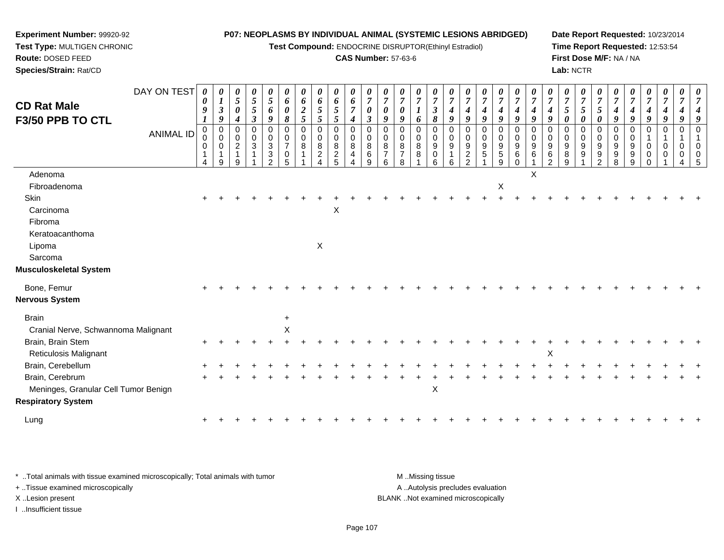**Test Compound:** ENDOCRINE DISRUPTOR(Ethinyl Estradiol)

#### **CAS Number:** 57-63-6

**Date Report Requested:** 10/23/2014**Time Report Requested:** 12:53:54**First Dose M/F:** NA / NA**Lab:** NCTR

| <b>CD Rat Male</b><br><b>F3/50 PPB TO CTL</b> | DAY ON TEST<br><b>ANIMAL ID</b> | $\boldsymbol{\theta}$<br>0<br>9<br>1<br>$\pmb{0}$<br>0<br>0<br>-1 | 0<br>$\boldsymbol{l}$<br>$\boldsymbol{\beta}$<br>$\boldsymbol{g}$<br>$\mathsf 0$<br>$\mathbf 0$<br>0<br>$\mathbf{1}$ | 0<br>$\mathfrak{s}$<br>$\boldsymbol{\theta}$<br>4<br>0<br>0<br>$\overline{a}$ | 0<br>$\sqrt{5}$<br>$\sqrt{5}$<br>$\mathfrak{z}$<br>0<br>$\mathbf 0$<br>$\overline{3}$ | 0<br>$\sqrt{5}$<br>6<br>9<br>$\mathbf 0$<br>$\boldsymbol{0}$<br>$\ensuremath{\mathsf{3}}$<br>$\mathbf{3}$ | 0<br>6<br>$\boldsymbol{\theta}$<br>8<br>$\mathbf 0$<br>0<br>$\overline{7}$<br>0 | $\boldsymbol{\theta}$<br>6<br>$\frac{2}{5}$<br>$\mathbf 0$<br>0<br>8<br>1 | 0<br>6<br>5<br>5<br>0<br>0<br>8<br>$\overline{c}$ | 0<br>6<br>$\sqrt{5}$<br>5<br>0<br>0<br>$\bf 8$<br>$rac{2}{5}$ | 0<br>6<br>$\overline{7}$<br>$\boldsymbol{4}$<br>$\mathbf 0$<br>0<br>8<br>4 | $\boldsymbol{\theta}$<br>$\overline{7}$<br>$\boldsymbol{\theta}$<br>$\boldsymbol{\beta}$<br>$\pmb{0}$<br>0<br>8<br>6 | $\boldsymbol{\theta}$<br>$\overline{7}$<br>0<br>9<br>$\Omega$<br>$\mathbf 0$<br>8<br>$\overline{7}$ | 0<br>$\overline{7}$<br>0<br>9<br>$\Omega$<br>0<br>8<br>$\overline{7}$ | 0<br>$\overline{7}$<br>$\boldsymbol{l}$<br>6<br>0<br>0<br>8<br>8 | $\boldsymbol{\theta}$<br>$\overline{7}$<br>$\boldsymbol{\beta}$<br>$\pmb{8}$<br>$\pmb{0}$<br>0<br>$\boldsymbol{9}$<br>$\mathbf 0$ | $\boldsymbol{\theta}$<br>$\overline{7}$<br>$\boldsymbol{4}$<br>9<br>$\mathbf 0$<br>$\mathbf 0$<br>9<br>$\mathbf 1$ | $\overline{7}$<br>4<br>$\boldsymbol{g}$<br>$\Omega$<br>$\mathbf 0$<br>9<br>$\sqrt{2}$ | $\boldsymbol{\theta}$<br>$\overline{7}$<br>4<br>9<br>$\Omega$<br>0<br>9<br>5 | 0<br>$\overline{7}$<br>$\boldsymbol{4}$<br>9<br>0<br>$\pmb{0}$<br>$\boldsymbol{9}$<br>$\,$ 5 $\,$ | 0<br>$\overline{7}$<br>$\boldsymbol{4}$<br>9<br>$\pmb{0}$<br>$\pmb{0}$<br>$\overline{9}$<br>6 | 0<br>$\overline{7}$<br>$\boldsymbol{4}$<br>$\boldsymbol{9}$<br>$\Omega$<br>$\mathbf 0$<br>9<br>6 | $\overline{7}$<br>9<br>$\Omega$<br>$\mathbf 0$<br>9<br>6 | 0<br>$\overline{7}$<br>5<br>0<br>$\Omega$<br>0<br>9<br>8 | 0<br>$\overline{7}$<br>$\mathfrak{s}$<br>0<br>0<br>0<br>9<br>9 | $\boldsymbol{\theta}$<br>$\overline{7}$<br>5<br>$\boldsymbol{\theta}$<br>$\mathbf 0$<br>0<br>9<br>$9\,$ | $\theta$<br>$\overline{7}$<br>$\boldsymbol{4}$<br>$\boldsymbol{9}$<br>$\mathbf{0}$<br>0<br>9<br>9 | $\overline{7}$<br>9<br>$\Omega$<br>$\Omega$<br>9<br>9 | $\boldsymbol{\theta}$<br>$\overline{7}$<br>4<br>9<br>$\mathbf 0$<br>$\Omega$<br>0 | 0<br>$\overline{7}$<br>4<br>9<br>$\mathbf 0$<br>0<br>0 | 0<br>7<br>$\mathbf 0$<br>$\mathbf 0$<br>$\mathbf 0$ |  |
|-----------------------------------------------|---------------------------------|-------------------------------------------------------------------|----------------------------------------------------------------------------------------------------------------------|-------------------------------------------------------------------------------|---------------------------------------------------------------------------------------|-----------------------------------------------------------------------------------------------------------|---------------------------------------------------------------------------------|---------------------------------------------------------------------------|---------------------------------------------------|---------------------------------------------------------------|----------------------------------------------------------------------------|----------------------------------------------------------------------------------------------------------------------|-----------------------------------------------------------------------------------------------------|-----------------------------------------------------------------------|------------------------------------------------------------------|-----------------------------------------------------------------------------------------------------------------------------------|--------------------------------------------------------------------------------------------------------------------|---------------------------------------------------------------------------------------|------------------------------------------------------------------------------|---------------------------------------------------------------------------------------------------|-----------------------------------------------------------------------------------------------|--------------------------------------------------------------------------------------------------|----------------------------------------------------------|----------------------------------------------------------|----------------------------------------------------------------|---------------------------------------------------------------------------------------------------------|---------------------------------------------------------------------------------------------------|-------------------------------------------------------|-----------------------------------------------------------------------------------|--------------------------------------------------------|-----------------------------------------------------|--|
| Adenoma<br>Fibroadenoma                       |                                 | 4                                                                 | 9                                                                                                                    | 9                                                                             |                                                                                       | $\mathfrak{p}$                                                                                            | 5                                                                               |                                                                           | 4                                                 |                                                               | Δ                                                                          | 9                                                                                                                    |                                                                                                     |                                                                       |                                                                  | 6                                                                                                                                 | 6                                                                                                                  | $\mathcal{P}$                                                                         |                                                                              | 9<br>X                                                                                            | $\Omega$                                                                                      | $\times$                                                                                         | $\mathcal{D}$                                            | 9                                                        |                                                                | 2                                                                                                       | 8                                                                                                 | 9                                                     |                                                                                   |                                                        |                                                     |  |
| Skin                                          |                                 |                                                                   |                                                                                                                      |                                                                               |                                                                                       |                                                                                                           |                                                                                 |                                                                           |                                                   |                                                               |                                                                            |                                                                                                                      |                                                                                                     |                                                                       |                                                                  |                                                                                                                                   |                                                                                                                    |                                                                                       |                                                                              |                                                                                                   |                                                                                               |                                                                                                  |                                                          |                                                          |                                                                |                                                                                                         |                                                                                                   |                                                       |                                                                                   |                                                        |                                                     |  |
| Carcinoma                                     |                                 |                                                                   |                                                                                                                      |                                                                               |                                                                                       |                                                                                                           |                                                                                 |                                                                           |                                                   | X                                                             |                                                                            |                                                                                                                      |                                                                                                     |                                                                       |                                                                  |                                                                                                                                   |                                                                                                                    |                                                                                       |                                                                              |                                                                                                   |                                                                                               |                                                                                                  |                                                          |                                                          |                                                                |                                                                                                         |                                                                                                   |                                                       |                                                                                   |                                                        |                                                     |  |
| Fibroma                                       |                                 |                                                                   |                                                                                                                      |                                                                               |                                                                                       |                                                                                                           |                                                                                 |                                                                           |                                                   |                                                               |                                                                            |                                                                                                                      |                                                                                                     |                                                                       |                                                                  |                                                                                                                                   |                                                                                                                    |                                                                                       |                                                                              |                                                                                                   |                                                                                               |                                                                                                  |                                                          |                                                          |                                                                |                                                                                                         |                                                                                                   |                                                       |                                                                                   |                                                        |                                                     |  |
| Keratoacanthoma                               |                                 |                                                                   |                                                                                                                      |                                                                               |                                                                                       |                                                                                                           |                                                                                 |                                                                           |                                                   |                                                               |                                                                            |                                                                                                                      |                                                                                                     |                                                                       |                                                                  |                                                                                                                                   |                                                                                                                    |                                                                                       |                                                                              |                                                                                                   |                                                                                               |                                                                                                  |                                                          |                                                          |                                                                |                                                                                                         |                                                                                                   |                                                       |                                                                                   |                                                        |                                                     |  |
| Lipoma                                        |                                 |                                                                   |                                                                                                                      |                                                                               |                                                                                       |                                                                                                           |                                                                                 |                                                                           | X                                                 |                                                               |                                                                            |                                                                                                                      |                                                                                                     |                                                                       |                                                                  |                                                                                                                                   |                                                                                                                    |                                                                                       |                                                                              |                                                                                                   |                                                                                               |                                                                                                  |                                                          |                                                          |                                                                |                                                                                                         |                                                                                                   |                                                       |                                                                                   |                                                        |                                                     |  |
| Sarcoma                                       |                                 |                                                                   |                                                                                                                      |                                                                               |                                                                                       |                                                                                                           |                                                                                 |                                                                           |                                                   |                                                               |                                                                            |                                                                                                                      |                                                                                                     |                                                                       |                                                                  |                                                                                                                                   |                                                                                                                    |                                                                                       |                                                                              |                                                                                                   |                                                                                               |                                                                                                  |                                                          |                                                          |                                                                |                                                                                                         |                                                                                                   |                                                       |                                                                                   |                                                        |                                                     |  |
| Musculoskeletal System                        |                                 |                                                                   |                                                                                                                      |                                                                               |                                                                                       |                                                                                                           |                                                                                 |                                                                           |                                                   |                                                               |                                                                            |                                                                                                                      |                                                                                                     |                                                                       |                                                                  |                                                                                                                                   |                                                                                                                    |                                                                                       |                                                                              |                                                                                                   |                                                                                               |                                                                                                  |                                                          |                                                          |                                                                |                                                                                                         |                                                                                                   |                                                       |                                                                                   |                                                        |                                                     |  |
| Bone, Femur                                   |                                 |                                                                   |                                                                                                                      |                                                                               |                                                                                       |                                                                                                           |                                                                                 |                                                                           |                                                   |                                                               |                                                                            |                                                                                                                      |                                                                                                     |                                                                       |                                                                  |                                                                                                                                   |                                                                                                                    |                                                                                       |                                                                              |                                                                                                   |                                                                                               |                                                                                                  |                                                          |                                                          |                                                                |                                                                                                         |                                                                                                   |                                                       |                                                                                   |                                                        |                                                     |  |
| Nervous System                                |                                 |                                                                   |                                                                                                                      |                                                                               |                                                                                       |                                                                                                           |                                                                                 |                                                                           |                                                   |                                                               |                                                                            |                                                                                                                      |                                                                                                     |                                                                       |                                                                  |                                                                                                                                   |                                                                                                                    |                                                                                       |                                                                              |                                                                                                   |                                                                                               |                                                                                                  |                                                          |                                                          |                                                                |                                                                                                         |                                                                                                   |                                                       |                                                                                   |                                                        |                                                     |  |
| <b>Brain</b>                                  |                                 |                                                                   |                                                                                                                      |                                                                               |                                                                                       |                                                                                                           | $\ddot{}$                                                                       |                                                                           |                                                   |                                                               |                                                                            |                                                                                                                      |                                                                                                     |                                                                       |                                                                  |                                                                                                                                   |                                                                                                                    |                                                                                       |                                                                              |                                                                                                   |                                                                                               |                                                                                                  |                                                          |                                                          |                                                                |                                                                                                         |                                                                                                   |                                                       |                                                                                   |                                                        |                                                     |  |
| Cranial Nerve, Schwannoma Malignant           |                                 |                                                                   |                                                                                                                      |                                                                               |                                                                                       |                                                                                                           | $\mathsf X$                                                                     |                                                                           |                                                   |                                                               |                                                                            |                                                                                                                      |                                                                                                     |                                                                       |                                                                  |                                                                                                                                   |                                                                                                                    |                                                                                       |                                                                              |                                                                                                   |                                                                                               |                                                                                                  |                                                          |                                                          |                                                                |                                                                                                         |                                                                                                   |                                                       |                                                                                   |                                                        |                                                     |  |
| Brain, Brain Stem                             |                                 |                                                                   |                                                                                                                      |                                                                               |                                                                                       |                                                                                                           |                                                                                 |                                                                           |                                                   |                                                               |                                                                            |                                                                                                                      |                                                                                                     |                                                                       |                                                                  |                                                                                                                                   |                                                                                                                    |                                                                                       |                                                                              |                                                                                                   |                                                                                               |                                                                                                  |                                                          |                                                          |                                                                |                                                                                                         |                                                                                                   |                                                       |                                                                                   |                                                        |                                                     |  |
| <b>Reticulosis Malignant</b>                  |                                 |                                                                   |                                                                                                                      |                                                                               |                                                                                       |                                                                                                           |                                                                                 |                                                                           |                                                   |                                                               |                                                                            |                                                                                                                      |                                                                                                     |                                                                       |                                                                  |                                                                                                                                   |                                                                                                                    |                                                                                       |                                                                              |                                                                                                   |                                                                                               |                                                                                                  | $\boldsymbol{\mathsf{X}}$                                |                                                          |                                                                |                                                                                                         |                                                                                                   |                                                       |                                                                                   |                                                        |                                                     |  |
| Brain, Cerebellum                             |                                 |                                                                   |                                                                                                                      |                                                                               |                                                                                       |                                                                                                           |                                                                                 |                                                                           |                                                   |                                                               |                                                                            |                                                                                                                      |                                                                                                     |                                                                       |                                                                  |                                                                                                                                   |                                                                                                                    |                                                                                       |                                                                              |                                                                                                   |                                                                                               |                                                                                                  |                                                          |                                                          |                                                                |                                                                                                         |                                                                                                   |                                                       |                                                                                   |                                                        |                                                     |  |
| Brain, Cerebrum                               |                                 |                                                                   |                                                                                                                      |                                                                               |                                                                                       |                                                                                                           |                                                                                 |                                                                           |                                                   |                                                               |                                                                            |                                                                                                                      |                                                                                                     |                                                                       |                                                                  |                                                                                                                                   |                                                                                                                    |                                                                                       |                                                                              |                                                                                                   |                                                                                               |                                                                                                  |                                                          |                                                          |                                                                |                                                                                                         |                                                                                                   |                                                       |                                                                                   |                                                        |                                                     |  |
| Meninges, Granular Cell Tumor Benign          |                                 |                                                                   |                                                                                                                      |                                                                               |                                                                                       |                                                                                                           |                                                                                 |                                                                           |                                                   |                                                               |                                                                            |                                                                                                                      |                                                                                                     |                                                                       |                                                                  | X                                                                                                                                 |                                                                                                                    |                                                                                       |                                                                              |                                                                                                   |                                                                                               |                                                                                                  |                                                          |                                                          |                                                                |                                                                                                         |                                                                                                   |                                                       |                                                                                   |                                                        |                                                     |  |
| <b>Respiratory System</b>                     |                                 |                                                                   |                                                                                                                      |                                                                               |                                                                                       |                                                                                                           |                                                                                 |                                                                           |                                                   |                                                               |                                                                            |                                                                                                                      |                                                                                                     |                                                                       |                                                                  |                                                                                                                                   |                                                                                                                    |                                                                                       |                                                                              |                                                                                                   |                                                                                               |                                                                                                  |                                                          |                                                          |                                                                |                                                                                                         |                                                                                                   |                                                       |                                                                                   |                                                        |                                                     |  |
| Lung                                          |                                 |                                                                   |                                                                                                                      |                                                                               |                                                                                       |                                                                                                           |                                                                                 |                                                                           |                                                   |                                                               |                                                                            |                                                                                                                      |                                                                                                     |                                                                       |                                                                  |                                                                                                                                   |                                                                                                                    |                                                                                       |                                                                              |                                                                                                   |                                                                                               |                                                                                                  |                                                          |                                                          |                                                                |                                                                                                         |                                                                                                   |                                                       |                                                                                   |                                                        |                                                     |  |
|                                               |                                 |                                                                   |                                                                                                                      |                                                                               |                                                                                       |                                                                                                           |                                                                                 |                                                                           |                                                   |                                                               |                                                                            |                                                                                                                      |                                                                                                     |                                                                       |                                                                  |                                                                                                                                   |                                                                                                                    |                                                                                       |                                                                              |                                                                                                   |                                                                                               |                                                                                                  |                                                          |                                                          |                                                                |                                                                                                         |                                                                                                   |                                                       |                                                                                   |                                                        |                                                     |  |

\* ..Total animals with tissue examined microscopically; Total animals with tumor **M** . Missing tissue M ..Missing tissue A ..Autolysis precludes evaluation + ..Tissue examined microscopically X ..Lesion present BLANK ..Not examined microscopicallyI ..Insufficient tissue

**Experiment Number:** 99920-92**Test Type:** MULTIGEN CHRONIC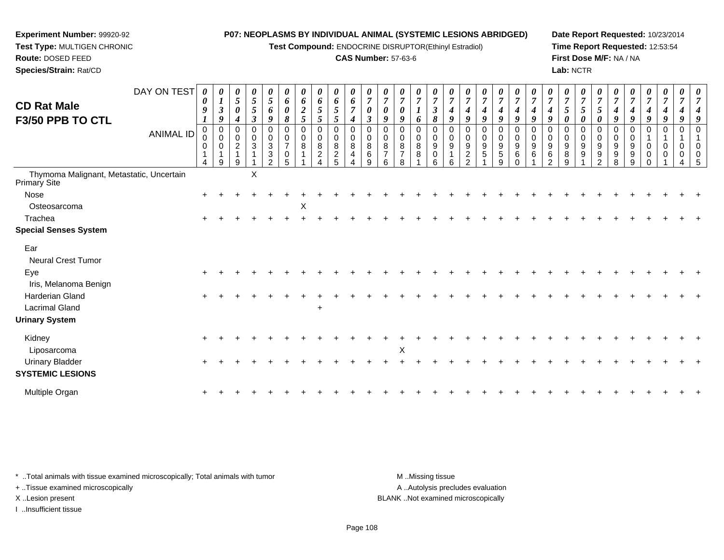**Test Compound:** ENDOCRINE DISRUPTOR(Ethinyl Estradiol)

# **CAS Number:** 57-63-6

**Date Report Requested:** 10/23/2014**Time Report Requested:** 12:53:54**First Dose M/F:** NA / NA**Lab:** NCTR

| DAY ON TEST<br><b>CD Rat Male</b><br>F3/50 PPB TO CTL<br><b>ANIMAL ID</b> | 0<br>0<br>9<br>0<br>0<br>0 | 0<br>$\boldsymbol{l}$<br>$\boldsymbol{\beta}$<br>9<br>0<br>$\mathbf 0$<br>0<br>9 | $\boldsymbol{\theta}$<br>$\mathfrak{s}$<br>$\boldsymbol{\theta}$<br>0<br>$\mathbf 0$<br>$\overline{2}$<br>9 | 0<br>5<br>5<br>$\boldsymbol{\beta}$<br>0<br>$\mathbf 0$<br>$\mathbf{3}$ | 0<br>5<br>6<br>9<br>0<br>0<br>3<br>3<br>2 | $\boldsymbol{\theta}$<br>6<br>0<br>8<br>0<br>$\overline{7}$<br>0<br>5 | 0<br>6<br>$\boldsymbol{2}$<br>$\overline{5}$<br>0<br>$\mathbf 0$<br>8 | 0<br>6<br>$5\overline{)}$<br>5<br>0<br>$\mathsf 0$<br>$\,8\,$<br>$\overline{c}$ | 0<br>6<br>$\mathfrak{H}$<br>$\mathfrak{s}$<br>0<br>$\mathsf 0$<br>8<br>$\overline{c}$<br>5 | $\boldsymbol{\theta}$<br>6<br>$\overline{7}$<br>$\boldsymbol{4}$<br>0<br>$\pmb{0}$<br>8<br>4 | $\boldsymbol{7}$<br>$\boldsymbol{\theta}$<br>$\boldsymbol{\beta}$<br>0<br>$\mathbf 0$<br>8<br>$\,6$<br>9 | $\boldsymbol{\theta}$<br>$\overline{7}$<br>0<br>9<br>0<br>0<br>8<br>6 | 0<br>$\overline{7}$<br>0<br>9<br>0<br>$\mathbf 0$<br>$\,8\,$<br>$\overline{7}$<br>8 | 0<br>$\overline{7}$<br>6<br>0<br>$\mathbf 0$<br>8<br>8 | 0<br>$\overline{7}$<br>3<br>8<br>$\mathbf 0$<br>9<br>0<br>6 | $\overline{7}$<br>9<br>$\mathbf 0$<br>9<br>6 | $\boldsymbol{\theta}$<br>$\overline{7}$<br>4<br>9<br>0<br>$\mathbf 0$<br>9<br>$\sqrt{2}$<br>ີ | $\boldsymbol{\theta}$<br>$\overline{7}$<br>$\boldsymbol{4}$<br>9<br>$\mathbf 0$<br>$\mathbf 0$<br>$\boldsymbol{9}$<br>$\sqrt{5}$ | 0<br>$\overline{7}$<br>$\boldsymbol{4}$<br>9<br>$\mathbf 0$<br>$\mathbf 0$<br>$\boldsymbol{9}$<br>$\overline{5}$<br>9 | $\boldsymbol{\theta}$<br>$\overline{7}$<br>9<br>0<br>$\mathbf 0$<br>9<br>6<br>$\Omega$ | $\overline{7}$<br>9<br>0<br>0<br>9<br>6 | $\overline{7}$<br>9<br>0<br>0<br>9<br>6<br>ົ | 0<br>$\overline{7}$<br>$5\phantom{.0}$<br>0<br>0<br>$\mathbf 0$<br>$\boldsymbol{9}$<br>8<br>9 | 0<br>$\boldsymbol{7}$<br>5<br>0<br>0<br>$\pmb{0}$<br>9<br>9 | $\boldsymbol{\theta}$<br>$\overline{7}$<br>$\overline{5}$<br>0<br>0<br>$\mathbf 0$<br>9<br>9<br>2 | $\overline{7}$<br>4<br>9<br>0<br>9<br>9 | $\boldsymbol{\theta}$<br>$\overline{7}$<br>4<br>9<br>0<br>0<br>9<br>9<br>9 | 0<br>$\overline{7}$<br>4<br>9<br>0<br>0<br>0 | 0<br>$\boldsymbol{7}$<br>$\boldsymbol{4}$<br>9<br>0<br>$\mathbf{1}$<br>0<br>0 | 0<br>$\overline{7}$<br>9<br>0<br>$\mathbf{1}$<br>0<br>0 |  |
|---------------------------------------------------------------------------|----------------------------|----------------------------------------------------------------------------------|-------------------------------------------------------------------------------------------------------------|-------------------------------------------------------------------------|-------------------------------------------|-----------------------------------------------------------------------|-----------------------------------------------------------------------|---------------------------------------------------------------------------------|--------------------------------------------------------------------------------------------|----------------------------------------------------------------------------------------------|----------------------------------------------------------------------------------------------------------|-----------------------------------------------------------------------|-------------------------------------------------------------------------------------|--------------------------------------------------------|-------------------------------------------------------------|----------------------------------------------|-----------------------------------------------------------------------------------------------|----------------------------------------------------------------------------------------------------------------------------------|-----------------------------------------------------------------------------------------------------------------------|----------------------------------------------------------------------------------------|-----------------------------------------|----------------------------------------------|-----------------------------------------------------------------------------------------------|-------------------------------------------------------------|---------------------------------------------------------------------------------------------------|-----------------------------------------|----------------------------------------------------------------------------|----------------------------------------------|-------------------------------------------------------------------------------|---------------------------------------------------------|--|
| Thymoma Malignant, Metastatic, Uncertain<br>Primary Site                  |                            |                                                                                  |                                                                                                             | X                                                                       |                                           |                                                                       |                                                                       |                                                                                 |                                                                                            |                                                                                              |                                                                                                          |                                                                       |                                                                                     |                                                        |                                                             |                                              |                                                                                               |                                                                                                                                  |                                                                                                                       |                                                                                        |                                         |                                              |                                                                                               |                                                             |                                                                                                   |                                         |                                                                            |                                              |                                                                               |                                                         |  |
| Nose                                                                      |                            |                                                                                  |                                                                                                             |                                                                         |                                           |                                                                       |                                                                       |                                                                                 |                                                                                            |                                                                                              |                                                                                                          |                                                                       |                                                                                     |                                                        |                                                             |                                              |                                                                                               |                                                                                                                                  |                                                                                                                       |                                                                                        |                                         |                                              |                                                                                               |                                                             |                                                                                                   |                                         |                                                                            |                                              |                                                                               |                                                         |  |
| Osteosarcoma                                                              |                            |                                                                                  |                                                                                                             |                                                                         |                                           |                                                                       | X                                                                     |                                                                                 |                                                                                            |                                                                                              |                                                                                                          |                                                                       |                                                                                     |                                                        |                                                             |                                              |                                                                                               |                                                                                                                                  |                                                                                                                       |                                                                                        |                                         |                                              |                                                                                               |                                                             |                                                                                                   |                                         |                                                                            |                                              |                                                                               |                                                         |  |
| Trachea                                                                   |                            |                                                                                  |                                                                                                             |                                                                         |                                           |                                                                       |                                                                       |                                                                                 |                                                                                            |                                                                                              |                                                                                                          |                                                                       |                                                                                     |                                                        |                                                             |                                              |                                                                                               |                                                                                                                                  |                                                                                                                       |                                                                                        |                                         |                                              |                                                                                               |                                                             |                                                                                                   |                                         |                                                                            |                                              |                                                                               |                                                         |  |
| <b>Special Senses System</b>                                              |                            |                                                                                  |                                                                                                             |                                                                         |                                           |                                                                       |                                                                       |                                                                                 |                                                                                            |                                                                                              |                                                                                                          |                                                                       |                                                                                     |                                                        |                                                             |                                              |                                                                                               |                                                                                                                                  |                                                                                                                       |                                                                                        |                                         |                                              |                                                                                               |                                                             |                                                                                                   |                                         |                                                                            |                                              |                                                                               |                                                         |  |
| Ear<br><b>Neural Crest Tumor</b>                                          |                            |                                                                                  |                                                                                                             |                                                                         |                                           |                                                                       |                                                                       |                                                                                 |                                                                                            |                                                                                              |                                                                                                          |                                                                       |                                                                                     |                                                        |                                                             |                                              |                                                                                               |                                                                                                                                  |                                                                                                                       |                                                                                        |                                         |                                              |                                                                                               |                                                             |                                                                                                   |                                         |                                                                            |                                              |                                                                               |                                                         |  |
| Eye<br>Iris, Melanoma Benign                                              |                            |                                                                                  |                                                                                                             |                                                                         |                                           |                                                                       |                                                                       |                                                                                 |                                                                                            |                                                                                              |                                                                                                          |                                                                       |                                                                                     |                                                        |                                                             |                                              |                                                                                               |                                                                                                                                  |                                                                                                                       |                                                                                        |                                         |                                              |                                                                                               |                                                             |                                                                                                   |                                         |                                                                            |                                              |                                                                               |                                                         |  |
| Harderian Gland<br><b>Lacrimal Gland</b>                                  |                            |                                                                                  |                                                                                                             |                                                                         |                                           |                                                                       |                                                                       | $\ddot{}$                                                                       |                                                                                            |                                                                                              |                                                                                                          |                                                                       |                                                                                     |                                                        |                                                             |                                              |                                                                                               |                                                                                                                                  |                                                                                                                       |                                                                                        |                                         |                                              |                                                                                               |                                                             |                                                                                                   |                                         |                                                                            |                                              |                                                                               |                                                         |  |
| <b>Urinary System</b>                                                     |                            |                                                                                  |                                                                                                             |                                                                         |                                           |                                                                       |                                                                       |                                                                                 |                                                                                            |                                                                                              |                                                                                                          |                                                                       |                                                                                     |                                                        |                                                             |                                              |                                                                                               |                                                                                                                                  |                                                                                                                       |                                                                                        |                                         |                                              |                                                                                               |                                                             |                                                                                                   |                                         |                                                                            |                                              |                                                                               |                                                         |  |
| Kidney<br>Liposarcoma                                                     |                            |                                                                                  |                                                                                                             |                                                                         |                                           |                                                                       |                                                                       |                                                                                 |                                                                                            |                                                                                              |                                                                                                          |                                                                       | $\sf X$                                                                             |                                                        |                                                             |                                              |                                                                                               |                                                                                                                                  |                                                                                                                       |                                                                                        |                                         |                                              |                                                                                               |                                                             |                                                                                                   |                                         |                                                                            |                                              |                                                                               |                                                         |  |
| <b>Urinary Bladder</b><br><b>SYSTEMIC LESIONS</b>                         |                            |                                                                                  |                                                                                                             |                                                                         |                                           |                                                                       |                                                                       |                                                                                 |                                                                                            |                                                                                              |                                                                                                          |                                                                       |                                                                                     |                                                        |                                                             |                                              |                                                                                               |                                                                                                                                  |                                                                                                                       |                                                                                        |                                         |                                              |                                                                                               |                                                             |                                                                                                   |                                         |                                                                            |                                              |                                                                               |                                                         |  |
| Multiple Organ                                                            |                            |                                                                                  |                                                                                                             |                                                                         |                                           |                                                                       |                                                                       |                                                                                 |                                                                                            |                                                                                              |                                                                                                          |                                                                       |                                                                                     |                                                        |                                                             |                                              |                                                                                               |                                                                                                                                  |                                                                                                                       |                                                                                        |                                         |                                              |                                                                                               |                                                             |                                                                                                   |                                         |                                                                            |                                              |                                                                               |                                                         |  |

\* ..Total animals with tissue examined microscopically; Total animals with tumor **M** . Missing tissue M ..Missing tissue

+ ..Tissue examined microscopically

**Experiment Number:** 99920-92**Test Type:** MULTIGEN CHRONIC

**Route:** DOSED FEED**Species/Strain:** Rat/CD

I ..Insufficient tissue

A ..Autolysis precludes evaluation X ..Lesion present BLANK ..Not examined microscopically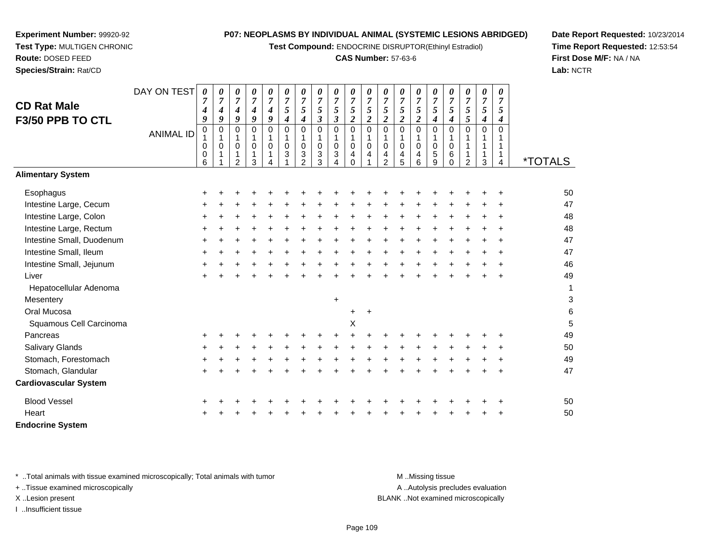**Test Compound:** ENDOCRINE DISRUPTOR(Ethinyl Estradiol)

### **CAS Number:** 57-63-6

**Date Report Requested:** 10/23/2014**Time Report Requested:** 12:53:54**First Dose M/F:** NA / NA**Lab:** NCTR

 $\overline{\phantom{a}}$ 

 $\overline{\phantom{a}}$ 

|                              | DAY ON TEST      | 0              | 0      | 0                                    | 0                                  | 0                     | 0                | 0                   | 0                                        | 0                    | 0                             | 0                | 0                                  | 0                   | 0                   | 0                   | 0                   | 0                   | 0                   | 0        |                           |
|------------------------------|------------------|----------------|--------|--------------------------------------|------------------------------------|-----------------------|------------------|---------------------|------------------------------------------|----------------------|-------------------------------|------------------|------------------------------------|---------------------|---------------------|---------------------|---------------------|---------------------|---------------------|----------|---------------------------|
| <b>CD Rat Male</b>           |                  | $\overline{7}$ | 7      | $\boldsymbol{7}$<br>$\boldsymbol{4}$ | $\overline{7}$<br>$\boldsymbol{4}$ | 7<br>$\boldsymbol{4}$ | 7<br>5           | $\overline{7}$<br>5 | $\overline{7}$<br>5                      | $\overline{7}$<br>5  | $\overline{7}$<br>5           | 7<br>5           | $\boldsymbol{7}$<br>$\mathfrak{s}$ | $\overline{7}$<br>5 | $\overline{7}$<br>5 | $\overline{7}$<br>5 | $\overline{7}$<br>5 | $\overline{7}$<br>5 | $\overline{7}$<br>5 | 7<br>5   |                           |
| F3/50 PPB TO CTL             |                  | 4<br>9         | 4<br>9 | 9                                    | 9                                  | 9                     | 4                | 4                   | $\boldsymbol{\beta}$                     | $\boldsymbol{\beta}$ | $\boldsymbol{2}$              | $\boldsymbol{2}$ | $\boldsymbol{2}$                   | $\boldsymbol{2}$    | $\overline{2}$      | 4                   | $\boldsymbol{4}$    | $\mathfrak{s}$      | 4                   | 4        |                           |
|                              |                  | $\pmb{0}$      | 0      | $\pmb{0}$                            | 0                                  | $\Omega$              | $\mathbf 0$      | $\pmb{0}$           | $\pmb{0}$                                | $\pmb{0}$            | $\mathbf 0$                   | 0                | $\mathbf 0$                        | $\mathbf 0$         | 0                   | 0                   | $\pmb{0}$           | $\Omega$            | $\mathbf 0$         | $\Omega$ |                           |
|                              | <b>ANIMAL ID</b> |                | 1      | 1                                    | $\mathbf{1}$                       | 1                     |                  | 1                   | $\mathbf{1}$                             | $\mathbf{1}$         | 1                             | 1                | 1                                  | 1                   | 1                   | 1                   | $\mathbf{1}$        |                     | 1                   |          |                           |
|                              |                  | 0<br>0         | 0      | 0<br>$\mathbf{1}$                    | 0<br>1                             | 0                     | $\mathbf 0$<br>3 | $\mathbf 0$<br>3    | $\mathbf 0$<br>$\ensuremath{\mathsf{3}}$ | $\pmb{0}$<br>3       | $\mathbf 0$<br>$\overline{4}$ | $\mathbf 0$<br>4 | $\mathbf 0$<br>4                   | $\mathbf 0$<br>4    | $\mathbf 0$<br>4    | $\mathbf 0$<br>5    | $\mathbf 0$<br>6    | 1<br>1              | 1<br>1              |          |                           |
|                              |                  | 6              |        | 2                                    | 3                                  |                       |                  | $\overline{2}$      | 3                                        | 4                    | $\Omega$                      |                  | $\overline{2}$                     | 5                   | 6                   | $\overline{9}$      | $\Omega$            | $\overline{2}$      | 3                   | 4        | <i><b>*TOTALS</b></i>     |
| <b>Alimentary System</b>     |                  |                |        |                                      |                                    |                       |                  |                     |                                          |                      |                               |                  |                                    |                     |                     |                     |                     |                     |                     |          |                           |
| Esophagus                    |                  |                |        |                                      |                                    |                       |                  |                     |                                          |                      |                               |                  |                                    |                     |                     |                     |                     |                     |                     |          | 50                        |
| Intestine Large, Cecum       |                  |                |        |                                      |                                    |                       |                  |                     |                                          |                      |                               |                  |                                    |                     |                     |                     |                     |                     |                     |          | 47                        |
| Intestine Large, Colon       |                  | ÷              |        |                                      |                                    |                       |                  |                     |                                          |                      |                               |                  |                                    |                     |                     |                     |                     |                     |                     |          | 48                        |
| Intestine Large, Rectum      |                  | +              |        |                                      |                                    |                       |                  |                     |                                          |                      |                               |                  |                                    |                     |                     |                     |                     |                     |                     |          | 48                        |
| Intestine Small, Duodenum    |                  |                |        |                                      |                                    |                       |                  |                     |                                          |                      |                               |                  |                                    |                     |                     |                     |                     |                     |                     |          | 47                        |
| Intestine Small, Ileum       |                  | $\ddot{}$      |        |                                      |                                    |                       |                  |                     |                                          |                      |                               |                  |                                    |                     |                     |                     |                     |                     |                     |          | 47                        |
| Intestine Small, Jejunum     |                  |                |        |                                      |                                    |                       |                  |                     |                                          |                      |                               |                  |                                    |                     |                     |                     |                     |                     |                     |          | 46                        |
| Liver                        |                  | $\ddot{}$      |        |                                      |                                    |                       |                  |                     |                                          |                      |                               |                  |                                    |                     |                     |                     |                     |                     |                     |          | 49                        |
| Hepatocellular Adenoma       |                  |                |        |                                      |                                    |                       |                  |                     |                                          |                      |                               |                  |                                    |                     |                     |                     |                     |                     |                     |          | $\mathbf{1}$              |
| Mesentery                    |                  |                |        |                                      |                                    |                       |                  |                     |                                          | $\ddot{}$            |                               |                  |                                    |                     |                     |                     |                     |                     |                     |          | $\ensuremath{\mathsf{3}}$ |
| Oral Mucosa                  |                  |                |        |                                      |                                    |                       |                  |                     |                                          |                      | $\ddot{}$                     | $\ddot{}$        |                                    |                     |                     |                     |                     |                     |                     |          | $6\phantom{1}6$           |
| Squamous Cell Carcinoma      |                  |                |        |                                      |                                    |                       |                  |                     |                                          |                      | X                             |                  |                                    |                     |                     |                     |                     |                     |                     |          | 5                         |
| Pancreas                     |                  |                |        |                                      |                                    |                       |                  |                     |                                          |                      |                               |                  |                                    |                     |                     |                     |                     |                     |                     |          | 49                        |
| Salivary Glands              |                  |                |        |                                      |                                    |                       |                  |                     |                                          |                      |                               |                  |                                    |                     |                     |                     |                     |                     |                     |          | 50                        |
| Stomach, Forestomach         |                  |                |        |                                      |                                    |                       |                  |                     |                                          |                      |                               |                  |                                    |                     |                     |                     |                     |                     |                     |          | 49                        |
| Stomach, Glandular           |                  |                |        |                                      |                                    |                       |                  |                     |                                          |                      |                               |                  |                                    |                     |                     |                     |                     |                     |                     |          | 47                        |
| <b>Cardiovascular System</b> |                  |                |        |                                      |                                    |                       |                  |                     |                                          |                      |                               |                  |                                    |                     |                     |                     |                     |                     |                     |          |                           |
| <b>Blood Vessel</b>          |                  |                |        |                                      |                                    |                       |                  |                     |                                          |                      |                               |                  |                                    |                     |                     |                     |                     |                     |                     |          | 50                        |
| Heart                        |                  | $\ddot{}$      |        |                                      |                                    |                       |                  |                     |                                          |                      |                               |                  |                                    |                     |                     |                     |                     |                     |                     |          | 50                        |
| <b>Endocrine System</b>      |                  |                |        |                                      |                                    |                       |                  |                     |                                          |                      |                               |                  |                                    |                     |                     |                     |                     |                     |                     |          |                           |

 $\Box$ 

<u> Timbul San</u>

┯

\* ..Total animals with tissue examined microscopically; Total animals with tumor **M** ...Missing tissue M ...Missing tissue

+ ..Tissue examined microscopically

**Experiment Number:** 99920-92**Test Type:** MULTIGEN CHRONIC

**Route:** DOSED FEED**Species/Strain:** Rat/CD

I ..Insufficient tissue

A ..Autolysis precludes evaluation

X ..Lesion present BLANK ..Not examined microscopically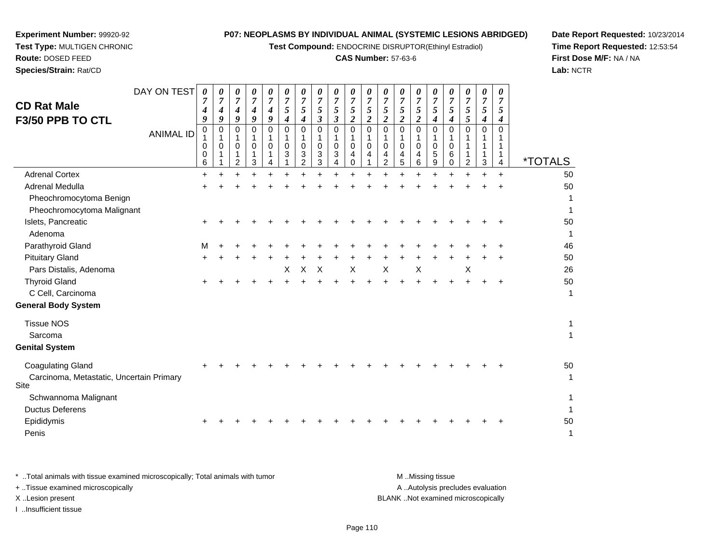**Test Compound:** ENDOCRINE DISRUPTOR(Ethinyl Estradiol)

#### **CAS Number:** 57-63-6

**Date Report Requested:** 10/23/2014**Time Report Requested:** 12:53:54**First Dose M/F:** NA / NA**Lab:** NCTR

| DAY ON TEST<br><b>CD Rat Male</b><br>F3/50 PPB TO CTL                        | 0<br>7<br>4<br>9 | 0<br>$\overline{7}$<br>$\boldsymbol{4}$<br>9 | 0<br>$\overline{7}$<br>4<br>9                       | 0<br>$\overline{7}$<br>$\boldsymbol{4}$<br>9 | 0<br>7<br>4<br>9        | 0<br>$\overline{7}$<br>5<br>$\boldsymbol{4}$ | 0<br>$\overline{7}$<br>$\sqrt{5}$<br>$\boldsymbol{4}$ | 0<br>$\overline{7}$<br>5<br>$\boldsymbol{\beta}$ | 0<br>$\overline{7}$<br>5<br>$\overline{\mathbf{3}}$ | 0<br>$\overline{7}$<br>5<br>$\overline{\mathbf{c}}$ | 0<br>$\overline{7}$<br>$\mathfrak{s}$<br>$\overline{2}$ | 0<br>$\overline{7}$<br>5<br>2     | 0<br>$\overline{7}$<br>5<br>$\overline{2}$ | 0<br>$\overline{7}$<br>5<br>$\overline{2}$ | 0<br>$\overline{7}$<br>$5\phantom{.0}$<br>$\boldsymbol{4}$ | 0<br>7<br>5<br>$\boldsymbol{4}$   | 0<br>7<br>5<br>5        | 0<br>$\overline{7}$<br>5<br>4                   | 0<br>$\overline{7}$<br>5<br>4 |                       |
|------------------------------------------------------------------------------|------------------|----------------------------------------------|-----------------------------------------------------|----------------------------------------------|-------------------------|----------------------------------------------|-------------------------------------------------------|--------------------------------------------------|-----------------------------------------------------|-----------------------------------------------------|---------------------------------------------------------|-----------------------------------|--------------------------------------------|--------------------------------------------|------------------------------------------------------------|-----------------------------------|-------------------------|-------------------------------------------------|-------------------------------|-----------------------|
| <b>ANIMAL ID</b>                                                             | 0<br>0<br>0<br>6 | 0<br>1<br>$\mathbf 0$<br>1                   | $\Omega$<br>1<br>$\mathbf 0$<br>1<br>$\overline{2}$ | $\Omega$<br>$\mathbf 0$<br>3                 | $\Omega$<br>$\mathbf 0$ | $\Omega$<br>0<br>3                           | $\mathbf 0$<br>$\mathbf 0$<br>3<br>$\overline{2}$     | $\mathbf 0$<br>1<br>0<br>3<br>3                  | 0<br>$\mathsf{O}\xspace$<br>3<br>4                  | 0<br>$\mathbf{1}$<br>0<br>4<br>0                    | $\Omega$<br>1<br>$\mathbf 0$<br>4                       | $\Omega$<br>$\mathbf 0$<br>4<br>2 | $\Omega$<br>0<br>4<br>5                    | $\Omega$<br>$\mathbf 0$<br>4<br>6          | $\Omega$<br>1<br>$\mathbf 0$<br>5<br>9                     | $\Omega$<br>$\mathbf 0$<br>6<br>0 | $\Omega$<br>1<br>1<br>2 | $\mathbf 0$<br>$\mathbf{1}$<br>$\mathbf 1$<br>3 | $\Omega$<br>1<br>1<br>4       | <i><b>*TOTALS</b></i> |
| <b>Adrenal Cortex</b>                                                        | $\ddot{}$        |                                              |                                                     |                                              |                         |                                              |                                                       |                                                  |                                                     |                                                     |                                                         |                                   |                                            |                                            |                                                            |                                   |                         |                                                 | $+$                           | 50                    |
| Adrenal Medulla                                                              |                  |                                              |                                                     |                                              |                         |                                              |                                                       |                                                  |                                                     |                                                     |                                                         |                                   |                                            |                                            |                                                            |                                   |                         |                                                 |                               | 50                    |
| Pheochromocytoma Benign<br>Pheochromocytoma Malignant                        |                  |                                              |                                                     |                                              |                         |                                              |                                                       |                                                  |                                                     |                                                     |                                                         |                                   |                                            |                                            |                                                            |                                   |                         |                                                 |                               | 1<br>1                |
| Islets, Pancreatic<br>Adenoma                                                |                  |                                              |                                                     |                                              |                         |                                              |                                                       |                                                  |                                                     |                                                     |                                                         |                                   |                                            |                                            |                                                            |                                   |                         |                                                 |                               | 50<br>$\mathbf 1$     |
| Parathyroid Gland                                                            | M                |                                              |                                                     |                                              |                         |                                              |                                                       |                                                  |                                                     |                                                     |                                                         |                                   |                                            |                                            |                                                            |                                   |                         |                                                 |                               | 46                    |
| <b>Pituitary Gland</b>                                                       | $\pm$            |                                              |                                                     |                                              |                         |                                              |                                                       |                                                  |                                                     |                                                     |                                                         |                                   |                                            |                                            |                                                            |                                   |                         |                                                 |                               | 50                    |
| Pars Distalis, Adenoma                                                       |                  |                                              |                                                     |                                              |                         | X                                            | X                                                     | $\times$                                         |                                                     | X                                                   |                                                         | $\sf X$                           |                                            | X                                          |                                                            |                                   | X                       |                                                 |                               | 26                    |
| <b>Thyroid Gland</b>                                                         |                  |                                              |                                                     |                                              |                         |                                              |                                                       |                                                  |                                                     |                                                     |                                                         |                                   |                                            |                                            |                                                            |                                   |                         |                                                 |                               | 50                    |
| C Cell, Carcinoma                                                            |                  |                                              |                                                     |                                              |                         |                                              |                                                       |                                                  |                                                     |                                                     |                                                         |                                   |                                            |                                            |                                                            |                                   |                         |                                                 |                               | $\mathbf{1}$          |
| <b>General Body System</b>                                                   |                  |                                              |                                                     |                                              |                         |                                              |                                                       |                                                  |                                                     |                                                     |                                                         |                                   |                                            |                                            |                                                            |                                   |                         |                                                 |                               |                       |
| <b>Tissue NOS</b><br>Sarcoma                                                 |                  |                                              |                                                     |                                              |                         |                                              |                                                       |                                                  |                                                     |                                                     |                                                         |                                   |                                            |                                            |                                                            |                                   |                         |                                                 |                               | 1<br>$\mathbf{1}$     |
| <b>Genital System</b>                                                        |                  |                                              |                                                     |                                              |                         |                                              |                                                       |                                                  |                                                     |                                                     |                                                         |                                   |                                            |                                            |                                                            |                                   |                         |                                                 |                               |                       |
| <b>Coagulating Gland</b><br>Carcinoma, Metastatic, Uncertain Primary<br>Site |                  |                                              |                                                     |                                              |                         |                                              |                                                       |                                                  |                                                     |                                                     |                                                         |                                   |                                            |                                            |                                                            |                                   |                         |                                                 |                               | 50<br>$\mathbf{1}$    |
| Schwannoma Malignant                                                         |                  |                                              |                                                     |                                              |                         |                                              |                                                       |                                                  |                                                     |                                                     |                                                         |                                   |                                            |                                            |                                                            |                                   |                         |                                                 |                               | $\mathbf{1}$          |
| <b>Ductus Deferens</b>                                                       |                  |                                              |                                                     |                                              |                         |                                              |                                                       |                                                  |                                                     |                                                     |                                                         |                                   |                                            |                                            |                                                            |                                   |                         |                                                 |                               | 1                     |
| Epididymis                                                                   |                  |                                              |                                                     |                                              |                         |                                              |                                                       |                                                  |                                                     |                                                     |                                                         |                                   |                                            |                                            |                                                            |                                   |                         |                                                 |                               | 50                    |
| Penis                                                                        |                  |                                              |                                                     |                                              |                         |                                              |                                                       |                                                  |                                                     |                                                     |                                                         |                                   |                                            |                                            |                                                            |                                   |                         |                                                 |                               | 1                     |

**Experiment Number:** 99920-92**Test Type:** MULTIGEN CHRONIC

**Route:** DOSED FEED**Species/Strain:** Rat/CD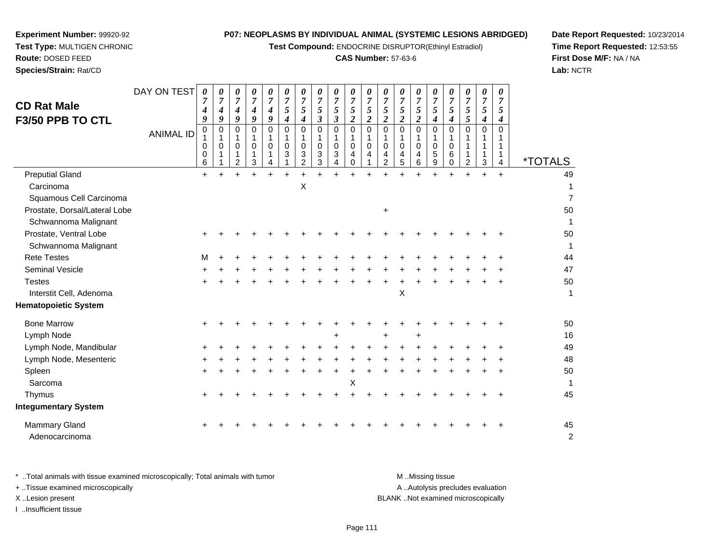**Test Compound:** ENDOCRINE DISRUPTOR(Ethinyl Estradiol)

#### **CAS Number:** 57-63-6

**Date Report Requested:** 10/23/2014**Time Report Requested:** 12:53:55**First Dose M/F:** NA / NA**Lab:** NCTR

| <b>CD Rat Male</b><br><b>F3/50 PPB TO CTL</b> | DAY ON TEST<br><b>ANIMAL ID</b> | 0<br>4<br>9<br>0<br>$\mathbf{1}$<br>0<br>0<br>6 | 0<br>7<br>4<br>9<br>0<br>$\mathbf 1$<br>0 | 0<br>$\overline{7}$<br>4<br>9<br>0<br>$\mathbf{1}$<br>0<br>1<br>$\overline{c}$ | 0<br>$\overline{7}$<br>4<br>9<br>0<br>1<br>0<br>1<br>3 | 0<br>$\overline{7}$<br>4<br>9<br>0<br>1<br>0<br>4 | 0<br>$\boldsymbol{7}$<br>$\mathfrak{z}$<br>4<br>$\Omega$<br>1<br>$\Omega$<br>3 | 0<br>$\overline{7}$<br>5<br>$\boldsymbol{4}$<br>$\Omega$<br>1<br>$\mathbf 0$<br>3<br>2 | 0<br>$\overline{7}$<br>5<br>$\mathfrak{z}$<br>$\mathbf 0$<br>1<br>$\mathbf 0$<br>3<br>3 | 0<br>$\overline{7}$<br>5<br>$\boldsymbol{\beta}$<br>0<br>1<br>0<br>3<br>4 | 0<br>$\overline{7}$<br>5<br>$\overline{a}$<br>0<br>$\mathbf 0$<br>4<br>$\Omega$ | 0<br>$\overline{7}$<br>$\mathfrak{s}$<br>$\overline{c}$<br>$\pmb{0}$<br>$\mathbf{1}$<br>0<br>4 | 0<br>$\overline{7}$<br>$\sqrt{5}$<br>$\boldsymbol{2}$<br>$\mathbf 0$<br>$\mathbf{1}$<br>$\mathbf 0$<br>4<br>$\overline{2}$ | 0<br>7<br>5<br>$\boldsymbol{2}$<br>$\Omega$<br>$\mathbf 1$<br>$\Omega$<br>4<br>5 | 0<br>$\overline{7}$<br>5<br>$\boldsymbol{2}$<br>$\Omega$<br>1<br>$\mathbf 0$<br>4<br>6 | 0<br>$\overline{7}$<br>5<br>$\boldsymbol{4}$<br>$\mathbf 0$<br>1<br>$\mathbf 0$<br>$\frac{5}{9}$ | 0<br>7<br>5<br>4<br>$\Omega$<br>$\mathbf 0$<br>6<br>$\mathbf 0$ | 0<br>$\boldsymbol{7}$<br>$\sqrt{5}$<br>5<br>$\Omega$<br>$\overline{2}$ | 0<br>$\overline{7}$<br>$\sqrt{5}$<br>$\boldsymbol{4}$<br>$\mathbf 0$<br>1<br>1<br>1<br>$\mathbf{3}$ | 0<br>$\overline{7}$<br>5<br>4<br>$\Omega$<br>1<br>1<br>4 | <i><b>*TOTALS</b></i> |
|-----------------------------------------------|---------------------------------|-------------------------------------------------|-------------------------------------------|--------------------------------------------------------------------------------|--------------------------------------------------------|---------------------------------------------------|--------------------------------------------------------------------------------|----------------------------------------------------------------------------------------|-----------------------------------------------------------------------------------------|---------------------------------------------------------------------------|---------------------------------------------------------------------------------|------------------------------------------------------------------------------------------------|----------------------------------------------------------------------------------------------------------------------------|----------------------------------------------------------------------------------|----------------------------------------------------------------------------------------|--------------------------------------------------------------------------------------------------|-----------------------------------------------------------------|------------------------------------------------------------------------|-----------------------------------------------------------------------------------------------------|----------------------------------------------------------|-----------------------|
| <b>Preputial Gland</b>                        |                                 | $+$                                             |                                           |                                                                                |                                                        |                                                   | $\ddot{}$                                                                      |                                                                                        |                                                                                         |                                                                           |                                                                                 |                                                                                                |                                                                                                                            |                                                                                  |                                                                                        |                                                                                                  |                                                                 |                                                                        | $\ddot{}$                                                                                           | $\ddot{}$                                                | 49                    |
| Carcinoma                                     |                                 |                                                 |                                           |                                                                                |                                                        |                                                   |                                                                                | $\boldsymbol{\mathsf{X}}$                                                              |                                                                                         |                                                                           |                                                                                 |                                                                                                |                                                                                                                            |                                                                                  |                                                                                        |                                                                                                  |                                                                 |                                                                        |                                                                                                     |                                                          | 1                     |
| Squamous Cell Carcinoma                       |                                 |                                                 |                                           |                                                                                |                                                        |                                                   |                                                                                |                                                                                        |                                                                                         |                                                                           |                                                                                 |                                                                                                |                                                                                                                            |                                                                                  |                                                                                        |                                                                                                  |                                                                 |                                                                        |                                                                                                     |                                                          | $\overline{7}$        |
| Prostate, Dorsal/Lateral Lobe                 |                                 |                                                 |                                           |                                                                                |                                                        |                                                   |                                                                                |                                                                                        |                                                                                         |                                                                           |                                                                                 |                                                                                                | +                                                                                                                          |                                                                                  |                                                                                        |                                                                                                  |                                                                 |                                                                        |                                                                                                     |                                                          | 50                    |
| Schwannoma Malignant                          |                                 |                                                 |                                           |                                                                                |                                                        |                                                   |                                                                                |                                                                                        |                                                                                         |                                                                           |                                                                                 |                                                                                                |                                                                                                                            |                                                                                  |                                                                                        |                                                                                                  |                                                                 |                                                                        |                                                                                                     |                                                          | 1                     |
| Prostate, Ventral Lobe                        |                                 |                                                 |                                           |                                                                                |                                                        |                                                   |                                                                                |                                                                                        |                                                                                         |                                                                           |                                                                                 |                                                                                                |                                                                                                                            |                                                                                  |                                                                                        |                                                                                                  |                                                                 |                                                                        |                                                                                                     |                                                          | 50                    |
| Schwannoma Malignant                          |                                 |                                                 |                                           |                                                                                |                                                        |                                                   |                                                                                |                                                                                        |                                                                                         |                                                                           |                                                                                 |                                                                                                |                                                                                                                            |                                                                                  |                                                                                        |                                                                                                  |                                                                 |                                                                        |                                                                                                     |                                                          | 1                     |
| <b>Rete Testes</b>                            |                                 | м                                               |                                           |                                                                                |                                                        |                                                   |                                                                                |                                                                                        |                                                                                         |                                                                           |                                                                                 |                                                                                                |                                                                                                                            |                                                                                  |                                                                                        |                                                                                                  |                                                                 |                                                                        |                                                                                                     |                                                          | 44                    |
| Seminal Vesicle                               |                                 |                                                 |                                           |                                                                                |                                                        |                                                   |                                                                                |                                                                                        |                                                                                         |                                                                           |                                                                                 |                                                                                                |                                                                                                                            |                                                                                  |                                                                                        |                                                                                                  |                                                                 |                                                                        |                                                                                                     |                                                          | 47                    |
| <b>Testes</b>                                 |                                 |                                                 |                                           |                                                                                |                                                        |                                                   |                                                                                |                                                                                        |                                                                                         |                                                                           |                                                                                 |                                                                                                |                                                                                                                            |                                                                                  |                                                                                        |                                                                                                  |                                                                 |                                                                        |                                                                                                     |                                                          | 50                    |
| Interstit Cell, Adenoma                       |                                 |                                                 |                                           |                                                                                |                                                        |                                                   |                                                                                |                                                                                        |                                                                                         |                                                                           |                                                                                 |                                                                                                |                                                                                                                            | X                                                                                |                                                                                        |                                                                                                  |                                                                 |                                                                        |                                                                                                     |                                                          | $\mathbf{1}$          |
| <b>Hematopoietic System</b>                   |                                 |                                                 |                                           |                                                                                |                                                        |                                                   |                                                                                |                                                                                        |                                                                                         |                                                                           |                                                                                 |                                                                                                |                                                                                                                            |                                                                                  |                                                                                        |                                                                                                  |                                                                 |                                                                        |                                                                                                     |                                                          |                       |
| <b>Bone Marrow</b>                            |                                 |                                                 |                                           |                                                                                |                                                        |                                                   |                                                                                |                                                                                        |                                                                                         |                                                                           |                                                                                 |                                                                                                |                                                                                                                            |                                                                                  |                                                                                        |                                                                                                  |                                                                 |                                                                        |                                                                                                     |                                                          | 50                    |
| Lymph Node                                    |                                 |                                                 |                                           |                                                                                |                                                        |                                                   |                                                                                |                                                                                        |                                                                                         |                                                                           |                                                                                 |                                                                                                |                                                                                                                            |                                                                                  |                                                                                        |                                                                                                  |                                                                 |                                                                        |                                                                                                     |                                                          | 16                    |
| Lymph Node, Mandibular                        |                                 |                                                 |                                           |                                                                                |                                                        |                                                   |                                                                                |                                                                                        |                                                                                         |                                                                           |                                                                                 |                                                                                                |                                                                                                                            |                                                                                  |                                                                                        |                                                                                                  |                                                                 |                                                                        |                                                                                                     |                                                          | 49                    |
| Lymph Node, Mesenteric                        |                                 |                                                 |                                           |                                                                                |                                                        |                                                   |                                                                                |                                                                                        |                                                                                         |                                                                           |                                                                                 |                                                                                                |                                                                                                                            |                                                                                  |                                                                                        |                                                                                                  |                                                                 |                                                                        |                                                                                                     |                                                          | 48                    |
| Spleen                                        |                                 |                                                 |                                           |                                                                                |                                                        |                                                   |                                                                                |                                                                                        |                                                                                         |                                                                           |                                                                                 |                                                                                                |                                                                                                                            |                                                                                  |                                                                                        |                                                                                                  |                                                                 |                                                                        |                                                                                                     |                                                          | 50                    |
| Sarcoma                                       |                                 |                                                 |                                           |                                                                                |                                                        |                                                   |                                                                                |                                                                                        |                                                                                         |                                                                           | Х                                                                               |                                                                                                |                                                                                                                            |                                                                                  |                                                                                        |                                                                                                  |                                                                 |                                                                        |                                                                                                     |                                                          | 1                     |
| Thymus                                        |                                 |                                                 |                                           |                                                                                |                                                        |                                                   |                                                                                |                                                                                        |                                                                                         |                                                                           |                                                                                 |                                                                                                |                                                                                                                            |                                                                                  |                                                                                        |                                                                                                  |                                                                 |                                                                        |                                                                                                     |                                                          | 45                    |
| <b>Integumentary System</b>                   |                                 |                                                 |                                           |                                                                                |                                                        |                                                   |                                                                                |                                                                                        |                                                                                         |                                                                           |                                                                                 |                                                                                                |                                                                                                                            |                                                                                  |                                                                                        |                                                                                                  |                                                                 |                                                                        |                                                                                                     |                                                          |                       |
| <b>Mammary Gland</b><br>Adenocarcinoma        |                                 |                                                 |                                           |                                                                                |                                                        |                                                   |                                                                                |                                                                                        |                                                                                         |                                                                           |                                                                                 |                                                                                                |                                                                                                                            |                                                                                  |                                                                                        |                                                                                                  |                                                                 |                                                                        |                                                                                                     |                                                          | 45<br>$\overline{c}$  |

**Experiment Number:** 99920-92**Test Type:** MULTIGEN CHRONIC

**Route:** DOSED FEED**Species/Strain:** Rat/CD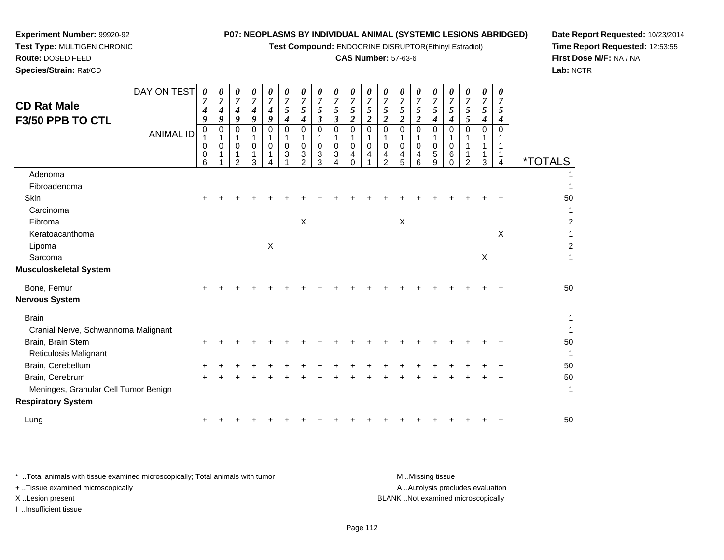**Test Compound:** ENDOCRINE DISRUPTOR(Ethinyl Estradiol)

## **CAS Number:** 57-63-6

**Date Report Requested:** 10/23/2014**Time Report Requested:** 12:53:55**First Dose M/F:** NA / NA**Lab:** NCTR

**Experiment Number:** 99920-92**Test Type:** MULTIGEN CHRONIC

| <b>CD Rat Male</b><br>F3/50 PPB TO CTL | DAY ON TEST<br><b>ANIMAL ID</b> | $\boldsymbol{\theta}$<br>$\overline{7}$<br>4<br>9<br>$\mathbf 0$<br>0<br>0<br>6 | 0<br>$\overline{7}$<br>4<br>9<br>0<br>$\mathbf 0$ | 0<br>$\boldsymbol{7}$<br>4<br>9<br>0<br>1<br>$\mathbf 0$<br>1<br>$\mathcal{P}$ | 0<br>$\overline{7}$<br>4<br>9<br>0<br>1<br>$\mathbf 0$<br>1<br>3 | 0<br>$\overline{7}$<br>$\boldsymbol{4}$<br>9<br>$\Omega$<br>$\Omega$ | 0<br>$\overline{7}$<br>5<br>4<br>$\Omega$<br>$\mathbf 0$<br>$\mathbf{3}$ | 0<br>$\overline{7}$<br>5<br>$\boldsymbol{4}$<br>$\Omega$<br>$\mathbf 0$<br>$\sqrt{3}$<br>$\mathcal{P}$ | 0<br>$\overline{7}$<br>$\sqrt{5}$<br>$\mathbf{3}$<br>$\mathbf 0$<br>-1<br>$\mathbf 0$<br>3<br>3 | 0<br>$\overline{7}$<br>$\sqrt{5}$<br>$\boldsymbol{\beta}$<br>$\mathbf 0$<br>$\mathbf 0$<br>3<br>4 | 0<br>$\overline{7}$<br>5<br>$\overline{c}$<br>$\mathbf 0$<br>$\mathbf 0$<br>4<br>0 | 0<br>$\boldsymbol{7}$<br>$\sqrt{5}$<br>$\overline{\mathbf{c}}$<br>0<br>$\mathbf{1}$<br>$\pmb{0}$<br>4 | $\boldsymbol{\theta}$<br>$\overline{7}$<br>5<br>$\boldsymbol{2}$<br>$\mathbf 0$<br>1<br>$\mathbf 0$<br>4<br>$\overline{2}$ | 0<br>$\overline{7}$<br>5<br>$\overline{2}$<br>$\mathbf 0$<br>$\Omega$<br>4<br>5 | 0<br>$\boldsymbol{7}$<br>5<br>$\overline{c}$<br>$\mathbf 0$<br>$\mathbf 0$<br>4<br>6 | 0<br>$\overline{7}$<br>5<br>$\boldsymbol{4}$<br>0<br>0<br>5<br>9 | 0<br>$\overline{7}$<br>5<br>$\boldsymbol{4}$<br>$\mathbf 0$<br>1<br>0<br>6<br>$\Omega$ | 0<br>$\overline{7}$<br>5<br>5<br>$\Omega$<br>1<br>$\mathcal{P}$ | 0<br>$\overline{7}$<br>5<br>$\boldsymbol{4}$<br>$\Omega$<br>$\mathbf{1}$<br>$\mathbf{1}$<br>3 | 0<br>7<br>5<br>4<br>0<br>1<br>4 | <i><b>*TOTALS</b></i> |
|----------------------------------------|---------------------------------|---------------------------------------------------------------------------------|---------------------------------------------------|--------------------------------------------------------------------------------|------------------------------------------------------------------|----------------------------------------------------------------------|--------------------------------------------------------------------------|--------------------------------------------------------------------------------------------------------|-------------------------------------------------------------------------------------------------|---------------------------------------------------------------------------------------------------|------------------------------------------------------------------------------------|-------------------------------------------------------------------------------------------------------|----------------------------------------------------------------------------------------------------------------------------|---------------------------------------------------------------------------------|--------------------------------------------------------------------------------------|------------------------------------------------------------------|----------------------------------------------------------------------------------------|-----------------------------------------------------------------|-----------------------------------------------------------------------------------------------|---------------------------------|-----------------------|
| Adenoma                                |                                 |                                                                                 |                                                   |                                                                                |                                                                  |                                                                      |                                                                          |                                                                                                        |                                                                                                 |                                                                                                   |                                                                                    |                                                                                                       |                                                                                                                            |                                                                                 |                                                                                      |                                                                  |                                                                                        |                                                                 |                                                                                               |                                 |                       |
| Fibroadenoma                           |                                 |                                                                                 |                                                   |                                                                                |                                                                  |                                                                      |                                                                          |                                                                                                        |                                                                                                 |                                                                                                   |                                                                                    |                                                                                                       |                                                                                                                            |                                                                                 |                                                                                      |                                                                  |                                                                                        |                                                                 |                                                                                               |                                 |                       |
| Skin                                   |                                 |                                                                                 |                                                   |                                                                                |                                                                  |                                                                      |                                                                          |                                                                                                        |                                                                                                 |                                                                                                   |                                                                                    |                                                                                                       |                                                                                                                            |                                                                                 |                                                                                      |                                                                  |                                                                                        |                                                                 |                                                                                               |                                 | 50                    |
| Carcinoma                              |                                 |                                                                                 |                                                   |                                                                                |                                                                  |                                                                      |                                                                          |                                                                                                        |                                                                                                 |                                                                                                   |                                                                                    |                                                                                                       |                                                                                                                            |                                                                                 |                                                                                      |                                                                  |                                                                                        |                                                                 |                                                                                               |                                 | 1                     |
| Fibroma                                |                                 |                                                                                 |                                                   |                                                                                |                                                                  |                                                                      |                                                                          | $\boldsymbol{\mathsf{X}}$                                                                              |                                                                                                 |                                                                                                   |                                                                                    |                                                                                                       |                                                                                                                            | $\boldsymbol{\mathsf{X}}$                                                       |                                                                                      |                                                                  |                                                                                        |                                                                 |                                                                                               |                                 | $\overline{c}$        |
| Keratoacanthoma                        |                                 |                                                                                 |                                                   |                                                                                |                                                                  |                                                                      |                                                                          |                                                                                                        |                                                                                                 |                                                                                                   |                                                                                    |                                                                                                       |                                                                                                                            |                                                                                 |                                                                                      |                                                                  |                                                                                        |                                                                 |                                                                                               | $\times$                        | 1                     |
| Lipoma                                 |                                 |                                                                                 |                                                   |                                                                                |                                                                  | X                                                                    |                                                                          |                                                                                                        |                                                                                                 |                                                                                                   |                                                                                    |                                                                                                       |                                                                                                                            |                                                                                 |                                                                                      |                                                                  |                                                                                        |                                                                 |                                                                                               |                                 | $\boldsymbol{2}$      |
| Sarcoma                                |                                 |                                                                                 |                                                   |                                                                                |                                                                  |                                                                      |                                                                          |                                                                                                        |                                                                                                 |                                                                                                   |                                                                                    |                                                                                                       |                                                                                                                            |                                                                                 |                                                                                      |                                                                  |                                                                                        |                                                                 | $\times$                                                                                      |                                 | 1                     |
| <b>Musculoskeletal System</b>          |                                 |                                                                                 |                                                   |                                                                                |                                                                  |                                                                      |                                                                          |                                                                                                        |                                                                                                 |                                                                                                   |                                                                                    |                                                                                                       |                                                                                                                            |                                                                                 |                                                                                      |                                                                  |                                                                                        |                                                                 |                                                                                               |                                 |                       |
| Bone, Femur                            |                                 |                                                                                 |                                                   |                                                                                |                                                                  |                                                                      |                                                                          |                                                                                                        |                                                                                                 |                                                                                                   |                                                                                    |                                                                                                       |                                                                                                                            |                                                                                 |                                                                                      |                                                                  |                                                                                        |                                                                 |                                                                                               |                                 | 50                    |
| <b>Nervous System</b>                  |                                 |                                                                                 |                                                   |                                                                                |                                                                  |                                                                      |                                                                          |                                                                                                        |                                                                                                 |                                                                                                   |                                                                                    |                                                                                                       |                                                                                                                            |                                                                                 |                                                                                      |                                                                  |                                                                                        |                                                                 |                                                                                               |                                 |                       |
| <b>Brain</b>                           |                                 |                                                                                 |                                                   |                                                                                |                                                                  |                                                                      |                                                                          |                                                                                                        |                                                                                                 |                                                                                                   |                                                                                    |                                                                                                       |                                                                                                                            |                                                                                 |                                                                                      |                                                                  |                                                                                        |                                                                 |                                                                                               |                                 | 1                     |
| Cranial Nerve, Schwannoma Malignant    |                                 |                                                                                 |                                                   |                                                                                |                                                                  |                                                                      |                                                                          |                                                                                                        |                                                                                                 |                                                                                                   |                                                                                    |                                                                                                       |                                                                                                                            |                                                                                 |                                                                                      |                                                                  |                                                                                        |                                                                 |                                                                                               |                                 | 1                     |
| Brain, Brain Stem                      |                                 |                                                                                 |                                                   |                                                                                |                                                                  |                                                                      |                                                                          |                                                                                                        |                                                                                                 |                                                                                                   |                                                                                    |                                                                                                       |                                                                                                                            |                                                                                 |                                                                                      |                                                                  |                                                                                        |                                                                 |                                                                                               |                                 | 50                    |
| <b>Reticulosis Malignant</b>           |                                 |                                                                                 |                                                   |                                                                                |                                                                  |                                                                      |                                                                          |                                                                                                        |                                                                                                 |                                                                                                   |                                                                                    |                                                                                                       |                                                                                                                            |                                                                                 |                                                                                      |                                                                  |                                                                                        |                                                                 |                                                                                               |                                 | 1                     |
| Brain, Cerebellum                      |                                 |                                                                                 |                                                   |                                                                                |                                                                  |                                                                      |                                                                          |                                                                                                        |                                                                                                 |                                                                                                   |                                                                                    |                                                                                                       |                                                                                                                            |                                                                                 |                                                                                      |                                                                  |                                                                                        |                                                                 |                                                                                               |                                 | 50                    |
| Brain, Cerebrum                        |                                 |                                                                                 |                                                   |                                                                                |                                                                  |                                                                      |                                                                          |                                                                                                        |                                                                                                 |                                                                                                   |                                                                                    |                                                                                                       |                                                                                                                            |                                                                                 |                                                                                      |                                                                  |                                                                                        |                                                                 |                                                                                               |                                 | 50                    |
| Meninges, Granular Cell Tumor Benign   |                                 |                                                                                 |                                                   |                                                                                |                                                                  |                                                                      |                                                                          |                                                                                                        |                                                                                                 |                                                                                                   |                                                                                    |                                                                                                       |                                                                                                                            |                                                                                 |                                                                                      |                                                                  |                                                                                        |                                                                 |                                                                                               |                                 | 1                     |
| <b>Respiratory System</b>              |                                 |                                                                                 |                                                   |                                                                                |                                                                  |                                                                      |                                                                          |                                                                                                        |                                                                                                 |                                                                                                   |                                                                                    |                                                                                                       |                                                                                                                            |                                                                                 |                                                                                      |                                                                  |                                                                                        |                                                                 |                                                                                               |                                 |                       |
| Lung                                   |                                 |                                                                                 |                                                   |                                                                                |                                                                  |                                                                      |                                                                          |                                                                                                        |                                                                                                 |                                                                                                   |                                                                                    |                                                                                                       |                                                                                                                            |                                                                                 |                                                                                      |                                                                  |                                                                                        |                                                                 |                                                                                               |                                 | 50                    |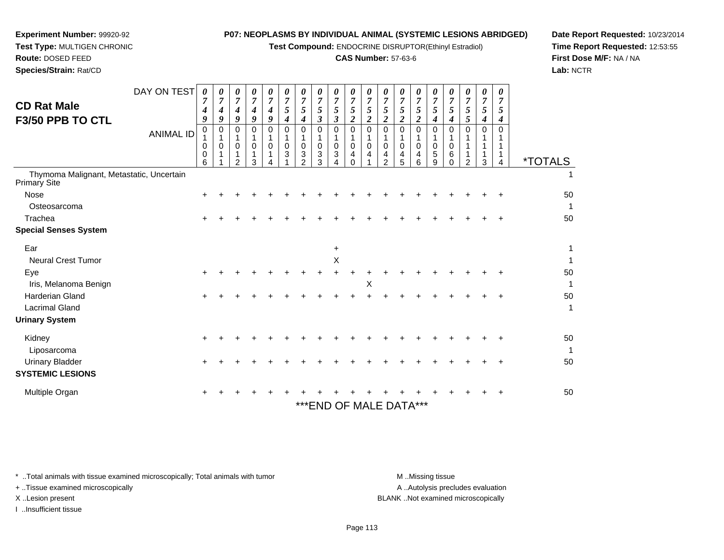**Test Compound:** ENDOCRINE DISRUPTOR(Ethinyl Estradiol)

## **CAS Number:** 57-63-6

1

**Date Report Requested:** 10/23/2014**Time Report Requested:** 12:53:55**First Dose M/F:** NA / NA**Lab:** NCTR

| <b>CD Rat Male</b><br>F3/50 PPB TO CTL                          | DAY ON TEST<br><b>ANIMAL ID</b> | 0<br>7<br>4<br>9<br>$\Omega$<br>0 | 0<br>$\overline{ }$<br>4<br>9<br>0<br>0 | 0<br>$\mathbf{r}$<br>4<br>9<br>0 | 0<br>7<br>$\boldsymbol{4}$<br>9<br>0<br>0 | 0<br>7<br>4<br>9<br>0<br>0 | 0<br>7<br>5<br>4<br>0<br>0 | 0<br>C<br>4<br>0 | 0<br>5<br>$\mathbf{3}$<br>0 | 0<br>5<br>3<br>0<br>0 | 0<br>$\overline{7}$<br>5<br>$\overline{2}$<br>0<br>0 | 0<br>7<br>5<br>0<br>0 | 0<br>7<br>Ć<br>0 | 0<br>7<br>$\mathfrak{I}$<br>0 | 0<br>$\mathfrak{p}$<br>ኅ<br>0<br>0 | 0<br>7<br>5<br>4<br>0 | $\boldsymbol{\theta}$<br>7<br>5<br>$\boldsymbol{4}$<br>$\Omega$<br>0 | 0<br>7<br>5<br>$\mathfrak{I}$ | 0<br>7<br>$\mathfrak{I}$<br>4<br>0 | 0<br>$\overline{ }$<br>C<br>0 |                       |
|-----------------------------------------------------------------|---------------------------------|-----------------------------------|-----------------------------------------|----------------------------------|-------------------------------------------|----------------------------|----------------------------|------------------|-----------------------------|-----------------------|------------------------------------------------------|-----------------------|------------------|-------------------------------|------------------------------------|-----------------------|----------------------------------------------------------------------|-------------------------------|------------------------------------|-------------------------------|-----------------------|
|                                                                 |                                 | 0<br>6                            |                                         | C                                | 3                                         |                            | 3                          | 3<br>ົ           | 3<br>3                      | 3                     | 4                                                    | 4                     | 4<br>ົ           | 4<br>5                        | 4<br>6                             | 5<br>9                | 6                                                                    | ົ                             | 3                                  | 4                             | <i><b>*TOTALS</b></i> |
| Thymoma Malignant, Metastatic, Uncertain<br><b>Primary Site</b> |                                 |                                   |                                         |                                  |                                           |                            |                            |                  |                             |                       |                                                      |                       |                  |                               |                                    |                       |                                                                      |                               |                                    |                               |                       |
| Nose<br>Osteosarcoma                                            |                                 | +                                 |                                         |                                  |                                           |                            |                            |                  |                             |                       |                                                      |                       |                  |                               |                                    |                       |                                                                      |                               | +                                  | $\div$                        | 50<br>1               |
| Trachea<br><b>Special Senses System</b>                         |                                 | $\pm$                             |                                         |                                  |                                           |                            |                            |                  |                             |                       |                                                      |                       |                  |                               |                                    |                       |                                                                      |                               |                                    | ÷                             | 50                    |
| For                                                             |                                 |                                   |                                         |                                  |                                           |                            |                            |                  |                             | ᆠ                     |                                                      |                       |                  |                               |                                    |                       |                                                                      |                               |                                    |                               | 1                     |

**Experiment Number:** 99920-92**Test Type:** MULTIGEN CHRONIC

**Route:** DOSED FEED**Species/Strain:** Rat/CD

|       |   |  |  |  | $\ddot{}$ |   |  |  |                        |  |           | 1                       |
|-------|---|--|--|--|-----------|---|--|--|------------------------|--|-----------|-------------------------|
|       |   |  |  |  | X         |   |  |  |                        |  |           | -1                      |
| $+$   |   |  |  |  |           |   |  |  |                        |  | $\div$    | 50                      |
|       |   |  |  |  |           | X |  |  |                        |  |           | $\overline{\mathbf{A}}$ |
| $\pm$ |   |  |  |  |           |   |  |  |                        |  | $\ddot{}$ | 50                      |
|       |   |  |  |  |           |   |  |  |                        |  |           | 1                       |
|       |   |  |  |  |           |   |  |  |                        |  |           |                         |
| $+$   |   |  |  |  |           |   |  |  |                        |  | ÷         | 50                      |
|       |   |  |  |  |           |   |  |  |                        |  |           | 1                       |
| $+$   |   |  |  |  |           |   |  |  |                        |  | $\ddot{}$ | 50                      |
|       |   |  |  |  |           |   |  |  |                        |  |           |                         |
| $+$   | ÷ |  |  |  |           |   |  |  |                        |  |           | 50                      |
|       |   |  |  |  |           |   |  |  |                        |  |           |                         |
|       |   |  |  |  |           |   |  |  | ***END OF MALE DATA*** |  |           |                         |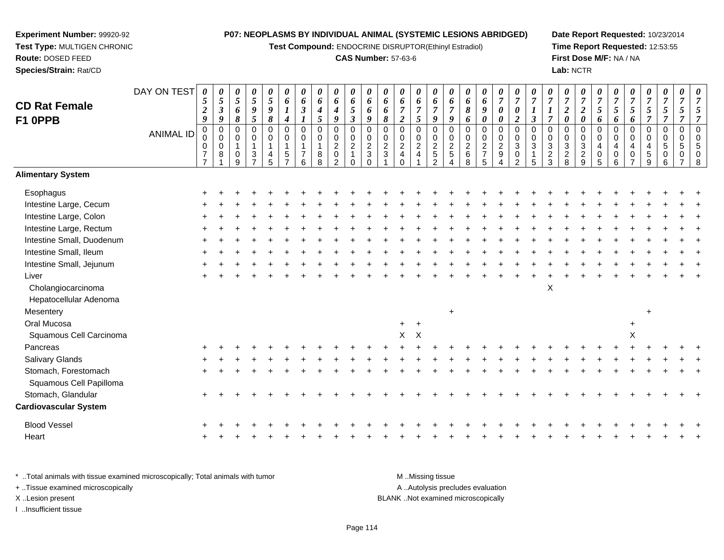**Test Compound:** ENDOCRINE DISRUPTOR(Ethinyl Estradiol)

#### **CAS Number:** 57-63-6

**Date Report Requested:** 10/23/2014**Time Report Requested:** 12:53:55**First Dose M/F:** NA / NA**Lab:** NCTR

|                              | DAY ON TEST      | 0<br>5                        | $\pmb{\theta}$<br>$\sqrt{5}$ | $\boldsymbol{\theta}$<br>$\sqrt{5}$ | $\pmb{\theta}$<br>$\sqrt{5}$ | 0<br>5           | 0<br>6                  | 0<br>6              | 0<br>6           | $\pmb{\theta}$<br>$\pmb{6}$   | $\boldsymbol{\theta}$<br>6    | 0<br>6                         | 0<br>6              | 0<br>6                                                         | $\boldsymbol{\theta}$<br>6   | 0<br>6           | 0<br>6                           | 0<br>6              | 0<br>6           | 0<br>$\boldsymbol{7}$              | 0<br>$\overline{7}$           | 0<br>$\overline{7}$           | $\pmb{\theta}$<br>$\overline{7}$ | 0<br>$\boldsymbol{7}$    | 0<br>$\overline{7}$           | 0<br>$\overline{7}$ | 0<br>$\overline{7}$ | 0<br>$\overline{7}$ | 0<br>$\boldsymbol{7}$      | 0<br>$\overline{7}$     | 0<br>$\overline{7}$     | 0<br>$\overline{7}$           |
|------------------------------|------------------|-------------------------------|------------------------------|-------------------------------------|------------------------------|------------------|-------------------------|---------------------|------------------|-------------------------------|-------------------------------|--------------------------------|---------------------|----------------------------------------------------------------|------------------------------|------------------|----------------------------------|---------------------|------------------|------------------------------------|-------------------------------|-------------------------------|----------------------------------|--------------------------|-------------------------------|---------------------|---------------------|---------------------|----------------------------|-------------------------|-------------------------|-------------------------------|
| <b>CD Rat Female</b>         |                  | $\boldsymbol{2}$              | $\boldsymbol{\beta}$         | 6                                   | $\pmb{9}$                    | 9                | $\boldsymbol{l}$        | $\mathfrak{z}$      | 4                | $\boldsymbol{4}$              | 5                             | 6                              | 6                   | $\overline{7}$                                                 | $\overline{7}$               | $\overline{7}$   | $\overline{7}$                   | 8                   | $\boldsymbol{9}$ | $\boldsymbol{\theta}$              | $\boldsymbol{\theta}$         | $\boldsymbol{l}$              | $\boldsymbol{l}$                 | $\boldsymbol{2}$         | $\boldsymbol{2}$              | $\mathfrak{s}$      | 5                   | $\sqrt{5}$          | $\mathfrak{s}$             | 5                       | 5                       | 5                             |
| F1 OPPB                      |                  | 9                             | $\boldsymbol{9}$             | 8                                   | 5                            | 8                | 4                       | $\overline{0}$      | 5                | 9                             | $\mathfrak{z}$<br>$\mathbf 0$ | 9<br>$\mathbf 0$               | 8<br>0              | $\overline{2}$                                                 | $\mathfrak{s}$               | $\boldsymbol{9}$ | 9<br>$\overline{0}$              | 6                   | $\pmb{\theta}$   | $\boldsymbol{\theta}$              | $\overline{2}$<br>$\mathbf 0$ | $\mathfrak{z}$<br>$\mathbf 0$ | $\overline{7}$                   | $\boldsymbol{\theta}$    | $\pmb{\theta}$<br>$\mathbf 0$ | 6                   | 6<br>$\mathbf 0$    | 6                   | $\overline{7}$             | $\overline{7}$          | $\overline{7}$          | $\overline{7}$<br>$\mathbf 0$ |
|                              | <b>ANIMAL ID</b> | $\mathbf 0$<br>0              | $\mathbf 0$<br>$\mathsf 0$   | $\pmb{0}$<br>$\pmb{0}$              | $\pmb{0}$<br>$\pmb{0}$       | $\mathbf 0$<br>0 | $\mathbf 0$<br>$\Omega$ | $\mathbf 0$         | $\mathbf 0$<br>0 | $\boldsymbol{0}$<br>$\pmb{0}$ | $\mathbf 0$                   | 0                              | 0                   | $\pmb{0}$                                                      | $\pmb{0}$<br>$\pmb{0}$       | 0<br>$\mathbf 0$ | $\pmb{0}$                        | $\mathbf 0$<br>0    | 0                | $\mathbf 0$<br>$\pmb{0}$           | $\mathbf 0$                   | $\Omega$                      | $\mathbf 0$<br>0                 | $\mathbf 0$<br>$\pmb{0}$ | $\mathbf 0$                   | $\mathbf 0$<br>0    | $\mathbf 0$         | 0<br>0              | $\mathbf 0$<br>$\mathbf 0$ | $\mathbf 0$<br>$\Omega$ | $\mathbf 0$<br>$\Omega$ | $\mathbf 0$                   |
|                              |                  | $\pmb{0}$<br>$\boldsymbol{7}$ | $\mathbf 0$<br>$\,8\,$       | $\mathbf{1}$                        | $\mathbf{1}$                 | $\mathbf{1}$     | 1                       | 1<br>$\overline{7}$ | $\mathbf{1}$     | $\sqrt{2}$<br>$\pmb{0}$       | $\overline{2}$                | $\overline{2}$<br>$\mathbf{3}$ | $\overline{a}$<br>3 | $\begin{smallmatrix} 0\\2 \end{smallmatrix}$<br>$\overline{4}$ | $\sqrt{2}$<br>$\overline{4}$ | $\sqrt{2}$       | $\overline{c}$<br>$\overline{5}$ | $\overline{c}$<br>6 | $\frac{0}{2}$    | $\boldsymbol{2}$                   | $\ensuremath{\mathsf{3}}$     | 3                             | $\ensuremath{\mathsf{3}}$        | $\sqrt{3}$               | $\mathbf{3}$                  | 4                   | $\overline{4}$      | 4<br>$\pmb{0}$      | $\overline{4}$<br>5        | 5<br>$\mathbf 0$        | 5                       | 5<br>$\overline{0}$           |
|                              |                  | $\overline{7}$                |                              | $\mathbf 0$<br>9                    | $\frac{3}{7}$                | 4<br>5           | 5<br>$\overline{ }$     | 6                   | $_{8}^8$         | $\overline{2}$                | $\mathbf{1}$<br>$\Omega$      | $\Omega$                       |                     | $\mathbf 0$                                                    |                              | $\,$ 5 $\,$<br>2 |                                  | 8                   | 5                | $\boldsymbol{9}$<br>$\overline{4}$ | $\pmb{0}$<br>2                | $\overline{5}$                | $\frac{2}{3}$                    | $\frac{2}{8}$            | $\frac{2}{9}$                 | $\pmb{0}$<br>5      | $\pmb{0}$<br>6      | $\overline{ }$      | 9                          | 6                       | 0                       | 8                             |
| <b>Alimentary System</b>     |                  |                               |                              |                                     |                              |                  |                         |                     |                  |                               |                               |                                |                     |                                                                |                              |                  |                                  |                     |                  |                                    |                               |                               |                                  |                          |                               |                     |                     |                     |                            |                         |                         |                               |
| Esophagus                    |                  |                               |                              |                                     |                              |                  |                         |                     |                  |                               |                               |                                |                     |                                                                |                              |                  |                                  |                     |                  |                                    |                               |                               |                                  |                          |                               |                     |                     |                     |                            |                         |                         |                               |
| Intestine Large, Cecum       |                  |                               |                              |                                     |                              |                  |                         |                     |                  |                               |                               |                                |                     |                                                                |                              |                  |                                  |                     |                  |                                    |                               |                               |                                  |                          |                               |                     |                     |                     |                            |                         |                         |                               |
| Intestine Large, Colon       |                  |                               |                              |                                     |                              |                  |                         |                     |                  |                               |                               |                                |                     |                                                                |                              |                  |                                  |                     |                  |                                    |                               |                               |                                  |                          |                               |                     |                     |                     |                            |                         |                         |                               |
| Intestine Large, Rectum      |                  |                               |                              |                                     |                              |                  |                         |                     |                  |                               |                               |                                |                     |                                                                |                              |                  |                                  |                     |                  |                                    |                               |                               |                                  |                          |                               |                     |                     |                     |                            |                         |                         |                               |
| Intestine Small, Duodenum    |                  |                               |                              |                                     |                              |                  |                         |                     |                  |                               |                               |                                |                     |                                                                |                              |                  |                                  |                     |                  |                                    |                               |                               |                                  |                          |                               |                     |                     |                     |                            |                         |                         |                               |
| Intestine Small, Ileum       |                  |                               |                              |                                     |                              |                  |                         |                     |                  |                               |                               |                                |                     |                                                                |                              |                  |                                  |                     |                  |                                    |                               |                               |                                  |                          |                               |                     |                     |                     |                            |                         |                         |                               |
| Intestine Small, Jejunum     |                  |                               |                              |                                     |                              |                  |                         |                     |                  |                               |                               |                                |                     |                                                                |                              |                  |                                  |                     |                  |                                    |                               |                               |                                  |                          |                               |                     |                     |                     |                            |                         |                         |                               |
| Liver                        |                  |                               |                              |                                     |                              |                  |                         |                     |                  |                               |                               |                                |                     |                                                                |                              |                  |                                  |                     |                  |                                    |                               |                               |                                  |                          |                               |                     |                     |                     |                            |                         |                         |                               |
| Cholangiocarcinoma           |                  |                               |                              |                                     |                              |                  |                         |                     |                  |                               |                               |                                |                     |                                                                |                              |                  |                                  |                     |                  |                                    |                               |                               | $\boldsymbol{\mathsf{X}}$        |                          |                               |                     |                     |                     |                            |                         |                         |                               |
| Hepatocellular Adenoma       |                  |                               |                              |                                     |                              |                  |                         |                     |                  |                               |                               |                                |                     |                                                                |                              |                  |                                  |                     |                  |                                    |                               |                               |                                  |                          |                               |                     |                     |                     |                            |                         |                         |                               |
| Mesentery                    |                  |                               |                              |                                     |                              |                  |                         |                     |                  |                               |                               |                                |                     |                                                                |                              |                  |                                  |                     |                  |                                    |                               |                               |                                  |                          |                               |                     |                     |                     | $\div$                     |                         |                         |                               |
| Oral Mucosa                  |                  |                               |                              |                                     |                              |                  |                         |                     |                  |                               |                               |                                |                     | $+$                                                            | $+$                          |                  |                                  |                     |                  |                                    |                               |                               |                                  |                          |                               |                     |                     | $\ddot{}$           |                            |                         |                         |                               |
| Squamous Cell Carcinoma      |                  |                               |                              |                                     |                              |                  |                         |                     |                  |                               |                               |                                |                     | X                                                              | $\mathsf{X}$                 |                  |                                  |                     |                  |                                    |                               |                               |                                  |                          |                               |                     |                     | X                   |                            |                         |                         |                               |
| Pancreas                     |                  |                               |                              |                                     |                              |                  |                         |                     |                  |                               |                               |                                |                     |                                                                |                              |                  |                                  |                     |                  |                                    |                               |                               |                                  |                          |                               |                     |                     |                     |                            |                         |                         |                               |
| Salivary Glands              |                  |                               |                              |                                     |                              |                  |                         |                     |                  |                               |                               |                                |                     |                                                                |                              |                  |                                  |                     |                  |                                    |                               |                               |                                  |                          |                               |                     |                     |                     |                            |                         |                         |                               |
| Stomach, Forestomach         |                  |                               |                              |                                     |                              |                  |                         |                     |                  |                               |                               |                                |                     |                                                                |                              |                  |                                  |                     |                  |                                    |                               |                               |                                  |                          |                               |                     |                     |                     |                            |                         |                         |                               |
| Squamous Cell Papilloma      |                  |                               |                              |                                     |                              |                  |                         |                     |                  |                               |                               |                                |                     |                                                                |                              |                  |                                  |                     |                  |                                    |                               |                               |                                  |                          |                               |                     |                     |                     |                            |                         |                         |                               |
| Stomach, Glandular           |                  |                               |                              |                                     |                              |                  |                         |                     |                  |                               |                               |                                |                     |                                                                |                              |                  |                                  |                     |                  |                                    |                               |                               |                                  |                          |                               |                     |                     |                     |                            |                         |                         |                               |
| <b>Cardiovascular System</b> |                  |                               |                              |                                     |                              |                  |                         |                     |                  |                               |                               |                                |                     |                                                                |                              |                  |                                  |                     |                  |                                    |                               |                               |                                  |                          |                               |                     |                     |                     |                            |                         |                         |                               |
| <b>Blood Vessel</b>          |                  |                               |                              |                                     |                              |                  |                         |                     |                  |                               |                               |                                |                     |                                                                |                              |                  |                                  |                     |                  |                                    |                               |                               |                                  |                          |                               |                     |                     |                     |                            |                         |                         |                               |
| Heart                        |                  |                               |                              |                                     |                              |                  |                         |                     |                  |                               |                               |                                |                     |                                                                |                              |                  |                                  |                     |                  |                                    |                               |                               |                                  |                          |                               |                     |                     |                     |                            |                         |                         |                               |
|                              |                  |                               |                              |                                     |                              |                  |                         |                     |                  |                               |                               |                                |                     |                                                                |                              |                  |                                  |                     |                  |                                    |                               |                               |                                  |                          |                               |                     |                     |                     |                            |                         |                         |                               |

\* ..Total animals with tissue examined microscopically; Total animals with tumor **M** . Missing tissue M ..Missing tissue A ..Autolysis precludes evaluation + ..Tissue examined microscopically X ..Lesion present BLANK ..Not examined microscopicallyI ..Insufficient tissue

**Experiment Number:** 99920-92**Test Type:** MULTIGEN CHRONIC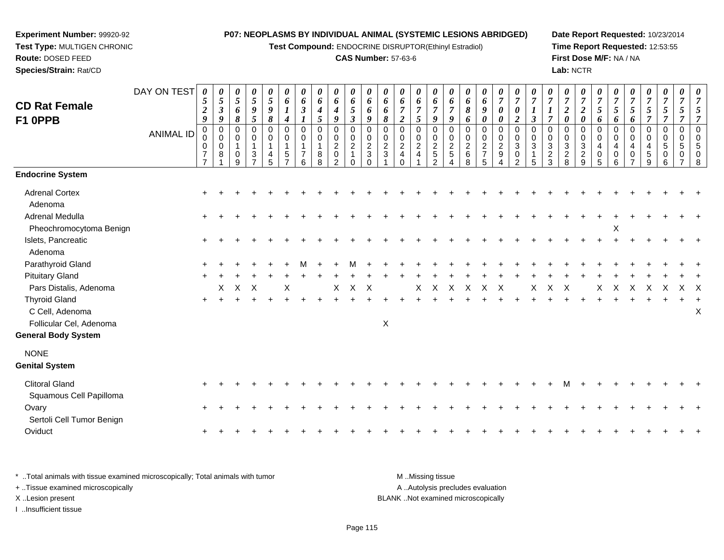**Test Compound:** ENDOCRINE DISRUPTOR(Ethinyl Estradiol)

## **CAS Number:** 57-63-6

**Date Report Requested:** 10/23/2014**Time Report Requested:** 12:53:55**First Dose M/F:** NA / NA**Lab:** NCTR

| <b>CD Rat Female</b><br>F1 OPPB                                                                                            | DAY ON TEST<br><b>ANIMAL ID</b> | 0<br>5<br>$\boldsymbol{2}$<br>$\boldsymbol{g}$<br>0<br>0<br>0<br>$\overline{7}$ | 0<br>5<br>$\boldsymbol{\beta}$<br>9<br>0<br>$\boldsymbol{0}$<br>$\mathbf 0$<br>8 | 0<br>$\mathfrak{s}$<br>6<br>8<br>0<br>$\mathsf 0$<br>$\mathbf{1}$<br>0 | 0<br>$\mathfrak{s}$<br>9<br>5<br>$\Omega$<br>$\mathbf 0$<br>$\overline{1}$<br>3<br>$\overline{z}$ | 0<br>$\mathfrak{H}$<br>9<br>8<br>$\Omega$<br>0<br>1 | 0<br>6<br>$\boldsymbol{l}$<br>$\boldsymbol{4}$<br>0<br>0<br>$\mathbf{1}$<br>5 | 0<br>6<br>$\mathfrak{z}$<br>$\mathbf 0$<br>$\mathbf 0$ | 0<br>6<br>$\boldsymbol{4}$<br>$\sqrt{5}$<br>$\mathbf 0$<br>$\pmb{0}$<br>$\overline{1}$<br>8 | 0<br>6<br>$\boldsymbol{4}$<br>$\boldsymbol{9}$<br>$\mathbf 0$<br>$\pmb{0}$<br>$\boldsymbol{2}$<br>$\pmb{0}$ | 0<br>6<br>5<br>$\mathfrak{z}$<br>$\mathbf 0$<br>0<br>$\overline{2}$ | 0<br>6<br>6<br>$\boldsymbol{g}$<br>0<br>0<br>$\overline{c}$<br>$\ensuremath{\mathsf{3}}$ | 0<br>6<br>6<br>8<br>$\Omega$<br>0<br>$\overline{c}$<br>$\mathfrak{S}$ | 0<br>6<br>$\overline{7}$<br>$\overline{2}$<br>0<br>$\mathbf 0$<br>$\overline{2}$<br>$\overline{\mathbf{4}}$ | 0<br>6<br>$\overline{7}$<br>$\mathfrak{s}$<br>$\Omega$<br>$\mathbf 0$<br>$\overline{c}$<br>$\overline{4}$ | 0<br>6<br>$\overline{7}$<br>9<br>$\Omega$<br>$\mathbf 0$<br>$\overline{c}$<br>$\mathbf 5$ | 0<br>6<br>$\overline{7}$<br>9<br>0<br>$\boldsymbol{0}$<br>$\boldsymbol{2}$<br>$\sqrt{5}$ | 0<br>6<br>8<br>6<br>$\mathbf 0$<br>0<br>$\overline{c}$<br>6 | 0<br>6<br>9<br>0<br>0<br>$\mathbf 0$<br>$\overline{c}$<br>$\overline{7}$ | 0<br>$\overline{7}$<br>$\boldsymbol{\theta}$<br>$\boldsymbol{\theta}$<br>$\mathbf 0$<br>$\pmb{0}$<br>$\overline{c}$<br>$\boldsymbol{9}$ | 0<br>$\overline{7}$<br>$\boldsymbol{\theta}$<br>$\boldsymbol{2}$<br>$\Omega$<br>$\mathbf 0$<br>3<br>0 | 7<br>1<br>$\mathfrak{z}$<br>$\Omega$<br>$\mathbf 0$<br>3 | $\overline{7}$<br>$\Omega$<br>0<br>3<br>$\overline{c}$ | 0<br>$\overline{7}$<br>$\boldsymbol{2}$<br>$\boldsymbol{\theta}$<br>0<br>$\mathbf 0$<br>$\sqrt{3}$<br>$\mathbf 2$ | 0<br>$\overline{7}$<br>$\boldsymbol{2}$<br>$\boldsymbol{\theta}$<br>$\Omega$<br>$\mathbf 0$<br>$\ensuremath{\mathsf{3}}$<br>$\frac{2}{9}$ | 0<br>$\overline{7}$<br>5<br>6<br>0<br>0<br>4<br>0 | $\boldsymbol{\theta}$<br>$\overline{7}$<br>5<br>6<br>$\Omega$<br>0<br>$\overline{4}$<br>$\mathbf 0$ | $\boldsymbol{\theta}$<br>$\overline{7}$<br>5<br>6<br>0<br>0<br>4<br>0 | 0<br>$\overline{7}$<br>$\mathfrak{s}$<br>$\overline{7}$<br>0<br>$\mathsf{O}$<br>4<br>5 | 0<br>$\overline{7}$<br>$\mathfrak{s}$<br>$\overline{7}$<br>$\mathbf 0$<br>$\mathbf 0$<br>$\sqrt{5}$<br>0 | 0<br>7<br>5<br>$\overline{7}$<br>$\mathbf 0$<br>0<br>5 | 7<br>5<br>$\overline{7}$<br>$\Omega$<br>$\Omega$ |
|----------------------------------------------------------------------------------------------------------------------------|---------------------------------|---------------------------------------------------------------------------------|----------------------------------------------------------------------------------|------------------------------------------------------------------------|---------------------------------------------------------------------------------------------------|-----------------------------------------------------|-------------------------------------------------------------------------------|--------------------------------------------------------|---------------------------------------------------------------------------------------------|-------------------------------------------------------------------------------------------------------------|---------------------------------------------------------------------|------------------------------------------------------------------------------------------|-----------------------------------------------------------------------|-------------------------------------------------------------------------------------------------------------|-----------------------------------------------------------------------------------------------------------|-------------------------------------------------------------------------------------------|------------------------------------------------------------------------------------------|-------------------------------------------------------------|--------------------------------------------------------------------------|-----------------------------------------------------------------------------------------------------------------------------------------|-------------------------------------------------------------------------------------------------------|----------------------------------------------------------|--------------------------------------------------------|-------------------------------------------------------------------------------------------------------------------|-------------------------------------------------------------------------------------------------------------------------------------------|---------------------------------------------------|-----------------------------------------------------------------------------------------------------|-----------------------------------------------------------------------|----------------------------------------------------------------------------------------|----------------------------------------------------------------------------------------------------------|--------------------------------------------------------|--------------------------------------------------|
| <b>Endocrine System</b>                                                                                                    |                                 |                                                                                 |                                                                                  | 9                                                                      |                                                                                                   | 5                                                   |                                                                               | 6                                                      | 8                                                                                           | $\overline{2}$                                                                                              | $\Omega$                                                            |                                                                                          |                                                                       | $\Omega$                                                                                                    |                                                                                                           | $\mathcal{P}$                                                                             |                                                                                          | 8                                                           | 5                                                                        | Δ                                                                                                                                       | $\mathcal{P}$                                                                                         | 5                                                        | 3                                                      | 8                                                                                                                 |                                                                                                                                           | 5                                                 | 6                                                                                                   |                                                                       | 9                                                                                      | $6\phantom{1}6$                                                                                          |                                                        | 8                                                |
| <b>Adrenal Cortex</b><br>Adenoma<br>Adrenal Medulla                                                                        |                                 | $\ddot{}$<br>$+$                                                                |                                                                                  |                                                                        |                                                                                                   |                                                     |                                                                               |                                                        |                                                                                             |                                                                                                             |                                                                     |                                                                                          |                                                                       |                                                                                                             |                                                                                                           |                                                                                           |                                                                                          |                                                             |                                                                          |                                                                                                                                         |                                                                                                       |                                                          |                                                        |                                                                                                                   |                                                                                                                                           |                                                   |                                                                                                     |                                                                       |                                                                                        |                                                                                                          |                                                        |                                                  |
| Pheochromocytoma Benign<br>Islets, Pancreatic<br>Adenoma                                                                   |                                 | $\ddot{}$                                                                       |                                                                                  |                                                                        |                                                                                                   |                                                     |                                                                               |                                                        |                                                                                             |                                                                                                             |                                                                     |                                                                                          |                                                                       |                                                                                                             |                                                                                                           |                                                                                           |                                                                                          |                                                             |                                                                          |                                                                                                                                         |                                                                                                       |                                                          |                                                        |                                                                                                                   |                                                                                                                                           |                                                   | Χ                                                                                                   |                                                                       |                                                                                        |                                                                                                          |                                                        |                                                  |
| Parathyroid Gland                                                                                                          |                                 |                                                                                 |                                                                                  |                                                                        |                                                                                                   |                                                     |                                                                               |                                                        |                                                                                             |                                                                                                             |                                                                     |                                                                                          |                                                                       |                                                                                                             |                                                                                                           |                                                                                           |                                                                                          |                                                             |                                                                          |                                                                                                                                         |                                                                                                       |                                                          |                                                        |                                                                                                                   |                                                                                                                                           |                                                   |                                                                                                     |                                                                       |                                                                                        |                                                                                                          |                                                        |                                                  |
| <b>Pituitary Gland</b>                                                                                                     |                                 |                                                                                 |                                                                                  |                                                                        |                                                                                                   |                                                     |                                                                               |                                                        |                                                                                             |                                                                                                             |                                                                     |                                                                                          |                                                                       |                                                                                                             |                                                                                                           |                                                                                           |                                                                                          |                                                             |                                                                          |                                                                                                                                         |                                                                                                       |                                                          |                                                        |                                                                                                                   |                                                                                                                                           |                                                   |                                                                                                     |                                                                       |                                                                                        |                                                                                                          |                                                        |                                                  |
| Pars Distalis, Adenoma<br><b>Thyroid Gland</b><br>C Cell, Adenoma<br>Follicular Cel, Adenoma<br><b>General Body System</b> |                                 | $+$                                                                             | X                                                                                | X                                                                      | $\boldsymbol{\mathsf{X}}$                                                                         |                                                     | X                                                                             |                                                        |                                                                                             | X                                                                                                           | X                                                                   | $\times$                                                                                 | X                                                                     |                                                                                                             | X                                                                                                         | X                                                                                         | X                                                                                        | X                                                           | X                                                                        | $\boldsymbol{\mathsf{X}}$                                                                                                               |                                                                                                       | X                                                        | X                                                      | $\mathsf{X}$                                                                                                      |                                                                                                                                           | X                                                 | X                                                                                                   | X                                                                     | $\times$                                                                               | Χ                                                                                                        | $X$ X                                                  | X                                                |
| <b>NONE</b><br><b>Genital System</b>                                                                                       |                                 |                                                                                 |                                                                                  |                                                                        |                                                                                                   |                                                     |                                                                               |                                                        |                                                                                             |                                                                                                             |                                                                     |                                                                                          |                                                                       |                                                                                                             |                                                                                                           |                                                                                           |                                                                                          |                                                             |                                                                          |                                                                                                                                         |                                                                                                       |                                                          |                                                        |                                                                                                                   |                                                                                                                                           |                                                   |                                                                                                     |                                                                       |                                                                                        |                                                                                                          |                                                        |                                                  |
| <b>Clitoral Gland</b><br>Squamous Cell Papilloma                                                                           |                                 |                                                                                 |                                                                                  |                                                                        |                                                                                                   |                                                     |                                                                               |                                                        |                                                                                             |                                                                                                             |                                                                     |                                                                                          |                                                                       |                                                                                                             |                                                                                                           |                                                                                           |                                                                                          |                                                             |                                                                          |                                                                                                                                         |                                                                                                       |                                                          |                                                        |                                                                                                                   |                                                                                                                                           |                                                   |                                                                                                     |                                                                       |                                                                                        |                                                                                                          |                                                        |                                                  |
| Ovary<br>Sertoli Cell Tumor Benign<br>Oviduct                                                                              |                                 | $\pm$                                                                           |                                                                                  |                                                                        |                                                                                                   |                                                     |                                                                               |                                                        |                                                                                             |                                                                                                             |                                                                     |                                                                                          |                                                                       |                                                                                                             |                                                                                                           |                                                                                           |                                                                                          |                                                             |                                                                          |                                                                                                                                         |                                                                                                       |                                                          |                                                        |                                                                                                                   |                                                                                                                                           |                                                   |                                                                                                     |                                                                       |                                                                                        |                                                                                                          |                                                        |                                                  |
|                                                                                                                            |                                 | $\pm$                                                                           |                                                                                  |                                                                        |                                                                                                   |                                                     |                                                                               |                                                        |                                                                                             |                                                                                                             |                                                                     |                                                                                          |                                                                       |                                                                                                             |                                                                                                           |                                                                                           |                                                                                          |                                                             |                                                                          |                                                                                                                                         |                                                                                                       |                                                          |                                                        |                                                                                                                   |                                                                                                                                           |                                                   |                                                                                                     |                                                                       |                                                                                        |                                                                                                          |                                                        |                                                  |

\* ..Total animals with tissue examined microscopically; Total animals with tumor **M** . Missing tissue M ..Missing tissue A ..Autolysis precludes evaluation + ..Tissue examined microscopically X ..Lesion present BLANK ..Not examined microscopicallyI ..Insufficient tissue

**Experiment Number:** 99920-92**Test Type:** MULTIGEN CHRONIC

**Route:** DOSED FEED**Species/Strain:** Rat/CD

Page 115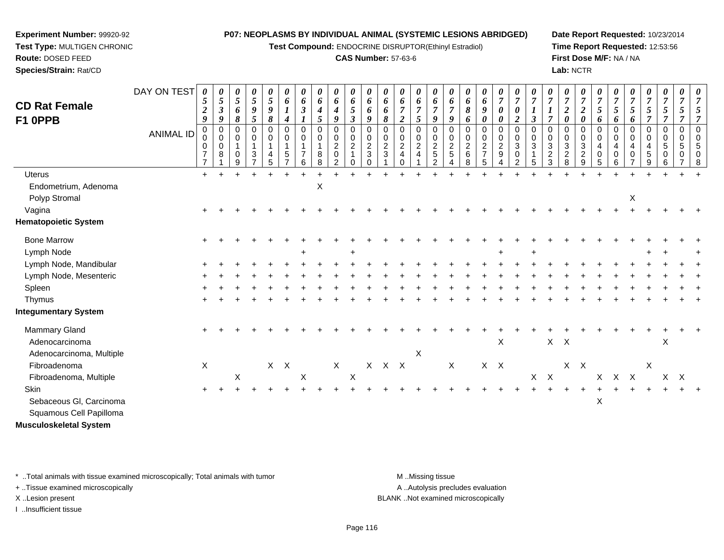**Test Compound:** ENDOCRINE DISRUPTOR(Ethinyl Estradiol)

### **CAS Number:** 57-63-6

**Date Report Requested:** 10/23/2014**Time Report Requested:** 12:53:56**First Dose M/F:** NA / NA**Lab:** NCTR

| <b>CD Rat Female</b><br>F1 OPPB        | DAY ON TEST      | 0<br>5<br>$\boldsymbol{2}$<br>9<br>$\mathbf 0$       | 0<br>5<br>$\boldsymbol{\beta}$<br>9<br>$\Omega$ | $\theta$<br>$\overline{5}$<br>6<br>8<br>$\Omega$           | 0<br>5<br>$\boldsymbol{9}$<br>5<br>$\Omega$           | 0<br>5<br>9<br>8<br>$\Omega$ | 0<br>6<br>$\boldsymbol{l}$<br>$\boldsymbol{4}$<br>$\mathbf 0$ | $\theta$<br>6<br>$\boldsymbol{\beta}$<br>$\Omega$ | 0<br>$\pmb{6}$<br>$\boldsymbol{4}$<br>$\mathfrak{s}$<br>$\mathbf 0$ | 0<br>6<br>4<br>9<br>0                             | $\boldsymbol{\theta}$<br>6<br>5<br>$\boldsymbol{\beta}$<br>$\Omega$ | 0<br>$\boldsymbol{6}$<br>6<br>9<br>$\mathbf 0$ | 0<br>6<br>6<br>8<br>$\mathbf 0$             | 0<br>6<br>$\overline{7}$<br>$\overline{2}$<br>$\Omega$ | 0<br>6<br>$\boldsymbol{7}$<br>5<br>$\mathbf 0$           | 0<br>6<br>$\overline{7}$<br>9<br>$\Omega$                          | 0<br>6<br>$\overline{7}$<br>9<br>$\Omega$        | 0<br>6<br>$\pmb{8}$<br>6<br>$\mathbf 0$ | $\theta$<br>6<br>9<br>$\boldsymbol{\theta}$<br>$\mathbf 0$ | $\boldsymbol{\theta}$<br>$\overline{7}$<br>$\boldsymbol{\theta}$<br>0<br>0 | 0<br>$\overline{7}$<br>$\boldsymbol{\theta}$<br>$\overline{2}$<br>$\mathbf 0$ | $\boldsymbol{\theta}$<br>$\overline{7}$<br>$\mathfrak{z}$<br>$\Omega$ | 0<br>$\boldsymbol{7}$<br>$\boldsymbol{l}$<br>$\overline{7}$<br>$\Omega$ | $\theta$<br>$\overline{7}$<br>$\boldsymbol{2}$<br>$\boldsymbol{\theta}$<br>$\Omega$ | 0<br>$\overline{7}$<br>$\overline{2}$<br>$\boldsymbol{\theta}$<br>0 | $\boldsymbol{\theta}$<br>$\overline{7}$<br>5<br>6<br>$\Omega$ | 0<br>$\overline{7}$<br>5<br>6<br>$\mathbf 0$ | $\boldsymbol{7}$<br>5<br>6<br>$\Omega$ | 0<br>$\overline{7}$<br>5<br>$\overline{7}$<br>0 | $\boldsymbol{\theta}$<br>$\overline{7}$<br>$\mathfrak{s}$<br>$\overline{7}$<br>0 | 0<br>$\overline{7}$<br>5<br>$\overline{7}$<br>$\mathbf 0$ | $\boldsymbol{\theta}$<br>$\overline{7}$ |
|----------------------------------------|------------------|------------------------------------------------------|-------------------------------------------------|------------------------------------------------------------|-------------------------------------------------------|------------------------------|---------------------------------------------------------------|---------------------------------------------------|---------------------------------------------------------------------|---------------------------------------------------|---------------------------------------------------------------------|------------------------------------------------|---------------------------------------------|--------------------------------------------------------|----------------------------------------------------------|--------------------------------------------------------------------|--------------------------------------------------|-----------------------------------------|------------------------------------------------------------|----------------------------------------------------------------------------|-------------------------------------------------------------------------------|-----------------------------------------------------------------------|-------------------------------------------------------------------------|-------------------------------------------------------------------------------------|---------------------------------------------------------------------|---------------------------------------------------------------|----------------------------------------------|----------------------------------------|-------------------------------------------------|----------------------------------------------------------------------------------|-----------------------------------------------------------|-----------------------------------------|
|                                        | <b>ANIMAL ID</b> | $\mathbf 0$<br>0<br>$\overline{7}$<br>$\overline{7}$ | 0<br>$\mathbf 0$<br>8                           | $\mathbf 0$<br>$\overline{\mathbf{1}}$<br>$\mathbf 0$<br>9 | 0<br>1<br>$\ensuremath{\mathsf{3}}$<br>$\overline{ }$ | 0<br>$\mathbf{1}$<br>4<br>5  | 0<br>$\mathbf{1}$<br>5<br>$\overline{ }$                      | 0<br>$\overline{7}$<br>6                          | $\mathbf 0$<br>$\mathbf{1}$<br>8<br>8                               | $\mathbf 0$<br>$\overline{c}$<br>$\mathsf 0$<br>2 | $\mathbf 0$<br>$\overline{c}$<br>$\mathbf{1}$<br>$\Omega$           | $\pmb{0}$<br>$\sqrt{2}$<br>3<br>0              | $\pmb{0}$<br>$\boldsymbol{2}$<br>$\sqrt{3}$ | 0<br>$\sqrt{2}$<br>$\overline{\mathbf{4}}$<br>$\Omega$ | $\mathbf 0$<br>$\overline{c}$<br>$\overline{\mathbf{4}}$ | $\boldsymbol{0}$<br>$\overline{c}$<br>$\sqrt{5}$<br>$\overline{2}$ | $\mathbf 0$<br>$\overline{c}$<br>$\sqrt{5}$<br>4 | 0<br>$\overline{c}$<br>$\,6\,$<br>8     | 0<br>$\boldsymbol{2}$<br>$\overline{7}$<br>5               | $\mathbf 0$<br>$\sqrt{2}$<br>$\boldsymbol{9}$<br>4                         | $\mathbf 0$<br>$\sqrt{3}$<br>$\pmb{0}$<br>$\overline{2}$                      | $\mathbf 0$<br>3<br>5                                                 | 0<br>$\ensuremath{\mathsf{3}}$<br>$\boldsymbol{2}$<br>3                 | 0<br>$\sqrt{3}$<br>$\overline{c}$<br>8                                              | $\mathbf 0$<br>$\mathbf{3}$<br>$\overline{2}$<br>9                  | $\mathbf 0$<br>4<br>$\pmb{0}$<br>5                            | $\mathbf 0$<br>$\overline{4}$<br>0<br>6      | 0<br>4<br>0                            | 0<br>4<br>5<br>9                                | $\mathbf 0$<br>$5\phantom{.0}$<br>$\mathbf 0$<br>6                               | $\mathbf 0$<br>$\overline{5}$<br>0                        |                                         |
| <b>Uterus</b>                          |                  | $+$                                                  |                                                 |                                                            |                                                       |                              |                                                               |                                                   |                                                                     |                                                   |                                                                     |                                                |                                             |                                                        |                                                          |                                                                    |                                                  |                                         |                                                            |                                                                            |                                                                               |                                                                       |                                                                         |                                                                                     |                                                                     |                                                               |                                              |                                        |                                                 |                                                                                  |                                                           |                                         |
| Endometrium, Adenoma<br>Polyp Stromal  |                  |                                                      |                                                 |                                                            |                                                       |                              |                                                               |                                                   | $\mathsf X$                                                         |                                                   |                                                                     |                                                |                                             |                                                        |                                                          |                                                                    |                                                  |                                         |                                                            |                                                                            |                                                                               |                                                                       |                                                                         |                                                                                     |                                                                     |                                                               |                                              | X                                      |                                                 |                                                                                  |                                                           |                                         |
| Vagina                                 |                  |                                                      |                                                 |                                                            |                                                       |                              |                                                               |                                                   |                                                                     |                                                   |                                                                     |                                                |                                             |                                                        |                                                          |                                                                    |                                                  |                                         |                                                            |                                                                            |                                                                               |                                                                       |                                                                         |                                                                                     |                                                                     |                                                               |                                              |                                        |                                                 |                                                                                  |                                                           |                                         |
| <b>Hematopoietic System</b>            |                  |                                                      |                                                 |                                                            |                                                       |                              |                                                               |                                                   |                                                                     |                                                   |                                                                     |                                                |                                             |                                                        |                                                          |                                                                    |                                                  |                                         |                                                            |                                                                            |                                                                               |                                                                       |                                                                         |                                                                                     |                                                                     |                                                               |                                              |                                        |                                                 |                                                                                  |                                                           |                                         |
| <b>Bone Marrow</b>                     |                  |                                                      |                                                 |                                                            |                                                       |                              |                                                               |                                                   |                                                                     |                                                   |                                                                     |                                                |                                             |                                                        |                                                          |                                                                    |                                                  |                                         |                                                            |                                                                            |                                                                               |                                                                       |                                                                         |                                                                                     |                                                                     |                                                               |                                              |                                        |                                                 |                                                                                  |                                                           |                                         |
| Lymph Node                             |                  |                                                      |                                                 |                                                            |                                                       |                              |                                                               |                                                   |                                                                     |                                                   |                                                                     |                                                |                                             |                                                        |                                                          |                                                                    |                                                  |                                         |                                                            |                                                                            |                                                                               | ÷                                                                     |                                                                         |                                                                                     |                                                                     |                                                               |                                              |                                        |                                                 |                                                                                  |                                                           |                                         |
| Lymph Node, Mandibular                 |                  |                                                      |                                                 |                                                            |                                                       |                              |                                                               |                                                   |                                                                     |                                                   |                                                                     |                                                |                                             |                                                        |                                                          |                                                                    |                                                  |                                         |                                                            |                                                                            |                                                                               |                                                                       |                                                                         |                                                                                     |                                                                     |                                                               |                                              |                                        |                                                 |                                                                                  |                                                           |                                         |
| Lymph Node, Mesenteric                 |                  |                                                      |                                                 |                                                            |                                                       |                              |                                                               |                                                   |                                                                     |                                                   |                                                                     |                                                |                                             |                                                        |                                                          |                                                                    |                                                  |                                         |                                                            |                                                                            |                                                                               |                                                                       |                                                                         |                                                                                     |                                                                     |                                                               |                                              |                                        |                                                 |                                                                                  |                                                           |                                         |
| Spleen                                 |                  |                                                      |                                                 |                                                            |                                                       |                              |                                                               |                                                   |                                                                     |                                                   |                                                                     |                                                |                                             |                                                        |                                                          |                                                                    |                                                  |                                         |                                                            |                                                                            |                                                                               |                                                                       |                                                                         |                                                                                     |                                                                     |                                                               |                                              |                                        |                                                 |                                                                                  |                                                           |                                         |
| Thymus                                 |                  |                                                      |                                                 |                                                            |                                                       |                              |                                                               |                                                   |                                                                     |                                                   |                                                                     |                                                |                                             |                                                        |                                                          |                                                                    |                                                  |                                         |                                                            |                                                                            |                                                                               |                                                                       |                                                                         |                                                                                     |                                                                     |                                                               |                                              |                                        |                                                 |                                                                                  |                                                           |                                         |
| <b>Integumentary System</b>            |                  |                                                      |                                                 |                                                            |                                                       |                              |                                                               |                                                   |                                                                     |                                                   |                                                                     |                                                |                                             |                                                        |                                                          |                                                                    |                                                  |                                         |                                                            |                                                                            |                                                                               |                                                                       |                                                                         |                                                                                     |                                                                     |                                                               |                                              |                                        |                                                 |                                                                                  |                                                           |                                         |
| <b>Mammary Gland</b><br>Adenocarcinoma |                  |                                                      |                                                 |                                                            |                                                       |                              |                                                               |                                                   |                                                                     |                                                   |                                                                     |                                                |                                             |                                                        |                                                          |                                                                    |                                                  |                                         |                                                            | $\pmb{\times}$                                                             |                                                                               |                                                                       | $\mathsf{X}$                                                            | $\mathsf{X}$                                                                        |                                                                     |                                                               |                                              |                                        |                                                 | X                                                                                |                                                           |                                         |
| Adenocarcinoma, Multiple               |                  |                                                      |                                                 |                                                            |                                                       |                              |                                                               |                                                   |                                                                     |                                                   |                                                                     |                                                |                                             |                                                        | X                                                        |                                                                    |                                                  |                                         |                                                            |                                                                            |                                                                               |                                                                       |                                                                         |                                                                                     |                                                                     |                                                               |                                              |                                        |                                                 |                                                                                  |                                                           |                                         |
| Fibroadenoma                           |                  | X                                                    |                                                 |                                                            |                                                       |                              | $X$ $X$                                                       |                                                   |                                                                     | $\mathsf{X}$                                      |                                                                     |                                                | X X X                                       |                                                        |                                                          |                                                                    | $\sf X$                                          |                                         | $X$ $X$                                                    |                                                                            |                                                                               |                                                                       |                                                                         |                                                                                     | $X$ $X$                                                             |                                                               |                                              |                                        | $\mathsf X$                                     |                                                                                  |                                                           |                                         |
| Fibroadenoma, Multiple                 |                  |                                                      |                                                 | X                                                          |                                                       |                              |                                                               | X                                                 |                                                                     |                                                   | $\boldsymbol{\mathsf{X}}$                                           |                                                |                                             |                                                        |                                                          |                                                                    |                                                  |                                         |                                                            |                                                                            |                                                                               |                                                                       | $X$ $X$                                                                 |                                                                                     |                                                                     | $\mathsf{X}$                                                  | $X$ $X$                                      |                                        |                                                 |                                                                                  | $X$ $X$                                                   |                                         |
| Skin                                   |                  |                                                      |                                                 |                                                            |                                                       |                              |                                                               |                                                   |                                                                     |                                                   |                                                                     |                                                |                                             |                                                        |                                                          |                                                                    |                                                  |                                         |                                                            |                                                                            |                                                                               |                                                                       |                                                                         |                                                                                     |                                                                     |                                                               |                                              |                                        |                                                 |                                                                                  |                                                           |                                         |
| Sebaceous Gl, Carcinoma                |                  |                                                      |                                                 |                                                            |                                                       |                              |                                                               |                                                   |                                                                     |                                                   |                                                                     |                                                |                                             |                                                        |                                                          |                                                                    |                                                  |                                         |                                                            |                                                                            |                                                                               |                                                                       |                                                                         |                                                                                     |                                                                     | $\boldsymbol{\mathsf{X}}$                                     |                                              |                                        |                                                 |                                                                                  |                                                           |                                         |
| Squamous Cell Papilloma                |                  |                                                      |                                                 |                                                            |                                                       |                              |                                                               |                                                   |                                                                     |                                                   |                                                                     |                                                |                                             |                                                        |                                                          |                                                                    |                                                  |                                         |                                                            |                                                                            |                                                                               |                                                                       |                                                                         |                                                                                     |                                                                     |                                                               |                                              |                                        |                                                 |                                                                                  |                                                           |                                         |
| <b>Musculoskeletal System</b>          |                  |                                                      |                                                 |                                                            |                                                       |                              |                                                               |                                                   |                                                                     |                                                   |                                                                     |                                                |                                             |                                                        |                                                          |                                                                    |                                                  |                                         |                                                            |                                                                            |                                                                               |                                                                       |                                                                         |                                                                                     |                                                                     |                                                               |                                              |                                        |                                                 |                                                                                  |                                                           |                                         |

\* ..Total animals with tissue examined microscopically; Total animals with tumor **M** . Missing tissue M ..Missing tissue

+ ..Tissue examined microscopically

**Experiment Number:** 99920-92**Test Type:** MULTIGEN CHRONIC

**Route:** DOSED FEED**Species/Strain:** Rat/CD

I ..Insufficient tissue

A ..Autolysis precludes evaluation

X ..Lesion present BLANK ..Not examined microscopically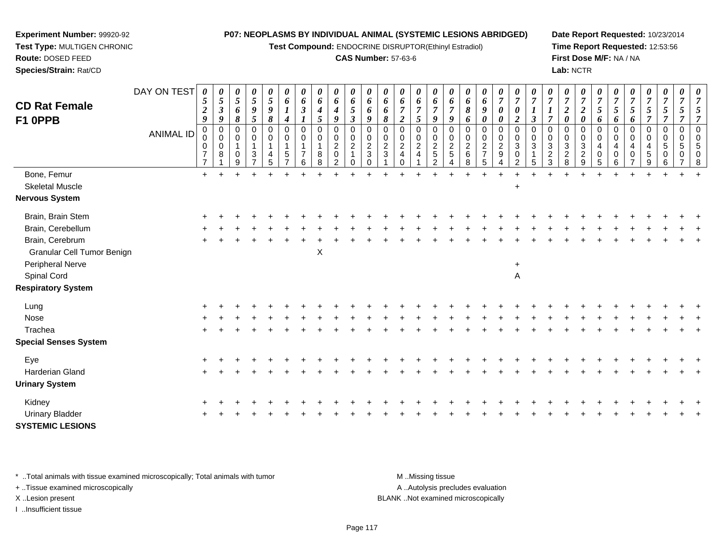**Test Compound:** ENDOCRINE DISRUPTOR(Ethinyl Estradiol)

#### **CAS Number:** 57-63-6

**Date Report Requested:** 10/23/2014**Time Report Requested:** 12:53:56**First Dose M/F:** NA / NA**Lab:** NCTR

| <b>CD Rat Female</b><br>F1 OPPB   | DAY ON TEST<br><b>ANIMAL ID</b> | 0<br>5<br>$\boldsymbol{2}$<br>9<br>0<br>$\mathbf 0$<br>0 | 0<br>$\mathfrak{s}$<br>$\boldsymbol{\beta}$<br>9<br>$\mathbf 0$<br>$\mathbf 0$ | 0<br>5<br>6<br>8<br>$\mathbf 0$<br>$\Omega$ | 0<br>5<br>9<br>5<br>0<br>0<br>$\mathbf{1}$ | 0<br>$\sqrt{5}$<br>$\boldsymbol{g}$<br>$\pmb{8}$<br>$\pmb{0}$<br>$\mathbf 0$<br>$\overline{1}$ | 0<br>6<br>$\boldsymbol{l}$<br>$\boldsymbol{4}$<br>$\mathbf 0$<br>0<br>$\mathbf{1}$ | 6<br>$\boldsymbol{\beta}$<br>$\Omega$<br>0<br>1 | 0<br>6<br>4<br>5<br>$\mathbf 0$<br>0 | $\pmb{\theta}$<br>6<br>$\boldsymbol{4}$<br>9<br>$\pmb{0}$<br>$\pmb{0}$<br>$\overline{2}$ | 0<br>6<br>$\sqrt{5}$<br>$\mathfrak{z}$<br>$\mathbf 0$<br>$\pmb{0}$<br>$\sqrt{2}$ | 0<br>6<br>6<br>9<br>$\mathbf 0$<br>$\pmb{0}$<br>$\overline{2}$ | 0<br>6<br>6<br>8<br>$\Omega$<br>$\mathbf 0$<br>$\overline{2}$ | 0<br>6<br>$\overline{7}$<br>$\overline{2}$<br>$\mathbf 0$<br>$\pmb{0}$<br>$\boldsymbol{2}$ | $\pmb{\theta}$<br>6<br>$\boldsymbol{7}$<br>5<br>$\boldsymbol{0}$<br>$\pmb{0}$<br>$\overline{2}$ | 0<br>6<br>$\overline{7}$<br>$\boldsymbol{q}$<br>0<br>0<br>$\overline{c}$ | 0<br>6<br>$\overline{7}$<br>9<br>$\mathbf 0$<br>0<br>$\boldsymbol{2}$ | 0<br>6<br>8<br>6<br>$\mathbf 0$<br>$\pmb{0}$<br>$\sqrt{2}$ | $\pmb{\theta}$<br>6<br>$\pmb{9}$<br>$\boldsymbol{\theta}$<br>0<br>$\mathbf 0$<br>$\sqrt{2}$ | 0<br>$\overline{7}$<br>$\boldsymbol{\theta}$<br>$\boldsymbol{\theta}$<br>$\pmb{0}$<br>$\boldsymbol{0}$<br>$\overline{2}$ | 0<br>$\overline{7}$<br>$\boldsymbol{\theta}$<br>$\overline{a}$<br>$\mathbf 0$<br>$\mathbf 0$<br>3 | $\boldsymbol{l}$<br>$\overline{\mathbf{3}}$<br>$\Omega$<br>$\Omega$<br>$\mathbf{3}$ | 0<br>$\overline{7}$<br>$\mathbf 0$<br>0<br>$\sqrt{3}$ | 0<br>$\boldsymbol{7}$<br>$\boldsymbol{2}$<br>0<br>0<br>0<br>$\mathbf{3}$ | 0<br>$\overline{7}$<br>$\boldsymbol{2}$<br>$\boldsymbol{\theta}$<br>$\mathbf 0$<br>$\mathbf 0$<br>$\sqrt{3}$ | 0<br>$\sqrt{5}$<br>6<br>$\mathbf 0$<br>0 | 5<br>6<br>$\Omega$<br>$\mathbf 0$<br>4 | 0<br>5<br>6<br>$\mathbf 0$<br>$\Omega$ | 0<br>$\boldsymbol{7}$<br>$\mathfrak{I}$<br>$\overline{7}$<br>0<br>0 | 0<br>$\boldsymbol{7}$<br>5<br>$\overline{7}$<br>$\mathbf 0$<br>$\mathbf 0$ | 0<br>$\overline{7}$<br>$\mathfrak{s}$<br>$\overline{7}$<br>$\mathbf 0$<br>$\mathbf 0$ | $\overline{7}$<br>5<br>$\overline{7}$<br>$\Omega$<br>$\mathbf 0$ |
|-----------------------------------|---------------------------------|----------------------------------------------------------|--------------------------------------------------------------------------------|---------------------------------------------|--------------------------------------------|------------------------------------------------------------------------------------------------|------------------------------------------------------------------------------------|-------------------------------------------------|--------------------------------------|------------------------------------------------------------------------------------------|----------------------------------------------------------------------------------|----------------------------------------------------------------|---------------------------------------------------------------|--------------------------------------------------------------------------------------------|-------------------------------------------------------------------------------------------------|--------------------------------------------------------------------------|-----------------------------------------------------------------------|------------------------------------------------------------|---------------------------------------------------------------------------------------------|--------------------------------------------------------------------------------------------------------------------------|---------------------------------------------------------------------------------------------------|-------------------------------------------------------------------------------------|-------------------------------------------------------|--------------------------------------------------------------------------|--------------------------------------------------------------------------------------------------------------|------------------------------------------|----------------------------------------|----------------------------------------|---------------------------------------------------------------------|----------------------------------------------------------------------------|---------------------------------------------------------------------------------------|------------------------------------------------------------------|
|                                   |                                 | $\overline{7}$                                           | 0<br>8                                                                         | $\Omega$<br>g                               | 3                                          | $\overline{4}$<br>5                                                                            | 5                                                                                  |                                                 | 8                                    | $\mathbf 0$                                                                              | $\Omega$                                                                         | $\sqrt{3}$<br>$\Omega$                                         | $\mathbf{3}$                                                  | $\overline{4}$<br>0                                                                        | $\overline{4}$                                                                                  | 5<br>$\mathcal{P}$                                                       | $\overline{5}$                                                        | $\,6\,$<br>8                                               | $\overline{7}$<br>5                                                                         | $9\,$                                                                                                                    | $\Omega$<br>$\mathfrak{p}$                                                                        |                                                                                     | $\overline{c}$<br>3                                   | $\overline{c}$<br>8                                                      | $\sqrt{2}$<br>9                                                                                              | 4<br>$\mathbf 0$<br>5                    | $\Omega$                               | 4<br>0                                 | 4<br>5                                                              | 5<br>0<br>6                                                                | 5<br>0                                                                                | 5<br>$\Omega$<br>8                                               |
| Bone, Femur                       |                                 | $\ddot{}$                                                |                                                                                |                                             |                                            |                                                                                                |                                                                                    |                                                 |                                      |                                                                                          |                                                                                  |                                                                |                                                               |                                                                                            |                                                                                                 |                                                                          |                                                                       |                                                            |                                                                                             |                                                                                                                          |                                                                                                   |                                                                                     |                                                       |                                                                          |                                                                                                              |                                          |                                        |                                        |                                                                     |                                                                            |                                                                                       |                                                                  |
| <b>Skeletal Muscle</b>            |                                 |                                                          |                                                                                |                                             |                                            |                                                                                                |                                                                                    |                                                 |                                      |                                                                                          |                                                                                  |                                                                |                                                               |                                                                                            |                                                                                                 |                                                                          |                                                                       |                                                            |                                                                                             |                                                                                                                          | $\ddot{}$                                                                                         |                                                                                     |                                                       |                                                                          |                                                                                                              |                                          |                                        |                                        |                                                                     |                                                                            |                                                                                       |                                                                  |
| <b>Nervous System</b>             |                                 |                                                          |                                                                                |                                             |                                            |                                                                                                |                                                                                    |                                                 |                                      |                                                                                          |                                                                                  |                                                                |                                                               |                                                                                            |                                                                                                 |                                                                          |                                                                       |                                                            |                                                                                             |                                                                                                                          |                                                                                                   |                                                                                     |                                                       |                                                                          |                                                                                                              |                                          |                                        |                                        |                                                                     |                                                                            |                                                                                       |                                                                  |
| Brain, Brain Stem                 |                                 |                                                          |                                                                                |                                             |                                            |                                                                                                |                                                                                    |                                                 |                                      |                                                                                          |                                                                                  |                                                                |                                                               |                                                                                            |                                                                                                 |                                                                          |                                                                       |                                                            |                                                                                             |                                                                                                                          |                                                                                                   |                                                                                     |                                                       |                                                                          |                                                                                                              |                                          |                                        |                                        |                                                                     |                                                                            |                                                                                       |                                                                  |
| Brain, Cerebellum                 |                                 |                                                          |                                                                                |                                             |                                            |                                                                                                |                                                                                    |                                                 |                                      |                                                                                          |                                                                                  |                                                                |                                                               |                                                                                            |                                                                                                 |                                                                          |                                                                       |                                                            |                                                                                             |                                                                                                                          |                                                                                                   |                                                                                     |                                                       |                                                                          |                                                                                                              |                                          |                                        |                                        |                                                                     |                                                                            |                                                                                       |                                                                  |
| Brain, Cerebrum                   |                                 |                                                          |                                                                                |                                             |                                            |                                                                                                |                                                                                    |                                                 |                                      |                                                                                          |                                                                                  |                                                                |                                                               |                                                                                            |                                                                                                 |                                                                          |                                                                       |                                                            |                                                                                             |                                                                                                                          |                                                                                                   |                                                                                     |                                                       |                                                                          |                                                                                                              |                                          |                                        |                                        |                                                                     |                                                                            |                                                                                       |                                                                  |
| <b>Granular Cell Tumor Benign</b> |                                 |                                                          |                                                                                |                                             |                                            |                                                                                                |                                                                                    |                                                 | $\pmb{\times}$                       |                                                                                          |                                                                                  |                                                                |                                                               |                                                                                            |                                                                                                 |                                                                          |                                                                       |                                                            |                                                                                             |                                                                                                                          |                                                                                                   |                                                                                     |                                                       |                                                                          |                                                                                                              |                                          |                                        |                                        |                                                                     |                                                                            |                                                                                       |                                                                  |
| Peripheral Nerve                  |                                 |                                                          |                                                                                |                                             |                                            |                                                                                                |                                                                                    |                                                 |                                      |                                                                                          |                                                                                  |                                                                |                                                               |                                                                                            |                                                                                                 |                                                                          |                                                                       |                                                            |                                                                                             |                                                                                                                          | $\ddot{}$                                                                                         |                                                                                     |                                                       |                                                                          |                                                                                                              |                                          |                                        |                                        |                                                                     |                                                                            |                                                                                       |                                                                  |
| Spinal Cord                       |                                 |                                                          |                                                                                |                                             |                                            |                                                                                                |                                                                                    |                                                 |                                      |                                                                                          |                                                                                  |                                                                |                                                               |                                                                                            |                                                                                                 |                                                                          |                                                                       |                                                            |                                                                                             |                                                                                                                          | $\overline{\mathsf{A}}$                                                                           |                                                                                     |                                                       |                                                                          |                                                                                                              |                                          |                                        |                                        |                                                                     |                                                                            |                                                                                       |                                                                  |
| <b>Respiratory System</b>         |                                 |                                                          |                                                                                |                                             |                                            |                                                                                                |                                                                                    |                                                 |                                      |                                                                                          |                                                                                  |                                                                |                                                               |                                                                                            |                                                                                                 |                                                                          |                                                                       |                                                            |                                                                                             |                                                                                                                          |                                                                                                   |                                                                                     |                                                       |                                                                          |                                                                                                              |                                          |                                        |                                        |                                                                     |                                                                            |                                                                                       |                                                                  |
| Lung                              |                                 |                                                          |                                                                                |                                             |                                            |                                                                                                |                                                                                    |                                                 |                                      |                                                                                          |                                                                                  |                                                                |                                                               |                                                                                            |                                                                                                 |                                                                          |                                                                       |                                                            |                                                                                             |                                                                                                                          |                                                                                                   |                                                                                     |                                                       |                                                                          |                                                                                                              |                                          |                                        |                                        |                                                                     |                                                                            |                                                                                       |                                                                  |
| Nose                              |                                 |                                                          |                                                                                |                                             |                                            |                                                                                                |                                                                                    |                                                 |                                      |                                                                                          |                                                                                  |                                                                |                                                               |                                                                                            |                                                                                                 |                                                                          |                                                                       |                                                            |                                                                                             |                                                                                                                          |                                                                                                   |                                                                                     |                                                       |                                                                          |                                                                                                              |                                          |                                        |                                        |                                                                     |                                                                            |                                                                                       |                                                                  |
| Trachea                           |                                 |                                                          |                                                                                |                                             |                                            |                                                                                                |                                                                                    |                                                 |                                      |                                                                                          |                                                                                  |                                                                |                                                               |                                                                                            |                                                                                                 |                                                                          |                                                                       |                                                            |                                                                                             |                                                                                                                          |                                                                                                   |                                                                                     |                                                       |                                                                          |                                                                                                              |                                          |                                        |                                        |                                                                     |                                                                            |                                                                                       |                                                                  |
| <b>Special Senses System</b>      |                                 |                                                          |                                                                                |                                             |                                            |                                                                                                |                                                                                    |                                                 |                                      |                                                                                          |                                                                                  |                                                                |                                                               |                                                                                            |                                                                                                 |                                                                          |                                                                       |                                                            |                                                                                             |                                                                                                                          |                                                                                                   |                                                                                     |                                                       |                                                                          |                                                                                                              |                                          |                                        |                                        |                                                                     |                                                                            |                                                                                       |                                                                  |
| Eye                               |                                 |                                                          |                                                                                |                                             |                                            |                                                                                                |                                                                                    |                                                 |                                      |                                                                                          |                                                                                  |                                                                |                                                               |                                                                                            |                                                                                                 |                                                                          |                                                                       |                                                            |                                                                                             |                                                                                                                          |                                                                                                   |                                                                                     |                                                       |                                                                          |                                                                                                              |                                          |                                        |                                        |                                                                     |                                                                            |                                                                                       |                                                                  |
| Harderian Gland                   |                                 |                                                          |                                                                                |                                             |                                            |                                                                                                |                                                                                    |                                                 |                                      |                                                                                          |                                                                                  |                                                                |                                                               |                                                                                            |                                                                                                 |                                                                          |                                                                       |                                                            |                                                                                             |                                                                                                                          |                                                                                                   |                                                                                     |                                                       |                                                                          |                                                                                                              |                                          |                                        |                                        |                                                                     |                                                                            |                                                                                       |                                                                  |
| <b>Urinary System</b>             |                                 |                                                          |                                                                                |                                             |                                            |                                                                                                |                                                                                    |                                                 |                                      |                                                                                          |                                                                                  |                                                                |                                                               |                                                                                            |                                                                                                 |                                                                          |                                                                       |                                                            |                                                                                             |                                                                                                                          |                                                                                                   |                                                                                     |                                                       |                                                                          |                                                                                                              |                                          |                                        |                                        |                                                                     |                                                                            |                                                                                       |                                                                  |
| Kidney                            |                                 |                                                          |                                                                                |                                             |                                            |                                                                                                |                                                                                    |                                                 |                                      |                                                                                          |                                                                                  |                                                                |                                                               |                                                                                            |                                                                                                 |                                                                          |                                                                       |                                                            |                                                                                             |                                                                                                                          |                                                                                                   |                                                                                     |                                                       |                                                                          |                                                                                                              |                                          |                                        |                                        |                                                                     |                                                                            |                                                                                       |                                                                  |
| <b>Urinary Bladder</b>            |                                 |                                                          |                                                                                |                                             |                                            |                                                                                                |                                                                                    |                                                 |                                      |                                                                                          |                                                                                  |                                                                |                                                               |                                                                                            |                                                                                                 |                                                                          |                                                                       |                                                            |                                                                                             |                                                                                                                          |                                                                                                   |                                                                                     |                                                       |                                                                          |                                                                                                              |                                          |                                        |                                        |                                                                     |                                                                            |                                                                                       |                                                                  |
| <b>SYSTEMIC LESIONS</b>           |                                 |                                                          |                                                                                |                                             |                                            |                                                                                                |                                                                                    |                                                 |                                      |                                                                                          |                                                                                  |                                                                |                                                               |                                                                                            |                                                                                                 |                                                                          |                                                                       |                                                            |                                                                                             |                                                                                                                          |                                                                                                   |                                                                                     |                                                       |                                                                          |                                                                                                              |                                          |                                        |                                        |                                                                     |                                                                            |                                                                                       |                                                                  |

\* ..Total animals with tissue examined microscopically; Total animals with tumor **M** . Missing tissue M ..Missing tissue

+ ..Tissue examined microscopically

**Experiment Number:** 99920-92**Test Type:** MULTIGEN CHRONIC

**Route:** DOSED FEED**Species/Strain:** Rat/CD

I ..Insufficient tissue

A ..Autolysis precludes evaluation X ..Lesion present BLANK ..Not examined microscopically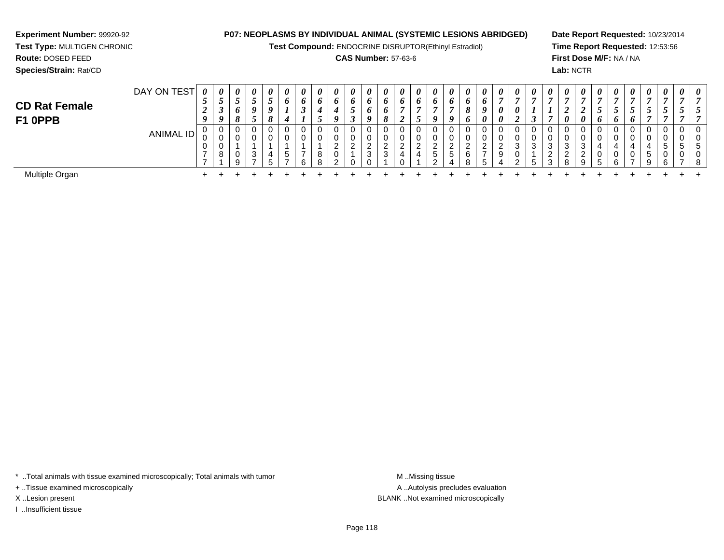**Test Compound:** ENDOCRINE DISRUPTOR(Ethinyl Estradiol)

## **CAS Number:** 57-63-6

**Date Report Requested:** 10/23/2014**Time Report Requested:** 12:53:56**First Dose M/F:** NA / NA**Lab:** NCTR

| <b>CD Rat Female</b><br>F1 OPPB | DAY ON TEST      | 0<br>◡<br>◢<br>$\boldsymbol{0}$ | $\boldsymbol{\theta}$<br>$\boldsymbol{o}$ | $\theta$<br>◡<br>O<br>$\mathbf{o}$<br>$\mathbf o$ | 0<br>$\overline{\phantom{0}}$<br>$\mathcal{L}$<br>9<br>$\mathcal{L}$ | $\boldsymbol{\theta}$<br>◡<br>$\boldsymbol{0}$<br>$\mathbf{o}$ | 0<br>6<br>4 | 0<br>6<br>◡        | $\boldsymbol{\theta}$<br>6 | 0<br>$\bm{o}$<br>$\boldsymbol{a}$ | $\boldsymbol{\theta}$<br>$\bm{o}$<br>ູ<br>◡ | $\boldsymbol{\theta}$<br>6<br>$\bm{b}$<br>9 | 0<br>o<br>6<br>8 | 0<br>6 | $\theta$<br>o | $\theta$<br>$\bm{o}$<br>u    | 0<br>$\bm{o}$<br>9  | $\boldsymbol{\theta}$<br>$\bm{o}$<br>$\mathbf o$<br>$\bm{o}$ | $\boldsymbol{\theta}$<br>6<br>$\boldsymbol{\theta}$ | 0<br>0<br>0     | $\boldsymbol{\theta}$<br>$\boldsymbol{\eta}$<br>◢ | 0<br>$\mathbf{r}$ | $\boldsymbol{\theta}$ | $\boldsymbol{\theta}$<br>ി<br>◢<br>$\boldsymbol{\theta}$ | $\boldsymbol{\theta}$<br>$\boldsymbol{\mathit{U}}$ | $\boldsymbol{\theta}$ | 0<br>$\overline{ }$<br>6 | $\theta$<br>$\mathbf{r}$<br>J<br>6 | $\boldsymbol{\theta}$<br>$\mathcal{L}$ | $\boldsymbol{\theta}$<br>◡       | 0<br>◡ | 0 |
|---------------------------------|------------------|---------------------------------|-------------------------------------------|---------------------------------------------------|----------------------------------------------------------------------|----------------------------------------------------------------|-------------|--------------------|----------------------------|-----------------------------------|---------------------------------------------|---------------------------------------------|------------------|--------|---------------|------------------------------|---------------------|--------------------------------------------------------------|-----------------------------------------------------|-----------------|---------------------------------------------------|-------------------|-----------------------|----------------------------------------------------------|----------------------------------------------------|-----------------------|--------------------------|------------------------------------|----------------------------------------|----------------------------------|--------|---|
|                                 | <b>ANIMAL ID</b> | U<br>ັບ<br>v                    | U<br>U<br>U<br>8                          | 0<br>0<br>U<br>Q                                  | 0<br>3<br>$\overline{ }$                                             | 0<br>0<br>4<br>∽                                               | G           | 0<br>0<br>-<br>ี ค | U<br>U<br>8<br>R           | 0<br>0<br>ົ<br>0<br>ົ             | 0<br>U<br>ົ<br><u>_</u>                     | 0<br>0<br>ົ<br>3<br>$\cap$                  | $\sim$           |        | U<br>U        | 0<br>ົ<br><u>_</u><br>5<br>◠ | ົ<br><u>_</u><br>.5 | 0<br>0<br>ົ<br><u>_</u><br>6<br>8                            | -                                                   | $\epsilon$<br>9 | ึ<br>J<br>◡<br>ີ                                  | 0<br>0<br>3<br>Б. | 0<br>3<br>2<br>3      | 0<br>0<br>3<br>ົ<br><u>_</u><br>R                        | Q                                                  |                       | 0<br>0<br>0<br>ĥ.        | 0<br>4<br>0<br>-                   | 0<br>0<br>4<br>$\mathbf{p}$<br>Q       | 0<br>0<br>$\mathbf{p}$<br>0<br>6 | -      |   |
| Multiple Organ                  |                  |                                 |                                           |                                                   |                                                                      |                                                                |             |                    |                            |                                   |                                             |                                             |                  |        |               |                              |                     |                                                              |                                                     |                 |                                                   |                   |                       |                                                          |                                                    |                       |                          |                                    |                                        |                                  |        |   |

\* ..Total animals with tissue examined microscopically; Total animals with tumor **M** . Missing tissue M ..Missing tissue

+ ..Tissue examined microscopically

**Experiment Number:** 99920-92**Test Type:** MULTIGEN CHRONIC

**Route:** DOSED FEED**Species/Strain:** Rat/CD

I ..Insufficient tissue

A ..Autolysis precludes evaluation X ..Lesion present BLANK ..Not examined microscopically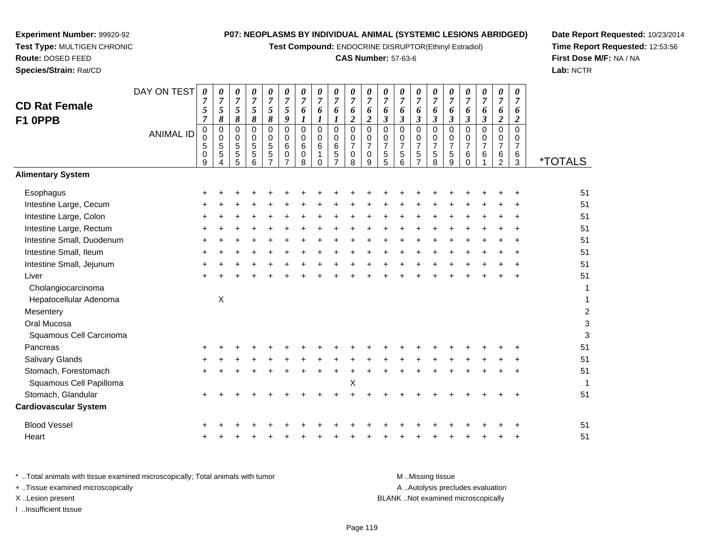**Test Compound:** ENDOCRINE DISRUPTOR(Ethinyl Estradiol)

## **CAS Number:** 57-63-6

**Date Report Requested:** 10/23/2014**Time Report Requested:** 12:53:56**First Dose M/F:** NA / NA**Lab:** NCTR

| <b>CD Rat Female</b><br>F1 OPPB | DAY ON TEST<br><b>ANIMAL ID</b> | 0<br>5<br>7<br>5<br>$\mathbf 0$<br>9 | 0<br>$\boldsymbol{7}$<br>5<br>8<br>0<br>0<br>5<br>5 | 0<br>7<br>5<br>8<br>0<br>0<br>5<br>5<br>5 | 0<br>$\overline{7}$<br>5<br>8<br>$\Omega$<br>0<br>5<br>$\sqrt{5}$<br>6 | $\overline{7}$<br>5<br>8<br>0<br>0<br>$\mathbf 5$<br>5 | $\boldsymbol{\theta}$<br>$\overline{7}$<br>9<br>0<br>0<br>6<br>$\mathbf 0$<br>$\overline{ }$ | 0<br>$\overline{7}$<br>6<br>0<br>0<br>6<br>0<br>8 | $\overline{ }$<br>6<br>0<br>6 | 0<br>$\overline{7}$<br>6<br>$\Omega$<br>0<br>6<br>5<br>$\overline{ }$ | 0<br>$\overline{7}$<br>2<br>0<br>0<br>8 | 0<br>$\overline{7}$<br>6<br>$\overline{2}$<br>$\Omega$<br>0<br>$\overline{7}$<br>$\mathbf 0$<br>9 | 0<br>$\overline{7}$<br>3<br>$\Omega$<br>7<br>5<br>5 | 0<br>$\boldsymbol{7}$<br>6<br>$\boldsymbol{\beta}$<br>$\Omega$<br>0<br>7<br>5<br>6 | 0<br>$\overline{7}$<br>6<br>$\boldsymbol{\beta}$<br>0<br>0<br>$\overline{7}$<br>5<br>$\overline{ }$ | $\overline{7}$<br>6<br>3<br>0<br>0<br>5<br>8 | 0<br>$\overline{7}$<br>6<br>$\boldsymbol{\beta}$<br>$\Omega$<br>0<br>7<br>$\sqrt{5}$<br>9 | 0<br>$\overline{7}$<br>6<br>3<br>0<br>0<br>7<br>$\,6$ | $\boldsymbol{\theta}$<br>$\overline{7}$<br>6<br>3<br>$\Omega$<br>0<br>$\overline{7}$<br>6 | 0<br>$\overline{7}$<br>6<br>2<br>$\Omega$<br>$\overline{7}$<br>6<br>2 | 0<br>6<br>2<br>0<br>$\overline{ }$<br>6<br>3 | <i><b>*TOTALS</b></i> |
|---------------------------------|---------------------------------|--------------------------------------|-----------------------------------------------------|-------------------------------------------|------------------------------------------------------------------------|--------------------------------------------------------|----------------------------------------------------------------------------------------------|---------------------------------------------------|-------------------------------|-----------------------------------------------------------------------|-----------------------------------------|---------------------------------------------------------------------------------------------------|-----------------------------------------------------|------------------------------------------------------------------------------------|-----------------------------------------------------------------------------------------------------|----------------------------------------------|-------------------------------------------------------------------------------------------|-------------------------------------------------------|-------------------------------------------------------------------------------------------|-----------------------------------------------------------------------|----------------------------------------------|-----------------------|
| <b>Alimentary System</b>        |                                 |                                      |                                                     |                                           |                                                                        |                                                        |                                                                                              |                                                   |                               |                                                                       |                                         |                                                                                                   |                                                     |                                                                                    |                                                                                                     |                                              |                                                                                           |                                                       |                                                                                           |                                                                       |                                              |                       |
| Esophagus                       |                                 |                                      |                                                     |                                           |                                                                        |                                                        |                                                                                              |                                                   |                               |                                                                       |                                         |                                                                                                   |                                                     |                                                                                    |                                                                                                     |                                              |                                                                                           |                                                       |                                                                                           |                                                                       |                                              | 5 <sup>1</sup>        |
| Intestine Large, Cecum          |                                 |                                      |                                                     |                                           |                                                                        |                                                        |                                                                                              |                                                   |                               |                                                                       |                                         |                                                                                                   |                                                     |                                                                                    |                                                                                                     |                                              |                                                                                           |                                                       |                                                                                           |                                                                       |                                              | 5 <sup>1</sup>        |
| Intestine Large, Colon          |                                 |                                      |                                                     |                                           |                                                                        |                                                        |                                                                                              |                                                   |                               |                                                                       |                                         |                                                                                                   |                                                     |                                                                                    |                                                                                                     |                                              |                                                                                           |                                                       |                                                                                           |                                                                       |                                              | 5 <sup>1</sup>        |
| Intestine Large, Rectum         |                                 |                                      |                                                     |                                           |                                                                        |                                                        |                                                                                              |                                                   |                               |                                                                       |                                         |                                                                                                   |                                                     |                                                                                    |                                                                                                     |                                              |                                                                                           |                                                       |                                                                                           |                                                                       |                                              | 5 <sup>1</sup>        |
| Intestine Small, Duodenum       |                                 |                                      |                                                     |                                           |                                                                        |                                                        |                                                                                              |                                                   |                               |                                                                       |                                         |                                                                                                   |                                                     |                                                                                    |                                                                                                     |                                              |                                                                                           |                                                       |                                                                                           |                                                                       |                                              | 5 <sup>1</sup>        |
| Intestine Small, Ileum          |                                 |                                      |                                                     |                                           |                                                                        |                                                        |                                                                                              |                                                   |                               |                                                                       |                                         |                                                                                                   |                                                     |                                                                                    |                                                                                                     |                                              |                                                                                           |                                                       |                                                                                           |                                                                       | ÷                                            | 5 <sup>1</sup>        |
| Intestine Small, Jejunum        |                                 |                                      |                                                     |                                           |                                                                        |                                                        |                                                                                              |                                                   |                               |                                                                       |                                         |                                                                                                   |                                                     |                                                                                    |                                                                                                     |                                              |                                                                                           |                                                       |                                                                                           |                                                                       | ÷                                            | 5 <sup>1</sup>        |
| Liver                           |                                 |                                      |                                                     |                                           |                                                                        |                                                        |                                                                                              |                                                   |                               |                                                                       |                                         |                                                                                                   |                                                     |                                                                                    |                                                                                                     |                                              |                                                                                           |                                                       |                                                                                           |                                                                       |                                              | 5 <sup>1</sup>        |
| Cholangiocarcinoma              |                                 |                                      |                                                     |                                           |                                                                        |                                                        |                                                                                              |                                                   |                               |                                                                       |                                         |                                                                                                   |                                                     |                                                                                    |                                                                                                     |                                              |                                                                                           |                                                       |                                                                                           |                                                                       |                                              |                       |
| Hepatocellular Adenoma          |                                 |                                      | X                                                   |                                           |                                                                        |                                                        |                                                                                              |                                                   |                               |                                                                       |                                         |                                                                                                   |                                                     |                                                                                    |                                                                                                     |                                              |                                                                                           |                                                       |                                                                                           |                                                                       |                                              |                       |
| Mesentery                       |                                 |                                      |                                                     |                                           |                                                                        |                                                        |                                                                                              |                                                   |                               |                                                                       |                                         |                                                                                                   |                                                     |                                                                                    |                                                                                                     |                                              |                                                                                           |                                                       |                                                                                           |                                                                       |                                              |                       |
| Oral Mucosa                     |                                 |                                      |                                                     |                                           |                                                                        |                                                        |                                                                                              |                                                   |                               |                                                                       |                                         |                                                                                                   |                                                     |                                                                                    |                                                                                                     |                                              |                                                                                           |                                                       |                                                                                           |                                                                       |                                              |                       |
| Squamous Cell Carcinoma         |                                 |                                      |                                                     |                                           |                                                                        |                                                        |                                                                                              |                                                   |                               |                                                                       |                                         |                                                                                                   |                                                     |                                                                                    |                                                                                                     |                                              |                                                                                           |                                                       |                                                                                           |                                                                       |                                              |                       |

DAY ON TEST

**Experiment Number:** 99920-92**Test Type:** MULTIGEN CHRONIC

**Route:** DOSED FEED**Species/Strain:** Rat/CD

| Mesentery                    |       |  |  |  |  |   |  |   |  |  |       | 2  |
|------------------------------|-------|--|--|--|--|---|--|---|--|--|-------|----|
| Oral Mucosa                  |       |  |  |  |  |   |  |   |  |  |       | 3  |
| Squamous Cell Carcinoma      |       |  |  |  |  |   |  |   |  |  |       | 3  |
| Pancreas                     | $\pm$ |  |  |  |  |   |  |   |  |  | $\pm$ | 51 |
| <b>Salivary Glands</b>       | $+$   |  |  |  |  |   |  |   |  |  |       | 51 |
| Stomach, Forestomach         | $\pm$ |  |  |  |  |   |  | ÷ |  |  | $\pm$ | 51 |
| Squamous Cell Papilloma      |       |  |  |  |  | X |  |   |  |  |       | 1  |
| Stomach, Glandular           | $\pm$ |  |  |  |  |   |  |   |  |  |       | 51 |
| <b>Cardiovascular System</b> |       |  |  |  |  |   |  |   |  |  |       |    |
| <b>Blood Vessel</b>          | $\pm$ |  |  |  |  |   |  |   |  |  |       | 51 |
| Heart                        |       |  |  |  |  |   |  |   |  |  |       | 51 |

| * Total animals with tissue examined microscopically; Total animals with tumor | M Missing tissue                   |
|--------------------------------------------------------------------------------|------------------------------------|
| + Tissue examined microscopically                                              | A Autolysis precludes evaluation   |
| X Lesion present                                                               | BLANK Not examined microscopically |
| Insufficient tissue                                                            |                                    |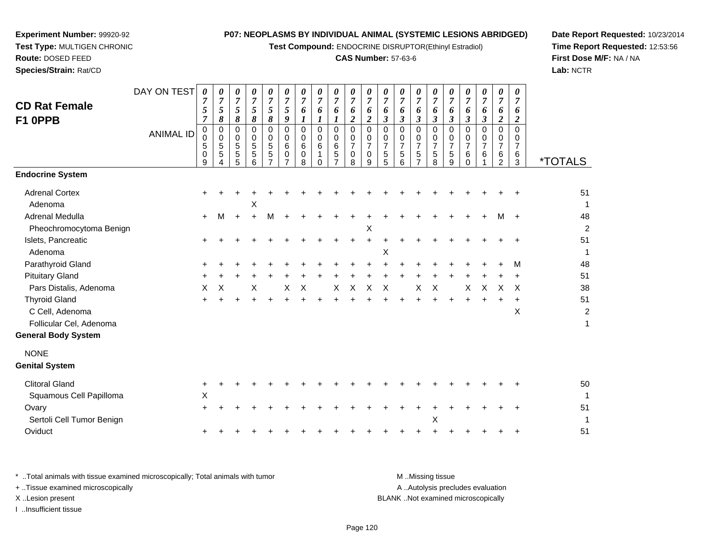**Test Compound:** ENDOCRINE DISRUPTOR(Ethinyl Estradiol)

## **CAS Number:** 57-63-6

**Date Report Requested:** 10/23/2014**Time Report Requested:** 12:53:56**First Dose M/F:** NA / NA**Lab:** NCTR

| Species/Strain: Rat/CD                                                                           |                                 |                                              |                                                                  |                                                          |                                              |                                                                          |                                                               |                                                       |                                                                                 |                                 |                                                                                 |                                                                                    |                                                                                     |                                                                  |                                                                                                  |                                                                     |                                                                     |                                                                              |                                              |                                                                                    |                                                                  | Lab: NCTF                          |
|--------------------------------------------------------------------------------------------------|---------------------------------|----------------------------------------------|------------------------------------------------------------------|----------------------------------------------------------|----------------------------------------------|--------------------------------------------------------------------------|---------------------------------------------------------------|-------------------------------------------------------|---------------------------------------------------------------------------------|---------------------------------|---------------------------------------------------------------------------------|------------------------------------------------------------------------------------|-------------------------------------------------------------------------------------|------------------------------------------------------------------|--------------------------------------------------------------------------------------------------|---------------------------------------------------------------------|---------------------------------------------------------------------|------------------------------------------------------------------------------|----------------------------------------------|------------------------------------------------------------------------------------|------------------------------------------------------------------|------------------------------------|
| <b>CD Rat Female</b><br>F1 OPPB                                                                  | DAY ON TEST<br><b>ANIMAL ID</b> | $\pmb{\theta}$<br>7<br>5<br>7<br>0<br>0<br>5 | 0<br>$\overline{7}$<br>5<br>8<br>$\mathbf 0$<br>$\mathbf 0$<br>5 | 0<br>$\boldsymbol{7}$<br>5<br>8<br>$\mathbf 0$<br>0<br>5 | 0<br>$\overline{7}$<br>5<br>8<br>0<br>0<br>5 | 0<br>$\overline{7}$<br>$\sqrt{5}$<br>8<br>$\mathbf 0$<br>0<br>$\sqrt{5}$ | 0<br>$\overline{7}$<br>5<br>9<br>$\mathbf 0$<br>$\Omega$<br>6 | 0<br>$\overline{7}$<br>6<br>$\Omega$<br>$\Omega$<br>6 | 0<br>$\overline{7}$<br>6<br>$\boldsymbol{l}$<br>$\mathbf 0$<br>$\mathbf 0$<br>6 | 0<br>7<br>6<br>1<br>0<br>0<br>6 | 0<br>$\overline{7}$<br>6<br>$\boldsymbol{2}$<br>$\Omega$<br>0<br>$\overline{7}$ | 0<br>$\overline{7}$<br>6<br>$\boldsymbol{2}$<br>$\mathbf 0$<br>0<br>$\overline{7}$ | 0<br>$\overline{7}$<br>6<br>$\boldsymbol{\beta}$<br>$\Omega$<br>0<br>$\overline{7}$ | 0<br>$\overline{7}$<br>6<br>3<br>$\Omega$<br>0<br>$\overline{7}$ | 0<br>$\overline{7}$<br>6<br>$\boldsymbol{\beta}$<br>$\mathbf 0$<br>$\mathbf 0$<br>$\overline{7}$ | 0<br>$\overline{7}$<br>6<br>3<br>$\mathbf 0$<br>0<br>$\overline{7}$ | 0<br>$\overline{7}$<br>6<br>3<br>0<br>0<br>$\overline{\mathcal{I}}$ | 0<br>$\overline{7}$<br>6<br>$\boldsymbol{\beta}$<br>0<br>0<br>$\overline{7}$ | 0<br>$\overline{7}$<br>6<br>3<br>0<br>0<br>7 | 0<br>$\overline{7}$<br>6<br>$\boldsymbol{2}$<br>$\mathbf 0$<br>0<br>$\overline{7}$ | 0<br>7<br>6<br>$\overline{2}$<br>$\Omega$<br>0<br>$\overline{7}$ |                                    |
|                                                                                                  |                                 | 0<br>9                                       | 5                                                                | $\mathbf 5$<br>5                                         | 5<br>6                                       | $\,$ 5 $\,$                                                              | 0                                                             | 0<br>8                                                | 1<br>$\Omega$                                                                   | 5                               | 0<br>8                                                                          | 0<br>9                                                                             | $\sqrt{5}$<br>5                                                                     | 5<br>6                                                           | 5                                                                                                | $\,$ 5 $\,$<br>8                                                    | 5<br>9                                                              | 6<br>$\Omega$                                                                | 6                                            | $\,6\,$<br>$\mathfrak{p}$                                                          | 6<br>3                                                           | <i><b>*TOTALS</b></i>              |
| <b>Endocrine System</b>                                                                          |                                 |                                              |                                                                  |                                                          |                                              |                                                                          |                                                               |                                                       |                                                                                 |                                 |                                                                                 |                                                                                    |                                                                                     |                                                                  |                                                                                                  |                                                                     |                                                                     |                                                                              |                                              |                                                                                    |                                                                  |                                    |
| <b>Adrenal Cortex</b><br>Adenoma                                                                 |                                 |                                              |                                                                  |                                                          | х                                            |                                                                          |                                                               |                                                       |                                                                                 |                                 |                                                                                 |                                                                                    |                                                                                     |                                                                  |                                                                                                  |                                                                     |                                                                     |                                                                              |                                              |                                                                                    |                                                                  | 51<br>1                            |
| Adrenal Medulla<br>Pheochromocytoma Benign                                                       |                                 |                                              | м                                                                | $\ddot{}$                                                | $\ddot{}$                                    | м                                                                        |                                                               |                                                       |                                                                                 |                                 |                                                                                 | Χ                                                                                  |                                                                                     |                                                                  |                                                                                                  |                                                                     |                                                                     |                                                                              |                                              | м                                                                                  | $\ddot{}$                                                        | 48<br>2                            |
| Islets, Pancreatic<br>Adenoma                                                                    |                                 |                                              |                                                                  |                                                          |                                              |                                                                          |                                                               |                                                       |                                                                                 |                                 |                                                                                 | +                                                                                  | X                                                                                   |                                                                  |                                                                                                  |                                                                     |                                                                     |                                                                              |                                              |                                                                                    |                                                                  | 51<br>1                            |
| Parathyroid Gland                                                                                |                                 |                                              |                                                                  |                                                          |                                              |                                                                          |                                                               |                                                       |                                                                                 |                                 |                                                                                 |                                                                                    |                                                                                     |                                                                  |                                                                                                  |                                                                     |                                                                     |                                                                              |                                              |                                                                                    | M                                                                | 48                                 |
| <b>Pituitary Gland</b>                                                                           |                                 |                                              |                                                                  |                                                          |                                              |                                                                          |                                                               |                                                       |                                                                                 |                                 |                                                                                 |                                                                                    |                                                                                     |                                                                  |                                                                                                  |                                                                     |                                                                     |                                                                              |                                              |                                                                                    |                                                                  | 51                                 |
| Pars Distalis, Adenoma                                                                           |                                 | X                                            | X                                                                |                                                          | X                                            |                                                                          | Χ                                                             | X                                                     |                                                                                 | X                               | X                                                                               | $\boldsymbol{\mathsf{X}}$                                                          | X                                                                                   |                                                                  | X                                                                                                | X                                                                   |                                                                     | X                                                                            | $\sf X$                                      | X                                                                                  | X                                                                | 38                                 |
| <b>Thyroid Gland</b><br>C Cell, Adenoma<br>Follicular Cel, Adenoma<br><b>General Body System</b> |                                 |                                              |                                                                  |                                                          |                                              |                                                                          |                                                               |                                                       |                                                                                 |                                 |                                                                                 |                                                                                    |                                                                                     |                                                                  |                                                                                                  |                                                                     | $\div$                                                              | ÷                                                                            | $\ddot{}$                                    | $\ddot{}$                                                                          | $\ddot{}$<br>X                                                   | 51<br>$\overline{\mathbf{c}}$<br>1 |
| <b>NONE</b><br><b>Genital System</b>                                                             |                                 |                                              |                                                                  |                                                          |                                              |                                                                          |                                                               |                                                       |                                                                                 |                                 |                                                                                 |                                                                                    |                                                                                     |                                                                  |                                                                                                  |                                                                     |                                                                     |                                                                              |                                              |                                                                                    |                                                                  |                                    |
|                                                                                                  |                                 |                                              |                                                                  |                                                          |                                              |                                                                          |                                                               |                                                       |                                                                                 |                                 |                                                                                 |                                                                                    |                                                                                     |                                                                  |                                                                                                  |                                                                     |                                                                     |                                                                              |                                              |                                                                                    |                                                                  |                                    |
| <b>Clitoral Gland</b><br>Squamous Cell Papilloma                                                 |                                 | Χ                                            |                                                                  |                                                          |                                              |                                                                          |                                                               |                                                       |                                                                                 |                                 |                                                                                 |                                                                                    |                                                                                     |                                                                  |                                                                                                  |                                                                     |                                                                     |                                                                              |                                              |                                                                                    |                                                                  | 50<br>1                            |
| Ovary<br>Sertoli Cell Tumor Benign                                                               |                                 | $\div$                                       |                                                                  |                                                          |                                              |                                                                          |                                                               |                                                       |                                                                                 |                                 |                                                                                 |                                                                                    |                                                                                     |                                                                  |                                                                                                  | X                                                                   |                                                                     |                                                                              |                                              |                                                                                    |                                                                  | 51                                 |
| Oviduct                                                                                          |                                 |                                              |                                                                  |                                                          |                                              |                                                                          |                                                               |                                                       |                                                                                 |                                 |                                                                                 |                                                                                    |                                                                                     |                                                                  |                                                                                                  |                                                                     |                                                                     |                                                                              |                                              |                                                                                    | +                                                                | 51                                 |

**Experiment Number:** 99920-92**Test Type:** MULTIGEN CHRONIC

**Route:** DOSED FEED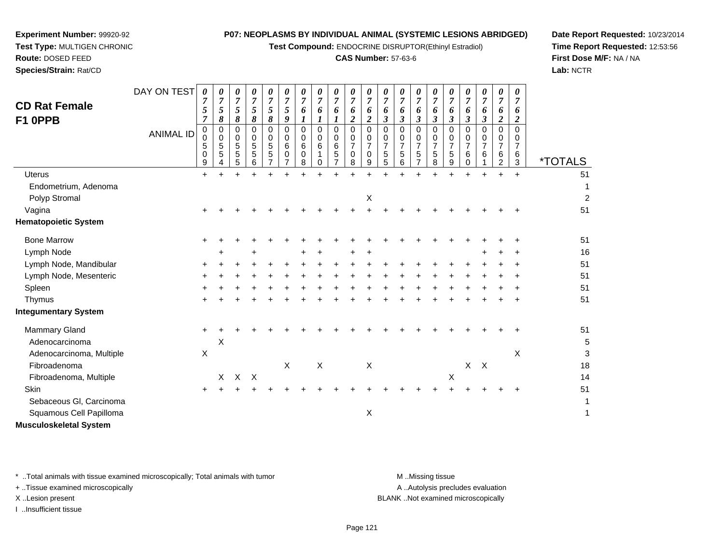**Test Compound:** ENDOCRINE DISRUPTOR(Ethinyl Estradiol)

## **CAS Number:** 57-63-6

**Date Report Requested:** 10/23/2014**Time Report Requested:** 12:53:56**First Dose M/F:** NA / NA**Lab:** NCTR

| <b>CD Rat Female</b><br>F1 OPPB | DAY ON TEST<br><b>ANIMAL ID</b> | 0<br>$\boldsymbol{7}$<br>$\sqrt{5}$<br>$\overline{7}$<br>0<br>0<br>5<br>0<br>9 | 0<br>$\overline{7}$<br>$\sqrt{5}$<br>8<br>0<br>$\mathbf 0$<br>$\mathbf 5$<br>5 | $\boldsymbol{7}$<br>5<br>8<br>0<br>0<br>5<br>5<br>5 | 0<br>$\overline{7}$<br>$\sqrt{5}$<br>8<br>$\mathbf 0$<br>0<br>5<br>5<br>6 | 0<br>$\overline{7}$<br>$\sqrt{5}$<br>8<br>$\mathbf 0$<br>0<br>$\sqrt{5}$<br>5 | 0<br>$\overline{7}$<br>5<br>9<br>$\Omega$<br>0<br>6<br>0<br>$\overline{7}$ | 0<br>$\boldsymbol{7}$<br>6<br>$\mathbf 0$<br>0<br>6<br>0<br>8 | 0<br>$\overline{7}$<br>6<br>$\boldsymbol{l}$<br>0<br>0<br>6<br>0 | 0<br>$\boldsymbol{7}$<br>6<br>$\mathbf 0$<br>0<br>$\,6$<br>5 | 0<br>$\overline{7}$<br>6<br>$\overline{c}$<br>$\mathbf 0$<br>0<br>$\overline{7}$<br>$\mathbf 0$<br>8 | 0<br>$\overline{7}$<br>6<br>$\overline{2}$<br>$\mathbf 0$<br>0<br>$\overline{7}$<br>$\Omega$<br>9 | $\pmb{\theta}$<br>$\overline{7}$<br>6<br>$\overline{\mathbf{3}}$<br>0<br>0<br>$\overline{7}$<br>5<br>5 | $\boldsymbol{\theta}$<br>$\overline{7}$<br>6<br>$\boldsymbol{\beta}$<br>$\Omega$<br>0<br>$\overline{7}$<br>$\mathbf 5$<br>6 | 0<br>7<br>6<br>3<br>$\Omega$<br>0<br>$\overline{7}$<br>5 | 0<br>$\overline{7}$<br>6<br>$\boldsymbol{\beta}$<br>$\Omega$<br>0<br>$\overline{7}$<br>5<br>8 | 0<br>$\boldsymbol{7}$<br>6<br>3<br>0<br>0<br>$\overline{7}$<br>5<br>9 | 0<br>$\overline{7}$<br>6<br>3<br>$\Omega$<br>0<br>$\overline{7}$<br>6<br>0 | 0<br>$\overline{7}$<br>6<br>3<br>$\mathbf 0$<br>0<br>$\overline{7}$<br>6 | $\pmb{\theta}$<br>$\overline{7}$<br>6<br>$\overline{\mathbf{c}}$<br>$\mathbf 0$<br>0<br>$\overline{7}$<br>$\,6$<br>$\overline{2}$ | 0<br>$\overline{7}$<br>6<br>$\overline{2}$<br>$\mathbf 0$<br>0<br>$\overline{7}$<br>6<br>3 | <i><b>*TOTALS</b></i> |
|---------------------------------|---------------------------------|--------------------------------------------------------------------------------|--------------------------------------------------------------------------------|-----------------------------------------------------|---------------------------------------------------------------------------|-------------------------------------------------------------------------------|----------------------------------------------------------------------------|---------------------------------------------------------------|------------------------------------------------------------------|--------------------------------------------------------------|------------------------------------------------------------------------------------------------------|---------------------------------------------------------------------------------------------------|--------------------------------------------------------------------------------------------------------|-----------------------------------------------------------------------------------------------------------------------------|----------------------------------------------------------|-----------------------------------------------------------------------------------------------|-----------------------------------------------------------------------|----------------------------------------------------------------------------|--------------------------------------------------------------------------|-----------------------------------------------------------------------------------------------------------------------------------|--------------------------------------------------------------------------------------------|-----------------------|
| <b>Uterus</b>                   |                                 | $\ddot{}$                                                                      |                                                                                | $\pm$                                               | 4                                                                         | $\pm$                                                                         |                                                                            |                                                               |                                                                  | ÷                                                            |                                                                                                      | ÷.                                                                                                | ÷                                                                                                      |                                                                                                                             |                                                          |                                                                                               | $\ddot{}$                                                             | ÷                                                                          | $\ddot{}$                                                                | ÷                                                                                                                                 | $\ddot{}$                                                                                  | 51                    |
| Endometrium, Adenoma            |                                 |                                                                                |                                                                                |                                                     |                                                                           |                                                                               |                                                                            |                                                               |                                                                  |                                                              |                                                                                                      |                                                                                                   |                                                                                                        |                                                                                                                             |                                                          |                                                                                               |                                                                       |                                                                            |                                                                          |                                                                                                                                   |                                                                                            | 1                     |
| Polyp Stromal                   |                                 |                                                                                |                                                                                |                                                     |                                                                           |                                                                               |                                                                            |                                                               |                                                                  |                                                              |                                                                                                      | Χ                                                                                                 |                                                                                                        |                                                                                                                             |                                                          |                                                                                               |                                                                       |                                                                            |                                                                          |                                                                                                                                   |                                                                                            | $\overline{2}$        |
| Vagina                          |                                 |                                                                                |                                                                                |                                                     |                                                                           |                                                                               |                                                                            |                                                               |                                                                  |                                                              |                                                                                                      |                                                                                                   |                                                                                                        |                                                                                                                             |                                                          |                                                                                               |                                                                       |                                                                            |                                                                          |                                                                                                                                   |                                                                                            | 51                    |
| <b>Hematopoietic System</b>     |                                 |                                                                                |                                                                                |                                                     |                                                                           |                                                                               |                                                                            |                                                               |                                                                  |                                                              |                                                                                                      |                                                                                                   |                                                                                                        |                                                                                                                             |                                                          |                                                                                               |                                                                       |                                                                            |                                                                          |                                                                                                                                   |                                                                                            |                       |
| <b>Bone Marrow</b>              |                                 | $\pm$                                                                          |                                                                                |                                                     |                                                                           |                                                                               |                                                                            |                                                               |                                                                  |                                                              |                                                                                                      |                                                                                                   |                                                                                                        |                                                                                                                             |                                                          |                                                                                               |                                                                       |                                                                            |                                                                          |                                                                                                                                   |                                                                                            | 51                    |
| Lymph Node                      |                                 |                                                                                |                                                                                |                                                     |                                                                           |                                                                               |                                                                            |                                                               |                                                                  |                                                              |                                                                                                      | ÷                                                                                                 |                                                                                                        |                                                                                                                             |                                                          |                                                                                               |                                                                       |                                                                            |                                                                          |                                                                                                                                   | ÷                                                                                          | 16                    |
| Lymph Node, Mandibular          |                                 |                                                                                |                                                                                |                                                     |                                                                           |                                                                               |                                                                            |                                                               |                                                                  |                                                              |                                                                                                      |                                                                                                   |                                                                                                        |                                                                                                                             |                                                          |                                                                                               |                                                                       |                                                                            |                                                                          |                                                                                                                                   |                                                                                            | 51                    |
| Lymph Node, Mesenteric          |                                 |                                                                                |                                                                                |                                                     |                                                                           |                                                                               |                                                                            |                                                               |                                                                  |                                                              |                                                                                                      |                                                                                                   |                                                                                                        |                                                                                                                             |                                                          |                                                                                               |                                                                       |                                                                            |                                                                          |                                                                                                                                   |                                                                                            | 51                    |
| Spleen                          |                                 |                                                                                |                                                                                |                                                     |                                                                           |                                                                               |                                                                            |                                                               |                                                                  |                                                              |                                                                                                      |                                                                                                   |                                                                                                        |                                                                                                                             |                                                          |                                                                                               |                                                                       |                                                                            |                                                                          |                                                                                                                                   |                                                                                            | 51                    |
| Thymus                          |                                 |                                                                                |                                                                                |                                                     |                                                                           |                                                                               |                                                                            |                                                               |                                                                  |                                                              |                                                                                                      |                                                                                                   |                                                                                                        |                                                                                                                             |                                                          |                                                                                               |                                                                       |                                                                            |                                                                          |                                                                                                                                   | $\ddot{}$                                                                                  | 51                    |
| <b>Integumentary System</b>     |                                 |                                                                                |                                                                                |                                                     |                                                                           |                                                                               |                                                                            |                                                               |                                                                  |                                                              |                                                                                                      |                                                                                                   |                                                                                                        |                                                                                                                             |                                                          |                                                                                               |                                                                       |                                                                            |                                                                          |                                                                                                                                   |                                                                                            |                       |
| <b>Mammary Gland</b>            |                                 | $\ddot{}$                                                                      |                                                                                |                                                     |                                                                           |                                                                               |                                                                            |                                                               |                                                                  |                                                              |                                                                                                      |                                                                                                   |                                                                                                        |                                                                                                                             |                                                          |                                                                                               |                                                                       |                                                                            |                                                                          |                                                                                                                                   |                                                                                            | 51                    |
| Adenocarcinoma                  |                                 |                                                                                | X                                                                              |                                                     |                                                                           |                                                                               |                                                                            |                                                               |                                                                  |                                                              |                                                                                                      |                                                                                                   |                                                                                                        |                                                                                                                             |                                                          |                                                                                               |                                                                       |                                                                            |                                                                          |                                                                                                                                   |                                                                                            | 5                     |
| Adenocarcinoma, Multiple        |                                 | $\boldsymbol{\mathsf{X}}$                                                      |                                                                                |                                                     |                                                                           |                                                                               |                                                                            |                                                               |                                                                  |                                                              |                                                                                                      |                                                                                                   |                                                                                                        |                                                                                                                             |                                                          |                                                                                               |                                                                       |                                                                            |                                                                          |                                                                                                                                   | X                                                                                          | 3                     |
| Fibroadenoma                    |                                 |                                                                                |                                                                                |                                                     |                                                                           |                                                                               | $\mathsf{X}$                                                               |                                                               | $\sf X$                                                          |                                                              |                                                                                                      | Χ                                                                                                 |                                                                                                        |                                                                                                                             |                                                          |                                                                                               |                                                                       |                                                                            | $X$ $X$                                                                  |                                                                                                                                   |                                                                                            | 18                    |
| Fibroadenoma, Multiple          |                                 |                                                                                | X                                                                              |                                                     | X X                                                                       |                                                                               |                                                                            |                                                               |                                                                  |                                                              |                                                                                                      |                                                                                                   |                                                                                                        |                                                                                                                             |                                                          |                                                                                               | $\boldsymbol{\mathsf{X}}$                                             |                                                                            |                                                                          |                                                                                                                                   |                                                                                            | 14                    |
| Skin                            |                                 | +                                                                              |                                                                                |                                                     |                                                                           |                                                                               |                                                                            |                                                               |                                                                  |                                                              |                                                                                                      |                                                                                                   |                                                                                                        |                                                                                                                             |                                                          |                                                                                               |                                                                       |                                                                            |                                                                          |                                                                                                                                   | ÷                                                                                          | 51                    |
| Sebaceous GI, Carcinoma         |                                 |                                                                                |                                                                                |                                                     |                                                                           |                                                                               |                                                                            |                                                               |                                                                  |                                                              |                                                                                                      |                                                                                                   |                                                                                                        |                                                                                                                             |                                                          |                                                                                               |                                                                       |                                                                            |                                                                          |                                                                                                                                   |                                                                                            | 1                     |
| Squamous Cell Papilloma         |                                 |                                                                                |                                                                                |                                                     |                                                                           |                                                                               |                                                                            |                                                               |                                                                  |                                                              |                                                                                                      | Χ                                                                                                 |                                                                                                        |                                                                                                                             |                                                          |                                                                                               |                                                                       |                                                                            |                                                                          |                                                                                                                                   |                                                                                            | $\mathbf 1$           |
| <b>Musculoskeletal System</b>   |                                 |                                                                                |                                                                                |                                                     |                                                                           |                                                                               |                                                                            |                                                               |                                                                  |                                                              |                                                                                                      |                                                                                                   |                                                                                                        |                                                                                                                             |                                                          |                                                                                               |                                                                       |                                                                            |                                                                          |                                                                                                                                   |                                                                                            |                       |

\* ..Total animals with tissue examined microscopically; Total animals with tumor **M** ...Missing tissue M ...Missing tissue

+ ..Tissue examined microscopically

**Experiment Number:** 99920-92**Test Type:** MULTIGEN CHRONIC

**Route:** DOSED FEED**Species/Strain:** Rat/CD

I ..Insufficient tissue

A ..Autolysis precludes evaluation

X ..Lesion present BLANK ..Not examined microscopically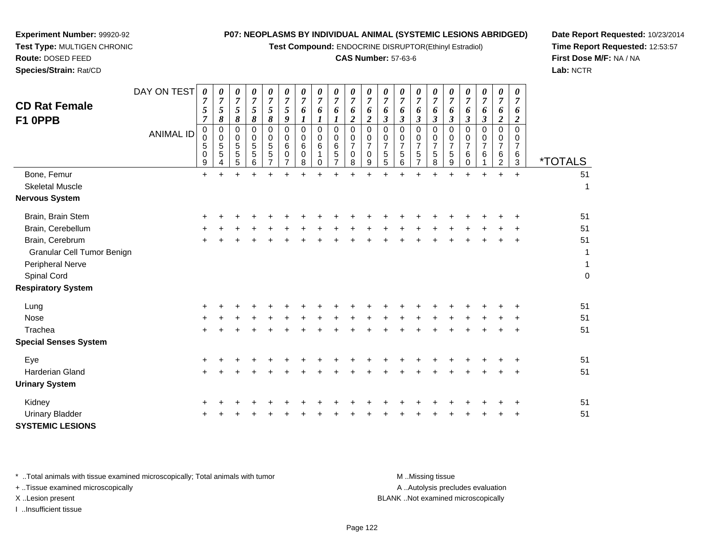**Test Compound:** ENDOCRINE DISRUPTOR(Ethinyl Estradiol)

## **CAS Number:** 57-63-6

**Date Report Requested:** 10/23/2014**Time Report Requested:** 12:53:57**First Dose M/F:** NA / NA**Lab:** NCTR

**Experiment Number:** 99920-92

**Species/Strain:** Rat/CD

| <b>CD Rat Female</b><br>F1 OPPB                                | DAY ON TEST<br><b>ANIMAL ID</b> | $\boldsymbol{\theta}$<br>$\overline{7}$<br>5<br>$\overline{7}$<br>$\pmb{0}$<br>$\pmb{0}$<br>5<br>$\pmb{0}$ | 0<br>$\overline{7}$<br>5<br>8<br>$\mathbf 0$<br>$\mathbf 0$<br>$\sqrt{5}$<br>$\overline{5}$ | 0<br>$\overline{7}$<br>5<br>8<br>$\pmb{0}$<br>$\pmb{0}$<br>5<br>$\overline{5}$ | $\pmb{\theta}$<br>$\overline{7}$<br>$\mathfrak{s}$<br>8<br>$\mathbf 0$<br>$\mathbf 0$<br>$\sqrt{5}$<br>$\sqrt{5}$ | 0<br>$\boldsymbol{7}$<br>$\sqrt{5}$<br>8<br>$\pmb{0}$<br>$\pmb{0}$<br>$\,$ 5 $\,$<br>$\overline{5}$ | 0<br>$\overline{7}$<br>$\sqrt{5}$<br>$\boldsymbol{9}$<br>$\mathbf 0$<br>0<br>6<br>$\mathbf 0$ | 0<br>$\overline{7}$<br>6<br>1<br>0<br>0<br>6<br>$\mathbf 0$ | 0<br>$\overline{7}$<br>6<br>$\boldsymbol{l}$<br>$\mathbf 0$<br>$\mathbf 0$<br>6<br>$\mathbf 1$ | 0<br>$\overline{7}$<br>6<br>$\mathbf 0$<br>$\mathbf 0$<br>$\,6\,$<br>$\sqrt{5}$ | 0<br>$\overline{7}$<br>6<br>$\boldsymbol{2}$<br>$\mathbf 0$<br>0<br>$\overline{7}$<br>$\mathbf 0$ | 0<br>$\overline{7}$<br>6<br>$\overline{c}$<br>$\mathbf 0$<br>0<br>$\overline{7}$<br>$\Omega$ | $\frac{\boldsymbol{0}}{7}$<br>6<br>$\mathfrak{z}$<br>0<br>$\pmb{0}$<br>$\overline{7}$<br>$\overline{5}$ | $\pmb{\theta}$<br>$\overline{7}$<br>6<br>$\mathfrak{z}$<br>$\mathbf 0$<br>$\pmb{0}$<br>$\overline{7}$<br>5 | 0<br>$\overline{7}$<br>6<br>$\boldsymbol{\beta}$<br>$\mathbf 0$<br>0<br>$\boldsymbol{7}$<br>5 | 0<br>$\overline{7}$<br>6<br>$\boldsymbol{\beta}$<br>$\mathbf 0$<br>0<br>$\overline{7}$<br>5 | 0<br>$\overline{7}$<br>6<br>$\boldsymbol{\beta}$<br>$\mathbf 0$<br>0<br>$\overline{7}$<br>5 | 0<br>$\overline{7}$<br>6<br>$\boldsymbol{\beta}$<br>0<br>$\pmb{0}$<br>$\overline{7}$<br>6 | 0<br>$\overline{7}$<br>6<br>$\boldsymbol{\beta}$<br>$\mathbf 0$<br>0<br>$\overline{7}$<br>6 | 0<br>$\overline{7}$<br>6<br>$\overline{c}$<br>0<br>0<br>$\overline{7}$<br>6 | $\boldsymbol{\theta}$<br>$\overline{7}$<br>6<br>$\overline{c}$<br>0<br>$\mathbf 0$<br>$\overline{7}$<br>6 |                       |
|----------------------------------------------------------------|---------------------------------|------------------------------------------------------------------------------------------------------------|---------------------------------------------------------------------------------------------|--------------------------------------------------------------------------------|-------------------------------------------------------------------------------------------------------------------|-----------------------------------------------------------------------------------------------------|-----------------------------------------------------------------------------------------------|-------------------------------------------------------------|------------------------------------------------------------------------------------------------|---------------------------------------------------------------------------------|---------------------------------------------------------------------------------------------------|----------------------------------------------------------------------------------------------|---------------------------------------------------------------------------------------------------------|------------------------------------------------------------------------------------------------------------|-----------------------------------------------------------------------------------------------|---------------------------------------------------------------------------------------------|---------------------------------------------------------------------------------------------|-------------------------------------------------------------------------------------------|---------------------------------------------------------------------------------------------|-----------------------------------------------------------------------------|-----------------------------------------------------------------------------------------------------------|-----------------------|
|                                                                |                                 | 9                                                                                                          | 4                                                                                           | 5                                                                              | 6                                                                                                                 | $\overline{7}$                                                                                      | $\overline{7}$                                                                                | 8                                                           | 0                                                                                              | $\overline{7}$                                                                  | 8                                                                                                 | 9                                                                                            | 5                                                                                                       | 6                                                                                                          | $\overline{7}$                                                                                | 8                                                                                           | 9                                                                                           | 0                                                                                         |                                                                                             | $\overline{2}$                                                              | 3                                                                                                         | <i><b>*TOTALS</b></i> |
| Bone, Femur<br><b>Skeletal Muscle</b><br><b>Nervous System</b> |                                 | $+$                                                                                                        | $+$                                                                                         | $+$                                                                            | $\ddot{}$                                                                                                         | $\ddot{}$                                                                                           | $\ddot{}$                                                                                     | $\ddot{}$                                                   | $\ddot{}$                                                                                      | $\ddot{}$                                                                       | $\ddot{}$                                                                                         | $+$                                                                                          | $\ddot{}$                                                                                               | $\ddot{}$                                                                                                  | ÷                                                                                             | $\ddot{}$                                                                                   | $\ddot{}$                                                                                   | $\ddot{}$                                                                                 | $+$                                                                                         | $+$                                                                         | $+$                                                                                                       | 51<br>1               |
| Brain, Brain Stem                                              |                                 |                                                                                                            |                                                                                             |                                                                                |                                                                                                                   |                                                                                                     |                                                                                               |                                                             |                                                                                                |                                                                                 |                                                                                                   |                                                                                              |                                                                                                         |                                                                                                            |                                                                                               |                                                                                             |                                                                                             |                                                                                           |                                                                                             |                                                                             |                                                                                                           | 51                    |
| Brain, Cerebellum                                              |                                 |                                                                                                            |                                                                                             |                                                                                |                                                                                                                   |                                                                                                     |                                                                                               |                                                             |                                                                                                |                                                                                 |                                                                                                   |                                                                                              |                                                                                                         |                                                                                                            |                                                                                               |                                                                                             |                                                                                             |                                                                                           |                                                                                             |                                                                             |                                                                                                           | 51                    |
| Brain, Cerebrum                                                |                                 |                                                                                                            |                                                                                             |                                                                                |                                                                                                                   |                                                                                                     |                                                                                               |                                                             |                                                                                                |                                                                                 |                                                                                                   |                                                                                              |                                                                                                         |                                                                                                            |                                                                                               |                                                                                             |                                                                                             |                                                                                           |                                                                                             | $+$                                                                         | $\ddot{}$                                                                                                 | 51                    |
| Granular Cell Tumor Benign                                     |                                 |                                                                                                            |                                                                                             |                                                                                |                                                                                                                   |                                                                                                     |                                                                                               |                                                             |                                                                                                |                                                                                 |                                                                                                   |                                                                                              |                                                                                                         |                                                                                                            |                                                                                               |                                                                                             |                                                                                             |                                                                                           |                                                                                             |                                                                             |                                                                                                           | $\mathbf 1$           |
| Peripheral Nerve                                               |                                 |                                                                                                            |                                                                                             |                                                                                |                                                                                                                   |                                                                                                     |                                                                                               |                                                             |                                                                                                |                                                                                 |                                                                                                   |                                                                                              |                                                                                                         |                                                                                                            |                                                                                               |                                                                                             |                                                                                             |                                                                                           |                                                                                             |                                                                             |                                                                                                           | $\mathbf{1}$          |
| Spinal Cord                                                    |                                 |                                                                                                            |                                                                                             |                                                                                |                                                                                                                   |                                                                                                     |                                                                                               |                                                             |                                                                                                |                                                                                 |                                                                                                   |                                                                                              |                                                                                                         |                                                                                                            |                                                                                               |                                                                                             |                                                                                             |                                                                                           |                                                                                             |                                                                             |                                                                                                           | $\pmb{0}$             |
| <b>Respiratory System</b>                                      |                                 |                                                                                                            |                                                                                             |                                                                                |                                                                                                                   |                                                                                                     |                                                                                               |                                                             |                                                                                                |                                                                                 |                                                                                                   |                                                                                              |                                                                                                         |                                                                                                            |                                                                                               |                                                                                             |                                                                                             |                                                                                           |                                                                                             |                                                                             |                                                                                                           |                       |
| Lung                                                           |                                 |                                                                                                            |                                                                                             |                                                                                |                                                                                                                   |                                                                                                     |                                                                                               |                                                             |                                                                                                |                                                                                 |                                                                                                   |                                                                                              |                                                                                                         |                                                                                                            |                                                                                               |                                                                                             |                                                                                             |                                                                                           |                                                                                             |                                                                             |                                                                                                           | 51                    |
| Nose                                                           |                                 |                                                                                                            |                                                                                             |                                                                                |                                                                                                                   |                                                                                                     |                                                                                               |                                                             |                                                                                                |                                                                                 |                                                                                                   |                                                                                              |                                                                                                         |                                                                                                            |                                                                                               |                                                                                             |                                                                                             |                                                                                           |                                                                                             |                                                                             |                                                                                                           | 51                    |
| Trachea                                                        |                                 |                                                                                                            |                                                                                             |                                                                                |                                                                                                                   |                                                                                                     |                                                                                               |                                                             |                                                                                                |                                                                                 |                                                                                                   |                                                                                              |                                                                                                         |                                                                                                            |                                                                                               |                                                                                             |                                                                                             |                                                                                           |                                                                                             |                                                                             |                                                                                                           | 51                    |
| <b>Special Senses System</b>                                   |                                 |                                                                                                            |                                                                                             |                                                                                |                                                                                                                   |                                                                                                     |                                                                                               |                                                             |                                                                                                |                                                                                 |                                                                                                   |                                                                                              |                                                                                                         |                                                                                                            |                                                                                               |                                                                                             |                                                                                             |                                                                                           |                                                                                             |                                                                             |                                                                                                           |                       |
| Eye                                                            |                                 |                                                                                                            |                                                                                             |                                                                                |                                                                                                                   |                                                                                                     |                                                                                               |                                                             |                                                                                                |                                                                                 |                                                                                                   |                                                                                              |                                                                                                         |                                                                                                            |                                                                                               |                                                                                             |                                                                                             |                                                                                           |                                                                                             |                                                                             |                                                                                                           | 51                    |
| <b>Harderian Gland</b>                                         |                                 |                                                                                                            |                                                                                             |                                                                                |                                                                                                                   |                                                                                                     |                                                                                               |                                                             |                                                                                                |                                                                                 |                                                                                                   |                                                                                              |                                                                                                         |                                                                                                            |                                                                                               |                                                                                             |                                                                                             |                                                                                           |                                                                                             |                                                                             | $\ddot{}$                                                                                                 | 51                    |
| <b>Urinary System</b>                                          |                                 |                                                                                                            |                                                                                             |                                                                                |                                                                                                                   |                                                                                                     |                                                                                               |                                                             |                                                                                                |                                                                                 |                                                                                                   |                                                                                              |                                                                                                         |                                                                                                            |                                                                                               |                                                                                             |                                                                                             |                                                                                           |                                                                                             |                                                                             |                                                                                                           |                       |
| Kidney                                                         |                                 |                                                                                                            |                                                                                             |                                                                                |                                                                                                                   |                                                                                                     |                                                                                               |                                                             |                                                                                                |                                                                                 |                                                                                                   |                                                                                              |                                                                                                         |                                                                                                            |                                                                                               |                                                                                             |                                                                                             |                                                                                           |                                                                                             |                                                                             |                                                                                                           | 51                    |
| <b>Urinary Bladder</b>                                         |                                 |                                                                                                            |                                                                                             |                                                                                |                                                                                                                   |                                                                                                     |                                                                                               |                                                             |                                                                                                |                                                                                 |                                                                                                   |                                                                                              |                                                                                                         |                                                                                                            |                                                                                               |                                                                                             |                                                                                             |                                                                                           |                                                                                             |                                                                             |                                                                                                           | 51                    |
| <b>SYSTEMIC LESIONS</b>                                        |                                 |                                                                                                            |                                                                                             |                                                                                |                                                                                                                   |                                                                                                     |                                                                                               |                                                             |                                                                                                |                                                                                 |                                                                                                   |                                                                                              |                                                                                                         |                                                                                                            |                                                                                               |                                                                                             |                                                                                             |                                                                                           |                                                                                             |                                                                             |                                                                                                           |                       |

\* ..Total animals with tissue examined microscopically; Total animals with tumor **M** . Missing tissue M ..Missing tissue

+ ..Tissue examined microscopically

I ..Insufficient tissue

A ..Autolysis precludes evaluation

X ..Lesion present BLANK ..Not examined microscopically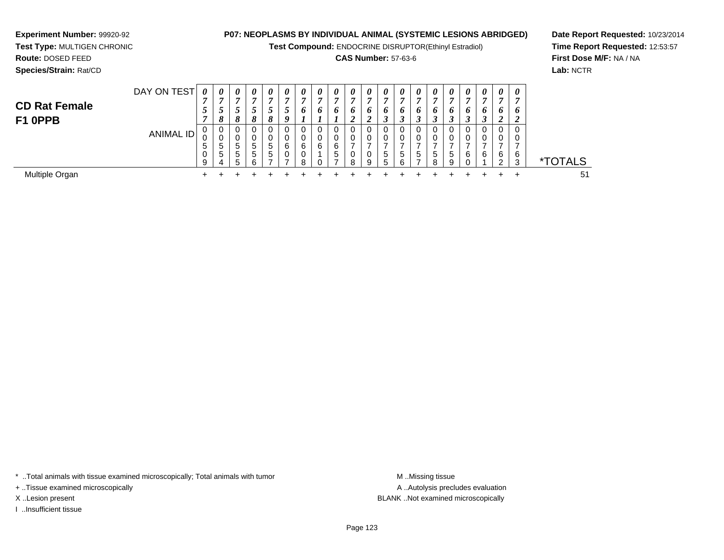**Test Compound:** ENDOCRINE DISRUPTOR(Ethinyl Estradiol)

## **CAS Number:** 57-63-6

**Date Report Requested:** 10/23/2014**Time Report Requested:** 12:53:57**First Dose M/F:** NA / NA**Lab:** NCTR

| <b>Species/Strain: Rat/CD</b>   |                  |                       |         |                   |        |             |                            |   |                            |                       |   |                |                       |         |        |                   |                  |        |         |                 |
|---------------------------------|------------------|-----------------------|---------|-------------------|--------|-------------|----------------------------|---|----------------------------|-----------------------|---|----------------|-----------------------|---------|--------|-------------------|------------------|--------|---------|-----------------|
|                                 | DAY ON TEST      | $\boldsymbol{\theta}$ | 0<br>л. |                   | U      |             | $\boldsymbol{\theta}$<br>Ð | U | $\boldsymbol{\theta}$<br>n | $\boldsymbol{\theta}$ | 0 | $\theta$<br>г. | $\boldsymbol{\theta}$ | U       | U      | U<br>~            | −                | 0<br>− |         | 0               |
| <b>CD Rat Female</b><br>F1 0PPB |                  | J                     | J<br>8  | J<br>o            | J<br>o | o           | J<br>o                     |   | o                          | D                     | ◢ | n<br>∠         | u<br>◡                | o<br>   | D<br>◡ | n                 | o                | o<br>J | o<br>., |                 |
|                                 | <b>ANIMAL ID</b> | u<br>5                | υ<br>5  | 5                 | ა      | $5^{\circ}$ | 0<br>0<br>6                | 6 | 0<br>0<br>6                | 0<br>0<br>6           |   |                | Ü                     |         | 0<br>0 | U<br>υ            | O                | U<br>0 |         |                 |
|                                 |                  |                       | 5       | 5<br><sup>5</sup> | đ<br>h | ∽           | 0                          |   |                            | 5                     | 8 | 9              | 5<br>b                | '5<br>6 | 5      | 5<br>$\circ$<br>ο | $\mathbf b$<br>9 | 6      | 6       | 6<br>$\sqrt{2}$ |

 $\ddot{}$ 

 $\ddot{}$ 

\*TOTALS

 $\ddot{}$ 

 $\ddot{}$ 

 $\ddot{}$ 

 $\ddot{}$ 

 $\ddot{}$ 

<sup>+</sup> <sup>+</sup> <sup>+</sup> <sup>+</sup> <sup>+</sup> <sup>+</sup> <sup>+</sup> <sup>+</sup> <sup>+</sup> <sup>+</sup> <sup>+</sup> <sup>+</sup> <sup>+</sup> <sup>+</sup> <sup>+</sup> <sup>+</sup> <sup>+</sup> <sup>+</sup> <sup>+</sup> <sup>51</sup>

 $\ddot{}$ 

 $\ddot{}$ 

 $+$ 

 $\ddot{}$ 

 $\ddot{}$ 

 $\ddot{}$ 

 $\ddot{}$ 

 $\ddot{}$ 

 $+$ 

 $+$ 

Multiple Organn  $+$ 

**Experiment Number:** 99920-92**Test Type:** MULTIGEN CHRONIC

**Route:** DOSED FEED

\* ..Total animals with tissue examined microscopically; Total animals with tumor **M** ...Missing tissue M ...Missing tissue

+ ..Tissue examined microscopically

I ..Insufficient tissue

A .. Autolysis precludes evaluation X ..Lesion present BLANK ..Not examined microscopically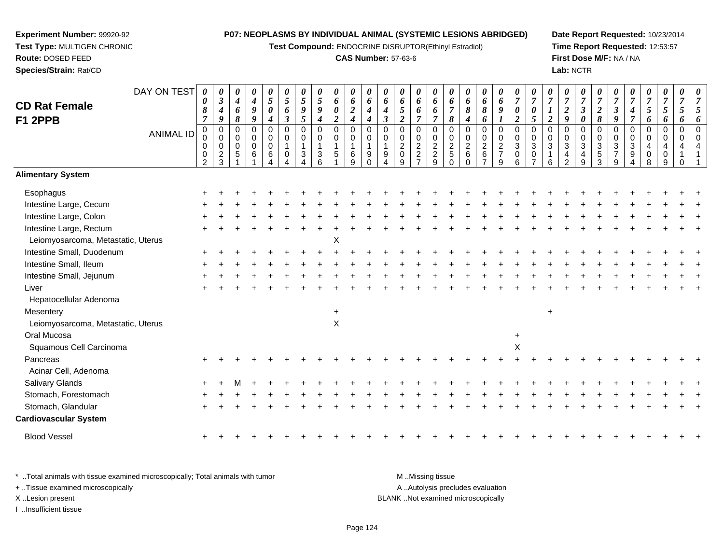**Test Compound:** ENDOCRINE DISRUPTOR(Ethinyl Estradiol)

#### **CAS Number:** 57-63-6

**Date Report Requested:** 10/23/2014**Time Report Requested:** 12:53:57**First Dose M/F:** NA / NA**Lab:** NCTR

| <b>CD Rat Female</b><br><b>F1 2PPB</b> | DAY ON TEST<br><b>ANIMAL ID</b> | 0<br>$\boldsymbol{\theta}$<br>8<br>$\overline{7}$<br>$\mathbf 0$<br>0<br>$\mathbf 0$<br>$\mathbf 0$<br>$\overline{2}$ | $\theta$<br>$\mathfrak{z}$<br>$\boldsymbol{4}$<br>9<br>$\mathbf 0$<br>$\mathbf 0$<br>0<br>$\overline{c}$<br>3 | 0<br>4<br>6<br>8<br>0<br>0<br>$\Omega$<br>5 | 0<br>$\boldsymbol{4}$<br>9<br>9<br>$\mathbf 0$<br>0<br>$\mathbf 0$<br>6 | $\boldsymbol{\theta}$<br>$\sqrt{5}$<br>$\boldsymbol{\theta}$<br>$\boldsymbol{4}$<br>$\mathbf 0$<br>$\pmb{0}$<br>$\pmb{0}$<br>$\,6$ | $\boldsymbol{\theta}$<br>$\overline{5}$<br>6<br>$\boldsymbol{\beta}$<br>$\mathbf 0$<br>0<br>-1<br>0 | $\boldsymbol{\theta}$<br>5<br>$\boldsymbol{9}$<br>$\overline{5}$<br>$\mathbf 0$<br>$\Omega$<br>-1<br>3 | 0<br>5<br>9<br>$\boldsymbol{4}$<br>$\mathbf 0$<br>0<br>3 | 0<br>6<br>$\pmb{\theta}$<br>$\overline{2}$<br>$\pmb{0}$<br>$\pmb{0}$<br>$\mathbf{1}$<br>5 | 0<br>6<br>$\boldsymbol{2}$<br>$\boldsymbol{4}$<br>$\mathbf 0$<br>$\pmb{0}$<br>$\mathbf{1}$<br>6<br>9 | 0<br>6<br>$\boldsymbol{4}$<br>4<br>0<br>0<br>$\mathbf{1}$<br>9<br>$\Omega$ | $\boldsymbol{\theta}$<br>6<br>4<br>$\boldsymbol{\beta}$<br>$\Omega$<br>$\Omega$<br>9 | 0<br>6<br>5<br>$\overline{\mathbf{c}}$<br>$\Omega$<br>0<br>$\overline{c}$<br>$\mathbf 0$<br>g | 0<br>6<br>6<br>$\overline{7}$<br>0<br>$\pmb{0}$<br>$\overline{2}$<br>$\overline{2}$<br>$\overline{7}$ | 0<br>6<br>6<br>$\overline{7}$<br>$\pmb{0}$<br>$^{\rm 0}_{\rm 2}$<br>$\boldsymbol{2}$<br>$\boldsymbol{9}$ | 0<br>6<br>$\overline{7}$<br>$\pmb{8}$<br>0<br>0<br>$\overline{2}$<br>$\,$ 5 $\,$<br>$\Omega$ | $\boldsymbol{\theta}$<br>6<br>8<br>4<br>$\mathbf 0$<br>$\mathbf 0$<br>$\overline{2}$<br>$\,6$<br>$\Omega$ | 0<br>6<br>8<br>6<br>$\mathbf 0$<br>0<br>$\overline{c}$<br>$\,6\,$ | 0<br>6<br>9<br>$\boldsymbol{l}$<br>$\pmb{0}$<br>$\pmb{0}$<br>$\overline{2}$<br>$\overline{7}$<br>9 | 0<br>$\overline{7}$<br>$\pmb{\theta}$<br>$\overline{2}$<br>$\pmb{0}$<br>$\pmb{0}$<br>$\overline{3}$<br>$\pmb{0}$<br>$6\phantom{1}6$ | $\theta$<br>$\overline{7}$<br>0<br>5<br>$\mathbf 0$<br>$\mathbf 0$<br>$\sqrt{3}$<br>0<br>$\overline{z}$ | $\overline{7}$<br>1<br>$\overline{2}$<br>$\Omega$<br>$\Omega$<br>3<br>6 | 0<br>$\overline{7}$<br>$\overline{2}$<br>9<br>0<br>0<br>3<br>4<br>$\mathfrak{p}$ | 0<br>$\boldsymbol{7}$<br>$\boldsymbol{\beta}$<br>$\pmb{\theta}$<br>$\pmb{0}$<br>$\pmb{0}$<br>$\overline{3}$<br>$\overline{\mathbf{4}}$<br>9 | 0<br>$\overline{7}$<br>$\boldsymbol{2}$<br>$\pmb{8}$<br>$\mathbf 0$<br>$\mathbf 0$<br>$\sqrt{3}$<br>$\sqrt{5}$<br>$\mathbf{3}$ | $\theta$<br>$\overline{7}$<br>$\boldsymbol{\beta}$<br>$\boldsymbol{9}$<br>$\mathbf 0$<br>0<br>$\ensuremath{\mathsf{3}}$<br>$\overline{7}$<br>9 | 7<br>$\overline{7}$<br>$\Omega$<br>$\Omega$<br>3<br>9 | $\overline{7}$<br>5<br>6<br>0<br>0 | $\boldsymbol{\theta}$<br>$\boldsymbol{7}$<br>5<br>6<br>0<br>0<br>$\overline{4}$ | $\boldsymbol{\theta}$<br>$\overline{7}$<br>5<br>6<br>$\pmb{0}$<br>$\Omega$ | $\boldsymbol{\mathit{U}}$<br>7<br>6 |
|----------------------------------------|---------------------------------|-----------------------------------------------------------------------------------------------------------------------|---------------------------------------------------------------------------------------------------------------|---------------------------------------------|-------------------------------------------------------------------------|------------------------------------------------------------------------------------------------------------------------------------|-----------------------------------------------------------------------------------------------------|--------------------------------------------------------------------------------------------------------|----------------------------------------------------------|-------------------------------------------------------------------------------------------|------------------------------------------------------------------------------------------------------|----------------------------------------------------------------------------|--------------------------------------------------------------------------------------|-----------------------------------------------------------------------------------------------|-------------------------------------------------------------------------------------------------------|----------------------------------------------------------------------------------------------------------|----------------------------------------------------------------------------------------------|-----------------------------------------------------------------------------------------------------------|-------------------------------------------------------------------|----------------------------------------------------------------------------------------------------|-------------------------------------------------------------------------------------------------------------------------------------|---------------------------------------------------------------------------------------------------------|-------------------------------------------------------------------------|----------------------------------------------------------------------------------|---------------------------------------------------------------------------------------------------------------------------------------------|--------------------------------------------------------------------------------------------------------------------------------|------------------------------------------------------------------------------------------------------------------------------------------------|-------------------------------------------------------|------------------------------------|---------------------------------------------------------------------------------|----------------------------------------------------------------------------|-------------------------------------|
| <b>Alimentary System</b>               |                                 |                                                                                                                       |                                                                                                               |                                             |                                                                         |                                                                                                                                    |                                                                                                     |                                                                                                        |                                                          |                                                                                           |                                                                                                      |                                                                            |                                                                                      |                                                                                               |                                                                                                       |                                                                                                          |                                                                                              |                                                                                                           |                                                                   |                                                                                                    |                                                                                                                                     |                                                                                                         |                                                                         |                                                                                  |                                                                                                                                             |                                                                                                                                |                                                                                                                                                |                                                       |                                    |                                                                                 |                                                                            |                                     |
| Esophagus                              |                                 |                                                                                                                       |                                                                                                               |                                             |                                                                         |                                                                                                                                    |                                                                                                     |                                                                                                        |                                                          |                                                                                           |                                                                                                      |                                                                            |                                                                                      |                                                                                               |                                                                                                       |                                                                                                          |                                                                                              |                                                                                                           |                                                                   |                                                                                                    |                                                                                                                                     |                                                                                                         |                                                                         |                                                                                  |                                                                                                                                             |                                                                                                                                |                                                                                                                                                |                                                       |                                    |                                                                                 |                                                                            |                                     |
| Intestine Large, Cecum                 |                                 |                                                                                                                       |                                                                                                               |                                             |                                                                         |                                                                                                                                    |                                                                                                     |                                                                                                        |                                                          |                                                                                           |                                                                                                      |                                                                            |                                                                                      |                                                                                               |                                                                                                       |                                                                                                          |                                                                                              |                                                                                                           |                                                                   |                                                                                                    |                                                                                                                                     |                                                                                                         |                                                                         |                                                                                  |                                                                                                                                             |                                                                                                                                |                                                                                                                                                |                                                       |                                    |                                                                                 |                                                                            |                                     |
| Intestine Large, Colon                 |                                 |                                                                                                                       |                                                                                                               |                                             |                                                                         |                                                                                                                                    |                                                                                                     |                                                                                                        |                                                          |                                                                                           |                                                                                                      |                                                                            |                                                                                      |                                                                                               |                                                                                                       |                                                                                                          |                                                                                              |                                                                                                           |                                                                   |                                                                                                    |                                                                                                                                     |                                                                                                         |                                                                         |                                                                                  |                                                                                                                                             |                                                                                                                                |                                                                                                                                                |                                                       |                                    |                                                                                 |                                                                            |                                     |
| Intestine Large, Rectum                |                                 |                                                                                                                       |                                                                                                               |                                             |                                                                         |                                                                                                                                    |                                                                                                     |                                                                                                        |                                                          |                                                                                           |                                                                                                      |                                                                            |                                                                                      |                                                                                               |                                                                                                       |                                                                                                          |                                                                                              |                                                                                                           |                                                                   |                                                                                                    |                                                                                                                                     |                                                                                                         |                                                                         |                                                                                  |                                                                                                                                             |                                                                                                                                |                                                                                                                                                |                                                       |                                    |                                                                                 |                                                                            |                                     |
| Leiomyosarcoma, Metastatic, Uterus     |                                 |                                                                                                                       |                                                                                                               |                                             |                                                                         |                                                                                                                                    |                                                                                                     |                                                                                                        |                                                          | X                                                                                         |                                                                                                      |                                                                            |                                                                                      |                                                                                               |                                                                                                       |                                                                                                          |                                                                                              |                                                                                                           |                                                                   |                                                                                                    |                                                                                                                                     |                                                                                                         |                                                                         |                                                                                  |                                                                                                                                             |                                                                                                                                |                                                                                                                                                |                                                       |                                    |                                                                                 |                                                                            |                                     |
| Intestine Small, Duodenum              |                                 |                                                                                                                       |                                                                                                               |                                             |                                                                         |                                                                                                                                    |                                                                                                     |                                                                                                        |                                                          |                                                                                           |                                                                                                      |                                                                            |                                                                                      |                                                                                               |                                                                                                       |                                                                                                          |                                                                                              |                                                                                                           |                                                                   |                                                                                                    |                                                                                                                                     |                                                                                                         |                                                                         |                                                                                  |                                                                                                                                             |                                                                                                                                |                                                                                                                                                |                                                       |                                    |                                                                                 |                                                                            |                                     |
| Intestine Small, Ileum                 |                                 |                                                                                                                       |                                                                                                               |                                             |                                                                         |                                                                                                                                    |                                                                                                     |                                                                                                        |                                                          |                                                                                           |                                                                                                      |                                                                            |                                                                                      |                                                                                               |                                                                                                       |                                                                                                          |                                                                                              |                                                                                                           |                                                                   |                                                                                                    |                                                                                                                                     |                                                                                                         |                                                                         |                                                                                  |                                                                                                                                             |                                                                                                                                |                                                                                                                                                |                                                       |                                    |                                                                                 |                                                                            |                                     |
| Intestine Small, Jejunum               |                                 |                                                                                                                       |                                                                                                               |                                             |                                                                         |                                                                                                                                    |                                                                                                     |                                                                                                        |                                                          |                                                                                           |                                                                                                      |                                                                            |                                                                                      |                                                                                               |                                                                                                       |                                                                                                          |                                                                                              |                                                                                                           |                                                                   |                                                                                                    |                                                                                                                                     |                                                                                                         |                                                                         |                                                                                  |                                                                                                                                             |                                                                                                                                |                                                                                                                                                |                                                       |                                    |                                                                                 |                                                                            |                                     |
| Liver                                  |                                 |                                                                                                                       |                                                                                                               |                                             |                                                                         |                                                                                                                                    |                                                                                                     |                                                                                                        |                                                          |                                                                                           |                                                                                                      |                                                                            |                                                                                      |                                                                                               |                                                                                                       |                                                                                                          |                                                                                              |                                                                                                           |                                                                   |                                                                                                    |                                                                                                                                     |                                                                                                         |                                                                         |                                                                                  |                                                                                                                                             |                                                                                                                                |                                                                                                                                                |                                                       |                                    |                                                                                 |                                                                            |                                     |
| Hepatocellular Adenoma                 |                                 |                                                                                                                       |                                                                                                               |                                             |                                                                         |                                                                                                                                    |                                                                                                     |                                                                                                        |                                                          |                                                                                           |                                                                                                      |                                                                            |                                                                                      |                                                                                               |                                                                                                       |                                                                                                          |                                                                                              |                                                                                                           |                                                                   |                                                                                                    |                                                                                                                                     |                                                                                                         |                                                                         |                                                                                  |                                                                                                                                             |                                                                                                                                |                                                                                                                                                |                                                       |                                    |                                                                                 |                                                                            |                                     |
| Mesentery                              |                                 |                                                                                                                       |                                                                                                               |                                             |                                                                         |                                                                                                                                    |                                                                                                     |                                                                                                        |                                                          | $\ddot{}$                                                                                 |                                                                                                      |                                                                            |                                                                                      |                                                                                               |                                                                                                       |                                                                                                          |                                                                                              |                                                                                                           |                                                                   |                                                                                                    |                                                                                                                                     |                                                                                                         | $\ddot{}$                                                               |                                                                                  |                                                                                                                                             |                                                                                                                                |                                                                                                                                                |                                                       |                                    |                                                                                 |                                                                            |                                     |
| Leiomyosarcoma, Metastatic, Uterus     |                                 |                                                                                                                       |                                                                                                               |                                             |                                                                         |                                                                                                                                    |                                                                                                     |                                                                                                        |                                                          | $\pmb{\times}$                                                                            |                                                                                                      |                                                                            |                                                                                      |                                                                                               |                                                                                                       |                                                                                                          |                                                                                              |                                                                                                           |                                                                   |                                                                                                    |                                                                                                                                     |                                                                                                         |                                                                         |                                                                                  |                                                                                                                                             |                                                                                                                                |                                                                                                                                                |                                                       |                                    |                                                                                 |                                                                            |                                     |
| Oral Mucosa                            |                                 |                                                                                                                       |                                                                                                               |                                             |                                                                         |                                                                                                                                    |                                                                                                     |                                                                                                        |                                                          |                                                                                           |                                                                                                      |                                                                            |                                                                                      |                                                                                               |                                                                                                       |                                                                                                          |                                                                                              |                                                                                                           |                                                                   |                                                                                                    | $\overline{+}$                                                                                                                      |                                                                                                         |                                                                         |                                                                                  |                                                                                                                                             |                                                                                                                                |                                                                                                                                                |                                                       |                                    |                                                                                 |                                                                            |                                     |
| Squamous Cell Carcinoma                |                                 |                                                                                                                       |                                                                                                               |                                             |                                                                         |                                                                                                                                    |                                                                                                     |                                                                                                        |                                                          |                                                                                           |                                                                                                      |                                                                            |                                                                                      |                                                                                               |                                                                                                       |                                                                                                          |                                                                                              |                                                                                                           |                                                                   |                                                                                                    | X                                                                                                                                   |                                                                                                         |                                                                         |                                                                                  |                                                                                                                                             |                                                                                                                                |                                                                                                                                                |                                                       |                                    |                                                                                 |                                                                            |                                     |
| Pancreas                               |                                 |                                                                                                                       |                                                                                                               |                                             |                                                                         |                                                                                                                                    |                                                                                                     |                                                                                                        |                                                          |                                                                                           |                                                                                                      |                                                                            |                                                                                      |                                                                                               |                                                                                                       |                                                                                                          |                                                                                              |                                                                                                           |                                                                   |                                                                                                    |                                                                                                                                     |                                                                                                         |                                                                         |                                                                                  |                                                                                                                                             |                                                                                                                                |                                                                                                                                                |                                                       |                                    |                                                                                 |                                                                            |                                     |
| Acinar Cell, Adenoma                   |                                 |                                                                                                                       |                                                                                                               |                                             |                                                                         |                                                                                                                                    |                                                                                                     |                                                                                                        |                                                          |                                                                                           |                                                                                                      |                                                                            |                                                                                      |                                                                                               |                                                                                                       |                                                                                                          |                                                                                              |                                                                                                           |                                                                   |                                                                                                    |                                                                                                                                     |                                                                                                         |                                                                         |                                                                                  |                                                                                                                                             |                                                                                                                                |                                                                                                                                                |                                                       |                                    |                                                                                 |                                                                            |                                     |
| Salivary Glands                        |                                 |                                                                                                                       |                                                                                                               |                                             |                                                                         |                                                                                                                                    |                                                                                                     |                                                                                                        |                                                          |                                                                                           |                                                                                                      |                                                                            |                                                                                      |                                                                                               |                                                                                                       |                                                                                                          |                                                                                              |                                                                                                           |                                                                   |                                                                                                    |                                                                                                                                     |                                                                                                         |                                                                         |                                                                                  |                                                                                                                                             |                                                                                                                                |                                                                                                                                                |                                                       |                                    |                                                                                 |                                                                            |                                     |
| Stomach, Forestomach                   |                                 |                                                                                                                       |                                                                                                               |                                             |                                                                         |                                                                                                                                    |                                                                                                     |                                                                                                        |                                                          |                                                                                           |                                                                                                      |                                                                            |                                                                                      |                                                                                               |                                                                                                       |                                                                                                          |                                                                                              |                                                                                                           |                                                                   |                                                                                                    |                                                                                                                                     |                                                                                                         |                                                                         |                                                                                  |                                                                                                                                             |                                                                                                                                |                                                                                                                                                |                                                       |                                    |                                                                                 |                                                                            |                                     |
| Stomach, Glandular                     |                                 |                                                                                                                       |                                                                                                               |                                             |                                                                         |                                                                                                                                    |                                                                                                     |                                                                                                        |                                                          |                                                                                           |                                                                                                      |                                                                            |                                                                                      |                                                                                               |                                                                                                       |                                                                                                          |                                                                                              |                                                                                                           |                                                                   |                                                                                                    |                                                                                                                                     |                                                                                                         |                                                                         |                                                                                  |                                                                                                                                             |                                                                                                                                |                                                                                                                                                |                                                       |                                    |                                                                                 |                                                                            |                                     |
| <b>Cardiovascular System</b>           |                                 |                                                                                                                       |                                                                                                               |                                             |                                                                         |                                                                                                                                    |                                                                                                     |                                                                                                        |                                                          |                                                                                           |                                                                                                      |                                                                            |                                                                                      |                                                                                               |                                                                                                       |                                                                                                          |                                                                                              |                                                                                                           |                                                                   |                                                                                                    |                                                                                                                                     |                                                                                                         |                                                                         |                                                                                  |                                                                                                                                             |                                                                                                                                |                                                                                                                                                |                                                       |                                    |                                                                                 |                                                                            |                                     |
| <b>Blood Vessel</b>                    |                                 |                                                                                                                       |                                                                                                               |                                             |                                                                         |                                                                                                                                    |                                                                                                     |                                                                                                        |                                                          |                                                                                           |                                                                                                      |                                                                            |                                                                                      |                                                                                               |                                                                                                       |                                                                                                          |                                                                                              |                                                                                                           |                                                                   |                                                                                                    |                                                                                                                                     |                                                                                                         |                                                                         |                                                                                  |                                                                                                                                             |                                                                                                                                |                                                                                                                                                |                                                       |                                    |                                                                                 |                                                                            |                                     |
|                                        |                                 |                                                                                                                       |                                                                                                               |                                             |                                                                         |                                                                                                                                    |                                                                                                     |                                                                                                        |                                                          |                                                                                           |                                                                                                      |                                                                            |                                                                                      |                                                                                               |                                                                                                       |                                                                                                          |                                                                                              |                                                                                                           |                                                                   |                                                                                                    |                                                                                                                                     |                                                                                                         |                                                                         |                                                                                  |                                                                                                                                             |                                                                                                                                |                                                                                                                                                |                                                       |                                    |                                                                                 |                                                                            |                                     |

\* ..Total animals with tissue examined microscopically; Total animals with tumor **M** . Missing tissue M ..Missing tissue A ..Autolysis precludes evaluation + ..Tissue examined microscopically X ..Lesion present BLANK ..Not examined microscopicallyI ..Insufficient tissue

**Experiment Number:** 99920-92**Test Type:** MULTIGEN CHRONIC

**Route:** DOSED FEED**Species/Strain:** Rat/CD

Page 124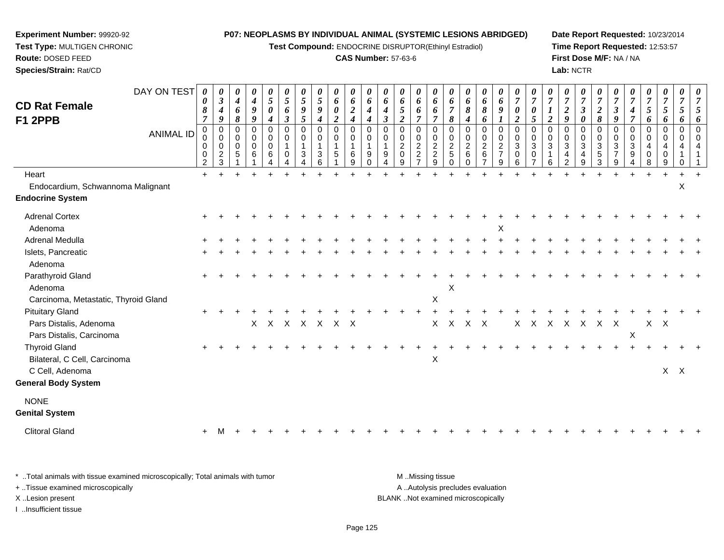**Test Compound:** ENDOCRINE DISRUPTOR(Ethinyl Estradiol)

### **CAS Number:** 57-63-6

**Date Report Requested:** 10/23/2014**Time Report Requested:** 12:53:57**First Dose M/F:** NA / NA**Lab:** NCTR

*0*

*0000000*

 **Test Type:** MULTIGEN CHRONIC**Route:** DOSED FEED **Species/Strain:** Rat/CDDAY ON TEST*000000000000000000000***CD Rat Female**

**Experiment Number:** 99920-92

| <b>CD Rat Female</b><br>F1 2PPB               | 0<br>8<br>$\overline{7}$                        | J<br>4<br>9                                                  | 4<br>6<br>8                                         | 4<br>$\pmb{9}$<br>$\boldsymbol{g}$           | 5<br>$\pmb{\theta}$<br>$\boldsymbol{4}$                       | 5<br>6<br>$\boldsymbol{\beta}$                 | 5<br>9<br>$\sqrt{5}$              | 5<br>9<br>$\overline{4}$ | 6<br>$\boldsymbol{\theta}$<br>$\boldsymbol{2}$ | 6<br>$\boldsymbol{2}$<br>$\boldsymbol{4}$        | 4<br>4                         | 6<br>$\boldsymbol{4}$<br>$\boldsymbol{\beta}$ | 6<br>$\mathfrak{s}$<br>$\boldsymbol{2}$                      | 6<br>6<br>$\overline{7}$                                             | 6<br>6<br>$\overline{7}$                                            | $\overline{7}$<br>8                              | 6<br>8<br>4                                                      | 6<br>$\pmb{8}$<br>6                               | 6<br>9                                         | 0<br>$\overline{2}$                             | 0<br>5                                               | $\boldsymbol{l}$<br>$\overline{2}$              | $\boldsymbol{2}$<br>$\boldsymbol{g}$            | $\boldsymbol{\beta}$<br>$\boldsymbol{\theta}$ | $\boldsymbol{2}$<br>8                                      | $\boldsymbol{\beta}$<br>9                           | $\boldsymbol{4}$<br>$\overline{7}$                                     | 5<br>6                          | $\mathfrak{s}$<br>6                                 | 5<br>6                         | $\mathfrak{s}$<br>6                           |
|-----------------------------------------------|-------------------------------------------------|--------------------------------------------------------------|-----------------------------------------------------|----------------------------------------------|---------------------------------------------------------------|------------------------------------------------|-----------------------------------|--------------------------|------------------------------------------------|--------------------------------------------------|--------------------------------|-----------------------------------------------|--------------------------------------------------------------|----------------------------------------------------------------------|---------------------------------------------------------------------|--------------------------------------------------|------------------------------------------------------------------|---------------------------------------------------|------------------------------------------------|-------------------------------------------------|------------------------------------------------------|-------------------------------------------------|-------------------------------------------------|-----------------------------------------------|------------------------------------------------------------|-----------------------------------------------------|------------------------------------------------------------------------|---------------------------------|-----------------------------------------------------|--------------------------------|-----------------------------------------------|
| ANIMAL ID                                     | $\pmb{0}$<br>$\pmb{0}$<br>$\mathbf 0$<br>0<br>2 | $\Omega$<br>0<br>$\mathbf 0$<br>$\overline{\mathbf{c}}$<br>3 | $\mathbf 0$<br>$\pmb{0}$<br>$\pmb{0}$<br>$\sqrt{5}$ | $\mathbf 0$<br>$\mathbf 0$<br>$\pmb{0}$<br>6 | $\mathbf 0$<br>$\pmb{0}$<br>$\pmb{0}$<br>$\,6\,$<br>$\Lambda$ | $\mathbf 0$<br>$\mathbf 0$<br>1<br>$\mathbf 0$ | $\Omega$<br>$\mathbf 0$<br>1<br>3 | $\Omega$<br>0<br>3<br>6  | $\mathbf 0$<br>$\mathbf 0$<br>1<br>5           | $\pmb{0}$<br>$\pmb{0}$<br>$\mathbf{1}$<br>6<br>9 | $\Omega$<br>0<br>9<br>$\Omega$ | $\mathbf 0$<br>$\mathbf 0$<br>9               | $\mathbf 0$<br>$\pmb{0}$<br>$\overline{2}$<br>$\pmb{0}$<br>9 | 0<br>$\mathbf 0$<br>$\sqrt{2}$<br>$\boldsymbol{2}$<br>$\overline{7}$ | $\mathbf 0$<br>$\mathbf 0$<br>$\overline{2}$<br>$\overline{c}$<br>9 | $\Omega$<br>0<br>$\overline{c}$<br>5<br>$\Omega$ | $\Omega$<br>$\mathbf 0$<br>$\boldsymbol{2}$<br>$\,6$<br>$\Omega$ | 0<br>$\pmb{0}$<br>$\frac{2}{6}$<br>$\overline{7}$ | $\pmb{0}$<br>$\mathsf 0$<br>$\frac{2}{7}$<br>9 | $\Omega$<br>$\mathbf 0$<br>$\sqrt{3}$<br>0<br>6 | $\Omega$<br>$\mathsf 0$<br>$\sqrt{3}$<br>$\mathbf 0$ | $\mathbf 0$<br>$\mathbf 0$<br>$\mathbf{3}$<br>6 | $\Omega$<br>$\pmb{0}$<br>$\mathbf{3}$<br>4<br>2 | 0<br>$\pmb{0}$<br>$\mathbf{3}$<br>4<br>9      | $\Omega$<br>$\mathbf 0$<br>$\mathbf{3}$<br>$\sqrt{5}$<br>3 | $\Omega$<br>$\mathbf 0$<br>3<br>$\overline{7}$<br>9 | $\mathbf 0$<br>$\boldsymbol{0}$<br>$\mathbf{3}$<br>$\overline{9}$<br>4 | $\mathbf 0$<br>0<br>4<br>0<br>8 | $\mathbf 0$<br>$\mathbf 0$<br>4<br>$\mathbf 0$<br>9 | $\Omega$<br>0<br>4<br>$\Omega$ | $\mathbf{0}$<br>$\mathbf 0$<br>$\overline{4}$ |
| Heart                                         | $+$                                             |                                                              |                                                     |                                              |                                                               |                                                |                                   |                          |                                                |                                                  |                                |                                               |                                                              |                                                                      |                                                                     |                                                  |                                                                  |                                                   |                                                |                                                 |                                                      |                                                 |                                                 |                                               |                                                            |                                                     |                                                                        |                                 |                                                     |                                |                                               |
| Endocardium, Schwannoma Malignant             |                                                 |                                                              |                                                     |                                              |                                                               |                                                |                                   |                          |                                                |                                                  |                                |                                               |                                                              |                                                                      |                                                                     |                                                  |                                                                  |                                                   |                                                |                                                 |                                                      |                                                 |                                                 |                                               |                                                            |                                                     |                                                                        |                                 |                                                     | X                              |                                               |
| <b>Endocrine System</b>                       |                                                 |                                                              |                                                     |                                              |                                                               |                                                |                                   |                          |                                                |                                                  |                                |                                               |                                                              |                                                                      |                                                                     |                                                  |                                                                  |                                                   |                                                |                                                 |                                                      |                                                 |                                                 |                                               |                                                            |                                                     |                                                                        |                                 |                                                     |                                |                                               |
| <b>Adrenal Cortex</b>                         |                                                 |                                                              |                                                     |                                              |                                                               |                                                |                                   |                          |                                                |                                                  |                                |                                               |                                                              |                                                                      |                                                                     |                                                  |                                                                  |                                                   |                                                |                                                 |                                                      |                                                 |                                                 |                                               |                                                            |                                                     |                                                                        |                                 |                                                     |                                |                                               |
| Adenoma                                       |                                                 |                                                              |                                                     |                                              |                                                               |                                                |                                   |                          |                                                |                                                  |                                |                                               |                                                              |                                                                      |                                                                     |                                                  |                                                                  |                                                   | X                                              |                                                 |                                                      |                                                 |                                                 |                                               |                                                            |                                                     |                                                                        |                                 |                                                     |                                |                                               |
| Adrenal Medulla                               |                                                 |                                                              |                                                     |                                              |                                                               |                                                |                                   |                          |                                                |                                                  |                                |                                               |                                                              |                                                                      |                                                                     |                                                  |                                                                  |                                                   |                                                |                                                 |                                                      |                                                 |                                                 |                                               |                                                            |                                                     |                                                                        |                                 |                                                     |                                |                                               |
| Islets, Pancreatic                            |                                                 |                                                              |                                                     |                                              |                                                               |                                                |                                   |                          |                                                |                                                  |                                |                                               |                                                              |                                                                      |                                                                     |                                                  |                                                                  |                                                   |                                                |                                                 |                                                      |                                                 |                                                 |                                               |                                                            |                                                     |                                                                        |                                 |                                                     |                                |                                               |
| Adenoma                                       |                                                 |                                                              |                                                     |                                              |                                                               |                                                |                                   |                          |                                                |                                                  |                                |                                               |                                                              |                                                                      |                                                                     |                                                  |                                                                  |                                                   |                                                |                                                 |                                                      |                                                 |                                                 |                                               |                                                            |                                                     |                                                                        |                                 |                                                     |                                |                                               |
| Parathyroid Gland<br>Adenoma                  | $\div$                                          |                                                              |                                                     |                                              |                                                               |                                                |                                   |                          |                                                |                                                  |                                |                                               |                                                              |                                                                      |                                                                     | Х                                                |                                                                  |                                                   |                                                |                                                 |                                                      |                                                 |                                                 |                                               |                                                            |                                                     |                                                                        |                                 |                                                     |                                |                                               |
| Carcinoma, Metastatic, Thyroid Gland          |                                                 |                                                              |                                                     |                                              |                                                               |                                                |                                   |                          |                                                |                                                  |                                |                                               |                                                              |                                                                      | $\boldsymbol{\mathsf{X}}$                                           |                                                  |                                                                  |                                                   |                                                |                                                 |                                                      |                                                 |                                                 |                                               |                                                            |                                                     |                                                                        |                                 |                                                     |                                |                                               |
| <b>Pituitary Gland</b>                        | $\pm$                                           |                                                              |                                                     |                                              |                                                               |                                                |                                   |                          |                                                |                                                  |                                |                                               |                                                              |                                                                      |                                                                     |                                                  |                                                                  |                                                   |                                                |                                                 |                                                      |                                                 |                                                 |                                               |                                                            |                                                     |                                                                        |                                 |                                                     |                                |                                               |
| Pars Distalis, Adenoma                        |                                                 |                                                              |                                                     | $X -$                                        |                                                               |                                                | X X X X X X                       |                          |                                                |                                                  |                                |                                               |                                                              |                                                                      | X                                                                   | $\mathsf{X}$                                     | X X                                                              |                                                   |                                                |                                                 |                                                      |                                                 |                                                 | X X X X X X X                                 |                                                            |                                                     |                                                                        |                                 | $X$ $X$                                             |                                |                                               |
| Pars Distalis, Carcinoma                      |                                                 |                                                              |                                                     |                                              |                                                               |                                                |                                   |                          |                                                |                                                  |                                |                                               |                                                              |                                                                      |                                                                     |                                                  |                                                                  |                                                   |                                                |                                                 |                                                      |                                                 |                                                 |                                               |                                                            |                                                     | $\sf X$                                                                |                                 |                                                     |                                |                                               |
| <b>Thyroid Gland</b>                          | $\pm$                                           |                                                              |                                                     |                                              |                                                               |                                                |                                   |                          |                                                |                                                  |                                |                                               |                                                              |                                                                      |                                                                     |                                                  |                                                                  |                                                   |                                                |                                                 |                                                      |                                                 |                                                 |                                               |                                                            |                                                     |                                                                        |                                 |                                                     |                                |                                               |
| Bilateral, C Cell, Carcinoma                  |                                                 |                                                              |                                                     |                                              |                                                               |                                                |                                   |                          |                                                |                                                  |                                |                                               |                                                              |                                                                      | $\boldsymbol{\mathsf{X}}$                                           |                                                  |                                                                  |                                                   |                                                |                                                 |                                                      |                                                 |                                                 |                                               |                                                            |                                                     |                                                                        |                                 |                                                     |                                |                                               |
| C Cell, Adenoma<br><b>General Body System</b> |                                                 |                                                              |                                                     |                                              |                                                               |                                                |                                   |                          |                                                |                                                  |                                |                                               |                                                              |                                                                      |                                                                     |                                                  |                                                                  |                                                   |                                                |                                                 |                                                      |                                                 |                                                 |                                               |                                                            |                                                     |                                                                        |                                 |                                                     | $X$ $X$                        |                                               |
|                                               |                                                 |                                                              |                                                     |                                              |                                                               |                                                |                                   |                          |                                                |                                                  |                                |                                               |                                                              |                                                                      |                                                                     |                                                  |                                                                  |                                                   |                                                |                                                 |                                                      |                                                 |                                                 |                                               |                                                            |                                                     |                                                                        |                                 |                                                     |                                |                                               |
| <b>NONE</b><br><b>Genital System</b>          |                                                 |                                                              |                                                     |                                              |                                                               |                                                |                                   |                          |                                                |                                                  |                                |                                               |                                                              |                                                                      |                                                                     |                                                  |                                                                  |                                                   |                                                |                                                 |                                                      |                                                 |                                                 |                                               |                                                            |                                                     |                                                                        |                                 |                                                     |                                |                                               |
| <b>Clitoral Gland</b>                         |                                                 |                                                              |                                                     |                                              |                                                               |                                                |                                   |                          |                                                |                                                  |                                |                                               |                                                              |                                                                      |                                                                     |                                                  |                                                                  |                                                   |                                                |                                                 |                                                      |                                                 |                                                 |                                               |                                                            |                                                     |                                                                        |                                 |                                                     |                                |                                               |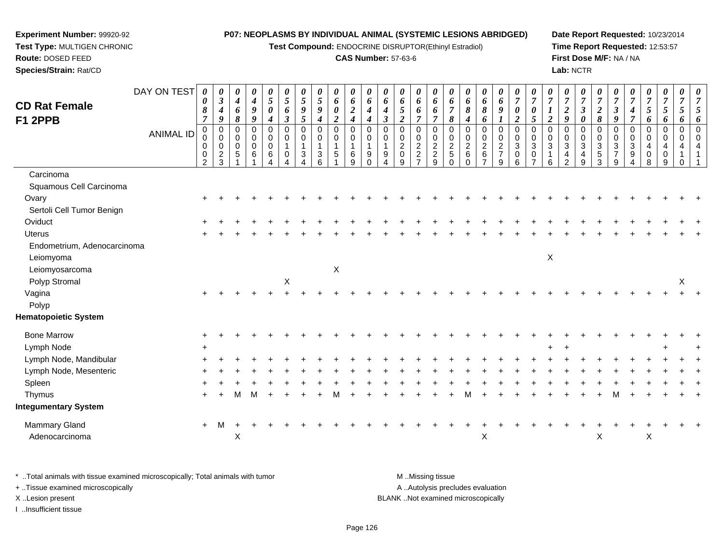**Test Compound:** ENDOCRINE DISRUPTOR(Ethinyl Estradiol)

### **CAS Number:** 57-63-6

**Date Report Requested:** 10/23/2014**Time Report Requested:** 12:53:57**First Dose M/F:** NA / NA**Lab:** NCTR

| <b>CD Rat Female</b><br>F1 2PPB | DAY ON TEST<br><b>ANIMAL ID</b> | 0<br>$\boldsymbol{\theta}$<br>8<br>$\overline{7}$<br>$\pmb{0}$<br>$\pmb{0}$<br>$\mathbf 0$<br>$\pmb{0}$<br>$\overline{2}$ | 0<br>$\boldsymbol{\beta}$<br>$\boldsymbol{4}$<br>9<br>$\pmb{0}$<br>$\pmb{0}$<br>0<br>$\sqrt{2}$<br>3 | 0<br>$\boldsymbol{4}$<br>6<br>8<br>$\mathbf 0$<br>$\mathbf 0$<br>$\mathbf 0$<br>5 | 0<br>$\boldsymbol{4}$<br>$\boldsymbol{9}$<br>9<br>$\mathbf 0$<br>0<br>$\pmb{0}$<br>6 | 0<br>5<br>0<br>4<br>$\mathbf 0$<br>$\pmb{0}$<br>$\mathbf 0$<br>6 | 0<br>$\mathfrak{s}$<br>6<br>$\boldsymbol{\beta}$<br>$\pmb{0}$<br>$\pmb{0}$<br>$\mathbf{1}$<br>$\mathbf 0$ | $\theta$<br>5<br>9<br>$\mathfrak{s}$<br>$\Omega$<br>0<br>$\mathbf{1}$<br>$\mathbf{3}$ | 0<br>$\mathfrak{s}$<br>9<br>$\boldsymbol{4}$<br>$\pmb{0}$<br>$\pmb{0}$<br>$\mathbf{1}$<br>$\sqrt{3}$<br>6 | 0<br>6<br>0<br>$\overline{\mathbf{c}}$<br>$\pmb{0}$<br>$\pmb{0}$<br>$\mathbf{1}$<br>5 | 0<br>6<br>$\overline{2}$<br>$\boldsymbol{4}$<br>$\mathbf 0$<br>$\mathbf 0$<br>$\mathbf{1}$<br>6<br>9 | 0<br>6<br>$\boldsymbol{4}$<br>$\boldsymbol{4}$<br>$\mathbf 0$<br>0<br>$\mathbf{1}$<br>9<br>$\Omega$ | 0<br>6<br>4<br>$\mathfrak{z}$<br>$\mathbf 0$<br>$\mathbf 0$<br>$\mathbf{1}$<br>9 | 0<br>6<br>$\mathfrak{s}$<br>$\boldsymbol{2}$<br>$\pmb{0}$<br>$\pmb{0}$<br>$\overline{2}$<br>$\pmb{0}$<br>9 | 0<br>6<br>6<br>$\overline{7}$<br>0<br>$\mathbf 0$<br>$\overline{2}$<br>$\overline{c}$<br>$\overline{z}$ | 0<br>6<br>6<br>$\overline{7}$<br>$\mathbf 0$<br>$\frac{0}{2}$<br>$\overline{2}$<br>9 | 0<br>6<br>$\overline{7}$<br>8<br>$\mathbf 0$<br>0<br>$\boldsymbol{2}$<br>5<br>$\Omega$ | 0<br>6<br>8<br>$\boldsymbol{4}$<br>$\mathbf 0$<br>$\pmb{0}$<br>$\overline{2}$<br>6 | 0<br>6<br>8<br>6<br>$\mathbf 0$<br>$\pmb{0}$<br>$\overline{2}$<br>$\,6\,$ | 0<br>6<br>9<br>$\boldsymbol{l}$<br>$\pmb{0}$<br>$\mathbf 0$<br>$\overline{2}$<br>$\overline{7}$<br>9 | 0<br>$\overline{7}$<br>$\pmb{\theta}$<br>$\boldsymbol{2}$<br>$\mathbf 0$<br>$\mathbf 0$<br>$\overline{3}$<br>0<br>6 | $\boldsymbol{\theta}$<br>$\boldsymbol{7}$<br>0<br>5<br>$\mathbf 0$<br>0<br>3<br>0 | 0<br>$\overline{7}$<br>$\boldsymbol{l}$<br>$\boldsymbol{2}$<br>$\Omega$<br>$\mathbf 0$<br>$\mathfrak{Z}$<br>6 | 0<br>$\overline{7}$<br>$\boldsymbol{2}$<br>9<br>$\mathbf 0$<br>0<br>$\mathfrak{S}$<br>4<br>$\mathfrak{p}$ | 0<br>$\boldsymbol{7}$<br>$\boldsymbol{\beta}$<br>0<br>0<br>$\pmb{0}$<br>$\mathbf{3}$<br>4<br>9 | 0<br>$\overline{7}$<br>$\boldsymbol{2}$<br>8<br>$\mathbf 0$<br>$\mathbf 0$<br>$\overline{3}$<br>$\sqrt{5}$<br>3 | $\boldsymbol{\theta}$<br>$\overline{7}$<br>$\mathfrak{z}$<br>9<br>$\mathbf 0$<br>0<br>$\mathbf{3}$<br>$\overline{7}$<br>9 | 0<br>$\overline{7}$<br>4<br>$\boldsymbol{7}$<br>$\mathbf 0$<br>$\mathbf 0$<br>$\mathfrak{S}$<br>9 | 0<br>$\overline{7}$<br>5<br>6<br>0<br>$\mathbf 0$<br>$\overline{4}$<br>0<br>8 | 0<br>$\overline{7}$<br>5<br>6<br>0<br>0<br>4<br>0<br>9 | 0<br>$\overline{7}$<br>5<br>6<br>$\pmb{0}$<br>$\mathbf 0$<br>4<br>$\Omega$ | $\boldsymbol{\theta}$<br>7<br>6 |
|---------------------------------|---------------------------------|---------------------------------------------------------------------------------------------------------------------------|------------------------------------------------------------------------------------------------------|-----------------------------------------------------------------------------------|--------------------------------------------------------------------------------------|------------------------------------------------------------------|-----------------------------------------------------------------------------------------------------------|---------------------------------------------------------------------------------------|-----------------------------------------------------------------------------------------------------------|---------------------------------------------------------------------------------------|------------------------------------------------------------------------------------------------------|-----------------------------------------------------------------------------------------------------|----------------------------------------------------------------------------------|------------------------------------------------------------------------------------------------------------|---------------------------------------------------------------------------------------------------------|--------------------------------------------------------------------------------------|----------------------------------------------------------------------------------------|------------------------------------------------------------------------------------|---------------------------------------------------------------------------|------------------------------------------------------------------------------------------------------|---------------------------------------------------------------------------------------------------------------------|-----------------------------------------------------------------------------------|---------------------------------------------------------------------------------------------------------------|-----------------------------------------------------------------------------------------------------------|------------------------------------------------------------------------------------------------|-----------------------------------------------------------------------------------------------------------------|---------------------------------------------------------------------------------------------------------------------------|---------------------------------------------------------------------------------------------------|-------------------------------------------------------------------------------|--------------------------------------------------------|----------------------------------------------------------------------------|---------------------------------|
| Carcinoma                       |                                 |                                                                                                                           |                                                                                                      |                                                                                   |                                                                                      |                                                                  |                                                                                                           |                                                                                       |                                                                                                           |                                                                                       |                                                                                                      |                                                                                                     |                                                                                  |                                                                                                            |                                                                                                         |                                                                                      |                                                                                        |                                                                                    |                                                                           |                                                                                                      |                                                                                                                     |                                                                                   |                                                                                                               |                                                                                                           |                                                                                                |                                                                                                                 |                                                                                                                           |                                                                                                   |                                                                               |                                                        |                                                                            |                                 |
| Squamous Cell Carcinoma         |                                 |                                                                                                                           |                                                                                                      |                                                                                   |                                                                                      |                                                                  |                                                                                                           |                                                                                       |                                                                                                           |                                                                                       |                                                                                                      |                                                                                                     |                                                                                  |                                                                                                            |                                                                                                         |                                                                                      |                                                                                        |                                                                                    |                                                                           |                                                                                                      |                                                                                                                     |                                                                                   |                                                                                                               |                                                                                                           |                                                                                                |                                                                                                                 |                                                                                                                           |                                                                                                   |                                                                               |                                                        |                                                                            |                                 |
| Ovary                           |                                 |                                                                                                                           |                                                                                                      |                                                                                   |                                                                                      |                                                                  |                                                                                                           |                                                                                       |                                                                                                           |                                                                                       |                                                                                                      |                                                                                                     |                                                                                  |                                                                                                            |                                                                                                         |                                                                                      |                                                                                        |                                                                                    |                                                                           |                                                                                                      |                                                                                                                     |                                                                                   |                                                                                                               |                                                                                                           |                                                                                                |                                                                                                                 |                                                                                                                           |                                                                                                   |                                                                               |                                                        |                                                                            |                                 |
| Sertoli Cell Tumor Benign       |                                 |                                                                                                                           |                                                                                                      |                                                                                   |                                                                                      |                                                                  |                                                                                                           |                                                                                       |                                                                                                           |                                                                                       |                                                                                                      |                                                                                                     |                                                                                  |                                                                                                            |                                                                                                         |                                                                                      |                                                                                        |                                                                                    |                                                                           |                                                                                                      |                                                                                                                     |                                                                                   |                                                                                                               |                                                                                                           |                                                                                                |                                                                                                                 |                                                                                                                           |                                                                                                   |                                                                               |                                                        |                                                                            |                                 |
| Oviduct                         |                                 |                                                                                                                           |                                                                                                      |                                                                                   |                                                                                      |                                                                  |                                                                                                           |                                                                                       |                                                                                                           |                                                                                       |                                                                                                      |                                                                                                     |                                                                                  |                                                                                                            |                                                                                                         |                                                                                      |                                                                                        |                                                                                    |                                                                           |                                                                                                      |                                                                                                                     |                                                                                   |                                                                                                               |                                                                                                           |                                                                                                |                                                                                                                 |                                                                                                                           |                                                                                                   |                                                                               |                                                        |                                                                            |                                 |
| <b>Uterus</b>                   |                                 |                                                                                                                           |                                                                                                      |                                                                                   |                                                                                      |                                                                  |                                                                                                           |                                                                                       |                                                                                                           |                                                                                       |                                                                                                      |                                                                                                     |                                                                                  |                                                                                                            |                                                                                                         |                                                                                      |                                                                                        |                                                                                    |                                                                           |                                                                                                      |                                                                                                                     |                                                                                   |                                                                                                               |                                                                                                           |                                                                                                |                                                                                                                 |                                                                                                                           |                                                                                                   |                                                                               |                                                        |                                                                            |                                 |
| Endometrium, Adenocarcinoma     |                                 |                                                                                                                           |                                                                                                      |                                                                                   |                                                                                      |                                                                  |                                                                                                           |                                                                                       |                                                                                                           |                                                                                       |                                                                                                      |                                                                                                     |                                                                                  |                                                                                                            |                                                                                                         |                                                                                      |                                                                                        |                                                                                    |                                                                           |                                                                                                      |                                                                                                                     |                                                                                   |                                                                                                               |                                                                                                           |                                                                                                |                                                                                                                 |                                                                                                                           |                                                                                                   |                                                                               |                                                        |                                                                            |                                 |
| Leiomyoma                       |                                 |                                                                                                                           |                                                                                                      |                                                                                   |                                                                                      |                                                                  |                                                                                                           |                                                                                       |                                                                                                           |                                                                                       |                                                                                                      |                                                                                                     |                                                                                  |                                                                                                            |                                                                                                         |                                                                                      |                                                                                        |                                                                                    |                                                                           |                                                                                                      |                                                                                                                     |                                                                                   | $\boldsymbol{\mathsf{X}}$                                                                                     |                                                                                                           |                                                                                                |                                                                                                                 |                                                                                                                           |                                                                                                   |                                                                               |                                                        |                                                                            |                                 |
| Leiomyosarcoma                  |                                 |                                                                                                                           |                                                                                                      |                                                                                   |                                                                                      |                                                                  |                                                                                                           |                                                                                       |                                                                                                           | X                                                                                     |                                                                                                      |                                                                                                     |                                                                                  |                                                                                                            |                                                                                                         |                                                                                      |                                                                                        |                                                                                    |                                                                           |                                                                                                      |                                                                                                                     |                                                                                   |                                                                                                               |                                                                                                           |                                                                                                |                                                                                                                 |                                                                                                                           |                                                                                                   |                                                                               |                                                        |                                                                            |                                 |
| Polyp Stromal                   |                                 |                                                                                                                           |                                                                                                      |                                                                                   |                                                                                      |                                                                  | $\mathsf X$                                                                                               |                                                                                       |                                                                                                           |                                                                                       |                                                                                                      |                                                                                                     |                                                                                  |                                                                                                            |                                                                                                         |                                                                                      |                                                                                        |                                                                                    |                                                                           |                                                                                                      |                                                                                                                     |                                                                                   |                                                                                                               |                                                                                                           |                                                                                                |                                                                                                                 |                                                                                                                           |                                                                                                   |                                                                               |                                                        | $\sf X$                                                                    |                                 |
| Vagina                          |                                 |                                                                                                                           |                                                                                                      |                                                                                   |                                                                                      |                                                                  |                                                                                                           |                                                                                       |                                                                                                           |                                                                                       |                                                                                                      |                                                                                                     |                                                                                  |                                                                                                            |                                                                                                         |                                                                                      |                                                                                        |                                                                                    |                                                                           |                                                                                                      |                                                                                                                     |                                                                                   |                                                                                                               |                                                                                                           |                                                                                                |                                                                                                                 |                                                                                                                           |                                                                                                   |                                                                               |                                                        |                                                                            |                                 |
| Polyp                           |                                 |                                                                                                                           |                                                                                                      |                                                                                   |                                                                                      |                                                                  |                                                                                                           |                                                                                       |                                                                                                           |                                                                                       |                                                                                                      |                                                                                                     |                                                                                  |                                                                                                            |                                                                                                         |                                                                                      |                                                                                        |                                                                                    |                                                                           |                                                                                                      |                                                                                                                     |                                                                                   |                                                                                                               |                                                                                                           |                                                                                                |                                                                                                                 |                                                                                                                           |                                                                                                   |                                                                               |                                                        |                                                                            |                                 |
| <b>Hematopoietic System</b>     |                                 |                                                                                                                           |                                                                                                      |                                                                                   |                                                                                      |                                                                  |                                                                                                           |                                                                                       |                                                                                                           |                                                                                       |                                                                                                      |                                                                                                     |                                                                                  |                                                                                                            |                                                                                                         |                                                                                      |                                                                                        |                                                                                    |                                                                           |                                                                                                      |                                                                                                                     |                                                                                   |                                                                                                               |                                                                                                           |                                                                                                |                                                                                                                 |                                                                                                                           |                                                                                                   |                                                                               |                                                        |                                                                            |                                 |
| <b>Bone Marrow</b>              |                                 |                                                                                                                           |                                                                                                      |                                                                                   |                                                                                      |                                                                  |                                                                                                           |                                                                                       |                                                                                                           |                                                                                       |                                                                                                      |                                                                                                     |                                                                                  |                                                                                                            |                                                                                                         |                                                                                      |                                                                                        |                                                                                    |                                                                           |                                                                                                      |                                                                                                                     |                                                                                   |                                                                                                               |                                                                                                           |                                                                                                |                                                                                                                 |                                                                                                                           |                                                                                                   |                                                                               |                                                        |                                                                            |                                 |
| Lymph Node                      |                                 | $+$                                                                                                                       |                                                                                                      |                                                                                   |                                                                                      |                                                                  |                                                                                                           |                                                                                       |                                                                                                           |                                                                                       |                                                                                                      |                                                                                                     |                                                                                  |                                                                                                            |                                                                                                         |                                                                                      |                                                                                        |                                                                                    |                                                                           |                                                                                                      |                                                                                                                     |                                                                                   |                                                                                                               | $\overline{ }$                                                                                            |                                                                                                |                                                                                                                 |                                                                                                                           |                                                                                                   |                                                                               |                                                        |                                                                            |                                 |
| Lymph Node, Mandibular          |                                 |                                                                                                                           |                                                                                                      |                                                                                   |                                                                                      |                                                                  |                                                                                                           |                                                                                       |                                                                                                           |                                                                                       |                                                                                                      |                                                                                                     |                                                                                  |                                                                                                            |                                                                                                         |                                                                                      |                                                                                        |                                                                                    |                                                                           |                                                                                                      |                                                                                                                     |                                                                                   |                                                                                                               |                                                                                                           |                                                                                                |                                                                                                                 |                                                                                                                           |                                                                                                   |                                                                               |                                                        |                                                                            |                                 |
| Lymph Node, Mesenteric          |                                 |                                                                                                                           |                                                                                                      |                                                                                   |                                                                                      |                                                                  |                                                                                                           |                                                                                       |                                                                                                           |                                                                                       |                                                                                                      |                                                                                                     |                                                                                  |                                                                                                            |                                                                                                         |                                                                                      |                                                                                        |                                                                                    |                                                                           |                                                                                                      |                                                                                                                     |                                                                                   |                                                                                                               |                                                                                                           |                                                                                                |                                                                                                                 |                                                                                                                           |                                                                                                   |                                                                               |                                                        |                                                                            |                                 |
| Spleen                          |                                 |                                                                                                                           |                                                                                                      |                                                                                   |                                                                                      |                                                                  |                                                                                                           |                                                                                       |                                                                                                           |                                                                                       |                                                                                                      |                                                                                                     |                                                                                  |                                                                                                            |                                                                                                         |                                                                                      |                                                                                        |                                                                                    |                                                                           |                                                                                                      |                                                                                                                     |                                                                                   |                                                                                                               |                                                                                                           |                                                                                                |                                                                                                                 |                                                                                                                           |                                                                                                   |                                                                               |                                                        |                                                                            |                                 |
| Thymus                          |                                 | $\pm$                                                                                                                     |                                                                                                      | м                                                                                 | M                                                                                    |                                                                  |                                                                                                           |                                                                                       |                                                                                                           |                                                                                       |                                                                                                      |                                                                                                     |                                                                                  |                                                                                                            |                                                                                                         |                                                                                      |                                                                                        |                                                                                    |                                                                           |                                                                                                      |                                                                                                                     |                                                                                   |                                                                                                               |                                                                                                           |                                                                                                |                                                                                                                 |                                                                                                                           |                                                                                                   |                                                                               |                                                        |                                                                            |                                 |
| <b>Integumentary System</b>     |                                 |                                                                                                                           |                                                                                                      |                                                                                   |                                                                                      |                                                                  |                                                                                                           |                                                                                       |                                                                                                           |                                                                                       |                                                                                                      |                                                                                                     |                                                                                  |                                                                                                            |                                                                                                         |                                                                                      |                                                                                        |                                                                                    |                                                                           |                                                                                                      |                                                                                                                     |                                                                                   |                                                                                                               |                                                                                                           |                                                                                                |                                                                                                                 |                                                                                                                           |                                                                                                   |                                                                               |                                                        |                                                                            |                                 |
| Mammary Gland<br>Adenocarcinoma |                                 | $\pm$                                                                                                                     | м                                                                                                    | X                                                                                 |                                                                                      |                                                                  |                                                                                                           |                                                                                       |                                                                                                           |                                                                                       |                                                                                                      |                                                                                                     |                                                                                  |                                                                                                            |                                                                                                         |                                                                                      |                                                                                        |                                                                                    | X                                                                         |                                                                                                      |                                                                                                                     |                                                                                   |                                                                                                               |                                                                                                           |                                                                                                | X                                                                                                               |                                                                                                                           |                                                                                                   | $\boldsymbol{\mathsf{X}}$                                                     |                                                        |                                                                            |                                 |

\* ..Total animals with tissue examined microscopically; Total animals with tumor **M** . Missing tissue M ..Missing tissue A ..Autolysis precludes evaluation + ..Tissue examined microscopically X ..Lesion present BLANK ..Not examined microscopicallyI ..Insufficient tissue

**Experiment Number:** 99920-92**Test Type:** MULTIGEN CHRONIC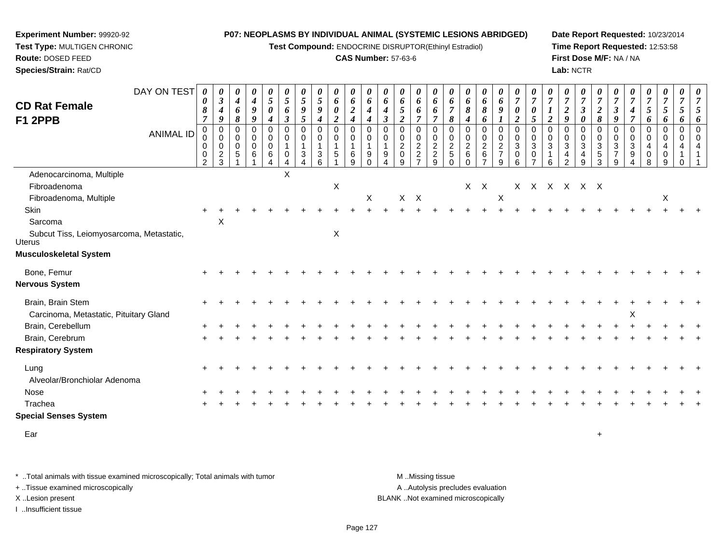**Test Compound:** ENDOCRINE DISRUPTOR(Ethinyl Estradiol)

#### **CAS Number:** 57-63-6

**Date Report Requested:** 10/23/2014**Time Report Requested:** 12:53:58**First Dose M/F:** NA / NA**Lab:** NCTR

| <b>CD Rat Female</b>                                               | DAY ON TEST      | 0<br>0<br>8                                                    | $\boldsymbol{\theta}$<br>$\boldsymbol{\beta}$<br>$\boldsymbol{4}$ | $\boldsymbol{\theta}$<br>$\boldsymbol{4}$<br>$\pmb{6}$       | 0<br>$\boldsymbol{4}$<br>$\boldsymbol{g}$                    | $\frac{\theta}{5}$<br>$\boldsymbol{\theta}$                                                | $\boldsymbol{\theta}$<br>5<br>6               | 0<br>$\sqrt{5}$<br>$\boldsymbol{g}$                                       | 0<br>5<br>9                                                    | 0<br>6<br>0                             | $\boldsymbol{\theta}$<br>$\pmb{6}$<br>$\boldsymbol{2}$                                                    | 0<br>6<br>$\boldsymbol{4}$                                         | $\boldsymbol{\theta}$<br>6<br>$\boldsymbol{4}$                                           | 0<br>6<br>5                                                         | 0<br>6<br>6                                    | $\boldsymbol{\theta}$<br>$\pmb{6}$<br>6                     | $\boldsymbol{\theta}$<br>6<br>$\overline{7}$       | $\boldsymbol{\theta}$<br>$\pmb{6}$<br>$\pmb{8}$                             | $\boldsymbol{\theta}$<br>$\boldsymbol{\delta}$<br>$\pmb{8}$      | $\boldsymbol{\theta}$<br>6<br>9                                                     | $\frac{\boldsymbol{\theta}}{\boldsymbol{7}}$<br>$\boldsymbol{\theta}$ | $\boldsymbol{\theta}$<br>$\boldsymbol{7}$<br>$\boldsymbol{\theta}$ | $\overline{7}$                                          | $\boldsymbol{\theta}$<br>$\boldsymbol{7}$<br>$\boldsymbol{2}$ | $\boldsymbol{\theta}$<br>$\boldsymbol{7}$<br>$\mathfrak{z}$                                | $\boldsymbol{\theta}$<br>$\overline{7}$<br>$\boldsymbol{2}$                                        | $\boldsymbol{\theta}$<br>$\overline{7}$<br>$\boldsymbol{\beta}$        | $\boldsymbol{\theta}$<br>$\overline{7}$<br>$\boldsymbol{4}$            | 0<br>$\boldsymbol{7}$<br>5                                          | $\boldsymbol{\theta}$<br>$\boldsymbol{7}$<br>$\mathfrak{S}$ | 0<br>$\overline{7}$<br>$\mathfrak{s}$                              | 0<br>$\overline{7}$<br>5                                |
|--------------------------------------------------------------------|------------------|----------------------------------------------------------------|-------------------------------------------------------------------|--------------------------------------------------------------|--------------------------------------------------------------|--------------------------------------------------------------------------------------------|-----------------------------------------------|---------------------------------------------------------------------------|----------------------------------------------------------------|-----------------------------------------|-----------------------------------------------------------------------------------------------------------|--------------------------------------------------------------------|------------------------------------------------------------------------------------------|---------------------------------------------------------------------|------------------------------------------------|-------------------------------------------------------------|----------------------------------------------------|-----------------------------------------------------------------------------|------------------------------------------------------------------|-------------------------------------------------------------------------------------|-----------------------------------------------------------------------|--------------------------------------------------------------------|---------------------------------------------------------|---------------------------------------------------------------|--------------------------------------------------------------------------------------------|----------------------------------------------------------------------------------------------------|------------------------------------------------------------------------|------------------------------------------------------------------------|---------------------------------------------------------------------|-------------------------------------------------------------|--------------------------------------------------------------------|---------------------------------------------------------|
| F1 2PPB                                                            | <b>ANIMAL ID</b> | $\overline{7}$<br>$\mathbf 0$<br>0<br>0<br>0<br>$\overline{2}$ | 9<br>$\Omega$<br>0<br>0<br>$\frac{2}{3}$                          | 8<br>$\mathbf 0$<br>$\mathbf 0$<br>$\mathbf 0$<br>$\sqrt{5}$ | $\boldsymbol{9}$<br>$\mathbf 0$<br>0<br>$\mathbf 0$<br>$\,6$ | $\boldsymbol{4}$<br>$\mathbf 0$<br>$\mathbf 0$<br>$\mathbf 0$<br>$\,6\,$<br>$\overline{4}$ | $\boldsymbol{\beta}$<br>0<br>0<br>1<br>0<br>4 | $\mathfrak{z}$<br>$\mathbf 0$<br>0<br>$\mathbf{1}$<br>3<br>$\overline{4}$ | $\boldsymbol{4}$<br>$\mathbf 0$<br>0<br>$\mathbf{1}$<br>3<br>6 | $\overline{c}$<br>$\mathbf 0$<br>0<br>5 | $\boldsymbol{4}$<br>$\mathbf 0$<br>$\mathbf 0$<br>$\overline{1}$<br>$\begin{array}{c} 6 \\ 9 \end{array}$ | $\boldsymbol{4}$<br>$\Omega$<br>0<br>$\mathbf{1}$<br>9<br>$\Omega$ | $\mathfrak{z}$<br>$\Omega$<br>$\mathbf 0$<br>$\mathbf{1}$<br>9<br>$\boldsymbol{\Lambda}$ | $\overline{2}$<br>$\Omega$<br>0<br>$\overline{c}$<br>$\pmb{0}$<br>9 | $\overline{7}$<br>0<br>0<br>$\frac{2}{2}$<br>7 | $\overline{7}$<br>$\mathbf 0$<br>$\pmb{0}$<br>$\frac{2}{9}$ | 8<br>$\mathbf 0$<br>0<br>$\frac{2}{5}$<br>$\Omega$ | $\boldsymbol{4}$<br>$\mathbf 0$<br>$\mathbf 0$<br>$\frac{2}{6}$<br>$\Omega$ | 6<br>0<br>$\mathbf 0$<br>$\sqrt{2}$<br>$\,6\,$<br>$\overline{7}$ | $\boldsymbol{l}$<br>$\mathbf 0$<br>$\mathbf 0$<br>$\sqrt{2}$<br>$\overline{7}$<br>9 | $\boldsymbol{2}$<br>$\mathbf 0$<br>0<br>3<br>0<br>6                   | 5<br>$\mathbf 0$<br>0<br>$\sqrt{3}$<br>0<br>$\overline{7}$         | $\overline{2}$<br>$\mathbf 0$<br>0<br>$\mathbf{3}$<br>6 | 9<br>$\Omega$<br>$\mathbf 0$<br>3<br>4<br>$\overline{2}$      | $\boldsymbol{\theta}$<br>$\mathbf 0$<br>$\mathbf 0$<br>$\mathbf{3}$<br>$\overline{4}$<br>9 | $\boldsymbol{\delta}$<br>$\mathbf 0$<br>$\mathbf 0$<br>$\mathbf{3}$<br>$\mathbf 5$<br>$\mathbf{3}$ | 9<br>$\mathbf 0$<br>$\mathbf 0$<br>$\mathbf{3}$<br>$\overline{7}$<br>9 | $\overline{7}$<br>$\mathbf 0$<br>0<br>3<br>9<br>$\boldsymbol{\Lambda}$ | 6<br>$\mathbf 0$<br>$\mathbf 0$<br>$\overline{4}$<br>$\pmb{0}$<br>8 | 6<br>$\mathbf 0$<br>$\pmb{0}$<br>4<br>0<br>9                | 6<br>$\mathbf 0$<br>0<br>$\overline{4}$<br>$\mathbf 1$<br>$\Omega$ | 6<br>$\mathbf 0$<br>$\mathbf 0$<br>$\overline{a}$<br>-1 |
| Adenocarcinoma, Multiple<br>Fibroadenoma<br>Fibroadenoma, Multiple |                  |                                                                |                                                                   |                                                              |                                                              |                                                                                            | X                                             |                                                                           |                                                                | $\boldsymbol{\mathsf{X}}$               |                                                                                                           | X                                                                  |                                                                                          |                                                                     | $X$ $X$                                        |                                                             |                                                    | X                                                                           | $\mathsf{X}$                                                     | $\boldsymbol{\mathsf{X}}$                                                           |                                                                       |                                                                    |                                                         |                                                               | X X X X X X                                                                                |                                                                                                    |                                                                        |                                                                        |                                                                     | X                                                           |                                                                    |                                                         |
| Skin<br>Sarcoma                                                    |                  |                                                                | X                                                                 |                                                              |                                                              |                                                                                            |                                               |                                                                           |                                                                |                                         |                                                                                                           |                                                                    |                                                                                          |                                                                     |                                                |                                                             |                                                    |                                                                             |                                                                  |                                                                                     |                                                                       |                                                                    |                                                         |                                                               |                                                                                            |                                                                                                    |                                                                        |                                                                        |                                                                     |                                                             |                                                                    |                                                         |
| Subcut Tiss, Leiomyosarcoma, Metastatic,<br><b>Uterus</b>          |                  |                                                                |                                                                   |                                                              |                                                              |                                                                                            |                                               |                                                                           |                                                                | $\mathsf X$                             |                                                                                                           |                                                                    |                                                                                          |                                                                     |                                                |                                                             |                                                    |                                                                             |                                                                  |                                                                                     |                                                                       |                                                                    |                                                         |                                                               |                                                                                            |                                                                                                    |                                                                        |                                                                        |                                                                     |                                                             |                                                                    |                                                         |
| <b>Musculoskeletal System</b>                                      |                  |                                                                |                                                                   |                                                              |                                                              |                                                                                            |                                               |                                                                           |                                                                |                                         |                                                                                                           |                                                                    |                                                                                          |                                                                     |                                                |                                                             |                                                    |                                                                             |                                                                  |                                                                                     |                                                                       |                                                                    |                                                         |                                                               |                                                                                            |                                                                                                    |                                                                        |                                                                        |                                                                     |                                                             |                                                                    |                                                         |
| Bone, Femur                                                        |                  |                                                                |                                                                   |                                                              |                                                              |                                                                                            |                                               |                                                                           |                                                                |                                         |                                                                                                           |                                                                    |                                                                                          |                                                                     |                                                |                                                             |                                                    |                                                                             |                                                                  |                                                                                     |                                                                       |                                                                    |                                                         |                                                               |                                                                                            |                                                                                                    |                                                                        |                                                                        |                                                                     |                                                             |                                                                    |                                                         |
| <b>Nervous System</b>                                              |                  |                                                                |                                                                   |                                                              |                                                              |                                                                                            |                                               |                                                                           |                                                                |                                         |                                                                                                           |                                                                    |                                                                                          |                                                                     |                                                |                                                             |                                                    |                                                                             |                                                                  |                                                                                     |                                                                       |                                                                    |                                                         |                                                               |                                                                                            |                                                                                                    |                                                                        |                                                                        |                                                                     |                                                             |                                                                    |                                                         |
| Brain, Brain Stem<br>Carcinoma, Metastatic, Pituitary Gland        |                  |                                                                |                                                                   |                                                              |                                                              |                                                                                            |                                               |                                                                           |                                                                |                                         |                                                                                                           |                                                                    |                                                                                          |                                                                     |                                                |                                                             |                                                    |                                                                             |                                                                  |                                                                                     |                                                                       |                                                                    |                                                         |                                                               |                                                                                            |                                                                                                    |                                                                        | X                                                                      |                                                                     |                                                             |                                                                    |                                                         |
| Brain, Cerebellum                                                  |                  |                                                                |                                                                   |                                                              |                                                              |                                                                                            |                                               |                                                                           |                                                                |                                         |                                                                                                           |                                                                    |                                                                                          |                                                                     |                                                |                                                             |                                                    |                                                                             |                                                                  |                                                                                     |                                                                       |                                                                    |                                                         |                                                               |                                                                                            |                                                                                                    |                                                                        |                                                                        |                                                                     |                                                             |                                                                    |                                                         |
| Brain, Cerebrum<br><b>Respiratory System</b>                       |                  |                                                                |                                                                   |                                                              |                                                              |                                                                                            |                                               |                                                                           |                                                                |                                         |                                                                                                           |                                                                    |                                                                                          |                                                                     |                                                |                                                             |                                                    |                                                                             |                                                                  |                                                                                     |                                                                       |                                                                    |                                                         |                                                               |                                                                                            |                                                                                                    |                                                                        |                                                                        |                                                                     |                                                             |                                                                    |                                                         |
| Lung<br>Alveolar/Bronchiolar Adenoma                               |                  |                                                                |                                                                   |                                                              |                                                              |                                                                                            |                                               |                                                                           |                                                                |                                         |                                                                                                           |                                                                    |                                                                                          |                                                                     |                                                |                                                             |                                                    |                                                                             |                                                                  |                                                                                     |                                                                       |                                                                    |                                                         |                                                               |                                                                                            |                                                                                                    |                                                                        |                                                                        |                                                                     |                                                             |                                                                    |                                                         |
| Nose                                                               |                  |                                                                |                                                                   |                                                              |                                                              |                                                                                            |                                               |                                                                           |                                                                |                                         |                                                                                                           |                                                                    |                                                                                          |                                                                     |                                                |                                                             |                                                    |                                                                             |                                                                  |                                                                                     |                                                                       |                                                                    |                                                         |                                                               |                                                                                            |                                                                                                    |                                                                        |                                                                        |                                                                     |                                                             |                                                                    |                                                         |
| Trachea                                                            |                  |                                                                |                                                                   |                                                              |                                                              |                                                                                            |                                               |                                                                           |                                                                |                                         |                                                                                                           |                                                                    |                                                                                          |                                                                     |                                                |                                                             |                                                    |                                                                             |                                                                  |                                                                                     |                                                                       |                                                                    |                                                         |                                                               |                                                                                            |                                                                                                    |                                                                        |                                                                        |                                                                     |                                                             |                                                                    |                                                         |
| <b>Special Senses System</b>                                       |                  |                                                                |                                                                   |                                                              |                                                              |                                                                                            |                                               |                                                                           |                                                                |                                         |                                                                                                           |                                                                    |                                                                                          |                                                                     |                                                |                                                             |                                                    |                                                                             |                                                                  |                                                                                     |                                                                       |                                                                    |                                                         |                                                               |                                                                                            |                                                                                                    |                                                                        |                                                                        |                                                                     |                                                             |                                                                    |                                                         |
| Ear                                                                |                  |                                                                |                                                                   |                                                              |                                                              |                                                                                            |                                               |                                                                           |                                                                |                                         |                                                                                                           |                                                                    |                                                                                          |                                                                     |                                                |                                                             |                                                    |                                                                             |                                                                  |                                                                                     |                                                                       |                                                                    |                                                         |                                                               |                                                                                            | $\ddot{}$                                                                                          |                                                                        |                                                                        |                                                                     |                                                             |                                                                    |                                                         |

\* ..Total animals with tissue examined microscopically; Total animals with tumor **M** . Missing tissue M ..Missing tissue A ..Autolysis precludes evaluation + ..Tissue examined microscopically X ..Lesion present BLANK ..Not examined microscopicallyI ..Insufficient tissue

**Experiment Number:** 99920-92**Test Type:** MULTIGEN CHRONIC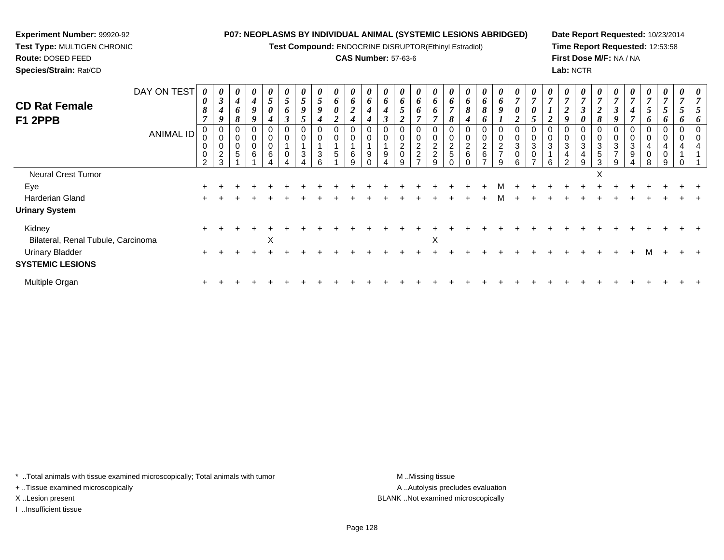**Test Compound:** ENDOCRINE DISRUPTOR(Ethinyl Estradiol)

#### **CAS Number:** 57-63-6

**Date Report Requested:** 10/23/2014**Time Report Requested:** 12:53:58**First Dose M/F:** NA / NA**Lab:** NCTR

| <b>CD Rat Female</b><br>F1 2PPB                   | DAY ON TEST<br><b>ANIMAL ID</b> | 0<br>8<br>$\overline{ }$<br>0<br>0 | $\boldsymbol{\theta}$<br>$\boldsymbol{\beta}$<br>$\boldsymbol{4}$<br>9<br>0<br>$\boldsymbol{0}$<br>$\overline{c}$ | $\boldsymbol{\theta}$<br>$\boldsymbol{4}$<br>$\bm{b}$<br>ð<br>0<br>0<br>0<br>5 | 0<br>$\boldsymbol{4}$<br>9<br>$\,6\,$ | 0<br>$5\overline{)}$<br>0<br>0<br>0<br>0<br>6 | 5<br>6<br><u>ว</u> | 5<br>9<br>5<br>0<br>$\mathbf 0$<br>3 | $\theta$<br>$5\overline{)}$<br>9<br>0<br>0<br>3 | $\boldsymbol{\theta}$<br>6<br>$\boldsymbol{\theta}$<br>ി<br>$\mathbf 0$<br>5 | $\theta$<br>6<br><u>ำ</u><br>0<br>6 | 6<br>4<br>9 | $\boldsymbol{\theta}$<br>6<br>∍<br>0<br>$\Omega$<br>9 | $\boldsymbol{\theta}$<br>6<br>5<br>0<br>0<br>$^2_{\rm 0}$ | $\boldsymbol{\theta}$<br>6<br>$\bm{b}$<br>0<br>$\boldsymbol{0}$<br>$\frac{2}{2}$ | 6<br>6<br>2<br>$\overline{c}$ | O<br>$rac{2}{5}$ | 6<br>8<br>$\overline{c}$<br>$\,6\,$ | $\boldsymbol{\theta}$<br>6<br>8<br>Đ<br>$\mathbf 0$<br>$\pmb{0}$<br>$\frac{2}{6}$ | $\boldsymbol{\theta}$<br>6<br>9<br>$\boldsymbol{0}$<br>$\pmb{0}$<br>2<br>$\overline{7}$ | $\boldsymbol{\theta}$<br>$\overline{ }$<br>0<br>ി<br>$\mathbf 0$<br>3<br>0 | 0<br>3 | 3 | $\boldsymbol{\theta}$<br>$\overline{ }$<br>◢<br>0<br>0<br>3<br>4 | $\boldsymbol{\theta}$<br>$\overline{7}$<br>$\boldsymbol{\beta}$<br>0<br>$\mathbf 0$<br>3<br>4 | $\boldsymbol{\mathit{U}}$<br>$\overline{ }$<br>2<br>8<br>0<br>$\mathbf 0$<br>3<br>5 | J<br>3 | $\overline{ }$<br>4<br>0<br>3<br>9 | $\boldsymbol{\theta}$<br>$\overline{7}$<br>5<br>n.<br>0<br>0<br>4<br>0 | $\boldsymbol{\theta}$<br>$\overline{7}$<br>5<br>0<br>$\mathbf 0$<br>4<br>$\pmb{0}$ | 0 |  |
|---------------------------------------------------|---------------------------------|------------------------------------|-------------------------------------------------------------------------------------------------------------------|--------------------------------------------------------------------------------|---------------------------------------|-----------------------------------------------|--------------------|--------------------------------------|-------------------------------------------------|------------------------------------------------------------------------------|-------------------------------------|-------------|-------------------------------------------------------|-----------------------------------------------------------|----------------------------------------------------------------------------------|-------------------------------|------------------|-------------------------------------|-----------------------------------------------------------------------------------|-----------------------------------------------------------------------------------------|----------------------------------------------------------------------------|--------|---|------------------------------------------------------------------|-----------------------------------------------------------------------------------------------|-------------------------------------------------------------------------------------|--------|------------------------------------|------------------------------------------------------------------------|------------------------------------------------------------------------------------|---|--|
|                                                   |                                 | 2                                  | $\sim$                                                                                                            |                                                                                |                                       |                                               |                    |                                      |                                                 |                                                                              |                                     |             |                                                       | q                                                         |                                                                                  | q                             |                  |                                     |                                                                                   | g                                                                                       | ĥ                                                                          |        | 6 | $\mathcal{L}$                                                    | 9                                                                                             | 3                                                                                   |        |                                    | 8                                                                      | 9                                                                                  |   |  |
| <b>Neural Crest Tumor</b>                         |                                 |                                    |                                                                                                                   |                                                                                |                                       |                                               |                    |                                      |                                                 |                                                                              |                                     |             |                                                       |                                                           |                                                                                  |                               |                  |                                     |                                                                                   |                                                                                         |                                                                            |        |   |                                                                  |                                                                                               | X                                                                                   |        |                                    |                                                                        |                                                                                    |   |  |
| Eye                                               |                                 |                                    |                                                                                                                   |                                                                                |                                       |                                               |                    |                                      |                                                 |                                                                              |                                     |             |                                                       |                                                           |                                                                                  |                               |                  |                                     |                                                                                   |                                                                                         |                                                                            |        |   |                                                                  |                                                                                               |                                                                                     |        |                                    |                                                                        |                                                                                    |   |  |
| Harderian Gland                                   |                                 |                                    |                                                                                                                   |                                                                                |                                       |                                               |                    |                                      |                                                 |                                                                              |                                     |             |                                                       |                                                           |                                                                                  |                               |                  |                                     |                                                                                   | м                                                                                       |                                                                            |        |   |                                                                  |                                                                                               |                                                                                     |        |                                    |                                                                        |                                                                                    |   |  |
| <b>Urinary System</b>                             |                                 |                                    |                                                                                                                   |                                                                                |                                       |                                               |                    |                                      |                                                 |                                                                              |                                     |             |                                                       |                                                           |                                                                                  |                               |                  |                                     |                                                                                   |                                                                                         |                                                                            |        |   |                                                                  |                                                                                               |                                                                                     |        |                                    |                                                                        |                                                                                    |   |  |
| Kidney<br>Bilateral, Renal Tubule, Carcinoma      |                                 | $\ddot{}$                          |                                                                                                                   |                                                                                |                                       | X                                             |                    |                                      |                                                 |                                                                              |                                     |             |                                                       |                                                           |                                                                                  | X                             |                  |                                     |                                                                                   |                                                                                         |                                                                            |        |   |                                                                  |                                                                                               |                                                                                     |        |                                    |                                                                        |                                                                                    |   |  |
| <b>Urinary Bladder</b><br><b>SYSTEMIC LESIONS</b> |                                 |                                    |                                                                                                                   |                                                                                |                                       |                                               |                    |                                      |                                                 |                                                                              |                                     |             |                                                       |                                                           |                                                                                  |                               |                  |                                     |                                                                                   |                                                                                         |                                                                            |        |   |                                                                  |                                                                                               |                                                                                     |        |                                    |                                                                        |                                                                                    |   |  |
| Multiple Organ                                    |                                 | ÷                                  |                                                                                                                   |                                                                                |                                       |                                               |                    |                                      |                                                 |                                                                              |                                     |             |                                                       |                                                           |                                                                                  |                               |                  |                                     |                                                                                   |                                                                                         |                                                                            |        |   |                                                                  |                                                                                               |                                                                                     |        |                                    |                                                                        |                                                                                    |   |  |

\* ..Total animals with tissue examined microscopically; Total animals with tumor **M** . Missing tissue M ..Missing tissue

+ ..Tissue examined microscopically

**Experiment Number:** 99920-92**Test Type:** MULTIGEN CHRONIC

**Route:** DOSED FEED**Species/Strain:** Rat/CD

I ..Insufficient tissue

A ..Autolysis precludes evaluation X ..Lesion present BLANK ..Not examined microscopically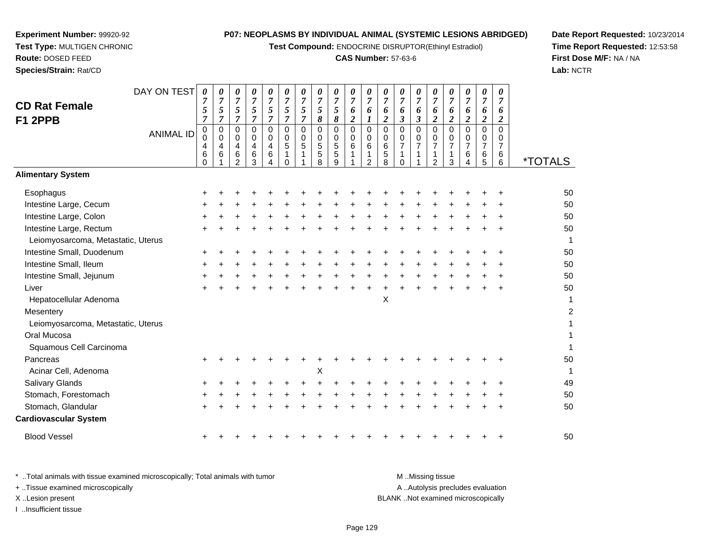**Test Compound:** ENDOCRINE DISRUPTOR(Ethinyl Estradiol)

### **CAS Number:** 57-63-6

**Date Report Requested:** 10/23/2014**Time Report Requested:** 12:53:58**First Dose M/F:** NA / NA**Lab:** NCTR

| <b>CD Rat Female</b><br>F1 2PPB    | DAY ON TEST      | 0<br>7<br>5<br>7                     | 0<br>$\overline{7}$<br>5<br>7 | 0<br>$\overline{7}$<br>5<br>7 | 0<br>$\overline{7}$<br>5<br>$\overline{7}$ | 0<br>$\boldsymbol{7}$<br>5<br>$\overline{7}$                                | 0<br>$\boldsymbol{7}$<br>5<br>7                   | 0<br>$\overline{7}$<br>$\mathfrak{s}$<br>$\overline{7}$ | 0<br>$\overline{7}$<br>$\mathfrak{s}$<br>8 | 0<br>$\overline{7}$<br>5<br>8                             | 0<br>$\overline{7}$<br>6<br>$\boldsymbol{2}$ | 0<br>$\overline{7}$<br>6<br>1      | $\boldsymbol{\theta}$<br>$\overline{7}$<br>6<br>$\boldsymbol{2}$ | 0<br>$\overline{7}$<br>6<br>$\boldsymbol{\beta}$ | 0<br>$\overline{7}$<br>6<br>$\mathfrak{z}$                  | 0<br>$\overline{7}$<br>6<br>$\overline{2}$                          | 0<br>$\boldsymbol{7}$<br>6<br>$\overline{\mathbf{c}}$ | 0<br>$\overline{7}$<br>6<br>$\boldsymbol{2}$ | 0<br>$\overline{7}$<br>6<br>$\overline{2}$ | 0<br>$\overline{7}$<br>6<br>$\boldsymbol{2}$           |                       |
|------------------------------------|------------------|--------------------------------------|-------------------------------|-------------------------------|--------------------------------------------|-----------------------------------------------------------------------------|---------------------------------------------------|---------------------------------------------------------|--------------------------------------------|-----------------------------------------------------------|----------------------------------------------|------------------------------------|------------------------------------------------------------------|--------------------------------------------------|-------------------------------------------------------------|---------------------------------------------------------------------|-------------------------------------------------------|----------------------------------------------|--------------------------------------------|--------------------------------------------------------|-----------------------|
|                                    | <b>ANIMAL ID</b> | $\pmb{0}$<br>0<br>4<br>6<br>$\Omega$ | 0<br>0<br>4<br>6              | 0<br>0<br>4<br>6<br>2         | $\mathbf 0$<br>$\mathbf 0$<br>4<br>6<br>3  | $\mathbf 0$<br>0<br>$\overline{\mathbf{4}}$<br>6<br>$\overline{\mathbf{4}}$ | $\mathbf 0$<br>0<br>5<br>$\mathbf{1}$<br>$\Omega$ | $\mathbf 0$<br>0<br>$\mathbf 5$<br>1                    | $\mathbf 0$<br>0<br>5<br>5<br>8            | $\mathsf{O}\xspace$<br>$\pmb{0}$<br>5<br>$\mathbf 5$<br>9 | $\mathsf 0$<br>$\pmb{0}$<br>$\,6$<br>1       | 0<br>0<br>6<br>1<br>$\overline{2}$ | $\mathbf 0$<br>$\mathbf 0$<br>$\,6$<br>$\sqrt{5}$<br>8           | 0<br>$\mathbf 0$<br>7<br>1<br>$\Omega$           | $\mathbf 0$<br>$\mathbf 0$<br>$\overline{7}$<br>$\mathbf 1$ | $\mathbf 0$<br>$\mathbf 0$<br>$\overline{7}$<br>1<br>$\overline{2}$ | $\mathbf 0$<br>0<br>$\overline{7}$<br>1<br>3          | $\mathbf 0$<br>0<br>7<br>$\,6\,$<br>4        | $\mathbf 0$<br>0<br>7<br>6<br>5            | $\mathbf 0$<br>$\mathbf 0$<br>$\overline{7}$<br>6<br>6 | <i><b>*TOTALS</b></i> |
| <b>Alimentary System</b>           |                  |                                      |                               |                               |                                            |                                                                             |                                                   |                                                         |                                            |                                                           |                                              |                                    |                                                                  |                                                  |                                                             |                                                                     |                                                       |                                              |                                            |                                                        |                       |
| Esophagus                          |                  | +                                    |                               |                               |                                            |                                                                             |                                                   |                                                         |                                            |                                                           |                                              |                                    |                                                                  |                                                  |                                                             |                                                                     |                                                       |                                              |                                            |                                                        | 50                    |
| Intestine Large, Cecum             |                  |                                      |                               |                               |                                            |                                                                             |                                                   |                                                         |                                            |                                                           |                                              |                                    |                                                                  |                                                  |                                                             |                                                                     |                                                       |                                              |                                            |                                                        | 50                    |
| Intestine Large, Colon             |                  |                                      |                               |                               |                                            |                                                                             |                                                   |                                                         |                                            |                                                           |                                              |                                    |                                                                  |                                                  |                                                             |                                                                     |                                                       |                                              |                                            |                                                        | 50                    |
| Intestine Large, Rectum            |                  | +                                    |                               |                               |                                            |                                                                             |                                                   |                                                         |                                            |                                                           |                                              |                                    |                                                                  |                                                  |                                                             |                                                                     |                                                       |                                              |                                            |                                                        | 50                    |
| Leiomyosarcoma, Metastatic, Uterus |                  |                                      |                               |                               |                                            |                                                                             |                                                   |                                                         |                                            |                                                           |                                              |                                    |                                                                  |                                                  |                                                             |                                                                     |                                                       |                                              |                                            |                                                        | 1                     |
| Intestine Small, Duodenum          |                  | +                                    |                               |                               |                                            |                                                                             |                                                   |                                                         |                                            |                                                           |                                              |                                    |                                                                  |                                                  |                                                             |                                                                     |                                                       |                                              |                                            |                                                        | 50                    |
| Intestine Small, Ileum             |                  |                                      |                               |                               |                                            |                                                                             |                                                   |                                                         |                                            |                                                           |                                              |                                    |                                                                  |                                                  |                                                             |                                                                     |                                                       |                                              |                                            |                                                        | 50                    |
| Intestine Small, Jejunum           |                  | ٠                                    |                               |                               |                                            |                                                                             |                                                   |                                                         |                                            |                                                           |                                              |                                    |                                                                  |                                                  |                                                             |                                                                     |                                                       |                                              |                                            |                                                        | 50                    |
| Liver                              |                  |                                      |                               |                               |                                            |                                                                             |                                                   |                                                         |                                            |                                                           |                                              |                                    |                                                                  |                                                  |                                                             |                                                                     |                                                       |                                              |                                            |                                                        | 50                    |
| Hepatocellular Adenoma             |                  |                                      |                               |                               |                                            |                                                                             |                                                   |                                                         |                                            |                                                           |                                              |                                    | X                                                                |                                                  |                                                             |                                                                     |                                                       |                                              |                                            |                                                        | 1                     |
| Mesentery                          |                  |                                      |                               |                               |                                            |                                                                             |                                                   |                                                         |                                            |                                                           |                                              |                                    |                                                                  |                                                  |                                                             |                                                                     |                                                       |                                              |                                            |                                                        | $\overline{c}$        |
| Leiomyosarcoma, Metastatic, Uterus |                  |                                      |                               |                               |                                            |                                                                             |                                                   |                                                         |                                            |                                                           |                                              |                                    |                                                                  |                                                  |                                                             |                                                                     |                                                       |                                              |                                            |                                                        | 1                     |
| Oral Mucosa                        |                  |                                      |                               |                               |                                            |                                                                             |                                                   |                                                         |                                            |                                                           |                                              |                                    |                                                                  |                                                  |                                                             |                                                                     |                                                       |                                              |                                            |                                                        |                       |
| Squamous Cell Carcinoma            |                  |                                      |                               |                               |                                            |                                                                             |                                                   |                                                         |                                            |                                                           |                                              |                                    |                                                                  |                                                  |                                                             |                                                                     |                                                       |                                              |                                            |                                                        |                       |
| Pancreas                           |                  |                                      |                               |                               |                                            |                                                                             |                                                   |                                                         |                                            |                                                           |                                              |                                    |                                                                  |                                                  |                                                             |                                                                     |                                                       |                                              |                                            |                                                        | 50                    |
| Acinar Cell, Adenoma               |                  |                                      |                               |                               |                                            |                                                                             |                                                   |                                                         | X                                          |                                                           |                                              |                                    |                                                                  |                                                  |                                                             |                                                                     |                                                       |                                              |                                            |                                                        | 1                     |
| <b>Salivary Glands</b>             |                  |                                      |                               |                               |                                            |                                                                             |                                                   |                                                         |                                            |                                                           |                                              |                                    |                                                                  |                                                  |                                                             |                                                                     |                                                       |                                              |                                            |                                                        | 49                    |
| Stomach, Forestomach               |                  |                                      |                               |                               |                                            |                                                                             |                                                   |                                                         |                                            |                                                           |                                              |                                    |                                                                  |                                                  |                                                             |                                                                     |                                                       |                                              |                                            |                                                        | 50                    |
| Stomach, Glandular                 |                  |                                      |                               |                               |                                            |                                                                             |                                                   |                                                         |                                            |                                                           |                                              |                                    |                                                                  |                                                  |                                                             |                                                                     |                                                       |                                              |                                            |                                                        | 50                    |
| <b>Cardiovascular System</b>       |                  |                                      |                               |                               |                                            |                                                                             |                                                   |                                                         |                                            |                                                           |                                              |                                    |                                                                  |                                                  |                                                             |                                                                     |                                                       |                                              |                                            |                                                        |                       |
| <b>Blood Vessel</b>                |                  |                                      |                               |                               |                                            |                                                                             |                                                   |                                                         |                                            |                                                           |                                              |                                    |                                                                  |                                                  |                                                             |                                                                     |                                                       |                                              |                                            |                                                        | 50                    |

**Experiment Number:** 99920-92**Test Type:** MULTIGEN CHRONIC

**Route:** DOSED FEED**Species/Strain:** Rat/CD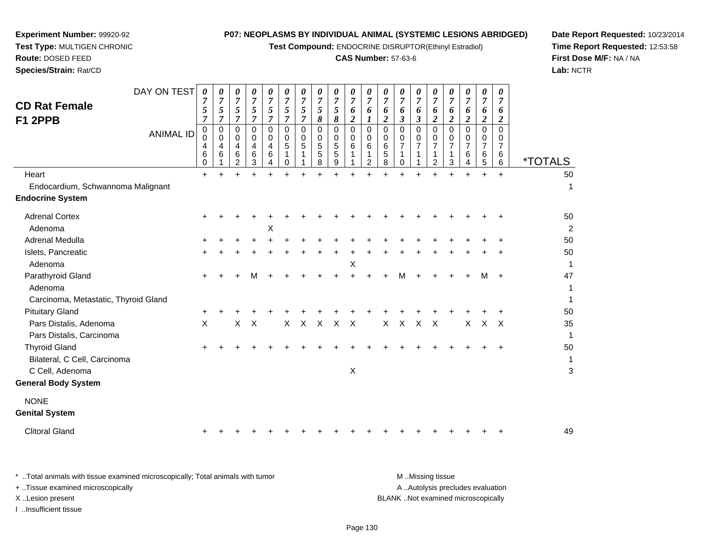**Test Compound:** ENDOCRINE DISRUPTOR(Ethinyl Estradiol)

## **CAS Number:** 57-63-6

**Date Report Requested:** 10/23/2014**Time Report Requested:** 12:53:58**First Dose M/F:** NA / NA**Lab:** NCTR

| <b>CD Rat Female</b><br>F1 2PPB<br>Heart                                | DAY ON TEST<br><b>ANIMAL ID</b> | 0<br>$\boldsymbol{7}$<br>5<br>$\overline{7}$<br>0<br>$\mathbf 0$<br>4<br>$6\phantom{1}6$<br>0<br>$\ddot{}$ | 0<br>$\overline{7}$<br>5<br>$\overline{7}$<br>$\mathbf 0$<br>$\mathbf 0$<br>4<br>6 | 0<br>$\boldsymbol{7}$<br>5<br>$\overline{7}$<br>0<br>0<br>4<br>6<br>2 | 0<br>$\overline{7}$<br>5<br>$\overline{7}$<br>$\Omega$<br>0<br>$\overline{4}$<br>6<br>3 | 0<br>$\boldsymbol{7}$<br>5<br>$\overline{7}$<br>$\mathbf 0$<br>0<br>4<br>6 | 0<br>$\overline{7}$<br>$\overline{5}$<br>$\overline{7}$<br>$\mathbf 0$<br>$\mathbf 0$<br>5<br>$\mathbf{1}$<br>$\Omega$ | 0<br>$\overline{7}$<br>5<br>$\overline{7}$<br>$\mathbf 0$<br>$\mathbf 0$<br>$\overline{5}$<br>1 | 0<br>$\overline{7}$<br>5<br>$\pmb{8}$<br>$\mathbf 0$<br>$\mathbf 0$<br>5<br>5<br>8<br>$\ddot{}$ | 0<br>$\overline{7}$<br>$\overline{5}$<br>8<br>$\mathbf 0$<br>0<br>$\sqrt{5}$<br>$\overline{5}$<br>9<br>$\ddot{}$ | 0<br>$\overline{7}$<br>6<br>$\boldsymbol{2}$<br>$\mathbf 0$<br>0<br>6 | $\boldsymbol{\theta}$<br>$\overline{7}$<br>6<br>1<br>0<br>$\mathbf 0$<br>6<br>1<br>2 | 0<br>$\overline{7}$<br>6<br>$\overline{2}$<br>$\mathbf 0$<br>0<br>6<br>5<br>8 | 0<br>$\overline{7}$<br>6<br>$\boldsymbol{\beta}$<br>$\mathbf 0$<br>0<br>$\overline{7}$<br>$\Omega$<br>÷. | 0<br>$\overline{7}$<br>6<br>$\mathfrak{z}$<br>$\Omega$<br>0<br>$\overline{7}$ | 0<br>$\boldsymbol{7}$<br>6<br>$\boldsymbol{2}$<br>$\mathbf 0$<br>0<br>$\overline{7}$<br>1<br>$\overline{2}$ | $\boldsymbol{\theta}$<br>$\overline{7}$<br>6<br>$\overline{2}$<br>$\mathbf 0$<br>0<br>$\overline{7}$<br>1<br>3<br>$\ddot{}$ | 0<br>$\overline{7}$<br>6<br>$\overline{a}$<br>$\Omega$<br>0<br>$\overline{7}$<br>6<br>4<br>$\ddot{}$ | 0<br>$\boldsymbol{7}$<br>6<br>$\boldsymbol{2}$<br>$\mathbf 0$<br>$\mathbf 0$<br>$\overline{7}$<br>6<br>5<br>$\ddot{}$ | 0<br>$\overline{7}$<br>6<br>$\overline{2}$<br>$\mathbf 0$<br>0<br>$\overline{7}$<br>6<br>6<br>$\ddot{}$ | <i><b>*TOTALS</b></i><br>50 |
|-------------------------------------------------------------------------|---------------------------------|------------------------------------------------------------------------------------------------------------|------------------------------------------------------------------------------------|-----------------------------------------------------------------------|-----------------------------------------------------------------------------------------|----------------------------------------------------------------------------|------------------------------------------------------------------------------------------------------------------------|-------------------------------------------------------------------------------------------------|-------------------------------------------------------------------------------------------------|------------------------------------------------------------------------------------------------------------------|-----------------------------------------------------------------------|--------------------------------------------------------------------------------------|-------------------------------------------------------------------------------|----------------------------------------------------------------------------------------------------------|-------------------------------------------------------------------------------|-------------------------------------------------------------------------------------------------------------|-----------------------------------------------------------------------------------------------------------------------------|------------------------------------------------------------------------------------------------------|-----------------------------------------------------------------------------------------------------------------------|---------------------------------------------------------------------------------------------------------|-----------------------------|
| Endocardium, Schwannoma Malignant                                       |                                 |                                                                                                            |                                                                                    |                                                                       |                                                                                         |                                                                            |                                                                                                                        |                                                                                                 |                                                                                                 |                                                                                                                  |                                                                       |                                                                                      |                                                                               |                                                                                                          |                                                                               |                                                                                                             |                                                                                                                             |                                                                                                      |                                                                                                                       |                                                                                                         | 1                           |
| <b>Endocrine System</b>                                                 |                                 |                                                                                                            |                                                                                    |                                                                       |                                                                                         |                                                                            |                                                                                                                        |                                                                                                 |                                                                                                 |                                                                                                                  |                                                                       |                                                                                      |                                                                               |                                                                                                          |                                                                               |                                                                                                             |                                                                                                                             |                                                                                                      |                                                                                                                       |                                                                                                         |                             |
| <b>Adrenal Cortex</b><br>Adenoma                                        |                                 |                                                                                                            |                                                                                    |                                                                       |                                                                                         | X                                                                          |                                                                                                                        |                                                                                                 |                                                                                                 |                                                                                                                  |                                                                       |                                                                                      |                                                                               |                                                                                                          |                                                                               |                                                                                                             |                                                                                                                             |                                                                                                      |                                                                                                                       |                                                                                                         | 50<br>2                     |
| Adrenal Medulla                                                         |                                 |                                                                                                            |                                                                                    |                                                                       |                                                                                         |                                                                            |                                                                                                                        |                                                                                                 |                                                                                                 |                                                                                                                  |                                                                       |                                                                                      |                                                                               |                                                                                                          |                                                                               |                                                                                                             |                                                                                                                             |                                                                                                      |                                                                                                                       |                                                                                                         | 50                          |
| Islets, Pancreatic                                                      |                                 |                                                                                                            |                                                                                    |                                                                       |                                                                                         |                                                                            |                                                                                                                        |                                                                                                 |                                                                                                 |                                                                                                                  |                                                                       |                                                                                      |                                                                               |                                                                                                          |                                                                               |                                                                                                             |                                                                                                                             |                                                                                                      |                                                                                                                       |                                                                                                         | 50                          |
| Adenoma                                                                 |                                 |                                                                                                            |                                                                                    |                                                                       |                                                                                         |                                                                            |                                                                                                                        |                                                                                                 |                                                                                                 |                                                                                                                  | X                                                                     |                                                                                      |                                                                               |                                                                                                          |                                                                               |                                                                                                             |                                                                                                                             |                                                                                                      |                                                                                                                       |                                                                                                         | 1                           |
| Parathyroid Gland<br>Adenoma<br>Carcinoma, Metastatic, Thyroid Gland    |                                 | ÷                                                                                                          |                                                                                    |                                                                       |                                                                                         |                                                                            |                                                                                                                        |                                                                                                 |                                                                                                 |                                                                                                                  |                                                                       |                                                                                      |                                                                               | м                                                                                                        |                                                                               |                                                                                                             |                                                                                                                             |                                                                                                      | М                                                                                                                     | $\ddot{}$                                                                                               | 47<br>1<br>1                |
| <b>Pituitary Gland</b>                                                  |                                 |                                                                                                            |                                                                                    |                                                                       |                                                                                         |                                                                            |                                                                                                                        |                                                                                                 |                                                                                                 |                                                                                                                  |                                                                       |                                                                                      |                                                                               |                                                                                                          |                                                                               |                                                                                                             |                                                                                                                             |                                                                                                      |                                                                                                                       |                                                                                                         | 50                          |
| Pars Distalis, Adenoma<br>Pars Distalis, Carcinoma                      |                                 | X                                                                                                          |                                                                                    | $\mathsf{X}$                                                          | $\boldsymbol{\mathsf{X}}$                                                               |                                                                            | $\mathsf{X}$                                                                                                           | $\mathsf{X}$                                                                                    | $\mathsf{X}$                                                                                    | $\mathsf{X}$                                                                                                     | $\mathsf{X}$                                                          |                                                                                      | X                                                                             | $\mathsf{X}$                                                                                             | $\mathsf{X}$                                                                  | $\mathsf{X}$                                                                                                |                                                                                                                             | X                                                                                                    | $\sf X$                                                                                                               | $\times$                                                                                                | 35<br>1                     |
| <b>Thyroid Gland</b><br>Bilateral, C Cell, Carcinoma<br>C Cell, Adenoma |                                 |                                                                                                            |                                                                                    |                                                                       |                                                                                         |                                                                            |                                                                                                                        |                                                                                                 |                                                                                                 |                                                                                                                  | $\boldsymbol{\mathsf{X}}$                                             |                                                                                      |                                                                               |                                                                                                          |                                                                               |                                                                                                             |                                                                                                                             |                                                                                                      |                                                                                                                       |                                                                                                         | 50<br>1<br>3                |
| <b>General Body System</b>                                              |                                 |                                                                                                            |                                                                                    |                                                                       |                                                                                         |                                                                            |                                                                                                                        |                                                                                                 |                                                                                                 |                                                                                                                  |                                                                       |                                                                                      |                                                                               |                                                                                                          |                                                                               |                                                                                                             |                                                                                                                             |                                                                                                      |                                                                                                                       |                                                                                                         |                             |
| <b>NONE</b><br><b>Genital System</b>                                    |                                 |                                                                                                            |                                                                                    |                                                                       |                                                                                         |                                                                            |                                                                                                                        |                                                                                                 |                                                                                                 |                                                                                                                  |                                                                       |                                                                                      |                                                                               |                                                                                                          |                                                                               |                                                                                                             |                                                                                                                             |                                                                                                      |                                                                                                                       |                                                                                                         |                             |
| <b>Clitoral Gland</b>                                                   |                                 |                                                                                                            |                                                                                    |                                                                       |                                                                                         |                                                                            |                                                                                                                        |                                                                                                 |                                                                                                 |                                                                                                                  |                                                                       |                                                                                      |                                                                               |                                                                                                          |                                                                               |                                                                                                             |                                                                                                                             |                                                                                                      |                                                                                                                       |                                                                                                         | 49                          |

**Experiment Number:** 99920-92**Test Type:** MULTIGEN CHRONIC

| * Total animals with tissue examined microscopically; Total animals with tumor | M Missing tissue                   |
|--------------------------------------------------------------------------------|------------------------------------|
| + Tissue examined microscopically                                              | A Autolysis precludes evaluation   |
| X Lesion present                                                               | BLANK Not examined microscopically |
| Insufficient tissue                                                            |                                    |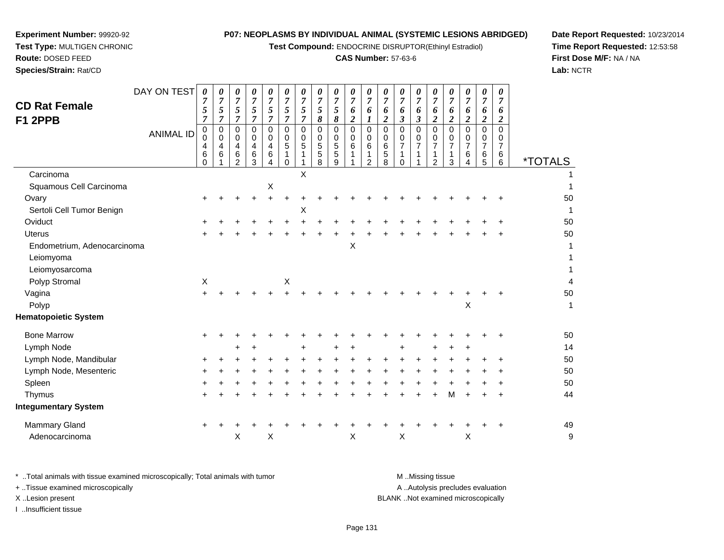**Test Compound:** ENDOCRINE DISRUPTOR(Ethinyl Estradiol)

## **CAS Number:** 57-63-6

**Date Report Requested:** 10/23/2014**Time Report Requested:** 12:53:58**First Dose M/F:** NA / NA**Lab:** NCTR

| <b>CD Rat Female</b><br>F1 2PPB | DAY ON TEST<br><b>ANIMAL ID</b> | 0<br>5<br>$\overline{7}$<br>$\pmb{0}$<br>$\Omega$<br>4<br>6<br>$\Omega$ | 0<br>$\overline{7}$<br>$\mathfrak{s}$<br>$\overline{7}$<br>$\pmb{0}$<br>$\Omega$<br>4<br>6 | 0<br>$\overline{7}$<br>5<br>$\overline{7}$<br>0<br>$\pmb{0}$<br>4<br>$\,6$<br>2 | 0<br>$\overline{7}$<br>5<br>$\overline{7}$<br>0<br>0<br>4<br>6<br>3 | 0<br>$\overline{7}$<br>5<br>$\overline{7}$<br>0<br>0<br>$\overline{\mathbf{4}}$<br>6<br>4 | 0<br>$\overline{7}$<br>5<br>$\overline{7}$<br>$\mathbf 0$<br>0<br>$\sqrt{5}$<br>$\Omega$ | $\boldsymbol{\theta}$<br>$\overline{7}$<br>5<br>$\overline{7}$<br>$\mathbf 0$<br>$\mathbf 0$<br>5<br>1 | 0<br>$\overline{7}$<br>5<br>8<br>$\mathbf 0$<br>0<br>5<br>$\sqrt{5}$<br>8 | 0<br>$\overline{7}$<br>5<br>8<br>$\overline{0}$<br>$\mathbf 0$<br>$\overline{5}$<br>5<br>9 | 0<br>$\boldsymbol{7}$<br>6<br>$\overline{c}$<br>$\pmb{0}$<br>0<br>$\overline{6}$ | 0<br>$\overline{7}$<br>6<br>$\boldsymbol{l}$<br>$\mathbf 0$<br>$\mathbf 0$<br>6<br>1<br>$\overline{2}$ | 0<br>$\overline{7}$<br>6<br>$\boldsymbol{2}$<br>$\Omega$<br>$\Omega$<br>6<br>$\sqrt{5}$<br>8 | 0<br>$\overline{7}$<br>6<br>3<br>$\mathbf 0$<br>0<br>$\overline{7}$<br>$\Omega$ | 0<br>$\overline{7}$<br>6<br>$\overline{\mathbf{3}}$<br>$\Omega$<br>$\mathbf 0$<br>$\overline{7}$ | 0<br>$\overline{7}$<br>6<br>$\overline{\mathbf{c}}$<br>0<br>0<br>$\overline{7}$<br>1<br>$\overline{2}$ | 0<br>$\overline{7}$<br>6<br>$\overline{2}$<br>$\Omega$<br>0<br>$\overline{7}$<br>3 | 0<br>$\overline{7}$<br>6<br>$\boldsymbol{2}$<br>$\Omega$<br>0<br>7<br>6<br>4 | 0<br>$\overline{7}$<br>6<br>$\boldsymbol{2}$<br>$\Omega$<br>0<br>7<br>6<br>5 | 0<br>$\overline{7}$<br>6<br>$\overline{2}$<br>$\Omega$<br>0<br>$\overline{7}$<br>6<br>6 | <i><b>*TOTALS</b></i> |
|---------------------------------|---------------------------------|-------------------------------------------------------------------------|--------------------------------------------------------------------------------------------|---------------------------------------------------------------------------------|---------------------------------------------------------------------|-------------------------------------------------------------------------------------------|------------------------------------------------------------------------------------------|--------------------------------------------------------------------------------------------------------|---------------------------------------------------------------------------|--------------------------------------------------------------------------------------------|----------------------------------------------------------------------------------|--------------------------------------------------------------------------------------------------------|----------------------------------------------------------------------------------------------|---------------------------------------------------------------------------------|--------------------------------------------------------------------------------------------------|--------------------------------------------------------------------------------------------------------|------------------------------------------------------------------------------------|------------------------------------------------------------------------------|------------------------------------------------------------------------------|-----------------------------------------------------------------------------------------|-----------------------|
| Carcinoma                       |                                 |                                                                         |                                                                                            |                                                                                 |                                                                     |                                                                                           |                                                                                          | X                                                                                                      |                                                                           |                                                                                            |                                                                                  |                                                                                                        |                                                                                              |                                                                                 |                                                                                                  |                                                                                                        |                                                                                    |                                                                              |                                                                              |                                                                                         |                       |
| Squamous Cell Carcinoma         |                                 |                                                                         |                                                                                            |                                                                                 |                                                                     | $\boldsymbol{\mathsf{X}}$                                                                 |                                                                                          |                                                                                                        |                                                                           |                                                                                            |                                                                                  |                                                                                                        |                                                                                              |                                                                                 |                                                                                                  |                                                                                                        |                                                                                    |                                                                              |                                                                              |                                                                                         |                       |
| Ovary                           |                                 |                                                                         |                                                                                            |                                                                                 |                                                                     |                                                                                           |                                                                                          |                                                                                                        |                                                                           |                                                                                            |                                                                                  |                                                                                                        |                                                                                              |                                                                                 |                                                                                                  |                                                                                                        |                                                                                    |                                                                              |                                                                              |                                                                                         | 50                    |
| Sertoli Cell Tumor Benign       |                                 |                                                                         |                                                                                            |                                                                                 |                                                                     |                                                                                           |                                                                                          | Χ                                                                                                      |                                                                           |                                                                                            |                                                                                  |                                                                                                        |                                                                                              |                                                                                 |                                                                                                  |                                                                                                        |                                                                                    |                                                                              |                                                                              |                                                                                         | 1                     |
| Oviduct                         |                                 |                                                                         |                                                                                            |                                                                                 |                                                                     |                                                                                           |                                                                                          |                                                                                                        |                                                                           |                                                                                            |                                                                                  |                                                                                                        |                                                                                              |                                                                                 |                                                                                                  |                                                                                                        |                                                                                    |                                                                              |                                                                              |                                                                                         | 50                    |
| <b>Uterus</b>                   |                                 |                                                                         |                                                                                            |                                                                                 |                                                                     |                                                                                           |                                                                                          |                                                                                                        |                                                                           |                                                                                            |                                                                                  |                                                                                                        |                                                                                              |                                                                                 |                                                                                                  |                                                                                                        |                                                                                    |                                                                              |                                                                              |                                                                                         | 50                    |
| Endometrium, Adenocarcinoma     |                                 |                                                                         |                                                                                            |                                                                                 |                                                                     |                                                                                           |                                                                                          |                                                                                                        |                                                                           |                                                                                            | Χ                                                                                |                                                                                                        |                                                                                              |                                                                                 |                                                                                                  |                                                                                                        |                                                                                    |                                                                              |                                                                              |                                                                                         |                       |
| Leiomyoma                       |                                 |                                                                         |                                                                                            |                                                                                 |                                                                     |                                                                                           |                                                                                          |                                                                                                        |                                                                           |                                                                                            |                                                                                  |                                                                                                        |                                                                                              |                                                                                 |                                                                                                  |                                                                                                        |                                                                                    |                                                                              |                                                                              |                                                                                         |                       |
| Leiomyosarcoma                  |                                 |                                                                         |                                                                                            |                                                                                 |                                                                     |                                                                                           |                                                                                          |                                                                                                        |                                                                           |                                                                                            |                                                                                  |                                                                                                        |                                                                                              |                                                                                 |                                                                                                  |                                                                                                        |                                                                                    |                                                                              |                                                                              |                                                                                         |                       |
| Polyp Stromal                   |                                 | $\boldsymbol{\mathsf{X}}$                                               |                                                                                            |                                                                                 |                                                                     |                                                                                           | $\mathsf X$                                                                              |                                                                                                        |                                                                           |                                                                                            |                                                                                  |                                                                                                        |                                                                                              |                                                                                 |                                                                                                  |                                                                                                        |                                                                                    |                                                                              |                                                                              |                                                                                         | 4                     |
| Vagina                          |                                 |                                                                         |                                                                                            |                                                                                 |                                                                     |                                                                                           |                                                                                          |                                                                                                        |                                                                           |                                                                                            |                                                                                  |                                                                                                        |                                                                                              |                                                                                 |                                                                                                  |                                                                                                        |                                                                                    |                                                                              |                                                                              |                                                                                         | 50                    |
| Polyp                           |                                 |                                                                         |                                                                                            |                                                                                 |                                                                     |                                                                                           |                                                                                          |                                                                                                        |                                                                           |                                                                                            |                                                                                  |                                                                                                        |                                                                                              |                                                                                 |                                                                                                  |                                                                                                        |                                                                                    | X                                                                            |                                                                              |                                                                                         | $\mathbf{1}$          |
| <b>Hematopoietic System</b>     |                                 |                                                                         |                                                                                            |                                                                                 |                                                                     |                                                                                           |                                                                                          |                                                                                                        |                                                                           |                                                                                            |                                                                                  |                                                                                                        |                                                                                              |                                                                                 |                                                                                                  |                                                                                                        |                                                                                    |                                                                              |                                                                              |                                                                                         |                       |
| <b>Bone Marrow</b>              |                                 |                                                                         |                                                                                            |                                                                                 |                                                                     |                                                                                           |                                                                                          |                                                                                                        |                                                                           |                                                                                            |                                                                                  |                                                                                                        |                                                                                              |                                                                                 |                                                                                                  |                                                                                                        |                                                                                    |                                                                              |                                                                              |                                                                                         | 50                    |
| Lymph Node                      |                                 |                                                                         |                                                                                            |                                                                                 |                                                                     |                                                                                           |                                                                                          |                                                                                                        |                                                                           |                                                                                            |                                                                                  |                                                                                                        |                                                                                              |                                                                                 |                                                                                                  |                                                                                                        |                                                                                    |                                                                              |                                                                              |                                                                                         | 14                    |
| Lymph Node, Mandibular          |                                 |                                                                         |                                                                                            |                                                                                 |                                                                     |                                                                                           |                                                                                          |                                                                                                        |                                                                           |                                                                                            |                                                                                  |                                                                                                        |                                                                                              |                                                                                 |                                                                                                  |                                                                                                        |                                                                                    |                                                                              |                                                                              |                                                                                         | 50                    |
| Lymph Node, Mesenteric          |                                 |                                                                         |                                                                                            |                                                                                 |                                                                     |                                                                                           |                                                                                          |                                                                                                        |                                                                           |                                                                                            |                                                                                  |                                                                                                        |                                                                                              |                                                                                 |                                                                                                  |                                                                                                        |                                                                                    |                                                                              |                                                                              |                                                                                         | 50                    |
| Spleen                          |                                 |                                                                         |                                                                                            |                                                                                 |                                                                     |                                                                                           |                                                                                          |                                                                                                        |                                                                           |                                                                                            |                                                                                  |                                                                                                        |                                                                                              |                                                                                 |                                                                                                  |                                                                                                        |                                                                                    |                                                                              |                                                                              |                                                                                         | 50                    |
| Thymus                          |                                 |                                                                         |                                                                                            |                                                                                 |                                                                     |                                                                                           |                                                                                          |                                                                                                        |                                                                           |                                                                                            |                                                                                  |                                                                                                        |                                                                                              |                                                                                 |                                                                                                  | +                                                                                                      | м                                                                                  |                                                                              |                                                                              |                                                                                         | 44                    |

**Experiment Number:** 99920-92**Test Type:** MULTIGEN CHRONIC

| Thvmus               |  |  |  |  |  |  |                                                                      |  |  |  | 44 |
|----------------------|--|--|--|--|--|--|----------------------------------------------------------------------|--|--|--|----|
| Integumentary System |  |  |  |  |  |  |                                                                      |  |  |  |    |
| Mammary Gland        |  |  |  |  |  |  |                                                                      |  |  |  | 49 |
| Adenocarcinoma       |  |  |  |  |  |  | $\begin{array}{ccccc} \times & \times & \times & \times \end{array}$ |  |  |  |    |
|                      |  |  |  |  |  |  |                                                                      |  |  |  |    |

| * Total animals with tissue examined microscopically; Total animals with tumor | M Missing tissue                   |
|--------------------------------------------------------------------------------|------------------------------------|
| + Tissue examined microscopically                                              | A Autolysis precludes evaluation   |
| X Lesion present                                                               | BLANK Not examined microscopically |
| …Insufficient tissue                                                           |                                    |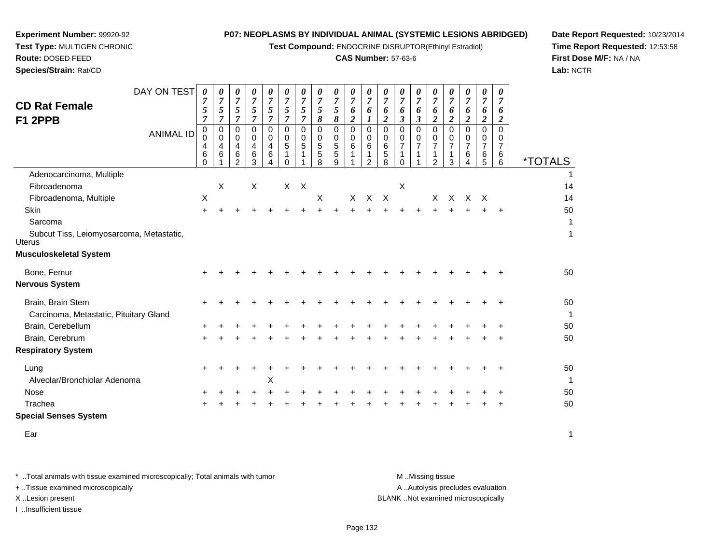**Test Compound:** ENDOCRINE DISRUPTOR(Ethinyl Estradiol)

### **CAS Number:** 57-63-6

**Date Report Requested:** 10/23/2014**Time Report Requested:** 12:53:58**First Dose M/F:** NA / NA**Lab:** NCTR

| <b>CD Rat Female</b><br>F1 2PPB                             | DAY ON TEST<br><b>ANIMAL ID</b> | 0<br>$\overline{7}$<br>5<br>$\overline{7}$<br>0<br>0<br>4<br>6<br>$\Omega$ | $\overline{7}$<br>5<br>7<br>0<br>0<br>4<br>6 | 0<br>$\overline{7}$<br>5<br>$\overline{7}$<br>0<br>0<br>4<br>6<br>$\mathfrak{p}$ | 0<br>$\overline{7}$<br>5<br>$\overline{7}$<br>$\mathbf 0$<br>0<br>4<br>6<br>3 | 0<br>$\overline{7}$<br>5<br>$\overline{7}$<br>$\Omega$<br>0<br>$\overline{4}$<br>6<br>4 | 0<br>$\overline{7}$<br>$\sqrt{5}$<br>$\overline{7}$<br>0<br>0<br>5<br>$\mathbf 1$<br>$\Omega$ | 0<br>$\overline{7}$<br>$\mathfrak{s}$<br>$\overline{7}$<br>0<br>0<br>5<br>1 | 0<br>$\overline{7}$<br>5<br>8<br>$\mathbf 0$<br>0<br>5<br>5<br>8 | 0<br>$\overline{7}$<br>5<br>8<br>$\mathbf 0$<br>0<br>5<br>5<br>9 | 0<br>$\overline{7}$<br>6<br>$\boldsymbol{2}$<br>$\Omega$<br>0<br>6<br>1 | 0<br>$\overline{7}$<br>6<br>$\boldsymbol{l}$<br>$\Omega$<br>0<br>$\,6$<br>1<br>2 | 0<br>$\overline{7}$<br>6<br>2<br>0<br>0<br>6<br>5<br>8 | 0<br>$\overline{7}$<br>6<br>3<br>$\mathbf 0$<br>0<br>7<br>1<br>0 | 0<br>$\overline{7}$<br>6<br>$\mathfrak{z}$<br>$\Omega$<br>$\Omega$<br>$\overline{7}$<br>1 | 0<br>$\overline{7}$<br>6<br>$\boldsymbol{2}$<br>$\Omega$<br>0<br>$\overline{7}$<br>1<br>$\mathcal{P}$ | 0<br>$\overline{7}$<br>6<br>2<br>$\Omega$<br>0<br>$\overline{7}$<br>$\overline{1}$<br>3 | 0<br>$\overline{7}$<br>6<br>2<br>$\Omega$<br>0<br>7<br>6<br>4 | 0<br>$\overline{7}$<br>6<br>$\overline{\mathbf{2}}$<br>$\Omega$<br>0<br>$\overline{7}$<br>6<br>5 | 0<br>$\overline{7}$<br>6<br>$\overline{2}$<br>$\Omega$<br>0<br>$\overline{7}$<br>$\,6$<br>6 | <i><b>*TOTALS</b></i> |
|-------------------------------------------------------------|---------------------------------|----------------------------------------------------------------------------|----------------------------------------------|----------------------------------------------------------------------------------|-------------------------------------------------------------------------------|-----------------------------------------------------------------------------------------|-----------------------------------------------------------------------------------------------|-----------------------------------------------------------------------------|------------------------------------------------------------------|------------------------------------------------------------------|-------------------------------------------------------------------------|----------------------------------------------------------------------------------|--------------------------------------------------------|------------------------------------------------------------------|-------------------------------------------------------------------------------------------|-------------------------------------------------------------------------------------------------------|-----------------------------------------------------------------------------------------|---------------------------------------------------------------|--------------------------------------------------------------------------------------------------|---------------------------------------------------------------------------------------------|-----------------------|
| Adenocarcinoma, Multiple                                    |                                 |                                                                            |                                              |                                                                                  |                                                                               |                                                                                         |                                                                                               |                                                                             |                                                                  |                                                                  |                                                                         |                                                                                  |                                                        |                                                                  |                                                                                           |                                                                                                       |                                                                                         |                                                               |                                                                                                  |                                                                                             |                       |
| Fibroadenoma                                                |                                 |                                                                            | X                                            |                                                                                  | X                                                                             |                                                                                         | $X$ $X$                                                                                       |                                                                             |                                                                  |                                                                  |                                                                         |                                                                                  |                                                        | $\times$                                                         |                                                                                           |                                                                                                       |                                                                                         |                                                               |                                                                                                  |                                                                                             | 14                    |
| Fibroadenoma, Multiple                                      |                                 | X                                                                          |                                              |                                                                                  |                                                                               |                                                                                         |                                                                                               |                                                                             | $\times$                                                         |                                                                  | X                                                                       | $\mathsf{X}$                                                                     | $\mathsf{X}$                                           |                                                                  |                                                                                           | $\times$                                                                                              | $\times$                                                                                |                                                               | x x                                                                                              |                                                                                             | 14                    |
| Skin                                                        |                                 | $\ddot{}$                                                                  |                                              |                                                                                  |                                                                               |                                                                                         |                                                                                               |                                                                             |                                                                  |                                                                  |                                                                         |                                                                                  |                                                        |                                                                  |                                                                                           |                                                                                                       |                                                                                         |                                                               |                                                                                                  |                                                                                             | 50                    |
| Sarcoma                                                     |                                 |                                                                            |                                              |                                                                                  |                                                                               |                                                                                         |                                                                                               |                                                                             |                                                                  |                                                                  |                                                                         |                                                                                  |                                                        |                                                                  |                                                                                           |                                                                                                       |                                                                                         |                                                               |                                                                                                  |                                                                                             | 1                     |
| Subcut Tiss, Leiomyosarcoma, Metastatic,<br><b>Uterus</b>   |                                 |                                                                            |                                              |                                                                                  |                                                                               |                                                                                         |                                                                                               |                                                                             |                                                                  |                                                                  |                                                                         |                                                                                  |                                                        |                                                                  |                                                                                           |                                                                                                       |                                                                                         |                                                               |                                                                                                  |                                                                                             | 1                     |
| <b>Musculoskeletal System</b>                               |                                 |                                                                            |                                              |                                                                                  |                                                                               |                                                                                         |                                                                                               |                                                                             |                                                                  |                                                                  |                                                                         |                                                                                  |                                                        |                                                                  |                                                                                           |                                                                                                       |                                                                                         |                                                               |                                                                                                  |                                                                                             |                       |
| Bone, Femur                                                 |                                 |                                                                            |                                              |                                                                                  |                                                                               |                                                                                         |                                                                                               |                                                                             |                                                                  |                                                                  |                                                                         |                                                                                  |                                                        |                                                                  |                                                                                           |                                                                                                       |                                                                                         |                                                               |                                                                                                  |                                                                                             | 50                    |
| <b>Nervous System</b>                                       |                                 |                                                                            |                                              |                                                                                  |                                                                               |                                                                                         |                                                                                               |                                                                             |                                                                  |                                                                  |                                                                         |                                                                                  |                                                        |                                                                  |                                                                                           |                                                                                                       |                                                                                         |                                                               |                                                                                                  |                                                                                             |                       |
| Brain, Brain Stem<br>Carcinoma, Metastatic, Pituitary Gland |                                 | ÷                                                                          |                                              |                                                                                  |                                                                               |                                                                                         |                                                                                               |                                                                             |                                                                  |                                                                  |                                                                         |                                                                                  |                                                        |                                                                  |                                                                                           |                                                                                                       |                                                                                         |                                                               |                                                                                                  | ٠                                                                                           | 50<br>1               |
| Brain, Cerebellum                                           |                                 |                                                                            |                                              |                                                                                  |                                                                               |                                                                                         |                                                                                               |                                                                             |                                                                  |                                                                  |                                                                         |                                                                                  |                                                        |                                                                  |                                                                                           |                                                                                                       |                                                                                         |                                                               |                                                                                                  |                                                                                             | 50                    |
| Brain, Cerebrum                                             |                                 | $\ddot{}$                                                                  |                                              |                                                                                  |                                                                               |                                                                                         |                                                                                               |                                                                             |                                                                  |                                                                  |                                                                         |                                                                                  |                                                        |                                                                  |                                                                                           |                                                                                                       |                                                                                         |                                                               |                                                                                                  |                                                                                             | 50                    |
| <b>Respiratory System</b>                                   |                                 |                                                                            |                                              |                                                                                  |                                                                               |                                                                                         |                                                                                               |                                                                             |                                                                  |                                                                  |                                                                         |                                                                                  |                                                        |                                                                  |                                                                                           |                                                                                                       |                                                                                         |                                                               |                                                                                                  |                                                                                             |                       |
| Lung<br>Alveolar/Bronchiolar Adenoma                        |                                 | ÷                                                                          |                                              |                                                                                  |                                                                               | Χ                                                                                       |                                                                                               |                                                                             |                                                                  |                                                                  |                                                                         |                                                                                  |                                                        |                                                                  |                                                                                           |                                                                                                       |                                                                                         |                                                               |                                                                                                  |                                                                                             | 50<br>1               |
| Nose                                                        |                                 |                                                                            |                                              |                                                                                  |                                                                               |                                                                                         |                                                                                               |                                                                             |                                                                  |                                                                  |                                                                         |                                                                                  |                                                        |                                                                  |                                                                                           |                                                                                                       |                                                                                         |                                                               |                                                                                                  |                                                                                             | 50                    |
| Trachea                                                     |                                 |                                                                            |                                              |                                                                                  |                                                                               |                                                                                         |                                                                                               |                                                                             |                                                                  |                                                                  |                                                                         |                                                                                  |                                                        |                                                                  |                                                                                           |                                                                                                       |                                                                                         |                                                               |                                                                                                  |                                                                                             | 50                    |
|                                                             |                                 |                                                                            |                                              |                                                                                  |                                                                               |                                                                                         |                                                                                               |                                                                             |                                                                  |                                                                  |                                                                         |                                                                                  |                                                        |                                                                  |                                                                                           |                                                                                                       |                                                                                         |                                                               |                                                                                                  |                                                                                             |                       |

**Special Senses System**

**Experiment Number:** 99920-92**Test Type:** MULTIGEN CHRONIC

**Route:** DOSED FEED**Species/Strain:** Rat/CD

> Earr and the contract of the contract of the contract of the contract of the contract of the contract of the contract of the contract of the contract of the contract of the contract of the contract of the contract of the cont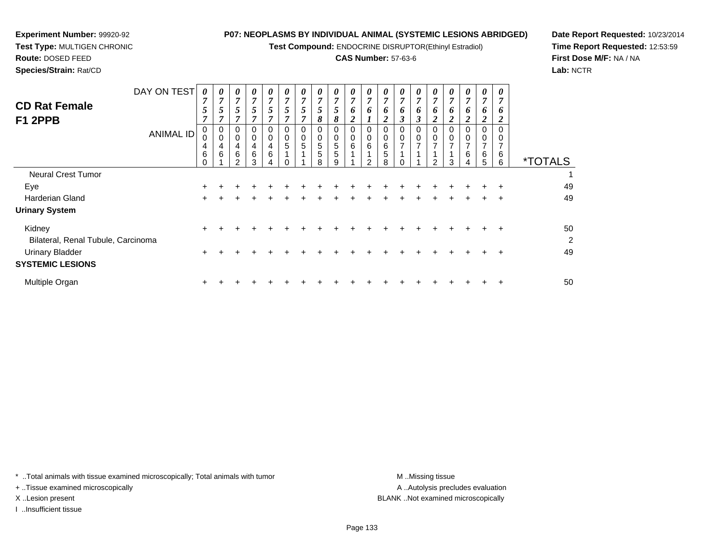**Test Compound:** ENDOCRINE DISRUPTOR(Ethinyl Estradiol)

## **CAS Number:** 57-63-6

0

0

0

0

0

0

**Date Report Requested:** 10/23/2014**Time Report Requested:** 12:53:59**First Dose M/F:** NA / NA**Lab:** NCTR

| Species/Strain: Rat/CD |             |                |        |        |        |                |                |        |  |
|------------------------|-------------|----------------|--------|--------|--------|----------------|----------------|--------|--|
|                        | DAY ON TEST |                |        |        |        | $\theta$       | 0              |        |  |
|                        |             | $\overline{ }$ |        |        |        | $\overline{ }$ | $\overline{ }$ | −      |  |
| <b>CD Rat Female</b>   |             |                | ັ      |        | ັ      |                | J              |        |  |
| F1 2PPB                |             |                |        |        |        | $\overline{ }$ | $\overline{ }$ |        |  |
|                        |             |                |        | 0      | U      | 0              | 0              | 0      |  |
|                        |             | $\sim$         | $\sim$ | $\sim$ | $\sim$ | $\sim$         | $\sim$         | $\sim$ |  |

| <b>UNIVIOL ID</b>                  | υ<br>4              | 0<br>4 | 0<br>4 | 0<br>4 | 0<br>4 | 0<br>5 | 0<br>5 | 0<br>$\sqrt{5}$ | 0<br>5 | 0<br>$6\phantom{1}$     | 0<br>$\,6$    | 0<br>6 | 0<br>$\overline{7}$ | 0<br>$\overline{ }$ | 0<br>$\overline{7}$ | 0<br>$\overline{ }$ | 0<br>$\overline{7}$ | 0<br>$\overline{ }$ | 0<br>$\overline{ }$ |                       |
|------------------------------------|---------------------|--------|--------|--------|--------|--------|--------|-----------------|--------|-------------------------|---------------|--------|---------------------|---------------------|---------------------|---------------------|---------------------|---------------------|---------------------|-----------------------|
|                                    | $\,6\,$<br>$\Omega$ | 6      | 6<br>ົ | 6<br>ς | 6      |        |        | 5<br>8          | 5<br>g | $\overline{\mathbf{A}}$ | $\mathcal{D}$ | 5<br>R |                     |                     | $\mathcal{D}$       | 3                   | $\,6$<br>4          | 6<br>5              | 6<br>6              | <i><b>*TOTALS</b></i> |
| <b>Neural Crest Tumor</b>          |                     |        |        |        |        |        |        |                 |        |                         |               |        |                     |                     |                     |                     |                     |                     |                     |                       |
| Eye                                | ÷.                  |        |        |        |        |        |        |                 |        |                         |               |        |                     |                     |                     |                     |                     |                     |                     | 49                    |
| Harderian Gland                    | $\pm$               |        |        |        |        |        |        |                 |        |                         |               |        |                     |                     |                     |                     |                     |                     | $\ddot{}$           | 49                    |
| <b>Urinary System</b>              |                     |        |        |        |        |        |        |                 |        |                         |               |        |                     |                     |                     |                     |                     |                     |                     |                       |
| Kidney                             | $+$                 |        |        |        |        |        |        |                 |        |                         |               |        |                     |                     |                     |                     |                     |                     |                     | 50                    |
| Bilateral, Renal Tubule, Carcinoma |                     |        |        |        |        |        |        |                 |        |                         |               |        |                     |                     |                     |                     |                     |                     |                     | $\overline{2}$        |
| <b>Urinary Bladder</b>             | $\pm$               |        |        |        |        |        |        |                 |        |                         |               |        |                     |                     |                     |                     |                     |                     | $\div$              | 49                    |
| <b>SYSTEMIC LESIONS</b>            |                     |        |        |        |        |        |        |                 |        |                         |               |        |                     |                     |                     |                     |                     |                     |                     |                       |
| Multiple Organ                     | ÷.                  |        |        |        |        |        |        |                 |        |                         |               |        |                     |                     |                     |                     |                     |                     |                     | 50                    |

\* ..Total animals with tissue examined microscopically; Total animals with tumor **M** ...Missing tissue M ...Missing tissue

+ ..Tissue examined microscopically

**Experiment Number:** 99920-92**Test Type:** MULTIGEN CHRONIC

**Route:** DOSED FEED

I ..Insufficient tissue

A ..Autolysis precludes evaluation X ..Lesion present BLANK ..Not examined microscopically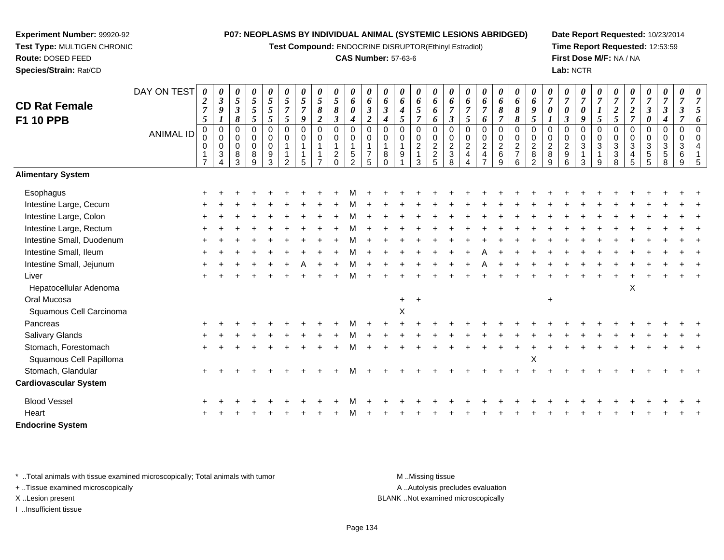**Test Compound:** ENDOCRINE DISRUPTOR(Ethinyl Estradiol)

### **CAS Number:** 57-63-6

**Date Report Requested:** 10/23/2014**Time Report Requested:** 12:53:59**First Dose M/F:** NA / NA**Lab:** NCTR

| <b>CD Rat Female</b><br><b>F1 10 PPB</b> | DAY ON TEST<br><b>ANIMAL ID</b> | 0<br>$\boldsymbol{2}$<br>$\overline{7}$<br>$\sqrt{5}$<br>$\mathbf 0$<br>$\mathbf 0$<br>0<br>$\mathbf{1}$<br>$\overline{7}$ | 0<br>$\boldsymbol{\beta}$<br>9<br>$\mathbf 0$<br>$\mathbf 0$<br>0<br>$\sqrt{3}$<br>$\overline{4}$ | 0<br>$\sqrt{5}$<br>$\mathfrak{z}$<br>8<br>$\pmb{0}$<br>$\mathbf 0$<br>$\mathbf 0$<br>$\,8\,$<br>3 | 0<br>$\mathfrak{H}$<br>$\mathfrak{z}$<br>5<br>0<br>0<br>0<br>$\,8\,$<br>9 | $\boldsymbol{\theta}$<br>$\mathfrak{s}$<br>$\overline{5}$<br>5<br>$\pmb{0}$<br>$\mathbf 0$<br>$\mathbf 0$<br>$\boldsymbol{9}$<br>3 | 0<br>5<br>$\overline{7}$<br>$\mathfrak{s}$<br>$\mathbf 0$<br>0<br>$\mathfrak{p}$ | 0<br>$\mathfrak{H}$<br>$\overline{7}$<br>$\boldsymbol{9}$<br>$\mathbf 0$<br>$\mathbf 0$<br>1<br>5 | 0<br>5<br>$\pmb{8}$<br>$\overline{2}$<br>$\overline{0}$<br>$\mathbf 0$<br>1 | 0<br>$\sqrt{5}$<br>$\pmb{8}$<br>3<br>0<br>0<br>$\overline{c}$<br>$\Omega$ | 0<br>6<br>$\boldsymbol{\theta}$<br>$\boldsymbol{4}$<br>$\boldsymbol{0}$<br>$\mathbf 0$<br>$\mathbf{1}$<br>$\sqrt{5}$<br>$\overline{2}$ | 0<br>6<br>$\boldsymbol{\beta}$<br>$\overline{c}$<br>$\Omega$<br>0<br>$\mathbf{1}$<br>$\overline{7}$<br>5 | 0<br>6<br>$\boldsymbol{\beta}$<br>4<br>$\overline{0}$<br>$\mathbf 0$<br>$\overline{1}$<br>8<br>$\Omega$ | 0<br>6<br>4<br>5<br>$\Omega$<br>$\mathbf 0$<br>9 | 0<br>6<br>$5\phantom{.0}$<br>$\overline{7}$<br>$\mathbf 0$<br>0<br>$\overline{2}$<br>$\overline{1}$<br>3 | 0<br>6<br>6<br>6<br>$\mathbf 0$<br>0225 | 0<br>6<br>$\boldsymbol{\beta}$<br>$\mathbf 0$<br>0<br>$\frac{2}{3}$<br>8 | 0<br>6<br>$\overline{7}$<br>$\mathfrak{s}$<br>$\overline{0}$<br>$\mathbf 0$<br>$\overline{2}$<br>$\overline{4}$ | 0<br>6<br>$\overline{7}$<br>6<br>0<br>0<br>$\sqrt{2}$<br>$\overline{\mathbf{4}}$<br>$\overline{ }$ | 0<br>6<br>8<br>$\overline{7}$<br>$\mathbf 0$<br>$\mathop{2}\limits^{\mathbb{O}}$<br>$\,6\,$<br>9 | $\pmb{\theta}$<br>6<br>8<br>8<br>$\Omega$<br>0<br>$\frac{2}{7}$<br>6 | 0<br>6<br>9<br>5<br>$\Omega$<br>$\mathbf 0$<br>$\overline{c}$<br>$\bf 8$<br>2 | 0<br>$\overline{7}$<br>0<br>$\Omega$<br>$\mathbf 0$<br>$\boldsymbol{2}$<br>$\bf 8$<br>9 | 0<br>$\overline{7}$<br>$\boldsymbol{\theta}$<br>$\mathbf{3}$<br>$\mathbf 0$<br>0<br>$\frac{2}{9}$<br>6 | 0<br>$\overline{7}$<br>$\pmb{\theta}$<br>9<br>$\mathbf 0$<br>$\mathbf 0$<br>$\mathbf{3}$<br>$\overline{\mathbf{1}}$<br>3 | 0<br>$\overline{7}$<br>$\boldsymbol{l}$<br>5<br>$\mathbf 0$<br>0<br>$\ensuremath{\mathsf{3}}$<br>$\mathbf{1}$<br>$\boldsymbol{9}$ | 7<br>$\boldsymbol{2}$<br>5<br>$\Omega$<br>$\mathbf 0$<br>$\mathbf{3}$<br>3<br>8 | 0<br>$\overline{7}$<br>$\boldsymbol{2}$<br>$\overline{7}$<br>0<br>0<br>3<br>$\overline{\mathbf{4}}$<br>5 | 0<br>$\overline{7}$<br>$\mathfrak{z}$<br>0<br>$\mathbf 0$<br>0<br>$\sqrt{3}$<br>$\,$ 5 $\,$<br>$\sqrt{5}$ | 0<br>$\overline{7}$<br>$\boldsymbol{\beta}$<br>$\boldsymbol{4}$<br>$\pmb{0}$<br>$\mathbf 0$<br>3<br>$\,$ 5 $\,$<br>$\,8\,$ | 0<br>$\overline{7}$<br>$\boldsymbol{\beta}$<br>$\overline{7}$<br>$\pmb{0}$<br>$\mathbf 0$<br>3<br>$\,6$<br>9 | 5<br>6<br>$\overline{0}$<br>$\Omega$<br>$\boldsymbol{\Lambda}$<br>-5 |
|------------------------------------------|---------------------------------|----------------------------------------------------------------------------------------------------------------------------|---------------------------------------------------------------------------------------------------|---------------------------------------------------------------------------------------------------|---------------------------------------------------------------------------|------------------------------------------------------------------------------------------------------------------------------------|----------------------------------------------------------------------------------|---------------------------------------------------------------------------------------------------|-----------------------------------------------------------------------------|---------------------------------------------------------------------------|----------------------------------------------------------------------------------------------------------------------------------------|----------------------------------------------------------------------------------------------------------|---------------------------------------------------------------------------------------------------------|--------------------------------------------------|----------------------------------------------------------------------------------------------------------|-----------------------------------------|--------------------------------------------------------------------------|-----------------------------------------------------------------------------------------------------------------|----------------------------------------------------------------------------------------------------|--------------------------------------------------------------------------------------------------|----------------------------------------------------------------------|-------------------------------------------------------------------------------|-----------------------------------------------------------------------------------------|--------------------------------------------------------------------------------------------------------|--------------------------------------------------------------------------------------------------------------------------|-----------------------------------------------------------------------------------------------------------------------------------|---------------------------------------------------------------------------------|----------------------------------------------------------------------------------------------------------|-----------------------------------------------------------------------------------------------------------|----------------------------------------------------------------------------------------------------------------------------|--------------------------------------------------------------------------------------------------------------|----------------------------------------------------------------------|
| <b>Alimentary System</b>                 |                                 |                                                                                                                            |                                                                                                   |                                                                                                   |                                                                           |                                                                                                                                    |                                                                                  |                                                                                                   |                                                                             |                                                                           |                                                                                                                                        |                                                                                                          |                                                                                                         |                                                  |                                                                                                          |                                         |                                                                          |                                                                                                                 |                                                                                                    |                                                                                                  |                                                                      |                                                                               |                                                                                         |                                                                                                        |                                                                                                                          |                                                                                                                                   |                                                                                 |                                                                                                          |                                                                                                           |                                                                                                                            |                                                                                                              |                                                                      |
| Esophagus                                |                                 |                                                                                                                            |                                                                                                   |                                                                                                   |                                                                           |                                                                                                                                    |                                                                                  |                                                                                                   |                                                                             |                                                                           |                                                                                                                                        |                                                                                                          |                                                                                                         |                                                  |                                                                                                          |                                         |                                                                          |                                                                                                                 |                                                                                                    |                                                                                                  |                                                                      |                                                                               |                                                                                         |                                                                                                        |                                                                                                                          |                                                                                                                                   |                                                                                 |                                                                                                          |                                                                                                           |                                                                                                                            |                                                                                                              |                                                                      |
| Intestine Large, Cecum                   |                                 |                                                                                                                            |                                                                                                   |                                                                                                   |                                                                           |                                                                                                                                    |                                                                                  |                                                                                                   |                                                                             |                                                                           |                                                                                                                                        |                                                                                                          |                                                                                                         |                                                  |                                                                                                          |                                         |                                                                          |                                                                                                                 |                                                                                                    |                                                                                                  |                                                                      |                                                                               |                                                                                         |                                                                                                        |                                                                                                                          |                                                                                                                                   |                                                                                 |                                                                                                          |                                                                                                           |                                                                                                                            |                                                                                                              |                                                                      |
| Intestine Large, Colon                   |                                 |                                                                                                                            |                                                                                                   |                                                                                                   |                                                                           |                                                                                                                                    |                                                                                  |                                                                                                   |                                                                             |                                                                           |                                                                                                                                        |                                                                                                          |                                                                                                         |                                                  |                                                                                                          |                                         |                                                                          |                                                                                                                 |                                                                                                    |                                                                                                  |                                                                      |                                                                               |                                                                                         |                                                                                                        |                                                                                                                          |                                                                                                                                   |                                                                                 |                                                                                                          |                                                                                                           |                                                                                                                            |                                                                                                              |                                                                      |
| Intestine Large, Rectum                  |                                 |                                                                                                                            |                                                                                                   |                                                                                                   |                                                                           |                                                                                                                                    |                                                                                  |                                                                                                   |                                                                             |                                                                           |                                                                                                                                        |                                                                                                          |                                                                                                         |                                                  |                                                                                                          |                                         |                                                                          |                                                                                                                 |                                                                                                    |                                                                                                  |                                                                      |                                                                               |                                                                                         |                                                                                                        |                                                                                                                          |                                                                                                                                   |                                                                                 |                                                                                                          |                                                                                                           |                                                                                                                            |                                                                                                              |                                                                      |
| Intestine Small, Duodenum                |                                 |                                                                                                                            |                                                                                                   |                                                                                                   |                                                                           |                                                                                                                                    |                                                                                  |                                                                                                   |                                                                             |                                                                           |                                                                                                                                        |                                                                                                          |                                                                                                         |                                                  |                                                                                                          |                                         |                                                                          |                                                                                                                 |                                                                                                    |                                                                                                  |                                                                      |                                                                               |                                                                                         |                                                                                                        |                                                                                                                          |                                                                                                                                   |                                                                                 |                                                                                                          |                                                                                                           |                                                                                                                            |                                                                                                              |                                                                      |
| Intestine Small, Ileum                   |                                 |                                                                                                                            |                                                                                                   |                                                                                                   |                                                                           |                                                                                                                                    |                                                                                  |                                                                                                   |                                                                             |                                                                           |                                                                                                                                        |                                                                                                          |                                                                                                         |                                                  |                                                                                                          |                                         |                                                                          |                                                                                                                 |                                                                                                    |                                                                                                  |                                                                      |                                                                               |                                                                                         |                                                                                                        |                                                                                                                          |                                                                                                                                   |                                                                                 |                                                                                                          |                                                                                                           |                                                                                                                            |                                                                                                              |                                                                      |
| Intestine Small, Jejunum                 |                                 |                                                                                                                            |                                                                                                   |                                                                                                   |                                                                           |                                                                                                                                    |                                                                                  |                                                                                                   |                                                                             |                                                                           |                                                                                                                                        |                                                                                                          |                                                                                                         |                                                  |                                                                                                          |                                         |                                                                          |                                                                                                                 |                                                                                                    |                                                                                                  |                                                                      |                                                                               |                                                                                         |                                                                                                        |                                                                                                                          |                                                                                                                                   |                                                                                 |                                                                                                          |                                                                                                           |                                                                                                                            |                                                                                                              |                                                                      |
| Liver                                    |                                 |                                                                                                                            |                                                                                                   |                                                                                                   |                                                                           |                                                                                                                                    |                                                                                  |                                                                                                   |                                                                             |                                                                           |                                                                                                                                        |                                                                                                          |                                                                                                         |                                                  |                                                                                                          |                                         |                                                                          |                                                                                                                 |                                                                                                    |                                                                                                  |                                                                      |                                                                               |                                                                                         |                                                                                                        |                                                                                                                          |                                                                                                                                   |                                                                                 |                                                                                                          |                                                                                                           |                                                                                                                            |                                                                                                              |                                                                      |
| Hepatocellular Adenoma                   |                                 |                                                                                                                            |                                                                                                   |                                                                                                   |                                                                           |                                                                                                                                    |                                                                                  |                                                                                                   |                                                                             |                                                                           |                                                                                                                                        |                                                                                                          |                                                                                                         |                                                  |                                                                                                          |                                         |                                                                          |                                                                                                                 |                                                                                                    |                                                                                                  |                                                                      |                                                                               |                                                                                         |                                                                                                        |                                                                                                                          |                                                                                                                                   |                                                                                 | X                                                                                                        |                                                                                                           |                                                                                                                            |                                                                                                              |                                                                      |
| Oral Mucosa                              |                                 |                                                                                                                            |                                                                                                   |                                                                                                   |                                                                           |                                                                                                                                    |                                                                                  |                                                                                                   |                                                                             |                                                                           |                                                                                                                                        |                                                                                                          |                                                                                                         | $\ddot{}$                                        |                                                                                                          |                                         |                                                                          |                                                                                                                 |                                                                                                    |                                                                                                  |                                                                      |                                                                               | $\ddot{}$                                                                               |                                                                                                        |                                                                                                                          |                                                                                                                                   |                                                                                 |                                                                                                          |                                                                                                           |                                                                                                                            |                                                                                                              |                                                                      |
| Squamous Cell Carcinoma                  |                                 |                                                                                                                            |                                                                                                   |                                                                                                   |                                                                           |                                                                                                                                    |                                                                                  |                                                                                                   |                                                                             |                                                                           |                                                                                                                                        |                                                                                                          |                                                                                                         | X                                                |                                                                                                          |                                         |                                                                          |                                                                                                                 |                                                                                                    |                                                                                                  |                                                                      |                                                                               |                                                                                         |                                                                                                        |                                                                                                                          |                                                                                                                                   |                                                                                 |                                                                                                          |                                                                                                           |                                                                                                                            |                                                                                                              |                                                                      |
| Pancreas                                 |                                 |                                                                                                                            |                                                                                                   |                                                                                                   |                                                                           |                                                                                                                                    |                                                                                  |                                                                                                   |                                                                             |                                                                           |                                                                                                                                        |                                                                                                          |                                                                                                         |                                                  |                                                                                                          |                                         |                                                                          |                                                                                                                 |                                                                                                    |                                                                                                  |                                                                      |                                                                               |                                                                                         |                                                                                                        |                                                                                                                          |                                                                                                                                   |                                                                                 |                                                                                                          |                                                                                                           |                                                                                                                            |                                                                                                              |                                                                      |
| <b>Salivary Glands</b>                   |                                 |                                                                                                                            |                                                                                                   |                                                                                                   |                                                                           |                                                                                                                                    |                                                                                  |                                                                                                   |                                                                             |                                                                           |                                                                                                                                        |                                                                                                          |                                                                                                         |                                                  |                                                                                                          |                                         |                                                                          |                                                                                                                 |                                                                                                    |                                                                                                  |                                                                      |                                                                               |                                                                                         |                                                                                                        |                                                                                                                          |                                                                                                                                   |                                                                                 |                                                                                                          |                                                                                                           |                                                                                                                            |                                                                                                              |                                                                      |
| Stomach, Forestomach                     |                                 |                                                                                                                            |                                                                                                   |                                                                                                   |                                                                           |                                                                                                                                    |                                                                                  |                                                                                                   |                                                                             |                                                                           |                                                                                                                                        |                                                                                                          |                                                                                                         |                                                  |                                                                                                          |                                         |                                                                          |                                                                                                                 |                                                                                                    |                                                                                                  |                                                                      |                                                                               |                                                                                         |                                                                                                        |                                                                                                                          |                                                                                                                                   |                                                                                 |                                                                                                          |                                                                                                           |                                                                                                                            |                                                                                                              |                                                                      |
| Squamous Cell Papilloma                  |                                 |                                                                                                                            |                                                                                                   |                                                                                                   |                                                                           |                                                                                                                                    |                                                                                  |                                                                                                   |                                                                             |                                                                           |                                                                                                                                        |                                                                                                          |                                                                                                         |                                                  |                                                                                                          |                                         |                                                                          |                                                                                                                 |                                                                                                    |                                                                                                  |                                                                      | X                                                                             |                                                                                         |                                                                                                        |                                                                                                                          |                                                                                                                                   |                                                                                 |                                                                                                          |                                                                                                           |                                                                                                                            |                                                                                                              |                                                                      |
| Stomach, Glandular                       |                                 |                                                                                                                            |                                                                                                   |                                                                                                   |                                                                           |                                                                                                                                    |                                                                                  |                                                                                                   |                                                                             |                                                                           |                                                                                                                                        |                                                                                                          |                                                                                                         |                                                  |                                                                                                          |                                         |                                                                          |                                                                                                                 |                                                                                                    |                                                                                                  |                                                                      |                                                                               |                                                                                         |                                                                                                        |                                                                                                                          |                                                                                                                                   |                                                                                 |                                                                                                          |                                                                                                           |                                                                                                                            |                                                                                                              |                                                                      |
| <b>Cardiovascular System</b>             |                                 |                                                                                                                            |                                                                                                   |                                                                                                   |                                                                           |                                                                                                                                    |                                                                                  |                                                                                                   |                                                                             |                                                                           |                                                                                                                                        |                                                                                                          |                                                                                                         |                                                  |                                                                                                          |                                         |                                                                          |                                                                                                                 |                                                                                                    |                                                                                                  |                                                                      |                                                                               |                                                                                         |                                                                                                        |                                                                                                                          |                                                                                                                                   |                                                                                 |                                                                                                          |                                                                                                           |                                                                                                                            |                                                                                                              |                                                                      |
| <b>Blood Vessel</b>                      |                                 |                                                                                                                            |                                                                                                   |                                                                                                   |                                                                           |                                                                                                                                    |                                                                                  |                                                                                                   |                                                                             |                                                                           |                                                                                                                                        |                                                                                                          |                                                                                                         |                                                  |                                                                                                          |                                         |                                                                          |                                                                                                                 |                                                                                                    |                                                                                                  |                                                                      |                                                                               |                                                                                         |                                                                                                        |                                                                                                                          |                                                                                                                                   |                                                                                 |                                                                                                          |                                                                                                           |                                                                                                                            |                                                                                                              |                                                                      |
| Heart                                    |                                 |                                                                                                                            |                                                                                                   |                                                                                                   |                                                                           |                                                                                                                                    |                                                                                  |                                                                                                   |                                                                             |                                                                           |                                                                                                                                        |                                                                                                          |                                                                                                         |                                                  |                                                                                                          |                                         |                                                                          |                                                                                                                 |                                                                                                    |                                                                                                  |                                                                      |                                                                               |                                                                                         |                                                                                                        |                                                                                                                          |                                                                                                                                   |                                                                                 |                                                                                                          |                                                                                                           |                                                                                                                            |                                                                                                              |                                                                      |
| <b>Endocrine System</b>                  |                                 |                                                                                                                            |                                                                                                   |                                                                                                   |                                                                           |                                                                                                                                    |                                                                                  |                                                                                                   |                                                                             |                                                                           |                                                                                                                                        |                                                                                                          |                                                                                                         |                                                  |                                                                                                          |                                         |                                                                          |                                                                                                                 |                                                                                                    |                                                                                                  |                                                                      |                                                                               |                                                                                         |                                                                                                        |                                                                                                                          |                                                                                                                                   |                                                                                 |                                                                                                          |                                                                                                           |                                                                                                                            |                                                                                                              |                                                                      |

\* ..Total animals with tissue examined microscopically; Total animals with tumor **M** . Missing tissue M ..Missing tissue

+ ..Tissue examined microscopically

**Experiment Number:** 99920-92**Test Type:** MULTIGEN CHRONIC

**Route:** DOSED FEED**Species/Strain:** Rat/CD

I ..Insufficient tissue

A ..Autolysis precludes evaluation

X ..Lesion present BLANK ..Not examined microscopically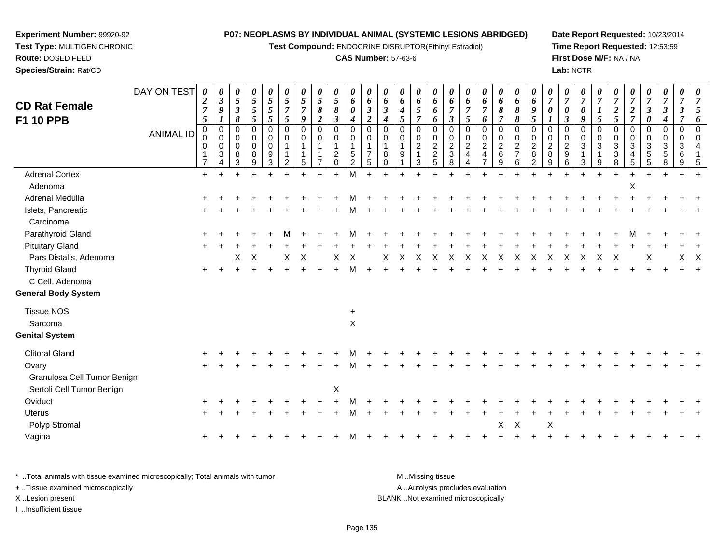**Test Compound:** ENDOCRINE DISRUPTOR(Ethinyl Estradiol)

**Experiment Number:** 99920-92**Test Type:** MULTIGEN CHRONIC

**CAS Number:** 57-63-6

**Date Report Requested:** 10/23/2014**Time Report Requested:** 12:53:59**First Dose M/F:** NA / NA**Lab:** NCTR

 $\ddot{}$ 

 $\ddot{}$ 

 $\ddot{}$ 

**Route:** DOSED FEED **Species/Strain:** Rat/CDDAY ON TEST**CD Rat FemaleF1 10 PPB**ANIMAL ID*0 2 7 5* 0 0 0 1 7 $\ddot{}$ *0 3 9 1* 0 0 0 3 4 $\ddot{}$ *0 5 3 8* 0 0 0 8 3*0 5 5 5* 0 0 0 8 9*0 5 5 5* 0 0 0 9 3*0 5 7 5* 0 0 1 1 2 $\ddot{}$ *0 5 7 9* 0 0 1 1 5*0 5 8 2* 0 0 1 1 7 $\ddot{}$ *0 5 8 3* 0 0 1 2 0 $\ddot{}$ *0 6 0 4* 0 0 1 5 2M *0 6 3 2* 0 0 1 7 5 $\ddot{}$ *0 6 3 4* 0 0 1 8 0 $\ddot{}$ *0 6 4 5* 0 0 1 9 1 $\ddot{}$ *0 6 5 7* 0 0 2 1 3*0 6 6 6* 0 0 2 2 5*0 6 7 3* 0 0 2 3 8 $\ddot{}$ *0 6 7 5* 0 0 2 4 4*0 6 7 6* 0 0 2 4 7 $\ddot{}$ *0 6 8 7* 0 0 2 6 9*0 6 8 8* 0 0 2 7 6*0 6 9 5* 0 0 2 8 2*0 7 0 1* 0 0 2 8 9Adrenal Cortex $\mathsf{x}$  + <sup>+</sup> <sup>+</sup> <sup>+</sup> <sup>+</sup> <sup>+</sup> <sup>+</sup> <sup>+</sup> <sup>+</sup> <sup>M</sup> <sup>+</sup> <sup>+</sup> <sup>+</sup> <sup>+</sup> <sup>+</sup> <sup>+</sup> <sup>+</sup> <sup>+</sup> <sup>+</sup> <sup>+</sup> <sup>+</sup> <sup>+</sup> <sup>+</sup> <sup>+</sup> <sup>+</sup> <sup>+</sup> <sup>+</sup> <sup>+</sup> <sup>+</sup> <sup>+</sup> <sup>+</sup> Adenoma $\alpha$ Adrenal Medullaa  $+$  <sup>+</sup> <sup>+</sup> <sup>+</sup> <sup>+</sup> <sup>+</sup> <sup>+</sup> <sup>+</sup> <sup>+</sup> <sup>M</sup> <sup>+</sup> <sup>+</sup> <sup>+</sup> <sup>+</sup> <sup>+</sup> <sup>+</sup> <sup>+</sup> <sup>+</sup> <sup>+</sup> <sup>+</sup> <sup>+</sup> <sup>+</sup> <sup>+</sup> <sup>+</sup> <sup>+</sup> <sup>+</sup> <sup>+</sup> <sup>+</sup> <sup>+</sup> <sup>+</sup> <sup>+</sup> Islets, Pancreatic $\overline{c}$  + <sup>+</sup> <sup>+</sup> <sup>+</sup> <sup>+</sup> <sup>+</sup> <sup>+</sup> <sup>+</sup> <sup>+</sup> <sup>M</sup>

| Islets, Pancreatic          | $\pm$     | $+$ | $^{+}$ | $+$     | $\div$ |   | $\pm$        | $+$ | $+$ | M            | $+$ | $\div$ | $\pm$ | $+$   | ÷.  | $\div$ | $+$     | $+$          |              | $\div$ | $\pm$        | $+$          | $+$ | $+$ | $+$ | $+$ | $+$ | $+$ | $+$     |     |
|-----------------------------|-----------|-----|--------|---------|--------|---|--------------|-----|-----|--------------|-----|--------|-------|-------|-----|--------|---------|--------------|--------------|--------|--------------|--------------|-----|-----|-----|-----|-----|-----|---------|-----|
| Carcinoma                   |           |     |        |         |        |   |              |     |     |              |     |        |       |       |     |        |         |              |              |        |              |              |     |     |     |     |     |     |         |     |
| Parathyroid Gland           | $+$       |     |        |         |        | M | $+$          | $+$ | $+$ | M            | $+$ | $+$    | $+$   | $+$   | $+$ | $+$    | $+$     |              |              | $+$    | $+$          | $+$          |     | $+$ | $+$ | M   | $+$ |     |         |     |
| <b>Pituitary Gland</b>      | $\pm$     |     |        |         |        |   |              |     |     |              |     |        |       |       |     |        |         |              |              |        |              |              |     |     |     |     |     |     |         | $+$ |
| Pars Distalis, Adenoma      |           |     |        | $X$ $X$ |        |   | $X \times X$ |     | X   | $\mathsf{X}$ |     |        |       | X X X |     |        | X X X X | $\mathsf{X}$ |              | X X    | $\mathsf{X}$ | $\mathsf{X}$ | X   |     | X X |     | Χ   |     | $X$ $X$ |     |
| <b>Thyroid Gland</b>        | $+$       |     |        |         |        |   |              |     |     | м            | $+$ | ÷      |       |       |     |        |         |              |              |        |              |              |     |     |     |     |     |     | $+$     | $+$ |
| C Cell, Adenoma             |           |     |        |         |        |   |              |     |     |              |     |        |       |       |     |        |         |              |              |        |              |              |     |     |     |     |     |     |         |     |
| <b>General Body System</b>  |           |     |        |         |        |   |              |     |     |              |     |        |       |       |     |        |         |              |              |        |              |              |     |     |     |     |     |     |         |     |
| <b>Tissue NOS</b>           |           |     |        |         |        |   |              |     |     | $+$          |     |        |       |       |     |        |         |              |              |        |              |              |     |     |     |     |     |     |         |     |
| Sarcoma                     |           |     |        |         |        |   |              |     |     | $\mathsf X$  |     |        |       |       |     |        |         |              |              |        |              |              |     |     |     |     |     |     |         |     |
| <b>Genital System</b>       |           |     |        |         |        |   |              |     |     |              |     |        |       |       |     |        |         |              |              |        |              |              |     |     |     |     |     |     |         |     |
| <b>Clitoral Gland</b>       | $+$       |     |        |         |        |   |              |     |     | М            | $+$ | $\div$ |       |       |     | $+$    | $+$     | $\div$       |              |        |              |              |     |     |     |     |     |     |         |     |
| Ovary                       | $+$       |     |        |         |        |   |              | $+$ | $+$ | M            | $+$ | $+$    | $+$   |       |     |        |         |              |              |        |              |              |     |     |     |     |     |     |         |     |
| Granulosa Cell Tumor Benign |           |     |        |         |        |   |              |     |     |              |     |        |       |       |     |        |         |              |              |        |              |              |     |     |     |     |     |     |         |     |
| Sertoli Cell Tumor Benign   |           |     |        |         |        |   |              |     | X   |              |     |        |       |       |     |        |         |              |              |        |              |              |     |     |     |     |     |     |         |     |
| Oviduct                     | $\ddot{}$ |     |        |         |        |   |              |     |     |              |     |        |       |       |     |        |         |              |              |        |              |              |     |     |     |     |     |     |         |     |
| Uterus                      | $+$       |     |        |         |        |   |              |     |     | М            |     |        |       |       |     |        |         |              |              |        |              |              |     |     |     |     |     |     |         | $+$ |
| Polyp Stromal               |           |     |        |         |        |   |              |     |     |              |     |        |       |       |     |        |         | X            | $\mathsf{X}$ |        | X            |              |     |     |     |     |     |     |         |     |
| Vagina                      | $\ddot{}$ |     |        |         |        |   |              |     |     | М            |     |        |       |       |     |        |         |              |              |        |              |              |     |     |     |     |     |     |         |     |
|                             |           |     |        |         |        |   |              |     |     |              |     |        |       |       |     |        |         |              |              |        |              |              |     |     |     |     |     |     |         |     |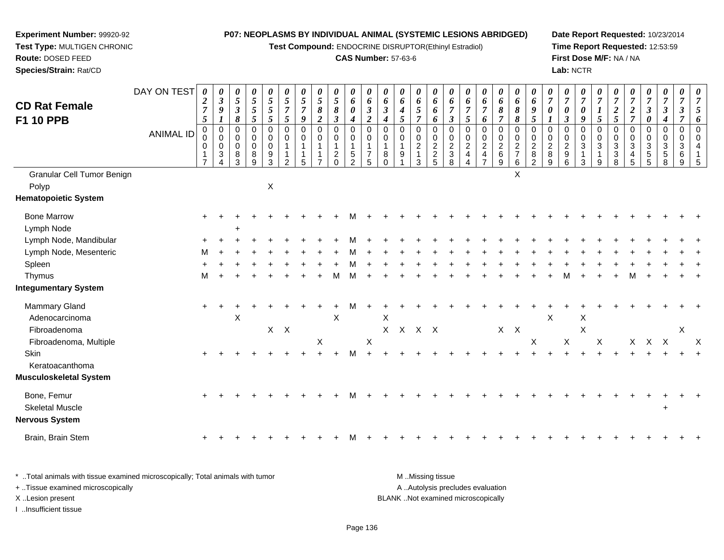**Test Compound:** ENDOCRINE DISRUPTOR(Ethinyl Estradiol)

## **CAS Number:** 57-63-6

**Date Report Requested:** 10/23/2014 **Time Report Requested:** 12:53:59**First Dose M/F:** NA / NA**Lab:** NCTR

| <b>CD Rat Female</b>        | DAY ON TEST      | 0<br>$\boldsymbol{2}$                      | 0<br>$\mathfrak{z}$                                                           | 0<br>$\mathfrak{s}$                                          | 0<br>$\overline{5}$                                     | $\boldsymbol{\theta}$<br>5                | 0<br>$\mathfrak{s}$                               | $\boldsymbol{\theta}$<br>$\overline{5}$    | 0<br>$\overline{5}$                                | $\boldsymbol{\theta}$<br>$\overline{5}$                                            | 0<br>6                                                                       | $\boldsymbol{\theta}$<br>6                             | 0<br>6                             | 0<br>6                             | 0<br>6                                                 | 0<br>6                        | $\boldsymbol{\theta}$<br>6                                        | 0<br>6                                                 | 0<br>$\boldsymbol{6}$                | $\boldsymbol{\theta}$<br>6                                                  | 0<br>6                                           | $\boldsymbol{\theta}$<br>6                                               | $\boldsymbol{\theta}$<br>$\overline{7}$             | 0<br>$\overline{7}$                     | $\boldsymbol{\theta}$<br>$\overline{7}$                                    | $\overline{7}$                                                   | $\boldsymbol{\theta}$<br>$\overline{7}$          | $\boldsymbol{\theta}$<br>$\overline{7}$                | $\boldsymbol{\theta}$<br>$\overline{7}$                          | $\boldsymbol{\theta}$<br>$\overline{7}$   | 0<br>$\overline{7}$                           | 0<br>$\overline{7}$            |
|-----------------------------|------------------|--------------------------------------------|-------------------------------------------------------------------------------|--------------------------------------------------------------|---------------------------------------------------------|-------------------------------------------|---------------------------------------------------|--------------------------------------------|----------------------------------------------------|------------------------------------------------------------------------------------|------------------------------------------------------------------------------|--------------------------------------------------------|------------------------------------|------------------------------------|--------------------------------------------------------|-------------------------------|-------------------------------------------------------------------|--------------------------------------------------------|--------------------------------------|-----------------------------------------------------------------------------|--------------------------------------------------|--------------------------------------------------------------------------|-----------------------------------------------------|-----------------------------------------|----------------------------------------------------------------------------|------------------------------------------------------------------|--------------------------------------------------|--------------------------------------------------------|------------------------------------------------------------------|-------------------------------------------|-----------------------------------------------|--------------------------------|
| F1 10 PPB                   |                  | $\boldsymbol{7}$<br>$\mathfrak{s}$         | 9<br>$\boldsymbol{l}$                                                         | $\boldsymbol{\beta}$<br>8                                    | $\sqrt{5}$<br>5                                         | 5<br>5                                    | $\overline{7}$<br>5                               | $\overline{7}$<br>9                        | $\pmb{8}$<br>$\overline{2}$                        | $\pmb{8}$<br>$\mathfrak{z}$                                                        | $\boldsymbol{\theta}$<br>$\boldsymbol{4}$                                    | $\boldsymbol{\beta}$<br>$\overline{2}$                 | $\mathfrak{z}$<br>$\boldsymbol{4}$ | $\boldsymbol{4}$<br>5              | $\mathfrak{s}$<br>$\overline{7}$                       | 6<br>6                        | $\overline{7}$<br>$\boldsymbol{\beta}$                            | $\overline{7}$<br>5                                    | $\overline{7}$<br>6                  | $\pmb{8}$<br>$\overline{7}$                                                 | $\pmb{8}$<br>8                                   | $\boldsymbol{9}$<br>5                                                    | $\pmb{\theta}$<br>1                                 | $\boldsymbol{\theta}$<br>$\mathfrak{z}$ | 0<br>9                                                                     | 1<br>5                                                           | $\boldsymbol{2}$<br>5                            | $\boldsymbol{2}$<br>$\overline{7}$                     | $\boldsymbol{\beta}$<br>$\boldsymbol{\theta}$                    | $\mathbf{3}$<br>$\boldsymbol{4}$          | $\boldsymbol{\beta}$<br>$\overline{7}$        | 5<br>6                         |
|                             | <b>ANIMAL ID</b> | $\pmb{0}$<br>0<br>0<br>1<br>$\overline{7}$ | $\pmb{0}$<br>$\pmb{0}$<br>$\mathbf 0$<br>$\sqrt{3}$<br>$\boldsymbol{\Lambda}$ | $\pmb{0}$<br>$\mathbf 0$<br>$\mathbf 0$<br>8<br>$\mathbf{3}$ | $\pmb{0}$<br>$\mathbf 0$<br>$\mathbf 0$<br>$\,8\,$<br>9 | 0<br>$\mathbf 0$<br>$\mathbf 0$<br>9<br>3 | $\mathbf 0$<br>$\mathbf 0$<br>1<br>$\overline{2}$ | $\mathbf 0$<br>0<br>$\mathbf{1}$<br>1<br>5 | $\mathsf 0$<br>0<br>$\mathbf{1}$<br>$\overline{7}$ | $\boldsymbol{0}$<br>$\mathbf 0$<br>$\overline{1}$<br>$\overline{c}$<br>$\mathbf 0$ | $\pmb{0}$<br>$\mathbf 0$<br>$\mathbf{1}$<br>$\overline{5}$<br>$\overline{2}$ | $\mathbf 0$<br>$\mathbf 0$<br>1<br>$\overline{7}$<br>5 | $\mathbf 0$<br>0<br>8              | $\pmb{0}$<br>0<br>$\mathbf 1$<br>9 | $\mathbf 0$<br>$^{\rm 0}_{\rm 2}$<br>$\mathbf{1}$<br>3 | 0<br>$\pmb{0}$<br>$rac{2}{2}$ | $\mathbf 0$<br>$\mathbf 0$<br>$\overline{2}$<br>$\mathbf{3}$<br>8 | $\mathbf 0$<br>0<br>$\boldsymbol{2}$<br>$\overline{4}$ | 0<br>$\frac{0}{2}$<br>$\overline{7}$ | $\mathbf 0$<br>$\begin{array}{c} 0 \\ 2 \\ 6 \end{array}$<br>$\overline{9}$ | $\mathbf 0$<br>$\mathbf 0$<br>$\frac{2}{7}$<br>6 | $\mathbf 0$<br>$\mathbf 0$<br>$\overline{2}$<br>$\bf 8$<br>$\mathcal{P}$ | $\mathbf 0$<br>0<br>$\boldsymbol{2}$<br>$\,$ 8<br>9 | $\mathbf 0$<br>$\frac{0}{2}$<br>6       | $\mathbf 0$<br>$\pmb{0}$<br>$\overline{3}$<br>$\mathbf{1}$<br>$\mathbf{3}$ | $\Omega$<br>$\mathbf 0$<br>3<br>$\mathbf{1}$<br>$\boldsymbol{9}$ | $\mathbf 0$<br>$_{3}^{\rm 0}$<br>$\sqrt{3}$<br>8 | 0<br>0<br>$\mathbf{3}$<br>$\overline{4}$<br>$\sqrt{5}$ | $\mathbf 0$<br>$\overline{0}$<br>$\mathbf{3}$<br>$\sqrt{5}$<br>5 | $\mathbf 0$<br>$\mathbf 0$<br>3<br>5<br>8 | $\mathbf 0$<br>$\mathbf 0$<br>3<br>6<br>$9\,$ | $\Omega$<br>$\Omega$<br>4<br>5 |
| Granular Cell Tumor Benign  |                  |                                            |                                                                               |                                                              |                                                         |                                           |                                                   |                                            |                                                    |                                                                                    |                                                                              |                                                        |                                    |                                    |                                                        |                               |                                                                   |                                                        |                                      |                                                                             | X                                                |                                                                          |                                                     |                                         |                                                                            |                                                                  |                                                  |                                                        |                                                                  |                                           |                                               |                                |
| Polyp                       |                  |                                            |                                                                               |                                                              |                                                         | X                                         |                                                   |                                            |                                                    |                                                                                    |                                                                              |                                                        |                                    |                                    |                                                        |                               |                                                                   |                                                        |                                      |                                                                             |                                                  |                                                                          |                                                     |                                         |                                                                            |                                                                  |                                                  |                                                        |                                                                  |                                           |                                               |                                |
| <b>Hematopoietic System</b> |                  |                                            |                                                                               |                                                              |                                                         |                                           |                                                   |                                            |                                                    |                                                                                    |                                                                              |                                                        |                                    |                                    |                                                        |                               |                                                                   |                                                        |                                      |                                                                             |                                                  |                                                                          |                                                     |                                         |                                                                            |                                                                  |                                                  |                                                        |                                                                  |                                           |                                               |                                |
| <b>Bone Marrow</b>          |                  | $\pm$                                      |                                                                               |                                                              |                                                         |                                           |                                                   |                                            |                                                    |                                                                                    |                                                                              |                                                        |                                    |                                    |                                                        |                               |                                                                   |                                                        |                                      |                                                                             |                                                  |                                                                          |                                                     |                                         |                                                                            |                                                                  |                                                  |                                                        |                                                                  |                                           |                                               |                                |
| Lymph Node                  |                  |                                            |                                                                               |                                                              |                                                         |                                           |                                                   |                                            |                                                    |                                                                                    |                                                                              |                                                        |                                    |                                    |                                                        |                               |                                                                   |                                                        |                                      |                                                                             |                                                  |                                                                          |                                                     |                                         |                                                                            |                                                                  |                                                  |                                                        |                                                                  |                                           |                                               |                                |
| Lymph Node, Mandibular      |                  |                                            |                                                                               |                                                              |                                                         |                                           |                                                   |                                            |                                                    |                                                                                    |                                                                              |                                                        |                                    |                                    |                                                        |                               |                                                                   |                                                        |                                      |                                                                             |                                                  |                                                                          |                                                     |                                         |                                                                            |                                                                  |                                                  |                                                        |                                                                  |                                           |                                               |                                |
| Lymph Node, Mesenteric      |                  | м                                          |                                                                               |                                                              |                                                         |                                           |                                                   |                                            |                                                    |                                                                                    |                                                                              |                                                        |                                    |                                    |                                                        |                               |                                                                   |                                                        |                                      |                                                                             |                                                  |                                                                          |                                                     |                                         |                                                                            |                                                                  |                                                  |                                                        |                                                                  |                                           |                                               |                                |
| Spleen                      |                  |                                            |                                                                               |                                                              |                                                         |                                           |                                                   |                                            |                                                    |                                                                                    |                                                                              |                                                        |                                    |                                    |                                                        |                               |                                                                   |                                                        |                                      |                                                                             |                                                  |                                                                          |                                                     |                                         |                                                                            |                                                                  |                                                  |                                                        |                                                                  |                                           |                                               |                                |
| Thymus                      |                  | м                                          |                                                                               |                                                              |                                                         |                                           |                                                   |                                            |                                                    | M                                                                                  | м                                                                            |                                                        |                                    |                                    |                                                        |                               |                                                                   |                                                        |                                      |                                                                             |                                                  |                                                                          |                                                     |                                         |                                                                            |                                                                  |                                                  | м                                                      |                                                                  |                                           |                                               |                                |
| <b>Integumentary System</b> |                  |                                            |                                                                               |                                                              |                                                         |                                           |                                                   |                                            |                                                    |                                                                                    |                                                                              |                                                        |                                    |                                    |                                                        |                               |                                                                   |                                                        |                                      |                                                                             |                                                  |                                                                          |                                                     |                                         |                                                                            |                                                                  |                                                  |                                                        |                                                                  |                                           |                                               |                                |
| Mammary Gland               |                  | $+$                                        |                                                                               |                                                              |                                                         |                                           |                                                   |                                            |                                                    |                                                                                    |                                                                              |                                                        |                                    |                                    |                                                        |                               |                                                                   |                                                        |                                      |                                                                             |                                                  |                                                                          |                                                     |                                         |                                                                            |                                                                  |                                                  |                                                        |                                                                  |                                           |                                               |                                |
| Adenocarcinoma              |                  |                                            |                                                                               | X                                                            |                                                         |                                           |                                                   |                                            |                                                    | $\times$                                                                           |                                                                              |                                                        | X                                  |                                    |                                                        |                               |                                                                   |                                                        |                                      |                                                                             |                                                  |                                                                          | $\boldsymbol{\mathsf{X}}$                           |                                         | X                                                                          |                                                                  |                                                  |                                                        |                                                                  |                                           |                                               |                                |
| Fibroadenoma                |                  |                                            |                                                                               |                                                              |                                                         | $\mathsf{X}$                              | $\mathsf{X}$                                      |                                            |                                                    |                                                                                    |                                                                              |                                                        |                                    |                                    | X X X X                                                |                               |                                                                   |                                                        |                                      | $X$ $X$                                                                     |                                                  |                                                                          |                                                     |                                         | X                                                                          |                                                                  |                                                  |                                                        |                                                                  |                                           | X                                             |                                |
| Fibroadenoma, Multiple      |                  |                                            |                                                                               |                                                              |                                                         |                                           |                                                   |                                            | X                                                  |                                                                                    |                                                                              | X                                                      |                                    |                                    |                                                        |                               |                                                                   |                                                        |                                      |                                                                             |                                                  | X                                                                        |                                                     | $\mathsf X$                             |                                                                            | X                                                                |                                                  | $\mathsf{X}^-$                                         | $X$ $X$                                                          |                                           |                                               | X                              |
| Skin                        |                  |                                            |                                                                               |                                                              |                                                         |                                           |                                                   |                                            |                                                    |                                                                                    | м                                                                            |                                                        |                                    |                                    |                                                        |                               |                                                                   |                                                        |                                      |                                                                             |                                                  |                                                                          |                                                     |                                         |                                                                            |                                                                  |                                                  |                                                        |                                                                  |                                           |                                               |                                |
| Keratoacanthoma             |                  |                                            |                                                                               |                                                              |                                                         |                                           |                                                   |                                            |                                                    |                                                                                    |                                                                              |                                                        |                                    |                                    |                                                        |                               |                                                                   |                                                        |                                      |                                                                             |                                                  |                                                                          |                                                     |                                         |                                                                            |                                                                  |                                                  |                                                        |                                                                  |                                           |                                               |                                |
| Musculoskeletal System      |                  |                                            |                                                                               |                                                              |                                                         |                                           |                                                   |                                            |                                                    |                                                                                    |                                                                              |                                                        |                                    |                                    |                                                        |                               |                                                                   |                                                        |                                      |                                                                             |                                                  |                                                                          |                                                     |                                         |                                                                            |                                                                  |                                                  |                                                        |                                                                  |                                           |                                               |                                |
| Bone, Femur                 |                  |                                            |                                                                               |                                                              |                                                         |                                           |                                                   |                                            |                                                    |                                                                                    |                                                                              |                                                        |                                    |                                    |                                                        |                               |                                                                   |                                                        |                                      |                                                                             |                                                  |                                                                          |                                                     |                                         |                                                                            |                                                                  |                                                  |                                                        |                                                                  |                                           |                                               |                                |
| <b>Skeletal Muscle</b>      |                  |                                            |                                                                               |                                                              |                                                         |                                           |                                                   |                                            |                                                    |                                                                                    |                                                                              |                                                        |                                    |                                    |                                                        |                               |                                                                   |                                                        |                                      |                                                                             |                                                  |                                                                          |                                                     |                                         |                                                                            |                                                                  |                                                  |                                                        |                                                                  | $\div$                                    |                                               |                                |
| Nervous System              |                  |                                            |                                                                               |                                                              |                                                         |                                           |                                                   |                                            |                                                    |                                                                                    |                                                                              |                                                        |                                    |                                    |                                                        |                               |                                                                   |                                                        |                                      |                                                                             |                                                  |                                                                          |                                                     |                                         |                                                                            |                                                                  |                                                  |                                                        |                                                                  |                                           |                                               |                                |
| Brain, Brain Stem           |                  |                                            |                                                                               |                                                              |                                                         |                                           |                                                   |                                            |                                                    |                                                                                    |                                                                              |                                                        |                                    |                                    |                                                        |                               |                                                                   |                                                        |                                      |                                                                             |                                                  |                                                                          |                                                     |                                         |                                                                            |                                                                  |                                                  |                                                        |                                                                  |                                           |                                               |                                |

| Total animals with tissue examined microscopically; Total animals with tumor | M Missing tissue                   |
|------------------------------------------------------------------------------|------------------------------------|
| + Tissue examined microscopically                                            | A Autolysis precludes evaluation   |
| X Lesion present                                                             | BLANK Not examined microscopically |
| Insufficient tissue                                                          |                                    |

**Experiment Number:** 99920-92**Test Type:** MULTIGEN CHRONIC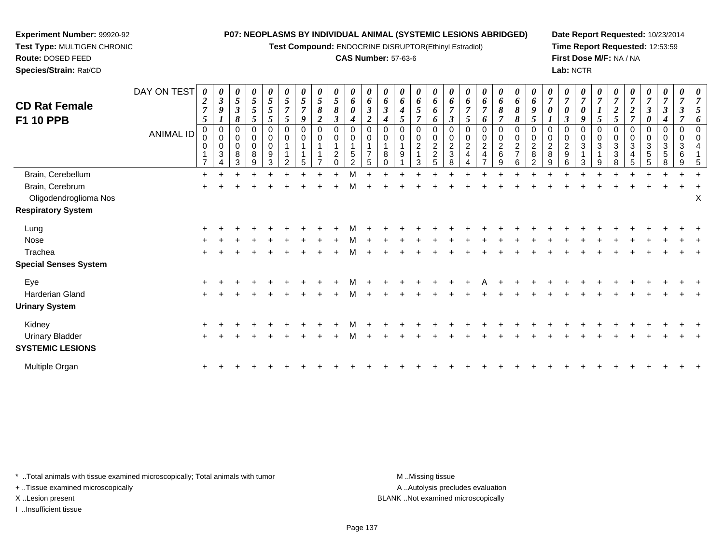**Test Compound:** ENDOCRINE DISRUPTOR(Ethinyl Estradiol)

#### **CAS Number:** 57-63-6

**Date Report Requested:** 10/23/2014**Time Report Requested:** 12:53:59**First Dose M/F:** NA / NA**Lab:** NCTR

| <b>CD Rat Female</b><br><b>F1 10 PPB</b> | DAY ON TEST<br><b>ANIMAL ID</b> | $\boldsymbol{\theta}$<br>$\boldsymbol{2}$<br>$\overline{7}$<br>5<br>0<br>0<br>0<br>$\overline{7}$ | $\boldsymbol{\theta}$<br>$\boldsymbol{\beta}$<br>9<br>1<br>$\mathbf 0$<br>$\mathbf 0$<br>0<br>$\mathbf{3}$ | 0<br>5<br>3<br>8<br>0<br>0<br>8<br>3 | 0<br>$\sqrt{5}$<br>5<br>5<br>0<br>0<br>0<br>8<br>9 | 0<br>$\mathfrak{s}$<br>5<br>5<br>0<br>0<br>0<br>9<br>3 | 5<br>$\overline{7}$<br>5<br>0<br>0<br>$\overline{2}$ | 5<br>$\overline{7}$<br>9<br>0<br>0 | 0<br>5<br>8<br>2<br>0<br>0 | 0<br>5<br>8<br>3<br>0<br>0<br>2 | 0<br>6<br>0<br>4<br>0<br>0<br>$\sqrt{5}$<br>$\mathcal{P}$ | 0<br>6<br>$\mathfrak{z}$<br>$\overline{2}$<br>0<br>0<br>5 | 6<br>$\mathbf{3}$<br>4<br>0<br>0<br>8 | 0<br>6<br>4<br>5<br>0<br>9 | 0<br>6<br>5<br>0<br>0<br>$\boldsymbol{2}$<br>3 | 0<br>6<br>6<br>6<br>0<br>0<br>$\sqrt{2}$<br>$\boldsymbol{2}$<br>5 | 6<br>$\overline{7}$<br>$\boldsymbol{\beta}$<br>0<br>0<br>$\overline{c}$<br>$\mathbf{3}$<br>8 | $\bm{o}$<br>$\overline{7}$<br>5<br>0<br>0<br>$\overline{2}$ | 0<br>6<br>$\overline{7}$<br>6<br>0<br>$\mathbf 0$<br>2 | 0<br>6<br>8<br>$\overline{7}$<br>0<br>0<br>$\overline{c}$<br>6<br>9 | $\boldsymbol{\theta}$<br>6<br>8<br>8<br>0<br>0<br>$\boldsymbol{2}$<br>$\overline{ }$<br>6 | 0<br>6<br>9<br>5<br>0<br>0<br>$\overline{c}$<br>$\bf 8$<br>$\overline{2}$ | 0<br>0<br>$\overline{2}$<br>$\bf 8$<br>9 | 3<br>0<br>2<br>9<br>6 | 0<br>0<br>9<br>0<br>0<br>3<br>3 | 5<br>0<br>0<br>3<br>9 | $\boldsymbol{2}$<br>$\overline{5}$<br>0<br>0<br>$\sqrt{3}$<br>$\mathbf{3}$<br>8 | $\boldsymbol{2}$<br>$\overline{7}$<br>0<br>3<br>4<br>5 | $\boldsymbol{\beta}$<br>0<br>0<br>0<br>3<br>5<br>5 | 3<br>0<br>0<br>3<br>5<br>8 | 0<br>0<br>3<br>6<br>9 |   |
|------------------------------------------|---------------------------------|---------------------------------------------------------------------------------------------------|------------------------------------------------------------------------------------------------------------|--------------------------------------|----------------------------------------------------|--------------------------------------------------------|------------------------------------------------------|------------------------------------|----------------------------|---------------------------------|-----------------------------------------------------------|-----------------------------------------------------------|---------------------------------------|----------------------------|------------------------------------------------|-------------------------------------------------------------------|----------------------------------------------------------------------------------------------|-------------------------------------------------------------|--------------------------------------------------------|---------------------------------------------------------------------|-------------------------------------------------------------------------------------------|---------------------------------------------------------------------------|------------------------------------------|-----------------------|---------------------------------|-----------------------|---------------------------------------------------------------------------------|--------------------------------------------------------|----------------------------------------------------|----------------------------|-----------------------|---|
| Brain, Cerebellum                        |                                 | $\ddot{}$                                                                                         |                                                                                                            |                                      |                                                    |                                                        |                                                      |                                    |                            |                                 | М                                                         |                                                           |                                       |                            |                                                |                                                                   |                                                                                              |                                                             |                                                        |                                                                     |                                                                                           |                                                                           |                                          |                       |                                 |                       |                                                                                 |                                                        |                                                    |                            |                       |   |
| Brain, Cerebrum                          |                                 |                                                                                                   |                                                                                                            |                                      |                                                    |                                                        |                                                      |                                    |                            |                                 |                                                           |                                                           |                                       |                            |                                                |                                                                   |                                                                                              |                                                             |                                                        |                                                                     |                                                                                           |                                                                           |                                          |                       |                                 |                       |                                                                                 |                                                        |                                                    |                            |                       |   |
| Oligodendroglioma Nos                    |                                 |                                                                                                   |                                                                                                            |                                      |                                                    |                                                        |                                                      |                                    |                            |                                 |                                                           |                                                           |                                       |                            |                                                |                                                                   |                                                                                              |                                                             |                                                        |                                                                     |                                                                                           |                                                                           |                                          |                       |                                 |                       |                                                                                 |                                                        |                                                    |                            |                       | Χ |
| <b>Respiratory System</b>                |                                 |                                                                                                   |                                                                                                            |                                      |                                                    |                                                        |                                                      |                                    |                            |                                 |                                                           |                                                           |                                       |                            |                                                |                                                                   |                                                                                              |                                                             |                                                        |                                                                     |                                                                                           |                                                                           |                                          |                       |                                 |                       |                                                                                 |                                                        |                                                    |                            |                       |   |
| Lung                                     |                                 |                                                                                                   |                                                                                                            |                                      |                                                    |                                                        |                                                      |                                    |                            |                                 |                                                           |                                                           |                                       |                            |                                                |                                                                   |                                                                                              |                                                             |                                                        |                                                                     |                                                                                           |                                                                           |                                          |                       |                                 |                       |                                                                                 |                                                        |                                                    |                            |                       |   |
| Nose                                     |                                 |                                                                                                   |                                                                                                            |                                      |                                                    |                                                        |                                                      |                                    |                            |                                 |                                                           |                                                           |                                       |                            |                                                |                                                                   |                                                                                              |                                                             |                                                        |                                                                     |                                                                                           |                                                                           |                                          |                       |                                 |                       |                                                                                 |                                                        |                                                    |                            |                       |   |
| Trachea                                  |                                 |                                                                                                   |                                                                                                            |                                      |                                                    |                                                        |                                                      |                                    |                            |                                 |                                                           |                                                           |                                       |                            |                                                |                                                                   |                                                                                              |                                                             |                                                        |                                                                     |                                                                                           |                                                                           |                                          |                       |                                 |                       |                                                                                 |                                                        |                                                    |                            |                       |   |
| <b>Special Senses System</b>             |                                 |                                                                                                   |                                                                                                            |                                      |                                                    |                                                        |                                                      |                                    |                            |                                 |                                                           |                                                           |                                       |                            |                                                |                                                                   |                                                                                              |                                                             |                                                        |                                                                     |                                                                                           |                                                                           |                                          |                       |                                 |                       |                                                                                 |                                                        |                                                    |                            |                       |   |
| Eye                                      |                                 |                                                                                                   |                                                                                                            |                                      |                                                    |                                                        |                                                      |                                    |                            |                                 |                                                           |                                                           |                                       |                            |                                                |                                                                   |                                                                                              |                                                             |                                                        |                                                                     |                                                                                           |                                                                           |                                          |                       |                                 |                       |                                                                                 |                                                        |                                                    |                            |                       |   |
| Harderian Gland                          |                                 |                                                                                                   |                                                                                                            |                                      |                                                    |                                                        |                                                      |                                    |                            |                                 |                                                           |                                                           |                                       |                            |                                                |                                                                   |                                                                                              |                                                             |                                                        |                                                                     |                                                                                           |                                                                           |                                          |                       |                                 |                       |                                                                                 |                                                        |                                                    |                            |                       |   |
| <b>Urinary System</b>                    |                                 |                                                                                                   |                                                                                                            |                                      |                                                    |                                                        |                                                      |                                    |                            |                                 |                                                           |                                                           |                                       |                            |                                                |                                                                   |                                                                                              |                                                             |                                                        |                                                                     |                                                                                           |                                                                           |                                          |                       |                                 |                       |                                                                                 |                                                        |                                                    |                            |                       |   |
| Kidney                                   |                                 |                                                                                                   |                                                                                                            |                                      |                                                    |                                                        |                                                      |                                    |                            |                                 |                                                           |                                                           |                                       |                            |                                                |                                                                   |                                                                                              |                                                             |                                                        |                                                                     |                                                                                           |                                                                           |                                          |                       |                                 |                       |                                                                                 |                                                        |                                                    |                            |                       |   |
| <b>Urinary Bladder</b>                   |                                 | $\ddot{}$                                                                                         |                                                                                                            |                                      |                                                    |                                                        |                                                      |                                    |                            |                                 | м                                                         |                                                           |                                       |                            |                                                |                                                                   |                                                                                              |                                                             |                                                        |                                                                     |                                                                                           |                                                                           |                                          |                       |                                 |                       |                                                                                 |                                                        |                                                    |                            |                       |   |
| <b>SYSTEMIC LESIONS</b>                  |                                 |                                                                                                   |                                                                                                            |                                      |                                                    |                                                        |                                                      |                                    |                            |                                 |                                                           |                                                           |                                       |                            |                                                |                                                                   |                                                                                              |                                                             |                                                        |                                                                     |                                                                                           |                                                                           |                                          |                       |                                 |                       |                                                                                 |                                                        |                                                    |                            |                       |   |
|                                          |                                 |                                                                                                   |                                                                                                            |                                      |                                                    |                                                        |                                                      |                                    |                            |                                 |                                                           |                                                           |                                       |                            |                                                |                                                                   |                                                                                              |                                                             |                                                        |                                                                     |                                                                                           |                                                                           |                                          |                       |                                 |                       |                                                                                 |                                                        |                                                    |                            |                       |   |

\* ..Total animals with tissue examined microscopically; Total animals with tumor **M** ...Missing tissue M ...Missing tissue

n  $+$ 

+ ..Tissue examined microscopically

**Experiment Number:** 99920-92**Test Type:** MULTIGEN CHRONIC

**Route:** DOSED FEED**Species/Strain:** Rat/CD

I ..Insufficient tissue

Multiple Organ

A ..Autolysis precludes evaluation

<sup>+</sup> <sup>+</sup> <sup>+</sup> <sup>+</sup> <sup>+</sup> <sup>+</sup> <sup>+</sup> <sup>+</sup> <sup>+</sup> <sup>+</sup> <sup>+</sup> <sup>+</sup> <sup>+</sup> <sup>+</sup> <sup>+</sup> <sup>+</sup> <sup>+</sup> <sup>+</sup> <sup>+</sup> <sup>+</sup> <sup>+</sup> <sup>+</sup> <sup>+</sup> <sup>+</sup> <sup>+</sup> <sup>+</sup> <sup>+</sup> <sup>+</sup> <sup>+</sup> <sup>+</sup>

X ..Lesion present BLANK ..Not examined microscopically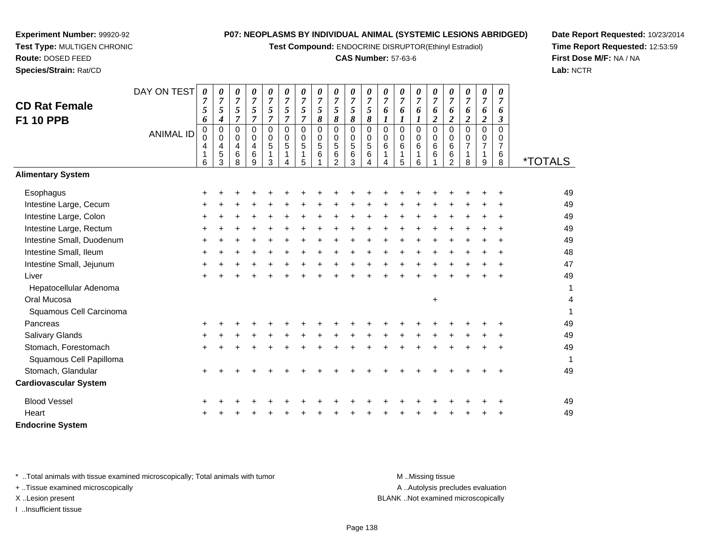**Test Compound:** ENDOCRINE DISRUPTOR(Ethinyl Estradiol)

### **CAS Number:** 57-63-6

*0 7*

*0 7*

*0 7*

*0 7*

*0 7*

*0 7*

*0 7*

*0 7*

*0 7*

**Date Report Requested:** 10/23/2014**Time Report Requested:** 12:53:59**First Dose M/F:** NA / NA**Lab:** NCTR

Page 138

A .. Autolysis precludes evaluation

\* ..Total animals with tissue examined microscopically; Total animals with tumor **M** ...Missing tissue M ...Missing tissue

DAY ON TEST *0 7*

*0 7*

*0 7*

*0 7*

*0 7*

*0 7*

*0 7*

*0 7*

*0 7*

*0 7*

+ ..Tissue examined microscopically

X ..Lesion present BLANK ..Not examined microscopically

I ..Insufficient tissue

| <b>CD Rat Female</b>         |                  | 5      | $\sqrt{5}$                 | 5                | 5                          | 5                | 5                | 5                | $\mathfrak{s}$   | $\sqrt{5}$                 | 5                | 5      | 6                          | 6                       | 6                | 6      | 6                       | 6                | 6                          | 6              |                       |
|------------------------------|------------------|--------|----------------------------|------------------|----------------------------|------------------|------------------|------------------|------------------|----------------------------|------------------|--------|----------------------------|-------------------------|------------------|--------|-------------------------|------------------|----------------------------|----------------|-----------------------|
| <b>F1 10 PPB</b>             |                  | 6      | $\boldsymbol{4}$           | 7                | $\overline{7}$             | $\overline{7}$   | 7                | 7                | $\pmb{8}$        | 8                          | 8                | 8      |                            |                         | 1                | 2      | $\overline{\mathbf{2}}$ | $\boldsymbol{2}$ | $\boldsymbol{2}$           | 3              |                       |
|                              | <b>ANIMAL ID</b> | 0<br>0 | $\mathbf 0$<br>$\mathbf 0$ | 0<br>$\mathbf 0$ | $\mathbf 0$<br>$\mathbf 0$ | 0<br>$\mathbf 0$ | $\mathbf 0$<br>0 | 0<br>$\mathbf 0$ | 0<br>$\mathbf 0$ | $\mathbf 0$<br>$\mathbf 0$ | 0<br>$\mathbf 0$ | 0<br>0 | $\mathbf 0$<br>$\mathbf 0$ | $\Omega$<br>$\mathbf 0$ | $\mathbf 0$<br>0 | 0<br>0 | $\Omega$<br>$\Omega$    | $\mathbf 0$<br>0 | $\mathbf 0$<br>$\mathbf 0$ | $\Omega$<br>0  |                       |
|                              |                  | 4      | 4                          | 4                | 4                          | 5                | 5                | 5                | $\sqrt{5}$       | 5                          | $\sqrt{5}$       | 5      | 6                          | 6                       | 6                | 6      | 6                       | 7                | $\overline{7}$             | $\overline{7}$ |                       |
|                              |                  | 6      | 5<br>3                     | 6<br>8           | 6<br>9                     | 3                |                  | 1<br>5           | 6                | 6<br>2                     | $\,6$<br>3       | 6      | 4                          | 1<br>5                  | 6                | 6      | 6<br>$\mathfrak{p}$     | 8                | 9                          | 6<br>8         | <i><b>*TOTALS</b></i> |
| <b>Alimentary System</b>     |                  |        |                            |                  |                            |                  |                  |                  |                  |                            |                  |        |                            |                         |                  |        |                         |                  |                            |                |                       |
| Esophagus                    |                  | ÷      |                            |                  |                            |                  |                  |                  |                  |                            |                  |        |                            |                         |                  |        |                         |                  |                            |                | 49                    |
| Intestine Large, Cecum       |                  | ÷      |                            |                  |                            |                  |                  |                  |                  |                            |                  |        |                            |                         |                  |        |                         |                  |                            |                | 49                    |
| Intestine Large, Colon       |                  | ÷      |                            |                  |                            |                  |                  |                  |                  |                            |                  |        |                            |                         |                  |        |                         |                  |                            |                | 49                    |
| Intestine Large, Rectum      |                  | +      |                            |                  |                            |                  |                  |                  |                  |                            |                  |        |                            |                         |                  |        |                         |                  |                            |                | 49                    |
| Intestine Small, Duodenum    |                  |        |                            |                  |                            |                  |                  |                  |                  |                            |                  |        |                            |                         |                  |        |                         |                  |                            |                | 49                    |
| Intestine Small, Ileum       |                  | +      |                            |                  |                            |                  |                  |                  |                  |                            |                  |        |                            |                         |                  |        |                         |                  |                            |                | 48                    |
| Intestine Small, Jejunum     |                  | ÷      |                            |                  |                            |                  |                  |                  |                  |                            |                  |        |                            |                         |                  |        |                         |                  |                            |                | 47                    |
| Liver                        |                  |        |                            |                  |                            |                  |                  |                  |                  |                            |                  |        |                            |                         |                  |        |                         |                  |                            |                | 49                    |
| Hepatocellular Adenoma       |                  |        |                            |                  |                            |                  |                  |                  |                  |                            |                  |        |                            |                         |                  |        |                         |                  |                            |                | 1                     |
| Oral Mucosa                  |                  |        |                            |                  |                            |                  |                  |                  |                  |                            |                  |        |                            |                         |                  | +      |                         |                  |                            |                | 4                     |
| Squamous Cell Carcinoma      |                  |        |                            |                  |                            |                  |                  |                  |                  |                            |                  |        |                            |                         |                  |        |                         |                  |                            |                | 1                     |
| Pancreas                     |                  |        |                            |                  |                            |                  |                  |                  |                  |                            |                  |        |                            |                         |                  |        |                         |                  |                            |                | 49                    |
| Salivary Glands              |                  | +      |                            |                  |                            |                  |                  |                  |                  |                            |                  |        |                            |                         |                  |        |                         |                  |                            |                | 49                    |
| Stomach, Forestomach         |                  | ÷      |                            |                  |                            |                  |                  |                  |                  |                            |                  |        |                            |                         |                  |        |                         |                  |                            |                | 49                    |
| Squamous Cell Papilloma      |                  |        |                            |                  |                            |                  |                  |                  |                  |                            |                  |        |                            |                         |                  |        |                         |                  |                            |                | 1                     |
| Stomach, Glandular           |                  |        |                            |                  |                            |                  |                  |                  |                  |                            |                  |        |                            |                         |                  |        |                         |                  |                            |                | 49                    |
| <b>Cardiovascular System</b> |                  |        |                            |                  |                            |                  |                  |                  |                  |                            |                  |        |                            |                         |                  |        |                         |                  |                            |                |                       |
| <b>Blood Vessel</b>          |                  |        |                            |                  |                            |                  |                  |                  |                  |                            |                  |        |                            |                         |                  |        |                         |                  |                            |                | 49                    |
| Heart                        |                  |        |                            |                  |                            |                  |                  |                  |                  |                            |                  |        |                            |                         |                  |        |                         |                  |                            |                | 49                    |
| <b>Endocrine System</b>      |                  |        |                            |                  |                            |                  |                  |                  |                  |                            |                  |        |                            |                         |                  |        |                         |                  |                            |                |                       |

**Experiment Number:** 99920-92 **Test Type:** MULTIGEN CHRONIC**Route:** DOSED FEED

**Species/Strain:** Rat/CD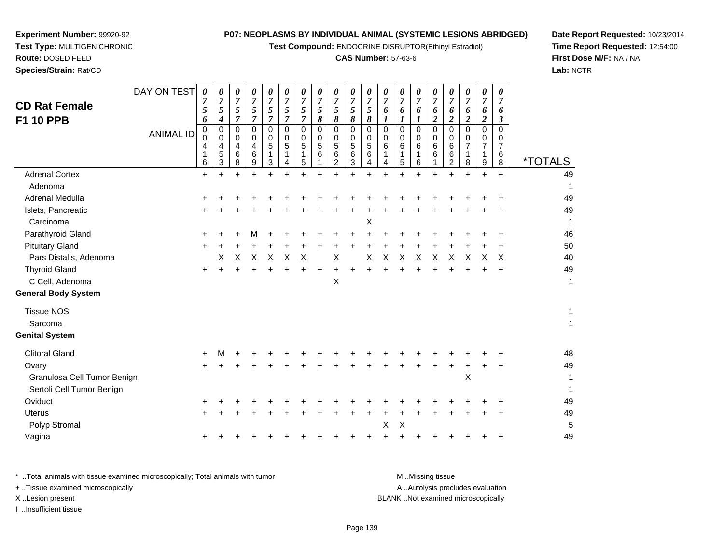**Test Compound:** ENDOCRINE DISRUPTOR(Ethinyl Estradiol)

#### **CAS Number:** 57-63-6

**Date Report Requested:** 10/23/2014**Time Report Requested:** 12:54:00**First Dose M/F:** NA / NA**Lab:** NCTR

| <b>CD Rat Female</b><br>F1 10 PPB | DAY ON TEST<br><b>ANIMAL ID</b> | $\boldsymbol{\theta}$<br>7<br>5<br>6<br>0<br>0<br>4<br>1<br>6 | 0<br>$\overline{7}$<br>5<br>4<br>$\mathbf 0$<br>0<br>4<br>5<br>3 | 0<br>$\overline{7}$<br>5<br>$\overline{7}$<br>$\mathbf 0$<br>0<br>4<br>$6\phantom{1}6$<br>8 | 0<br>$\overline{7}$<br>5<br>$\overline{7}$<br>$\mathbf 0$<br>0<br>4<br>$6\phantom{1}6$<br>9 | 0<br>$\overline{7}$<br>5<br>$\overline{7}$<br>$\mathbf 0$<br>0<br>5<br>$\mathbf 1$<br>3 | 0<br>7<br>5<br>$\overline{7}$<br>$\overline{0}$<br>$\Omega$<br>5<br>4 | 0<br>$\overline{7}$<br>5<br>7<br>$\mathbf 0$<br>0<br>5<br>1<br>5 | 0<br>$\overline{7}$<br>$\mathfrak{s}$<br>8<br>$\mathbf 0$<br>0<br>5<br>$\,6$ | 0<br>$\overline{7}$<br>5<br>8<br>$\mathbf 0$<br>0<br>5<br>$\,6$<br>$\overline{2}$ | $\pmb{\theta}$<br>$\overline{7}$<br>5<br>8<br>$\mathbf 0$<br>0<br>5<br>$\,6$<br>3 | 0<br>$\overline{7}$<br>5<br>8<br>$\mathbf 0$<br>0<br>$\sqrt{5}$<br>$\,6$<br>4 | 0<br>7<br>6<br>1<br>$\overline{0}$<br>0<br>6<br>4 | 0<br>$\overline{7}$<br>6<br>1<br>$\mathbf 0$<br>0<br>6<br>1<br>5 | 0<br>$\overline{7}$<br>6<br>1<br>$\mathbf 0$<br>0<br>6<br>1<br>6 | 0<br>7<br>6<br>$\overline{c}$<br>0<br>0<br>6<br>6<br>1 | 0<br>7<br>6<br>$\boldsymbol{2}$<br>$\mathbf 0$<br>0<br>6<br>6<br>2 | 0<br>$\overline{7}$<br>6<br>$\overline{c}$<br>0<br>0<br>$\overline{7}$<br>$\overline{1}$<br>8 | 0<br>$\overline{7}$<br>6<br>$\boldsymbol{2}$<br>$\mathbf 0$<br>0<br>$\overline{7}$<br>1<br>9 | 0<br>7<br>6<br>$\boldsymbol{\beta}$<br>$\Omega$<br>0<br>$\overline{7}$<br>6<br>8 | <i><b>*TOTALS</b></i> |
|-----------------------------------|---------------------------------|---------------------------------------------------------------|------------------------------------------------------------------|---------------------------------------------------------------------------------------------|---------------------------------------------------------------------------------------------|-----------------------------------------------------------------------------------------|-----------------------------------------------------------------------|------------------------------------------------------------------|------------------------------------------------------------------------------|-----------------------------------------------------------------------------------|-----------------------------------------------------------------------------------|-------------------------------------------------------------------------------|---------------------------------------------------|------------------------------------------------------------------|------------------------------------------------------------------|--------------------------------------------------------|--------------------------------------------------------------------|-----------------------------------------------------------------------------------------------|----------------------------------------------------------------------------------------------|----------------------------------------------------------------------------------|-----------------------|
| <b>Adrenal Cortex</b>             |                                 | $+$                                                           |                                                                  |                                                                                             |                                                                                             |                                                                                         |                                                                       |                                                                  |                                                                              |                                                                                   |                                                                                   |                                                                               |                                                   |                                                                  |                                                                  |                                                        |                                                                    |                                                                                               | $+$                                                                                          | $+$                                                                              | 49                    |
| Adenoma                           |                                 |                                                               |                                                                  |                                                                                             |                                                                                             |                                                                                         |                                                                       |                                                                  |                                                                              |                                                                                   |                                                                                   |                                                                               |                                                   |                                                                  |                                                                  |                                                        |                                                                    |                                                                                               |                                                                                              |                                                                                  | $\mathbf 1$           |
| Adrenal Medulla                   |                                 |                                                               |                                                                  |                                                                                             |                                                                                             |                                                                                         |                                                                       |                                                                  |                                                                              |                                                                                   |                                                                                   |                                                                               |                                                   |                                                                  |                                                                  |                                                        |                                                                    |                                                                                               |                                                                                              |                                                                                  | 49                    |
| Islets, Pancreatic                |                                 | $\pm$                                                         |                                                                  |                                                                                             |                                                                                             |                                                                                         |                                                                       |                                                                  |                                                                              |                                                                                   |                                                                                   |                                                                               |                                                   |                                                                  |                                                                  |                                                        |                                                                    |                                                                                               |                                                                                              |                                                                                  | 49                    |
| Carcinoma                         |                                 |                                                               |                                                                  |                                                                                             |                                                                                             |                                                                                         |                                                                       |                                                                  |                                                                              |                                                                                   |                                                                                   | Χ                                                                             |                                                   |                                                                  |                                                                  |                                                        |                                                                    |                                                                                               |                                                                                              |                                                                                  | -1                    |
| Parathyroid Gland                 |                                 | ÷                                                             |                                                                  |                                                                                             |                                                                                             |                                                                                         |                                                                       |                                                                  |                                                                              |                                                                                   |                                                                                   |                                                                               |                                                   |                                                                  |                                                                  |                                                        |                                                                    |                                                                                               |                                                                                              |                                                                                  | 46                    |
| <b>Pituitary Gland</b>            |                                 | ÷                                                             |                                                                  |                                                                                             |                                                                                             |                                                                                         |                                                                       |                                                                  |                                                                              |                                                                                   |                                                                                   |                                                                               |                                                   |                                                                  |                                                                  |                                                        |                                                                    |                                                                                               |                                                                                              |                                                                                  | 50                    |
| Pars Distalis, Adenoma            |                                 |                                                               | X                                                                | X                                                                                           | $\times$                                                                                    | X                                                                                       | $\sf X$                                                               | $\boldsymbol{\mathsf{X}}$                                        |                                                                              | X                                                                                 |                                                                                   | X                                                                             | $\times$                                          | X                                                                | $\times$                                                         | X                                                      | X                                                                  | X                                                                                             | X                                                                                            | $\times$                                                                         | 40                    |
| <b>Thyroid Gland</b>              |                                 | $+$                                                           |                                                                  |                                                                                             |                                                                                             |                                                                                         |                                                                       |                                                                  |                                                                              |                                                                                   |                                                                                   |                                                                               |                                                   |                                                                  |                                                                  |                                                        |                                                                    |                                                                                               |                                                                                              |                                                                                  | 49                    |
| C Cell, Adenoma                   |                                 |                                                               |                                                                  |                                                                                             |                                                                                             |                                                                                         |                                                                       |                                                                  |                                                                              | X                                                                                 |                                                                                   |                                                                               |                                                   |                                                                  |                                                                  |                                                        |                                                                    |                                                                                               |                                                                                              |                                                                                  | $\mathbf{1}$          |
| <b>General Body System</b>        |                                 |                                                               |                                                                  |                                                                                             |                                                                                             |                                                                                         |                                                                       |                                                                  |                                                                              |                                                                                   |                                                                                   |                                                                               |                                                   |                                                                  |                                                                  |                                                        |                                                                    |                                                                                               |                                                                                              |                                                                                  |                       |
| <b>Tissue NOS</b>                 |                                 |                                                               |                                                                  |                                                                                             |                                                                                             |                                                                                         |                                                                       |                                                                  |                                                                              |                                                                                   |                                                                                   |                                                                               |                                                   |                                                                  |                                                                  |                                                        |                                                                    |                                                                                               |                                                                                              |                                                                                  | $\mathbf{1}$          |
| Sarcoma                           |                                 |                                                               |                                                                  |                                                                                             |                                                                                             |                                                                                         |                                                                       |                                                                  |                                                                              |                                                                                   |                                                                                   |                                                                               |                                                   |                                                                  |                                                                  |                                                        |                                                                    |                                                                                               |                                                                                              |                                                                                  | $\mathbf{1}$          |
| <b>Genital System</b>             |                                 |                                                               |                                                                  |                                                                                             |                                                                                             |                                                                                         |                                                                       |                                                                  |                                                                              |                                                                                   |                                                                                   |                                                                               |                                                   |                                                                  |                                                                  |                                                        |                                                                    |                                                                                               |                                                                                              |                                                                                  |                       |
| <b>Clitoral Gland</b>             |                                 |                                                               | м                                                                |                                                                                             |                                                                                             |                                                                                         |                                                                       |                                                                  |                                                                              |                                                                                   |                                                                                   |                                                                               |                                                   |                                                                  |                                                                  |                                                        |                                                                    |                                                                                               |                                                                                              |                                                                                  | 48                    |
| Ovary                             |                                 | +                                                             |                                                                  |                                                                                             |                                                                                             |                                                                                         |                                                                       |                                                                  |                                                                              |                                                                                   |                                                                                   |                                                                               |                                                   |                                                                  |                                                                  |                                                        |                                                                    |                                                                                               |                                                                                              |                                                                                  | 49                    |
| Granulosa Cell Tumor Benign       |                                 |                                                               |                                                                  |                                                                                             |                                                                                             |                                                                                         |                                                                       |                                                                  |                                                                              |                                                                                   |                                                                                   |                                                                               |                                                   |                                                                  |                                                                  |                                                        |                                                                    | X                                                                                             |                                                                                              |                                                                                  | 1                     |
| Sertoli Cell Tumor Benign         |                                 |                                                               |                                                                  |                                                                                             |                                                                                             |                                                                                         |                                                                       |                                                                  |                                                                              |                                                                                   |                                                                                   |                                                                               |                                                   |                                                                  |                                                                  |                                                        |                                                                    |                                                                                               |                                                                                              |                                                                                  | $\mathbf{1}$          |
| Oviduct                           |                                 |                                                               |                                                                  |                                                                                             |                                                                                             |                                                                                         |                                                                       |                                                                  |                                                                              |                                                                                   |                                                                                   |                                                                               |                                                   |                                                                  |                                                                  |                                                        |                                                                    |                                                                                               |                                                                                              |                                                                                  | 49                    |
| <b>Uterus</b>                     |                                 | $\ddot{}$                                                     |                                                                  |                                                                                             |                                                                                             |                                                                                         |                                                                       |                                                                  |                                                                              |                                                                                   |                                                                                   |                                                                               |                                                   |                                                                  |                                                                  |                                                        |                                                                    |                                                                                               | +                                                                                            |                                                                                  | 49                    |
| Polyp Stromal                     |                                 |                                                               |                                                                  |                                                                                             |                                                                                             |                                                                                         |                                                                       |                                                                  |                                                                              |                                                                                   |                                                                                   |                                                                               | X                                                 | X                                                                |                                                                  |                                                        |                                                                    |                                                                                               |                                                                                              |                                                                                  | 5                     |
| Vagina                            |                                 | ÷                                                             |                                                                  |                                                                                             |                                                                                             |                                                                                         |                                                                       |                                                                  |                                                                              |                                                                                   |                                                                                   |                                                                               |                                                   |                                                                  |                                                                  |                                                        |                                                                    |                                                                                               |                                                                                              | ÷                                                                                | 49                    |
|                                   |                                 |                                                               |                                                                  |                                                                                             |                                                                                             |                                                                                         |                                                                       |                                                                  |                                                                              |                                                                                   |                                                                                   |                                                                               |                                                   |                                                                  |                                                                  |                                                        |                                                                    |                                                                                               |                                                                                              |                                                                                  |                       |

**Experiment Number:** 99920-92**Test Type:** MULTIGEN CHRONIC

**Route:** DOSED FEED**Species/Strain:** Rat/CD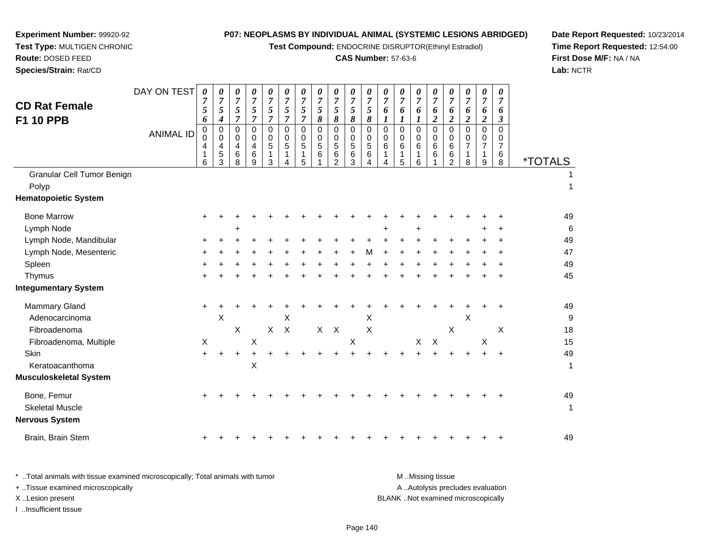**Test Compound:** ENDOCRINE DISRUPTOR(Ethinyl Estradiol)

# **CAS Number:** 57-63-6

**Date Report Requested:** 10/23/2014**Time Report Requested:** 12:54:00**First Dose M/F:** NA / NA**Lab:** NCTR

| Species/Strain: Rat/CD                          |                  |                                            |                                              |                                              |                                                         |                                            |                                                                  |                                                                         |                                                     |                                                           |                                 |                                                                         |                               |                                                   |                              |                               |                                                                |                                                     |                                                           |                                              | Lab:                  |
|-------------------------------------------------|------------------|--------------------------------------------|----------------------------------------------|----------------------------------------------|---------------------------------------------------------|--------------------------------------------|------------------------------------------------------------------|-------------------------------------------------------------------------|-----------------------------------------------------|-----------------------------------------------------------|---------------------------------|-------------------------------------------------------------------------|-------------------------------|---------------------------------------------------|------------------------------|-------------------------------|----------------------------------------------------------------|-----------------------------------------------------|-----------------------------------------------------------|----------------------------------------------|-----------------------|
| <b>CD Rat Female</b><br><b>F1 10 PPB</b>        | DAY ON TEST      | $\pmb{\theta}$<br>$\overline{7}$<br>5<br>6 | 0<br>$\overline{7}$<br>5<br>$\boldsymbol{4}$ | 0<br>$\boldsymbol{7}$<br>5<br>$\overline{7}$ | $\pmb{\theta}$<br>$\overline{7}$<br>5<br>$\overline{7}$ | 0<br>$\overline{7}$<br>5<br>$\overline{7}$ | $\pmb{\theta}$<br>$\overline{7}$<br>$\sqrt{5}$<br>$\overline{7}$ | $\boldsymbol{\theta}$<br>$\overline{7}$<br>$\sqrt{5}$<br>$\overline{7}$ | $\pmb{\theta}$<br>$\overline{7}$<br>$\sqrt{5}$<br>8 | 0<br>$\overline{7}$<br>5<br>8                             | 0<br>$\boldsymbol{7}$<br>5<br>8 | $\boldsymbol{\theta}$<br>$\overline{7}$<br>$\sqrt{5}$<br>$\pmb{\delta}$ | 0<br>$\overline{7}$<br>6<br>1 | $\pmb{\theta}$<br>$\overline{7}$<br>6<br>1        | 0<br>$\overline{7}$<br>6     | 0<br>$\overline{7}$<br>6<br>2 | $\boldsymbol{\theta}$<br>$\overline{7}$<br>6<br>$\overline{2}$ | 0<br>$\overline{7}$<br>6<br>$\overline{\mathbf{c}}$ | $\pmb{\theta}$<br>$\overline{7}$<br>6<br>$\boldsymbol{2}$ | $\pmb{\theta}$<br>$\overline{7}$<br>6<br>3   |                       |
|                                                 | <b>ANIMAL ID</b> | $\mathbf 0$<br>0<br>4<br>1<br>6            | $\Omega$<br>0<br>4<br>5<br>3                 | 0<br>0<br>4<br>6<br>8                        | $\Omega$<br>0<br>4<br>$\,6$<br>9                        | $\Omega$<br>0<br>5<br>1<br>3               | 0<br>0<br>5<br>1<br>4                                            | $\mathbf 0$<br>$\mathbf 0$<br>$\sqrt{5}$<br>1<br>5                      | $\mathbf 0$<br>0<br>$\sqrt{5}$<br>6                 | $\mathbf 0$<br>0<br>$\sqrt{5}$<br>$\,6$<br>$\overline{2}$ | 0<br>0<br>5<br>6<br>3           | 0<br>0<br>$\sqrt{5}$<br>6<br>4                                          | $\Omega$<br>0<br>6<br>1<br>4  | $\Omega$<br>$\mathbf 0$<br>6<br>$\mathbf{1}$<br>5 | $\Omega$<br>0<br>6<br>1<br>6 | $\Omega$<br>0<br>6<br>6       | $\mathbf 0$<br>0<br>6<br>$\,6$<br>$\overline{2}$               | 0<br>0<br>7<br>1<br>8                               | $\pmb{0}$<br>$\mathbf 0$<br>$\overline{7}$<br>1<br>9      | $\mathbf 0$<br>0<br>$\overline{7}$<br>6<br>8 | <i><b>*TOTALS</b></i> |
| Granular Cell Tumor Benign                      |                  |                                            |                                              |                                              |                                                         |                                            |                                                                  |                                                                         |                                                     |                                                           |                                 |                                                                         |                               |                                                   |                              |                               |                                                                |                                                     |                                                           |                                              |                       |
| Polyp<br><b>Hematopoietic System</b>            |                  |                                            |                                              |                                              |                                                         |                                            |                                                                  |                                                                         |                                                     |                                                           |                                 |                                                                         |                               |                                                   |                              |                               |                                                                |                                                     |                                                           |                                              | 1                     |
| <b>Bone Marrow</b>                              |                  | +                                          |                                              |                                              |                                                         |                                            |                                                                  |                                                                         |                                                     |                                                           |                                 |                                                                         |                               |                                                   |                              |                               |                                                                |                                                     |                                                           |                                              | 49                    |
| Lymph Node                                      |                  |                                            |                                              | +                                            |                                                         |                                            |                                                                  |                                                                         |                                                     |                                                           |                                 |                                                                         |                               |                                                   | $\ddot{}$                    |                               |                                                                |                                                     |                                                           | $\ddot{}$                                    | 6                     |
| Lymph Node, Mandibular                          |                  |                                            |                                              |                                              |                                                         |                                            |                                                                  |                                                                         |                                                     |                                                           |                                 |                                                                         |                               |                                                   |                              |                               |                                                                |                                                     |                                                           | +                                            | 49                    |
| Lymph Node, Mesenteric                          |                  |                                            |                                              |                                              |                                                         |                                            |                                                                  |                                                                         |                                                     |                                                           |                                 | м                                                                       |                               |                                                   |                              |                               |                                                                |                                                     |                                                           | ÷                                            | 47                    |
| Spleen                                          |                  |                                            |                                              |                                              |                                                         |                                            |                                                                  |                                                                         |                                                     |                                                           |                                 |                                                                         |                               |                                                   |                              |                               |                                                                |                                                     |                                                           | +                                            | 49                    |
| Thymus                                          |                  |                                            |                                              |                                              |                                                         |                                            |                                                                  |                                                                         |                                                     |                                                           |                                 |                                                                         |                               |                                                   |                              |                               |                                                                |                                                     |                                                           |                                              | 45                    |
| <b>Integumentary System</b>                     |                  |                                            |                                              |                                              |                                                         |                                            |                                                                  |                                                                         |                                                     |                                                           |                                 |                                                                         |                               |                                                   |                              |                               |                                                                |                                                     |                                                           |                                              |                       |
| <b>Mammary Gland</b>                            |                  | $\ddot{}$                                  |                                              |                                              |                                                         |                                            |                                                                  |                                                                         |                                                     |                                                           |                                 |                                                                         |                               |                                                   |                              |                               |                                                                |                                                     |                                                           |                                              | 49                    |
| Adenocarcinoma                                  |                  |                                            | X                                            |                                              |                                                         |                                            | X                                                                |                                                                         |                                                     |                                                           |                                 | х                                                                       |                               |                                                   |                              |                               |                                                                | X                                                   |                                                           |                                              | g                     |
| Fibroadenoma                                    |                  |                                            |                                              | $\pmb{\times}$                               |                                                         | $\mathsf{X}$                               | $\mathsf{X}$                                                     |                                                                         | X                                                   | $\boldsymbol{\mathsf{X}}$                                 |                                 | $\times$                                                                |                               |                                                   |                              |                               | X                                                              |                                                     |                                                           | X                                            | 18                    |
| Fibroadenoma, Multiple                          |                  | $\boldsymbol{\mathsf{X}}$                  |                                              |                                              | Χ                                                       |                                            |                                                                  |                                                                         |                                                     |                                                           | $\times$                        |                                                                         |                               |                                                   | X                            | $\times$                      |                                                                |                                                     | $\boldsymbol{\mathsf{X}}$                                 |                                              | 15                    |
| Skin                                            |                  | $\ddot{}$                                  | $\ddot{}$                                    | $\ddot{}$                                    | +                                                       |                                            |                                                                  |                                                                         |                                                     | $\ddot{}$                                                 |                                 |                                                                         |                               | $\ddot{}$                                         | $\ddot{}$                    | $+$                           | $\ddot{}$                                                      | $\ddot{}$                                           | $+$                                                       | $+$                                          | 49                    |
| Keratoacanthoma                                 |                  |                                            |                                              |                                              | X                                                       |                                            |                                                                  |                                                                         |                                                     |                                                           |                                 |                                                                         |                               |                                                   |                              |                               |                                                                |                                                     |                                                           |                                              | 1                     |
| <b>Musculoskeletal System</b>                   |                  |                                            |                                              |                                              |                                                         |                                            |                                                                  |                                                                         |                                                     |                                                           |                                 |                                                                         |                               |                                                   |                              |                               |                                                                |                                                     |                                                           |                                              |                       |
| Bone, Femur                                     |                  | +                                          |                                              |                                              |                                                         |                                            |                                                                  |                                                                         |                                                     |                                                           |                                 |                                                                         |                               |                                                   |                              |                               |                                                                |                                                     |                                                           |                                              | 49                    |
| <b>Skeletal Muscle</b><br><b>Nervous System</b> |                  |                                            |                                              |                                              |                                                         |                                            |                                                                  |                                                                         |                                                     |                                                           |                                 |                                                                         |                               |                                                   |                              |                               |                                                                |                                                     |                                                           |                                              | 1                     |
| Brain, Brain Stem                               |                  |                                            |                                              |                                              |                                                         |                                            |                                                                  |                                                                         |                                                     |                                                           |                                 |                                                                         |                               |                                                   |                              |                               |                                                                |                                                     |                                                           |                                              | 49                    |
|                                                 |                  |                                            |                                              |                                              |                                                         |                                            |                                                                  |                                                                         |                                                     |                                                           |                                 |                                                                         |                               |                                                   |                              |                               |                                                                |                                                     |                                                           |                                              |                       |

**Experiment Number:** 99920-92**Test Type:** MULTIGEN CHRONIC

**Route:** DOSED FEED

| Total animals with tissue examined microscopically; Total animals with tumor | M Missing tissue                   |
|------------------------------------------------------------------------------|------------------------------------|
| + Tissue examined microscopically                                            | A Autolysis precludes evaluation   |
| X Lesion present                                                             | BLANK Not examined microscopically |
| …Insufficient tissue                                                         |                                    |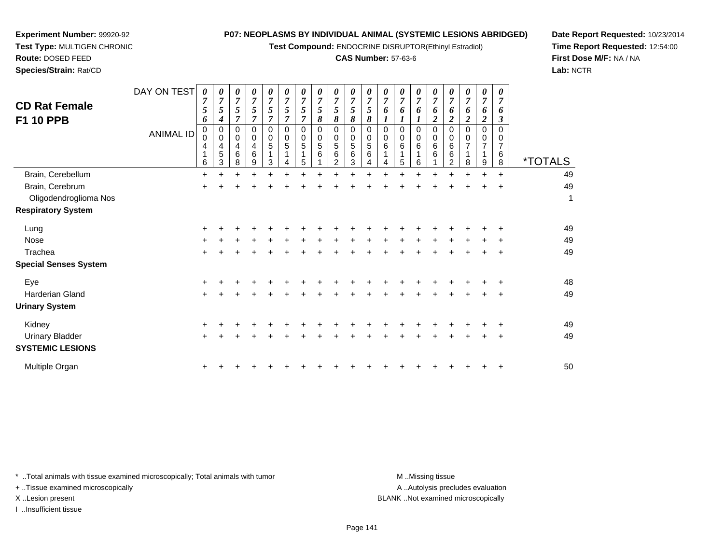**Test Compound:** ENDOCRINE DISRUPTOR(Ethinyl Estradiol)

### **CAS Number:** 57-63-6

**Date Report Requested:** 10/23/2014**Time Report Requested:** 12:54:00**First Dose M/F:** NA / NA**Lab:** NCTR

**Experiment Number:** 99920-92

**Species/Strain:** Rat/CD

| <b>CD Rat Female</b><br><b>F1 10 PPB</b> | DAY ON TEST<br><b>ANIMAL ID</b> | 0<br>5<br>6<br>0<br>0<br>4<br>6 | 0<br>$\overline{7}$<br>5<br>4<br>0<br>0<br>4<br>5<br>3 | 0<br>$\boldsymbol{7}$<br>5<br>$\overline{7}$<br>0<br>0<br>4<br>6<br>8 | $\boldsymbol{\theta}$<br>$\overline{7}$<br>$\mathfrak{s}$<br>$\overline{7}$<br>$\Omega$<br>0<br>4<br>6<br>9 | 0<br>$\overline{7}$<br>5<br>$\overline{7}$<br>0<br>0<br>5<br>3 | 0<br>$\overline{7}$<br>5<br>$\overline{7}$<br>0<br>0<br>5<br>4 | 0<br>$\overline{7}$<br>5<br>$\overline{7}$<br>0<br>0<br>5<br>1<br>5 | $\boldsymbol{\theta}$<br>$\overline{7}$<br>5<br>8<br>0<br>0<br>$5\phantom{.0}$<br>6 | $\boldsymbol{\theta}$<br>$\overline{7}$<br>$\mathfrak{s}$<br>8<br>$\mathbf 0$<br>$\mathbf 0$<br>$\sqrt{5}$<br>6<br>$\overline{2}$ | 0<br>$\overline{7}$<br>5<br>8<br>$\Omega$<br>0<br>5<br>6<br>3 | 0<br>$\overline{7}$<br>5<br>8<br>0<br>0<br>5<br>6<br>4 | 0<br>$\overline{7}$<br>6<br>0<br>0<br>6<br>4 | 0<br>$\overline{7}$<br>6<br>0<br>0<br>6<br>1<br>5 | $\boldsymbol{\theta}$<br>$\overline{7}$<br>6<br>$\Omega$<br>0<br>6<br>1<br>6 | 0<br>$\overline{7}$<br>6<br>$\boldsymbol{2}$<br>$\Omega$<br>0<br>6<br>6 | 0<br>6<br>2<br>$\Omega$<br>0<br>6<br>6<br>$\overline{2}$ | 0<br>$\overline{7}$<br>6<br>$\boldsymbol{2}$<br>0<br>0<br>7<br>1<br>8 | 0<br>$\overline{7}$<br>6<br>$\boldsymbol{2}$<br>0<br>0<br>7<br>1<br>9 | $\boldsymbol{\theta}$<br>$\overline{7}$<br>6<br>$\boldsymbol{\beta}$<br>$\Omega$<br>0<br>$\overline{7}$<br>6<br>8 | <i><b>*TOTALS</b></i> |
|------------------------------------------|---------------------------------|---------------------------------|--------------------------------------------------------|-----------------------------------------------------------------------|-------------------------------------------------------------------------------------------------------------|----------------------------------------------------------------|----------------------------------------------------------------|---------------------------------------------------------------------|-------------------------------------------------------------------------------------|-----------------------------------------------------------------------------------------------------------------------------------|---------------------------------------------------------------|--------------------------------------------------------|----------------------------------------------|---------------------------------------------------|------------------------------------------------------------------------------|-------------------------------------------------------------------------|----------------------------------------------------------|-----------------------------------------------------------------------|-----------------------------------------------------------------------|-------------------------------------------------------------------------------------------------------------------|-----------------------|
| Brain, Cerebellum                        |                                 | $\ddot{}$                       | $\ddot{}$                                              |                                                                       | +                                                                                                           | $\ddot{}$                                                      |                                                                | ÷                                                                   |                                                                                     |                                                                                                                                   |                                                               |                                                        |                                              |                                                   | +                                                                            | $\ddot{}$                                                               |                                                          | +                                                                     | $\ddot{}$                                                             | $\ddot{}$                                                                                                         | 49                    |
| Brain, Cerebrum                          |                                 | +                               |                                                        |                                                                       |                                                                                                             |                                                                |                                                                |                                                                     |                                                                                     |                                                                                                                                   |                                                               |                                                        |                                              |                                                   |                                                                              |                                                                         |                                                          |                                                                       |                                                                       |                                                                                                                   | 49                    |
| Oligodendroglioma Nos                    |                                 |                                 |                                                        |                                                                       |                                                                                                             |                                                                |                                                                |                                                                     |                                                                                     |                                                                                                                                   |                                                               |                                                        |                                              |                                                   |                                                                              |                                                                         |                                                          |                                                                       |                                                                       |                                                                                                                   | 1                     |
| <b>Respiratory System</b>                |                                 |                                 |                                                        |                                                                       |                                                                                                             |                                                                |                                                                |                                                                     |                                                                                     |                                                                                                                                   |                                                               |                                                        |                                              |                                                   |                                                                              |                                                                         |                                                          |                                                                       |                                                                       |                                                                                                                   |                       |
| Lung                                     |                                 |                                 |                                                        |                                                                       |                                                                                                             |                                                                |                                                                |                                                                     |                                                                                     |                                                                                                                                   |                                                               |                                                        |                                              |                                                   |                                                                              |                                                                         |                                                          |                                                                       |                                                                       |                                                                                                                   | 49                    |
| Nose                                     |                                 | +                               |                                                        |                                                                       |                                                                                                             |                                                                |                                                                |                                                                     |                                                                                     |                                                                                                                                   |                                                               |                                                        |                                              |                                                   |                                                                              |                                                                         |                                                          |                                                                       |                                                                       |                                                                                                                   | 49                    |
| Trachea                                  |                                 | $\ddot{}$                       |                                                        |                                                                       |                                                                                                             |                                                                |                                                                |                                                                     |                                                                                     |                                                                                                                                   |                                                               |                                                        |                                              |                                                   |                                                                              |                                                                         |                                                          |                                                                       |                                                                       |                                                                                                                   | 49                    |
| <b>Special Senses System</b>             |                                 |                                 |                                                        |                                                                       |                                                                                                             |                                                                |                                                                |                                                                     |                                                                                     |                                                                                                                                   |                                                               |                                                        |                                              |                                                   |                                                                              |                                                                         |                                                          |                                                                       |                                                                       |                                                                                                                   |                       |
| Eye                                      |                                 |                                 |                                                        |                                                                       |                                                                                                             |                                                                |                                                                |                                                                     |                                                                                     |                                                                                                                                   |                                                               |                                                        |                                              |                                                   |                                                                              |                                                                         |                                                          |                                                                       |                                                                       |                                                                                                                   | 48                    |
| <b>Harderian Gland</b>                   |                                 | $\pm$                           |                                                        |                                                                       |                                                                                                             |                                                                |                                                                |                                                                     |                                                                                     |                                                                                                                                   |                                                               |                                                        |                                              |                                                   |                                                                              |                                                                         |                                                          |                                                                       |                                                                       | $\ddot{}$                                                                                                         | 49                    |
| <b>Urinary System</b>                    |                                 |                                 |                                                        |                                                                       |                                                                                                             |                                                                |                                                                |                                                                     |                                                                                     |                                                                                                                                   |                                                               |                                                        |                                              |                                                   |                                                                              |                                                                         |                                                          |                                                                       |                                                                       |                                                                                                                   |                       |
| Kidney                                   |                                 | ٠                               |                                                        |                                                                       |                                                                                                             |                                                                |                                                                |                                                                     |                                                                                     |                                                                                                                                   |                                                               |                                                        |                                              |                                                   |                                                                              |                                                                         |                                                          |                                                                       |                                                                       |                                                                                                                   | 49                    |
| <b>Urinary Bladder</b>                   |                                 | +                               |                                                        |                                                                       |                                                                                                             |                                                                |                                                                |                                                                     |                                                                                     |                                                                                                                                   |                                                               |                                                        |                                              |                                                   |                                                                              |                                                                         |                                                          |                                                                       |                                                                       |                                                                                                                   | 49                    |
| <b>SYSTEMIC LESIONS</b>                  |                                 |                                 |                                                        |                                                                       |                                                                                                             |                                                                |                                                                |                                                                     |                                                                                     |                                                                                                                                   |                                                               |                                                        |                                              |                                                   |                                                                              |                                                                         |                                                          |                                                                       |                                                                       |                                                                                                                   |                       |
| Multiple Organ                           |                                 |                                 |                                                        |                                                                       |                                                                                                             |                                                                |                                                                |                                                                     |                                                                                     |                                                                                                                                   |                                                               |                                                        |                                              |                                                   |                                                                              |                                                                         |                                                          |                                                                       |                                                                       |                                                                                                                   | 50                    |

\* ..Total animals with tissue examined microscopically; Total animals with tumor **M** . Missing tissue M ..Missing tissue

+ ..Tissue examined microscopically

I ..Insufficient tissue

A ..Autolysis precludes evaluation

X ..Lesion present BLANK ..Not examined microscopically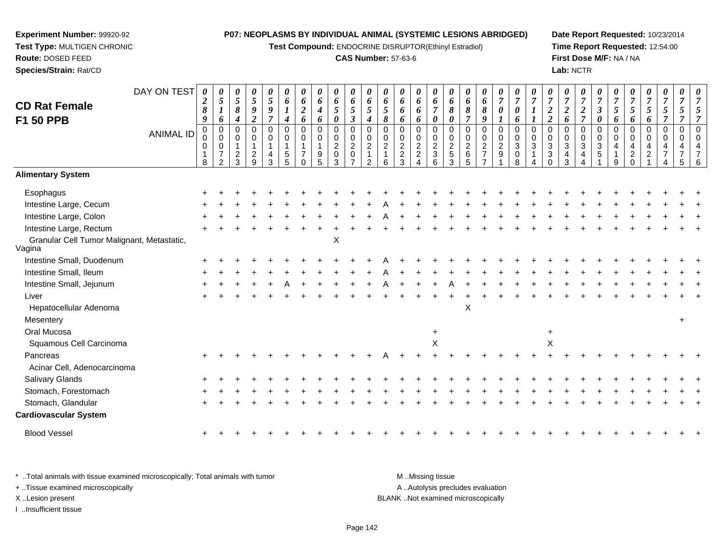**Test Compound:** ENDOCRINE DISRUPTOR(Ethinyl Estradiol)

### **CAS Number:** 57-63-6

**Date Report Requested:** 10/23/2014**Time Report Requested:** 12:54:00**First Dose M/F:** NA / NA**Lab:** NCTR

| <b>CD Rat Female</b><br>F1 50 PPB                    | DAY ON TEST<br><b>ANIMAL ID</b> | $\boldsymbol{\theta}$<br>$\boldsymbol{2}$<br>8<br>$\boldsymbol{9}$<br>$\mathbf 0$<br>0<br>0<br>-1<br>8 | $\boldsymbol{\theta}$<br>$\overline{5}$<br>$\boldsymbol{l}$<br>6<br>$\mathbf 0$<br>0<br>$\pmb{0}$<br>$\boldsymbol{7}$<br>$\overline{2}$ | 0<br>$\mathfrak{s}$<br>8<br>4<br>$\Omega$<br>0<br>$\overline{c}$<br>3 | 0<br>$\mathfrak{s}$<br>$\boldsymbol{9}$<br>$\boldsymbol{2}$<br>0<br>0<br>$\mathbf{1}$<br>$\sqrt{2}$<br>9 | $\boldsymbol{\theta}$<br>$\mathfrak{s}$<br>9<br>$\overline{7}$<br>$\mathbf 0$<br>0<br>4<br>3 | $\boldsymbol{\theta}$<br>6<br>$\boldsymbol{l}$<br>$\boldsymbol{4}$<br>0<br>0<br>$\overline{1}$<br>$\sqrt{5}$<br>5 | $\boldsymbol{\theta}$<br>6<br>$\boldsymbol{2}$<br>6<br>0<br>0<br>1<br>$\overline{7}$ | 0<br>6<br>4<br>6<br>0<br>0<br>9<br>5 | 0<br>6<br>$5\phantom{.0}$<br>0<br>0<br>0<br>$\sqrt{2}$<br>0<br>3 | $\boldsymbol{\theta}$<br>6<br>$\mathfrak{s}$<br>$\boldsymbol{\beta}$<br>$\mathbf 0$<br>$\pmb{0}$<br>$\sqrt{2}$<br>$\pmb{0}$ | 0<br>6<br>$\mathfrak{s}$<br>4<br>0<br>$\pmb{0}$<br>$\overline{2}$<br>$\overline{1}$<br>2 | $\boldsymbol{\theta}$<br>6<br>$\overline{5}$<br>8<br>0<br>0<br>$\sqrt{2}$<br>$\overline{1}$<br>6 | 0<br>6<br>6<br>6<br>0<br>0<br>$\frac{2}{2}$<br>3 | 0<br>6<br>6<br>6<br>0<br>0<br>$\sqrt{2}$<br>$\overline{c}$ | $\boldsymbol{\theta}$<br>6<br>$\overline{7}$<br>0<br>$\mathbf 0$<br>$\pmb{0}$<br>$\overline{c}$<br>$\mathsf 3$<br>6 | $\boldsymbol{\theta}$<br>6<br>8<br>$\boldsymbol{\theta}$<br>0<br>$\pmb{0}$<br>$rac{2}{5}$<br>3 | $\boldsymbol{\theta}$<br>6<br>$\pmb{8}$<br>7<br>0<br>$\pmb{0}$<br>$\sqrt{2}$<br>$\,6\,$<br>$\overline{5}$ | 0<br>6<br>8<br>9<br>0<br>0<br>$\overline{c}$<br>$\overline{7}$ | 0<br>$\boldsymbol{7}$<br>0<br>$\boldsymbol{l}$<br>0<br>0<br>$\overline{2}$<br>$9\,$ | $\boldsymbol{\theta}$<br>$\overline{7}$<br>0<br>6<br>$\mathbf 0$<br>$\pmb{0}$<br>$\sqrt{3}$<br>$\pmb{0}$<br>8 | 0<br>$\overline{7}$<br>$\boldsymbol{I}$<br>$\mathbf 0$<br>$\mathsf{O}\xspace$<br>$\ensuremath{\mathsf{3}}$<br>-1 | $\overline{7}$<br>$\boldsymbol{2}$<br>$\overline{\mathbf{c}}$<br>0<br>0<br>$\sqrt{3}$<br>$\sqrt{3}$<br>$\Omega$ | 0<br>$\overline{7}$<br>$\boldsymbol{2}$<br>6<br>$\Omega$<br>$\mathbf 0$<br>$\mathbf{3}$<br>4<br>3 | 0<br>$\boldsymbol{7}$<br>$\boldsymbol{2}$<br>$\overline{7}$<br>0<br>$\mathbf 0$<br>3<br>4 | $\boldsymbol{\theta}$<br>$\boldsymbol{7}$<br>$\boldsymbol{\beta}$<br>$\boldsymbol{\theta}$<br>0<br>$\pmb{0}$<br>$\sqrt{3}$<br>$\overline{5}$ | 0<br>$\overline{7}$<br>$\mathfrak{s}$<br>6<br>0<br>$\mathbf 0$<br>4<br>9 | $\overline{7}$<br>$\sqrt{5}$<br>6<br>$\mathbf 0$<br>$\Omega$<br>4<br>$\boldsymbol{2}$ | 0<br>$\overline{7}$<br>5<br>6<br>0<br>$\Omega$<br>2 | 0<br>$\boldsymbol{7}$<br>$5\phantom{.0}$<br>0<br>$\Omega$ | 0<br>$\overline{7}$<br>5<br>0<br>$\mathbf 0$ | $\boldsymbol{\theta}$<br>$\overline{7}$<br>$\Omega$ |
|------------------------------------------------------|---------------------------------|--------------------------------------------------------------------------------------------------------|-----------------------------------------------------------------------------------------------------------------------------------------|-----------------------------------------------------------------------|----------------------------------------------------------------------------------------------------------|----------------------------------------------------------------------------------------------|-------------------------------------------------------------------------------------------------------------------|--------------------------------------------------------------------------------------|--------------------------------------|------------------------------------------------------------------|-----------------------------------------------------------------------------------------------------------------------------|------------------------------------------------------------------------------------------|--------------------------------------------------------------------------------------------------|--------------------------------------------------|------------------------------------------------------------|---------------------------------------------------------------------------------------------------------------------|------------------------------------------------------------------------------------------------|-----------------------------------------------------------------------------------------------------------|----------------------------------------------------------------|-------------------------------------------------------------------------------------|---------------------------------------------------------------------------------------------------------------|------------------------------------------------------------------------------------------------------------------|-----------------------------------------------------------------------------------------------------------------|---------------------------------------------------------------------------------------------------|-------------------------------------------------------------------------------------------|----------------------------------------------------------------------------------------------------------------------------------------------|--------------------------------------------------------------------------|---------------------------------------------------------------------------------------|-----------------------------------------------------|-----------------------------------------------------------|----------------------------------------------|-----------------------------------------------------|
| <b>Alimentary System</b>                             |                                 |                                                                                                        |                                                                                                                                         |                                                                       |                                                                                                          |                                                                                              |                                                                                                                   |                                                                                      |                                      |                                                                  |                                                                                                                             |                                                                                          |                                                                                                  |                                                  |                                                            |                                                                                                                     |                                                                                                |                                                                                                           |                                                                |                                                                                     |                                                                                                               |                                                                                                                  |                                                                                                                 |                                                                                                   |                                                                                           |                                                                                                                                              |                                                                          |                                                                                       |                                                     |                                                           |                                              |                                                     |
| Esophagus                                            |                                 |                                                                                                        |                                                                                                                                         |                                                                       |                                                                                                          |                                                                                              |                                                                                                                   |                                                                                      |                                      |                                                                  |                                                                                                                             |                                                                                          |                                                                                                  |                                                  |                                                            |                                                                                                                     |                                                                                                |                                                                                                           |                                                                |                                                                                     |                                                                                                               |                                                                                                                  |                                                                                                                 |                                                                                                   |                                                                                           |                                                                                                                                              |                                                                          |                                                                                       |                                                     |                                                           |                                              |                                                     |
| Intestine Large, Cecum                               |                                 |                                                                                                        |                                                                                                                                         |                                                                       |                                                                                                          |                                                                                              |                                                                                                                   |                                                                                      |                                      |                                                                  |                                                                                                                             |                                                                                          |                                                                                                  |                                                  |                                                            |                                                                                                                     |                                                                                                |                                                                                                           |                                                                |                                                                                     |                                                                                                               |                                                                                                                  |                                                                                                                 |                                                                                                   |                                                                                           |                                                                                                                                              |                                                                          |                                                                                       |                                                     |                                                           |                                              |                                                     |
| Intestine Large, Colon                               |                                 |                                                                                                        |                                                                                                                                         |                                                                       |                                                                                                          |                                                                                              |                                                                                                                   |                                                                                      |                                      |                                                                  |                                                                                                                             |                                                                                          |                                                                                                  |                                                  |                                                            |                                                                                                                     |                                                                                                |                                                                                                           |                                                                |                                                                                     |                                                                                                               |                                                                                                                  |                                                                                                                 |                                                                                                   |                                                                                           |                                                                                                                                              |                                                                          |                                                                                       |                                                     |                                                           |                                              |                                                     |
| Intestine Large, Rectum                              |                                 |                                                                                                        |                                                                                                                                         |                                                                       |                                                                                                          |                                                                                              |                                                                                                                   |                                                                                      |                                      |                                                                  |                                                                                                                             |                                                                                          |                                                                                                  |                                                  |                                                            |                                                                                                                     |                                                                                                |                                                                                                           |                                                                |                                                                                     |                                                                                                               |                                                                                                                  |                                                                                                                 |                                                                                                   |                                                                                           |                                                                                                                                              |                                                                          |                                                                                       |                                                     |                                                           |                                              |                                                     |
| Granular Cell Tumor Malignant, Metastatic,<br>Vagina |                                 |                                                                                                        |                                                                                                                                         |                                                                       |                                                                                                          |                                                                                              |                                                                                                                   |                                                                                      |                                      | Χ                                                                |                                                                                                                             |                                                                                          |                                                                                                  |                                                  |                                                            |                                                                                                                     |                                                                                                |                                                                                                           |                                                                |                                                                                     |                                                                                                               |                                                                                                                  |                                                                                                                 |                                                                                                   |                                                                                           |                                                                                                                                              |                                                                          |                                                                                       |                                                     |                                                           |                                              |                                                     |
| Intestine Small, Duodenum                            |                                 |                                                                                                        |                                                                                                                                         |                                                                       |                                                                                                          |                                                                                              |                                                                                                                   |                                                                                      |                                      |                                                                  |                                                                                                                             |                                                                                          |                                                                                                  |                                                  |                                                            |                                                                                                                     |                                                                                                |                                                                                                           |                                                                |                                                                                     |                                                                                                               |                                                                                                                  |                                                                                                                 |                                                                                                   |                                                                                           |                                                                                                                                              |                                                                          |                                                                                       |                                                     |                                                           |                                              |                                                     |
| Intestine Small, Ileum                               |                                 |                                                                                                        |                                                                                                                                         |                                                                       |                                                                                                          |                                                                                              |                                                                                                                   |                                                                                      |                                      |                                                                  |                                                                                                                             |                                                                                          |                                                                                                  |                                                  |                                                            |                                                                                                                     |                                                                                                |                                                                                                           |                                                                |                                                                                     |                                                                                                               |                                                                                                                  |                                                                                                                 |                                                                                                   |                                                                                           |                                                                                                                                              |                                                                          |                                                                                       |                                                     |                                                           |                                              |                                                     |
| Intestine Small, Jejunum                             |                                 |                                                                                                        |                                                                                                                                         |                                                                       |                                                                                                          |                                                                                              |                                                                                                                   |                                                                                      |                                      |                                                                  |                                                                                                                             |                                                                                          |                                                                                                  |                                                  |                                                            |                                                                                                                     |                                                                                                |                                                                                                           |                                                                |                                                                                     |                                                                                                               |                                                                                                                  |                                                                                                                 |                                                                                                   |                                                                                           |                                                                                                                                              |                                                                          |                                                                                       |                                                     |                                                           |                                              |                                                     |
| Liver                                                |                                 |                                                                                                        |                                                                                                                                         |                                                                       |                                                                                                          |                                                                                              |                                                                                                                   |                                                                                      |                                      |                                                                  |                                                                                                                             |                                                                                          |                                                                                                  |                                                  |                                                            |                                                                                                                     |                                                                                                |                                                                                                           |                                                                |                                                                                     |                                                                                                               |                                                                                                                  |                                                                                                                 |                                                                                                   |                                                                                           |                                                                                                                                              |                                                                          |                                                                                       |                                                     |                                                           |                                              |                                                     |
| Hepatocellular Adenoma                               |                                 |                                                                                                        |                                                                                                                                         |                                                                       |                                                                                                          |                                                                                              |                                                                                                                   |                                                                                      |                                      |                                                                  |                                                                                                                             |                                                                                          |                                                                                                  |                                                  |                                                            |                                                                                                                     |                                                                                                | Χ                                                                                                         |                                                                |                                                                                     |                                                                                                               |                                                                                                                  |                                                                                                                 |                                                                                                   |                                                                                           |                                                                                                                                              |                                                                          |                                                                                       |                                                     |                                                           |                                              |                                                     |
| Mesentery                                            |                                 |                                                                                                        |                                                                                                                                         |                                                                       |                                                                                                          |                                                                                              |                                                                                                                   |                                                                                      |                                      |                                                                  |                                                                                                                             |                                                                                          |                                                                                                  |                                                  |                                                            |                                                                                                                     |                                                                                                |                                                                                                           |                                                                |                                                                                     |                                                                                                               |                                                                                                                  |                                                                                                                 |                                                                                                   |                                                                                           |                                                                                                                                              |                                                                          |                                                                                       |                                                     |                                                           | $\ddot{}$                                    |                                                     |
| Oral Mucosa                                          |                                 |                                                                                                        |                                                                                                                                         |                                                                       |                                                                                                          |                                                                                              |                                                                                                                   |                                                                                      |                                      |                                                                  |                                                                                                                             |                                                                                          |                                                                                                  |                                                  |                                                            | $+$                                                                                                                 |                                                                                                |                                                                                                           |                                                                |                                                                                     |                                                                                                               |                                                                                                                  | $\mathbf +$                                                                                                     |                                                                                                   |                                                                                           |                                                                                                                                              |                                                                          |                                                                                       |                                                     |                                                           |                                              |                                                     |
| Squamous Cell Carcinoma                              |                                 |                                                                                                        |                                                                                                                                         |                                                                       |                                                                                                          |                                                                                              |                                                                                                                   |                                                                                      |                                      |                                                                  |                                                                                                                             |                                                                                          |                                                                                                  |                                                  |                                                            | X                                                                                                                   |                                                                                                |                                                                                                           |                                                                |                                                                                     |                                                                                                               |                                                                                                                  | $\boldsymbol{\mathsf{X}}$                                                                                       |                                                                                                   |                                                                                           |                                                                                                                                              |                                                                          |                                                                                       |                                                     |                                                           |                                              |                                                     |
| Pancreas                                             |                                 |                                                                                                        |                                                                                                                                         |                                                                       |                                                                                                          |                                                                                              |                                                                                                                   |                                                                                      |                                      |                                                                  |                                                                                                                             |                                                                                          |                                                                                                  |                                                  |                                                            |                                                                                                                     |                                                                                                |                                                                                                           |                                                                |                                                                                     |                                                                                                               |                                                                                                                  |                                                                                                                 |                                                                                                   |                                                                                           |                                                                                                                                              |                                                                          |                                                                                       |                                                     |                                                           |                                              |                                                     |
| Acinar Cell, Adenocarcinoma                          |                                 |                                                                                                        |                                                                                                                                         |                                                                       |                                                                                                          |                                                                                              |                                                                                                                   |                                                                                      |                                      |                                                                  |                                                                                                                             |                                                                                          |                                                                                                  |                                                  |                                                            |                                                                                                                     |                                                                                                |                                                                                                           |                                                                |                                                                                     |                                                                                                               |                                                                                                                  |                                                                                                                 |                                                                                                   |                                                                                           |                                                                                                                                              |                                                                          |                                                                                       |                                                     |                                                           |                                              |                                                     |
| Salivary Glands                                      |                                 |                                                                                                        |                                                                                                                                         |                                                                       |                                                                                                          |                                                                                              |                                                                                                                   |                                                                                      |                                      |                                                                  |                                                                                                                             |                                                                                          |                                                                                                  |                                                  |                                                            |                                                                                                                     |                                                                                                |                                                                                                           |                                                                |                                                                                     |                                                                                                               |                                                                                                                  |                                                                                                                 |                                                                                                   |                                                                                           |                                                                                                                                              |                                                                          |                                                                                       |                                                     |                                                           |                                              |                                                     |
| Stomach, Forestomach                                 |                                 |                                                                                                        |                                                                                                                                         |                                                                       |                                                                                                          |                                                                                              |                                                                                                                   |                                                                                      |                                      |                                                                  |                                                                                                                             |                                                                                          |                                                                                                  |                                                  |                                                            |                                                                                                                     |                                                                                                |                                                                                                           |                                                                |                                                                                     |                                                                                                               |                                                                                                                  |                                                                                                                 |                                                                                                   |                                                                                           |                                                                                                                                              |                                                                          |                                                                                       |                                                     |                                                           |                                              |                                                     |
| Stomach, Glandular                                   |                                 |                                                                                                        |                                                                                                                                         |                                                                       |                                                                                                          |                                                                                              |                                                                                                                   |                                                                                      |                                      |                                                                  |                                                                                                                             |                                                                                          |                                                                                                  |                                                  |                                                            |                                                                                                                     |                                                                                                |                                                                                                           |                                                                |                                                                                     |                                                                                                               |                                                                                                                  |                                                                                                                 |                                                                                                   |                                                                                           |                                                                                                                                              |                                                                          |                                                                                       |                                                     |                                                           |                                              |                                                     |
| <b>Cardiovascular System</b>                         |                                 |                                                                                                        |                                                                                                                                         |                                                                       |                                                                                                          |                                                                                              |                                                                                                                   |                                                                                      |                                      |                                                                  |                                                                                                                             |                                                                                          |                                                                                                  |                                                  |                                                            |                                                                                                                     |                                                                                                |                                                                                                           |                                                                |                                                                                     |                                                                                                               |                                                                                                                  |                                                                                                                 |                                                                                                   |                                                                                           |                                                                                                                                              |                                                                          |                                                                                       |                                                     |                                                           |                                              |                                                     |
| <b>Blood Vessel</b>                                  |                                 |                                                                                                        |                                                                                                                                         |                                                                       |                                                                                                          |                                                                                              |                                                                                                                   |                                                                                      |                                      |                                                                  |                                                                                                                             |                                                                                          |                                                                                                  |                                                  |                                                            |                                                                                                                     |                                                                                                |                                                                                                           |                                                                |                                                                                     |                                                                                                               |                                                                                                                  |                                                                                                                 |                                                                                                   |                                                                                           |                                                                                                                                              |                                                                          |                                                                                       |                                                     |                                                           |                                              |                                                     |

\* ..Total animals with tissue examined microscopically; Total animals with tumor **M** . Missing tissue M ..Missing tissue A ..Autolysis precludes evaluation + ..Tissue examined microscopically X ..Lesion present BLANK ..Not examined microscopicallyI ..Insufficient tissue

**Experiment Number:** 99920-92**Test Type:** MULTIGEN CHRONIC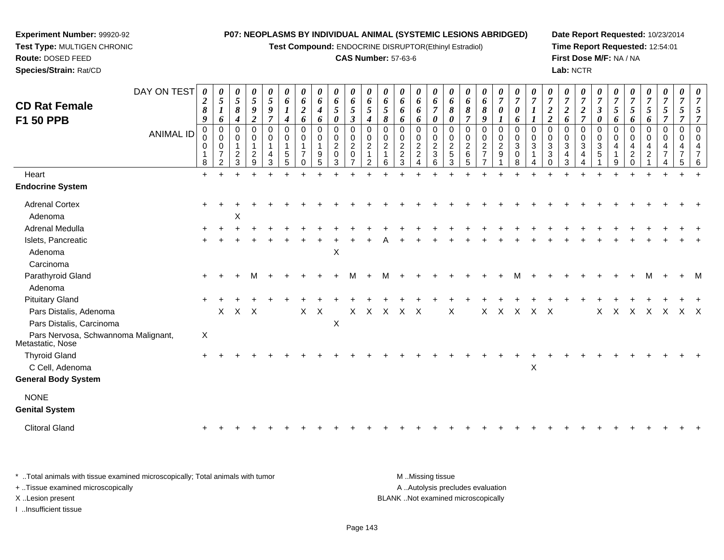**Test Compound:** ENDOCRINE DISRUPTOR(Ethinyl Estradiol)

#### **CAS Number:** 57-63-6

**Date Report Requested:** 10/23/2014**Time Report Requested:** 12:54:01**First Dose M/F:** NA / NA**Lab:** NCTR

| <b>CD Rat Female</b>                                    | DAY ON TEST      | $\boldsymbol{\theta}$<br>$\boldsymbol{2}$<br>8 | $\boldsymbol{\theta}$<br>$\sqrt{5}$<br>$\boldsymbol{l}$                  | 0<br>$\mathfrak{s}$<br>8                            | 0<br>$\mathfrak{s}$<br>$\boldsymbol{9}$                     | $\boldsymbol{\theta}$<br>$\mathfrak{s}$<br>9           | $\boldsymbol{\theta}$<br>6<br>$\boldsymbol{l}$          | $\boldsymbol{\theta}$<br>6<br>$\boldsymbol{2}$         | 0<br>6<br>4                     | 0<br>6<br>$5\overline{)}$               | $\boldsymbol{\theta}$<br>6<br>5                                                                         | $\boldsymbol{\theta}$<br>6<br>5              | $\boldsymbol{\theta}$<br>6<br>5                            | 0<br>6<br>6                                                    | 0<br>6<br>6                                            | $\boldsymbol{\theta}$<br>6<br>$\overline{7}$                                                                         | $\boldsymbol{\theta}$<br>6<br>8                              | $\boldsymbol{\theta}$<br>6<br>8                            | 0<br>6<br>8                                               | $\boldsymbol{\theta}$<br>$\overline{7}$<br>0            | $\boldsymbol{\theta}$<br>$\overline{7}$<br>$\boldsymbol{\theta}$             | 0<br>$\overline{7}$<br>$\boldsymbol{I}$     | $\overline{7}$<br>$\boldsymbol{2}$                                                | $\theta$<br>$\overline{7}$<br>$\overline{2}$ | 0<br>$\boldsymbol{7}$<br>$\overline{c}$                                           | $\boldsymbol{\theta}$<br>$\overline{7}$<br>$\boldsymbol{\beta}$             | $\boldsymbol{\theta}$<br>$\overline{7}$<br>5 | $\overline{7}$<br>5                                      | 0<br>$\overline{7}$<br>5           | 0<br>$\overline{7}$<br>$5\overline{)}$ | $\boldsymbol{\theta}$<br>$\overline{7}$<br>5 | $\boldsymbol{\theta}$<br>$\overline{7}$ |
|---------------------------------------------------------|------------------|------------------------------------------------|--------------------------------------------------------------------------|-----------------------------------------------------|-------------------------------------------------------------|--------------------------------------------------------|---------------------------------------------------------|--------------------------------------------------------|---------------------------------|-----------------------------------------|---------------------------------------------------------------------------------------------------------|----------------------------------------------|------------------------------------------------------------|----------------------------------------------------------------|--------------------------------------------------------|----------------------------------------------------------------------------------------------------------------------|--------------------------------------------------------------|------------------------------------------------------------|-----------------------------------------------------------|---------------------------------------------------------|------------------------------------------------------------------------------|---------------------------------------------|-----------------------------------------------------------------------------------|----------------------------------------------|-----------------------------------------------------------------------------------|-----------------------------------------------------------------------------|----------------------------------------------|----------------------------------------------------------|------------------------------------|----------------------------------------|----------------------------------------------|-----------------------------------------|
| F1 50 PPB                                               | <b>ANIMAL ID</b> | 9<br>$\mathbf 0$<br>0<br>0<br>8                | 6<br>$\mathbf 0$<br>0<br>$\mathbf 0$<br>$\overline{7}$<br>$\overline{2}$ | 4<br>$\Omega$<br>$\mathbf 0$<br>$\overline{2}$<br>3 | $\overline{2}$<br>0<br>0<br>$\overline{1}$<br>$\frac{2}{9}$ | $\overline{7}$<br>$\mathbf 0$<br>$\mathbf 0$<br>4<br>3 | 4<br>$\mathbf 0$<br>0<br>$\mathbf 1$<br>$\sqrt{5}$<br>5 | 6<br>$\mathbf 0$<br>0<br>$\overline{7}$<br>$\mathbf 0$ | 6<br>$\mathbf 0$<br>0<br>9<br>5 | 0<br>0<br>0<br>$\overline{2}$<br>0<br>3 | $\boldsymbol{\beta}$<br>$\mathbf 0$<br>$\mathbf 0$<br>$\boldsymbol{2}$<br>$\mathbf 0$<br>$\overline{7}$ | 4<br>$\mathbf 0$<br>0<br>$\overline{2}$<br>2 | 8<br>$\mathbf 0$<br>0<br>$\sqrt{2}$<br>$\overline{1}$<br>6 | 6<br>0<br>$\mathbf 0$<br>$\overline{c}$<br>$\overline{c}$<br>3 | 6<br>0<br>0<br>$\boldsymbol{2}$<br>$\overline{c}$<br>4 | $\boldsymbol{\theta}$<br>$\mathbf 0$<br>$\pmb{0}$<br>$\overline{\mathbf{c}}$<br>$\ensuremath{\mathsf{3}}$<br>$\,6\,$ | $\boldsymbol{\theta}$<br>$\Omega$<br>0<br>$\frac{2}{5}$<br>3 | $\overline{7}$<br>$\mathbf 0$<br>0<br>$\sqrt{2}$<br>6<br>5 | 9<br>$\mathbf 0$<br>0<br>$\overline{c}$<br>$\overline{7}$ | $\mathbf{I}$<br>$\mathbf 0$<br>0<br>$\overline{2}$<br>9 | 6<br>$\mathbf 0$<br>$\pmb{0}$<br>$\ensuremath{\mathsf{3}}$<br>$\pmb{0}$<br>8 | $\boldsymbol{l}$<br>$\Omega$<br>0<br>3<br>4 | $\overline{2}$<br>$\mathbf 0$<br>0<br>$\mathbf{3}$<br>$\mathbf{3}$<br>$\mathbf 0$ | 6<br>0<br>$\Omega$<br>$\mathbf{3}$<br>4<br>3 | $\overline{7}$<br>$\Omega$<br>0<br>$\sqrt{3}$<br>$\overline{4}$<br>$\overline{A}$ | $\boldsymbol{\theta}$<br>$\mathbf 0$<br>0<br>$\ensuremath{\mathsf{3}}$<br>5 | 6<br>$\Omega$<br>$\Omega$<br>4<br>9          | 6<br>$\Omega$<br>0<br>4<br>$\overline{c}$<br>$\mathbf 0$ | 6<br>0<br>0<br>4<br>$\overline{a}$ | $\overline{7}$<br>0<br>0<br>4<br>7     | $\mathbf 0$<br>$\mathbf 0$<br>5              |                                         |
| Heart                                                   |                  | $\ddot{}$                                      |                                                                          | $\ddot{}$                                           |                                                             | $\ddot{}$                                              |                                                         |                                                        |                                 |                                         |                                                                                                         |                                              |                                                            |                                                                |                                                        |                                                                                                                      |                                                              |                                                            |                                                           |                                                         |                                                                              |                                             |                                                                                   |                                              |                                                                                   |                                                                             |                                              |                                                          |                                    |                                        |                                              |                                         |
| <b>Endocrine System</b>                                 |                  |                                                |                                                                          |                                                     |                                                             |                                                        |                                                         |                                                        |                                 |                                         |                                                                                                         |                                              |                                                            |                                                                |                                                        |                                                                                                                      |                                                              |                                                            |                                                           |                                                         |                                                                              |                                             |                                                                                   |                                              |                                                                                   |                                                                             |                                              |                                                          |                                    |                                        |                                              |                                         |
| <b>Adrenal Cortex</b>                                   |                  |                                                |                                                                          |                                                     |                                                             |                                                        |                                                         |                                                        |                                 |                                         |                                                                                                         |                                              |                                                            |                                                                |                                                        |                                                                                                                      |                                                              |                                                            |                                                           |                                                         |                                                                              |                                             |                                                                                   |                                              |                                                                                   |                                                                             |                                              |                                                          |                                    |                                        |                                              |                                         |
| Adenoma                                                 |                  |                                                |                                                                          | X                                                   |                                                             |                                                        |                                                         |                                                        |                                 |                                         |                                                                                                         |                                              |                                                            |                                                                |                                                        |                                                                                                                      |                                                              |                                                            |                                                           |                                                         |                                                                              |                                             |                                                                                   |                                              |                                                                                   |                                                                             |                                              |                                                          |                                    |                                        |                                              |                                         |
| Adrenal Medulla                                         |                  |                                                |                                                                          |                                                     |                                                             |                                                        |                                                         |                                                        |                                 |                                         |                                                                                                         |                                              |                                                            |                                                                |                                                        |                                                                                                                      |                                                              |                                                            |                                                           |                                                         |                                                                              |                                             |                                                                                   |                                              |                                                                                   |                                                                             |                                              |                                                          |                                    |                                        |                                              |                                         |
| Islets, Pancreatic                                      |                  |                                                |                                                                          |                                                     |                                                             |                                                        |                                                         |                                                        |                                 |                                         |                                                                                                         |                                              |                                                            |                                                                |                                                        |                                                                                                                      |                                                              |                                                            |                                                           |                                                         |                                                                              |                                             |                                                                                   |                                              |                                                                                   |                                                                             |                                              |                                                          |                                    |                                        |                                              |                                         |
| Adenoma                                                 |                  |                                                |                                                                          |                                                     |                                                             |                                                        |                                                         |                                                        |                                 | $\boldsymbol{\mathsf{X}}$               |                                                                                                         |                                              |                                                            |                                                                |                                                        |                                                                                                                      |                                                              |                                                            |                                                           |                                                         |                                                                              |                                             |                                                                                   |                                              |                                                                                   |                                                                             |                                              |                                                          |                                    |                                        |                                              |                                         |
| Carcinoma                                               |                  |                                                |                                                                          |                                                     |                                                             |                                                        |                                                         |                                                        |                                 |                                         |                                                                                                         |                                              |                                                            |                                                                |                                                        |                                                                                                                      |                                                              |                                                            |                                                           |                                                         |                                                                              |                                             |                                                                                   |                                              |                                                                                   |                                                                             |                                              |                                                          |                                    |                                        |                                              |                                         |
| Parathyroid Gland                                       |                  |                                                |                                                                          |                                                     | м                                                           |                                                        |                                                         |                                                        |                                 |                                         | м                                                                                                       |                                              | м                                                          |                                                                |                                                        |                                                                                                                      |                                                              |                                                            |                                                           |                                                         |                                                                              |                                             |                                                                                   |                                              |                                                                                   |                                                                             |                                              |                                                          |                                    |                                        |                                              |                                         |
| Adenoma                                                 |                  |                                                |                                                                          |                                                     |                                                             |                                                        |                                                         |                                                        |                                 |                                         |                                                                                                         |                                              |                                                            |                                                                |                                                        |                                                                                                                      |                                                              |                                                            |                                                           |                                                         |                                                                              |                                             |                                                                                   |                                              |                                                                                   |                                                                             |                                              |                                                          |                                    |                                        |                                              |                                         |
| <b>Pituitary Gland</b>                                  |                  |                                                |                                                                          |                                                     |                                                             |                                                        |                                                         |                                                        |                                 |                                         |                                                                                                         |                                              |                                                            |                                                                |                                                        |                                                                                                                      |                                                              |                                                            |                                                           |                                                         |                                                                              |                                             |                                                                                   |                                              |                                                                                   |                                                                             |                                              |                                                          |                                    |                                        |                                              |                                         |
| Pars Distalis, Adenoma                                  |                  |                                                |                                                                          | $X$ $X$ $X$                                         |                                                             |                                                        |                                                         | X                                                      | $\mathsf{X}$                    |                                         | $X -$                                                                                                   |                                              |                                                            | X X X X                                                        |                                                        |                                                                                                                      | X                                                            |                                                            |                                                           | X X X                                                   |                                                                              | $X$ $X$                                     |                                                                                   |                                              |                                                                                   | X                                                                           | $\mathsf{X}$                                 | $X$ $X$                                                  |                                    | $\mathsf{X}$                           | $X$ $X$                                      |                                         |
| Pars Distalis, Carcinoma                                |                  |                                                |                                                                          |                                                     |                                                             |                                                        |                                                         |                                                        |                                 | X                                       |                                                                                                         |                                              |                                                            |                                                                |                                                        |                                                                                                                      |                                                              |                                                            |                                                           |                                                         |                                                                              |                                             |                                                                                   |                                              |                                                                                   |                                                                             |                                              |                                                          |                                    |                                        |                                              |                                         |
| Pars Nervosa, Schwannoma Malignant,<br>Metastatic, Nose |                  | X                                              |                                                                          |                                                     |                                                             |                                                        |                                                         |                                                        |                                 |                                         |                                                                                                         |                                              |                                                            |                                                                |                                                        |                                                                                                                      |                                                              |                                                            |                                                           |                                                         |                                                                              |                                             |                                                                                   |                                              |                                                                                   |                                                                             |                                              |                                                          |                                    |                                        |                                              |                                         |
| <b>Thyroid Gland</b>                                    |                  |                                                |                                                                          |                                                     |                                                             |                                                        |                                                         |                                                        |                                 |                                         |                                                                                                         |                                              |                                                            |                                                                |                                                        |                                                                                                                      |                                                              |                                                            |                                                           |                                                         |                                                                              |                                             |                                                                                   |                                              |                                                                                   |                                                                             |                                              |                                                          |                                    |                                        |                                              |                                         |
| C Cell, Adenoma                                         |                  |                                                |                                                                          |                                                     |                                                             |                                                        |                                                         |                                                        |                                 |                                         |                                                                                                         |                                              |                                                            |                                                                |                                                        |                                                                                                                      |                                                              |                                                            |                                                           |                                                         |                                                                              | $\pmb{\times}$                              |                                                                                   |                                              |                                                                                   |                                                                             |                                              |                                                          |                                    |                                        |                                              |                                         |
| <b>General Body System</b>                              |                  |                                                |                                                                          |                                                     |                                                             |                                                        |                                                         |                                                        |                                 |                                         |                                                                                                         |                                              |                                                            |                                                                |                                                        |                                                                                                                      |                                                              |                                                            |                                                           |                                                         |                                                                              |                                             |                                                                                   |                                              |                                                                                   |                                                                             |                                              |                                                          |                                    |                                        |                                              |                                         |
| <b>NONE</b>                                             |                  |                                                |                                                                          |                                                     |                                                             |                                                        |                                                         |                                                        |                                 |                                         |                                                                                                         |                                              |                                                            |                                                                |                                                        |                                                                                                                      |                                                              |                                                            |                                                           |                                                         |                                                                              |                                             |                                                                                   |                                              |                                                                                   |                                                                             |                                              |                                                          |                                    |                                        |                                              |                                         |
| <b>Genital System</b>                                   |                  |                                                |                                                                          |                                                     |                                                             |                                                        |                                                         |                                                        |                                 |                                         |                                                                                                         |                                              |                                                            |                                                                |                                                        |                                                                                                                      |                                                              |                                                            |                                                           |                                                         |                                                                              |                                             |                                                                                   |                                              |                                                                                   |                                                                             |                                              |                                                          |                                    |                                        |                                              |                                         |
| <b>Clitoral Gland</b>                                   |                  |                                                |                                                                          |                                                     |                                                             |                                                        |                                                         |                                                        |                                 |                                         |                                                                                                         |                                              |                                                            |                                                                |                                                        |                                                                                                                      |                                                              |                                                            |                                                           |                                                         |                                                                              |                                             |                                                                                   |                                              |                                                                                   |                                                                             |                                              |                                                          |                                    |                                        |                                              |                                         |
|                                                         |                  |                                                |                                                                          |                                                     |                                                             |                                                        |                                                         |                                                        |                                 |                                         |                                                                                                         |                                              |                                                            |                                                                |                                                        |                                                                                                                      |                                                              |                                                            |                                                           |                                                         |                                                                              |                                             |                                                                                   |                                              |                                                                                   |                                                                             |                                              |                                                          |                                    |                                        |                                              |                                         |

\* ..Total animals with tissue examined microscopically; Total animals with tumor **M** . Missing tissue M ..Missing tissue A ..Autolysis precludes evaluation + ..Tissue examined microscopically X ..Lesion present BLANK ..Not examined microscopicallyI ..Insufficient tissue

**Experiment Number:** 99920-92**Test Type:** MULTIGEN CHRONIC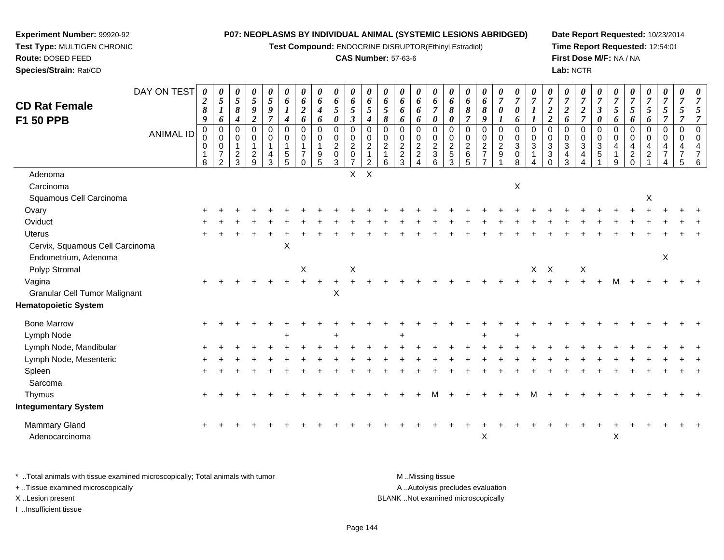**Test Compound:** ENDOCRINE DISRUPTOR(Ethinyl Estradiol)

## **CAS Number:** 57-63-6

**Date Report Requested:** 10/23/2014 **Time Report Requested:** 12:54:01**First Dose M/F:** NA / NA**Lab:** NCTR

| <b>CD Rat Female</b>                                    | DAY ON TEST      | $\boldsymbol{\theta}$<br>$\boldsymbol{2}$<br>$\pmb{8}$      | 0<br>$\mathfrak{s}$<br>$\boldsymbol{I}$                                   | 0<br>$\sqrt{5}$<br>8    | 0<br>5<br>$\boldsymbol{g}$                                  | 0<br>$\mathfrak{s}$<br>$\boldsymbol{9}$    | 0<br>6<br>$\boldsymbol{l}$                           | 0<br>6<br>$\boldsymbol{2}$           | 0<br>6<br>$\boldsymbol{4}$                                      | 0<br>6<br>5                                                           | $\boldsymbol{\theta}$<br>$\pmb{6}$<br>$\mathfrak{s}$                        | 0<br>6<br>$\overline{5}$                                                     | 0<br>6<br>5                              | 0<br>6<br>6             | 0<br>6<br>6                                                       | 0<br>6<br>$\overline{7}$     | $\boldsymbol{\theta}$<br>$\pmb{6}$<br>8                          | 0<br>6<br>$\pmb{8}$                          | 0<br>6<br>8                                                 | 0<br>$\boldsymbol{7}$<br>$\boldsymbol{\theta}$                 | 0<br>$\overline{7}$<br>0                                 | 0<br>$\overline{7}$                      | $\boldsymbol{\theta}$<br>$\overline{7}$<br>$\boldsymbol{2}$                                               | 0<br>$\overline{7}$<br>$\boldsymbol{2}$                                         | 0<br>$\boldsymbol{7}$<br>$\boldsymbol{2}$ | 0<br>$\boldsymbol{7}$<br>$\boldsymbol{\beta}$ | 0<br>$\boldsymbol{7}$<br>5                           | 0<br>$\overline{7}$<br>5 | 0<br>$\overline{7}$<br>$\mathfrak{s}$                          | 0<br>$\overline{7}$<br>$\mathfrak{s}$                  | 0<br>$\boldsymbol{7}$<br>5                   | 0<br>$\overline{7}$<br>5                                            |
|---------------------------------------------------------|------------------|-------------------------------------------------------------|---------------------------------------------------------------------------|-------------------------|-------------------------------------------------------------|--------------------------------------------|------------------------------------------------------|--------------------------------------|-----------------------------------------------------------------|-----------------------------------------------------------------------|-----------------------------------------------------------------------------|------------------------------------------------------------------------------|------------------------------------------|-------------------------|-------------------------------------------------------------------|------------------------------|------------------------------------------------------------------|----------------------------------------------|-------------------------------------------------------------|----------------------------------------------------------------|----------------------------------------------------------|------------------------------------------|-----------------------------------------------------------------------------------------------------------|---------------------------------------------------------------------------------|-------------------------------------------|-----------------------------------------------|------------------------------------------------------|--------------------------|----------------------------------------------------------------|--------------------------------------------------------|----------------------------------------------|---------------------------------------------------------------------|
| F1 50 PPB                                               |                  | $\boldsymbol{9}$                                            | 6                                                                         | 4                       | $\boldsymbol{2}$                                            | $\overline{7}$                             | 4                                                    | 6                                    | 6                                                               | 0                                                                     | $\mathfrak{z}$                                                              | $\boldsymbol{4}$                                                             | 8                                        | 6                       | 6                                                                 | 0                            | $\boldsymbol{\theta}$                                            | 7                                            | 9                                                           |                                                                | 6                                                        |                                          | $\overline{2}$                                                                                            | 6                                                                               | $\overline{7}$                            | $\boldsymbol{\theta}$                         | 6                                                    | 6                        | 6                                                              | $\overline{7}$                                         | 7                                            | $\overline{7}$                                                      |
|                                                         | <b>ANIMAL ID</b> | $\pmb{0}$<br>$\mathbf 0$<br>$\mathbf 0$<br>$\mathbf 1$<br>8 | $\pmb{0}$<br>$\pmb{0}$<br>$\mathsf 0$<br>$\overline{7}$<br>$\overline{2}$ | 0<br>0<br>$\frac{2}{3}$ | $\pmb{0}$<br>$\mathbf 0$<br>$\overline{1}$<br>$\frac{2}{9}$ | $\mathbf 0$<br>0<br>$\mathbf{1}$<br>4<br>3 | $\mathbf 0$<br>$\mathbf 0$<br>$\mathbf{1}$<br>5<br>5 | 0<br>0<br>$\overline{7}$<br>$\Omega$ | $\pmb{0}$<br>$\mathsf 0$<br>$\mathbf{1}$<br>9<br>$\overline{5}$ | $\mathbf 0$<br>$\pmb{0}$<br>$\sqrt{2}$<br>$\mathsf 0$<br>$\mathbf{3}$ | $\mathbf 0$<br>$\pmb{0}$<br>$\overline{2}$<br>$\mathbf 0$<br>$\overline{7}$ | $\mathbf 0$<br>$\pmb{0}$<br>$\overline{2}$<br>$\mathbf{1}$<br>$\overline{2}$ | $\mathbf 0$<br>0<br>$\sqrt{2}$<br>1<br>6 | 0<br>$\frac{0}{2}$<br>3 | $\pmb{0}$<br>$\pmb{0}$<br>$\boldsymbol{2}$<br>$\overline{2}$<br>4 | 0<br>0<br>$\frac{2}{3}$<br>6 | 0<br>$\pmb{0}$<br>$\overline{2}$<br>$\sqrt{5}$<br>$\overline{3}$ | 0<br>$\pmb{0}$<br>$\sqrt{2}$<br>$\,6\,$<br>5 | $\mathbf 0$<br>$\pmb{0}$<br>$\frac{2}{7}$<br>$\overline{7}$ | $\mathbf 0$<br>$\pmb{0}$<br>$\overline{2}$<br>$\boldsymbol{9}$ | $\mathbf 0$<br>$\pmb{0}$<br>$\sqrt{3}$<br>$\pmb{0}$<br>8 | $\mathbf 0$<br>$\mathbf 0$<br>$\sqrt{3}$ | $\mathsf{O}\xspace$<br>$\pmb{0}$<br>$\ensuremath{\mathsf{3}}$<br>$\ensuremath{\mathsf{3}}$<br>$\mathbf 0$ | 0<br>$\mathbf 0$<br>$\ensuremath{\mathsf{3}}$<br>$\overline{4}$<br>$\mathbf{3}$ | $\mathbf 0$<br>0<br>3<br>4<br>4           | 0<br>$\pmb{0}$<br>$\sqrt{3}$<br>$\sqrt{5}$    | $\mathbf 0$<br>$\pmb{0}$<br>$\overline{4}$<br>1<br>9 | 0<br>0<br>4<br>$^2_{0}$  | $\mathbf 0$<br>$\mathbf 0$<br>$\overline{a}$<br>$\overline{c}$ | $\mathbf 0$<br>$\mathbf 0$<br>4<br>$\overline{7}$<br>4 | 0<br>$\mathbf 0$<br>4<br>$\overline{7}$<br>5 | $\mathbf 0$<br>$\mathbf 0$<br>$\overline{4}$<br>$\overline{7}$<br>6 |
| Adenoma                                                 |                  |                                                             |                                                                           |                         |                                                             |                                            |                                                      |                                      |                                                                 |                                                                       | X                                                                           | $\boldsymbol{\mathsf{X}}$                                                    |                                          |                         |                                                                   |                              |                                                                  |                                              |                                                             |                                                                |                                                          |                                          |                                                                                                           |                                                                                 |                                           |                                               |                                                      |                          |                                                                |                                                        |                                              |                                                                     |
| Carcinoma                                               |                  |                                                             |                                                                           |                         |                                                             |                                            |                                                      |                                      |                                                                 |                                                                       |                                                                             |                                                                              |                                          |                         |                                                                   |                              |                                                                  |                                              |                                                             |                                                                | X                                                        |                                          |                                                                                                           |                                                                                 |                                           |                                               |                                                      |                          |                                                                |                                                        |                                              |                                                                     |
| Squamous Cell Carcinoma                                 |                  |                                                             |                                                                           |                         |                                                             |                                            |                                                      |                                      |                                                                 |                                                                       |                                                                             |                                                                              |                                          |                         |                                                                   |                              |                                                                  |                                              |                                                             |                                                                |                                                          |                                          |                                                                                                           |                                                                                 |                                           |                                               |                                                      |                          | X                                                              |                                                        |                                              |                                                                     |
| Ovary                                                   |                  |                                                             |                                                                           |                         |                                                             |                                            |                                                      |                                      |                                                                 |                                                                       |                                                                             |                                                                              |                                          |                         |                                                                   |                              |                                                                  |                                              |                                                             |                                                                |                                                          |                                          |                                                                                                           |                                                                                 |                                           |                                               |                                                      |                          |                                                                |                                                        |                                              |                                                                     |
| Oviduct                                                 |                  |                                                             |                                                                           |                         |                                                             |                                            |                                                      |                                      |                                                                 |                                                                       |                                                                             |                                                                              |                                          |                         |                                                                   |                              |                                                                  |                                              |                                                             |                                                                |                                                          |                                          |                                                                                                           |                                                                                 |                                           |                                               |                                                      |                          |                                                                |                                                        |                                              |                                                                     |
| <b>Uterus</b>                                           |                  |                                                             |                                                                           |                         |                                                             |                                            |                                                      |                                      |                                                                 |                                                                       |                                                                             |                                                                              |                                          |                         |                                                                   |                              |                                                                  |                                              |                                                             |                                                                |                                                          |                                          |                                                                                                           |                                                                                 |                                           |                                               |                                                      |                          |                                                                |                                                        |                                              |                                                                     |
| Cervix, Squamous Cell Carcinoma<br>Endometrium, Adenoma |                  |                                                             |                                                                           |                         |                                                             |                                            | X                                                    |                                      |                                                                 |                                                                       |                                                                             |                                                                              |                                          |                         |                                                                   |                              |                                                                  |                                              |                                                             |                                                                |                                                          |                                          |                                                                                                           |                                                                                 |                                           |                                               |                                                      |                          |                                                                | $\boldsymbol{\mathsf{X}}$                              |                                              |                                                                     |
| Polyp Stromal                                           |                  |                                                             |                                                                           |                         |                                                             |                                            |                                                      | X                                    |                                                                 |                                                                       | $\boldsymbol{\mathsf{X}}$                                                   |                                                                              |                                          |                         |                                                                   |                              |                                                                  |                                              |                                                             |                                                                |                                                          | $X$ $X$                                  |                                                                                                           |                                                                                 | X                                         |                                               |                                                      |                          |                                                                |                                                        |                                              |                                                                     |
| Vagina<br><b>Granular Cell Tumor Malignant</b>          |                  |                                                             |                                                                           |                         |                                                             |                                            |                                                      | $\ddot{}$                            | $\ddot{}$                                                       | $\ddot{}$<br>X                                                        |                                                                             |                                                                              |                                          |                         |                                                                   |                              |                                                                  |                                              |                                                             |                                                                |                                                          |                                          |                                                                                                           |                                                                                 |                                           |                                               |                                                      |                          |                                                                |                                                        |                                              |                                                                     |
| <b>Hematopoietic System</b>                             |                  |                                                             |                                                                           |                         |                                                             |                                            |                                                      |                                      |                                                                 |                                                                       |                                                                             |                                                                              |                                          |                         |                                                                   |                              |                                                                  |                                              |                                                             |                                                                |                                                          |                                          |                                                                                                           |                                                                                 |                                           |                                               |                                                      |                          |                                                                |                                                        |                                              |                                                                     |
| <b>Bone Marrow</b>                                      |                  |                                                             |                                                                           |                         |                                                             |                                            |                                                      |                                      |                                                                 |                                                                       |                                                                             |                                                                              |                                          |                         |                                                                   |                              |                                                                  |                                              |                                                             |                                                                |                                                          |                                          |                                                                                                           |                                                                                 |                                           |                                               |                                                      |                          |                                                                |                                                        |                                              |                                                                     |
| Lymph Node                                              |                  |                                                             |                                                                           |                         |                                                             |                                            |                                                      |                                      |                                                                 |                                                                       |                                                                             |                                                                              |                                          |                         |                                                                   |                              |                                                                  |                                              | $\div$                                                      |                                                                |                                                          |                                          |                                                                                                           |                                                                                 |                                           |                                               |                                                      |                          |                                                                |                                                        |                                              |                                                                     |
| Lymph Node, Mandibular                                  |                  |                                                             |                                                                           |                         |                                                             |                                            |                                                      |                                      |                                                                 |                                                                       |                                                                             |                                                                              |                                          |                         |                                                                   |                              |                                                                  |                                              |                                                             |                                                                |                                                          |                                          |                                                                                                           |                                                                                 |                                           |                                               |                                                      |                          |                                                                |                                                        |                                              |                                                                     |
| Lymph Node, Mesenteric                                  |                  |                                                             |                                                                           |                         |                                                             |                                            |                                                      |                                      |                                                                 |                                                                       |                                                                             |                                                                              |                                          |                         |                                                                   |                              |                                                                  |                                              |                                                             |                                                                |                                                          |                                          |                                                                                                           |                                                                                 |                                           |                                               |                                                      |                          |                                                                |                                                        |                                              |                                                                     |
| Spleen<br>Sarcoma                                       |                  |                                                             |                                                                           |                         |                                                             |                                            |                                                      |                                      |                                                                 |                                                                       |                                                                             |                                                                              |                                          |                         |                                                                   |                              |                                                                  |                                              |                                                             |                                                                |                                                          |                                          |                                                                                                           |                                                                                 |                                           |                                               |                                                      |                          |                                                                |                                                        |                                              |                                                                     |
| Thymus                                                  |                  |                                                             |                                                                           |                         |                                                             |                                            |                                                      |                                      |                                                                 |                                                                       |                                                                             |                                                                              |                                          |                         |                                                                   |                              |                                                                  |                                              |                                                             |                                                                |                                                          |                                          |                                                                                                           |                                                                                 |                                           |                                               |                                                      |                          |                                                                |                                                        |                                              |                                                                     |
| <b>Integumentary System</b>                             |                  |                                                             |                                                                           |                         |                                                             |                                            |                                                      |                                      |                                                                 |                                                                       |                                                                             |                                                                              |                                          |                         |                                                                   |                              |                                                                  |                                              |                                                             |                                                                |                                                          |                                          |                                                                                                           |                                                                                 |                                           |                                               |                                                      |                          |                                                                |                                                        |                                              |                                                                     |
| Mammary Gland<br>Adenocarcinoma                         |                  | $\pm$                                                       |                                                                           |                         |                                                             |                                            |                                                      |                                      |                                                                 |                                                                       |                                                                             |                                                                              |                                          |                         |                                                                   |                              |                                                                  |                                              | X                                                           |                                                                |                                                          |                                          |                                                                                                           |                                                                                 |                                           |                                               | X                                                    |                          |                                                                |                                                        |                                              |                                                                     |

| * Total animals with tissue examined microscopically; Total animals with tumor | M Missing tissue                   |
|--------------------------------------------------------------------------------|------------------------------------|
| + Tissue examined microscopically                                              | A Autolysis precludes evaluation   |
| X Lesion present                                                               | BLANK Not examined microscopically |
| Insufficient tissue                                                            |                                    |

**Experiment Number:** 99920-92**Test Type:** MULTIGEN CHRONIC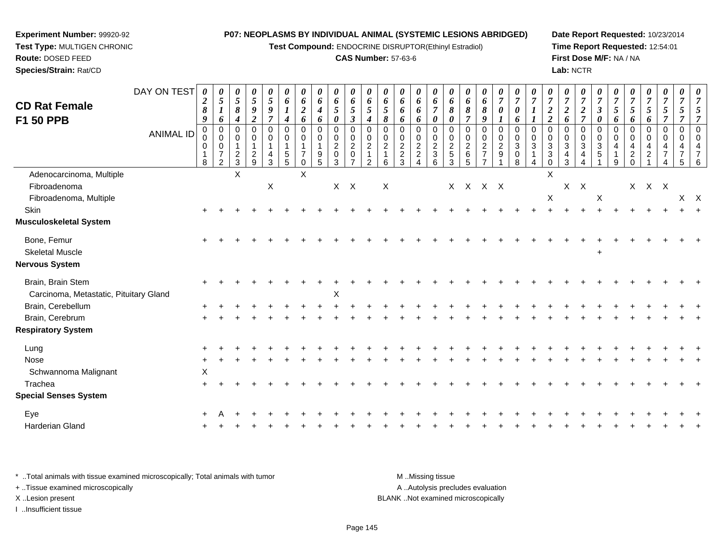**Test Compound:** ENDOCRINE DISRUPTOR(Ethinyl Estradiol)

#### **CAS Number:** 57-63-6

**Date Report Requested:** 10/23/2014**Time Report Requested:** 12:54:01**First Dose M/F:** NA / NA**Lab:** NCTR

| <b>CD Rat Female</b><br>F1 50 PPB                           | DAY ON TEST      | $\boldsymbol{\theta}$<br>2<br>$\pmb{8}$<br>9 | $\boldsymbol{\theta}$<br>$\mathfrak{s}$<br>$\boldsymbol{l}$<br>6         | 0<br>$\mathfrak{H}$<br>$\pmb{8}$<br>4               | 0<br>$5\overline{)}$<br>$\boldsymbol{g}$<br>$\overline{2}$        | $\boldsymbol{\theta}$<br>$\sqrt{5}$<br>9<br>$\overline{\tau}$ | $\boldsymbol{\theta}$<br>6<br>$\boldsymbol{l}$<br>4 | $\boldsymbol{\theta}$<br>6<br>$\boldsymbol{2}$<br>6   | $\boldsymbol{\theta}$<br>6<br>$\boldsymbol{4}$<br>6 | $\boldsymbol{\theta}$<br>6<br>$\sqrt{5}$<br>$\boldsymbol{\theta}$ | 0<br>6<br>5<br>$\boldsymbol{\beta}$                               | $\boldsymbol{\theta}$<br>6<br>$\sqrt{5}$<br>4            | $\boldsymbol{\theta}$<br>6<br>$\mathfrak{s}$<br>8             | $\boldsymbol{\theta}$<br>6<br>6<br>6                   | 0<br>6<br>6<br>6                                                               | $\boldsymbol{\theta}$<br>6<br>$\overline{7}$<br>$\boldsymbol{\theta}$ | $\boldsymbol{\theta}$<br>6<br>8<br>0 | $\boldsymbol{\theta}$<br>6<br>8                           | $\boldsymbol{\theta}$<br>6<br>$\pmb{8}$<br>9                    | 0<br>$\overline{7}$<br>$\boldsymbol{\theta}$ | $\boldsymbol{\theta}$<br>$\overline{7}$<br>0<br>6 | $\overline{7}$<br>1            | $\overline{7}$<br>$\boldsymbol{2}$<br>2                           | U<br>$\overline{7}$<br>$\overline{2}$<br>6 | $\boldsymbol{\theta}$<br>$\overline{7}$<br>$\overline{2}$<br>$\overline{7}$          | $\boldsymbol{\theta}$<br>$\overline{7}$<br>$\boldsymbol{\beta}$<br>0 | $\overline{7}$<br>$\mathfrak{s}$<br>6 | $\overline{7}$<br>$\mathfrak{s}$<br>6                      | $\boldsymbol{\theta}$<br>$\overline{7}$<br>$5\overline{)}$<br>6  | $\boldsymbol{\theta}$<br>$\overline{7}$<br>$5\overline{)}$<br>$\overline{7}$ | $\boldsymbol{\theta}$<br>$\overline{7}$<br>5 | $\overline{7}$ |
|-------------------------------------------------------------|------------------|----------------------------------------------|--------------------------------------------------------------------------|-----------------------------------------------------|-------------------------------------------------------------------|---------------------------------------------------------------|-----------------------------------------------------|-------------------------------------------------------|-----------------------------------------------------|-------------------------------------------------------------------|-------------------------------------------------------------------|----------------------------------------------------------|---------------------------------------------------------------|--------------------------------------------------------|--------------------------------------------------------------------------------|-----------------------------------------------------------------------|--------------------------------------|-----------------------------------------------------------|-----------------------------------------------------------------|----------------------------------------------|---------------------------------------------------|--------------------------------|-------------------------------------------------------------------|--------------------------------------------|--------------------------------------------------------------------------------------|----------------------------------------------------------------------|---------------------------------------|------------------------------------------------------------|------------------------------------------------------------------|------------------------------------------------------------------------------|----------------------------------------------|----------------|
|                                                             | <b>ANIMAL ID</b> | $\mathbf 0$<br>0<br>0<br>8                   | $\Omega$<br>$\mathbf 0$<br>$\pmb{0}$<br>$\overline{7}$<br>$\overline{2}$ | $\Omega$<br>$\mathbf 0$<br>$\sqrt{2}$<br>$\sqrt{3}$ | $\mathbf 0$<br>$\pmb{0}$<br>$\mathbf{1}$<br>$\boldsymbol{2}$<br>9 | $\mathbf 0$<br>$\mathbf 0$<br>$\mathbf{1}$<br>4<br>3          | $\Omega$<br>$\Omega$<br>$\frac{5}{5}$               | $\Omega$<br>$\Omega$<br>$\overline{7}$<br>$\mathbf 0$ | $\mathbf 0$<br>$\mathbf 0$<br>9<br>5                | $\mathbf 0$<br>$\pmb{0}$<br>$\overline{c}$<br>$_{3}^{\rm 0}$      | $\mathbf 0$<br>0<br>$\overline{c}$<br>$\pmb{0}$<br>$\overline{7}$ | $\Omega$<br>$\Omega$<br>$\overline{c}$<br>$\overline{2}$ | $\Omega$<br>$\Omega$<br>$\boldsymbol{2}$<br>$\mathbf{1}$<br>6 | $\Omega$<br>0<br>$\overline{c}$<br>$\overline{c}$<br>3 | $\Omega$<br>0<br>$\boldsymbol{2}$<br>$\overline{c}$<br>$\overline{\mathbf{4}}$ | $\Omega$<br>0<br>$\overline{c}$<br>$\mathbf 3$<br>6                   | $\Omega$<br>0<br>$\frac{2}{5}$<br>3  | $\Omega$<br>$\mathbf 0$<br>$\overline{c}$<br>$\,6\,$<br>5 | $\Omega$<br>0<br>$\sqrt{2}$<br>$\overline{7}$<br>$\overline{7}$ | $\Omega$<br>0<br>$\overline{c}$<br>9<br>1    | $\mathbf 0$<br>0<br>3<br>0<br>8                   | $\Omega$<br>$\Omega$<br>3<br>Δ | $\Omega$<br>$\mathbf 0$<br>$\mathbf{3}$<br>$\sqrt{3}$<br>$\Omega$ | $\Omega$<br>0<br>$\sqrt{3}$<br>4<br>3      | $\Omega$<br>$\mathbf 0$<br>$\ensuremath{\mathsf{3}}$<br>4<br>$\overline{\mathbf{4}}$ | $\Omega$<br>0<br>3<br>5                                              | $\Omega$<br>$\Omega$<br>9             | $\Omega$<br>$\mathbf 0$<br>4<br>$\overline{c}$<br>$\Omega$ | $\Omega$<br>$\mathbf 0$<br>4<br>$\overline{c}$<br>$\overline{A}$ | $\Omega$<br>$\mathbf 0$<br>4<br>$\Delta$                                     | $\Omega$<br>$\Omega$<br>5                    |                |
| Adenocarcinoma, Multiple                                    |                  |                                              |                                                                          | X                                                   |                                                                   |                                                               |                                                     | X                                                     |                                                     |                                                                   |                                                                   |                                                          |                                                               |                                                        |                                                                                |                                                                       |                                      |                                                           |                                                                 |                                              |                                                   |                                | X                                                                 |                                            |                                                                                      |                                                                      |                                       |                                                            |                                                                  |                                                                              |                                              |                |
| Fibroadenoma                                                |                  |                                              |                                                                          |                                                     |                                                                   | X                                                             |                                                     |                                                       |                                                     |                                                                   | $X$ $X$                                                           |                                                          | X                                                             |                                                        |                                                                                |                                                                       |                                      | X X X X                                                   |                                                                 |                                              |                                                   |                                |                                                                   |                                            | $X$ $X$                                                                              |                                                                      |                                       |                                                            | X X X                                                            |                                                                              |                                              |                |
| Fibroadenoma, Multiple                                      |                  |                                              |                                                                          |                                                     |                                                                   |                                                               |                                                     |                                                       |                                                     |                                                                   |                                                                   |                                                          |                                                               |                                                        |                                                                                |                                                                       |                                      |                                                           |                                                                 |                                              |                                                   |                                | X                                                                 |                                            |                                                                                      | $\mathsf X$                                                          |                                       |                                                            |                                                                  |                                                                              | $X$ $X$                                      |                |
| Skin                                                        |                  |                                              |                                                                          |                                                     |                                                                   |                                                               |                                                     |                                                       |                                                     |                                                                   |                                                                   |                                                          |                                                               |                                                        |                                                                                |                                                                       |                                      |                                                           |                                                                 |                                              |                                                   |                                |                                                                   |                                            |                                                                                      |                                                                      |                                       |                                                            |                                                                  |                                                                              |                                              |                |
| Musculoskeletal System                                      |                  |                                              |                                                                          |                                                     |                                                                   |                                                               |                                                     |                                                       |                                                     |                                                                   |                                                                   |                                                          |                                                               |                                                        |                                                                                |                                                                       |                                      |                                                           |                                                                 |                                              |                                                   |                                |                                                                   |                                            |                                                                                      |                                                                      |                                       |                                                            |                                                                  |                                                                              |                                              |                |
| Bone, Femur<br><b>Skeletal Muscle</b>                       |                  |                                              |                                                                          |                                                     |                                                                   |                                                               |                                                     |                                                       |                                                     |                                                                   |                                                                   |                                                          |                                                               |                                                        |                                                                                |                                                                       |                                      |                                                           |                                                                 |                                              |                                                   |                                |                                                                   |                                            |                                                                                      | $\ddot{}$                                                            |                                       |                                                            |                                                                  |                                                                              |                                              |                |
| Nervous System                                              |                  |                                              |                                                                          |                                                     |                                                                   |                                                               |                                                     |                                                       |                                                     |                                                                   |                                                                   |                                                          |                                                               |                                                        |                                                                                |                                                                       |                                      |                                                           |                                                                 |                                              |                                                   |                                |                                                                   |                                            |                                                                                      |                                                                      |                                       |                                                            |                                                                  |                                                                              |                                              |                |
| Brain, Brain Stem<br>Carcinoma, Metastatic, Pituitary Gland |                  |                                              |                                                                          |                                                     |                                                                   |                                                               |                                                     |                                                       |                                                     | X                                                                 |                                                                   |                                                          |                                                               |                                                        |                                                                                |                                                                       |                                      |                                                           |                                                                 |                                              |                                                   |                                |                                                                   |                                            |                                                                                      |                                                                      |                                       |                                                            |                                                                  |                                                                              |                                              |                |
| Brain, Cerebellum                                           |                  |                                              |                                                                          |                                                     |                                                                   |                                                               |                                                     |                                                       |                                                     |                                                                   |                                                                   |                                                          |                                                               |                                                        |                                                                                |                                                                       |                                      |                                                           |                                                                 |                                              |                                                   |                                |                                                                   |                                            |                                                                                      |                                                                      |                                       |                                                            |                                                                  |                                                                              |                                              |                |
| Brain, Cerebrum                                             |                  |                                              |                                                                          |                                                     |                                                                   |                                                               |                                                     |                                                       |                                                     |                                                                   |                                                                   |                                                          |                                                               |                                                        |                                                                                |                                                                       |                                      |                                                           |                                                                 |                                              |                                                   |                                |                                                                   |                                            |                                                                                      |                                                                      |                                       |                                                            |                                                                  |                                                                              |                                              |                |
| <b>Respiratory System</b>                                   |                  |                                              |                                                                          |                                                     |                                                                   |                                                               |                                                     |                                                       |                                                     |                                                                   |                                                                   |                                                          |                                                               |                                                        |                                                                                |                                                                       |                                      |                                                           |                                                                 |                                              |                                                   |                                |                                                                   |                                            |                                                                                      |                                                                      |                                       |                                                            |                                                                  |                                                                              |                                              |                |
| Lung                                                        |                  |                                              |                                                                          |                                                     |                                                                   |                                                               |                                                     |                                                       |                                                     |                                                                   |                                                                   |                                                          |                                                               |                                                        |                                                                                |                                                                       |                                      |                                                           |                                                                 |                                              |                                                   |                                |                                                                   |                                            |                                                                                      |                                                                      |                                       |                                                            |                                                                  |                                                                              |                                              |                |
| <b>Nose</b>                                                 |                  |                                              |                                                                          |                                                     |                                                                   |                                                               |                                                     |                                                       |                                                     |                                                                   |                                                                   |                                                          |                                                               |                                                        |                                                                                |                                                                       |                                      |                                                           |                                                                 |                                              |                                                   |                                |                                                                   |                                            |                                                                                      |                                                                      |                                       |                                                            |                                                                  |                                                                              |                                              |                |
| Schwannoma Malignant                                        |                  | X                                            |                                                                          |                                                     |                                                                   |                                                               |                                                     |                                                       |                                                     |                                                                   |                                                                   |                                                          |                                                               |                                                        |                                                                                |                                                                       |                                      |                                                           |                                                                 |                                              |                                                   |                                |                                                                   |                                            |                                                                                      |                                                                      |                                       |                                                            |                                                                  |                                                                              |                                              |                |
| Trachea                                                     |                  |                                              |                                                                          |                                                     |                                                                   |                                                               |                                                     |                                                       |                                                     |                                                                   |                                                                   |                                                          |                                                               |                                                        |                                                                                |                                                                       |                                      |                                                           |                                                                 |                                              |                                                   |                                |                                                                   |                                            |                                                                                      |                                                                      |                                       |                                                            |                                                                  |                                                                              |                                              |                |
| <b>Special Senses System</b>                                |                  |                                              |                                                                          |                                                     |                                                                   |                                                               |                                                     |                                                       |                                                     |                                                                   |                                                                   |                                                          |                                                               |                                                        |                                                                                |                                                                       |                                      |                                                           |                                                                 |                                              |                                                   |                                |                                                                   |                                            |                                                                                      |                                                                      |                                       |                                                            |                                                                  |                                                                              |                                              |                |
| Eye                                                         |                  |                                              |                                                                          |                                                     |                                                                   |                                                               |                                                     |                                                       |                                                     |                                                                   |                                                                   |                                                          |                                                               |                                                        |                                                                                |                                                                       |                                      |                                                           |                                                                 |                                              |                                                   |                                |                                                                   |                                            |                                                                                      |                                                                      |                                       |                                                            |                                                                  |                                                                              |                                              |                |
| Harderian Gland                                             |                  |                                              |                                                                          |                                                     |                                                                   |                                                               |                                                     |                                                       |                                                     |                                                                   |                                                                   |                                                          |                                                               |                                                        |                                                                                |                                                                       |                                      |                                                           |                                                                 |                                              |                                                   |                                |                                                                   |                                            |                                                                                      |                                                                      |                                       |                                                            |                                                                  |                                                                              |                                              |                |
|                                                             |                  |                                              |                                                                          |                                                     |                                                                   |                                                               |                                                     |                                                       |                                                     |                                                                   |                                                                   |                                                          |                                                               |                                                        |                                                                                |                                                                       |                                      |                                                           |                                                                 |                                              |                                                   |                                |                                                                   |                                            |                                                                                      |                                                                      |                                       |                                                            |                                                                  |                                                                              |                                              |                |

\* ..Total animals with tissue examined microscopically; Total animals with tumor **M** . Missing tissue M ..Missing tissue A ..Autolysis precludes evaluation + ..Tissue examined microscopically X ..Lesion present BLANK ..Not examined microscopicallyI ..Insufficient tissue

**Experiment Number:** 99920-92**Test Type:** MULTIGEN CHRONIC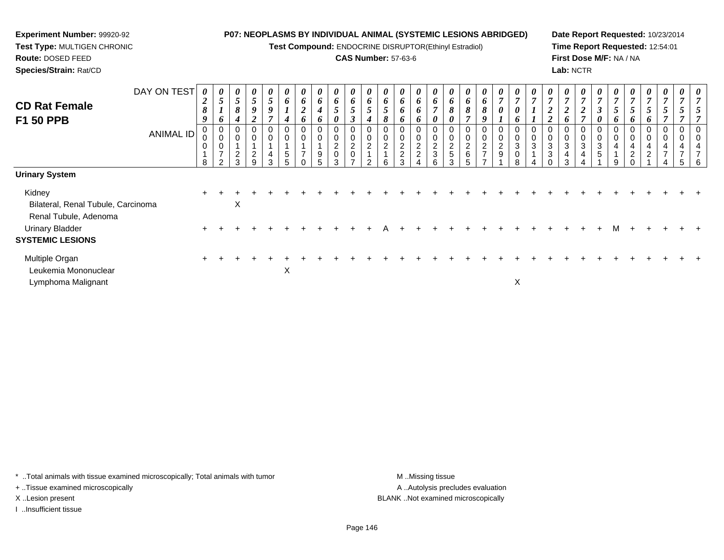**Test Compound:** ENDOCRINE DISRUPTOR(Ethinyl Estradiol)

#### **CAS Number:** 57-63-6

**Date Report Requested:** 10/23/2014**Time Report Requested:** 12:54:01**First Dose M/F:** NA / NA**Lab:** NCTR

| DAY ON TEST<br><b>CD Rat Female</b><br>F1 50 PPB<br><b>ANIMAL ID</b>       | 0<br>$\boldsymbol{2}$<br>8<br>9<br>0<br>0<br>8 | $\boldsymbol{\mathsf{U}}$<br>$\overline{5}$<br>$\mathbf{I}$<br>$\bm{o}$<br>0<br>$\pmb{0}$<br>$\pmb{0}$<br>$\overline{7}$<br>$\mathcal{P}$ | $\boldsymbol{\theta}$<br>5 <sup>5</sup><br>8<br>4<br>2<br>3 | 0<br>5<br>9<br>◢<br>0<br>0<br>$\overline{c}$<br>9 | $\boldsymbol{\theta}$<br>$5\phantom{.0}$<br>9<br>$\overline{ }$<br>0<br>0<br>4<br>3 | $\boldsymbol{\theta}$<br>6<br>$\mathbf{I}$<br>$\boldsymbol{4}$<br>0<br>$\,$ 5 $\,$<br>5 | $\boldsymbol{\mathsf{U}}$<br>6<br>$\boldsymbol{2}$<br>$\bm{o}$<br>$\overline{ }$ | $\boldsymbol{\theta}$<br>6<br>4<br>6<br>9<br>5. | $\boldsymbol{\theta}$<br>6<br>$5\overline{)}$<br>0<br>0<br>$\pmb{0}$<br>$\overline{c}$<br>$\mathbf 0$<br>3 | $\boldsymbol{\theta}$<br>6<br>$\sqrt{5}$<br>$\boldsymbol{\beta}$<br>0<br>$\pmb{0}$<br>$\overline{c}$<br>$\pmb{0}$<br>$\overline{ }$ | $\boldsymbol{\theta}$<br>6<br>$5\overline{)}$<br>$\boldsymbol{4}$<br>0<br>0<br>$\overline{2}$<br>$\mathcal{P}$ | $\boldsymbol{\mathsf{U}}$<br>6<br>5<br>8<br>$\boldsymbol{0}$<br>$\overline{2}$ | $\theta$<br>6<br>6<br>0<br>ົ<br>$\overline{c}$<br>વ | $\boldsymbol{\theta}$<br>6<br>6<br>6<br>0<br>$\mathbf 0$<br>$\frac{2}{2}$ | $\boldsymbol{\theta}$<br>6<br>$\overline{ }$<br>0<br>0<br>0<br>$\frac{2}{3}$<br>6 | $\boldsymbol{\theta}$<br>6<br>$\pmb{8}$<br>0<br>0<br>$\frac{2}{5}$<br>3 | $\boldsymbol{\mathsf{U}}$<br>6<br>8<br>$\overline{\mathbf{c}}$<br>$\,6\,$ | $\boldsymbol{\theta}$<br>6<br>8<br>9<br>$\overline{c}$<br>$\overline{ }$ | $\boldsymbol{\theta}$<br>$\overline{7}$<br>0<br>$\overline{ }$<br>0<br>$\mathbf 0$<br>$\frac{2}{9}$ | $\frac{\theta}{7}$<br>$\boldsymbol{\theta}$<br>6<br>0<br>$\pmb{0}$<br>$\sqrt{3}$<br>$\pmb{0}$<br>8 | $\boldsymbol{\theta}$<br>$\overline{7}$<br>$\overline{ }$<br>$\mathbf{I}$<br>0<br>0<br>3 | $\boldsymbol{\mathsf{U}}$<br>$\overline{7}$<br>$\boldsymbol{2}$<br>$\overline{2}$<br>3<br>3 | $\boldsymbol{\theta}$<br>$\overline{ }$<br>$\boldsymbol{2}$<br>o<br>3<br>4<br>3 | $\frac{\theta}{7}$<br>$\boldsymbol{2}$<br>$\overline{ }$<br>0<br>$\mathbf 0$<br>3<br>4 | $\boldsymbol{\theta}$<br>$\overline{7}$<br>$\boldsymbol{\beta}$<br>0<br>0<br>$\mathbf 0$<br>$\sqrt{3}$<br>$\,$ 5 $\,$ | U<br>7<br>$\overline{5}$<br>$\bm{o}$<br>0<br>0<br>4<br>9 | U<br>7<br>5<br>6<br>4<br>$\overline{c}$ | U<br>$\overline{ }$<br>$\bm{o}$<br>4<br>ົ<br>∠ | $\boldsymbol{\theta}$<br>$\overline{7}$<br>4 | $\boldsymbol{\theta}$ |  |
|----------------------------------------------------------------------------|------------------------------------------------|-------------------------------------------------------------------------------------------------------------------------------------------|-------------------------------------------------------------|---------------------------------------------------|-------------------------------------------------------------------------------------|-----------------------------------------------------------------------------------------|----------------------------------------------------------------------------------|-------------------------------------------------|------------------------------------------------------------------------------------------------------------|-------------------------------------------------------------------------------------------------------------------------------------|----------------------------------------------------------------------------------------------------------------|--------------------------------------------------------------------------------|-----------------------------------------------------|---------------------------------------------------------------------------|-----------------------------------------------------------------------------------|-------------------------------------------------------------------------|---------------------------------------------------------------------------|--------------------------------------------------------------------------|-----------------------------------------------------------------------------------------------------|----------------------------------------------------------------------------------------------------|------------------------------------------------------------------------------------------|---------------------------------------------------------------------------------------------|---------------------------------------------------------------------------------|----------------------------------------------------------------------------------------|-----------------------------------------------------------------------------------------------------------------------|----------------------------------------------------------|-----------------------------------------|------------------------------------------------|----------------------------------------------|-----------------------|--|
| <b>Urinary System</b>                                                      |                                                |                                                                                                                                           |                                                             |                                                   |                                                                                     |                                                                                         |                                                                                  |                                                 |                                                                                                            |                                                                                                                                     |                                                                                                                |                                                                                |                                                     |                                                                           |                                                                                   |                                                                         |                                                                           |                                                                          |                                                                                                     |                                                                                                    |                                                                                          |                                                                                             |                                                                                 |                                                                                        |                                                                                                                       |                                                          |                                         |                                                |                                              |                       |  |
| Kidney<br>Bilateral, Renal Tubule, Carcinoma                               |                                                |                                                                                                                                           | X                                                           |                                                   |                                                                                     |                                                                                         |                                                                                  |                                                 |                                                                                                            |                                                                                                                                     |                                                                                                                |                                                                                |                                                     |                                                                           |                                                                                   |                                                                         |                                                                           |                                                                          |                                                                                                     |                                                                                                    |                                                                                          |                                                                                             |                                                                                 |                                                                                        |                                                                                                                       |                                                          |                                         |                                                |                                              |                       |  |
| Renal Tubule, Adenoma<br><b>Urinary Bladder</b><br><b>SYSTEMIC LESIONS</b> |                                                |                                                                                                                                           |                                                             |                                                   |                                                                                     |                                                                                         |                                                                                  |                                                 |                                                                                                            |                                                                                                                                     |                                                                                                                |                                                                                |                                                     |                                                                           |                                                                                   |                                                                         |                                                                           |                                                                          |                                                                                                     |                                                                                                    |                                                                                          |                                                                                             |                                                                                 |                                                                                        |                                                                                                                       |                                                          |                                         |                                                |                                              |                       |  |
| Multiple Organ<br>Leukemia Mononuclear<br>Lymphoma Malignant               |                                                |                                                                                                                                           |                                                             |                                                   |                                                                                     | X                                                                                       |                                                                                  |                                                 |                                                                                                            |                                                                                                                                     |                                                                                                                |                                                                                |                                                     |                                                                           |                                                                                   |                                                                         |                                                                           |                                                                          |                                                                                                     | X                                                                                                  |                                                                                          |                                                                                             |                                                                                 |                                                                                        |                                                                                                                       |                                                          |                                         |                                                |                                              |                       |  |

\* ..Total animals with tissue examined microscopically; Total animals with tumor **M** . Missing tissue M ..Missing tissue

+ ..Tissue examined microscopically

**Experiment Number:** 99920-92**Test Type:** MULTIGEN CHRONIC

**Route:** DOSED FEED**Species/Strain:** Rat/CD

I ..Insufficient tissue

A ..Autolysis precludes evaluation X ..Lesion present BLANK ..Not examined microscopically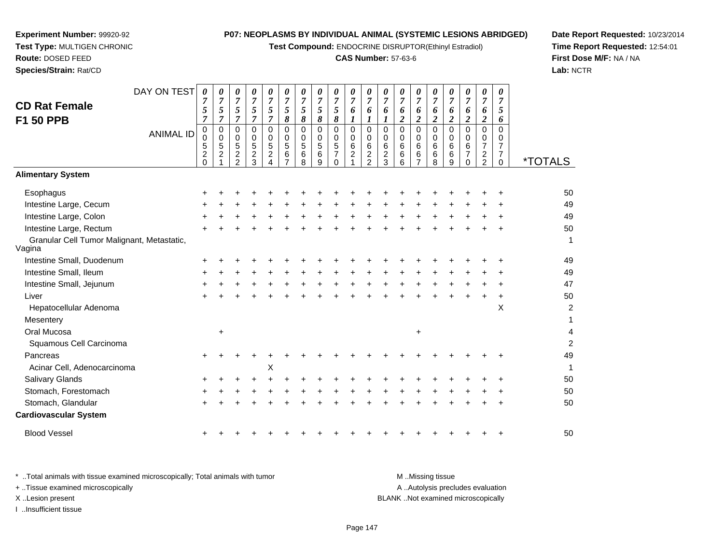**Test Compound:** ENDOCRINE DISRUPTOR(Ethinyl Estradiol)

#### **CAS Number:** 57-63-6

**Date Report Requested:** 10/23/2014**Time Report Requested:** 12:54:01**First Dose M/F:** NA / NA**Lab:** NCTR

|                                                      | DAY ON TEST      | 0                     | 0                              | 0                              | 0                     | 0                                  | 0        | 0                       | 0              | 0                   | 0                   | 0               | 0                     | 0                     | 0                   | 0                            | 0                     | 0                     | 0                                  | 0                                |                       |
|------------------------------------------------------|------------------|-----------------------|--------------------------------|--------------------------------|-----------------------|------------------------------------|----------|-------------------------|----------------|---------------------|---------------------|-----------------|-----------------------|-----------------------|---------------------|------------------------------|-----------------------|-----------------------|------------------------------------|----------------------------------|-----------------------|
| <b>CD Rat Female</b>                                 |                  |                       | $\overline{7}$                 | 7                              | 7                     |                                    | 7        | $\overline{7}$          | $\overline{7}$ | $\overline{7}$      | $\overline{7}$      | 7               | $\overline{7}$        | 7                     | $\overline{7}$      | $\overline{7}$               | 7                     | $\overline{7}$        | $\overline{7}$                     | $\overline{7}$                   |                       |
|                                                      |                  | 5<br>$\overline{7}$   | 5<br>$\overline{7}$            | 5<br>7                         | 5<br>$\overline{7}$   | 5<br>$\overline{7}$                | 5<br>8   | $\sqrt{5}$<br>$\pmb{8}$ | 5<br>8         | 5<br>8              | 6<br>1              | 6<br>1          | 6                     | 6<br>$\boldsymbol{2}$ | 6<br>$\overline{c}$ | 6<br>$\overline{\mathbf{c}}$ | 6<br>$\boldsymbol{2}$ | 6<br>$\boldsymbol{2}$ | 6<br>$\boldsymbol{2}$              | 5<br>6                           |                       |
| <b>F1 50 PPB</b>                                     |                  | 0                     | $\mathbf 0$                    | $\Omega$                       | $\Omega$              | $\Omega$                           | $\Omega$ | $\pmb{0}$               | $\mathbf 0$    | 0                   | 0                   | $\Omega$        | $\Omega$              | $\Omega$              | 0                   | 0                            | $\mathbf 0$           | $\Omega$              | $\mathbf 0$                        | $\Omega$                         |                       |
|                                                      | <b>ANIMAL ID</b> | 0                     | 0                              | 0                              | 0                     | $\Omega$                           | $\Omega$ | 0                       | 0              | 0                   | 0                   | 0               | $\Omega$              | 0                     | $\Omega$            | $\Omega$                     | $\Omega$              | 0                     | 0                                  | 0                                |                       |
|                                                      |                  | 5<br>$\boldsymbol{2}$ | $\sqrt{5}$<br>$\boldsymbol{2}$ | $\sqrt{5}$<br>$\boldsymbol{2}$ | 5<br>$\boldsymbol{2}$ | $\overline{5}$<br>$\boldsymbol{2}$ | 5<br>6   | $\sqrt{5}$<br>$\,6\,$   | 5<br>6         | 5<br>$\overline{7}$ | 6<br>$\overline{c}$ | 6<br>$\sqrt{2}$ | 6<br>$\boldsymbol{2}$ | 6<br>6                | 6<br>6              | 6<br>6                       | 6<br>$\,6\,$          | 6<br>$\overline{7}$   | $\overline{7}$<br>$\boldsymbol{2}$ | $\overline{7}$<br>$\overline{7}$ |                       |
|                                                      |                  | $\Omega$              |                                | $\overline{2}$                 | 3                     |                                    |          | 8                       | 9              | $\Omega$            |                     | 2               | 3                     | 6                     |                     | 8                            | 9                     | $\Omega$              | $\overline{2}$                     | 0                                | <i><b>*TOTALS</b></i> |
| <b>Alimentary System</b>                             |                  |                       |                                |                                |                       |                                    |          |                         |                |                     |                     |                 |                       |                       |                     |                              |                       |                       |                                    |                                  |                       |
| Esophagus                                            |                  |                       |                                |                                |                       |                                    |          |                         |                |                     |                     |                 |                       |                       |                     |                              |                       |                       |                                    |                                  | 50                    |
| Intestine Large, Cecum                               |                  |                       |                                |                                |                       |                                    |          |                         |                |                     |                     |                 |                       |                       |                     |                              |                       |                       |                                    |                                  | 49                    |
| Intestine Large, Colon                               |                  |                       |                                |                                |                       |                                    |          |                         |                |                     |                     |                 |                       |                       |                     |                              |                       |                       |                                    |                                  | 49                    |
| Intestine Large, Rectum                              |                  |                       |                                |                                |                       |                                    |          |                         |                |                     |                     |                 |                       |                       |                     |                              |                       |                       |                                    |                                  | 50                    |
| Granular Cell Tumor Malignant, Metastatic,<br>Vagina |                  |                       |                                |                                |                       |                                    |          |                         |                |                     |                     |                 |                       |                       |                     |                              |                       |                       |                                    |                                  | 1                     |
| Intestine Small, Duodenum                            |                  |                       |                                |                                |                       |                                    |          |                         |                |                     |                     |                 |                       |                       |                     |                              |                       |                       |                                    |                                  | 49                    |
| Intestine Small, Ileum                               |                  |                       |                                |                                |                       |                                    |          |                         |                |                     |                     |                 |                       |                       |                     |                              |                       |                       |                                    |                                  | 49                    |
| Intestine Small, Jejunum                             |                  | +                     |                                |                                |                       |                                    |          |                         |                |                     |                     |                 |                       |                       |                     |                              |                       |                       |                                    |                                  | 47                    |
| Liver                                                |                  |                       |                                |                                |                       |                                    |          |                         |                |                     |                     |                 |                       |                       |                     |                              |                       |                       |                                    |                                  | 50                    |
| Hepatocellular Adenoma                               |                  |                       |                                |                                |                       |                                    |          |                         |                |                     |                     |                 |                       |                       |                     |                              |                       |                       |                                    | X                                | $\overline{c}$        |
| Mesentery                                            |                  |                       |                                |                                |                       |                                    |          |                         |                |                     |                     |                 |                       |                       |                     |                              |                       |                       |                                    |                                  | 1                     |
| Oral Mucosa                                          |                  |                       | $\ddot{}$                      |                                |                       |                                    |          |                         |                |                     |                     |                 |                       |                       | $\ddot{}$           |                              |                       |                       |                                    |                                  | 4                     |
| Squamous Cell Carcinoma                              |                  |                       |                                |                                |                       |                                    |          |                         |                |                     |                     |                 |                       |                       |                     |                              |                       |                       |                                    |                                  | $\overline{2}$        |
| Pancreas                                             |                  | +                     |                                |                                |                       |                                    |          |                         |                |                     |                     |                 |                       |                       |                     |                              |                       |                       |                                    |                                  | 49                    |
| Acinar Cell, Adenocarcinoma                          |                  |                       |                                |                                |                       | Х                                  |          |                         |                |                     |                     |                 |                       |                       |                     |                              |                       |                       |                                    |                                  | 1                     |
| Salivary Glands                                      |                  |                       |                                |                                |                       |                                    |          |                         |                |                     |                     |                 |                       |                       |                     |                              |                       |                       |                                    |                                  | 50                    |
| Stomach, Forestomach                                 |                  |                       |                                |                                |                       |                                    |          |                         |                |                     |                     |                 |                       |                       |                     |                              |                       |                       |                                    |                                  | 50                    |
| Stomach, Glandular                                   |                  |                       |                                |                                |                       |                                    |          |                         |                |                     |                     |                 |                       |                       |                     |                              |                       |                       |                                    |                                  | 50                    |
| <b>Cardiovascular System</b>                         |                  |                       |                                |                                |                       |                                    |          |                         |                |                     |                     |                 |                       |                       |                     |                              |                       |                       |                                    |                                  |                       |
| <b>Blood Vessel</b>                                  |                  |                       |                                |                                |                       |                                    |          |                         |                |                     |                     |                 |                       |                       |                     |                              |                       |                       |                                    |                                  | 50                    |

**Experiment Number:** 99920-92**Test Type:** MULTIGEN CHRONIC

**Route:** DOSED FEED**Species/Strain:** Rat/CD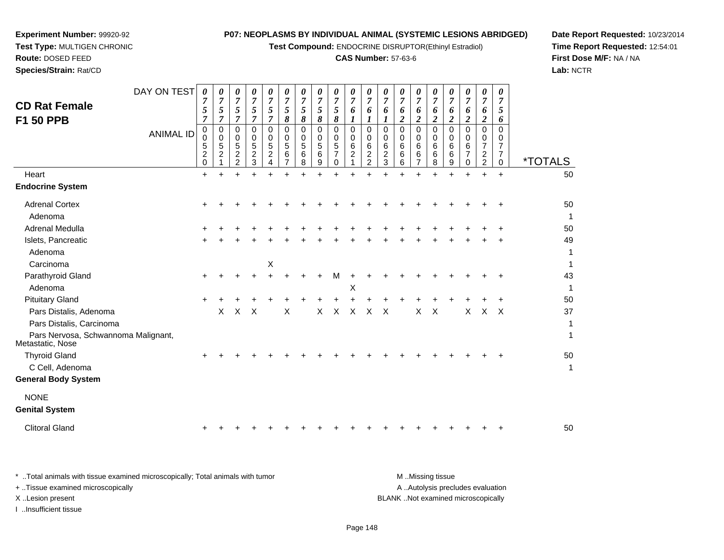**Test Compound:** ENDOCRINE DISRUPTOR(Ethinyl Estradiol)

# **CAS Number:** 57-63-6

**Date Report Requested:** 10/23/2014 **Time Report Requested:** 12:54:01**First Dose M/F:** NA / NA**Lab:** NCTR

| <b>CD Rat Female</b><br>F1 50 PPB                                                                             | DAY ON TEST<br><b>ANIMAL ID</b> | 0<br>7<br>5<br>$\overline{7}$<br>0<br>0 | 0<br>$\overline{7}$<br>5<br>$\overline{7}$<br>$\pmb{0}$<br>$\mathbf 0$ | 0<br>$\overline{7}$<br>5<br>$\overline{7}$<br>$\Omega$<br>0 | 0<br>$\overline{7}$<br>5<br>$\overline{7}$<br>$\Omega$<br>0 | 0<br>$\overline{7}$<br>5<br>$\overline{7}$<br>$\Omega$<br>0 | 0<br>$\overline{7}$<br>5<br>8<br>$\mathbf 0$<br>0 | 0<br>$\overline{7}$<br>5<br>$\boldsymbol{\delta}$<br>$\mathbf 0$<br>$\mathbf 0$ | 0<br>$\overline{7}$<br>5<br>$\pmb{8}$<br>$\mathbf 0$<br>0 | 0<br>$\overline{7}$<br>5<br>8<br>$\Omega$<br>0 | 0<br>$\overline{7}$<br>6<br>$\boldsymbol{l}$<br>0<br>$\mathbf 0$ | 0<br>7<br>6<br>$\boldsymbol{l}$<br>0<br>0 | 0<br>$\overline{7}$<br>6<br>$\boldsymbol{l}$<br>$\Omega$<br>0 | 0<br>$\overline{7}$<br>6<br>$\boldsymbol{2}$<br>$\Omega$<br>0 | 0<br>$\overline{7}$<br>6<br>$\boldsymbol{2}$<br>$\Omega$<br>0 | 0<br>$\overline{7}$<br>6<br>$\overline{2}$<br>$\Omega$<br>0 | 0<br>6<br>$\overline{\mathbf{c}}$<br>$\Omega$<br>0 | 0<br>7<br>6<br>$\overline{c}$<br>$\Omega$<br>$\Omega$ | 0<br>$\overline{7}$<br>6<br>$\boldsymbol{2}$<br>$\mathbf 0$<br>0 | 0<br>$\overline{7}$<br>5<br>6<br>$\Omega$<br>0 |                                    |
|---------------------------------------------------------------------------------------------------------------|---------------------------------|-----------------------------------------|------------------------------------------------------------------------|-------------------------------------------------------------|-------------------------------------------------------------|-------------------------------------------------------------|---------------------------------------------------|---------------------------------------------------------------------------------|-----------------------------------------------------------|------------------------------------------------|------------------------------------------------------------------|-------------------------------------------|---------------------------------------------------------------|---------------------------------------------------------------|---------------------------------------------------------------|-------------------------------------------------------------|----------------------------------------------------|-------------------------------------------------------|------------------------------------------------------------------|------------------------------------------------|------------------------------------|
|                                                                                                               |                                 | $\mathbf 5$<br>$\frac{2}{0}$            | $\sqrt{5}$<br>$\boldsymbol{2}$                                         | 5<br>$\boldsymbol{2}$                                       | 5<br>$\boldsymbol{2}$                                       | 5<br>$\overline{c}$                                         | 5<br>6                                            | 5<br>$\,6$                                                                      | 5<br>6                                                    | 5<br>$\overline{7}$                            | 6<br>$\overline{c}$                                              | 6<br>$\frac{2}{2}$                        | 6<br>$\boldsymbol{2}$                                         | 6<br>6                                                        | 6<br>6                                                        | 6<br>6                                                      | 6<br>6                                             | 6<br>7                                                | $\overline{7}$<br>$\frac{2}{2}$                                  | $\overline{7}$<br>$\overline{7}$               | <i><b>*TOTALS</b></i>              |
| Heart                                                                                                         |                                 | $\ddot{}$                               | $\mathbf{1}$<br>$\ddot{}$                                              | $\overline{c}$<br>$\ddot{}$                                 | 3<br>$\ddot{}$                                              | 4<br>$\ddot{}$                                              | $\overline{7}$<br>$\ddot{}$                       | 8                                                                               | 9<br>$\ddot{}$                                            | $\mathbf 0$<br>$\ddot{}$                       | $\ddot{}$                                                        | $\ddot{}$                                 | $\sqrt{3}$<br>÷                                               | 6<br>$\ddot{}$                                                | $\overline{7}$<br>$\ddot{}$                                   | 8<br>$\ddot{}$                                              | 9<br>$\ddot{}$                                     | 0<br>$\ddot{}$                                        | $\ddot{}$                                                        | 0<br>$+$                                       | 50                                 |
| <b>Endocrine System</b>                                                                                       |                                 |                                         |                                                                        |                                                             |                                                             |                                                             |                                                   |                                                                                 |                                                           |                                                |                                                                  |                                           |                                                               |                                                               |                                                               |                                                             |                                                    |                                                       |                                                                  |                                                |                                    |
| <b>Adrenal Cortex</b><br>Adenoma                                                                              |                                 | +                                       |                                                                        |                                                             |                                                             |                                                             |                                                   |                                                                                 |                                                           |                                                |                                                                  |                                           |                                                               |                                                               |                                                               |                                                             |                                                    |                                                       |                                                                  |                                                | 50<br>$\mathbf{1}$                 |
| <b>Adrenal Medulla</b>                                                                                        |                                 |                                         |                                                                        |                                                             |                                                             |                                                             |                                                   |                                                                                 |                                                           |                                                |                                                                  |                                           |                                                               |                                                               |                                                               |                                                             |                                                    |                                                       |                                                                  |                                                | 50                                 |
| Islets, Pancreatic<br>Adenoma<br>Carcinoma                                                                    |                                 |                                         |                                                                        |                                                             |                                                             | X                                                           |                                                   |                                                                                 |                                                           |                                                |                                                                  |                                           |                                                               |                                                               |                                                               |                                                             |                                                    |                                                       |                                                                  |                                                | 49<br>$\mathbf{1}$<br>$\mathbf{1}$ |
| Parathyroid Gland                                                                                             |                                 | ٠                                       |                                                                        |                                                             |                                                             |                                                             |                                                   |                                                                                 |                                                           | м                                              |                                                                  |                                           |                                                               |                                                               |                                                               |                                                             |                                                    |                                                       |                                                                  |                                                | 43                                 |
| Adenoma                                                                                                       |                                 |                                         |                                                                        |                                                             |                                                             |                                                             |                                                   |                                                                                 |                                                           |                                                | Х                                                                |                                           |                                                               |                                                               |                                                               |                                                             |                                                    |                                                       |                                                                  |                                                | $\mathbf{1}$                       |
| <b>Pituitary Gland</b>                                                                                        |                                 |                                         |                                                                        |                                                             |                                                             |                                                             |                                                   |                                                                                 |                                                           |                                                |                                                                  |                                           |                                                               |                                                               |                                                               |                                                             |                                                    |                                                       |                                                                  |                                                | 50                                 |
| Pars Distalis, Adenoma<br>Pars Distalis, Carcinoma<br>Pars Nervosa, Schwannoma Malignant,<br>Metastatic, Nose |                                 |                                         | X                                                                      | X                                                           | X                                                           |                                                             | X                                                 |                                                                                 | $\mathsf{X}$                                              | X                                              | $\times$                                                         | $\times$                                  | $\times$                                                      |                                                               | X                                                             | $\boldsymbol{\mathsf{X}}$                                   |                                                    | X                                                     | X                                                                | $\sf X$                                        | 37<br>1<br>1                       |
| <b>Thyroid Gland</b>                                                                                          |                                 |                                         |                                                                        |                                                             |                                                             |                                                             |                                                   |                                                                                 |                                                           |                                                |                                                                  |                                           |                                                               |                                                               |                                                               |                                                             |                                                    |                                                       |                                                                  |                                                | 50                                 |
| C Cell, Adenoma<br><b>General Body System</b>                                                                 |                                 |                                         |                                                                        |                                                             |                                                             |                                                             |                                                   |                                                                                 |                                                           |                                                |                                                                  |                                           |                                                               |                                                               |                                                               |                                                             |                                                    |                                                       |                                                                  |                                                | $\mathbf{1}$                       |
| <b>NONE</b><br><b>Genital System</b>                                                                          |                                 |                                         |                                                                        |                                                             |                                                             |                                                             |                                                   |                                                                                 |                                                           |                                                |                                                                  |                                           |                                                               |                                                               |                                                               |                                                             |                                                    |                                                       |                                                                  |                                                |                                    |
| <b>Clitoral Gland</b>                                                                                         |                                 |                                         |                                                                        |                                                             |                                                             |                                                             |                                                   |                                                                                 |                                                           |                                                |                                                                  |                                           |                                                               |                                                               |                                                               |                                                             |                                                    |                                                       |                                                                  |                                                | 50                                 |
|                                                                                                               |                                 |                                         |                                                                        |                                                             |                                                             |                                                             |                                                   |                                                                                 |                                                           |                                                |                                                                  |                                           |                                                               |                                                               |                                                               |                                                             |                                                    |                                                       |                                                                  |                                                |                                    |

**Experiment Number:** 99920-92**Test Type:** MULTIGEN CHRONIC

| * Total animals with tissue examined microscopically; Total animals with tumor | M Missing tissue                   |
|--------------------------------------------------------------------------------|------------------------------------|
| + Tissue examined microscopically                                              | A Autolysis precludes evaluation   |
| X Lesion present                                                               | BLANK Not examined microscopically |
| …Insufficient tissue                                                           |                                    |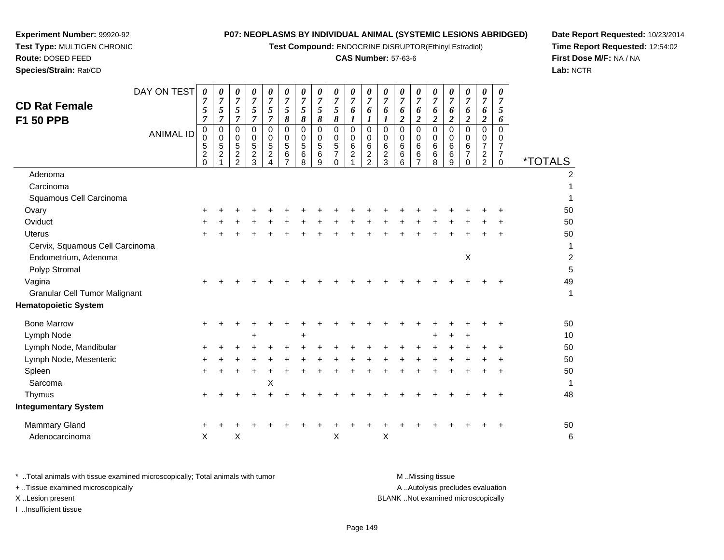**Test Compound:** ENDOCRINE DISRUPTOR(Ethinyl Estradiol)

# **CAS Number:** 57-63-6

*00000000000000*

**Date Report Requested:** 10/23/2014 **Time Report Requested:** 12:54:02**First Dose M/F:** NA / NA**Lab:** NCTR

| <b>Route: DOSED FEED</b>      |                                                                                                                                                                                                                                                                                                                                                                                                |  |                             |  |
|-------------------------------|------------------------------------------------------------------------------------------------------------------------------------------------------------------------------------------------------------------------------------------------------------------------------------------------------------------------------------------------------------------------------------------------|--|-----------------------------|--|
| <b>Species/Strain: Rat/CD</b> |                                                                                                                                                                                                                                                                                                                                                                                                |  |                             |  |
|                               |                                                                                                                                                                                                                                                                                                                                                                                                |  |                             |  |
|                               | DAY ON TEST $\begin{array}{ c c c c c }\hline \rule{0pt}{1ex} 0 & \rule{0pt}{1ex} 0 & \rule{0pt}{1ex} \hline \rule{0pt}{1ex} 0 & \rule{0pt}{1ex} \end{array} \begin{array}{ c c c c }\hline \rule{0pt}{1ex} 0 & \rule{0pt}{1ex} 0 & \rule{0pt}{1ex} \hline \rule{0pt}{1ex} 0 & \rule{0pt}{1ex} \end{array} \begin{array}{ c c c c c }\hline \rule{0pt}{1ex} 0 & \rule{0pt}{1ex} 0 & \rule{0pt$ |  |                             |  |
| <b>CD Rat Female</b>          |                                                                                                                                                                                                                                                                                                                                                                                                |  | $\frac{5}{7}$ $\frac{5}{7}$ |  |
| E4.                           |                                                                                                                                                                                                                                                                                                                                                                                                |  |                             |  |

**Experiment Number:** 99920-92**Test Type:** MULTIGEN CHRONIC

| <b>CD Rat Female</b><br><b>F1 50 PPB</b> | <b>ANIMAL ID</b> | $\overline{7}$<br>5<br>$\overline{7}$<br>$_{\rm 0}^{\rm 0}$<br>5 | 7<br>$\mathfrak{s}$<br>$\overline{7}$<br>0<br>$\pmb{0}$<br>$\sqrt{5}$<br>$\overline{c}$ | 7<br>$\sqrt{5}$<br>$\overline{7}$<br>0<br>$\mathbf 0$<br>$\sqrt{5}$<br>$\boldsymbol{2}$ | $\overline{7}$<br>5<br>$\overline{7}$<br>0<br>$\mathbf 0$<br>$\overline{5}$<br>$\overline{2}$ | 7<br>5<br>$\overline{7}$<br>0<br>$\mathbf 0$<br>5<br>$\overline{c}$ | 7<br>$\overline{5}$<br>$\pmb{8}$<br>0<br>$\pmb{0}$<br>$\sqrt{5}$<br>$\,6$ | 7<br>$\mathfrak{s}$<br>$\pmb{8}$<br>$\mathbf 0$<br>0<br>$\overline{5}$<br>6 | 7<br>$\sqrt{5}$<br>$\pmb{8}$<br>$\mathbf 0$<br>$\mathbf 0$<br>5<br>6 | $\overline{7}$<br>$\mathfrak{s}$<br>$\pmb{8}$<br>0<br>$\mathbf 0$<br>$\overline{5}$<br>$\overline{7}$ | 7<br>6<br>$\boldsymbol{l}$<br>$\mathbf 0$<br>0<br>6<br>$\overline{c}$ | 7<br>6<br>$\boldsymbol{l}$<br>0<br>$\pmb{0}$<br>$\,6\,$<br>$\boldsymbol{2}$ | 7<br>6<br>$\boldsymbol{l}$<br>$\mathbf 0$<br>$\mathbf 0$<br>$\,6$<br>$\overline{2}$ | 7<br>6<br>$\boldsymbol{2}$<br>$\mathbf 0$<br>$\mathbf 0$<br>6<br>6 | $\overline{7}$<br>6<br>$\overline{\mathbf{c}}$<br>0<br>$\mathbf 0$<br>$\,6\,$<br>6 | 7<br>6<br>$\overline{c}$<br>0<br>0<br>6<br>6 | $\overline{7}$<br>6<br>$\boldsymbol{2}$<br>$\mathbf 0$<br>$\mathbf 0$<br>6<br>6 | 7<br>6<br>$\overline{2}$<br>$\mathbf 0$<br>0<br>6<br>$\overline{7}$ | 7<br>6<br>$\overline{2}$<br>$\mathbf 0$<br>$\Omega$<br>$\overline{7}$<br>$\overline{c}$ | 7<br>5<br>6<br>$\Omega$<br>$\Omega$<br>$\overline{7}$ |                         |
|------------------------------------------|------------------|------------------------------------------------------------------|-----------------------------------------------------------------------------------------|-----------------------------------------------------------------------------------------|-----------------------------------------------------------------------------------------------|---------------------------------------------------------------------|---------------------------------------------------------------------------|-----------------------------------------------------------------------------|----------------------------------------------------------------------|-------------------------------------------------------------------------------------------------------|-----------------------------------------------------------------------|-----------------------------------------------------------------------------|-------------------------------------------------------------------------------------|--------------------------------------------------------------------|------------------------------------------------------------------------------------|----------------------------------------------|---------------------------------------------------------------------------------|---------------------------------------------------------------------|-----------------------------------------------------------------------------------------|-------------------------------------------------------|-------------------------|
|                                          |                  | $\frac{2}{0}$                                                    |                                                                                         | $\overline{2}$                                                                          | 3                                                                                             |                                                                     | $\overline{7}$                                                            | 8                                                                           | 9                                                                    | $\Omega$                                                                                              |                                                                       | $\overline{2}$                                                              | 3                                                                                   | 6                                                                  | $\overline{7}$                                                                     | 8                                            | 9                                                                               | $\Omega$                                                            | 2                                                                                       | $\Omega$                                              | <i><b>*TOTALS</b></i>   |
| Adenoma                                  |                  |                                                                  |                                                                                         |                                                                                         |                                                                                               |                                                                     |                                                                           |                                                                             |                                                                      |                                                                                                       |                                                                       |                                                                             |                                                                                     |                                                                    |                                                                                    |                                              |                                                                                 |                                                                     |                                                                                         |                                                       | $\overline{c}$          |
| Carcinoma                                |                  |                                                                  |                                                                                         |                                                                                         |                                                                                               |                                                                     |                                                                           |                                                                             |                                                                      |                                                                                                       |                                                                       |                                                                             |                                                                                     |                                                                    |                                                                                    |                                              |                                                                                 |                                                                     |                                                                                         |                                                       | 1                       |
| Squamous Cell Carcinoma                  |                  |                                                                  |                                                                                         |                                                                                         |                                                                                               |                                                                     |                                                                           |                                                                             |                                                                      |                                                                                                       |                                                                       |                                                                             |                                                                                     |                                                                    |                                                                                    |                                              |                                                                                 |                                                                     |                                                                                         |                                                       | $\mathbf{1}$            |
| Ovary                                    |                  |                                                                  |                                                                                         |                                                                                         |                                                                                               |                                                                     |                                                                           |                                                                             |                                                                      |                                                                                                       |                                                                       |                                                                             |                                                                                     |                                                                    |                                                                                    |                                              |                                                                                 |                                                                     |                                                                                         |                                                       | 50                      |
| Oviduct                                  |                  |                                                                  |                                                                                         |                                                                                         |                                                                                               |                                                                     |                                                                           |                                                                             |                                                                      |                                                                                                       |                                                                       |                                                                             |                                                                                     |                                                                    |                                                                                    |                                              |                                                                                 |                                                                     |                                                                                         |                                                       | 50                      |
| <b>Uterus</b>                            |                  |                                                                  |                                                                                         |                                                                                         |                                                                                               |                                                                     |                                                                           |                                                                             |                                                                      |                                                                                                       |                                                                       |                                                                             |                                                                                     |                                                                    |                                                                                    |                                              |                                                                                 |                                                                     |                                                                                         |                                                       | 50                      |
| Cervix, Squamous Cell Carcinoma          |                  |                                                                  |                                                                                         |                                                                                         |                                                                                               |                                                                     |                                                                           |                                                                             |                                                                      |                                                                                                       |                                                                       |                                                                             |                                                                                     |                                                                    |                                                                                    |                                              |                                                                                 |                                                                     |                                                                                         |                                                       | 1                       |
| Endometrium, Adenoma                     |                  |                                                                  |                                                                                         |                                                                                         |                                                                                               |                                                                     |                                                                           |                                                                             |                                                                      |                                                                                                       |                                                                       |                                                                             |                                                                                     |                                                                    |                                                                                    |                                              |                                                                                 | $\mathsf X$                                                         |                                                                                         |                                                       | $\overline{\mathbf{c}}$ |
| Polyp Stromal                            |                  |                                                                  |                                                                                         |                                                                                         |                                                                                               |                                                                     |                                                                           |                                                                             |                                                                      |                                                                                                       |                                                                       |                                                                             |                                                                                     |                                                                    |                                                                                    |                                              |                                                                                 |                                                                     |                                                                                         |                                                       | 5                       |
| Vagina                                   |                  |                                                                  |                                                                                         |                                                                                         |                                                                                               |                                                                     |                                                                           |                                                                             |                                                                      |                                                                                                       |                                                                       |                                                                             |                                                                                     |                                                                    |                                                                                    |                                              |                                                                                 |                                                                     |                                                                                         |                                                       | 49                      |
| <b>Granular Cell Tumor Malignant</b>     |                  |                                                                  |                                                                                         |                                                                                         |                                                                                               |                                                                     |                                                                           |                                                                             |                                                                      |                                                                                                       |                                                                       |                                                                             |                                                                                     |                                                                    |                                                                                    |                                              |                                                                                 |                                                                     |                                                                                         |                                                       | 1                       |
| <b>Hematopoietic System</b>              |                  |                                                                  |                                                                                         |                                                                                         |                                                                                               |                                                                     |                                                                           |                                                                             |                                                                      |                                                                                                       |                                                                       |                                                                             |                                                                                     |                                                                    |                                                                                    |                                              |                                                                                 |                                                                     |                                                                                         |                                                       |                         |
| <b>Bone Marrow</b>                       |                  | +                                                                |                                                                                         |                                                                                         |                                                                                               |                                                                     |                                                                           |                                                                             |                                                                      |                                                                                                       |                                                                       |                                                                             |                                                                                     |                                                                    |                                                                                    |                                              |                                                                                 |                                                                     |                                                                                         |                                                       | 50                      |
| Lymph Node                               |                  |                                                                  |                                                                                         |                                                                                         | ٠                                                                                             |                                                                     |                                                                           |                                                                             |                                                                      |                                                                                                       |                                                                       |                                                                             |                                                                                     |                                                                    |                                                                                    | ٠                                            | ٠                                                                               |                                                                     |                                                                                         |                                                       | 10                      |
| Lymph Node, Mandibular                   |                  |                                                                  |                                                                                         |                                                                                         |                                                                                               |                                                                     |                                                                           |                                                                             |                                                                      |                                                                                                       |                                                                       |                                                                             |                                                                                     |                                                                    |                                                                                    |                                              |                                                                                 |                                                                     |                                                                                         |                                                       | 50                      |
| Lymph Node, Mesenteric                   |                  |                                                                  |                                                                                         |                                                                                         |                                                                                               |                                                                     |                                                                           |                                                                             |                                                                      |                                                                                                       |                                                                       |                                                                             |                                                                                     |                                                                    |                                                                                    |                                              |                                                                                 |                                                                     |                                                                                         |                                                       | 50                      |
| Spleen                                   |                  |                                                                  |                                                                                         |                                                                                         |                                                                                               |                                                                     |                                                                           |                                                                             |                                                                      |                                                                                                       |                                                                       |                                                                             |                                                                                     |                                                                    |                                                                                    |                                              |                                                                                 |                                                                     |                                                                                         |                                                       | 50                      |
| Sarcoma                                  |                  |                                                                  |                                                                                         |                                                                                         |                                                                                               | $\boldsymbol{\mathsf{X}}$                                           |                                                                           |                                                                             |                                                                      |                                                                                                       |                                                                       |                                                                             |                                                                                     |                                                                    |                                                                                    |                                              |                                                                                 |                                                                     |                                                                                         |                                                       | 1                       |
| Thymus                                   |                  |                                                                  |                                                                                         |                                                                                         |                                                                                               |                                                                     |                                                                           |                                                                             |                                                                      |                                                                                                       |                                                                       |                                                                             |                                                                                     |                                                                    |                                                                                    |                                              |                                                                                 |                                                                     |                                                                                         |                                                       | 48                      |
| <b>Integumentary System</b>              |                  |                                                                  |                                                                                         |                                                                                         |                                                                                               |                                                                     |                                                                           |                                                                             |                                                                      |                                                                                                       |                                                                       |                                                                             |                                                                                     |                                                                    |                                                                                    |                                              |                                                                                 |                                                                     |                                                                                         |                                                       |                         |
| <b>Mammary Gland</b>                     |                  | +                                                                |                                                                                         |                                                                                         |                                                                                               |                                                                     |                                                                           |                                                                             |                                                                      |                                                                                                       |                                                                       |                                                                             |                                                                                     |                                                                    |                                                                                    |                                              |                                                                                 |                                                                     |                                                                                         |                                                       | 50                      |
| Adenocarcinoma                           |                  | X                                                                |                                                                                         | X                                                                                       |                                                                                               |                                                                     |                                                                           |                                                                             |                                                                      | X                                                                                                     |                                                                       |                                                                             | $\boldsymbol{\mathsf{X}}$                                                           |                                                                    |                                                                                    |                                              |                                                                                 |                                                                     |                                                                                         |                                                       | 6                       |
|                                          |                  |                                                                  |                                                                                         |                                                                                         |                                                                                               |                                                                     |                                                                           |                                                                             |                                                                      |                                                                                                       |                                                                       |                                                                             |                                                                                     |                                                                    |                                                                                    |                                              |                                                                                 |                                                                     |                                                                                         |                                                       |                         |

| * Total animals with tissue examined microscopically; Total animals with tumor | M Missing tissue                   |
|--------------------------------------------------------------------------------|------------------------------------|
| + Tissue examined microscopically                                              | A Autolysis precludes evaluation   |
| X Lesion present                                                               | BLANK Not examined microscopically |
| …Insufficient tissue                                                           |                                    |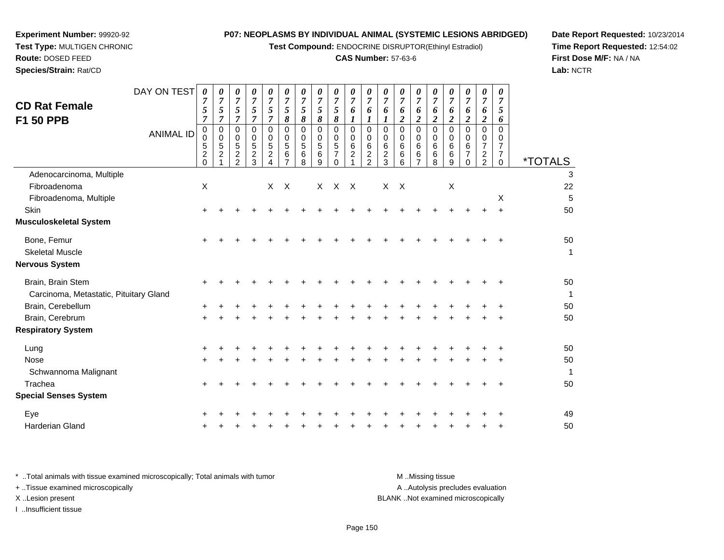**Test Compound:** ENDOCRINE DISRUPTOR(Ethinyl Estradiol)

#### **CAS Number:** 57-63-6

**Date Report Requested:** 10/23/2014**Time Report Requested:** 12:54:02**First Dose M/F:** NA / NA**Lab:** NCTR

| DAY ON TEST<br>0<br>7<br>5<br>7                 | 0<br>$\overline{7}$<br>5<br>7               | 0<br>7<br>5<br>$\overline{7}$ | 0<br>7<br>5<br>$\overline{7}$                        | 0<br>7<br>5<br>$\overline{7}$   | 0<br>$\overline{7}$<br>5<br>8        | 0<br>$\overline{7}$<br>5<br>8              | 0<br>$\overline{7}$<br>5<br>8 | 0<br>$\overline{7}$<br>5<br>8                     | $\boldsymbol{\theta}$<br>$\overline{7}$<br>6<br>1 | 0<br>$\overline{7}$<br>6<br>1                     | 0<br>7<br>6             | 0<br>7<br>6<br>$\overline{\mathbf{c}}$ | 0<br>7<br>6<br>$\overline{c}$ | $\boldsymbol{\theta}$<br>$\overline{7}$<br>6<br>$\boldsymbol{2}$ | 0<br>7<br>6<br>$\overline{c}$ | 0<br>$\overline{7}$<br>6<br>$\boldsymbol{2}$ | 0<br>$\overline{7}$<br>6<br>$\overline{2}$     | 0<br>$\overline{7}$<br>5<br>6               |                            |
|-------------------------------------------------|---------------------------------------------|-------------------------------|------------------------------------------------------|---------------------------------|--------------------------------------|--------------------------------------------|-------------------------------|---------------------------------------------------|---------------------------------------------------|---------------------------------------------------|-------------------------|----------------------------------------|-------------------------------|------------------------------------------------------------------|-------------------------------|----------------------------------------------|------------------------------------------------|---------------------------------------------|----------------------------|
| 0<br>$\sqrt{5}$<br>$\boldsymbol{2}$<br>$\Omega$ | $\mathbf 0$<br>$\sqrt{5}$<br>$\overline{c}$ | 0<br>5<br>$\frac{2}{2}$       | $\mathbf 0$<br>$\overline{5}$<br>$\overline{c}$<br>3 | $\Omega$<br>5<br>$\overline{c}$ | $\Omega$<br>5<br>6<br>$\overline{ }$ | $\overline{0}$<br>$\sqrt{5}$<br>$\,6$<br>8 | 0<br>5<br>6<br>9              | 0<br>$\overline{5}$<br>$\overline{7}$<br>$\Omega$ | $\mathbf 0$<br>6<br>$\overline{c}$                | $\Omega$<br>6<br>$\overline{c}$<br>$\overline{2}$ | 0<br>6<br>$\frac{2}{3}$ | 0<br>6<br>6<br>6                       | $\Omega$<br>6<br>6<br>7       | 0<br>6<br>6<br>8                                                 | 0<br>6<br>6<br>9              | $\Omega$<br>6<br>$\overline{7}$<br>0         | $\mathbf 0$<br>$\overline{7}$<br>$\frac{2}{2}$ | $\Omega$<br>7<br>$\overline{7}$<br>$\Omega$ | <i><b>*TOTALS</b></i>      |
|                                                 |                                             |                               |                                                      |                                 |                                      |                                            |                               |                                                   |                                                   |                                                   |                         |                                        |                               |                                                                  |                               |                                              |                                                |                                             | 3                          |
|                                                 |                                             |                               |                                                      |                                 |                                      |                                            |                               |                                                   | $\mathsf{X}$                                      |                                                   |                         |                                        |                               |                                                                  |                               |                                              |                                                |                                             | 22                         |
|                                                 |                                             |                               |                                                      |                                 |                                      |                                            |                               |                                                   |                                                   |                                                   |                         |                                        |                               |                                                                  |                               |                                              |                                                |                                             | 5                          |
| $\ddot{}$                                       |                                             |                               |                                                      |                                 |                                      |                                            |                               |                                                   |                                                   |                                                   |                         |                                        |                               |                                                                  |                               |                                              | $\pm$                                          |                                             | 50                         |
|                                                 |                                             |                               |                                                      |                                 |                                      |                                            |                               |                                                   |                                                   |                                                   |                         |                                        |                               |                                                                  |                               |                                              |                                                |                                             |                            |
| ÷                                               |                                             |                               |                                                      |                                 |                                      |                                            |                               |                                                   |                                                   |                                                   |                         |                                        |                               |                                                                  |                               |                                              |                                                |                                             | 50                         |
|                                                 |                                             |                               |                                                      |                                 |                                      |                                            |                               |                                                   |                                                   |                                                   |                         |                                        |                               |                                                                  |                               |                                              |                                                |                                             | $\mathbf 1$                |
|                                                 |                                             |                               |                                                      |                                 |                                      |                                            |                               |                                                   |                                                   |                                                   |                         |                                        |                               |                                                                  |                               |                                              |                                                |                                             |                            |
|                                                 |                                             |                               |                                                      |                                 |                                      |                                            |                               |                                                   |                                                   |                                                   |                         |                                        |                               |                                                                  |                               |                                              |                                                |                                             | 50<br>$\mathbf 1$          |
|                                                 |                                             |                               |                                                      |                                 |                                      |                                            |                               |                                                   |                                                   |                                                   |                         |                                        |                               |                                                                  |                               |                                              |                                                |                                             | 50                         |
|                                                 |                                             |                               |                                                      |                                 |                                      |                                            |                               |                                                   |                                                   |                                                   |                         |                                        |                               |                                                                  |                               |                                              |                                                |                                             | 50                         |
|                                                 |                                             |                               |                                                      |                                 |                                      |                                            |                               |                                                   |                                                   |                                                   |                         |                                        |                               |                                                                  |                               |                                              |                                                |                                             |                            |
| +                                               |                                             |                               |                                                      |                                 |                                      |                                            |                               |                                                   |                                                   |                                                   |                         |                                        |                               |                                                                  |                               |                                              |                                                | +                                           | 50                         |
| $\ddot{}$                                       |                                             |                               |                                                      |                                 |                                      |                                            |                               |                                                   |                                                   |                                                   |                         |                                        |                               |                                                                  |                               |                                              |                                                |                                             | 50                         |
|                                                 |                                             |                               |                                                      |                                 |                                      |                                            |                               |                                                   |                                                   |                                                   |                         |                                        |                               |                                                                  |                               |                                              |                                                |                                             | 1                          |
|                                                 |                                             |                               |                                                      |                                 |                                      |                                            |                               |                                                   |                                                   |                                                   |                         |                                        |                               |                                                                  |                               |                                              |                                                |                                             | 50                         |
|                                                 |                                             |                               |                                                      |                                 |                                      |                                            |                               |                                                   |                                                   |                                                   |                         |                                        |                               |                                                                  |                               |                                              |                                                |                                             |                            |
|                                                 |                                             |                               |                                                      |                                 |                                      |                                            |                               |                                                   |                                                   |                                                   |                         |                                        |                               |                                                                  |                               |                                              |                                                |                                             | 49                         |
|                                                 |                                             |                               |                                                      |                                 |                                      |                                            |                               |                                                   |                                                   |                                                   |                         |                                        |                               |                                                                  |                               |                                              |                                                | ÷                                           | 50                         |
| <b>ANIMAL ID</b>                                | $\pmb{0}$<br>$\mathsf{X}$                   | 0                             | 0                                                    | $\Omega$                        | $\Omega$<br>X                        | $\mathbf 0$<br>$\mathsf{X}$                | $\pmb{0}$                     | 0                                                 | 0<br>$\mathsf{X}$<br>$\times$                     | $\mathbf 0$                                       | $\mathbf 0$             | 0<br>X                                 | 0<br>$\mathsf{X}$             | $\Omega$                                                         | $\mathbf 0$                   | $\Omega$<br>$\boldsymbol{\mathsf{X}}$        | 0                                              | 0                                           | $\Omega$<br>X<br>$\ddot{}$ |

**Experiment Number:** 99920-92**Test Type:** MULTIGEN CHRONIC

**Route:** DOSED FEED**Species/Strain:** Rat/CD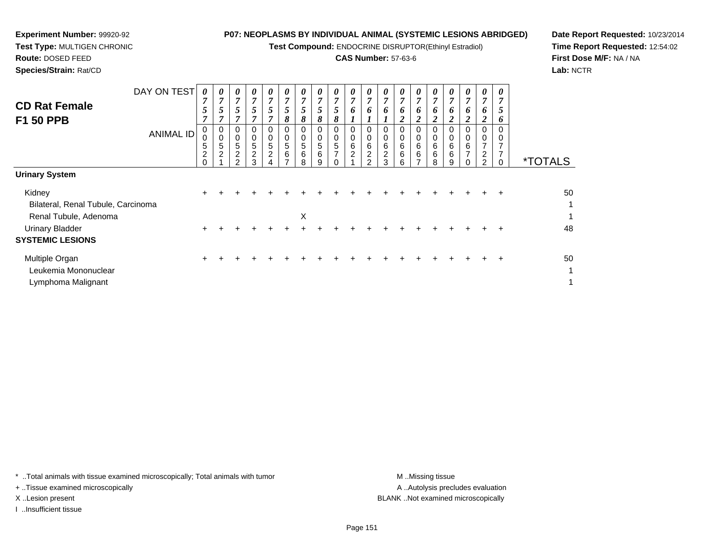**Test Compound:** ENDOCRINE DISRUPTOR(Ethinyl Estradiol)

### **CAS Number:** 57-63-6

*0 7 6*

*0 7 6*

*0 7 6*

*0 7 6*

*0 7 6*

*0 7 6*

*0 7 6*

*0 7 6*

*0 7*

*0 7*

*0 7 6*

**Date Report Requested:** 10/23/2014**Time Report Requested:** 12:54:02**First Dose M/F:** NA / NA**Lab:** NCTR

| Species/Strain: Rat/CD |                  |                |                |                |                |   |   |        |  |
|------------------------|------------------|----------------|----------------|----------------|----------------|---|---|--------|--|
|                        | DAY ON TEST      |                |                | 0              | 0              |   |   |        |  |
| <b>CD Rat Female</b>   |                  | $\overline{ }$ | $\overline{ }$ | $\overline{ }$ | $\overline{ }$ | 7 | 7 | 7      |  |
|                        |                  | J              |                |                |                | 5 |   |        |  |
| <b>F1 50 PPB</b>       |                  |                |                |                |                | ~ | 8 | o<br>Ω |  |
|                        | <b>ANIMAL ID</b> | O              |                | 0              | 0              | 0 | U | 0      |  |
|                        |                  |                |                |                |                |   |   |        |  |

| <b>F1 50 PPB</b>                   |                  | 7                               | 7                             |                    | 7                                                           | 7                                                                 | 8                                               | 8                               | 8                                    | 8                                                         |                                 | $\mathbf{I}$                      | $\mathbf{I}$                                   | 2                | $\overline{2}$ | $\boldsymbol{2}$ | $\overline{2}$                              | 2                             | $\boldsymbol{2}$                                            | 6              |                       |
|------------------------------------|------------------|---------------------------------|-------------------------------|--------------------|-------------------------------------------------------------|-------------------------------------------------------------------|-------------------------------------------------|---------------------------------|--------------------------------------|-----------------------------------------------------------|---------------------------------|-----------------------------------|------------------------------------------------|------------------|----------------|------------------|---------------------------------------------|-------------------------------|-------------------------------------------------------------|----------------|-----------------------|
|                                    | <b>ANIMAL ID</b> | 0<br>0<br>5<br>$\boldsymbol{2}$ | 0<br>0<br>5<br>$\overline{c}$ | 5<br>$\frac{2}{2}$ | 0<br>$\begin{array}{c} 0 \\ 5 \end{array}$<br>$\frac{2}{3}$ | 0<br>$\begin{smallmatrix}0\0\0\end{smallmatrix}$<br>$\frac{2}{4}$ | $\mathbf 0$<br>$\pmb{0}$<br>$\sqrt{5}$<br>$\,6$ | 0<br>$\boldsymbol{0}$<br>5<br>6 | 0<br>$\mathbf 0$<br>$\,$ 5 $\,$<br>6 | $\mathbf 0$<br>$\begin{array}{c} 0 \\ 5 \\ 7 \end{array}$ | 0<br>$\pmb{0}$<br>$\frac{6}{2}$ | 0<br>6<br>$\overline{\mathbf{c}}$ | 0<br>$\pmb{0}$<br>6<br>$\overline{\mathbf{c}}$ | 0<br>0<br>6<br>6 | 0<br>6<br>6    | 0<br>0<br>6<br>6 | 0<br>$\boldsymbol{0}$<br>$\,6\,$<br>$\,6\,$ | 0<br>0<br>6<br>$\overline{ }$ | 0<br>$\pmb{0}$<br>$\overline{7}$<br>$\overline{\mathbf{c}}$ | $\overline{ }$ |                       |
|                                    |                  | $\Omega$                        |                               |                    |                                                             |                                                                   |                                                 | 8                               | 9                                    | 0                                                         |                                 | $\mathcal{P}$                     | 3                                              | 6                |                | 8                | 9                                           |                               | $\overline{2}$                                              |                | <i><b>*TOTALS</b></i> |
| <b>Urinary System</b>              |                  |                                 |                               |                    |                                                             |                                                                   |                                                 |                                 |                                      |                                                           |                                 |                                   |                                                |                  |                |                  |                                             |                               |                                                             |                |                       |
| Kidney                             |                  | $\pm$                           |                               |                    |                                                             |                                                                   |                                                 |                                 |                                      |                                                           |                                 |                                   |                                                |                  |                |                  |                                             |                               |                                                             | ÷              | 50                    |
| Bilateral, Renal Tubule, Carcinoma |                  |                                 |                               |                    |                                                             |                                                                   |                                                 |                                 |                                      |                                                           |                                 |                                   |                                                |                  |                |                  |                                             |                               |                                                             |                | 1                     |
| Renal Tubule, Adenoma              |                  |                                 |                               |                    |                                                             |                                                                   |                                                 | X                               |                                      |                                                           |                                 |                                   |                                                |                  |                |                  |                                             |                               |                                                             |                | 1                     |
| <b>Urinary Bladder</b>             |                  | $\pm$                           |                               |                    |                                                             |                                                                   |                                                 |                                 |                                      |                                                           |                                 |                                   |                                                |                  |                |                  |                                             |                               |                                                             |                | 48                    |
| <b>SYSTEMIC LESIONS</b>            |                  |                                 |                               |                    |                                                             |                                                                   |                                                 |                                 |                                      |                                                           |                                 |                                   |                                                |                  |                |                  |                                             |                               |                                                             |                |                       |
| Multiple Organ                     |                  | $\pm$                           |                               |                    |                                                             |                                                                   |                                                 |                                 |                                      |                                                           |                                 |                                   |                                                |                  |                |                  |                                             |                               |                                                             |                | 50                    |
| Leukemia Mononuclear               |                  |                                 |                               |                    |                                                             |                                                                   |                                                 |                                 |                                      |                                                           |                                 |                                   |                                                |                  |                |                  |                                             |                               |                                                             |                | 1                     |
| Lymphoma Malignant                 |                  |                                 |                               |                    |                                                             |                                                                   |                                                 |                                 |                                      |                                                           |                                 |                                   |                                                |                  |                |                  |                                             |                               |                                                             |                | 1                     |

\* ..Total animals with tissue examined microscopically; Total animals with tumor **M** . Missing tissue M ..Missing tissue

+ ..Tissue examined microscopically

**Experiment Number:** 99920-92**Test Type:** MULTIGEN CHRONIC

**Route:** DOSED FEED

I ..Insufficient tissue

A .. Autolysis precludes evaluation X ..Lesion present BLANK ..Not examined microscopically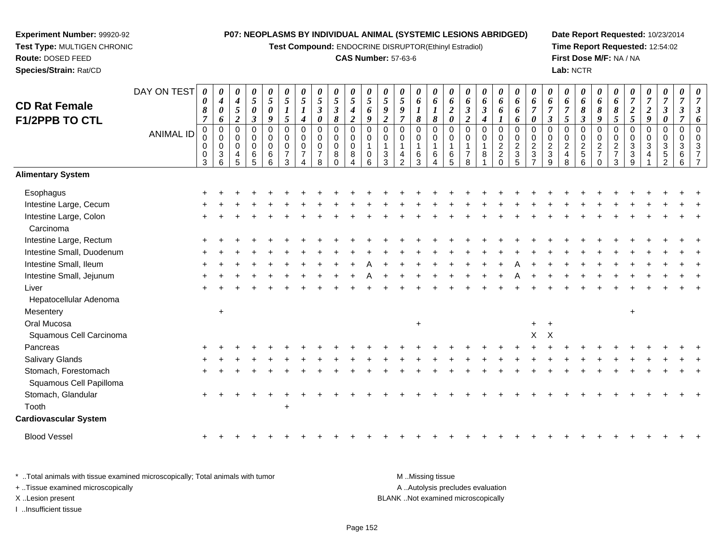**Test Compound:** ENDOCRINE DISRUPTOR(Ethinyl Estradiol)

#### **CAS Number:** 57-63-6

**Date Report Requested:** 10/23/2014**Time Report Requested:** 12:54:02**First Dose M/F:** NA / NA**Lab:** NCTR

#### DAY ON TEST**CD Rat Female F1/2PPB TO CTL**ANIMAL ID*0 0 8 7* 0 0 0 0 3*0 4 0 6* 0 0 0 3 6*0 4 5 2* 0 0 0 4 5*0 5 0 3* 0 0 0 6 5*0 5 0 9* 0 0 0 6 6*0 5 1 5* 0 0 0 7 3*0 5 1 4* 0 0 0 7 4*0 5 3 0* 0 0 0 7 8*0 5 3 8* 0 0 0 8 0*0 5 4 2* 0 0 0 8 4*0 5 6 9* 0 0 1 0 6*0 5 9 2* 0 0 1 3 3*0 5 9 7* 0 0 1 4 2*0 6 1 8* 0 0 1 6 3*0 6 1 8* 0 0 1 6 4*0 6 2 0* 0 0 1 6 5*0 6 3 2* 0 0 1 7 8*0 6 3 4* 0 0 1 8 1*0 6 6 1* 0 0 2 2 0*0 6 6 6* 0 0 2 3 5*0 6 7 0* 0 0 2 3 7*0 6 7 3* 0 0 2 3 9*0 6 7 5* 0 0 2 4 8*0 6 8 3* 0 0 2 5 6*0 6 8 9* 0 0 2 7 0*0 6 8 5* 0 0 2 7 3*0 7 2 5* 0 0 3 3 9*0 7 2 9* 0 0 3 4 1*0 7 3 0* 0 0 3 5 2*0 7 3 7* 0 0 3 6 6*0 7 3 6* 0 0 3 7 7**Alimentary SystemEsophagus**  $\mathsf{S}$  + <sup>+</sup> <sup>+</sup> <sup>+</sup> <sup>+</sup> <sup>+</sup> <sup>+</sup> <sup>+</sup> <sup>+</sup> <sup>+</sup> <sup>+</sup> <sup>+</sup> <sup>+</sup> <sup>+</sup> <sup>+</sup> <sup>+</sup> <sup>+</sup> <sup>+</sup> <sup>+</sup> <sup>+</sup> <sup>+</sup> <sup>+</sup> <sup>+</sup> <sup>+</sup> <sup>+</sup> <sup>+</sup> <sup>+</sup> <sup>+</sup> <sup>+</sup> <sup>+</sup> <sup>+</sup> Intestine Large, Cecum <sup>+</sup> <sup>+</sup> <sup>+</sup> <sup>+</sup> <sup>+</sup> <sup>+</sup> <sup>+</sup> <sup>+</sup> <sup>+</sup> <sup>+</sup> <sup>+</sup> <sup>+</sup> <sup>+</sup> <sup>+</sup> <sup>+</sup> <sup>+</sup> <sup>+</sup> <sup>+</sup> <sup>+</sup> <sup>+</sup> <sup>+</sup> <sup>+</sup> <sup>+</sup> <sup>+</sup> <sup>+</sup> <sup>+</sup> <sup>+</sup> <sup>+</sup> <sup>+</sup> <sup>+</sup> <sup>+</sup> Intestine Large, Colon $\mathsf{n}$  + <sup>+</sup> <sup>+</sup> <sup>+</sup> <sup>+</sup> <sup>+</sup> <sup>+</sup> <sup>+</sup> <sup>+</sup> <sup>+</sup> <sup>+</sup> <sup>+</sup> <sup>+</sup> <sup>+</sup> <sup>+</sup> <sup>+</sup> <sup>+</sup> <sup>+</sup> <sup>+</sup> <sup>+</sup> <sup>+</sup> <sup>+</sup> <sup>+</sup> <sup>+</sup> <sup>+</sup> <sup>+</sup> <sup>+</sup> <sup>+</sup> <sup>+</sup> <sup>+</sup> <sup>+</sup> Carcinoma Intestine Large, Rectum <sup>+</sup> <sup>+</sup> <sup>+</sup> <sup>+</sup> <sup>+</sup> <sup>+</sup> <sup>+</sup> <sup>+</sup> <sup>+</sup> <sup>+</sup> <sup>+</sup> <sup>+</sup> <sup>+</sup> <sup>+</sup> <sup>+</sup> <sup>+</sup> <sup>+</sup> <sup>+</sup> <sup>+</sup> <sup>+</sup> <sup>+</sup> <sup>+</sup> <sup>+</sup> <sup>+</sup> <sup>+</sup> <sup>+</sup> <sup>+</sup> <sup>+</sup> <sup>+</sup> <sup>+</sup> <sup>+</sup> Intestine Small, Duodenum <sup>+</sup> <sup>+</sup> <sup>+</sup> <sup>+</sup> <sup>+</sup> <sup>+</sup> <sup>+</sup> <sup>+</sup> <sup>+</sup> <sup>+</sup> <sup>+</sup> <sup>+</sup> <sup>+</sup> <sup>+</sup> <sup>+</sup> <sup>+</sup> <sup>+</sup> <sup>+</sup> <sup>+</sup> <sup>+</sup> <sup>+</sup> <sup>+</sup> <sup>+</sup> <sup>+</sup> <sup>+</sup> <sup>+</sup> <sup>+</sup> <sup>+</sup> <sup>+</sup> <sup>+</sup> <sup>+</sup> Intestine Small, Ileum <sup>+</sup> <sup>+</sup> <sup>+</sup> <sup>+</sup> <sup>+</sup> <sup>+</sup> <sup>+</sup> <sup>+</sup> <sup>+</sup> <sup>+</sup> <sup>A</sup> <sup>+</sup> <sup>+</sup> <sup>+</sup> <sup>+</sup> <sup>+</sup> <sup>+</sup> <sup>+</sup> <sup>+</sup> <sup>A</sup> <sup>+</sup> <sup>+</sup> <sup>+</sup> <sup>+</sup> <sup>+</sup> <sup>+</sup> <sup>+</sup> <sup>+</sup> <sup>+</sup> <sup>+</sup> <sup>+</sup> Intestine Small, Jejunum <sup>+</sup> <sup>+</sup> <sup>+</sup> <sup>+</sup> <sup>+</sup> <sup>+</sup> <sup>+</sup> <sup>+</sup> <sup>+</sup> <sup>+</sup> <sup>A</sup> <sup>+</sup> <sup>+</sup> <sup>+</sup> <sup>+</sup> <sup>+</sup> <sup>+</sup> <sup>+</sup> <sup>+</sup> <sup>A</sup> <sup>+</sup> <sup>+</sup> <sup>+</sup> <sup>+</sup> <sup>+</sup> <sup>+</sup> <sup>+</sup> <sup>+</sup> <sup>+</sup> <sup>+</sup> <sup>+</sup> Liver $\mathsf{r}$  + <sup>+</sup> <sup>+</sup> <sup>+</sup> <sup>+</sup> <sup>+</sup> <sup>+</sup> <sup>+</sup> <sup>+</sup> <sup>+</sup> <sup>+</sup> <sup>+</sup> <sup>+</sup> <sup>+</sup> <sup>+</sup> <sup>+</sup> <sup>+</sup> <sup>+</sup> <sup>+</sup> <sup>+</sup> <sup>+</sup> <sup>+</sup> <sup>+</sup> <sup>+</sup> <sup>+</sup> <sup>+</sup> <sup>+</sup> <sup>+</sup> <sup>+</sup> <sup>+</sup> <sup>+</sup> Hepatocellular Adenoma**Mesentery**  $\mathsf y$  <sup>+</sup> Oral Mucosa $\overline{a}$  a <sup>+</sup> <sup>+</sup> Squamous Cell Carcinoma $\alpha$  <sup>X</sup> Pancreas <sup>+</sup> <sup>+</sup> <sup>+</sup> <sup>+</sup> <sup>+</sup> <sup>+</sup> <sup>+</sup> <sup>+</sup> <sup>+</sup> <sup>+</sup> <sup>+</sup> <sup>+</sup> <sup>+</sup> <sup>+</sup> <sup>+</sup> <sup>+</sup> <sup>+</sup> <sup>+</sup> <sup>+</sup> <sup>+</sup> <sup>+</sup> <sup>+</sup> <sup>+</sup> <sup>+</sup> <sup>+</sup> <sup>+</sup> <sup>+</sup> <sup>+</sup> <sup>+</sup> <sup>+</sup> <sup>+</sup> Salivary Glands $\sim$   $\sim$   $\sim$   $\sim$   $\sim$   $\sim$  <sup>+</sup> <sup>+</sup> <sup>+</sup> <sup>+</sup> <sup>+</sup> <sup>+</sup> <sup>+</sup> <sup>+</sup> <sup>+</sup> <sup>+</sup> <sup>+</sup> <sup>+</sup> <sup>+</sup> <sup>+</sup> <sup>+</sup> <sup>+</sup> <sup>+</sup> <sup>+</sup> <sup>+</sup> <sup>+</sup> <sup>+</sup> <sup>+</sup> <sup>+</sup> <sup>+</sup> <sup>+</sup> <sup>+</sup> <sup>+</sup> <sup>+</sup> <sup>+</sup> <sup>+</sup> Stomach, Forestomach $h \rightarrow$  <sup>+</sup> <sup>+</sup> <sup>+</sup> <sup>+</sup> <sup>+</sup> <sup>+</sup> <sup>+</sup> <sup>+</sup> <sup>+</sup> <sup>+</sup> <sup>+</sup> <sup>+</sup> <sup>+</sup> <sup>+</sup> <sup>+</sup> <sup>+</sup> <sup>+</sup> <sup>+</sup> <sup>+</sup> <sup>+</sup> <sup>+</sup> <sup>+</sup> <sup>+</sup> <sup>+</sup> <sup>+</sup> <sup>+</sup> <sup>+</sup> <sup>+</sup> <sup>+</sup> <sup>+</sup> Squamous Cell PapillomaStomach, Glandular $\mathsf{r}$  + <sup>+</sup> <sup>+</sup> <sup>+</sup> <sup>+</sup> <sup>+</sup> <sup>+</sup> <sup>+</sup> <sup>+</sup> <sup>+</sup> <sup>+</sup> <sup>+</sup> <sup>+</sup> <sup>+</sup> <sup>+</sup> <sup>+</sup> <sup>+</sup> <sup>+</sup> <sup>+</sup> <sup>+</sup> <sup>+</sup> <sup>+</sup> <sup>+</sup> <sup>+</sup> <sup>+</sup> <sup>+</sup> <sup>+</sup> <sup>+</sup> <sup>+</sup> <sup>+</sup> <sup>+</sup> Toothh  $+$ **Cardiovascular System**Blood Vessel <sup>+</sup><sup>+</sup> <sup>+</sup> <sup>+</sup> <sup>+</sup> <sup>+</sup> <sup>+</sup> <sup>+</sup> <sup>+</sup> <sup>+</sup> <sup>+</sup> <sup>+</sup> <sup>+</sup> <sup>+</sup> <sup>+</sup> <sup>+</sup> <sup>+</sup> <sup>+</sup> <sup>+</sup> <sup>+</sup> <sup>+</sup> <sup>+</sup> <sup>+</sup> <sup>+</sup> <sup>+</sup> <sup>+</sup> <sup>+</sup> <sup>+</sup> <sup>+</sup> <sup>+</sup> <sup>+</sup>

\* ..Total animals with tissue examined microscopically; Total animals with tumor M ...Missing tissue M ...Missing tissue A ..Autolysis precludes evaluation + ..Tissue examined microscopically X ..Lesion present BLANK ..Not examined microscopicallyI ..Insufficient tissue

**Experiment Number:** 99920-92**Test Type:** MULTIGEN CHRONIC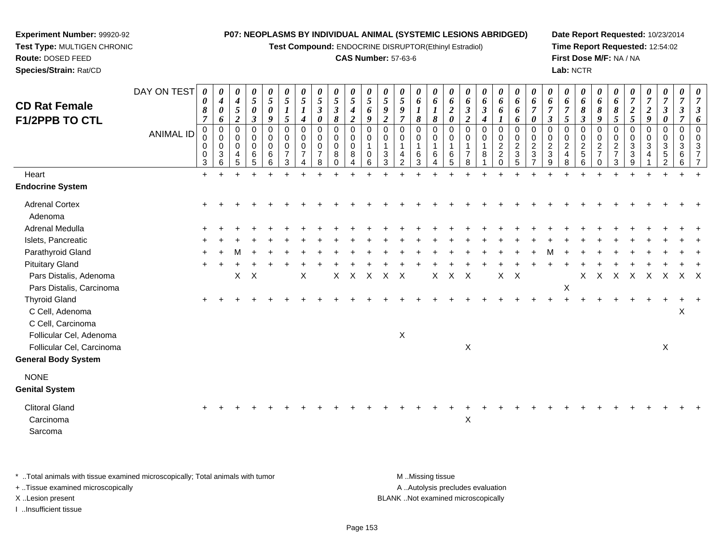**Test Compound:** ENDOCRINE DISRUPTOR(Ethinyl Estradiol)

#### **CAS Number:** 57-63-6

**Date Report Requested:** 10/23/2014**Time Report Requested:** 12:54:02**First Dose M/F:** NA / NA**Lab:** NCTR

| <b>CD Rat Female</b><br><b>F1/2PPB TO CTL</b>                | DAY ON TEST<br>ANIMAL ID | 0<br>0<br>8<br>$\overline{7}$<br>0<br>0<br>0<br>0<br>3 | 0<br>$\boldsymbol{4}$<br>$\boldsymbol{\theta}$<br>6<br>0<br>$\mathbf 0$<br>0<br>$\mathbf{3}$<br>6 | 0<br>4<br>$\mathfrak{s}$<br>$\boldsymbol{2}$<br>$\mathbf 0$<br>$\mathbf 0$<br>0<br>4<br>5 | $\pmb{\theta}$<br>$\sqrt{5}$<br>$\pmb{\theta}$<br>$\boldsymbol{\beta}$<br>0<br>0<br>$\mathbf 0$<br>6<br>5 | 0<br>5<br>$\boldsymbol{\theta}$<br>9<br>$\mathbf 0$<br>$\mathbf 0$<br>$\mathsf 0$<br>6<br>6 | 0<br>5<br>$\boldsymbol{l}$<br>5<br>$\mathbf 0$<br>$\mathbf 0$<br>0<br>$\overline{7}$<br>3 | 0<br>$\mathfrak{s}$<br>$\boldsymbol{l}$<br>$\boldsymbol{4}$<br>0<br>$\mathbf 0$<br>0<br>$\overline{7}$ | 0<br>5<br>$\boldsymbol{\beta}$<br>$\boldsymbol{\theta}$<br>$\mathbf 0$<br>$\mathsf{O}\xspace$<br>$\mathbf 0$<br>$\overline{7}$<br>8 | 0<br>$\overline{5}$<br>$\boldsymbol{\beta}$<br>$\pmb{8}$<br>0<br>0<br>0<br>8 | 0<br>5<br>$\boldsymbol{4}$<br>$\boldsymbol{2}$<br>$\mathbf 0$<br>$\pmb{0}$<br>$\mathbf 0$<br>8 | 0<br>$\mathfrak{F}$<br>6<br>9<br>$\mathbf 0$<br>$\mathbf 0$<br>$\mathbf{1}$<br>$\mathbf 0$<br>6 | 0<br>$\mathfrak{s}$<br>9<br>$\boldsymbol{2}$<br>$\Omega$<br>$\mathbf 0$<br>$\mathbf{1}$<br>3<br>3 | 0<br>5<br>9<br>$\overline{\tau}$<br>$\Omega$<br>$\mathbf 0$ | $\boldsymbol{\theta}$<br>6<br>$\boldsymbol{l}$<br>8<br>$\pmb{0}$<br>$\mathbf 0$<br>$\mathbf 1$<br>6<br>3 | 0<br>6<br>$\boldsymbol{l}$<br>$\boldsymbol{\delta}$<br>$\mathbf 0$<br>$\pmb{0}$<br>$\mathbf{1}$<br>6 | 0<br>6<br>$\boldsymbol{2}$<br>$\boldsymbol{\theta}$<br>$\Omega$<br>0<br>1<br>6<br>5 | 0<br>6<br>$\boldsymbol{\beta}$<br>$\boldsymbol{2}$<br>$\Omega$<br>$\Omega$ | 0<br>6<br>$\mathfrak{z}$<br>$\boldsymbol{4}$<br>$\Omega$<br>0<br>8 | 0<br>6<br>6<br>0<br>$\mathbf 0$<br>$\sqrt{2}$<br>$\overline{c}$<br>$\Omega$ | 0<br>6<br>6<br>6<br>$\pmb{0}$<br>$\pmb{0}$<br>$\overline{2}$<br>$\ensuremath{\mathsf{3}}$<br>5 | 0<br>6<br>$\overline{7}$<br>$\boldsymbol{\theta}$<br>$\mathbf 0$<br>$\mathbf 0$<br>$\boldsymbol{2}$<br>3 | 0<br>6<br>$\overline{7}$<br>$\boldsymbol{\beta}$<br>$\Omega$<br>0<br>$\sqrt{2}$<br>3<br>9 | 0<br>6<br>$\overline{7}$<br>5<br>$\mathbf 0$<br>0<br>$\overline{c}$<br>$\overline{4}$<br>8 | 0<br>6<br>8<br>$\boldsymbol{\beta}$<br>0<br>$\mathsf{O}$<br>$\overline{\mathbf{c}}$<br>$\overline{5}$<br>6 | 0<br>6<br>8<br>9<br>$\mathbf 0$<br>$\mathbf 0$<br>$\sqrt{2}$<br>$\overline{7}$<br>$\Omega$ | 0<br>6<br>$\boldsymbol{\delta}$<br>$\mathfrak{s}$<br>$\mathbf 0$<br>$\mathbf 0$<br>$\overline{2}$<br>$\overline{7}$<br>3 | $\overline{7}$<br>$\boldsymbol{2}$<br>5<br>$\Omega$<br>0<br>3<br>3 | 0<br>$\overline{7}$<br>$\boldsymbol{2}$<br>9<br>0<br>$\mathbf{0}$<br>3 | 0<br>$\overline{7}$<br>$\boldsymbol{\beta}$<br>0<br>0<br>$\mathbf 0$<br>3<br>5 | 0<br>$\overline{7}$<br>$\boldsymbol{\beta}$<br>$\mathbf 0$<br>$\Omega$<br>3<br>6 |   |
|--------------------------------------------------------------|--------------------------|--------------------------------------------------------|---------------------------------------------------------------------------------------------------|-------------------------------------------------------------------------------------------|-----------------------------------------------------------------------------------------------------------|---------------------------------------------------------------------------------------------|-------------------------------------------------------------------------------------------|--------------------------------------------------------------------------------------------------------|-------------------------------------------------------------------------------------------------------------------------------------|------------------------------------------------------------------------------|------------------------------------------------------------------------------------------------|-------------------------------------------------------------------------------------------------|---------------------------------------------------------------------------------------------------|-------------------------------------------------------------|----------------------------------------------------------------------------------------------------------|------------------------------------------------------------------------------------------------------|-------------------------------------------------------------------------------------|----------------------------------------------------------------------------|--------------------------------------------------------------------|-----------------------------------------------------------------------------|------------------------------------------------------------------------------------------------|----------------------------------------------------------------------------------------------------------|-------------------------------------------------------------------------------------------|--------------------------------------------------------------------------------------------|------------------------------------------------------------------------------------------------------------|--------------------------------------------------------------------------------------------|--------------------------------------------------------------------------------------------------------------------------|--------------------------------------------------------------------|------------------------------------------------------------------------|--------------------------------------------------------------------------------|----------------------------------------------------------------------------------|---|
| Heart                                                        |                          | $\ddot{}$                                              |                                                                                                   |                                                                                           |                                                                                                           |                                                                                             |                                                                                           |                                                                                                        |                                                                                                                                     |                                                                              |                                                                                                |                                                                                                 |                                                                                                   |                                                             |                                                                                                          |                                                                                                      |                                                                                     |                                                                            |                                                                    |                                                                             |                                                                                                |                                                                                                          |                                                                                           |                                                                                            |                                                                                                            |                                                                                            |                                                                                                                          |                                                                    |                                                                        |                                                                                |                                                                                  |   |
| <b>Endocrine System</b>                                      |                          |                                                        |                                                                                                   |                                                                                           |                                                                                                           |                                                                                             |                                                                                           |                                                                                                        |                                                                                                                                     |                                                                              |                                                                                                |                                                                                                 |                                                                                                   |                                                             |                                                                                                          |                                                                                                      |                                                                                     |                                                                            |                                                                    |                                                                             |                                                                                                |                                                                                                          |                                                                                           |                                                                                            |                                                                                                            |                                                                                            |                                                                                                                          |                                                                    |                                                                        |                                                                                |                                                                                  |   |
| <b>Adrenal Cortex</b><br>Adenoma                             |                          |                                                        |                                                                                                   |                                                                                           |                                                                                                           |                                                                                             |                                                                                           |                                                                                                        |                                                                                                                                     |                                                                              |                                                                                                |                                                                                                 |                                                                                                   |                                                             |                                                                                                          |                                                                                                      |                                                                                     |                                                                            |                                                                    |                                                                             |                                                                                                |                                                                                                          |                                                                                           |                                                                                            |                                                                                                            |                                                                                            |                                                                                                                          |                                                                    |                                                                        |                                                                                |                                                                                  |   |
| Adrenal Medulla                                              |                          |                                                        |                                                                                                   |                                                                                           |                                                                                                           |                                                                                             |                                                                                           |                                                                                                        |                                                                                                                                     |                                                                              |                                                                                                |                                                                                                 |                                                                                                   |                                                             |                                                                                                          |                                                                                                      |                                                                                     |                                                                            |                                                                    |                                                                             |                                                                                                |                                                                                                          |                                                                                           |                                                                                            |                                                                                                            |                                                                                            |                                                                                                                          |                                                                    |                                                                        |                                                                                |                                                                                  |   |
| Islets, Pancreatic                                           |                          |                                                        |                                                                                                   |                                                                                           |                                                                                                           |                                                                                             |                                                                                           |                                                                                                        |                                                                                                                                     |                                                                              |                                                                                                |                                                                                                 |                                                                                                   |                                                             |                                                                                                          |                                                                                                      |                                                                                     |                                                                            |                                                                    |                                                                             |                                                                                                |                                                                                                          |                                                                                           |                                                                                            |                                                                                                            |                                                                                            |                                                                                                                          |                                                                    |                                                                        |                                                                                |                                                                                  |   |
| Parathyroid Gland                                            |                          |                                                        |                                                                                                   |                                                                                           |                                                                                                           |                                                                                             |                                                                                           |                                                                                                        |                                                                                                                                     |                                                                              |                                                                                                |                                                                                                 |                                                                                                   |                                                             |                                                                                                          |                                                                                                      |                                                                                     |                                                                            |                                                                    |                                                                             |                                                                                                |                                                                                                          |                                                                                           |                                                                                            |                                                                                                            |                                                                                            |                                                                                                                          |                                                                    |                                                                        |                                                                                |                                                                                  |   |
| <b>Pituitary Gland</b>                                       |                          |                                                        |                                                                                                   |                                                                                           |                                                                                                           |                                                                                             |                                                                                           |                                                                                                        |                                                                                                                                     |                                                                              |                                                                                                |                                                                                                 |                                                                                                   |                                                             |                                                                                                          |                                                                                                      |                                                                                     |                                                                            |                                                                    |                                                                             |                                                                                                |                                                                                                          |                                                                                           |                                                                                            |                                                                                                            |                                                                                            |                                                                                                                          |                                                                    |                                                                        |                                                                                |                                                                                  |   |
| Pars Distalis, Adenoma<br>Pars Distalis, Carcinoma           |                          |                                                        |                                                                                                   | X                                                                                         | X                                                                                                         |                                                                                             |                                                                                           | X                                                                                                      |                                                                                                                                     | X                                                                            | $\sf X$                                                                                        | Χ                                                                                               | X                                                                                                 | Χ                                                           |                                                                                                          | X                                                                                                    | Χ                                                                                   | X                                                                          |                                                                    | X                                                                           | $\mathsf{X}$                                                                                   |                                                                                                          |                                                                                           | $\mathsf X$                                                                                | X                                                                                                          | Χ                                                                                          | X                                                                                                                        | X                                                                  | X                                                                      | Χ                                                                              | X                                                                                | X |
| <b>Thyroid Gland</b><br>C Cell, Adenoma<br>C Cell, Carcinoma |                          | ÷                                                      |                                                                                                   |                                                                                           |                                                                                                           |                                                                                             |                                                                                           |                                                                                                        |                                                                                                                                     |                                                                              |                                                                                                |                                                                                                 |                                                                                                   |                                                             |                                                                                                          |                                                                                                      |                                                                                     |                                                                            |                                                                    |                                                                             |                                                                                                |                                                                                                          |                                                                                           |                                                                                            |                                                                                                            |                                                                                            |                                                                                                                          |                                                                    |                                                                        |                                                                                | $\boldsymbol{\mathsf{X}}$                                                        |   |
| Follicular Cel, Adenoma<br>Follicular Cel, Carcinoma         |                          |                                                        |                                                                                                   |                                                                                           |                                                                                                           |                                                                                             |                                                                                           |                                                                                                        |                                                                                                                                     |                                                                              |                                                                                                |                                                                                                 |                                                                                                   | X                                                           |                                                                                                          |                                                                                                      |                                                                                     | $\mathsf X$                                                                |                                                                    |                                                                             |                                                                                                |                                                                                                          |                                                                                           |                                                                                            |                                                                                                            |                                                                                            |                                                                                                                          |                                                                    |                                                                        | X                                                                              |                                                                                  |   |
| <b>General Body System</b>                                   |                          |                                                        |                                                                                                   |                                                                                           |                                                                                                           |                                                                                             |                                                                                           |                                                                                                        |                                                                                                                                     |                                                                              |                                                                                                |                                                                                                 |                                                                                                   |                                                             |                                                                                                          |                                                                                                      |                                                                                     |                                                                            |                                                                    |                                                                             |                                                                                                |                                                                                                          |                                                                                           |                                                                                            |                                                                                                            |                                                                                            |                                                                                                                          |                                                                    |                                                                        |                                                                                |                                                                                  |   |
| <b>NONE</b>                                                  |                          |                                                        |                                                                                                   |                                                                                           |                                                                                                           |                                                                                             |                                                                                           |                                                                                                        |                                                                                                                                     |                                                                              |                                                                                                |                                                                                                 |                                                                                                   |                                                             |                                                                                                          |                                                                                                      |                                                                                     |                                                                            |                                                                    |                                                                             |                                                                                                |                                                                                                          |                                                                                           |                                                                                            |                                                                                                            |                                                                                            |                                                                                                                          |                                                                    |                                                                        |                                                                                |                                                                                  |   |
| <b>Genital System</b>                                        |                          |                                                        |                                                                                                   |                                                                                           |                                                                                                           |                                                                                             |                                                                                           |                                                                                                        |                                                                                                                                     |                                                                              |                                                                                                |                                                                                                 |                                                                                                   |                                                             |                                                                                                          |                                                                                                      |                                                                                     |                                                                            |                                                                    |                                                                             |                                                                                                |                                                                                                          |                                                                                           |                                                                                            |                                                                                                            |                                                                                            |                                                                                                                          |                                                                    |                                                                        |                                                                                |                                                                                  |   |
| <b>Clitoral Gland</b>                                        |                          |                                                        |                                                                                                   |                                                                                           |                                                                                                           |                                                                                             |                                                                                           |                                                                                                        |                                                                                                                                     |                                                                              |                                                                                                |                                                                                                 |                                                                                                   |                                                             |                                                                                                          |                                                                                                      |                                                                                     |                                                                            |                                                                    |                                                                             |                                                                                                |                                                                                                          |                                                                                           |                                                                                            |                                                                                                            |                                                                                            |                                                                                                                          |                                                                    |                                                                        |                                                                                |                                                                                  |   |

\* ..Total animals with tissue examined microscopically; Total animals with tumor **M** . Missing tissue M ..Missing tissue

+ ..Tissue examined microscopically

**Experiment Number:** 99920-92**Test Type:** MULTIGEN CHRONIC

**Route:** DOSED FEED**Species/Strain:** Rat/CD

I ..Insufficient tissue

Carcinoma

Sarcoma

A ..Autolysis precludes evaluation

X ..Lesion present BLANK ..Not examined microscopically

 $\alpha$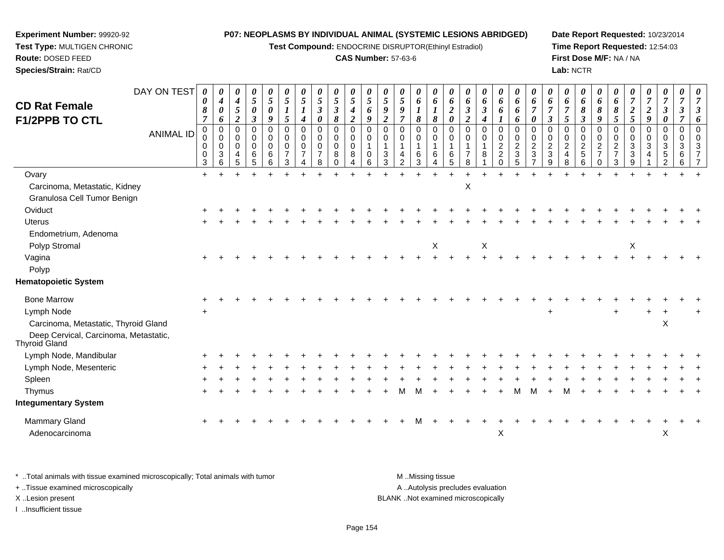**Test Compound:** ENDOCRINE DISRUPTOR(Ethinyl Estradiol)

**Date Report Requested:** 10/23/2014**Time Report Requested:** 12:54:03**First Dose M/F:** NA / NA**Lab:** NCTR

**Route:** DOSED FEED **Species/Strain:** Rat/CD**CAS Number:** 57-63-6DAY ON TEST**CD Rat Female F1/2PPB TO CTL**ANIMAL ID*0 0 8 7* 0 0 0 0 3 $\ddot{}$ *0 4 0 6* 0 0 0 3 6*0 4 5 2* 0 0 0 4 5*0 5 0 3* 0 0 0 6 5*0 5 0 9* 0 0 0 6 6*0 5 1 5* 0 0 0 7 3 $\ddot{}$ *0 5 1 4* 0 0 0 7 4*0 5 3 0* 0 0 0 7 8 $\ddot{}$ *0 5 3 8* 00<br>0<br>0<br>0 *0 5 4 2* 0 0 0 8 4*0 5 6 9* 0 0 1 0 6 $\ddot{}$ *0 5 9 2* 0 0 1 3 3 $\ddot{}$ *0 5 9 7* 0 0 1 4 2 $\ddot{}$ *0 6 1 8* 0 0 1 6 3*0 6 1 8* 0 0 1 6 4*0 6 2 0* 0 0 1 6 5*0 6 3 2* 0 0 1 7 8*0 6 3 4* 0 0 1 8 1 $\ddot{}$ *0 6 6 1* 0 0 2 2 0*0 6 6 6* 0 0 2 3 5*0 6 7 0* 0 0 2 3 7Ovary $\mathsf y$  <sup>+</sup> <sup>+</sup> <sup>+</sup> <sup>+</sup> <sup>+</sup> <sup>+</sup> <sup>+</sup> <sup>+</sup> <sup>+</sup> <sup>+</sup> <sup>+</sup> <sup>+</sup> <sup>+</sup> <sup>+</sup> <sup>+</sup> <sup>+</sup> <sup>+</sup> <sup>+</sup> <sup>+</sup> <sup>+</sup> <sup>+</sup> <sup>+</sup> <sup>+</sup> <sup>+</sup> <sup>+</sup> <sup>+</sup> <sup>+</sup> <sup>+</sup> <sup>+</sup> <sup>+</sup> Carcinoma, Metastatic, Kidney $\mathsf y$ 

**Experiment Number:** 99920-92**Test Type:** MULTIGEN CHRONIC

| Carcinoma, Metastatic, Kidney                          |           |  |  |  |  |  |   |              | х |                  |          |   |   |     |   |  |     |   |     |           |  |
|--------------------------------------------------------|-----------|--|--|--|--|--|---|--------------|---|------------------|----------|---|---|-----|---|--|-----|---|-----|-----------|--|
| Granulosa Cell Tumor Benign                            |           |  |  |  |  |  |   |              |   |                  |          |   |   |     |   |  |     |   |     |           |  |
| Oviduct                                                | $\pm$     |  |  |  |  |  |   |              |   |                  |          |   |   |     |   |  |     |   |     |           |  |
| Uterus                                                 | $+$       |  |  |  |  |  |   |              |   |                  |          |   |   |     |   |  |     |   |     |           |  |
| Endometrium, Adenoma                                   |           |  |  |  |  |  |   |              |   |                  |          |   |   |     |   |  |     |   |     |           |  |
| Polyp Stromal                                          |           |  |  |  |  |  |   | $\mathsf{X}$ |   | $\boldsymbol{X}$ |          |   |   |     |   |  |     | X |     |           |  |
| Vagina                                                 | $\pm$     |  |  |  |  |  |   |              |   |                  |          |   |   |     |   |  |     |   |     |           |  |
| Polyp                                                  |           |  |  |  |  |  |   |              |   |                  |          |   |   |     |   |  |     |   |     |           |  |
| <b>Hematopoietic System</b>                            |           |  |  |  |  |  |   |              |   |                  |          |   |   |     |   |  |     |   |     |           |  |
| <b>Bone Marrow</b>                                     | $\ddot{}$ |  |  |  |  |  |   |              |   |                  |          |   |   |     |   |  |     |   |     |           |  |
| Lymph Node                                             | $+$       |  |  |  |  |  |   |              |   |                  |          |   |   | $+$ |   |  | $+$ |   | $+$ | $\ddot{}$ |  |
| Carcinoma, Metastatic, Thyroid Gland                   |           |  |  |  |  |  |   |              |   |                  |          |   |   |     |   |  |     |   |     | X         |  |
| Deep Cervical, Carcinoma, Metastatic,<br>Thyroid Gland |           |  |  |  |  |  |   |              |   |                  |          |   |   |     |   |  |     |   |     |           |  |
| Lymph Node, Mandibular                                 |           |  |  |  |  |  |   |              |   |                  |          |   |   |     |   |  |     |   |     |           |  |
| Lymph Node, Mesenteric                                 | $+$       |  |  |  |  |  |   |              |   |                  |          |   |   |     |   |  |     |   |     |           |  |
| Spleen                                                 | $\ddot{}$ |  |  |  |  |  |   |              |   |                  |          |   |   |     |   |  |     |   |     |           |  |
| Thymus                                                 | $+$       |  |  |  |  |  | м |              |   |                  |          | м | м | $+$ | м |  |     |   |     |           |  |
| <b>Integumentary System</b>                            |           |  |  |  |  |  |   |              |   |                  |          |   |   |     |   |  |     |   |     |           |  |
| Mammary Gland                                          | $+$       |  |  |  |  |  |   |              |   |                  |          |   |   |     |   |  |     |   |     | $\ddot{}$ |  |
| Adenocarcinoma                                         |           |  |  |  |  |  |   |              |   |                  | $\times$ |   |   |     |   |  |     |   |     | X         |  |
|                                                        |           |  |  |  |  |  |   |              |   |                  |          |   |   |     |   |  |     |   |     |           |  |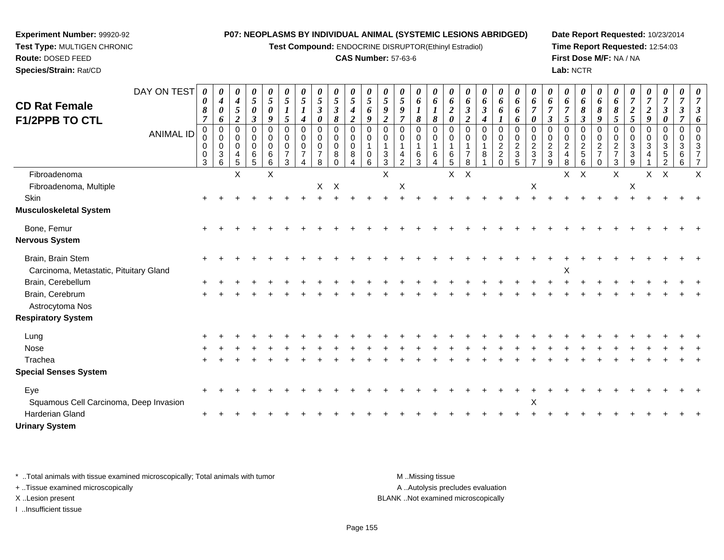**Test Compound:** ENDOCRINE DISRUPTOR(Ethinyl Estradiol)

#### **CAS Number:** 57-63-6

**Date Report Requested:** 10/23/2014**Time Report Requested:** 12:54:03**First Dose M/F:** NA / NA**Lab:** NCTR

| <b>CD Rat Female</b><br>F1/2PPB TO CTL                      | DAY ON TEST<br><b>ANIMAL ID</b> | 0<br>0<br>8<br>$\overline{7}$<br>$\mathbf 0$ | 0<br>$\boldsymbol{4}$<br>$\boldsymbol{\theta}$<br>6<br>$\Omega$ | 0<br>4<br>5<br>$\overline{2}$<br>0 | 0<br>5<br>0<br>$\boldsymbol{\beta}$<br>0 | 0<br>5<br>0<br>9<br>$\Omega$         | 0<br>5<br>$\boldsymbol{l}$<br>5<br>0 | 5<br>$\boldsymbol{l}$<br>$\boldsymbol{4}$<br>$\Omega$ | 0<br>5<br>3<br>0<br>$\Omega$ | $\pmb{\theta}$<br>$\mathfrak{H}$<br>$\boldsymbol{\beta}$<br>8<br>0 | 0<br>5<br>$\boldsymbol{4}$<br>$\boldsymbol{2}$<br>$\mathbf 0$ | 0<br>5<br>6<br>9<br>$\Omega$ | 5<br>9<br>$\boldsymbol{2}$<br>$\Omega$ | 0<br>5<br>9<br>$\Omega$   | 0<br>6<br>8<br>0                      | 0<br>6<br>8<br>$\Omega$               | 0<br>6<br>$\overline{2}$<br>0<br>0 | 0<br>6<br>$\boldsymbol{\beta}$<br>$\overline{2}$<br>$\Omega$ | 0<br>6<br>3<br>$\Omega$ | 0<br>6<br>6<br>0                                   | $\pmb{\theta}$<br>6<br>6<br>6<br>$\mathbf 0$             | 0<br>6<br>0<br>$\Omega$         | 0<br>6<br>$\boldsymbol{\beta}$<br>$\Omega$ | 0<br>6<br>5<br>$\Omega$              | 0<br>6<br>8<br>$\boldsymbol{\beta}$<br>0 | $\boldsymbol{\theta}$<br>6<br>8<br>9<br>$\Omega$ | 0<br>6<br>8<br>5<br>0                             | $\boldsymbol{2}$<br>5 | 0<br>$\boldsymbol{2}$<br>9 | 0<br>7   | 0<br>7<br>$\Omega$ |  |
|-------------------------------------------------------------|---------------------------------|----------------------------------------------|-----------------------------------------------------------------|------------------------------------|------------------------------------------|--------------------------------------|--------------------------------------|-------------------------------------------------------|------------------------------|--------------------------------------------------------------------|---------------------------------------------------------------|------------------------------|----------------------------------------|---------------------------|---------------------------------------|---------------------------------------|------------------------------------|--------------------------------------------------------------|-------------------------|----------------------------------------------------|----------------------------------------------------------|---------------------------------|--------------------------------------------|--------------------------------------|------------------------------------------|--------------------------------------------------|---------------------------------------------------|-----------------------|----------------------------|----------|--------------------|--|
|                                                             |                                 | 0<br>0<br>0<br>3                             | $\overline{0}$<br>$\mathbf 0$<br>$\mathbf{3}$<br>6              | $\Omega$<br>0<br>4<br>5            | $\mathbf 0$<br>$\mathbf 0$<br>6<br>5     | $\mathbf 0$<br>$\mathbf 0$<br>6<br>6 | $\Omega$<br>0<br>$\overline{7}$<br>3 | $\Omega$<br>0                                         | $\Omega$<br>0<br>8           | 0<br>0<br>8<br>0                                                   | $\mathbf 0$<br>$\mathbf 0$<br>8<br>4                          | $\Omega$<br>0<br>6           | $\Omega$<br>3<br>3                     | $\Omega$<br>$\mathcal{P}$ | $\mathbf 0$<br>$\mathbf{1}$<br>6<br>3 | $\mathbf 0$<br>$\mathbf{1}$<br>6<br>4 | 0<br>6<br>5                        | $\Omega$<br>8                                                | $\Omega$<br>8           | $\pmb{0}$<br>$\overline{c}$<br>$\overline{a}$<br>0 | $\mathsf{O}\xspace$<br>$\overline{2}$<br>$\sqrt{3}$<br>5 | $\Omega$<br>$\overline{c}$<br>3 | $\Omega$<br>$\overline{c}$<br>3<br>q       | $\Omega$<br>$\overline{2}$<br>4<br>8 | 0<br>$\overline{c}$<br>$\mathbf 5$<br>6  | $\mathbf 0$<br>2<br>$\Omega$                     | $\Omega$<br>$\overline{c}$<br>$\overline{7}$<br>3 | $\Omega$<br>3<br>3    | 0<br>3                     | $\Omega$ | $\Omega$           |  |
| Fibroadenoma<br>Fibroadenoma, Multiple                      |                                 |                                              |                                                                 | X                                  |                                          | X                                    |                                      |                                                       | $\mathsf{X}$                 | $\mathsf{X}$                                                       |                                                               |                              | X                                      | X                         |                                       |                                       | $\mathsf X$                        | $\times$                                                     |                         |                                                    |                                                          | $\boldsymbol{\mathsf{X}}$       |                                            | X                                    | $\mathsf X$                              |                                                  | $\mathsf X$                                       | X                     | X                          | X        |                    |  |
| Skin<br><b>Musculoskeletal System</b>                       |                                 |                                              |                                                                 |                                    |                                          |                                      |                                      |                                                       |                              |                                                                    |                                                               |                              |                                        |                           |                                       |                                       |                                    |                                                              |                         |                                                    |                                                          |                                 |                                            |                                      |                                          |                                                  |                                                   |                       |                            |          |                    |  |
| Bone, Femur<br>Nervous System                               |                                 |                                              |                                                                 |                                    |                                          |                                      |                                      |                                                       |                              |                                                                    |                                                               |                              |                                        |                           |                                       |                                       |                                    |                                                              |                         |                                                    |                                                          |                                 |                                            |                                      |                                          |                                                  |                                                   |                       |                            |          |                    |  |
| Brain, Brain Stem<br>Carcinoma, Metastatic, Pituitary Gland |                                 |                                              |                                                                 |                                    |                                          |                                      |                                      |                                                       |                              |                                                                    |                                                               |                              |                                        |                           |                                       |                                       |                                    |                                                              |                         |                                                    |                                                          |                                 |                                            | X                                    |                                          |                                                  |                                                   |                       |                            |          |                    |  |
| Brain, Cerebellum<br>Brain, Cerebrum<br>Astrocytoma Nos     |                                 |                                              |                                                                 |                                    |                                          |                                      |                                      |                                                       |                              |                                                                    |                                                               |                              |                                        |                           |                                       |                                       |                                    |                                                              |                         |                                                    |                                                          |                                 |                                            |                                      |                                          |                                                  |                                                   |                       |                            |          |                    |  |
| <b>Respiratory System</b>                                   |                                 |                                              |                                                                 |                                    |                                          |                                      |                                      |                                                       |                              |                                                                    |                                                               |                              |                                        |                           |                                       |                                       |                                    |                                                              |                         |                                                    |                                                          |                                 |                                            |                                      |                                          |                                                  |                                                   |                       |                            |          |                    |  |
| Lung<br>Nose                                                |                                 |                                              |                                                                 |                                    |                                          |                                      |                                      |                                                       |                              |                                                                    |                                                               |                              |                                        |                           |                                       |                                       |                                    |                                                              |                         |                                                    |                                                          |                                 |                                            |                                      |                                          |                                                  |                                                   |                       |                            |          |                    |  |
| Trachea<br><b>Special Senses System</b>                     |                                 |                                              |                                                                 |                                    |                                          |                                      |                                      |                                                       |                              |                                                                    |                                                               |                              |                                        |                           |                                       |                                       |                                    |                                                              |                         |                                                    |                                                          |                                 |                                            |                                      |                                          |                                                  |                                                   |                       |                            |          |                    |  |
| Eye<br>Squamous Cell Carcinoma, Deep Invasion               |                                 |                                              |                                                                 |                                    |                                          |                                      |                                      |                                                       |                              |                                                                    |                                                               |                              |                                        |                           |                                       |                                       |                                    |                                                              |                         |                                                    |                                                          | X                               |                                            |                                      |                                          |                                                  |                                                   |                       |                            |          |                    |  |
| <b>Harderian Gland</b>                                      |                                 | $\pm$                                        |                                                                 |                                    |                                          |                                      |                                      |                                                       |                              |                                                                    |                                                               |                              |                                        |                           |                                       |                                       |                                    |                                                              |                         |                                                    |                                                          |                                 |                                            |                                      |                                          |                                                  |                                                   |                       |                            |          |                    |  |

\* ..Total animals with tissue examined microscopically; Total animals with tumor **M** ...Missing tissue M ...Missing tissue

 $\alpha$  +

+ ..Tissue examined microscopically

**Experiment Number:** 99920-92**Test Type:** MULTIGEN CHRONIC

**Route:** DOSED FEED**Species/Strain:** Rat/CD

**Urinary System**

I ..Insufficient tissue

A ..Autolysis precludes evaluation X ..Lesion present BLANK ..Not examined microscopically

<sup>+</sup> <sup>+</sup> <sup>+</sup> <sup>+</sup> <sup>+</sup> <sup>+</sup> <sup>+</sup> <sup>+</sup> <sup>+</sup> <sup>+</sup> <sup>+</sup> <sup>+</sup> <sup>+</sup> <sup>+</sup> <sup>+</sup> <sup>+</sup> <sup>+</sup> <sup>+</sup> <sup>+</sup> <sup>+</sup> <sup>+</sup> <sup>+</sup> <sup>+</sup> <sup>+</sup> <sup>+</sup> <sup>+</sup> <sup>+</sup> <sup>+</sup> <sup>+</sup> <sup>+</sup>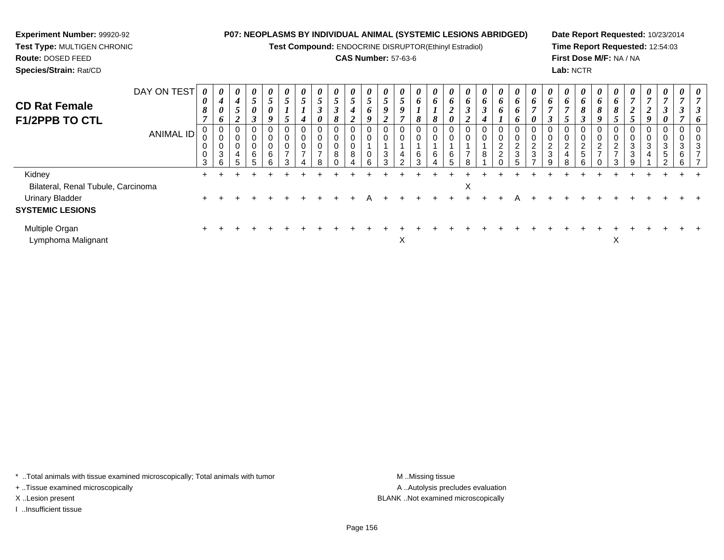**Test Compound:** ENDOCRINE DISRUPTOR(Ethinyl Estradiol)

#### **CAS Number:** 57-63-6

**Date Report Requested:** 10/23/2014**Time Report Requested:** 12:54:03**First Dose M/F:** NA / NA**Lab:** NCTR

| DAY ON TEST<br><b>CD Rat Female</b><br><b>F1/2PPB TO CTL</b> | <b>ANIMAL ID</b> | $\theta$<br>0<br>8<br>$\overline{ }$<br>0<br>0<br>3 | $\boldsymbol{\theta}$<br>$\boldsymbol{4}$<br>$\boldsymbol{\theta}$<br>6<br>0<br>0<br>$\pmb{0}$<br>$\mathbf{3}$<br>6 | $\boldsymbol{\theta}$<br>4<br>-<br>$\mathcal{L}$<br>2<br>0<br>0<br>0<br>4<br>5 | $\boldsymbol{\theta}$<br>$\overline{ }$<br>$\mathfrak{I}$<br>0<br>$\rightarrow$<br>J<br>0<br>6 | $\boldsymbol{\theta}$<br>5<br>0<br>9<br>0<br>0<br>0<br>6<br>⌒ | $\boldsymbol{\mathit{U}}$<br>C<br>5<br>C<br>$\overline{\phantom{a}}$ | $\boldsymbol{\theta}$<br>$\mathcal{L}$<br>4<br>0<br>0<br>0<br>$\overline{ }$ | $\boldsymbol{\theta}$<br>$\mathfrak{H}$<br>$\rightarrow$<br>J<br>0<br>0<br>0<br>0<br>$\overline{ }$<br>я | $\boldsymbol{\theta}$<br>$\overline{ }$<br>$\mathcal{L}$<br>$\boldsymbol{\beta}$<br>8<br>$\sim$<br>U<br>0<br>8 | $\boldsymbol{\theta}$<br>$\overline{ }$<br>$\mathfrak{I}$<br>4<br><u>ำ</u><br>∠<br>8 | $\overline{5}$<br>6<br>9<br>0<br>0<br>$\sqrt{2}$ | $\boldsymbol{\theta}$<br>$\mathfrak{I}$<br>Q<br>◠<br>◢<br>0<br>0<br>3<br>$\sim$ | $\boldsymbol{\theta}$<br>$\mathfrak{s}$<br>9<br>7<br>0<br>0<br>4<br>C | $\boldsymbol{\theta}$<br>$\bm{b}$<br>8<br>0<br>$\mathbf 0$<br>6 | $\boldsymbol{\theta}$<br>o<br>8<br>6 | $\boldsymbol{\theta}$<br>6<br>◢<br>$\boldsymbol{\theta}$<br>0<br>6 | $\theta$<br>6<br>$\rightarrow$<br>$\mathbf{J}$<br>2<br>0 | $\boldsymbol{\theta}$<br>6<br>$\boldsymbol{\beta}$<br>$\boldsymbol{4}$<br>0<br>0<br>8 | $\boldsymbol{\theta}$<br>6<br>6<br>L<br>0<br>$\pmb{0}$<br>$\boldsymbol{2}$<br>$\boldsymbol{2}$ | $\boldsymbol{\theta}$<br>6<br>6<br>6<br>$\sim$<br>$\epsilon$<br>3 | $\boldsymbol{\theta}$<br>6<br>$\boldsymbol{\theta}$<br>$\sqrt{2}$<br>∠<br>3 | $\theta$<br>6<br>0<br>$\Omega$<br>$\epsilon$<br>3 | $\theta$<br>6<br>5<br>0<br>0<br>$\overline{c}$<br>4<br>8 | $\boldsymbol{\theta}$<br>6<br>8<br>$\boldsymbol{\beta}$<br>0<br>0<br>$\overline{c}$<br>5<br>$\sim$ | $\boldsymbol{\theta}$<br>$\bm{o}$<br>8<br>9<br>0<br>0<br>$\mathcal{D}$<br>$\epsilon$<br>⇁ | $\boldsymbol{\theta}$<br>$\bm{o}$<br>8<br>5<br>2<br>$\overline{ }$ | $\boldsymbol{\theta}$<br>$\mathbf{r}$<br>$\boldsymbol{2}$<br>5<br>0<br>0<br>3<br>3<br>$\mathbf{Q}$ | $\boldsymbol{\theta}$<br>$\overline{ }$<br>$\overline{2}$<br>9<br>0<br>0<br>3<br>4 | $\boldsymbol{\theta}$<br>$\overline{7}$<br>$\boldsymbol{\beta}$<br>$\boldsymbol{\theta}$<br>0<br>3<br>$\sqrt{5}$<br>$\Omega$ | $\boldsymbol{\theta}$<br>0<br>3<br>6<br>6 | $\theta$ |
|--------------------------------------------------------------|------------------|-----------------------------------------------------|---------------------------------------------------------------------------------------------------------------------|--------------------------------------------------------------------------------|------------------------------------------------------------------------------------------------|---------------------------------------------------------------|----------------------------------------------------------------------|------------------------------------------------------------------------------|----------------------------------------------------------------------------------------------------------|----------------------------------------------------------------------------------------------------------------|--------------------------------------------------------------------------------------|--------------------------------------------------|---------------------------------------------------------------------------------|-----------------------------------------------------------------------|-----------------------------------------------------------------|--------------------------------------|--------------------------------------------------------------------|----------------------------------------------------------|---------------------------------------------------------------------------------------|------------------------------------------------------------------------------------------------|-------------------------------------------------------------------|-----------------------------------------------------------------------------|---------------------------------------------------|----------------------------------------------------------|----------------------------------------------------------------------------------------------------|-------------------------------------------------------------------------------------------|--------------------------------------------------------------------|----------------------------------------------------------------------------------------------------|------------------------------------------------------------------------------------|------------------------------------------------------------------------------------------------------------------------------|-------------------------------------------|----------|
| Kidney                                                       |                  | ÷.                                                  |                                                                                                                     |                                                                                |                                                                                                |                                                               |                                                                      |                                                                              |                                                                                                          |                                                                                                                |                                                                                      |                                                  |                                                                                 |                                                                       |                                                                 |                                      |                                                                    |                                                          |                                                                                       |                                                                                                |                                                                   |                                                                             |                                                   |                                                          |                                                                                                    |                                                                                           |                                                                    |                                                                                                    |                                                                                    |                                                                                                                              |                                           |          |
| Bilateral, Renal Tubule, Carcinoma                           |                  |                                                     |                                                                                                                     |                                                                                |                                                                                                |                                                               |                                                                      |                                                                              |                                                                                                          |                                                                                                                |                                                                                      |                                                  |                                                                                 |                                                                       |                                                                 |                                      |                                                                    | X                                                        |                                                                                       |                                                                                                |                                                                   |                                                                             |                                                   |                                                          |                                                                                                    |                                                                                           |                                                                    |                                                                                                    |                                                                                    |                                                                                                                              |                                           |          |
| <b>Urinary Bladder</b>                                       |                  | $\pm$                                               |                                                                                                                     |                                                                                |                                                                                                |                                                               |                                                                      |                                                                              |                                                                                                          |                                                                                                                |                                                                                      |                                                  |                                                                                 |                                                                       |                                                                 |                                      |                                                                    |                                                          |                                                                                       |                                                                                                |                                                                   |                                                                             |                                                   |                                                          |                                                                                                    |                                                                                           |                                                                    |                                                                                                    |                                                                                    |                                                                                                                              |                                           |          |
| <b>SYSTEMIC LESIONS</b>                                      |                  |                                                     |                                                                                                                     |                                                                                |                                                                                                |                                                               |                                                                      |                                                                              |                                                                                                          |                                                                                                                |                                                                                      |                                                  |                                                                                 |                                                                       |                                                                 |                                      |                                                                    |                                                          |                                                                                       |                                                                                                |                                                                   |                                                                             |                                                   |                                                          |                                                                                                    |                                                                                           |                                                                    |                                                                                                    |                                                                                    |                                                                                                                              |                                           |          |
| Multiple Organ<br>Lymphoma Malignant                         |                  |                                                     |                                                                                                                     |                                                                                |                                                                                                |                                                               |                                                                      |                                                                              |                                                                                                          |                                                                                                                |                                                                                      |                                                  |                                                                                 | X                                                                     |                                                                 |                                      |                                                                    |                                                          |                                                                                       |                                                                                                |                                                                   |                                                                             |                                                   |                                                          |                                                                                                    |                                                                                           | X                                                                  |                                                                                                    |                                                                                    |                                                                                                                              |                                           |          |

\* ..Total animals with tissue examined microscopically; Total animals with tumor **M** . Missing tissue M ..Missing tissue

+ ..Tissue examined microscopically

**Experiment Number:** 99920-92**Test Type:** MULTIGEN CHRONIC

**Route:** DOSED FEED**Species/Strain:** Rat/CD

I ..Insufficient tissue

A ..Autolysis precludes evaluation X ..Lesion present BLANK ..Not examined microscopically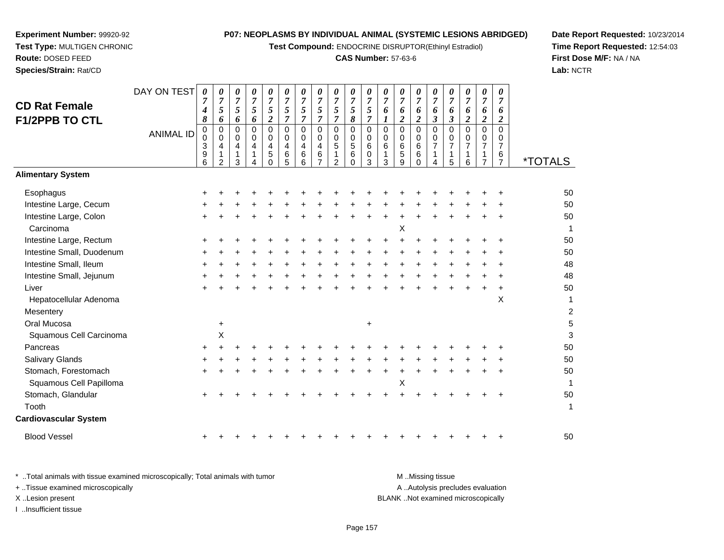**Test Compound:** ENDOCRINE DISRUPTOR(Ethinyl Estradiol)

#### **CAS Number:** 57-63-6

**Date Report Requested:** 10/23/2014**Time Report Requested:** 12:54:03**First Dose M/F:** NA / NA**Lab:** NCTR

| <b>CD Rat Female</b><br><b>F1/2PPB TO CTL</b> | DAY ON TEST<br><b>ANIMAL ID</b> | $\boldsymbol{\theta}$<br>7<br>$\boldsymbol{4}$<br>8<br>0<br>$\Omega$<br>3<br>9<br>6 | 0<br>$\overline{7}$<br>5<br>6<br>0<br>$\,0\,$<br>$\overline{\mathbf{4}}$<br>1<br>$\mathcal{P}$ | 0<br>$\overline{7}$<br>5<br>6<br>0<br>0<br>$\overline{\mathbf{4}}$<br>3 | 0<br>$\boldsymbol{7}$<br>5<br>6<br>$\Omega$<br>0<br>4 | 0<br>$\overline{7}$<br>5<br>$\overline{2}$<br>$\Omega$<br>0<br>$\overline{\mathbf{4}}$<br>5<br>$\Omega$ | 0<br>$\overline{7}$<br>5<br>$\overline{7}$<br>$\Omega$<br>0<br>4<br>6<br>5 | 0<br>$\overline{7}$<br>$\sqrt{5}$<br>$\overline{7}$<br>0<br>0<br>4<br>6<br>6 | 0<br>$\overline{7}$<br>5<br>$\overline{\tau}$<br>$\mathbf 0$<br>$\mathbf 0$<br>4<br>6 | 0<br>$\overline{7}$<br>5<br>$\overline{7}$<br>0<br>0<br>5<br>$\mathcal{P}$ | 0<br>$\overline{7}$<br>$\mathfrak{s}$<br>8<br>$\mathbf 0$<br>0<br>$\sqrt{5}$<br>6<br>$\Omega$ | 0<br>$\overline{7}$<br>5<br>$\overline{7}$<br>$\Omega$<br>$\Omega$<br>6<br>0<br>3 | 0<br>$\overline{7}$<br>6<br>$\mathbf{I}$<br>$\mathbf 0$<br>0<br>6<br>3 | 0<br>$\overline{7}$<br>6<br>$\overline{2}$<br>0<br>0<br>$\,6$<br>5<br>9 | 0<br>$\overline{7}$<br>6<br>$\overline{c}$<br>0<br>0<br>6<br>6<br>$\Omega$ | 0<br>$\overline{7}$<br>6<br>$\boldsymbol{\beta}$<br>0<br>0<br>$\overline{7}$ | 0<br>$\overline{7}$<br>6<br>$\mathbf{3}$<br>0<br>0<br>$\overline{7}$<br>1<br>5 | 0<br>$\overline{7}$<br>6<br>$\overline{c}$<br>$\Omega$<br>0<br>$\overline{7}$<br>1<br>6 | 0<br>$\overline{7}$<br>6<br>$\boldsymbol{2}$<br>$\Omega$<br>0<br>$\overline{7}$<br>$\overline{ }$ | 0<br>$\overline{7}$<br>6<br>$\boldsymbol{2}$<br>$\Omega$<br>0<br>$\overline{7}$<br>6<br>$\overline{7}$ | <i><b>*TOTALS</b></i> |
|-----------------------------------------------|---------------------------------|-------------------------------------------------------------------------------------|------------------------------------------------------------------------------------------------|-------------------------------------------------------------------------|-------------------------------------------------------|---------------------------------------------------------------------------------------------------------|----------------------------------------------------------------------------|------------------------------------------------------------------------------|---------------------------------------------------------------------------------------|----------------------------------------------------------------------------|-----------------------------------------------------------------------------------------------|-----------------------------------------------------------------------------------|------------------------------------------------------------------------|-------------------------------------------------------------------------|----------------------------------------------------------------------------|------------------------------------------------------------------------------|--------------------------------------------------------------------------------|-----------------------------------------------------------------------------------------|---------------------------------------------------------------------------------------------------|--------------------------------------------------------------------------------------------------------|-----------------------|
| <b>Alimentary System</b>                      |                                 |                                                                                     |                                                                                                |                                                                         |                                                       |                                                                                                         |                                                                            |                                                                              |                                                                                       |                                                                            |                                                                                               |                                                                                   |                                                                        |                                                                         |                                                                            |                                                                              |                                                                                |                                                                                         |                                                                                                   |                                                                                                        |                       |
| Esophagus                                     |                                 |                                                                                     |                                                                                                |                                                                         |                                                       |                                                                                                         |                                                                            |                                                                              |                                                                                       |                                                                            |                                                                                               |                                                                                   |                                                                        |                                                                         |                                                                            |                                                                              |                                                                                |                                                                                         |                                                                                                   |                                                                                                        | 50                    |
| Intestine Large, Cecum                        |                                 |                                                                                     |                                                                                                |                                                                         |                                                       |                                                                                                         |                                                                            |                                                                              |                                                                                       |                                                                            |                                                                                               |                                                                                   |                                                                        |                                                                         |                                                                            |                                                                              |                                                                                |                                                                                         |                                                                                                   |                                                                                                        | 50                    |
| Intestine Large, Colon                        |                                 |                                                                                     |                                                                                                |                                                                         |                                                       |                                                                                                         |                                                                            |                                                                              |                                                                                       |                                                                            |                                                                                               |                                                                                   |                                                                        |                                                                         |                                                                            |                                                                              |                                                                                |                                                                                         |                                                                                                   |                                                                                                        | 50                    |
| Carcinoma                                     |                                 |                                                                                     |                                                                                                |                                                                         |                                                       |                                                                                                         |                                                                            |                                                                              |                                                                                       |                                                                            |                                                                                               |                                                                                   |                                                                        | Χ                                                                       |                                                                            |                                                                              |                                                                                |                                                                                         |                                                                                                   |                                                                                                        | 1                     |
| Intestine Large, Rectum                       |                                 |                                                                                     |                                                                                                |                                                                         |                                                       |                                                                                                         |                                                                            |                                                                              |                                                                                       |                                                                            |                                                                                               |                                                                                   |                                                                        |                                                                         |                                                                            |                                                                              |                                                                                |                                                                                         |                                                                                                   |                                                                                                        | 50                    |
| Intestine Small, Duodenum                     |                                 |                                                                                     |                                                                                                |                                                                         |                                                       |                                                                                                         |                                                                            |                                                                              |                                                                                       |                                                                            |                                                                                               |                                                                                   |                                                                        |                                                                         |                                                                            |                                                                              |                                                                                |                                                                                         |                                                                                                   |                                                                                                        | 50                    |
| Intestine Small, Ileum                        |                                 |                                                                                     |                                                                                                |                                                                         |                                                       |                                                                                                         |                                                                            |                                                                              |                                                                                       |                                                                            |                                                                                               |                                                                                   |                                                                        |                                                                         |                                                                            |                                                                              |                                                                                |                                                                                         |                                                                                                   |                                                                                                        | 48                    |
| Intestine Small, Jejunum                      |                                 |                                                                                     |                                                                                                |                                                                         |                                                       |                                                                                                         |                                                                            |                                                                              |                                                                                       |                                                                            |                                                                                               |                                                                                   |                                                                        |                                                                         |                                                                            |                                                                              |                                                                                |                                                                                         |                                                                                                   |                                                                                                        | 48                    |
| Liver                                         |                                 |                                                                                     |                                                                                                |                                                                         |                                                       |                                                                                                         |                                                                            |                                                                              |                                                                                       |                                                                            |                                                                                               |                                                                                   |                                                                        |                                                                         |                                                                            |                                                                              |                                                                                |                                                                                         |                                                                                                   | $\ddot{}$                                                                                              | 50                    |
| Hepatocellular Adenoma                        |                                 |                                                                                     |                                                                                                |                                                                         |                                                       |                                                                                                         |                                                                            |                                                                              |                                                                                       |                                                                            |                                                                                               |                                                                                   |                                                                        |                                                                         |                                                                            |                                                                              |                                                                                |                                                                                         |                                                                                                   | X                                                                                                      | 1                     |
| Mesentery                                     |                                 |                                                                                     |                                                                                                |                                                                         |                                                       |                                                                                                         |                                                                            |                                                                              |                                                                                       |                                                                            |                                                                                               |                                                                                   |                                                                        |                                                                         |                                                                            |                                                                              |                                                                                |                                                                                         |                                                                                                   |                                                                                                        | $\overline{c}$        |
| Oral Mucosa                                   |                                 |                                                                                     | $\ddot{}$                                                                                      |                                                                         |                                                       |                                                                                                         |                                                                            |                                                                              |                                                                                       |                                                                            |                                                                                               | $\ddot{}$                                                                         |                                                                        |                                                                         |                                                                            |                                                                              |                                                                                |                                                                                         |                                                                                                   |                                                                                                        | 5                     |
| Squamous Cell Carcinoma                       |                                 |                                                                                     | Χ                                                                                              |                                                                         |                                                       |                                                                                                         |                                                                            |                                                                              |                                                                                       |                                                                            |                                                                                               |                                                                                   |                                                                        |                                                                         |                                                                            |                                                                              |                                                                                |                                                                                         |                                                                                                   |                                                                                                        | 3                     |
| Pancreas                                      |                                 |                                                                                     |                                                                                                |                                                                         |                                                       |                                                                                                         |                                                                            |                                                                              |                                                                                       |                                                                            |                                                                                               |                                                                                   |                                                                        |                                                                         |                                                                            |                                                                              |                                                                                |                                                                                         |                                                                                                   |                                                                                                        | 50                    |
| Salivary Glands                               |                                 |                                                                                     |                                                                                                |                                                                         |                                                       |                                                                                                         |                                                                            |                                                                              |                                                                                       |                                                                            |                                                                                               |                                                                                   |                                                                        |                                                                         |                                                                            |                                                                              |                                                                                |                                                                                         |                                                                                                   |                                                                                                        | 50                    |
| Stomach, Forestomach                          |                                 |                                                                                     |                                                                                                |                                                                         |                                                       |                                                                                                         |                                                                            |                                                                              |                                                                                       |                                                                            |                                                                                               |                                                                                   |                                                                        |                                                                         |                                                                            |                                                                              |                                                                                |                                                                                         |                                                                                                   |                                                                                                        | 50                    |
| Squamous Cell Papilloma                       |                                 |                                                                                     |                                                                                                |                                                                         |                                                       |                                                                                                         |                                                                            |                                                                              |                                                                                       |                                                                            |                                                                                               |                                                                                   |                                                                        | Χ                                                                       |                                                                            |                                                                              |                                                                                |                                                                                         |                                                                                                   |                                                                                                        | 1                     |
| Stomach, Glandular                            |                                 |                                                                                     |                                                                                                |                                                                         |                                                       |                                                                                                         |                                                                            |                                                                              |                                                                                       |                                                                            |                                                                                               |                                                                                   |                                                                        |                                                                         |                                                                            |                                                                              |                                                                                |                                                                                         |                                                                                                   |                                                                                                        | 50                    |

**Cardiovascular System**

**Experiment Number:** 99920-92**Test Type:** MULTIGEN CHRONIC

**Route:** DOSED FEED**Species/Strain:** Rat/CD

> Blood Vessel<sup>+</sup>

Tooth

\* ..Total animals with tissue examined microscopically; Total animals with tumor **M** ...Missing tissue M ...Missing tissue A .. Autolysis precludes evaluation + ..Tissue examined microscopically X ..Lesion present BLANK ..Not examined microscopicallyI ..Insufficient tissue

h<br>1

<sup>+</sup> <sup>+</sup> <sup>+</sup> <sup>+</sup> <sup>+</sup> <sup>+</sup> <sup>+</sup> <sup>+</sup> <sup>+</sup> <sup>+</sup> <sup>+</sup> <sup>+</sup> <sup>+</sup> <sup>+</sup> <sup>+</sup> <sup>+</sup> <sup>+</sup> <sup>+</sup> <sup>50</sup>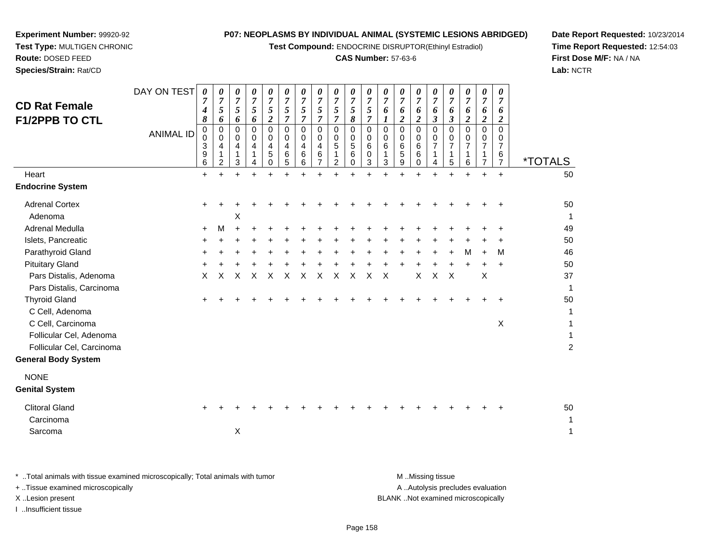**Test Compound:** ENDOCRINE DISRUPTOR(Ethinyl Estradiol)

#### **CAS Number:** 57-63-6

**Date Report Requested:** 10/23/2014**Time Report Requested:** 12:54:03**First Dose M/F:** NA / NA**Lab:** NCTR

 **Test Type:** MULTIGEN CHRONIC**Route:** DOSED FEED**Species/Strain:** Rat/CD

**Experiment Number:** 99920-92

| <b>CD Rat Female</b><br><b>F1/2PPB TO CTL</b><br>Heart<br><b>Endocrine System</b>  | DAY ON TEST<br><b>ANIMAL ID</b> | $\boldsymbol{\theta}$<br>7<br>4<br>8<br>$\mathbf 0$<br>0<br>3<br>9<br>6<br>$\ddot{}$ | 0<br>$\overline{7}$<br>$\mathfrak{s}$<br>6<br>0<br>$\Omega$<br>4<br>1<br>2<br>+ | 0<br>$\overline{7}$<br>5<br>6<br>0<br>$\Omega$<br>4<br>1<br>3 | 0<br>$\overline{7}$<br>5<br>6<br>$\mathbf 0$<br>$\Omega$<br>4<br>$\mathbf 1$<br>4<br>÷ | 0<br>$\overline{7}$<br>5<br>$\overline{c}$<br>$\mathbf 0$<br>0<br>4<br>5<br>0 | 0<br>$\overline{7}$<br>5<br>$\overline{7}$<br>0<br>0<br>4<br>6<br>5 | 0<br>$\overline{7}$<br>$\sqrt{5}$<br>$\overline{7}$<br>0<br>$\Omega$<br>$\overline{\mathbf{4}}$<br>$\,6\,$<br>6 | 0<br>$\overline{7}$<br>5<br>$\overline{7}$<br>$\mathbf 0$<br>$\Omega$<br>$\overline{\mathbf{4}}$<br>6<br>7 | 0<br>$\overline{7}$<br>$5\overline{)}$<br>$\overline{7}$<br>$\mathbf 0$<br>$\mathbf 0$<br>5<br>$\mathbf{1}$<br>$\overline{2}$ | 0<br>$\overline{7}$<br>$\sqrt{5}$<br>8<br>$\mathbf 0$<br>0<br>5<br>6<br>0 | 0<br>$\overline{7}$<br>$\mathfrak{s}$<br>$\overline{7}$<br>$\mathbf 0$<br>$\mathbf 0$<br>6<br>0<br>3 | 0<br>$\overline{7}$<br>6<br>1<br>$\mathbf 0$<br>$\Omega$<br>6<br>1<br>3 | 0<br>$\overline{7}$<br>6<br>$\overline{c}$<br>$\mathbf 0$<br>0<br>6<br>5<br>9 | 0<br>$\overline{7}$<br>6<br>$\overline{c}$<br>0<br>0<br>6<br>6<br>0 | 0<br>$\overline{7}$<br>6<br>3<br>0<br>0<br>$\overline{7}$<br>1<br>4 | 0<br>$\overline{7}$<br>6<br>$\boldsymbol{\beta}$<br>$\mathbf 0$<br>$\Omega$<br>$\overline{7}$<br>1<br>5 | 0<br>$\overline{7}$<br>6<br>$\boldsymbol{2}$<br>$\mathbf 0$<br>$\Omega$<br>$\overline{7}$<br>$\mathbf{1}$<br>6 | $\pmb{\theta}$<br>$\overline{7}$<br>6<br>$\boldsymbol{2}$<br>$\mathbf 0$<br>0<br>$\overline{7}$<br>1<br>$\overline{7}$<br>$\ddot{}$ | 0<br>$\overline{7}$<br>6<br>$\boldsymbol{2}$<br>$\mathbf 0$<br>0<br>$\overline{7}$<br>6<br>7<br>$\ddot{}$ | <i><b>*TOTALS</b></i><br>50 |
|------------------------------------------------------------------------------------|---------------------------------|--------------------------------------------------------------------------------------|---------------------------------------------------------------------------------|---------------------------------------------------------------|----------------------------------------------------------------------------------------|-------------------------------------------------------------------------------|---------------------------------------------------------------------|-----------------------------------------------------------------------------------------------------------------|------------------------------------------------------------------------------------------------------------|-------------------------------------------------------------------------------------------------------------------------------|---------------------------------------------------------------------------|------------------------------------------------------------------------------------------------------|-------------------------------------------------------------------------|-------------------------------------------------------------------------------|---------------------------------------------------------------------|---------------------------------------------------------------------|---------------------------------------------------------------------------------------------------------|----------------------------------------------------------------------------------------------------------------|-------------------------------------------------------------------------------------------------------------------------------------|-----------------------------------------------------------------------------------------------------------|-----------------------------|
| <b>Adrenal Cortex</b><br>Adenoma                                                   |                                 | +                                                                                    |                                                                                 | X                                                             |                                                                                        |                                                                               |                                                                     |                                                                                                                 |                                                                                                            |                                                                                                                               |                                                                           |                                                                                                      |                                                                         |                                                                               |                                                                     |                                                                     |                                                                                                         |                                                                                                                |                                                                                                                                     |                                                                                                           | 50<br>$\mathbf 1$           |
| Adrenal Medulla                                                                    |                                 | +                                                                                    | M                                                                               |                                                               |                                                                                        |                                                                               |                                                                     |                                                                                                                 |                                                                                                            |                                                                                                                               |                                                                           |                                                                                                      |                                                                         |                                                                               |                                                                     |                                                                     |                                                                                                         |                                                                                                                |                                                                                                                                     |                                                                                                           | 49                          |
| Islets, Pancreatic                                                                 |                                 | +                                                                                    |                                                                                 |                                                               |                                                                                        |                                                                               |                                                                     |                                                                                                                 |                                                                                                            |                                                                                                                               |                                                                           |                                                                                                      |                                                                         |                                                                               |                                                                     |                                                                     |                                                                                                         |                                                                                                                |                                                                                                                                     |                                                                                                           | 50                          |
| Parathyroid Gland                                                                  |                                 |                                                                                      |                                                                                 |                                                               |                                                                                        |                                                                               |                                                                     |                                                                                                                 |                                                                                                            |                                                                                                                               |                                                                           |                                                                                                      |                                                                         |                                                                               |                                                                     |                                                                     |                                                                                                         | м                                                                                                              | $\ddot{}$                                                                                                                           | M                                                                                                         | 46                          |
| <b>Pituitary Gland</b>                                                             |                                 |                                                                                      |                                                                                 |                                                               |                                                                                        |                                                                               |                                                                     |                                                                                                                 |                                                                                                            |                                                                                                                               |                                                                           |                                                                                                      |                                                                         |                                                                               |                                                                     |                                                                     |                                                                                                         |                                                                                                                | $\div$                                                                                                                              | $\div$                                                                                                    | 50                          |
| Pars Distalis, Adenoma<br>Pars Distalis, Carcinoma                                 |                                 | X                                                                                    | X                                                                               | X                                                             | X                                                                                      | X                                                                             | X                                                                   | X                                                                                                               | X                                                                                                          | X                                                                                                                             | Χ                                                                         | X                                                                                                    | X                                                                       |                                                                               | Χ                                                                   | X                                                                   | $\boldsymbol{\mathsf{X}}$                                                                               |                                                                                                                | X                                                                                                                                   |                                                                                                           | 37<br>1                     |
| <b>Thyroid Gland</b><br>C Cell, Adenoma                                            |                                 |                                                                                      |                                                                                 |                                                               |                                                                                        |                                                                               |                                                                     |                                                                                                                 |                                                                                                            |                                                                                                                               |                                                                           |                                                                                                      |                                                                         |                                                                               |                                                                     |                                                                     |                                                                                                         |                                                                                                                |                                                                                                                                     |                                                                                                           | 50<br>1                     |
| C Cell, Carcinoma                                                                  |                                 |                                                                                      |                                                                                 |                                                               |                                                                                        |                                                                               |                                                                     |                                                                                                                 |                                                                                                            |                                                                                                                               |                                                                           |                                                                                                      |                                                                         |                                                                               |                                                                     |                                                                     |                                                                                                         |                                                                                                                |                                                                                                                                     | $\times$                                                                                                  | 1                           |
| Follicular Cel, Adenoma<br>Follicular Cel, Carcinoma<br><b>General Body System</b> |                                 |                                                                                      |                                                                                 |                                                               |                                                                                        |                                                                               |                                                                     |                                                                                                                 |                                                                                                            |                                                                                                                               |                                                                           |                                                                                                      |                                                                         |                                                                               |                                                                     |                                                                     |                                                                                                         |                                                                                                                |                                                                                                                                     |                                                                                                           | 1<br>$\overline{c}$         |
| <b>NONE</b><br><b>Genital System</b>                                               |                                 |                                                                                      |                                                                                 |                                                               |                                                                                        |                                                                               |                                                                     |                                                                                                                 |                                                                                                            |                                                                                                                               |                                                                           |                                                                                                      |                                                                         |                                                                               |                                                                     |                                                                     |                                                                                                         |                                                                                                                |                                                                                                                                     |                                                                                                           |                             |
| <b>Clitoral Gland</b><br>Carcinoma                                                 |                                 |                                                                                      |                                                                                 |                                                               |                                                                                        |                                                                               |                                                                     |                                                                                                                 |                                                                                                            |                                                                                                                               |                                                                           |                                                                                                      |                                                                         |                                                                               |                                                                     |                                                                     |                                                                                                         |                                                                                                                |                                                                                                                                     |                                                                                                           | 50<br>1                     |
| Sarcoma                                                                            |                                 |                                                                                      |                                                                                 | $\pmb{\times}$                                                |                                                                                        |                                                                               |                                                                     |                                                                                                                 |                                                                                                            |                                                                                                                               |                                                                           |                                                                                                      |                                                                         |                                                                               |                                                                     |                                                                     |                                                                                                         |                                                                                                                |                                                                                                                                     |                                                                                                           | $\mathbf 1$                 |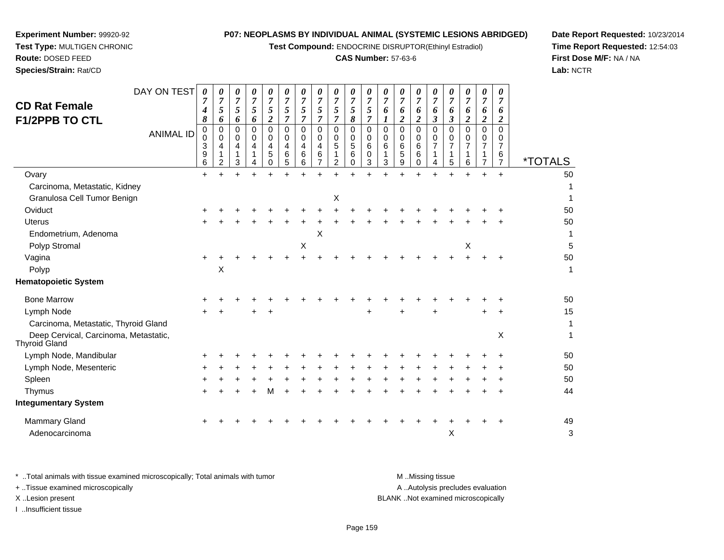**Test Compound:** ENDOCRINE DISRUPTOR(Ethinyl Estradiol)

#### **CAS Number:** 57-63-6

**Date Report Requested:** 10/23/2014**Time Report Requested:** 12:54:03**First Dose M/F:** NA / NA**Lab:** NCTR

| <b>CD Rat Female</b><br><b>F1/2PPB TO CTL</b>          | DAY ON TEST<br><b>ANIMAL ID</b> | 0<br>7<br>4<br>8<br>0<br>0<br>3<br>9 | 0<br>$\overline{7}$<br>5<br>6<br>0<br>$\Omega$<br>4 | 0<br>$\overline{7}$<br>5<br>6<br>0<br>$\Omega$<br>4 | 0<br>$\overline{7}$<br>5<br>6<br>0<br>$\Omega$<br>4 | 0<br>7<br>$\mathfrak{s}$<br>$\overline{2}$<br>$\Omega$<br>$\Omega$<br>$\overline{4}$<br>5 | 0<br>$\overline{7}$<br>$\mathfrak{s}$<br>$\overline{7}$<br>$\Omega$<br>$\Omega$<br>4<br>6 | 0<br>$\overline{7}$<br>$\mathfrak{s}$<br>$\overline{7}$<br>$\Omega$<br>$\Omega$<br>$\overline{4}$<br>6 | 0<br>$\overline{7}$<br>$\sqrt{5}$<br>$\overline{7}$<br>0<br>$\Omega$<br>4<br>6 | $\boldsymbol{\theta}$<br>$\boldsymbol{7}$<br>5<br>$\overline{7}$<br>0<br>$\mathbf 0$<br>5 | $\theta$<br>$\overline{7}$<br>5<br>8<br>0<br>0<br>$\sqrt{5}$<br>6 | $\theta$<br>7<br>$\mathfrak{I}$<br>$\overline{7}$<br>$\mathbf 0$<br>0<br>6<br>0 | $\theta$<br>$\overline{7}$<br>6<br>1<br>$\mathbf 0$<br>$\Omega$<br>6<br>1 | $\theta$<br>7<br>6<br>$\overline{2}$<br>$\Omega$<br>$\Omega$<br>6<br>5 | 0<br>$\overline{7}$<br>6<br>$\overline{2}$<br>$\mathbf 0$<br>$\Omega$<br>6<br>6 | 0<br>$\overline{7}$<br>6<br>$\boldsymbol{\beta}$<br>$\Omega$<br>$\Omega$<br>7<br>1 | 0<br>$\overline{7}$<br>6<br>$\boldsymbol{\beta}$<br>0<br>0<br>$\overline{7}$ | $\theta$<br>$\overline{7}$<br>6<br>$\boldsymbol{2}$<br>0<br>0 | 0<br>$\overline{7}$<br>6<br>$\overline{\mathbf{c}}$<br>$\Omega$<br>0<br>7 | 0<br>$\overline{7}$<br>6<br>$\boldsymbol{2}$<br>$\Omega$<br>$\Omega$<br>7<br>6 |                       |
|--------------------------------------------------------|---------------------------------|--------------------------------------|-----------------------------------------------------|-----------------------------------------------------|-----------------------------------------------------|-------------------------------------------------------------------------------------------|-------------------------------------------------------------------------------------------|--------------------------------------------------------------------------------------------------------|--------------------------------------------------------------------------------|-------------------------------------------------------------------------------------------|-------------------------------------------------------------------|---------------------------------------------------------------------------------|---------------------------------------------------------------------------|------------------------------------------------------------------------|---------------------------------------------------------------------------------|------------------------------------------------------------------------------------|------------------------------------------------------------------------------|---------------------------------------------------------------|---------------------------------------------------------------------------|--------------------------------------------------------------------------------|-----------------------|
|                                                        |                                 | 6                                    | $\overline{2}$                                      | 3                                                   |                                                     | 0                                                                                         | 5                                                                                         | 6                                                                                                      | 7                                                                              | $\overline{2}$                                                                            | $\Omega$                                                          | 3                                                                               | 3                                                                         | 9                                                                      | $\Omega$                                                                        | 4                                                                                  | 5                                                                            | 6                                                             | $\overline{7}$                                                            | $\overline{7}$                                                                 | <i><b>*TOTALS</b></i> |
| Ovary                                                  |                                 | $\ddot{}$                            |                                                     |                                                     |                                                     |                                                                                           |                                                                                           |                                                                                                        |                                                                                |                                                                                           |                                                                   |                                                                                 |                                                                           |                                                                        |                                                                                 |                                                                                    |                                                                              |                                                               |                                                                           | $\div$                                                                         | 50                    |
| Carcinoma, Metastatic, Kidney                          |                                 |                                      |                                                     |                                                     |                                                     |                                                                                           |                                                                                           |                                                                                                        |                                                                                |                                                                                           |                                                                   |                                                                                 |                                                                           |                                                                        |                                                                                 |                                                                                    |                                                                              |                                                               |                                                                           |                                                                                |                       |
| Granulosa Cell Tumor Benign                            |                                 |                                      |                                                     |                                                     |                                                     |                                                                                           |                                                                                           |                                                                                                        |                                                                                | X                                                                                         |                                                                   |                                                                                 |                                                                           |                                                                        |                                                                                 |                                                                                    |                                                                              |                                                               |                                                                           |                                                                                |                       |
| Oviduct                                                |                                 |                                      |                                                     |                                                     |                                                     |                                                                                           |                                                                                           |                                                                                                        |                                                                                |                                                                                           |                                                                   |                                                                                 |                                                                           |                                                                        |                                                                                 |                                                                                    |                                                                              |                                                               |                                                                           |                                                                                | 50                    |
| <b>Uterus</b>                                          |                                 |                                      |                                                     |                                                     |                                                     |                                                                                           |                                                                                           |                                                                                                        |                                                                                |                                                                                           |                                                                   |                                                                                 |                                                                           |                                                                        |                                                                                 |                                                                                    |                                                                              |                                                               |                                                                           |                                                                                | 50                    |
| Endometrium, Adenoma                                   |                                 |                                      |                                                     |                                                     |                                                     |                                                                                           |                                                                                           |                                                                                                        | $\boldsymbol{\mathsf{X}}$                                                      |                                                                                           |                                                                   |                                                                                 |                                                                           |                                                                        |                                                                                 |                                                                                    |                                                                              |                                                               |                                                                           |                                                                                | 1                     |
| Polyp Stromal                                          |                                 |                                      |                                                     |                                                     |                                                     |                                                                                           |                                                                                           | X                                                                                                      |                                                                                |                                                                                           |                                                                   |                                                                                 |                                                                           |                                                                        |                                                                                 |                                                                                    |                                                                              | X                                                             |                                                                           |                                                                                | 5                     |
| Vagina                                                 |                                 | ÷                                    |                                                     |                                                     |                                                     |                                                                                           |                                                                                           |                                                                                                        |                                                                                |                                                                                           |                                                                   |                                                                                 |                                                                           |                                                                        |                                                                                 |                                                                                    |                                                                              |                                                               |                                                                           |                                                                                | 50                    |
| Polyp                                                  |                                 |                                      | X                                                   |                                                     |                                                     |                                                                                           |                                                                                           |                                                                                                        |                                                                                |                                                                                           |                                                                   |                                                                                 |                                                                           |                                                                        |                                                                                 |                                                                                    |                                                                              |                                                               |                                                                           |                                                                                | 1                     |
| <b>Hematopoietic System</b>                            |                                 |                                      |                                                     |                                                     |                                                     |                                                                                           |                                                                                           |                                                                                                        |                                                                                |                                                                                           |                                                                   |                                                                                 |                                                                           |                                                                        |                                                                                 |                                                                                    |                                                                              |                                                               |                                                                           |                                                                                |                       |
| <b>Bone Marrow</b>                                     |                                 |                                      |                                                     |                                                     |                                                     |                                                                                           |                                                                                           |                                                                                                        |                                                                                |                                                                                           |                                                                   |                                                                                 |                                                                           |                                                                        |                                                                                 |                                                                                    |                                                                              |                                                               |                                                                           |                                                                                | 50                    |
| Lymph Node                                             |                                 |                                      |                                                     |                                                     |                                                     |                                                                                           |                                                                                           |                                                                                                        |                                                                                |                                                                                           |                                                                   |                                                                                 |                                                                           |                                                                        |                                                                                 |                                                                                    |                                                                              |                                                               |                                                                           | $\ddot{}$                                                                      | 15                    |
| Carcinoma, Metastatic, Thyroid Gland                   |                                 |                                      |                                                     |                                                     |                                                     |                                                                                           |                                                                                           |                                                                                                        |                                                                                |                                                                                           |                                                                   |                                                                                 |                                                                           |                                                                        |                                                                                 |                                                                                    |                                                                              |                                                               |                                                                           |                                                                                | $\mathbf 1$           |
| Deep Cervical, Carcinoma, Metastatic,<br>Thyroid Gland |                                 |                                      |                                                     |                                                     |                                                     |                                                                                           |                                                                                           |                                                                                                        |                                                                                |                                                                                           |                                                                   |                                                                                 |                                                                           |                                                                        |                                                                                 |                                                                                    |                                                                              |                                                               |                                                                           | X                                                                              | $\mathbf 1$           |
| Lymph Node, Mandibular                                 |                                 |                                      |                                                     |                                                     |                                                     |                                                                                           |                                                                                           |                                                                                                        |                                                                                |                                                                                           |                                                                   |                                                                                 |                                                                           |                                                                        |                                                                                 |                                                                                    |                                                                              |                                                               |                                                                           |                                                                                | 50                    |
| Lymph Node, Mesenteric                                 |                                 |                                      |                                                     |                                                     |                                                     |                                                                                           |                                                                                           |                                                                                                        |                                                                                |                                                                                           |                                                                   |                                                                                 |                                                                           |                                                                        |                                                                                 |                                                                                    |                                                                              |                                                               |                                                                           |                                                                                | 50                    |
| Spleen                                                 |                                 |                                      |                                                     |                                                     |                                                     |                                                                                           |                                                                                           |                                                                                                        |                                                                                |                                                                                           |                                                                   |                                                                                 |                                                                           |                                                                        |                                                                                 |                                                                                    |                                                                              |                                                               |                                                                           |                                                                                | 50                    |
| Thymus                                                 |                                 |                                      |                                                     |                                                     |                                                     |                                                                                           |                                                                                           |                                                                                                        |                                                                                |                                                                                           |                                                                   |                                                                                 |                                                                           |                                                                        |                                                                                 |                                                                                    |                                                                              |                                                               |                                                                           |                                                                                | 44                    |
|                                                        |                                 |                                      |                                                     |                                                     |                                                     |                                                                                           |                                                                                           |                                                                                                        |                                                                                |                                                                                           |                                                                   |                                                                                 |                                                                           |                                                                        |                                                                                 |                                                                                    |                                                                              |                                                               |                                                                           |                                                                                |                       |

**Experiment Number:** 99920-92**Test Type:** MULTIGEN CHRONIC

**Route:** DOSED FEED**Species/Strain:** Rat/CD

| Integumentary System            |  |  |  |  |  |  |  |  |  |  |    |
|---------------------------------|--|--|--|--|--|--|--|--|--|--|----|
| Mammary Gland<br>Adenocarcinoma |  |  |  |  |  |  |  |  |  |  | 49 |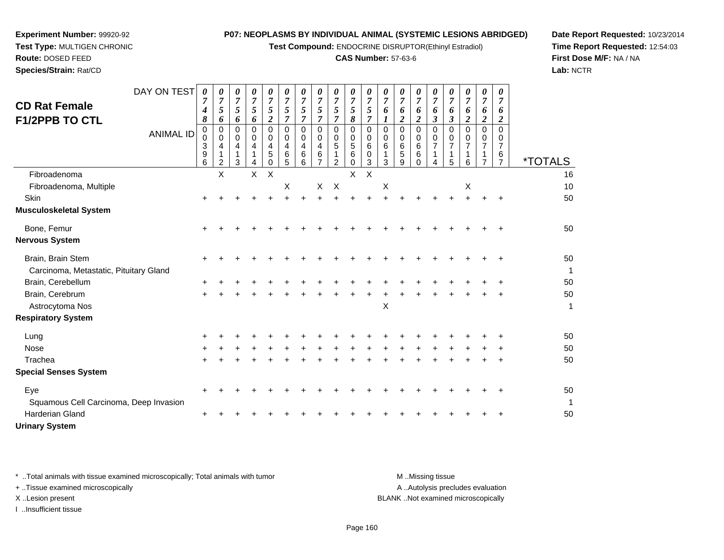**Test Compound:** ENDOCRINE DISRUPTOR(Ethinyl Estradiol)

#### **CAS Number:** 57-63-6

**Date Report Requested:** 10/23/2014**Time Report Requested:** 12:54:03**First Dose M/F:** NA / NA**Lab:** NCTR

| <b>CD Rat Female</b>                   | DAY ON TEST      | $\boldsymbol{\theta}$ | $\boldsymbol{\theta}$<br>7                   | 0<br>7                  | 0<br>$\overline{7}$ | 0<br>$\overline{7}$          | 0<br>7                                                 | 0<br>$\overline{7}$          | 0<br>$\overline{7}$                    | 0<br>7                                    | $\pmb{\theta}$<br>$\overline{7}$              | 0<br>$\overline{7}$                           | 0<br>7                     | 0<br>$\overline{7}$   | 0<br>7                                 | 0<br>7                                    | 0<br>7                                      | 0<br>7                                    | 0<br>7                             | 0<br>7                                                        |                       |
|----------------------------------------|------------------|-----------------------|----------------------------------------------|-------------------------|---------------------|------------------------------|--------------------------------------------------------|------------------------------|----------------------------------------|-------------------------------------------|-----------------------------------------------|-----------------------------------------------|----------------------------|-----------------------|----------------------------------------|-------------------------------------------|---------------------------------------------|-------------------------------------------|------------------------------------|---------------------------------------------------------------|-----------------------|
| <b>F1/2PPB TO CTL</b>                  |                  | 4<br>8                | $\mathfrak{s}$<br>6                          | 5<br>6                  | 5<br>6              | 5<br>$\overline{2}$          | 5<br>7                                                 | 5<br>7                       | $\mathfrak{s}$<br>7                    | 5<br>7                                    | $\mathfrak{s}$<br>8                           | 5<br>$\overline{7}$                           | 6<br>1                     | 6<br>2                | 6<br>$\overline{2}$                    | 6<br>3                                    | 6<br>3                                      | 6<br>2                                    | 6<br>$\overline{\mathbf{2}}$       | 6<br>$\overline{2}$                                           |                       |
|                                        | <b>ANIMAL ID</b> | 0<br>0<br>3<br>9<br>6 | $\mathbf 0$<br>0<br>4<br>1<br>$\overline{2}$ | $\Omega$<br>0<br>4<br>3 | 0<br>0<br>4<br>4    | 0<br>$\Omega$<br>4<br>5<br>0 | $\Omega$<br>$\Omega$<br>$\overline{4}$<br>$\,6\,$<br>5 | $\Omega$<br>0<br>4<br>6<br>6 | 0<br>0<br>4<br>$\,6$<br>$\overline{7}$ | $\Omega$<br>0<br>5<br>1<br>$\overline{2}$ | $\mathbf 0$<br>0<br>5<br>$\,6$<br>$\mathbf 0$ | $\mathbf 0$<br>$\pmb{0}$<br>6<br>$\,0\,$<br>3 | $\mathbf 0$<br>0<br>6<br>3 | 0<br>0<br>6<br>5<br>9 | $\mathbf 0$<br>0<br>6<br>6<br>$\Omega$ | $\Omega$<br>0<br>$\overline{7}$<br>1<br>4 | $\Omega$<br>$\Omega$<br>$\overline{7}$<br>5 | $\Omega$<br>0<br>$\overline{7}$<br>1<br>6 | 0<br>0<br>7<br>1<br>$\overline{7}$ | $\Omega$<br>$\Omega$<br>$\overline{7}$<br>6<br>$\overline{7}$ | <i><b>*TOTALS</b></i> |
| Fibroadenoma                           |                  |                       | $\pmb{\times}$                               |                         | $\mathsf{X}$        | X                            |                                                        |                              |                                        |                                           | X                                             | X                                             |                            |                       |                                        |                                           |                                             |                                           |                                    |                                                               | 16                    |
| Fibroadenoma, Multiple                 |                  |                       |                                              |                         |                     |                              | X                                                      |                              | X                                      | $\mathsf{X}$                              |                                               |                                               | Χ                          |                       |                                        |                                           |                                             | X                                         |                                    |                                                               | 10                    |
| Skin                                   |                  |                       |                                              |                         |                     |                              |                                                        |                              |                                        |                                           |                                               |                                               |                            |                       |                                        |                                           |                                             |                                           |                                    |                                                               | 50                    |
| Musculoskeletal System                 |                  |                       |                                              |                         |                     |                              |                                                        |                              |                                        |                                           |                                               |                                               |                            |                       |                                        |                                           |                                             |                                           |                                    |                                                               |                       |
| Bone, Femur                            |                  | +                     |                                              |                         |                     |                              |                                                        |                              |                                        |                                           |                                               |                                               |                            |                       |                                        |                                           |                                             |                                           |                                    |                                                               | 50                    |
| Nervous System                         |                  |                       |                                              |                         |                     |                              |                                                        |                              |                                        |                                           |                                               |                                               |                            |                       |                                        |                                           |                                             |                                           |                                    |                                                               |                       |
| Brain, Brain Stem                      |                  |                       |                                              |                         |                     |                              |                                                        |                              |                                        |                                           |                                               |                                               |                            |                       |                                        |                                           |                                             |                                           |                                    |                                                               | 50                    |
| Carcinoma, Metastatic, Pituitary Gland |                  |                       |                                              |                         |                     |                              |                                                        |                              |                                        |                                           |                                               |                                               |                            |                       |                                        |                                           |                                             |                                           |                                    |                                                               | $\mathbf 1$           |
| Brain, Cerebellum                      |                  |                       |                                              |                         |                     |                              |                                                        |                              |                                        |                                           |                                               |                                               |                            |                       |                                        |                                           |                                             |                                           |                                    |                                                               | 50                    |
| Brain, Cerebrum                        |                  | +                     |                                              |                         |                     |                              |                                                        |                              |                                        |                                           |                                               |                                               |                            |                       |                                        |                                           |                                             |                                           |                                    |                                                               | 50                    |
| Astrocytoma Nos                        |                  |                       |                                              |                         |                     |                              |                                                        |                              |                                        |                                           |                                               |                                               | X                          |                       |                                        |                                           |                                             |                                           |                                    |                                                               | $\mathbf{1}$          |
| <b>Respiratory System</b>              |                  |                       |                                              |                         |                     |                              |                                                        |                              |                                        |                                           |                                               |                                               |                            |                       |                                        |                                           |                                             |                                           |                                    |                                                               |                       |
| Lung                                   |                  | +                     |                                              |                         |                     |                              |                                                        |                              |                                        |                                           |                                               |                                               |                            |                       |                                        |                                           |                                             |                                           |                                    |                                                               | 50                    |
| Nose                                   |                  |                       |                                              |                         |                     |                              |                                                        |                              |                                        |                                           |                                               |                                               |                            |                       |                                        |                                           |                                             |                                           |                                    |                                                               | 50                    |
| Trachea                                |                  |                       |                                              |                         |                     |                              |                                                        |                              |                                        |                                           |                                               |                                               |                            |                       |                                        |                                           |                                             |                                           |                                    |                                                               | 50                    |
| <b>Special Senses System</b>           |                  |                       |                                              |                         |                     |                              |                                                        |                              |                                        |                                           |                                               |                                               |                            |                       |                                        |                                           |                                             |                                           |                                    |                                                               |                       |
| Eye                                    |                  | +                     |                                              |                         |                     |                              |                                                        |                              |                                        |                                           |                                               |                                               |                            |                       |                                        |                                           |                                             |                                           |                                    |                                                               | 50                    |
| Squamous Cell Carcinoma, Deep Invasion |                  |                       |                                              |                         |                     |                              |                                                        |                              |                                        |                                           |                                               |                                               |                            |                       |                                        |                                           |                                             |                                           |                                    |                                                               | 1                     |
| Harderian Gland                        |                  | +                     |                                              |                         |                     |                              |                                                        |                              |                                        |                                           |                                               |                                               |                            |                       |                                        |                                           |                                             |                                           |                                    |                                                               | 50                    |
| <b>Urinary System</b>                  |                  |                       |                                              |                         |                     |                              |                                                        |                              |                                        |                                           |                                               |                                               |                            |                       |                                        |                                           |                                             |                                           |                                    |                                                               |                       |

**Experiment Number:** 99920-92**Test Type:** MULTIGEN CHRONIC

**Route:** DOSED FEED**Species/Strain:** Rat/CD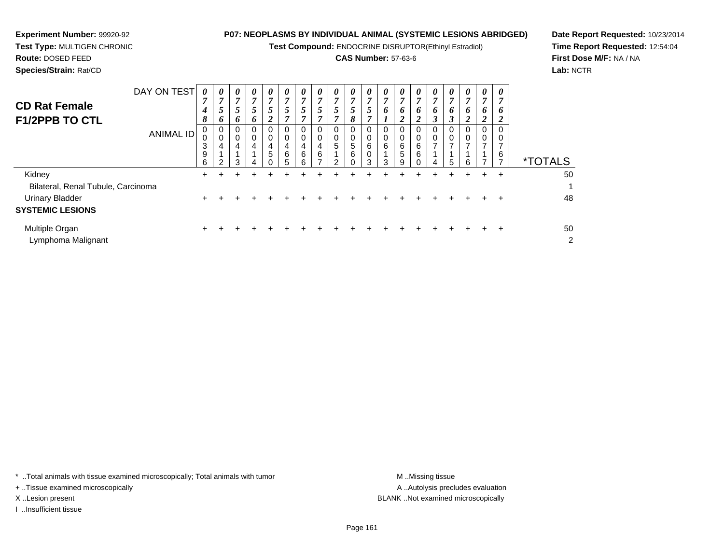**Test Compound:** ENDOCRINE DISRUPTOR(Ethinyl Estradiol)

#### **CAS Number:** 57-63-6

**Date Report Requested:** 10/23/2014**Time Report Requested:** 12:54:04**First Dose M/F:** NA / NA**Lab:** NCTR

**Experiment Number:** 99920-92

| <b>CD Rat Female</b><br><b>F1/2PPB TO CTL</b>                                                     | DAY ON TEST<br><b>ANIMAL ID</b> | 0<br>7<br>$\boldsymbol{4}$<br>8<br>0<br>3<br>9<br>6 | $\boldsymbol{\theta}$<br>5<br><sup>0</sup><br>4<br>2 | 0<br>7<br>5<br>6<br>0<br>0<br>4<br>3 | 0<br>$\overline{ }$<br>5<br>6<br>0<br>0<br>4<br>4 | 0<br>7<br>$5\overline{)}$<br>$\overline{2}$<br>0<br>0<br>$\overline{\mathbf{4}}$<br>5 | 0<br>$\overline{7}$<br>5<br>7<br>0<br>0<br>4<br>6<br>5 | 0<br>7<br>$\mathfrak{Z}$<br>7<br>0<br>0<br>4<br>6<br>6 | $\boldsymbol{\theta}$<br>$\overline{ }$<br>5<br>4<br>6 | 0<br>7<br>5<br>7<br>0<br>0<br>5<br>C | 0<br>7<br>5<br>8<br>0<br>$\pmb{0}$<br>5<br>6<br>$\Omega$ | 0<br>7<br>5<br>$\overline{ }$<br>0<br>0<br>6<br>0<br>3 | 0<br>7<br>6<br>0<br>0<br>6<br>3 | $\theta$<br>7<br>6<br>2<br>0<br>6<br>5<br>9 | 0<br>7<br>6<br>$\overline{2}$<br>0<br>0<br>6<br>6<br>0 | 0<br>$\overline{ }$<br>6<br>3<br>0<br>0<br>$\overline{ }$<br>4 | 0<br>7<br>6<br>3<br>0<br>$\overline{ }$<br>5 | $\theta$<br>7<br>6<br>2<br>0<br>0<br>⇁<br>6 | $\theta$<br>7<br>6<br>2<br>0<br>$\overline{ }$ | 0<br><sup>0</sup><br>6 | <i><b>*TOTALS</b></i> |
|---------------------------------------------------------------------------------------------------|---------------------------------|-----------------------------------------------------|------------------------------------------------------|--------------------------------------|---------------------------------------------------|---------------------------------------------------------------------------------------|--------------------------------------------------------|--------------------------------------------------------|--------------------------------------------------------|--------------------------------------|----------------------------------------------------------|--------------------------------------------------------|---------------------------------|---------------------------------------------|--------------------------------------------------------|----------------------------------------------------------------|----------------------------------------------|---------------------------------------------|------------------------------------------------|------------------------|-----------------------|
| Kidney<br>Bilateral, Renal Tubule, Carcinoma<br><b>Urinary Bladder</b><br><b>SYSTEMIC LESIONS</b> |                                 | $\pm$<br>+                                          |                                                      | +                                    | ÷                                                 |                                                                                       |                                                        |                                                        |                                                        |                                      |                                                          |                                                        |                                 |                                             |                                                        | $\div$                                                         |                                              | +                                           | $\pm$<br>÷.                                    | $\pm$<br>$\pm$         | 50<br>48              |
| Multiple Organ<br>Lymphoma Malignant                                                              |                                 | $\pm$                                               |                                                      |                                      |                                                   |                                                                                       |                                                        |                                                        |                                                        |                                      |                                                          |                                                        |                                 |                                             |                                                        |                                                                |                                              |                                             | ÷.                                             | $\pm$                  | 50<br>2               |

\* ..Total animals with tissue examined microscopically; Total animals with tumor **M** . Missing tissue M ..Missing tissue

+ ..Tissue examined microscopically

I ..Insufficient tissue

A ..Autolysis precludes evaluation X ..Lesion present BLANK ..Not examined microscopically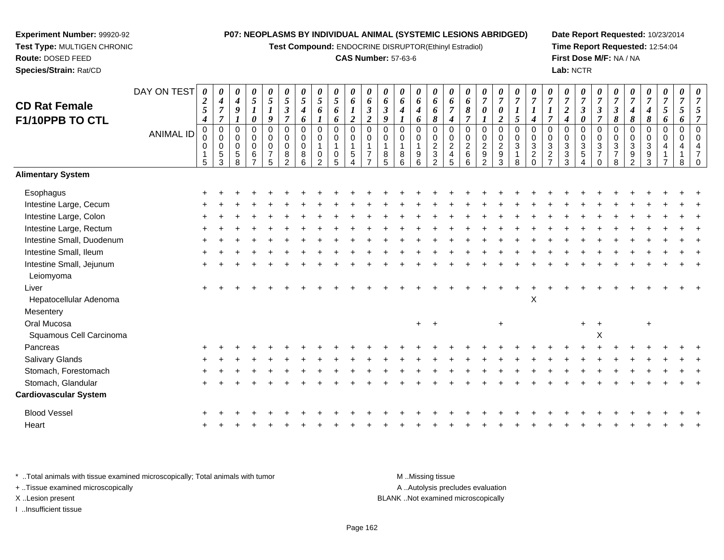**Test Compound:** ENDOCRINE DISRUPTOR(Ethinyl Estradiol)

#### **CAS Number:** 57-63-6

**Date Report Requested:** 10/23/2014**Time Report Requested:** 12:54:04**First Dose M/F:** NA / NA**Lab:** NCTR

| <b>CD Rat Female</b><br>F1/10PPB TO CTL | DAY ON TEST<br><b>ANIMAL ID</b> | $\boldsymbol{\theta}$<br>$\boldsymbol{2}$<br>$\mathfrak{s}$<br>$\boldsymbol{4}$<br>$\mathbf 0$<br>0<br>0<br>$\mathbf 1$<br>5 | 0<br>$\boldsymbol{4}$<br>$\overline{7}$<br>$\boldsymbol{7}$<br>$\pmb{0}$<br>$\mathbf 0$<br>$\mathbf 0$<br>$\sqrt{5}$<br>3 | 0<br>$\boldsymbol{4}$<br>9<br>$\mathbf 0$<br>0<br>0<br>5<br>8 | 0<br>$\mathfrak{s}$<br>$\boldsymbol{l}$<br>0<br>0<br>0<br>0<br>$\,6\,$<br>$\overline{z}$ | $\pmb{\theta}$<br>$\mathfrak{s}$<br>$\boldsymbol{l}$<br>9<br>$\mathbf 0$<br>$\mathbf 0$<br>0<br>$\overline{7}$<br>5 | 0<br>$\mathfrak{s}$<br>$\mathfrak{z}$<br>$\overline{7}$<br>$\mathbf 0$<br>$\mathbf 0$<br>0<br>8<br>2 | 0<br>5<br>4<br>6<br>0<br>$\mathbf 0$<br>$\Omega$<br>8<br>6 | 0<br>5<br>6<br>0<br>0<br>0<br>$\mathcal{P}$ | 0<br>$\mathfrak{s}$<br>6<br>6<br>0<br>0<br>0<br>$\overline{5}$ | $\pmb{\theta}$<br>6<br>$\boldsymbol{2}$<br>$\boldsymbol{0}$<br>$\mathbf 0$<br>$\mathbf 1$<br>$\sqrt{5}$<br>$\boldsymbol{\Lambda}$ | 0<br>6<br>$\mathfrak{z}$<br>$\overline{2}$<br>$\mathbf 0$<br>0<br>1<br>$\overline{7}$<br>$\overline{ }$ | 0<br>6<br>$\boldsymbol{\beta}$<br>9<br>$\mathbf 0$<br>$\Omega$<br>8<br>5 | 0<br>6<br>4<br>$\mathbf 0$<br>0<br>8<br>6 | 0<br>6<br>$\boldsymbol{4}$<br>6<br>$\pmb{0}$<br>0<br>$\mathbf{1}$<br>$\begin{array}{c} 9 \\ 6 \end{array}$ | 0<br>6<br>6<br>8<br>$\mathbf 0$<br>$\mathbf 0$<br>$\frac{2}{3}$ | 0<br>6<br>$\overline{7}$<br>$\boldsymbol{4}$<br>0<br>0<br>$\sqrt{2}$<br>$\overline{\mathbf{4}}$<br>5 | 0<br>6<br>8<br>$\boldsymbol{7}$<br>$\mathbf 0$<br>$\mathbf 0$<br>$\overline{2}$<br>$\,6$<br>6 | 0<br>$\overline{7}$<br>0<br>$\mathbf 0$<br>0<br>$\frac{2}{9}$<br>$\overline{2}$ | 0<br>$\overline{7}$<br>$\boldsymbol{\theta}$<br>$\overline{2}$<br>$\pmb{0}$<br>$\mathbf 0$<br>$\frac{2}{9}$ | 0<br>$\overline{7}$<br>5<br>$\pmb{0}$<br>$\mathsf{O}\xspace$<br>$\overline{3}$<br>$\mathbf{1}$<br>8 | 0<br>$\overline{7}$<br>$\boldsymbol{l}$<br>$\boldsymbol{4}$<br>0<br>0<br>$\overline{3}$<br>$\frac{2}{0}$ | 0<br>$\overline{7}$<br>$\overline{7}$<br>$\mathbf 0$<br>$\mathbf 0$<br>$\mathbf{3}$<br>$\frac{2}{7}$ | 0<br>$\overline{7}$<br>$\overline{2}$<br>$\boldsymbol{4}$<br>$\Omega$<br>0<br>3<br>3<br>3 | 0<br>$\overline{7}$<br>$\mathfrak{z}$<br>0<br>$\mathbf 0$<br>0<br>$\mathbf{3}$<br>$\overline{5}$<br>$\overline{4}$ | 0<br>$\overline{7}$<br>3<br>$\overline{7}$<br>$\mathbf 0$<br>$\mathbf 0$<br>$\ensuremath{\mathsf{3}}$<br>$\overline{7}$<br>$\Omega$ | 0<br>$\overline{7}$<br>$\mathfrak{z}$<br>8<br>0<br>$\mathbf 0$<br>$\sqrt{3}$<br>$\overline{7}$<br>8 | 0<br>$\overline{7}$<br>$\boldsymbol{4}$<br>8<br>$\mathbf 0$<br>$\mathbf 0$<br>$\mathbf{3}$<br>$\frac{9}{2}$ | 0<br>$\overline{7}$<br>4<br>8<br>0<br>0<br>3<br>9<br>3 | 0<br>$\overline{7}$<br>5<br>6<br>$\mathbf 0$<br>0<br>$\overline{4}$<br>$\overline{7}$ | 0<br>$\overline{7}$<br>5<br>6<br>$\mathbf 0$<br>$\pmb{0}$<br>4<br>8 | 0<br>$\overline{7}$<br>$\Omega$<br>$\Omega$ |
|-----------------------------------------|---------------------------------|------------------------------------------------------------------------------------------------------------------------------|---------------------------------------------------------------------------------------------------------------------------|---------------------------------------------------------------|------------------------------------------------------------------------------------------|---------------------------------------------------------------------------------------------------------------------|------------------------------------------------------------------------------------------------------|------------------------------------------------------------|---------------------------------------------|----------------------------------------------------------------|-----------------------------------------------------------------------------------------------------------------------------------|---------------------------------------------------------------------------------------------------------|--------------------------------------------------------------------------|-------------------------------------------|------------------------------------------------------------------------------------------------------------|-----------------------------------------------------------------|------------------------------------------------------------------------------------------------------|-----------------------------------------------------------------------------------------------|---------------------------------------------------------------------------------|-------------------------------------------------------------------------------------------------------------|-----------------------------------------------------------------------------------------------------|----------------------------------------------------------------------------------------------------------|------------------------------------------------------------------------------------------------------|-------------------------------------------------------------------------------------------|--------------------------------------------------------------------------------------------------------------------|-------------------------------------------------------------------------------------------------------------------------------------|-----------------------------------------------------------------------------------------------------|-------------------------------------------------------------------------------------------------------------|--------------------------------------------------------|---------------------------------------------------------------------------------------|---------------------------------------------------------------------|---------------------------------------------|
| <b>Alimentary System</b>                |                                 |                                                                                                                              |                                                                                                                           |                                                               |                                                                                          |                                                                                                                     |                                                                                                      |                                                            |                                             |                                                                |                                                                                                                                   |                                                                                                         |                                                                          |                                           |                                                                                                            |                                                                 |                                                                                                      |                                                                                               |                                                                                 |                                                                                                             |                                                                                                     |                                                                                                          |                                                                                                      |                                                                                           |                                                                                                                    |                                                                                                                                     |                                                                                                     |                                                                                                             |                                                        |                                                                                       |                                                                     |                                             |
| Esophagus                               |                                 |                                                                                                                              |                                                                                                                           |                                                               |                                                                                          |                                                                                                                     |                                                                                                      |                                                            |                                             |                                                                |                                                                                                                                   |                                                                                                         |                                                                          |                                           |                                                                                                            |                                                                 |                                                                                                      |                                                                                               |                                                                                 |                                                                                                             |                                                                                                     |                                                                                                          |                                                                                                      |                                                                                           |                                                                                                                    |                                                                                                                                     |                                                                                                     |                                                                                                             |                                                        |                                                                                       |                                                                     |                                             |
| Intestine Large, Cecum                  |                                 |                                                                                                                              |                                                                                                                           |                                                               |                                                                                          |                                                                                                                     |                                                                                                      |                                                            |                                             |                                                                |                                                                                                                                   |                                                                                                         |                                                                          |                                           |                                                                                                            |                                                                 |                                                                                                      |                                                                                               |                                                                                 |                                                                                                             |                                                                                                     |                                                                                                          |                                                                                                      |                                                                                           |                                                                                                                    |                                                                                                                                     |                                                                                                     |                                                                                                             |                                                        |                                                                                       |                                                                     |                                             |
| Intestine Large, Colon                  |                                 |                                                                                                                              |                                                                                                                           |                                                               |                                                                                          |                                                                                                                     |                                                                                                      |                                                            |                                             |                                                                |                                                                                                                                   |                                                                                                         |                                                                          |                                           |                                                                                                            |                                                                 |                                                                                                      |                                                                                               |                                                                                 |                                                                                                             |                                                                                                     |                                                                                                          |                                                                                                      |                                                                                           |                                                                                                                    |                                                                                                                                     |                                                                                                     |                                                                                                             |                                                        |                                                                                       |                                                                     |                                             |
| Intestine Large, Rectum                 |                                 |                                                                                                                              |                                                                                                                           |                                                               |                                                                                          |                                                                                                                     |                                                                                                      |                                                            |                                             |                                                                |                                                                                                                                   |                                                                                                         |                                                                          |                                           |                                                                                                            |                                                                 |                                                                                                      |                                                                                               |                                                                                 |                                                                                                             |                                                                                                     |                                                                                                          |                                                                                                      |                                                                                           |                                                                                                                    |                                                                                                                                     |                                                                                                     |                                                                                                             |                                                        |                                                                                       |                                                                     |                                             |
| Intestine Small, Duodenum               |                                 |                                                                                                                              |                                                                                                                           |                                                               |                                                                                          |                                                                                                                     |                                                                                                      |                                                            |                                             |                                                                |                                                                                                                                   |                                                                                                         |                                                                          |                                           |                                                                                                            |                                                                 |                                                                                                      |                                                                                               |                                                                                 |                                                                                                             |                                                                                                     |                                                                                                          |                                                                                                      |                                                                                           |                                                                                                                    |                                                                                                                                     |                                                                                                     |                                                                                                             |                                                        |                                                                                       |                                                                     |                                             |
| Intestine Small, Ileum                  |                                 |                                                                                                                              |                                                                                                                           |                                                               |                                                                                          |                                                                                                                     |                                                                                                      |                                                            |                                             |                                                                |                                                                                                                                   |                                                                                                         |                                                                          |                                           |                                                                                                            |                                                                 |                                                                                                      |                                                                                               |                                                                                 |                                                                                                             |                                                                                                     |                                                                                                          |                                                                                                      |                                                                                           |                                                                                                                    |                                                                                                                                     |                                                                                                     |                                                                                                             |                                                        |                                                                                       |                                                                     |                                             |
| Intestine Small, Jejunum<br>Leiomyoma   |                                 |                                                                                                                              |                                                                                                                           |                                                               |                                                                                          |                                                                                                                     |                                                                                                      |                                                            |                                             |                                                                |                                                                                                                                   |                                                                                                         |                                                                          |                                           |                                                                                                            |                                                                 |                                                                                                      |                                                                                               |                                                                                 |                                                                                                             |                                                                                                     |                                                                                                          |                                                                                                      |                                                                                           |                                                                                                                    |                                                                                                                                     |                                                                                                     |                                                                                                             |                                                        |                                                                                       |                                                                     |                                             |
| Liver                                   |                                 |                                                                                                                              |                                                                                                                           |                                                               |                                                                                          |                                                                                                                     |                                                                                                      |                                                            |                                             |                                                                |                                                                                                                                   |                                                                                                         |                                                                          |                                           |                                                                                                            |                                                                 |                                                                                                      |                                                                                               |                                                                                 |                                                                                                             |                                                                                                     |                                                                                                          |                                                                                                      |                                                                                           |                                                                                                                    |                                                                                                                                     |                                                                                                     |                                                                                                             |                                                        |                                                                                       |                                                                     |                                             |
| Hepatocellular Adenoma                  |                                 |                                                                                                                              |                                                                                                                           |                                                               |                                                                                          |                                                                                                                     |                                                                                                      |                                                            |                                             |                                                                |                                                                                                                                   |                                                                                                         |                                                                          |                                           |                                                                                                            |                                                                 |                                                                                                      |                                                                                               |                                                                                 |                                                                                                             |                                                                                                     | $\mathsf X$                                                                                              |                                                                                                      |                                                                                           |                                                                                                                    |                                                                                                                                     |                                                                                                     |                                                                                                             |                                                        |                                                                                       |                                                                     |                                             |
| Mesentery                               |                                 |                                                                                                                              |                                                                                                                           |                                                               |                                                                                          |                                                                                                                     |                                                                                                      |                                                            |                                             |                                                                |                                                                                                                                   |                                                                                                         |                                                                          |                                           |                                                                                                            |                                                                 |                                                                                                      |                                                                                               |                                                                                 |                                                                                                             |                                                                                                     |                                                                                                          |                                                                                                      |                                                                                           |                                                                                                                    |                                                                                                                                     |                                                                                                     |                                                                                                             |                                                        |                                                                                       |                                                                     |                                             |
| Oral Mucosa                             |                                 |                                                                                                                              |                                                                                                                           |                                                               |                                                                                          |                                                                                                                     |                                                                                                      |                                                            |                                             |                                                                |                                                                                                                                   |                                                                                                         |                                                                          |                                           | $+$                                                                                                        | $+$                                                             |                                                                                                      |                                                                                               |                                                                                 | $+$                                                                                                         |                                                                                                     |                                                                                                          |                                                                                                      |                                                                                           | $+$                                                                                                                | $\pm$                                                                                                                               |                                                                                                     |                                                                                                             | $\ddot{}$                                              |                                                                                       |                                                                     |                                             |
| Squamous Cell Carcinoma                 |                                 |                                                                                                                              |                                                                                                                           |                                                               |                                                                                          |                                                                                                                     |                                                                                                      |                                                            |                                             |                                                                |                                                                                                                                   |                                                                                                         |                                                                          |                                           |                                                                                                            |                                                                 |                                                                                                      |                                                                                               |                                                                                 |                                                                                                             |                                                                                                     |                                                                                                          |                                                                                                      |                                                                                           |                                                                                                                    | X                                                                                                                                   |                                                                                                     |                                                                                                             |                                                        |                                                                                       |                                                                     |                                             |
| Pancreas                                |                                 |                                                                                                                              |                                                                                                                           |                                                               |                                                                                          |                                                                                                                     |                                                                                                      |                                                            |                                             |                                                                |                                                                                                                                   |                                                                                                         |                                                                          |                                           |                                                                                                            |                                                                 |                                                                                                      |                                                                                               |                                                                                 |                                                                                                             |                                                                                                     |                                                                                                          |                                                                                                      |                                                                                           |                                                                                                                    |                                                                                                                                     |                                                                                                     |                                                                                                             |                                                        |                                                                                       |                                                                     |                                             |
| Salivary Glands                         |                                 |                                                                                                                              |                                                                                                                           |                                                               |                                                                                          |                                                                                                                     |                                                                                                      |                                                            |                                             |                                                                |                                                                                                                                   |                                                                                                         |                                                                          |                                           |                                                                                                            |                                                                 |                                                                                                      |                                                                                               |                                                                                 |                                                                                                             |                                                                                                     |                                                                                                          |                                                                                                      |                                                                                           |                                                                                                                    |                                                                                                                                     |                                                                                                     |                                                                                                             |                                                        |                                                                                       |                                                                     |                                             |
| Stomach, Forestomach                    |                                 |                                                                                                                              |                                                                                                                           |                                                               |                                                                                          |                                                                                                                     |                                                                                                      |                                                            |                                             |                                                                |                                                                                                                                   |                                                                                                         |                                                                          |                                           |                                                                                                            |                                                                 |                                                                                                      |                                                                                               |                                                                                 |                                                                                                             |                                                                                                     |                                                                                                          |                                                                                                      |                                                                                           |                                                                                                                    |                                                                                                                                     |                                                                                                     |                                                                                                             |                                                        |                                                                                       |                                                                     |                                             |
| Stomach, Glandular                      |                                 |                                                                                                                              |                                                                                                                           |                                                               |                                                                                          |                                                                                                                     |                                                                                                      |                                                            |                                             |                                                                |                                                                                                                                   |                                                                                                         |                                                                          |                                           |                                                                                                            |                                                                 |                                                                                                      |                                                                                               |                                                                                 |                                                                                                             |                                                                                                     |                                                                                                          |                                                                                                      |                                                                                           |                                                                                                                    |                                                                                                                                     |                                                                                                     |                                                                                                             |                                                        |                                                                                       |                                                                     |                                             |
| <b>Cardiovascular System</b>            |                                 |                                                                                                                              |                                                                                                                           |                                                               |                                                                                          |                                                                                                                     |                                                                                                      |                                                            |                                             |                                                                |                                                                                                                                   |                                                                                                         |                                                                          |                                           |                                                                                                            |                                                                 |                                                                                                      |                                                                                               |                                                                                 |                                                                                                             |                                                                                                     |                                                                                                          |                                                                                                      |                                                                                           |                                                                                                                    |                                                                                                                                     |                                                                                                     |                                                                                                             |                                                        |                                                                                       |                                                                     |                                             |
| <b>Blood Vessel</b>                     |                                 |                                                                                                                              |                                                                                                                           |                                                               |                                                                                          |                                                                                                                     |                                                                                                      |                                                            |                                             |                                                                |                                                                                                                                   |                                                                                                         |                                                                          |                                           |                                                                                                            |                                                                 |                                                                                                      |                                                                                               |                                                                                 |                                                                                                             |                                                                                                     |                                                                                                          |                                                                                                      |                                                                                           |                                                                                                                    |                                                                                                                                     |                                                                                                     |                                                                                                             |                                                        |                                                                                       |                                                                     |                                             |
| Heart                                   |                                 |                                                                                                                              |                                                                                                                           |                                                               |                                                                                          |                                                                                                                     |                                                                                                      |                                                            |                                             |                                                                |                                                                                                                                   |                                                                                                         |                                                                          |                                           |                                                                                                            |                                                                 |                                                                                                      |                                                                                               |                                                                                 |                                                                                                             |                                                                                                     |                                                                                                          |                                                                                                      |                                                                                           |                                                                                                                    |                                                                                                                                     |                                                                                                     |                                                                                                             |                                                        |                                                                                       |                                                                     |                                             |
|                                         |                                 |                                                                                                                              |                                                                                                                           |                                                               |                                                                                          |                                                                                                                     |                                                                                                      |                                                            |                                             |                                                                |                                                                                                                                   |                                                                                                         |                                                                          |                                           |                                                                                                            |                                                                 |                                                                                                      |                                                                                               |                                                                                 |                                                                                                             |                                                                                                     |                                                                                                          |                                                                                                      |                                                                                           |                                                                                                                    |                                                                                                                                     |                                                                                                     |                                                                                                             |                                                        |                                                                                       |                                                                     |                                             |

\* ..Total animals with tissue examined microscopically; Total animals with tumor **M** . Missing tissue M ..Missing tissue A ..Autolysis precludes evaluation + ..Tissue examined microscopically X ..Lesion present BLANK ..Not examined microscopicallyI ..Insufficient tissue

**Experiment Number:** 99920-92**Test Type:** MULTIGEN CHRONIC

**Route:** DOSED FEED**Species/Strain:** Rat/CD

Page 162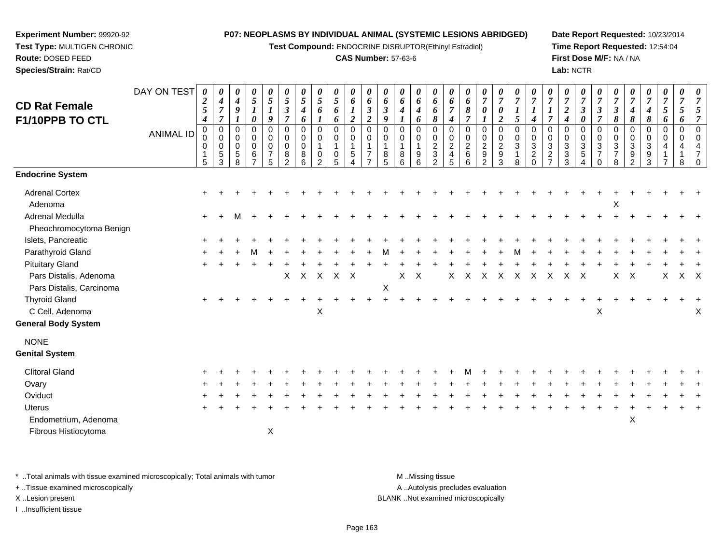**Test Compound:** ENDOCRINE DISRUPTOR(Ethinyl Estradiol)

#### **CAS Number:** 57-63-6

**Date Report Requested:** 10/23/2014**Time Report Requested:** 12:54:04**First Dose M/F:** NA / NA**Lab:** NCTR

| <b>CD Rat Female</b><br>F1/10PPB TO CTL           | DAY ON TEST      | $\boldsymbol{\theta}$<br>$\boldsymbol{2}$<br>5<br>4 | 0<br>$\boldsymbol{4}$<br>$\boldsymbol{7}$<br>$\overline{7}$  | 0<br>$\boldsymbol{4}$<br>9                | 0<br>$\sqrt{5}$<br>$\boldsymbol{l}$<br>0             | 0<br>$\sqrt{5}$<br>$\boldsymbol{l}$<br>9                       | 0<br>$\mathfrak{s}$<br>$\boldsymbol{\beta}$<br>$\overline{7}$ | 0<br>5<br>4<br>6                          | 0<br>5<br>6      | 0<br>5<br>6<br>6                                | 0<br>6<br>$\boldsymbol{l}$<br>$\boldsymbol{2}$                           | 0<br>6<br>$\boldsymbol{\beta}$<br>$\boldsymbol{2}$             | 0<br>6<br>$\boldsymbol{\beta}$<br>9                 | 0<br>6<br>4                    | 0<br>6<br>$\boldsymbol{4}$<br>6           | 0<br>6<br>6<br>8                                                               | 0<br>6<br>$\overline{7}$<br>$\boldsymbol{4}$    | $\boldsymbol{\theta}$<br>6<br>$\pmb{8}$<br>$\overline{7}$  | 0<br>$\overline{7}$<br>0                                                 | 0<br>$\overline{7}$<br>0<br>$\boldsymbol{2}$                                     | 0<br>$\overline{7}$<br>$\boldsymbol{l}$<br>5              | 0<br>$\overline{7}$<br>$\boldsymbol{l}$<br>$\boldsymbol{4}$                                | $\boldsymbol{\theta}$<br>$\overline{7}$<br>$\boldsymbol{l}$<br>$\overline{7}$  | 0<br>$\overline{7}$<br>$\overline{\mathbf{c}}$<br>4 | 0<br>$\overline{7}$<br>$\boldsymbol{\beta}$<br>0         | $\boldsymbol{\theta}$<br>$\overline{7}$<br>3<br>$\overline{\tau}$    | $\boldsymbol{\theta}$<br>$\overline{7}$<br>$\boldsymbol{\beta}$<br>8 | $\boldsymbol{\theta}$<br>$\overline{7}$<br>$\boldsymbol{4}$<br>8 | 0<br>$\overline{7}$<br>$\boldsymbol{4}$<br>8 | 0<br>$\overline{7}$<br>5<br>6              | 0<br>$\overline{7}$<br>5<br>6      | 0<br>$\overline{7}$  |
|---------------------------------------------------|------------------|-----------------------------------------------------|--------------------------------------------------------------|-------------------------------------------|------------------------------------------------------|----------------------------------------------------------------|---------------------------------------------------------------|-------------------------------------------|------------------|-------------------------------------------------|--------------------------------------------------------------------------|----------------------------------------------------------------|-----------------------------------------------------|--------------------------------|-------------------------------------------|--------------------------------------------------------------------------------|-------------------------------------------------|------------------------------------------------------------|--------------------------------------------------------------------------|----------------------------------------------------------------------------------|-----------------------------------------------------------|--------------------------------------------------------------------------------------------|--------------------------------------------------------------------------------|-----------------------------------------------------|----------------------------------------------------------|----------------------------------------------------------------------|----------------------------------------------------------------------|------------------------------------------------------------------|----------------------------------------------|--------------------------------------------|------------------------------------|----------------------|
|                                                   | <b>ANIMAL ID</b> | 0<br>0<br>0<br>1<br>5                               | $\mathbf 0$<br>$\mathbf 0$<br>$\mathbf 0$<br>$\sqrt{5}$<br>3 | $\mathbf 0$<br>$\mathbf 0$<br>0<br>5<br>8 | $\mathbf 0$<br>0<br>$\pmb{0}$<br>6<br>$\overline{7}$ | $\mathbf 0$<br>$\mathbf 0$<br>$\pmb{0}$<br>$\overline{7}$<br>5 | 0<br>0<br>0<br>8<br>$\overline{2}$                            | 0<br>$\mathbf 0$<br>$\mathbf 0$<br>8<br>6 | 0<br>0<br>0<br>2 | $\pmb{0}$<br>0<br>$\mathbf 1$<br>$\pmb{0}$<br>5 | $\pmb{0}$<br>$\mathbf 0$<br>$\mathbf{1}$<br>$\sqrt{5}$<br>$\overline{4}$ | $\mathbf 0$<br>$\mathbf 0$<br>$\overline{7}$<br>$\overline{ }$ | $\mathbf 0$<br>$\Omega$<br>$\overline{1}$<br>8<br>5 | $\Omega$<br>$\Omega$<br>8<br>6 | $\mathbf 0$<br>$\mathbf 0$<br>1<br>9<br>6 | $\mathbf 0$<br>$\mathbf 0$<br>$\boldsymbol{2}$<br>$\sqrt{3}$<br>$\overline{2}$ | 0<br>0<br>$\overline{c}$<br>$\overline{4}$<br>5 | $\pmb{0}$<br>$\mathbf 0$<br>$\overline{2}$<br>$\,6\,$<br>6 | $\mathbf 0$<br>0<br>$\overline{c}$<br>$\boldsymbol{9}$<br>$\overline{2}$ | $\mathbf 0$<br>$\mathbf 0$<br>$\overline{c}$<br>$\boldsymbol{9}$<br>$\mathbf{3}$ | $\pmb{0}$<br>$\pmb{0}$<br>$\sqrt{3}$<br>$\mathbf{1}$<br>8 | $\mathbf 0$<br>$\mathbf 0$<br>$\ensuremath{\mathsf{3}}$<br>$\boldsymbol{2}$<br>$\mathbf 0$ | $\mathbf 0$<br>$\mathbf 0$<br>$\mathbf{3}$<br>$\overline{2}$<br>$\overline{z}$ | 0<br>0<br>$\mathbf{3}$<br>$\sqrt{3}$<br>3           | $\mathbf 0$<br>$\mathbf 0$<br>$\mathbf{3}$<br>$5\,$<br>4 | $\mathbf 0$<br>$\pmb{0}$<br>$\sqrt{3}$<br>$\overline{7}$<br>$\Omega$ | 0<br>$\mathbf 0$<br>$\sqrt{3}$<br>$\overline{7}$<br>8                | 0<br>0<br>$\mathbf{3}$<br>9<br>$\overline{2}$                    | $\mathbf 0$<br>0<br>3<br>9<br>3              | $\pmb{0}$<br>$\mathbf 0$<br>$\overline{4}$ | $\pmb{0}$<br>$\mathbf 0$<br>4<br>8 | $\Omega$<br>$\Omega$ |
| <b>Endocrine System</b>                           |                  |                                                     |                                                              |                                           |                                                      |                                                                |                                                               |                                           |                  |                                                 |                                                                          |                                                                |                                                     |                                |                                           |                                                                                |                                                 |                                                            |                                                                          |                                                                                  |                                                           |                                                                                            |                                                                                |                                                     |                                                          |                                                                      |                                                                      |                                                                  |                                              |                                            |                                    |                      |
| <b>Adrenal Cortex</b><br>Adenoma                  |                  |                                                     |                                                              |                                           |                                                      |                                                                |                                                               |                                           |                  |                                                 |                                                                          |                                                                |                                                     |                                |                                           |                                                                                |                                                 |                                                            |                                                                          |                                                                                  |                                                           |                                                                                            |                                                                                |                                                     |                                                          |                                                                      | Χ                                                                    |                                                                  |                                              |                                            |                                    |                      |
| <b>Adrenal Medulla</b><br>Pheochromocytoma Benign |                  | $\ddot{}$                                           |                                                              |                                           |                                                      |                                                                |                                                               |                                           |                  |                                                 |                                                                          |                                                                |                                                     |                                |                                           |                                                                                |                                                 |                                                            |                                                                          |                                                                                  |                                                           |                                                                                            |                                                                                |                                                     |                                                          |                                                                      |                                                                      |                                                                  |                                              |                                            |                                    |                      |
| Islets, Pancreatic                                |                  |                                                     |                                                              |                                           |                                                      |                                                                |                                                               |                                           |                  |                                                 |                                                                          |                                                                |                                                     |                                |                                           |                                                                                |                                                 |                                                            |                                                                          |                                                                                  |                                                           |                                                                                            |                                                                                |                                                     |                                                          |                                                                      |                                                                      |                                                                  |                                              |                                            |                                    |                      |
| Parathyroid Gland                                 |                  |                                                     |                                                              |                                           |                                                      |                                                                |                                                               |                                           |                  |                                                 |                                                                          |                                                                |                                                     |                                |                                           |                                                                                |                                                 |                                                            |                                                                          |                                                                                  |                                                           |                                                                                            |                                                                                |                                                     |                                                          |                                                                      |                                                                      |                                                                  |                                              |                                            |                                    |                      |
| <b>Pituitary Gland</b>                            |                  |                                                     |                                                              |                                           |                                                      |                                                                |                                                               |                                           |                  |                                                 |                                                                          |                                                                |                                                     |                                |                                           |                                                                                |                                                 |                                                            |                                                                          |                                                                                  |                                                           |                                                                                            |                                                                                |                                                     |                                                          |                                                                      |                                                                      |                                                                  |                                              |                                            |                                    |                      |
| Pars Distalis, Adenoma                            |                  |                                                     |                                                              |                                           |                                                      |                                                                | $\mathsf{X}$                                                  | $X$ $X$                                   |                  | $X$ $X$                                         |                                                                          |                                                                |                                                     | X                              | $\mathsf{X}$                              |                                                                                | X                                               | $\times$                                                   | $\boldsymbol{\mathsf{X}}$                                                | $\mathsf{X}$                                                                     | $\mathsf{X}$                                              | $\mathsf{X}$                                                                               | $\boldsymbol{\mathsf{X}}$                                                      | $\boldsymbol{X}$                                    | $\mathsf{X}$                                             |                                                                      | X                                                                    | X                                                                |                                              | X                                          | $X$ $X$                            |                      |
| Pars Distalis, Carcinoma                          |                  |                                                     |                                                              |                                           |                                                      |                                                                |                                                               |                                           |                  |                                                 |                                                                          |                                                                | $\boldsymbol{\mathsf{X}}$                           |                                |                                           |                                                                                |                                                 |                                                            |                                                                          |                                                                                  |                                                           |                                                                                            |                                                                                |                                                     |                                                          |                                                                      |                                                                      |                                                                  |                                              |                                            |                                    |                      |
| <b>Thyroid Gland</b>                              |                  |                                                     |                                                              |                                           |                                                      |                                                                |                                                               |                                           |                  |                                                 |                                                                          |                                                                |                                                     |                                |                                           |                                                                                |                                                 |                                                            |                                                                          |                                                                                  |                                                           |                                                                                            |                                                                                |                                                     |                                                          |                                                                      |                                                                      |                                                                  |                                              |                                            |                                    |                      |
| C Cell, Adenoma                                   |                  |                                                     |                                                              |                                           |                                                      |                                                                |                                                               |                                           | X                |                                                 |                                                                          |                                                                |                                                     |                                |                                           |                                                                                |                                                 |                                                            |                                                                          |                                                                                  |                                                           |                                                                                            |                                                                                |                                                     |                                                          | X                                                                    |                                                                      |                                                                  |                                              |                                            |                                    | Χ                    |
| <b>General Body System</b>                        |                  |                                                     |                                                              |                                           |                                                      |                                                                |                                                               |                                           |                  |                                                 |                                                                          |                                                                |                                                     |                                |                                           |                                                                                |                                                 |                                                            |                                                                          |                                                                                  |                                                           |                                                                                            |                                                                                |                                                     |                                                          |                                                                      |                                                                      |                                                                  |                                              |                                            |                                    |                      |
| <b>NONE</b>                                       |                  |                                                     |                                                              |                                           |                                                      |                                                                |                                                               |                                           |                  |                                                 |                                                                          |                                                                |                                                     |                                |                                           |                                                                                |                                                 |                                                            |                                                                          |                                                                                  |                                                           |                                                                                            |                                                                                |                                                     |                                                          |                                                                      |                                                                      |                                                                  |                                              |                                            |                                    |                      |
| <b>Genital System</b>                             |                  |                                                     |                                                              |                                           |                                                      |                                                                |                                                               |                                           |                  |                                                 |                                                                          |                                                                |                                                     |                                |                                           |                                                                                |                                                 |                                                            |                                                                          |                                                                                  |                                                           |                                                                                            |                                                                                |                                                     |                                                          |                                                                      |                                                                      |                                                                  |                                              |                                            |                                    |                      |
| <b>Clitoral Gland</b>                             |                  |                                                     |                                                              |                                           |                                                      |                                                                |                                                               |                                           |                  |                                                 |                                                                          |                                                                |                                                     |                                |                                           |                                                                                |                                                 |                                                            |                                                                          |                                                                                  |                                                           |                                                                                            |                                                                                |                                                     |                                                          |                                                                      |                                                                      |                                                                  |                                              |                                            |                                    |                      |
| Ovary                                             |                  |                                                     |                                                              |                                           |                                                      |                                                                |                                                               |                                           |                  |                                                 |                                                                          |                                                                |                                                     |                                |                                           |                                                                                |                                                 |                                                            |                                                                          |                                                                                  |                                                           |                                                                                            |                                                                                |                                                     |                                                          |                                                                      |                                                                      |                                                                  |                                              |                                            |                                    |                      |
| Oviduct                                           |                  |                                                     |                                                              |                                           |                                                      |                                                                |                                                               |                                           |                  |                                                 |                                                                          |                                                                |                                                     |                                |                                           |                                                                                |                                                 |                                                            |                                                                          |                                                                                  |                                                           |                                                                                            |                                                                                |                                                     |                                                          |                                                                      |                                                                      |                                                                  |                                              |                                            |                                    |                      |
| Uterus                                            |                  |                                                     |                                                              |                                           |                                                      |                                                                |                                                               |                                           |                  |                                                 |                                                                          |                                                                |                                                     |                                |                                           |                                                                                |                                                 |                                                            |                                                                          |                                                                                  |                                                           |                                                                                            |                                                                                |                                                     |                                                          |                                                                      |                                                                      |                                                                  |                                              |                                            |                                    |                      |
| Endometrium, Adenoma                              |                  |                                                     |                                                              |                                           |                                                      |                                                                |                                                               |                                           |                  |                                                 |                                                                          |                                                                |                                                     |                                |                                           |                                                                                |                                                 |                                                            |                                                                          |                                                                                  |                                                           |                                                                                            |                                                                                |                                                     |                                                          |                                                                      |                                                                      | X                                                                |                                              |                                            |                                    |                      |
| Fibrous Histiocytoma                              |                  |                                                     |                                                              |                                           |                                                      | X                                                              |                                                               |                                           |                  |                                                 |                                                                          |                                                                |                                                     |                                |                                           |                                                                                |                                                 |                                                            |                                                                          |                                                                                  |                                                           |                                                                                            |                                                                                |                                                     |                                                          |                                                                      |                                                                      |                                                                  |                                              |                                            |                                    |                      |
|                                                   |                  |                                                     |                                                              |                                           |                                                      |                                                                |                                                               |                                           |                  |                                                 |                                                                          |                                                                |                                                     |                                |                                           |                                                                                |                                                 |                                                            |                                                                          |                                                                                  |                                                           |                                                                                            |                                                                                |                                                     |                                                          |                                                                      |                                                                      |                                                                  |                                              |                                            |                                    |                      |

\* ..Total animals with tissue examined microscopically; Total animals with tumor **M** . Missing tissue M ..Missing tissue

+ ..Tissue examined microscopically

**Experiment Number:** 99920-92**Test Type:** MULTIGEN CHRONIC

**Route:** DOSED FEED**Species/Strain:** Rat/CD

I ..Insufficient tissue

A ..Autolysis precludes evaluation

X ..Lesion present BLANK ..Not examined microscopically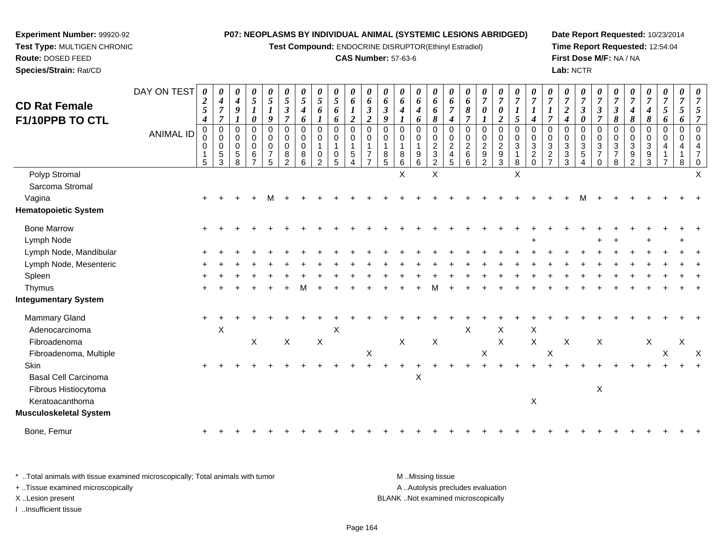**Test Compound:** ENDOCRINE DISRUPTOR(Ethinyl Estradiol)

#### **CAS Number:** 57-63-6

**Date Report Requested:** 10/23/2014**Time Report Requested:** 12:54:04**First Dose M/F:** NA / NA**Lab:** NCTR

| <b>CD Rat Female</b><br><b>F1/10PPB TO CTL</b> | DAY ON TEST<br><b>ANIMAL ID</b> | $\boldsymbol{\theta}$<br>$\boldsymbol{2}$<br>$\mathfrak{I}$<br>$\boldsymbol{4}$<br>$\pmb{0}$<br>0<br>$\mathbf 0$<br>$\sqrt{5}$ | 0<br>$\boldsymbol{4}$<br>$\overline{7}$<br>$\overline{7}$<br>$\pmb{0}$<br>$\pmb{0}$<br>0<br>$\,$ 5 $\,$<br>$\mathbf{3}$ | 0<br>$\boldsymbol{4}$<br>9<br>0<br>0<br>$\mathbf 0$<br>5<br>8 | 0<br>$\mathfrak{S}$<br>$\boldsymbol{l}$<br>0<br>0<br>0<br>$\mathbf 0$<br>6<br>$\overline{7}$ | 0<br>$\sqrt{5}$<br>9<br>$\boldsymbol{0}$<br>0<br>$\mathbf 0$<br>$\overline{7}$<br>5 | 0<br>$\mathfrak{s}$<br>$\boldsymbol{\beta}$<br>7<br>$\pmb{0}$<br>0<br>$\mathbf 0$<br>8<br>$\overline{2}$ | 0<br>$\mathfrak{s}$<br>$\boldsymbol{4}$<br>6<br>$\mathbf 0$<br>0<br>$\mathbf 0$<br>8<br>6 | 0<br>5<br>6<br>$\mathbf 0$<br>0<br>$\mathbf{1}$<br>0<br>$\overline{2}$ | 0<br>$\mathfrak{S}$<br>6<br>6<br>0<br>0<br>$\mathbf{1}$<br>0<br>5 | $\boldsymbol{\theta}$<br>6<br>1<br>$\overline{2}$<br>$\pmb{0}$<br>$\mathbf 0$<br>1<br>$\sqrt{5}$<br>Δ | $\boldsymbol{\theta}$<br>6<br>$\boldsymbol{\beta}$<br>$\overline{\mathbf{c}}$<br>$\boldsymbol{0}$<br>$\mathbf 0$<br>$\overline{1}$<br>$\overline{7}$ | $\boldsymbol{\theta}$<br>6<br>$\boldsymbol{\beta}$<br>9<br>$\mathbf 0$<br>0<br>$\overline{1}$<br>8<br>5 | 0<br>6<br>4<br>$\Omega$<br>0<br>1<br>8<br>6 | 0<br>6<br>$\boldsymbol{4}$<br>6<br>0<br>0<br>$\mathbf{1}$<br>9<br>6 | 0<br>6<br>6<br>8<br>$\pmb{0}$<br>$\pmb{0}$<br>$\boldsymbol{2}$<br>$\sqrt{3}$<br>$\overline{c}$ | 0<br>6<br>$\overline{7}$<br>$\boldsymbol{4}$<br>$\mathbf 0$<br>0<br>$\boldsymbol{2}$<br>$\overline{4}$<br>5 | 0<br>6<br>8<br>$\overline{7}$<br>$\mathbf 0$<br>$\pmb{0}$<br>$\overline{2}$<br>$\,6\,$<br>6 | 0<br>$\overline{7}$<br>0<br>$\mathbf 0$<br>0<br>$\overline{c}$<br>9<br>$\overline{2}$ | $\pmb{\theta}$<br>$\boldsymbol{7}$<br>0<br>$\boldsymbol{2}$<br>$\pmb{0}$<br>$\pmb{0}$<br>$\overline{c}$<br>$\boldsymbol{9}$<br>$\mathbf{3}$ | 0<br>$\overline{7}$<br>1<br>5<br>$\pmb{0}$<br>$\mathsf 0$<br>$\sqrt{3}$<br>$\mathbf{1}$<br>8 | 0<br>$\overline{7}$<br>$\boldsymbol{l}$<br>4<br>0<br>$\mathbf 0$<br>$\mathbf{3}$<br>$\overline{c}$<br>$\Omega$ | 0<br>$\overline{7}$<br>$\boldsymbol{l}$<br>$\overline{7}$<br>$\Omega$<br>$\mathbf 0$<br>$\ensuremath{\mathsf{3}}$<br>$\overline{2}$<br>$\overline{7}$ | 0<br>$\overline{7}$<br>$\overline{c}$<br>4<br>$\Omega$<br>$\Omega$<br>3<br>3<br>3 | $\pmb{\theta}$<br>$\boldsymbol{7}$<br>$\boldsymbol{\beta}$<br>0<br>0<br>$\pmb{0}$<br>$\sqrt{3}$<br>$\sqrt{5}$<br>4 | $\pmb{\theta}$<br>$\overline{7}$<br>3<br>7<br>$\mathbf 0$<br>$\mathbf 0$<br>$\sqrt{3}$<br>$\overline{7}$<br>$\mathbf 0$ | 0<br>$\overline{7}$<br>$\boldsymbol{\beta}$<br>8<br>0<br>$\mathbf 0$<br>3<br>$\overline{7}$<br>$\,8\,$ | 7<br>4<br>8<br>$\Omega$<br>$\Omega$<br>3<br>9<br>$\overline{2}$ | 0<br>$\overline{7}$<br>4<br>8<br>$\mathbf 0$<br>$\Omega$<br>3<br>9<br>3 | $\pmb{\theta}$<br>$\overline{7}$<br>5<br>6<br>$\,0\,$<br>0<br>$\overline{7}$ | 0<br>$\overline{7}$<br>5<br>6<br>$\mathbf 0$<br>$\Omega$<br>8 |   |
|------------------------------------------------|---------------------------------|--------------------------------------------------------------------------------------------------------------------------------|-------------------------------------------------------------------------------------------------------------------------|---------------------------------------------------------------|----------------------------------------------------------------------------------------------|-------------------------------------------------------------------------------------|----------------------------------------------------------------------------------------------------------|-------------------------------------------------------------------------------------------|------------------------------------------------------------------------|-------------------------------------------------------------------|-------------------------------------------------------------------------------------------------------|------------------------------------------------------------------------------------------------------------------------------------------------------|---------------------------------------------------------------------------------------------------------|---------------------------------------------|---------------------------------------------------------------------|------------------------------------------------------------------------------------------------|-------------------------------------------------------------------------------------------------------------|---------------------------------------------------------------------------------------------|---------------------------------------------------------------------------------------|---------------------------------------------------------------------------------------------------------------------------------------------|----------------------------------------------------------------------------------------------|----------------------------------------------------------------------------------------------------------------|-------------------------------------------------------------------------------------------------------------------------------------------------------|-----------------------------------------------------------------------------------|--------------------------------------------------------------------------------------------------------------------|-------------------------------------------------------------------------------------------------------------------------|--------------------------------------------------------------------------------------------------------|-----------------------------------------------------------------|-------------------------------------------------------------------------|------------------------------------------------------------------------------|---------------------------------------------------------------|---|
| Polyp Stromal                                  |                                 |                                                                                                                                |                                                                                                                         |                                                               |                                                                                              |                                                                                     |                                                                                                          |                                                                                           |                                                                        |                                                                   |                                                                                                       |                                                                                                                                                      |                                                                                                         | X                                           |                                                                     | X                                                                                              |                                                                                                             |                                                                                             |                                                                                       |                                                                                                                                             | X                                                                                            |                                                                                                                |                                                                                                                                                       |                                                                                   |                                                                                                                    |                                                                                                                         |                                                                                                        |                                                                 |                                                                         |                                                                              |                                                               |   |
| Sarcoma Stromal                                |                                 |                                                                                                                                |                                                                                                                         |                                                               |                                                                                              |                                                                                     |                                                                                                          |                                                                                           |                                                                        |                                                                   |                                                                                                       |                                                                                                                                                      |                                                                                                         |                                             |                                                                     |                                                                                                |                                                                                                             |                                                                                             |                                                                                       |                                                                                                                                             |                                                                                              |                                                                                                                |                                                                                                                                                       |                                                                                   |                                                                                                                    |                                                                                                                         |                                                                                                        |                                                                 |                                                                         |                                                                              |                                                               |   |
| Vagina                                         |                                 |                                                                                                                                |                                                                                                                         |                                                               |                                                                                              |                                                                                     |                                                                                                          |                                                                                           |                                                                        |                                                                   |                                                                                                       |                                                                                                                                                      |                                                                                                         |                                             |                                                                     |                                                                                                |                                                                                                             |                                                                                             |                                                                                       |                                                                                                                                             |                                                                                              |                                                                                                                |                                                                                                                                                       |                                                                                   |                                                                                                                    |                                                                                                                         |                                                                                                        |                                                                 |                                                                         |                                                                              |                                                               |   |
| <b>Hematopoietic System</b>                    |                                 |                                                                                                                                |                                                                                                                         |                                                               |                                                                                              |                                                                                     |                                                                                                          |                                                                                           |                                                                        |                                                                   |                                                                                                       |                                                                                                                                                      |                                                                                                         |                                             |                                                                     |                                                                                                |                                                                                                             |                                                                                             |                                                                                       |                                                                                                                                             |                                                                                              |                                                                                                                |                                                                                                                                                       |                                                                                   |                                                                                                                    |                                                                                                                         |                                                                                                        |                                                                 |                                                                         |                                                                              |                                                               |   |
| <b>Bone Marrow</b>                             |                                 |                                                                                                                                |                                                                                                                         |                                                               |                                                                                              |                                                                                     |                                                                                                          |                                                                                           |                                                                        |                                                                   |                                                                                                       |                                                                                                                                                      |                                                                                                         |                                             |                                                                     |                                                                                                |                                                                                                             |                                                                                             |                                                                                       |                                                                                                                                             |                                                                                              |                                                                                                                |                                                                                                                                                       |                                                                                   |                                                                                                                    |                                                                                                                         |                                                                                                        |                                                                 |                                                                         |                                                                              |                                                               |   |
| Lymph Node                                     |                                 |                                                                                                                                |                                                                                                                         |                                                               |                                                                                              |                                                                                     |                                                                                                          |                                                                                           |                                                                        |                                                                   |                                                                                                       |                                                                                                                                                      |                                                                                                         |                                             |                                                                     |                                                                                                |                                                                                                             |                                                                                             |                                                                                       |                                                                                                                                             |                                                                                              |                                                                                                                |                                                                                                                                                       |                                                                                   |                                                                                                                    |                                                                                                                         |                                                                                                        |                                                                 |                                                                         |                                                                              |                                                               |   |
| Lymph Node, Mandibular                         |                                 |                                                                                                                                |                                                                                                                         |                                                               |                                                                                              |                                                                                     |                                                                                                          |                                                                                           |                                                                        |                                                                   |                                                                                                       |                                                                                                                                                      |                                                                                                         |                                             |                                                                     |                                                                                                |                                                                                                             |                                                                                             |                                                                                       |                                                                                                                                             |                                                                                              |                                                                                                                |                                                                                                                                                       |                                                                                   |                                                                                                                    |                                                                                                                         |                                                                                                        |                                                                 |                                                                         |                                                                              |                                                               |   |
| Lymph Node, Mesenteric                         |                                 |                                                                                                                                |                                                                                                                         |                                                               |                                                                                              |                                                                                     |                                                                                                          |                                                                                           |                                                                        |                                                                   |                                                                                                       |                                                                                                                                                      |                                                                                                         |                                             |                                                                     |                                                                                                |                                                                                                             |                                                                                             |                                                                                       |                                                                                                                                             |                                                                                              |                                                                                                                |                                                                                                                                                       |                                                                                   |                                                                                                                    |                                                                                                                         |                                                                                                        |                                                                 |                                                                         |                                                                              |                                                               |   |
| Spleen                                         |                                 |                                                                                                                                |                                                                                                                         |                                                               |                                                                                              |                                                                                     |                                                                                                          |                                                                                           |                                                                        |                                                                   |                                                                                                       |                                                                                                                                                      |                                                                                                         |                                             |                                                                     |                                                                                                |                                                                                                             |                                                                                             |                                                                                       |                                                                                                                                             |                                                                                              |                                                                                                                |                                                                                                                                                       |                                                                                   |                                                                                                                    |                                                                                                                         |                                                                                                        |                                                                 |                                                                         |                                                                              |                                                               |   |
| Thymus                                         |                                 |                                                                                                                                |                                                                                                                         |                                                               |                                                                                              |                                                                                     |                                                                                                          |                                                                                           |                                                                        |                                                                   |                                                                                                       |                                                                                                                                                      |                                                                                                         |                                             |                                                                     |                                                                                                |                                                                                                             |                                                                                             |                                                                                       |                                                                                                                                             |                                                                                              |                                                                                                                |                                                                                                                                                       |                                                                                   |                                                                                                                    |                                                                                                                         |                                                                                                        |                                                                 |                                                                         |                                                                              |                                                               |   |
| <b>Integumentary System</b>                    |                                 |                                                                                                                                |                                                                                                                         |                                                               |                                                                                              |                                                                                     |                                                                                                          |                                                                                           |                                                                        |                                                                   |                                                                                                       |                                                                                                                                                      |                                                                                                         |                                             |                                                                     |                                                                                                |                                                                                                             |                                                                                             |                                                                                       |                                                                                                                                             |                                                                                              |                                                                                                                |                                                                                                                                                       |                                                                                   |                                                                                                                    |                                                                                                                         |                                                                                                        |                                                                 |                                                                         |                                                                              |                                                               |   |
| Mammary Gland                                  |                                 |                                                                                                                                |                                                                                                                         |                                                               |                                                                                              |                                                                                     |                                                                                                          |                                                                                           |                                                                        |                                                                   |                                                                                                       |                                                                                                                                                      |                                                                                                         |                                             |                                                                     |                                                                                                |                                                                                                             |                                                                                             |                                                                                       |                                                                                                                                             |                                                                                              |                                                                                                                |                                                                                                                                                       |                                                                                   |                                                                                                                    |                                                                                                                         |                                                                                                        |                                                                 |                                                                         |                                                                              |                                                               |   |
| Adenocarcinoma                                 |                                 |                                                                                                                                | X                                                                                                                       |                                                               |                                                                                              |                                                                                     |                                                                                                          |                                                                                           |                                                                        | $\boldsymbol{\mathsf{X}}$                                         |                                                                                                       |                                                                                                                                                      |                                                                                                         |                                             |                                                                     |                                                                                                |                                                                                                             | $\sf X$                                                                                     |                                                                                       | X                                                                                                                                           |                                                                                              | $\boldsymbol{\mathsf{X}}$                                                                                      |                                                                                                                                                       |                                                                                   |                                                                                                                    |                                                                                                                         |                                                                                                        |                                                                 |                                                                         |                                                                              |                                                               |   |
| Fibroadenoma                                   |                                 |                                                                                                                                |                                                                                                                         |                                                               | $\mathsf X$                                                                                  |                                                                                     | $\mathsf X$                                                                                              |                                                                                           | X                                                                      |                                                                   |                                                                                                       |                                                                                                                                                      |                                                                                                         | X                                           |                                                                     | $\boldsymbol{\mathsf{X}}$                                                                      |                                                                                                             |                                                                                             |                                                                                       | X                                                                                                                                           |                                                                                              | $\mathsf X$                                                                                                    |                                                                                                                                                       | X                                                                                 |                                                                                                                    | X                                                                                                                       |                                                                                                        |                                                                 | X                                                                       |                                                                              | X                                                             |   |
| Fibroadenoma, Multiple                         |                                 |                                                                                                                                |                                                                                                                         |                                                               |                                                                                              |                                                                                     |                                                                                                          |                                                                                           |                                                                        |                                                                   |                                                                                                       | $\mathsf X$                                                                                                                                          |                                                                                                         |                                             |                                                                     |                                                                                                |                                                                                                             |                                                                                             | $\mathsf X$                                                                           |                                                                                                                                             |                                                                                              |                                                                                                                | $\boldsymbol{\mathsf{X}}$                                                                                                                             |                                                                                   |                                                                                                                    |                                                                                                                         |                                                                                                        |                                                                 |                                                                         | X                                                                            |                                                               | X |
| <b>Skin</b>                                    |                                 |                                                                                                                                |                                                                                                                         |                                                               |                                                                                              |                                                                                     |                                                                                                          |                                                                                           |                                                                        |                                                                   |                                                                                                       |                                                                                                                                                      |                                                                                                         |                                             |                                                                     |                                                                                                |                                                                                                             |                                                                                             |                                                                                       |                                                                                                                                             |                                                                                              |                                                                                                                |                                                                                                                                                       |                                                                                   |                                                                                                                    |                                                                                                                         |                                                                                                        |                                                                 |                                                                         |                                                                              |                                                               |   |
| <b>Basal Cell Carcinoma</b>                    |                                 |                                                                                                                                |                                                                                                                         |                                                               |                                                                                              |                                                                                     |                                                                                                          |                                                                                           |                                                                        |                                                                   |                                                                                                       |                                                                                                                                                      |                                                                                                         |                                             | $\mathsf X$                                                         |                                                                                                |                                                                                                             |                                                                                             |                                                                                       |                                                                                                                                             |                                                                                              |                                                                                                                |                                                                                                                                                       |                                                                                   |                                                                                                                    |                                                                                                                         |                                                                                                        |                                                                 |                                                                         |                                                                              |                                                               |   |
| Fibrous Histiocytoma                           |                                 |                                                                                                                                |                                                                                                                         |                                                               |                                                                                              |                                                                                     |                                                                                                          |                                                                                           |                                                                        |                                                                   |                                                                                                       |                                                                                                                                                      |                                                                                                         |                                             |                                                                     |                                                                                                |                                                                                                             |                                                                                             |                                                                                       |                                                                                                                                             |                                                                                              |                                                                                                                |                                                                                                                                                       |                                                                                   |                                                                                                                    | X                                                                                                                       |                                                                                                        |                                                                 |                                                                         |                                                                              |                                                               |   |
| Keratoacanthoma                                |                                 |                                                                                                                                |                                                                                                                         |                                                               |                                                                                              |                                                                                     |                                                                                                          |                                                                                           |                                                                        |                                                                   |                                                                                                       |                                                                                                                                                      |                                                                                                         |                                             |                                                                     |                                                                                                |                                                                                                             |                                                                                             |                                                                                       |                                                                                                                                             |                                                                                              | X                                                                                                              |                                                                                                                                                       |                                                                                   |                                                                                                                    |                                                                                                                         |                                                                                                        |                                                                 |                                                                         |                                                                              |                                                               |   |
| Musculoskeletal System                         |                                 |                                                                                                                                |                                                                                                                         |                                                               |                                                                                              |                                                                                     |                                                                                                          |                                                                                           |                                                                        |                                                                   |                                                                                                       |                                                                                                                                                      |                                                                                                         |                                             |                                                                     |                                                                                                |                                                                                                             |                                                                                             |                                                                                       |                                                                                                                                             |                                                                                              |                                                                                                                |                                                                                                                                                       |                                                                                   |                                                                                                                    |                                                                                                                         |                                                                                                        |                                                                 |                                                                         |                                                                              |                                                               |   |
| Bone, Femur                                    |                                 |                                                                                                                                |                                                                                                                         |                                                               |                                                                                              |                                                                                     |                                                                                                          |                                                                                           |                                                                        |                                                                   |                                                                                                       |                                                                                                                                                      |                                                                                                         |                                             |                                                                     |                                                                                                |                                                                                                             |                                                                                             |                                                                                       |                                                                                                                                             |                                                                                              |                                                                                                                |                                                                                                                                                       |                                                                                   |                                                                                                                    |                                                                                                                         |                                                                                                        |                                                                 |                                                                         |                                                                              |                                                               |   |
|                                                |                                 |                                                                                                                                |                                                                                                                         |                                                               |                                                                                              |                                                                                     |                                                                                                          |                                                                                           |                                                                        |                                                                   |                                                                                                       |                                                                                                                                                      |                                                                                                         |                                             |                                                                     |                                                                                                |                                                                                                             |                                                                                             |                                                                                       |                                                                                                                                             |                                                                                              |                                                                                                                |                                                                                                                                                       |                                                                                   |                                                                                                                    |                                                                                                                         |                                                                                                        |                                                                 |                                                                         |                                                                              |                                                               |   |

\* ..Total animals with tissue examined microscopically; Total animals with tumor **M** . Missing tissue M ..Missing tissue A ..Autolysis precludes evaluation + ..Tissue examined microscopically X ..Lesion present BLANK ..Not examined microscopicallyI ..Insufficient tissue

**Experiment Number:** 99920-92**Test Type:** MULTIGEN CHRONIC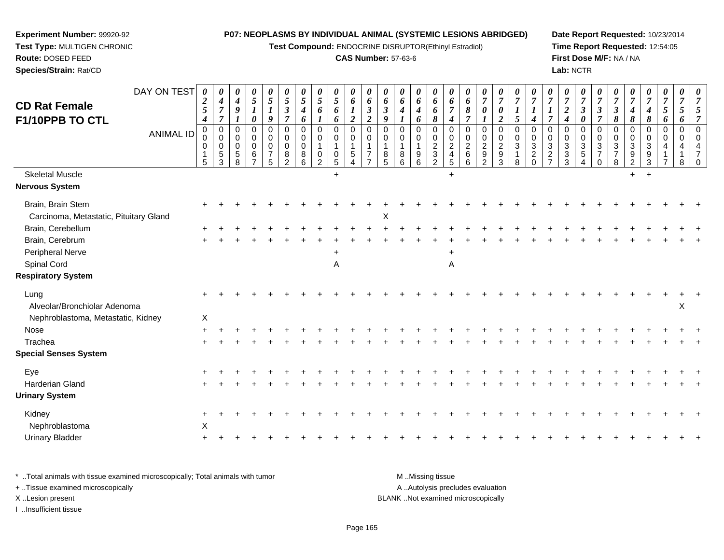**Test Compound:** ENDOCRINE DISRUPTOR(Ethinyl Estradiol)

#### **CAS Number:** 57-63-6

**Date Report Requested:** 10/23/2014**Time Report Requested:** 12:54:05**First Dose M/F:** NA / NA**Lab:** NCTR

| <b>CD Rat Female</b><br>F1/10PPB TO CTL                     | DAY ON TEST<br><b>ANIMAL ID</b> | 0<br>$\boldsymbol{2}$<br>$\mathfrak{s}$<br>$\boldsymbol{4}$<br>$\mathbf 0$<br>0<br>0<br>-1<br>5 | $\boldsymbol{\theta}$<br>$\boldsymbol{4}$<br>$\overline{7}$<br>$\overline{7}$<br>$\overline{0}$<br>$\mathbf 0$<br>$\mathbf 0$<br>$\sqrt{5}$<br>3 | $\theta$<br>$\boldsymbol{4}$<br>9<br>$\Omega$<br>$\Omega$<br>$\Omega$<br>5<br>8 | 0<br>$\mathfrak{s}$<br>$\boldsymbol{l}$<br>0<br>$\mathbf 0$<br>0<br>$\mathbf 0$<br>6 | $\frac{\theta}{5}$<br>$\boldsymbol{l}$<br>$\boldsymbol{9}$<br>$\mathbf 0$<br>$\mathbf 0$<br>$\pmb{0}$<br>$\overline{7}$<br>$\sqrt{5}$ | $\boldsymbol{\theta}$<br>$\overline{5}$<br>$\boldsymbol{\beta}$<br>$\overline{7}$<br>$\mathbf 0$<br>$\mathbf 0$<br>$\mathbf 0$<br>8<br>$\overline{2}$ | $\boldsymbol{\theta}$<br>5<br>$\boldsymbol{4}$<br>6<br>$\mathbf 0$<br>$\mathbf 0$<br>$\mathbf 0$<br>8<br>6 | 0<br>$5\overline{)}$<br>6<br>$\mathbf 0$<br>0<br>0<br>2 | 0<br>$5\overline{)}$<br>6<br>6<br>$\mathbf 0$<br>0<br>$\mathbf 1$<br>0<br>$\sqrt{5}$ | 0<br>$\boldsymbol{6}$<br>$\boldsymbol{l}$<br>$\boldsymbol{2}$<br>$\mathbf 0$<br>$\mathbf 0$<br>1<br>$\,$ 5 $\,$<br>4 | 0<br>6<br>$\boldsymbol{\beta}$<br>$\boldsymbol{2}$<br>$\Omega$<br>$\Omega$<br>$\overline{7}$ | $\boldsymbol{\theta}$<br>6<br>$\boldsymbol{\beta}$<br>9<br>$\Omega$<br>$\Omega$<br>8<br>5 | 0<br>6<br>4<br>$\Omega$<br>$\Omega$<br>8<br>6 | 0<br>6<br>$\boldsymbol{4}$<br>6<br>$\mathbf 0$<br>0<br>$\mathbf{1}$<br>$\boldsymbol{9}$<br>6 | $\boldsymbol{\theta}$<br>6<br>6<br>$\pmb{8}$<br>$\mathbf 0$<br>$\mathbf 0$<br>$\boldsymbol{2}$<br>$\ensuremath{\mathsf{3}}$<br>$\overline{2}$ | $\boldsymbol{\theta}$<br>6<br>$\overline{7}$<br>$\boldsymbol{4}$<br>$\Omega$<br>0<br>$\overline{c}$<br>$\overline{4}$<br>$\sqrt{5}$ | $\boldsymbol{\theta}$<br>6<br>8<br>$\overline{7}$<br>$\mathbf 0$<br>$\mathbf 0$<br>$\overline{2}$<br>$\,6\,$<br>6 | $\boldsymbol{\theta}$<br>$\overline{7}$<br>0<br>$\mathbf 0$<br>0<br>$\overline{c}$<br>$\boldsymbol{9}$<br>$\overline{2}$ | $\frac{\boldsymbol{\theta}}{\boldsymbol{7}}$<br>$\pmb{\theta}$<br>$\boldsymbol{2}$<br>$\pmb{0}$<br>$\mathbf 0$<br>$\frac{2}{9}$<br>$\sqrt{3}$ | $\boldsymbol{\theta}$<br>$\overline{7}$<br>$\boldsymbol{l}$<br>$\sqrt{5}$<br>$\mathbf 0$<br>$\pmb{0}$<br>$\sqrt{3}$<br>$\mathbf{1}$<br>8 | $\boldsymbol{\theta}$<br>$\overline{7}$<br>$\boldsymbol{l}$<br>$\boldsymbol{4}$<br>$\Omega$<br>0<br>$\ensuremath{\mathsf{3}}$<br>$\overline{c}$<br>$\mathbf 0$ | $\overline{7}$<br>1<br>$\overline{7}$<br>$\Omega$<br>$\Omega$<br>$\mathbf{3}$<br>$\overline{2}$<br>$\overline{7}$ | $\frac{\boldsymbol{0}}{7}$<br>$\overline{2}$<br>$\boldsymbol{4}$<br>$\Omega$<br>0<br>3<br>3<br>3 | $\frac{\boldsymbol{0}}{7}$<br>$\boldsymbol{\beta}$<br>$\pmb{\theta}$<br>$\mathbf 0$<br>$\mathbf 0$<br>$\ensuremath{\mathsf{3}}$<br>$\sqrt{5}$<br>$\overline{4}$ | $\boldsymbol{\theta}$<br>$\overline{7}$<br>$\mathfrak{z}$<br>$\overline{7}$<br>$\Omega$<br>$\mathbf 0$<br>$\sqrt{3}$<br>$\overline{7}$<br>$\mathbf 0$ | $\boldsymbol{\theta}$<br>$\overline{7}$<br>$\boldsymbol{\beta}$<br>$\pmb{8}$<br>$\mathbf 0$<br>$\mathbf 0$<br>$\sqrt{3}$<br>$\overline{7}$<br>$\,8\,$ | $\overline{7}$<br>4<br>$\pmb{8}$<br>$\Omega$<br>$\Omega$<br>3<br>9<br>$\overline{2}$ | $\frac{\boldsymbol{0}}{7}$<br>4<br>8<br>$\Omega$<br>$\Omega$<br>3<br>9<br>3 | $\boldsymbol{\theta}$<br>$\overline{7}$<br>5<br>6<br>$\mathbf 0$<br>$\Omega$ | $\boldsymbol{\theta}$<br>$\overline{7}$<br>5<br>6<br>$\mathbf 0$<br>$\Omega$ | $\boldsymbol{\theta}$ |
|-------------------------------------------------------------|---------------------------------|-------------------------------------------------------------------------------------------------|--------------------------------------------------------------------------------------------------------------------------------------------------|---------------------------------------------------------------------------------|--------------------------------------------------------------------------------------|---------------------------------------------------------------------------------------------------------------------------------------|-------------------------------------------------------------------------------------------------------------------------------------------------------|------------------------------------------------------------------------------------------------------------|---------------------------------------------------------|--------------------------------------------------------------------------------------|----------------------------------------------------------------------------------------------------------------------|----------------------------------------------------------------------------------------------|-------------------------------------------------------------------------------------------|-----------------------------------------------|----------------------------------------------------------------------------------------------|-----------------------------------------------------------------------------------------------------------------------------------------------|-------------------------------------------------------------------------------------------------------------------------------------|-------------------------------------------------------------------------------------------------------------------|--------------------------------------------------------------------------------------------------------------------------|-----------------------------------------------------------------------------------------------------------------------------------------------|------------------------------------------------------------------------------------------------------------------------------------------|----------------------------------------------------------------------------------------------------------------------------------------------------------------|-------------------------------------------------------------------------------------------------------------------|--------------------------------------------------------------------------------------------------|-----------------------------------------------------------------------------------------------------------------------------------------------------------------|-------------------------------------------------------------------------------------------------------------------------------------------------------|-------------------------------------------------------------------------------------------------------------------------------------------------------|--------------------------------------------------------------------------------------|-----------------------------------------------------------------------------|------------------------------------------------------------------------------|------------------------------------------------------------------------------|-----------------------|
| <b>Skeletal Muscle</b>                                      |                                 |                                                                                                 |                                                                                                                                                  |                                                                                 |                                                                                      |                                                                                                                                       |                                                                                                                                                       |                                                                                                            |                                                         | $+$                                                                                  |                                                                                                                      |                                                                                              |                                                                                           |                                               |                                                                                              |                                                                                                                                               | $\ddot{}$                                                                                                                           |                                                                                                                   |                                                                                                                          |                                                                                                                                               |                                                                                                                                          |                                                                                                                                                                |                                                                                                                   |                                                                                                  |                                                                                                                                                                 |                                                                                                                                                       |                                                                                                                                                       | $+$                                                                                  | $+$                                                                         |                                                                              |                                                                              |                       |
| <b>Nervous System</b>                                       |                                 |                                                                                                 |                                                                                                                                                  |                                                                                 |                                                                                      |                                                                                                                                       |                                                                                                                                                       |                                                                                                            |                                                         |                                                                                      |                                                                                                                      |                                                                                              |                                                                                           |                                               |                                                                                              |                                                                                                                                               |                                                                                                                                     |                                                                                                                   |                                                                                                                          |                                                                                                                                               |                                                                                                                                          |                                                                                                                                                                |                                                                                                                   |                                                                                                  |                                                                                                                                                                 |                                                                                                                                                       |                                                                                                                                                       |                                                                                      |                                                                             |                                                                              |                                                                              |                       |
| Brain, Brain Stem<br>Carcinoma, Metastatic, Pituitary Gland |                                 |                                                                                                 |                                                                                                                                                  |                                                                                 |                                                                                      |                                                                                                                                       |                                                                                                                                                       |                                                                                                            |                                                         |                                                                                      |                                                                                                                      |                                                                                              | X                                                                                         |                                               |                                                                                              |                                                                                                                                               |                                                                                                                                     |                                                                                                                   |                                                                                                                          |                                                                                                                                               |                                                                                                                                          |                                                                                                                                                                |                                                                                                                   |                                                                                                  |                                                                                                                                                                 |                                                                                                                                                       |                                                                                                                                                       |                                                                                      |                                                                             |                                                                              |                                                                              |                       |
| Brain, Cerebellum                                           |                                 |                                                                                                 |                                                                                                                                                  |                                                                                 |                                                                                      |                                                                                                                                       |                                                                                                                                                       |                                                                                                            |                                                         |                                                                                      |                                                                                                                      |                                                                                              |                                                                                           |                                               |                                                                                              |                                                                                                                                               |                                                                                                                                     |                                                                                                                   |                                                                                                                          |                                                                                                                                               |                                                                                                                                          |                                                                                                                                                                |                                                                                                                   |                                                                                                  |                                                                                                                                                                 |                                                                                                                                                       |                                                                                                                                                       |                                                                                      |                                                                             |                                                                              |                                                                              |                       |
| Brain, Cerebrum                                             |                                 |                                                                                                 |                                                                                                                                                  |                                                                                 |                                                                                      |                                                                                                                                       |                                                                                                                                                       |                                                                                                            |                                                         |                                                                                      |                                                                                                                      |                                                                                              |                                                                                           |                                               |                                                                                              |                                                                                                                                               |                                                                                                                                     |                                                                                                                   |                                                                                                                          |                                                                                                                                               |                                                                                                                                          |                                                                                                                                                                |                                                                                                                   |                                                                                                  |                                                                                                                                                                 |                                                                                                                                                       |                                                                                                                                                       |                                                                                      |                                                                             |                                                                              |                                                                              |                       |
| Peripheral Nerve                                            |                                 |                                                                                                 |                                                                                                                                                  |                                                                                 |                                                                                      |                                                                                                                                       |                                                                                                                                                       |                                                                                                            |                                                         |                                                                                      |                                                                                                                      |                                                                                              |                                                                                           |                                               |                                                                                              |                                                                                                                                               |                                                                                                                                     |                                                                                                                   |                                                                                                                          |                                                                                                                                               |                                                                                                                                          |                                                                                                                                                                |                                                                                                                   |                                                                                                  |                                                                                                                                                                 |                                                                                                                                                       |                                                                                                                                                       |                                                                                      |                                                                             |                                                                              |                                                                              |                       |
| Spinal Cord                                                 |                                 |                                                                                                 |                                                                                                                                                  |                                                                                 |                                                                                      |                                                                                                                                       |                                                                                                                                                       |                                                                                                            |                                                         | Α                                                                                    |                                                                                                                      |                                                                                              |                                                                                           |                                               |                                                                                              |                                                                                                                                               | Α                                                                                                                                   |                                                                                                                   |                                                                                                                          |                                                                                                                                               |                                                                                                                                          |                                                                                                                                                                |                                                                                                                   |                                                                                                  |                                                                                                                                                                 |                                                                                                                                                       |                                                                                                                                                       |                                                                                      |                                                                             |                                                                              |                                                                              |                       |
| <b>Respiratory System</b>                                   |                                 |                                                                                                 |                                                                                                                                                  |                                                                                 |                                                                                      |                                                                                                                                       |                                                                                                                                                       |                                                                                                            |                                                         |                                                                                      |                                                                                                                      |                                                                                              |                                                                                           |                                               |                                                                                              |                                                                                                                                               |                                                                                                                                     |                                                                                                                   |                                                                                                                          |                                                                                                                                               |                                                                                                                                          |                                                                                                                                                                |                                                                                                                   |                                                                                                  |                                                                                                                                                                 |                                                                                                                                                       |                                                                                                                                                       |                                                                                      |                                                                             |                                                                              |                                                                              |                       |
| Lung<br>Alveolar/Bronchiolar Adenoma                        |                                 |                                                                                                 |                                                                                                                                                  |                                                                                 |                                                                                      |                                                                                                                                       |                                                                                                                                                       |                                                                                                            |                                                         |                                                                                      |                                                                                                                      |                                                                                              |                                                                                           |                                               |                                                                                              |                                                                                                                                               |                                                                                                                                     |                                                                                                                   |                                                                                                                          |                                                                                                                                               |                                                                                                                                          |                                                                                                                                                                |                                                                                                                   |                                                                                                  |                                                                                                                                                                 |                                                                                                                                                       |                                                                                                                                                       |                                                                                      |                                                                             |                                                                              | X                                                                            |                       |
| Nephroblastoma, Metastatic, Kidney<br>Nose                  |                                 | X                                                                                               |                                                                                                                                                  |                                                                                 |                                                                                      |                                                                                                                                       |                                                                                                                                                       |                                                                                                            |                                                         |                                                                                      |                                                                                                                      |                                                                                              |                                                                                           |                                               |                                                                                              |                                                                                                                                               |                                                                                                                                     |                                                                                                                   |                                                                                                                          |                                                                                                                                               |                                                                                                                                          |                                                                                                                                                                |                                                                                                                   |                                                                                                  |                                                                                                                                                                 |                                                                                                                                                       |                                                                                                                                                       |                                                                                      |                                                                             |                                                                              |                                                                              |                       |
| Trachea                                                     |                                 |                                                                                                 |                                                                                                                                                  |                                                                                 |                                                                                      |                                                                                                                                       |                                                                                                                                                       |                                                                                                            |                                                         |                                                                                      |                                                                                                                      |                                                                                              |                                                                                           |                                               |                                                                                              |                                                                                                                                               |                                                                                                                                     |                                                                                                                   |                                                                                                                          |                                                                                                                                               |                                                                                                                                          |                                                                                                                                                                |                                                                                                                   |                                                                                                  |                                                                                                                                                                 |                                                                                                                                                       |                                                                                                                                                       |                                                                                      |                                                                             |                                                                              |                                                                              |                       |
| <b>Special Senses System</b>                                |                                 |                                                                                                 |                                                                                                                                                  |                                                                                 |                                                                                      |                                                                                                                                       |                                                                                                                                                       |                                                                                                            |                                                         |                                                                                      |                                                                                                                      |                                                                                              |                                                                                           |                                               |                                                                                              |                                                                                                                                               |                                                                                                                                     |                                                                                                                   |                                                                                                                          |                                                                                                                                               |                                                                                                                                          |                                                                                                                                                                |                                                                                                                   |                                                                                                  |                                                                                                                                                                 |                                                                                                                                                       |                                                                                                                                                       |                                                                                      |                                                                             |                                                                              |                                                                              |                       |
| Eye                                                         |                                 |                                                                                                 |                                                                                                                                                  |                                                                                 |                                                                                      |                                                                                                                                       |                                                                                                                                                       |                                                                                                            |                                                         |                                                                                      |                                                                                                                      |                                                                                              |                                                                                           |                                               |                                                                                              |                                                                                                                                               |                                                                                                                                     |                                                                                                                   |                                                                                                                          |                                                                                                                                               |                                                                                                                                          |                                                                                                                                                                |                                                                                                                   |                                                                                                  |                                                                                                                                                                 |                                                                                                                                                       |                                                                                                                                                       |                                                                                      |                                                                             |                                                                              |                                                                              |                       |
| <b>Harderian Gland</b>                                      |                                 |                                                                                                 |                                                                                                                                                  |                                                                                 |                                                                                      |                                                                                                                                       |                                                                                                                                                       |                                                                                                            |                                                         |                                                                                      |                                                                                                                      |                                                                                              |                                                                                           |                                               |                                                                                              |                                                                                                                                               |                                                                                                                                     |                                                                                                                   |                                                                                                                          |                                                                                                                                               |                                                                                                                                          |                                                                                                                                                                |                                                                                                                   |                                                                                                  |                                                                                                                                                                 |                                                                                                                                                       |                                                                                                                                                       |                                                                                      |                                                                             |                                                                              |                                                                              |                       |
| <b>Urinary System</b>                                       |                                 |                                                                                                 |                                                                                                                                                  |                                                                                 |                                                                                      |                                                                                                                                       |                                                                                                                                                       |                                                                                                            |                                                         |                                                                                      |                                                                                                                      |                                                                                              |                                                                                           |                                               |                                                                                              |                                                                                                                                               |                                                                                                                                     |                                                                                                                   |                                                                                                                          |                                                                                                                                               |                                                                                                                                          |                                                                                                                                                                |                                                                                                                   |                                                                                                  |                                                                                                                                                                 |                                                                                                                                                       |                                                                                                                                                       |                                                                                      |                                                                             |                                                                              |                                                                              |                       |
| Kidney                                                      |                                 |                                                                                                 |                                                                                                                                                  |                                                                                 |                                                                                      |                                                                                                                                       |                                                                                                                                                       |                                                                                                            |                                                         |                                                                                      |                                                                                                                      |                                                                                              |                                                                                           |                                               |                                                                                              |                                                                                                                                               |                                                                                                                                     |                                                                                                                   |                                                                                                                          |                                                                                                                                               |                                                                                                                                          |                                                                                                                                                                |                                                                                                                   |                                                                                                  |                                                                                                                                                                 |                                                                                                                                                       |                                                                                                                                                       |                                                                                      |                                                                             |                                                                              |                                                                              |                       |
| Nephroblastoma                                              |                                 | X                                                                                               |                                                                                                                                                  |                                                                                 |                                                                                      |                                                                                                                                       |                                                                                                                                                       |                                                                                                            |                                                         |                                                                                      |                                                                                                                      |                                                                                              |                                                                                           |                                               |                                                                                              |                                                                                                                                               |                                                                                                                                     |                                                                                                                   |                                                                                                                          |                                                                                                                                               |                                                                                                                                          |                                                                                                                                                                |                                                                                                                   |                                                                                                  |                                                                                                                                                                 |                                                                                                                                                       |                                                                                                                                                       |                                                                                      |                                                                             |                                                                              |                                                                              |                       |
| <b>Urinary Bladder</b>                                      |                                 |                                                                                                 |                                                                                                                                                  |                                                                                 |                                                                                      |                                                                                                                                       |                                                                                                                                                       |                                                                                                            |                                                         |                                                                                      |                                                                                                                      |                                                                                              |                                                                                           |                                               |                                                                                              |                                                                                                                                               |                                                                                                                                     |                                                                                                                   |                                                                                                                          |                                                                                                                                               |                                                                                                                                          |                                                                                                                                                                |                                                                                                                   |                                                                                                  |                                                                                                                                                                 |                                                                                                                                                       |                                                                                                                                                       |                                                                                      |                                                                             |                                                                              |                                                                              |                       |

\* ..Total animals with tissue examined microscopically; Total animals with tumor **M** . Missing tissue M ..Missing tissue A ..Autolysis precludes evaluation + ..Tissue examined microscopically X ..Lesion present BLANK ..Not examined microscopicallyI ..Insufficient tissue

**Experiment Number:** 99920-92**Test Type:** MULTIGEN CHRONIC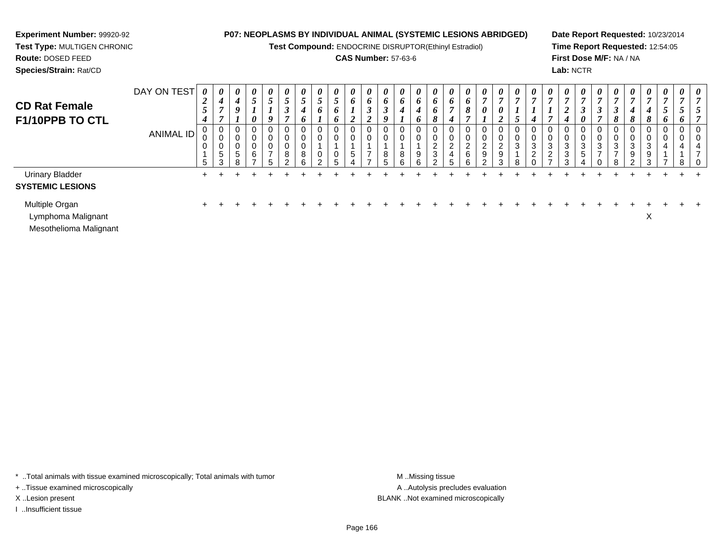**Test Compound:** ENDOCRINE DISRUPTOR(Ethinyl Estradiol)

#### **CAS Number:** 57-63-6

**Date Report Requested:** 10/23/2014**Time Report Requested:** 12:54:05**First Dose M/F:** NA / NA**Lab:** NCTR

 $\ddot{}$ 

| Species/Strain: Rat/CD |             |   |         |   |   |   |   |   |               |                       |                       |          |   |   |   |                       |             |   |   |        |   |                       |               |               | Lab: NCTR             |                       |                       |
|------------------------|-------------|---|---------|---|---|---|---|---|---------------|-----------------------|-----------------------|----------|---|---|---|-----------------------|-------------|---|---|--------|---|-----------------------|---------------|---------------|-----------------------|-----------------------|-----------------------|
|                        | DAY ON TEST | 0 | 0       | 0 | 0 | 0 | 0 | 0 | 0             | $\boldsymbol{\theta}$ | $\boldsymbol{\theta}$ | $\theta$ | 0 | 0 | 0 | $\boldsymbol{\theta}$ | 0           | 0 | 0 | 0      | 0 | $\boldsymbol{\theta}$ | 0             | 0             | $\boldsymbol{\theta}$ | $\boldsymbol{\theta}$ | $\boldsymbol{\theta}$ |
| <b>CD Rat Female</b>   |             | ◢ | 4       | 4 |   | ັ |   |   |               |                       | $\bm{o}$              | $\bm{o}$ | o | o | o | o                     | $\bm{o}$    | 6 |   |        |   | r,                    |               |               | $\mathbf{r}$          | ~                     | $\overline{7}$        |
|                        |             | ◡ |         | o |   |   | ◡ |   | 6             |                       |                       | J        | 3 |   |   | o                     |             | 8 | 0 | 0      |   |                       |               | $\rightarrow$ | ◡                     | ◠<br>◡                | 3                     |
| F1/10PPB TO CTL        |             |   |         |   | 0 | o |   | o |               |                       | ◢                     |          | o |   | o | 8                     | 4           | , |   | ◢      | J | 4                     |               |               | 0                     |                       | 8                     |
|                        | ANIMAL ID   |   | 0       | 0 | 0 |   | 0 | 0 | 0             |                       |                       |          | 0 | 0 |   | 0                     | 0           |   |   | - 0    | O | 0                     | 0             |               | 0                     | 0                     | 0                     |
|                        |             | v | v       | 0 | 0 |   | U |   |               |                       |                       |          | 0 |   |   | 0                     |             |   |   |        | v | 0                     | 0             |               | 0                     |                       | 0                     |
|                        |             | v | 0       | 0 | 0 | v | 0 | 0 |               |                       |                       |          |   |   |   | $\sim$<br><u>_</u>    | $\sim$      | ົ |   | $\sim$ | ົ | 3                     | 3             | ົ             | ົ<br>ت                | ົ<br>J                | 3                     |
|                        |             |   | G       | 5 | 6 | - | 8 | 8 | 0             |                       | .5                    |          | 8 | 8 | Q | ີ<br>◡                | 4           | 6 |   | 9      |   | ົ<br><u>_</u>         | ົ<br><u>L</u> | $\sim$        | G.                    | -                     | $\rightarrow$         |
|                        |             |   | ົ<br>J. | 8 | - | 5 | ◠ | 6 | $\mathcal{D}$ | b                     | 4                     |          | 5 | 6 | 6 |                       | $\mathbf b$ | 6 |   | 3      | 8 | 0                     | $\rightarrow$ | $\sim$        |                       |                       | -8                    |

 $\ddot{+}$ 

 $\ddot{+}$ 

 $\ddot{+}$ 

 $+$ 

 $+$ 

 $+$ 

 $+$ 

 $\ddot{}$ 

 $+$ 

 $+$ 

<sup>+</sup> <sup>+</sup> <sup>+</sup> <sup>+</sup> <sup>+</sup> <sup>+</sup> <sup>+</sup> <sup>+</sup> <sup>+</sup> <sup>+</sup> <sup>+</sup> <sup>+</sup> <sup>+</sup> <sup>+</sup> <sup>+</sup> <sup>+</sup> <sup>+</sup> <sup>+</sup> <sup>+</sup> <sup>+</sup> <sup>+</sup> <sup>+</sup> <sup>+</sup> <sup>+</sup> <sup>+</sup> <sup>+</sup> <sup>+</sup> <sup>+</sup> <sup>+</sup> <sup>+</sup>

<sup>+</sup> <sup>+</sup> <sup>+</sup> <sup>+</sup> <sup>+</sup> <sup>+</sup> <sup>+</sup> <sup>+</sup> <sup>+</sup> <sup>+</sup> <sup>+</sup> <sup>+</sup> <sup>+</sup> <sup>+</sup> <sup>+</sup> <sup>+</sup> <sup>+</sup> <sup>+</sup> <sup>+</sup> <sup>+</sup> <sup>+</sup> <sup>+</sup> <sup>+</sup> <sup>+</sup> <sup>+</sup> <sup>+</sup> <sup>+</sup> <sup>+</sup> <sup>+</sup> <sup>+</sup>

 $+$ 

 $\ddot{}$ 

 $+$ 

 $+$ 

 $\ddot{}$ 

 $\ddot{}$ 

 $\ddot{}$ 

 $\ddot{}$ 

 $\ddot{}$ 

 8 $\ddot{}$ 

 $+$ 

 $+$ 

Urinary Bladder $\mathsf{r}$  +

### **SYSTEMIC LESIONS**

Multiple Organn  $+$ 

Lymphoma Malignantt and the contract of the contract of the contract of the contract of the contract of the contract of the contract of the contract of the contract of the contract of the contract of the contract of the contract of the cont

**Experiment Number:** 99920-92**Test Type:** MULTIGEN CHRONIC

**Route:** DOSED FEED

Mesothelioma Malignant

\* ..Total animals with tissue examined microscopically; Total animals with tumor **M** ...Missing tissue M ...Missing tissue

+ ..Tissue examined microscopically

I ..Insufficient tissue

A ..Autolysis precludes evaluation X ..Lesion present BLANK ..Not examined microscopically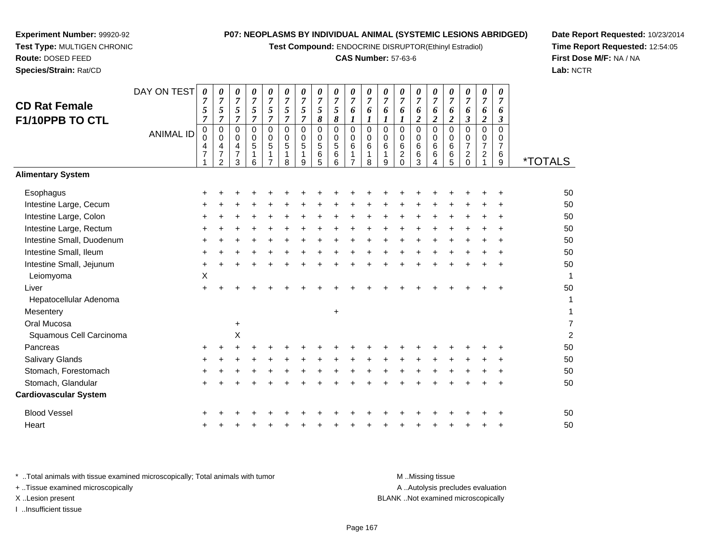**Test Compound:** ENDOCRINE DISRUPTOR(Ethinyl Estradiol)

#### **CAS Number:** 57-63-6

<sup>+</sup> <sup>+</sup> <sup>+</sup> <sup>+</sup> <sup>+</sup> <sup>+</sup> <sup>+</sup> <sup>+</sup> <sup>+</sup> <sup>+</sup> <sup>+</sup> <sup>+</sup> <sup>+</sup> <sup>+</sup> <sup>+</sup> <sup>+</sup> <sup>+</sup> <sup>+</sup> <sup>50</sup>

<sup>+</sup> <sup>+</sup> <sup>+</sup> <sup>+</sup> <sup>+</sup> <sup>+</sup> <sup>+</sup> <sup>+</sup> <sup>+</sup> <sup>+</sup> <sup>+</sup> <sup>+</sup> <sup>+</sup> <sup>+</sup> <sup>+</sup> <sup>+</sup> <sup>+</sup> <sup>+</sup> <sup>50</sup>

 $\mathsf{X}$  and  $\mathsf{Y}$  are the set of  $\mathsf{Y}$  and  $\mathsf{Y}$  are the set of  $\mathsf{Y}$  and  $\mathsf{Y}$  are the set of  $\mathsf{Y}$  and  $\mathsf{Y}$  are the set of  $\mathsf{Y}$  and  $\mathsf{Y}$  are the set of  $\mathsf{Y}$  and  $\mathsf{Y}$  are the set of

<sup>+</sup> <sup>+</sup> <sup>+</sup> <sup>+</sup> <sup>+</sup> <sup>+</sup> <sup>+</sup> <sup>+</sup> <sup>+</sup> <sup>+</sup> <sup>+</sup> <sup>+</sup> <sup>+</sup> <sup>+</sup> <sup>+</sup> <sup>+</sup> <sup>+</sup> <sup>+</sup> <sup>50</sup>

9 \*TOTALS

**Date Report Requested:** 10/23/2014**Time Report Requested:** 12:54:05**First Dose M/F:** NA / NA**Lab:** NCTR

| ›atocellular Adenoma |     |   |           |   |    |  |           |       |    |   |   |   |   |   |   |           | 1                       |
|----------------------|-----|---|-----------|---|----|--|-----------|-------|----|---|---|---|---|---|---|-----------|-------------------------|
| entery               |     |   |           |   |    |  | $\ddot{}$ |       |    |   |   |   |   |   |   |           |                         |
| Mucosa               |     |   | $\ddot{}$ |   |    |  |           |       |    |   |   |   |   |   |   |           | 7                       |
| amous Cell Carcinoma |     |   | X         |   |    |  |           |       |    |   |   |   |   |   |   |           | $\overline{\mathbf{c}}$ |
| reas:                | $+$ | + |           |   |    |  |           |       |    |   |   |   |   |   |   | ÷         | 50                      |
| ary Glands           | ÷.  |   |           |   |    |  |           |       |    |   |   |   |   |   |   | $\ddot{}$ | 50                      |
| ach, Forestomach     | $+$ |   | +         |   |    |  |           | +     |    |   |   |   | ÷ | ٠ | + | $\pm$     | 50                      |
| ach, Glandular       | $+$ |   |           |   | ÷. |  |           | +     | ÷. |   |   | + |   |   |   | $\ddot{}$ | 50                      |
| vascular System      |     |   |           |   |    |  |           |       |    |   |   |   |   |   |   |           |                         |
| d Vessel             | $+$ |   |           |   |    |  |           |       |    |   |   |   |   |   |   | $\div$    | 50                      |
|                      | $+$ |   |           | + | +  |  |           | $\pm$ | +  | ÷ | ÷ | + |   | ÷ |   | $\ddot{}$ | 50                      |
|                      |     |   |           |   |    |  |           |       |    |   |   |   |   |   |   |           |                         |
|                      |     |   |           |   |    |  |           |       |    |   |   |   |   |   |   |           |                         |
|                      |     |   |           |   |    |  |           |       |    |   |   |   |   |   |   |           |                         |

**Experiment Number:** 99920-92**Test Type:** MULTIGEN CHRONIC

DAY ON TEST

*0 7*

*0*

*0*

<sup>+</sup> <sup>+</sup> <sup>+</sup> <sup>+</sup> <sup>+</sup> <sup>+</sup> <sup>+</sup> <sup>+</sup> <sup>+</sup> <sup>+</sup> <sup>+</sup> <sup>+</sup> <sup>+</sup> <sup>+</sup> <sup>+</sup> <sup>+</sup> <sup>+</sup> <sup>+</sup> <sup>+</sup> <sup>50</sup>

<sup>+</sup> <sup>+</sup> <sup>+</sup> <sup>+</sup> <sup>+</sup> <sup>+</sup> <sup>+</sup> <sup>+</sup> <sup>+</sup> <sup>+</sup> <sup>+</sup> <sup>+</sup> <sup>+</sup> <sup>+</sup> <sup>+</sup> <sup>+</sup> <sup>+</sup> <sup>+</sup> <sup>+</sup> <sup>50</sup>

<sup>+</sup> <sup>+</sup> <sup>+</sup> <sup>+</sup> <sup>+</sup> <sup>+</sup> <sup>+</sup> <sup>+</sup> <sup>+</sup> <sup>+</sup> <sup>+</sup> <sup>+</sup> <sup>+</sup> <sup>+</sup> <sup>+</sup> <sup>+</sup> <sup>+</sup> <sup>+</sup> <sup>+</sup> <sup>50</sup>

<sup>+</sup> <sup>+</sup> <sup>+</sup> <sup>+</sup> <sup>+</sup> <sup>+</sup> <sup>+</sup> <sup>+</sup> <sup>+</sup> <sup>+</sup> <sup>+</sup> <sup>+</sup> <sup>+</sup> <sup>+</sup> <sup>+</sup> <sup>+</sup> <sup>+</sup> <sup>+</sup> <sup>+</sup> <sup>50</sup>

<sup>+</sup> <sup>+</sup> <sup>+</sup> <sup>+</sup> <sup>+</sup> <sup>+</sup> <sup>+</sup> <sup>+</sup> <sup>+</sup> <sup>+</sup> <sup>+</sup> <sup>+</sup> <sup>+</sup> <sup>+</sup> <sup>+</sup> <sup>+</sup> <sup>+</sup> <sup>+</sup> <sup>+</sup> <sup>50</sup>

*7 5 7*

*7 5 7*

ANIMAL ID

 $\mathsf{S}$  +

a X

 $\mathsf{r}$  +

 $\mathsf{n}$  +

**Route:** DOSED FEED**Species/Strain:** Rat/CD

**CD Rat FemaleF1/10PPB TO CTL**

**Alimentary System**

Intestine Large, Cecum

Intestine Large, Rectum

Intestine Small, Duodenum

Intestine Large, Colon

Intestine Small, Ileum

Leiomyoma

**Mesentery** 

Pancreas

Oral Mucosa

Salivary Glands

Blood Vessel

**Heart** 

Stomach, Forestomach

Stomach, Glandular

**Cardiovascular System**

Liver

Intestine Small, Jejunum

Hepatocellular Adenoma

Squamous Cell Carcinoma

**Esophagus** 

\* ..Total animals with tissue examined microscopically; Total animals with tumor M ...Missing tissue M ...Missing tissue A ..Autolysis precludes evaluation + ..Tissue examined microscopically X ..Lesion present BLANK ..Not examined microscopicallyI ..Insufficient tissue

Page 167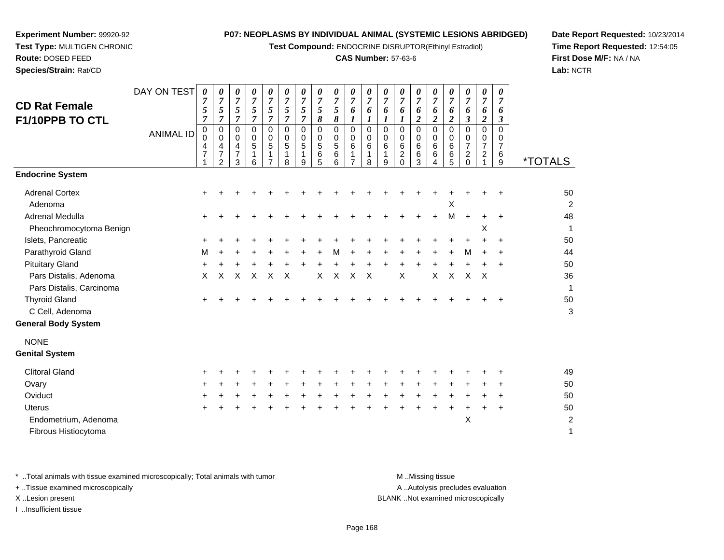**Test Compound:** ENDOCRINE DISRUPTOR(Ethinyl Estradiol)

#### **CAS Number:** 57-63-6

**Date Report Requested:** 10/23/2014**Time Report Requested:** 12:54:05**First Dose M/F:** NA / NA**Lab:** NCTR

| <b>CD Rat Female</b><br>F1/10PPB TO CTL            | DAY ON TEST      | 0<br>$\boldsymbol{7}$<br>$\sqrt{5}$<br>$\overline{7}$ | 0<br>$\overline{7}$<br>5<br>$\overline{7}$                   | 0<br>$\boldsymbol{7}$<br>$\sqrt{5}$<br>$\overline{7}$ | 0<br>$\overline{7}$<br>5<br>$\overline{7}$ | 0<br>$\overline{7}$<br>5<br>$\overline{7}$                       | 0<br>$\overline{7}$<br>$\sqrt{5}$<br>$\overline{7}$        | 0<br>$\boldsymbol{7}$<br>$\sqrt{5}$<br>$\overline{7}$ | 0<br>$\overline{7}$<br>5<br>$\pmb{8}$    | 0<br>$\boldsymbol{7}$<br>$\sqrt{5}$<br>8 | 0<br>$\overline{7}$<br>6<br>$\boldsymbol{l}$                 | 0<br>$\overline{7}$<br>$\boldsymbol{6}$<br>$\boldsymbol{l}$  | 0<br>$\boldsymbol{7}$<br>6<br>1     | 0<br>$\overline{7}$<br>6<br>1                           | 0<br>$\overline{7}$<br>6<br>$\overline{\mathbf{c}}$ | 0<br>$\boldsymbol{7}$<br>6<br>$\overline{2}$  | 0<br>$\overline{7}$<br>6<br>$\overline{2}$ | 0<br>$\boldsymbol{7}$<br>6<br>$\boldsymbol{\beta}$                  | 0<br>$\overline{7}$<br>6<br>$\overline{\mathbf{c}}$  | 0<br>$\overline{7}$<br>6<br>$\boldsymbol{\beta}$ |                       |
|----------------------------------------------------|------------------|-------------------------------------------------------|--------------------------------------------------------------|-------------------------------------------------------|--------------------------------------------|------------------------------------------------------------------|------------------------------------------------------------|-------------------------------------------------------|------------------------------------------|------------------------------------------|--------------------------------------------------------------|--------------------------------------------------------------|-------------------------------------|---------------------------------------------------------|-----------------------------------------------------|-----------------------------------------------|--------------------------------------------|---------------------------------------------------------------------|------------------------------------------------------|--------------------------------------------------|-----------------------|
|                                                    | <b>ANIMAL ID</b> | $\mathbf 0$<br>$\ddot{\mathbf{0}}$<br>$\frac{4}{7}$   | 0<br>0<br>$\overline{4}$<br>$\overline{7}$<br>$\overline{2}$ | $\pmb{0}$<br>$\mathbf 0$<br>4<br>$\overline{7}$<br>3  | 0<br>0<br>5<br>1<br>6                      | $\mathbf 0$<br>$\mathbf 0$<br>5<br>$\mathbf 1$<br>$\overline{7}$ | $\mathsf{O}\xspace$<br>$\mathbf 0$<br>$\sqrt{5}$<br>1<br>8 | 0<br>$\mathbf 0$<br>$\sqrt{5}$<br>$\mathbf{1}$<br>9   | $\mathbf 0$<br>0<br>$\sqrt{5}$<br>6<br>5 | 0<br>0<br>$\mathbf 5$<br>6<br>6          | $\mathbf 0$<br>$\mathbf 0$<br>$\,6\,$<br>1<br>$\overline{7}$ | $\mathsf{O}\xspace$<br>$\mathbf 0$<br>6<br>$\mathbf{1}$<br>8 | $\mathbf 0$<br>0<br>$\,6$<br>1<br>9 | $\mathbf 0$<br>0<br>$\,6$<br>$\overline{2}$<br>$\Omega$ | 0<br>0<br>6<br>6<br>3                               | $\pmb{0}$<br>$\mathbf 0$<br>$\,6\,$<br>6<br>4 | 0<br>$\mathbf 0$<br>$\,6$<br>$\,6\,$<br>5  | $\mathbf 0$<br>0<br>$\overline{7}$<br>$\overline{c}$<br>$\mathbf 0$ | $\mathbf 0$<br>0<br>$\overline{7}$<br>$\overline{2}$ | 0<br>0<br>7<br>6<br>9                            | <i><b>*TOTALS</b></i> |
| <b>Endocrine System</b>                            |                  |                                                       |                                                              |                                                       |                                            |                                                                  |                                                            |                                                       |                                          |                                          |                                                              |                                                              |                                     |                                                         |                                                     |                                               |                                            |                                                                     |                                                      |                                                  |                       |
| <b>Adrenal Cortex</b><br>Adenoma                   |                  |                                                       |                                                              |                                                       |                                            |                                                                  |                                                            |                                                       |                                          |                                          |                                                              |                                                              |                                     |                                                         |                                                     |                                               | X                                          |                                                                     |                                                      |                                                  | 50<br>$\overline{c}$  |
| Adrenal Medulla                                    |                  |                                                       |                                                              |                                                       |                                            |                                                                  |                                                            |                                                       |                                          |                                          |                                                              |                                                              |                                     |                                                         |                                                     |                                               | М                                          | +                                                                   |                                                      | $\ddot{}$                                        | 48                    |
| Pheochromocytoma Benign<br>Islets, Pancreatic      |                  |                                                       |                                                              |                                                       |                                            |                                                                  |                                                            |                                                       |                                          |                                          |                                                              |                                                              |                                     |                                                         |                                                     |                                               |                                            |                                                                     | X                                                    |                                                  | 1<br>50               |
| Parathyroid Gland                                  |                  | м                                                     |                                                              |                                                       |                                            |                                                                  |                                                            |                                                       |                                          | М                                        |                                                              |                                                              |                                     |                                                         |                                                     |                                               |                                            | M                                                                   |                                                      |                                                  | 44                    |
| <b>Pituitary Gland</b>                             |                  |                                                       |                                                              |                                                       |                                            |                                                                  |                                                            |                                                       |                                          |                                          |                                                              |                                                              |                                     |                                                         |                                                     |                                               |                                            | $\ddot{}$                                                           |                                                      | ٠                                                | 50                    |
| Pars Distalis, Adenoma<br>Pars Distalis, Carcinoma |                  | X                                                     | X                                                            | X                                                     | X                                          | X                                                                | X                                                          |                                                       | X                                        | X                                        | $\times$                                                     | $\times$                                                     |                                     | X                                                       |                                                     | X                                             | $\pmb{\times}$                             | $\sf X$                                                             | $\times$                                             |                                                  | 36<br>1               |
| <b>Thyroid Gland</b>                               |                  |                                                       |                                                              |                                                       |                                            |                                                                  |                                                            |                                                       |                                          |                                          |                                                              |                                                              |                                     |                                                         |                                                     |                                               |                                            |                                                                     |                                                      |                                                  | 50                    |
| C Cell, Adenoma                                    |                  |                                                       |                                                              |                                                       |                                            |                                                                  |                                                            |                                                       |                                          |                                          |                                                              |                                                              |                                     |                                                         |                                                     |                                               |                                            |                                                                     |                                                      |                                                  | 3                     |
| <b>General Body System</b>                         |                  |                                                       |                                                              |                                                       |                                            |                                                                  |                                                            |                                                       |                                          |                                          |                                                              |                                                              |                                     |                                                         |                                                     |                                               |                                            |                                                                     |                                                      |                                                  |                       |
| <b>NONE</b><br><b>Genital System</b>               |                  |                                                       |                                                              |                                                       |                                            |                                                                  |                                                            |                                                       |                                          |                                          |                                                              |                                                              |                                     |                                                         |                                                     |                                               |                                            |                                                                     |                                                      |                                                  |                       |
| <b>Clitoral Gland</b>                              |                  |                                                       |                                                              |                                                       |                                            |                                                                  |                                                            |                                                       |                                          |                                          |                                                              |                                                              |                                     |                                                         |                                                     |                                               |                                            |                                                                     |                                                      |                                                  | 49                    |
| Ovary                                              |                  |                                                       |                                                              |                                                       |                                            |                                                                  |                                                            |                                                       |                                          |                                          |                                                              |                                                              |                                     |                                                         |                                                     |                                               |                                            |                                                                     |                                                      |                                                  | 50                    |
| Oviduct                                            |                  |                                                       |                                                              |                                                       |                                            |                                                                  |                                                            |                                                       |                                          |                                          |                                                              |                                                              |                                     |                                                         |                                                     |                                               |                                            |                                                                     |                                                      | ٠                                                | 50                    |
| <b>Uterus</b>                                      |                  |                                                       |                                                              |                                                       |                                            |                                                                  |                                                            |                                                       |                                          |                                          |                                                              |                                                              |                                     |                                                         |                                                     |                                               |                                            |                                                                     |                                                      | +                                                | 50                    |
| Endometrium, Adenoma<br>Fibrous Histiocytoma       |                  |                                                       |                                                              |                                                       |                                            |                                                                  |                                                            |                                                       |                                          |                                          |                                                              |                                                              |                                     |                                                         |                                                     |                                               |                                            | X                                                                   |                                                      |                                                  | $\overline{c}$<br>1   |
|                                                    |                  |                                                       |                                                              |                                                       |                                            |                                                                  |                                                            |                                                       |                                          |                                          |                                                              |                                                              |                                     |                                                         |                                                     |                                               |                                            |                                                                     |                                                      |                                                  |                       |

**Experiment Number:** 99920-92**Test Type:** MULTIGEN CHRONIC

**Route:** DOSED FEED**Species/Strain:** Rat/CD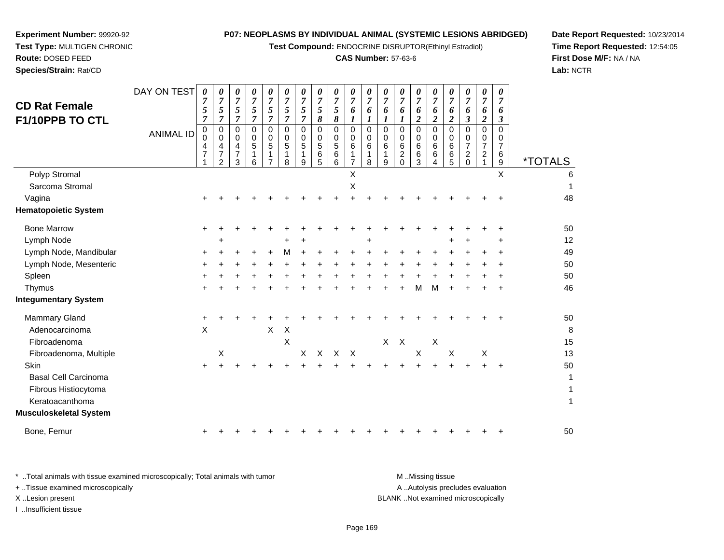**Test Compound:** ENDOCRINE DISRUPTOR(Ethinyl Estradiol)

# **CAS Number:** 57-63-6

**Date Report Requested:** 10/23/2014 **Time Report Requested:** 12:54:05**First Dose M/F:** NA / NA**Lab:** NCTR

| <b>CD Rat Female</b><br><b>F1/10PPB TO CTL</b> | DAY ON TEST      | 0<br>7<br>5<br>$\overline{7}$        | 0<br>$\overline{7}$<br>$\sqrt{5}$<br>$\overline{7}$     | 0<br>$\overline{7}$<br>5<br>$\overline{7}$ | 0<br>$\overline{7}$<br>5<br>$\overline{7}$ | 0<br>$\overline{7}$<br>5<br>$\overline{7}$   | 0<br>$\overline{7}$<br>5<br>$\overline{7}$             | 0<br>$\boldsymbol{7}$<br>5<br>$\overline{7}$ | 0<br>$\overline{7}$<br>5<br>8 | 0<br>$\overline{7}$<br>$\mathfrak{z}$<br>8 | 0<br>$\overline{7}$<br>6<br>$\boldsymbol{l}$ | 0<br>$\overline{7}$<br>6<br>1                 | 0<br>$\overline{7}$<br>6<br>$\boldsymbol{l}$ | 0<br>$\overline{7}$<br>6<br>$\boldsymbol{l}$              | 0<br>$\overline{7}$<br>6<br>$\boldsymbol{2}$ | 0<br>7<br>6<br>$\boldsymbol{2}$ | 0<br>$\overline{7}$<br>6<br>$\overline{c}$    | 0<br>$\overline{7}$<br>6<br>$\boldsymbol{\mathfrak{z}}$ | 0<br>$\overline{7}$<br>6<br>$\boldsymbol{2}$                     | 0<br>$\overline{7}$<br>6<br>3 |                       |
|------------------------------------------------|------------------|--------------------------------------|---------------------------------------------------------|--------------------------------------------|--------------------------------------------|----------------------------------------------|--------------------------------------------------------|----------------------------------------------|-------------------------------|--------------------------------------------|----------------------------------------------|-----------------------------------------------|----------------------------------------------|-----------------------------------------------------------|----------------------------------------------|---------------------------------|-----------------------------------------------|---------------------------------------------------------|------------------------------------------------------------------|-------------------------------|-----------------------|
|                                                | <b>ANIMAL ID</b> | 0<br>$\Omega$<br>4<br>$\overline{7}$ | $\pmb{0}$<br>0<br>$\overline{4}$<br>7<br>$\mathfrak{p}$ | 0<br>0<br>4<br>7<br>3                      | $\mathbf 0$<br>0<br>5<br>1<br>6            | $\mathbf 0$<br>0<br>5<br>1<br>$\overline{7}$ | $\mathbf 0$<br>$\mathbf 0$<br>$\overline{5}$<br>1<br>8 | $\Omega$<br>0<br>5<br>1<br>9                 | $\Omega$<br>0<br>5<br>6<br>5  | $\mathsf 0$<br>0<br>5<br>6<br>6            | $\mathbf 0$<br>0<br>6<br>1<br>$\overline{7}$ | $\mathbf 0$<br>$\mathbf 0$<br>$\,6$<br>1<br>8 | $\mathbf 0$<br>0<br>6<br>1<br>9              | $\Omega$<br>0<br>6<br>$\overline{\mathbf{c}}$<br>$\Omega$ | $\mathbf 0$<br>0<br>6<br>6<br>3              | $\Omega$<br>0<br>6<br>6<br>4    | $\mathbf 0$<br>$\mathbf 0$<br>$\,6$<br>6<br>5 | $\Omega$<br>0<br>$\overline{7}$<br>$^2_{\rm 0}$         | $\overline{0}$<br>0<br>$\overline{7}$<br>$\overline{\mathbf{c}}$ | $\Omega$<br>0<br>7<br>6<br>9  | <i><b>*TOTALS</b></i> |
| Polyp Stromal                                  |                  |                                      |                                                         |                                            |                                            |                                              |                                                        |                                              |                               |                                            | X                                            |                                               |                                              |                                                           |                                              |                                 |                                               |                                                         |                                                                  | $\sf X$                       | 6                     |
| Sarcoma Stromal                                |                  |                                      |                                                         |                                            |                                            |                                              |                                                        |                                              |                               |                                            | $\boldsymbol{\mathsf{X}}$                    |                                               |                                              |                                                           |                                              |                                 |                                               |                                                         |                                                                  |                               |                       |
| Vagina                                         |                  |                                      |                                                         |                                            |                                            |                                              |                                                        |                                              |                               |                                            |                                              |                                               |                                              |                                                           |                                              |                                 |                                               |                                                         |                                                                  |                               | 48                    |
| <b>Hematopoietic System</b>                    |                  |                                      |                                                         |                                            |                                            |                                              |                                                        |                                              |                               |                                            |                                              |                                               |                                              |                                                           |                                              |                                 |                                               |                                                         |                                                                  |                               |                       |
| <b>Bone Marrow</b>                             |                  | $\ddot{}$                            |                                                         |                                            |                                            |                                              |                                                        |                                              |                               |                                            |                                              |                                               |                                              |                                                           |                                              |                                 |                                               |                                                         |                                                                  |                               | 50                    |
| Lymph Node                                     |                  |                                      | ÷                                                       |                                            |                                            |                                              | +                                                      |                                              |                               |                                            |                                              | +                                             |                                              |                                                           |                                              |                                 |                                               |                                                         |                                                                  |                               | 12                    |
| Lymph Node, Mandibular                         |                  | +                                    |                                                         |                                            |                                            |                                              | м                                                      |                                              |                               |                                            |                                              |                                               |                                              |                                                           |                                              |                                 |                                               |                                                         |                                                                  |                               | 49                    |
| Lymph Node, Mesenteric                         |                  |                                      |                                                         |                                            |                                            |                                              |                                                        |                                              |                               |                                            |                                              |                                               |                                              |                                                           |                                              |                                 |                                               |                                                         |                                                                  |                               | 50                    |
| Spleen                                         |                  |                                      |                                                         |                                            |                                            |                                              |                                                        |                                              |                               |                                            |                                              |                                               |                                              |                                                           |                                              |                                 |                                               |                                                         |                                                                  |                               | 50                    |
| Thymus                                         |                  |                                      |                                                         |                                            |                                            |                                              |                                                        |                                              |                               |                                            |                                              |                                               |                                              |                                                           | М                                            | м                               |                                               |                                                         |                                                                  | ÷                             | 46                    |
| <b>Integumentary System</b>                    |                  |                                      |                                                         |                                            |                                            |                                              |                                                        |                                              |                               |                                            |                                              |                                               |                                              |                                                           |                                              |                                 |                                               |                                                         |                                                                  |                               |                       |
| <b>Mammary Gland</b>                           |                  | +                                    |                                                         |                                            |                                            |                                              |                                                        |                                              |                               |                                            |                                              |                                               |                                              |                                                           |                                              |                                 |                                               |                                                         |                                                                  |                               | 50                    |
| Adenocarcinoma                                 |                  | $\pmb{\times}$                       |                                                         |                                            |                                            | $\boldsymbol{\mathsf{X}}$                    | Χ                                                      |                                              |                               |                                            |                                              |                                               |                                              |                                                           |                                              |                                 |                                               |                                                         |                                                                  |                               | 8                     |
| Fibroadenoma                                   |                  |                                      |                                                         |                                            |                                            |                                              | X                                                      |                                              |                               |                                            |                                              |                                               | X                                            | $\boldsymbol{\mathsf{X}}$                                 |                                              | $\boldsymbol{\mathsf{X}}$       |                                               |                                                         |                                                                  |                               | 15                    |
| Fibroadenoma, Multiple                         |                  |                                      | X                                                       |                                            |                                            |                                              |                                                        | X                                            |                               | X X X                                      |                                              |                                               |                                              |                                                           | $\boldsymbol{\mathsf{X}}$                    |                                 | Χ                                             |                                                         | Χ                                                                |                               | 13                    |
| Skin                                           |                  | ÷                                    |                                                         |                                            |                                            |                                              |                                                        |                                              |                               |                                            |                                              |                                               |                                              |                                                           |                                              |                                 |                                               |                                                         |                                                                  | $\ddot{}$                     | 50                    |
| <b>Basal Cell Carcinoma</b>                    |                  |                                      |                                                         |                                            |                                            |                                              |                                                        |                                              |                               |                                            |                                              |                                               |                                              |                                                           |                                              |                                 |                                               |                                                         |                                                                  |                               | 1                     |
| Fibrous Histiocytoma                           |                  |                                      |                                                         |                                            |                                            |                                              |                                                        |                                              |                               |                                            |                                              |                                               |                                              |                                                           |                                              |                                 |                                               |                                                         |                                                                  |                               |                       |
| Keratoacanthoma                                |                  |                                      |                                                         |                                            |                                            |                                              |                                                        |                                              |                               |                                            |                                              |                                               |                                              |                                                           |                                              |                                 |                                               |                                                         |                                                                  |                               | 1                     |
| Musculoskeletal System                         |                  |                                      |                                                         |                                            |                                            |                                              |                                                        |                                              |                               |                                            |                                              |                                               |                                              |                                                           |                                              |                                 |                                               |                                                         |                                                                  |                               |                       |
| Bone, Femur                                    |                  |                                      |                                                         |                                            |                                            |                                              |                                                        |                                              |                               |                                            |                                              |                                               |                                              |                                                           |                                              |                                 |                                               |                                                         |                                                                  |                               | 50                    |

**Experiment Number:** 99920-92**Test Type:** MULTIGEN CHRONIC

| Total animals with tissue examined microscopically; Total animals with tumor | M Missing tissue                   |
|------------------------------------------------------------------------------|------------------------------------|
| + Tissue examined microscopically                                            | A Autolysis precludes evaluation   |
| X Lesion present                                                             | BLANK Not examined microscopically |
| …Insufficient tissue                                                         |                                    |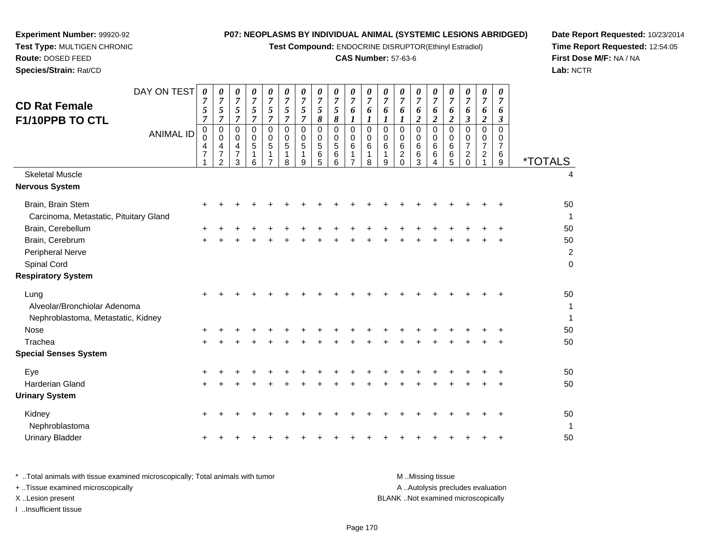**Test Compound:** ENDOCRINE DISRUPTOR(Ethinyl Estradiol)

#### **CAS Number:** 57-63-6

**Date Report Requested:** 10/23/2014**Time Report Requested:** 12:54:05**First Dose M/F:** NA / NA**Lab:** NCTR

| <b>CD Rat Female</b><br>F1/10PPB TO CTL                                         | DAY ON TEST<br><b>ANIMAL ID</b> | $\boldsymbol{\theta}$<br>7<br>5<br>$\overline{7}$<br>0<br>$\Omega$<br>4<br>$\overline{7}$ | 0<br>7<br>5<br>$\overline{7}$<br>$\pmb{0}$<br>0<br>$\overline{\mathbf{4}}$<br>$\overline{7}$<br>$\overline{2}$ | 0<br>$\overline{7}$<br>5<br>$\overline{7}$<br>$\mathbf 0$<br>0<br>4<br>$\overline{7}$<br>3 | 0<br>$\overline{7}$<br>$\sqrt{5}$<br>$\overline{7}$<br>$\mathbf 0$<br>0<br>5<br>1<br>6 | 0<br>$\overline{7}$<br>5<br>$\overline{7}$<br>$\mathbf 0$<br>0<br>5<br>$\overline{7}$ | 0<br>7<br>5<br>$\overline{7}$<br>$\Omega$<br>0<br>$\overline{5}$<br>1<br>8 | 0<br>7<br>5<br>7<br>0<br>0<br>5<br>1<br>9 | 0<br>$\overline{7}$<br>5<br>8<br>$\mathbf 0$<br>0<br>$\sqrt{5}$<br>$\,6\,$<br>5 | 0<br>$\overline{7}$<br>5<br>8<br>$\mathbf 0$<br>0<br>5<br>6<br>6 | 0<br>$\overline{7}$<br>6<br>$\boldsymbol{l}$<br>$\pmb{0}$<br>0<br>6<br>1<br>$\overline{7}$ | 0<br>$\overline{7}$<br>6<br>$\boldsymbol{l}$<br>$\mathbf 0$<br>0<br>6<br>1<br>8 | 0<br>7<br>6<br>1<br>$\mathbf 0$<br>0<br>6<br>1<br>9 | 0<br>7<br>6<br>1<br>$\mathbf 0$<br>0<br>6<br>$\overline{c}$<br>$\Omega$ | 0<br>$\overline{7}$<br>6<br>$\boldsymbol{2}$<br>$\pmb{0}$<br>0<br>$\,6\,$<br>6<br>3 | 0<br>7<br>6<br>$\overline{c}$<br>0<br>0<br>$\,6\,$<br>6<br>4 | 0<br>7<br>6<br>$\overline{c}$<br>$\Omega$<br>0<br>6<br>6<br>5 | $\pmb{\theta}$<br>7<br>6<br>$\boldsymbol{\beta}$<br>$\Omega$<br>0<br>$\overline{7}$<br>$\overline{2}$<br>$\Omega$ | 0<br>7<br>6<br>$\boldsymbol{2}$<br>$\pmb{0}$<br>0<br>$\overline{7}$<br>$\overline{c}$ | 0<br>7<br>6<br>$\boldsymbol{\beta}$<br>$\Omega$<br>0<br>$\overline{7}$<br>6<br>9 | <i><b>*TOTALS</b></i>               |
|---------------------------------------------------------------------------------|---------------------------------|-------------------------------------------------------------------------------------------|----------------------------------------------------------------------------------------------------------------|--------------------------------------------------------------------------------------------|----------------------------------------------------------------------------------------|---------------------------------------------------------------------------------------|----------------------------------------------------------------------------|-------------------------------------------|---------------------------------------------------------------------------------|------------------------------------------------------------------|--------------------------------------------------------------------------------------------|---------------------------------------------------------------------------------|-----------------------------------------------------|-------------------------------------------------------------------------|-------------------------------------------------------------------------------------|--------------------------------------------------------------|---------------------------------------------------------------|-------------------------------------------------------------------------------------------------------------------|---------------------------------------------------------------------------------------|----------------------------------------------------------------------------------|-------------------------------------|
| <b>Skeletal Muscle</b>                                                          |                                 |                                                                                           |                                                                                                                |                                                                                            |                                                                                        |                                                                                       |                                                                            |                                           |                                                                                 |                                                                  |                                                                                            |                                                                                 |                                                     |                                                                         |                                                                                     |                                                              |                                                               |                                                                                                                   |                                                                                       |                                                                                  | 4                                   |
| Nervous System                                                                  |                                 |                                                                                           |                                                                                                                |                                                                                            |                                                                                        |                                                                                       |                                                                            |                                           |                                                                                 |                                                                  |                                                                                            |                                                                                 |                                                     |                                                                         |                                                                                     |                                                              |                                                               |                                                                                                                   |                                                                                       |                                                                                  |                                     |
| Brain, Brain Stem<br>Carcinoma, Metastatic, Pituitary Gland                     |                                 | +                                                                                         |                                                                                                                |                                                                                            |                                                                                        |                                                                                       |                                                                            |                                           |                                                                                 |                                                                  |                                                                                            |                                                                                 |                                                     |                                                                         |                                                                                     |                                                              |                                                               |                                                                                                                   |                                                                                       |                                                                                  | 50<br>1                             |
| Brain, Cerebellum                                                               |                                 |                                                                                           |                                                                                                                |                                                                                            |                                                                                        |                                                                                       |                                                                            |                                           |                                                                                 |                                                                  |                                                                                            |                                                                                 |                                                     |                                                                         |                                                                                     |                                                              |                                                               |                                                                                                                   |                                                                                       |                                                                                  | 50                                  |
| Brain, Cerebrum<br>Peripheral Nerve<br>Spinal Cord<br><b>Respiratory System</b> |                                 | $\pm$                                                                                     |                                                                                                                |                                                                                            |                                                                                        |                                                                                       |                                                                            |                                           |                                                                                 |                                                                  |                                                                                            |                                                                                 |                                                     |                                                                         |                                                                                     |                                                              |                                                               |                                                                                                                   |                                                                                       |                                                                                  | 50<br>$\overline{2}$<br>$\mathsf 0$ |
|                                                                                 |                                 |                                                                                           |                                                                                                                |                                                                                            |                                                                                        |                                                                                       |                                                                            |                                           |                                                                                 |                                                                  |                                                                                            |                                                                                 |                                                     |                                                                         |                                                                                     |                                                              |                                                               |                                                                                                                   |                                                                                       |                                                                                  |                                     |
| Lung<br>Alveolar/Bronchiolar Adenoma<br>Nephroblastoma, Metastatic, Kidney      |                                 |                                                                                           |                                                                                                                |                                                                                            |                                                                                        |                                                                                       |                                                                            |                                           |                                                                                 |                                                                  |                                                                                            |                                                                                 |                                                     |                                                                         |                                                                                     |                                                              |                                                               |                                                                                                                   |                                                                                       |                                                                                  | 50<br>$\mathbf{1}$<br>$\mathbf{1}$  |
| Nose                                                                            |                                 |                                                                                           |                                                                                                                |                                                                                            |                                                                                        |                                                                                       |                                                                            |                                           |                                                                                 |                                                                  |                                                                                            |                                                                                 |                                                     |                                                                         |                                                                                     |                                                              |                                                               |                                                                                                                   |                                                                                       |                                                                                  | 50                                  |
| Trachea                                                                         |                                 |                                                                                           |                                                                                                                |                                                                                            |                                                                                        |                                                                                       |                                                                            |                                           |                                                                                 |                                                                  |                                                                                            |                                                                                 |                                                     |                                                                         |                                                                                     |                                                              |                                                               |                                                                                                                   |                                                                                       |                                                                                  | 50                                  |
| <b>Special Senses System</b>                                                    |                                 |                                                                                           |                                                                                                                |                                                                                            |                                                                                        |                                                                                       |                                                                            |                                           |                                                                                 |                                                                  |                                                                                            |                                                                                 |                                                     |                                                                         |                                                                                     |                                                              |                                                               |                                                                                                                   |                                                                                       |                                                                                  |                                     |
| Eye                                                                             |                                 | +                                                                                         |                                                                                                                |                                                                                            |                                                                                        |                                                                                       |                                                                            |                                           |                                                                                 |                                                                  |                                                                                            |                                                                                 |                                                     |                                                                         |                                                                                     |                                                              |                                                               |                                                                                                                   |                                                                                       |                                                                                  | 50                                  |
| <b>Harderian Gland</b>                                                          |                                 |                                                                                           |                                                                                                                |                                                                                            |                                                                                        |                                                                                       |                                                                            |                                           |                                                                                 |                                                                  |                                                                                            |                                                                                 |                                                     |                                                                         |                                                                                     |                                                              |                                                               |                                                                                                                   |                                                                                       |                                                                                  | 50                                  |
| <b>Urinary System</b>                                                           |                                 |                                                                                           |                                                                                                                |                                                                                            |                                                                                        |                                                                                       |                                                                            |                                           |                                                                                 |                                                                  |                                                                                            |                                                                                 |                                                     |                                                                         |                                                                                     |                                                              |                                                               |                                                                                                                   |                                                                                       |                                                                                  |                                     |
| Kidney<br>Nephroblastoma                                                        |                                 | $\ddot{}$                                                                                 |                                                                                                                |                                                                                            |                                                                                        |                                                                                       |                                                                            |                                           |                                                                                 |                                                                  |                                                                                            |                                                                                 |                                                     |                                                                         |                                                                                     |                                                              |                                                               |                                                                                                                   |                                                                                       |                                                                                  | 50<br>$\mathbf 1$                   |
| <b>Urinary Bladder</b>                                                          |                                 | ÷                                                                                         |                                                                                                                |                                                                                            |                                                                                        |                                                                                       |                                                                            |                                           |                                                                                 |                                                                  |                                                                                            |                                                                                 |                                                     |                                                                         |                                                                                     |                                                              |                                                               |                                                                                                                   |                                                                                       | +                                                                                | 50                                  |
|                                                                                 |                                 |                                                                                           |                                                                                                                |                                                                                            |                                                                                        |                                                                                       |                                                                            |                                           |                                                                                 |                                                                  |                                                                                            |                                                                                 |                                                     |                                                                         |                                                                                     |                                                              |                                                               |                                                                                                                   |                                                                                       |                                                                                  |                                     |

**Experiment Number:** 99920-92**Test Type:** MULTIGEN CHRONIC

**Route:** DOSED FEED**Species/Strain:** Rat/CD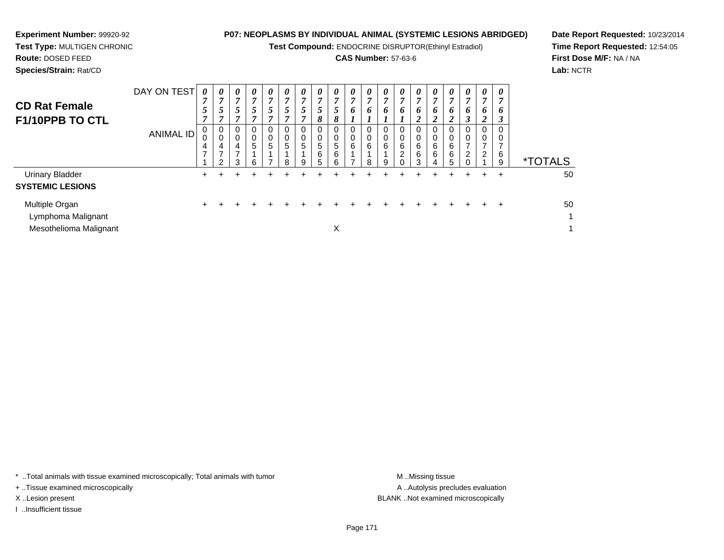**Test Compound:** ENDOCRINE DISRUPTOR(Ethinyl Estradiol)

#### **CAS Number:** 57-63-6

**Date Report Requested:** 10/23/2014**Time Report Requested:** 12:54:05**First Dose M/F:** NA / NA**Lab:** NCTR

**Experiment Number:** 99920-92

| <b>CD Rat Female</b><br>F1/10PPB TO CTL                        | DAY ON TEST<br><b>ANIMAL ID</b> | 0<br>5<br>$\overline{ }$<br>0<br>0<br>4<br>$\overline{ }$ | $\boldsymbol{\theta}$<br>5<br>$\overline{0}$<br>4<br>ົ | $\boldsymbol{\theta}$<br>7<br>5<br>$\mathbf 0$<br>$\mathbf 0$<br>4<br>$\overline{ }$<br>3 | $\boldsymbol{\theta}$<br>$\overline{7}$<br>5<br>0<br>$\pmb{0}$<br>5<br>6 | $\boldsymbol{\theta}$<br>7<br>$\mathfrak{I}$<br>$\mathbf 0$<br>$\pmb{0}$<br>5 | 0<br>7<br>5<br>0<br>0<br>5<br>8 | 0<br>5<br>$\mathbf 0$<br>5<br>9 | 0<br>7<br>5<br>8<br>$\mathbf 0$<br>0<br>5<br>6<br>5 | 0<br>7<br>5<br>8<br>0<br>0<br>5<br>6<br>6 | $\boldsymbol{\theta}$<br>7<br>6<br>0<br>$\mathbf 0$<br>6<br>и<br>7 | 0<br>7<br>6<br>0<br>0<br>6<br>8 | 0<br>$\overline{ }$<br>6<br>0<br>0<br>6<br>9 | $\theta$<br>6<br>0<br>6<br>2 | $\boldsymbol{\theta}$<br>7<br>6<br>↑<br>0<br>$\mathbf 0$<br>6<br>6<br>3 | 0<br>7<br>6<br>$\overline{2}$<br>0<br>$\mathbf 0$<br>6<br>6<br>$\overline{4}$ | $\boldsymbol{\theta}$<br>$\overline{ }$<br>o<br>$\mathbf{\Omega}$<br>0<br>0<br>6<br>6<br>5 | 0<br>7<br>6<br>0<br>0<br>2 | 0<br>7<br>6<br>$\overline{2}$<br>0<br>0<br>7<br>$\overline{2}$ | 0<br>7<br>6<br>$\mathbf{3}$<br>0<br>0<br>6<br>9 | <i><b>*TOTALS</b></i> |
|----------------------------------------------------------------|---------------------------------|-----------------------------------------------------------|--------------------------------------------------------|-------------------------------------------------------------------------------------------|--------------------------------------------------------------------------|-------------------------------------------------------------------------------|---------------------------------|---------------------------------|-----------------------------------------------------|-------------------------------------------|--------------------------------------------------------------------|---------------------------------|----------------------------------------------|------------------------------|-------------------------------------------------------------------------|-------------------------------------------------------------------------------|--------------------------------------------------------------------------------------------|----------------------------|----------------------------------------------------------------|-------------------------------------------------|-----------------------|
| <b>Urinary Bladder</b><br><b>SYSTEMIC LESIONS</b>              |                                 | $\pm$                                                     |                                                        |                                                                                           |                                                                          |                                                                               |                                 |                                 | ┵                                                   |                                           |                                                                    |                                 |                                              |                              |                                                                         |                                                                               | ÷                                                                                          | ÷                          | $\div$                                                         | $\div$                                          | 50                    |
| Multiple Organ<br>Lymphoma Malignant<br>Mesothelioma Malignant |                                 | $\pm$                                                     |                                                        |                                                                                           |                                                                          | ÷.                                                                            |                                 |                                 |                                                     | $\checkmark$<br>∧                         |                                                                    |                                 |                                              |                              |                                                                         |                                                                               | ÷                                                                                          |                            |                                                                | ÷                                               | 50<br>1<br>1          |

\* ..Total animals with tissue examined microscopically; Total animals with tumor **M** . Missing tissue M ..Missing tissue

+ ..Tissue examined microscopically

I ..Insufficient tissue

A ..Autolysis precludes evaluation X ..Lesion present BLANK ..Not examined microscopically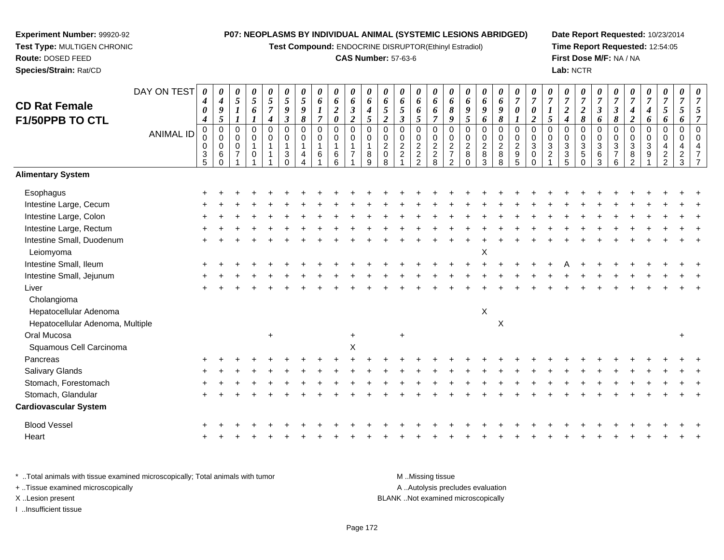**Test Compound:** ENDOCRINE DISRUPTOR(Ethinyl Estradiol)

#### **CAS Number:** 57-63-6

**Date Report Requested:** 10/23/2014**Time Report Requested:** 12:54:05**First Dose M/F:** NA / NA**Lab:** NCTR

|                                  | DAY ON TEST      | 0<br>$\boldsymbol{4}$          | 0<br>$\boldsymbol{4}$      | 0<br>$\sqrt{5}$                       | 0<br>$\mathfrak{s}$ | 0<br>5                           | 0<br>5            | 0<br>$\mathfrak{s}$ | 0<br>6                 | 0<br>6                  | 0<br>$\pmb{6}$                   | 0<br>$\pmb{6}$             | 0<br>6                     | 0<br>6                           | 0<br>6         | 0<br>6                   | 0<br>$\pmb{6}$                             | 0<br>6                        | 0<br>6                     | 0<br>6             | 0<br>$\boldsymbol{7}$              | $\theta$<br>$\overline{7}$ | 0<br>$\overline{7}$              | 0<br>$\overline{7}$                         | 0<br>$\overline{7}$          | 0<br>$\overline{7}$        | 0<br>$\overline{7}$                           | $\boldsymbol{\theta}$<br>$\overline{7}$ | 0<br>$\boldsymbol{7}$          | 0<br>$\overline{7}$              | 0<br>$\overline{7}$        |                      |
|----------------------------------|------------------|--------------------------------|----------------------------|---------------------------------------|---------------------|----------------------------------|-------------------|---------------------|------------------------|-------------------------|----------------------------------|----------------------------|----------------------------|----------------------------------|----------------|--------------------------|--------------------------------------------|-------------------------------|----------------------------|--------------------|------------------------------------|----------------------------|----------------------------------|---------------------------------------------|------------------------------|----------------------------|-----------------------------------------------|-----------------------------------------|--------------------------------|----------------------------------|----------------------------|----------------------|
| <b>CD Rat Female</b>             |                  | 0                              | 9                          | $\boldsymbol{I}$                      | 6                   | $\overline{7}$                   | 9                 | 9                   |                        | $\boldsymbol{2}$        | $\boldsymbol{\beta}$             | $\boldsymbol{4}$           | 5                          | 5                                | 6              | 6                        | $\pmb{8}$                                  | 9                             | 9                          | $\boldsymbol{g}$   | $\boldsymbol{\theta}$              | 0                          |                                  | $\boldsymbol{2}$                            | $\boldsymbol{2}$             | $\boldsymbol{\beta}$       | $\boldsymbol{\beta}$                          | 4                                       | $\boldsymbol{4}$               | $\sqrt{5}$                       | 5                          |                      |
| F1/50PPB TO CTL                  |                  | $\boldsymbol{4}$               | 5                          |                                       | $\boldsymbol{l}$    | $\boldsymbol{4}$                 | $\mathfrak{z}$    | 8                   | $\overline{7}$         | $\pmb{\theta}$          | $\overline{2}$                   | 5                          | $\overline{2}$             | $\boldsymbol{\beta}$             | 5              | $\overline{7}$           | 9                                          | 5                             | 6                          | 8                  | $\boldsymbol{l}$                   | $\overline{2}$             | 5                                | $\boldsymbol{4}$                            | 8                            | 6                          | 8                                             | $\boldsymbol{2}$                        | 6                              | 6                                | 6                          | 7                    |
|                                  | <b>ANIMAL ID</b> | 0<br>$\mathsf 0$               | $\mathbf 0$<br>$\mathbf 0$ | $\mathbf 0$<br>$\mathbf 0$            | 0<br>0              | $\mathbf 0$<br>$\pmb{0}$         | $\mathbf 0$<br>0  | 0<br>$\mathbf 0$    | $\pmb{0}$<br>$\pmb{0}$ | 0<br>0                  | $\pmb{0}$<br>$\mathbf 0$         | $\mathbf 0$<br>$\mathbf 0$ | $\mathbf 0$<br>$\mathbf 0$ | 0<br>0                           | 0<br>0         | $\mathbf 0$<br>$\pmb{0}$ | $\pmb{0}$                                  | $\boldsymbol{0}$<br>$\pmb{0}$ | $\mathbf 0$<br>$\mathbf 0$ | 0                  | $\pmb{0}$<br>$\mathbf 0$           | $\Omega$<br>$\mathbf 0$    | $\pmb{0}$<br>$\mathbf 0$         | 0<br>0                                      | $\mathbf 0$<br>$\mathbf 0$   | $\mathbf 0$<br>$\mathbf 0$ | $\mathbf 0$<br>$\mathbf 0$                    | $\mathbf 0$<br>0                        | 0<br>0                         | $\mathbf 0$<br>$\mathbf 0$       | $\mathbf 0$<br>$\mathbf 0$ | $\Omega$<br>$\Omega$ |
|                                  |                  | 0<br>$\ensuremath{\mathsf{3}}$ | $\mathbf 0$<br>$\,6$       | $\mathsf{O}\xspace$<br>$\overline{7}$ | $\overline{1}$<br>0 | $\overline{1}$<br>$\overline{1}$ | $\mathbf{1}$<br>3 | 1<br>4              | $\mathbf{1}$<br>6      | $\mathbf{1}$<br>$\,6\,$ | $\overline{1}$<br>$\overline{7}$ | $\mathbf{1}$<br>$\,8\,$    | $\sqrt{2}$<br>$\pmb{0}$    | $\overline{2}$<br>$\overline{2}$ | $\overline{2}$ | $\frac{2}{8}$            | $\begin{array}{c} 0 \\ 2 \\ 7 \end{array}$ | $\overline{2}$<br>$\, 8$      | $\overline{2}$<br>$\,8\,$  | $\frac{0}{2}$<br>8 | $\overline{2}$<br>$\boldsymbol{9}$ | $\mathbf{3}$<br>$\pmb{0}$  | $\overline{3}$<br>$\overline{2}$ | $\mathfrak{S}$<br>$\ensuremath{\mathsf{3}}$ | $\overline{3}$<br>$\sqrt{5}$ | $\sqrt{3}$<br>$\,6$        | $\ensuremath{\mathsf{3}}$<br>$\boldsymbol{7}$ | $\sqrt{3}$<br>$\bf 8$                   | $\ensuremath{\mathsf{3}}$<br>9 | $\overline{4}$<br>$\overline{c}$ | 4<br>$\overline{2}$        |                      |
|                                  |                  | 5                              | $\Omega$                   |                                       |                     |                                  | $\Omega$          |                     |                        | 6                       |                                  | 9                          | 8                          |                                  | $\frac{2}{2}$  |                          | $\overline{2}$                             | $\overline{0}$                | 3                          | 8                  | 5                                  | $\Omega$                   |                                  | 5                                           | $\Omega$                     | 3                          | 6                                             | $\mathfrak{p}$                          |                                | $\overline{2}$                   | 3                          |                      |
| <b>Alimentary System</b>         |                  |                                |                            |                                       |                     |                                  |                   |                     |                        |                         |                                  |                            |                            |                                  |                |                          |                                            |                               |                            |                    |                                    |                            |                                  |                                             |                              |                            |                                               |                                         |                                |                                  |                            |                      |
| Esophagus                        |                  |                                |                            |                                       |                     |                                  |                   |                     |                        |                         |                                  |                            |                            |                                  |                |                          |                                            |                               |                            |                    |                                    |                            |                                  |                                             |                              |                            |                                               |                                         |                                |                                  |                            |                      |
| Intestine Large, Cecum           |                  |                                |                            |                                       |                     |                                  |                   |                     |                        |                         |                                  |                            |                            |                                  |                |                          |                                            |                               |                            |                    |                                    |                            |                                  |                                             |                              |                            |                                               |                                         |                                |                                  |                            |                      |
| Intestine Large, Colon           |                  |                                |                            |                                       |                     |                                  |                   |                     |                        |                         |                                  |                            |                            |                                  |                |                          |                                            |                               |                            |                    |                                    |                            |                                  |                                             |                              |                            |                                               |                                         |                                |                                  |                            |                      |
| Intestine Large, Rectum          |                  |                                |                            |                                       |                     |                                  |                   |                     |                        |                         |                                  |                            |                            |                                  |                |                          |                                            |                               |                            |                    |                                    |                            |                                  |                                             |                              |                            |                                               |                                         |                                |                                  |                            |                      |
| Intestine Small, Duodenum        |                  |                                |                            |                                       |                     |                                  |                   |                     |                        |                         |                                  |                            |                            |                                  |                |                          |                                            |                               |                            |                    |                                    |                            |                                  |                                             |                              |                            |                                               |                                         |                                |                                  |                            |                      |
| Leiomyoma                        |                  |                                |                            |                                       |                     |                                  |                   |                     |                        |                         |                                  |                            |                            |                                  |                |                          |                                            |                               | Χ                          |                    |                                    |                            |                                  |                                             |                              |                            |                                               |                                         |                                |                                  |                            |                      |
| Intestine Small, Ileum           |                  |                                |                            |                                       |                     |                                  |                   |                     |                        |                         |                                  |                            |                            |                                  |                |                          |                                            |                               |                            |                    |                                    |                            |                                  |                                             |                              |                            |                                               |                                         |                                |                                  |                            |                      |
| Intestine Small, Jejunum         |                  |                                |                            |                                       |                     |                                  |                   |                     |                        |                         |                                  |                            |                            |                                  |                |                          |                                            |                               |                            |                    |                                    |                            |                                  |                                             |                              |                            |                                               |                                         |                                |                                  |                            |                      |
| Liver                            |                  |                                |                            |                                       |                     |                                  |                   |                     |                        |                         |                                  |                            |                            |                                  |                |                          |                                            |                               |                            |                    |                                    |                            |                                  |                                             |                              |                            |                                               |                                         |                                |                                  |                            |                      |
| Cholangioma                      |                  |                                |                            |                                       |                     |                                  |                   |                     |                        |                         |                                  |                            |                            |                                  |                |                          |                                            |                               |                            |                    |                                    |                            |                                  |                                             |                              |                            |                                               |                                         |                                |                                  |                            |                      |
| Hepatocellular Adenoma           |                  |                                |                            |                                       |                     |                                  |                   |                     |                        |                         |                                  |                            |                            |                                  |                |                          |                                            |                               | X                          |                    |                                    |                            |                                  |                                             |                              |                            |                                               |                                         |                                |                                  |                            |                      |
| Hepatocellular Adenoma, Multiple |                  |                                |                            |                                       |                     |                                  |                   |                     |                        |                         |                                  |                            |                            |                                  |                |                          |                                            |                               |                            | X                  |                                    |                            |                                  |                                             |                              |                            |                                               |                                         |                                |                                  |                            |                      |
| Oral Mucosa                      |                  |                                |                            |                                       |                     | $\ddot{}$                        |                   |                     |                        |                         |                                  |                            |                            |                                  |                |                          |                                            |                               |                            |                    |                                    |                            |                                  |                                             |                              |                            |                                               |                                         |                                |                                  | $\div$                     |                      |
| Squamous Cell Carcinoma          |                  |                                |                            |                                       |                     |                                  |                   |                     |                        |                         | X                                |                            |                            |                                  |                |                          |                                            |                               |                            |                    |                                    |                            |                                  |                                             |                              |                            |                                               |                                         |                                |                                  |                            |                      |
| Pancreas                         |                  |                                |                            |                                       |                     |                                  |                   |                     |                        |                         |                                  |                            |                            |                                  |                |                          |                                            |                               |                            |                    |                                    |                            |                                  |                                             |                              |                            |                                               |                                         |                                |                                  |                            |                      |
| <b>Salivary Glands</b>           |                  |                                |                            |                                       |                     |                                  |                   |                     |                        |                         |                                  |                            |                            |                                  |                |                          |                                            |                               |                            |                    |                                    |                            |                                  |                                             |                              |                            |                                               |                                         |                                |                                  |                            |                      |
| Stomach, Forestomach             |                  |                                |                            |                                       |                     |                                  |                   |                     |                        |                         |                                  |                            |                            |                                  |                |                          |                                            |                               |                            |                    |                                    |                            |                                  |                                             |                              |                            |                                               |                                         |                                |                                  |                            |                      |
| Stomach, Glandular               |                  |                                |                            |                                       |                     |                                  |                   |                     |                        |                         |                                  |                            |                            |                                  |                |                          |                                            |                               |                            |                    |                                    |                            |                                  |                                             |                              |                            |                                               |                                         |                                |                                  |                            |                      |
| <b>Cardiovascular System</b>     |                  |                                |                            |                                       |                     |                                  |                   |                     |                        |                         |                                  |                            |                            |                                  |                |                          |                                            |                               |                            |                    |                                    |                            |                                  |                                             |                              |                            |                                               |                                         |                                |                                  |                            |                      |
| <b>Blood Vessel</b>              |                  |                                |                            |                                       |                     |                                  |                   |                     |                        |                         |                                  |                            |                            |                                  |                |                          |                                            |                               |                            |                    |                                    |                            |                                  |                                             |                              |                            |                                               |                                         |                                |                                  |                            |                      |
| Heart                            |                  |                                |                            |                                       |                     |                                  |                   |                     |                        |                         |                                  |                            |                            |                                  |                |                          |                                            |                               |                            |                    |                                    |                            |                                  |                                             |                              |                            |                                               |                                         |                                |                                  |                            |                      |

\* ..Total animals with tissue examined microscopically; Total animals with tumor **M** . Missing tissue M ..Missing tissue A ..Autolysis precludes evaluation + ..Tissue examined microscopically X ..Lesion present BLANK ..Not examined microscopicallyI ..Insufficient tissue

**Experiment Number:** 99920-92**Test Type:** MULTIGEN CHRONIC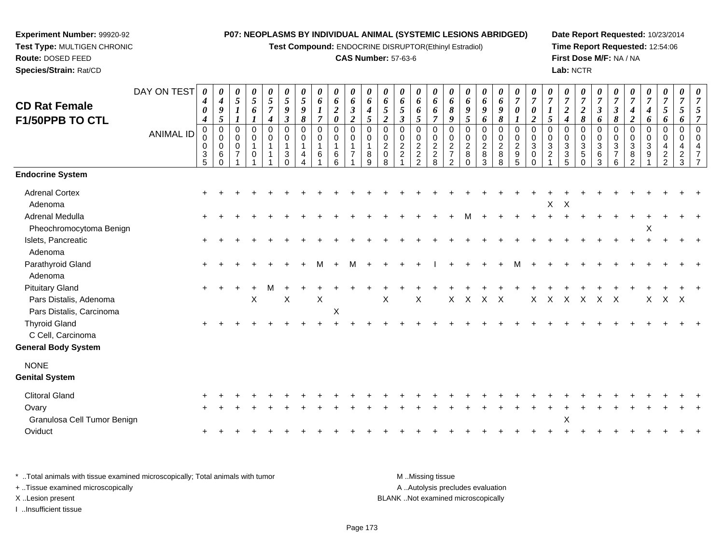**Test Compound:** ENDOCRINE DISRUPTOR(Ethinyl Estradiol)

#### **CAS Number:** 57-63-6

**Date Report Requested:** 10/23/2014**Time Report Requested:** 12:54:06**First Dose M/F:** NA / NA**Lab:** NCTR

| <b>CD Rat Female</b><br>F1/50PPB TO CTL                                      | DAY ON TEST<br><b>ANIMAL ID</b> | 0<br>4<br>0<br>$\boldsymbol{4}$<br>0 | 0<br>$\boldsymbol{4}$<br>9<br>5<br>$\pmb{0}$ | 0<br>$\sqrt{5}$<br>$\boldsymbol{l}$<br>0 | 0<br>$\mathfrak{s}$<br>6<br>$\mathbf 0$ | 0<br>$\overline{5}$<br>$\overline{7}$<br>$\boldsymbol{4}$<br>0 | 0<br>5<br>9<br>$\boldsymbol{\mathfrak{z}}$<br>$\mathbf 0$ | 0<br>5<br>9<br>8<br>$\mathbf 0$ | 0<br>6<br>$\boldsymbol{l}$<br>$\overline{7}$<br>$\mathbf 0$ | 0<br>6<br>$\boldsymbol{2}$<br>0<br>0 | 0<br>6<br>$\mathfrak{Z}$<br>$\overline{2}$<br>$\mathbf 0$ | 0<br>6<br>4<br>5<br>$\mathbf 0$ | 0<br>6<br>$\mathfrak{s}$<br>$\overline{2}$<br>0 | 0<br>6<br>5<br>$\mathfrak{z}$<br>0                                | 0<br>6<br>6<br>5<br>0                                     | 0<br>6<br>6<br>$\overline{7}$<br>0           | 0<br>6<br>8<br>9<br>0                                             | $\boldsymbol{\theta}$<br>6<br>9<br>$5\overline{)}$<br>$\pmb{0}$ | 0<br>6<br>$\boldsymbol{g}$<br>6<br>$\pmb{0}$ | 0<br>6<br>9<br>8<br>$\mathbf 0$     | 0<br>$\overline{7}$<br>$\boldsymbol{\theta}$<br>$\boldsymbol{l}$<br>$\mathbf 0$ | 0<br>$\overline{7}$<br>0<br>$\overline{2}$<br>$\mathbf 0$ | 0<br>$\overline{7}$<br>5<br>0 | 0<br>$\overline{7}$<br>$\boldsymbol{2}$<br>$\boldsymbol{4}$<br>$\mathbf 0$ | 0<br>$\overline{7}$<br>$\boldsymbol{2}$<br>8<br>0 | $\boldsymbol{\theta}$<br>$\overline{7}$<br>$\boldsymbol{\beta}$<br>6<br>$\mathbf 0$ | 0<br>$\overline{7}$<br>$\mathbf{3}$<br>8<br>$\mathbf 0$ | 0<br>$\overline{7}$<br>$\boldsymbol{4}$<br>$\overline{c}$<br>0 | 0<br>$\overline{7}$<br>$\boldsymbol{4}$<br>6<br>0 | 0<br>$\overline{7}$<br>$\mathfrak{s}$<br>6<br>$\mathbf 0$ | $\pmb{\theta}$<br>$\overline{7}$<br>5<br>6<br>$\mathbf 0$ | 0<br>$\overline{7}$<br>$\mathfrak{s}$<br>$\overline{7}$<br>$\pmb{0}$ |
|------------------------------------------------------------------------------|---------------------------------|--------------------------------------|----------------------------------------------|------------------------------------------|-----------------------------------------|----------------------------------------------------------------|-----------------------------------------------------------|---------------------------------|-------------------------------------------------------------|--------------------------------------|-----------------------------------------------------------|---------------------------------|-------------------------------------------------|-------------------------------------------------------------------|-----------------------------------------------------------|----------------------------------------------|-------------------------------------------------------------------|-----------------------------------------------------------------|----------------------------------------------|-------------------------------------|---------------------------------------------------------------------------------|-----------------------------------------------------------|-------------------------------|----------------------------------------------------------------------------|---------------------------------------------------|-------------------------------------------------------------------------------------|---------------------------------------------------------|----------------------------------------------------------------|---------------------------------------------------|-----------------------------------------------------------|-----------------------------------------------------------|----------------------------------------------------------------------|
|                                                                              |                                 | 0<br>$\ensuremath{\mathsf{3}}$<br>5  | $\pmb{0}$<br>$\pmb{0}$<br>6<br>$\Omega$      | 0<br>$\mathbf 0$<br>$\overline{7}$       | $\mathbf 0$<br>$\mathbf{1}$<br>$\Omega$ | 0<br>1                                                         | $\Omega$<br>1<br>3                                        | 0<br>4                          | $\mathbf 0$<br>$\mathbf{1}$<br>6                            | 0<br>$\,6\,$<br>6                    | $\Omega$                                                  | 0<br>8<br>$\mathbf{Q}$          | $\mathbf 0$<br>$\overline{2}$<br>$\pmb{0}$<br>8 | $\pmb{0}$<br>$\boldsymbol{2}$<br>$\overline{c}$<br>$\overline{A}$ | $\mathbf 0$<br>$\begin{array}{c} 2 \\ 2 \\ 2 \end{array}$ | $\pmb{0}$<br>$\overline{c}$<br>$\frac{2}{8}$ | $\mathbf 0$<br>$\overline{2}$<br>$\overline{7}$<br>$\overline{2}$ | $\mathsf 0$<br>$\frac{2}{8}$<br>$\mathbf 0$                     | $\pmb{0}$<br>$\sqrt{2}$<br>$\, 8$<br>3       | 0<br>$\overline{c}$<br>$\,8\,$<br>8 | $\mathbf 0$<br>$\overline{c}$<br>$\boldsymbol{9}$<br>5                          | $\mathbf 0$<br>$\mathbf{3}$<br>$\mathbf 0$<br>$\Omega$    | 0<br>$\sqrt{3}$<br>$\sqrt{2}$ | $\pmb{0}$<br>$\sqrt{3}$<br>$\sqrt{3}$<br>5                                 | 0<br>3<br>$\,$ 5 $\,$<br>$\Omega$                 | $\mathbf 0$<br>$\mathbf{3}$<br>$\,6$<br>3                                           | 0<br>$\mathbf{3}$<br>$\overline{7}$<br>6                | 0<br>3<br>$\bf 8$<br>$\overline{c}$                            | $\mathbf 0$<br>$\mathbf{3}$<br>$\boldsymbol{9}$   | $\Omega$<br>4<br>$\overline{a}$<br>$\overline{2}$         | $\Omega$<br>4<br>$\frac{2}{3}$                            | $\pmb{0}$<br>$\overline{4}$<br>$\overline{7}$<br>$\overline{7}$      |
| <b>Endocrine System</b>                                                      |                                 |                                      |                                              |                                          |                                         |                                                                |                                                           |                                 |                                                             |                                      |                                                           |                                 |                                                 |                                                                   |                                                           |                                              |                                                                   |                                                                 |                                              |                                     |                                                                                 |                                                           |                               |                                                                            |                                                   |                                                                                     |                                                         |                                                                |                                                   |                                                           |                                                           |                                                                      |
| <b>Adrenal Cortex</b><br>Adenoma                                             |                                 | $\ddot{}$                            |                                              |                                          |                                         |                                                                |                                                           |                                 |                                                             |                                      |                                                           |                                 |                                                 |                                                                   |                                                           |                                              |                                                                   |                                                                 |                                              |                                     |                                                                                 |                                                           | X                             | $\mathsf{X}$                                                               |                                                   |                                                                                     |                                                         |                                                                |                                                   |                                                           |                                                           |                                                                      |
| Adrenal Medulla<br>Pheochromocytoma Benign                                   |                                 |                                      |                                              |                                          |                                         |                                                                |                                                           |                                 |                                                             |                                      |                                                           |                                 |                                                 |                                                                   |                                                           |                                              |                                                                   |                                                                 |                                              |                                     |                                                                                 |                                                           |                               |                                                                            |                                                   |                                                                                     |                                                         |                                                                | X                                                 |                                                           |                                                           |                                                                      |
| Islets, Pancreatic<br>Adenoma                                                |                                 |                                      |                                              |                                          |                                         |                                                                |                                                           |                                 |                                                             |                                      |                                                           |                                 |                                                 |                                                                   |                                                           |                                              |                                                                   |                                                                 |                                              |                                     |                                                                                 |                                                           |                               |                                                                            |                                                   |                                                                                     |                                                         |                                                                |                                                   |                                                           |                                                           |                                                                      |
| Parathyroid Gland<br>Adenoma                                                 |                                 |                                      |                                              |                                          |                                         |                                                                |                                                           |                                 | м                                                           |                                      |                                                           |                                 |                                                 |                                                                   |                                                           |                                              |                                                                   |                                                                 |                                              |                                     |                                                                                 |                                                           |                               |                                                                            |                                                   |                                                                                     |                                                         |                                                                |                                                   |                                                           |                                                           |                                                                      |
| <b>Pituitary Gland</b><br>Pars Distalis, Adenoma<br>Pars Distalis, Carcinoma |                                 |                                      |                                              |                                          | X                                       | М                                                              | X                                                         |                                 | $\boldsymbol{\mathsf{X}}$                                   | $\boldsymbol{\mathsf{X}}$            |                                                           |                                 | X                                               |                                                                   | X                                                         |                                              | X                                                                 | $\boldsymbol{\mathsf{X}}$                                       | X X                                          |                                     |                                                                                 | X                                                         | $\mathsf{X}$                  | $\mathsf{X}$                                                               | X                                                 | X X                                                                                 |                                                         |                                                                | X                                                 | X X                                                       |                                                           |                                                                      |
| <b>Thyroid Gland</b><br>C Cell, Carcinoma<br><b>General Body System</b>      |                                 |                                      |                                              |                                          |                                         |                                                                |                                                           |                                 |                                                             |                                      |                                                           |                                 |                                                 |                                                                   |                                                           |                                              |                                                                   |                                                                 |                                              |                                     |                                                                                 |                                                           |                               |                                                                            |                                                   |                                                                                     |                                                         |                                                                |                                                   |                                                           |                                                           |                                                                      |
| <b>NONE</b><br><b>Genital System</b>                                         |                                 |                                      |                                              |                                          |                                         |                                                                |                                                           |                                 |                                                             |                                      |                                                           |                                 |                                                 |                                                                   |                                                           |                                              |                                                                   |                                                                 |                                              |                                     |                                                                                 |                                                           |                               |                                                                            |                                                   |                                                                                     |                                                         |                                                                |                                                   |                                                           |                                                           |                                                                      |
| <b>Clitoral Gland</b>                                                        |                                 |                                      |                                              |                                          |                                         |                                                                |                                                           |                                 |                                                             |                                      |                                                           |                                 |                                                 |                                                                   |                                                           |                                              |                                                                   |                                                                 |                                              |                                     |                                                                                 |                                                           |                               |                                                                            |                                                   |                                                                                     |                                                         |                                                                |                                                   |                                                           |                                                           |                                                                      |
| Ovary<br>Granulosa Cell Tumor Benign                                         |                                 |                                      |                                              |                                          |                                         |                                                                |                                                           |                                 |                                                             |                                      |                                                           |                                 |                                                 |                                                                   |                                                           |                                              |                                                                   |                                                                 |                                              |                                     |                                                                                 |                                                           |                               | $\mathsf X$                                                                |                                                   |                                                                                     |                                                         |                                                                |                                                   |                                                           |                                                           |                                                                      |
| Oviduct                                                                      |                                 | $+$                                  |                                              |                                          |                                         |                                                                |                                                           |                                 |                                                             |                                      |                                                           |                                 |                                                 |                                                                   |                                                           |                                              |                                                                   |                                                                 |                                              |                                     |                                                                                 |                                                           |                               |                                                                            |                                                   |                                                                                     |                                                         |                                                                |                                                   |                                                           |                                                           |                                                                      |

\* ..Total animals with tissue examined microscopically; Total animals with tumor **M** . Missing tissue M ..Missing tissue A ..Autolysis precludes evaluation + ..Tissue examined microscopically X ..Lesion present BLANK ..Not examined microscopicallyI ..Insufficient tissue

**Experiment Number:** 99920-92**Test Type:** MULTIGEN CHRONIC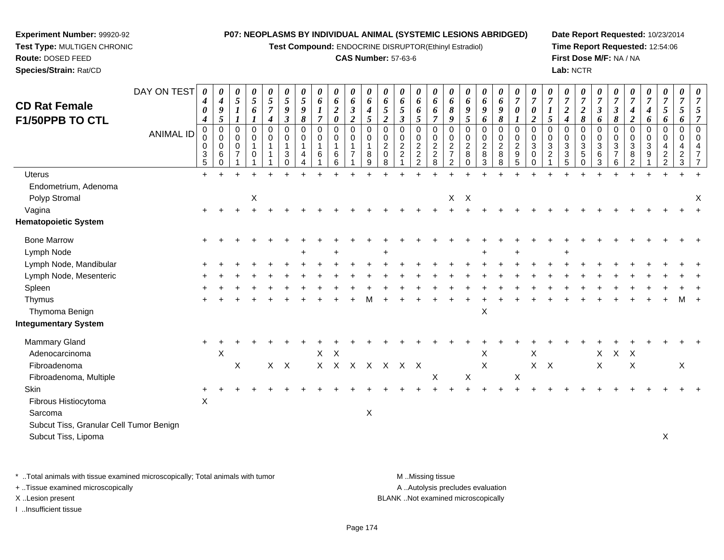**Test Compound:** ENDOCRINE DISRUPTOR(Ethinyl Estradiol)

#### **CAS Number:** 57-63-6

**Date Report Requested:** 10/23/2014**Time Report Requested:** 12:54:06**First Dose M/F:** NA / NA**Lab:** NCTR

| <b>CD Rat Female</b>                                           | DAY ON TEST      | 4<br>0                                                     | 0<br>$\boldsymbol{4}$<br>$\boldsymbol{g}$                       | 0<br>$\mathfrak{s}$<br>$\boldsymbol{l}$      | 0<br>5<br>6                                | 0<br>$\mathfrak{s}$<br>$\boldsymbol{7}$              | $\boldsymbol{\theta}$<br>$\mathfrak{s}$<br>$\boldsymbol{9}$ | 0<br>5<br>9                          | 0<br>$\boldsymbol{6}$<br>1         | 0<br>6<br>$\boldsymbol{2}$                                          | 0<br>$\boldsymbol{6}$<br>$\boldsymbol{\mathfrak{z}}$                | $\boldsymbol{\theta}$<br>6<br>$\boldsymbol{4}$ | 0<br>6<br>$\mathfrak{s}$                                              | 0<br>6<br>$\sqrt{5}$                                                   | 0<br>6<br>6                                              | 0<br>6<br>6                               | $\boldsymbol{\theta}$<br>6<br>$\pmb{8}$                                       | 0<br>6<br>9                                                              | 0<br>$\boldsymbol{6}$<br>9                | 0<br>6<br>9                                                 | $\frac{\theta}{7}$<br>$\pmb{\theta}$                | $\overline{7}$<br>$\boldsymbol{\theta}$   | $\overline{7}$                            | 0<br>$\overline{7}$<br>$\boldsymbol{2}$   | 0<br>$\boldsymbol{7}$<br>$\boldsymbol{2}$         | 0<br>$\overline{7}$<br>$\mathfrak{z}$ | $\overline{7}$<br>$\boldsymbol{\beta}$            | $\boldsymbol{\theta}$<br>$\overline{7}$<br>$\boldsymbol{4}$                 | 0<br>$\boldsymbol{7}$<br>$\boldsymbol{4}$ | 0<br>$\boldsymbol{7}$<br>$\mathfrak{s}$               | 0<br>$\overline{7}$<br>5                    |                                        |
|----------------------------------------------------------------|------------------|------------------------------------------------------------|-----------------------------------------------------------------|----------------------------------------------|--------------------------------------------|------------------------------------------------------|-------------------------------------------------------------|--------------------------------------|------------------------------------|---------------------------------------------------------------------|---------------------------------------------------------------------|------------------------------------------------|-----------------------------------------------------------------------|------------------------------------------------------------------------|----------------------------------------------------------|-------------------------------------------|-------------------------------------------------------------------------------|--------------------------------------------------------------------------|-------------------------------------------|-------------------------------------------------------------|-----------------------------------------------------|-------------------------------------------|-------------------------------------------|-------------------------------------------|---------------------------------------------------|---------------------------------------|---------------------------------------------------|-----------------------------------------------------------------------------|-------------------------------------------|-------------------------------------------------------|---------------------------------------------|----------------------------------------|
| <b>F1/50PPB TO CTL</b>                                         | <b>ANIMAL ID</b> | $\boldsymbol{4}$<br>$\mathbf 0$<br>0<br>0<br>$\frac{3}{5}$ | 5<br>$\mathbf 0$<br>$\mathbf 0$<br>$\mathbf 0$<br>6<br>$\Omega$ | 1<br>0<br>0<br>$\mathbf 0$<br>$\overline{7}$ | 1<br>0<br>$\mathbf 0$<br>$\mathbf{1}$<br>0 | $\boldsymbol{4}$<br>$\mathbf 0$<br>0<br>$\mathbf{1}$ | $\boldsymbol{\beta}$<br>$\mathbf 0$<br>0<br>3<br>0          | 8<br>$\mathbf 0$<br>$\mathbf 0$<br>4 | $\overline{7}$<br>0<br>0<br>1<br>6 | $\boldsymbol{\theta}$<br>$\mathbf 0$<br>0<br>$\mathbf{1}$<br>6<br>6 | $\overline{2}$<br>$\mathbf 0$<br>0<br>$\mathbf 1$<br>$\overline{7}$ | 5<br>$\Omega$<br>0<br>8<br>9                   | $\overline{2}$<br>$\Omega$<br>0<br>$\overline{c}$<br>$\mathbf 0$<br>8 | $\mathfrak{z}$<br>0<br>$\mathbf 0$<br>$\overline{2}$<br>$\overline{c}$ | 5<br>$\mathbf 0$<br>0<br>$\overline{c}$<br>$\frac{2}{2}$ | $\overline{7}$<br>0<br>0<br>$\frac{2}{8}$ | 9<br>$\mathbf 0$<br>0<br>$\boldsymbol{2}$<br>$\overline{7}$<br>$\overline{2}$ | $\mathfrak{s}$<br>$\mathbf 0$<br>0<br>$\overline{c}$<br>8<br>$\mathbf 0$ | 6<br>0<br>0<br>$\boldsymbol{2}$<br>8<br>3 | 8<br>$\mathbf 0$<br>$\mathbf 0$<br>$\overline{c}$<br>8<br>8 | $\mathbf 0$<br>0<br>$\frac{2}{9}$<br>$\overline{5}$ | $\boldsymbol{2}$<br>0<br>0<br>3<br>0<br>0 | 5<br>$\Omega$<br>0<br>3<br>$\overline{c}$ | $\boldsymbol{4}$<br>0<br>0<br>3<br>3<br>5 | 8<br>$\Omega$<br>0<br>$\sqrt{3}$<br>5<br>$\Omega$ | 6<br>$\mathbf 0$<br>0<br>3<br>6<br>3  | 8<br>$\mathbf 0$<br>0<br>3<br>$\overline{7}$<br>6 | $\boldsymbol{2}$<br>$\mathbf 0$<br>0<br>$\mathbf{3}$<br>8<br>$\overline{2}$ | 6<br>0<br>0<br>$\mathbf{3}$<br>9          | 6<br>$\mathbf 0$<br>$\mathbf 0$<br>4<br>$\frac{2}{2}$ | 6<br>$\mathbf 0$<br>0<br>4<br>$\frac{2}{3}$ | $\overline{7}$<br>$\Omega$<br>$\Omega$ |
| <b>Uterus</b>                                                  |                  | $\ddot{}$                                                  |                                                                 |                                              |                                            |                                                      |                                                             |                                      |                                    |                                                                     |                                                                     |                                                |                                                                       |                                                                        |                                                          |                                           |                                                                               |                                                                          |                                           |                                                             |                                                     |                                           |                                           |                                           |                                                   |                                       |                                                   |                                                                             |                                           |                                                       |                                             |                                        |
| Endometrium, Adenoma<br>Polyp Stromal                          |                  |                                                            |                                                                 |                                              | X                                          |                                                      |                                                             |                                      |                                    |                                                                     |                                                                     |                                                |                                                                       |                                                                        |                                                          |                                           | $\mathsf{X}$                                                                  | $\mathsf{X}$                                                             |                                           |                                                             |                                                     |                                           |                                           |                                           |                                                   |                                       |                                                   |                                                                             |                                           |                                                       |                                             | Χ                                      |
| Vagina                                                         |                  | $+$                                                        |                                                                 |                                              |                                            |                                                      |                                                             |                                      |                                    |                                                                     |                                                                     |                                                |                                                                       |                                                                        |                                                          |                                           |                                                                               |                                                                          |                                           |                                                             |                                                     |                                           |                                           |                                           |                                                   |                                       |                                                   |                                                                             |                                           |                                                       |                                             |                                        |
| <b>Hematopoietic System</b>                                    |                  |                                                            |                                                                 |                                              |                                            |                                                      |                                                             |                                      |                                    |                                                                     |                                                                     |                                                |                                                                       |                                                                        |                                                          |                                           |                                                                               |                                                                          |                                           |                                                             |                                                     |                                           |                                           |                                           |                                                   |                                       |                                                   |                                                                             |                                           |                                                       |                                             |                                        |
| <b>Bone Marrow</b><br>Lymph Node                               |                  |                                                            |                                                                 |                                              |                                            |                                                      |                                                             |                                      |                                    |                                                                     |                                                                     |                                                |                                                                       |                                                                        |                                                          |                                           |                                                                               |                                                                          |                                           |                                                             |                                                     |                                           |                                           |                                           |                                                   |                                       |                                                   |                                                                             |                                           |                                                       |                                             |                                        |
| Lymph Node, Mandibular                                         |                  |                                                            |                                                                 |                                              |                                            |                                                      |                                                             |                                      |                                    |                                                                     |                                                                     |                                                |                                                                       |                                                                        |                                                          |                                           |                                                                               |                                                                          |                                           |                                                             |                                                     |                                           |                                           |                                           |                                                   |                                       |                                                   |                                                                             |                                           |                                                       |                                             |                                        |
| Lymph Node, Mesenteric                                         |                  |                                                            |                                                                 |                                              |                                            |                                                      |                                                             |                                      |                                    |                                                                     |                                                                     |                                                |                                                                       |                                                                        |                                                          |                                           |                                                                               |                                                                          |                                           |                                                             |                                                     |                                           |                                           |                                           |                                                   |                                       |                                                   |                                                                             |                                           |                                                       |                                             |                                        |
| Spleen                                                         |                  |                                                            |                                                                 |                                              |                                            |                                                      |                                                             |                                      |                                    |                                                                     |                                                                     |                                                |                                                                       |                                                                        |                                                          |                                           |                                                                               |                                                                          |                                           |                                                             |                                                     |                                           |                                           |                                           |                                                   |                                       |                                                   |                                                                             |                                           |                                                       |                                             |                                        |
| Thymus<br>Thymoma Benign                                       |                  |                                                            |                                                                 |                                              |                                            |                                                      |                                                             |                                      |                                    |                                                                     |                                                                     |                                                |                                                                       |                                                                        |                                                          |                                           |                                                                               |                                                                          | X                                         |                                                             |                                                     |                                           |                                           |                                           |                                                   |                                       |                                                   |                                                                             |                                           |                                                       |                                             |                                        |
| <b>Integumentary System</b>                                    |                  |                                                            |                                                                 |                                              |                                            |                                                      |                                                             |                                      |                                    |                                                                     |                                                                     |                                                |                                                                       |                                                                        |                                                          |                                           |                                                                               |                                                                          |                                           |                                                             |                                                     |                                           |                                           |                                           |                                                   |                                       |                                                   |                                                                             |                                           |                                                       |                                             |                                        |
| <b>Mammary Gland</b>                                           |                  |                                                            |                                                                 |                                              |                                            |                                                      |                                                             |                                      |                                    |                                                                     |                                                                     |                                                |                                                                       |                                                                        |                                                          |                                           |                                                                               |                                                                          |                                           |                                                             |                                                     |                                           |                                           |                                           |                                                   |                                       |                                                   |                                                                             |                                           |                                                       |                                             |                                        |
| Adenocarcinoma                                                 |                  |                                                            | X                                                               |                                              |                                            |                                                      |                                                             |                                      | $X$ $X$                            |                                                                     |                                                                     |                                                |                                                                       |                                                                        |                                                          |                                           |                                                                               |                                                                          | X                                         |                                                             |                                                     | X                                         |                                           |                                           |                                                   | X                                     | X X                                               |                                                                             |                                           |                                                       |                                             |                                        |
| Fibroadenoma                                                   |                  |                                                            |                                                                 | $\mathsf X$                                  |                                            | $\mathsf{X}$                                         | $\mathsf{X}$                                                |                                      |                                    |                                                                     | X X X X X X X                                                       |                                                |                                                                       |                                                                        |                                                          |                                           |                                                                               |                                                                          | X                                         |                                                             |                                                     | $X$ $X$                                   |                                           |                                           |                                                   | X                                     |                                                   | $\mathsf X$                                                                 |                                           |                                                       | X                                           |                                        |
| Fibroadenoma, Multiple                                         |                  |                                                            |                                                                 |                                              |                                            |                                                      |                                                             |                                      |                                    |                                                                     |                                                                     |                                                |                                                                       |                                                                        |                                                          | X                                         |                                                                               | $\pmb{\times}$                                                           |                                           |                                                             | $\times$                                            |                                           |                                           |                                           |                                                   |                                       |                                                   |                                                                             |                                           |                                                       |                                             |                                        |
| <b>Skin</b>                                                    |                  |                                                            |                                                                 |                                              |                                            |                                                      |                                                             |                                      |                                    |                                                                     |                                                                     |                                                |                                                                       |                                                                        |                                                          |                                           |                                                                               |                                                                          |                                           |                                                             |                                                     |                                           |                                           |                                           |                                                   |                                       |                                                   |                                                                             |                                           |                                                       |                                             |                                        |
| Fibrous Histiocytoma                                           |                  | X                                                          |                                                                 |                                              |                                            |                                                      |                                                             |                                      |                                    |                                                                     |                                                                     |                                                |                                                                       |                                                                        |                                                          |                                           |                                                                               |                                                                          |                                           |                                                             |                                                     |                                           |                                           |                                           |                                                   |                                       |                                                   |                                                                             |                                           |                                                       |                                             |                                        |
| Sarcoma                                                        |                  |                                                            |                                                                 |                                              |                                            |                                                      |                                                             |                                      |                                    |                                                                     |                                                                     | X                                              |                                                                       |                                                                        |                                                          |                                           |                                                                               |                                                                          |                                           |                                                             |                                                     |                                           |                                           |                                           |                                                   |                                       |                                                   |                                                                             |                                           |                                                       |                                             |                                        |
| Subcut Tiss, Granular Cell Tumor Benign<br>Subcut Tiss, Lipoma |                  |                                                            |                                                                 |                                              |                                            |                                                      |                                                             |                                      |                                    |                                                                     |                                                                     |                                                |                                                                       |                                                                        |                                                          |                                           |                                                                               |                                                                          |                                           |                                                             |                                                     |                                           |                                           |                                           |                                                   |                                       |                                                   |                                                                             |                                           | X                                                     |                                             |                                        |
|                                                                |                  |                                                            |                                                                 |                                              |                                            |                                                      |                                                             |                                      |                                    |                                                                     |                                                                     |                                                |                                                                       |                                                                        |                                                          |                                           |                                                                               |                                                                          |                                           |                                                             |                                                     |                                           |                                           |                                           |                                                   |                                       |                                                   |                                                                             |                                           |                                                       |                                             |                                        |

\* ..Total animals with tissue examined microscopically; Total animals with tumor **M** . Missing tissue M ..Missing tissue

+ ..Tissue examined microscopically

**Experiment Number:** 99920-92**Test Type:** MULTIGEN CHRONIC

**Route:** DOSED FEED**Species/Strain:** Rat/CD

I ..Insufficient tissue

A ..Autolysis precludes evaluation

X ..Lesion present BLANK ..Not examined microscopically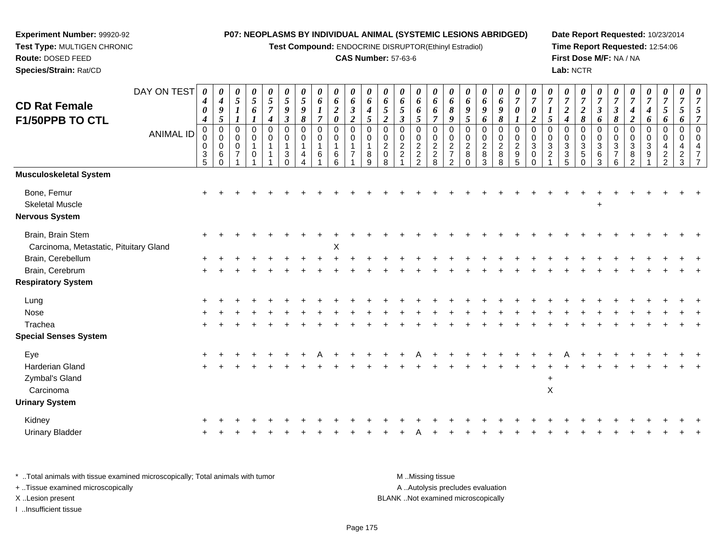**Test Compound:** ENDOCRINE DISRUPTOR(Ethinyl Estradiol)

# **CAS Number:** 57-63-6

**Date Report Requested:** 10/23/2014 **Time Report Requested:** 12:54:06**First Dose M/F:** NA / NA**Lab:** NCTR

|                                        | DAY ON TEST      | 0                          | 0                             | $\boldsymbol{\theta}$          | $\boldsymbol{\theta}$ | 0                                | $\boldsymbol{\theta}$              | $\boldsymbol{\theta}$      | 0                                    | $\boldsymbol{\theta}$ | $\boldsymbol{\theta}$      | $\boldsymbol{\theta}$      | $\boldsymbol{\theta}$      | $\boldsymbol{\theta}$ | 0                | $\boldsymbol{\theta}$ | $\boldsymbol{\theta}$                      | $\boldsymbol{\theta}$ | $\boldsymbol{\theta}$      | 0                          | 0<br>$\overline{7}$ | $\boldsymbol{\theta}$                   | $\boldsymbol{\theta}$ | $\boldsymbol{\theta}$<br>$\overline{7}$ | $\boldsymbol{\theta}$<br>$\overline{7}$ | 0<br>$\overline{7}$        | $\boldsymbol{\theta}$<br>$\overline{7}$ | $\boldsymbol{\theta}$<br>$\overline{7}$ | $\boldsymbol{\theta}$              | 0<br>$\overline{7}$        | 0                   | $\overline{7}$       |
|----------------------------------------|------------------|----------------------------|-------------------------------|--------------------------------|-----------------------|----------------------------------|------------------------------------|----------------------------|--------------------------------------|-----------------------|----------------------------|----------------------------|----------------------------|-----------------------|------------------|-----------------------|--------------------------------------------|-----------------------|----------------------------|----------------------------|---------------------|-----------------------------------------|-----------------------|-----------------------------------------|-----------------------------------------|----------------------------|-----------------------------------------|-----------------------------------------|------------------------------------|----------------------------|---------------------|----------------------|
| <b>CD Rat Female</b>                   |                  | 4<br>$\boldsymbol{\theta}$ | $\boldsymbol{4}$<br>$\pmb{9}$ | $\sqrt{5}$<br>$\boldsymbol{l}$ | $\sqrt{5}$<br>6       | $\overline{5}$<br>$\overline{7}$ | $\overline{5}$<br>$\boldsymbol{9}$ | $\sqrt{5}$<br>9            | $\boldsymbol{6}$<br>$\boldsymbol{l}$ | 6<br>$\boldsymbol{2}$ | 6<br>$\boldsymbol{\beta}$  | 6<br>$\boldsymbol{4}$      | 6<br>$\mathfrak{s}$        | 6<br>5                | 6<br>6           | 6<br>6                | 6<br>$\pmb{8}$                             | 6<br>$\boldsymbol{9}$ | 6<br>$\pmb{9}$             | 6<br>9                     | 0                   | $\overline{7}$<br>$\boldsymbol{\theta}$ | $\overline{7}$        | $\boldsymbol{2}$                        | $\overline{2}$                          | $\mathfrak{z}$             | $\boldsymbol{\beta}$                    | $\boldsymbol{4}$                        | $\overline{7}$<br>$\boldsymbol{4}$ | $\mathfrak{s}$             | $\overline{7}$<br>5 | 5                    |
| F1/50PPB TO CTL                        |                  | $\boldsymbol{4}$           | $\sqrt{5}$                    |                                |                       | $\boldsymbol{4}$                 | $\boldsymbol{\beta}$               | 8                          | $\overline{7}$                       | $\pmb{\theta}$        | $\overline{2}$             | 5                          | $\overline{2}$             | $\mathbf{3}$          | 5                | $\overline{7}$        | 9                                          | $\sqrt{5}$            | 6                          | $\pmb{8}$                  | $\mathbf{I}$        | $\overline{2}$                          | 5                     | 4                                       | 8                                       | 6                          | 8                                       | $\boldsymbol{2}$                        | 6                                  | 6                          | 6                   |                      |
|                                        | <b>ANIMAL ID</b> | 0<br>0                     | $\mathbf 0$<br>0              | $\mathbf 0$<br>0               | $\mathbf 0$<br>0      | $\mathbf 0$<br>0                 | $\mathbf 0$<br>0                   | $\mathbf 0$<br>$\mathbf 0$ | 0<br>0                               | 0<br>$\mathbf 0$      | $\mathbf 0$<br>$\mathbf 0$ | $\mathbf 0$<br>$\mathbf 0$ | $\mathbf 0$<br>$\mathbf 0$ | $\mathbf 0$<br>0      | $\mathbf 0$<br>0 | $\mathbf 0$           | $\mathbf 0$                                | $\mathbf 0$<br>0      | $\mathbf 0$<br>$\mathbf 0$ | $\mathbf 0$<br>$\mathbf 0$ | 0<br>$\pmb{0}$      | $\mathbf 0$<br>$\mathbf 0$              | $\mathbf 0$<br>0      | 0<br>0                                  | $\mathbf 0$<br>$\mathbf 0$              | $\mathbf 0$<br>$\mathbf 0$ | 0<br>0                                  | $\mathbf 0$<br>0                        | $\mathbf 0$<br>$\mathbf 0$         | $\mathbf 0$<br>$\mathbf 0$ | $\mathbf 0$<br>0    | $\Omega$<br>$\Omega$ |
|                                        |                  | 0                          | $\mathbf 0$                   | $\mathbf 0$                    |                       | $\mathbf{1}$                     |                                    | $\overline{1}$             | $\mathbf{1}$                         |                       | $\mathbf 1$                | 1                          | $\overline{c}$             | $\frac{2}{2}$         | $\frac{2}{2}$    | $0$<br>$2$<br>$8$     | $\begin{array}{c} 0 \\ 2 \\ 7 \end{array}$ | $\overline{2}$        | $\boldsymbol{2}$           | $\frac{2}{8}$              | $\frac{2}{9}$       | $\sqrt{3}$                              | $\sqrt{3}$            | $\mathbf{3}$                            | $\overline{3}$                          | 3                          | 3                                       | $\sqrt{3}$                              | 3                                  | $\overline{4}$             | 4                   | $\overline{4}$       |
|                                        |                  | 3<br>5                     | 6<br>$\Omega$                 | $\overline{7}$                 | $\Omega$              | 1                                | 3<br>$\Omega$                      | 4                          | 6                                    | $\,6\,$<br>6          | $\overline{7}$             | 8<br>9                     | $\mathbf 0$<br>8           |                       | $\overline{2}$   |                       | $\overline{2}$                             | $\,8\,$<br>$\Omega$   | $\bf 8$<br>$\mathbf{3}$    | 8                          | 5                   | $\pmb{0}$<br>$\mathbf 0$                | $\sqrt{2}$            | $\ensuremath{\mathsf{3}}$<br>5          | $\overline{5}$<br>$\mathbf 0$           | $\,6$<br>3                 | $\overline{7}$<br>6                     | $\bf 8$<br>$\overline{2}$               | 9                                  | $\frac{2}{2}$              | $\frac{2}{3}$       |                      |
| <b>Musculoskeletal System</b>          |                  |                            |                               |                                |                       |                                  |                                    |                            |                                      |                       |                            |                            |                            |                       |                  |                       |                                            |                       |                            |                            |                     |                                         |                       |                                         |                                         |                            |                                         |                                         |                                    |                            |                     |                      |
| Bone, Femur                            |                  | $\div$                     |                               |                                |                       |                                  |                                    |                            |                                      |                       |                            |                            |                            |                       |                  |                       |                                            |                       |                            |                            |                     |                                         |                       |                                         |                                         |                            |                                         |                                         |                                    |                            |                     |                      |
| <b>Skeletal Muscle</b>                 |                  |                            |                               |                                |                       |                                  |                                    |                            |                                      |                       |                            |                            |                            |                       |                  |                       |                                            |                       |                            |                            |                     |                                         |                       |                                         |                                         | $\ddot{}$                  |                                         |                                         |                                    |                            |                     |                      |
| <b>Nervous System</b>                  |                  |                            |                               |                                |                       |                                  |                                    |                            |                                      |                       |                            |                            |                            |                       |                  |                       |                                            |                       |                            |                            |                     |                                         |                       |                                         |                                         |                            |                                         |                                         |                                    |                            |                     |                      |
| Brain, Brain Stem                      |                  |                            |                               |                                |                       |                                  |                                    |                            |                                      |                       |                            |                            |                            |                       |                  |                       |                                            |                       |                            |                            |                     |                                         |                       |                                         |                                         |                            |                                         |                                         |                                    |                            |                     |                      |
| Carcinoma, Metastatic, Pituitary Gland |                  |                            |                               |                                |                       |                                  |                                    |                            |                                      | X                     |                            |                            |                            |                       |                  |                       |                                            |                       |                            |                            |                     |                                         |                       |                                         |                                         |                            |                                         |                                         |                                    |                            |                     |                      |
| Brain, Cerebellum                      |                  |                            |                               |                                |                       |                                  |                                    |                            |                                      |                       |                            |                            |                            |                       |                  |                       |                                            |                       |                            |                            |                     |                                         |                       |                                         |                                         |                            |                                         |                                         |                                    |                            |                     |                      |
| Brain, Cerebrum                        |                  |                            |                               |                                |                       |                                  |                                    |                            |                                      |                       |                            |                            |                            |                       |                  |                       |                                            |                       |                            |                            |                     |                                         |                       |                                         |                                         |                            |                                         |                                         |                                    |                            |                     |                      |
| <b>Respiratory System</b>              |                  |                            |                               |                                |                       |                                  |                                    |                            |                                      |                       |                            |                            |                            |                       |                  |                       |                                            |                       |                            |                            |                     |                                         |                       |                                         |                                         |                            |                                         |                                         |                                    |                            |                     |                      |
| Lung                                   |                  |                            |                               |                                |                       |                                  |                                    |                            |                                      |                       |                            |                            |                            |                       |                  |                       |                                            |                       |                            |                            |                     |                                         |                       |                                         |                                         |                            |                                         |                                         |                                    |                            |                     |                      |
| Nose                                   |                  |                            |                               |                                |                       |                                  |                                    |                            |                                      |                       |                            |                            |                            |                       |                  |                       |                                            |                       |                            |                            |                     |                                         |                       |                                         |                                         |                            |                                         |                                         |                                    |                            |                     |                      |
| Trachea                                |                  |                            |                               |                                |                       |                                  |                                    |                            |                                      |                       |                            |                            |                            |                       |                  |                       |                                            |                       |                            |                            |                     |                                         |                       |                                         |                                         |                            |                                         |                                         |                                    |                            |                     |                      |
| <b>Special Senses System</b>           |                  |                            |                               |                                |                       |                                  |                                    |                            |                                      |                       |                            |                            |                            |                       |                  |                       |                                            |                       |                            |                            |                     |                                         |                       |                                         |                                         |                            |                                         |                                         |                                    |                            |                     |                      |
| Eye                                    |                  |                            |                               |                                |                       |                                  |                                    |                            |                                      |                       |                            |                            |                            |                       |                  |                       |                                            |                       |                            |                            |                     |                                         |                       |                                         |                                         |                            |                                         |                                         |                                    |                            |                     |                      |
| Harderian Gland                        |                  |                            |                               |                                |                       |                                  |                                    |                            |                                      |                       |                            |                            |                            |                       |                  |                       |                                            |                       |                            |                            |                     |                                         |                       |                                         |                                         |                            |                                         |                                         |                                    |                            |                     |                      |
| Zymbal's Gland                         |                  |                            |                               |                                |                       |                                  |                                    |                            |                                      |                       |                            |                            |                            |                       |                  |                       |                                            |                       |                            |                            |                     |                                         | $\overline{+}$        |                                         |                                         |                            |                                         |                                         |                                    |                            |                     |                      |
| Carcinoma                              |                  |                            |                               |                                |                       |                                  |                                    |                            |                                      |                       |                            |                            |                            |                       |                  |                       |                                            |                       |                            |                            |                     |                                         | $\pmb{\times}$        |                                         |                                         |                            |                                         |                                         |                                    |                            |                     |                      |
| <b>Urinary System</b>                  |                  |                            |                               |                                |                       |                                  |                                    |                            |                                      |                       |                            |                            |                            |                       |                  |                       |                                            |                       |                            |                            |                     |                                         |                       |                                         |                                         |                            |                                         |                                         |                                    |                            |                     |                      |
| Kidney                                 |                  |                            |                               |                                |                       |                                  |                                    |                            |                                      |                       |                            |                            |                            |                       |                  |                       |                                            |                       |                            |                            |                     |                                         |                       |                                         |                                         |                            |                                         |                                         |                                    |                            |                     |                      |
| <b>Urinary Bladder</b>                 |                  |                            |                               |                                |                       |                                  |                                    |                            |                                      |                       |                            |                            |                            |                       |                  |                       |                                            |                       |                            |                            |                     |                                         |                       |                                         |                                         |                            |                                         |                                         |                                    |                            |                     |                      |
|                                        |                  |                            |                               |                                |                       |                                  |                                    |                            |                                      |                       |                            |                            |                            |                       |                  |                       |                                            |                       |                            |                            |                     |                                         |                       |                                         |                                         |                            |                                         |                                         |                                    |                            |                     |                      |

| * Total animals with tissue examined microscopically; Total animals with tumor | M Missing tissue                   |
|--------------------------------------------------------------------------------|------------------------------------|
| + Tissue examined microscopically                                              | A Autolysis precludes evaluation   |
| X Lesion present                                                               | BLANK Not examined microscopically |
| …Insufficient tissue                                                           |                                    |

**Experiment Number:** 99920-92**Test Type:** MULTIGEN CHRONIC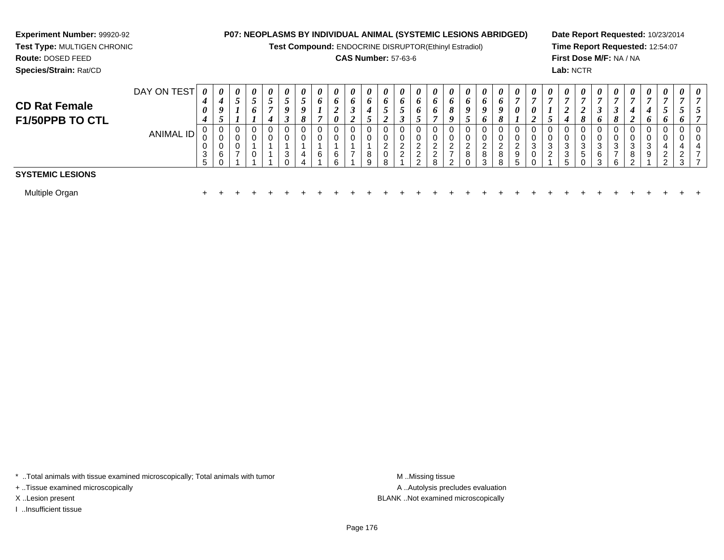# **Experiment Number:** 99920-92

# **Test Type:** MULTIGEN CHRONIC**Route:** DOSED FEED

**Species/Strain:** Rat/CD

# **P07: NEOPLASMS BY INDIVIDUAL ANIMAL (SYSTEMIC LESIONS ABRIDGED)**

**Test Compound:** ENDOCRINE DISRUPTOR(Ethinyl Estradiol)

# **CAS Number:** 57-63-6

**Date Report Requested:** 10/23/2014**Time Report Requested:** 12:54:07**First Dose M/F:** NA / NA**Lab:** NCTR

| <b>CD Rat Female</b><br>F1/50PPB TO CTL | DAY ON TEST | $\boldsymbol{\theta}$<br>4<br>$\theta$<br>4 | $\boldsymbol{\theta}$<br>4<br>9<br>◡ | 0<br>C           | 0<br>◡<br>6 | $\boldsymbol{\theta}$<br>J | 0<br>ັ<br>0<br>◡ | 0<br>o<br>8 | 0<br>o<br>E | $\boldsymbol{\theta}$<br>o<br>$\theta$ | $\boldsymbol{\theta}$<br>$\bm{o}$<br>I<br>◢ | 0<br>$\bm{o}$<br>◡ | 0<br>$\bm{o}$<br>J<br>◢            | $\boldsymbol{\theta}$<br>$\bm{o}$<br>◡<br>◡ | $\boldsymbol{\theta}$<br>$\bm{o}$<br>o<br>◡ | $\boldsymbol{\theta}$<br>0<br>0 | $\Omega$              | $\theta$<br>O<br>$\boldsymbol{o}$ | $\theta$<br>o<br>$\boldsymbol{a}$<br>o | $\boldsymbol{\theta}$<br>$\bm{o}$<br>o<br>8 | $\boldsymbol{\theta}$<br>−<br>0     | 0<br>0<br>$\overline{ }$ | $\boldsymbol{\theta}$<br>$\overline{ }$<br>ັ | $\boldsymbol{\theta}$ | 0<br>$\mathbf{o}$ | $\theta$         | $\boldsymbol{\theta}$<br>$\overline{ }$ | $\boldsymbol{\theta}$<br>7<br>∠ | $\boldsymbol{\theta}$<br>4<br>$\bm{o}$ | $\boldsymbol{\theta}$<br>ູ<br>$\bm{o}$ | $\boldsymbol{\theta}$<br>J        | $\boldsymbol{\theta}$<br>$\mathcal{L}$ |
|-----------------------------------------|-------------|---------------------------------------------|--------------------------------------|------------------|-------------|----------------------------|------------------|-------------|-------------|----------------------------------------|---------------------------------------------|--------------------|------------------------------------|---------------------------------------------|---------------------------------------------|---------------------------------|-----------------------|-----------------------------------|----------------------------------------|---------------------------------------------|-------------------------------------|--------------------------|----------------------------------------------|-----------------------|-------------------|------------------|-----------------------------------------|---------------------------------|----------------------------------------|----------------------------------------|-----------------------------------|----------------------------------------|
|                                         | ANIMAL ID   | U<br>0<br>3<br><sub>5</sub>                 | 0<br>U<br>$\sim$<br>U<br>6           | 0<br>0<br>0<br>- | 0           |                            | ◠<br>J           | U<br>4      | 6           | 6<br>ี่ค                               | 0<br>0<br>$\overline{ }$                    | U<br>8<br>q        | 0<br>0<br>$\overline{2}$<br>0<br>8 | 0<br>υ<br>$\sim$<br>$\sim$<br>∠             | ◠<br>∠<br>$\overline{2}$                    | ∠                               | $\sim$<br>∠<br>-<br>ົ | ີ<br>∠<br>8                       | ົ<br><u>.</u><br>8<br>2                | 0<br>0<br>ົ<br>$\epsilon$<br>8<br>8         | 0<br>U<br>ົ<br>$\epsilon$<br>9<br>5 | 0<br>0<br>3<br>0         | 0<br>0<br>3<br>ົ<br>∠                        | ◠<br>ა<br>C           | $\sqrt{2}$<br>C   | 3<br>⌒<br>b<br>વ | 0<br>U<br>3<br>–<br>6                   | 3<br>8<br>ົ                     | 0<br>0<br>3<br>9                       | 0<br>4<br>$\overline{2}$<br>າ          | 0<br>0<br>4<br>$\mathcal{D}$<br>3 | 0<br>0<br>4<br>-                       |
| <b>SYSTEMIC LESIONS</b>                 |             |                                             |                                      |                  |             |                            |                  |             |             |                                        |                                             |                    |                                    |                                             |                                             |                                 |                       |                                   |                                        |                                             |                                     |                          |                                              |                       |                   |                  |                                         |                                 |                                        |                                        |                                   |                                        |
| Multiple Organ                          |             |                                             |                                      |                  |             |                            |                  |             |             |                                        |                                             |                    |                                    |                                             |                                             |                                 |                       |                                   |                                        |                                             |                                     |                          |                                              |                       |                   |                  |                                         |                                 |                                        |                                        |                                   |                                        |

\* ..Total animals with tissue examined microscopically; Total animals with tumor **M** . Missing tissue M ..Missing tissue

+ ..Tissue examined microscopically

I ..Insufficient tissue

A ..Autolysis precludes evaluation X ..Lesion present BLANK ..Not examined microscopically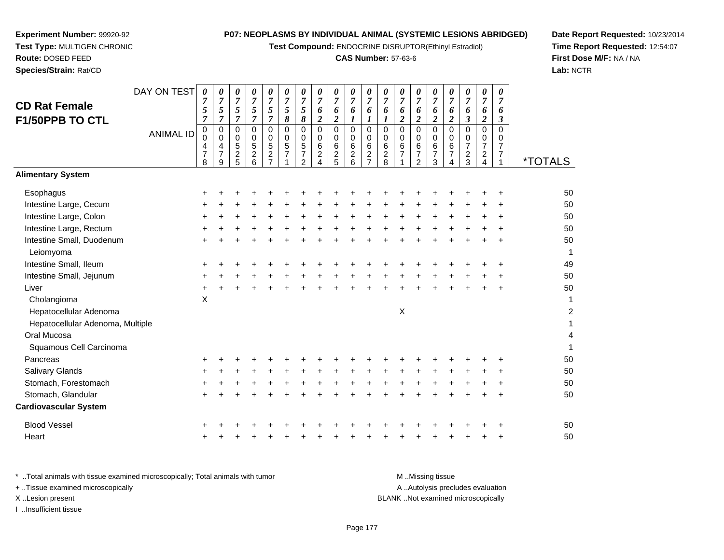**Test Compound:** ENDOCRINE DISRUPTOR(Ethinyl Estradiol)

#### **CAS Number:** 57-63-6

**Date Report Requested:** 10/23/2014**Time Report Requested:** 12:54:07**First Dose M/F:** NA / NA**Lab:** NCTR

| Species/Strain: Rat/CD   |                  |             |             |                          |               |             |        |        |                          |                          |                          |                     |             |                          |
|--------------------------|------------------|-------------|-------------|--------------------------|---------------|-------------|--------|--------|--------------------------|--------------------------|--------------------------|---------------------|-------------|--------------------------|
|                          | DAY ON TEST      | 0           | 0           | 0                        | 0             | 0           | 0      | 0      | 0                        | 0                        | 0                        | 0                   | N           | 0                        |
| <b>CD Rat Female</b>     |                  | 7<br>5      | 7<br>5      | 7<br>5                   | 7<br>5        | 7<br>5      | 7<br>5 | 7<br>5 | 7<br>6                   | 7<br>6                   | 7<br>6                   | 7<br>6              | 7<br>n      | 7<br>6                   |
| <b>F1/50PPB TO CTL</b>   |                  | 7           | 7           | 7                        |               | 7           | 8      | 8      | $\overline{\mathbf{c}}$  | 2                        |                          |                     |             | $\boldsymbol{2}$         |
|                          | <b>ANIMAL ID</b> | 0<br>0      | 0<br>0      | $\Omega$<br>0            | $\Omega$<br>0 | 0<br>0      | 0<br>0 | 0<br>0 | 0<br>0                   | 0<br>0                   | 0<br>0                   | 0<br>0              | 0<br>0      | 0<br>0                   |
|                          |                  | 4<br>7<br>8 | 4<br>7<br>9 | 5<br>$\overline{2}$<br>5 | 5<br>2<br>6   | 5<br>2<br>7 | 5<br>7 | 5<br>2 | 6<br>$\overline{2}$<br>4 | 6<br>$\overline{2}$<br>5 | 6<br>$\overline{2}$<br>6 | 6<br>$\overline{2}$ | 6<br>2<br>8 | 6<br>$\overline{7}$<br>1 |
| <b>Alimentary System</b> |                  |             |             |                          |               |             |        |        |                          |                          |                          |                     |             |                          |
| Esophagus                |                  | ٠           |             |                          |               |             |        |        | ٠                        |                          |                          |                     |             | ÷                        |
| Intestine Large, Cecum   |                  | ٠           | $\div$      | ÷                        | $\div$        | $\ddot{}$   | +      | $\div$ | +                        | $\ddot{}$                | $\div$                   | $\ddot{}$           |             | $\ddot{}$                |
| Intestine Large, Colon   |                  | ٠           | +           | ÷                        | $\div$        |             | $\div$ | +      | +                        | $\div$                   | ÷                        | $\div$              |             | $\ddot{}$                |
| Intestine Large, Rectum  |                  | +           |             | ┿                        |               |             | ٠      |        |                          |                          | ┿                        |                     |             | $\ddot{}$                |
| Intestine Small Duodenum |                  |             |             |                          |               |             |        |        |                          |                          |                          |                     |             | +                        |

**Experiment Number:** 99920-92**Test Type:** MULTIGEN CHRONIC

**Route:** DOSED FEED

| 0<br>$\mathbf 0$<br>4<br>$\overline{7}$ | 0<br>$\mathbf 0$<br>$\frac{4}{7}$ | 0<br>$\boldsymbol{0}$<br>$\mathbf 5$ | 0<br>$\pmb{0}$<br>5 | 0<br>$\pmb{0}$<br>$\mathbf 5$<br>$\frac{2}{7}$ | 0<br>$\pmb{0}$<br>5<br>$\overline{7}$ | 0<br>0<br>5<br>7 | 0<br>0<br>6<br>$\overline{\mathbf{c}}$ | 0<br>$\mathbf 0$<br>$\,6\,$ | 0<br>$\pmb{0}$<br>$\,6\,$ | 0<br>$\mathbf 0$<br>$\,6\,$<br>$\boldsymbol{2}$<br>$\overline{7}$ | 0<br>$\mathbf 0$<br>$\,6$ | 0<br>0<br>6   | 0<br>$\pmb{0}$<br>$\,6\,$<br>$\overline{\mathbf{7}}$ | 0<br>0<br>$\,6$<br>$\overline{7}$ | 0<br>0<br>6<br>7 | 0<br>$\mathbf 0$<br>$\overline{7}$ | 0<br>0<br>$\overline{7}$<br>$\overline{c}$ | 0<br>0<br>$\overline{7}$<br>7 | <i><b>*TOTALS</b></i> |
|-----------------------------------------|-----------------------------------|--------------------------------------|---------------------|------------------------------------------------|---------------------------------------|------------------|----------------------------------------|-----------------------------|---------------------------|-------------------------------------------------------------------|---------------------------|---------------|------------------------------------------------------|-----------------------------------|------------------|------------------------------------|--------------------------------------------|-------------------------------|-----------------------|
|                                         |                                   |                                      |                     |                                                |                                       |                  |                                        |                             |                           |                                                                   |                           |               |                                                      |                                   |                  |                                    |                                            |                               |                       |
| ÷.                                      |                                   |                                      |                     |                                                |                                       |                  |                                        |                             |                           |                                                                   |                           |               |                                                      |                                   |                  |                                    |                                            |                               | 50                    |
|                                         |                                   |                                      |                     |                                                |                                       |                  |                                        |                             |                           |                                                                   |                           |               |                                                      |                                   |                  |                                    |                                            |                               | 50                    |
|                                         |                                   |                                      |                     |                                                |                                       |                  |                                        |                             |                           |                                                                   |                           |               |                                                      |                                   |                  |                                    |                                            |                               | 50                    |
|                                         |                                   |                                      |                     |                                                |                                       |                  |                                        |                             |                           |                                                                   |                           |               |                                                      |                                   |                  |                                    |                                            |                               | 50                    |
|                                         |                                   |                                      |                     |                                                |                                       |                  |                                        |                             |                           |                                                                   |                           |               |                                                      |                                   |                  |                                    |                                            |                               | 50                    |
|                                         |                                   |                                      |                     |                                                |                                       |                  |                                        |                             |                           |                                                                   |                           |               |                                                      |                                   |                  |                                    |                                            |                               | 49                    |
|                                         |                                   |                                      |                     |                                                |                                       |                  |                                        |                             |                           |                                                                   |                           |               |                                                      |                                   |                  |                                    |                                            |                               | 50                    |
|                                         |                                   |                                      |                     |                                                |                                       |                  |                                        |                             |                           |                                                                   |                           |               |                                                      |                                   |                  |                                    |                                            |                               | 50                    |
| $\pmb{\times}$                          |                                   |                                      |                     |                                                |                                       |                  |                                        |                             |                           |                                                                   |                           |               |                                                      |                                   |                  |                                    |                                            |                               | 1                     |
|                                         |                                   |                                      |                     |                                                |                                       |                  |                                        |                             |                           |                                                                   |                           | $\mathsf X$   |                                                      |                                   |                  |                                    |                                            |                               | $\overline{c}$        |
|                                         |                                   |                                      |                     |                                                |                                       |                  |                                        |                             |                           |                                                                   |                           |               |                                                      |                                   |                  |                                    |                                            |                               | 1                     |
|                                         |                                   |                                      |                     |                                                |                                       |                  |                                        |                             |                           |                                                                   |                           |               |                                                      |                                   |                  |                                    |                                            |                               | 4                     |
|                                         |                                   |                                      |                     |                                                |                                       |                  |                                        |                             |                           |                                                                   |                           |               |                                                      |                                   |                  |                                    |                                            |                               | 1                     |
|                                         |                                   |                                      |                     |                                                |                                       |                  |                                        |                             |                           |                                                                   |                           |               |                                                      |                                   |                  |                                    |                                            |                               | 50                    |
|                                         |                                   |                                      |                     |                                                |                                       |                  |                                        |                             |                           |                                                                   |                           |               |                                                      |                                   |                  |                                    |                                            |                               | 50                    |
|                                         |                                   |                                      |                     |                                                |                                       |                  |                                        |                             |                           |                                                                   |                           |               |                                                      |                                   |                  |                                    |                                            |                               | 50                    |
|                                         |                                   |                                      |                     |                                                |                                       |                  |                                        |                             |                           |                                                                   |                           |               |                                                      |                                   |                  |                                    |                                            |                               | 50                    |
|                                         |                                   |                                      |                     |                                                |                                       |                  |                                        |                             |                           |                                                                   |                           |               |                                                      |                                   |                  |                                    |                                            |                               |                       |
|                                         |                                   |                                      |                     |                                                |                                       |                  |                                        |                             |                           |                                                                   |                           |               |                                                      |                                   |                  |                                    |                                            |                               | 50                    |
|                                         |                                   |                                      |                     |                                                |                                       |                  |                                        |                             |                           |                                                                   |                           |               |                                                      |                                   |                  |                                    |                                            |                               | 50                    |
|                                         | <b>ANIMAL ID</b><br>8             | 9                                    | $\frac{2}{5}$       | $\frac{2}{6}$                                  |                                       |                  | $\overline{2}$                         |                             | $\frac{2}{5}$             | $^2$ 6                                                            |                           | $\frac{2}{8}$ |                                                      | 2                                 | 3                |                                    | $\frac{2}{3}$                              |                               |                       |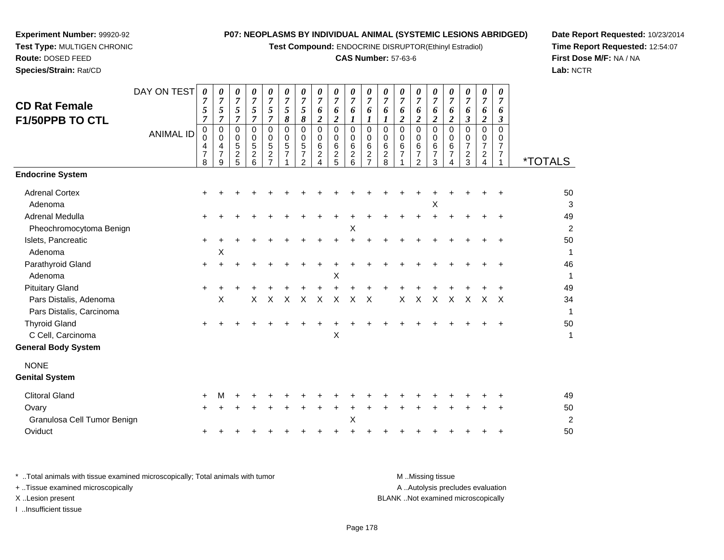**Test Compound:** ENDOCRINE DISRUPTOR(Ethinyl Estradiol)

#### **CAS Number:** 57-63-6

**Date Report Requested:** 10/23/2014**Time Report Requested:** 12:54:07**First Dose M/F:** NA / NA**Lab:** NCTR

 **Test Type:** MULTIGEN CHRONIC**Route:** DOSED FEED

**Experiment Number:** 99920-92

**Species/Strain:** Rat/CD

| <b>CD Rat Female</b><br>F1/50PPB TO CTL<br><b>Endocrine System</b> | DAY ON TEST<br><b>ANIMAL ID</b> | 0<br>$\overline{7}$<br>5<br>$\overline{7}$<br>0<br>0<br>4<br>$\overline{7}$<br>8 | 0<br>7<br>5<br>$\overline{7}$<br>0<br>0<br>4<br>7<br>9 | 0<br>$\overline{7}$<br>5<br>$\overline{7}$<br>$\mathbf 0$<br>0<br>$\sqrt{5}$<br>$\boldsymbol{2}$<br>5 | 0<br>$\overline{7}$<br>5<br>$\overline{7}$<br>$\Omega$<br>0<br>5<br>$\boldsymbol{2}$<br>6 | 0<br>$\overline{7}$<br>5<br>$\overline{7}$<br>$\mathbf 0$<br>0<br>5<br>$\boldsymbol{2}$<br>$\overline{7}$ | $\pmb{\theta}$<br>$\overline{7}$<br>$\overline{5}$<br>$\boldsymbol{\delta}$<br>$\mathbf 0$<br>$\mathbf 0$<br>$\sqrt{5}$<br>$\overline{7}$ | 0<br>$\overline{7}$<br>$\sqrt{5}$<br>$\pmb{8}$<br>$\mathbf 0$<br>0<br>$\,$ 5 $\,$<br>$\overline{7}$<br>$\mathcal{P}$ | 0<br>$\overline{7}$<br>6<br>$\boldsymbol{2}$<br>0<br>0<br>$\,6\,$<br>$\overline{a}$<br>4 | 0<br>$\overline{7}$<br>6<br>$\boldsymbol{2}$<br>0<br>0<br>6<br>$\frac{2}{5}$ | 0<br>$\boldsymbol{7}$<br>6<br>$\boldsymbol{l}$<br>$\Omega$<br>0<br>$\,6\,$<br>$\overline{c}$<br>6 | 0<br>$\overline{7}$<br>6<br>1<br>$\Omega$<br>$\Omega$<br>6<br>$\overline{c}$<br>7 | 0<br>$\overline{7}$<br>6<br>$\boldsymbol{l}$<br>0<br>0<br>$\,6\,$<br>$\overline{\mathbf{c}}$<br>8 | 0<br>$\overline{7}$<br>6<br>$\overline{\mathbf{c}}$<br>$\Omega$<br>0<br>6<br>$\overline{7}$ | $\pmb{\theta}$<br>$\overline{7}$<br>6<br>$\boldsymbol{2}$<br>0<br>$\mathbf 0$<br>$\,6\,$<br>$\overline{7}$<br>$\mathcal{P}$ | 0<br>$\overline{7}$<br>6<br>$\overline{c}$<br>$\Omega$<br>$\Omega$<br>6<br>$\overline{7}$<br>3 | 0<br>$\overline{7}$<br>6<br>$\overline{c}$<br>$\mathbf 0$<br>0<br>6<br>$\overline{7}$<br>4 | 0<br>$\boldsymbol{7}$<br>6<br>$\boldsymbol{\beta}$<br>$\mathbf 0$<br>0<br>$\overline{7}$<br>$\overline{c}$<br>3 | 0<br>$\boldsymbol{7}$<br>6<br>$\boldsymbol{2}$<br>$\mathbf 0$<br>0<br>$\overline{7}$<br>$\overline{\mathbf{c}}$<br>4 | $\pmb{\theta}$<br>$\overline{7}$<br>6<br>$\mathfrak{z}$<br>$\overline{0}$<br>0<br>$\overline{7}$<br>$\overline{7}$ | <i><b>*TOTALS</b></i> |
|--------------------------------------------------------------------|---------------------------------|----------------------------------------------------------------------------------|--------------------------------------------------------|-------------------------------------------------------------------------------------------------------|-------------------------------------------------------------------------------------------|-----------------------------------------------------------------------------------------------------------|-------------------------------------------------------------------------------------------------------------------------------------------|----------------------------------------------------------------------------------------------------------------------|------------------------------------------------------------------------------------------|------------------------------------------------------------------------------|---------------------------------------------------------------------------------------------------|-----------------------------------------------------------------------------------|---------------------------------------------------------------------------------------------------|---------------------------------------------------------------------------------------------|-----------------------------------------------------------------------------------------------------------------------------|------------------------------------------------------------------------------------------------|--------------------------------------------------------------------------------------------|-----------------------------------------------------------------------------------------------------------------|----------------------------------------------------------------------------------------------------------------------|--------------------------------------------------------------------------------------------------------------------|-----------------------|
|                                                                    |                                 |                                                                                  |                                                        |                                                                                                       |                                                                                           |                                                                                                           |                                                                                                                                           |                                                                                                                      |                                                                                          |                                                                              |                                                                                                   |                                                                                   |                                                                                                   |                                                                                             |                                                                                                                             |                                                                                                |                                                                                            |                                                                                                                 |                                                                                                                      |                                                                                                                    |                       |
| <b>Adrenal Cortex</b>                                              |                                 |                                                                                  |                                                        |                                                                                                       |                                                                                           |                                                                                                           |                                                                                                                                           |                                                                                                                      |                                                                                          |                                                                              |                                                                                                   |                                                                                   |                                                                                                   |                                                                                             |                                                                                                                             |                                                                                                |                                                                                            |                                                                                                                 |                                                                                                                      |                                                                                                                    | 50                    |
| Adenoma                                                            |                                 |                                                                                  |                                                        |                                                                                                       |                                                                                           |                                                                                                           |                                                                                                                                           |                                                                                                                      |                                                                                          |                                                                              |                                                                                                   |                                                                                   |                                                                                                   |                                                                                             |                                                                                                                             | X                                                                                              |                                                                                            |                                                                                                                 |                                                                                                                      |                                                                                                                    | 3                     |
| Adrenal Medulla                                                    |                                 |                                                                                  |                                                        |                                                                                                       |                                                                                           |                                                                                                           |                                                                                                                                           |                                                                                                                      |                                                                                          |                                                                              |                                                                                                   |                                                                                   |                                                                                                   |                                                                                             |                                                                                                                             |                                                                                                |                                                                                            |                                                                                                                 |                                                                                                                      | $\ddot{}$                                                                                                          | 49                    |
| Pheochromocytoma Benign<br>Islets, Pancreatic                      |                                 |                                                                                  |                                                        |                                                                                                       |                                                                                           |                                                                                                           |                                                                                                                                           |                                                                                                                      |                                                                                          |                                                                              | X                                                                                                 |                                                                                   |                                                                                                   |                                                                                             |                                                                                                                             |                                                                                                |                                                                                            |                                                                                                                 |                                                                                                                      |                                                                                                                    | $\overline{c}$<br>50  |
| Adenoma                                                            |                                 | $\ddot{}$                                                                        | X                                                      |                                                                                                       |                                                                                           |                                                                                                           |                                                                                                                                           |                                                                                                                      |                                                                                          |                                                                              |                                                                                                   |                                                                                   |                                                                                                   |                                                                                             |                                                                                                                             |                                                                                                |                                                                                            |                                                                                                                 |                                                                                                                      |                                                                                                                    | 1                     |
| Parathyroid Gland                                                  |                                 | $\ddot{}$                                                                        |                                                        |                                                                                                       |                                                                                           |                                                                                                           |                                                                                                                                           |                                                                                                                      |                                                                                          |                                                                              |                                                                                                   |                                                                                   |                                                                                                   |                                                                                             |                                                                                                                             |                                                                                                |                                                                                            |                                                                                                                 |                                                                                                                      |                                                                                                                    | 46                    |
| Adenoma                                                            |                                 |                                                                                  |                                                        |                                                                                                       |                                                                                           |                                                                                                           |                                                                                                                                           |                                                                                                                      |                                                                                          | X                                                                            |                                                                                                   |                                                                                   |                                                                                                   |                                                                                             |                                                                                                                             |                                                                                                |                                                                                            |                                                                                                                 |                                                                                                                      |                                                                                                                    | 1                     |
| <b>Pituitary Gland</b>                                             |                                 | $\ddot{}$                                                                        |                                                        |                                                                                                       |                                                                                           |                                                                                                           |                                                                                                                                           |                                                                                                                      |                                                                                          |                                                                              |                                                                                                   |                                                                                   |                                                                                                   |                                                                                             |                                                                                                                             |                                                                                                |                                                                                            |                                                                                                                 |                                                                                                                      |                                                                                                                    | 49                    |
| Pars Distalis, Adenoma                                             |                                 |                                                                                  | $\times$                                               |                                                                                                       | X                                                                                         | X                                                                                                         | X                                                                                                                                         | X                                                                                                                    | X                                                                                        | X                                                                            | X                                                                                                 | X                                                                                 |                                                                                                   | X                                                                                           | X                                                                                                                           | X                                                                                              | X                                                                                          | X                                                                                                               | X                                                                                                                    | $\mathsf{X}$                                                                                                       | 34                    |
| Pars Distalis, Carcinoma                                           |                                 |                                                                                  |                                                        |                                                                                                       |                                                                                           |                                                                                                           |                                                                                                                                           |                                                                                                                      |                                                                                          |                                                                              |                                                                                                   |                                                                                   |                                                                                                   |                                                                                             |                                                                                                                             |                                                                                                |                                                                                            |                                                                                                                 |                                                                                                                      |                                                                                                                    | $\mathbf{1}$          |
| <b>Thyroid Gland</b>                                               |                                 |                                                                                  |                                                        |                                                                                                       |                                                                                           |                                                                                                           |                                                                                                                                           |                                                                                                                      |                                                                                          |                                                                              |                                                                                                   |                                                                                   |                                                                                                   |                                                                                             |                                                                                                                             |                                                                                                |                                                                                            |                                                                                                                 |                                                                                                                      |                                                                                                                    | 50                    |
| C Cell, Carcinoma                                                  |                                 |                                                                                  |                                                        |                                                                                                       |                                                                                           |                                                                                                           |                                                                                                                                           |                                                                                                                      |                                                                                          | Χ                                                                            |                                                                                                   |                                                                                   |                                                                                                   |                                                                                             |                                                                                                                             |                                                                                                |                                                                                            |                                                                                                                 |                                                                                                                      |                                                                                                                    | $\mathbf{1}$          |
| <b>General Body System</b>                                         |                                 |                                                                                  |                                                        |                                                                                                       |                                                                                           |                                                                                                           |                                                                                                                                           |                                                                                                                      |                                                                                          |                                                                              |                                                                                                   |                                                                                   |                                                                                                   |                                                                                             |                                                                                                                             |                                                                                                |                                                                                            |                                                                                                                 |                                                                                                                      |                                                                                                                    |                       |
| <b>NONE</b>                                                        |                                 |                                                                                  |                                                        |                                                                                                       |                                                                                           |                                                                                                           |                                                                                                                                           |                                                                                                                      |                                                                                          |                                                                              |                                                                                                   |                                                                                   |                                                                                                   |                                                                                             |                                                                                                                             |                                                                                                |                                                                                            |                                                                                                                 |                                                                                                                      |                                                                                                                    |                       |
| <b>Genital System</b>                                              |                                 |                                                                                  |                                                        |                                                                                                       |                                                                                           |                                                                                                           |                                                                                                                                           |                                                                                                                      |                                                                                          |                                                                              |                                                                                                   |                                                                                   |                                                                                                   |                                                                                             |                                                                                                                             |                                                                                                |                                                                                            |                                                                                                                 |                                                                                                                      |                                                                                                                    |                       |
| <b>Clitoral Gland</b>                                              |                                 |                                                                                  |                                                        |                                                                                                       |                                                                                           |                                                                                                           |                                                                                                                                           |                                                                                                                      |                                                                                          |                                                                              |                                                                                                   |                                                                                   |                                                                                                   |                                                                                             |                                                                                                                             |                                                                                                |                                                                                            |                                                                                                                 |                                                                                                                      |                                                                                                                    | 49                    |
| Ovary                                                              |                                 |                                                                                  |                                                        |                                                                                                       |                                                                                           |                                                                                                           |                                                                                                                                           |                                                                                                                      |                                                                                          |                                                                              |                                                                                                   |                                                                                   |                                                                                                   |                                                                                             |                                                                                                                             |                                                                                                |                                                                                            |                                                                                                                 |                                                                                                                      |                                                                                                                    | 50                    |
| Granulosa Cell Tumor Benign                                        |                                 |                                                                                  |                                                        |                                                                                                       |                                                                                           |                                                                                                           |                                                                                                                                           |                                                                                                                      |                                                                                          |                                                                              | X                                                                                                 |                                                                                   |                                                                                                   |                                                                                             |                                                                                                                             |                                                                                                |                                                                                            |                                                                                                                 |                                                                                                                      |                                                                                                                    | $\overline{2}$        |
| Oviduct                                                            |                                 |                                                                                  |                                                        |                                                                                                       |                                                                                           |                                                                                                           |                                                                                                                                           |                                                                                                                      |                                                                                          |                                                                              |                                                                                                   |                                                                                   |                                                                                                   |                                                                                             |                                                                                                                             |                                                                                                |                                                                                            |                                                                                                                 |                                                                                                                      |                                                                                                                    | 50                    |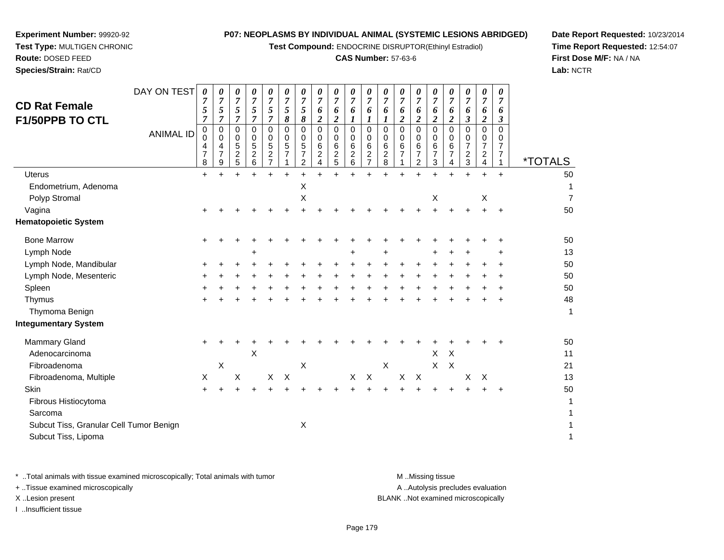**Test Compound:** ENDOCRINE DISRUPTOR(Ethinyl Estradiol)

#### **CAS Number:** 57-63-6

**Date Report Requested:** 10/23/2014**Time Report Requested:** 12:54:07**First Dose M/F:** NA / NA**Lab:** NCTR

| <b>CD Rat Female</b><br><b>F1/50PPB TO CTL</b>                 | DAY ON TEST<br><b>ANIMAL ID</b> | 0<br>7<br>5<br>7<br>$\pmb{0}$<br>$\Omega$<br>4<br>$\overline{7}$<br>8 | 0<br>$\overline{7}$<br>5<br>$\mathbf 0$<br>0<br>4<br>$\overline{7}$<br>9 | 0<br>7<br>5<br>7<br>$\mathbf 0$<br>0<br>5<br>$\overline{\mathbf{c}}$<br>5 | 0<br>7<br>5<br>7<br>0<br>0<br>5<br>$\frac{2}{6}$ | 0<br>$\overline{7}$<br>5<br>7<br>$\mathbf 0$<br>0<br>5<br>$\sqrt{2}$<br>$\overline{7}$ | 0<br>$\overline{7}$<br>5<br>8<br>$\Omega$<br>0<br>5<br>$\overline{7}$ | 0<br>7<br>5<br>8<br>$\Omega$<br>0<br>5<br>7<br>2 | 0<br>7<br>6<br>$\boldsymbol{2}$<br>$\mathbf 0$<br>0<br>6<br>$\overline{c}$<br>4 | 0<br>$\overline{7}$<br>6<br>$\overline{2}$<br>0<br>0<br>$\,6$<br>$\frac{2}{5}$ | 0<br>$\overline{7}$<br>6<br>1<br>$\mathbf 0$<br>0<br>$\,6\,$<br>$^2$ 6 | 0<br>7<br>6<br>1<br>$\Omega$<br>0<br>6<br>$\overline{\mathbf{c}}$<br>7 | 0<br>$\boldsymbol{7}$<br>6<br>$\Omega$<br>0<br>6<br>$\boldsymbol{2}$<br>8 | 0<br>7<br>6<br>$\overline{2}$<br>$\mathbf 0$<br>0<br>6<br>$\overline{7}$ | 0<br>$\overline{7}$<br>6<br>$\overline{2}$<br>$\mathbf 0$<br>0<br>$\,6$<br>$\overline{7}$<br>$\overline{2}$ | 0<br>$\overline{7}$<br>6<br>$\boldsymbol{2}$<br>$\mathbf 0$<br>0<br>6<br>$\overline{7}$<br>3 | 0<br>7<br>6<br>2<br>$\Omega$<br>0<br>6<br>$\overline{7}$<br>4 | 0<br>$\overline{7}$<br>6<br>$\boldsymbol{\beta}$<br>$\mathbf 0$<br>0<br>$\overline{7}$<br>$\frac{2}{3}$ | 0<br>$\overline{7}$<br>6<br>$\overline{2}$<br>$\Omega$<br>0<br>$\overline{7}$<br>$\overline{a}$<br>4 | 0<br>$\overline{7}$<br>6<br>3<br>$\mathbf 0$<br>0<br>$\overline{7}$<br>$\overline{7}$ | <i><b>*TOTALS</b></i> |
|----------------------------------------------------------------|---------------------------------|-----------------------------------------------------------------------|--------------------------------------------------------------------------|---------------------------------------------------------------------------|--------------------------------------------------|----------------------------------------------------------------------------------------|-----------------------------------------------------------------------|--------------------------------------------------|---------------------------------------------------------------------------------|--------------------------------------------------------------------------------|------------------------------------------------------------------------|------------------------------------------------------------------------|---------------------------------------------------------------------------|--------------------------------------------------------------------------|-------------------------------------------------------------------------------------------------------------|----------------------------------------------------------------------------------------------|---------------------------------------------------------------|---------------------------------------------------------------------------------------------------------|------------------------------------------------------------------------------------------------------|---------------------------------------------------------------------------------------|-----------------------|
| <b>Uterus</b>                                                  |                                 | $\ddot{}$                                                             |                                                                          |                                                                           |                                                  |                                                                                        | $\ddot{}$                                                             | $\ddot{}$                                        | $\div$                                                                          |                                                                                |                                                                        |                                                                        |                                                                           |                                                                          |                                                                                                             |                                                                                              | $\ddot{}$                                                     | $\ddot{}$                                                                                               | $\ddot{}$                                                                                            | $+$                                                                                   | 50                    |
| Endometrium, Adenoma                                           |                                 |                                                                       |                                                                          |                                                                           |                                                  |                                                                                        |                                                                       | Χ                                                |                                                                                 |                                                                                |                                                                        |                                                                        |                                                                           |                                                                          |                                                                                                             |                                                                                              |                                                               |                                                                                                         |                                                                                                      |                                                                                       | 1                     |
| Polyp Stromal                                                  |                                 |                                                                       |                                                                          |                                                                           |                                                  |                                                                                        |                                                                       | Χ                                                |                                                                                 |                                                                                |                                                                        |                                                                        |                                                                           |                                                                          |                                                                                                             | $\mathsf X$                                                                                  |                                                               |                                                                                                         | $\boldsymbol{\mathsf{X}}$                                                                            |                                                                                       | $\overline{7}$        |
| Vagina                                                         |                                 |                                                                       |                                                                          |                                                                           |                                                  |                                                                                        |                                                                       |                                                  |                                                                                 |                                                                                |                                                                        |                                                                        |                                                                           |                                                                          |                                                                                                             |                                                                                              |                                                               |                                                                                                         |                                                                                                      | $\ddot{}$                                                                             | 50                    |
| <b>Hematopoietic System</b>                                    |                                 |                                                                       |                                                                          |                                                                           |                                                  |                                                                                        |                                                                       |                                                  |                                                                                 |                                                                                |                                                                        |                                                                        |                                                                           |                                                                          |                                                                                                             |                                                                                              |                                                               |                                                                                                         |                                                                                                      |                                                                                       |                       |
| <b>Bone Marrow</b>                                             |                                 | ÷                                                                     |                                                                          |                                                                           |                                                  |                                                                                        |                                                                       |                                                  |                                                                                 |                                                                                |                                                                        |                                                                        |                                                                           |                                                                          |                                                                                                             |                                                                                              |                                                               |                                                                                                         |                                                                                                      |                                                                                       | 50                    |
| Lymph Node                                                     |                                 |                                                                       |                                                                          |                                                                           |                                                  |                                                                                        |                                                                       |                                                  |                                                                                 |                                                                                | +                                                                      |                                                                        |                                                                           |                                                                          |                                                                                                             |                                                                                              |                                                               |                                                                                                         |                                                                                                      |                                                                                       | 13                    |
| Lymph Node, Mandibular                                         |                                 | ٠                                                                     |                                                                          |                                                                           |                                                  |                                                                                        |                                                                       |                                                  |                                                                                 |                                                                                |                                                                        |                                                                        |                                                                           |                                                                          |                                                                                                             |                                                                                              |                                                               |                                                                                                         |                                                                                                      | +                                                                                     | 50                    |
| Lymph Node, Mesenteric                                         |                                 |                                                                       |                                                                          |                                                                           |                                                  |                                                                                        |                                                                       |                                                  |                                                                                 |                                                                                |                                                                        |                                                                        |                                                                           |                                                                          |                                                                                                             |                                                                                              |                                                               |                                                                                                         |                                                                                                      |                                                                                       | 50                    |
| Spleen                                                         |                                 |                                                                       |                                                                          |                                                                           |                                                  |                                                                                        |                                                                       |                                                  |                                                                                 |                                                                                |                                                                        |                                                                        |                                                                           |                                                                          |                                                                                                             |                                                                                              |                                                               |                                                                                                         |                                                                                                      |                                                                                       | 50                    |
| Thymus                                                         |                                 |                                                                       |                                                                          |                                                                           |                                                  |                                                                                        |                                                                       |                                                  |                                                                                 |                                                                                |                                                                        |                                                                        |                                                                           |                                                                          |                                                                                                             |                                                                                              |                                                               |                                                                                                         |                                                                                                      | +                                                                                     | 48                    |
| Thymoma Benign                                                 |                                 |                                                                       |                                                                          |                                                                           |                                                  |                                                                                        |                                                                       |                                                  |                                                                                 |                                                                                |                                                                        |                                                                        |                                                                           |                                                                          |                                                                                                             |                                                                                              |                                                               |                                                                                                         |                                                                                                      |                                                                                       | 1                     |
| <b>Integumentary System</b>                                    |                                 |                                                                       |                                                                          |                                                                           |                                                  |                                                                                        |                                                                       |                                                  |                                                                                 |                                                                                |                                                                        |                                                                        |                                                                           |                                                                          |                                                                                                             |                                                                                              |                                                               |                                                                                                         |                                                                                                      |                                                                                       |                       |
| <b>Mammary Gland</b>                                           |                                 | $\ddot{}$                                                             |                                                                          |                                                                           |                                                  |                                                                                        |                                                                       |                                                  |                                                                                 |                                                                                |                                                                        |                                                                        |                                                                           |                                                                          |                                                                                                             |                                                                                              |                                                               |                                                                                                         |                                                                                                      |                                                                                       | 50                    |
| Adenocarcinoma                                                 |                                 |                                                                       |                                                                          |                                                                           | $\boldsymbol{\mathsf{X}}$                        |                                                                                        |                                                                       |                                                  |                                                                                 |                                                                                |                                                                        |                                                                        |                                                                           |                                                                          |                                                                                                             | X                                                                                            | $\sf X$                                                       |                                                                                                         |                                                                                                      |                                                                                       | 11                    |
| Fibroadenoma                                                   |                                 |                                                                       | Χ                                                                        |                                                                           |                                                  |                                                                                        |                                                                       | X                                                |                                                                                 |                                                                                |                                                                        |                                                                        | X                                                                         |                                                                          |                                                                                                             | $\mathsf{X}$                                                                                 | $\times$                                                      |                                                                                                         |                                                                                                      |                                                                                       | 21                    |
| Fibroadenoma, Multiple                                         |                                 | Χ                                                                     |                                                                          | Χ                                                                         |                                                  | X                                                                                      | $\times$                                                              |                                                  |                                                                                 |                                                                                | X                                                                      | $\boldsymbol{X}$                                                       |                                                                           | X                                                                        | $\times$                                                                                                    |                                                                                              |                                                               | X                                                                                                       | X                                                                                                    |                                                                                       | 13                    |
| Skin                                                           |                                 |                                                                       |                                                                          |                                                                           |                                                  |                                                                                        |                                                                       |                                                  |                                                                                 |                                                                                |                                                                        |                                                                        |                                                                           |                                                                          |                                                                                                             |                                                                                              |                                                               |                                                                                                         |                                                                                                      | ÷                                                                                     | 50                    |
| Fibrous Histiocytoma                                           |                                 |                                                                       |                                                                          |                                                                           |                                                  |                                                                                        |                                                                       |                                                  |                                                                                 |                                                                                |                                                                        |                                                                        |                                                                           |                                                                          |                                                                                                             |                                                                                              |                                                               |                                                                                                         |                                                                                                      |                                                                                       | 1                     |
| Sarcoma                                                        |                                 |                                                                       |                                                                          |                                                                           |                                                  |                                                                                        |                                                                       |                                                  |                                                                                 |                                                                                |                                                                        |                                                                        |                                                                           |                                                                          |                                                                                                             |                                                                                              |                                                               |                                                                                                         |                                                                                                      |                                                                                       |                       |
| Subcut Tiss, Granular Cell Tumor Benign<br>Subcut Tiss, Lipoma |                                 |                                                                       |                                                                          |                                                                           |                                                  |                                                                                        |                                                                       | X                                                |                                                                                 |                                                                                |                                                                        |                                                                        |                                                                           |                                                                          |                                                                                                             |                                                                                              |                                                               |                                                                                                         |                                                                                                      |                                                                                       | 1                     |
|                                                                |                                 |                                                                       |                                                                          |                                                                           |                                                  |                                                                                        |                                                                       |                                                  |                                                                                 |                                                                                |                                                                        |                                                                        |                                                                           |                                                                          |                                                                                                             |                                                                                              |                                                               |                                                                                                         |                                                                                                      |                                                                                       |                       |

**Experiment Number:** 99920-92**Test Type:** MULTIGEN CHRONIC

**Route:** DOSED FEED**Species/Strain:** Rat/CD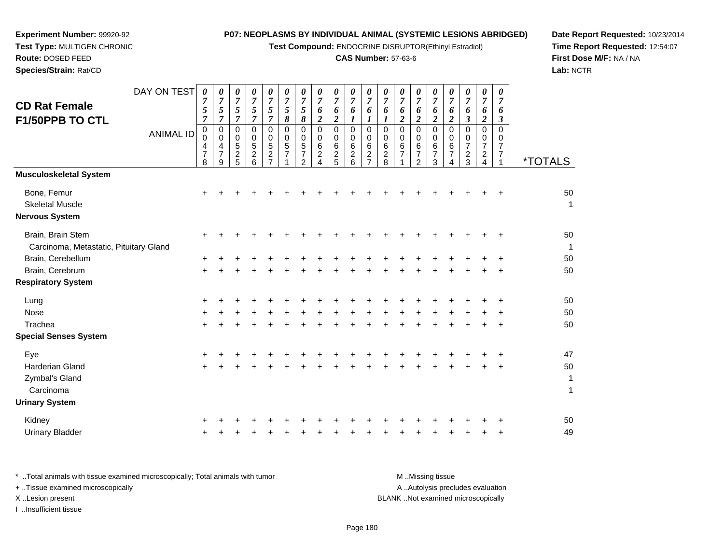**Test Compound:** ENDOCRINE DISRUPTOR(Ethinyl Estradiol)

# **CAS Number:** 57-63-6

**Date Report Requested:** 10/23/2014 **Time Report Requested:** 12:54:07**First Dose M/F:** NA / NA**Lab:** NCTR

**Experiment Number:** 99920-92**Test Type:** MULTIGEN CHRONIC

| DAY ON TEST<br><b>CD Rat Female</b>                            | 0<br>$\overline{7}$   | 0<br>$\overline{7}$              | 0<br>$\boldsymbol{7}$                         | $\pmb{\theta}$<br>$\overline{7}$                             | 0<br>$\overline{7}$                                 | 0<br>$\overline{7}$                | 0<br>$\overline{7}$                                              | 0<br>$\overline{7}$                          | 0<br>$\overline{7}$                                          | 0<br>$\overline{7}$                                           | 0<br>$\boldsymbol{7}$                             | 0<br>$\overline{7}$                     | 0<br>$\overline{7}$        | 0<br>$\overline{7}$                                                 | 0<br>$\boldsymbol{7}$                     | 0<br>$\overline{7}$     | 0<br>$\boldsymbol{7}$                  | $\boldsymbol{\theta}$<br>$\overline{7}$                                   | 0<br>$\overline{7}$                                         |                       |
|----------------------------------------------------------------|-----------------------|----------------------------------|-----------------------------------------------|--------------------------------------------------------------|-----------------------------------------------------|------------------------------------|------------------------------------------------------------------|----------------------------------------------|--------------------------------------------------------------|---------------------------------------------------------------|---------------------------------------------------|-----------------------------------------|----------------------------|---------------------------------------------------------------------|-------------------------------------------|-------------------------|----------------------------------------|---------------------------------------------------------------------------|-------------------------------------------------------------|-----------------------|
|                                                                | 5<br>$\overline{7}$   | 5<br>$\overline{7}$              | $\sqrt{5}$<br>$\overline{7}$                  | $\sqrt{5}$<br>$\overline{7}$                                 | 5<br>$\overline{7}$                                 | $\sqrt{5}$<br>$\pmb{8}$            | 5<br>8                                                           | 6<br>$\boldsymbol{2}$                        | 6<br>$\overline{\mathbf{c}}$                                 | 6<br>$\boldsymbol{l}$                                         | 6<br>$\boldsymbol{l}$                             | 6<br>$\mathbf{I}$                       | 6<br>$\boldsymbol{2}$      | 6<br>$\boldsymbol{2}$                                               | 6<br>$\boldsymbol{2}$                     | 6<br>$\boldsymbol{2}$   | 6<br>$\mathfrak{z}$                    | 6<br>$\boldsymbol{2}$                                                     | 6<br>$\boldsymbol{\beta}$                                   |                       |
| F1/50PPB TO CTL<br><b>ANIMAL ID</b>                            | 0<br>0<br>4<br>7<br>8 | 0<br>$\mathsf{O}$<br>4<br>7<br>9 | 0<br>$\pmb{0}$<br>$\sqrt{5}$<br>$\frac{2}{5}$ | $\Omega$<br>$\mathbf 0$<br>$\sqrt{5}$<br>$\overline{c}$<br>6 | $\mathbf 0$<br>$\mathbf 0$<br>5<br>$\boldsymbol{2}$ | $\pmb{0}$<br>$\mathbf 0$<br>5<br>7 | $\Omega$<br>$\mathbf 0$<br>5<br>$\overline{7}$<br>$\overline{2}$ | 0<br>$\mathbf 0$<br>6<br>$\overline{2}$<br>4 | $\pmb{0}$<br>0<br>$\begin{array}{c} 6 \\ 2 \\ 5 \end{array}$ | $\pmb{0}$<br>$\mathbf 0$<br>6<br>$\overline{\mathbf{c}}$<br>6 | $\mathbf 0$<br>$\mathbf 0$<br>6<br>$\overline{c}$ | $\pmb{0}$<br>$\mathbf 0$<br>6<br>$^2_8$ | 0<br>$\mathbf 0$<br>6<br>7 | $\mathbf 0$<br>$\mathbf 0$<br>6<br>$\overline{7}$<br>$\overline{2}$ | $\Omega$<br>0<br>6<br>$\overline{7}$<br>3 | $\Omega$<br>0<br>6<br>7 | $\mathbf 0$<br>0<br>7<br>$\frac{2}{3}$ | $\Omega$<br>$\mathbf 0$<br>7<br>$\overline{\mathbf{c}}$<br>$\overline{4}$ | $\Omega$<br>$\mathbf 0$<br>$\overline{7}$<br>$\overline{7}$ | <i><b>*TOTALS</b></i> |
| <b>Musculoskeletal System</b>                                  |                       |                                  |                                               |                                                              |                                                     |                                    |                                                                  |                                              |                                                              |                                                               |                                                   |                                         |                            |                                                                     |                                           |                         |                                        |                                                                           |                                                             |                       |
| Bone, Femur<br><b>Skeletal Muscle</b><br><b>Nervous System</b> | $\ddot{}$             |                                  |                                               |                                                              |                                                     |                                    |                                                                  |                                              |                                                              |                                                               |                                                   |                                         |                            |                                                                     |                                           |                         |                                        |                                                                           | $\ddot{}$                                                   | 50<br>$\mathbf 1$     |
| Brain, Brain Stem<br>Carcinoma, Metastatic, Pituitary Gland    | $\ddot{}$             |                                  |                                               |                                                              |                                                     |                                    |                                                                  |                                              |                                                              |                                                               |                                                   |                                         |                            |                                                                     |                                           |                         |                                        |                                                                           | $\ddot{}$                                                   | 50<br>$\overline{1}$  |
| Brain, Cerebellum                                              |                       |                                  |                                               |                                                              |                                                     |                                    |                                                                  |                                              |                                                              |                                                               |                                                   |                                         |                            |                                                                     |                                           |                         |                                        |                                                                           |                                                             | 50                    |
| Brain, Cerebrum                                                |                       |                                  |                                               |                                                              |                                                     |                                    |                                                                  |                                              |                                                              |                                                               |                                                   |                                         |                            |                                                                     |                                           |                         |                                        |                                                                           |                                                             | 50                    |
| <b>Respiratory System</b>                                      |                       |                                  |                                               |                                                              |                                                     |                                    |                                                                  |                                              |                                                              |                                                               |                                                   |                                         |                            |                                                                     |                                           |                         |                                        |                                                                           |                                                             |                       |
| Lung                                                           | $\ddot{}$             |                                  |                                               |                                                              |                                                     |                                    |                                                                  |                                              |                                                              |                                                               |                                                   |                                         |                            |                                                                     |                                           |                         |                                        |                                                                           |                                                             | 50                    |
| Nose                                                           |                       |                                  |                                               |                                                              |                                                     |                                    |                                                                  |                                              |                                                              |                                                               |                                                   |                                         |                            |                                                                     |                                           |                         |                                        |                                                                           |                                                             | 50                    |
| Trachea                                                        | $\ddot{}$             |                                  |                                               |                                                              |                                                     |                                    |                                                                  |                                              |                                                              |                                                               |                                                   |                                         |                            |                                                                     |                                           |                         |                                        |                                                                           | $+$                                                         | 50                    |
| <b>Special Senses System</b>                                   |                       |                                  |                                               |                                                              |                                                     |                                    |                                                                  |                                              |                                                              |                                                               |                                                   |                                         |                            |                                                                     |                                           |                         |                                        |                                                                           |                                                             |                       |
| Eye                                                            |                       |                                  |                                               |                                                              |                                                     |                                    |                                                                  |                                              |                                                              |                                                               |                                                   |                                         |                            |                                                                     |                                           |                         |                                        |                                                                           |                                                             | 47                    |
| <b>Harderian Gland</b>                                         | $\ddot{}$             |                                  |                                               |                                                              |                                                     |                                    |                                                                  |                                              |                                                              |                                                               |                                                   |                                         |                            |                                                                     |                                           |                         |                                        |                                                                           | ٠                                                           | 50                    |
| Zymbal's Gland                                                 |                       |                                  |                                               |                                                              |                                                     |                                    |                                                                  |                                              |                                                              |                                                               |                                                   |                                         |                            |                                                                     |                                           |                         |                                        |                                                                           |                                                             | $\mathbf{1}$          |
| Carcinoma                                                      |                       |                                  |                                               |                                                              |                                                     |                                    |                                                                  |                                              |                                                              |                                                               |                                                   |                                         |                            |                                                                     |                                           |                         |                                        |                                                                           |                                                             | $\mathbf{1}$          |
| <b>Urinary System</b>                                          |                       |                                  |                                               |                                                              |                                                     |                                    |                                                                  |                                              |                                                              |                                                               |                                                   |                                         |                            |                                                                     |                                           |                         |                                        |                                                                           |                                                             |                       |
| Kidney                                                         |                       |                                  |                                               |                                                              |                                                     |                                    |                                                                  |                                              |                                                              |                                                               |                                                   |                                         |                            |                                                                     |                                           |                         |                                        |                                                                           |                                                             | 50                    |
| <b>Urinary Bladder</b>                                         |                       |                                  |                                               |                                                              |                                                     |                                    |                                                                  |                                              |                                                              |                                                               |                                                   |                                         |                            |                                                                     |                                           |                         |                                        |                                                                           |                                                             | 49                    |

| * Total animals with tissue examined microscopically; Total animals with tumor | M Missing tissue                   |
|--------------------------------------------------------------------------------|------------------------------------|
| + Tissue examined microscopically                                              | A Autolysis precludes evaluation   |
| X Lesion present                                                               | BLANK Not examined microscopically |
| …Insufficient tissue                                                           |                                    |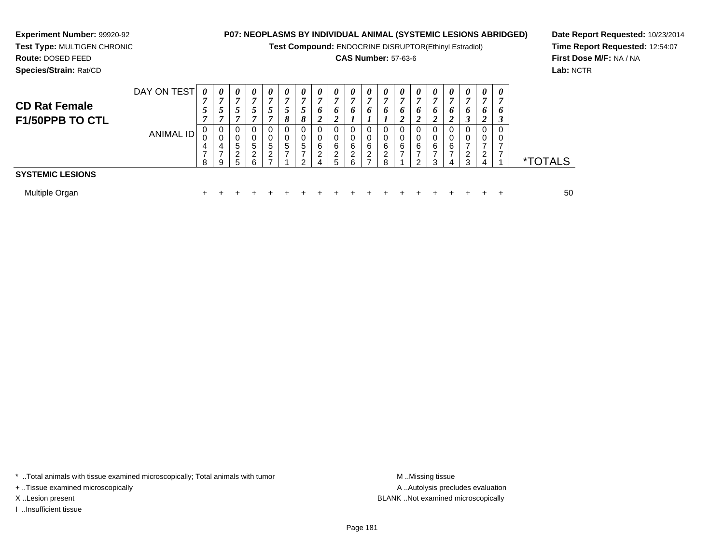**Test Compound:** ENDOCRINE DISRUPTOR(Ethinyl Estradiol)

## **CAS Number:** 57-63-6

**Date Report Requested:** 10/23/2014**Time Report Requested:** 12:54:07**First Dose M/F:** NA / NA**Lab:** NCTR

**Species/Strain:** Rat/CD

**Experiment Number:** 99920-92

| <b>CD Rat Female</b><br>F1/50PPB TO CTL | DAY ON TEST<br>ANIMAL ID | 0<br>$\overline{ }$<br>0<br>0<br>4<br>8 | 0<br>σ<br>C<br>0<br>0<br>4<br>9 | $\theta$<br>7<br>$\mathbf{0}$<br>0<br>5<br>റ<br>5. | $\boldsymbol{\theta}$<br>$\overline{ }$<br>J<br>0<br>0<br>5<br>ົ<br>6 | $\boldsymbol{\theta}$<br>7<br>C<br>$\mathbf 0$<br>5<br>ົ | $\boldsymbol{\theta}$<br>7<br>$\Omega$<br>$\Omega$<br>0<br>5 | 0<br>↗<br>C<br>8<br>0<br>0<br>5<br>ົ | 0<br>₹<br>6<br>∠<br>6<br>ົ<br>4 | 0<br>7<br>6<br>6<br>ົ<br>5 | 0<br><sup>o</sup><br>6<br>ົ | 0<br>7<br>6<br>$\Omega$<br>0<br>6<br>2 | 0<br>$\overline{ }$<br>6<br>0<br>0<br>6<br>$\overline{2}$<br>8 | 0<br>⇁<br>6<br>6 | $\boldsymbol{\theta}$<br>7<br>o<br>6<br>◠ | 0<br>7<br>o<br>6<br>ર | $\boldsymbol{\theta}$<br>7<br>o<br>0<br>0<br>6<br>4 | 0<br>r,<br>6<br>0<br>0<br>ົ<br>3 | 0<br>o<br>ົ<br>4 | 0<br>,<br>6<br>$\rightarrow$<br>J<br>0<br>0<br>⇁ | <i><b>*TOTALS</b></i> |
|-----------------------------------------|--------------------------|-----------------------------------------|---------------------------------|----------------------------------------------------|-----------------------------------------------------------------------|----------------------------------------------------------|--------------------------------------------------------------|--------------------------------------|---------------------------------|----------------------------|-----------------------------|----------------------------------------|----------------------------------------------------------------|------------------|-------------------------------------------|-----------------------|-----------------------------------------------------|----------------------------------|------------------|--------------------------------------------------|-----------------------|
| <b>SYSTEMIC LESIONS</b>                 |                          |                                         |                                 |                                                    |                                                                       |                                                          |                                                              |                                      |                                 |                            |                             |                                        |                                                                |                  |                                           |                       |                                                     |                                  |                  |                                                  |                       |
| Multiple Organ                          |                          |                                         |                                 |                                                    |                                                                       |                                                          |                                                              |                                      |                                 |                            |                             |                                        |                                                                |                  |                                           |                       |                                                     |                                  |                  |                                                  | 50                    |

\* ..Total animals with tissue examined microscopically; Total animals with tumor **M** . Missing tissue M ..Missing tissue

+ ..Tissue examined microscopically

I ..Insufficient tissue

A ..Autolysis precludes evaluation X ..Lesion present BLANK ..Not examined microscopically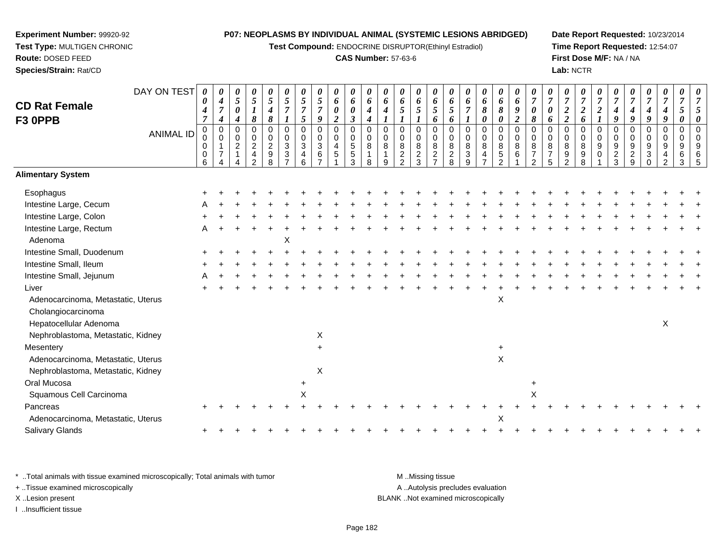**Test Compound:** ENDOCRINE DISRUPTOR(Ethinyl Estradiol)

## **CAS Number:** 57-63-6

**Date Report Requested:** 10/23/2014**Time Report Requested:** 12:54:07**First Dose M/F:** NA / NA**Lab:** NCTR

| <b>CD Rat Female</b><br>F3 OPPB    | DAY ON TEST      | 0<br>0<br>4<br>$\overline{7}$ | 0<br>4<br>$\boldsymbol{7}$<br>$\boldsymbol{4}$              | 0<br>5<br>$\pmb{\theta}$<br>$\boldsymbol{4}$       | 0<br>$\sqrt{5}$<br>$\boldsymbol{l}$<br>$\pmb{8}$                      | $\theta$<br>$\overline{5}$<br>$\boldsymbol{4}$<br>8      | 0<br>$\sqrt{5}$<br>$\overline{7}$<br>$\boldsymbol{l}$ | 5<br>$\overline{7}$<br>5              | 0<br>$\mathfrak{z}$<br>$\overline{7}$<br>9 | 0<br>6<br>0<br>$\boldsymbol{2}$               | 0<br>6<br>$\boldsymbol{\theta}$<br>$\mathfrak{z}$           | 0<br>6<br>$\boldsymbol{4}$<br>$\boldsymbol{4}$      | 0<br>6<br>4             | $\boldsymbol{\theta}$<br>6<br>5                                | 0<br>6<br>5                  | 0<br>6<br>$\overline{5}$<br>6                        | 0<br>6<br>$5\overline{)}$<br>6         | 0<br>6<br>$\boldsymbol{7}$<br>$\boldsymbol{l}$                 | 0<br>6<br>8<br>$\pmb{\theta}$ | 0<br>6<br>8<br>0                                 | 0<br>6<br>$\pmb{9}$<br>$\overline{\mathbf{c}}$ | 0<br>$\overline{7}$<br>$\boldsymbol{\theta}$<br>8                  | $\overline{7}$<br>0<br>6                       | 0<br>$\boldsymbol{2}$<br>$\overline{2}$                  | 0<br>$\overline{7}$<br>$\boldsymbol{2}$<br>6 | $\overline{7}$<br>$\boldsymbol{2}$<br>$\boldsymbol{l}$ | $\overline{7}$<br>4<br>9     | 4<br>9                       | 0<br>4<br>$\boldsymbol{9}$                | 0<br>$\overline{7}$<br>$\boldsymbol{4}$<br>9     | $\overline{7}$<br>5<br>0                   |  |
|------------------------------------|------------------|-------------------------------|-------------------------------------------------------------|----------------------------------------------------|-----------------------------------------------------------------------|----------------------------------------------------------|-------------------------------------------------------|---------------------------------------|--------------------------------------------|-----------------------------------------------|-------------------------------------------------------------|-----------------------------------------------------|-------------------------|----------------------------------------------------------------|------------------------------|------------------------------------------------------|----------------------------------------|----------------------------------------------------------------|-------------------------------|--------------------------------------------------|------------------------------------------------|--------------------------------------------------------------------|------------------------------------------------|----------------------------------------------------------|----------------------------------------------|--------------------------------------------------------|------------------------------|------------------------------|-------------------------------------------|--------------------------------------------------|--------------------------------------------|--|
|                                    | <b>ANIMAL ID</b> | 0<br>0<br>0<br>0<br>6         | $\mathbf 0$<br>$\mathbf 0$<br>$\mathbf 1$<br>$\overline{7}$ | $\mathbf 0$<br>0<br>$\overline{c}$<br>$\mathbf{1}$ | $\mathbf 0$<br>0<br>$\overline{2}$<br>$\overline{4}$<br>$\mathcal{P}$ | $\mathbf 0$<br>$\mathbf 0$<br>$\boldsymbol{2}$<br>9<br>R | 0<br>$\mathbf 0$<br>$\mathbf{3}$<br>3                 | $\mathbf 0$<br>0<br>$\mathbf{3}$<br>4 | 0<br>$\boldsymbol{0}$<br>3<br>6            | $\mathbf 0$<br>$\mathbf 0$<br>4<br>$\sqrt{5}$ | $\mathbf 0$<br>$\pmb{0}$<br>$\overline{5}$<br>$\frac{5}{3}$ | $\mathbf 0$<br>$\mathbf 0$<br>8<br>$\mathbf 1$<br>8 | $\Omega$<br>$\mathbf 0$ | $\mathbf 0$<br>0<br>$\bf 8$<br>$\overline{c}$<br>$\mathcal{L}$ | 0<br>0<br>8<br>$\frac{2}{3}$ | $\mathbf 0$<br>$\pmb{0}$<br>$\bf 8$<br>$\frac{2}{7}$ | $\mathbf 0$<br>0<br>8<br>$\frac{2}{8}$ | $\mathbf 0$<br>0<br>8<br>$\ensuremath{\mathsf{3}}$<br>$\Omega$ | $\pmb{0}$<br>0<br>8<br>4      | $\mathbf 0$<br>$\mathbf 0$<br>8<br>$\frac{5}{2}$ | $\mathsf 0$<br>$\mathbf 0$<br>$\,8\,$<br>6     | $\mathbf 0$<br>$\mathbf 0$<br>8<br>$\overline{7}$<br>$\mathcal{D}$ | 0<br>$\mathbf 0$<br>8<br>$\boldsymbol{7}$<br>5 | $\mathbf 0$<br>$\mathbf 0$<br>8<br>$\boldsymbol{9}$<br>າ | 0<br>0<br>8<br>$9\,$<br>R                    | $\mathbf 0$<br>$\mathbf 0$<br>9<br>0                   | 0<br>0<br>9<br>$\frac{2}{3}$ | 0<br>0<br>9<br>$\frac{2}{9}$ | $\mathbf 0$<br>0<br>$\boldsymbol{9}$<br>3 | $\mathbf 0$<br>$\mathbf 0$<br>9<br>$\mathcal{P}$ | $\overline{0}$<br>$\overline{0}$<br>9<br>6 |  |
| <b>Alimentary System</b>           |                  |                               |                                                             |                                                    |                                                                       |                                                          |                                                       |                                       |                                            |                                               |                                                             |                                                     |                         |                                                                |                              |                                                      |                                        |                                                                |                               |                                                  |                                                |                                                                    |                                                |                                                          |                                              |                                                        |                              |                              |                                           |                                                  |                                            |  |
| Esophagus                          |                  |                               |                                                             |                                                    |                                                                       |                                                          |                                                       |                                       |                                            |                                               |                                                             |                                                     |                         |                                                                |                              |                                                      |                                        |                                                                |                               |                                                  |                                                |                                                                    |                                                |                                                          |                                              |                                                        |                              |                              |                                           |                                                  |                                            |  |
| Intestine Large, Cecum             |                  |                               |                                                             |                                                    |                                                                       |                                                          |                                                       |                                       |                                            |                                               |                                                             |                                                     |                         |                                                                |                              |                                                      |                                        |                                                                |                               |                                                  |                                                |                                                                    |                                                |                                                          |                                              |                                                        |                              |                              |                                           |                                                  |                                            |  |
| Intestine Large, Colon             |                  |                               |                                                             |                                                    |                                                                       |                                                          |                                                       |                                       |                                            |                                               |                                                             |                                                     |                         |                                                                |                              |                                                      |                                        |                                                                |                               |                                                  |                                                |                                                                    |                                                |                                                          |                                              |                                                        |                              |                              |                                           |                                                  |                                            |  |
| Intestine Large, Rectum            |                  |                               |                                                             |                                                    |                                                                       |                                                          |                                                       |                                       |                                            |                                               |                                                             |                                                     |                         |                                                                |                              |                                                      |                                        |                                                                |                               |                                                  |                                                |                                                                    |                                                |                                                          |                                              |                                                        |                              |                              |                                           |                                                  |                                            |  |
| Adenoma                            |                  |                               |                                                             |                                                    |                                                                       |                                                          | X                                                     |                                       |                                            |                                               |                                                             |                                                     |                         |                                                                |                              |                                                      |                                        |                                                                |                               |                                                  |                                                |                                                                    |                                                |                                                          |                                              |                                                        |                              |                              |                                           |                                                  |                                            |  |
| Intestine Small, Duodenum          |                  |                               |                                                             |                                                    |                                                                       |                                                          |                                                       |                                       |                                            |                                               |                                                             |                                                     |                         |                                                                |                              |                                                      |                                        |                                                                |                               |                                                  |                                                |                                                                    |                                                |                                                          |                                              |                                                        |                              |                              |                                           |                                                  |                                            |  |
| Intestine Small, Ileum             |                  |                               |                                                             |                                                    |                                                                       |                                                          |                                                       |                                       |                                            |                                               |                                                             |                                                     |                         |                                                                |                              |                                                      |                                        |                                                                |                               |                                                  |                                                |                                                                    |                                                |                                                          |                                              |                                                        |                              |                              |                                           |                                                  |                                            |  |
| Intestine Small, Jejunum           |                  |                               |                                                             |                                                    |                                                                       |                                                          |                                                       |                                       |                                            |                                               |                                                             |                                                     |                         |                                                                |                              |                                                      |                                        |                                                                |                               |                                                  |                                                |                                                                    |                                                |                                                          |                                              |                                                        |                              |                              |                                           |                                                  |                                            |  |
| Liver                              |                  |                               |                                                             |                                                    |                                                                       |                                                          |                                                       |                                       |                                            |                                               |                                                             |                                                     |                         |                                                                |                              |                                                      |                                        |                                                                |                               |                                                  |                                                |                                                                    |                                                |                                                          |                                              |                                                        |                              |                              |                                           |                                                  |                                            |  |
| Adenocarcinoma, Metastatic, Uterus |                  |                               |                                                             |                                                    |                                                                       |                                                          |                                                       |                                       |                                            |                                               |                                                             |                                                     |                         |                                                                |                              |                                                      |                                        |                                                                |                               | X                                                |                                                |                                                                    |                                                |                                                          |                                              |                                                        |                              |                              |                                           |                                                  |                                            |  |
| Cholangiocarcinoma                 |                  |                               |                                                             |                                                    |                                                                       |                                                          |                                                       |                                       |                                            |                                               |                                                             |                                                     |                         |                                                                |                              |                                                      |                                        |                                                                |                               |                                                  |                                                |                                                                    |                                                |                                                          |                                              |                                                        |                              |                              |                                           |                                                  |                                            |  |
| Hepatocellular Adenoma             |                  |                               |                                                             |                                                    |                                                                       |                                                          |                                                       |                                       |                                            |                                               |                                                             |                                                     |                         |                                                                |                              |                                                      |                                        |                                                                |                               |                                                  |                                                |                                                                    |                                                |                                                          |                                              |                                                        |                              |                              |                                           | X                                                |                                            |  |
| Nephroblastoma, Metastatic, Kidney |                  |                               |                                                             |                                                    |                                                                       |                                                          |                                                       |                                       | X                                          |                                               |                                                             |                                                     |                         |                                                                |                              |                                                      |                                        |                                                                |                               |                                                  |                                                |                                                                    |                                                |                                                          |                                              |                                                        |                              |                              |                                           |                                                  |                                            |  |
| Mesentery                          |                  |                               |                                                             |                                                    |                                                                       |                                                          |                                                       |                                       | $\ddot{}$                                  |                                               |                                                             |                                                     |                         |                                                                |                              |                                                      |                                        |                                                                |                               | $\ddot{}$                                        |                                                |                                                                    |                                                |                                                          |                                              |                                                        |                              |                              |                                           |                                                  |                                            |  |
| Adenocarcinoma, Metastatic, Uterus |                  |                               |                                                             |                                                    |                                                                       |                                                          |                                                       |                                       |                                            |                                               |                                                             |                                                     |                         |                                                                |                              |                                                      |                                        |                                                                |                               | $\pmb{\times}$                                   |                                                |                                                                    |                                                |                                                          |                                              |                                                        |                              |                              |                                           |                                                  |                                            |  |
| Nephroblastoma, Metastatic, Kidney |                  |                               |                                                             |                                                    |                                                                       |                                                          |                                                       |                                       | X                                          |                                               |                                                             |                                                     |                         |                                                                |                              |                                                      |                                        |                                                                |                               |                                                  |                                                |                                                                    |                                                |                                                          |                                              |                                                        |                              |                              |                                           |                                                  |                                            |  |
| Oral Mucosa                        |                  |                               |                                                             |                                                    |                                                                       |                                                          |                                                       |                                       |                                            |                                               |                                                             |                                                     |                         |                                                                |                              |                                                      |                                        |                                                                |                               |                                                  |                                                | $\ddot{}$                                                          |                                                |                                                          |                                              |                                                        |                              |                              |                                           |                                                  |                                            |  |
| Squamous Cell Carcinoma            |                  |                               |                                                             |                                                    |                                                                       |                                                          |                                                       | X                                     |                                            |                                               |                                                             |                                                     |                         |                                                                |                              |                                                      |                                        |                                                                |                               |                                                  |                                                | X                                                                  |                                                |                                                          |                                              |                                                        |                              |                              |                                           |                                                  |                                            |  |
| Pancreas                           |                  |                               |                                                             |                                                    |                                                                       |                                                          |                                                       |                                       |                                            |                                               |                                                             |                                                     |                         |                                                                |                              |                                                      |                                        |                                                                |                               |                                                  |                                                |                                                                    |                                                |                                                          |                                              |                                                        |                              |                              |                                           |                                                  |                                            |  |
| Adenocarcinoma, Metastatic, Uterus |                  |                               |                                                             |                                                    |                                                                       |                                                          |                                                       |                                       |                                            |                                               |                                                             |                                                     |                         |                                                                |                              |                                                      |                                        |                                                                |                               | X                                                |                                                |                                                                    |                                                |                                                          |                                              |                                                        |                              |                              |                                           |                                                  |                                            |  |
| Salivary Glands                    |                  |                               |                                                             |                                                    |                                                                       |                                                          |                                                       |                                       |                                            |                                               |                                                             |                                                     |                         |                                                                |                              |                                                      |                                        |                                                                |                               |                                                  |                                                |                                                                    |                                                |                                                          |                                              |                                                        |                              |                              |                                           |                                                  |                                            |  |
|                                    |                  |                               |                                                             |                                                    |                                                                       |                                                          |                                                       |                                       |                                            |                                               |                                                             |                                                     |                         |                                                                |                              |                                                      |                                        |                                                                |                               |                                                  |                                                |                                                                    |                                                |                                                          |                                              |                                                        |                              |                              |                                           |                                                  |                                            |  |

\* ..Total animals with tissue examined microscopically; Total animals with tumor **M** . Missing tissue M ..Missing tissue + ..Tissue examined microscopically X ..Lesion present BLANK ..Not examined microscopically

I ..Insufficient tissue

**Experiment Number:** 99920-92**Test Type:** MULTIGEN CHRONIC

**Route:** DOSED FEED**Species/Strain:** Rat/CD

A ..Autolysis precludes evaluation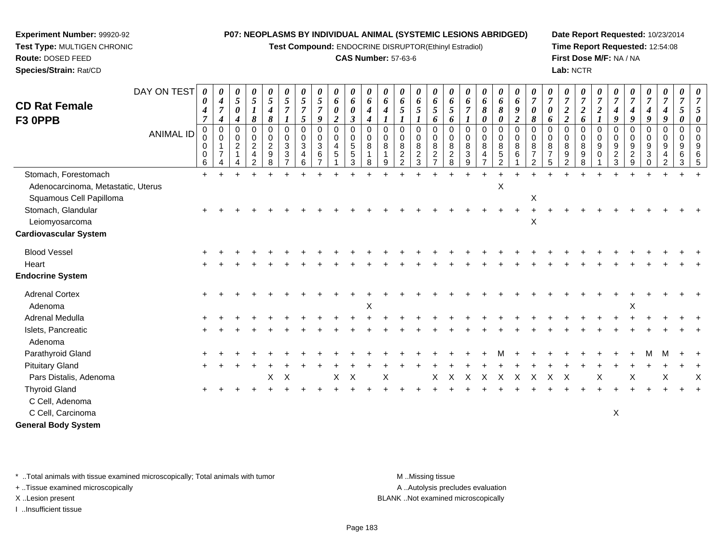**Test Compound:** ENDOCRINE DISRUPTOR(Ethinyl Estradiol)

## **CAS Number:** 57-63-6

**Date Report Requested:** 10/23/2014**Time Report Requested:** 12:54:08**First Dose M/F:** NA / NA**Lab:** NCTR

| <b>CD Rat Female</b><br>F3 OPPB                               | DAY ON TEST      | 0<br>0<br>$\boldsymbol{4}$<br>$\overline{7}$<br>0 | 0<br>$\boldsymbol{4}$<br>7<br>4<br>0 | 0<br>5<br>$\boldsymbol{\theta}$<br>4<br>0 | $\pmb{\theta}$<br>$\mathfrak{s}$<br>$\boldsymbol{l}$<br>8<br>0 | 0<br>5<br>4<br>8<br>0           | 0<br>5<br>$\overline{7}$<br>$\mathbf 0$  | 0<br>5<br>5<br>0        | 0<br>$\mathfrak{s}$<br>7<br>9<br>$\mathbf 0$       | 0<br>6<br>0<br>$\overline{c}$<br>0 | 0<br>6<br>0<br>$\boldsymbol{\mathfrak{z}}$<br>$\mathbf 0$ | 0<br>6<br>4<br>4<br>0      | 0<br>6<br>$\boldsymbol{4}$<br>0       | 0<br>6<br>5<br>$\mathbf 0$        | 0<br>6<br>5<br>0                  | $\boldsymbol{\theta}$<br>6<br>$\mathfrak{s}$<br>6<br>$\mathbf 0$ | 0<br>6<br>5<br>6<br>$\Omega$         | 0<br>6<br>0                                     | 0<br>6<br>8<br>0<br>0              | $\boldsymbol{\theta}$<br>6<br>8<br>0<br>$\mathbf 0$ | $\pmb{\theta}$<br>6<br>9<br>$\overline{2}$<br>$\mathbf 0$ | 0<br>$\overline{7}$<br>0<br>8<br>0                | 0<br>$\overline{7}$<br>0<br>6<br>0   | 0<br>$\overline{\tau}$<br>$\boldsymbol{2}$<br>$\overline{2}$<br>$\Omega$ | 0<br>7<br>$\boldsymbol{2}$<br>6<br>0 | 0<br>$\overline{7}$<br>$\boldsymbol{2}$<br>$\boldsymbol{l}$<br>$\mathbf 0$ | 0<br>$\overline{7}$<br>$\boldsymbol{4}$<br>9<br>$\mathbf 0$ | 7<br>4<br>9                          | 0<br>$\overline{7}$<br>4<br>9<br>0 | 0<br>$\overline{7}$<br>4<br>9<br>0 | 0<br>$\overline{7}$<br>5<br>0<br>$\mathbf 0$ |  |
|---------------------------------------------------------------|------------------|---------------------------------------------------|--------------------------------------|-------------------------------------------|----------------------------------------------------------------|---------------------------------|------------------------------------------|-------------------------|----------------------------------------------------|------------------------------------|-----------------------------------------------------------|----------------------------|---------------------------------------|-----------------------------------|-----------------------------------|------------------------------------------------------------------|--------------------------------------|-------------------------------------------------|------------------------------------|-----------------------------------------------------|-----------------------------------------------------------|---------------------------------------------------|--------------------------------------|--------------------------------------------------------------------------|--------------------------------------|----------------------------------------------------------------------------|-------------------------------------------------------------|--------------------------------------|------------------------------------|------------------------------------|----------------------------------------------|--|
|                                                               | <b>ANIMAL ID</b> | 0<br>0<br>$\pmb{0}$<br>6                          | $\Omega$<br>$\overline{ }$<br>4      | $\Omega$<br>$\overline{2}$                | 0<br>$\overline{c}$<br>$\overline{4}$<br>$\overline{2}$        | 0<br>$\boldsymbol{2}$<br>9<br>8 | 0<br>3<br>$\mathbf{3}$<br>$\overline{7}$ | $\Omega$<br>3<br>4<br>6 | $\mathbf 0$<br>$\mathbf{3}$<br>6<br>$\overline{ }$ | $\mathbf 0$<br>4<br>5              | $\mathbf 0$<br>5<br>$\,$ 5 $\,$<br>3                      | $\mathbf 0$<br>8<br>1<br>8 | $\mathbf 0$<br>8<br>$\mathbf{1}$<br>9 | $\mathbf 0$<br>8<br>$\frac{2}{2}$ | $\mathbf 0$<br>8<br>$\frac{2}{3}$ | $\mathbf 0$<br>8<br>$\overline{2}$<br>$\overline{7}$             | $\Omega$<br>8<br>$\overline{c}$<br>8 | $\Omega$<br>8<br>$\ensuremath{\mathsf{3}}$<br>9 | $\mathbf 0$<br>8<br>$\overline{4}$ | $\mathbf 0$<br>8<br>$\sqrt{5}$<br>$\overline{2}$    | $\mathbf 0$<br>$\bf8$<br>6<br>1                           | $\Omega$<br>8<br>$\overline{7}$<br>$\overline{c}$ | $\Omega$<br>8<br>$\overline{7}$<br>5 | 0<br>8<br>9<br>2                                                         | 0<br>8<br>9<br>8                     | $\mathbf 0$<br>9<br>$\Omega$                                               | $\mathbf 0$<br>9<br>$\overline{c}$<br>3                     | $\Omega$<br>9<br>$\overline{c}$<br>9 | $\mathbf 0$<br>9<br>3<br>$\Omega$  | 0<br>9<br>2                        | $\Omega$<br>9<br>6<br>3                      |  |
| Stomach, Forestomach                                          |                  | $+$                                               |                                      |                                           |                                                                |                                 |                                          |                         |                                                    |                                    |                                                           |                            |                                       |                                   |                                   |                                                                  |                                      |                                                 |                                    |                                                     |                                                           |                                                   |                                      |                                                                          |                                      |                                                                            |                                                             |                                      |                                    |                                    |                                              |  |
| Adenocarcinoma, Metastatic, Uterus<br>Squamous Cell Papilloma |                  |                                                   |                                      |                                           |                                                                |                                 |                                          |                         |                                                    |                                    |                                                           |                            |                                       |                                   |                                   |                                                                  |                                      |                                                 |                                    | $\mathsf X$                                         |                                                           | X                                                 |                                      |                                                                          |                                      |                                                                            |                                                             |                                      |                                    |                                    |                                              |  |
| Stomach, Glandular                                            |                  |                                                   |                                      |                                           |                                                                |                                 |                                          |                         |                                                    |                                    |                                                           |                            |                                       |                                   |                                   |                                                                  |                                      |                                                 |                                    |                                                     |                                                           |                                                   |                                      |                                                                          |                                      |                                                                            |                                                             |                                      |                                    |                                    |                                              |  |
| Leiomyosarcoma                                                |                  |                                                   |                                      |                                           |                                                                |                                 |                                          |                         |                                                    |                                    |                                                           |                            |                                       |                                   |                                   |                                                                  |                                      |                                                 |                                    |                                                     |                                                           | X                                                 |                                      |                                                                          |                                      |                                                                            |                                                             |                                      |                                    |                                    |                                              |  |
| <b>Cardiovascular System</b>                                  |                  |                                                   |                                      |                                           |                                                                |                                 |                                          |                         |                                                    |                                    |                                                           |                            |                                       |                                   |                                   |                                                                  |                                      |                                                 |                                    |                                                     |                                                           |                                                   |                                      |                                                                          |                                      |                                                                            |                                                             |                                      |                                    |                                    |                                              |  |
| <b>Blood Vessel</b>                                           |                  |                                                   |                                      |                                           |                                                                |                                 |                                          |                         |                                                    |                                    |                                                           |                            |                                       |                                   |                                   |                                                                  |                                      |                                                 |                                    |                                                     |                                                           |                                                   |                                      |                                                                          |                                      |                                                                            |                                                             |                                      |                                    |                                    |                                              |  |
| Heart                                                         |                  |                                                   |                                      |                                           |                                                                |                                 |                                          |                         |                                                    |                                    |                                                           |                            |                                       |                                   |                                   |                                                                  |                                      |                                                 |                                    |                                                     |                                                           |                                                   |                                      |                                                                          |                                      |                                                                            |                                                             |                                      |                                    |                                    |                                              |  |
| <b>Endocrine System</b>                                       |                  |                                                   |                                      |                                           |                                                                |                                 |                                          |                         |                                                    |                                    |                                                           |                            |                                       |                                   |                                   |                                                                  |                                      |                                                 |                                    |                                                     |                                                           |                                                   |                                      |                                                                          |                                      |                                                                            |                                                             |                                      |                                    |                                    |                                              |  |
| <b>Adrenal Cortex</b><br>Adenoma                              |                  |                                                   |                                      |                                           |                                                                |                                 |                                          |                         |                                                    |                                    |                                                           | X                          |                                       |                                   |                                   |                                                                  |                                      |                                                 |                                    |                                                     |                                                           |                                                   |                                      |                                                                          |                                      |                                                                            |                                                             | X                                    |                                    |                                    |                                              |  |
| Adrenal Medulla                                               |                  |                                                   |                                      |                                           |                                                                |                                 |                                          |                         |                                                    |                                    |                                                           |                            |                                       |                                   |                                   |                                                                  |                                      |                                                 |                                    |                                                     |                                                           |                                                   |                                      |                                                                          |                                      |                                                                            |                                                             |                                      |                                    |                                    |                                              |  |
| Islets, Pancreatic<br>Adenoma                                 |                  |                                                   |                                      |                                           |                                                                |                                 |                                          |                         |                                                    |                                    |                                                           |                            |                                       |                                   |                                   |                                                                  |                                      |                                                 |                                    |                                                     |                                                           |                                                   |                                      |                                                                          |                                      |                                                                            |                                                             |                                      |                                    |                                    |                                              |  |
| Parathyroid Gland                                             |                  |                                                   |                                      |                                           |                                                                |                                 |                                          |                         |                                                    |                                    |                                                           |                            |                                       |                                   |                                   |                                                                  |                                      |                                                 |                                    |                                                     |                                                           |                                                   |                                      |                                                                          |                                      |                                                                            |                                                             |                                      |                                    |                                    |                                              |  |
| <b>Pituitary Gland</b>                                        |                  |                                                   |                                      |                                           |                                                                |                                 |                                          |                         |                                                    |                                    |                                                           |                            |                                       |                                   |                                   |                                                                  |                                      |                                                 |                                    |                                                     |                                                           |                                                   |                                      |                                                                          |                                      |                                                                            |                                                             |                                      |                                    |                                    |                                              |  |
| Pars Distalis, Adenoma                                        |                  |                                                   |                                      |                                           |                                                                | X                               | $\boldsymbol{\mathsf{X}}$                |                         |                                                    | X                                  | X                                                         |                            | X                                     |                                   |                                   | X                                                                | $\sf X$                              | X                                               | $\times$                           | $\boldsymbol{X}$                                    | $\times$                                                  | X                                                 | X                                    | X                                                                        |                                      | Χ                                                                          |                                                             | х                                    |                                    | Χ                                  |                                              |  |
| <b>Thyroid Gland</b>                                          |                  |                                                   |                                      |                                           |                                                                |                                 |                                          |                         |                                                    |                                    |                                                           |                            |                                       |                                   |                                   |                                                                  |                                      |                                                 |                                    |                                                     |                                                           |                                                   |                                      |                                                                          |                                      |                                                                            |                                                             |                                      |                                    |                                    |                                              |  |
| C Cell, Adenoma                                               |                  |                                                   |                                      |                                           |                                                                |                                 |                                          |                         |                                                    |                                    |                                                           |                            |                                       |                                   |                                   |                                                                  |                                      |                                                 |                                    |                                                     |                                                           |                                                   |                                      |                                                                          |                                      |                                                                            |                                                             |                                      |                                    |                                    |                                              |  |
| C Cell, Carcinoma                                             |                  |                                                   |                                      |                                           |                                                                |                                 |                                          |                         |                                                    |                                    |                                                           |                            |                                       |                                   |                                   |                                                                  |                                      |                                                 |                                    |                                                     |                                                           |                                                   |                                      |                                                                          |                                      |                                                                            | X                                                           |                                      |                                    |                                    |                                              |  |
| <b>General Body System</b>                                    |                  |                                                   |                                      |                                           |                                                                |                                 |                                          |                         |                                                    |                                    |                                                           |                            |                                       |                                   |                                   |                                                                  |                                      |                                                 |                                    |                                                     |                                                           |                                                   |                                      |                                                                          |                                      |                                                                            |                                                             |                                      |                                    |                                    |                                              |  |

\* ..Total animals with tissue examined microscopically; Total animals with tumor **M** . Missing tissue M ..Missing tissue

+ ..Tissue examined microscopically

**Experiment Number:** 99920-92**Test Type:** MULTIGEN CHRONIC

**Route:** DOSED FEED**Species/Strain:** Rat/CD

I ..Insufficient tissue

A ..Autolysis precludes evaluation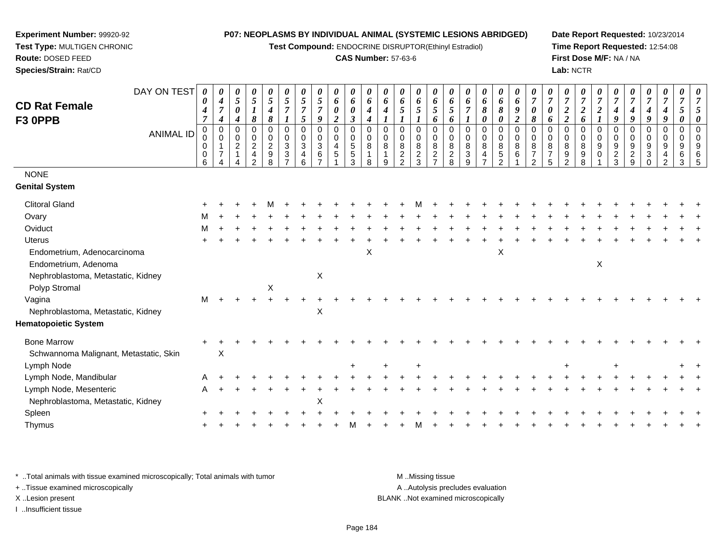**Test Compound:** ENDOCRINE DISRUPTOR(Ethinyl Estradiol)

## **CAS Number:** 57-63-6

**Date Report Requested:** 10/23/2014**Time Report Requested:** 12:54:08**First Dose M/F:** NA / NA**Lab:** NCTR

| DAY ON TEST<br><b>CD Rat Female</b><br>F3 OPPB<br><b>ANIMAL ID</b><br><b>NONE</b><br><b>Genital System</b> | 0<br>0<br>4<br>$\overline{7}$<br>0<br>0<br>0<br>0<br>6 | 0<br>4<br>$\overline{7}$<br>$\boldsymbol{4}$<br>$\pmb{0}$<br>$\mathbf 0$<br>1<br>$\overline{7}$ | 0<br>5<br>$\boldsymbol{\theta}$<br>4<br>0<br>0<br>$\overline{c}$<br>$\mathbf{1}$ | 0<br>$\mathfrak{s}$<br>$\boldsymbol{l}$<br>8<br>$\mathbf 0$<br>$\mathbf 0$<br>$\overline{2}$<br>4<br>$\mathcal{P}$ | 0<br>$\mathfrak{H}$<br>$\boldsymbol{4}$<br>8<br>0<br>$\mathbf 0$<br>$\boldsymbol{2}$<br>9<br>8 | $\mathfrak{s}$<br>$\overline{7}$<br>1<br>$\mathbf 0$<br>0<br>$\mathbf{3}$<br>3 | 0<br>$\mathfrak{s}$<br>$\overline{7}$<br>5<br>$\pmb{0}$<br>$\mathbf 0$<br>$\sqrt{3}$<br>4<br>6 | 0<br>$\sqrt{5}$<br>$\overline{7}$<br>9<br>$\pmb{0}$<br>$\mathbf 0$<br>$\sqrt{3}$<br>6<br>$\overline{ }$ | 0<br>6<br>$\pmb{\theta}$<br>$\boldsymbol{2}$<br>$\pmb{0}$<br>$\mathbf 0$<br>$\overline{4}$<br>$\sqrt{5}$ | 0<br>6<br>0<br>$\boldsymbol{\beta}$<br>0<br>0<br>5<br>5<br>3 | 0<br>6<br>$\boldsymbol{4}$<br>4<br>$\Omega$<br>0<br>8 | 0<br>6<br>4<br>$\mathbf 0$<br>0<br>8<br>9 | 0<br>6<br>5<br>0<br>0<br>8<br>$\overline{a}$<br>$\overline{2}$ | 0<br>6<br>5<br>$\boldsymbol{l}$<br>$\pmb{0}$<br>$\mathbf 0$<br>8<br>$\frac{2}{3}$ | 0<br>6<br>5<br>6<br>$\mathbf 0$<br>$\mathbf 0$<br>8<br>$\overline{2}$<br>$\overline{ }$ | 0<br>6<br>5<br>6<br>$\mathbf 0$<br>$\mathbf 0$<br>8<br>$\overline{c}$<br>8 | $\boldsymbol{\theta}$<br>6<br>$\overline{7}$<br>$\mathsf 0$<br>$\mathbf 0$<br>8<br>3<br>9 | 0<br>6<br>8<br>0<br>0<br>$\mathbf 0$<br>8<br>4 | 0<br>6<br>8<br>$\boldsymbol{\theta}$<br>$\pmb{0}$<br>$\mathbf 0$<br>$\bf 8$<br>$\sqrt{5}$<br>$\mathfrak{p}$ | 0<br>6<br>$\boldsymbol{9}$<br>$\boldsymbol{2}$<br>$\mathbf 0$<br>$\mathbf 0$<br>8<br>6 | $\overline{7}$<br>0<br>8<br>$\mathbf 0$<br>$\mathbf 0$<br>8<br>$\overline{7}$<br>ົ | 0<br>$\overline{7}$<br>0<br>6<br>$\Omega$<br>0<br>8<br>$\overline{7}$<br>5 | 0<br>$\overline{7}$<br>$\boldsymbol{2}$<br>$\boldsymbol{2}$<br>$\pmb{0}$<br>$\mathbf 0$<br>8<br>9<br>$\overline{2}$ | 0<br>$\overline{7}$<br>$\boldsymbol{2}$<br>6<br>$\mathbf 0$<br>$\mathbf 0$<br>$\bf 8$<br>9<br>8 | 0<br>$\overline{7}$<br>$\boldsymbol{2}$<br>$\boldsymbol{l}$<br>$\mathbf 0$<br>$\mathbf 0$<br>9<br>0 | $\overline{7}$<br>$\boldsymbol{4}$<br>9<br>$\mathbf 0$<br>$\mathbf 0$<br>$9\,$<br>$\overline{c}$<br>3 | 0<br>$\overline{7}$<br>4<br>9<br>0<br>0<br>9<br>$\overline{c}$<br>9 | 0<br>$\boldsymbol{7}$<br>$\boldsymbol{4}$<br>9<br>0<br>0<br>$9\,$<br>3<br>$\Omega$ | 0<br>$\overline{7}$<br>$\boldsymbol{4}$<br>9<br>$\mathbf 0$<br>$\mathbf 0$<br>9<br>4<br>$\overline{2}$ | 5<br>$\theta$<br>$\mathbf 0$<br>0<br>9<br>6<br>3 | 5<br>0<br>$\Omega$<br>$\Omega$<br>9<br>-5 |
|------------------------------------------------------------------------------------------------------------|--------------------------------------------------------|-------------------------------------------------------------------------------------------------|----------------------------------------------------------------------------------|--------------------------------------------------------------------------------------------------------------------|------------------------------------------------------------------------------------------------|--------------------------------------------------------------------------------|------------------------------------------------------------------------------------------------|---------------------------------------------------------------------------------------------------------|----------------------------------------------------------------------------------------------------------|--------------------------------------------------------------|-------------------------------------------------------|-------------------------------------------|----------------------------------------------------------------|-----------------------------------------------------------------------------------|-----------------------------------------------------------------------------------------|----------------------------------------------------------------------------|-------------------------------------------------------------------------------------------|------------------------------------------------|-------------------------------------------------------------------------------------------------------------|----------------------------------------------------------------------------------------|------------------------------------------------------------------------------------|----------------------------------------------------------------------------|---------------------------------------------------------------------------------------------------------------------|-------------------------------------------------------------------------------------------------|-----------------------------------------------------------------------------------------------------|-------------------------------------------------------------------------------------------------------|---------------------------------------------------------------------|------------------------------------------------------------------------------------|--------------------------------------------------------------------------------------------------------|--------------------------------------------------|-------------------------------------------|
|                                                                                                            |                                                        |                                                                                                 |                                                                                  |                                                                                                                    |                                                                                                |                                                                                |                                                                                                |                                                                                                         |                                                                                                          |                                                              |                                                       |                                           |                                                                |                                                                                   |                                                                                         |                                                                            |                                                                                           |                                                |                                                                                                             |                                                                                        |                                                                                    |                                                                            |                                                                                                                     |                                                                                                 |                                                                                                     |                                                                                                       |                                                                     |                                                                                    |                                                                                                        |                                                  |                                           |
| <b>Clitoral Gland</b>                                                                                      |                                                        |                                                                                                 |                                                                                  |                                                                                                                    |                                                                                                |                                                                                |                                                                                                |                                                                                                         |                                                                                                          |                                                              |                                                       |                                           |                                                                |                                                                                   |                                                                                         |                                                                            |                                                                                           |                                                |                                                                                                             |                                                                                        |                                                                                    |                                                                            |                                                                                                                     |                                                                                                 |                                                                                                     |                                                                                                       |                                                                     |                                                                                    |                                                                                                        |                                                  |                                           |
| Ovary                                                                                                      |                                                        |                                                                                                 |                                                                                  |                                                                                                                    |                                                                                                |                                                                                |                                                                                                |                                                                                                         |                                                                                                          |                                                              |                                                       |                                           |                                                                |                                                                                   |                                                                                         |                                                                            |                                                                                           |                                                |                                                                                                             |                                                                                        |                                                                                    |                                                                            |                                                                                                                     |                                                                                                 |                                                                                                     |                                                                                                       |                                                                     |                                                                                    |                                                                                                        |                                                  |                                           |
| Oviduct                                                                                                    | м                                                      |                                                                                                 |                                                                                  |                                                                                                                    |                                                                                                |                                                                                |                                                                                                |                                                                                                         |                                                                                                          |                                                              |                                                       |                                           |                                                                |                                                                                   |                                                                                         |                                                                            |                                                                                           |                                                |                                                                                                             |                                                                                        |                                                                                    |                                                                            |                                                                                                                     |                                                                                                 |                                                                                                     |                                                                                                       |                                                                     |                                                                                    |                                                                                                        |                                                  |                                           |
| <b>Uterus</b>                                                                                              |                                                        |                                                                                                 |                                                                                  |                                                                                                                    |                                                                                                |                                                                                |                                                                                                |                                                                                                         |                                                                                                          |                                                              |                                                       |                                           |                                                                |                                                                                   |                                                                                         |                                                                            |                                                                                           |                                                |                                                                                                             |                                                                                        |                                                                                    |                                                                            |                                                                                                                     |                                                                                                 |                                                                                                     |                                                                                                       |                                                                     |                                                                                    |                                                                                                        |                                                  |                                           |
| Endometrium, Adenocarcinoma                                                                                |                                                        |                                                                                                 |                                                                                  |                                                                                                                    |                                                                                                |                                                                                |                                                                                                |                                                                                                         |                                                                                                          |                                                              | X                                                     |                                           |                                                                |                                                                                   |                                                                                         |                                                                            |                                                                                           |                                                | X                                                                                                           |                                                                                        |                                                                                    |                                                                            |                                                                                                                     |                                                                                                 |                                                                                                     |                                                                                                       |                                                                     |                                                                                    |                                                                                                        |                                                  |                                           |
| Endometrium, Adenoma                                                                                       |                                                        |                                                                                                 |                                                                                  |                                                                                                                    |                                                                                                |                                                                                |                                                                                                |                                                                                                         |                                                                                                          |                                                              |                                                       |                                           |                                                                |                                                                                   |                                                                                         |                                                                            |                                                                                           |                                                |                                                                                                             |                                                                                        |                                                                                    |                                                                            |                                                                                                                     |                                                                                                 | $\mathsf X$                                                                                         |                                                                                                       |                                                                     |                                                                                    |                                                                                                        |                                                  |                                           |
| Nephroblastoma, Metastatic, Kidney                                                                         |                                                        |                                                                                                 |                                                                                  |                                                                                                                    |                                                                                                |                                                                                |                                                                                                | $\pmb{\times}$                                                                                          |                                                                                                          |                                                              |                                                       |                                           |                                                                |                                                                                   |                                                                                         |                                                                            |                                                                                           |                                                |                                                                                                             |                                                                                        |                                                                                    |                                                                            |                                                                                                                     |                                                                                                 |                                                                                                     |                                                                                                       |                                                                     |                                                                                    |                                                                                                        |                                                  |                                           |
| Polyp Stromal                                                                                              |                                                        |                                                                                                 |                                                                                  |                                                                                                                    | X                                                                                              |                                                                                |                                                                                                |                                                                                                         |                                                                                                          |                                                              |                                                       |                                           |                                                                |                                                                                   |                                                                                         |                                                                            |                                                                                           |                                                |                                                                                                             |                                                                                        |                                                                                    |                                                                            |                                                                                                                     |                                                                                                 |                                                                                                     |                                                                                                       |                                                                     |                                                                                    |                                                                                                        |                                                  |                                           |
| Vagina                                                                                                     | M                                                      |                                                                                                 |                                                                                  |                                                                                                                    |                                                                                                |                                                                                |                                                                                                |                                                                                                         |                                                                                                          |                                                              |                                                       |                                           |                                                                |                                                                                   |                                                                                         |                                                                            |                                                                                           |                                                |                                                                                                             |                                                                                        |                                                                                    |                                                                            |                                                                                                                     |                                                                                                 |                                                                                                     |                                                                                                       |                                                                     |                                                                                    |                                                                                                        |                                                  |                                           |
| Nephroblastoma, Metastatic, Kidney                                                                         |                                                        |                                                                                                 |                                                                                  |                                                                                                                    |                                                                                                |                                                                                |                                                                                                | $\pmb{\times}$                                                                                          |                                                                                                          |                                                              |                                                       |                                           |                                                                |                                                                                   |                                                                                         |                                                                            |                                                                                           |                                                |                                                                                                             |                                                                                        |                                                                                    |                                                                            |                                                                                                                     |                                                                                                 |                                                                                                     |                                                                                                       |                                                                     |                                                                                    |                                                                                                        |                                                  |                                           |
| <b>Hematopoietic System</b>                                                                                |                                                        |                                                                                                 |                                                                                  |                                                                                                                    |                                                                                                |                                                                                |                                                                                                |                                                                                                         |                                                                                                          |                                                              |                                                       |                                           |                                                                |                                                                                   |                                                                                         |                                                                            |                                                                                           |                                                |                                                                                                             |                                                                                        |                                                                                    |                                                                            |                                                                                                                     |                                                                                                 |                                                                                                     |                                                                                                       |                                                                     |                                                                                    |                                                                                                        |                                                  |                                           |
| <b>Bone Marrow</b>                                                                                         |                                                        |                                                                                                 |                                                                                  |                                                                                                                    |                                                                                                |                                                                                |                                                                                                |                                                                                                         |                                                                                                          |                                                              |                                                       |                                           |                                                                |                                                                                   |                                                                                         |                                                                            |                                                                                           |                                                |                                                                                                             |                                                                                        |                                                                                    |                                                                            |                                                                                                                     |                                                                                                 |                                                                                                     |                                                                                                       |                                                                     |                                                                                    |                                                                                                        |                                                  |                                           |
| Schwannoma Malignant, Metastatic, Skin                                                                     |                                                        | X                                                                                               |                                                                                  |                                                                                                                    |                                                                                                |                                                                                |                                                                                                |                                                                                                         |                                                                                                          |                                                              |                                                       |                                           |                                                                |                                                                                   |                                                                                         |                                                                            |                                                                                           |                                                |                                                                                                             |                                                                                        |                                                                                    |                                                                            |                                                                                                                     |                                                                                                 |                                                                                                     |                                                                                                       |                                                                     |                                                                                    |                                                                                                        |                                                  |                                           |
| Lymph Node                                                                                                 |                                                        |                                                                                                 |                                                                                  |                                                                                                                    |                                                                                                |                                                                                |                                                                                                |                                                                                                         |                                                                                                          |                                                              |                                                       |                                           |                                                                |                                                                                   |                                                                                         |                                                                            |                                                                                           |                                                |                                                                                                             |                                                                                        |                                                                                    |                                                                            |                                                                                                                     |                                                                                                 |                                                                                                     |                                                                                                       |                                                                     |                                                                                    |                                                                                                        |                                                  |                                           |
| Lymph Node, Mandibular                                                                                     | A                                                      |                                                                                                 |                                                                                  |                                                                                                                    |                                                                                                |                                                                                |                                                                                                |                                                                                                         |                                                                                                          |                                                              |                                                       |                                           |                                                                |                                                                                   |                                                                                         |                                                                            |                                                                                           |                                                |                                                                                                             |                                                                                        |                                                                                    |                                                                            |                                                                                                                     |                                                                                                 |                                                                                                     |                                                                                                       |                                                                     |                                                                                    |                                                                                                        |                                                  |                                           |
| Lymph Node, Mesenteric                                                                                     | A                                                      |                                                                                                 |                                                                                  |                                                                                                                    |                                                                                                |                                                                                |                                                                                                |                                                                                                         |                                                                                                          |                                                              |                                                       |                                           |                                                                |                                                                                   |                                                                                         |                                                                            |                                                                                           |                                                |                                                                                                             |                                                                                        |                                                                                    |                                                                            |                                                                                                                     |                                                                                                 |                                                                                                     |                                                                                                       |                                                                     |                                                                                    |                                                                                                        |                                                  |                                           |
| Nephroblastoma, Metastatic, Kidney                                                                         |                                                        |                                                                                                 |                                                                                  |                                                                                                                    |                                                                                                |                                                                                |                                                                                                | $\pmb{\times}$                                                                                          |                                                                                                          |                                                              |                                                       |                                           |                                                                |                                                                                   |                                                                                         |                                                                            |                                                                                           |                                                |                                                                                                             |                                                                                        |                                                                                    |                                                                            |                                                                                                                     |                                                                                                 |                                                                                                     |                                                                                                       |                                                                     |                                                                                    |                                                                                                        |                                                  |                                           |
| Spleen                                                                                                     |                                                        |                                                                                                 |                                                                                  |                                                                                                                    |                                                                                                |                                                                                |                                                                                                |                                                                                                         |                                                                                                          |                                                              |                                                       |                                           |                                                                |                                                                                   |                                                                                         |                                                                            |                                                                                           |                                                |                                                                                                             |                                                                                        |                                                                                    |                                                                            |                                                                                                                     |                                                                                                 |                                                                                                     |                                                                                                       |                                                                     |                                                                                    |                                                                                                        |                                                  |                                           |
| Thymus                                                                                                     |                                                        |                                                                                                 |                                                                                  |                                                                                                                    |                                                                                                |                                                                                |                                                                                                |                                                                                                         |                                                                                                          |                                                              |                                                       |                                           |                                                                |                                                                                   |                                                                                         |                                                                            |                                                                                           |                                                |                                                                                                             |                                                                                        |                                                                                    |                                                                            |                                                                                                                     |                                                                                                 |                                                                                                     |                                                                                                       |                                                                     |                                                                                    |                                                                                                        |                                                  |                                           |
|                                                                                                            |                                                        |                                                                                                 |                                                                                  |                                                                                                                    |                                                                                                |                                                                                |                                                                                                |                                                                                                         |                                                                                                          |                                                              |                                                       |                                           |                                                                |                                                                                   |                                                                                         |                                                                            |                                                                                           |                                                |                                                                                                             |                                                                                        |                                                                                    |                                                                            |                                                                                                                     |                                                                                                 |                                                                                                     |                                                                                                       |                                                                     |                                                                                    |                                                                                                        |                                                  |                                           |

\* ..Total animals with tissue examined microscopically; Total animals with tumor **M** . Missing tissue M ..Missing tissue A ..Autolysis precludes evaluation + ..Tissue examined microscopically X ..Lesion present BLANK ..Not examined microscopicallyI ..Insufficient tissue

**Experiment Number:** 99920-92**Test Type:** MULTIGEN CHRONIC

**Route:** DOSED FEED**Species/Strain:** Rat/CD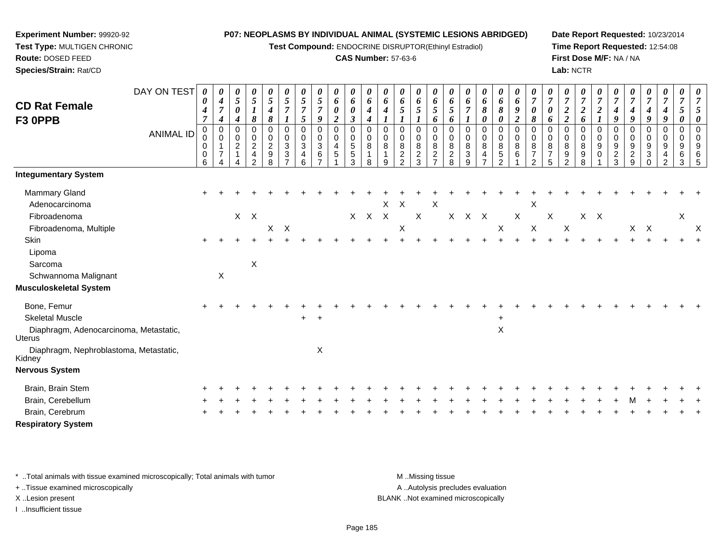**Test Compound:** ENDOCRINE DISRUPTOR(Ethinyl Estradiol)

## **CAS Number:** 57-63-6

**Date Report Requested:** 10/23/2014**Time Report Requested:** 12:54:08**First Dose M/F:** NA / NA**Lab:** NCTR

| <b>CD Rat Female</b><br>F3 OPPB                                                    | DAY ON TEST<br><b>ANIMAL ID</b> | $\boldsymbol{\theta}$<br>0<br>$\boldsymbol{4}$<br>$\overline{7}$<br>$\pmb{0}$<br>0<br>0<br>$\boldsymbol{0}$<br>6 | $\boldsymbol{\theta}$<br>$\boldsymbol{4}$<br>$\boldsymbol{7}$<br>$\boldsymbol{4}$<br>$\mathbf 0$<br>$\Omega$<br>$\overline{7}$ | 0<br>5<br>$\pmb{\theta}$<br>$\boldsymbol{4}$<br>0<br>0<br>$\overline{a}$<br>1 | 0<br>$\sqrt{5}$<br>$\boldsymbol{l}$<br>8<br>$\pmb{0}$<br>$\pmb{0}$<br>$\overline{c}$<br>$\overline{\mathbf{4}}$<br>$\overline{2}$ | 0<br>$\mathfrak{s}$<br>4<br>8<br>$\mathbf 0$<br>$\pmb{0}$<br>$\sqrt{2}$<br>$\boldsymbol{9}$<br>8 | $\boldsymbol{\theta}$<br>$\sqrt{5}$<br>$\overline{7}$<br>$\boldsymbol{l}$<br>$\mathbf 0$<br>0<br>$\sqrt{3}$<br>$\sqrt{3}$<br>$\overline{7}$ | $\boldsymbol{\theta}$<br>$\sqrt{5}$<br>$\overline{7}$<br>$\mathfrak{s}$<br>$\mathbf 0$<br>$\mathbf 0$<br>$\sqrt{3}$<br>$\overline{\mathbf{4}}$<br>6 | $\frac{\theta}{5}$<br>$\overline{7}$<br>9<br>$\,0\,$<br>$\pmb{0}$<br>$\ensuremath{\mathsf{3}}$<br>$\,6$<br>$\overline{7}$ | 0<br>6<br>0<br>$\overline{2}$<br>$\mathbf 0$<br>0<br>4<br>$\mathbf 5$ | 0<br>6<br>$\pmb{\theta}$<br>$\mathfrak{z}$<br>$\pmb{0}$<br>$\begin{array}{c} 0 \\ 5 \\ 5 \end{array}$<br>3 | $\pmb{\theta}$<br>6<br>$\boldsymbol{4}$<br>$\boldsymbol{4}$<br>$\mathbf 0$<br>0<br>8<br>$\mathbf{1}$<br>8 | $\boldsymbol{\theta}$<br>6<br>4<br>$\mathbf 0$<br>0<br>8<br>9 | $\pmb{\theta}$<br>6<br>5<br>0<br>0<br>$\,8\,$<br>$\frac{2}{2}$ | $\pmb{\theta}$<br>6<br>5<br>$\mathbf 0$<br>$\pmb{0}$<br>$\,8\,$<br>$\frac{2}{3}$ | $\boldsymbol{\theta}$<br>6<br>$\mathfrak{s}$<br>6<br>$\mathbf 0$<br>0<br>8<br>$\frac{2}{7}$ | $\boldsymbol{\theta}$<br>6<br>5<br>6<br>$\mathbf 0$<br>0<br>8<br>$\frac{2}{8}$ | 0<br>6<br>$\overline{7}$<br>0<br>0<br>$\bf 8$<br>3<br>9 | 0<br>6<br>8<br>0<br>$\pmb{0}$<br>$\pmb{0}$<br>8<br>$\overline{\mathbf{4}}$<br>$\overline{7}$ | $\boldsymbol{\theta}$<br>6<br>8<br>0<br>$\mathbf 0$<br>$\pmb{0}$<br>$\bf 8$<br>$\sqrt{5}$<br>2 | $\boldsymbol{\theta}$<br>6<br>$\boldsymbol{g}$<br>$\overline{2}$<br>$\mathbf 0$<br>0<br>$\,8\,$<br>$\,6\,$ | 0<br>$\overline{7}$<br>$\boldsymbol{\theta}$<br>8<br>0<br>$\mathbf 0$<br>8<br>$\overline{7}$<br>$\mathcal{P}$ | $\pmb{\theta}$<br>$\overline{7}$<br>$\pmb{\theta}$<br>6<br>0<br>0<br>$\, 8$<br>$\boldsymbol{7}$<br>5 | 0<br>$\overline{7}$<br>$\overline{c}$<br>$\overline{2}$<br>$\mathbf 0$<br>0<br>8<br>9<br>$\overline{2}$ | 0<br>$\overline{7}$<br>$\boldsymbol{2}$<br>6<br>$\mathbf 0$<br>0<br>$\bf 8$<br>9<br>8 | 0<br>$\boldsymbol{7}$<br>$\boldsymbol{2}$<br>$\boldsymbol{l}$<br>$\mathbf 0$<br>0<br>9<br>$\pmb{0}$ | 0<br>$\overline{7}$<br>4<br>9<br>$\mathbf 0$<br>0<br>$\boldsymbol{9}$<br>$\frac{2}{3}$ | $\pmb{\theta}$<br>$\overline{7}$<br>$\boldsymbol{4}$<br>9<br>$\mathbf 0$<br>$\mathbf 0$<br>$\boldsymbol{9}$<br>$\frac{2}{9}$ | $\pmb{\theta}$<br>$\boldsymbol{7}$<br>$\boldsymbol{4}$<br>$\boldsymbol{9}$<br>$\mathbf 0$<br>0<br>9<br>$\sqrt{3}$<br>$\Omega$ | $\boldsymbol{\theta}$<br>$\overline{7}$<br>$\boldsymbol{4}$<br>9<br>$\mathbf 0$<br>0<br>9<br>4<br>$\overline{2}$ | $\pmb{\theta}$<br>$\overline{7}$<br>5<br>0<br>0<br>0<br>9<br>6<br>3 | 0<br>$\overline{7}$<br>5<br>$\boldsymbol{\theta}$<br>$\mathbf 0$<br>$\pmb{0}$<br>9<br>6<br>5 |
|------------------------------------------------------------------------------------|---------------------------------|------------------------------------------------------------------------------------------------------------------|--------------------------------------------------------------------------------------------------------------------------------|-------------------------------------------------------------------------------|-----------------------------------------------------------------------------------------------------------------------------------|--------------------------------------------------------------------------------------------------|---------------------------------------------------------------------------------------------------------------------------------------------|-----------------------------------------------------------------------------------------------------------------------------------------------------|---------------------------------------------------------------------------------------------------------------------------|-----------------------------------------------------------------------|------------------------------------------------------------------------------------------------------------|-----------------------------------------------------------------------------------------------------------|---------------------------------------------------------------|----------------------------------------------------------------|----------------------------------------------------------------------------------|---------------------------------------------------------------------------------------------|--------------------------------------------------------------------------------|---------------------------------------------------------|----------------------------------------------------------------------------------------------|------------------------------------------------------------------------------------------------|------------------------------------------------------------------------------------------------------------|---------------------------------------------------------------------------------------------------------------|------------------------------------------------------------------------------------------------------|---------------------------------------------------------------------------------------------------------|---------------------------------------------------------------------------------------|-----------------------------------------------------------------------------------------------------|----------------------------------------------------------------------------------------|------------------------------------------------------------------------------------------------------------------------------|-------------------------------------------------------------------------------------------------------------------------------|------------------------------------------------------------------------------------------------------------------|---------------------------------------------------------------------|----------------------------------------------------------------------------------------------|
| <b>Integumentary System</b>                                                        |                                 |                                                                                                                  |                                                                                                                                |                                                                               |                                                                                                                                   |                                                                                                  |                                                                                                                                             |                                                                                                                                                     |                                                                                                                           |                                                                       |                                                                                                            |                                                                                                           |                                                               |                                                                |                                                                                  |                                                                                             |                                                                                |                                                         |                                                                                              |                                                                                                |                                                                                                            |                                                                                                               |                                                                                                      |                                                                                                         |                                                                                       |                                                                                                     |                                                                                        |                                                                                                                              |                                                                                                                               |                                                                                                                  |                                                                     |                                                                                              |
| Mammary Gland<br>Adenocarcinoma<br>Fibroadenoma                                    |                                 |                                                                                                                  |                                                                                                                                |                                                                               | $X$ $X$                                                                                                                           |                                                                                                  |                                                                                                                                             |                                                                                                                                                     |                                                                                                                           |                                                                       | $\mathsf{X}$                                                                                               | $X$ $X$                                                                                                   | X                                                             | $\boldsymbol{\mathsf{X}}$                                      | $\sf X$                                                                          | X                                                                                           | $\mathsf{X}$                                                                   | $X$ $X$                                                 |                                                                                              |                                                                                                | $\mathsf X$                                                                                                | Χ                                                                                                             | $\boldsymbol{\mathsf{X}}$                                                                            |                                                                                                         | X                                                                                     | $\mathsf{X}$                                                                                        |                                                                                        |                                                                                                                              |                                                                                                                               |                                                                                                                  | $\pmb{\times}$                                                      |                                                                                              |
| Fibroadenoma, Multiple                                                             |                                 |                                                                                                                  |                                                                                                                                |                                                                               |                                                                                                                                   | X                                                                                                | $\boldsymbol{\mathsf{X}}$                                                                                                                   |                                                                                                                                                     |                                                                                                                           |                                                                       |                                                                                                            |                                                                                                           |                                                               | $\boldsymbol{\mathsf{X}}$                                      |                                                                                  |                                                                                             |                                                                                |                                                         |                                                                                              | X                                                                                              |                                                                                                            | X                                                                                                             |                                                                                                      | $\boldsymbol{\mathsf{X}}$                                                                               |                                                                                       |                                                                                                     |                                                                                        |                                                                                                                              | $X$ $X$                                                                                                                       |                                                                                                                  |                                                                     | $\times$                                                                                     |
| Skin<br>Lipoma<br>Sarcoma<br>Schwannoma Malignant<br><b>Musculoskeletal System</b> |                                 |                                                                                                                  | $\mathsf X$                                                                                                                    |                                                                               | X                                                                                                                                 |                                                                                                  |                                                                                                                                             |                                                                                                                                                     |                                                                                                                           |                                                                       |                                                                                                            |                                                                                                           |                                                               |                                                                |                                                                                  |                                                                                             |                                                                                |                                                         |                                                                                              |                                                                                                |                                                                                                            |                                                                                                               |                                                                                                      |                                                                                                         |                                                                                       |                                                                                                     |                                                                                        |                                                                                                                              |                                                                                                                               |                                                                                                                  |                                                                     |                                                                                              |
| Bone, Femur                                                                        |                                 |                                                                                                                  |                                                                                                                                |                                                                               |                                                                                                                                   |                                                                                                  |                                                                                                                                             |                                                                                                                                                     |                                                                                                                           |                                                                       |                                                                                                            |                                                                                                           |                                                               |                                                                |                                                                                  |                                                                                             |                                                                                |                                                         |                                                                                              |                                                                                                |                                                                                                            |                                                                                                               |                                                                                                      |                                                                                                         |                                                                                       |                                                                                                     |                                                                                        |                                                                                                                              |                                                                                                                               |                                                                                                                  |                                                                     |                                                                                              |
| <b>Skeletal Muscle</b>                                                             |                                 |                                                                                                                  |                                                                                                                                |                                                                               |                                                                                                                                   |                                                                                                  |                                                                                                                                             | $+$                                                                                                                                                 | $\ddot{}$                                                                                                                 |                                                                       |                                                                                                            |                                                                                                           |                                                               |                                                                |                                                                                  |                                                                                             |                                                                                |                                                         |                                                                                              | $\ddot{}$                                                                                      |                                                                                                            |                                                                                                               |                                                                                                      |                                                                                                         |                                                                                       |                                                                                                     |                                                                                        |                                                                                                                              |                                                                                                                               |                                                                                                                  |                                                                     |                                                                                              |
| Diaphragm, Adenocarcinoma, Metastatic,<br><b>Uterus</b>                            |                                 |                                                                                                                  |                                                                                                                                |                                                                               |                                                                                                                                   |                                                                                                  |                                                                                                                                             |                                                                                                                                                     |                                                                                                                           |                                                                       |                                                                                                            |                                                                                                           |                                                               |                                                                |                                                                                  |                                                                                             |                                                                                |                                                         |                                                                                              | $\mathsf X$                                                                                    |                                                                                                            |                                                                                                               |                                                                                                      |                                                                                                         |                                                                                       |                                                                                                     |                                                                                        |                                                                                                                              |                                                                                                                               |                                                                                                                  |                                                                     |                                                                                              |
| Diaphragm, Nephroblastoma, Metastatic,<br>Kidney                                   |                                 |                                                                                                                  |                                                                                                                                |                                                                               |                                                                                                                                   |                                                                                                  |                                                                                                                                             |                                                                                                                                                     | X                                                                                                                         |                                                                       |                                                                                                            |                                                                                                           |                                                               |                                                                |                                                                                  |                                                                                             |                                                                                |                                                         |                                                                                              |                                                                                                |                                                                                                            |                                                                                                               |                                                                                                      |                                                                                                         |                                                                                       |                                                                                                     |                                                                                        |                                                                                                                              |                                                                                                                               |                                                                                                                  |                                                                     |                                                                                              |
| <b>Nervous System</b>                                                              |                                 |                                                                                                                  |                                                                                                                                |                                                                               |                                                                                                                                   |                                                                                                  |                                                                                                                                             |                                                                                                                                                     |                                                                                                                           |                                                                       |                                                                                                            |                                                                                                           |                                                               |                                                                |                                                                                  |                                                                                             |                                                                                |                                                         |                                                                                              |                                                                                                |                                                                                                            |                                                                                                               |                                                                                                      |                                                                                                         |                                                                                       |                                                                                                     |                                                                                        |                                                                                                                              |                                                                                                                               |                                                                                                                  |                                                                     |                                                                                              |
| Brain, Brain Stem                                                                  |                                 |                                                                                                                  |                                                                                                                                |                                                                               |                                                                                                                                   |                                                                                                  |                                                                                                                                             |                                                                                                                                                     |                                                                                                                           |                                                                       |                                                                                                            |                                                                                                           |                                                               |                                                                |                                                                                  |                                                                                             |                                                                                |                                                         |                                                                                              |                                                                                                |                                                                                                            |                                                                                                               |                                                                                                      |                                                                                                         |                                                                                       |                                                                                                     |                                                                                        |                                                                                                                              |                                                                                                                               |                                                                                                                  |                                                                     |                                                                                              |
| Brain, Cerebellum                                                                  |                                 |                                                                                                                  |                                                                                                                                |                                                                               |                                                                                                                                   |                                                                                                  |                                                                                                                                             |                                                                                                                                                     |                                                                                                                           |                                                                       |                                                                                                            |                                                                                                           |                                                               |                                                                |                                                                                  |                                                                                             |                                                                                |                                                         |                                                                                              |                                                                                                |                                                                                                            |                                                                                                               |                                                                                                      |                                                                                                         |                                                                                       |                                                                                                     |                                                                                        |                                                                                                                              |                                                                                                                               |                                                                                                                  |                                                                     |                                                                                              |
| Brain, Cerebrum                                                                    |                                 |                                                                                                                  |                                                                                                                                |                                                                               |                                                                                                                                   |                                                                                                  |                                                                                                                                             |                                                                                                                                                     |                                                                                                                           |                                                                       |                                                                                                            |                                                                                                           |                                                               |                                                                |                                                                                  |                                                                                             |                                                                                |                                                         |                                                                                              |                                                                                                |                                                                                                            |                                                                                                               |                                                                                                      |                                                                                                         |                                                                                       |                                                                                                     |                                                                                        |                                                                                                                              |                                                                                                                               |                                                                                                                  |                                                                     |                                                                                              |
| <b>Respiratory System</b>                                                          |                                 |                                                                                                                  |                                                                                                                                |                                                                               |                                                                                                                                   |                                                                                                  |                                                                                                                                             |                                                                                                                                                     |                                                                                                                           |                                                                       |                                                                                                            |                                                                                                           |                                                               |                                                                |                                                                                  |                                                                                             |                                                                                |                                                         |                                                                                              |                                                                                                |                                                                                                            |                                                                                                               |                                                                                                      |                                                                                                         |                                                                                       |                                                                                                     |                                                                                        |                                                                                                                              |                                                                                                                               |                                                                                                                  |                                                                     |                                                                                              |

\* ..Total animals with tissue examined microscopically; Total animals with tumor **M** . Missing tissue M ..Missing tissue

+ ..Tissue examined microscopically

**Experiment Number:** 99920-92**Test Type:** MULTIGEN CHRONIC

**Route:** DOSED FEED**Species/Strain:** Rat/CD

I ..Insufficient tissue

A ..Autolysis precludes evaluation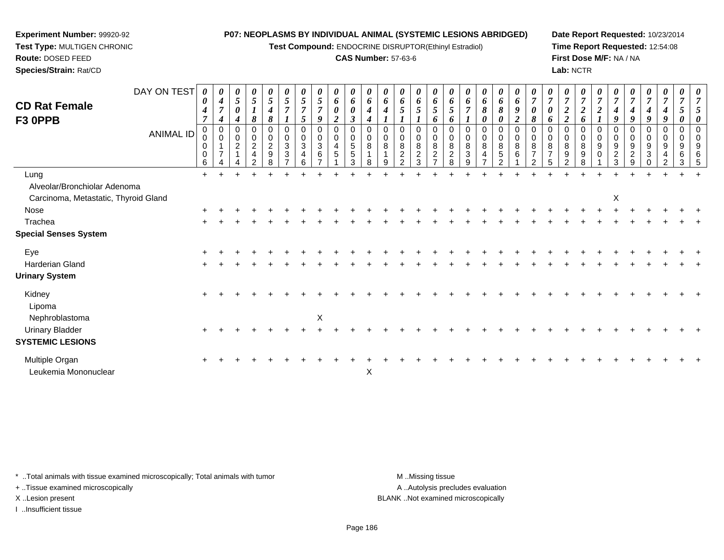**Test Compound:** ENDOCRINE DISRUPTOR(Ethinyl Estradiol)

## **CAS Number:** 57-63-6

**Date Report Requested:** 10/23/2014**Time Report Requested:** 12:54:08**First Dose M/F:** NA / NA**Lab:** NCTR

| <b>CD Rat Female</b><br>F3 OPPB        | DAY ON TEST<br><b>ANIMAL ID</b> | $\theta$<br>0<br>$\boldsymbol{4}$<br>$\overline{7}$<br>$\mathbf 0$<br>0<br>0<br>0<br>6 | $\boldsymbol{\theta}$<br>4<br>$\overline{7}$<br>$\boldsymbol{4}$<br>0<br>$\mathbf 0$<br>$\overline{7}$ | 0<br>$\mathfrak{I}$<br>0<br>4<br>$\Omega$<br>$\mathbf 0$<br>$\overline{c}$ | 0<br>$\mathfrak{H}$<br>8<br>0<br>$\mathbf 0$<br>$\overline{2}$<br>$\overline{4}$ | $\boldsymbol{\theta}$<br>$\sqrt{5}$<br>$\boldsymbol{4}$<br>8<br>0<br>$\begin{smallmatrix} 0\\2 \end{smallmatrix}$<br>$\boldsymbol{9}$<br>8 | 5<br>$\Omega$<br>0<br>$\mathbf{3}$<br>$\sqrt{3}$ | 5<br>$\overline{7}$<br>5<br>0<br>0<br>$\sqrt{3}$<br>4 | $\boldsymbol{\theta}$<br>$\sqrt{5}$<br>$\overline{7}$<br>9<br>$\mathbf 0$<br>$\mathbf 0$<br>$\sqrt{3}$<br>6 | $\boldsymbol{\theta}$<br>6<br>$\boldsymbol{\theta}$<br>$\overline{2}$<br>0<br>$\mathbf 0$<br>$\overline{\mathbf{4}}$<br>5 | 0<br>6<br>$\boldsymbol{\theta}$<br>$\boldsymbol{\beta}$<br>$\mathbf 0$<br>$\begin{array}{c} 0 \\ 5 \end{array}$<br>5<br>3 | U<br>6<br>4<br>0<br>0<br>8<br>8 | 6<br>4<br>$\Omega$<br>$\mathbf 0$<br>8 | $\boldsymbol{\theta}$<br>6<br>5<br>$\Omega$<br>0<br>8<br>$\overline{c}$<br>C. | 0<br>6<br>5<br>0<br>0<br>8<br>$\overline{c}$<br>3 | $\boldsymbol{\theta}$<br>6<br>5<br>6<br>$\Omega$<br>0<br>$\bf 8$<br>$\overline{c}$ | 6<br>5<br>6<br>0<br>8<br>$\sqrt{2}$<br>8 | 6<br>$\overline{7}$<br>$\Omega$<br>$\mathbf 0$<br>8<br>$\mathbf{3}$<br>9 | $\boldsymbol{\theta}$<br>6<br>8<br>0<br>0<br>0<br>8<br>4 | $\boldsymbol{\theta}$<br>6<br>8<br>0<br>0<br>0<br>8<br>5<br>C | $\theta$<br>6<br>9<br>$\overline{2}$<br>0<br>0<br>$\bf 8$<br>6 | $\overline{7}$<br>0<br>8<br>0<br>8 | $\theta$<br>6<br>$\Omega$<br>$\mathbf 0$<br>8 | $\overline{7}$<br>2<br>$\overline{\mathbf{c}}$<br>0<br>$\mathbf 0$<br>8<br>9 | 0<br>$\boldsymbol{7}$<br>$\overline{c}$<br>6<br>$\Omega$<br>$\mathbf 0$<br>8<br>9<br>8 | $\theta$<br>$\overline{7}$<br>$\overline{2}$<br>$\Omega$<br>0<br>9<br>$\mathbf 0$ | 9<br>0<br>9<br>$\boldsymbol{2}$<br>3 | $\overline{7}$<br>4<br>9<br>$\Omega$<br>0<br>9<br>$\overline{2}$<br>9 | $\boldsymbol{\theta}$<br>$\overline{7}$<br>4<br>9<br>0<br>0<br>9<br>3 | $\boldsymbol{\theta}$<br>$\overline{7}$<br>$\boldsymbol{4}$<br>9<br>$\Omega$<br>$\mathbf 0$<br>$\boldsymbol{9}$<br>4 | $\boldsymbol{\theta}$<br>$\overline{7}$<br>0<br>0<br>9<br>6<br>3 |  |
|----------------------------------------|---------------------------------|----------------------------------------------------------------------------------------|--------------------------------------------------------------------------------------------------------|----------------------------------------------------------------------------|----------------------------------------------------------------------------------|--------------------------------------------------------------------------------------------------------------------------------------------|--------------------------------------------------|-------------------------------------------------------|-------------------------------------------------------------------------------------------------------------|---------------------------------------------------------------------------------------------------------------------------|---------------------------------------------------------------------------------------------------------------------------|---------------------------------|----------------------------------------|-------------------------------------------------------------------------------|---------------------------------------------------|------------------------------------------------------------------------------------|------------------------------------------|--------------------------------------------------------------------------|----------------------------------------------------------|---------------------------------------------------------------|----------------------------------------------------------------|------------------------------------|-----------------------------------------------|------------------------------------------------------------------------------|----------------------------------------------------------------------------------------|-----------------------------------------------------------------------------------|--------------------------------------|-----------------------------------------------------------------------|-----------------------------------------------------------------------|----------------------------------------------------------------------------------------------------------------------|------------------------------------------------------------------|--|
| Lung                                   |                                 | $+$                                                                                    |                                                                                                        |                                                                            |                                                                                  |                                                                                                                                            |                                                  |                                                       |                                                                                                             |                                                                                                                           |                                                                                                                           |                                 |                                        |                                                                               |                                                   |                                                                                    |                                          |                                                                          |                                                          |                                                               |                                                                |                                    |                                               |                                                                              |                                                                                        |                                                                                   |                                      |                                                                       |                                                                       |                                                                                                                      |                                                                  |  |
| Alveolar/Bronchiolar Adenoma           |                                 |                                                                                        |                                                                                                        |                                                                            |                                                                                  |                                                                                                                                            |                                                  |                                                       |                                                                                                             |                                                                                                                           |                                                                                                                           |                                 |                                        |                                                                               |                                                   |                                                                                    |                                          |                                                                          |                                                          |                                                               |                                                                |                                    |                                               |                                                                              |                                                                                        |                                                                                   |                                      |                                                                       |                                                                       |                                                                                                                      |                                                                  |  |
| Carcinoma, Metastatic, Thyroid Gland   |                                 |                                                                                        |                                                                                                        |                                                                            |                                                                                  |                                                                                                                                            |                                                  |                                                       |                                                                                                             |                                                                                                                           |                                                                                                                           |                                 |                                        |                                                                               |                                                   |                                                                                    |                                          |                                                                          |                                                          |                                                               |                                                                |                                    |                                               |                                                                              |                                                                                        |                                                                                   | X                                    |                                                                       |                                                                       |                                                                                                                      |                                                                  |  |
| Nose                                   |                                 |                                                                                        |                                                                                                        |                                                                            |                                                                                  |                                                                                                                                            |                                                  |                                                       |                                                                                                             |                                                                                                                           |                                                                                                                           |                                 |                                        |                                                                               |                                                   |                                                                                    |                                          |                                                                          |                                                          |                                                               |                                                                |                                    |                                               |                                                                              |                                                                                        |                                                                                   |                                      |                                                                       |                                                                       |                                                                                                                      |                                                                  |  |
| Trachea                                |                                 |                                                                                        |                                                                                                        |                                                                            |                                                                                  |                                                                                                                                            |                                                  |                                                       |                                                                                                             |                                                                                                                           |                                                                                                                           |                                 |                                        |                                                                               |                                                   |                                                                                    |                                          |                                                                          |                                                          |                                                               |                                                                |                                    |                                               |                                                                              |                                                                                        |                                                                                   |                                      |                                                                       |                                                                       |                                                                                                                      |                                                                  |  |
| <b>Special Senses System</b>           |                                 |                                                                                        |                                                                                                        |                                                                            |                                                                                  |                                                                                                                                            |                                                  |                                                       |                                                                                                             |                                                                                                                           |                                                                                                                           |                                 |                                        |                                                                               |                                                   |                                                                                    |                                          |                                                                          |                                                          |                                                               |                                                                |                                    |                                               |                                                                              |                                                                                        |                                                                                   |                                      |                                                                       |                                                                       |                                                                                                                      |                                                                  |  |
| Eye                                    |                                 |                                                                                        |                                                                                                        |                                                                            |                                                                                  |                                                                                                                                            |                                                  |                                                       |                                                                                                             |                                                                                                                           |                                                                                                                           |                                 |                                        |                                                                               |                                                   |                                                                                    |                                          |                                                                          |                                                          |                                                               |                                                                |                                    |                                               |                                                                              |                                                                                        |                                                                                   |                                      |                                                                       |                                                                       |                                                                                                                      |                                                                  |  |
| Harderian Gland                        |                                 |                                                                                        |                                                                                                        |                                                                            |                                                                                  |                                                                                                                                            |                                                  |                                                       |                                                                                                             |                                                                                                                           |                                                                                                                           |                                 |                                        |                                                                               |                                                   |                                                                                    |                                          |                                                                          |                                                          |                                                               |                                                                |                                    |                                               |                                                                              |                                                                                        |                                                                                   |                                      |                                                                       |                                                                       |                                                                                                                      |                                                                  |  |
| <b>Urinary System</b>                  |                                 |                                                                                        |                                                                                                        |                                                                            |                                                                                  |                                                                                                                                            |                                                  |                                                       |                                                                                                             |                                                                                                                           |                                                                                                                           |                                 |                                        |                                                                               |                                                   |                                                                                    |                                          |                                                                          |                                                          |                                                               |                                                                |                                    |                                               |                                                                              |                                                                                        |                                                                                   |                                      |                                                                       |                                                                       |                                                                                                                      |                                                                  |  |
| Kidney<br>Lipoma                       |                                 |                                                                                        |                                                                                                        |                                                                            |                                                                                  |                                                                                                                                            |                                                  |                                                       |                                                                                                             |                                                                                                                           |                                                                                                                           |                                 |                                        |                                                                               |                                                   |                                                                                    |                                          |                                                                          |                                                          |                                                               |                                                                |                                    |                                               |                                                                              |                                                                                        |                                                                                   |                                      |                                                                       |                                                                       |                                                                                                                      |                                                                  |  |
| Nephroblastoma                         |                                 |                                                                                        |                                                                                                        |                                                                            |                                                                                  |                                                                                                                                            |                                                  |                                                       | $\pmb{\times}$                                                                                              |                                                                                                                           |                                                                                                                           |                                 |                                        |                                                                               |                                                   |                                                                                    |                                          |                                                                          |                                                          |                                                               |                                                                |                                    |                                               |                                                                              |                                                                                        |                                                                                   |                                      |                                                                       |                                                                       |                                                                                                                      |                                                                  |  |
| <b>Urinary Bladder</b>                 |                                 |                                                                                        |                                                                                                        |                                                                            |                                                                                  |                                                                                                                                            |                                                  |                                                       |                                                                                                             |                                                                                                                           |                                                                                                                           |                                 |                                        |                                                                               |                                                   |                                                                                    |                                          |                                                                          |                                                          |                                                               |                                                                |                                    |                                               |                                                                              |                                                                                        |                                                                                   |                                      |                                                                       |                                                                       |                                                                                                                      |                                                                  |  |
| <b>SYSTEMIC LESIONS</b>                |                                 |                                                                                        |                                                                                                        |                                                                            |                                                                                  |                                                                                                                                            |                                                  |                                                       |                                                                                                             |                                                                                                                           |                                                                                                                           |                                 |                                        |                                                                               |                                                   |                                                                                    |                                          |                                                                          |                                                          |                                                               |                                                                |                                    |                                               |                                                                              |                                                                                        |                                                                                   |                                      |                                                                       |                                                                       |                                                                                                                      |                                                                  |  |
| Multiple Organ<br>Leukemia Mononuclear |                                 |                                                                                        |                                                                                                        |                                                                            |                                                                                  |                                                                                                                                            |                                                  |                                                       |                                                                                                             |                                                                                                                           |                                                                                                                           | X                               |                                        |                                                                               |                                                   |                                                                                    |                                          |                                                                          |                                                          |                                                               |                                                                |                                    |                                               |                                                                              |                                                                                        |                                                                                   |                                      |                                                                       |                                                                       |                                                                                                                      |                                                                  |  |

\* ..Total animals with tissue examined microscopically; Total animals with tumor **M** . Missing tissue M ..Missing tissue

+ ..Tissue examined microscopically

**Experiment Number:** 99920-92**Test Type:** MULTIGEN CHRONIC

**Route:** DOSED FEED**Species/Strain:** Rat/CD

I ..Insufficient tissue

A ..Autolysis precludes evaluation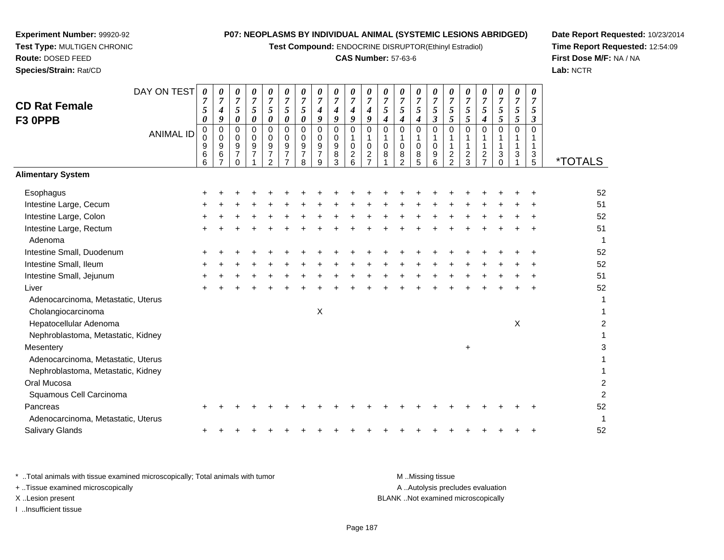**Test Compound:** ENDOCRINE DISRUPTOR(Ethinyl Estradiol)

## **CAS Number:** 57-63-6

**Date Report Requested:** 10/23/2014**Time Report Requested:** 12:54:09**First Dose M/F:** NA / NA**Lab:** NCTR

| Salivary Glands<br>+ + + + + + + + + + + + + +                                 |                                    |                                  |  |  | $+$ $+$ |  |
|--------------------------------------------------------------------------------|------------------------------------|----------------------------------|--|--|---------|--|
|                                                                                |                                    |                                  |  |  |         |  |
| * Total animals with tissue examined microscopically; Total animals with tumor |                                    | MMissing tissue                  |  |  |         |  |
| + Tissue examined microscopically                                              |                                    | A Autolysis precludes evaluation |  |  |         |  |
| X Lesion present                                                               | BLANK Not examined microscopically |                                  |  |  |         |  |

I ..Insufficient tissue

| DAY ON TEST                        | 0                     | 0                              | 0                             | 0                                                 | 0                       | 0                                       | 0                                       | 0                             | 0                           | 0                                      | 0                                                 | 0                          | 0                         | 0                               | 0                                    | 0                                  | 0                   | 0                                                           | 0                   | 0                         | 0             |                       |
|------------------------------------|-----------------------|--------------------------------|-------------------------------|---------------------------------------------------|-------------------------|-----------------------------------------|-----------------------------------------|-------------------------------|-----------------------------|----------------------------------------|---------------------------------------------------|----------------------------|---------------------------|---------------------------------|--------------------------------------|------------------------------------|---------------------|-------------------------------------------------------------|---------------------|---------------------------|---------------|-----------------------|
| <b>CD Rat Female</b>               | 7<br>5                | 7                              | $\overline{7}$<br>5           | $\overline{7}$<br>5                               | $\overline{7}$<br>5     | $\overline{7}$<br>5                     | $\overline{7}$<br>5                     | 7                             |                             | $\overline{7}$                         | $\overline{7}$                                    | $\overline{7}$<br>5        | $\overline{7}$<br>5       | $\overline{7}$<br>5             | $\overline{7}$<br>5                  | $\overline{7}$<br>5                | $\overline{7}$<br>5 | $\overline{7}$<br>5                                         | $\overline{7}$<br>5 | $\overline{7}$<br>5       | 5             |                       |
| F3 OPPB                            | $\boldsymbol{\theta}$ | 4<br>9                         | 0                             | $\boldsymbol{\theta}$                             | 0                       | 0                                       | $\boldsymbol{\theta}$                   | 4<br>9                        | 4<br>9                      | 4<br>9                                 | 4<br>9                                            | 4                          | $\boldsymbol{4}$          | 4                               | $\boldsymbol{\beta}$                 | $\mathfrak{z}$                     | 5                   | $\boldsymbol{4}$                                            | 5                   | 5                         | 3             |                       |
| <b>ANIMAL ID</b>                   | 0<br>0<br>9<br>6      | 0<br>$\mathbf 0$<br>9<br>$\,6$ | 0<br>0<br>9<br>$\overline{7}$ | $\mathbf 0$<br>$\mathbf 0$<br>9<br>$\overline{7}$ | 0<br>0<br>$\frac{9}{7}$ | $\mathbf 0$<br>0<br>9<br>$\overline{7}$ | $\mathbf 0$<br>0<br>9<br>$\overline{7}$ | 0<br>0<br>9<br>$\overline{7}$ | $\mathbf{0}$<br>0<br>9<br>8 | $\Omega$<br>$\Omega$<br>$\overline{c}$ | $\mathbf 0$<br>1<br>$\mathbf 0$<br>$\overline{c}$ | $\mathbf 0$<br>1<br>0<br>8 | $\Omega$<br>$\Omega$<br>8 | $\mathbf 0$<br>1<br>$\mathbf 0$ | $\mathbf 0$<br>1<br>$\mathbf 0$<br>9 | 0                                  | 0<br>1<br>1         | $\mathbf 0$<br>1<br>$\mathbf{1}$<br>$\overline{\mathbf{c}}$ | $\mathbf 0$<br>3    | $\mathbf 0$<br>1<br>3     | $\Omega$<br>3 |                       |
|                                    | 6                     |                                |                               |                                                   | $\mathcal{P}$           |                                         | 8                                       | 9                             | 3                           | 6                                      | $\overline{7}$                                    |                            | 2                         | 8<br>5                          | 6                                    | $\boldsymbol{2}$<br>$\overline{2}$ | $\frac{2}{3}$       | $\overline{7}$                                              | $\Omega$            |                           | 5             | <i><b>*TOTALS</b></i> |
| <b>Alimentary System</b>           |                       |                                |                               |                                                   |                         |                                         |                                         |                               |                             |                                        |                                                   |                            |                           |                                 |                                      |                                    |                     |                                                             |                     |                           |               |                       |
| Esophagus                          |                       |                                |                               |                                                   |                         |                                         |                                         |                               |                             |                                        |                                                   |                            |                           |                                 |                                      |                                    |                     |                                                             |                     |                           |               | 52                    |
| Intestine Large, Cecum             |                       |                                |                               |                                                   |                         |                                         |                                         |                               |                             |                                        |                                                   |                            |                           |                                 |                                      |                                    |                     |                                                             |                     |                           |               | 51                    |
| Intestine Large, Colon             |                       |                                |                               |                                                   |                         |                                         |                                         |                               |                             |                                        |                                                   |                            |                           |                                 |                                      |                                    |                     |                                                             |                     |                           |               | 52                    |
| Intestine Large, Rectum<br>Adenoma |                       |                                |                               |                                                   |                         |                                         |                                         |                               |                             |                                        |                                                   |                            |                           |                                 |                                      |                                    |                     |                                                             |                     |                           |               | 51<br>1               |
| Intestine Small, Duodenum          |                       |                                |                               |                                                   |                         |                                         |                                         |                               |                             |                                        |                                                   |                            |                           |                                 |                                      |                                    |                     |                                                             |                     |                           |               | 52                    |
| Intestine Small, Ileum             |                       |                                |                               |                                                   |                         |                                         |                                         |                               |                             |                                        |                                                   |                            |                           |                                 |                                      |                                    |                     |                                                             |                     |                           |               | 52                    |
| Intestine Small, Jejunum           |                       |                                |                               |                                                   |                         |                                         |                                         |                               |                             |                                        |                                                   |                            |                           |                                 |                                      |                                    |                     |                                                             |                     |                           |               | 51                    |
| Liver                              |                       |                                |                               |                                                   |                         |                                         |                                         |                               |                             |                                        |                                                   |                            |                           |                                 |                                      |                                    |                     |                                                             |                     |                           |               | 52                    |
| Adenocarcinoma, Metastatic, Uterus |                       |                                |                               |                                                   |                         |                                         |                                         |                               |                             |                                        |                                                   |                            |                           |                                 |                                      |                                    |                     |                                                             |                     |                           |               | 1                     |
| Cholangiocarcinoma                 |                       |                                |                               |                                                   |                         |                                         |                                         | $\boldsymbol{\mathsf{X}}$     |                             |                                        |                                                   |                            |                           |                                 |                                      |                                    |                     |                                                             |                     |                           |               | 1                     |
| Hepatocellular Adenoma             |                       |                                |                               |                                                   |                         |                                         |                                         |                               |                             |                                        |                                                   |                            |                           |                                 |                                      |                                    |                     |                                                             |                     | $\boldsymbol{\mathsf{X}}$ |               | $\overline{2}$        |
| Nephroblastoma, Metastatic, Kidney |                       |                                |                               |                                                   |                         |                                         |                                         |                               |                             |                                        |                                                   |                            |                           |                                 |                                      |                                    |                     |                                                             |                     |                           |               |                       |
| Mesentery                          |                       |                                |                               |                                                   |                         |                                         |                                         |                               |                             |                                        |                                                   |                            |                           |                                 |                                      |                                    | $\ddot{}$           |                                                             |                     |                           |               | $\mathbf{3}$          |
| Adenocarcinoma, Metastatic, Uterus |                       |                                |                               |                                                   |                         |                                         |                                         |                               |                             |                                        |                                                   |                            |                           |                                 |                                      |                                    |                     |                                                             |                     |                           |               |                       |
| Nephroblastoma, Metastatic, Kidney |                       |                                |                               |                                                   |                         |                                         |                                         |                               |                             |                                        |                                                   |                            |                           |                                 |                                      |                                    |                     |                                                             |                     |                           |               | 1                     |
| Oral Mucosa                        |                       |                                |                               |                                                   |                         |                                         |                                         |                               |                             |                                        |                                                   |                            |                           |                                 |                                      |                                    |                     |                                                             |                     |                           |               | $\overline{c}$        |
| Squamous Cell Carcinoma            |                       |                                |                               |                                                   |                         |                                         |                                         |                               |                             |                                        |                                                   |                            |                           |                                 |                                      |                                    |                     |                                                             |                     |                           |               | $\overline{2}$        |
| Pancreas                           |                       |                                |                               |                                                   |                         |                                         |                                         |                               |                             |                                        |                                                   |                            |                           |                                 |                                      |                                    |                     |                                                             |                     |                           |               | 52                    |
| Adenocarcinoma, Metastatic, Uterus |                       |                                |                               |                                                   |                         |                                         |                                         |                               |                             |                                        |                                                   |                            |                           |                                 |                                      |                                    |                     |                                                             |                     |                           |               | 1                     |
| <b>Salivary Glands</b>             |                       |                                |                               |                                                   |                         |                                         |                                         |                               |                             |                                        |                                                   |                            |                           |                                 |                                      |                                    |                     |                                                             |                     |                           |               | 52                    |

## **Experiment Number:** 99920-92 **Test Type:** MULTIGEN CHRONIC**Route:** DOSED FEED

**Species/Strain:** Rat/CD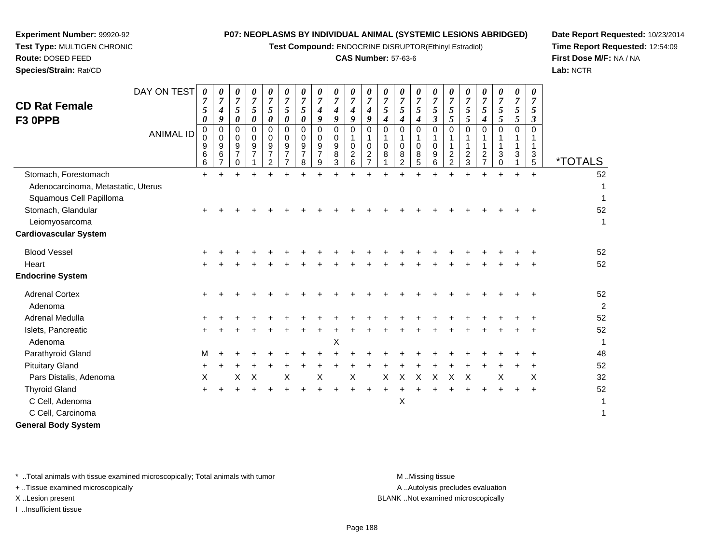**Test Compound:** ENDOCRINE DISRUPTOR(Ethinyl Estradiol)

## **CAS Number:** 57-63-6

**Date Report Requested:** 10/23/2014**Time Report Requested:** 12:54:09**First Dose M/F:** NA / NA**Lab:** NCTR

 **Test Type:** MULTIGEN CHRONIC**Route:** DOSED FEED

**Species/Strain:** Rat/CD

**Experiment Number:** 99920-92

|                                    | DAY ON TEST      | 0                                       | 0                     | 0                                   | 0                                | 0                                  | 0                            | 0               | 0                     | 0                     | 0                            | 0                     | 0               | 0                         | 0                   | 0                   | 0               | 0                                | 0                     | 0                                | 0                                | 0              |                       |
|------------------------------------|------------------|-----------------------------------------|-----------------------|-------------------------------------|----------------------------------|------------------------------------|------------------------------|-----------------|-----------------------|-----------------------|------------------------------|-----------------------|-----------------|---------------------------|---------------------|---------------------|-----------------|----------------------------------|-----------------------|----------------------------------|----------------------------------|----------------|-----------------------|
| <b>CD Rat Female</b>               |                  | 7                                       | $\overline{7}$        | $\boldsymbol{7}$                    | $\overline{7}$<br>$\mathfrak{s}$ | $\overline{7}$                     | $\overline{7}$               | $\overline{7}$  | $\overline{7}$        | $\overline{7}$        | $\overline{7}$               | $\overline{7}$        | $\overline{7}$  | 7<br>5                    | $\overline{7}$      | $\overline{7}$      | $\overline{7}$  | $\overline{7}$                   | $\overline{7}$        | $\overline{7}$<br>$\mathfrak{s}$ | $\overline{7}$<br>$\mathfrak{s}$ | $\overline{7}$ |                       |
| F3 OPPB                            |                  | $\mathfrak{s}$<br>$\boldsymbol{\theta}$ | $\boldsymbol{4}$<br>9 | $\sqrt{5}$<br>$\boldsymbol{\theta}$ | $\boldsymbol{\theta}$            | $\sqrt{5}$<br>$\pmb{\theta}$       | $\sqrt{5}$<br>$\pmb{\theta}$ | $\sqrt{5}$<br>0 | $\boldsymbol{4}$<br>9 | $\boldsymbol{4}$<br>9 | $\boldsymbol{4}$<br>9        | $\boldsymbol{4}$<br>9 | $\sqrt{5}$<br>4 | 4                         | $\mathfrak{s}$<br>4 | 5<br>$\mathfrak{z}$ | $\sqrt{5}$<br>5 | $\mathfrak{s}$<br>$\overline{5}$ | 5<br>$\boldsymbol{4}$ | 5                                | $\mathfrak{H}$                   | 5<br>3         |                       |
|                                    | <b>ANIMAL ID</b> | 0                                       | $\mathbf 0$           | 0                                   | $\mathbf 0$                      | $\mathsf 0$                        | $\mathbf 0$                  | $\mathbf 0$     | $\mathbf 0$           | $\mathbf 0$           | 0                            | $\mathbf 0$           | $\mathbf 0$     | $\mathbf 0$               | $\mathbf 0$         | $\mathbf 0$         | $\mathbf 0$     | $\mathbf 0$                      | $\mathbf 0$           | 0                                | $\Omega$                         | $\Omega$       |                       |
|                                    |                  | $\mathbf 0$                             | 0                     | $\mathbf 0$                         | $\mathbf 0$                      | $\mathbf 0$                        | 0                            | $\mathbf 0$     | 0                     | 0                     | 1                            | 1                     | 1               | 1                         | $\mathbf{1}$        | $\mathbf{1}$        | 1               | 1                                | 1                     | 1                                | 1                                |                |                       |
|                                    |                  | 9<br>6                                  | 9<br>6                | 9<br>$\overline{7}$                 | $9\,$<br>$\overline{7}$          | $\boldsymbol{9}$<br>$\overline{7}$ | 9<br>$\overline{7}$          | 9<br>7          | 9<br>$\overline{7}$   | $\boldsymbol{9}$<br>8 | 0<br>$\overline{\mathbf{c}}$ | 0<br>$\overline{c}$   | 0<br>8          | 0<br>8                    | 0<br>8              | $\mathbf 0$<br>9    | $\mathbf{1}$    | 1                                | 1<br>$\overline{c}$   | $\mathbf{1}$<br>$\mathbf{3}$     | $\mathbf 1$<br>3                 | 1<br>3         |                       |
|                                    |                  | 6                                       | $\overline{7}$        | 0                                   |                                  | $\overline{2}$                     | $\overline{7}$               | 8               | 9                     | 3                     | 6                            | $\overline{7}$        |                 | $\overline{2}$            | 5                   | 6                   | $\frac{2}{2}$   | $\frac{2}{3}$                    | $\overline{7}$        | $\mathbf 0$                      |                                  | 5              | <i><b>*TOTALS</b></i> |
| Stomach, Forestomach               |                  | $+$                                     | $\ddot{}$             | ÷                                   | $\ddot{}$                        |                                    |                              |                 |                       |                       | $\ddot{}$                    | $\ddot{}$             |                 |                           |                     | ÷.                  | ÷               |                                  |                       |                                  |                                  | $+$            | 52                    |
| Adenocarcinoma, Metastatic, Uterus |                  |                                         |                       |                                     |                                  |                                    |                              |                 |                       |                       |                              |                       |                 |                           |                     |                     |                 |                                  |                       |                                  |                                  |                | 1                     |
| Squamous Cell Papilloma            |                  |                                         |                       |                                     |                                  |                                    |                              |                 |                       |                       |                              |                       |                 |                           |                     |                     |                 |                                  |                       |                                  |                                  |                | 1                     |
| Stomach, Glandular                 |                  |                                         |                       |                                     |                                  |                                    |                              |                 |                       |                       |                              |                       |                 |                           |                     |                     |                 |                                  |                       |                                  |                                  |                | 52                    |
| Leiomyosarcoma                     |                  |                                         |                       |                                     |                                  |                                    |                              |                 |                       |                       |                              |                       |                 |                           |                     |                     |                 |                                  |                       |                                  |                                  |                | $\mathbf{1}$          |
| <b>Cardiovascular System</b>       |                  |                                         |                       |                                     |                                  |                                    |                              |                 |                       |                       |                              |                       |                 |                           |                     |                     |                 |                                  |                       |                                  |                                  |                |                       |
| <b>Blood Vessel</b>                |                  |                                         |                       |                                     |                                  |                                    |                              |                 |                       |                       |                              |                       |                 |                           |                     |                     |                 |                                  |                       |                                  |                                  |                | 52                    |
| Heart                              |                  |                                         |                       |                                     |                                  |                                    |                              |                 |                       |                       |                              |                       |                 |                           |                     |                     |                 |                                  |                       |                                  |                                  |                | 52                    |
| <b>Endocrine System</b>            |                  |                                         |                       |                                     |                                  |                                    |                              |                 |                       |                       |                              |                       |                 |                           |                     |                     |                 |                                  |                       |                                  |                                  |                |                       |
| <b>Adrenal Cortex</b>              |                  |                                         |                       |                                     |                                  |                                    |                              |                 |                       |                       |                              |                       |                 |                           |                     |                     |                 |                                  |                       |                                  |                                  |                | 52                    |
| Adenoma                            |                  |                                         |                       |                                     |                                  |                                    |                              |                 |                       |                       |                              |                       |                 |                           |                     |                     |                 |                                  |                       |                                  |                                  |                | $\overline{2}$        |
| Adrenal Medulla                    |                  |                                         |                       |                                     |                                  |                                    |                              |                 |                       |                       |                              |                       |                 |                           |                     |                     |                 |                                  |                       |                                  |                                  |                | 52                    |
| Islets, Pancreatic                 |                  |                                         |                       |                                     |                                  |                                    |                              |                 |                       |                       |                              |                       |                 |                           |                     |                     |                 |                                  |                       |                                  |                                  |                | 52                    |
| Adenoma                            |                  |                                         |                       |                                     |                                  |                                    |                              |                 |                       | X                     |                              |                       |                 |                           |                     |                     |                 |                                  |                       |                                  |                                  |                | 1                     |
| Parathyroid Gland                  |                  | M                                       |                       |                                     |                                  |                                    |                              |                 |                       |                       |                              |                       |                 |                           |                     |                     |                 |                                  |                       |                                  |                                  |                | 48                    |
| <b>Pituitary Gland</b>             |                  | ÷                                       |                       |                                     |                                  |                                    |                              |                 |                       |                       |                              |                       |                 |                           |                     |                     |                 |                                  |                       |                                  |                                  |                | 52                    |
| Pars Distalis, Adenoma             |                  | X                                       |                       | X                                   | X                                |                                    | X                            |                 | X                     |                       | X                            |                       | X               | $\boldsymbol{\mathsf{X}}$ | X                   | $\pmb{\times}$      | X               | X                                |                       | X                                |                                  | X              | 32                    |
| <b>Thyroid Gland</b>               |                  | $\pm$                                   |                       |                                     |                                  |                                    |                              |                 |                       |                       |                              |                       |                 |                           |                     |                     |                 |                                  |                       |                                  |                                  | $\ddot{}$      | 52                    |
| C Cell, Adenoma                    |                  |                                         |                       |                                     |                                  |                                    |                              |                 |                       |                       |                              |                       |                 | $\boldsymbol{\mathsf{X}}$ |                     |                     |                 |                                  |                       |                                  |                                  |                | 1                     |
| C Cell, Carcinoma                  |                  |                                         |                       |                                     |                                  |                                    |                              |                 |                       |                       |                              |                       |                 |                           |                     |                     |                 |                                  |                       |                                  |                                  |                | $\mathbf{1}$          |
| <b>General Body System</b>         |                  |                                         |                       |                                     |                                  |                                    |                              |                 |                       |                       |                              |                       |                 |                           |                     |                     |                 |                                  |                       |                                  |                                  |                |                       |

\* ..Total animals with tissue examined microscopically; Total animals with tumor **M** . Missing tissue M ..Missing tissue

+ ..Tissue examined microscopically

I ..Insufficient tissue

A ..Autolysis precludes evaluation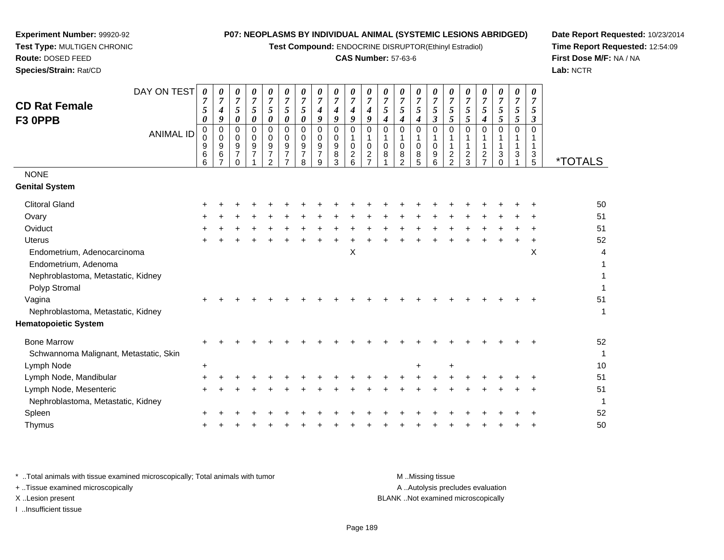**Test Compound:** ENDOCRINE DISRUPTOR(Ethinyl Estradiol)

## **CAS Number:** 57-63-6

**Date Report Requested:** 10/23/2014**Time Report Requested:** 12:54:09**First Dose M/F:** NA / NA**Lab:** NCTR

| <b>Genital System</b>                     | <i><b>*TOTALS</b></i> |
|-------------------------------------------|-----------------------|
| <b>Clitoral Gland</b>                     | 50                    |
|                                           | 51                    |
| Ovary<br>Oviduct                          | 51                    |
| <b>Uterus</b>                             | 52                    |
| X<br>X<br>Endometrium, Adenocarcinoma     | $\overline{4}$        |
| Endometrium, Adenoma                      |                       |
| Nephroblastoma, Metastatic, Kidney        |                       |
| Polyp Stromal                             |                       |
| Vagina                                    | 51                    |
| Nephroblastoma, Metastatic, Kidney        | $\mathbf{1}$          |
| <b>Hematopoietic System</b>               |                       |
| <b>Bone Marrow</b>                        | 52                    |
| Schwannoma Malignant, Metastatic, Skin    | $\mathbf{1}$          |
| Lymph Node<br>$\ddot{}$<br>$\ddot{}$<br>+ | 10                    |
| Lymph Node, Mandibular<br>+               | 51                    |
| Lymph Node, Mesenteric<br>$\ddot{}$       | 51                    |
| Nephroblastoma, Metastatic, Kidney        | 1                     |
| Spleen                                    | 52                    |
| Thymus                                    | 50                    |

\* ..Total animals with tissue examined microscopically; Total animals with tumor **M** . Missing tissue M ..Missing tissue A ..Autolysis precludes evaluation + ..Tissue examined microscopically X ..Lesion present BLANK ..Not examined microscopicallyI ..Insufficient tissue

**Experiment Number:** 99920-92**Test Type:** MULTIGEN CHRONIC

**Route:** DOSED FEED**Species/Strain:** Rat/CD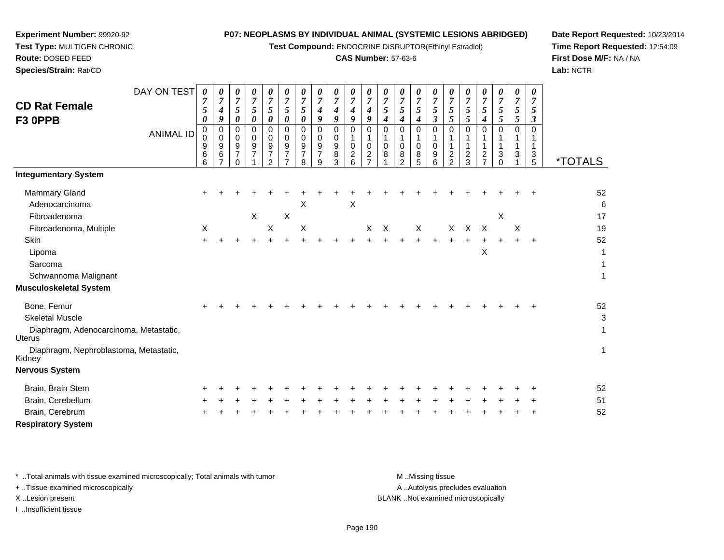**Test Compound:** ENDOCRINE DISRUPTOR(Ethinyl Estradiol)

## **CAS Number:** 57-63-6

**Date Report Requested:** 10/23/2014**Time Report Requested:** 12:54:09**First Dose M/F:** NA / NA**Lab:** NCTR

**Species/Strain:** Rat/CD

**Experiment Number:** 99920-92

|                                                         | DAY ON TEST      | $\boldsymbol{\theta}$                                     | 0                                  | 0                                                        | 0                            | 0                                           | 0                              | 0                     | 0                                  | 0                                  | 0                                  | 0                                                 | 0                                 | 0                                 | 0                                                       | 0                             | 0                                      | 0                                      | 0                                               | 0                              | 0                                     | 0                    |                       |
|---------------------------------------------------------|------------------|-----------------------------------------------------------|------------------------------------|----------------------------------------------------------|------------------------------|---------------------------------------------|--------------------------------|-----------------------|------------------------------------|------------------------------------|------------------------------------|---------------------------------------------------|-----------------------------------|-----------------------------------|---------------------------------------------------------|-------------------------------|----------------------------------------|----------------------------------------|-------------------------------------------------|--------------------------------|---------------------------------------|----------------------|-----------------------|
| <b>CD Rat Female</b>                                    |                  | $\overline{7}$<br>$\mathfrak{s}$                          | $\boldsymbol{7}$<br>4              | $\boldsymbol{7}$<br>$\sqrt{5}$                           | $\overline{7}$<br>$\sqrt{5}$ | $\overline{7}$<br>5                         | $\boldsymbol{7}$<br>$\sqrt{5}$ | $\overline{7}$<br>5   | $\overline{7}$<br>$\boldsymbol{4}$ | $\overline{7}$<br>$\boldsymbol{4}$ | $\overline{7}$<br>$\boldsymbol{4}$ | $\boldsymbol{7}$<br>$\boldsymbol{4}$              | $\boldsymbol{7}$<br>5             | $\overline{7}$<br>5               | $\overline{7}$<br>$\overline{5}$                        | $\overline{7}$<br>$\sqrt{5}$  | $\overline{7}$<br>$\sqrt{5}$           | $\overline{7}$<br>$\mathfrak{s}$       | $\overline{7}$<br>$\sqrt{5}$                    | $\overline{7}$<br>$\sqrt{5}$   | $\overline{7}$<br>5                   | $\overline{7}$<br>5  |                       |
| F3 OPPB                                                 |                  | 0                                                         | 9                                  | $\pmb{\theta}$                                           | $\boldsymbol{\theta}$        | 0                                           | $\boldsymbol{\theta}$          | 0                     | $\boldsymbol{9}$                   | 9                                  | 9                                  | 9                                                 | $\boldsymbol{4}$                  | $\boldsymbol{4}$                  | $\boldsymbol{4}$                                        | $\boldsymbol{\mathfrak{z}}$   | 5                                      | 5                                      | 4                                               | $\sqrt{5}$                     | $\sqrt{5}$                            | $\boldsymbol{\beta}$ |                       |
|                                                         | <b>ANIMAL ID</b> | 0<br>$\bar{0}$<br>$\boldsymbol{9}$<br>6<br>$\overline{6}$ | 0<br>0<br>9<br>6<br>$\overline{7}$ | 0<br>0<br>$\boldsymbol{9}$<br>$\overline{7}$<br>$\Omega$ | $\pmb{0}$<br>0<br>9          | $\mathbf 0$<br>0<br>9<br>7<br>$\mathcal{P}$ | $\pmb{0}$<br>0<br>9<br>7       | 0<br>0<br>9<br>7<br>8 | 0<br>0<br>9<br>$\overline{7}$<br>9 | 0<br>0<br>9<br>8<br>3              | 0<br>1<br>0<br>2<br>6              | 0<br>$\mathbf{1}$<br>$\mathbf 0$<br>$\frac{2}{7}$ | $\Omega$<br>1<br>$\mathbf 0$<br>8 | 0<br>1<br>0<br>8<br>$\mathcal{P}$ | 0<br>$\mathbf{1}$<br>$\mathbf 0$<br>8<br>$\overline{5}$ | 0<br>1<br>$\pmb{0}$<br>9<br>6 | $\mathbf 0$<br>1<br>1<br>$\frac{2}{2}$ | $\mathbf 0$<br>1<br>1<br>$\frac{2}{3}$ | 0<br>1<br>1<br>$\overline{c}$<br>$\overline{7}$ | $\Omega$<br>1<br>3<br>$\Omega$ | 0<br>$\mathbf{1}$<br>$\mathbf 1$<br>3 | 0<br>1<br>3<br>5     | <i><b>*TOTALS</b></i> |
| <b>Integumentary System</b>                             |                  |                                                           |                                    |                                                          |                              |                                             |                                |                       |                                    |                                    |                                    |                                                   |                                   |                                   |                                                         |                               |                                        |                                        |                                                 |                                |                                       |                      |                       |
| Mammary Gland                                           |                  |                                                           |                                    |                                                          |                              |                                             |                                |                       |                                    |                                    |                                    |                                                   |                                   |                                   |                                                         |                               |                                        |                                        |                                                 |                                |                                       |                      | 52                    |
| Adenocarcinoma                                          |                  |                                                           |                                    |                                                          |                              |                                             |                                | X                     |                                    |                                    | X                                  |                                                   |                                   |                                   |                                                         |                               |                                        |                                        |                                                 |                                |                                       |                      | 6                     |
| Fibroadenoma                                            |                  |                                                           |                                    |                                                          | $\mathsf X$                  |                                             | $\boldsymbol{\mathsf{X}}$      |                       |                                    |                                    |                                    |                                                   |                                   |                                   |                                                         |                               |                                        |                                        |                                                 | X                              |                                       |                      | 17                    |
| Fibroadenoma, Multiple                                  |                  | X                                                         |                                    |                                                          |                              | $\boldsymbol{\mathsf{X}}$                   |                                | X                     |                                    |                                    |                                    |                                                   | $X$ $X$                           |                                   | $\mathsf{X}$                                            |                               | $\times$                               | $\mathsf{X}$                           | $\mathsf{X}$                                    |                                | X                                     |                      | 19                    |
| Skin                                                    |                  |                                                           |                                    |                                                          |                              |                                             |                                |                       |                                    |                                    |                                    |                                                   |                                   |                                   |                                                         |                               | $+$                                    |                                        |                                                 |                                |                                       | $\ddot{}$            | 52                    |
| Lipoma                                                  |                  |                                                           |                                    |                                                          |                              |                                             |                                |                       |                                    |                                    |                                    |                                                   |                                   |                                   |                                                         |                               |                                        |                                        | X                                               |                                |                                       |                      | 1                     |
| Sarcoma                                                 |                  |                                                           |                                    |                                                          |                              |                                             |                                |                       |                                    |                                    |                                    |                                                   |                                   |                                   |                                                         |                               |                                        |                                        |                                                 |                                |                                       |                      | $\mathbf{1}$          |
| Schwannoma Malignant                                    |                  |                                                           |                                    |                                                          |                              |                                             |                                |                       |                                    |                                    |                                    |                                                   |                                   |                                   |                                                         |                               |                                        |                                        |                                                 |                                |                                       |                      | 1                     |
| <b>Musculoskeletal System</b>                           |                  |                                                           |                                    |                                                          |                              |                                             |                                |                       |                                    |                                    |                                    |                                                   |                                   |                                   |                                                         |                               |                                        |                                        |                                                 |                                |                                       |                      |                       |
| Bone, Femur                                             |                  |                                                           |                                    |                                                          |                              |                                             |                                |                       |                                    |                                    |                                    |                                                   |                                   |                                   |                                                         |                               |                                        |                                        |                                                 |                                |                                       |                      | 52                    |
| <b>Skeletal Muscle</b>                                  |                  |                                                           |                                    |                                                          |                              |                                             |                                |                       |                                    |                                    |                                    |                                                   |                                   |                                   |                                                         |                               |                                        |                                        |                                                 |                                |                                       |                      | 3                     |
| Diaphragm, Adenocarcinoma, Metastatic,<br><b>Uterus</b> |                  |                                                           |                                    |                                                          |                              |                                             |                                |                       |                                    |                                    |                                    |                                                   |                                   |                                   |                                                         |                               |                                        |                                        |                                                 |                                |                                       |                      | $\mathbf{1}$          |
| Diaphragm, Nephroblastoma, Metastatic,<br>Kidney        |                  |                                                           |                                    |                                                          |                              |                                             |                                |                       |                                    |                                    |                                    |                                                   |                                   |                                   |                                                         |                               |                                        |                                        |                                                 |                                |                                       |                      | 1                     |
| <b>Nervous System</b>                                   |                  |                                                           |                                    |                                                          |                              |                                             |                                |                       |                                    |                                    |                                    |                                                   |                                   |                                   |                                                         |                               |                                        |                                        |                                                 |                                |                                       |                      |                       |
| Brain, Brain Stem                                       |                  |                                                           |                                    |                                                          |                              |                                             |                                |                       |                                    |                                    |                                    |                                                   |                                   |                                   |                                                         |                               |                                        |                                        |                                                 |                                |                                       |                      | 52                    |
| Brain, Cerebellum                                       |                  |                                                           |                                    |                                                          |                              |                                             |                                |                       |                                    |                                    |                                    |                                                   |                                   |                                   |                                                         |                               |                                        |                                        |                                                 |                                |                                       |                      | 51                    |
| Brain, Cerebrum                                         |                  |                                                           |                                    |                                                          |                              |                                             |                                |                       |                                    |                                    |                                    |                                                   |                                   |                                   |                                                         |                               |                                        |                                        |                                                 |                                |                                       |                      | 52                    |
| <b>Respiratory System</b>                               |                  |                                                           |                                    |                                                          |                              |                                             |                                |                       |                                    |                                    |                                    |                                                   |                                   |                                   |                                                         |                               |                                        |                                        |                                                 |                                |                                       |                      |                       |

\* ..Total animals with tissue examined microscopically; Total animals with tumor **M** . Missing tissue M ..Missing tissue

+ ..Tissue examined microscopically

I ..Insufficient tissue

A ..Autolysis precludes evaluation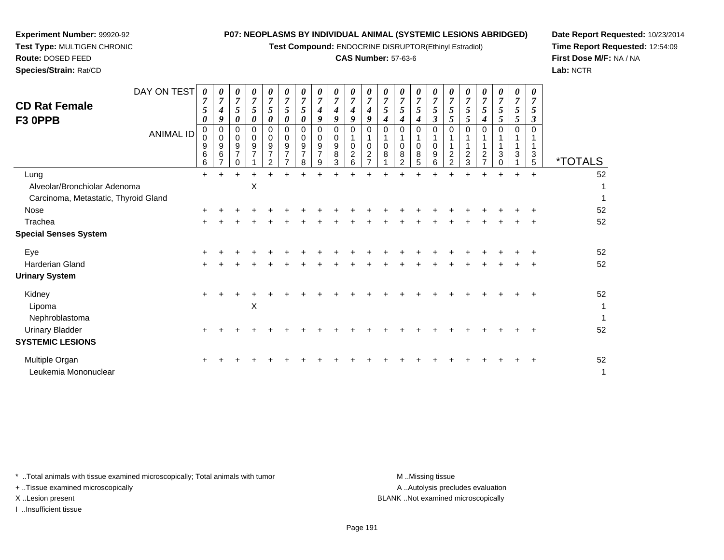**Test Compound:** ENDOCRINE DISRUPTOR(Ethinyl Estradiol)

## **CAS Number:** 57-63-6

**Date Report Requested:** 10/23/2014**Time Report Requested:** 12:54:09**First Dose M/F:** NA / NA**Lab:** NCTR

 **Test Type:** MULTIGEN CHRONIC**Route:** DOSED FEED

**Species/Strain:** Rat/CD

**Experiment Number:** 99920-92

| <b>CD Rat Female</b><br>F3 OPPB        | DAY ON TEST<br><b>ANIMAL ID</b> | $\boldsymbol{\theta}$<br>$\overline{7}$<br>5<br>0<br>0<br>0<br>9<br>6<br>6 | 4<br>9<br>0<br>$\mathbf 0$<br>9<br>6<br>$\overline{ }$ | 0<br>$\overline{7}$<br>5<br>$\boldsymbol{\theta}$<br>0<br>0<br>9<br>$\overline{7}$<br>0 | 0<br>$\overline{7}$<br>$5\overline{)}$<br>0<br>$\Omega$<br>$\mathbf 0$<br>9<br>$\overline{7}$ | 0<br>$\overline{7}$<br>5<br>$\boldsymbol{\theta}$<br>$\mathbf 0$<br>$\mathbf 0$<br>$\boldsymbol{9}$<br>$\overline{7}$<br>$\mathcal{P}$ | 0<br>$\overline{7}$<br>5<br>0<br>$\pmb{0}$<br>0<br>$\boldsymbol{9}$<br>$\overline{7}$<br>$\overline{ }$ | 0<br>$\overline{7}$<br>5<br>0<br>$\Omega$<br>0<br>9<br>$\overline{7}$<br>8 | 0<br>4<br>9<br>0<br>0<br>9<br>$\overline{7}$<br>9 | 0<br>$\overline{7}$<br>4<br>9<br>$\mathbf 0$<br>0<br>9<br>8<br>3 | 0<br>$\overline{7}$<br>4<br>9<br>$\Omega$<br>$\mathbf{1}$<br>0<br>$\overline{c}$<br>6 | 0<br>4<br>9<br>$\mathbf 0$<br>0<br>$\overline{2}$<br>$\overline{ }$ | 0<br>$\overline{7}$<br>5<br>4<br>$\mathbf 0$<br>1<br>0<br>8 | $\boldsymbol{\theta}$<br>$\overline{7}$<br>5<br>4<br>$\Omega$<br>$\mathbf{1}$<br>0<br>8<br>$\overline{2}$ | 5<br>4<br>$\Omega$<br>$\mathbf 0$<br>8<br>5 | 0<br>$\overline{7}$<br>5<br>$\boldsymbol{\beta}$<br>$\mathbf 0$<br>$\mathbf 0$<br>$\boldsymbol{9}$<br>6 | $\boldsymbol{\theta}$<br>$\overline{7}$<br>5<br>5<br>$\Omega$<br>$\boldsymbol{2}$<br>$\overline{2}$ | 0<br>$\overline{7}$<br>5<br>5<br>$\Omega$<br>$\frac{2}{3}$ | 0<br>$\overline{7}$<br>5<br>$\boldsymbol{4}$<br>$\mathbf 0$<br>$\boldsymbol{2}$<br>$\overline{7}$ | 0<br>$\overline{7}$<br>5<br>5<br>$\Omega$<br>1<br>3<br>$\Omega$ | 5<br>5<br>$\overline{0}$<br>3 | 0<br>5<br>3<br>3<br>5 | <i><b>*TOTALS</b></i> |
|----------------------------------------|---------------------------------|----------------------------------------------------------------------------|--------------------------------------------------------|-----------------------------------------------------------------------------------------|-----------------------------------------------------------------------------------------------|----------------------------------------------------------------------------------------------------------------------------------------|---------------------------------------------------------------------------------------------------------|----------------------------------------------------------------------------|---------------------------------------------------|------------------------------------------------------------------|---------------------------------------------------------------------------------------|---------------------------------------------------------------------|-------------------------------------------------------------|-----------------------------------------------------------------------------------------------------------|---------------------------------------------|---------------------------------------------------------------------------------------------------------|-----------------------------------------------------------------------------------------------------|------------------------------------------------------------|---------------------------------------------------------------------------------------------------|-----------------------------------------------------------------|-------------------------------|-----------------------|-----------------------|
| Lung                                   |                                 | $+$                                                                        | $+$                                                    | $\ddot{}$                                                                               | $\ddot{}$                                                                                     |                                                                                                                                        |                                                                                                         |                                                                            |                                                   | +                                                                | $\ddot{}$                                                                             |                                                                     |                                                             |                                                                                                           | $\ddot{}$                                   | $\ddot{}$                                                                                               | $\ddot{}$                                                                                           | $\ddot{}$                                                  |                                                                                                   |                                                                 |                               | $\ddot{}$             | 52                    |
| Alveolar/Bronchiolar Adenoma           |                                 |                                                                            |                                                        |                                                                                         | $\times$                                                                                      |                                                                                                                                        |                                                                                                         |                                                                            |                                                   |                                                                  |                                                                                       |                                                                     |                                                             |                                                                                                           |                                             |                                                                                                         |                                                                                                     |                                                            |                                                                                                   |                                                                 |                               |                       |                       |
| Carcinoma, Metastatic, Thyroid Gland   |                                 |                                                                            |                                                        |                                                                                         |                                                                                               |                                                                                                                                        |                                                                                                         |                                                                            |                                                   |                                                                  |                                                                                       |                                                                     |                                                             |                                                                                                           |                                             |                                                                                                         |                                                                                                     |                                                            |                                                                                                   |                                                                 |                               |                       |                       |
| Nose                                   |                                 |                                                                            |                                                        |                                                                                         |                                                                                               |                                                                                                                                        |                                                                                                         |                                                                            |                                                   |                                                                  |                                                                                       |                                                                     |                                                             |                                                                                                           |                                             |                                                                                                         |                                                                                                     |                                                            |                                                                                                   |                                                                 |                               |                       | 52                    |
| Trachea                                |                                 |                                                                            |                                                        |                                                                                         |                                                                                               |                                                                                                                                        |                                                                                                         |                                                                            |                                                   |                                                                  |                                                                                       |                                                                     |                                                             |                                                                                                           |                                             |                                                                                                         |                                                                                                     |                                                            |                                                                                                   |                                                                 |                               |                       | 52                    |
| <b>Special Senses System</b>           |                                 |                                                                            |                                                        |                                                                                         |                                                                                               |                                                                                                                                        |                                                                                                         |                                                                            |                                                   |                                                                  |                                                                                       |                                                                     |                                                             |                                                                                                           |                                             |                                                                                                         |                                                                                                     |                                                            |                                                                                                   |                                                                 |                               |                       |                       |
| Eye                                    |                                 |                                                                            |                                                        |                                                                                         |                                                                                               |                                                                                                                                        |                                                                                                         |                                                                            |                                                   |                                                                  |                                                                                       |                                                                     |                                                             |                                                                                                           |                                             |                                                                                                         |                                                                                                     |                                                            |                                                                                                   |                                                                 |                               |                       | 52                    |
| Harderian Gland                        |                                 |                                                                            |                                                        |                                                                                         |                                                                                               |                                                                                                                                        |                                                                                                         |                                                                            |                                                   |                                                                  |                                                                                       |                                                                     |                                                             |                                                                                                           |                                             |                                                                                                         |                                                                                                     |                                                            |                                                                                                   |                                                                 |                               |                       | 52                    |
| <b>Urinary System</b>                  |                                 |                                                                            |                                                        |                                                                                         |                                                                                               |                                                                                                                                        |                                                                                                         |                                                                            |                                                   |                                                                  |                                                                                       |                                                                     |                                                             |                                                                                                           |                                             |                                                                                                         |                                                                                                     |                                                            |                                                                                                   |                                                                 |                               |                       |                       |
| Kidney                                 |                                 |                                                                            |                                                        |                                                                                         |                                                                                               |                                                                                                                                        |                                                                                                         |                                                                            |                                                   |                                                                  |                                                                                       |                                                                     |                                                             |                                                                                                           |                                             |                                                                                                         |                                                                                                     |                                                            |                                                                                                   |                                                                 |                               |                       | 52                    |
| Lipoma                                 |                                 |                                                                            |                                                        |                                                                                         | $\mathsf X$                                                                                   |                                                                                                                                        |                                                                                                         |                                                                            |                                                   |                                                                  |                                                                                       |                                                                     |                                                             |                                                                                                           |                                             |                                                                                                         |                                                                                                     |                                                            |                                                                                                   |                                                                 |                               |                       | 1                     |
| Nephroblastoma                         |                                 |                                                                            |                                                        |                                                                                         |                                                                                               |                                                                                                                                        |                                                                                                         |                                                                            |                                                   |                                                                  |                                                                                       |                                                                     |                                                             |                                                                                                           |                                             |                                                                                                         |                                                                                                     |                                                            |                                                                                                   |                                                                 |                               |                       | $\mathbf{1}$          |
| <b>Urinary Bladder</b>                 |                                 |                                                                            |                                                        |                                                                                         |                                                                                               |                                                                                                                                        |                                                                                                         |                                                                            |                                                   |                                                                  |                                                                                       |                                                                     |                                                             |                                                                                                           |                                             |                                                                                                         |                                                                                                     |                                                            |                                                                                                   |                                                                 |                               |                       | 52                    |
| <b>SYSTEMIC LESIONS</b>                |                                 |                                                                            |                                                        |                                                                                         |                                                                                               |                                                                                                                                        |                                                                                                         |                                                                            |                                                   |                                                                  |                                                                                       |                                                                     |                                                             |                                                                                                           |                                             |                                                                                                         |                                                                                                     |                                                            |                                                                                                   |                                                                 |                               |                       |                       |
| Multiple Organ<br>Leukemia Mononuclear |                                 |                                                                            |                                                        |                                                                                         |                                                                                               |                                                                                                                                        |                                                                                                         |                                                                            |                                                   |                                                                  |                                                                                       |                                                                     |                                                             |                                                                                                           |                                             |                                                                                                         |                                                                                                     |                                                            |                                                                                                   |                                                                 |                               |                       | 52<br>1               |

\* ..Total animals with tissue examined microscopically; Total animals with tumor **M** . Missing tissue M ..Missing tissue

+ ..Tissue examined microscopically

I ..Insufficient tissue

A ..Autolysis precludes evaluation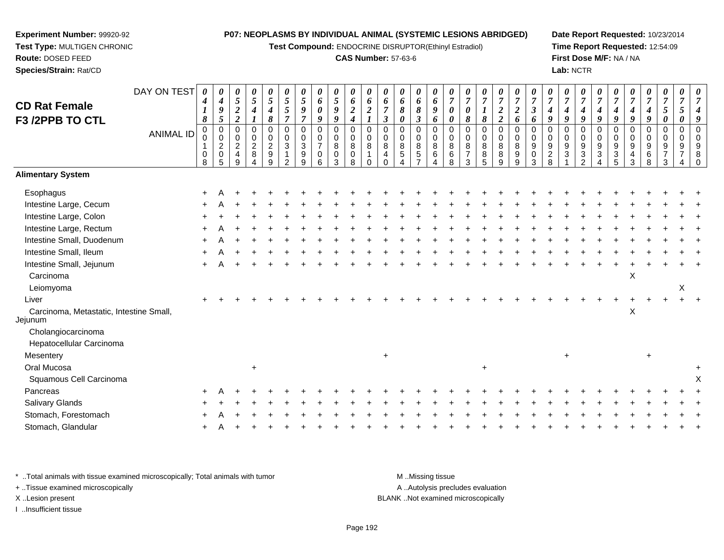**Test Compound:** ENDOCRINE DISRUPTOR(Ethinyl Estradiol)

## **CAS Number:** 57-63-6

**Date Report Requested:** 10/23/2014**Time Report Requested:** 12:54:09**First Dose M/F:** NA / NA**Lab:** NCTR

 $\ddot{}$ 

| <b>CD Rat Female</b>                               | DAY ON TEST      | 0<br>$\boldsymbol{4}$<br>1<br>8 | $\boldsymbol{\theta}$<br>$\boldsymbol{4}$<br>$\boldsymbol{9}$<br>5 | 0<br>5<br>$\boldsymbol{2}$<br>$\overline{2}$ | $\pmb{\theta}$<br>$\sqrt{5}$<br>$\boldsymbol{4}$ | 0<br>5<br>4<br>8                                                | 0<br>$\mathfrak{s}$<br>5<br>$\overline{7}$ | 0<br>$\mathfrak{s}$<br>9<br>$\overline{7}$ | 0<br>6<br>0<br>9                                    | $\pmb{\theta}$<br>$\sqrt{5}$<br>9<br>9 | $\pmb{\theta}$<br>6<br>$\boldsymbol{2}$<br>$\boldsymbol{4}$ | 0<br>6<br>$\overline{2}$<br>$\boldsymbol{l}$ | $\boldsymbol{\theta}$<br>6<br>$\overline{7}$<br>$\mathfrak{z}$ | 0<br>6<br>8<br>0        | 0<br>6<br>8<br>$\boldsymbol{\beta}$ | 0<br>6<br>9<br>6                 | 0<br>$\overline{7}$<br>0<br>0 | 0<br>$\overline{7}$<br>$\boldsymbol{\theta}$<br>8   | 0<br>$\overline{7}$<br>8     | 0<br>$\overline{7}$<br>$\boldsymbol{2}$<br>$\overline{2}$ | $\pmb{\theta}$<br>$\boldsymbol{7}$<br>$\boldsymbol{2}$<br>6 | 0<br>$\overline{7}$<br>$\boldsymbol{\beta}$<br>6 | 0<br>$\overline{7}$<br>4<br>9                    | 0<br>$\overline{7}$<br>4<br>9 | 0<br>$\overline{7}$<br>4<br>9     | 0<br>$\overline{7}$<br>4<br>9                    | 0<br>$\overline{7}$<br>4<br>9   | 7<br>9                         | 0<br>$\overline{7}$<br>4<br>9 | 0<br>$\overline{7}$<br>5<br>0 | 0<br>$\overline{7}$<br>5<br>$\boldsymbol{\theta}$ | $\boldsymbol{\theta}$ |
|----------------------------------------------------|------------------|---------------------------------|--------------------------------------------------------------------|----------------------------------------------|--------------------------------------------------|-----------------------------------------------------------------|--------------------------------------------|--------------------------------------------|-----------------------------------------------------|----------------------------------------|-------------------------------------------------------------|----------------------------------------------|----------------------------------------------------------------|-------------------------|-------------------------------------|----------------------------------|-------------------------------|-----------------------------------------------------|------------------------------|-----------------------------------------------------------|-------------------------------------------------------------|--------------------------------------------------|--------------------------------------------------|-------------------------------|-----------------------------------|--------------------------------------------------|---------------------------------|--------------------------------|-------------------------------|-------------------------------|---------------------------------------------------|-----------------------|
| F3 /2PPB TO CTL                                    | <b>ANIMAL ID</b> | $\mathbf 0$<br>0<br>0<br>8      | $\Omega$<br>$\mathbf 0$<br>$\overline{c}$<br>$\mathbf 0$<br>5      | $\Omega$<br>0<br>$\overline{c}$<br>4<br>q    | 0<br>0<br>$\overline{c}$<br>8                    | $\mathbf 0$<br>$\pmb{0}$<br>$\sqrt{2}$<br>$\boldsymbol{9}$<br>9 | 0<br>0<br>3<br>$\mathfrak{p}$              | $\Omega$<br>$\mathbf 0$<br>3<br>9<br>q     | $\Omega$<br>0<br>$\overline{7}$<br>$\mathbf 0$<br>6 | 0<br>0<br>8<br>0<br>3                  | $\mathbf 0$<br>$\mathbf 0$<br>$\,8\,$<br>$\mathbf 0$<br>8   | $\Omega$<br>$\mathbf 0$<br>8                 | $\Omega$<br>$\mathbf 0$<br>8<br>4                              | $\Omega$<br>0<br>8<br>5 | 0<br>$\mathbf 0$<br>8<br>$\sqrt{5}$ | $\mathbf 0$<br>0<br>$\,8\,$<br>6 | 0<br>0<br>8<br>6<br>8         | $\Omega$<br>$\mathbf 0$<br>8<br>$\overline{7}$<br>3 | $\Omega$<br>0<br>8<br>8<br>5 | $\mathbf 0$<br>$\mathbf 0$<br>8<br>8<br>9                 | $\mathbf 0$<br>$\mathbf 0$<br>$\,8\,$<br>9<br>9             | 0<br>$\mathbf 0$<br>9<br>0<br>3                  | $\Omega$<br>$\Omega$<br>9<br>$\overline{c}$<br>8 | $\Omega$<br>0<br>9<br>3       | 0<br>0<br>9<br>3<br>$\mathcal{P}$ | $\Omega$<br>$\mathbf 0$<br>$9\,$<br>$\mathbf{3}$ | 0<br>$\mathbf 0$<br>9<br>3<br>5 | $\Omega$<br>$\Omega$<br>9<br>3 | 0<br>0<br>9<br>6              | 0<br>0<br>9                   | $\mathbf 0$<br>$\mathbf 0$<br>9                   | 8                     |
| <b>Alimentary System</b>                           |                  |                                 |                                                                    |                                              |                                                  |                                                                 |                                            |                                            |                                                     |                                        |                                                             |                                              |                                                                |                         |                                     |                                  |                               |                                                     |                              |                                                           |                                                             |                                                  |                                                  |                               |                                   |                                                  |                                 |                                |                               |                               |                                                   |                       |
| Esophagus                                          |                  |                                 |                                                                    |                                              |                                                  |                                                                 |                                            |                                            |                                                     |                                        |                                                             |                                              |                                                                |                         |                                     |                                  |                               |                                                     |                              |                                                           |                                                             |                                                  |                                                  |                               |                                   |                                                  |                                 |                                |                               |                               |                                                   |                       |
| Intestine Large, Cecum                             |                  |                                 |                                                                    |                                              |                                                  |                                                                 |                                            |                                            |                                                     |                                        |                                                             |                                              |                                                                |                         |                                     |                                  |                               |                                                     |                              |                                                           |                                                             |                                                  |                                                  |                               |                                   |                                                  |                                 |                                |                               |                               |                                                   |                       |
| Intestine Large, Colon                             |                  |                                 |                                                                    |                                              |                                                  |                                                                 |                                            |                                            |                                                     |                                        |                                                             |                                              |                                                                |                         |                                     |                                  |                               |                                                     |                              |                                                           |                                                             |                                                  |                                                  |                               |                                   |                                                  |                                 |                                |                               |                               |                                                   |                       |
| Intestine Large, Rectum                            |                  |                                 |                                                                    |                                              |                                                  |                                                                 |                                            |                                            |                                                     |                                        |                                                             |                                              |                                                                |                         |                                     |                                  |                               |                                                     |                              |                                                           |                                                             |                                                  |                                                  |                               |                                   |                                                  |                                 |                                |                               |                               |                                                   |                       |
| Intestine Small, Duodenum                          |                  |                                 |                                                                    |                                              |                                                  |                                                                 |                                            |                                            |                                                     |                                        |                                                             |                                              |                                                                |                         |                                     |                                  |                               |                                                     |                              |                                                           |                                                             |                                                  |                                                  |                               |                                   |                                                  |                                 |                                |                               |                               |                                                   |                       |
| Intestine Small, Ileum                             |                  |                                 |                                                                    |                                              |                                                  |                                                                 |                                            |                                            |                                                     |                                        |                                                             |                                              |                                                                |                         |                                     |                                  |                               |                                                     |                              |                                                           |                                                             |                                                  |                                                  |                               |                                   |                                                  |                                 |                                |                               |                               |                                                   |                       |
| Intestine Small, Jejunum                           |                  |                                 |                                                                    |                                              |                                                  |                                                                 |                                            |                                            |                                                     |                                        |                                                             |                                              |                                                                |                         |                                     |                                  |                               |                                                     |                              |                                                           |                                                             |                                                  |                                                  |                               |                                   |                                                  |                                 |                                |                               |                               |                                                   |                       |
| Carcinoma                                          |                  |                                 |                                                                    |                                              |                                                  |                                                                 |                                            |                                            |                                                     |                                        |                                                             |                                              |                                                                |                         |                                     |                                  |                               |                                                     |                              |                                                           |                                                             |                                                  |                                                  |                               |                                   |                                                  |                                 | X                              |                               |                               |                                                   |                       |
| Leiomyoma                                          |                  |                                 |                                                                    |                                              |                                                  |                                                                 |                                            |                                            |                                                     |                                        |                                                             |                                              |                                                                |                         |                                     |                                  |                               |                                                     |                              |                                                           |                                                             |                                                  |                                                  |                               |                                   |                                                  |                                 |                                |                               |                               | X                                                 |                       |
| Liver                                              |                  |                                 |                                                                    |                                              |                                                  |                                                                 |                                            |                                            |                                                     |                                        |                                                             |                                              |                                                                |                         |                                     |                                  |                               |                                                     |                              |                                                           |                                                             |                                                  |                                                  |                               |                                   |                                                  |                                 |                                |                               |                               |                                                   |                       |
| Carcinoma, Metastatic, Intestine Small,<br>Jejunum |                  |                                 |                                                                    |                                              |                                                  |                                                                 |                                            |                                            |                                                     |                                        |                                                             |                                              |                                                                |                         |                                     |                                  |                               |                                                     |                              |                                                           |                                                             |                                                  |                                                  |                               |                                   |                                                  |                                 | X                              |                               |                               |                                                   |                       |
| Cholangiocarcinoma                                 |                  |                                 |                                                                    |                                              |                                                  |                                                                 |                                            |                                            |                                                     |                                        |                                                             |                                              |                                                                |                         |                                     |                                  |                               |                                                     |                              |                                                           |                                                             |                                                  |                                                  |                               |                                   |                                                  |                                 |                                |                               |                               |                                                   |                       |
| Hepatocellular Carcinoma                           |                  |                                 |                                                                    |                                              |                                                  |                                                                 |                                            |                                            |                                                     |                                        |                                                             |                                              |                                                                |                         |                                     |                                  |                               |                                                     |                              |                                                           |                                                             |                                                  |                                                  |                               |                                   |                                                  |                                 |                                |                               |                               |                                                   |                       |
| Mesentery                                          |                  |                                 |                                                                    |                                              |                                                  |                                                                 |                                            |                                            |                                                     |                                        |                                                             |                                              | $\ddot{}$                                                      |                         |                                     |                                  |                               |                                                     |                              |                                                           |                                                             |                                                  |                                                  |                               |                                   |                                                  |                                 |                                |                               |                               |                                                   |                       |
| Oral Mucosa                                        |                  |                                 |                                                                    |                                              | $+$                                              |                                                                 |                                            |                                            |                                                     |                                        |                                                             |                                              |                                                                |                         |                                     |                                  |                               |                                                     | $\ddot{}$                    |                                                           |                                                             |                                                  |                                                  |                               |                                   |                                                  |                                 |                                |                               |                               |                                                   | $\ddot{}$             |
| Squamous Cell Carcinoma                            |                  |                                 |                                                                    |                                              |                                                  |                                                                 |                                            |                                            |                                                     |                                        |                                                             |                                              |                                                                |                         |                                     |                                  |                               |                                                     |                              |                                                           |                                                             |                                                  |                                                  |                               |                                   |                                                  |                                 |                                |                               |                               |                                                   |                       |
| Pancreas                                           |                  |                                 |                                                                    |                                              |                                                  |                                                                 |                                            |                                            |                                                     |                                        |                                                             |                                              |                                                                |                         |                                     |                                  |                               |                                                     |                              |                                                           |                                                             |                                                  |                                                  |                               |                                   |                                                  |                                 |                                |                               |                               |                                                   |                       |
| Salivary Glands                                    |                  |                                 |                                                                    |                                              |                                                  |                                                                 |                                            |                                            |                                                     |                                        |                                                             |                                              |                                                                |                         |                                     |                                  |                               |                                                     |                              |                                                           |                                                             |                                                  |                                                  |                               |                                   |                                                  |                                 |                                |                               |                               |                                                   |                       |
| Stomach, Forestomach                               |                  |                                 |                                                                    |                                              |                                                  |                                                                 |                                            |                                            |                                                     |                                        |                                                             |                                              |                                                                |                         |                                     |                                  |                               |                                                     |                              |                                                           |                                                             |                                                  |                                                  |                               |                                   |                                                  |                                 |                                |                               |                               |                                                   |                       |

\* ..Total animals with tissue examined microscopically; Total animals with tumor **M** ...Missing tissue M ...Missing tissue A .. Autolysis precludes evaluation + ..Tissue examined microscopically X ..Lesion present BLANK ..Not examined microscopicallyI ..Insufficient tissue

 $h \rightarrow$ 

r +

<sup>A</sup>

**Experiment Number:** 99920-92**Test Type:** MULTIGEN CHRONIC

**Route:** DOSED FEED**Species/Strain:** Rat/CD

Stomach, Glandular

<sup>+</sup> <sup>+</sup> <sup>+</sup> <sup>+</sup> <sup>+</sup> <sup>+</sup> <sup>+</sup> <sup>+</sup> <sup>+</sup> <sup>+</sup> <sup>+</sup> <sup>+</sup> <sup>+</sup> <sup>+</sup> <sup>+</sup> <sup>+</sup> <sup>+</sup> <sup>+</sup> <sup>+</sup> <sup>+</sup> <sup>+</sup> <sup>+</sup> <sup>+</sup> <sup>+</sup> <sup>+</sup> <sup>+</sup> <sup>+</sup> <sup>+</sup> <sup>+</sup>

<sup>+</sup> <sup>+</sup> <sup>+</sup> <sup>+</sup> <sup>+</sup> <sup>+</sup> <sup>+</sup> <sup>+</sup> <sup>+</sup> <sup>+</sup> <sup>+</sup> <sup>+</sup> <sup>+</sup> <sup>+</sup> <sup>+</sup> <sup>+</sup> <sup>+</sup> <sup>+</sup> <sup>+</sup> <sup>+</sup> <sup>+</sup> <sup>+</sup> <sup>+</sup> <sup>+</sup> <sup>+</sup> <sup>+</sup> <sup>+</sup> <sup>+</sup> <sup>+</sup>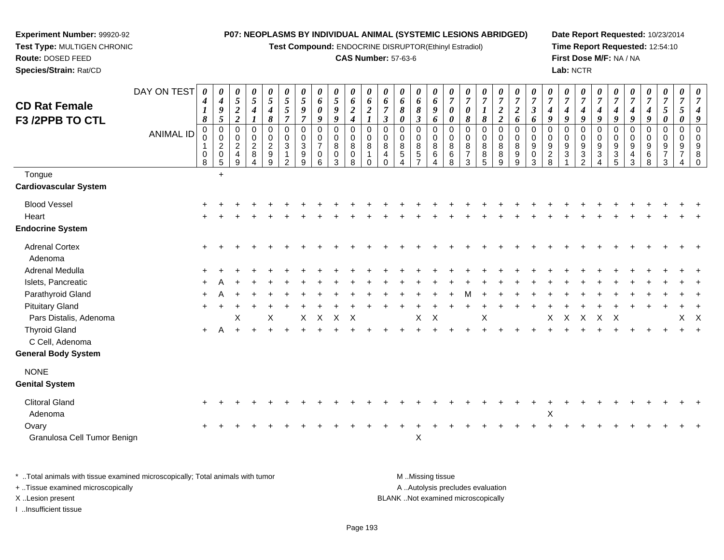**Test Compound:** ENDOCRINE DISRUPTOR(Ethinyl Estradiol)

## **CAS Number:** 57-63-6

**Date Report Requested:** 10/23/2014**Time Report Requested:** 12:54:10**First Dose M/F:** NA / NA**Lab:** NCTR

| $\boldsymbol{0}$<br>$\pmb{0}$<br>$\mathsf{O}\xspace$<br>$\mathsf 0$<br>$\pmb{0}$<br>$\mathbf 0$<br>$\pmb{0}$<br>$\mathsf 0$<br>$\pmb{0}$<br>$\mathbf 0$<br>$\mathbf 0$<br>$\pmb{0}$<br>$\mathbf 0$<br>$\mathbf 0$<br>$\mathbf 0$<br>$\mathbf 0$<br>$\mathbf 0$<br>0<br>$\mathbf 0$<br>$\mathbf 0$<br>$\mathbf 0$<br>$\mathbf 0$<br>$\mathbf 0$<br>0<br>$\mathbf 0$<br>$\mathbf 0$<br>$\mathsf{O}\xspace$<br>$\pmb{0}$<br>$\pmb{0}$<br>$\mathsf 0$<br>$\mathsf{O}\xspace$<br>$\pmb{0}$<br>$\mathbf 0$<br>$\pmb{0}$<br>$\pmb{0}$<br>$\pmb{0}$<br>0<br>$\mathbf 0$<br>$\mathbf 0$<br>$\mathbf 0$<br>0<br>0<br>$\mathbf 0$<br>$\pmb{0}$<br>$\mathbf 0$<br>$\mathbf 0$<br>$\Omega$<br>$\mathbf 0$<br>$\mathbf 0$<br>$\mathbf 0$<br>0<br>$\mathbf 0$<br>$\sqrt{3}$<br>$\overline{7}$<br>$\overline{c}$<br>$\ensuremath{\mathsf{3}}$<br>$\bf8$<br>8<br>8<br>8<br>8<br>8<br>$\bf 8$<br>$\,8\,$<br>9<br>$\boldsymbol{9}$<br>9<br>$\boldsymbol{9}$<br>$9\,$<br>$\boldsymbol{9}$<br>9<br>$\boldsymbol{9}$<br>8<br>8<br>8<br>8<br>9<br>9<br>$\overline{7}$<br>$\mathsf g$<br>$5\,$<br>$\overline{7}$<br>$\frac{8}{5}$<br>$\overline{a}$<br>$\sqrt{3}$<br>$\ensuremath{\mathsf{3}}$<br>$\frac{3}{5}$<br>$\overline{7}$<br>$\boldsymbol{9}$<br>$\overline{5}$<br>$\,6\,$<br>$\,6$<br>6<br>8<br>9<br>$\mathbf{3}$<br>$\mathbf{1}$<br>0<br>0<br>0<br>4<br>0<br>4<br>$\mathbf{1}$<br>8<br>3<br>2<br>3<br>3<br>3<br>2<br>3<br>8<br>9<br>9<br>6<br>8<br>$\Omega$<br>$\overline{7}$<br>8<br>9<br>9<br>$\Omega$<br>4<br>4<br>4 |
|-----------------------------------------------------------------------------------------------------------------------------------------------------------------------------------------------------------------------------------------------------------------------------------------------------------------------------------------------------------------------------------------------------------------------------------------------------------------------------------------------------------------------------------------------------------------------------------------------------------------------------------------------------------------------------------------------------------------------------------------------------------------------------------------------------------------------------------------------------------------------------------------------------------------------------------------------------------------------------------------------------------------------------------------------------------------------------------------------------------------------------------------------------------------------------------------------------------------------------------------------------------------------------------------------------------------------------------------------------------------------------------------------------------------------------------------------------------------------------------------------------------|
|                                                                                                                                                                                                                                                                                                                                                                                                                                                                                                                                                                                                                                                                                                                                                                                                                                                                                                                                                                                                                                                                                                                                                                                                                                                                                                                                                                                                                                                                                                           |
|                                                                                                                                                                                                                                                                                                                                                                                                                                                                                                                                                                                                                                                                                                                                                                                                                                                                                                                                                                                                                                                                                                                                                                                                                                                                                                                                                                                                                                                                                                           |
|                                                                                                                                                                                                                                                                                                                                                                                                                                                                                                                                                                                                                                                                                                                                                                                                                                                                                                                                                                                                                                                                                                                                                                                                                                                                                                                                                                                                                                                                                                           |
|                                                                                                                                                                                                                                                                                                                                                                                                                                                                                                                                                                                                                                                                                                                                                                                                                                                                                                                                                                                                                                                                                                                                                                                                                                                                                                                                                                                                                                                                                                           |
|                                                                                                                                                                                                                                                                                                                                                                                                                                                                                                                                                                                                                                                                                                                                                                                                                                                                                                                                                                                                                                                                                                                                                                                                                                                                                                                                                                                                                                                                                                           |
|                                                                                                                                                                                                                                                                                                                                                                                                                                                                                                                                                                                                                                                                                                                                                                                                                                                                                                                                                                                                                                                                                                                                                                                                                                                                                                                                                                                                                                                                                                           |
| $\mathsf{X}$<br>$\mathsf{X}$<br>$\mathsf{X}$<br>X<br>$\mathsf{X}$<br>$\mathsf{X}$<br>$\mathsf{X}$<br>X<br>$\boldsymbol{\mathsf{X}}$<br>X<br>X<br>X<br>X<br>$\times$                                                                                                                                                                                                                                                                                                                                                                                                                                                                                                                                                                                                                                                                                                                                                                                                                                                                                                                                                                                                                                                                                                                                                                                                                                                                                                                                       |
|                                                                                                                                                                                                                                                                                                                                                                                                                                                                                                                                                                                                                                                                                                                                                                                                                                                                                                                                                                                                                                                                                                                                                                                                                                                                                                                                                                                                                                                                                                           |
|                                                                                                                                                                                                                                                                                                                                                                                                                                                                                                                                                                                                                                                                                                                                                                                                                                                                                                                                                                                                                                                                                                                                                                                                                                                                                                                                                                                                                                                                                                           |
| $\sf X$                                                                                                                                                                                                                                                                                                                                                                                                                                                                                                                                                                                                                                                                                                                                                                                                                                                                                                                                                                                                                                                                                                                                                                                                                                                                                                                                                                                                                                                                                                   |
|                                                                                                                                                                                                                                                                                                                                                                                                                                                                                                                                                                                                                                                                                                                                                                                                                                                                                                                                                                                                                                                                                                                                                                                                                                                                                                                                                                                                                                                                                                           |
|                                                                                                                                                                                                                                                                                                                                                                                                                                                                                                                                                                                                                                                                                                                                                                                                                                                                                                                                                                                                                                                                                                                                                                                                                                                                                                                                                                                                                                                                                                           |

+ ..Tissue examined microscopically

**Experiment Number:** 99920-92**Test Type:** MULTIGEN CHRONIC

**Route:** DOSED FEED**Species/Strain:** Rat/CD

I ..Insufficient tissue

A ..Autolysis precludes evaluation X ..Lesion present BLANK ..Not examined microscopically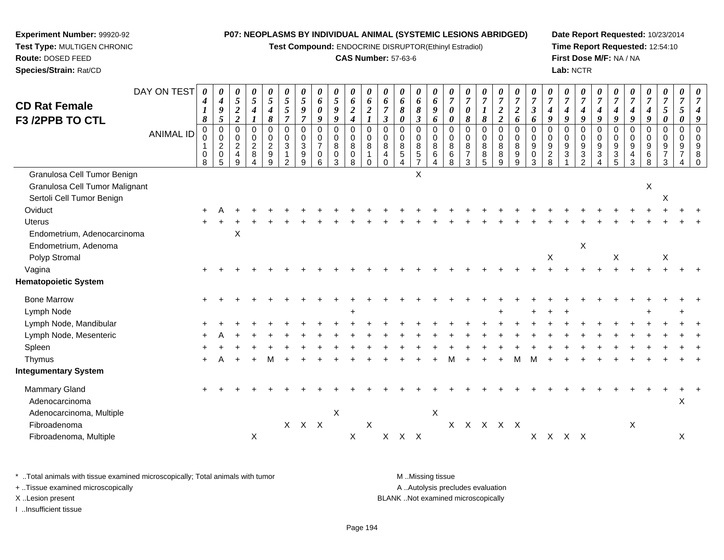**Test Compound:** ENDOCRINE DISRUPTOR(Ethinyl Estradiol)

## **CAS Number:** 57-63-6

**Date Report Requested:** 10/23/2014**Time Report Requested:** 12:54:10**First Dose M/F:** NA / NA**Lab:** NCTR

| <b>CD Rat Female</b><br>F3 /2PPB TO CTL                                                    | DAY ON TEST<br><b>ANIMAL ID</b> | $\boldsymbol{\theta}$<br>4<br>$\boldsymbol{l}$<br>$\pmb{8}$<br>$\mathbf 0$<br>0<br>0<br>8 | 0<br>$\boldsymbol{4}$<br>$\boldsymbol{g}$<br>$\overline{5}$<br>$\mathbf 0$<br>$\pmb{0}$<br>$\boldsymbol{2}$<br>$\pmb{0}$<br>5 | 0<br>$5\overline{)}$<br>$\boldsymbol{2}$<br>$\overline{2}$<br>$\mathbf 0$<br>0<br>$\overline{c}$<br>$\overline{\mathbf{4}}$<br>9 | 0<br>5<br>$\boldsymbol{4}$<br>$\boldsymbol{l}$<br>$\mathbf 0$<br>$\mathbf 0$<br>$\boldsymbol{2}$<br>$\,8\,$<br>$\overline{4}$ | $\boldsymbol{\theta}$<br>$\mathfrak{s}$<br>$\boldsymbol{4}$<br>$\pmb{8}$<br>$\mathbf 0$<br>$\pmb{0}$<br>$\overline{c}$<br>$\boldsymbol{9}$<br>9 | $\boldsymbol{\theta}$<br>$\mathfrak{s}$<br>$\sqrt{5}$<br>$\overline{7}$<br>$\mathbf 0$<br>$\mathbf 0$<br>$\mathbf{3}$<br>$\overline{1}$<br>$\overline{2}$ | 0<br>$\overline{5}$<br>$\boldsymbol{9}$<br>$\overline{7}$<br>$\mathbf 0$<br>$\mathbf 0$<br>$\sqrt{3}$<br>$\boldsymbol{9}$<br>9 | 0<br>6<br>0<br>9<br>$\mathbf 0$<br>0<br>$\overline{7}$<br>$\mathbf 0$<br>6 | 0<br>$\mathfrak{z}$<br>$\boldsymbol{g}$<br>9<br>0<br>0<br>8<br>$\boldsymbol{0}$<br>3 | $\boldsymbol{\theta}$<br>6<br>$\boldsymbol{2}$<br>$\boldsymbol{4}$<br>$\mathbf 0$<br>$\pmb{0}$<br>$\bf 8$<br>$\pmb{0}$<br>8 | 0<br>6<br>$\boldsymbol{2}$<br>$\boldsymbol{l}$<br>$\mathbf 0$<br>$\mathbf 0$<br>$\, 8$<br>$\mathbf{1}$<br>$\mathbf 0$ | 0<br>6<br>$\overline{7}$<br>$\boldsymbol{\beta}$<br>$\mathbf 0$<br>$\mathbf 0$<br>$\bf 8$<br>$\overline{4}$<br>$\Omega$ | 0<br>6<br>8<br>$\boldsymbol{\theta}$<br>$\Omega$<br>0<br>8<br>5 | 0<br>6<br>8<br>$\mathfrak{z}$<br>$\mathbf 0$<br>$\mathbf 0$<br>$\bf 8$<br>$\sqrt{5}$<br>$\overline{7}$ | 0<br>6<br>9<br>6<br>$\mathbf 0$<br>$\mathbf 0$<br>$\,8\,$<br>$\,6\,$<br>4 | $\theta$<br>$\overline{7}$<br>$\boldsymbol{\theta}$<br>$\boldsymbol{\theta}$<br>$\Omega$<br>0<br>$\bf 8$<br>$\,6\,$<br>8 | $\overline{7}$<br>$\boldsymbol{\theta}$<br>8<br>$\Omega$<br>$\Omega$<br>8<br>$\overline{7}$<br>3 | $\overline{7}$<br>8<br>$\Omega$<br>0<br>8<br>8<br>5 | $\boldsymbol{7}$<br>$\boldsymbol{2}$<br>$\overline{2}$<br>$\mathbf 0$<br>0<br>$\bf 8$<br>$\, 8$<br>9 | 0<br>$\overline{7}$<br>$\boldsymbol{2}$<br>6<br>$\mathbf 0$<br>$\mathbf 0$<br>$\,8\,$<br>$\boldsymbol{9}$<br>9 | $\boldsymbol{\theta}$<br>$\overline{7}$<br>$\boldsymbol{\beta}$<br>6<br>$\Omega$<br>$\mathbf 0$<br>$\boldsymbol{9}$<br>$\mathbf 0$<br>3 | $\overline{7}$<br>$\boldsymbol{4}$<br>9<br>$\Omega$<br>$\Omega$<br>$9\,$<br>$\sqrt{2}$<br>8 | 0<br>$\overline{7}$<br>4<br>$\boldsymbol{q}$<br>$\Omega$<br>$\Omega$<br>9<br>$\mathbf{3}$ | 0<br>$\boldsymbol{7}$<br>4<br>9<br>$\Omega$<br>0<br>9<br>$\sqrt{3}$<br>2 | 0<br>$\overline{7}$<br>4<br>$\boldsymbol{q}$<br>$\Omega$<br>$\mathbf 0$<br>$9\,$<br>$\sqrt{3}$<br>4 | 0<br>$\overline{7}$<br>$\boldsymbol{4}$<br>9<br>$\Omega$<br>$\mathbf 0$<br>9<br>$\ensuremath{\mathsf{3}}$<br>5 | $\overline{7}$<br>$\boldsymbol{g}$<br>$\Omega$<br>$\Omega$<br>9<br>4<br>3 | $\boldsymbol{\theta}$<br>$\overline{7}$<br>4<br>$\boldsymbol{q}$<br>$\Omega$<br>0<br>9<br>6<br>8 | $\boldsymbol{\theta}$<br>$\overline{7}$<br>5<br>$\pmb{\theta}$<br>0<br>$\mathbf 0$<br>9 | $\theta$<br>$\overline{7}$<br>$\mathfrak{s}$<br>$\boldsymbol{\theta}$<br>$\mathbf 0$<br>$\mathbf{0}$ |  |
|--------------------------------------------------------------------------------------------|---------------------------------|-------------------------------------------------------------------------------------------|-------------------------------------------------------------------------------------------------------------------------------|----------------------------------------------------------------------------------------------------------------------------------|-------------------------------------------------------------------------------------------------------------------------------|-------------------------------------------------------------------------------------------------------------------------------------------------|-----------------------------------------------------------------------------------------------------------------------------------------------------------|--------------------------------------------------------------------------------------------------------------------------------|----------------------------------------------------------------------------|--------------------------------------------------------------------------------------|-----------------------------------------------------------------------------------------------------------------------------|-----------------------------------------------------------------------------------------------------------------------|-------------------------------------------------------------------------------------------------------------------------|-----------------------------------------------------------------|--------------------------------------------------------------------------------------------------------|---------------------------------------------------------------------------|--------------------------------------------------------------------------------------------------------------------------|--------------------------------------------------------------------------------------------------|-----------------------------------------------------|------------------------------------------------------------------------------------------------------|----------------------------------------------------------------------------------------------------------------|-----------------------------------------------------------------------------------------------------------------------------------------|---------------------------------------------------------------------------------------------|-------------------------------------------------------------------------------------------|--------------------------------------------------------------------------|-----------------------------------------------------------------------------------------------------|----------------------------------------------------------------------------------------------------------------|---------------------------------------------------------------------------|--------------------------------------------------------------------------------------------------|-----------------------------------------------------------------------------------------|------------------------------------------------------------------------------------------------------|--|
| Granulosa Cell Tumor Benign<br>Granulosa Cell Tumor Malignant<br>Sertoli Cell Tumor Benign |                                 |                                                                                           |                                                                                                                               |                                                                                                                                  |                                                                                                                               |                                                                                                                                                 |                                                                                                                                                           |                                                                                                                                |                                                                            |                                                                                      |                                                                                                                             |                                                                                                                       |                                                                                                                         |                                                                 | X                                                                                                      |                                                                           |                                                                                                                          |                                                                                                  |                                                     |                                                                                                      |                                                                                                                |                                                                                                                                         |                                                                                             |                                                                                           |                                                                          |                                                                                                     |                                                                                                                |                                                                           | X                                                                                                | X                                                                                       |                                                                                                      |  |
| Oviduct                                                                                    |                                 |                                                                                           |                                                                                                                               |                                                                                                                                  |                                                                                                                               |                                                                                                                                                 |                                                                                                                                                           |                                                                                                                                |                                                                            |                                                                                      |                                                                                                                             |                                                                                                                       |                                                                                                                         |                                                                 |                                                                                                        |                                                                           |                                                                                                                          |                                                                                                  |                                                     |                                                                                                      |                                                                                                                |                                                                                                                                         |                                                                                             |                                                                                           |                                                                          |                                                                                                     |                                                                                                                |                                                                           |                                                                                                  |                                                                                         |                                                                                                      |  |
| Uterus                                                                                     |                                 |                                                                                           |                                                                                                                               |                                                                                                                                  |                                                                                                                               |                                                                                                                                                 |                                                                                                                                                           |                                                                                                                                |                                                                            |                                                                                      |                                                                                                                             |                                                                                                                       |                                                                                                                         |                                                                 |                                                                                                        |                                                                           |                                                                                                                          |                                                                                                  |                                                     |                                                                                                      |                                                                                                                |                                                                                                                                         |                                                                                             |                                                                                           |                                                                          |                                                                                                     |                                                                                                                |                                                                           |                                                                                                  |                                                                                         |                                                                                                      |  |
| Endometrium, Adenocarcinoma<br>Endometrium, Adenoma                                        |                                 |                                                                                           |                                                                                                                               | Χ                                                                                                                                |                                                                                                                               |                                                                                                                                                 |                                                                                                                                                           |                                                                                                                                |                                                                            |                                                                                      |                                                                                                                             |                                                                                                                       |                                                                                                                         |                                                                 |                                                                                                        |                                                                           |                                                                                                                          |                                                                                                  |                                                     |                                                                                                      |                                                                                                                |                                                                                                                                         |                                                                                             |                                                                                           | $\boldsymbol{\mathsf{X}}$                                                |                                                                                                     |                                                                                                                |                                                                           |                                                                                                  |                                                                                         |                                                                                                      |  |
| Polyp Stromal                                                                              |                                 |                                                                                           |                                                                                                                               |                                                                                                                                  |                                                                                                                               |                                                                                                                                                 |                                                                                                                                                           |                                                                                                                                |                                                                            |                                                                                      |                                                                                                                             |                                                                                                                       |                                                                                                                         |                                                                 |                                                                                                        |                                                                           |                                                                                                                          |                                                                                                  |                                                     |                                                                                                      |                                                                                                                |                                                                                                                                         | $\boldsymbol{\mathsf{X}}$                                                                   |                                                                                           |                                                                          |                                                                                                     | X                                                                                                              |                                                                           |                                                                                                  | X                                                                                       |                                                                                                      |  |
| Vagina                                                                                     |                                 |                                                                                           |                                                                                                                               |                                                                                                                                  |                                                                                                                               |                                                                                                                                                 |                                                                                                                                                           |                                                                                                                                |                                                                            |                                                                                      |                                                                                                                             |                                                                                                                       |                                                                                                                         |                                                                 |                                                                                                        |                                                                           |                                                                                                                          |                                                                                                  |                                                     |                                                                                                      |                                                                                                                |                                                                                                                                         |                                                                                             |                                                                                           |                                                                          |                                                                                                     |                                                                                                                |                                                                           |                                                                                                  |                                                                                         |                                                                                                      |  |
| Hematopoietic System                                                                       |                                 |                                                                                           |                                                                                                                               |                                                                                                                                  |                                                                                                                               |                                                                                                                                                 |                                                                                                                                                           |                                                                                                                                |                                                                            |                                                                                      |                                                                                                                             |                                                                                                                       |                                                                                                                         |                                                                 |                                                                                                        |                                                                           |                                                                                                                          |                                                                                                  |                                                     |                                                                                                      |                                                                                                                |                                                                                                                                         |                                                                                             |                                                                                           |                                                                          |                                                                                                     |                                                                                                                |                                                                           |                                                                                                  |                                                                                         |                                                                                                      |  |
| <b>Bone Marrow</b>                                                                         |                                 |                                                                                           |                                                                                                                               |                                                                                                                                  |                                                                                                                               |                                                                                                                                                 |                                                                                                                                                           |                                                                                                                                |                                                                            |                                                                                      |                                                                                                                             |                                                                                                                       |                                                                                                                         |                                                                 |                                                                                                        |                                                                           |                                                                                                                          |                                                                                                  |                                                     |                                                                                                      |                                                                                                                |                                                                                                                                         |                                                                                             |                                                                                           |                                                                          |                                                                                                     |                                                                                                                |                                                                           |                                                                                                  |                                                                                         |                                                                                                      |  |
| Lymph Node                                                                                 |                                 |                                                                                           |                                                                                                                               |                                                                                                                                  |                                                                                                                               |                                                                                                                                                 |                                                                                                                                                           |                                                                                                                                |                                                                            |                                                                                      |                                                                                                                             |                                                                                                                       |                                                                                                                         |                                                                 |                                                                                                        |                                                                           |                                                                                                                          |                                                                                                  |                                                     |                                                                                                      |                                                                                                                |                                                                                                                                         |                                                                                             |                                                                                           |                                                                          |                                                                                                     |                                                                                                                |                                                                           |                                                                                                  |                                                                                         |                                                                                                      |  |
| Lymph Node, Mandibular                                                                     |                                 |                                                                                           |                                                                                                                               |                                                                                                                                  |                                                                                                                               |                                                                                                                                                 |                                                                                                                                                           |                                                                                                                                |                                                                            |                                                                                      |                                                                                                                             |                                                                                                                       |                                                                                                                         |                                                                 |                                                                                                        |                                                                           |                                                                                                                          |                                                                                                  |                                                     |                                                                                                      |                                                                                                                |                                                                                                                                         |                                                                                             |                                                                                           |                                                                          |                                                                                                     |                                                                                                                |                                                                           |                                                                                                  |                                                                                         |                                                                                                      |  |
| Lymph Node, Mesenteric                                                                     |                                 |                                                                                           |                                                                                                                               |                                                                                                                                  |                                                                                                                               |                                                                                                                                                 |                                                                                                                                                           |                                                                                                                                |                                                                            |                                                                                      |                                                                                                                             |                                                                                                                       |                                                                                                                         |                                                                 |                                                                                                        |                                                                           |                                                                                                                          |                                                                                                  |                                                     |                                                                                                      |                                                                                                                |                                                                                                                                         |                                                                                             |                                                                                           |                                                                          |                                                                                                     |                                                                                                                |                                                                           |                                                                                                  |                                                                                         |                                                                                                      |  |
| Spleen                                                                                     |                                 |                                                                                           |                                                                                                                               |                                                                                                                                  |                                                                                                                               |                                                                                                                                                 |                                                                                                                                                           |                                                                                                                                |                                                                            |                                                                                      |                                                                                                                             |                                                                                                                       |                                                                                                                         |                                                                 |                                                                                                        |                                                                           |                                                                                                                          |                                                                                                  |                                                     |                                                                                                      |                                                                                                                |                                                                                                                                         |                                                                                             |                                                                                           |                                                                          |                                                                                                     |                                                                                                                |                                                                           |                                                                                                  |                                                                                         |                                                                                                      |  |
| Thymus                                                                                     |                                 |                                                                                           |                                                                                                                               |                                                                                                                                  |                                                                                                                               |                                                                                                                                                 |                                                                                                                                                           |                                                                                                                                |                                                                            |                                                                                      |                                                                                                                             |                                                                                                                       |                                                                                                                         |                                                                 |                                                                                                        |                                                                           |                                                                                                                          |                                                                                                  |                                                     |                                                                                                      |                                                                                                                |                                                                                                                                         |                                                                                             |                                                                                           |                                                                          |                                                                                                     |                                                                                                                |                                                                           |                                                                                                  |                                                                                         |                                                                                                      |  |
| <b>Integumentary System</b>                                                                |                                 |                                                                                           |                                                                                                                               |                                                                                                                                  |                                                                                                                               |                                                                                                                                                 |                                                                                                                                                           |                                                                                                                                |                                                                            |                                                                                      |                                                                                                                             |                                                                                                                       |                                                                                                                         |                                                                 |                                                                                                        |                                                                           |                                                                                                                          |                                                                                                  |                                                     |                                                                                                      |                                                                                                                |                                                                                                                                         |                                                                                             |                                                                                           |                                                                          |                                                                                                     |                                                                                                                |                                                                           |                                                                                                  |                                                                                         |                                                                                                      |  |
| Mammary Gland<br>Adenocarcinoma<br>Adenocarcinoma, Multiple                                |                                 |                                                                                           |                                                                                                                               |                                                                                                                                  |                                                                                                                               |                                                                                                                                                 |                                                                                                                                                           |                                                                                                                                |                                                                            | $\boldsymbol{\mathsf{X}}$                                                            |                                                                                                                             |                                                                                                                       |                                                                                                                         |                                                                 |                                                                                                        | X                                                                         |                                                                                                                          |                                                                                                  |                                                     |                                                                                                      |                                                                                                                |                                                                                                                                         |                                                                                             |                                                                                           |                                                                          |                                                                                                     |                                                                                                                |                                                                           |                                                                                                  |                                                                                         | $\mathsf X$                                                                                          |  |
| Fibroadenoma<br>Fibroadenoma, Multiple                                                     |                                 |                                                                                           |                                                                                                                               |                                                                                                                                  | $\sf X$                                                                                                                       |                                                                                                                                                 |                                                                                                                                                           | $X$ $X$ $X$                                                                                                                    |                                                                            |                                                                                      | Χ                                                                                                                           | $\pmb{\times}$                                                                                                        |                                                                                                                         | X X X                                                           |                                                                                                        |                                                                           |                                                                                                                          | X X X X X                                                                                        |                                                     |                                                                                                      |                                                                                                                |                                                                                                                                         |                                                                                             | X X X X                                                                                   |                                                                          |                                                                                                     |                                                                                                                | $\boldsymbol{\mathsf{X}}$                                                 |                                                                                                  |                                                                                         | $\times$                                                                                             |  |

\* ..Total animals with tissue examined microscopically; Total animals with tumor **M** . Missing tissue M ..Missing tissue A ..Autolysis precludes evaluation + ..Tissue examined microscopically X ..Lesion present BLANK ..Not examined microscopically

I ..Insufficient tissue

**Experiment Number:** 99920-92**Test Type:** MULTIGEN CHRONIC

**Route:** DOSED FEED**Species/Strain:** Rat/CD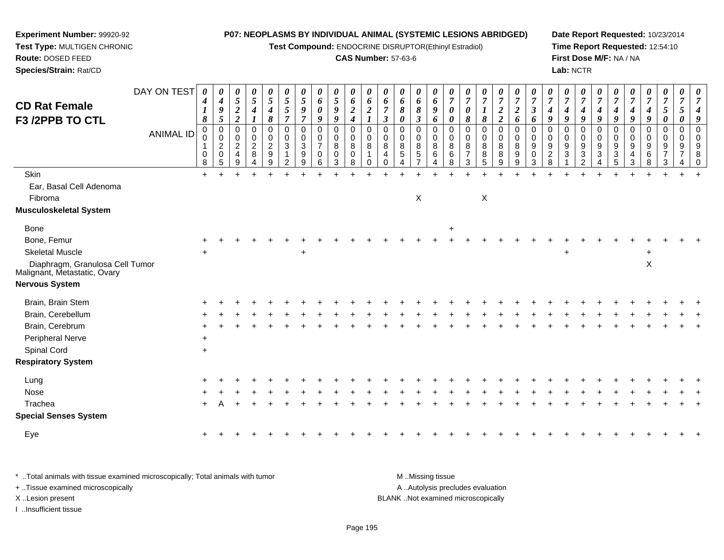**Test Compound:** ENDOCRINE DISRUPTOR(Ethinyl Estradiol)

#### **CAS Number:** 57-63-6

**Date Report Requested:** 10/23/2014**Time Report Requested:** 12:54:10**First Dose M/F:** NA / NA**Lab:** NCTR

> *7*

 $+$ 

| <b>CD Rat Female</b>                                                     | DAY ON TEST      | $\theta$<br>$\boldsymbol{4}$<br>$\boldsymbol{I}$ | $\boldsymbol{\mathit{U}}$<br>$\boldsymbol{4}$<br>$\boldsymbol{g}$ | $\theta$<br>5<br>$\boldsymbol{2}$                           | 0<br>$\sqrt{5}$<br>$\boldsymbol{4}$ | $\boldsymbol{\theta}$<br>$\sqrt{5}$<br>4                         | $\boldsymbol{\theta}$<br>$\mathfrak{s}$<br>5 | $\sqrt{5}$<br>9                                   | 0<br>6<br>0                                       | 0<br>$\mathfrak{S}$<br>9                     | $\boldsymbol{\theta}$<br>6<br>$\boldsymbol{2}$                     | $\boldsymbol{\theta}$<br>6<br>$\overline{2}$ | $\boldsymbol{\theta}$<br>6                          | $\theta$<br>6<br>8    | $\theta$<br>6<br>$\pmb{8}$                                           | 6<br>9                               | $\overline{7}$<br>$\boldsymbol{\theta}$ | 7<br>0                                    | $\theta$<br>$\overline{7}$                        | 0<br>$\boldsymbol{7}$<br>$\boldsymbol{2}$                         | $\boldsymbol{\theta}$<br>$\overline{7}$<br>$\boldsymbol{2}$ | U<br>$\overline{7}$<br>$\boldsymbol{\beta}$ | $\overline{7}$<br>$\boldsymbol{4}$              | 7<br>4                               | 0<br>$\overline{7}$<br>4                       | $\overline{7}$<br>4                          | 4                                 |                    | 4                                 | $\boldsymbol{\theta}$<br>$\overline{7}$<br>5 | U<br>$\overline{7}$<br>$\mathfrak{s}$ |  |
|--------------------------------------------------------------------------|------------------|--------------------------------------------------|-------------------------------------------------------------------|-------------------------------------------------------------|-------------------------------------|------------------------------------------------------------------|----------------------------------------------|---------------------------------------------------|---------------------------------------------------|----------------------------------------------|--------------------------------------------------------------------|----------------------------------------------|-----------------------------------------------------|-----------------------|----------------------------------------------------------------------|--------------------------------------|-----------------------------------------|-------------------------------------------|---------------------------------------------------|-------------------------------------------------------------------|-------------------------------------------------------------|---------------------------------------------|-------------------------------------------------|--------------------------------------|------------------------------------------------|----------------------------------------------|-----------------------------------|--------------------|-----------------------------------|----------------------------------------------|---------------------------------------|--|
| F3 /2PPB TO CTL                                                          | <b>ANIMAL ID</b> | $\pmb{8}$<br>0<br>0<br>8                         | 5<br>$\overline{0}$<br>0<br>$\overline{c}$<br>$\mathbf 0$<br>.5   | $\overline{c}$<br>0<br>$\Omega$<br>$\overline{2}$<br>4<br>9 | 0<br>0<br>$\overline{c}$<br>8       | 8<br>$\mathbf 0$<br>0<br>$\overline{c}$<br>$\boldsymbol{9}$<br>9 | $\overline{7}$<br>0<br>0<br>$\sqrt{3}$<br>2  | $\overline{7}$<br>$\mathbf 0$<br>0<br>3<br>9<br>9 | 9<br>0<br>$\mathbf 0$<br>$\overline{7}$<br>0<br>6 | 9<br>$\pmb{0}$<br>$\mathbf 0$<br>8<br>0<br>3 | $\boldsymbol{4}$<br>$\mathbf 0$<br>$\mathbf 0$<br>$\bf8$<br>0<br>8 | $\Omega$<br>$\mathbf 0$<br>8<br>0            | $\mathbf{3}$<br>$\Omega$<br>0<br>8<br>4<br>$\Omega$ | 0<br>0<br>0<br>8<br>5 | $\mathfrak{z}$<br>$\Omega$<br>0<br>8<br>$\sqrt{5}$<br>$\overline{7}$ | 6<br>$\mathbf 0$<br>0<br>8<br>6<br>4 | 0<br>$\mathbf 0$<br>0<br>8<br>6<br>8    | 8<br>$\mathbf 0$<br>$\mathbf 0$<br>8<br>3 | 8<br>0<br>$\mathbf 0$<br>8<br>8<br>$\overline{5}$ | $\boldsymbol{2}$<br>$\mathbf{0}$<br>$\overline{0}$<br>8<br>8<br>9 | 6<br>$\mathbf 0$<br>$\mathbf 0$<br>8<br>$\frac{9}{9}$       | 6<br>$\mathbf 0$<br>0<br>9<br>0<br>3        | 9<br>$\Omega$<br>$\Omega$<br>9<br>$\frac{2}{8}$ | 9<br>0<br>0<br>$\boldsymbol{9}$<br>3 | 9<br>$\Omega$<br>0<br>9<br>3<br>$\overline{2}$ | 9<br>$\Omega$<br>0<br>9<br>$\mathbf{3}$<br>4 | 9<br>$\Omega$<br>0<br>9<br>3<br>5 | 9<br>$\Omega$<br>3 | 9<br>$\Omega$<br>0<br>9<br>6<br>8 | 0<br>$\mathbf 0$<br>$\mathbf 0$<br>9<br>3    | 0<br>$\mathbf 0$<br>$\mathbf 0$<br>9  |  |
| Skin                                                                     |                  | $\ddot{}$                                        |                                                                   |                                                             |                                     |                                                                  |                                              |                                                   |                                                   |                                              |                                                                    |                                              |                                                     |                       |                                                                      |                                      |                                         |                                           |                                                   |                                                                   |                                                             |                                             |                                                 |                                      |                                                |                                              |                                   |                    |                                   |                                              |                                       |  |
| Ear, Basal Cell Adenoma                                                  |                  |                                                  |                                                                   |                                                             |                                     |                                                                  |                                              |                                                   |                                                   |                                              |                                                                    |                                              |                                                     |                       |                                                                      |                                      |                                         |                                           |                                                   |                                                                   |                                                             |                                             |                                                 |                                      |                                                |                                              |                                   |                    |                                   |                                              |                                       |  |
| Fibroma                                                                  |                  |                                                  |                                                                   |                                                             |                                     |                                                                  |                                              |                                                   |                                                   |                                              |                                                                    |                                              |                                                     |                       | X                                                                    |                                      |                                         |                                           | $\mathsf X$                                       |                                                                   |                                                             |                                             |                                                 |                                      |                                                |                                              |                                   |                    |                                   |                                              |                                       |  |
| Musculoskeletal System                                                   |                  |                                                  |                                                                   |                                                             |                                     |                                                                  |                                              |                                                   |                                                   |                                              |                                                                    |                                              |                                                     |                       |                                                                      |                                      |                                         |                                           |                                                   |                                                                   |                                                             |                                             |                                                 |                                      |                                                |                                              |                                   |                    |                                   |                                              |                                       |  |
| <b>Bone</b>                                                              |                  |                                                  |                                                                   |                                                             |                                     |                                                                  |                                              |                                                   |                                                   |                                              |                                                                    |                                              |                                                     |                       |                                                                      |                                      | $\ddot{}$                               |                                           |                                                   |                                                                   |                                                             |                                             |                                                 |                                      |                                                |                                              |                                   |                    |                                   |                                              |                                       |  |
| Bone, Femur                                                              |                  |                                                  |                                                                   |                                                             |                                     |                                                                  |                                              |                                                   |                                                   |                                              |                                                                    |                                              |                                                     |                       |                                                                      |                                      |                                         |                                           |                                                   |                                                                   |                                                             |                                             |                                                 |                                      |                                                |                                              |                                   |                    |                                   |                                              |                                       |  |
| <b>Skeletal Muscle</b>                                                   |                  |                                                  |                                                                   |                                                             |                                     |                                                                  |                                              | +                                                 |                                                   |                                              |                                                                    |                                              |                                                     |                       |                                                                      |                                      |                                         |                                           |                                                   |                                                                   |                                                             |                                             |                                                 | $\ddot{}$                            |                                                |                                              |                                   |                    |                                   |                                              |                                       |  |
| Diaphragm, Granulosa Cell Tumor<br>Malignant, Metastatic, Ovary          |                  |                                                  |                                                                   |                                                             |                                     |                                                                  |                                              |                                                   |                                                   |                                              |                                                                    |                                              |                                                     |                       |                                                                      |                                      |                                         |                                           |                                                   |                                                                   |                                                             |                                             |                                                 |                                      |                                                |                                              |                                   |                    | $\mathsf X$                       |                                              |                                       |  |
| Nervous System                                                           |                  |                                                  |                                                                   |                                                             |                                     |                                                                  |                                              |                                                   |                                                   |                                              |                                                                    |                                              |                                                     |                       |                                                                      |                                      |                                         |                                           |                                                   |                                                                   |                                                             |                                             |                                                 |                                      |                                                |                                              |                                   |                    |                                   |                                              |                                       |  |
| Brain, Brain Stem                                                        |                  |                                                  |                                                                   |                                                             |                                     |                                                                  |                                              |                                                   |                                                   |                                              |                                                                    |                                              |                                                     |                       |                                                                      |                                      |                                         |                                           |                                                   |                                                                   |                                                             |                                             |                                                 |                                      |                                                |                                              |                                   |                    |                                   |                                              |                                       |  |
| Brain, Cerebellum                                                        |                  |                                                  |                                                                   |                                                             |                                     |                                                                  |                                              |                                                   |                                                   |                                              |                                                                    |                                              |                                                     |                       |                                                                      |                                      |                                         |                                           |                                                   |                                                                   |                                                             |                                             |                                                 |                                      |                                                |                                              |                                   |                    |                                   |                                              |                                       |  |
| Brain, Cerebrum                                                          |                  |                                                  |                                                                   |                                                             |                                     |                                                                  |                                              |                                                   |                                                   |                                              |                                                                    |                                              |                                                     |                       |                                                                      |                                      |                                         |                                           |                                                   |                                                                   |                                                             |                                             |                                                 |                                      |                                                |                                              |                                   |                    |                                   |                                              |                                       |  |
| Peripheral Nerve                                                         |                  |                                                  |                                                                   |                                                             |                                     |                                                                  |                                              |                                                   |                                                   |                                              |                                                                    |                                              |                                                     |                       |                                                                      |                                      |                                         |                                           |                                                   |                                                                   |                                                             |                                             |                                                 |                                      |                                                |                                              |                                   |                    |                                   |                                              |                                       |  |
| Spinal Cord                                                              |                  | $\ddot{+}$                                       |                                                                   |                                                             |                                     |                                                                  |                                              |                                                   |                                                   |                                              |                                                                    |                                              |                                                     |                       |                                                                      |                                      |                                         |                                           |                                                   |                                                                   |                                                             |                                             |                                                 |                                      |                                                |                                              |                                   |                    |                                   |                                              |                                       |  |
| <b>Respiratory System</b>                                                |                  |                                                  |                                                                   |                                                             |                                     |                                                                  |                                              |                                                   |                                                   |                                              |                                                                    |                                              |                                                     |                       |                                                                      |                                      |                                         |                                           |                                                   |                                                                   |                                                             |                                             |                                                 |                                      |                                                |                                              |                                   |                    |                                   |                                              |                                       |  |
| Lung                                                                     |                  |                                                  |                                                                   |                                                             |                                     |                                                                  |                                              |                                                   |                                                   |                                              |                                                                    |                                              |                                                     |                       |                                                                      |                                      |                                         |                                           |                                                   |                                                                   |                                                             |                                             |                                                 |                                      |                                                |                                              |                                   |                    |                                   |                                              |                                       |  |
| Nose                                                                     |                  |                                                  |                                                                   |                                                             |                                     |                                                                  |                                              |                                                   |                                                   |                                              |                                                                    |                                              |                                                     |                       |                                                                      |                                      |                                         |                                           |                                                   |                                                                   |                                                             |                                             |                                                 |                                      |                                                |                                              |                                   |                    |                                   |                                              |                                       |  |
| Trachea                                                                  |                  |                                                  |                                                                   |                                                             |                                     |                                                                  |                                              |                                                   |                                                   |                                              |                                                                    |                                              |                                                     |                       |                                                                      |                                      |                                         |                                           |                                                   |                                                                   |                                                             |                                             |                                                 |                                      |                                                |                                              |                                   |                    |                                   |                                              |                                       |  |
| $\sim$ $\sim$ $\sim$ $\sim$ $\sim$ $\sim$ $\sim$<br>$\sim$ $\sim$ $\sim$ |                  |                                                  |                                                                   |                                                             |                                     |                                                                  |                                              |                                                   |                                                   |                                              |                                                                    |                                              |                                                     |                       |                                                                      |                                      |                                         |                                           |                                                   |                                                                   |                                                             |                                             |                                                 |                                      |                                                |                                              |                                   |                    |                                   |                                              |                                       |  |

**Special Senses System**

**Experiment Number:** 99920-92**Test Type:** MULTIGEN CHRONIC

**Route:** DOSED FEED**Species/Strain:** Rat/CD

Eye $e$  +

\* ..Total animals with tissue examined microscopically; Total animals with tumor **M** ...Missing tissue M ...Missing tissue A ..Autolysis precludes evaluation + ..Tissue examined microscopically X ..Lesion present BLANK ..Not examined microscopicallyI ..Insufficient tissue

<sup>+</sup> <sup>+</sup> <sup>+</sup> <sup>+</sup> <sup>+</sup> <sup>+</sup> <sup>+</sup> <sup>+</sup> <sup>+</sup> <sup>+</sup> <sup>+</sup> <sup>+</sup> <sup>+</sup> <sup>+</sup> <sup>+</sup> <sup>+</sup> <sup>+</sup> <sup>+</sup> <sup>+</sup> <sup>+</sup> <sup>+</sup> <sup>+</sup> <sup>+</sup> <sup>+</sup> <sup>+</sup> <sup>+</sup> <sup>+</sup> <sup>+</sup> <sup>+</sup> <sup>+</sup>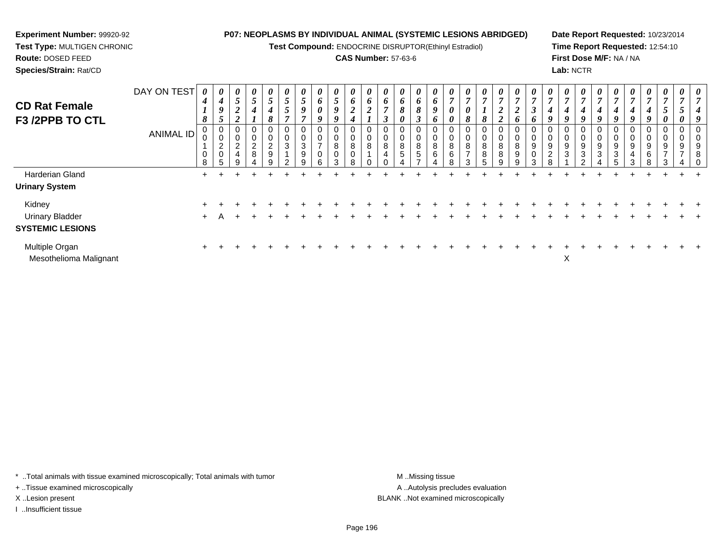**Test Compound:** ENDOCRINE DISRUPTOR(Ethinyl Estradiol)

## **CAS Number:** 57-63-6

**Date Report Requested:** 10/23/2014**Time Report Requested:** 12:54:10**First Dose M/F:** NA / NA**Lab:** NCTR

| <b>CD Rat Female</b><br>F3 /2PPB TO CTL  | DAY ON TEST      | 4<br>1<br>8 | U<br>$\boldsymbol{4}$<br>9<br>$\mathcal{L}$ | $\boldsymbol{\theta}$<br>$\mathfrak{s}$<br>$\boldsymbol{2}$<br>$\overline{2}$ | $\boldsymbol{\theta}$<br>$\mathfrak{s}$<br>4 | $\boldsymbol{\theta}$<br>$\overline{ }$<br>$\mathcal{I}$<br>4<br>$\mathbf{o}$ | U<br>$\sqrt{5}$<br>$\mathfrak{s}$ | $\boldsymbol{\theta}$<br>$\mathfrak{s}$<br>9 | $\boldsymbol{\theta}$<br>6<br>0<br>9 | $\boldsymbol{\theta}$<br>$\overline{\mathbf{5}}$<br>9<br>9 | $\boldsymbol{\theta}$<br>6<br>$\overline{c}$<br>4 | U<br>6<br>$\mathbf{\Omega}$<br>∠ | $\boldsymbol{\theta}$<br>6 | $\boldsymbol{\theta}$<br>6<br>8     | $\boldsymbol{\theta}$<br>6<br>8 | $\boldsymbol{\theta}$<br>6<br>9<br>o | $\boldsymbol{\boldsymbol{\upsilon}}$<br>7<br>0   | $\boldsymbol{\theta}$<br>$\overline{7}$<br>0<br>8 | $\theta$<br>$\overline{7}$<br>$\mathbf{I}$<br>8 | $\boldsymbol{\theta}$<br>$\overline{ }$<br>◠<br>◢<br>$\mathbf{\Omega}$<br>∠ | $\boldsymbol{\mathit{U}}$<br>◢<br>O | $\boldsymbol{\mathit{U}}$<br>$\boldsymbol{\beta}$ | $\boldsymbol{\theta}$<br>$\overline{7}$<br>4<br>9 | $\boldsymbol{\theta}$<br>$\overline{7}$<br>4 | $\boldsymbol{\theta}$<br>$\overline{ }$<br>4<br>o | U<br>$\mathbf{r}$<br>4 | $\boldsymbol{\theta}$<br>$\overline{ }$<br>4<br>9 | $\boldsymbol{\theta}$<br>7<br>4<br>9 | $\boldsymbol{\theta}$<br>$\overline{7}$<br>$\boldsymbol{4}$ | $\boldsymbol{\theta}$<br>$\mathbf{r}$<br>J<br>0 |   | $\boldsymbol{\theta}$<br>Ł.<br>Q |
|------------------------------------------|------------------|-------------|---------------------------------------------|-------------------------------------------------------------------------------|----------------------------------------------|-------------------------------------------------------------------------------|-----------------------------------|----------------------------------------------|--------------------------------------|------------------------------------------------------------|---------------------------------------------------|----------------------------------|----------------------------|-------------------------------------|---------------------------------|--------------------------------------|--------------------------------------------------|---------------------------------------------------|-------------------------------------------------|-----------------------------------------------------------------------------|-------------------------------------|---------------------------------------------------|---------------------------------------------------|----------------------------------------------|---------------------------------------------------|------------------------|---------------------------------------------------|--------------------------------------|-------------------------------------------------------------|-------------------------------------------------|---|----------------------------------|
|                                          | <b>ANIMAL ID</b> | 0<br>8      | 0<br>0<br>$\overline{a}$<br>0<br>5          | 0<br>0<br>$\overline{2}$<br>4<br>9                                            | 0<br>$\pmb{0}$<br>$\sqrt{2}$<br>$\bf 8$      | 0<br>0<br>$\sim$<br>$\epsilon$<br>9                                           | 0<br>3                            | 0<br>0<br>3<br>9                             | 0<br>0<br>0<br>6                     | 0<br>$\pmb{0}$<br>$\bf8$<br>$\pmb{0}$<br>3                 | 0<br>$\pmb{0}$<br>8<br>$\pmb{0}$<br>8             | 0<br>8                           | 0<br>0<br>8<br>4           | 0<br>$\mathbf 0$<br>8<br>$\sqrt{5}$ | 0<br>0<br>8<br>$\sqrt{5}$       | 0<br>0<br>8<br>6                     | $\overline{0}$<br>$\mathbf 0$<br>8<br>$\,6$<br>8 | 0<br>8<br>$\overline{\phantom{0}}$<br>$\sqrt{2}$  | 0<br>0<br>8<br>8                                | 0<br>$\pmb{0}$<br>$\bf 8$<br>8<br>9                                         | 0<br>8<br>9<br>9                    | 0<br>9<br>0<br>$\sim$                             | 0<br>0<br>9<br>$\overline{\mathbf{c}}$<br>8       | 9<br>3                                       | 0<br>0<br>9<br>3<br>$\sim$                        | 0<br>9<br>3            | 0<br>0<br>9<br>3                                  | 0<br>0<br>9<br>4<br>3                | 0<br>$\mathbf 0$<br>9<br>$6\phantom{1}6$<br>8               | 9                                               | 9 | 0<br>9<br>8                      |
| Harderian Gland                          |                  | $\pm$       |                                             |                                                                               |                                              |                                                                               |                                   |                                              |                                      |                                                            |                                                   |                                  |                            |                                     |                                 |                                      |                                                  |                                                   |                                                 |                                                                             |                                     |                                                   |                                                   |                                              |                                                   |                        |                                                   |                                      |                                                             |                                                 |   |                                  |
| <b>Urinary System</b>                    |                  |             |                                             |                                                                               |                                              |                                                                               |                                   |                                              |                                      |                                                            |                                                   |                                  |                            |                                     |                                 |                                      |                                                  |                                                   |                                                 |                                                                             |                                     |                                                   |                                                   |                                              |                                                   |                        |                                                   |                                      |                                                             |                                                 |   |                                  |
| Kidney                                   |                  |             |                                             |                                                                               |                                              |                                                                               |                                   |                                              |                                      |                                                            |                                                   |                                  |                            |                                     |                                 |                                      |                                                  |                                                   |                                                 |                                                                             |                                     |                                                   |                                                   |                                              |                                                   |                        |                                                   |                                      |                                                             |                                                 |   |                                  |
| <b>Urinary Bladder</b>                   |                  | $+$         | A                                           |                                                                               |                                              |                                                                               |                                   |                                              |                                      |                                                            |                                                   |                                  |                            |                                     |                                 |                                      |                                                  |                                                   |                                                 |                                                                             |                                     |                                                   |                                                   |                                              |                                                   |                        |                                                   |                                      |                                                             |                                                 |   |                                  |
| <b>SYSTEMIC LESIONS</b>                  |                  |             |                                             |                                                                               |                                              |                                                                               |                                   |                                              |                                      |                                                            |                                                   |                                  |                            |                                     |                                 |                                      |                                                  |                                                   |                                                 |                                                                             |                                     |                                                   |                                                   |                                              |                                                   |                        |                                                   |                                      |                                                             |                                                 |   |                                  |
| Multiple Organ<br>Mesothelioma Malignant |                  | $\pm$       |                                             |                                                                               |                                              |                                                                               |                                   |                                              |                                      |                                                            |                                                   |                                  |                            |                                     |                                 |                                      |                                                  |                                                   |                                                 |                                                                             |                                     |                                                   |                                                   | X                                            |                                                   |                        |                                                   |                                      |                                                             |                                                 |   |                                  |

\* ..Total animals with tissue examined microscopically; Total animals with tumor **M** . Missing tissue M ..Missing tissue

+ ..Tissue examined microscopically

**Experiment Number:** 99920-92**Test Type:** MULTIGEN CHRONIC

**Route:** DOSED FEED**Species/Strain:** Rat/CD

I ..Insufficient tissue

A ..Autolysis precludes evaluation X ..Lesion present BLANK ..Not examined microscopically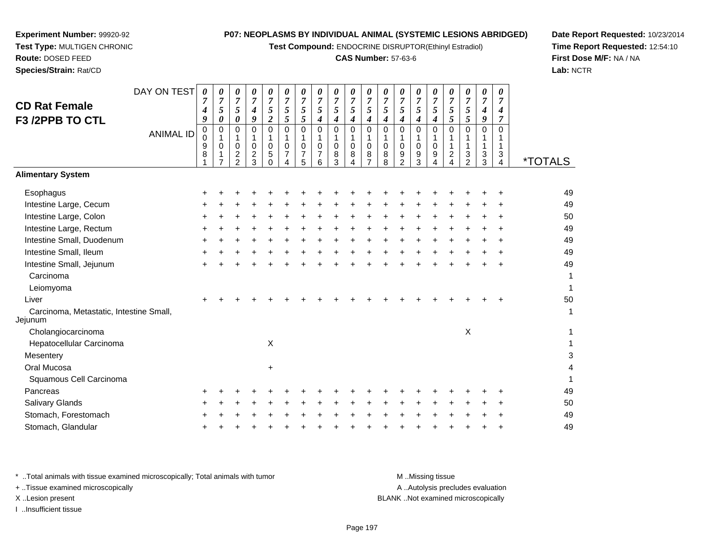**Test Compound:** ENDOCRINE DISRUPTOR(Ethinyl Estradiol)

#### **CAS Number:** 57-63-6

DAY ON TEST*0000000000000000000*

**Date Report Requested:** 10/23/2014**Time Report Requested:** 12:54:10**First Dose M/F:** NA / NA**Lab:** NCTR

 $\overline{4}$ 

| <b>CD Rat Female</b><br>F3 /2PPB TO CTL            | 7<br>4<br>9      | $\overline{7}$<br>5<br>$\pmb{\theta}$               | 7<br>5<br>0                                                         | 7<br>$\boldsymbol{4}$<br>9                   | 7<br>$\mathfrak{F}$<br>$\boldsymbol{2}$          | $\overline{7}$<br>5<br>5        | 7<br>$\mathfrak{s}$<br>$\sqrt{5}$     | 7<br>5<br>$\boldsymbol{4}$ | 7<br>5<br>4                      | 7<br>$\overline{5}$<br>$\boldsymbol{4}$ | $\overline{7}$<br>5<br>4   | 7<br>5<br>4                     | 5<br>$\boldsymbol{4}$              | 5<br>4                | 7<br>$\mathfrak{s}$<br>$\boldsymbol{4}$ | 7<br>$\sqrt{5}$<br>$\sqrt{5}$      | $\overline{7}$<br>5<br>5                             | 7<br>$\boldsymbol{4}$<br>9        | $\overline{7}$<br>4<br>$\overline{7}$ |                       |
|----------------------------------------------------|------------------|-----------------------------------------------------|---------------------------------------------------------------------|----------------------------------------------|--------------------------------------------------|---------------------------------|---------------------------------------|----------------------------|----------------------------------|-----------------------------------------|----------------------------|---------------------------------|------------------------------------|-----------------------|-----------------------------------------|------------------------------------|------------------------------------------------------|-----------------------------------|---------------------------------------|-----------------------|
| <b>ANIMAL ID</b>                                   | 0<br>0<br>9<br>8 | 0<br>$\mathbf{1}$<br>$\,0\,$<br>1<br>$\overline{7}$ | 0<br>$\mathbf{1}$<br>0<br>$\overline{\mathbf{c}}$<br>$\overline{2}$ | 0<br>1<br>$\mathbf 0$<br>$\overline{2}$<br>3 | $\mathbf 0$<br>1<br>$\mathbf 0$<br>5<br>$\Omega$ | $\mathbf 0$<br>1<br>0<br>7<br>4 | $\mathbf 0$<br>1<br>$\,0\,$<br>7<br>5 | 0<br>0<br>7<br>6           | 0<br>$\mathbf{1}$<br>0<br>8<br>3 | $\mathbf 0$<br>1<br>$\mathbf 0$<br>8    | 0<br>1<br>$\mathbf 0$<br>8 | 0<br>1<br>$\mathbf 0$<br>8<br>8 | 0<br>1<br>0<br>9<br>$\overline{2}$ | 0<br>1<br>0<br>9<br>3 | 0<br>0<br>9                             | 0<br>1<br>1<br>$\overline{2}$<br>4 | $\Omega$<br>1<br>1<br>$\mathbf{3}$<br>$\overline{2}$ | $\Omega$<br>$\mathbf 1$<br>3<br>3 | $\Omega$<br>3<br>4                    | <i><b>*TOTALS</b></i> |
| <b>Alimentary System</b>                           |                  |                                                     |                                                                     |                                              |                                                  |                                 |                                       |                            |                                  |                                         |                            |                                 |                                    |                       |                                         |                                    |                                                      |                                   |                                       |                       |
| Esophagus                                          |                  |                                                     |                                                                     |                                              |                                                  |                                 |                                       |                            |                                  |                                         |                            |                                 |                                    |                       |                                         |                                    |                                                      |                                   |                                       | 49                    |
| Intestine Large, Cecum                             |                  |                                                     |                                                                     |                                              |                                                  |                                 |                                       |                            |                                  |                                         |                            |                                 |                                    |                       |                                         |                                    |                                                      |                                   |                                       | 49                    |
| Intestine Large, Colon                             |                  |                                                     |                                                                     |                                              |                                                  |                                 |                                       |                            |                                  |                                         |                            |                                 |                                    |                       |                                         |                                    |                                                      |                                   |                                       | 50                    |
| Intestine Large, Rectum                            |                  |                                                     |                                                                     |                                              |                                                  |                                 |                                       |                            |                                  |                                         |                            |                                 |                                    |                       |                                         |                                    |                                                      |                                   |                                       | 49                    |
| Intestine Small, Duodenum                          |                  |                                                     |                                                                     |                                              |                                                  |                                 |                                       |                            |                                  |                                         |                            |                                 |                                    |                       |                                         |                                    |                                                      |                                   |                                       | 49                    |
| Intestine Small, Ileum                             |                  |                                                     |                                                                     |                                              |                                                  |                                 |                                       |                            |                                  |                                         |                            |                                 |                                    |                       |                                         |                                    |                                                      |                                   |                                       | 49                    |
| Intestine Small, Jejunum                           |                  |                                                     |                                                                     |                                              |                                                  |                                 |                                       |                            |                                  |                                         |                            |                                 |                                    |                       |                                         |                                    |                                                      |                                   |                                       | 49                    |
| Carcinoma                                          |                  |                                                     |                                                                     |                                              |                                                  |                                 |                                       |                            |                                  |                                         |                            |                                 |                                    |                       |                                         |                                    |                                                      |                                   |                                       | 1                     |
| Leiomyoma                                          |                  |                                                     |                                                                     |                                              |                                                  |                                 |                                       |                            |                                  |                                         |                            |                                 |                                    |                       |                                         |                                    |                                                      |                                   |                                       | 1                     |
| Liver                                              |                  |                                                     |                                                                     |                                              |                                                  |                                 |                                       |                            |                                  |                                         |                            |                                 |                                    |                       |                                         |                                    |                                                      |                                   |                                       | 50                    |
| Carcinoma, Metastatic, Intestine Small,<br>Jejunum |                  |                                                     |                                                                     |                                              |                                                  |                                 |                                       |                            |                                  |                                         |                            |                                 |                                    |                       |                                         |                                    |                                                      |                                   |                                       | 1                     |
| Cholangiocarcinoma                                 |                  |                                                     |                                                                     |                                              |                                                  |                                 |                                       |                            |                                  |                                         |                            |                                 |                                    |                       |                                         |                                    | $\pmb{\times}$                                       |                                   |                                       |                       |
| Hepatocellular Carcinoma                           |                  |                                                     |                                                                     |                                              | $\pmb{\times}$                                   |                                 |                                       |                            |                                  |                                         |                            |                                 |                                    |                       |                                         |                                    |                                                      |                                   |                                       |                       |
| Mesentery                                          |                  |                                                     |                                                                     |                                              |                                                  |                                 |                                       |                            |                                  |                                         |                            |                                 |                                    |                       |                                         |                                    |                                                      |                                   |                                       | 3                     |
| Oral Mucosa                                        |                  |                                                     |                                                                     |                                              | $\ddot{}$                                        |                                 |                                       |                            |                                  |                                         |                            |                                 |                                    |                       |                                         |                                    |                                                      |                                   |                                       |                       |
| Squamous Cell Carcinoma                            |                  |                                                     |                                                                     |                                              |                                                  |                                 |                                       |                            |                                  |                                         |                            |                                 |                                    |                       |                                         |                                    |                                                      |                                   |                                       |                       |
| Pancreas                                           |                  |                                                     |                                                                     |                                              |                                                  |                                 |                                       |                            |                                  |                                         |                            |                                 |                                    |                       |                                         |                                    |                                                      |                                   |                                       | 49                    |
| Salivary Glands                                    |                  |                                                     |                                                                     |                                              |                                                  |                                 |                                       |                            |                                  |                                         |                            |                                 |                                    |                       |                                         |                                    |                                                      |                                   |                                       | 50                    |
| Stomach, Forestomach                               |                  |                                                     |                                                                     |                                              |                                                  |                                 |                                       |                            |                                  |                                         |                            |                                 |                                    |                       |                                         |                                    |                                                      |                                   |                                       | 49                    |
| Stomach, Glandular                                 |                  |                                                     |                                                                     |                                              |                                                  |                                 |                                       |                            |                                  |                                         |                            |                                 |                                    |                       |                                         |                                    |                                                      |                                   |                                       | 49                    |

**Experiment Number:** 99920-92**Test Type:** MULTIGEN CHRONIC

**Route:** DOSED FEED**Species/Strain:** Rat/CD

\* ..Total animals with tissue examined microscopically; Total animals with tumor **M** ..Missing tissue M ..Missing tissue A ..Autolysis precludes evaluation + ..Tissue examined microscopically X ..Lesion present BLANK ..Not examined microscopicallyI ..Insufficient tissue

Page 197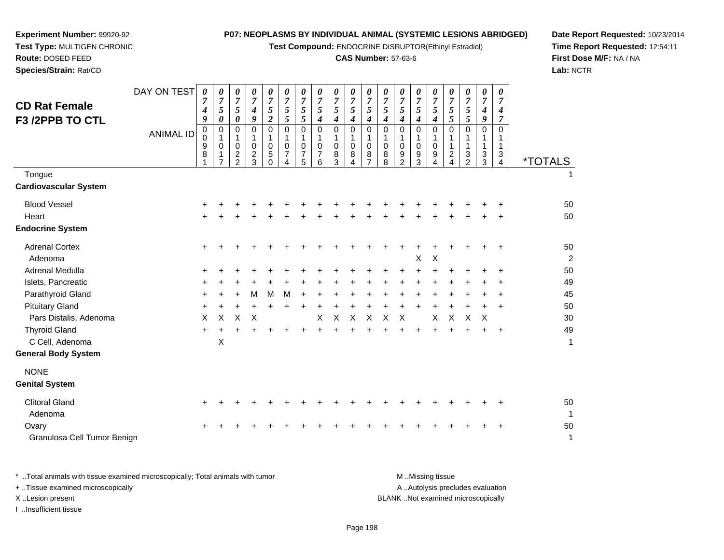**Test Compound:** ENDOCRINE DISRUPTOR(Ethinyl Estradiol)

## **CAS Number:** 57-63-6

**Date Report Requested:** 10/23/2014**Time Report Requested:** 12:54:11**First Dose M/F:** NA / NA**Lab:** NCTR

| <b>CD Rat Female</b><br>F3 /2PPB TO CTL                               | DAY ON TEST      | $\boldsymbol{\theta}$<br>$\overline{7}$<br>$\boldsymbol{4}$<br>9 | 0<br>7<br>5<br>0        | 0<br>$\overline{7}$<br>5<br>$\pmb{\theta}$                | 0<br>$\overline{7}$<br>4<br>9                         | 0<br>$\overline{7}$<br>5<br>$\boldsymbol{2}$ | 0<br>$\overline{7}$<br>5<br>5                                             | 0<br>$\overline{7}$<br>$\mathfrak{s}$<br>5 | 0<br>$\overline{7}$<br>$\sqrt{5}$<br>$\boldsymbol{4}$ | 0<br>$\boldsymbol{7}$<br>5<br>$\boldsymbol{4}$       | 0<br>$\overline{7}$<br>$\sqrt{5}$<br>$\boldsymbol{4}$        | 0<br>$\overline{7}$<br>5<br>4 | 0<br>$\overline{7}$<br>$\sqrt{5}$<br>4 | 0<br>$\overline{7}$<br>$\mathfrak{s}$<br>4   | 0<br>$\overline{7}$<br>5<br>$\boldsymbol{4}$         | 0<br>$\overline{7}$<br>$\mathfrak{s}$<br>$\boldsymbol{4}$         | 0<br>7<br>$\sqrt{5}$<br>$\mathfrak{s}$ | 0<br>$\overline{7}$<br>$\sqrt{5}$<br>5        | 0<br>$\overline{7}$<br>4<br>9   | 0<br>$\overline{7}$<br>4<br>7                |                       |
|-----------------------------------------------------------------------|------------------|------------------------------------------------------------------|-------------------------|-----------------------------------------------------------|-------------------------------------------------------|----------------------------------------------|---------------------------------------------------------------------------|--------------------------------------------|-------------------------------------------------------|------------------------------------------------------|--------------------------------------------------------------|-------------------------------|----------------------------------------|----------------------------------------------|------------------------------------------------------|-------------------------------------------------------------------|----------------------------------------|-----------------------------------------------|---------------------------------|----------------------------------------------|-----------------------|
|                                                                       | <b>ANIMAL ID</b> | $\mathbf 0$<br>0<br>9<br>8                                       | 0<br>1<br>$\Omega$<br>1 | 0<br>1<br>$\mathbf 0$<br>$\overline{c}$<br>$\overline{2}$ | $\mathbf 0$<br>1<br>0<br>$\overline{\mathbf{c}}$<br>3 | $\mathbf 0$<br>1<br>0<br>5<br>$\Omega$       | $\mathbf 0$<br>$\mathbf{1}$<br>$\mathbf 0$<br>7<br>$\boldsymbol{\Lambda}$ | $\mathbf 0$<br>$\mathbf{1}$<br>0<br>7<br>5 | 0<br>1<br>$\mathbf 0$<br>7<br>6                       | $\mathbf 0$<br>$\mathbf{1}$<br>$\mathbf 0$<br>8<br>3 | $\pmb{0}$<br>1<br>$\mathbf 0$<br>8<br>$\boldsymbol{\Lambda}$ | $\mathbf 0$<br>0<br>8         | 0<br>1<br>0<br>8<br>8                  | $\mathbf 0$<br>1<br>0<br>9<br>$\overline{2}$ | $\mathbf 0$<br>$\mathbf{1}$<br>$\mathbf 0$<br>9<br>3 | $\mathbf 0$<br>$\mathbf{1}$<br>$\mathbf 0$<br>9<br>$\overline{A}$ | 0<br>$\overline{c}$<br>4               | 0<br>1<br>$\mathbf{1}$<br>3<br>$\overline{2}$ | $\mathbf 0$<br>1<br>1<br>3<br>3 | $\mathbf 0$<br>1<br>1<br>3<br>$\overline{4}$ | <i><b>*TOTALS</b></i> |
| Tongue<br>Cardiovascular System                                       |                  |                                                                  |                         |                                                           |                                                       |                                              |                                                                           |                                            |                                                       |                                                      |                                                              |                               |                                        |                                              |                                                      |                                                                   |                                        |                                               |                                 |                                              | 1                     |
| <b>Blood Vessel</b><br>Heart<br><b>Endocrine System</b>               |                  |                                                                  |                         |                                                           |                                                       |                                              |                                                                           |                                            |                                                       |                                                      |                                                              |                               |                                        |                                              |                                                      |                                                                   |                                        |                                               |                                 | $\ddot{}$<br>÷                               | 50<br>50              |
| <b>Adrenal Cortex</b><br>Adenoma                                      |                  | +                                                                |                         |                                                           |                                                       |                                              |                                                                           |                                            |                                                       |                                                      |                                                              |                               |                                        |                                              | $\boldsymbol{\mathsf{X}}$                            | $\mathsf X$                                                       |                                        |                                               | +                               | $\ddot{}$                                    | 50<br>2               |
| Adrenal Medulla                                                       |                  |                                                                  |                         |                                                           |                                                       |                                              |                                                                           |                                            |                                                       |                                                      |                                                              |                               |                                        |                                              | +                                                    |                                                                   |                                        |                                               |                                 | +                                            | 50<br>49              |
| Islets, Pancreatic<br>Parathyroid Gland                               |                  |                                                                  |                         |                                                           | М                                                     | M                                            | M                                                                         |                                            |                                                       |                                                      |                                                              |                               |                                        |                                              |                                                      |                                                                   |                                        |                                               |                                 | ÷                                            | 45                    |
| <b>Pituitary Gland</b>                                                |                  | +                                                                |                         |                                                           | $\ddot{}$                                             | $\ddot{}$                                    |                                                                           | $\ddot{}$                                  | $\ddot{}$                                             | $\ddot{}$                                            | $\ddot{}$                                                    |                               |                                        |                                              | $\ddot{}$                                            |                                                                   |                                        |                                               |                                 | $\ddot{}$                                    | 50                    |
| Pars Distalis, Adenoma                                                |                  | X                                                                | X                       | X                                                         | $\times$                                              |                                              |                                                                           |                                            | X                                                     | $\pmb{\times}$                                       | $\pmb{\times}$                                               | $\times$                      | $\pmb{\times}$                         | X                                            |                                                      | X                                                                 | $\mathsf X$                            | $\pmb{\times}$                                | $\times$                        |                                              | 30                    |
| <b>Thyroid Gland</b><br>C Cell, Adenoma<br><b>General Body System</b> |                  | $\ddot{}$                                                        | $\mathsf X$             |                                                           |                                                       |                                              |                                                                           |                                            |                                                       |                                                      |                                                              |                               |                                        |                                              | $\ddot{}$                                            |                                                                   |                                        |                                               |                                 | $\ddot{}$                                    | 49<br>1               |
| <b>NONE</b><br><b>Genital System</b>                                  |                  |                                                                  |                         |                                                           |                                                       |                                              |                                                                           |                                            |                                                       |                                                      |                                                              |                               |                                        |                                              |                                                      |                                                                   |                                        |                                               |                                 |                                              |                       |
| <b>Clitoral Gland</b><br>Adenoma                                      |                  |                                                                  |                         |                                                           |                                                       |                                              |                                                                           |                                            |                                                       |                                                      |                                                              |                               |                                        |                                              |                                                      |                                                                   |                                        |                                               |                                 |                                              | 50<br>-1              |
| Ovary<br>Granulosa Cell Tumor Benign                                  |                  |                                                                  |                         |                                                           |                                                       |                                              |                                                                           |                                            |                                                       |                                                      |                                                              |                               |                                        |                                              |                                                      |                                                                   |                                        |                                               |                                 | +                                            | 50<br>1               |
|                                                                       |                  |                                                                  |                         |                                                           |                                                       |                                              |                                                                           |                                            |                                                       |                                                      |                                                              |                               |                                        |                                              |                                                      |                                                                   |                                        |                                               |                                 |                                              |                       |

**Experiment Number:** 99920-92**Test Type:** MULTIGEN CHRONIC

**Route:** DOSED FEED**Species/Strain:** Rat/CD

\* ..Total animals with tissue examined microscopically; Total animals with tumor **M** . Missing tissue M ..Missing tissue A ..Autolysis precludes evaluation + ..Tissue examined microscopically X ..Lesion present BLANK ..Not examined microscopicallyI ..Insufficient tissue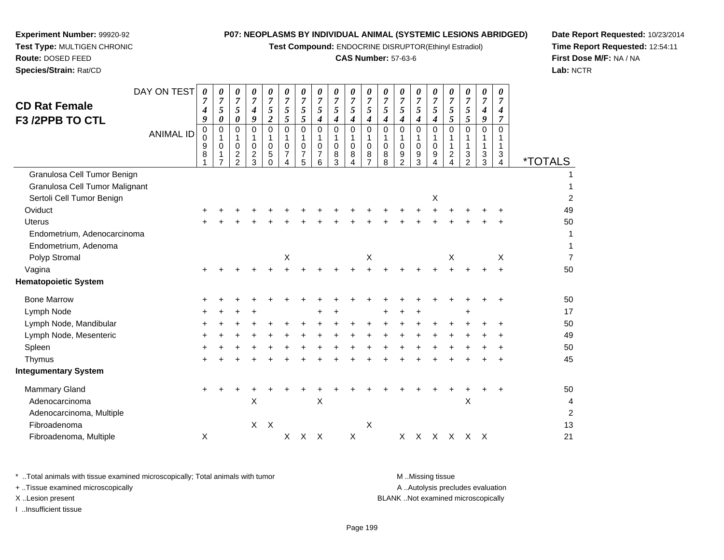**Test Compound:** ENDOCRINE DISRUPTOR(Ethinyl Estradiol)

## **CAS Number:** 57-63-6

*0 7*

*0 7*

*0 7*

*0 7*

*0 7*

*0 7*

*0 7*

*0 7*

*0 7*

A .. Autolysis precludes evaluation

**Date Report Requested:** 10/23/2014**Time Report Requested:** 12:54:11**Lab:** NCTR

Page 199

\* ..Total animals with tissue examined microscopically; Total animals with tumor **M** ...Missing tissue M ...Missing tissue

+ ..Tissue examined microscopically

I ..Insufficient tissue

| <b>CD Rat Female</b><br>F3 /2PPB TO CTL |                  | 4<br>9           | 5<br>0      | 5<br>0                                                            | $\boldsymbol{4}$<br>9                               | 5<br>$\boldsymbol{2}$                    | 5<br>5                          | 5<br>5                             | 5<br>$\boldsymbol{4}$                                  | 5<br>$\boldsymbol{4}$           | 5<br>4                               | 5<br>4                       | 5<br>4                | 5<br>$\boldsymbol{4}$           | 5<br>$\boldsymbol{4}$                  | 5<br>$\boldsymbol{4}$        | 5<br>5                     | 5<br>5                      | 4<br>9                                | $\boldsymbol{4}$<br>$\overline{7}$ |                       |
|-----------------------------------------|------------------|------------------|-------------|-------------------------------------------------------------------|-----------------------------------------------------|------------------------------------------|---------------------------------|------------------------------------|--------------------------------------------------------|---------------------------------|--------------------------------------|------------------------------|-----------------------|---------------------------------|----------------------------------------|------------------------------|----------------------------|-----------------------------|---------------------------------------|------------------------------------|-----------------------|
|                                         | <b>ANIMAL ID</b> | 0<br>0<br>9<br>8 | 0<br>1<br>0 | 0<br>1<br>$\mathbf 0$<br>$\overline{\mathbf{c}}$<br>$\mathcal{P}$ | $\Omega$<br>1<br>$\mathbf 0$<br>$\overline{c}$<br>3 | $\Omega$<br>$\mathbf 0$<br>5<br>$\Omega$ | $\Omega$<br>0<br>$\overline{7}$ | 0<br>1<br>0<br>$\overline{7}$<br>5 | $\mathbf 0$<br>1<br>$\mathbf 0$<br>$\overline{7}$<br>6 | 0<br>1<br>$\mathbf 0$<br>8<br>3 | $\mathbf 0$<br>$\mathbf 0$<br>8<br>4 | $\Omega$<br>$\mathbf 0$<br>8 | 0<br>1<br>0<br>8<br>8 | $\mathbf 0$<br>1<br>0<br>9<br>2 | $\Omega$<br>1<br>$\mathbf 0$<br>9<br>3 | $\Omega$<br>$\mathbf 0$<br>9 | $\Omega$<br>$\overline{c}$ | 0<br>$\mathbf{1}$<br>3<br>2 | $\mathbf 0$<br>$\mathbf{1}$<br>3<br>3 | $\Omega$<br>1<br>3<br>4            | <i><b>*TOTALS</b></i> |
| Granulosa Cell Tumor Benign             |                  |                  |             |                                                                   |                                                     |                                          |                                 |                                    |                                                        |                                 |                                      |                              |                       |                                 |                                        |                              |                            |                             |                                       |                                    |                       |
| Granulosa Cell Tumor Malignant          |                  |                  |             |                                                                   |                                                     |                                          |                                 |                                    |                                                        |                                 |                                      |                              |                       |                                 |                                        |                              |                            |                             |                                       |                                    |                       |
| Sertoli Cell Tumor Benign               |                  |                  |             |                                                                   |                                                     |                                          |                                 |                                    |                                                        |                                 |                                      |                              |                       |                                 |                                        | Х                            |                            |                             |                                       |                                    | 2                     |
| Oviduct                                 |                  |                  |             |                                                                   |                                                     |                                          |                                 |                                    |                                                        |                                 |                                      |                              |                       |                                 |                                        |                              |                            |                             |                                       |                                    | 49                    |
| <b>Uterus</b>                           |                  | $\pm$            |             |                                                                   |                                                     |                                          |                                 |                                    |                                                        |                                 |                                      |                              |                       |                                 |                                        |                              |                            |                             |                                       | $\div$                             | 50                    |
| Endometrium, Adenocarcinoma             |                  |                  |             |                                                                   |                                                     |                                          |                                 |                                    |                                                        |                                 |                                      |                              |                       |                                 |                                        |                              |                            |                             |                                       |                                    | 1                     |
| Endometrium, Adenoma                    |                  |                  |             |                                                                   |                                                     |                                          |                                 |                                    |                                                        |                                 |                                      |                              |                       |                                 |                                        |                              |                            |                             |                                       |                                    | 1                     |
| Polyp Stromal                           |                  |                  |             |                                                                   |                                                     |                                          | Χ                               |                                    |                                                        |                                 |                                      | X                            |                       |                                 |                                        |                              | Х                          |                             |                                       | X                                  | $\overline{7}$        |
| Vagina                                  |                  |                  |             |                                                                   |                                                     |                                          |                                 |                                    |                                                        |                                 |                                      |                              |                       |                                 |                                        |                              |                            |                             |                                       | $\ddot{}$                          | 50                    |
| <b>Hematopoietic System</b>             |                  |                  |             |                                                                   |                                                     |                                          |                                 |                                    |                                                        |                                 |                                      |                              |                       |                                 |                                        |                              |                            |                             |                                       |                                    |                       |
| <b>Bone Marrow</b>                      |                  | ٠                |             |                                                                   |                                                     |                                          |                                 |                                    |                                                        |                                 |                                      |                              |                       |                                 |                                        |                              |                            |                             |                                       | ÷                                  | 50                    |
| Lymph Node                              |                  |                  |             |                                                                   |                                                     |                                          |                                 |                                    |                                                        |                                 |                                      |                              |                       |                                 |                                        |                              |                            | +                           |                                       |                                    | 17                    |
| Lymph Node, Mandibular                  |                  | ٠                |             |                                                                   |                                                     |                                          |                                 |                                    |                                                        |                                 |                                      |                              |                       |                                 |                                        |                              |                            |                             |                                       |                                    | 50                    |
| Lymph Node, Mesenteric                  |                  |                  |             |                                                                   |                                                     |                                          |                                 |                                    |                                                        |                                 |                                      |                              |                       |                                 |                                        |                              |                            |                             |                                       |                                    | 49                    |
| Spleen                                  |                  |                  |             |                                                                   |                                                     |                                          |                                 |                                    |                                                        |                                 |                                      |                              |                       |                                 |                                        |                              |                            |                             |                                       |                                    | 50                    |
| Thymus                                  |                  | ٠                |             |                                                                   |                                                     |                                          |                                 |                                    |                                                        |                                 |                                      |                              |                       |                                 |                                        |                              |                            |                             |                                       |                                    | 45                    |
| <b>Integumentary System</b>             |                  |                  |             |                                                                   |                                                     |                                          |                                 |                                    |                                                        |                                 |                                      |                              |                       |                                 |                                        |                              |                            |                             |                                       |                                    |                       |
| <b>Mammary Gland</b>                    |                  | $\ddot{}$        |             |                                                                   |                                                     |                                          |                                 |                                    |                                                        |                                 |                                      |                              |                       |                                 |                                        |                              |                            |                             |                                       |                                    | 50                    |
| Adenocarcinoma                          |                  |                  |             |                                                                   | $\mathsf X$                                         |                                          |                                 |                                    | $\pmb{\times}$                                         |                                 |                                      |                              |                       |                                 |                                        |                              |                            | X                           |                                       |                                    | 4                     |
| Adenocarcinoma, Multiple                |                  |                  |             |                                                                   |                                                     |                                          |                                 |                                    |                                                        |                                 |                                      |                              |                       |                                 |                                        |                              |                            |                             |                                       |                                    | $\overline{2}$        |
| Fibroadenoma                            |                  |                  |             |                                                                   | $\mathsf{X}$                                        | $\boldsymbol{\mathsf{X}}$                |                                 |                                    |                                                        |                                 |                                      | Х                            |                       |                                 |                                        |                              |                            |                             |                                       |                                    | 13                    |
| Fibroadenoma, Multiple                  |                  | X                |             |                                                                   |                                                     |                                          | X                               | $\times$                           | $\mathsf{X}$                                           |                                 | $\mathsf{X}$                         |                              |                       |                                 |                                        | X X X X X X                  |                            |                             |                                       |                                    | 21                    |
|                                         |                  |                  |             |                                                                   |                                                     |                                          |                                 |                                    |                                                        |                                 |                                      |                              |                       |                                 |                                        |                              |                            |                             |                                       |                                    |                       |

# **Experiment Number:** 99920-92 **Test Type:** MULTIGEN CHRONIC**Route:** DOSED FEED

DAY ON TEST *0 7*

*0 7*

*0 7*

*0 7*

*0 7*

*0 7*

*0 7*

*0 7*

*0 7*

*0 7*

**Species/Strain:** Rat/CD

**First Dose M/F:** NA / NA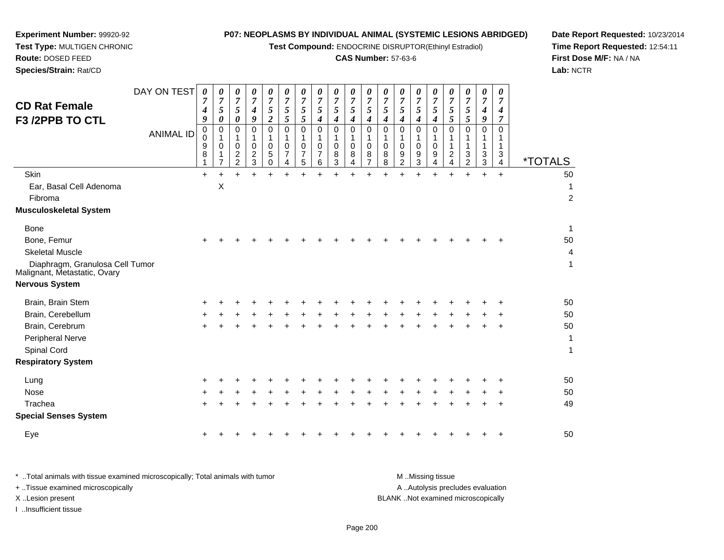**Test Compound:** ENDOCRINE DISRUPTOR(Ethinyl Estradiol)

## **CAS Number:** 57-63-6

**Date Report Requested:** 10/23/2014**Time Report Requested:** 12:54:11**First Dose M/F:** NA / NA**Lab:** NCTR

| Species/Strain: Rat/CD                                          |                                 |                                                                  |                                                                                      |                                                                                                               |                                                                                                                             |                                                                                           |                                                                                      |                                                                                         |                                                                            |                                                                            |                                                                                                    |                                                                                         |                                                            |                                                                               |                                                                            |                                                                                                        |                                                                            |                                                                                    |                                                        |                                                                                            | Lab: $\land$          |
|-----------------------------------------------------------------|---------------------------------|------------------------------------------------------------------|--------------------------------------------------------------------------------------|---------------------------------------------------------------------------------------------------------------|-----------------------------------------------------------------------------------------------------------------------------|-------------------------------------------------------------------------------------------|--------------------------------------------------------------------------------------|-----------------------------------------------------------------------------------------|----------------------------------------------------------------------------|----------------------------------------------------------------------------|----------------------------------------------------------------------------------------------------|-----------------------------------------------------------------------------------------|------------------------------------------------------------|-------------------------------------------------------------------------------|----------------------------------------------------------------------------|--------------------------------------------------------------------------------------------------------|----------------------------------------------------------------------------|------------------------------------------------------------------------------------|--------------------------------------------------------|--------------------------------------------------------------------------------------------|-----------------------|
| <b>CD Rat Female</b><br>F3 /2PPB TO CTL                         | DAY ON TEST<br><b>ANIMAL ID</b> | $\boldsymbol{\theta}$<br>7<br>4<br>9<br>$\pmb{0}$<br>0<br>9<br>8 | 0<br>$\overline{7}$<br>$\overline{5}$<br>0<br>$\mathbf 0$<br>1<br>$\Omega$<br>1<br>7 | 0<br>7<br>$\mathfrak{s}$<br>0<br>$\mathbf 0$<br>1<br>$\mathbf 0$<br>$\overline{\mathbf{c}}$<br>$\overline{2}$ | 0<br>$\overline{7}$<br>$\boldsymbol{4}$<br>9<br>$\mathbf 0$<br>$\mathbf{1}$<br>$\Omega$<br>$\overline{c}$<br>$\mathfrak{S}$ | 0<br>$\overline{7}$<br>5<br>$\overline{c}$<br>$\Omega$<br>$\mathbf 0$<br>5<br>$\mathbf 0$ | 0<br>$\overline{7}$<br>$\mathfrak{F}$<br>5<br>$\mathbf 0$<br>1<br>$\Omega$<br>7<br>4 | 0<br>$\overline{7}$<br>5<br>$\mathfrak{s}$<br>$\mathbf 0$<br>1<br>$\mathbf 0$<br>7<br>5 | 0<br>$\overline{7}$<br>5<br>4<br>$\mathbf 0$<br>1<br>$\mathbf 0$<br>7<br>6 | 0<br>$\overline{7}$<br>5<br>4<br>$\mathbf 0$<br>1<br>$\mathbf 0$<br>8<br>3 | 0<br>$\overline{7}$<br>$\overline{5}$<br>4<br>$\mathbf 0$<br>1<br>$\pmb{0}$<br>8<br>$\overline{4}$ | 0<br>$\overline{7}$<br>5<br>4<br>$\mathbf 0$<br>1<br>$\mathbf 0$<br>8<br>$\overline{7}$ | 0<br>7<br>5<br>4<br>$\mathbf 0$<br>1<br>$\Omega$<br>8<br>8 | 0<br>$\overline{7}$<br>5<br>4<br>0<br>1<br>$\mathbf 0$<br>9<br>$\overline{c}$ | 0<br>$\overline{\mathcal{I}}$<br>5<br>4<br>0<br>1<br>$\mathbf 0$<br>9<br>3 | 0<br>$\overline{7}$<br>$\mathfrak{s}$<br>$\boldsymbol{4}$<br>$\mathbf 0$<br>1<br>$\mathbf 0$<br>9<br>4 | 0<br>7<br>5<br>5<br>$\Omega$<br>1<br>1<br>$\overline{c}$<br>$\overline{4}$ | 0<br>$\overline{7}$<br>5<br>5<br>$\mathbf 0$<br>$\mathbf 1$<br>3<br>$\overline{2}$ | 0<br>$\overline{7}$<br>4<br>9<br>0<br>1<br>1<br>3<br>3 | 0<br>$\overline{7}$<br>$\boldsymbol{4}$<br>7<br>$\mathbf 0$<br>1<br>$\mathbf{1}$<br>3<br>4 | <i><b>*TOTALS</b></i> |
| Skin                                                            |                                 | $\ddot{}$                                                        | $\ddot{}$                                                                            |                                                                                                               | $+$                                                                                                                         | $\ddot{}$                                                                                 | $+$                                                                                  | $\ddot{}$                                                                               | $\ddot{}$                                                                  | $\ddot{}$                                                                  | $\ddot{}$                                                                                          |                                                                                         |                                                            | $\ddot{}$                                                                     | $\ddot{}$                                                                  | $\ddot{}$                                                                                              |                                                                            | $\ddot{}$                                                                          | $+$                                                    | $+$                                                                                        | 50                    |
| Ear, Basal Cell Adenoma                                         |                                 |                                                                  | X                                                                                    |                                                                                                               |                                                                                                                             |                                                                                           |                                                                                      |                                                                                         |                                                                            |                                                                            |                                                                                                    |                                                                                         |                                                            |                                                                               |                                                                            |                                                                                                        |                                                                            |                                                                                    |                                                        |                                                                                            | 1                     |
| Fibroma                                                         |                                 |                                                                  |                                                                                      |                                                                                                               |                                                                                                                             |                                                                                           |                                                                                      |                                                                                         |                                                                            |                                                                            |                                                                                                    |                                                                                         |                                                            |                                                                               |                                                                            |                                                                                                        |                                                                            |                                                                                    |                                                        |                                                                                            | $\overline{c}$        |
| <b>Musculoskeletal System</b>                                   |                                 |                                                                  |                                                                                      |                                                                                                               |                                                                                                                             |                                                                                           |                                                                                      |                                                                                         |                                                                            |                                                                            |                                                                                                    |                                                                                         |                                                            |                                                                               |                                                                            |                                                                                                        |                                                                            |                                                                                    |                                                        |                                                                                            |                       |
| Bone                                                            |                                 |                                                                  |                                                                                      |                                                                                                               |                                                                                                                             |                                                                                           |                                                                                      |                                                                                         |                                                                            |                                                                            |                                                                                                    |                                                                                         |                                                            |                                                                               |                                                                            |                                                                                                        |                                                                            |                                                                                    |                                                        |                                                                                            | $\mathbf{1}$          |
| Bone, Femur                                                     |                                 | $\ddot{}$                                                        |                                                                                      |                                                                                                               |                                                                                                                             |                                                                                           |                                                                                      |                                                                                         |                                                                            |                                                                            |                                                                                                    |                                                                                         |                                                            |                                                                               |                                                                            |                                                                                                        |                                                                            |                                                                                    |                                                        |                                                                                            | 50                    |
| <b>Skeletal Muscle</b>                                          |                                 |                                                                  |                                                                                      |                                                                                                               |                                                                                                                             |                                                                                           |                                                                                      |                                                                                         |                                                                            |                                                                            |                                                                                                    |                                                                                         |                                                            |                                                                               |                                                                            |                                                                                                        |                                                                            |                                                                                    |                                                        |                                                                                            | 4                     |
| Diaphragm, Granulosa Cell Tumor<br>Malignant, Metastatic, Ovary |                                 |                                                                  |                                                                                      |                                                                                                               |                                                                                                                             |                                                                                           |                                                                                      |                                                                                         |                                                                            |                                                                            |                                                                                                    |                                                                                         |                                                            |                                                                               |                                                                            |                                                                                                        |                                                                            |                                                                                    |                                                        |                                                                                            | $\mathbf{1}$          |
| <b>Nervous System</b>                                           |                                 |                                                                  |                                                                                      |                                                                                                               |                                                                                                                             |                                                                                           |                                                                                      |                                                                                         |                                                                            |                                                                            |                                                                                                    |                                                                                         |                                                            |                                                                               |                                                                            |                                                                                                        |                                                                            |                                                                                    |                                                        |                                                                                            |                       |
| Brain, Brain Stem                                               |                                 | +                                                                |                                                                                      |                                                                                                               |                                                                                                                             |                                                                                           |                                                                                      |                                                                                         |                                                                            |                                                                            |                                                                                                    |                                                                                         |                                                            |                                                                               |                                                                            |                                                                                                        |                                                                            |                                                                                    |                                                        |                                                                                            | 50                    |
| Brain, Cerebellum                                               |                                 |                                                                  |                                                                                      |                                                                                                               |                                                                                                                             |                                                                                           |                                                                                      |                                                                                         |                                                                            |                                                                            |                                                                                                    |                                                                                         |                                                            |                                                                               |                                                                            |                                                                                                        |                                                                            |                                                                                    |                                                        |                                                                                            | 50                    |
| Brain, Cerebrum                                                 |                                 |                                                                  |                                                                                      |                                                                                                               |                                                                                                                             |                                                                                           |                                                                                      |                                                                                         |                                                                            |                                                                            |                                                                                                    |                                                                                         |                                                            |                                                                               |                                                                            |                                                                                                        |                                                                            |                                                                                    |                                                        |                                                                                            | 50                    |
| Peripheral Nerve                                                |                                 |                                                                  |                                                                                      |                                                                                                               |                                                                                                                             |                                                                                           |                                                                                      |                                                                                         |                                                                            |                                                                            |                                                                                                    |                                                                                         |                                                            |                                                                               |                                                                            |                                                                                                        |                                                                            |                                                                                    |                                                        |                                                                                            | 1                     |
| Spinal Cord                                                     |                                 |                                                                  |                                                                                      |                                                                                                               |                                                                                                                             |                                                                                           |                                                                                      |                                                                                         |                                                                            |                                                                            |                                                                                                    |                                                                                         |                                                            |                                                                               |                                                                            |                                                                                                        |                                                                            |                                                                                    |                                                        |                                                                                            | $\mathbf{1}$          |
| <b>Respiratory System</b>                                       |                                 |                                                                  |                                                                                      |                                                                                                               |                                                                                                                             |                                                                                           |                                                                                      |                                                                                         |                                                                            |                                                                            |                                                                                                    |                                                                                         |                                                            |                                                                               |                                                                            |                                                                                                        |                                                                            |                                                                                    |                                                        |                                                                                            |                       |
| Lung                                                            |                                 |                                                                  |                                                                                      |                                                                                                               |                                                                                                                             |                                                                                           |                                                                                      |                                                                                         |                                                                            |                                                                            |                                                                                                    |                                                                                         |                                                            |                                                                               |                                                                            |                                                                                                        |                                                                            |                                                                                    |                                                        |                                                                                            | 50                    |
| Nose                                                            |                                 |                                                                  |                                                                                      |                                                                                                               |                                                                                                                             |                                                                                           |                                                                                      |                                                                                         |                                                                            |                                                                            |                                                                                                    |                                                                                         |                                                            |                                                                               |                                                                            |                                                                                                        |                                                                            |                                                                                    |                                                        |                                                                                            | 50                    |
| Trachea                                                         |                                 | $\pm$                                                            |                                                                                      |                                                                                                               |                                                                                                                             |                                                                                           |                                                                                      |                                                                                         |                                                                            |                                                                            |                                                                                                    |                                                                                         |                                                            |                                                                               |                                                                            |                                                                                                        |                                                                            |                                                                                    |                                                        |                                                                                            | 49                    |
| <b>Special Senses System</b>                                    |                                 |                                                                  |                                                                                      |                                                                                                               |                                                                                                                             |                                                                                           |                                                                                      |                                                                                         |                                                                            |                                                                            |                                                                                                    |                                                                                         |                                                            |                                                                               |                                                                            |                                                                                                        |                                                                            |                                                                                    |                                                        |                                                                                            |                       |
| Eye                                                             |                                 | +                                                                |                                                                                      |                                                                                                               |                                                                                                                             |                                                                                           |                                                                                      |                                                                                         |                                                                            |                                                                            |                                                                                                    |                                                                                         |                                                            |                                                                               |                                                                            |                                                                                                        |                                                                            |                                                                                    |                                                        |                                                                                            | 50                    |
|                                                                 |                                 |                                                                  |                                                                                      |                                                                                                               |                                                                                                                             |                                                                                           |                                                                                      |                                                                                         |                                                                            |                                                                            |                                                                                                    |                                                                                         |                                                            |                                                                               |                                                                            |                                                                                                        |                                                                            |                                                                                    |                                                        |                                                                                            |                       |

**Experiment Number:** 99920-92**Test Type:** MULTIGEN CHRONIC

**Route:** DOSED FEED

| Total animals with tissue examined microscopically; Total animals with tumor | M Missing tissue                   |
|------------------------------------------------------------------------------|------------------------------------|
| + Tissue examined microscopically                                            | A Autolysis precludes evaluation   |
| X Lesion present                                                             | BLANK Not examined microscopically |
| …Insufficient tissue                                                         |                                    |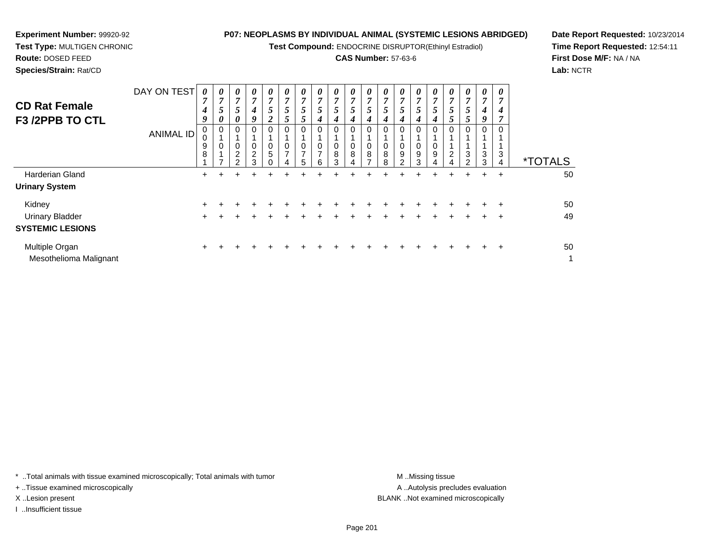**Test Compound:** ENDOCRINE DISRUPTOR(Ethinyl Estradiol)

## **CAS Number:** 57-63-6

**Date Report Requested:** 10/23/2014**Time Report Requested:** 12:54:11**First Dose M/F:** NA / NA**Lab:** NCTR

**Route:** DOSED FEED **Species/Strain:** Rat/CDDAY ON TEST *0 7 4***CD Rat Female***0 7 0 7 0 7 0 7 0 7 0 7 0 7* 

| <b>CD Rat Female</b><br>F3/2PPB TO CTL   | DAY ON TEST<br><b>ANIMAL ID</b> | 0<br>$\overline{7}$<br>4<br>9<br>0<br>9<br>8 | 0<br>7<br>5<br>0<br>0<br>0 | 0<br>$\overline{ }$<br>$5\overline{)}$<br>0<br>0<br>0<br>$\overline{2}$<br>າ | 0<br>4<br>Q.<br>2<br>3 | 0<br>$\overline{7}$<br>$5\overline{)}$<br>$\overline{2}$<br>0<br>0<br>5 | 0<br>$\overline{7}$<br>5<br>$\mathcal{P}$<br>0<br>0<br>$\overline{ }$ | 0<br>$\overline{ }$<br>5<br>0<br>$\overline{ }$<br>5 | 0<br>$\overline{ }$<br>5<br>4<br>0<br>0<br>$\overline{ }$<br>6 | $\boldsymbol{\theta}$<br>$\overline{7}$<br>5 <sup>5</sup><br>4<br>0<br>0<br>8<br>3 | $\boldsymbol{\theta}$<br>$\overline{7}$<br>5<br>4<br>0<br>0<br>8 | 0<br>7<br>5<br>4<br>0<br>0<br>8<br>$\rightarrow$ | 0<br>5<br>0<br>8<br>8 | 0<br>7<br>5<br>4<br>0<br>0<br>9<br>າ | $\boldsymbol{\theta}$<br>7<br>5<br>0<br>9<br>3 | $\theta$<br>7<br>0<br>9 | 0<br>7<br>5<br>0<br>$\overline{c}$<br>4 | 0<br>7<br>5<br>5<br>$\mathbf 0$<br>3<br>$\overline{2}$ | 0<br>7<br>4<br>9<br>0<br>3<br>3 | 0<br>7<br>4<br>0<br>3<br>4 | <i><b>*TOTALS</b></i> |
|------------------------------------------|---------------------------------|----------------------------------------------|----------------------------|------------------------------------------------------------------------------|------------------------|-------------------------------------------------------------------------|-----------------------------------------------------------------------|------------------------------------------------------|----------------------------------------------------------------|------------------------------------------------------------------------------------|------------------------------------------------------------------|--------------------------------------------------|-----------------------|--------------------------------------|------------------------------------------------|-------------------------|-----------------------------------------|--------------------------------------------------------|---------------------------------|----------------------------|-----------------------|
| Harderian Gland                          |                                 | $\pm$                                        |                            |                                                                              |                        |                                                                         |                                                                       |                                                      |                                                                |                                                                                    |                                                                  |                                                  |                       |                                      |                                                |                         | $\div$                                  |                                                        | $\ddot{}$                       | $\overline{+}$             | 50                    |
| <b>Urinary System</b>                    |                                 |                                              |                            |                                                                              |                        |                                                                         |                                                                       |                                                      |                                                                |                                                                                    |                                                                  |                                                  |                       |                                      |                                                |                         |                                         |                                                        |                                 |                            |                       |
| Kidney                                   |                                 | ٠                                            |                            |                                                                              |                        |                                                                         |                                                                       |                                                      |                                                                |                                                                                    |                                                                  |                                                  |                       |                                      |                                                |                         |                                         |                                                        |                                 | $\pm$                      | 50                    |
| <b>Urinary Bladder</b>                   |                                 | ٠                                            |                            |                                                                              |                        |                                                                         |                                                                       |                                                      |                                                                |                                                                                    |                                                                  |                                                  |                       |                                      |                                                |                         |                                         |                                                        |                                 | $\pm$                      | 49                    |
| <b>SYSTEMIC LESIONS</b>                  |                                 |                                              |                            |                                                                              |                        |                                                                         |                                                                       |                                                      |                                                                |                                                                                    |                                                                  |                                                  |                       |                                      |                                                |                         |                                         |                                                        |                                 |                            |                       |
| Multiple Organ<br>Mesothelioma Malignant |                                 | +                                            |                            |                                                                              |                        |                                                                         |                                                                       |                                                      |                                                                |                                                                                    |                                                                  |                                                  |                       |                                      |                                                |                         |                                         |                                                        |                                 | $\div$                     | 50<br>1               |

\* ..Total animals with tissue examined microscopically; Total animals with tumor **M** ..Missing tissue M ..Missing tissue

+ ..Tissue examined microscopically

**Experiment Number:** 99920-92**Test Type:** MULTIGEN CHRONIC

I ..Insufficient tissue

A .. Autolysis precludes evaluation X ..Lesion present BLANK ..Not examined microscopically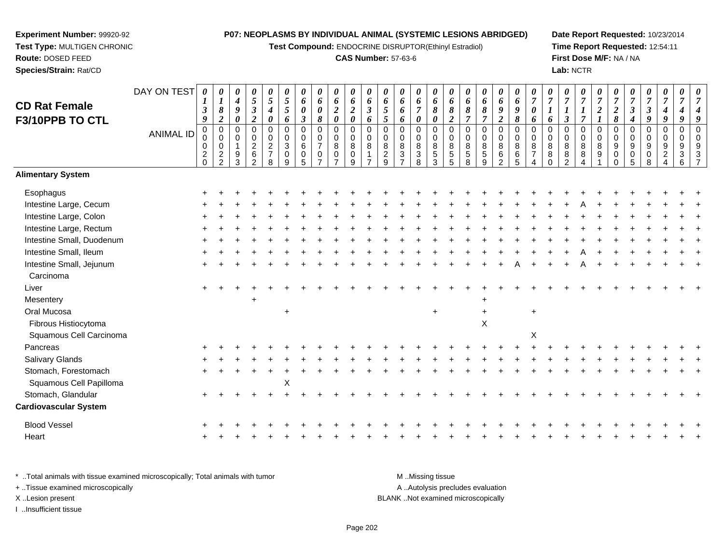**Test Compound:** ENDOCRINE DISRUPTOR(Ethinyl Estradiol)

## **CAS Number:** 57-63-6

**Date Report Requested:** 10/23/2014 **Time Report Requested:** 12:54:11**First Dose M/F:** NA / NA**Lab:** NCTR

| <b>CD Rat Female</b>         | DAY ON TEST      | 0<br>1                                         | 0<br>$\boldsymbol{l}$                               | 0<br>$\boldsymbol{4}$             | $\boldsymbol{\theta}$<br>$\sqrt{5}$                                   | 0<br>$\overline{5}$                                             | 0<br>$\mathfrak{s}$                                            | 0<br>6                                          | 0<br>6                                                         | 0<br>6                             | $\boldsymbol{\theta}$<br>6                                | 0<br>6                                                         | $\boldsymbol{\theta}$<br>6                       | 0<br>6                             | $\boldsymbol{\theta}$<br>6                       | 0<br>6                                                    | $\boldsymbol{\theta}$<br>6                  | 0<br>6                                                   | $\boldsymbol{\theta}$<br>6                              | 0<br>6                                             | $\pmb{\theta}$<br>6                                    | 0<br>$\overline{7}$                                            | $\boldsymbol{\theta}$<br>$\overline{7}$                    | 0<br>$\boldsymbol{7}$                    | 0<br>$\overline{7}$                                  | 0<br>$\overline{7}$               | 0<br>$\overline{7}$                   | 0<br>$\overline{7}$                                              | 0<br>$\boldsymbol{7}$                                    | 0<br>$\overline{7}$                                                             | 0<br>$\overline{7}$                    | 7                    |
|------------------------------|------------------|------------------------------------------------|-----------------------------------------------------|-----------------------------------|-----------------------------------------------------------------------|-----------------------------------------------------------------|----------------------------------------------------------------|-------------------------------------------------|----------------------------------------------------------------|------------------------------------|-----------------------------------------------------------|----------------------------------------------------------------|--------------------------------------------------|------------------------------------|--------------------------------------------------|-----------------------------------------------------------|---------------------------------------------|----------------------------------------------------------|---------------------------------------------------------|----------------------------------------------------|--------------------------------------------------------|----------------------------------------------------------------|------------------------------------------------------------|------------------------------------------|------------------------------------------------------|-----------------------------------|---------------------------------------|------------------------------------------------------------------|----------------------------------------------------------|---------------------------------------------------------------------------------|----------------------------------------|----------------------|
| F3/10PPB TO CTL              |                  | $\mathfrak{z}$<br>9                            | $\pmb{8}$<br>$\boldsymbol{2}$                       | 9<br>$\boldsymbol{\theta}$        | $\boldsymbol{\beta}$<br>$\boldsymbol{2}$                              | $\boldsymbol{4}$<br>$\boldsymbol{\theta}$                       | 5<br>6                                                         | $\boldsymbol{\theta}$<br>$\boldsymbol{\beta}$   | $\boldsymbol{\theta}$<br>8                                     | $\boldsymbol{2}$<br>$\pmb{\theta}$ | $\boldsymbol{2}$<br>$\boldsymbol{\theta}$                 | $\mathfrak{z}$<br>6                                            | $\mathfrak{s}$<br>5                              | 6<br>6                             | $\overline{7}$<br>$\boldsymbol{\theta}$          | 8<br>$\boldsymbol{\theta}$                                | 8<br>$\overline{2}$                         | 8<br>$\overline{7}$                                      | $\pmb{8}$<br>$\boldsymbol{7}$                           | 9<br>$\overline{2}$                                | 9<br>8                                                 | 0<br>6                                                         | 6                                                          | $\boldsymbol{l}$<br>$\mathfrak{z}$       | $\boldsymbol{l}$<br>$\overline{7}$                   | $\boldsymbol{2}$                  | $\boldsymbol{2}$<br>8                 | $\boldsymbol{\beta}$<br>4                                        | $\boldsymbol{\beta}$<br>9                                | $\boldsymbol{4}$<br>$\boldsymbol{9}$                                            | $\boldsymbol{4}$<br>9                  |                      |
|                              | <b>ANIMAL ID</b> | $\pmb{0}$<br>$\mathbf 0$<br>0<br>$\frac{2}{0}$ | $\overline{0}$<br>0<br>$\mathbf 0$<br>$\frac{2}{2}$ | $\mathsf 0$<br>$\Omega$<br>9<br>3 | $\mathbf 0$<br>$\mathbf 0$<br>$\sqrt{2}$<br>$\,6\,$<br>$\overline{2}$ | $\mathbf 0$<br>$\mathbf 0$<br>$\sqrt{2}$<br>$\overline{7}$<br>8 | $\mathbf 0$<br>$\mathbf 0$<br>$\mathbf{3}$<br>$\mathbf 0$<br>9 | $\mathbf 0$<br>$\pmb{0}$<br>6<br>$\pmb{0}$<br>5 | $\overline{0}$<br>$\mathbf 0$<br>$\overline{7}$<br>$\mathbf 0$ | 0<br>0<br>8<br>0<br>$\overline{ }$ | $\boldsymbol{0}$<br>$\pmb{0}$<br>$\bf8$<br>$\pmb{0}$<br>9 | $\mathbf 0$<br>$\Omega$<br>8<br>$\mathbf{1}$<br>$\overline{ }$ | $\overline{0}$<br>$\Omega$<br>8<br>$\frac{2}{9}$ | 0<br>$\Omega$<br>8<br>$\mathbf{3}$ | $\mathbf 0$<br>0<br>$\bf 8$<br>$\mathbf{3}$<br>8 | $\mathbf 0$<br>$\mathbf 0$<br>$\bf 8$<br>$\,$ 5 $\,$<br>3 | $\mathbf 0$<br>0<br>$\bf8$<br>$\frac{5}{5}$ | $\mathbf 0$<br>$\mathbf 0$<br>$\,8\,$<br>$\sqrt{5}$<br>8 | $\mathbf 0$<br>$\mathbf 0$<br>$\bf8$<br>$\sqrt{5}$<br>9 | $\pmb{0}$<br>$\pmb{0}$<br>8<br>6<br>$\overline{2}$ | $\mathbf 0$<br>$\mathbf 0$<br>8<br>6<br>$\overline{5}$ | $\Omega$<br>0<br>8<br>$\overline{7}$<br>$\boldsymbol{\Lambda}$ | $\mathbf 0$<br>$\mathbf 0$<br>$\bf8$<br>$\bf8$<br>$\Omega$ | 0<br>0<br>$\bf 8$<br>8<br>$\overline{2}$ | $\mathbf 0$<br>$\pmb{0}$<br>8<br>$\bf 8$<br>$\Delta$ | $\mathbf 0$<br>$\Omega$<br>8<br>9 | $\mathbf 0$<br>$\Omega$<br>$9\,$<br>0 | $\mathbf 0$<br>$\mathbf 0$<br>$\boldsymbol{9}$<br>$\pmb{0}$<br>5 | $\mathbf 0$<br>0<br>$\boldsymbol{9}$<br>$\mathbf 0$<br>8 | $\mathsf 0$<br>$\mathbf 0$<br>$9\,$<br>$\overline{2}$<br>$\boldsymbol{\Lambda}$ | $\mathbf 0$<br>$\Omega$<br>9<br>3<br>6 | $\Omega$<br>$\Omega$ |
| <b>Alimentary System</b>     |                  |                                                |                                                     |                                   |                                                                       |                                                                 |                                                                |                                                 |                                                                |                                    |                                                           |                                                                |                                                  |                                    |                                                  |                                                           |                                             |                                                          |                                                         |                                                    |                                                        |                                                                |                                                            |                                          |                                                      |                                   |                                       |                                                                  |                                                          |                                                                                 |                                        |                      |
| Esophagus                    |                  |                                                |                                                     |                                   |                                                                       |                                                                 |                                                                |                                                 |                                                                |                                    |                                                           |                                                                |                                                  |                                    |                                                  |                                                           |                                             |                                                          |                                                         |                                                    |                                                        |                                                                |                                                            |                                          |                                                      |                                   |                                       |                                                                  |                                                          |                                                                                 |                                        |                      |
| Intestine Large, Cecum       |                  |                                                |                                                     |                                   |                                                                       |                                                                 |                                                                |                                                 |                                                                |                                    |                                                           |                                                                |                                                  |                                    |                                                  |                                                           |                                             |                                                          |                                                         |                                                    |                                                        |                                                                |                                                            |                                          |                                                      |                                   |                                       |                                                                  |                                                          |                                                                                 |                                        |                      |
| Intestine Large, Colon       |                  |                                                |                                                     |                                   |                                                                       |                                                                 |                                                                |                                                 |                                                                |                                    |                                                           |                                                                |                                                  |                                    |                                                  |                                                           |                                             |                                                          |                                                         |                                                    |                                                        |                                                                |                                                            |                                          |                                                      |                                   |                                       |                                                                  |                                                          |                                                                                 |                                        |                      |
| Intestine Large, Rectum      |                  |                                                |                                                     |                                   |                                                                       |                                                                 |                                                                |                                                 |                                                                |                                    |                                                           |                                                                |                                                  |                                    |                                                  |                                                           |                                             |                                                          |                                                         |                                                    |                                                        |                                                                |                                                            |                                          |                                                      |                                   |                                       |                                                                  |                                                          |                                                                                 |                                        |                      |
| Intestine Small, Duodenum    |                  |                                                |                                                     |                                   |                                                                       |                                                                 |                                                                |                                                 |                                                                |                                    |                                                           |                                                                |                                                  |                                    |                                                  |                                                           |                                             |                                                          |                                                         |                                                    |                                                        |                                                                |                                                            |                                          |                                                      |                                   |                                       |                                                                  |                                                          |                                                                                 |                                        |                      |
| Intestine Small, Ileum       |                  |                                                |                                                     |                                   |                                                                       |                                                                 |                                                                |                                                 |                                                                |                                    |                                                           |                                                                |                                                  |                                    |                                                  |                                                           |                                             |                                                          |                                                         |                                                    |                                                        |                                                                |                                                            |                                          |                                                      |                                   |                                       |                                                                  |                                                          |                                                                                 |                                        |                      |
| Intestine Small, Jejunum     |                  |                                                |                                                     |                                   |                                                                       |                                                                 |                                                                |                                                 |                                                                |                                    |                                                           |                                                                |                                                  |                                    |                                                  |                                                           |                                             |                                                          |                                                         |                                                    |                                                        |                                                                |                                                            |                                          |                                                      |                                   |                                       |                                                                  |                                                          |                                                                                 |                                        |                      |
| Carcinoma                    |                  |                                                |                                                     |                                   |                                                                       |                                                                 |                                                                |                                                 |                                                                |                                    |                                                           |                                                                |                                                  |                                    |                                                  |                                                           |                                             |                                                          |                                                         |                                                    |                                                        |                                                                |                                                            |                                          |                                                      |                                   |                                       |                                                                  |                                                          |                                                                                 |                                        |                      |
| Liver                        |                  |                                                |                                                     |                                   |                                                                       |                                                                 |                                                                |                                                 |                                                                |                                    |                                                           |                                                                |                                                  |                                    |                                                  |                                                           |                                             |                                                          |                                                         |                                                    |                                                        |                                                                |                                                            |                                          |                                                      |                                   |                                       |                                                                  |                                                          |                                                                                 |                                        |                      |
| Mesentery                    |                  |                                                |                                                     |                                   |                                                                       |                                                                 |                                                                |                                                 |                                                                |                                    |                                                           |                                                                |                                                  |                                    |                                                  |                                                           |                                             |                                                          |                                                         |                                                    |                                                        |                                                                |                                                            |                                          |                                                      |                                   |                                       |                                                                  |                                                          |                                                                                 |                                        |                      |
| Oral Mucosa                  |                  |                                                |                                                     |                                   |                                                                       |                                                                 | $\ddot{}$                                                      |                                                 |                                                                |                                    |                                                           |                                                                |                                                  |                                    |                                                  | $+$                                                       |                                             |                                                          | $\ddot{}$                                               |                                                    |                                                        | $\ddot{}$                                                      |                                                            |                                          |                                                      |                                   |                                       |                                                                  |                                                          |                                                                                 |                                        |                      |
| Fibrous Histiocytoma         |                  |                                                |                                                     |                                   |                                                                       |                                                                 |                                                                |                                                 |                                                                |                                    |                                                           |                                                                |                                                  |                                    |                                                  |                                                           |                                             |                                                          | $\sf X$                                                 |                                                    |                                                        |                                                                |                                                            |                                          |                                                      |                                   |                                       |                                                                  |                                                          |                                                                                 |                                        |                      |
| Squamous Cell Carcinoma      |                  |                                                |                                                     |                                   |                                                                       |                                                                 |                                                                |                                                 |                                                                |                                    |                                                           |                                                                |                                                  |                                    |                                                  |                                                           |                                             |                                                          |                                                         |                                                    |                                                        | $\boldsymbol{\mathsf{X}}$                                      |                                                            |                                          |                                                      |                                   |                                       |                                                                  |                                                          |                                                                                 |                                        |                      |
| Pancreas                     |                  |                                                |                                                     |                                   |                                                                       |                                                                 |                                                                |                                                 |                                                                |                                    |                                                           |                                                                |                                                  |                                    |                                                  |                                                           |                                             |                                                          |                                                         |                                                    |                                                        |                                                                |                                                            |                                          |                                                      |                                   |                                       |                                                                  |                                                          |                                                                                 |                                        |                      |
| Salivary Glands              |                  |                                                |                                                     |                                   |                                                                       |                                                                 |                                                                |                                                 |                                                                |                                    |                                                           |                                                                |                                                  |                                    |                                                  |                                                           |                                             |                                                          |                                                         |                                                    |                                                        |                                                                |                                                            |                                          |                                                      |                                   |                                       |                                                                  |                                                          |                                                                                 |                                        |                      |
| Stomach, Forestomach         |                  |                                                |                                                     |                                   |                                                                       |                                                                 |                                                                |                                                 |                                                                |                                    |                                                           |                                                                |                                                  |                                    |                                                  |                                                           |                                             |                                                          |                                                         |                                                    |                                                        |                                                                |                                                            |                                          |                                                      |                                   |                                       |                                                                  |                                                          |                                                                                 |                                        |                      |
| Squamous Cell Papilloma      |                  |                                                |                                                     |                                   |                                                                       |                                                                 | Χ                                                              |                                                 |                                                                |                                    |                                                           |                                                                |                                                  |                                    |                                                  |                                                           |                                             |                                                          |                                                         |                                                    |                                                        |                                                                |                                                            |                                          |                                                      |                                   |                                       |                                                                  |                                                          |                                                                                 |                                        |                      |
| Stomach, Glandular           |                  |                                                |                                                     |                                   |                                                                       |                                                                 |                                                                |                                                 |                                                                |                                    |                                                           |                                                                |                                                  |                                    |                                                  |                                                           |                                             |                                                          |                                                         |                                                    |                                                        |                                                                |                                                            |                                          |                                                      |                                   |                                       |                                                                  |                                                          |                                                                                 |                                        |                      |
| <b>Cardiovascular System</b> |                  |                                                |                                                     |                                   |                                                                       |                                                                 |                                                                |                                                 |                                                                |                                    |                                                           |                                                                |                                                  |                                    |                                                  |                                                           |                                             |                                                          |                                                         |                                                    |                                                        |                                                                |                                                            |                                          |                                                      |                                   |                                       |                                                                  |                                                          |                                                                                 |                                        |                      |
| <b>Blood Vessel</b>          |                  |                                                |                                                     |                                   |                                                                       |                                                                 |                                                                |                                                 |                                                                |                                    |                                                           |                                                                |                                                  |                                    |                                                  |                                                           |                                             |                                                          |                                                         |                                                    |                                                        |                                                                |                                                            |                                          |                                                      |                                   |                                       |                                                                  |                                                          |                                                                                 |                                        |                      |
| Heart                        |                  |                                                |                                                     |                                   |                                                                       |                                                                 |                                                                |                                                 |                                                                |                                    |                                                           |                                                                |                                                  |                                    |                                                  |                                                           |                                             |                                                          |                                                         |                                                    |                                                        |                                                                |                                                            |                                          |                                                      |                                   |                                       |                                                                  |                                                          |                                                                                 |                                        |                      |
|                              |                  |                                                |                                                     |                                   |                                                                       |                                                                 |                                                                |                                                 |                                                                |                                    |                                                           |                                                                |                                                  |                                    |                                                  |                                                           |                                             |                                                          |                                                         |                                                    |                                                        |                                                                |                                                            |                                          |                                                      |                                   |                                       |                                                                  |                                                          |                                                                                 |                                        |                      |

| * Total animals with tissue examined microscopically; Total animals with tumor | M Missing tissue                   |
|--------------------------------------------------------------------------------|------------------------------------|
| + Tissue examined microscopically                                              | A Autolysis precludes evaluation   |
| X Lesion present                                                               | BLANK Not examined microscopically |
| Insufficient tissue                                                            |                                    |

**Experiment Number:** 99920-92**Test Type:** MULTIGEN CHRONIC

**Route:** DOSED FEED**Species/Strain:** Rat/CD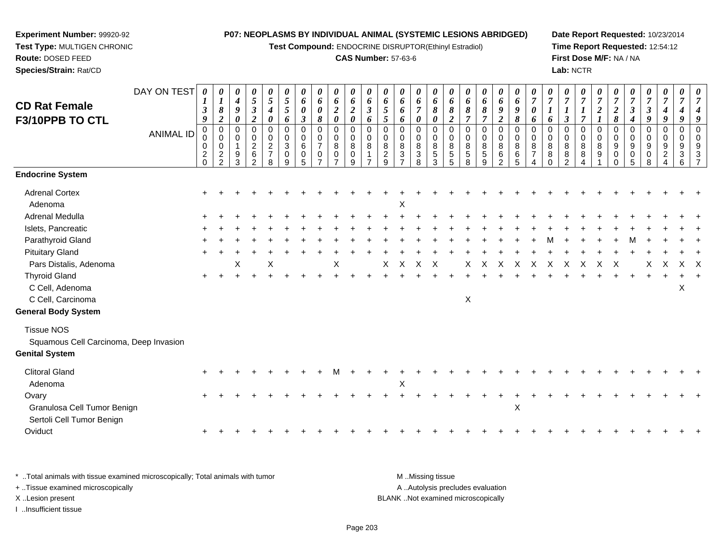**Test Compound:** ENDOCRINE DISRUPTOR(Ethinyl Estradiol)

## **CAS Number:** 57-63-6

**Date Report Requested:** 10/23/2014 **Time Report Requested:** 12:54:12**First Dose M/F:** NA / NA**Lab:** NCTR

|                                                          | DAY ON TEST      | 0                               | 0<br>1                                                 | 0<br>$\boldsymbol{4}$      | 0<br>$\mathfrak{s}$                                         | 0<br>5                                                        | 0<br>$\sqrt{5}$            | 0<br>6                    | 0<br>6                        | 0<br>6                                           | 0<br>6                                    | 0<br>6                  | 0<br>6                                    | 0<br>6                                      | 0<br>6                                             | 0<br>6                             | 0<br>6                                             | 0<br>6                         | 0<br>6                         | 0<br>6                                                   | $\boldsymbol{\theta}$<br>6            | 0<br>$\overline{7}$                              | 0<br>$\boldsymbol{7}$                             | 0<br>$\overline{7}$                | 0<br>$\overline{7}$     |                  | 0<br>$\overline{7}$           | 0<br>$\overline{7}$        | 0<br>$\overline{7}$                                 | 0<br>$\overline{7}$ | 0<br>$\overline{7}$ | 0<br>7                         |
|----------------------------------------------------------|------------------|---------------------------------|--------------------------------------------------------|----------------------------|-------------------------------------------------------------|---------------------------------------------------------------|----------------------------|---------------------------|-------------------------------|--------------------------------------------------|-------------------------------------------|-------------------------|-------------------------------------------|---------------------------------------------|----------------------------------------------------|------------------------------------|----------------------------------------------------|--------------------------------|--------------------------------|----------------------------------------------------------|---------------------------------------|--------------------------------------------------|---------------------------------------------------|------------------------------------|-------------------------|------------------|-------------------------------|----------------------------|-----------------------------------------------------|---------------------|---------------------|--------------------------------|
| <b>CD Rat Female</b>                                     |                  | 3<br>9                          | 8<br>$\boldsymbol{2}$                                  | 9<br>$\boldsymbol{\theta}$ | $\boldsymbol{\beta}$<br>$\boldsymbol{2}$                    | 4                                                             | 5                          | 0<br>$\boldsymbol{\beta}$ | 0<br>8                        | $\overline{\mathbf{c}}$<br>$\boldsymbol{\theta}$ | $\overline{2}$<br>$\boldsymbol{\theta}$   | 3                       | 5<br>5                                    | 6<br>6                                      | 7<br>$\boldsymbol{\theta}$                         | 8<br>0                             | 8<br>$\boldsymbol{2}$                              | 8                              | 8<br>$\overline{7}$            | 9<br>$\boldsymbol{2}$                                    | 9<br>8                                | 0                                                |                                                   | 1<br>$\boldsymbol{\beta}$          | $\overline{\tau}$       | $\boldsymbol{2}$ | $\boldsymbol{2}$<br>$\pmb{8}$ | 3                          | $\boldsymbol{\beta}$<br>9                           | 9                   | 9                   | g                              |
| F3/10PPB TO CTL                                          | <b>ANIMAL ID</b> | $\pmb{0}$<br>0<br>$\frac{2}{0}$ | $\pmb{0}$<br>$\mathbf 0$<br>$\pmb{0}$<br>$\frac{2}{2}$ | 0<br>0<br>9<br>3           | $\mathbf 0$<br>0<br>$\sqrt{2}$<br>$\,6\,$<br>$\overline{2}$ | 0<br>0<br>0<br>$\overline{\mathbf{c}}$<br>$\overline{7}$<br>8 | 6<br>0<br>0<br>3<br>0<br>9 | 0<br>0<br>6<br>0<br>5     | 0<br>0<br>$\overline{7}$<br>0 | 0<br>0<br>8<br>0<br>$\overline{ }$               | $\mathbf 0$<br>0<br>8<br>$\mathbf 0$<br>9 | 6<br>0<br>$\Omega$<br>8 | $\Omega$<br>0<br>8<br>$\overline{a}$<br>9 | 0<br>0<br>8<br>$\sqrt{3}$<br>$\overline{ }$ | $\mathbf 0$<br>$\mathbf 0$<br>8<br>$\sqrt{3}$<br>8 | 0<br>0<br>8<br>$\overline{5}$<br>3 | $\mathbf 0$<br>$\mathbf 0$<br>8<br>$\sqrt{5}$<br>5 | 0<br>0<br>8<br>$\sqrt{5}$<br>8 | 0<br>0<br>8<br>$\sqrt{5}$<br>9 | $\mathbf 0$<br>0<br>$\bf 8$<br>$\,6\,$<br>$\overline{2}$ | $\mathbf 0$<br>0<br>8<br>$\,6\,$<br>5 | 6<br>$\Omega$<br>$\Omega$<br>8<br>$\overline{7}$ | 6<br>$\Omega$<br>0<br>8<br>$\bf 8$<br>$\mathbf 0$ | 0<br>0<br>8<br>8<br>$\overline{2}$ | $\Omega$<br>0<br>8<br>8 | 0<br>0<br>8<br>9 | 0<br>0<br>9<br>0<br>$\Omega$  | 4<br>0<br>0<br>9<br>0<br>5 | $\mathbf 0$<br>$\mathbf 0$<br>9<br>$\mathbf 0$<br>8 | 0<br>0<br>9<br>2    | 0<br>3<br>6         | $\Omega$<br>$\Omega$<br>9<br>3 |
| <b>Endocrine System</b>                                  |                  |                                 |                                                        |                            |                                                             |                                                               |                            |                           |                               |                                                  |                                           |                         |                                           |                                             |                                                    |                                    |                                                    |                                |                                |                                                          |                                       |                                                  |                                                   |                                    |                         |                  |                               |                            |                                                     |                     |                     |                                |
| <b>Adrenal Cortex</b><br>Adenoma                         |                  | $\ddot{}$                       |                                                        |                            |                                                             |                                                               |                            |                           |                               |                                                  |                                           |                         |                                           | X                                           |                                                    |                                    |                                                    |                                |                                |                                                          |                                       |                                                  |                                                   |                                    |                         |                  |                               |                            |                                                     |                     |                     |                                |
| Adrenal Medulla                                          |                  |                                 |                                                        |                            |                                                             |                                                               |                            |                           |                               |                                                  |                                           |                         |                                           |                                             |                                                    |                                    |                                                    |                                |                                |                                                          |                                       |                                                  |                                                   |                                    |                         |                  |                               |                            |                                                     |                     |                     |                                |
| Islets, Pancreatic                                       |                  |                                 |                                                        |                            |                                                             |                                                               |                            |                           |                               |                                                  |                                           |                         |                                           |                                             |                                                    |                                    |                                                    |                                |                                |                                                          |                                       |                                                  |                                                   |                                    |                         |                  |                               |                            |                                                     |                     |                     |                                |
| Parathyroid Gland                                        |                  |                                 |                                                        |                            |                                                             |                                                               |                            |                           |                               |                                                  |                                           |                         |                                           |                                             |                                                    |                                    |                                                    |                                |                                |                                                          |                                       |                                                  |                                                   |                                    |                         |                  |                               |                            |                                                     |                     |                     |                                |
| <b>Pituitary Gland</b>                                   |                  |                                 |                                                        |                            |                                                             |                                                               |                            |                           |                               |                                                  |                                           |                         |                                           |                                             |                                                    |                                    |                                                    |                                |                                |                                                          |                                       |                                                  |                                                   |                                    |                         |                  |                               |                            |                                                     |                     |                     |                                |
| Pars Distalis, Adenoma                                   |                  |                                 |                                                        | X                          |                                                             | X                                                             |                            |                           |                               | Χ                                                |                                           |                         | X                                         | $\times$                                    | $\times$                                           | $\times$                           |                                                    | X                              | $\times$                       | X                                                        | X                                     | X                                                | X                                                 | X                                  | X                       | X                | X                             |                            | X                                                   | X                   | $X \times$          |                                |
| <b>Thyroid Gland</b>                                     |                  |                                 |                                                        |                            |                                                             |                                                               |                            |                           |                               |                                                  |                                           |                         |                                           |                                             |                                                    |                                    |                                                    |                                |                                |                                                          |                                       |                                                  |                                                   |                                    |                         |                  |                               |                            |                                                     |                     |                     |                                |
| C Cell, Adenoma                                          |                  |                                 |                                                        |                            |                                                             |                                                               |                            |                           |                               |                                                  |                                           |                         |                                           |                                             |                                                    |                                    |                                                    |                                |                                |                                                          |                                       |                                                  |                                                   |                                    |                         |                  |                               |                            |                                                     |                     | X                   |                                |
| C Cell, Carcinoma                                        |                  |                                 |                                                        |                            |                                                             |                                                               |                            |                           |                               |                                                  |                                           |                         |                                           |                                             |                                                    |                                    |                                                    | $\pmb{\times}$                 |                                |                                                          |                                       |                                                  |                                                   |                                    |                         |                  |                               |                            |                                                     |                     |                     |                                |
| <b>General Body System</b>                               |                  |                                 |                                                        |                            |                                                             |                                                               |                            |                           |                               |                                                  |                                           |                         |                                           |                                             |                                                    |                                    |                                                    |                                |                                |                                                          |                                       |                                                  |                                                   |                                    |                         |                  |                               |                            |                                                     |                     |                     |                                |
| <b>Tissue NOS</b>                                        |                  |                                 |                                                        |                            |                                                             |                                                               |                            |                           |                               |                                                  |                                           |                         |                                           |                                             |                                                    |                                    |                                                    |                                |                                |                                                          |                                       |                                                  |                                                   |                                    |                         |                  |                               |                            |                                                     |                     |                     |                                |
| Squamous Cell Carcinoma, Deep Invasion                   |                  |                                 |                                                        |                            |                                                             |                                                               |                            |                           |                               |                                                  |                                           |                         |                                           |                                             |                                                    |                                    |                                                    |                                |                                |                                                          |                                       |                                                  |                                                   |                                    |                         |                  |                               |                            |                                                     |                     |                     |                                |
| <b>Genital System</b>                                    |                  |                                 |                                                        |                            |                                                             |                                                               |                            |                           |                               |                                                  |                                           |                         |                                           |                                             |                                                    |                                    |                                                    |                                |                                |                                                          |                                       |                                                  |                                                   |                                    |                         |                  |                               |                            |                                                     |                     |                     |                                |
| <b>Clitoral Gland</b>                                    |                  |                                 |                                                        |                            |                                                             |                                                               |                            |                           |                               |                                                  |                                           |                         |                                           |                                             |                                                    |                                    |                                                    |                                |                                |                                                          |                                       |                                                  |                                                   |                                    |                         |                  |                               |                            |                                                     |                     |                     |                                |
| Adenoma                                                  |                  |                                 |                                                        |                            |                                                             |                                                               |                            |                           |                               |                                                  |                                           |                         |                                           | $\boldsymbol{\mathsf{X}}$                   |                                                    |                                    |                                                    |                                |                                |                                                          |                                       |                                                  |                                                   |                                    |                         |                  |                               |                            |                                                     |                     |                     |                                |
| Ovary                                                    |                  |                                 |                                                        |                            |                                                             |                                                               |                            |                           |                               |                                                  |                                           |                         |                                           |                                             |                                                    |                                    |                                                    |                                |                                |                                                          |                                       |                                                  |                                                   |                                    |                         |                  |                               |                            |                                                     |                     |                     |                                |
| Granulosa Cell Tumor Benign<br>Sertoli Cell Tumor Benign |                  |                                 |                                                        |                            |                                                             |                                                               |                            |                           |                               |                                                  |                                           |                         |                                           |                                             |                                                    |                                    |                                                    |                                |                                |                                                          | $\boldsymbol{\mathsf{X}}$             |                                                  |                                                   |                                    |                         |                  |                               |                            |                                                     |                     |                     |                                |
| Oviduct                                                  |                  | $+$                             |                                                        |                            |                                                             |                                                               |                            |                           |                               |                                                  |                                           |                         |                                           |                                             |                                                    |                                    |                                                    |                                |                                |                                                          |                                       |                                                  |                                                   |                                    |                         |                  |                               |                            |                                                     |                     |                     |                                |
|                                                          |                  |                                 |                                                        |                            |                                                             |                                                               |                            |                           |                               |                                                  |                                           |                         |                                           |                                             |                                                    |                                    |                                                    |                                |                                |                                                          |                                       |                                                  |                                                   |                                    |                         |                  |                               |                            |                                                     |                     |                     |                                |

\* ..Total animals with tissue examined microscopically; Total animals with tumor **M** . Missing tissue M ..Missing tissue A ..Autolysis precludes evaluation + ..Tissue examined microscopically X ..Lesion present BLANK ..Not examined microscopicallyI ..Insufficient tissue

**Experiment Number:** 99920-92**Test Type:** MULTIGEN CHRONIC

 $\mathfrak{t}$  +

**Route:** DOSED FEED**Species/Strain:** Rat/CD

<sup>+</sup> <sup>+</sup> <sup>+</sup> <sup>+</sup> <sup>+</sup> <sup>+</sup> <sup>+</sup> <sup>+</sup> <sup>+</sup> <sup>+</sup> <sup>+</sup> <sup>+</sup> <sup>+</sup> <sup>+</sup> <sup>+</sup> <sup>+</sup> <sup>+</sup> <sup>+</sup> <sup>+</sup> <sup>+</sup> <sup>+</sup> <sup>+</sup> <sup>+</sup> <sup>+</sup> <sup>+</sup> <sup>+</sup> <sup>+</sup> <sup>+</sup> <sup>+</sup> <sup>+</sup>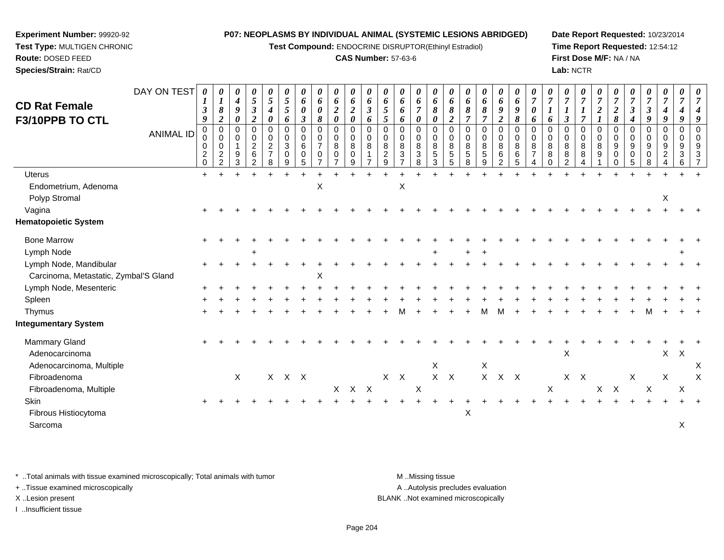**Test Compound:** ENDOCRINE DISRUPTOR(Ethinyl Estradiol)

## **CAS Number:** 57-63-6

**Date Report Requested:** 10/23/2014**Time Report Requested:** 12:54:12**First Dose M/F:** NA / NA**Lab:** NCTR

| <b>CD Rat Female</b>                                            | DAY ON TEST      | 0<br>1<br>$\boldsymbol{\beta}$          | $\boldsymbol{\theta}$<br>$\boldsymbol{l}$<br>$\pmb{8}$ | 0<br>$\boldsymbol{4}$<br>9 | 0<br>$\mathfrak{s}$<br>$\mathfrak{z}$        | $\boldsymbol{\theta}$<br>$\mathfrak{s}$<br>$\boldsymbol{4}$ | $\boldsymbol{\theta}$<br>$\overline{5}$<br>$\mathfrak{s}$ | $\boldsymbol{\theta}$<br>6<br>$\boldsymbol{\theta}$ | $\boldsymbol{\theta}$<br>6<br>0            | 0<br>6<br>$\boldsymbol{2}$          | $\boldsymbol{\theta}$<br>6<br>$\overline{2}$ | $\boldsymbol{\theta}$<br>6<br>$\mathfrak{z}$ | $\theta$<br>6<br>$\overline{5}$     | 0<br>6<br>6               | 0<br>6<br>$\overline{7}$                       | $\boldsymbol{\theta}$<br>6<br>$\pmb{8}$               | $\boldsymbol{\theta}$<br>6<br>8 | $\boldsymbol{\theta}$<br>6<br>8 | $\boldsymbol{\theta}$<br>6<br>8 | 0<br>6<br>9                      | $\boldsymbol{\theta}$<br>6<br>9        | $\boldsymbol{\theta}$<br>$\overline{7}$<br>$\boldsymbol{\theta}$ | $\boldsymbol{\theta}$<br>$\overline{7}$<br>$\boldsymbol{l}$ | $\boldsymbol{\theta}$<br>$\overline{7}$ | 0<br>$\overline{7}$                   | 0<br>$\overline{7}$<br>$\overline{2}$ | $\boldsymbol{\theta}$<br>$\overline{7}$<br>$\boldsymbol{2}$ | $\overline{7}$<br>$\boldsymbol{\beta}$ | $\boldsymbol{\theta}$<br>$\overline{7}$<br>3 | $\boldsymbol{\theta}$<br>$\overline{7}$<br>4                      | $\boldsymbol{\theta}$<br>$\overline{7}$ | $\boldsymbol{\mathit{U}}$<br>7 |
|-----------------------------------------------------------------|------------------|-----------------------------------------|--------------------------------------------------------|----------------------------|----------------------------------------------|-------------------------------------------------------------|-----------------------------------------------------------|-----------------------------------------------------|--------------------------------------------|-------------------------------------|----------------------------------------------|----------------------------------------------|-------------------------------------|---------------------------|------------------------------------------------|-------------------------------------------------------|---------------------------------|---------------------------------|---------------------------------|----------------------------------|----------------------------------------|------------------------------------------------------------------|-------------------------------------------------------------|-----------------------------------------|---------------------------------------|---------------------------------------|-------------------------------------------------------------|----------------------------------------|----------------------------------------------|-------------------------------------------------------------------|-----------------------------------------|--------------------------------|
| F3/10PPB TO CTL                                                 |                  | 9<br>$\mathbf 0$                        | $\boldsymbol{2}$<br>$\mathsf 0$                        | 0<br>0                     | $\boldsymbol{2}$<br>0                        | $\boldsymbol{\theta}$<br>$\mathbf 0$                        | 6<br>$\Omega$                                             | $\mathfrak{z}$<br>$\mathbf 0$                       | 8<br>$\mathbf 0$                           | $\boldsymbol{\theta}$<br>0          | $\boldsymbol{\theta}$<br>$\mathbf 0$         | 6<br>$\Omega$                                | $\overline{5}$<br>$\Omega$          | 6<br>0                    | $\boldsymbol{\theta}$<br>$\Omega$              | 0<br>$\Omega$                                         | $\boldsymbol{2}$<br>$\Omega$    | 7<br>$\mathbf 0$                | $\Omega$                        | $\overline{2}$<br>$\mathbf 0$    | $\pmb{8}$<br>$\mathbf 0$               | 6<br>0                                                           | 6<br>$\Omega$                                               | 3<br>$\Omega$                           | $\overline{7}$<br>0                   | $\Omega$                              | $\pmb{8}$<br>0                                              | 4<br>$\Omega$                          | 9<br>0                                       | 9<br>0                                                            | $\mathbf 0$                             |                                |
|                                                                 | <b>ANIMAL ID</b> | 0<br>0<br>$\overline{c}$<br>$\mathbf 0$ | 0<br>$\pmb{0}$<br>$\overline{c}$<br>$\mathfrak{D}$     | 0<br>1<br>9<br>3           | 0<br>$\boldsymbol{2}$<br>6<br>$\mathfrak{p}$ | 0<br>$\boldsymbol{2}$<br>$\overline{7}$<br>8                | 0<br>$\mathbf{3}$<br>0<br>9                               | 0<br>6<br>0<br>$\overline{5}$                       | 0<br>$\overline{7}$<br>0<br>$\overline{ }$ | 0<br>$\,8\,$<br>0<br>$\overline{7}$ | $\mathbf 0$<br>8<br>$\pmb{0}$<br>9           | 0<br>8                                       | 0<br>$\,8\,$<br>$\overline{c}$<br>9 | 0<br>8<br>$\mathbf{3}$    | 0<br>$\,8\,$<br>$\ensuremath{\mathsf{3}}$<br>8 | $\mathbf 0$<br>$\bf 8$<br>$\,$ 5 $\,$<br>$\mathbf{3}$ | 0<br>8<br>$\sqrt{5}$<br>5       | 0<br>8<br>5<br>8                | 0<br>8<br>5<br>9                | $\mathbf 0$<br>8<br>$\,6\,$<br>2 | $\mathbf 0$<br>$\bf 8$<br>$\,6\,$<br>5 | 0<br>8<br>$\overline{7}$<br>4                                    | 0<br>8<br>8<br>$\Omega$                                     | 0<br>8<br>8<br>$\mathcal{P}$            | 0<br>8<br>8<br>$\boldsymbol{\Lambda}$ | $\mathbf 0$<br>8<br>9                 | 0<br>9<br>0<br>0                                            | 0<br>9<br>$\mathbf 0$<br>5             | 0<br>9<br>0<br>8                             | 0<br>$\boldsymbol{9}$<br>$\overline{c}$<br>$\boldsymbol{\Lambda}$ | $\mathbf 0$<br>9<br>$\sqrt{3}$<br>6     |                                |
| <b>Uterus</b>                                                   |                  | $+$                                     |                                                        |                            |                                              |                                                             |                                                           |                                                     |                                            |                                     |                                              |                                              |                                     |                           |                                                |                                                       |                                 |                                 |                                 |                                  |                                        |                                                                  |                                                             |                                         |                                       |                                       |                                                             |                                        |                                              |                                                                   |                                         |                                |
| Endometrium, Adenoma<br>Polyp Stromal                           |                  |                                         |                                                        |                            |                                              |                                                             |                                                           |                                                     | $\mathsf X$                                |                                     |                                              |                                              |                                     | $\boldsymbol{\mathsf{X}}$ |                                                |                                                       |                                 |                                 |                                 |                                  |                                        |                                                                  |                                                             |                                         |                                       |                                       |                                                             |                                        |                                              | X                                                                 |                                         |                                |
| Vagina                                                          |                  |                                         |                                                        |                            |                                              |                                                             |                                                           |                                                     |                                            |                                     |                                              |                                              |                                     |                           |                                                |                                                       |                                 |                                 |                                 |                                  |                                        |                                                                  |                                                             |                                         |                                       |                                       |                                                             |                                        |                                              |                                                                   |                                         |                                |
| <b>Hematopoietic System</b>                                     |                  |                                         |                                                        |                            |                                              |                                                             |                                                           |                                                     |                                            |                                     |                                              |                                              |                                     |                           |                                                |                                                       |                                 |                                 |                                 |                                  |                                        |                                                                  |                                                             |                                         |                                       |                                       |                                                             |                                        |                                              |                                                                   |                                         |                                |
| <b>Bone Marrow</b>                                              |                  |                                         |                                                        |                            |                                              |                                                             |                                                           |                                                     |                                            |                                     |                                              |                                              |                                     |                           |                                                |                                                       |                                 |                                 |                                 |                                  |                                        |                                                                  |                                                             |                                         |                                       |                                       |                                                             |                                        |                                              |                                                                   |                                         |                                |
| Lymph Node                                                      |                  |                                         |                                                        |                            |                                              |                                                             |                                                           |                                                     |                                            |                                     |                                              |                                              |                                     |                           |                                                | $\pm$                                                 |                                 |                                 |                                 |                                  |                                        |                                                                  |                                                             |                                         |                                       |                                       |                                                             |                                        |                                              |                                                                   |                                         |                                |
| Lymph Node, Mandibular<br>Carcinoma, Metastatic, Zymbal'S Gland |                  |                                         |                                                        |                            |                                              |                                                             |                                                           |                                                     | Χ                                          |                                     |                                              |                                              |                                     |                           |                                                |                                                       |                                 |                                 |                                 |                                  |                                        |                                                                  |                                                             |                                         |                                       |                                       |                                                             |                                        |                                              |                                                                   |                                         |                                |
| Lymph Node, Mesenteric                                          |                  |                                         |                                                        |                            |                                              |                                                             |                                                           |                                                     |                                            |                                     |                                              |                                              |                                     |                           |                                                |                                                       |                                 |                                 |                                 |                                  |                                        |                                                                  |                                                             |                                         |                                       |                                       |                                                             |                                        |                                              |                                                                   |                                         |                                |
| Spleen                                                          |                  |                                         |                                                        |                            |                                              |                                                             |                                                           |                                                     |                                            |                                     |                                              |                                              |                                     |                           |                                                |                                                       |                                 |                                 |                                 |                                  |                                        |                                                                  |                                                             |                                         |                                       |                                       |                                                             |                                        |                                              |                                                                   |                                         |                                |
| Thymus                                                          |                  |                                         |                                                        |                            |                                              |                                                             |                                                           |                                                     |                                            |                                     |                                              |                                              |                                     |                           |                                                |                                                       |                                 |                                 |                                 |                                  |                                        |                                                                  |                                                             |                                         |                                       |                                       |                                                             |                                        |                                              |                                                                   |                                         |                                |
| <b>Integumentary System</b>                                     |                  |                                         |                                                        |                            |                                              |                                                             |                                                           |                                                     |                                            |                                     |                                              |                                              |                                     |                           |                                                |                                                       |                                 |                                 |                                 |                                  |                                        |                                                                  |                                                             |                                         |                                       |                                       |                                                             |                                        |                                              |                                                                   |                                         |                                |
| <b>Mammary Gland</b><br>Adenocarcinoma                          |                  |                                         |                                                        |                            |                                              |                                                             |                                                           |                                                     |                                            |                                     |                                              |                                              |                                     |                           |                                                |                                                       |                                 |                                 |                                 |                                  |                                        |                                                                  |                                                             | X                                       |                                       |                                       |                                                             |                                        |                                              | X                                                                 | $\boldsymbol{X}$                        |                                |
| Adenocarcinoma, Multiple                                        |                  |                                         |                                                        |                            |                                              |                                                             |                                                           |                                                     |                                            |                                     |                                              |                                              |                                     |                           |                                                | Χ                                                     |                                 |                                 | X                               |                                  |                                        |                                                                  |                                                             |                                         |                                       |                                       |                                                             |                                        |                                              |                                                                   |                                         | Χ                              |
| Fibroadenoma                                                    |                  |                                         |                                                        | $\mathsf{X}$               |                                              |                                                             | X X X                                                     |                                                     |                                            |                                     |                                              |                                              |                                     | $X$ $X$                   |                                                |                                                       | $X$ $X$                         |                                 |                                 | $X$ $X$ $X$                      |                                        |                                                                  |                                                             |                                         | $X$ $X$                               |                                       |                                                             | $\mathsf X$                            |                                              | $\mathsf X$                                                       |                                         | Χ                              |
| Fibroadenoma, Multiple                                          |                  |                                         |                                                        |                            |                                              |                                                             |                                                           |                                                     |                                            |                                     | X X X                                        |                                              |                                     |                           | $\boldsymbol{\mathsf{X}}$                      |                                                       |                                 |                                 |                                 |                                  |                                        |                                                                  | $\mathsf X$                                                 |                                         |                                       | $\mathsf{X}$                          | $\mathsf{X}$                                                |                                        | $\mathsf X$                                  |                                                                   | X                                       |                                |
| Skin<br>Fibrous Histiocytoma<br>Sarcoma                         |                  |                                         |                                                        |                            |                                              |                                                             |                                                           |                                                     |                                            |                                     |                                              |                                              |                                     |                           |                                                |                                                       |                                 | X                               |                                 |                                  |                                        |                                                                  |                                                             |                                         |                                       |                                       |                                                             |                                        |                                              |                                                                   | X                                       |                                |
|                                                                 |                  |                                         |                                                        |                            |                                              |                                                             |                                                           |                                                     |                                            |                                     |                                              |                                              |                                     |                           |                                                |                                                       |                                 |                                 |                                 |                                  |                                        |                                                                  |                                                             |                                         |                                       |                                       |                                                             |                                        |                                              |                                                                   |                                         |                                |

\* ..Total animals with tissue examined microscopically; Total animals with tumor **M** . Missing tissue M ..Missing tissue

+ ..Tissue examined microscopically

**Experiment Number:** 99920-92**Test Type:** MULTIGEN CHRONIC

**Route:** DOSED FEED**Species/Strain:** Rat/CD

I ..Insufficient tissue

A ..Autolysis precludes evaluation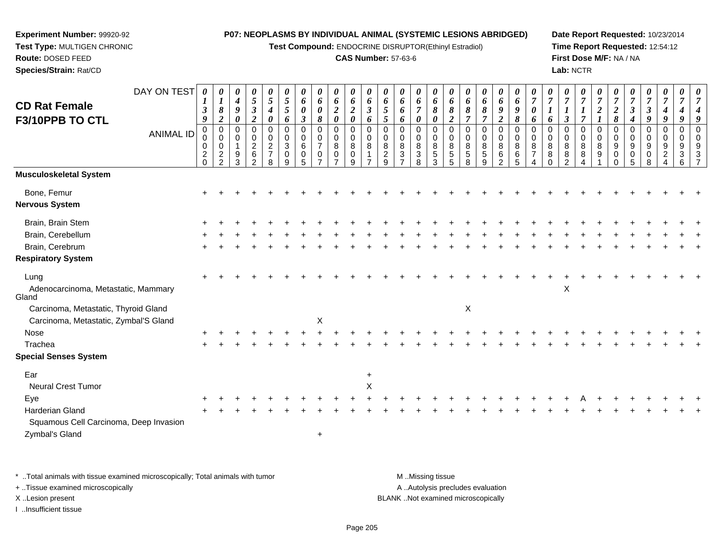**Test Compound:** ENDOCRINE DISRUPTOR(Ethinyl Estradiol)

## **CAS Number:** 57-63-6

**Date Report Requested:** 10/23/2014**Time Report Requested:** 12:54:12**First Dose M/F:** NA / NA**Lab:** NCTR

| DAY ON TEST                                  | 0             | 0<br>1                   | 0<br>$\boldsymbol{4}$      | 0<br>$\sqrt{5}$            | 0<br>5                           | 0<br>$\sqrt{5}$  | 0<br>6                     | 0<br>6           | 0<br>$\pmb{6}$             | $\boldsymbol{\theta}$<br>6 | 0<br>6        | 0<br>6                         | 0                                           | 0<br>6                     | 0<br>6          | 0<br>6                  | 0<br>6         | 0<br>6         | 0<br>6                     | 0<br>6           | $\theta$<br>$\overline{7}$ | 0<br>$\overline{7}$ | 0<br>$\boldsymbol{7}$ | 0<br>$\overline{7}$ | 7                | $\overline{7}$             | 0<br>$\overline{7}$  | 0<br>$\overline{7}$        | 0<br>$\overline{7}$  | 0<br>$\overline{7}$ | 0<br>7                  |
|----------------------------------------------|---------------|--------------------------|----------------------------|----------------------------|----------------------------------|------------------|----------------------------|------------------|----------------------------|----------------------------|---------------|--------------------------------|---------------------------------------------|----------------------------|-----------------|-------------------------|----------------|----------------|----------------------------|------------------|----------------------------|---------------------|-----------------------|---------------------|------------------|----------------------------|----------------------|----------------------------|----------------------|---------------------|-------------------------|
| <b>CD Rat Female</b>                         | 3             | 8                        | 9                          | $\boldsymbol{\beta}$       | 4                                | $\mathfrak{s}$   | 0                          | 0                | $\boldsymbol{2}$           | $\overline{2}$             | 3             | 5                              | 6<br>6                                      | $\overline{7}$             | 8               | 8                       | 8              | 8              | 9                          | 9                | 0                          |                     | $\boldsymbol{l}$      |                     | $\boldsymbol{2}$ | $\boldsymbol{2}$           | $\boldsymbol{\beta}$ | $\boldsymbol{\beta}$       | 4                    |                     |                         |
| F3/10PPB TO CTL                              | 9             | $\boldsymbol{2}$         | $\boldsymbol{\theta}$      | $\boldsymbol{2}$           | 0                                | 6                | $\boldsymbol{\beta}$       | 8                | $\boldsymbol{\theta}$      | $\boldsymbol{\theta}$      | 6             | 5                              | 6                                           | $\boldsymbol{\theta}$      | 0               | $\overline{2}$          | $\overline{7}$ | $\overline{7}$ | $\boldsymbol{2}$           | 8                | 6                          | 6                   | $\mathfrak{z}$        | $\overline{7}$      |                  | $\pmb{8}$                  | 4                    | 9                          | 9                    | 9                   | 9                       |
| <b>ANIMAL ID</b>                             | $\pmb{0}$     | $\pmb{0}$<br>$\mathbf 0$ | $\mathbf 0$<br>$\mathbf 0$ | $\mathbf 0$<br>$\mathbf 0$ | 0<br>0                           | $\mathbf 0$<br>0 | $\mathbf 0$<br>$\mathbf 0$ | 0<br>$\mathbf 0$ | $\mathbf 0$<br>$\mathbf 0$ | 0<br>0                     | $\Omega$<br>0 | 0<br>0                         | 0<br>0                                      | $\mathbf 0$<br>$\mathbf 0$ | 0<br>0          | $\Omega$<br>$\mathbf 0$ | 0<br>0         | 0<br>0         | $\mathbf 0$<br>$\mathbf 0$ | $\mathbf 0$<br>0 | $\Omega$<br>$\Omega$       | $\mathbf 0$<br>0    | 0<br>0                | $\mathbf 0$<br>0    | 0<br>0           | $\mathbf 0$<br>$\mathbf 0$ | 0<br>0               | $\mathbf 0$<br>$\mathbf 0$ | $\Omega$<br>$\Omega$ | 0<br>0              | $\Omega$<br>$\mathbf 0$ |
|                                              | 0             | $\mathbf 0$              | $\overline{\mathbf{1}}$    | $\sqrt{2}$                 | $\overline{c}$<br>$\overline{7}$ | 3                | 6                          | $\overline{7}$   | 8                          | 8                          | 8             | 8                              | 8                                           | $\bf8$                     | 8               | 8                       | 8              | 8              | $\bf 8$                    | 8                | 8                          | 8                   | 8                     | 8                   | 8                | 9                          | 9                    | 9                          | 9                    |                     | 9                       |
|                                              | $\frac{2}{0}$ | $\overline{c}$<br>2      | 9<br>3                     | 6<br>$\overline{2}$        | 8                                | 0<br>9           | 0<br>5                     | 0                | 0<br>$\overline{ }$        | $\mathbf 0$<br>9           |               | $\overline{a}$<br>$\mathbf{Q}$ | $\ensuremath{\mathsf{3}}$<br>$\overline{7}$ | $\sqrt{3}$<br>8            | $\sqrt{5}$<br>3 | 5<br>5                  | 5<br>8         | 5<br>9         | $\,6$<br>$\mathcal{P}$     | 6<br>5           | $\overline{7}$             | 8<br>$\Omega$       | 8<br>$\mathcal{P}$    | 8                   | 9                | 0                          | 0<br>5               | 0<br>8                     | 2                    | 3<br>6              | 3                       |
| Musculoskeletal System                       |               |                          |                            |                            |                                  |                  |                            |                  |                            |                            |               |                                |                                             |                            |                 |                         |                |                |                            |                  |                            |                     |                       |                     |                  |                            |                      |                            |                      |                     |                         |
| Bone, Femur                                  |               |                          |                            |                            |                                  |                  |                            |                  |                            |                            |               |                                |                                             |                            |                 |                         |                |                |                            |                  |                            |                     |                       |                     |                  |                            |                      |                            |                      |                     |                         |
| Nervous System                               |               |                          |                            |                            |                                  |                  |                            |                  |                            |                            |               |                                |                                             |                            |                 |                         |                |                |                            |                  |                            |                     |                       |                     |                  |                            |                      |                            |                      |                     |                         |
| Brain, Brain Stem                            |               |                          |                            |                            |                                  |                  |                            |                  |                            |                            |               |                                |                                             |                            |                 |                         |                |                |                            |                  |                            |                     |                       |                     |                  |                            |                      |                            |                      |                     |                         |
| Brain, Cerebellum                            |               |                          |                            |                            |                                  |                  |                            |                  |                            |                            |               |                                |                                             |                            |                 |                         |                |                |                            |                  |                            |                     |                       |                     |                  |                            |                      |                            |                      |                     |                         |
| Brain, Cerebrum                              |               |                          |                            |                            |                                  |                  |                            |                  |                            |                            |               |                                |                                             |                            |                 |                         |                |                |                            |                  |                            |                     |                       |                     |                  |                            |                      |                            |                      |                     |                         |
| <b>Respiratory System</b>                    |               |                          |                            |                            |                                  |                  |                            |                  |                            |                            |               |                                |                                             |                            |                 |                         |                |                |                            |                  |                            |                     |                       |                     |                  |                            |                      |                            |                      |                     |                         |
| Lung                                         |               |                          |                            |                            |                                  |                  |                            |                  |                            |                            |               |                                |                                             |                            |                 |                         |                |                |                            |                  |                            |                     |                       |                     |                  |                            |                      |                            |                      |                     |                         |
| Adenocarcinoma, Metastatic, Mammary<br>Gland |               |                          |                            |                            |                                  |                  |                            |                  |                            |                            |               |                                |                                             |                            |                 |                         |                |                |                            |                  |                            |                     | X                     |                     |                  |                            |                      |                            |                      |                     |                         |
| Carcinoma, Metastatic, Thyroid Gland         |               |                          |                            |                            |                                  |                  |                            |                  |                            |                            |               |                                |                                             |                            |                 |                         | X              |                |                            |                  |                            |                     |                       |                     |                  |                            |                      |                            |                      |                     |                         |
| Carcinoma, Metastatic, Zymbal'S Gland        |               |                          |                            |                            |                                  |                  |                            | X                |                            |                            |               |                                |                                             |                            |                 |                         |                |                |                            |                  |                            |                     |                       |                     |                  |                            |                      |                            |                      |                     |                         |
| Nose                                         |               |                          |                            |                            |                                  |                  |                            |                  |                            |                            |               |                                |                                             |                            |                 |                         |                |                |                            |                  |                            |                     |                       |                     |                  |                            |                      |                            |                      |                     |                         |
| Trachea                                      |               |                          |                            |                            |                                  |                  |                            |                  |                            |                            |               |                                |                                             |                            |                 |                         |                |                |                            |                  |                            |                     |                       |                     |                  |                            |                      |                            |                      |                     |                         |
| <b>Special Senses System</b>                 |               |                          |                            |                            |                                  |                  |                            |                  |                            |                            |               |                                |                                             |                            |                 |                         |                |                |                            |                  |                            |                     |                       |                     |                  |                            |                      |                            |                      |                     |                         |
| Ear                                          |               |                          |                            |                            |                                  |                  |                            |                  |                            |                            | +             |                                |                                             |                            |                 |                         |                |                |                            |                  |                            |                     |                       |                     |                  |                            |                      |                            |                      |                     |                         |
| Neural Crest Tumor                           |               |                          |                            |                            |                                  |                  |                            |                  |                            |                            | X             |                                |                                             |                            |                 |                         |                |                |                            |                  |                            |                     |                       |                     |                  |                            |                      |                            |                      |                     |                         |
| Eye                                          |               |                          |                            |                            |                                  |                  |                            |                  |                            |                            |               |                                |                                             |                            |                 |                         |                |                |                            |                  |                            |                     |                       |                     |                  |                            |                      |                            |                      |                     |                         |
| Harderian Gland                              |               |                          |                            |                            |                                  |                  |                            |                  |                            |                            |               |                                |                                             |                            |                 |                         |                |                |                            |                  |                            |                     |                       |                     |                  |                            |                      |                            |                      |                     |                         |
| Squamous Cell Carcinoma, Deep Invasion       |               |                          |                            |                            |                                  |                  |                            |                  |                            |                            |               |                                |                                             |                            |                 |                         |                |                |                            |                  |                            |                     |                       |                     |                  |                            |                      |                            |                      |                     |                         |
| Zymbal's Gland                               |               |                          |                            |                            |                                  |                  |                            | $\ddot{}$        |                            |                            |               |                                |                                             |                            |                 |                         |                |                |                            |                  |                            |                     |                       |                     |                  |                            |                      |                            |                      |                     |                         |
|                                              |               |                          |                            |                            |                                  |                  |                            |                  |                            |                            |               |                                |                                             |                            |                 |                         |                |                |                            |                  |                            |                     |                       |                     |                  |                            |                      |                            |                      |                     |                         |

\* ..Total animals with tissue examined microscopically; Total animals with tumor **M** . Missing tissue M ..Missing tissue

+ ..Tissue examined microscopically

**Experiment Number:** 99920-92**Test Type:** MULTIGEN CHRONIC

**Route:** DOSED FEED**Species/Strain:** Rat/CD

I ..Insufficient tissue

A ..Autolysis precludes evaluation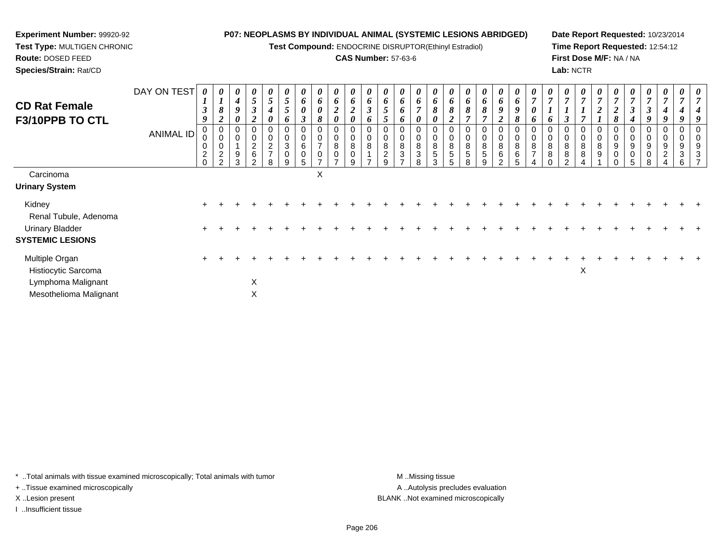**Test Compound:** ENDOCRINE DISRUPTOR(Ethinyl Estradiol)

## **CAS Number:** 57-63-6

**Date Report Requested:** 10/23/2014**Time Report Requested:** 12:54:12**First Dose M/F:** NA / NA**Lab:** NCTR

| <b>CD Rat Female</b><br>F3/10PPB TO CTL      | DAY ON TEST<br>ANIMAL ID | $\boldsymbol{\theta}$<br>$\boldsymbol{I}$<br>$\boldsymbol{\beta}$<br>9<br>0<br>0<br>$\pmb{0}$<br>$\overline{2}$<br>$\mathbf 0$ | $\boldsymbol{l}$<br>$\boldsymbol{\delta}$<br>$\overline{2}$<br>0<br>$\pmb{0}$<br>$\pmb{0}$<br>$\sqrt{2}$<br>$\overline{2}$ | 0<br>$\boldsymbol{4}$<br>9<br>0<br>$\Omega$<br>9<br>3 | 0<br>$5\overline{)}$<br>$\mathfrak{z}$<br>$\overline{2}$<br>0<br>$\overline{c}$<br>6<br>C | $\boldsymbol{\theta}$<br>$\mathfrak{s}$<br>4<br>0<br>0<br>$\mathbf 0$<br>$\boldsymbol{2}$<br>$\overline{ }$<br>8 | $\mathfrak{s}$<br>$5\overline{)}$<br>6<br>0<br>$\pmb{0}$<br>$\sqrt{3}$<br>$\pmb{0}$<br>9 | 6<br>$\boldsymbol{\theta}$<br>$\boldsymbol{\beta}$<br>0<br>$\,6$<br>$\pmb{0}$<br>5 | 0<br>6<br>$\pmb{\theta}$<br>8<br>0<br>⇁<br>$\mathbf 0$<br>$\rightarrow$ | 0<br>6<br>$\overline{\mathbf{c}}$<br>0<br>0<br>8<br>$\mathsf 0$<br>$\rightarrow$ | $\boldsymbol{\theta}$<br>6<br>$\overline{2}$<br>0<br>0<br>0<br>8<br>$\pmb{0}$<br>9 | 6<br>$\boldsymbol{\beta}$<br>6<br>0<br>$\pmb{0}$<br>8<br>$\rightarrow$ | 6<br>5<br>5<br>$\mathbf 0$<br>8<br>$\overline{c}$<br>9 | 0<br>6<br>6<br>6<br>0<br>8<br>3 | 0<br>6<br>0<br>0<br>8<br>3<br>8 | $\boldsymbol{\theta}$<br>6<br>8<br>0<br>0<br>$\mathbf 0$<br>$\,8\,$<br>$\sqrt{5}$<br>3 | 6<br>$\pmb{8}$<br>$\overline{2}$<br>$\,0\,$<br>$\pmb{0}$<br>$\,8\,$<br>$\overline{5}$<br>5 | 6<br>8<br>$\overline{ }$<br>$\pmb{0}$<br>$\bf 8$<br>5<br>8 | 0<br>6<br>8<br>$\overline{ }$<br>0<br>8<br>5<br>9 | 0<br>6<br>$\pmb{9}$<br>$\boldsymbol{2}$<br>$\mathbf 0$<br>8<br>6<br>C | $\boldsymbol{\theta}$<br>6<br>9<br>8<br>0<br>$\pmb{0}$<br>$\bf 8$<br>$\,6\,$<br>5 | $\overline{7}$<br>$\boldsymbol{\theta}$<br>6<br>0<br>$\pmb{0}$<br>$\bf 8$<br>$\overline{ }$ | 7<br>$\mathbf{I}$<br>6<br>$\mathbf 0$<br>8<br>8 | 0<br>$\overline{7}$<br>0<br>8<br>8<br>ົ | 0<br>$\overline{7}$<br>$\mathbf{I}$<br>0<br>8<br>8 | $\boldsymbol{\theta}$<br>$\overline{7}$<br>∠<br>0<br>$\bf 8$<br>9 | $\boldsymbol{2}$<br>8<br>0<br>$\pmb{0}$<br>$\boldsymbol{9}$<br>$\mathbf 0$<br>$\Omega$ | $\boldsymbol{\beta}$<br>$\boldsymbol{4}$<br>$\mathbf 0$<br>9<br>$\mathbf 0$ | 7<br>$\boldsymbol{\beta}$<br>9<br>0<br>9<br>R | 0<br>$\boldsymbol{7}$<br>4<br>9<br>0<br>0<br>9<br>$\overline{a}$ | $\boldsymbol{\theta}$<br>$\overline{ }$<br>0<br>9<br>$\mathbf{3}$<br>6 |  |
|----------------------------------------------|--------------------------|--------------------------------------------------------------------------------------------------------------------------------|----------------------------------------------------------------------------------------------------------------------------|-------------------------------------------------------|-------------------------------------------------------------------------------------------|------------------------------------------------------------------------------------------------------------------|------------------------------------------------------------------------------------------|------------------------------------------------------------------------------------|-------------------------------------------------------------------------|----------------------------------------------------------------------------------|------------------------------------------------------------------------------------|------------------------------------------------------------------------|--------------------------------------------------------|---------------------------------|---------------------------------|----------------------------------------------------------------------------------------|--------------------------------------------------------------------------------------------|------------------------------------------------------------|---------------------------------------------------|-----------------------------------------------------------------------|-----------------------------------------------------------------------------------|---------------------------------------------------------------------------------------------|-------------------------------------------------|-----------------------------------------|----------------------------------------------------|-------------------------------------------------------------------|----------------------------------------------------------------------------------------|-----------------------------------------------------------------------------|-----------------------------------------------|------------------------------------------------------------------|------------------------------------------------------------------------|--|
| Carcinoma<br><b>Urinary System</b>           |                          |                                                                                                                                |                                                                                                                            |                                                       |                                                                                           |                                                                                                                  |                                                                                          |                                                                                    | X                                                                       |                                                                                  |                                                                                    |                                                                        |                                                        |                                 |                                 |                                                                                        |                                                                                            |                                                            |                                                   |                                                                       |                                                                                   |                                                                                             |                                                 |                                         |                                                    |                                                                   |                                                                                        |                                                                             |                                               |                                                                  |                                                                        |  |
| Kidney<br>Renal Tubule, Adenoma              |                          |                                                                                                                                |                                                                                                                            |                                                       |                                                                                           |                                                                                                                  |                                                                                          |                                                                                    |                                                                         |                                                                                  |                                                                                    |                                                                        |                                                        |                                 |                                 |                                                                                        |                                                                                            |                                                            |                                                   |                                                                       |                                                                                   |                                                                                             |                                                 |                                         |                                                    |                                                                   |                                                                                        |                                                                             |                                               |                                                                  |                                                                        |  |
| Urinary Bladder<br><b>SYSTEMIC LESIONS</b>   |                          |                                                                                                                                |                                                                                                                            |                                                       |                                                                                           |                                                                                                                  |                                                                                          |                                                                                    |                                                                         |                                                                                  |                                                                                    |                                                                        |                                                        |                                 |                                 |                                                                                        |                                                                                            |                                                            |                                                   |                                                                       |                                                                                   |                                                                                             |                                                 |                                         |                                                    |                                                                   |                                                                                        |                                                                             |                                               |                                                                  |                                                                        |  |
| Multiple Organ<br>Histiocytic Sarcoma        |                          |                                                                                                                                |                                                                                                                            |                                                       |                                                                                           |                                                                                                                  |                                                                                          |                                                                                    |                                                                         |                                                                                  |                                                                                    |                                                                        |                                                        |                                 |                                 |                                                                                        |                                                                                            |                                                            |                                                   |                                                                       |                                                                                   |                                                                                             |                                                 |                                         | X                                                  |                                                                   |                                                                                        |                                                                             |                                               |                                                                  |                                                                        |  |
| Lymphoma Malignant<br>Mesothelioma Malignant |                          |                                                                                                                                |                                                                                                                            |                                                       | X<br>X                                                                                    |                                                                                                                  |                                                                                          |                                                                                    |                                                                         |                                                                                  |                                                                                    |                                                                        |                                                        |                                 |                                 |                                                                                        |                                                                                            |                                                            |                                                   |                                                                       |                                                                                   |                                                                                             |                                                 |                                         |                                                    |                                                                   |                                                                                        |                                                                             |                                               |                                                                  |                                                                        |  |

\* ..Total animals with tissue examined microscopically; Total animals with tumor **M** . Missing tissue M ..Missing tissue

+ ..Tissue examined microscopically

**Experiment Number:** 99920-92**Test Type:** MULTIGEN CHRONIC

**Route:** DOSED FEED**Species/Strain:** Rat/CD

I ..Insufficient tissue

A ..Autolysis precludes evaluation X ..Lesion present BLANK ..Not examined microscopically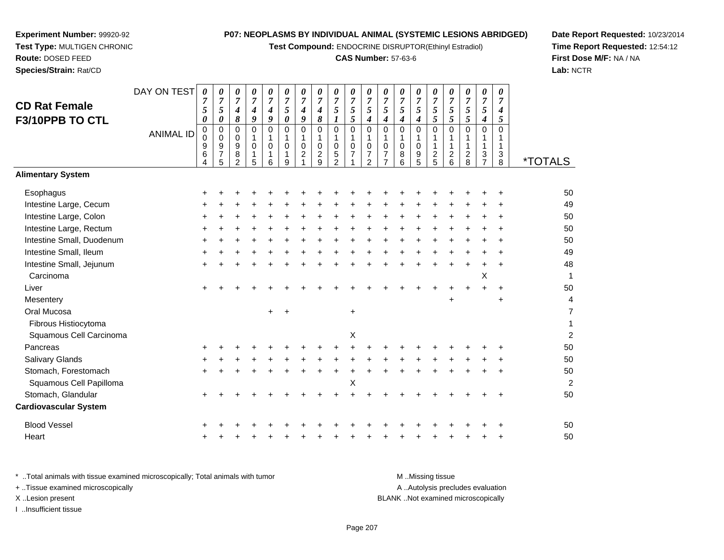**Test Compound:** ENDOCRINE DISRUPTOR(Ethinyl Estradiol)

## **CAS Number:** 57-63-6

**Date Report Requested:** 10/23/2014 **Time Report Requested:** 12:54:12**First Dose M/F:** NA / NA**Lab:** NCTR

| <b>CD Rat Female</b><br>F3/10PPB TO CTL | DAY ON TEST<br><b>ANIMAL ID</b> | 0<br>$\boldsymbol{7}$<br>5<br>$\boldsymbol{\theta}$<br>0<br>$\Omega$<br>9<br>$6\phantom{1}6$<br>4 | $\theta$<br>$\overline{7}$<br>5<br>0<br>$\Omega$<br>$\Omega$<br>9<br>$\overline{7}$<br>5 | 0<br>$\overline{7}$<br>$\boldsymbol{4}$<br>8<br>0<br>$\mathbf 0$<br>9<br>8<br>$\mathcal{P}$ | 0<br>$\overline{7}$<br>4<br>9<br>0<br>$\Omega$<br>5 | 0<br>$\overline{7}$<br>4<br>9<br>$\Omega$<br>$\Omega$<br>6 | 0<br>$\boldsymbol{7}$<br>$\sqrt{5}$<br>$\boldsymbol{\theta}$<br>$\Omega$<br>$\mathbf{1}$<br>$\pmb{0}$<br>1<br>9 | $\boldsymbol{\theta}$<br>$\overline{7}$<br>$\boldsymbol{4}$<br>9<br>$\Omega$<br>$\mathbf{1}$<br>$\mathbf 0$<br>$\overline{c}$ | $\boldsymbol{\theta}$<br>$\overline{7}$<br>4<br>8<br>$\Omega$<br>$\mathbf 0$<br>$\boldsymbol{2}$<br>9 | 0<br>$\overline{7}$<br>5<br>$\Omega$<br>$\mathbf 0$<br>$\mathbf 5$<br>$\mathfrak{p}$ | 0<br>$\overline{7}$<br>5<br>5<br>0<br>$\Omega$<br>7 | $\boldsymbol{\theta}$<br>$\boldsymbol{7}$<br>5<br>$\boldsymbol{4}$<br>0<br>1<br>$\pmb{0}$<br>$\overline{7}$<br>$\mathfrak{p}$ | 0<br>$\overline{7}$<br>5<br>$\Omega$<br>1<br>$\mathbf 0$<br>$\overline{7}$<br>$\overline{7}$ | 0<br>$\overline{7}$<br>5<br>$\boldsymbol{4}$<br>$\Omega$<br>$\Omega$<br>8<br>6 | $\boldsymbol{\theta}$<br>$\overline{7}$<br>5<br>4<br>$\Omega$<br>$\mathbf 0$<br>9<br>5 | 0<br>$\overline{7}$<br>5<br>5<br>0<br>$\overline{\mathbf{c}}$<br>5 | 0<br>$\overline{7}$<br>5<br>5<br>$\Omega$<br>$\mathbf{1}$<br>$\overline{c}$<br>6 | 0<br>$\overline{7}$<br>5<br>5<br>$\Omega$<br>$\overline{c}$<br>8 | 0<br>$\overline{7}$<br>5<br>4<br>$\Omega$<br>1<br>3<br>$\overline{7}$ | 0<br>7<br>4<br>5<br>$\Omega$<br>1<br>3<br>8 | <i><b>*TOTALS</b></i> |
|-----------------------------------------|---------------------------------|---------------------------------------------------------------------------------------------------|------------------------------------------------------------------------------------------|---------------------------------------------------------------------------------------------|-----------------------------------------------------|------------------------------------------------------------|-----------------------------------------------------------------------------------------------------------------|-------------------------------------------------------------------------------------------------------------------------------|-------------------------------------------------------------------------------------------------------|--------------------------------------------------------------------------------------|-----------------------------------------------------|-------------------------------------------------------------------------------------------------------------------------------|----------------------------------------------------------------------------------------------|--------------------------------------------------------------------------------|----------------------------------------------------------------------------------------|--------------------------------------------------------------------|----------------------------------------------------------------------------------|------------------------------------------------------------------|-----------------------------------------------------------------------|---------------------------------------------|-----------------------|
| <b>Alimentary System</b>                |                                 |                                                                                                   |                                                                                          |                                                                                             |                                                     |                                                            |                                                                                                                 |                                                                                                                               |                                                                                                       |                                                                                      |                                                     |                                                                                                                               |                                                                                              |                                                                                |                                                                                        |                                                                    |                                                                                  |                                                                  |                                                                       |                                             |                       |
| Esophagus                               |                                 |                                                                                                   |                                                                                          |                                                                                             |                                                     |                                                            |                                                                                                                 |                                                                                                                               |                                                                                                       |                                                                                      |                                                     |                                                                                                                               |                                                                                              |                                                                                |                                                                                        |                                                                    |                                                                                  |                                                                  |                                                                       |                                             | 50                    |
| Intestine Large, Cecum                  |                                 |                                                                                                   |                                                                                          |                                                                                             |                                                     |                                                            |                                                                                                                 |                                                                                                                               |                                                                                                       |                                                                                      |                                                     |                                                                                                                               |                                                                                              |                                                                                |                                                                                        |                                                                    |                                                                                  |                                                                  |                                                                       |                                             | 49                    |
| Intestine Large, Colon                  |                                 |                                                                                                   |                                                                                          |                                                                                             |                                                     |                                                            |                                                                                                                 |                                                                                                                               |                                                                                                       |                                                                                      |                                                     |                                                                                                                               |                                                                                              |                                                                                |                                                                                        |                                                                    |                                                                                  |                                                                  |                                                                       |                                             | 50                    |
| Intestine Large, Rectum                 |                                 |                                                                                                   |                                                                                          |                                                                                             |                                                     |                                                            |                                                                                                                 |                                                                                                                               |                                                                                                       |                                                                                      |                                                     |                                                                                                                               |                                                                                              |                                                                                |                                                                                        |                                                                    |                                                                                  |                                                                  |                                                                       |                                             | 50                    |
| Intestine Small, Duodenum               |                                 |                                                                                                   |                                                                                          |                                                                                             |                                                     |                                                            |                                                                                                                 |                                                                                                                               |                                                                                                       |                                                                                      |                                                     |                                                                                                                               |                                                                                              |                                                                                |                                                                                        |                                                                    |                                                                                  |                                                                  |                                                                       |                                             | 50                    |
| Intestine Small, Ileum                  |                                 |                                                                                                   |                                                                                          |                                                                                             |                                                     |                                                            |                                                                                                                 |                                                                                                                               |                                                                                                       |                                                                                      |                                                     |                                                                                                                               |                                                                                              |                                                                                |                                                                                        |                                                                    |                                                                                  |                                                                  |                                                                       |                                             | 49                    |
| Intestine Small, Jejunum                |                                 |                                                                                                   |                                                                                          |                                                                                             |                                                     |                                                            |                                                                                                                 |                                                                                                                               |                                                                                                       |                                                                                      |                                                     |                                                                                                                               |                                                                                              |                                                                                |                                                                                        |                                                                    |                                                                                  |                                                                  |                                                                       |                                             | 48                    |
| Carcinoma                               |                                 |                                                                                                   |                                                                                          |                                                                                             |                                                     |                                                            |                                                                                                                 |                                                                                                                               |                                                                                                       |                                                                                      |                                                     |                                                                                                                               |                                                                                              |                                                                                |                                                                                        |                                                                    |                                                                                  |                                                                  | X                                                                     |                                             | 1                     |
| Liver                                   |                                 |                                                                                                   |                                                                                          |                                                                                             |                                                     |                                                            |                                                                                                                 |                                                                                                                               |                                                                                                       |                                                                                      |                                                     |                                                                                                                               |                                                                                              |                                                                                |                                                                                        |                                                                    |                                                                                  |                                                                  |                                                                       |                                             | 50                    |
| Mesentery                               |                                 |                                                                                                   |                                                                                          |                                                                                             |                                                     |                                                            |                                                                                                                 |                                                                                                                               |                                                                                                       |                                                                                      |                                                     |                                                                                                                               |                                                                                              |                                                                                |                                                                                        |                                                                    | $\ddot{}$                                                                        |                                                                  |                                                                       | $\ddot{}$                                   | 4                     |
| Oral Mucosa                             |                                 |                                                                                                   |                                                                                          |                                                                                             |                                                     | $\ddot{}$                                                  |                                                                                                                 |                                                                                                                               |                                                                                                       |                                                                                      | +                                                   |                                                                                                                               |                                                                                              |                                                                                |                                                                                        |                                                                    |                                                                                  |                                                                  |                                                                       |                                             | 7                     |
| Fibrous Histiocytoma                    |                                 |                                                                                                   |                                                                                          |                                                                                             |                                                     |                                                            |                                                                                                                 |                                                                                                                               |                                                                                                       |                                                                                      |                                                     |                                                                                                                               |                                                                                              |                                                                                |                                                                                        |                                                                    |                                                                                  |                                                                  |                                                                       |                                             |                       |
| Squamous Cell Carcinoma                 |                                 |                                                                                                   |                                                                                          |                                                                                             |                                                     |                                                            |                                                                                                                 |                                                                                                                               |                                                                                                       |                                                                                      | Χ                                                   |                                                                                                                               |                                                                                              |                                                                                |                                                                                        |                                                                    |                                                                                  |                                                                  |                                                                       |                                             | $\overline{a}$        |
| Pancreas                                |                                 |                                                                                                   |                                                                                          |                                                                                             |                                                     |                                                            |                                                                                                                 |                                                                                                                               |                                                                                                       |                                                                                      |                                                     |                                                                                                                               |                                                                                              |                                                                                |                                                                                        |                                                                    |                                                                                  |                                                                  |                                                                       |                                             | 50                    |
| Salivary Glands                         |                                 |                                                                                                   |                                                                                          |                                                                                             |                                                     |                                                            |                                                                                                                 |                                                                                                                               |                                                                                                       |                                                                                      |                                                     |                                                                                                                               |                                                                                              |                                                                                |                                                                                        |                                                                    |                                                                                  |                                                                  |                                                                       |                                             | 50                    |
| Stomach, Forestomach                    |                                 |                                                                                                   |                                                                                          |                                                                                             |                                                     |                                                            |                                                                                                                 |                                                                                                                               |                                                                                                       |                                                                                      |                                                     |                                                                                                                               |                                                                                              |                                                                                |                                                                                        |                                                                    |                                                                                  |                                                                  |                                                                       |                                             | 50                    |
| Cauamous Call Dapilloma                 |                                 |                                                                                                   |                                                                                          |                                                                                             |                                                     |                                                            |                                                                                                                 |                                                                                                                               |                                                                                                       |                                                                                      | v                                                   |                                                                                                                               |                                                                                              |                                                                                |                                                                                        |                                                                    |                                                                                  |                                                                  |                                                                       |                                             | n                     |

**Experiment Number:** 99920-92**Test Type:** MULTIGEN CHRONIC

**Route:** DOSED FEED**Species/Strain:** Rat/CD

Squamous Cell Papillomaa  $X$  $\mathsf{X}$  2 Stomach, Glandular $\mathsf{r}$  + <sup>+</sup> <sup>+</sup> <sup>+</sup> <sup>+</sup> <sup>+</sup> <sup>+</sup> <sup>+</sup> <sup>+</sup> <sup>+</sup> <sup>+</sup> <sup>+</sup> <sup>+</sup> <sup>+</sup> <sup>+</sup> <sup>+</sup> <sup>+</sup> <sup>+</sup> <sup>+</sup> <sup>50</sup> **Cardiovascular System**Blood Vessel $\mathbf{+}$  <sup>+</sup> <sup>+</sup> <sup>+</sup> <sup>+</sup> <sup>+</sup> <sup>+</sup> <sup>+</sup> <sup>+</sup> <sup>+</sup> <sup>+</sup> <sup>+</sup> <sup>+</sup> <sup>+</sup> <sup>+</sup> <sup>+</sup> <sup>+</sup> <sup>+</sup> <sup>+</sup> <sup>50</sup> Heart <sup>+</sup><sup>+</sup> <sup>+</sup> <sup>+</sup> <sup>+</sup> <sup>+</sup> <sup>+</sup> <sup>+</sup> <sup>+</sup> <sup>+</sup> <sup>+</sup> <sup>+</sup> <sup>+</sup> <sup>+</sup> <sup>+</sup> <sup>+</sup> <sup>+</sup> <sup>+</sup> <sup>+</sup> <sup>50</sup>

| * Total animals with tissue examined microscopically; Total animals with tumor | M Missing tissue                   |
|--------------------------------------------------------------------------------|------------------------------------|
| + Tissue examined microscopically                                              | A Autolysis precludes evaluation   |
| X Lesion present                                                               | BLANK Not examined microscopically |
| Insufficient tissue                                                            |                                    |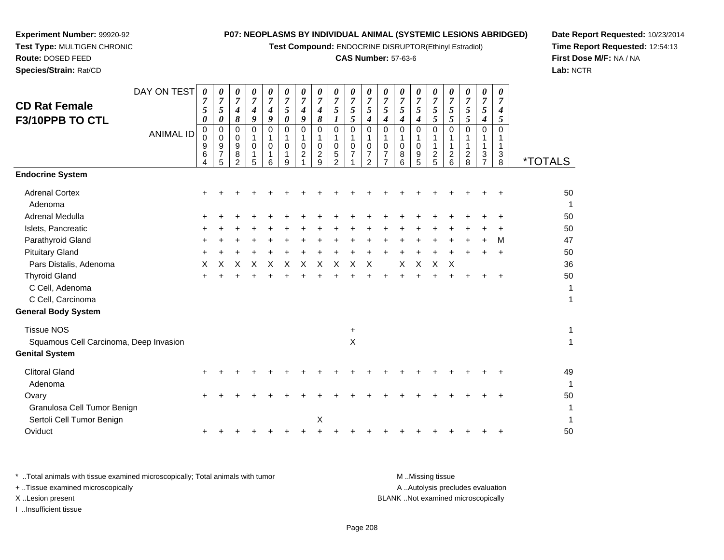**Test Compound:** ENDOCRINE DISRUPTOR(Ethinyl Estradiol)

## **CAS Number:** 57-63-6

**Date Report Requested:** 10/23/2014**Time Report Requested:** 12:54:13**First Dose M/F:** NA / NA**Lab:** NCTR

| <b>CD Rat Female</b>                   | DAY ON TEST      | 0<br>$\overline{7}$                        | 0<br>$\overline{7}$                          | 0<br>$\overline{7}$                                    | 0<br>$\overline{7}$   | 0<br>$\overline{7}$             | 0<br>$\overline{7}$                              | $\pmb{\theta}$<br>$\overline{7}$        | 0<br>$\overline{7}$                          | 0<br>$\overline{7}$                          | 0<br>$\overline{7}$                                        | 0<br>$\boldsymbol{7}$                                   | 0<br>$\overline{7}$                               | 0<br>$\overline{7}$        | 0<br>$\overline{7}$   | 0<br>$\overline{7}$                               | 0<br>$\overline{7}$                         | 0<br>$\overline{7}$                    | 0<br>$\overline{7}$                | 0<br>$\overline{7}$   |                       |
|----------------------------------------|------------------|--------------------------------------------|----------------------------------------------|--------------------------------------------------------|-----------------------|---------------------------------|--------------------------------------------------|-----------------------------------------|----------------------------------------------|----------------------------------------------|------------------------------------------------------------|---------------------------------------------------------|---------------------------------------------------|----------------------------|-----------------------|---------------------------------------------------|---------------------------------------------|----------------------------------------|------------------------------------|-----------------------|-----------------------|
| F3/10PPB TO CTL                        |                  | $\mathfrak{s}$<br>$\boldsymbol{\theta}$    | $\sqrt{5}$<br>$\boldsymbol{\theta}$          | $\boldsymbol{4}$<br>8                                  | 4<br>9                | 4<br>9                          | $\sqrt{5}$<br>$\boldsymbol{\theta}$              | $\boldsymbol{4}$<br>9                   | $\boldsymbol{4}$<br>$\boldsymbol{\delta}$    | $\sqrt{5}$<br>$\boldsymbol{l}$               | $\sqrt{5}$<br>5                                            | $\mathfrak{s}$<br>$\boldsymbol{4}$                      | $\sqrt{5}$<br>4                                   | $\overline{5}$<br>4        | 5<br>$\boldsymbol{4}$ | $\sqrt{5}$<br>5                                   | $\mathfrak{s}$<br>5                         | 5<br>5                                 | $\mathfrak{S}$<br>$\boldsymbol{4}$ | 4<br>5                |                       |
|                                        | <b>ANIMAL ID</b> | $\mathbf 0$<br>$\Omega$<br>9<br>$\,6$<br>4 | 0<br>$\mathbf 0$<br>9<br>$\overline{7}$<br>5 | $\mathbf 0$<br>$\mathbf 0$<br>9<br>8<br>$\overline{2}$ | 0<br>1<br>0<br>1<br>5 | 0<br>1<br>$\mathbf 0$<br>1<br>6 | $\mathbf 0$<br>$\mathbf 1$<br>$\Omega$<br>1<br>9 | $\mathbf 0$<br>1<br>0<br>$\overline{c}$ | $\mathbf 0$<br>1<br>0<br>$\overline{c}$<br>9 | 0<br>1<br>0<br>$\mathbf 5$<br>$\overline{2}$ | $\mathbf 0$<br>$\mathbf{1}$<br>$\pmb{0}$<br>$\overline{7}$ | $\mathbf 0$<br>$\mathbf{1}$<br>0<br>$\overline{7}$<br>2 | $\mathbf 0$<br>1<br>$\mathbf 0$<br>$\overline{7}$ | $\mathbf 0$<br>0<br>8<br>6 | 0<br>1<br>0<br>9<br>5 | $\mathbf 0$<br>1<br>$\mathbf{1}$<br>$\frac{2}{5}$ | 0<br>1<br>1<br>$\overline{\mathbf{c}}$<br>6 | 0<br>1<br>$\overline{\mathbf{c}}$<br>8 | $\mathbf 0$<br>3                   | 0<br>1<br>1<br>3<br>8 | <i><b>*TOTALS</b></i> |
| <b>Endocrine System</b>                |                  |                                            |                                              |                                                        |                       |                                 |                                                  |                                         |                                              |                                              |                                                            |                                                         |                                                   |                            |                       |                                                   |                                             |                                        |                                    |                       |                       |
| <b>Adrenal Cortex</b><br>Adenoma       |                  |                                            |                                              |                                                        |                       |                                 |                                                  |                                         |                                              |                                              |                                                            |                                                         |                                                   |                            |                       |                                                   |                                             |                                        |                                    |                       | 50<br>1               |
| <b>Adrenal Medulla</b>                 |                  |                                            |                                              |                                                        |                       |                                 |                                                  |                                         |                                              |                                              |                                                            |                                                         |                                                   |                            |                       |                                                   |                                             |                                        |                                    |                       | 50                    |
| Islets, Pancreatic                     |                  |                                            |                                              |                                                        |                       |                                 |                                                  |                                         |                                              |                                              |                                                            |                                                         |                                                   |                            |                       |                                                   |                                             |                                        |                                    |                       | 50                    |
| Parathyroid Gland                      |                  |                                            |                                              |                                                        |                       |                                 |                                                  |                                         |                                              |                                              |                                                            |                                                         |                                                   |                            |                       |                                                   |                                             |                                        |                                    | M                     | 47                    |
| <b>Pituitary Gland</b>                 |                  |                                            |                                              |                                                        |                       |                                 |                                                  |                                         |                                              |                                              |                                                            |                                                         |                                                   |                            |                       |                                                   |                                             |                                        |                                    |                       | 50                    |
| Pars Distalis, Adenoma                 |                  | X                                          | X                                            | х                                                      | Х                     | X                               | X                                                | X                                       | X                                            | X                                            | X                                                          | X                                                       |                                                   | X                          | X                     | X                                                 | X                                           |                                        |                                    |                       | 36                    |
| <b>Thyroid Gland</b>                   |                  |                                            |                                              |                                                        |                       |                                 |                                                  |                                         |                                              |                                              |                                                            |                                                         |                                                   |                            |                       |                                                   |                                             |                                        |                                    |                       | 50                    |
| C Cell, Adenoma                        |                  |                                            |                                              |                                                        |                       |                                 |                                                  |                                         |                                              |                                              |                                                            |                                                         |                                                   |                            |                       |                                                   |                                             |                                        |                                    |                       | 1                     |
| C Cell, Carcinoma                      |                  |                                            |                                              |                                                        |                       |                                 |                                                  |                                         |                                              |                                              |                                                            |                                                         |                                                   |                            |                       |                                                   |                                             |                                        |                                    |                       | 1                     |
| <b>General Body System</b>             |                  |                                            |                                              |                                                        |                       |                                 |                                                  |                                         |                                              |                                              |                                                            |                                                         |                                                   |                            |                       |                                                   |                                             |                                        |                                    |                       |                       |
| <b>Tissue NOS</b>                      |                  |                                            |                                              |                                                        |                       |                                 |                                                  |                                         |                                              |                                              | $\ddot{}$                                                  |                                                         |                                                   |                            |                       |                                                   |                                             |                                        |                                    |                       | 1                     |
| Squamous Cell Carcinoma, Deep Invasion |                  |                                            |                                              |                                                        |                       |                                 |                                                  |                                         |                                              |                                              | X                                                          |                                                         |                                                   |                            |                       |                                                   |                                             |                                        |                                    |                       | $\mathbf{1}$          |
| <b>Genital System</b>                  |                  |                                            |                                              |                                                        |                       |                                 |                                                  |                                         |                                              |                                              |                                                            |                                                         |                                                   |                            |                       |                                                   |                                             |                                        |                                    |                       |                       |
| <b>Clitoral Gland</b>                  |                  |                                            |                                              |                                                        |                       |                                 |                                                  |                                         |                                              |                                              |                                                            |                                                         |                                                   |                            |                       |                                                   |                                             |                                        |                                    |                       | 49                    |
| Adenoma                                |                  |                                            |                                              |                                                        |                       |                                 |                                                  |                                         |                                              |                                              |                                                            |                                                         |                                                   |                            |                       |                                                   |                                             |                                        |                                    |                       | -1                    |
| Ovary                                  |                  |                                            |                                              |                                                        |                       |                                 |                                                  |                                         |                                              |                                              |                                                            |                                                         |                                                   |                            |                       |                                                   |                                             |                                        |                                    |                       | 50                    |
| Granulosa Cell Tumor Benign            |                  |                                            |                                              |                                                        |                       |                                 |                                                  |                                         |                                              |                                              |                                                            |                                                         |                                                   |                            |                       |                                                   |                                             |                                        |                                    |                       |                       |
| Sertoli Cell Tumor Benign              |                  |                                            |                                              |                                                        |                       |                                 |                                                  |                                         | Χ                                            |                                              |                                                            |                                                         |                                                   |                            |                       |                                                   |                                             |                                        |                                    |                       | 1                     |
| Oviduct                                |                  |                                            |                                              |                                                        |                       |                                 |                                                  |                                         |                                              |                                              |                                                            |                                                         |                                                   |                            |                       |                                                   |                                             |                                        |                                    |                       | 50                    |
|                                        |                  |                                            |                                              |                                                        |                       |                                 |                                                  |                                         |                                              |                                              |                                                            |                                                         |                                                   |                            |                       |                                                   |                                             |                                        |                                    |                       |                       |

**Experiment Number:** 99920-92**Test Type:** MULTIGEN CHRONIC

**Route:** DOSED FEED**Species/Strain:** Rat/CD

\* ..Total animals with tissue examined microscopically; Total animals with tumor **M** . Missing tissue M ..Missing tissue A ..Autolysis precludes evaluation + ..Tissue examined microscopically X ..Lesion present BLANK ..Not examined microscopicallyI ..Insufficient tissue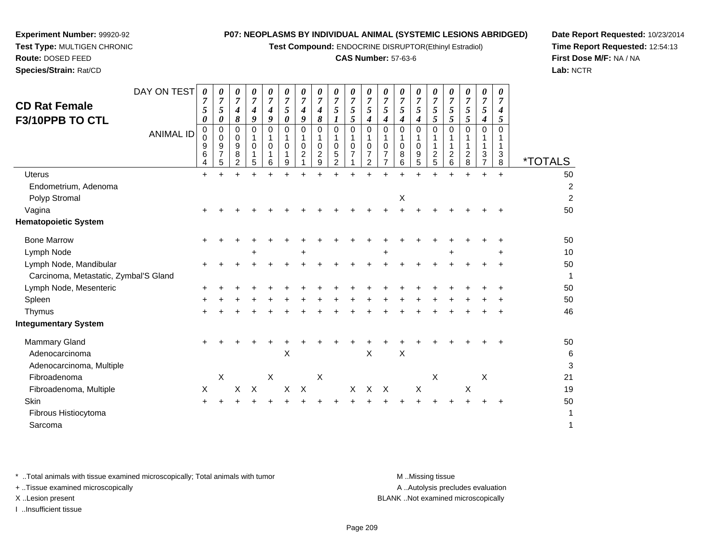**Test Compound:** ENDOCRINE DISRUPTOR(Ethinyl Estradiol)

## **CAS Number:** 57-63-6

┯ ┯ ᅮ

**Date Report Requested:** 10/23/2014**Time Report Requested:** 12:54:13**First Dose M/F:** NA / NA**Lab:** NCTR

| <b>CD Rat Female</b>                  | DAY ON TEST      | 0<br>7<br>5           | 0<br>7<br>$\mathfrak{s}$                                    | 0<br>7<br>$\boldsymbol{4}$                | 0<br>7<br>4               | 0<br>7<br>$\boldsymbol{4}$ | 0<br>7<br>5             | 0<br>7<br>4           | 0<br>$\overline{7}$<br>$\boldsymbol{4}$      | 0<br>$\overline{7}$<br>$\sqrt{5}$ | 0<br>$\overline{7}$<br>$\sqrt{5}$ | 0<br>$\sqrt{5}$              | 7<br>5  | 0<br>$\overline{7}$<br>$\sqrt{5}$ | 0<br>7<br>5                       | 0<br>$\overline{7}$<br>5                 | $\boldsymbol{\theta}$<br>5                        | 0<br>7<br>5        | 0<br>$\overline{7}$<br>$\mathfrak{s}$ | 0<br>7<br>4             |                       |
|---------------------------------------|------------------|-----------------------|-------------------------------------------------------------|-------------------------------------------|---------------------------|----------------------------|-------------------------|-----------------------|----------------------------------------------|-----------------------------------|-----------------------------------|------------------------------|---------|-----------------------------------|-----------------------------------|------------------------------------------|---------------------------------------------------|--------------------|---------------------------------------|-------------------------|-----------------------|
| F3/10PPB TO CTL                       |                  | 0                     | $\boldsymbol{\theta}$                                       | 8                                         | 9                         | 9                          | $\pmb{\theta}$          | 9                     | 8                                            | $\boldsymbol{l}$                  | 5                                 | $\boldsymbol{4}$             | 4       | $\boldsymbol{4}$                  | 4                                 | 5                                        | 5                                                 | 5                  | $\boldsymbol{4}$                      | 5                       |                       |
|                                       | <b>ANIMAL ID</b> | 0<br>0<br>9<br>6<br>4 | 0<br>$\mathbf 0$<br>$\boldsymbol{9}$<br>$\overline{7}$<br>5 | $\Omega$<br>0<br>9<br>8<br>$\overline{2}$ | 0<br>$\mathbf 0$<br>5     | 0<br>$\mathbf 0$<br>6      | 0<br>1<br>$\Omega$<br>9 | 0<br>$\mathbf 0$<br>2 | 0<br>1<br>$\mathbf 0$<br>$\overline{c}$<br>9 | $\mathbf 0$<br>1<br>0<br>5<br>2   | $\Omega$<br>0<br>7                | $\Omega$<br>$\mathbf 0$<br>2 | 0<br>0  | 0<br>1<br>0<br>8<br>6             | $\Omega$<br>$\mathbf 0$<br>9<br>5 | 0<br>$\mathbf{1}$<br>$\overline{c}$<br>5 | 0<br>1<br>1<br>$\boldsymbol{2}$<br>$6\phantom{1}$ | $\Omega$<br>2<br>8 | 0<br>1<br>3<br>$\overline{7}$         | $\Omega$<br>1<br>3<br>8 | <i><b>*TOTALS</b></i> |
| <b>Uterus</b>                         |                  | $\ddot{}$             |                                                             |                                           |                           |                            | $\ddot{}$               |                       |                                              |                                   |                                   |                              |         |                                   |                                   |                                          |                                                   |                    | ÷                                     | $\ddot{}$               | 50                    |
| Endometrium, Adenoma                  |                  |                       |                                                             |                                           |                           |                            |                         |                       |                                              |                                   |                                   |                              |         |                                   |                                   |                                          |                                                   |                    |                                       |                         | $\overline{c}$        |
| Polyp Stromal                         |                  |                       |                                                             |                                           |                           |                            |                         |                       |                                              |                                   |                                   |                              |         | $\boldsymbol{\mathsf{X}}$         |                                   |                                          |                                                   |                    |                                       |                         | $\overline{c}$        |
| Vagina                                |                  |                       |                                                             |                                           |                           |                            |                         |                       |                                              |                                   |                                   |                              |         |                                   |                                   |                                          |                                                   |                    |                                       |                         | 50                    |
| <b>Hematopoietic System</b>           |                  |                       |                                                             |                                           |                           |                            |                         |                       |                                              |                                   |                                   |                              |         |                                   |                                   |                                          |                                                   |                    |                                       |                         |                       |
| <b>Bone Marrow</b>                    |                  |                       |                                                             |                                           |                           |                            |                         |                       |                                              |                                   |                                   |                              |         |                                   |                                   |                                          |                                                   |                    |                                       |                         | 50                    |
| Lymph Node                            |                  |                       |                                                             |                                           |                           |                            |                         |                       |                                              |                                   |                                   |                              |         |                                   |                                   |                                          | +                                                 |                    |                                       |                         | 10                    |
| Lymph Node, Mandibular                |                  |                       |                                                             |                                           |                           |                            |                         |                       |                                              |                                   |                                   |                              |         |                                   |                                   |                                          |                                                   |                    |                                       |                         | 50                    |
| Carcinoma, Metastatic, Zymbal'S Gland |                  |                       |                                                             |                                           |                           |                            |                         |                       |                                              |                                   |                                   |                              |         |                                   |                                   |                                          |                                                   |                    |                                       |                         | 1                     |
| Lymph Node, Mesenteric                |                  |                       |                                                             |                                           |                           |                            |                         |                       |                                              |                                   |                                   |                              |         |                                   |                                   |                                          |                                                   |                    |                                       |                         | 50                    |
| Spleen                                |                  |                       |                                                             |                                           |                           |                            |                         |                       |                                              |                                   |                                   |                              |         |                                   |                                   |                                          |                                                   |                    |                                       |                         | 50                    |
| Thymus                                |                  |                       |                                                             |                                           |                           |                            |                         |                       |                                              |                                   |                                   |                              |         |                                   |                                   |                                          |                                                   |                    |                                       |                         | 46                    |
| <b>Integumentary System</b>           |                  |                       |                                                             |                                           |                           |                            |                         |                       |                                              |                                   |                                   |                              |         |                                   |                                   |                                          |                                                   |                    |                                       |                         |                       |
| <b>Mammary Gland</b>                  |                  |                       |                                                             |                                           |                           |                            |                         |                       |                                              |                                   |                                   |                              |         |                                   |                                   |                                          |                                                   |                    |                                       |                         | 50                    |
| Adenocarcinoma                        |                  |                       |                                                             |                                           |                           |                            | X                       |                       |                                              |                                   |                                   | X                            |         | Χ                                 |                                   |                                          |                                                   |                    |                                       |                         | $\,6$                 |
| Adenocarcinoma, Multiple              |                  |                       |                                                             |                                           |                           |                            |                         |                       |                                              |                                   |                                   |                              |         |                                   |                                   |                                          |                                                   |                    |                                       |                         | 3                     |
| Fibroadenoma                          |                  |                       | $\times$                                                    |                                           |                           | X                          |                         |                       | X                                            |                                   |                                   |                              |         |                                   |                                   | X                                        |                                                   |                    | X                                     |                         | 21                    |
| Fibroadenoma, Multiple                |                  | X                     |                                                             | X                                         | $\boldsymbol{\mathsf{X}}$ |                            | X                       | $\times$              |                                              |                                   | $\mathsf{X}$                      |                              | $X$ $X$ |                                   | X                                 |                                          |                                                   | X                  |                                       |                         | 19                    |
| Skin                                  |                  | ÷                     |                                                             |                                           |                           |                            |                         |                       |                                              |                                   |                                   |                              |         |                                   |                                   |                                          |                                                   |                    |                                       |                         | 50                    |
| Fibrous Histiocytoma                  |                  |                       |                                                             |                                           |                           |                            |                         |                       |                                              |                                   |                                   |                              |         |                                   |                                   |                                          |                                                   |                    |                                       |                         | 1                     |
| Sarcoma                               |                  |                       |                                                             |                                           |                           |                            |                         |                       |                                              |                                   |                                   |                              |         |                                   |                                   |                                          |                                                   |                    |                                       |                         | 1                     |
|                                       |                  |                       |                                                             |                                           |                           |                            |                         |                       |                                              |                                   |                                   |                              |         |                                   |                                   |                                          |                                                   |                    |                                       |                         |                       |

\* ..Total animals with tissue examined microscopically; Total animals with tumor **M** . Missing tissue M ..Missing tissue

+ ..Tissue examined microscopically

**Experiment Number:** 99920-92**Test Type:** MULTIGEN CHRONIC

**Route:** DOSED FEED**Species/Strain:** Rat/CD

I ..Insufficient tissue

A ..Autolysis precludes evaluation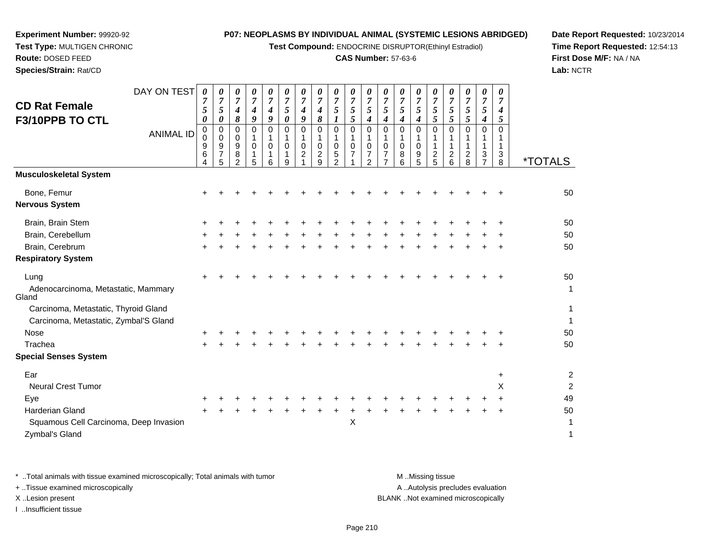**Test Compound:** ENDOCRINE DISRUPTOR(Ethinyl Estradiol)

## **CAS Number:** 57-63-6

**Date Report Requested:** 10/23/2014**Time Report Requested:** 12:54:13**First Dose M/F:** NA / NA**Lab:** NCTR

**Experiment Number:** 99920-92

**Species/Strain:** Rat/CD

| DAY ON TEST<br><b>CD Rat Female</b><br>F3/10PPB TO CTL<br><b>ANIMAL ID</b> | 0<br>7<br>5<br>0<br>0<br>0<br>9<br>6<br>4 | 0<br>$\overline{7}$<br>$\sqrt{5}$<br>0<br>0<br>$\mathbf 0$<br>9<br>7<br>5 | 0<br>$\boldsymbol{7}$<br>4<br>8<br>0<br>0<br>9<br>8<br>$\mathcal{P}$ | $\boldsymbol{\theta}$<br>$\boldsymbol{7}$<br>$\boldsymbol{4}$<br>9<br>$\mathbf 0$<br>1<br>$\mathbf 0$<br>1<br>5 | 0<br>$\overline{7}$<br>4<br>9<br>$\Omega$<br>1<br>$\mathbf 0$<br>$\mathbf 1$<br>6 | 0<br>$\overline{7}$<br>$\mathfrak{s}$<br>0<br>$\mathbf 0$<br>1<br>$\mathbf 0$<br>1<br>9 | 0<br>$\overline{7}$<br>4<br>9<br>0<br>1<br>$\mathbf 0$<br>$\overline{c}$ | 0<br>$\boldsymbol{7}$<br>$\boldsymbol{4}$<br>8<br>0<br>$\mathbf{1}$<br>$\mathbf 0$<br>$\overline{c}$<br>9 | 0<br>$\overline{7}$<br>$\sqrt{5}$<br>$\boldsymbol{l}$<br>$\mathbf 0$<br>$\mathbf{1}$<br>0<br>5<br>$\overline{2}$ | 0<br>$\overline{7}$<br>$\sqrt{5}$<br>5<br>0<br>1<br>$\mathbf 0$<br>$\overline{7}$ | 0<br>7<br>$\mathfrak{s}$<br>4<br>$\mathbf 0$<br>1<br>0<br>7<br>$\overline{2}$ | 0<br>$\overline{7}$<br>$\mathfrak{s}$<br>4<br>0<br>$\mathbf{1}$<br>$\mathbf 0$<br>$\overline{7}$<br>$\overline{7}$ | 0<br>$\overline{7}$<br>5<br>4<br>0<br>1<br>0<br>8<br>6 | 0<br>$\overline{7}$<br>5<br>$\boldsymbol{4}$<br>$\Omega$<br>$\mathbf 1$<br>$\mathbf 0$<br>9<br>5 | 0<br>$\overline{7}$<br>5<br>5<br>$\Omega$<br>$\boldsymbol{2}$<br>5 | 0<br>$\overline{7}$<br>5<br>5<br>$\Omega$<br>1<br>$\overline{c}$<br>6 | 0<br>$\overline{7}$<br>$\mathfrak{s}$<br>$\mathfrak{s}$<br>0<br>1<br>$\mathbf{1}$<br>$\overline{c}$<br>8 | 0<br>$\overline{7}$<br>5<br>$\boldsymbol{4}$<br>$\mathbf 0$<br>1<br>$\mathbf{1}$<br>3<br>$\overline{7}$ | 0<br>$\overline{7}$<br>4<br>5<br>$\Omega$<br>$\mathbf{1}$<br>$\mathbf{3}$<br>8 | <i><b>*TOTALS</b></i> |
|----------------------------------------------------------------------------|-------------------------------------------|---------------------------------------------------------------------------|----------------------------------------------------------------------|-----------------------------------------------------------------------------------------------------------------|-----------------------------------------------------------------------------------|-----------------------------------------------------------------------------------------|--------------------------------------------------------------------------|-----------------------------------------------------------------------------------------------------------|------------------------------------------------------------------------------------------------------------------|-----------------------------------------------------------------------------------|-------------------------------------------------------------------------------|--------------------------------------------------------------------------------------------------------------------|--------------------------------------------------------|--------------------------------------------------------------------------------------------------|--------------------------------------------------------------------|-----------------------------------------------------------------------|----------------------------------------------------------------------------------------------------------|---------------------------------------------------------------------------------------------------------|--------------------------------------------------------------------------------|-----------------------|
| <b>Musculoskeletal System</b>                                              |                                           |                                                                           |                                                                      |                                                                                                                 |                                                                                   |                                                                                         |                                                                          |                                                                                                           |                                                                                                                  |                                                                                   |                                                                               |                                                                                                                    |                                                        |                                                                                                  |                                                                    |                                                                       |                                                                                                          |                                                                                                         |                                                                                |                       |
| Bone, Femur<br><b>Nervous System</b>                                       | +                                         |                                                                           |                                                                      |                                                                                                                 |                                                                                   |                                                                                         |                                                                          |                                                                                                           |                                                                                                                  |                                                                                   |                                                                               |                                                                                                                    |                                                        |                                                                                                  |                                                                    |                                                                       |                                                                                                          |                                                                                                         |                                                                                | 50                    |
| Brain, Brain Stem                                                          |                                           |                                                                           |                                                                      |                                                                                                                 |                                                                                   |                                                                                         |                                                                          |                                                                                                           |                                                                                                                  |                                                                                   |                                                                               |                                                                                                                    |                                                        |                                                                                                  |                                                                    |                                                                       |                                                                                                          |                                                                                                         |                                                                                | 50                    |
| Brain, Cerebellum                                                          |                                           |                                                                           |                                                                      |                                                                                                                 |                                                                                   |                                                                                         |                                                                          |                                                                                                           |                                                                                                                  |                                                                                   |                                                                               |                                                                                                                    |                                                        |                                                                                                  |                                                                    |                                                                       |                                                                                                          |                                                                                                         |                                                                                | 50                    |
| Brain, Cerebrum                                                            | $\pm$                                     |                                                                           |                                                                      |                                                                                                                 |                                                                                   |                                                                                         |                                                                          |                                                                                                           |                                                                                                                  |                                                                                   |                                                                               |                                                                                                                    |                                                        |                                                                                                  |                                                                    |                                                                       |                                                                                                          |                                                                                                         |                                                                                | 50                    |
| <b>Respiratory System</b>                                                  |                                           |                                                                           |                                                                      |                                                                                                                 |                                                                                   |                                                                                         |                                                                          |                                                                                                           |                                                                                                                  |                                                                                   |                                                                               |                                                                                                                    |                                                        |                                                                                                  |                                                                    |                                                                       |                                                                                                          |                                                                                                         |                                                                                |                       |
| Lung<br>Adenocarcinoma, Metastatic, Mammary<br>Gland                       |                                           |                                                                           |                                                                      |                                                                                                                 |                                                                                   |                                                                                         |                                                                          |                                                                                                           |                                                                                                                  |                                                                                   |                                                                               |                                                                                                                    |                                                        |                                                                                                  |                                                                    |                                                                       |                                                                                                          |                                                                                                         |                                                                                | 50<br>$\mathbf{1}$    |
| Carcinoma, Metastatic, Thyroid Gland                                       |                                           |                                                                           |                                                                      |                                                                                                                 |                                                                                   |                                                                                         |                                                                          |                                                                                                           |                                                                                                                  |                                                                                   |                                                                               |                                                                                                                    |                                                        |                                                                                                  |                                                                    |                                                                       |                                                                                                          |                                                                                                         |                                                                                | 1                     |
| Carcinoma, Metastatic, Zymbal'S Gland                                      |                                           |                                                                           |                                                                      |                                                                                                                 |                                                                                   |                                                                                         |                                                                          |                                                                                                           |                                                                                                                  |                                                                                   |                                                                               |                                                                                                                    |                                                        |                                                                                                  |                                                                    |                                                                       |                                                                                                          |                                                                                                         |                                                                                | 1                     |
| <b>Nose</b>                                                                |                                           |                                                                           |                                                                      |                                                                                                                 |                                                                                   |                                                                                         |                                                                          |                                                                                                           |                                                                                                                  |                                                                                   |                                                                               |                                                                                                                    |                                                        |                                                                                                  |                                                                    |                                                                       |                                                                                                          |                                                                                                         |                                                                                | 50                    |
| Trachea                                                                    |                                           |                                                                           |                                                                      |                                                                                                                 |                                                                                   |                                                                                         |                                                                          |                                                                                                           |                                                                                                                  |                                                                                   |                                                                               |                                                                                                                    |                                                        |                                                                                                  |                                                                    |                                                                       |                                                                                                          |                                                                                                         |                                                                                | 50                    |
| <b>Special Senses System</b>                                               |                                           |                                                                           |                                                                      |                                                                                                                 |                                                                                   |                                                                                         |                                                                          |                                                                                                           |                                                                                                                  |                                                                                   |                                                                               |                                                                                                                    |                                                        |                                                                                                  |                                                                    |                                                                       |                                                                                                          |                                                                                                         |                                                                                |                       |
| Ear                                                                        |                                           |                                                                           |                                                                      |                                                                                                                 |                                                                                   |                                                                                         |                                                                          |                                                                                                           |                                                                                                                  |                                                                                   |                                                                               |                                                                                                                    |                                                        |                                                                                                  |                                                                    |                                                                       |                                                                                                          |                                                                                                         | +                                                                              | $\overline{2}$        |
| Neural Crest Tumor                                                         |                                           |                                                                           |                                                                      |                                                                                                                 |                                                                                   |                                                                                         |                                                                          |                                                                                                           |                                                                                                                  |                                                                                   |                                                                               |                                                                                                                    |                                                        |                                                                                                  |                                                                    |                                                                       |                                                                                                          |                                                                                                         | х                                                                              | $\overline{c}$        |
| Eye                                                                        |                                           |                                                                           |                                                                      |                                                                                                                 |                                                                                   |                                                                                         |                                                                          |                                                                                                           |                                                                                                                  |                                                                                   |                                                                               |                                                                                                                    |                                                        |                                                                                                  |                                                                    |                                                                       |                                                                                                          |                                                                                                         |                                                                                | 49                    |
| <b>Harderian Gland</b>                                                     | $\ddot{}$                                 |                                                                           |                                                                      |                                                                                                                 |                                                                                   |                                                                                         |                                                                          |                                                                                                           |                                                                                                                  |                                                                                   |                                                                               |                                                                                                                    |                                                        |                                                                                                  |                                                                    |                                                                       |                                                                                                          |                                                                                                         | $\ddot{}$                                                                      | 50                    |
| Squamous Cell Carcinoma, Deep Invasion<br>Zymbal's Gland                   |                                           |                                                                           |                                                                      |                                                                                                                 |                                                                                   |                                                                                         |                                                                          |                                                                                                           |                                                                                                                  | Χ                                                                                 |                                                                               |                                                                                                                    |                                                        |                                                                                                  |                                                                    |                                                                       |                                                                                                          |                                                                                                         |                                                                                | $\mathbf{1}$<br>1     |

\* ..Total animals with tissue examined microscopically; Total animals with tumor **M** . Missing tissue M ..Missing tissue A ..Autolysis precludes evaluation + ..Tissue examined microscopically X ..Lesion present BLANK ..Not examined microscopicallyI ..Insufficient tissue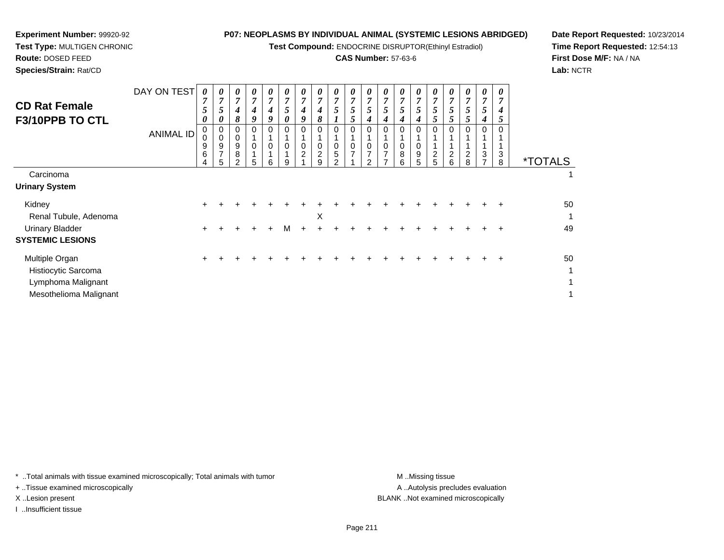**Test Compound:** ENDOCRINE DISRUPTOR(Ethinyl Estradiol)

## **CAS Number:** 57-63-6

*0*

*7 5 5*

**Date Report Requested:** 10/23/2014**Time Report Requested:** 12:54:13**First Dose M/F:** NA / NA**Lab:** NCTR

|                                                        | 9<br>6<br>4 | 9<br>⇁<br>5 | 9<br>8<br>$\mathcal{D}$ | 0<br>5 | 0<br>$\overline{A}$<br><b>6</b> | -1<br>q | $\mathbf 0$<br>$\overline{2}$ | 0<br>$\overline{2}$<br><sub>9</sub> | $\mathbf 0$<br>5<br>ົ | 0<br>$\overline{z}$ | 0<br>$\overline{7}$<br>ົ | 0<br>$\overline{7}$<br>7 | 0<br>8<br>6 | 0<br>9<br>5 | $\overline{2}$<br>5 | $\overline{2}$<br>6 | $\overline{2}$<br>8 | 3 | -1<br>3<br>8 | <b>ALS</b> |
|--------------------------------------------------------|-------------|-------------|-------------------------|--------|---------------------------------|---------|-------------------------------|-------------------------------------|-----------------------|---------------------|--------------------------|--------------------------|-------------|-------------|---------------------|---------------------|---------------------|---|--------------|------------|
| Carcinoma                                              |             |             |                         |        |                                 |         |                               |                                     |                       |                     |                          |                          |             |             |                     |                     |                     |   |              |            |
| inary System                                           |             |             |                         |        |                                 |         |                               |                                     |                       |                     |                          |                          |             |             |                     |                     |                     |   |              |            |
| Kidney                                                 | $+$         |             |                         |        |                                 |         |                               |                                     |                       |                     |                          |                          |             |             |                     |                     |                     |   |              | 50         |
| Renal Tubule, Adenoma                                  |             |             |                         |        |                                 |         |                               | X                                   |                       |                     |                          |                          |             |             |                     |                     |                     |   |              | 1          |
| <b>Urinary Bladder</b><br><b><i>STEMIC LESIONS</i></b> | $+$         |             |                         |        |                                 | м       |                               |                                     |                       |                     |                          |                          |             |             |                     |                     |                     |   |              | 49         |
|                                                        |             |             |                         |        |                                 |         |                               |                                     |                       |                     |                          |                          |             |             |                     |                     |                     |   |              |            |

*0 7 5*

*0 7 4*

*0 7 5*

 *9*0 1

0 1

 *0*0 0

DAY ON TEST

ANIMAL ID

| <b>SYSTEMIC LESIONS</b> |  |  |  |  |  |  |  |  |  |    |
|-------------------------|--|--|--|--|--|--|--|--|--|----|
| Multiple Organ          |  |  |  |  |  |  |  |  |  | 50 |
| Histiocytic Sarcoma     |  |  |  |  |  |  |  |  |  |    |
| Lymphoma Malignant      |  |  |  |  |  |  |  |  |  |    |
| Mesothelioma Malignant  |  |  |  |  |  |  |  |  |  |    |

\* ..Total animals with tissue examined microscopically; Total animals with tumor **M** ..Missing tissue M ..Missing tissue

+ ..Tissue examined microscopically

**Experiment Number:** 99920-92**Test Type:** MULTIGEN CHRONIC

**Route:** DOSED FEED**Species/Strain:** Rat/CD

**CD Rat FemaleF3/10PPB TO CTL**

**Urinary System**

I ..Insufficient tissue

A ..Autolysis precludes evaluation X ..Lesion present BLANK ..Not examined microscopically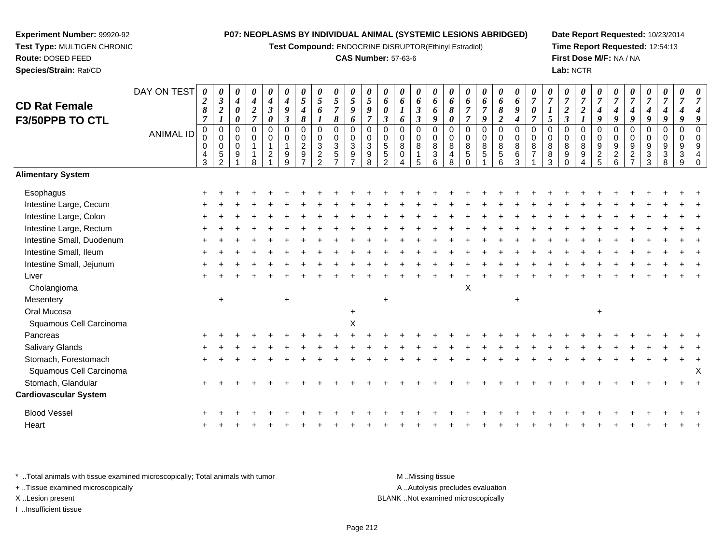**Test Compound:** ENDOCRINE DISRUPTOR(Ethinyl Estradiol)

## **CAS Number:** 57-63-6

**Date Report Requested:** 10/23/2014**Time Report Requested:** 12:54:13**First Dose M/F:** NA / NA**Lab:** NCTR

| <b>CD Rat Female</b><br>F3/50PPB TO CTL | DAY ON TEST<br><b>ANIMAL ID</b> | $\boldsymbol{2}$<br>$\pmb{8}$<br>$\overline{7}$<br>$\mathbf 0$<br>$\mathbf 0$<br>4<br>$\overline{3}$ | 0<br>$\boldsymbol{\beta}$<br>$\boldsymbol{2}$<br>$\pmb{0}$<br>$\pmb{0}$<br>$\boldsymbol{0}$<br>$\,$ 5 $\,$<br>$\mathcal{P}$ | $\pmb{\theta}$<br>$\boldsymbol{4}$<br>$\boldsymbol{\theta}$<br>0<br>0<br>$\mathbf 0$<br>0<br>9 | 0<br>$\boldsymbol{4}$<br>$\frac{2}{7}$<br>$\pmb{0}$<br>$\pmb{0}$<br>$\overline{1}$<br>8 | 0<br>4<br>$\mathfrak{z}$<br>$\boldsymbol{\theta}$<br>$\mathbf 0$<br>0<br>$\mathbf 1$<br>$\overline{c}$ | $\boldsymbol{4}$<br>9<br>$\mathfrak{z}$<br>$\mathbf 0$<br>$\mathbf 0$<br>$\mathbf{1}$<br>9<br>q | 0<br>$\mathfrak{s}$<br>$\boldsymbol{4}$<br>$\pmb{8}$<br>$\pmb{0}$<br>$\pmb{0}$<br>$\boldsymbol{2}$<br>$\boldsymbol{9}$ | $\pmb{\theta}$<br>$\sqrt{5}$<br>6<br>$\boldsymbol{l}$<br>$\pmb{0}$<br>$\pmb{0}$<br>$\ensuremath{\mathsf{3}}$<br>$\overline{c}$<br>$\overline{2}$ | $\pmb{\theta}$<br>$\sqrt{5}$<br>$\boldsymbol{7}$<br>$\pmb{8}$<br>$\pmb{0}$<br>$\pmb{0}$<br>$\sqrt{3}$<br>$\sqrt{5}$<br>$\overline{7}$ | 0<br>5<br>9<br>6<br>$\mathbf 0$<br>$\mathbf 0$<br>$\mathbf{3}$<br>9 | 0<br>$\mathfrak{H}$<br>9<br>$\overline{7}$<br>$\mathbf 0$<br>$\mathbf 0$<br>$\mathbf{3}$<br>$\boldsymbol{9}$<br>8 | 0<br>6<br>0<br>3<br>$\mathbf 0$<br>0<br>$\sqrt{5}$<br>$\sqrt{5}$<br>$\mathcal{D}$ | 0<br>6<br>6<br>0<br>$\boldsymbol{0}$<br>8<br>0<br>4 | 0<br>6<br>$\boldsymbol{\beta}$<br>$\mathfrak{z}$<br>$\pmb{0}$<br>$\mathbf 0$<br>$\bf 8$<br>$\mathbf{1}$<br>5 | 0<br>6<br>6<br>9<br>$\pmb{0}$<br>$\mathbf 0$<br>$\bf 8$<br>$\mathbf{3}$<br>6 | 0<br>6<br>8<br>$\boldsymbol{\theta}$<br>$\mathbf 0$<br>$\mathbf 0$<br>8<br>4<br>8 | 0<br>6<br>$\overline{7}$<br>$\overline{7}$<br>$\mathsf 0$<br>$\mathbf 0$<br>8<br>5 | 0<br>6<br>$\overline{7}$<br>9<br>0<br>$\pmb{0}$<br>$\bf 8$<br>$\sqrt{5}$ | 0<br>6<br>$\pmb{8}$<br>$\boldsymbol{2}$<br>$\pmb{0}$<br>$\pmb{0}$<br>$\bf 8$<br>$\,$ 5 $\,$<br>6 | 0<br>6<br>$\pmb{9}$<br>$\boldsymbol{4}$<br>$\mathbf 0$<br>$\mathbf 0$<br>$\,8\,$<br>$\,6\,$<br>3 | $\overline{7}$<br>7<br>$\mathbf 0$<br>$\mathbf 0$<br>8<br>$\overline{7}$ | 0<br>$\overline{7}$<br>5<br>0<br>0<br>8<br>8<br>3 | 0<br>$\overline{7}$<br>$\boldsymbol{2}$<br>$\mathfrak{z}$<br>$\pmb{0}$<br>$\pmb{0}$<br>$\bf 8$<br>$\boldsymbol{9}$<br>$\Omega$ | 0<br>$\overline{7}$<br>$\boldsymbol{2}$<br>$\pmb{0}$<br>$\mathbf 0$<br>$\,8\,$<br>$\boldsymbol{9}$ | 0<br>$\overline{7}$<br>$\boldsymbol{4}$<br>9<br>$\pmb{0}$<br>$\mathbf 0$<br>$\boldsymbol{9}$<br>$\frac{2}{5}$ | $\overline{7}$<br>$\boldsymbol{4}$<br>9<br>$\pmb{0}$<br>$\mathbf 0$<br>$\boldsymbol{9}$<br>$\frac{2}{6}$ | 0<br>$\overline{7}$<br>4<br>9<br>$\pmb{0}$<br>0<br>$\boldsymbol{9}$<br>$\boldsymbol{2}$<br>$\overline{ }$ | 0<br>$\boldsymbol{7}$<br>$\boldsymbol{4}$<br>9<br>$\pmb{0}$<br>0<br>9<br>$\sqrt{3}$<br>$\overline{3}$ | 0<br>$\overline{7}$<br>$\boldsymbol{4}$<br>9<br>$\pmb{0}$<br>$\mathbf 0$<br>$\boldsymbol{9}$<br>$\sqrt{3}$<br>8 | 0<br>$\pmb{0}$<br>0<br>9<br>3<br>9 | 9<br>$\Omega$<br>$\mathbf 0$<br>9<br>$\overline{4}$ |
|-----------------------------------------|---------------------------------|------------------------------------------------------------------------------------------------------|-----------------------------------------------------------------------------------------------------------------------------|------------------------------------------------------------------------------------------------|-----------------------------------------------------------------------------------------|--------------------------------------------------------------------------------------------------------|-------------------------------------------------------------------------------------------------|------------------------------------------------------------------------------------------------------------------------|--------------------------------------------------------------------------------------------------------------------------------------------------|---------------------------------------------------------------------------------------------------------------------------------------|---------------------------------------------------------------------|-------------------------------------------------------------------------------------------------------------------|-----------------------------------------------------------------------------------|-----------------------------------------------------|--------------------------------------------------------------------------------------------------------------|------------------------------------------------------------------------------|-----------------------------------------------------------------------------------|------------------------------------------------------------------------------------|--------------------------------------------------------------------------|--------------------------------------------------------------------------------------------------|--------------------------------------------------------------------------------------------------|--------------------------------------------------------------------------|---------------------------------------------------|--------------------------------------------------------------------------------------------------------------------------------|----------------------------------------------------------------------------------------------------|---------------------------------------------------------------------------------------------------------------|----------------------------------------------------------------------------------------------------------|-----------------------------------------------------------------------------------------------------------|-------------------------------------------------------------------------------------------------------|-----------------------------------------------------------------------------------------------------------------|------------------------------------|-----------------------------------------------------|
| <b>Alimentary System</b>                |                                 |                                                                                                      |                                                                                                                             |                                                                                                |                                                                                         |                                                                                                        |                                                                                                 |                                                                                                                        |                                                                                                                                                  |                                                                                                                                       |                                                                     |                                                                                                                   |                                                                                   |                                                     |                                                                                                              |                                                                              |                                                                                   |                                                                                    |                                                                          |                                                                                                  |                                                                                                  |                                                                          |                                                   |                                                                                                                                |                                                                                                    |                                                                                                               |                                                                                                          |                                                                                                           |                                                                                                       |                                                                                                                 |                                    |                                                     |
| Esophagus                               |                                 |                                                                                                      |                                                                                                                             |                                                                                                |                                                                                         |                                                                                                        |                                                                                                 |                                                                                                                        |                                                                                                                                                  |                                                                                                                                       |                                                                     |                                                                                                                   |                                                                                   |                                                     |                                                                                                              |                                                                              |                                                                                   |                                                                                    |                                                                          |                                                                                                  |                                                                                                  |                                                                          |                                                   |                                                                                                                                |                                                                                                    |                                                                                                               |                                                                                                          |                                                                                                           |                                                                                                       |                                                                                                                 |                                    |                                                     |
| Intestine Large, Cecum                  |                                 |                                                                                                      |                                                                                                                             |                                                                                                |                                                                                         |                                                                                                        |                                                                                                 |                                                                                                                        |                                                                                                                                                  |                                                                                                                                       |                                                                     |                                                                                                                   |                                                                                   |                                                     |                                                                                                              |                                                                              |                                                                                   |                                                                                    |                                                                          |                                                                                                  |                                                                                                  |                                                                          |                                                   |                                                                                                                                |                                                                                                    |                                                                                                               |                                                                                                          |                                                                                                           |                                                                                                       |                                                                                                                 |                                    |                                                     |
| Intestine Large, Colon                  |                                 |                                                                                                      |                                                                                                                             |                                                                                                |                                                                                         |                                                                                                        |                                                                                                 |                                                                                                                        |                                                                                                                                                  |                                                                                                                                       |                                                                     |                                                                                                                   |                                                                                   |                                                     |                                                                                                              |                                                                              |                                                                                   |                                                                                    |                                                                          |                                                                                                  |                                                                                                  |                                                                          |                                                   |                                                                                                                                |                                                                                                    |                                                                                                               |                                                                                                          |                                                                                                           |                                                                                                       |                                                                                                                 |                                    |                                                     |
| Intestine Large, Rectum                 |                                 |                                                                                                      |                                                                                                                             |                                                                                                |                                                                                         |                                                                                                        |                                                                                                 |                                                                                                                        |                                                                                                                                                  |                                                                                                                                       |                                                                     |                                                                                                                   |                                                                                   |                                                     |                                                                                                              |                                                                              |                                                                                   |                                                                                    |                                                                          |                                                                                                  |                                                                                                  |                                                                          |                                                   |                                                                                                                                |                                                                                                    |                                                                                                               |                                                                                                          |                                                                                                           |                                                                                                       |                                                                                                                 |                                    |                                                     |
| Intestine Small, Duodenum               |                                 |                                                                                                      |                                                                                                                             |                                                                                                |                                                                                         |                                                                                                        |                                                                                                 |                                                                                                                        |                                                                                                                                                  |                                                                                                                                       |                                                                     |                                                                                                                   |                                                                                   |                                                     |                                                                                                              |                                                                              |                                                                                   |                                                                                    |                                                                          |                                                                                                  |                                                                                                  |                                                                          |                                                   |                                                                                                                                |                                                                                                    |                                                                                                               |                                                                                                          |                                                                                                           |                                                                                                       |                                                                                                                 |                                    |                                                     |
| Intestine Small, Ileum                  |                                 |                                                                                                      |                                                                                                                             |                                                                                                |                                                                                         |                                                                                                        |                                                                                                 |                                                                                                                        |                                                                                                                                                  |                                                                                                                                       |                                                                     |                                                                                                                   |                                                                                   |                                                     |                                                                                                              |                                                                              |                                                                                   |                                                                                    |                                                                          |                                                                                                  |                                                                                                  |                                                                          |                                                   |                                                                                                                                |                                                                                                    |                                                                                                               |                                                                                                          |                                                                                                           |                                                                                                       |                                                                                                                 |                                    |                                                     |
| Intestine Small, Jejunum                |                                 |                                                                                                      |                                                                                                                             |                                                                                                |                                                                                         |                                                                                                        |                                                                                                 |                                                                                                                        |                                                                                                                                                  |                                                                                                                                       |                                                                     |                                                                                                                   |                                                                                   |                                                     |                                                                                                              |                                                                              |                                                                                   |                                                                                    |                                                                          |                                                                                                  |                                                                                                  |                                                                          |                                                   |                                                                                                                                |                                                                                                    |                                                                                                               |                                                                                                          |                                                                                                           |                                                                                                       |                                                                                                                 |                                    |                                                     |
| Liver                                   |                                 |                                                                                                      |                                                                                                                             |                                                                                                |                                                                                         |                                                                                                        |                                                                                                 |                                                                                                                        |                                                                                                                                                  |                                                                                                                                       |                                                                     |                                                                                                                   |                                                                                   |                                                     |                                                                                                              |                                                                              |                                                                                   |                                                                                    |                                                                          |                                                                                                  |                                                                                                  |                                                                          |                                                   |                                                                                                                                |                                                                                                    |                                                                                                               |                                                                                                          |                                                                                                           |                                                                                                       |                                                                                                                 |                                    |                                                     |
| Cholangioma                             |                                 |                                                                                                      |                                                                                                                             |                                                                                                |                                                                                         |                                                                                                        |                                                                                                 |                                                                                                                        |                                                                                                                                                  |                                                                                                                                       |                                                                     |                                                                                                                   |                                                                                   |                                                     |                                                                                                              |                                                                              |                                                                                   | X                                                                                  |                                                                          |                                                                                                  |                                                                                                  |                                                                          |                                                   |                                                                                                                                |                                                                                                    |                                                                                                               |                                                                                                          |                                                                                                           |                                                                                                       |                                                                                                                 |                                    |                                                     |
| Mesentery                               |                                 |                                                                                                      | $\overline{+}$                                                                                                              |                                                                                                |                                                                                         |                                                                                                        | $+$                                                                                             |                                                                                                                        |                                                                                                                                                  |                                                                                                                                       |                                                                     |                                                                                                                   | $\ddot{}$                                                                         |                                                     |                                                                                                              |                                                                              |                                                                                   |                                                                                    |                                                                          |                                                                                                  | $\ddot{}$                                                                                        |                                                                          |                                                   |                                                                                                                                |                                                                                                    |                                                                                                               |                                                                                                          |                                                                                                           |                                                                                                       |                                                                                                                 |                                    |                                                     |
| Oral Mucosa                             |                                 |                                                                                                      |                                                                                                                             |                                                                                                |                                                                                         |                                                                                                        |                                                                                                 |                                                                                                                        |                                                                                                                                                  |                                                                                                                                       | $\ddot{}$                                                           |                                                                                                                   |                                                                                   |                                                     |                                                                                                              |                                                                              |                                                                                   |                                                                                    |                                                                          |                                                                                                  |                                                                                                  |                                                                          |                                                   |                                                                                                                                |                                                                                                    | $\ddot{}$                                                                                                     |                                                                                                          |                                                                                                           |                                                                                                       |                                                                                                                 |                                    |                                                     |
| Squamous Cell Carcinoma                 |                                 |                                                                                                      |                                                                                                                             |                                                                                                |                                                                                         |                                                                                                        |                                                                                                 |                                                                                                                        |                                                                                                                                                  |                                                                                                                                       | Χ                                                                   |                                                                                                                   |                                                                                   |                                                     |                                                                                                              |                                                                              |                                                                                   |                                                                                    |                                                                          |                                                                                                  |                                                                                                  |                                                                          |                                                   |                                                                                                                                |                                                                                                    |                                                                                                               |                                                                                                          |                                                                                                           |                                                                                                       |                                                                                                                 |                                    |                                                     |
| Pancreas                                |                                 |                                                                                                      |                                                                                                                             |                                                                                                |                                                                                         |                                                                                                        |                                                                                                 |                                                                                                                        |                                                                                                                                                  |                                                                                                                                       |                                                                     |                                                                                                                   |                                                                                   |                                                     |                                                                                                              |                                                                              |                                                                                   |                                                                                    |                                                                          |                                                                                                  |                                                                                                  |                                                                          |                                                   |                                                                                                                                |                                                                                                    |                                                                                                               |                                                                                                          |                                                                                                           |                                                                                                       |                                                                                                                 |                                    |                                                     |
| Salivary Glands                         |                                 |                                                                                                      |                                                                                                                             |                                                                                                |                                                                                         |                                                                                                        |                                                                                                 |                                                                                                                        |                                                                                                                                                  |                                                                                                                                       |                                                                     |                                                                                                                   |                                                                                   |                                                     |                                                                                                              |                                                                              |                                                                                   |                                                                                    |                                                                          |                                                                                                  |                                                                                                  |                                                                          |                                                   |                                                                                                                                |                                                                                                    |                                                                                                               |                                                                                                          |                                                                                                           |                                                                                                       |                                                                                                                 |                                    |                                                     |
| Stomach, Forestomach                    |                                 |                                                                                                      |                                                                                                                             |                                                                                                |                                                                                         |                                                                                                        |                                                                                                 |                                                                                                                        |                                                                                                                                                  |                                                                                                                                       |                                                                     |                                                                                                                   |                                                                                   |                                                     |                                                                                                              |                                                                              |                                                                                   |                                                                                    |                                                                          |                                                                                                  |                                                                                                  |                                                                          |                                                   |                                                                                                                                |                                                                                                    |                                                                                                               |                                                                                                          |                                                                                                           |                                                                                                       |                                                                                                                 |                                    |                                                     |
| Squamous Cell Carcinoma                 |                                 |                                                                                                      |                                                                                                                             |                                                                                                |                                                                                         |                                                                                                        |                                                                                                 |                                                                                                                        |                                                                                                                                                  |                                                                                                                                       |                                                                     |                                                                                                                   |                                                                                   |                                                     |                                                                                                              |                                                                              |                                                                                   |                                                                                    |                                                                          |                                                                                                  |                                                                                                  |                                                                          |                                                   |                                                                                                                                |                                                                                                    |                                                                                                               |                                                                                                          |                                                                                                           |                                                                                                       |                                                                                                                 |                                    | X                                                   |
| Stomach, Glandular                      |                                 |                                                                                                      |                                                                                                                             |                                                                                                |                                                                                         |                                                                                                        |                                                                                                 |                                                                                                                        |                                                                                                                                                  |                                                                                                                                       |                                                                     |                                                                                                                   |                                                                                   |                                                     |                                                                                                              |                                                                              |                                                                                   |                                                                                    |                                                                          |                                                                                                  |                                                                                                  |                                                                          |                                                   |                                                                                                                                |                                                                                                    |                                                                                                               |                                                                                                          |                                                                                                           |                                                                                                       |                                                                                                                 |                                    |                                                     |
| <b>Cardiovascular System</b>            |                                 |                                                                                                      |                                                                                                                             |                                                                                                |                                                                                         |                                                                                                        |                                                                                                 |                                                                                                                        |                                                                                                                                                  |                                                                                                                                       |                                                                     |                                                                                                                   |                                                                                   |                                                     |                                                                                                              |                                                                              |                                                                                   |                                                                                    |                                                                          |                                                                                                  |                                                                                                  |                                                                          |                                                   |                                                                                                                                |                                                                                                    |                                                                                                               |                                                                                                          |                                                                                                           |                                                                                                       |                                                                                                                 |                                    |                                                     |
| <b>Blood Vessel</b>                     |                                 |                                                                                                      |                                                                                                                             |                                                                                                |                                                                                         |                                                                                                        |                                                                                                 |                                                                                                                        |                                                                                                                                                  |                                                                                                                                       |                                                                     |                                                                                                                   |                                                                                   |                                                     |                                                                                                              |                                                                              |                                                                                   |                                                                                    |                                                                          |                                                                                                  |                                                                                                  |                                                                          |                                                   |                                                                                                                                |                                                                                                    |                                                                                                               |                                                                                                          |                                                                                                           |                                                                                                       |                                                                                                                 |                                    |                                                     |
| Heart                                   |                                 |                                                                                                      |                                                                                                                             |                                                                                                |                                                                                         |                                                                                                        |                                                                                                 |                                                                                                                        |                                                                                                                                                  |                                                                                                                                       |                                                                     |                                                                                                                   |                                                                                   |                                                     |                                                                                                              |                                                                              |                                                                                   |                                                                                    |                                                                          |                                                                                                  |                                                                                                  |                                                                          |                                                   |                                                                                                                                |                                                                                                    |                                                                                                               |                                                                                                          |                                                                                                           |                                                                                                       |                                                                                                                 |                                    |                                                     |
|                                         |                                 |                                                                                                      |                                                                                                                             |                                                                                                |                                                                                         |                                                                                                        |                                                                                                 |                                                                                                                        |                                                                                                                                                  |                                                                                                                                       |                                                                     |                                                                                                                   |                                                                                   |                                                     |                                                                                                              |                                                                              |                                                                                   |                                                                                    |                                                                          |                                                                                                  |                                                                                                  |                                                                          |                                                   |                                                                                                                                |                                                                                                    |                                                                                                               |                                                                                                          |                                                                                                           |                                                                                                       |                                                                                                                 |                                    |                                                     |

\* ..Total animals with tissue examined microscopically; Total animals with tumor **M** . Missing tissue M ..Missing tissue A ..Autolysis precludes evaluation + ..Tissue examined microscopically X ..Lesion present BLANK ..Not examined microscopicallyI ..Insufficient tissue

**Experiment Number:** 99920-92**Test Type:** MULTIGEN CHRONIC

**Route:** DOSED FEED**Species/Strain:** Rat/CD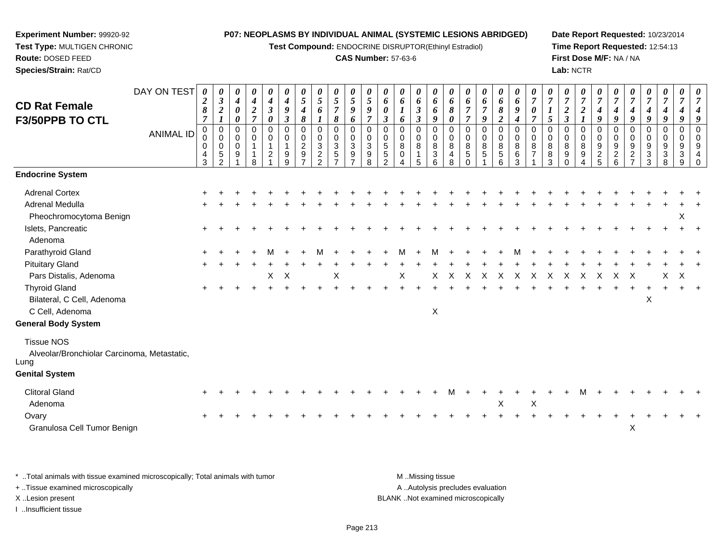**Test Compound:** ENDOCRINE DISRUPTOR(Ethinyl Estradiol)

## **CAS Number:** 57-63-6

**Date Report Requested:** 10/23/2014**Time Report Requested:** 12:54:13**First Dose M/F:** NA / NA**Lab:** NCTR

| <b>CD Rat Female</b><br>F3/50PPB TO CTL                                  | DAY ON TEST      | 0<br>$\boldsymbol{2}$<br>8<br>$\overline{7}$ | 0<br>$\boldsymbol{\beta}$<br>$\overline{\mathbf{c}}$<br>$\boldsymbol{l}$ | 0<br>$\boldsymbol{4}$<br>0<br>0                | 0<br>$\boldsymbol{4}$<br>$\boldsymbol{2}$<br>$\overline{7}$ | 0<br>$\boldsymbol{4}$<br>$\boldsymbol{\beta}$<br>$\boldsymbol{\theta}$ | 0<br>$\boldsymbol{4}$<br>9<br>$\mathfrak{z}$ | 0<br>5<br>4<br>8                                         | 0<br>5<br>6                                              | 0<br>5<br>$\overline{7}$<br>8                      | 0<br>5<br>9<br>6                                             | $\boldsymbol{\theta}$<br>$\mathfrak{s}$<br>9<br>$\overline{7}$    | 0<br>6<br>$\boldsymbol{\theta}$<br>$\boldsymbol{\beta}$    | 0<br>6<br>1<br>6                                        | 0<br>6<br>$\boldsymbol{\beta}$<br>$\mathfrak{z}$ | 0<br>6<br>6<br>9          | 0<br>6<br>8<br>0                   | 0<br>6<br>$\overline{7}$<br>7                                   | 0<br>6<br>$\overline{7}$<br>$\boldsymbol{g}$       | 0<br>6<br>$\pmb{8}$<br>$\boldsymbol{2}$                                | 0<br>6<br>9<br>4                                    | 0<br>7<br>$\boldsymbol{\theta}$<br>$\overline{7}$ | 0<br>$\overline{7}$<br>5     | 0<br>$\boldsymbol{7}$<br>$\boldsymbol{2}$<br>$\mathfrak{z}$ | 0<br>$\overline{7}$<br>$\boldsymbol{2}$                                  | 0<br>$\overline{7}$<br>$\boldsymbol{4}$<br>$\boldsymbol{g}$     | $\boldsymbol{\theta}$<br>$\overline{7}$<br>4<br>9 | 0<br>$\boldsymbol{7}$<br>4<br>$\boldsymbol{9}$        | 0<br>$\overline{7}$<br>$\boldsymbol{4}$<br>9                                      | 0<br>$\overline{7}$<br>4<br>9 | 0<br>$\overline{7}$<br>9                                          | 0<br>$\overline{7}$<br>g                                   |
|--------------------------------------------------------------------------|------------------|----------------------------------------------|--------------------------------------------------------------------------|------------------------------------------------|-------------------------------------------------------------|------------------------------------------------------------------------|----------------------------------------------|----------------------------------------------------------|----------------------------------------------------------|----------------------------------------------------|--------------------------------------------------------------|-------------------------------------------------------------------|------------------------------------------------------------|---------------------------------------------------------|--------------------------------------------------|---------------------------|------------------------------------|-----------------------------------------------------------------|----------------------------------------------------|------------------------------------------------------------------------|-----------------------------------------------------|---------------------------------------------------|------------------------------|-------------------------------------------------------------|--------------------------------------------------------------------------|-----------------------------------------------------------------|---------------------------------------------------|-------------------------------------------------------|-----------------------------------------------------------------------------------|-------------------------------|-------------------------------------------------------------------|------------------------------------------------------------|
|                                                                          | <b>ANIMAL ID</b> | 0<br>$\mathbf 0$<br>0<br>4<br>3              | $\pmb{0}$<br>$\mathbf 0$<br>0<br>$\,$ 5 $\,$<br>$\overline{2}$           | $\mathbf 0$<br>$\mathbf 0$<br>$\mathbf 0$<br>9 | $\mathbf 0$<br>$\mathbf 0$<br>8                             | $\mathbf 0$<br>0<br>$\mathbf{1}$<br>$\overline{c}$                     | $\mathbf 0$<br>$\mathbf 0$<br>1<br>9<br>9    | 0<br>$\mathbf 0$<br>$\boldsymbol{2}$<br>$\boldsymbol{9}$ | $\mathbf 0$<br>0<br>3<br>$\overline{a}$<br>$\mathcal{P}$ | $\pmb{0}$<br>$\pmb{0}$<br>$\sqrt{3}$<br>$\sqrt{5}$ | $\mathbf 0$<br>$\mathbf 0$<br>$\sqrt{3}$<br>$\boldsymbol{9}$ | $\mathbf 0$<br>$\mathbf 0$<br>$\sqrt{3}$<br>$\boldsymbol{9}$<br>8 | $\Omega$<br>0<br>$\sqrt{5}$<br>$\sqrt{5}$<br>$\mathcal{D}$ | $\mathbf 0$<br>$\mathbf 0$<br>$\bf 8$<br>$\pmb{0}$<br>4 | 0<br>$\mathbf 0$<br>8<br>$\mathbf{1}$<br>5       | 0<br>0<br>8<br>3<br>6     | 0<br>0<br>8<br>$\overline{4}$<br>8 | $\mathbf 0$<br>$\mathbf 0$<br>$\,8\,$<br>$\sqrt{5}$<br>$\Omega$ | $\mathbf 0$<br>$\mathbf 0$<br>$\bf8$<br>$\sqrt{5}$ | $\mathbf 0$<br>$\mathbf 0$<br>$\bf 8$<br>$\,$ 5 $\,$<br>$6\phantom{1}$ | 0<br>$\mathbf 0$<br>$\,8\,$<br>$6\phantom{1}6$<br>3 | 0<br>$\mathbf 0$<br>8<br>$\overline{7}$           | $\Omega$<br>0<br>8<br>8<br>3 | $\mathbf 0$<br>0<br>8<br>$\boldsymbol{9}$<br>$\Omega$       | $\Omega$<br>$\mathbf 0$<br>$\bf 8$<br>$\boldsymbol{9}$<br>$\overline{4}$ | $\mathbf 0$<br>$\mathbf 0$<br>$\boldsymbol{9}$<br>$\frac{2}{5}$ | 0<br>0<br>9<br>$\boldsymbol{2}$<br>6              | 0<br>$\mathbf 0$<br>$\boldsymbol{9}$<br>$\frac{2}{7}$ | 0<br>$\mathbf 0$<br>$\boldsymbol{9}$<br>$\ensuremath{\mathsf{3}}$<br>$\mathbf{3}$ | 0<br>0<br>9<br>3<br>8         | 0<br>$\mathbf 0$<br>9<br>$\ensuremath{\mathsf{3}}$<br>$\mathsf g$ | $\Omega$<br>$\mathbf 0$<br>9<br>$\overline{4}$<br>$\Omega$ |
| <b>Endocrine System</b>                                                  |                  |                                              |                                                                          |                                                |                                                             |                                                                        |                                              |                                                          |                                                          |                                                    |                                                              |                                                                   |                                                            |                                                         |                                                  |                           |                                    |                                                                 |                                                    |                                                                        |                                                     |                                                   |                              |                                                             |                                                                          |                                                                 |                                                   |                                                       |                                                                                   |                               |                                                                   |                                                            |
| <b>Adrenal Cortex</b>                                                    |                  |                                              |                                                                          |                                                |                                                             |                                                                        |                                              |                                                          |                                                          |                                                    |                                                              |                                                                   |                                                            |                                                         |                                                  |                           |                                    |                                                                 |                                                    |                                                                        |                                                     |                                                   |                              |                                                             |                                                                          |                                                                 |                                                   |                                                       |                                                                                   |                               |                                                                   |                                                            |
| <b>Adrenal Medulla</b><br>Pheochromocytoma Benign                        |                  |                                              |                                                                          |                                                |                                                             |                                                                        |                                              |                                                          |                                                          |                                                    |                                                              |                                                                   |                                                            |                                                         |                                                  |                           |                                    |                                                                 |                                                    |                                                                        |                                                     |                                                   |                              |                                                             |                                                                          |                                                                 |                                                   |                                                       |                                                                                   |                               | X                                                                 |                                                            |
| Islets, Pancreatic<br>Adenoma                                            |                  |                                              |                                                                          |                                                |                                                             |                                                                        |                                              |                                                          |                                                          |                                                    |                                                              |                                                                   |                                                            |                                                         |                                                  |                           |                                    |                                                                 |                                                    |                                                                        |                                                     |                                                   |                              |                                                             |                                                                          |                                                                 |                                                   |                                                       |                                                                                   |                               |                                                                   |                                                            |
| Parathyroid Gland                                                        |                  |                                              |                                                                          |                                                |                                                             |                                                                        |                                              |                                                          |                                                          |                                                    |                                                              |                                                                   |                                                            |                                                         |                                                  |                           |                                    |                                                                 |                                                    |                                                                        |                                                     |                                                   |                              |                                                             |                                                                          |                                                                 |                                                   |                                                       |                                                                                   |                               |                                                                   |                                                            |
| <b>Pituitary Gland</b><br>Pars Distalis, Adenoma                         |                  |                                              |                                                                          |                                                |                                                             | X                                                                      | $\times$                                     |                                                          |                                                          | $\boldsymbol{\mathsf{X}}$                          |                                                              |                                                                   |                                                            | Χ                                                       |                                                  | X                         | X                                  | X                                                               | X                                                  | X                                                                      | X                                                   | X                                                 | X                            | X                                                           | X                                                                        | X                                                               | X                                                 | X                                                     |                                                                                   | X                             | X                                                                 |                                                            |
| <b>Thyroid Gland</b><br>Bilateral, C Cell, Adenoma<br>C Cell, Adenoma    |                  |                                              |                                                                          |                                                |                                                             |                                                                        |                                              |                                                          |                                                          |                                                    |                                                              |                                                                   |                                                            |                                                         |                                                  | $\boldsymbol{\mathsf{X}}$ |                                    |                                                                 |                                                    |                                                                        |                                                     |                                                   |                              |                                                             |                                                                          |                                                                 |                                                   |                                                       | $\boldsymbol{\mathsf{X}}$                                                         |                               |                                                                   |                                                            |
| <b>General Body System</b>                                               |                  |                                              |                                                                          |                                                |                                                             |                                                                        |                                              |                                                          |                                                          |                                                    |                                                              |                                                                   |                                                            |                                                         |                                                  |                           |                                    |                                                                 |                                                    |                                                                        |                                                     |                                                   |                              |                                                             |                                                                          |                                                                 |                                                   |                                                       |                                                                                   |                               |                                                                   |                                                            |
| <b>Tissue NOS</b><br>Alveolar/Bronchiolar Carcinoma, Metastatic,<br>Lung |                  |                                              |                                                                          |                                                |                                                             |                                                                        |                                              |                                                          |                                                          |                                                    |                                                              |                                                                   |                                                            |                                                         |                                                  |                           |                                    |                                                                 |                                                    |                                                                        |                                                     |                                                   |                              |                                                             |                                                                          |                                                                 |                                                   |                                                       |                                                                                   |                               |                                                                   |                                                            |
| <b>Genital System</b>                                                    |                  |                                              |                                                                          |                                                |                                                             |                                                                        |                                              |                                                          |                                                          |                                                    |                                                              |                                                                   |                                                            |                                                         |                                                  |                           |                                    |                                                                 |                                                    |                                                                        |                                                     |                                                   |                              |                                                             |                                                                          |                                                                 |                                                   |                                                       |                                                                                   |                               |                                                                   |                                                            |
| <b>Clitoral Gland</b><br>Adenoma                                         |                  |                                              |                                                                          |                                                |                                                             |                                                                        |                                              |                                                          |                                                          |                                                    |                                                              |                                                                   |                                                            |                                                         |                                                  |                           |                                    |                                                                 |                                                    | X                                                                      |                                                     | X                                                 |                              |                                                             |                                                                          |                                                                 |                                                   |                                                       |                                                                                   |                               |                                                                   |                                                            |
| Ovary<br>Granulosa Cell Tumor Benign                                     |                  |                                              |                                                                          |                                                |                                                             |                                                                        |                                              |                                                          |                                                          |                                                    |                                                              |                                                                   |                                                            |                                                         |                                                  |                           |                                    |                                                                 |                                                    |                                                                        |                                                     |                                                   |                              |                                                             |                                                                          |                                                                 |                                                   | X                                                     |                                                                                   |                               |                                                                   |                                                            |
|                                                                          |                  |                                              |                                                                          |                                                |                                                             |                                                                        |                                              |                                                          |                                                          |                                                    |                                                              |                                                                   |                                                            |                                                         |                                                  |                           |                                    |                                                                 |                                                    |                                                                        |                                                     |                                                   |                              |                                                             |                                                                          |                                                                 |                                                   |                                                       |                                                                                   |                               |                                                                   |                                                            |

\* ..Total animals with tissue examined microscopically; Total animals with tumor **M** . Missing tissue M ..Missing tissue A ..Autolysis precludes evaluation + ..Tissue examined microscopically X ..Lesion present BLANK ..Not examined microscopicallyI ..Insufficient tissue

**Experiment Number:** 99920-92**Test Type:** MULTIGEN CHRONIC

**Route:** DOSED FEED**Species/Strain:** Rat/CD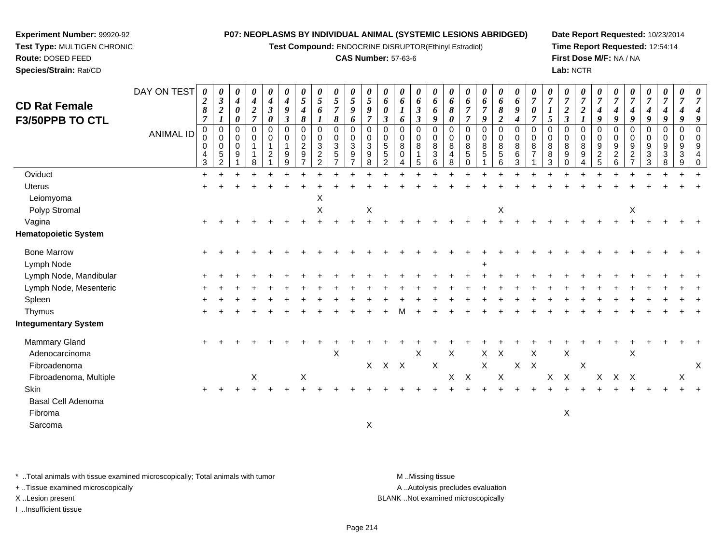**Test Compound:** ENDOCRINE DISRUPTOR(Ethinyl Estradiol)

## **CAS Number:** 57-63-6

**Date Report Requested:** 10/23/2014**Time Report Requested:** 12:54:14**First Dose M/F:** NA / NA**Lab:** NCTR

| <b>CD Rat Female</b><br>F3/50PPB TO CTL | DAY ON TEST      | $\boldsymbol{\theta}$<br>$\boldsymbol{2}$<br>$\pmb{8}$<br>$\overline{7}$ | 0<br>$\boldsymbol{\beta}$<br>$\boldsymbol{2}$<br>$\boldsymbol{l}$ | 0<br>$\boldsymbol{4}$<br>$\boldsymbol{\theta}$<br>0 | 0<br>$\boldsymbol{4}$<br>$\frac{2}{7}$ | 0<br>$\boldsymbol{4}$<br>$\boldsymbol{\beta}$<br>$\boldsymbol{\theta}$ | $\boldsymbol{\theta}$<br>4<br>9<br>$\boldsymbol{\mathfrak{z}}$ | 0<br>5<br>4<br>8                                          | 0<br>$5\overline{)}$<br>6                                            | 0<br>$\sqrt{5}$<br>$\overline{7}$<br>$\pmb{8}$                           | 0<br>$\mathfrak{s}$<br>9<br>6                                                                 | 0<br>$\mathfrak{s}$<br>9<br>$\overline{7}$               | 0<br>6<br>0<br>$\mathfrak{z}$                          | 0<br>6<br>$\boldsymbol{l}$<br>6     | 0<br>6<br>$\mathfrak{z}$<br>$\boldsymbol{\beta}$ | 0<br>6<br>6<br>9                                           | 0<br>6<br>8<br>$\boldsymbol{\theta}$                   | 0<br>6<br>7<br>$\overline{7}$  | 0<br>6<br>$\overline{7}$<br>9                          | 0<br>6<br>8<br>$\overline{2}$                      | 0<br>6<br>9<br>$\boldsymbol{4}$       | $\boldsymbol{\theta}$<br>$\overline{7}$<br>0 | 0<br>$\overline{7}$<br>5                        | 0<br>$\overline{7}$<br>$\boldsymbol{2}$<br>$\boldsymbol{\beta}$ | $\boldsymbol{\theta}$<br>$\overline{7}$<br>$\boldsymbol{2}$ | $\boldsymbol{\theta}$<br>$\overline{7}$<br>4<br>9                          | 0<br>$\overline{7}$<br>4<br>9                   | 0<br>$\overline{7}$<br>4<br>9                              | 0<br>$\overline{7}$<br>$\boldsymbol{4}$<br>9                      | 0<br>$\overline{7}$<br>4<br>9                                     | 0<br>$\overline{7}$<br>4<br>9 | 0<br>$\overline{7}$<br>4<br>9                    |
|-----------------------------------------|------------------|--------------------------------------------------------------------------|-------------------------------------------------------------------|-----------------------------------------------------|----------------------------------------|------------------------------------------------------------------------|----------------------------------------------------------------|-----------------------------------------------------------|----------------------------------------------------------------------|--------------------------------------------------------------------------|-----------------------------------------------------------------------------------------------|----------------------------------------------------------|--------------------------------------------------------|-------------------------------------|--------------------------------------------------|------------------------------------------------------------|--------------------------------------------------------|--------------------------------|--------------------------------------------------------|----------------------------------------------------|---------------------------------------|----------------------------------------------|-------------------------------------------------|-----------------------------------------------------------------|-------------------------------------------------------------|----------------------------------------------------------------------------|-------------------------------------------------|------------------------------------------------------------|-------------------------------------------------------------------|-------------------------------------------------------------------|-------------------------------|--------------------------------------------------|
|                                         | <b>ANIMAL ID</b> | $\mathbf 0$<br>0<br>$\mathbf 0$<br>4<br>3                                | 0<br>0<br>0<br>5<br>$\overline{2}$                                | 0<br>$\mathbf 0$<br>0<br>$\boldsymbol{9}$           | $\mathbf 0$<br>$\mathbf 0$<br>-1<br>8  | $\mathbf 0$<br>0<br>$\mathbf{1}$<br>$\overline{c}$                     | $\mathbf 0$<br>0<br>9<br>9                                     | $\mathbf 0$<br>0<br>$\overline{c}$<br>9<br>$\overline{ }$ | $\mathbf 0$<br>0<br>$\mathbf{3}$<br>$\overline{c}$<br>$\overline{2}$ | $\mathbf 0$<br>$\mathbf 0$<br>$\sqrt{3}$<br>$\sqrt{5}$<br>$\overline{7}$ | $\mathbf 0$<br>$\mathbf 0$<br>$\ensuremath{\mathsf{3}}$<br>$\boldsymbol{9}$<br>$\overline{7}$ | $\mathbf 0$<br>$\mathbf 0$<br>3<br>$\boldsymbol{9}$<br>8 | 0<br>$\mathbf 0$<br>5<br>$\mathbf 5$<br>$\overline{2}$ | 0<br>0<br>$\bf 8$<br>$\pmb{0}$<br>4 | $\mathbf 0$<br>0<br>8<br>$\mathbf{1}$<br>5       | $\Omega$<br>0<br>8<br>$\ensuremath{\mathsf{3}}$<br>$\,6\,$ | $\mathbf 0$<br>$\mathbf 0$<br>8<br>$\overline{4}$<br>8 | 0<br>0<br>8<br>$\sqrt{5}$<br>0 | $\mathbf 0$<br>$\mathbf 0$<br>8<br>5<br>$\overline{ }$ | $\mathbf 0$<br>$\mathbf 0$<br>8<br>$\sqrt{5}$<br>6 | $\mathbf 0$<br>0<br>8<br>$\,6\,$<br>3 | $\Omega$<br>$\mathbf 0$<br>8                 | $\mathbf 0$<br>$\mathbf 0$<br>8<br>$\,8\,$<br>3 | 0<br>$\mathbf 0$<br>8<br>$\boldsymbol{9}$<br>$\mathbf 0$        | $\Omega$<br>0<br>8<br>9<br>4                                | $\mathbf 0$<br>0<br>$\boldsymbol{9}$<br>$\boldsymbol{2}$<br>$\overline{5}$ | 0<br>0<br>9<br>$\overline{c}$<br>$6\phantom{a}$ | $\Omega$<br>0<br>$9\,$<br>$\overline{2}$<br>$\overline{7}$ | $\mathbf 0$<br>$\mathbf 0$<br>$9\,$<br>$\sqrt{3}$<br>$\mathbf{3}$ | $\mathbf 0$<br>$\mathbf 0$<br>9<br>$\ensuremath{\mathsf{3}}$<br>8 | 0<br>0<br>9<br>3<br>9         | $\Omega$<br>$\mathbf 0$<br>9<br>4<br>$\mathbf 0$ |
| Oviduct                                 |                  | $\ddot{}$                                                                |                                                                   |                                                     |                                        |                                                                        |                                                                |                                                           |                                                                      |                                                                          |                                                                                               |                                                          |                                                        |                                     |                                                  |                                                            |                                                        |                                |                                                        |                                                    |                                       |                                              |                                                 |                                                                 |                                                             |                                                                            |                                                 |                                                            |                                                                   |                                                                   |                               |                                                  |
| Uterus                                  |                  |                                                                          |                                                                   |                                                     |                                        |                                                                        |                                                                |                                                           |                                                                      |                                                                          |                                                                                               |                                                          |                                                        |                                     |                                                  |                                                            |                                                        |                                |                                                        |                                                    |                                       |                                              |                                                 |                                                                 |                                                             |                                                                            |                                                 |                                                            |                                                                   |                                                                   |                               |                                                  |
| Leiomyoma<br>Polyp Stromal              |                  |                                                                          |                                                                   |                                                     |                                        |                                                                        |                                                                |                                                           | X<br>$\pmb{\times}$                                                  |                                                                          |                                                                                               | $\boldsymbol{\mathsf{X}}$                                |                                                        |                                     |                                                  |                                                            |                                                        |                                |                                                        | X                                                  |                                       |                                              |                                                 |                                                                 |                                                             |                                                                            |                                                 | X                                                          |                                                                   |                                                                   |                               |                                                  |
| Vagina                                  |                  |                                                                          |                                                                   |                                                     |                                        |                                                                        |                                                                |                                                           |                                                                      |                                                                          |                                                                                               |                                                          |                                                        |                                     |                                                  |                                                            |                                                        |                                |                                                        |                                                    |                                       |                                              |                                                 |                                                                 |                                                             |                                                                            |                                                 |                                                            |                                                                   |                                                                   |                               |                                                  |
| <b>Hematopoietic System</b>             |                  |                                                                          |                                                                   |                                                     |                                        |                                                                        |                                                                |                                                           |                                                                      |                                                                          |                                                                                               |                                                          |                                                        |                                     |                                                  |                                                            |                                                        |                                |                                                        |                                                    |                                       |                                              |                                                 |                                                                 |                                                             |                                                                            |                                                 |                                                            |                                                                   |                                                                   |                               |                                                  |
| <b>Bone Marrow</b>                      |                  |                                                                          |                                                                   |                                                     |                                        |                                                                        |                                                                |                                                           |                                                                      |                                                                          |                                                                                               |                                                          |                                                        |                                     |                                                  |                                                            |                                                        |                                |                                                        |                                                    |                                       |                                              |                                                 |                                                                 |                                                             |                                                                            |                                                 |                                                            |                                                                   |                                                                   |                               |                                                  |
| Lymph Node                              |                  |                                                                          |                                                                   |                                                     |                                        |                                                                        |                                                                |                                                           |                                                                      |                                                                          |                                                                                               |                                                          |                                                        |                                     |                                                  |                                                            |                                                        |                                |                                                        |                                                    |                                       |                                              |                                                 |                                                                 |                                                             |                                                                            |                                                 |                                                            |                                                                   |                                                                   |                               |                                                  |
| Lymph Node, Mandibular                  |                  |                                                                          |                                                                   |                                                     |                                        |                                                                        |                                                                |                                                           |                                                                      |                                                                          |                                                                                               |                                                          |                                                        |                                     |                                                  |                                                            |                                                        |                                |                                                        |                                                    |                                       |                                              |                                                 |                                                                 |                                                             |                                                                            |                                                 |                                                            |                                                                   |                                                                   |                               |                                                  |
| Lymph Node, Mesenteric                  |                  |                                                                          |                                                                   |                                                     |                                        |                                                                        |                                                                |                                                           |                                                                      |                                                                          |                                                                                               |                                                          |                                                        |                                     |                                                  |                                                            |                                                        |                                |                                                        |                                                    |                                       |                                              |                                                 |                                                                 |                                                             |                                                                            |                                                 |                                                            |                                                                   |                                                                   |                               |                                                  |
| Spleen                                  |                  |                                                                          |                                                                   |                                                     |                                        |                                                                        |                                                                |                                                           |                                                                      |                                                                          |                                                                                               |                                                          |                                                        |                                     |                                                  |                                                            |                                                        |                                |                                                        |                                                    |                                       |                                              |                                                 |                                                                 |                                                             |                                                                            |                                                 |                                                            |                                                                   |                                                                   |                               |                                                  |
| Thymus                                  |                  |                                                                          |                                                                   |                                                     |                                        |                                                                        |                                                                |                                                           |                                                                      |                                                                          |                                                                                               |                                                          |                                                        |                                     |                                                  |                                                            |                                                        |                                |                                                        |                                                    |                                       |                                              |                                                 |                                                                 |                                                             |                                                                            |                                                 |                                                            |                                                                   |                                                                   |                               |                                                  |
| <b>Integumentary System</b>             |                  |                                                                          |                                                                   |                                                     |                                        |                                                                        |                                                                |                                                           |                                                                      |                                                                          |                                                                                               |                                                          |                                                        |                                     |                                                  |                                                            |                                                        |                                |                                                        |                                                    |                                       |                                              |                                                 |                                                                 |                                                             |                                                                            |                                                 |                                                            |                                                                   |                                                                   |                               |                                                  |
| Mammary Gland                           |                  | $\ddot{}$                                                                |                                                                   |                                                     |                                        |                                                                        |                                                                |                                                           |                                                                      |                                                                          |                                                                                               |                                                          |                                                        |                                     |                                                  |                                                            |                                                        |                                |                                                        |                                                    |                                       |                                              |                                                 |                                                                 |                                                             |                                                                            |                                                 |                                                            |                                                                   |                                                                   |                               |                                                  |
| Adenocarcinoma                          |                  |                                                                          |                                                                   |                                                     |                                        |                                                                        |                                                                |                                                           |                                                                      | $\boldsymbol{\mathsf{X}}$                                                |                                                                                               |                                                          |                                                        |                                     | $\times$                                         |                                                            | X                                                      |                                |                                                        | $X$ $X$                                            |                                       | X                                            |                                                 | X                                                               |                                                             |                                                                            |                                                 | X                                                          |                                                                   |                                                                   |                               |                                                  |
| Fibroadenoma                            |                  |                                                                          |                                                                   |                                                     |                                        |                                                                        |                                                                |                                                           |                                                                      |                                                                          |                                                                                               |                                                          | X X X                                                  |                                     |                                                  | $\mathsf X$                                                |                                                        |                                | $\mathsf{X}$                                           |                                                    |                                       | $X$ $X$                                      |                                                 |                                                                 | $\boldsymbol{\mathsf{X}}$                                   |                                                                            |                                                 |                                                            |                                                                   |                                                                   |                               | $\times$                                         |
| Fibroadenoma, Multiple                  |                  |                                                                          |                                                                   |                                                     | X                                      |                                                                        |                                                                | X                                                         |                                                                      |                                                                          |                                                                                               |                                                          |                                                        |                                     |                                                  |                                                            | $\mathsf{X}$                                           | $\boldsymbol{\mathsf{X}}$      |                                                        | $\boldsymbol{\mathsf{X}}$                          |                                       |                                              | $\mathsf X$                                     | $\mathsf{X}$                                                    |                                                             | $\mathsf{X}$                                                               | X X                                             |                                                            |                                                                   |                                                                   | X                             |                                                  |
| Skin                                    |                  | $\ddot{}$                                                                |                                                                   |                                                     |                                        |                                                                        |                                                                |                                                           |                                                                      |                                                                          |                                                                                               |                                                          |                                                        |                                     |                                                  |                                                            |                                                        |                                |                                                        |                                                    |                                       |                                              |                                                 |                                                                 |                                                             |                                                                            |                                                 |                                                            |                                                                   |                                                                   |                               |                                                  |
| Basal Cell Adenoma                      |                  |                                                                          |                                                                   |                                                     |                                        |                                                                        |                                                                |                                                           |                                                                      |                                                                          |                                                                                               |                                                          |                                                        |                                     |                                                  |                                                            |                                                        |                                |                                                        |                                                    |                                       |                                              |                                                 |                                                                 |                                                             |                                                                            |                                                 |                                                            |                                                                   |                                                                   |                               |                                                  |
| Fibroma                                 |                  |                                                                          |                                                                   |                                                     |                                        |                                                                        |                                                                |                                                           |                                                                      |                                                                          |                                                                                               |                                                          |                                                        |                                     |                                                  |                                                            |                                                        |                                |                                                        |                                                    |                                       |                                              |                                                 | X                                                               |                                                             |                                                                            |                                                 |                                                            |                                                                   |                                                                   |                               |                                                  |
| Sarcoma                                 |                  |                                                                          |                                                                   |                                                     |                                        |                                                                        |                                                                |                                                           |                                                                      |                                                                          |                                                                                               | X                                                        |                                                        |                                     |                                                  |                                                            |                                                        |                                |                                                        |                                                    |                                       |                                              |                                                 |                                                                 |                                                             |                                                                            |                                                 |                                                            |                                                                   |                                                                   |                               |                                                  |

\* ..Total animals with tissue examined microscopically; Total animals with tumor **M** . Missing tissue M ..Missing tissue

+ ..Tissue examined microscopically

**Experiment Number:** 99920-92**Test Type:** MULTIGEN CHRONIC

**Route:** DOSED FEED**Species/Strain:** Rat/CD

I ..Insufficient tissue

A ..Autolysis precludes evaluation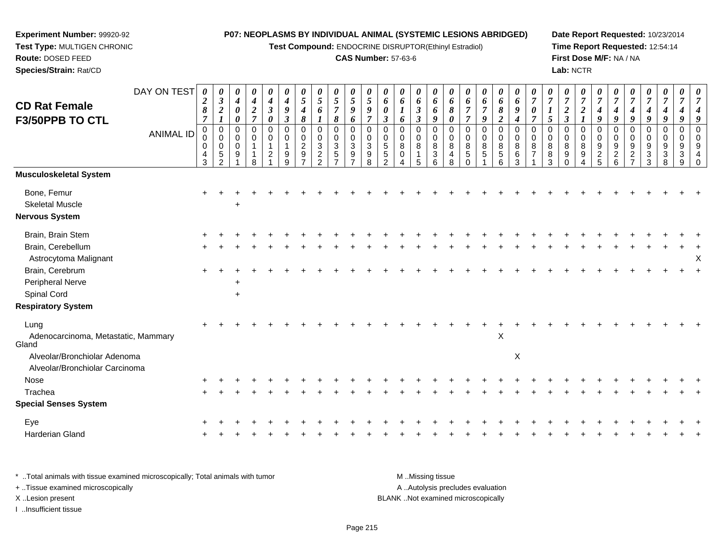**Test Compound:** ENDOCRINE DISRUPTOR(Ethinyl Estradiol)

## **CAS Number:** 57-63-6

**Date Report Requested:** 10/23/2014**Time Report Requested:** 12:54:14**First Dose M/F:** NA / NA**Lab:** NCTR

| <b>CD Rat Female</b><br>F3/50PPB TO CTL      | DAY ON TEST<br><b>ANIMAL ID</b> | 0<br>$\boldsymbol{2}$<br>8<br>$\overline{7}$<br>$\pmb{0}$<br>0<br>$\mathbf 0$<br>4 | 0<br>$\boldsymbol{\beta}$<br>$\boldsymbol{2}$<br>$\pmb{0}$<br>$\mathbf 0$<br>0<br>$\sqrt{5}$ | $\boldsymbol{\theta}$<br>$\boldsymbol{4}$<br>$\boldsymbol{\theta}$<br>$\boldsymbol{\theta}$<br>$\pmb{0}$<br>$\mathbf 0$<br>$\mathsf{O}\xspace$<br>9 | $\boldsymbol{\theta}$<br>$\boldsymbol{4}$<br>$\sqrt{2}$<br>$\overline{7}$<br>$\pmb{0}$<br>$\mathbf 0$<br>$\mathbf{1}$<br>$\mathbf{1}$ | 0<br>4<br>$\boldsymbol{\beta}$<br>0<br>$\mathbf 0$<br>0<br>1<br>$\overline{c}$ | 0<br>$\boldsymbol{4}$<br>$\boldsymbol{g}$<br>$\boldsymbol{\beta}$<br>$\mathbf 0$<br>$\Omega$<br>9 | 0<br>5<br>4<br>8<br>$\mathbf 0$<br>0<br>$\boldsymbol{2}$<br>9 | 0<br>5<br>6<br>$\mathbf 0$<br>0<br>$\mathbf{3}$<br>$\overline{2}$ | $\boldsymbol{\theta}$<br>$\mathfrak{s}$<br>$\overline{7}$<br>8<br>$\boldsymbol{0}$<br>$\mathbf 0$<br>$\mathbf{3}$<br>5 | 0<br>5<br>9<br>6<br>$\mathbf 0$<br>$\mathbf 0$<br>3<br>9 | 0<br>5<br>9<br>$\overline{7}$<br>$\Omega$<br>$\Omega$<br>3<br>9 | 0<br>6<br>0<br>$\boldsymbol{\beta}$<br>$\Omega$<br>$\mathbf 0$<br>5<br>5 | $\pmb{\theta}$<br>6<br>$\boldsymbol{l}$<br>6<br>$\pmb{0}$<br>0<br>$\bf8$<br>0 | 0<br>6<br>$\boldsymbol{\beta}$<br>$\boldsymbol{\beta}$<br>$\pmb{0}$<br>$\mathbf 0$<br>$\bf8$<br>$\mathbf{1}$ | 0<br>6<br>6<br>9<br>$\mathbf 0$<br>$\mathbf 0$<br>8<br>$\mathbf{3}$ | 0<br>6<br>8<br>$\boldsymbol{\theta}$<br>$\Omega$<br>$\Omega$<br>8<br>4 | 0<br>6<br>$\overline{7}$<br>$\overline{7}$<br>0<br>$\Omega$<br>8<br>5 | 0<br>6<br>$\overline{7}$<br>9<br>$\pmb{0}$<br>0<br>8<br>5 | 0<br>6<br>8<br>$\boldsymbol{2}$<br>$\mathbf 0$<br>$\mathbf 0$<br>8<br>$\sqrt{5}$ | $\theta$<br>6<br>9<br>$\boldsymbol{4}$<br>$\mathbf 0$<br>$\mathbf 0$<br>8<br>6 | 0<br>$\overline{7}$<br>0<br>$\overline{7}$<br>$\Omega$<br>$\Omega$<br>8<br>$\overline{7}$ | 0<br>$\boldsymbol{7}$<br>1<br>5<br>$\mathbf 0$<br>$\mathbf 0$<br>8<br>8 | 0<br>$\boldsymbol{7}$<br>$\boldsymbol{2}$<br>$\boldsymbol{\beta}$<br>$\mathbf 0$<br>$\mathbf 0$<br>8<br>9 | 0<br>$\overline{7}$<br>$\boldsymbol{2}$<br>$\mathbf 0$<br>$\mathbf 0$<br>8<br>9 | $\overline{7}$<br>4<br>9<br>$\Omega$<br>0<br>9 | $\boldsymbol{\theta}$<br>$\overline{7}$<br>4<br>9<br>$\mathbf 0$<br>$\mathbf 0$<br>$\boldsymbol{9}$ | 0<br>$\overline{7}$<br>4<br>9<br>0<br>$\mathbf 0$<br>9<br>$\overline{2}$ | 0<br>$\overline{7}$<br>4<br>9<br>$\mathbf 0$<br>$\mathbf 0$<br>9<br>$\mathbf{3}$ | 0<br>$\overline{7}$<br>4<br>9<br>$\Omega$<br>$\Omega$<br>9<br>3 | 0<br>$\mathbf 0$<br>0<br>9<br>3 | 0<br>7<br>g<br>$\overline{0}$<br>$\mathbf 0$<br>9 |
|----------------------------------------------|---------------------------------|------------------------------------------------------------------------------------|----------------------------------------------------------------------------------------------|-----------------------------------------------------------------------------------------------------------------------------------------------------|---------------------------------------------------------------------------------------------------------------------------------------|--------------------------------------------------------------------------------|---------------------------------------------------------------------------------------------------|---------------------------------------------------------------|-------------------------------------------------------------------|------------------------------------------------------------------------------------------------------------------------|----------------------------------------------------------|-----------------------------------------------------------------|--------------------------------------------------------------------------|-------------------------------------------------------------------------------|--------------------------------------------------------------------------------------------------------------|---------------------------------------------------------------------|------------------------------------------------------------------------|-----------------------------------------------------------------------|-----------------------------------------------------------|----------------------------------------------------------------------------------|--------------------------------------------------------------------------------|-------------------------------------------------------------------------------------------|-------------------------------------------------------------------------|-----------------------------------------------------------------------------------------------------------|---------------------------------------------------------------------------------|------------------------------------------------|-----------------------------------------------------------------------------------------------------|--------------------------------------------------------------------------|----------------------------------------------------------------------------------|-----------------------------------------------------------------|---------------------------------|---------------------------------------------------|
|                                              |                                 | 3                                                                                  | $\mathcal{P}$                                                                                |                                                                                                                                                     | 8                                                                                                                                     |                                                                                | q                                                                                                 |                                                               | $\mathcal{P}$                                                     | $\overline{ }$                                                                                                         |                                                          | 8                                                               | $\mathfrak{p}$                                                           | 4                                                                             | 5                                                                                                            | 6                                                                   | 8                                                                      |                                                                       |                                                           | 6                                                                                | 3                                                                              |                                                                                           | 3                                                                       | $\Omega$                                                                                                  |                                                                                 | $\frac{2}{5}$                                  | $\frac{2}{6}$                                                                                       | $\overline{ }$                                                           | 3                                                                                | 8                                                               | 9                               | $\Omega$                                          |
| Musculoskeletal System                       |                                 |                                                                                    |                                                                                              |                                                                                                                                                     |                                                                                                                                       |                                                                                |                                                                                                   |                                                               |                                                                   |                                                                                                                        |                                                          |                                                                 |                                                                          |                                                                               |                                                                                                              |                                                                     |                                                                        |                                                                       |                                                           |                                                                                  |                                                                                |                                                                                           |                                                                         |                                                                                                           |                                                                                 |                                                |                                                                                                     |                                                                          |                                                                                  |                                                                 |                                 |                                                   |
| Bone, Femur                                  |                                 |                                                                                    |                                                                                              |                                                                                                                                                     |                                                                                                                                       |                                                                                |                                                                                                   |                                                               |                                                                   |                                                                                                                        |                                                          |                                                                 |                                                                          |                                                                               |                                                                                                              |                                                                     |                                                                        |                                                                       |                                                           |                                                                                  |                                                                                |                                                                                           |                                                                         |                                                                                                           |                                                                                 |                                                |                                                                                                     |                                                                          |                                                                                  |                                                                 |                                 |                                                   |
| <b>Skeletal Muscle</b>                       |                                 |                                                                                    |                                                                                              |                                                                                                                                                     |                                                                                                                                       |                                                                                |                                                                                                   |                                                               |                                                                   |                                                                                                                        |                                                          |                                                                 |                                                                          |                                                                               |                                                                                                              |                                                                     |                                                                        |                                                                       |                                                           |                                                                                  |                                                                                |                                                                                           |                                                                         |                                                                                                           |                                                                                 |                                                |                                                                                                     |                                                                          |                                                                                  |                                                                 |                                 |                                                   |
| Nervous System                               |                                 |                                                                                    |                                                                                              |                                                                                                                                                     |                                                                                                                                       |                                                                                |                                                                                                   |                                                               |                                                                   |                                                                                                                        |                                                          |                                                                 |                                                                          |                                                                               |                                                                                                              |                                                                     |                                                                        |                                                                       |                                                           |                                                                                  |                                                                                |                                                                                           |                                                                         |                                                                                                           |                                                                                 |                                                |                                                                                                     |                                                                          |                                                                                  |                                                                 |                                 |                                                   |
| Brain, Brain Stem                            |                                 |                                                                                    |                                                                                              |                                                                                                                                                     |                                                                                                                                       |                                                                                |                                                                                                   |                                                               |                                                                   |                                                                                                                        |                                                          |                                                                 |                                                                          |                                                                               |                                                                                                              |                                                                     |                                                                        |                                                                       |                                                           |                                                                                  |                                                                                |                                                                                           |                                                                         |                                                                                                           |                                                                                 |                                                |                                                                                                     |                                                                          |                                                                                  |                                                                 |                                 |                                                   |
| Brain, Cerebellum                            |                                 |                                                                                    |                                                                                              |                                                                                                                                                     |                                                                                                                                       |                                                                                |                                                                                                   |                                                               |                                                                   |                                                                                                                        |                                                          |                                                                 |                                                                          |                                                                               |                                                                                                              |                                                                     |                                                                        |                                                                       |                                                           |                                                                                  |                                                                                |                                                                                           |                                                                         |                                                                                                           |                                                                                 |                                                |                                                                                                     |                                                                          |                                                                                  |                                                                 |                                 |                                                   |
| Astrocytoma Malignant                        |                                 |                                                                                    |                                                                                              |                                                                                                                                                     |                                                                                                                                       |                                                                                |                                                                                                   |                                                               |                                                                   |                                                                                                                        |                                                          |                                                                 |                                                                          |                                                                               |                                                                                                              |                                                                     |                                                                        |                                                                       |                                                           |                                                                                  |                                                                                |                                                                                           |                                                                         |                                                                                                           |                                                                                 |                                                |                                                                                                     |                                                                          |                                                                                  |                                                                 |                                 | X                                                 |
| Brain, Cerebrum                              |                                 |                                                                                    |                                                                                              |                                                                                                                                                     |                                                                                                                                       |                                                                                |                                                                                                   |                                                               |                                                                   |                                                                                                                        |                                                          |                                                                 |                                                                          |                                                                               |                                                                                                              |                                                                     |                                                                        |                                                                       |                                                           |                                                                                  |                                                                                |                                                                                           |                                                                         |                                                                                                           |                                                                                 |                                                |                                                                                                     |                                                                          |                                                                                  |                                                                 |                                 |                                                   |
| Peripheral Nerve                             |                                 |                                                                                    |                                                                                              |                                                                                                                                                     |                                                                                                                                       |                                                                                |                                                                                                   |                                                               |                                                                   |                                                                                                                        |                                                          |                                                                 |                                                                          |                                                                               |                                                                                                              |                                                                     |                                                                        |                                                                       |                                                           |                                                                                  |                                                                                |                                                                                           |                                                                         |                                                                                                           |                                                                                 |                                                |                                                                                                     |                                                                          |                                                                                  |                                                                 |                                 |                                                   |
| Spinal Cord                                  |                                 |                                                                                    |                                                                                              |                                                                                                                                                     |                                                                                                                                       |                                                                                |                                                                                                   |                                                               |                                                                   |                                                                                                                        |                                                          |                                                                 |                                                                          |                                                                               |                                                                                                              |                                                                     |                                                                        |                                                                       |                                                           |                                                                                  |                                                                                |                                                                                           |                                                                         |                                                                                                           |                                                                                 |                                                |                                                                                                     |                                                                          |                                                                                  |                                                                 |                                 |                                                   |
| <b>Respiratory System</b>                    |                                 |                                                                                    |                                                                                              |                                                                                                                                                     |                                                                                                                                       |                                                                                |                                                                                                   |                                                               |                                                                   |                                                                                                                        |                                                          |                                                                 |                                                                          |                                                                               |                                                                                                              |                                                                     |                                                                        |                                                                       |                                                           |                                                                                  |                                                                                |                                                                                           |                                                                         |                                                                                                           |                                                                                 |                                                |                                                                                                     |                                                                          |                                                                                  |                                                                 |                                 |                                                   |
| Lung                                         |                                 |                                                                                    |                                                                                              |                                                                                                                                                     |                                                                                                                                       |                                                                                |                                                                                                   |                                                               |                                                                   |                                                                                                                        |                                                          |                                                                 |                                                                          |                                                                               |                                                                                                              |                                                                     |                                                                        |                                                                       |                                                           |                                                                                  |                                                                                |                                                                                           |                                                                         |                                                                                                           |                                                                                 |                                                |                                                                                                     |                                                                          |                                                                                  |                                                                 |                                 |                                                   |
| Adenocarcinoma, Metastatic, Mammary<br>Gland |                                 |                                                                                    |                                                                                              |                                                                                                                                                     |                                                                                                                                       |                                                                                |                                                                                                   |                                                               |                                                                   |                                                                                                                        |                                                          |                                                                 |                                                                          |                                                                               |                                                                                                              |                                                                     |                                                                        |                                                                       |                                                           | X                                                                                |                                                                                |                                                                                           |                                                                         |                                                                                                           |                                                                                 |                                                |                                                                                                     |                                                                          |                                                                                  |                                                                 |                                 |                                                   |
| Alveolar/Bronchiolar Adenoma                 |                                 |                                                                                    |                                                                                              |                                                                                                                                                     |                                                                                                                                       |                                                                                |                                                                                                   |                                                               |                                                                   |                                                                                                                        |                                                          |                                                                 |                                                                          |                                                                               |                                                                                                              |                                                                     |                                                                        |                                                                       |                                                           |                                                                                  | X                                                                              |                                                                                           |                                                                         |                                                                                                           |                                                                                 |                                                |                                                                                                     |                                                                          |                                                                                  |                                                                 |                                 |                                                   |
| Alveolar/Bronchiolar Carcinoma               |                                 |                                                                                    |                                                                                              |                                                                                                                                                     |                                                                                                                                       |                                                                                |                                                                                                   |                                                               |                                                                   |                                                                                                                        |                                                          |                                                                 |                                                                          |                                                                               |                                                                                                              |                                                                     |                                                                        |                                                                       |                                                           |                                                                                  |                                                                                |                                                                                           |                                                                         |                                                                                                           |                                                                                 |                                                |                                                                                                     |                                                                          |                                                                                  |                                                                 |                                 |                                                   |
| Nose                                         |                                 |                                                                                    |                                                                                              |                                                                                                                                                     |                                                                                                                                       |                                                                                |                                                                                                   |                                                               |                                                                   |                                                                                                                        |                                                          |                                                                 |                                                                          |                                                                               |                                                                                                              |                                                                     |                                                                        |                                                                       |                                                           |                                                                                  |                                                                                |                                                                                           |                                                                         |                                                                                                           |                                                                                 |                                                |                                                                                                     |                                                                          |                                                                                  |                                                                 |                                 |                                                   |
| Trachea                                      |                                 |                                                                                    |                                                                                              |                                                                                                                                                     |                                                                                                                                       |                                                                                |                                                                                                   |                                                               |                                                                   |                                                                                                                        |                                                          |                                                                 |                                                                          |                                                                               |                                                                                                              |                                                                     |                                                                        |                                                                       |                                                           |                                                                                  |                                                                                |                                                                                           |                                                                         |                                                                                                           |                                                                                 |                                                |                                                                                                     |                                                                          |                                                                                  |                                                                 |                                 |                                                   |
| <b>Special Senses System</b>                 |                                 |                                                                                    |                                                                                              |                                                                                                                                                     |                                                                                                                                       |                                                                                |                                                                                                   |                                                               |                                                                   |                                                                                                                        |                                                          |                                                                 |                                                                          |                                                                               |                                                                                                              |                                                                     |                                                                        |                                                                       |                                                           |                                                                                  |                                                                                |                                                                                           |                                                                         |                                                                                                           |                                                                                 |                                                |                                                                                                     |                                                                          |                                                                                  |                                                                 |                                 |                                                   |
| Eye                                          |                                 |                                                                                    |                                                                                              |                                                                                                                                                     |                                                                                                                                       |                                                                                |                                                                                                   |                                                               |                                                                   |                                                                                                                        |                                                          |                                                                 |                                                                          |                                                                               |                                                                                                              |                                                                     |                                                                        |                                                                       |                                                           |                                                                                  |                                                                                |                                                                                           |                                                                         |                                                                                                           |                                                                                 |                                                |                                                                                                     |                                                                          |                                                                                  |                                                                 |                                 |                                                   |
| Harderian Gland                              |                                 |                                                                                    |                                                                                              |                                                                                                                                                     |                                                                                                                                       |                                                                                |                                                                                                   |                                                               |                                                                   |                                                                                                                        |                                                          |                                                                 |                                                                          |                                                                               |                                                                                                              |                                                                     |                                                                        |                                                                       |                                                           |                                                                                  |                                                                                |                                                                                           |                                                                         |                                                                                                           |                                                                                 |                                                |                                                                                                     |                                                                          |                                                                                  |                                                                 |                                 |                                                   |
|                                              |                                 |                                                                                    |                                                                                              |                                                                                                                                                     |                                                                                                                                       |                                                                                |                                                                                                   |                                                               |                                                                   |                                                                                                                        |                                                          |                                                                 |                                                                          |                                                                               |                                                                                                              |                                                                     |                                                                        |                                                                       |                                                           |                                                                                  |                                                                                |                                                                                           |                                                                         |                                                                                                           |                                                                                 |                                                |                                                                                                     |                                                                          |                                                                                  |                                                                 |                                 |                                                   |

\* ..Total animals with tissue examined microscopically; Total animals with tumor **M** . Missing tissue M ..Missing tissue A ..Autolysis precludes evaluation + ..Tissue examined microscopically X ..Lesion present BLANK ..Not examined microscopicallyI ..Insufficient tissue

**Experiment Number:** 99920-92**Test Type:** MULTIGEN CHRONIC

**Route:** DOSED FEED**Species/Strain:** Rat/CD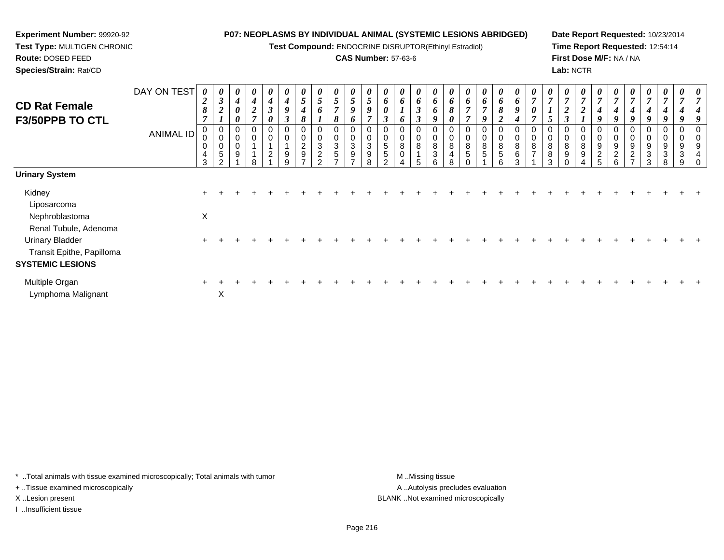**Test Compound:** ENDOCRINE DISRUPTOR(Ethinyl Estradiol)

## **CAS Number:** 57-63-6

**Date Report Requested:** 10/23/2014**Time Report Requested:** 12:54:14**First Dose M/F:** NA / NA**Lab:** NCTR

| <b>CD Rat Female</b><br>F3/50PPB TO CTL                                        | DAY ON TEST<br><b>ANIMAL ID</b> | $\theta$<br>$\overline{2}$<br>$\pmb{8}$<br>$\overline{7}$<br>$\mathbf 0$<br>0<br>0 | $\mathfrak{z}$<br>$\boldsymbol{2}$<br>$\boldsymbol{l}$<br>0<br>$\pmb{0}$<br>$\pmb{0}$ | 0<br>4<br>$\boldsymbol{\theta}$<br>0<br>0<br>0<br>0 | 0<br>$\boldsymbol{4}$<br>$\boldsymbol{2}$<br>$\overline{ }$<br>0 | $\boldsymbol{4}$<br>$\boldsymbol{\beta}$<br>0<br>0<br>$\pmb{0}$ | 4<br>9<br>$\boldsymbol{\beta}$<br>0<br>0 | 5<br>4<br>8<br>0<br>$\overline{c}$ | $\boldsymbol{\theta}$<br>$5\overline{)}$<br>6<br>0<br>0<br>3 | 0<br>$\mathfrak{s}$<br>$\overline{7}$<br>8<br>0<br>3 | 0<br>5<br>9<br>6<br>$\mathbf 0$<br>$\pmb{0}$<br>$\mathfrak{S}$ | 5<br>9<br>7<br>0<br>3 | 6<br>0<br>3<br>0<br>5 | $\boldsymbol{\theta}$<br>6<br>6<br>0<br>0<br>8 | $\theta$<br>6<br>$\boldsymbol{\beta}$<br>$\boldsymbol{\beta}$<br>8 | $\theta$<br>6<br>6<br>9<br>0<br>$\pmb{0}$<br>8 | 6<br>$\boldsymbol{\delta}$<br>0<br>0<br>8 | 6<br>$\overline{ }$<br>$\overline{ }$<br>0<br>$\boldsymbol{0}$<br>8 | $\boldsymbol{\theta}$<br>6<br>$\overline{ }$<br>9<br>0<br>0<br>8 | $\boldsymbol{\theta}$<br>6<br>8<br>$\overline{c}$<br>8 | $\boldsymbol{\theta}$<br>6<br>9<br>$\boldsymbol{4}$<br>0<br>0<br>8 | $\overline{ }$<br>8<br>$\overline{ }$ | 5<br>0<br>0<br>8 | $\theta$<br>$\overline{ }$<br>$\boldsymbol{2}$<br>$\boldsymbol{\beta}$<br>0<br>0<br>8 | 0<br>$\overline{ }$<br>$\boldsymbol{2}$<br>8 | $\boldsymbol{\theta}$<br>$\overline{ }$<br>4<br>9<br>0<br>0<br>9 | 4<br>9<br>9         | 4<br>9<br>0<br>0<br>9            | $\boldsymbol{\theta}$<br>4<br>9<br>0<br>0<br>9 | $\boldsymbol{\theta}$<br>$\overline{ }$<br>4<br>9<br>$\mathbf 0$<br>9 | 0<br>$\overline{ }$<br>9 |  |
|--------------------------------------------------------------------------------|---------------------------------|------------------------------------------------------------------------------------|---------------------------------------------------------------------------------------|-----------------------------------------------------|------------------------------------------------------------------|-----------------------------------------------------------------|------------------------------------------|------------------------------------|--------------------------------------------------------------|------------------------------------------------------|----------------------------------------------------------------|-----------------------|-----------------------|------------------------------------------------|--------------------------------------------------------------------|------------------------------------------------|-------------------------------------------|---------------------------------------------------------------------|------------------------------------------------------------------|--------------------------------------------------------|--------------------------------------------------------------------|---------------------------------------|------------------|---------------------------------------------------------------------------------------|----------------------------------------------|------------------------------------------------------------------|---------------------|----------------------------------|------------------------------------------------|-----------------------------------------------------------------------|--------------------------|--|
|                                                                                |                                 | $\overline{a}$<br>3                                                                | 5<br>$\Omega$                                                                         | 9                                                   | $\circ$                                                          | $\overline{2}$                                                  | 9<br>9                                   | $\boldsymbol{9}$<br>$\rightarrow$  | $\overline{2}$<br>C.                                         | 5<br>$\overline{ }$                                  | 9<br>$\overline{ }$                                            | 9<br>8                | 5                     | $\pmb{0}$                                      | 5                                                                  | $\ensuremath{\mathsf{3}}$<br>6                 | 4<br>8                                    | $\sqrt{5}$                                                          | 5                                                                | 5<br>6                                                 | 6<br>3                                                             |                                       | 8<br>3           | 9                                                                                     | 9                                            | $\overline{\mathbf{c}}$<br>5.                                    | $\overline{c}$<br>6 | $\overline{2}$<br>$\overline{ }$ | 3<br>3                                         | $\sqrt{3}$<br>8                                                       | 3<br>9                   |  |
| <b>Urinary System</b>                                                          |                                 |                                                                                    |                                                                                       |                                                     |                                                                  |                                                                 |                                          |                                    |                                                              |                                                      |                                                                |                       |                       |                                                |                                                                    |                                                |                                           |                                                                     |                                                                  |                                                        |                                                                    |                                       |                  |                                                                                       |                                              |                                                                  |                     |                                  |                                                |                                                                       |                          |  |
| Kidney<br>Liposarcoma                                                          |                                 |                                                                                    |                                                                                       |                                                     |                                                                  |                                                                 |                                          |                                    |                                                              |                                                      |                                                                |                       |                       |                                                |                                                                    |                                                |                                           |                                                                     |                                                                  |                                                        |                                                                    |                                       |                  |                                                                                       |                                              |                                                                  |                     |                                  |                                                |                                                                       |                          |  |
| Nephroblastoma<br>Renal Tubule, Adenoma                                        |                                 | $\pmb{\times}$                                                                     |                                                                                       |                                                     |                                                                  |                                                                 |                                          |                                    |                                                              |                                                      |                                                                |                       |                       |                                                |                                                                    |                                                |                                           |                                                                     |                                                                  |                                                        |                                                                    |                                       |                  |                                                                                       |                                              |                                                                  |                     |                                  |                                                |                                                                       |                          |  |
| <b>Urinary Bladder</b><br>Transit Epithe, Papilloma<br><b>SYSTEMIC LESIONS</b> |                                 |                                                                                    |                                                                                       |                                                     |                                                                  |                                                                 |                                          |                                    |                                                              |                                                      |                                                                |                       |                       |                                                |                                                                    |                                                |                                           |                                                                     |                                                                  |                                                        |                                                                    |                                       |                  |                                                                                       |                                              |                                                                  |                     |                                  |                                                |                                                                       |                          |  |
| Multiple Organ<br>Lymphoma Malignant                                           |                                 |                                                                                    | X                                                                                     |                                                     |                                                                  |                                                                 |                                          |                                    |                                                              |                                                      |                                                                |                       |                       |                                                |                                                                    |                                                |                                           |                                                                     |                                                                  |                                                        |                                                                    |                                       |                  |                                                                                       |                                              |                                                                  |                     |                                  |                                                |                                                                       |                          |  |

\* ..Total animals with tissue examined microscopically; Total animals with tumor **M** . Missing tissue M ..Missing tissue

+ ..Tissue examined microscopically

**Experiment Number:** 99920-92**Test Type:** MULTIGEN CHRONIC

**Route:** DOSED FEED**Species/Strain:** Rat/CD

I ..Insufficient tissue

A ..Autolysis precludes evaluation X ..Lesion present BLANK ..Not examined microscopically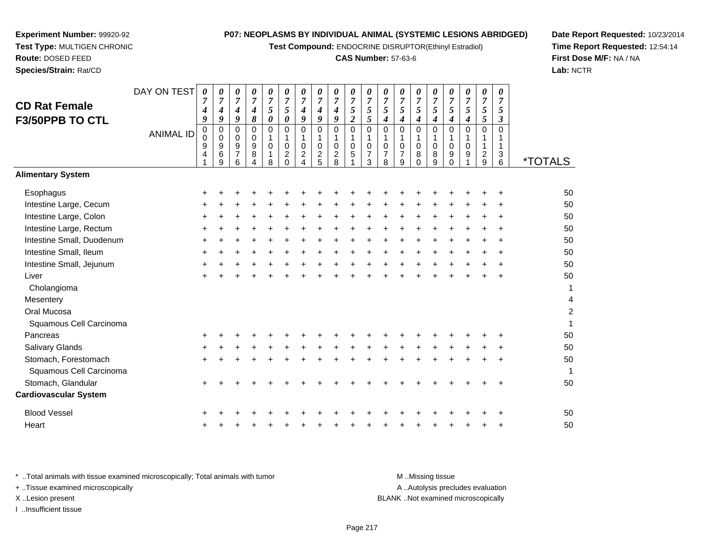**Test Compound:** ENDOCRINE DISRUPTOR(Ethinyl Estradiol)

#### **CAS Number:** 57-63-6

 $\overline{2}$ 

0 1

**Date Report Requested:** 10/23/2014**Time Report Requested:** 12:54:14**First Dose M/F:** NA / NA**Lab:** NCTR

|                              | 9<br>$\overline{4}$ | 9<br>$\,6\,$<br>9 | 9<br>$\overline{7}$<br>6 | 9<br>$\bf 8$<br>$\overline{4}$ | 0<br>1<br>8 | 0<br>$\overline{a}$<br>$\Omega$ | 0<br>$\overline{2}$<br>4 | 0<br>$rac{2}{5}$ | 0<br>$\frac{2}{8}$ | 0<br>$\,$ 5 $\,$ | 0<br>$\overline{7}$<br>3 | 0<br>$\overline{7}$<br>8 | 0<br>7<br>9 | 0<br>8<br>$\Omega$ | 0<br>8<br>9 | 0<br>9<br>$\Omega$ | 0<br>9 | $\sqrt{2}$<br>9 | $\ensuremath{\mathsf{3}}$<br>6 | <i><b>*TOTALS</b></i> |
|------------------------------|---------------------|-------------------|--------------------------|--------------------------------|-------------|---------------------------------|--------------------------|------------------|--------------------|------------------|--------------------------|--------------------------|-------------|--------------------|-------------|--------------------|--------|-----------------|--------------------------------|-----------------------|
| <b>Alimentary System</b>     |                     |                   |                          |                                |             |                                 |                          |                  |                    |                  |                          |                          |             |                    |             |                    |        |                 |                                |                       |
| Esophagus                    | $\ddot{}$           |                   |                          |                                |             |                                 |                          |                  |                    |                  |                          |                          |             |                    |             |                    |        |                 | ÷                              | 50                    |
| Intestine Large, Cecum       | $\ddot{}$           |                   |                          |                                |             |                                 |                          |                  |                    |                  |                          |                          |             |                    |             |                    |        |                 |                                | 50                    |
| Intestine Large, Colon       | $\ddot{}$           |                   |                          |                                |             |                                 |                          |                  |                    |                  |                          |                          |             |                    |             |                    |        |                 |                                | 50                    |
| Intestine Large, Rectum      | $\ddot{}$           |                   |                          |                                |             |                                 |                          |                  |                    |                  |                          |                          |             |                    |             |                    |        |                 |                                | 50                    |
| Intestine Small, Duodenum    | $\pm$               |                   |                          |                                |             |                                 |                          |                  |                    |                  |                          |                          |             |                    |             |                    |        |                 |                                | 50                    |
| Intestine Small, Ileum       | $\ddot{}$           |                   |                          |                                |             |                                 |                          |                  |                    |                  |                          |                          |             |                    |             |                    |        |                 |                                | 50                    |
| Intestine Small, Jejunum     | $\pm$               |                   |                          |                                |             |                                 |                          |                  |                    |                  |                          |                          |             |                    |             |                    |        |                 |                                | 50                    |
| Liver                        | $\ddot{}$           |                   |                          |                                |             |                                 |                          |                  |                    |                  |                          |                          |             |                    |             |                    |        |                 |                                | 50                    |
| Cholangioma                  |                     |                   |                          |                                |             |                                 |                          |                  |                    |                  |                          |                          |             |                    |             |                    |        |                 |                                | 1                     |
| Mesentery                    |                     |                   |                          |                                |             |                                 |                          |                  |                    |                  |                          |                          |             |                    |             |                    |        |                 |                                | 4                     |
| Oral Mucosa                  |                     |                   |                          |                                |             |                                 |                          |                  |                    |                  |                          |                          |             |                    |             |                    |        |                 |                                | $\overline{c}$        |
| Squamous Cell Carcinoma      |                     |                   |                          |                                |             |                                 |                          |                  |                    |                  |                          |                          |             |                    |             |                    |        |                 |                                |                       |
| Pancreas                     | +                   |                   |                          |                                |             |                                 |                          |                  |                    |                  |                          |                          |             |                    |             |                    |        |                 |                                | 50                    |
| Salivary Glands              | +                   |                   |                          |                                |             |                                 |                          |                  |                    |                  |                          |                          |             |                    |             |                    |        |                 |                                | 50                    |
| Stomach, Forestomach         | $\ddot{}$           |                   |                          |                                |             |                                 |                          |                  |                    |                  |                          |                          |             |                    |             |                    |        |                 |                                | 50                    |
| Squamous Cell Carcinoma      |                     |                   |                          |                                |             |                                 |                          |                  |                    |                  |                          |                          |             |                    |             |                    |        |                 |                                | 1                     |
| Stomach, Glandular           | $\ddot{}$           |                   |                          |                                |             |                                 |                          |                  |                    |                  |                          |                          |             |                    |             |                    |        |                 |                                | 50                    |
| <b>Cardiovascular System</b> |                     |                   |                          |                                |             |                                 |                          |                  |                    |                  |                          |                          |             |                    |             |                    |        |                 |                                |                       |
| <b>Blood Vessel</b>          | $\ddot{}$           |                   |                          |                                |             |                                 |                          |                  |                    |                  |                          |                          |             |                    |             |                    |        |                 | ÷                              | 50                    |
| Heart                        | $\ddot{}$           |                   |                          |                                |             |                                 |                          |                  |                    |                  |                          |                          |             |                    |             |                    |        |                 | $\ddot{}$                      | 50                    |
|                              |                     |                   |                          |                                |             |                                 |                          |                  |                    |                  |                          |                          |             |                    |             |                    |        |                 |                                |                       |

**Experiment Number:** 99920-92**Test Type:** MULTIGEN CHRONIC

DAY ON TEST

*0 7 5*

*0 7 4*

*0 7 4*

*0 7 4*

0 1

 *9*0 1

 *9*0 1

 *9*0 1

 *0*0 1

0 1

ANIMAL ID

**Route:** DOSED FEED**Species/Strain:** Rat/CD

**CD Rat FemaleF3/50PPB TO CTL**

\* ..Total animals with tissue examined microscopically; Total animals with tumor **M** ..Missing tissue M ..Missing tissue A ..Autolysis precludes evaluation + ..Tissue examined microscopically X ..Lesion present BLANK ..Not examined microscopicallyI ..Insufficient tissue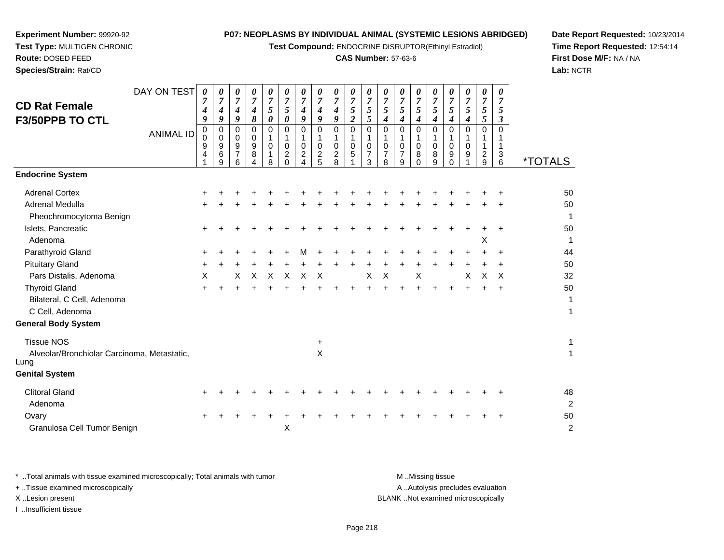**Test Compound:** ENDOCRINE DISRUPTOR(Ethinyl Estradiol)

# **CAS Number:** 57-63-6

**Date Report Requested:** 10/23/2014**Time Report Requested:** 12:54:14**First Dose M/F:** NA / NA**Lab:** NCTR

| Species/Strain: Rat/CD                                                |                  |                               |                                 |                               |                               |                                                   |                                                       |                                              |                                              |                                      |                                              |                                      |                           |                          |                           |                                   |                                |                               |                                   |                               | Lab:                  |
|-----------------------------------------------------------------------|------------------|-------------------------------|---------------------------------|-------------------------------|-------------------------------|---------------------------------------------------|-------------------------------------------------------|----------------------------------------------|----------------------------------------------|--------------------------------------|----------------------------------------------|--------------------------------------|---------------------------|--------------------------|---------------------------|-----------------------------------|--------------------------------|-------------------------------|-----------------------------------|-------------------------------|-----------------------|
| <b>CD Rat Female</b><br>F3/50PPB TO CTL                               | DAY ON TEST      | 0<br>$\overline{7}$<br>4<br>9 | 0<br>$\overline{7}$<br>9        | 0<br>$\overline{7}$<br>4<br>9 | 0<br>$\overline{7}$<br>4<br>8 | 0<br>$\overline{7}$<br>5<br>$\boldsymbol{\theta}$ | 0<br>$\overline{7}$<br>5<br>0                         | 0<br>$\overline{7}$<br>4<br>9                | 0<br>$\overline{7}$<br>4<br>9                | 0<br>$\overline{7}$<br>4<br>9        | 0<br>$\overline{7}$<br>5<br>$\boldsymbol{2}$ | 0<br>$\overline{7}$<br>5<br>5        | 0<br>$\overline{7}$<br>5  | 0<br>$\overline{7}$<br>5 | 0<br>7<br>5<br>4          | 0<br>$\boldsymbol{7}$<br>5<br>4   | 0<br>$\overline{7}$<br>5<br>4  | 0<br>$\overline{7}$<br>5<br>4 | 0<br>$\overline{7}$<br>5<br>5     | 0<br>$\overline{7}$<br>5<br>3 |                       |
|                                                                       | <b>ANIMAL ID</b> | 0<br>0<br>9<br>4              | 0<br>$\mathbf 0$<br>9<br>6<br>9 | 0<br>0<br>9<br>7<br>6         | 0<br>0<br>9<br>8<br>$\Delta$  | $\Omega$<br>0<br>1<br>8                           | $\Omega$<br>$\mathbf 0$<br>$\overline{c}$<br>$\Omega$ | 0<br>1<br>$\pmb{0}$<br>$\boldsymbol{2}$<br>4 | 0<br>1<br>$\mathbf 0$<br>$\overline{c}$<br>5 | 0<br>1<br>0<br>$\boldsymbol{2}$<br>8 | 0<br>1<br>0<br>5                             | $\Omega$<br>0<br>$\overline{7}$<br>3 | 0<br>0<br>7<br>8          | 0<br>$\mathbf 0$<br>9    | 0<br>1<br>0<br>8<br>0     | $\Omega$<br>$\mathbf 0$<br>8<br>9 | $\Omega$<br>0<br>9<br>$\Omega$ | $\Omega$<br>1<br>0<br>9       | 0<br>$\overline{\mathbf{c}}$<br>9 | 0<br>3<br>6                   | <i><b>*TOTALS</b></i> |
| <b>Endocrine System</b>                                               |                  |                               |                                 |                               |                               |                                                   |                                                       |                                              |                                              |                                      |                                              |                                      |                           |                          |                           |                                   |                                |                               |                                   |                               |                       |
| <b>Adrenal Cortex</b>                                                 |                  |                               |                                 |                               |                               |                                                   |                                                       |                                              |                                              |                                      |                                              |                                      |                           |                          |                           |                                   |                                |                               |                                   |                               | 50                    |
| Adrenal Medulla                                                       |                  |                               |                                 |                               |                               |                                                   |                                                       |                                              |                                              |                                      |                                              |                                      |                           |                          |                           |                                   |                                |                               |                                   |                               | 50                    |
| Pheochromocytoma Benign                                               |                  |                               |                                 |                               |                               |                                                   |                                                       |                                              |                                              |                                      |                                              |                                      |                           |                          |                           |                                   |                                |                               |                                   |                               |                       |
| Islets, Pancreatic<br>Adenoma                                         |                  | $\ddot{}$                     |                                 |                               |                               |                                                   |                                                       |                                              |                                              |                                      |                                              |                                      |                           |                          |                           |                                   |                                |                               | Χ                                 |                               | 50<br>1               |
| Parathyroid Gland                                                     |                  | ÷                             |                                 |                               |                               |                                                   |                                                       | М                                            |                                              |                                      |                                              |                                      |                           |                          |                           |                                   |                                |                               |                                   | $\ddot{}$                     | 44                    |
| <b>Pituitary Gland</b>                                                |                  | $\ddot{}$                     |                                 |                               |                               |                                                   |                                                       |                                              |                                              |                                      |                                              |                                      |                           |                          |                           |                                   |                                |                               |                                   |                               | 50                    |
| Pars Distalis, Adenoma                                                |                  | X                             |                                 | X                             | $\mathsf{X}$                  | $\times$                                          | $\times$                                              | $\mathsf{X}$                                 | $\times$                                     |                                      |                                              | X                                    | $\boldsymbol{\mathsf{X}}$ |                          | $\boldsymbol{\mathsf{X}}$ |                                   |                                | X                             | $\boldsymbol{\mathsf{X}}$         | $\times$                      | 32                    |
| <b>Thyroid Gland</b><br>Bilateral, C Cell, Adenoma<br>C Cell, Adenoma |                  | $\ddot{}$                     |                                 |                               |                               |                                                   |                                                       |                                              |                                              |                                      |                                              |                                      |                           |                          |                           |                                   |                                |                               |                                   | $\ddot{}$                     | 50<br>1<br>1          |
| <b>General Body System</b>                                            |                  |                               |                                 |                               |                               |                                                   |                                                       |                                              |                                              |                                      |                                              |                                      |                           |                          |                           |                                   |                                |                               |                                   |                               |                       |
| <b>Tissue NOS</b>                                                     |                  |                               |                                 |                               |                               |                                                   |                                                       |                                              | +                                            |                                      |                                              |                                      |                           |                          |                           |                                   |                                |                               |                                   |                               | 1                     |
| Alveolar/Bronchiolar Carcinoma, Metastatic,<br>Lung                   |                  |                               |                                 |                               |                               |                                                   |                                                       |                                              | X                                            |                                      |                                              |                                      |                           |                          |                           |                                   |                                |                               |                                   |                               | 1                     |
| <b>Genital System</b>                                                 |                  |                               |                                 |                               |                               |                                                   |                                                       |                                              |                                              |                                      |                                              |                                      |                           |                          |                           |                                   |                                |                               |                                   |                               |                       |

**Experiment Number:** 99920-92**Test Type:** MULTIGEN CHRONIC

**Route:** DOSED FEED

|  |  |  |  |  |  |  |  |  | 48 |
|--|--|--|--|--|--|--|--|--|----|
|  |  |  |  |  |  |  |  |  | -2 |
|  |  |  |  |  |  |  |  |  | 50 |
|  |  |  |  |  |  |  |  |  |    |
|  |  |  |  |  |  |  |  |  |    |

\* ..Total animals with tissue examined microscopically; Total animals with tumor **M** . Missing tissue M ..Missing tissue A ..Autolysis precludes evaluation + ..Tissue examined microscopically X ..Lesion present BLANK ..Not examined microscopicallyI ..Insufficient tissue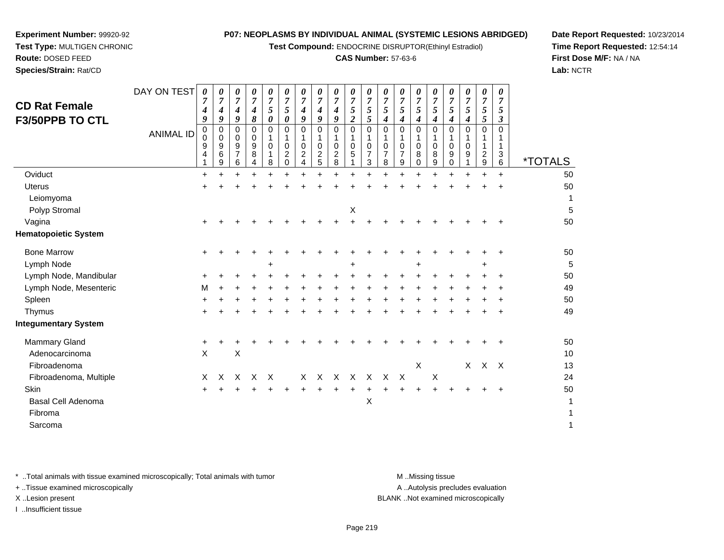**Test Compound:** ENDOCRINE DISRUPTOR(Ethinyl Estradiol)

### **CAS Number:** 57-63-6

**Date Report Requested:** 10/23/2014**Time Report Requested:** 12:54:14**First Dose M/F:** NA / NA**Lab:** NCTR

|                  | 7<br>4                        | $\overline{7}$<br>4                  | 7<br>$\boldsymbol{4}$         | $\overline{7}$<br>4             | 7<br>5      | 7<br>5                               | $\overline{7}$<br>4                              | 7<br>4                   | $\overline{7}$<br>4<br>9           | $\overline{7}$<br>5   | $\boldsymbol{7}$<br>5                    | $\overline{7}$<br>$\mathfrak{s}$                | 7<br>5                          | $\overline{7}$<br>5        | 7<br>5                | 7<br>5      | $\overline{7}$<br>5 | $\overline{7}$<br>$\sqrt{5}$ | $\overline{7}$<br>5                                |                        |
|------------------|-------------------------------|--------------------------------------|-------------------------------|---------------------------------|-------------|--------------------------------------|--------------------------------------------------|--------------------------|------------------------------------|-----------------------|------------------------------------------|-------------------------------------------------|---------------------------------|----------------------------|-----------------------|-------------|---------------------|------------------------------|----------------------------------------------------|------------------------|
| <b>ANIMAL ID</b> | 0<br>0<br>9<br>$\overline{4}$ | $\mathbf 0$<br>$\mathbf 0$<br>9<br>6 | 0<br>0<br>9<br>$\overline{7}$ | 0<br>0<br>9<br>8                | 0<br>1<br>0 | 0<br>$\mathbf 0$<br>$\boldsymbol{2}$ | $\mathbf 0$<br>1<br>0<br>$\overline{\mathbf{c}}$ | 0<br>1<br>0              | 0<br>1<br>0<br>$\mathbf 2$         | $\mathbf 0$<br>0<br>5 | 0<br>$\mathbf{1}$<br>0<br>$\overline{7}$ | $\pmb{0}$<br>$\mathbf 1$<br>0<br>$\overline{7}$ | $\Omega$<br>0<br>$\overline{7}$ | 0<br>0<br>8                | $\Omega$<br>0<br>8    | 0<br>0<br>9 | 0<br>0<br>9         | 0<br>1                       | $\Omega$<br>1<br>1<br>3                            | <i><b>*TOTALS</b></i>  |
|                  | $\ddot{}$                     |                                      |                               |                                 |             | $\ddot{}$                            |                                                  | $\ddot{}$                | $+$                                | $\ddot{}$             | $\ddot{}$                                |                                                 | ÷                               |                            | $\ddot{}$             | $\ddot{}$   |                     | $\ddot{}$                    | $+$                                                | 50                     |
|                  |                               |                                      |                               |                                 |             |                                      |                                                  |                          |                                    |                       |                                          |                                                 |                                 |                            |                       |             |                     |                              |                                                    | 50                     |
|                  |                               |                                      |                               |                                 |             |                                      |                                                  |                          |                                    |                       |                                          |                                                 |                                 |                            |                       |             |                     |                              |                                                    | 1                      |
|                  |                               |                                      |                               |                                 |             |                                      |                                                  |                          |                                    | Х                     |                                          |                                                 |                                 |                            |                       |             |                     |                              |                                                    | 5                      |
|                  |                               |                                      |                               |                                 |             |                                      |                                                  |                          |                                    |                       |                                          |                                                 |                                 |                            |                       |             |                     |                              |                                                    | 50                     |
|                  |                               |                                      |                               |                                 |             |                                      |                                                  |                          |                                    |                       |                                          |                                                 |                                 |                            |                       |             |                     |                              |                                                    |                        |
|                  | +                             |                                      |                               |                                 |             |                                      |                                                  |                          |                                    |                       |                                          |                                                 |                                 |                            |                       |             |                     |                              |                                                    | 50                     |
|                  |                               |                                      |                               |                                 | +           |                                      |                                                  |                          |                                    |                       |                                          |                                                 |                                 |                            |                       |             |                     |                              |                                                    | 5                      |
|                  |                               |                                      |                               |                                 |             |                                      |                                                  |                          |                                    |                       |                                          |                                                 |                                 |                            |                       |             |                     |                              |                                                    | 50                     |
|                  | м                             |                                      |                               |                                 |             |                                      |                                                  |                          |                                    |                       |                                          |                                                 |                                 |                            |                       |             |                     |                              |                                                    | 49                     |
|                  |                               |                                      |                               |                                 |             |                                      |                                                  |                          |                                    |                       |                                          |                                                 |                                 |                            |                       |             |                     |                              |                                                    | 50                     |
|                  |                               |                                      |                               |                                 |             |                                      |                                                  |                          |                                    |                       |                                          |                                                 |                                 |                            |                       |             |                     |                              |                                                    | 49                     |
|                  |                               |                                      |                               |                                 |             |                                      |                                                  |                          |                                    |                       |                                          |                                                 |                                 |                            |                       |             |                     |                              |                                                    |                        |
|                  | +                             |                                      |                               |                                 |             |                                      |                                                  |                          |                                    |                       |                                          |                                                 |                                 |                            |                       |             |                     |                              |                                                    | 50                     |
|                  | X                             |                                      | $\pmb{\times}$                |                                 |             |                                      |                                                  |                          |                                    |                       |                                          |                                                 |                                 |                            |                       |             |                     |                              |                                                    | 10                     |
|                  |                               |                                      |                               |                                 |             |                                      |                                                  |                          |                                    |                       |                                          |                                                 |                                 | X                          |                       |             |                     |                              |                                                    | 13                     |
|                  | X                             | Χ                                    | X                             | X                               | $\times$    |                                      | X                                                | $\times$                 | $\times$                           | $\times$              | $\mathsf{X}$                             | $\times$                                        | $\times$                        |                            | X                     |             |                     |                              |                                                    | 24                     |
|                  |                               |                                      |                               |                                 |             |                                      |                                                  |                          |                                    |                       |                                          |                                                 |                                 |                            |                       |             |                     |                              |                                                    | 50                     |
|                  |                               |                                      |                               |                                 |             |                                      |                                                  |                          |                                    |                       | X                                        |                                                 |                                 |                            |                       |             |                     |                              |                                                    | 1                      |
|                  |                               |                                      |                               |                                 |             |                                      |                                                  |                          |                                    |                       |                                          |                                                 |                                 |                            |                       |             |                     |                              |                                                    | 1                      |
|                  |                               |                                      |                               |                                 |             |                                      |                                                  |                          |                                    |                       |                                          |                                                 |                                 |                            |                       |             |                     |                              |                                                    | $\mathbf{1}$           |
|                  | DAY ON TEST                   | 0<br>9                               | 0<br>9<br>9                   | $\boldsymbol{\theta}$<br>9<br>6 | 0<br>8<br>4 | 0<br>0<br>8                          | 0<br>0<br>$\mathbf 0$                            | 0<br>9<br>$\overline{4}$ | $\pmb{\theta}$<br>9<br>$rac{2}{5}$ | 0<br>8                | 0<br>$\overline{c}$                      | 0<br>5<br>3                                     | 0<br>$\boldsymbol{4}$<br>8      | 0<br>4<br>$\boldsymbol{9}$ | 0<br>4<br>$\mathbf 0$ | 0<br>4<br>9 | 0<br>4<br>0         | 0<br>4                       | $\pmb{\theta}$<br>$\sqrt{5}$<br>$\frac{2}{9}$<br>X | 0<br>3<br>6<br>$X$ $X$ |

\* ..Total animals with tissue examined microscopically; Total animals with tumor **M** . Missing tissue M ..Missing tissue

+ ..Tissue examined microscopically

**Experiment Number:** 99920-92**Test Type:** MULTIGEN CHRONIC

**Route:** DOSED FEED**Species/Strain:** Rat/CD

I ..Insufficient tissue

A ..Autolysis precludes evaluation

X ..Lesion present BLANK ..Not examined microscopically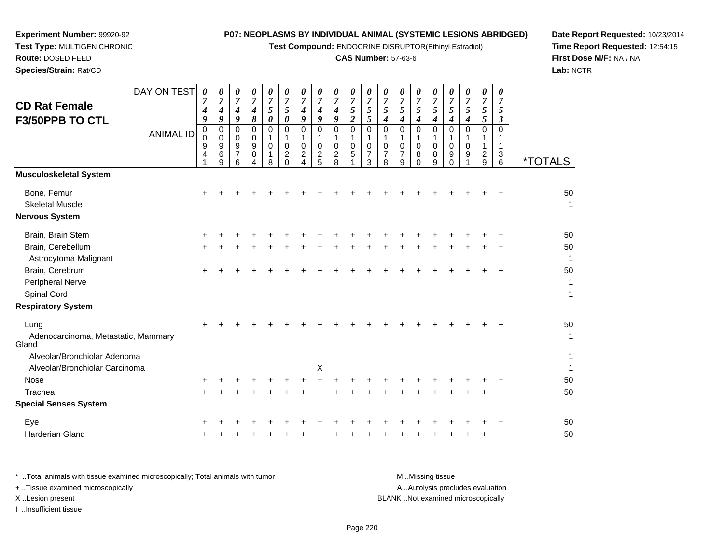**Test Compound:** ENDOCRINE DISRUPTOR(Ethinyl Estradiol)

# **CAS Number:** 57-63-6

**Date Report Requested:** 10/23/2014 **Time Report Requested:** 12:54:15**First Dose M/F:** NA / NA**Lab:** NCTR

| <b>CD Rat Female</b><br>F3/50PPB TO CTL                        | DAY ON TEST      | 0<br>$\overline{7}$<br>4<br>9 | 0<br>$\overline{7}$<br>$\boldsymbol{4}$<br>$\boldsymbol{g}$ | 0<br>$\overline{7}$<br>4<br>$\boldsymbol{g}$ | 0<br>$\overline{7}$<br>$\boldsymbol{4}$<br>8   | 0<br>$\boldsymbol{7}$<br>5<br>$\boldsymbol{\theta}$ | 0<br>$\boldsymbol{7}$<br>5<br>$\boldsymbol{\theta}$ | 0<br>$\overline{7}$<br>$\boldsymbol{4}$<br>$\boldsymbol{g}$      | 0<br>$\boldsymbol{7}$<br>4<br>9                | 0<br>$\overline{7}$<br>4<br>9       | 0<br>$\boldsymbol{7}$<br>$\sqrt{5}$<br>$\overline{2}$ | 0<br>$\overline{7}$<br>$\sqrt{5}$<br>5                 | 0<br>$\overline{7}$<br>$\sqrt{5}$<br>$\boldsymbol{4}$            | 0<br>$\overline{7}$<br>$\sqrt{5}$<br>4 | 0<br>$\overline{7}$<br>5<br>$\overline{\mathbf{4}}$ | 0<br>$\boldsymbol{7}$<br>5<br>$\boldsymbol{4}$ | 0<br>$\overline{7}$<br>5<br>$\boldsymbol{4}$  | 0<br>$\overline{7}$<br>5<br>$\boldsymbol{4}$ | 0<br>$\boldsymbol{7}$<br>5<br>5                   | 0<br>$\overline{7}$<br>5<br>$\mathbf{3}$           |                       |
|----------------------------------------------------------------|------------------|-------------------------------|-------------------------------------------------------------|----------------------------------------------|------------------------------------------------|-----------------------------------------------------|-----------------------------------------------------|------------------------------------------------------------------|------------------------------------------------|-------------------------------------|-------------------------------------------------------|--------------------------------------------------------|------------------------------------------------------------------|----------------------------------------|-----------------------------------------------------|------------------------------------------------|-----------------------------------------------|----------------------------------------------|---------------------------------------------------|----------------------------------------------------|-----------------------|
|                                                                | <b>ANIMAL ID</b> | $\mathbf 0$<br>0<br>9<br>4    | $\mathbf 0$<br>0<br>$\boldsymbol{9}$<br>6<br>9              | $\Omega$<br>0<br>9<br>$\overline{7}$<br>6    | $\mathbf 0$<br>0<br>$\boldsymbol{9}$<br>8<br>4 | $\Omega$<br>1<br>0<br>1<br>8                        | $\Omega$<br>1<br>0<br>$\boldsymbol{2}$<br>$\Omega$  | $\Omega$<br>1<br>0<br>$\boldsymbol{2}$<br>$\boldsymbol{\Lambda}$ | $\mathbf 0$<br>1<br>$\pmb{0}$<br>$\frac{2}{5}$ | $\Omega$<br>1<br>0<br>$\frac{2}{8}$ | $\mathbf 0$<br>1<br>$\pmb{0}$<br>5                    | $\mathbf 0$<br>1<br>$\mathbf 0$<br>$\overline{7}$<br>3 | $\mathbf 0$<br>$\mathbf 1$<br>$\mathbf 0$<br>$\overline{7}$<br>8 | $\Omega$<br>$\mathbf 0$<br>7<br>9      | $\Omega$<br>1<br>0<br>8<br>$\Omega$                 | $\Omega$<br>1<br>$\pmb{0}$<br>$\bf 8$<br>9     | $\Omega$<br>1<br>$\mathbf 0$<br>9<br>$\Omega$ | $\Omega$<br>-1<br>0<br>9                     | $\mathbf 0$<br>1<br>$\mathbf{1}$<br>$\frac{2}{9}$ | $\Omega$<br>1<br>$\mathbf{1}$<br>$\mathbf{3}$<br>6 | <i><b>*TOTALS</b></i> |
| <b>Musculoskeletal System</b>                                  |                  |                               |                                                             |                                              |                                                |                                                     |                                                     |                                                                  |                                                |                                     |                                                       |                                                        |                                                                  |                                        |                                                     |                                                |                                               |                                              |                                                   |                                                    |                       |
| Bone, Femur<br><b>Skeletal Muscle</b>                          |                  |                               |                                                             |                                              |                                                |                                                     |                                                     |                                                                  |                                                |                                     |                                                       |                                                        |                                                                  |                                        |                                                     |                                                |                                               |                                              |                                                   |                                                    | 50<br>$\mathbf{1}$    |
| <b>Nervous System</b>                                          |                  |                               |                                                             |                                              |                                                |                                                     |                                                     |                                                                  |                                                |                                     |                                                       |                                                        |                                                                  |                                        |                                                     |                                                |                                               |                                              |                                                   |                                                    |                       |
| Brain, Brain Stem                                              |                  |                               |                                                             |                                              |                                                |                                                     |                                                     |                                                                  |                                                |                                     |                                                       |                                                        |                                                                  |                                        |                                                     |                                                |                                               |                                              |                                                   |                                                    | 50                    |
| Brain, Cerebellum<br>Astrocytoma Malignant                     |                  | +                             |                                                             |                                              |                                                |                                                     |                                                     |                                                                  |                                                |                                     |                                                       |                                                        |                                                                  |                                        |                                                     |                                                |                                               |                                              |                                                   |                                                    | 50<br>$\mathbf{1}$    |
| Brain, Cerebrum<br>Peripheral Nerve                            |                  |                               |                                                             |                                              |                                                |                                                     |                                                     |                                                                  |                                                |                                     |                                                       |                                                        |                                                                  |                                        |                                                     |                                                |                                               |                                              |                                                   |                                                    | 50<br>1               |
| Spinal Cord<br><b>Respiratory System</b>                       |                  |                               |                                                             |                                              |                                                |                                                     |                                                     |                                                                  |                                                |                                     |                                                       |                                                        |                                                                  |                                        |                                                     |                                                |                                               |                                              |                                                   |                                                    | $\mathbf{1}$          |
| Lung<br>Adenocarcinoma, Metastatic, Mammary<br>Gland           |                  |                               |                                                             |                                              |                                                |                                                     |                                                     |                                                                  |                                                |                                     |                                                       |                                                        |                                                                  |                                        |                                                     |                                                |                                               |                                              |                                                   |                                                    | 50<br>1               |
| Alveolar/Bronchiolar Adenoma<br>Alveolar/Bronchiolar Carcinoma |                  |                               |                                                             |                                              |                                                |                                                     |                                                     |                                                                  | X                                              |                                     |                                                       |                                                        |                                                                  |                                        |                                                     |                                                |                                               |                                              |                                                   |                                                    | 1<br>$\mathbf{1}$     |
| <b>Nose</b>                                                    |                  |                               |                                                             |                                              |                                                |                                                     |                                                     |                                                                  |                                                |                                     |                                                       |                                                        |                                                                  |                                        |                                                     |                                                |                                               |                                              |                                                   |                                                    | 50                    |
| Trachea                                                        |                  | $\ddot{}$                     |                                                             |                                              |                                                |                                                     |                                                     |                                                                  |                                                |                                     |                                                       |                                                        |                                                                  |                                        |                                                     |                                                |                                               |                                              |                                                   |                                                    | 50                    |
| <b>Special Senses System</b>                                   |                  |                               |                                                             |                                              |                                                |                                                     |                                                     |                                                                  |                                                |                                     |                                                       |                                                        |                                                                  |                                        |                                                     |                                                |                                               |                                              |                                                   |                                                    |                       |
| Eye                                                            |                  |                               |                                                             |                                              |                                                |                                                     |                                                     |                                                                  |                                                |                                     |                                                       |                                                        |                                                                  |                                        |                                                     |                                                |                                               |                                              |                                                   |                                                    | 50                    |
| <b>Harderian Gland</b>                                         |                  |                               |                                                             |                                              |                                                |                                                     |                                                     |                                                                  |                                                |                                     |                                                       |                                                        |                                                                  |                                        |                                                     |                                                |                                               |                                              |                                                   |                                                    | 50                    |

**Experiment Number:** 99920-92**Test Type:** MULTIGEN CHRONIC

**Route:** DOSED FEED**Species/Strain:** Rat/CD

| Total animals with tissue examined microscopically; Total animals with tumor | M Missing tissue                   |
|------------------------------------------------------------------------------|------------------------------------|
| + Tissue examined microscopically                                            | A Autolysis precludes evaluation   |
| X Lesion present                                                             | BLANK Not examined microscopically |
| …Insufficient tissue                                                         |                                    |